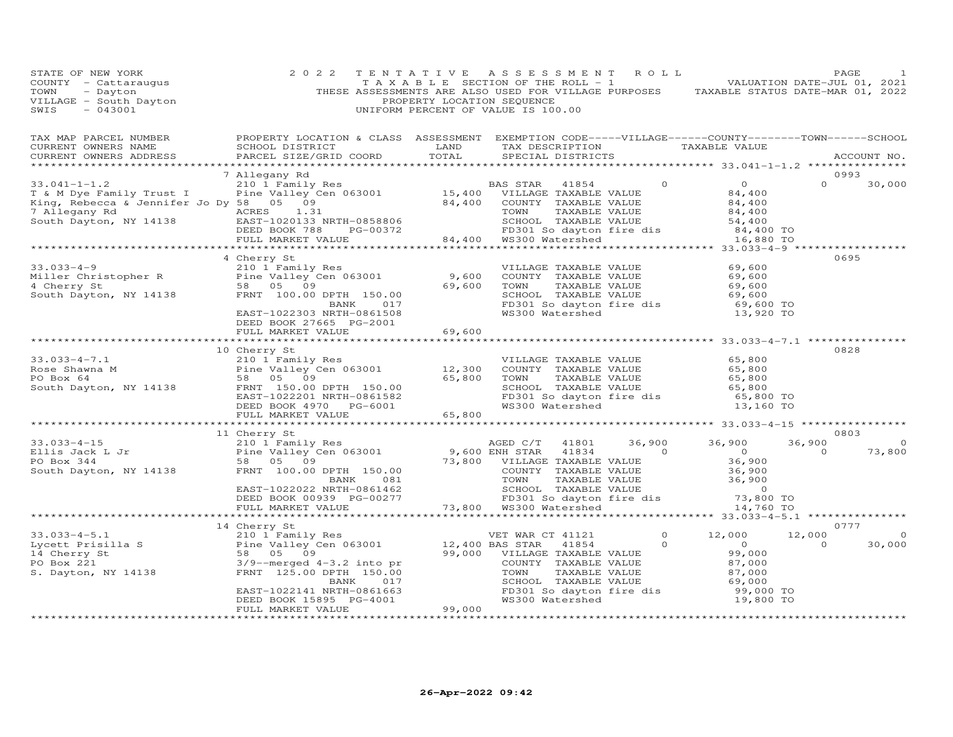| STATE OF NEW YORK<br>STATE OF NEW IONA<br>COUNTY - Cattaraugus<br>TOWN - Dayton<br>VILLAGE - South Dayton<br>CHIC - 043001                                                                                                                                | 2 0 2 2                                      | PROPERTY LOCATION SEQUENCE | TENTATIVE ASSESSMENT ROLL<br>TAXABLE SECTION OF THE ROLL - 1 VALUATION DATE-JUL 01, 2021<br>THESE ASSESSMENTS ARE ALSO USED FOR VILLAGE PURPOSES TAXABLE STATUS DATE-MAR 01, 2022<br>UNIFORM PERCENT OF VALUE IS 100.00 |  |                          | PAGE                                    |
|-----------------------------------------------------------------------------------------------------------------------------------------------------------------------------------------------------------------------------------------------------------|----------------------------------------------|----------------------------|-------------------------------------------------------------------------------------------------------------------------------------------------------------------------------------------------------------------------|--|--------------------------|-----------------------------------------|
| TAX MAP PARCEL NUMBER BROPERTY LOCATION & CLASS ASSESSMENT EXEMPTION CODE-----VILLAGE------COUNTY--------TOWN------SCHOOL CURRENT OWNERS NAME SCHOOL DISTRICT LAND TAX DESCRIPTION TAXABLE VALUE TAXABLE VALUE ACCOUNT NO.                                |                                              |                            |                                                                                                                                                                                                                         |  |                          |                                         |
|                                                                                                                                                                                                                                                           | 7 Allegany Rd                                |                            |                                                                                                                                                                                                                         |  |                          | 0993<br>$\Omega$ and $\Omega$<br>30,000 |
|                                                                                                                                                                                                                                                           |                                              |                            |                                                                                                                                                                                                                         |  |                          |                                         |
|                                                                                                                                                                                                                                                           | DEED BOOK 27665 PG-2001<br>FULL MARKET VALUE | 69,600                     |                                                                                                                                                                                                                         |  |                          | 0695                                    |
|                                                                                                                                                                                                                                                           |                                              |                            |                                                                                                                                                                                                                         |  |                          |                                         |
| 33.033-4-7.1<br>Rose Shawna M<br>PO Box 64<br>South Dayton, NY 14138<br>The Valley Cen 063001<br>ERNIT 150.00<br>ERNIT 150.00<br>ERNIT 150.00<br>ERNIT 150.00<br>ERNIT 150.00<br>DEED BOOK 4970<br>PG-6001<br>FO Box 65,800<br>FO Box 65,800<br>SCHINGE T | 10 Cherry St                                 |                            |                                                                                                                                                                                                                         |  |                          | 0828                                    |
|                                                                                                                                                                                                                                                           |                                              |                            |                                                                                                                                                                                                                         |  |                          |                                         |
|                                                                                                                                                                                                                                                           |                                              |                            |                                                                                                                                                                                                                         |  |                          | 0803<br>$\circ$<br>73,800               |
|                                                                                                                                                                                                                                                           |                                              |                            |                                                                                                                                                                                                                         |  |                          |                                         |
|                                                                                                                                                                                                                                                           | 14 Cherry St                                 |                            |                                                                                                                                                                                                                         |  | 12,000<br>$\overline{0}$ | 0777<br>$\circ$<br>30,000               |
|                                                                                                                                                                                                                                                           |                                              |                            |                                                                                                                                                                                                                         |  |                          |                                         |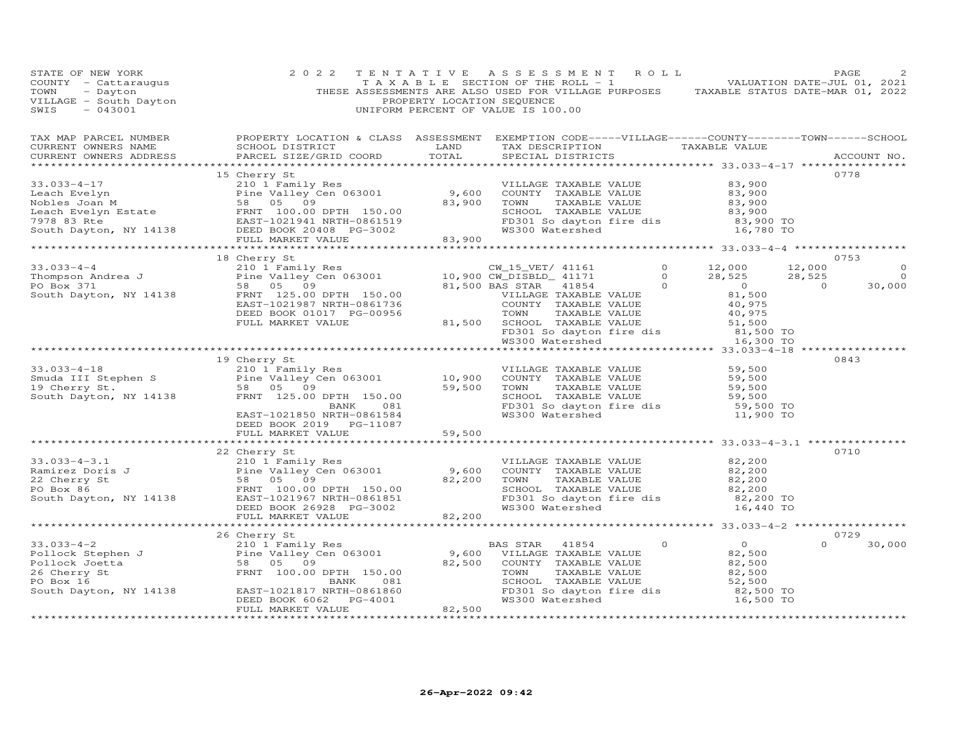| TAX MAP PARCEL NUMBER BROPERTY LOCATION & CLASS ASSESSMENT EXEMPTION CODE-----VILLAGE------COUNTY--------TOWN------SCHOOL CURRENT OWNERS NAME SCHOOL DISTRICT LAND TAX DESCRIPTION TAXABLE VALUE<br>CURRENT OWNERS NAME SCHOOL DISTRICT LAND TAX DESCRIPTION TAXABLE VALUE<br>CURRENT OWNERS ADDRESS PARCEL SIZE/GRID COORD TOTAL SPECIAL DISTRICTS |                                                     |  |  | ACCOUNT NO.                                                              |
|-----------------------------------------------------------------------------------------------------------------------------------------------------------------------------------------------------------------------------------------------------------------------------------------------------------------------------------------------------|-----------------------------------------------------|--|--|--------------------------------------------------------------------------|
|                                                                                                                                                                                                                                                                                                                                                     |                                                     |  |  | 0778                                                                     |
|                                                                                                                                                                                                                                                                                                                                                     |                                                     |  |  |                                                                          |
|                                                                                                                                                                                                                                                                                                                                                     | 18 Cherry St                                        |  |  | 0753<br>$\Omega$<br>$\begin{array}{c}0\\0\\30\,000\end{array}$<br>30,000 |
|                                                                                                                                                                                                                                                                                                                                                     |                                                     |  |  |                                                                          |
| 33.033-4-18<br>33.033-4-18<br>33.033-4-18<br>210 University Res<br>210 University Res<br>210,900 COUNTY TAXABLE VALUE<br>219 University Res<br>210,900 COUNTY TAXABLE VALUE<br>29,500<br>28 DS 09<br>28 OS 09<br>28 DS 09<br>28 OS 09<br>28 DS 09<br>28 DS                                                                                          | 19 Cherry St                                        |  |  | 0843                                                                     |
|                                                                                                                                                                                                                                                                                                                                                     | DEED BOOK 2019 PG-11087<br>FULL MARKET VALUE 59,500 |  |  |                                                                          |
|                                                                                                                                                                                                                                                                                                                                                     | 22 Cherry St                                        |  |  | 0710                                                                     |
|                                                                                                                                                                                                                                                                                                                                                     |                                                     |  |  |                                                                          |
|                                                                                                                                                                                                                                                                                                                                                     |                                                     |  |  |                                                                          |
| 33.033-4-2<br>26 Cherry Stephen J<br>210 1 Family Res<br>Pollock Stephen J<br>210 1 Family Res<br>Pollock Joetta 58 05 9,600 VILLAGE TAXABLE VALUE<br>26 Cherry St<br>26 Cherry St<br>26 Cherry St<br>26 Cherry St<br>26 Cherry St<br>26 Cherry St<br>                                                                                              |                                                     |  |  | 0729<br>$\Omega$<br>30,000                                               |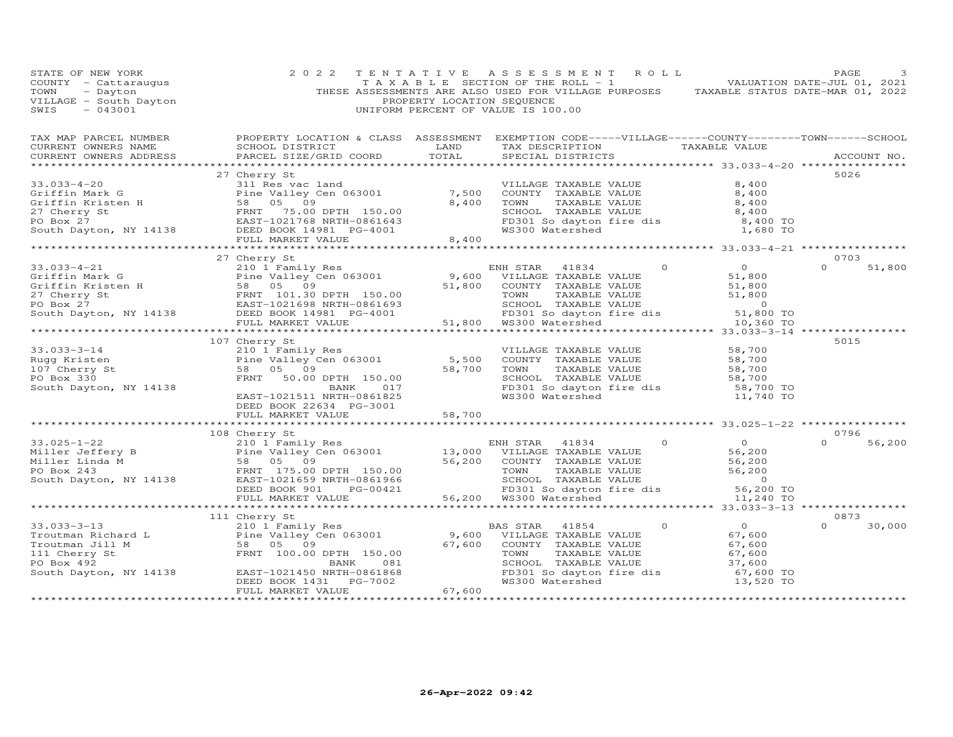| STATE OF NEW YORK<br>COUNTY - Cattaraugus<br>TOWN - Dayton<br>VILLAGE - South Dayton<br>SWTS - 043001                                                                                                                                                   | 2 0 2 2                                                                                                                                                                        | PROPERTY LOCATION SEQUENCE | TENTATIVE ASSESSMENT ROLL<br>T A X A B L E SECTION OF THE ROLL - 1 A V B B VALUATION DATE-JUL 01, 2021<br>THESE ASSESSMENTS ARE ALSO USED FOR VILLAGE PURPOSES TAXABLE STATUS DATE-MAR 01, 2022<br>UNIFORM PERCENT OF VALUE IS 100.00 |                                                                                                                                                                                         | PAGE               |
|---------------------------------------------------------------------------------------------------------------------------------------------------------------------------------------------------------------------------------------------------------|--------------------------------------------------------------------------------------------------------------------------------------------------------------------------------|----------------------------|---------------------------------------------------------------------------------------------------------------------------------------------------------------------------------------------------------------------------------------|-----------------------------------------------------------------------------------------------------------------------------------------------------------------------------------------|--------------------|
| TAX MAP PARCEL NUMBER          PROPERTY LOCATION & CLASS ASSESSMENT EXEMPTION CODE-----VILLAGE------COUNTY--------TOWN------SCHOOL<br>CURRENT OWNERS NAME           SCHOOL DISTRICT                LAND      TAX DESCRIPTION<br>CURRENT OWNERS ADDRESS  |                                                                                                                                                                                |                            | TAX DESCRIPTION TAXABLE VALUE<br>SPECIAL DISTRICTS                                                                                                                                                                                    |                                                                                                                                                                                         | ACCOUNT NO.        |
|                                                                                                                                                                                                                                                         | 27 Cherry St                                                                                                                                                                   |                            |                                                                                                                                                                                                                                       |                                                                                                                                                                                         | 5026               |
| 33.033-4-20<br>Griffin Mark G<br>Griffin Kristen H<br>27 Cherry St<br>PO Box 27<br>South Dayton, NY 14138<br>THE REAST-1021768 NRTH-0861643<br>FULL MARKET VALUF.<br>27 Cherry St<br>27 Cherry St<br>27 Cherry St<br>27 Cherry St<br>27 Cherry St<br>27 |                                                                                                                                                                                |                            | VILLAGE TAXABLE VALUE 8,400                                                                                                                                                                                                           |                                                                                                                                                                                         |                    |
|                                                                                                                                                                                                                                                         |                                                                                                                                                                                |                            |                                                                                                                                                                                                                                       |                                                                                                                                                                                         |                    |
|                                                                                                                                                                                                                                                         |                                                                                                                                                                                |                            |                                                                                                                                                                                                                                       |                                                                                                                                                                                         |                    |
|                                                                                                                                                                                                                                                         |                                                                                                                                                                                |                            | COUNTY TAXABLE VALUE<br>TOWN TAXABLE VALUE 8,400<br>SCHOOL TAXABLE VALUE 8,400                                                                                                                                                        |                                                                                                                                                                                         |                    |
|                                                                                                                                                                                                                                                         |                                                                                                                                                                                |                            |                                                                                                                                                                                                                                       | FD301 So dayton fire dis<br>WS300 Watershed 1,680 TO                                                                                                                                    |                    |
|                                                                                                                                                                                                                                                         |                                                                                                                                                                                |                            |                                                                                                                                                                                                                                       |                                                                                                                                                                                         |                    |
|                                                                                                                                                                                                                                                         |                                                                                                                                                                                |                            |                                                                                                                                                                                                                                       |                                                                                                                                                                                         |                    |
|                                                                                                                                                                                                                                                         | 27 Cherry St                                                                                                                                                                   |                            |                                                                                                                                                                                                                                       |                                                                                                                                                                                         | 0703               |
|                                                                                                                                                                                                                                                         |                                                                                                                                                                                |                            |                                                                                                                                                                                                                                       |                                                                                                                                                                                         | $\Omega$<br>51,800 |
|                                                                                                                                                                                                                                                         |                                                                                                                                                                                |                            |                                                                                                                                                                                                                                       |                                                                                                                                                                                         |                    |
|                                                                                                                                                                                                                                                         |                                                                                                                                                                                |                            |                                                                                                                                                                                                                                       |                                                                                                                                                                                         |                    |
|                                                                                                                                                                                                                                                         |                                                                                                                                                                                |                            |                                                                                                                                                                                                                                       |                                                                                                                                                                                         |                    |
|                                                                                                                                                                                                                                                         |                                                                                                                                                                                |                            |                                                                                                                                                                                                                                       |                                                                                                                                                                                         |                    |
|                                                                                                                                                                                                                                                         |                                                                                                                                                                                |                            |                                                                                                                                                                                                                                       |                                                                                                                                                                                         |                    |
|                                                                                                                                                                                                                                                         |                                                                                                                                                                                |                            | *******************************                                                                                                                                                                                                       | ******* 33.033-3-14 *                                                                                                                                                                   |                    |
|                                                                                                                                                                                                                                                         | 107 Cherry St                                                                                                                                                                  |                            |                                                                                                                                                                                                                                       |                                                                                                                                                                                         | 5015               |
|                                                                                                                                                                                                                                                         |                                                                                                                                                                                |                            |                                                                                                                                                                                                                                       |                                                                                                                                                                                         |                    |
|                                                                                                                                                                                                                                                         |                                                                                                                                                                                |                            |                                                                                                                                                                                                                                       |                                                                                                                                                                                         |                    |
|                                                                                                                                                                                                                                                         |                                                                                                                                                                                |                            |                                                                                                                                                                                                                                       |                                                                                                                                                                                         |                    |
|                                                                                                                                                                                                                                                         |                                                                                                                                                                                |                            |                                                                                                                                                                                                                                       |                                                                                                                                                                                         |                    |
| Notice to the term of the term of the Valley Control of the Valley Control of the Valley Control of the Valley Control of the Valley Control of the Valley Control of the Valley Control of the Valley Control of the Valley C                          | Cherry St<br>210 1 Family Res<br>Pine Valley Cen 063001 5,500<br>58 05 09 58,700<br>FRNT 50.00 DPTH 150.00<br>BANK 017<br>EAST-1021511 NRTH-0861825<br>FREE BOOK 22634 PG-3001 |                            |                                                                                                                                                                                                                                       | VILLAGE TAXABLE VALUE 58,700<br>COUNTY TAXABLE VALUE 58,700<br>TOWN TAXABLE VALUE 58,700<br>SCHOOL TAXABLE VALUE 58,700<br>FD301 So dayton fire dis 58,700<br>WS300 Watershed 11,740 TO |                    |
|                                                                                                                                                                                                                                                         |                                                                                                                                                                                |                            |                                                                                                                                                                                                                                       |                                                                                                                                                                                         |                    |
|                                                                                                                                                                                                                                                         | DEED BOOK 22634 PG-3001<br>DEED BOOK 22634 PG-3001<br>FULL MARKET VALUE 58,700                                                                                                 |                            |                                                                                                                                                                                                                                       |                                                                                                                                                                                         |                    |
|                                                                                                                                                                                                                                                         |                                                                                                                                                                                |                            |                                                                                                                                                                                                                                       |                                                                                                                                                                                         |                    |
| 108 Cherry EX<br>108 Cherry EX<br>210 1 Family Res<br>Miller Jeffery B<br>Miller Linda M<br>210 1 Family Res<br>210 1 Family Res<br>210 1 Family Res<br>210 1 Family Res<br>210 1 Family Res<br>210 1 Family Res<br>210 1 Family Res<br>210 1 Family R  |                                                                                                                                                                                |                            |                                                                                                                                                                                                                                       |                                                                                                                                                                                         | 0796               |
|                                                                                                                                                                                                                                                         |                                                                                                                                                                                |                            |                                                                                                                                                                                                                                       |                                                                                                                                                                                         | 56,200<br>$\Omega$ |
|                                                                                                                                                                                                                                                         |                                                                                                                                                                                |                            |                                                                                                                                                                                                                                       |                                                                                                                                                                                         |                    |
|                                                                                                                                                                                                                                                         |                                                                                                                                                                                |                            |                                                                                                                                                                                                                                       |                                                                                                                                                                                         |                    |
|                                                                                                                                                                                                                                                         |                                                                                                                                                                                |                            |                                                                                                                                                                                                                                       |                                                                                                                                                                                         |                    |
|                                                                                                                                                                                                                                                         |                                                                                                                                                                                |                            |                                                                                                                                                                                                                                       |                                                                                                                                                                                         |                    |
|                                                                                                                                                                                                                                                         |                                                                                                                                                                                |                            |                                                                                                                                                                                                                                       |                                                                                                                                                                                         |                    |
|                                                                                                                                                                                                                                                         |                                                                                                                                                                                |                            |                                                                                                                                                                                                                                       |                                                                                                                                                                                         |                    |
|                                                                                                                                                                                                                                                         | 111 Cherry St                                                                                                                                                                  |                            |                                                                                                                                                                                                                                       |                                                                                                                                                                                         | 0873               |
|                                                                                                                                                                                                                                                         |                                                                                                                                                                                |                            |                                                                                                                                                                                                                                       |                                                                                                                                                                                         | $\Omega$<br>30,000 |
|                                                                                                                                                                                                                                                         |                                                                                                                                                                                |                            |                                                                                                                                                                                                                                       |                                                                                                                                                                                         |                    |
|                                                                                                                                                                                                                                                         |                                                                                                                                                                                |                            |                                                                                                                                                                                                                                       |                                                                                                                                                                                         |                    |
|                                                                                                                                                                                                                                                         |                                                                                                                                                                                |                            |                                                                                                                                                                                                                                       |                                                                                                                                                                                         |                    |
|                                                                                                                                                                                                                                                         |                                                                                                                                                                                |                            |                                                                                                                                                                                                                                       |                                                                                                                                                                                         |                    |
|                                                                                                                                                                                                                                                         |                                                                                                                                                                                |                            |                                                                                                                                                                                                                                       |                                                                                                                                                                                         |                    |
|                                                                                                                                                                                                                                                         | FULL MARKET VALUE                                                                                                                                                              | $02$ 67,600                |                                                                                                                                                                                                                                       |                                                                                                                                                                                         |                    |
|                                                                                                                                                                                                                                                         |                                                                                                                                                                                | *******************        |                                                                                                                                                                                                                                       |                                                                                                                                                                                         |                    |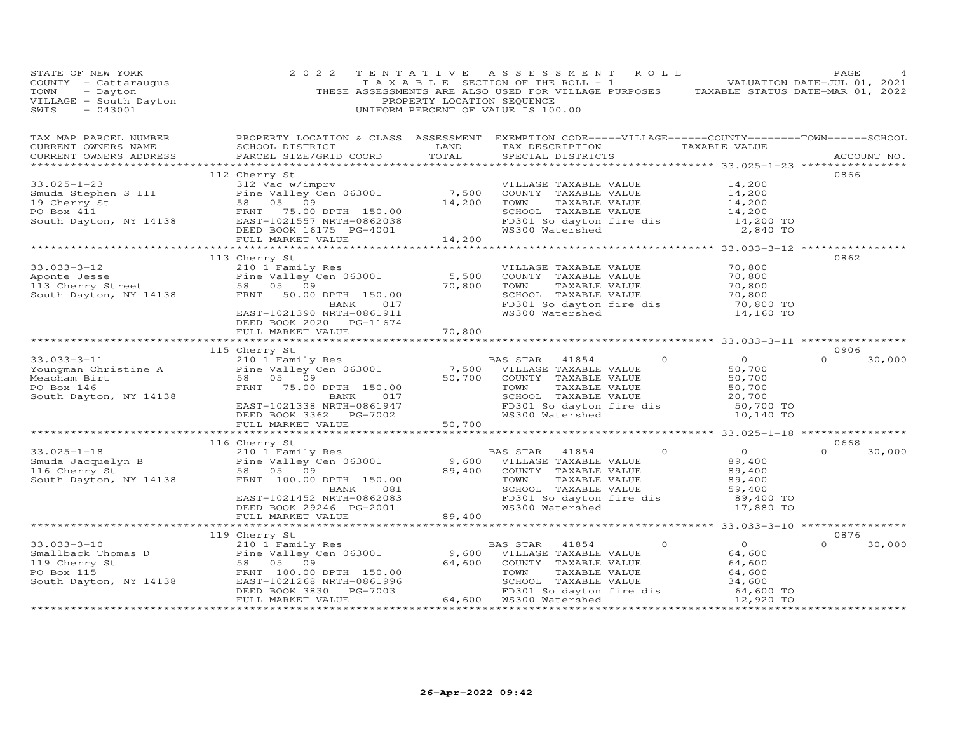| STATE OF NEW YORK<br>COUNTY - Cattaraugus<br>TOWN - Dayton<br>VILLAGE - South Dayton<br>SWIS - 043001 | 2 0 2 2                                                                                                                                                                                                                                                                 | PROPERTY LOCATION SEQUENCE            | TENTATIVE ASSESSMENT ROLL<br>FAGE 4<br>TAXABLE SECTION OF THE ROLL - 1<br>THESE ASSESSMENTS ARE ALSO USED FOR VILLAGE PURPOSES TAXABLE STATUS DATE-MAR 01, 2022<br>UNIFORM PERCENT OF VALUE IS 100.00 |                                      | PAGE                  |
|-------------------------------------------------------------------------------------------------------|-------------------------------------------------------------------------------------------------------------------------------------------------------------------------------------------------------------------------------------------------------------------------|---------------------------------------|-------------------------------------------------------------------------------------------------------------------------------------------------------------------------------------------------------|--------------------------------------|-----------------------|
| CURRENT OWNERS NAME<br>CURRENT OWNERS ADDRESS                                                         | TAX MAP PARCEL NUMBER FROPERTY LOCATION & CLASS ASSESSMENT EXEMPTION CODE-----VILLAGE------COUNTY--------TOWN------SCHOOL<br>SCHOOL DISTRICT<br>PARCEL SIZE/GRID COORD                                                                                                  | JN & CHAUC AND<br>LAND<br>COOPP TOTAL | TAX DESCRIPTION TAXABLE VALUE<br>SPECIAL DISTRICTS                                                                                                                                                    |                                      | ACCOUNT NO.           |
|                                                                                                       |                                                                                                                                                                                                                                                                         |                                       |                                                                                                                                                                                                       |                                      | 0866                  |
|                                                                                                       | 112 Cherry St                                                                                                                                                                                                                                                           |                                       |                                                                                                                                                                                                       |                                      |                       |
|                                                                                                       |                                                                                                                                                                                                                                                                         |                                       | VILLAGE TAXABLE VALUE<br>COUNTY   TAXABLE VALUE                                                                                                                                                       | 14,200<br>14,200<br>14,200<br>14,200 |                       |
|                                                                                                       |                                                                                                                                                                                                                                                                         |                                       |                                                                                                                                                                                                       |                                      |                       |
|                                                                                                       |                                                                                                                                                                                                                                                                         |                                       | COUNIT INANDER VALUE<br>TOWN TAXABLE VALUE<br>SCHOOL TAXABLE VALUE<br>FD301 So dayton fire dis<br>WS300 Watershed<br>2,840 TO                                                                         |                                      |                       |
|                                                                                                       |                                                                                                                                                                                                                                                                         |                                       |                                                                                                                                                                                                       |                                      |                       |
|                                                                                                       |                                                                                                                                                                                                                                                                         |                                       | WS300 Watershed                                                                                                                                                                                       |                                      |                       |
|                                                                                                       |                                                                                                                                                                                                                                                                         |                                       |                                                                                                                                                                                                       |                                      |                       |
|                                                                                                       |                                                                                                                                                                                                                                                                         |                                       |                                                                                                                                                                                                       |                                      | 0862                  |
|                                                                                                       | 113 Cherry St<br>113 Cherry St<br>210 1 Family Res<br>210 1 Family Res<br>210 1 Family Res<br>210 1 Family Res<br>210 1 Family Res<br>210 1 Family Res<br>210 1 Family Res<br>210 1 Family Res<br>210 1 Family Res<br>210 1 Family Res<br>200 1051011<br>200 1021390 NR |                                       |                                                                                                                                                                                                       |                                      |                       |
|                                                                                                       |                                                                                                                                                                                                                                                                         |                                       | VILLAGE TAXABLE VALUE 70,800<br>COUNTY TAXABLE VALUE 70,800<br>TOWN TAXABLE VALUE 70,800<br>SCHOOL TAXABLE VALUE 70,800<br>FD301 So dayton fire dis 70,800 TO                                         |                                      |                       |
|                                                                                                       |                                                                                                                                                                                                                                                                         |                                       | COUNTY TAXABLE VALUE<br>TOWN TAXABLE VALUE<br>SCHOOL TAXABLE VALUE                                                                                                                                    |                                      |                       |
|                                                                                                       |                                                                                                                                                                                                                                                                         |                                       |                                                                                                                                                                                                       |                                      |                       |
|                                                                                                       |                                                                                                                                                                                                                                                                         |                                       | FD301 So dayton fire dis<br>WS300 Watershed                                                                                                                                                           |                                      |                       |
|                                                                                                       |                                                                                                                                                                                                                                                                         |                                       | WS300 Watershed                                                                                                                                                                                       | 14,160 TO                            |                       |
|                                                                                                       | DEED BOOK 2020 PG-11674                                                                                                                                                                                                                                                 |                                       |                                                                                                                                                                                                       |                                      |                       |
|                                                                                                       | FULL MARKET VALUE                                                                                                                                                                                                                                                       | 70,800                                |                                                                                                                                                                                                       |                                      |                       |
|                                                                                                       | 115 Cherry St                                                                                                                                                                                                                                                           |                                       |                                                                                                                                                                                                       |                                      | 0906                  |
|                                                                                                       | 33.033-3-11 115 Cherry St<br>Youngman Christine A 210 1 Family Res<br>Meacham Birt 58 05 09<br>PO Box 146 FRNT 75.00 DFTH 150.00<br>South Dayton, NY 14138 EXET-1021338 NRTH-0861947 ED301 So dayton in The dis 50,700<br>DEED BOOK 336                                 |                                       |                                                                                                                                                                                                       |                                      | $\Omega$<br>30,000    |
|                                                                                                       |                                                                                                                                                                                                                                                                         |                                       |                                                                                                                                                                                                       |                                      |                       |
|                                                                                                       |                                                                                                                                                                                                                                                                         |                                       |                                                                                                                                                                                                       |                                      |                       |
|                                                                                                       |                                                                                                                                                                                                                                                                         |                                       |                                                                                                                                                                                                       |                                      |                       |
|                                                                                                       |                                                                                                                                                                                                                                                                         |                                       |                                                                                                                                                                                                       |                                      |                       |
|                                                                                                       |                                                                                                                                                                                                                                                                         |                                       |                                                                                                                                                                                                       |                                      |                       |
|                                                                                                       |                                                                                                                                                                                                                                                                         |                                       |                                                                                                                                                                                                       |                                      |                       |
|                                                                                                       |                                                                                                                                                                                                                                                                         |                                       |                                                                                                                                                                                                       |                                      |                       |
|                                                                                                       |                                                                                                                                                                                                                                                                         |                                       |                                                                                                                                                                                                       |                                      |                       |
|                                                                                                       | 116 Cherry St<br>33.025-1-18<br>Smuda Jacquelyn B<br>116 Cherry St<br>South Dayton, NY 14138<br>South Dayton, NY 14138<br>FRNT 100.00 DPTH 150.00                                                                                                                       |                                       | $\Omega$<br>BAS STAR 41854                                                                                                                                                                            | $\overline{0}$                       | 0668<br>$0 \t 30,000$ |
|                                                                                                       |                                                                                                                                                                                                                                                                         |                                       | 9,600 VILLAGE TAXABLE VALUE                                                                                                                                                                           | 89,400                               |                       |
|                                                                                                       |                                                                                                                                                                                                                                                                         | 89,400                                | COUNTY TAXABLE VALUE                                                                                                                                                                                  | 89,400                               |                       |
|                                                                                                       |                                                                                                                                                                                                                                                                         |                                       | TAXABLE VALUE<br>TOWN                                                                                                                                                                                 | 89,400                               |                       |
|                                                                                                       | FRNI 100.00 DE10 100.00<br>EAST-1021452 NRTH-0862083<br>DEED ROOK 29246 PG-2001                                                                                                                                                                                         |                                       | SCHOOL TAXABLE VALUE<br>FD301 So dayton fire dis                                                                                                                                                      | 59,400                               |                       |
|                                                                                                       |                                                                                                                                                                                                                                                                         |                                       |                                                                                                                                                                                                       | 89,400 TO                            |                       |
|                                                                                                       |                                                                                                                                                                                                                                                                         |                                       | WS300 Watershed                                                                                                                                                                                       | 17,880 TO                            |                       |
|                                                                                                       | FULL MARKET VALUE                                                                                                                                                                                                                                                       | 89,400                                |                                                                                                                                                                                                       |                                      |                       |
|                                                                                                       |                                                                                                                                                                                                                                                                         |                                       |                                                                                                                                                                                                       |                                      |                       |
|                                                                                                       |                                                                                                                                                                                                                                                                         |                                       | $\Omega$                                                                                                                                                                                              | $\overline{0}$                       | 0876<br>$\Omega$      |
|                                                                                                       |                                                                                                                                                                                                                                                                         |                                       |                                                                                                                                                                                                       |                                      | 30,000                |
|                                                                                                       |                                                                                                                                                                                                                                                                         |                                       |                                                                                                                                                                                                       | 64,600                               |                       |
|                                                                                                       |                                                                                                                                                                                                                                                                         |                                       |                                                                                                                                                                                                       |                                      |                       |
|                                                                                                       |                                                                                                                                                                                                                                                                         |                                       |                                                                                                                                                                                                       |                                      |                       |
|                                                                                                       |                                                                                                                                                                                                                                                                         |                                       | VILLAGE TAXABLE VALUE<br>COUNTY TAXABLE VALUE 64,600<br>TOWN TAXABLE VALUE 64,600<br>SCHOOL TAXABLE VALUE 64,600<br>FD301 So dayton fire dis 64,600 TO<br>WS300 Watershed 12,920 TO<br>12,920 TO      |                                      |                       |
|                                                                                                       |                                                                                                                                                                                                                                                                         |                                       |                                                                                                                                                                                                       |                                      |                       |
|                                                                                                       |                                                                                                                                                                                                                                                                         |                                       |                                                                                                                                                                                                       |                                      |                       |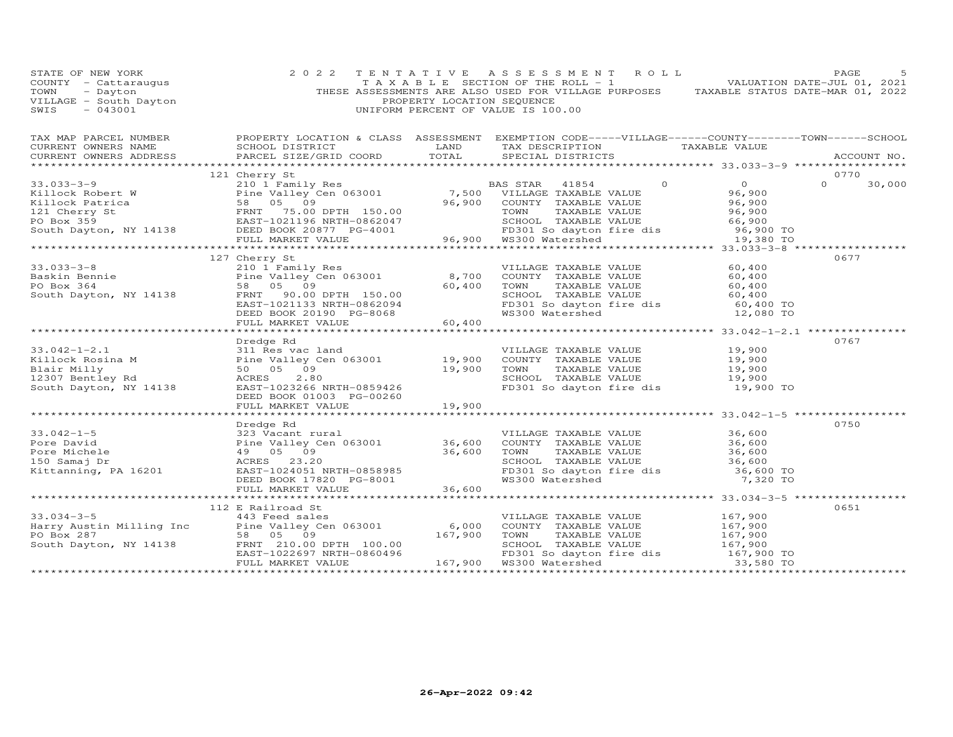| STATE OF NEW YORK                                                                                                                                                                                       | 2 0 2 2                                                                                                                                                                                        | TENTATIVE                  | A S S E S S M E N T R O L L                                                                                                                                                                                                       | PAGE<br>-5                  |
|---------------------------------------------------------------------------------------------------------------------------------------------------------------------------------------------------------|------------------------------------------------------------------------------------------------------------------------------------------------------------------------------------------------|----------------------------|-----------------------------------------------------------------------------------------------------------------------------------------------------------------------------------------------------------------------------------|-----------------------------|
| COUNTY - Cattaraugus                                                                                                                                                                                    |                                                                                                                                                                                                |                            | TAXABLE SECTION OF THE ROLL - 1                                                                                                                                                                                                   | VALUATION DATE-JUL 01, 2021 |
|                                                                                                                                                                                                         |                                                                                                                                                                                                |                            | THESE ASSESSMENTS ARE ALSO USED FOR VILLAGE PURPOSES TAXABLE STATUS DATE-MAR 01, 2022                                                                                                                                             |                             |
| COUNTY - Cattaraugus<br>TOWN - Dayton<br>VILLAGE - South Dayton<br>SWIS - 043001                                                                                                                        |                                                                                                                                                                                                | PROPERTY LOCATION SEQUENCE |                                                                                                                                                                                                                                   |                             |
| SWIS<br>$-043001$                                                                                                                                                                                       |                                                                                                                                                                                                |                            | UNIFORM PERCENT OF VALUE IS 100.00                                                                                                                                                                                                |                             |
|                                                                                                                                                                                                         |                                                                                                                                                                                                |                            |                                                                                                                                                                                                                                   |                             |
|                                                                                                                                                                                                         | TAX MAP PARCEL NUMBER THE PROPERTY LOCATION & CLASS ASSESSMENT EXEMPTION CODE-----VILLAGE------COUNTY-------TOWN------SCHOOL                                                                   |                            |                                                                                                                                                                                                                                   |                             |
| CURRENT OWNERS NAME                                                                                                                                                                                     |                                                                                                                                                                                                |                            |                                                                                                                                                                                                                                   |                             |
|                                                                                                                                                                                                         |                                                                                                                                                                                                |                            |                                                                                                                                                                                                                                   |                             |
|                                                                                                                                                                                                         |                                                                                                                                                                                                |                            |                                                                                                                                                                                                                                   |                             |
|                                                                                                                                                                                                         | 121 Cherry St                                                                                                                                                                                  |                            |                                                                                                                                                                                                                                   | 0770                        |
|                                                                                                                                                                                                         |                                                                                                                                                                                                |                            |                                                                                                                                                                                                                                   | $\Omega$<br>30,000          |
|                                                                                                                                                                                                         |                                                                                                                                                                                                |                            |                                                                                                                                                                                                                                   |                             |
|                                                                                                                                                                                                         |                                                                                                                                                                                                |                            |                                                                                                                                                                                                                                   |                             |
|                                                                                                                                                                                                         |                                                                                                                                                                                                |                            |                                                                                                                                                                                                                                   |                             |
|                                                                                                                                                                                                         |                                                                                                                                                                                                |                            |                                                                                                                                                                                                                                   |                             |
|                                                                                                                                                                                                         |                                                                                                                                                                                                |                            |                                                                                                                                                                                                                                   |                             |
|                                                                                                                                                                                                         |                                                                                                                                                                                                |                            |                                                                                                                                                                                                                                   |                             |
|                                                                                                                                                                                                         |                                                                                                                                                                                                |                            |                                                                                                                                                                                                                                   |                             |
| $33.033 - 3 - 8$                                                                                                                                                                                        | 127 Cherry St                                                                                                                                                                                  |                            |                                                                                                                                                                                                                                   | 0677                        |
|                                                                                                                                                                                                         |                                                                                                                                                                                                | 8,700                      |                                                                                                                                                                                                                                   |                             |
|                                                                                                                                                                                                         | 210 1 Family Res<br>Pine Valley Cen 063001<br>58 05 09                                                                                                                                         |                            |                                                                                                                                                                                                                                   |                             |
|                                                                                                                                                                                                         |                                                                                                                                                                                                |                            | VILLAGE TAXABLE VALUE $60,400$<br>COUNTY TAXABLE VALUE $60,400$<br>TOWN TAXABLE VALUE $60,400$<br>SCHOOL TAXABLE VALUE $60,400$<br>FD301 So dayton fire dis $60,400$ TO<br>WS300 Watershed 12,080 TO                              |                             |
|                                                                                                                                                                                                         |                                                                                                                                                                                                |                            |                                                                                                                                                                                                                                   |                             |
|                                                                                                                                                                                                         |                                                                                                                                                                                                |                            |                                                                                                                                                                                                                                   |                             |
|                                                                                                                                                                                                         | Pine valley Cen 003001<br>58 05 09<br>FRNT 90.00 DPTH 150.00<br>EAST-1021133 NRTH-0862094<br>DEED BOOK 20190 PG-8068<br>FULL MARKET VALUE 60,400                                               |                            |                                                                                                                                                                                                                                   |                             |
|                                                                                                                                                                                                         |                                                                                                                                                                                                |                            |                                                                                                                                                                                                                                   |                             |
|                                                                                                                                                                                                         | Dredge Rd                                                                                                                                                                                      |                            |                                                                                                                                                                                                                                   | 0767                        |
| $33.042 - 1 - 2.1$                                                                                                                                                                                      | 311 Res vac land                                                                                                                                                                               |                            | VILLAGE TAXABLE VALUE 19,900                                                                                                                                                                                                      |                             |
|                                                                                                                                                                                                         |                                                                                                                                                                                                |                            |                                                                                                                                                                                                                                   |                             |
| Killock Rosina M<br>Blair Milly<br>12307 Bentley Rd<br>South Bauton William                                                                                                                             | Pine Valley Cen 063001 19,900<br>50 05 09 19,900<br>ACRES 2.80 19,900                                                                                                                          |                            | VILLAGE TAXABLE VALUE 19,900<br>TOUNTY TAXABLE VALUE 19,900<br>SCHOOL TAXABLE VALUE 19,900<br>SCHOOL TAXABLE VALUE 19,900                                                                                                         |                             |
|                                                                                                                                                                                                         |                                                                                                                                                                                                |                            |                                                                                                                                                                                                                                   |                             |
| South Dayton, NY 14138                                                                                                                                                                                  | EAST-1023266 NRTH-0859426                                                                                                                                                                      |                            | FD301 So dayton fire dis 19,900 TO                                                                                                                                                                                                |                             |
|                                                                                                                                                                                                         | DEED BOOK 01003 PG-00260                                                                                                                                                                       |                            |                                                                                                                                                                                                                                   |                             |
|                                                                                                                                                                                                         | FULL MARKET VALUE                                                                                                                                                                              | 19,900                     |                                                                                                                                                                                                                                   |                             |
|                                                                                                                                                                                                         |                                                                                                                                                                                                |                            |                                                                                                                                                                                                                                   |                             |
| $33.042 - 1 - 5$                                                                                                                                                                                        | Dredge Rd                                                                                                                                                                                      |                            |                                                                                                                                                                                                                                   | 0750                        |
|                                                                                                                                                                                                         |                                                                                                                                                                                                |                            |                                                                                                                                                                                                                                   |                             |
|                                                                                                                                                                                                         |                                                                                                                                                                                                |                            |                                                                                                                                                                                                                                   |                             |
|                                                                                                                                                                                                         |                                                                                                                                                                                                |                            |                                                                                                                                                                                                                                   |                             |
| 33.042-1-5<br>Pore David<br>Pore Michele<br>150 Samaj Dr<br>Xittanning, PA 16201<br>Pore Samaj Dr<br>Xittanning, PA 16201<br>RES 23.20<br>RES 23.20<br>RES 23.20<br>RES 23.20<br>RES 23.20<br>RES 23.20 | 323 Vacant rural<br>91 - San Calley Cen 063001<br>9 - 05 - 09 36,600<br>ACRES 23.20<br>EAST-1024051 NRTH-0858985<br>DEED BOOK 17820 PG-8001<br>THE BOOK 17820 PG-8001                          |                            |                                                                                                                                                                                                                                   |                             |
|                                                                                                                                                                                                         |                                                                                                                                                                                                |                            |                                                                                                                                                                                                                                   |                             |
|                                                                                                                                                                                                         | FULL MARKET VALUE                                                                                                                                                                              | 36,600                     | COUNTY TAXABLE VALUE<br>TOWN TAXABLE VALUE<br>SCHOOL TAXABLE VALUE 36,600<br>FD301 So dayton fire dis 36,600 TO<br>WS300 Watershed 7,320 TO                                                                                       |                             |
|                                                                                                                                                                                                         |                                                                                                                                                                                                |                            |                                                                                                                                                                                                                                   | ***********                 |
|                                                                                                                                                                                                         | 112 E Railroad St                                                                                                                                                                              |                            |                                                                                                                                                                                                                                   | 0651                        |
|                                                                                                                                                                                                         | 112 E Railroad St<br>Harry Austin Milling Inc<br>Pine Valley Cen 063001 6,000<br>PO Box 287<br>So 05 09 167,900<br>South Dayton, NY 14138 FRNT 210.00 DPTH 100.00<br>EAST-1022697 NRTH-0860496 |                            | VILLAGE TAXABLE VALUE 167,900                                                                                                                                                                                                     |                             |
|                                                                                                                                                                                                         |                                                                                                                                                                                                |                            |                                                                                                                                                                                                                                   |                             |
|                                                                                                                                                                                                         |                                                                                                                                                                                                |                            |                                                                                                                                                                                                                                   |                             |
|                                                                                                                                                                                                         |                                                                                                                                                                                                |                            |                                                                                                                                                                                                                                   |                             |
|                                                                                                                                                                                                         |                                                                                                                                                                                                |                            | COUNTY TAXABLE VALUE<br>TOWN TAXABLE VALUE<br>TOWN TAXABLE VALUE<br>SCHOOL TAXABLE VALUE<br>SCHOOL TAXABLE VALUE<br>THE SCHOOL TAXABLE VALUE<br>167,900<br>FD301 So dayton fire dis<br>167,900 TO<br>NS300 Watershed<br>33,580 TO |                             |
|                                                                                                                                                                                                         | FULL MARKET VALUE                                                                                                                                                                              |                            | 167,900 WS300 Watershed                                                                                                                                                                                                           |                             |
|                                                                                                                                                                                                         |                                                                                                                                                                                                |                            |                                                                                                                                                                                                                                   |                             |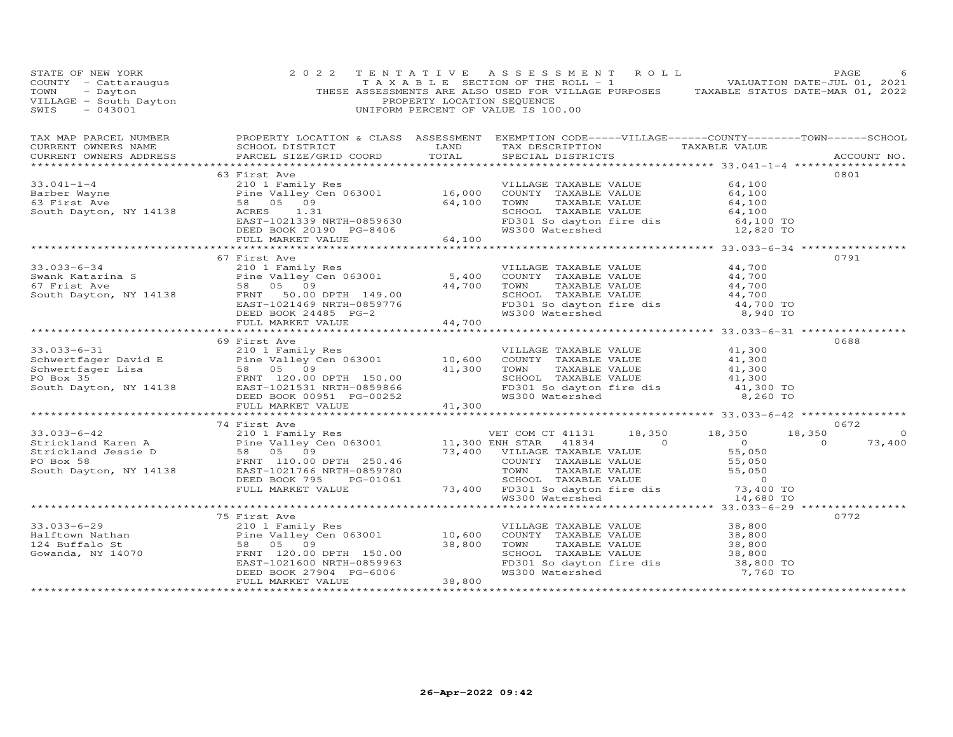| STATE OF NEW YORK<br>COUNTY - Cattaraugus<br>TOWN - Dayton<br>VILLAGE - South Dayton<br>----- - 043001                                                                                                                                          | 2 0 2 2                                                                                                                                                                                       | PROPERTY LOCATION SEQUENCE | TENTATIVE ASSESSMENT ROLL<br>TAXABLE SECTION OF THE ROLL - 1 VALUATION DATE-JUL 01, 2021<br>THESE ASSESSMENTS ARE ALSO USED FOR VILLAGE PURPOSES TAXABLE STATUS DATE-MAR 01, 2022<br>UNIFORM PERCENT OF VALUE IS 100.00 |               |                                                                                                                                                                                                                                                                                    | PAGE     |             |
|-------------------------------------------------------------------------------------------------------------------------------------------------------------------------------------------------------------------------------------------------|-----------------------------------------------------------------------------------------------------------------------------------------------------------------------------------------------|----------------------------|-------------------------------------------------------------------------------------------------------------------------------------------------------------------------------------------------------------------------|---------------|------------------------------------------------------------------------------------------------------------------------------------------------------------------------------------------------------------------------------------------------------------------------------------|----------|-------------|
| CURRENT OWNERS ADDRESS                                                                                                                                                                                                                          | PARCEL SIZE/GRID COORD                                                                                                                                                                        | TOTAL                      | SPECIAL DISTRICTS                                                                                                                                                                                                       |               |                                                                                                                                                                                                                                                                                    |          | ACCOUNT NO. |
|                                                                                                                                                                                                                                                 | 63 First Ave                                                                                                                                                                                  |                            |                                                                                                                                                                                                                         |               |                                                                                                                                                                                                                                                                                    | 0801     |             |
| $33.041 - 1 - 4$                                                                                                                                                                                                                                |                                                                                                                                                                                               |                            | VILLAGE TAXABLE VALUE                                                                                                                                                                                                   |               | 64,100                                                                                                                                                                                                                                                                             |          |             |
| Barber Wayne                                                                                                                                                                                                                                    |                                                                                                                                                                                               |                            | COUNTY TAXABLE VALUE 64,100<br>TOWN TAXABLE VALUE 64,100<br>SCHOOL TAXABLE VALUE 64,100                                                                                                                                 |               |                                                                                                                                                                                                                                                                                    |          |             |
| 63 First Ave                                                                                                                                                                                                                                    |                                                                                                                                                                                               |                            |                                                                                                                                                                                                                         |               |                                                                                                                                                                                                                                                                                    |          |             |
| South Dayton, NY 14138                                                                                                                                                                                                                          | 210 1 Family Res<br>Pine Valley Cen 063001 16,000<br>58 05 09 64,100<br>NY 14138 ACRES 1.31<br>ACRES 1.31<br>EAST-1021339 NRTH-0859630<br>DEED BOOK 20190 PG-8406<br>FULL MARKET VALUE 64,100 |                            |                                                                                                                                                                                                                         |               | CONCORRECT MARINE VALUE 64,100<br>FD301 So dayton fire dis 64,100 TO<br>WS300 Watershed 12,820 TO                                                                                                                                                                                  |          |             |
|                                                                                                                                                                                                                                                 |                                                                                                                                                                                               |                            |                                                                                                                                                                                                                         |               |                                                                                                                                                                                                                                                                                    |          |             |
|                                                                                                                                                                                                                                                 |                                                                                                                                                                                               |                            |                                                                                                                                                                                                                         |               |                                                                                                                                                                                                                                                                                    |          |             |
|                                                                                                                                                                                                                                                 |                                                                                                                                                                                               |                            |                                                                                                                                                                                                                         |               |                                                                                                                                                                                                                                                                                    |          |             |
|                                                                                                                                                                                                                                                 | 67 First Ave                                                                                                                                                                                  |                            |                                                                                                                                                                                                                         |               |                                                                                                                                                                                                                                                                                    | 0791     |             |
|                                                                                                                                                                                                                                                 |                                                                                                                                                                                               |                            |                                                                                                                                                                                                                         |               |                                                                                                                                                                                                                                                                                    |          |             |
|                                                                                                                                                                                                                                                 |                                                                                                                                                                                               |                            |                                                                                                                                                                                                                         |               |                                                                                                                                                                                                                                                                                    |          |             |
|                                                                                                                                                                                                                                                 |                                                                                                                                                                                               |                            |                                                                                                                                                                                                                         |               |                                                                                                                                                                                                                                                                                    |          |             |
|                                                                                                                                                                                                                                                 |                                                                                                                                                                                               |                            |                                                                                                                                                                                                                         |               |                                                                                                                                                                                                                                                                                    |          |             |
|                                                                                                                                                                                                                                                 |                                                                                                                                                                                               |                            |                                                                                                                                                                                                                         |               | VILLAGE TAXABLE VALUE $44,700$<br>COUNTY TAXABLE VALUE $44,700$<br>TOWN TAXABLE VALUE $44,700$<br>SCHOOL TAXABLE VALUE $44,700$<br>FD301 So dayton fire dis $44,700$ TO                                                                                                            |          |             |
|                                                                                                                                                                                                                                                 |                                                                                                                                                                                               |                            | FD301 So dayton fire dis<br>WS300 Watershed                                                                                                                                                                             |               | 8,940 TO                                                                                                                                                                                                                                                                           |          |             |
| 33.033-6-34<br>Swank Katarina S<br>Swank Katarina S<br>First Ave Pine Valley Cen 063001<br>South Dayton, NY 14138<br>South Dayton, NY 14138<br>FRNT 50.00 DPTH 149.00<br>EAST-1021469 NRTH-0859776<br>DEED BOOK 24485 PG-2<br>FULL MARKET VALUE |                                                                                                                                                                                               |                            |                                                                                                                                                                                                                         |               |                                                                                                                                                                                                                                                                                    |          |             |
|                                                                                                                                                                                                                                                 |                                                                                                                                                                                               |                            |                                                                                                                                                                                                                         |               |                                                                                                                                                                                                                                                                                    |          |             |
|                                                                                                                                                                                                                                                 | 69 First Ave                                                                                                                                                                                  |                            |                                                                                                                                                                                                                         |               |                                                                                                                                                                                                                                                                                    | 0688     |             |
|                                                                                                                                                                                                                                                 |                                                                                                                                                                                               |                            |                                                                                                                                                                                                                         |               |                                                                                                                                                                                                                                                                                    |          |             |
|                                                                                                                                                                                                                                                 |                                                                                                                                                                                               |                            |                                                                                                                                                                                                                         |               |                                                                                                                                                                                                                                                                                    |          |             |
|                                                                                                                                                                                                                                                 |                                                                                                                                                                                               |                            |                                                                                                                                                                                                                         |               |                                                                                                                                                                                                                                                                                    |          |             |
| 33.033-6-31<br>Schwertfager David E<br>Schwertfager Lisa<br>Schwertfager Lisa<br>Sexternal Communication of the Valley Cen 063001<br>Schwertfager Lisa<br>Sexternal Communication of the Same Communication of the South Dayton, NY 14138<br>   |                                                                                                                                                                                               |                            | PD301 So dayton fire dis<br>WS300 Watershed                                                                                                                                                                             |               | VILLAGE TAXABLE VALUE $\begin{array}{ccc} 41,300 \ \text{COUNTY} & \text{TAXABLE VALUE} & 41,300 \ \text{TOWN} & \text{TAXABLE VALUE} & 41,300 \ \text{SCHOOL} & \text{TAXABLE VALUE} & 41,300 \ \text{FD301 So dayton fire dis} & 41,300 \ \text{FD301} & & 41,300 \ \end{array}$ |          |             |
|                                                                                                                                                                                                                                                 | DEED BOOK 00951 PG-00252                                                                                                                                                                      |                            |                                                                                                                                                                                                                         |               | 8,260 TO                                                                                                                                                                                                                                                                           |          |             |
|                                                                                                                                                                                                                                                 | FULL MARKET VALUE                                                                                                                                                                             | 41,300                     |                                                                                                                                                                                                                         |               |                                                                                                                                                                                                                                                                                    |          |             |
|                                                                                                                                                                                                                                                 |                                                                                                                                                                                               |                            |                                                                                                                                                                                                                         |               |                                                                                                                                                                                                                                                                                    |          |             |
|                                                                                                                                                                                                                                                 |                                                                                                                                                                                               |                            |                                                                                                                                                                                                                         |               |                                                                                                                                                                                                                                                                                    | 0672     |             |
|                                                                                                                                                                                                                                                 |                                                                                                                                                                                               |                            |                                                                                                                                                                                                                         |               |                                                                                                                                                                                                                                                                                    | 18,350   | $\Omega$    |
|                                                                                                                                                                                                                                                 |                                                                                                                                                                                               |                            |                                                                                                                                                                                                                         |               |                                                                                                                                                                                                                                                                                    | $\Omega$ | 73,400      |
|                                                                                                                                                                                                                                                 |                                                                                                                                                                                               |                            |                                                                                                                                                                                                                         |               |                                                                                                                                                                                                                                                                                    |          |             |
|                                                                                                                                                                                                                                                 |                                                                                                                                                                                               |                            |                                                                                                                                                                                                                         |               |                                                                                                                                                                                                                                                                                    |          |             |
|                                                                                                                                                                                                                                                 |                                                                                                                                                                                               |                            |                                                                                                                                                                                                                         |               |                                                                                                                                                                                                                                                                                    |          |             |
|                                                                                                                                                                                                                                                 |                                                                                                                                                                                               |                            |                                                                                                                                                                                                                         |               | 73,400 TO                                                                                                                                                                                                                                                                          |          |             |
|                                                                                                                                                                                                                                                 |                                                                                                                                                                                               |                            |                                                                                                                                                                                                                         |               | 14,680 TO                                                                                                                                                                                                                                                                          |          |             |
|                                                                                                                                                                                                                                                 |                                                                                                                                                                                               |                            |                                                                                                                                                                                                                         |               |                                                                                                                                                                                                                                                                                    |          |             |
|                                                                                                                                                                                                                                                 | 75 First Ave                                                                                                                                                                                  |                            |                                                                                                                                                                                                                         |               |                                                                                                                                                                                                                                                                                    | 0772     |             |
|                                                                                                                                                                                                                                                 |                                                                                                                                                                                               |                            | VILLAGE TAXABLE VALUE                                                                                                                                                                                                   |               |                                                                                                                                                                                                                                                                                    |          |             |
|                                                                                                                                                                                                                                                 |                                                                                                                                                                                               |                            | VILLAGE IAXABLE VALUE<br>COUNTY TAXABLE VALUE                                                                                                                                                                           |               | 38,800<br>38,800                                                                                                                                                                                                                                                                   |          |             |
|                                                                                                                                                                                                                                                 |                                                                                                                                                                                               |                            | TOWN                                                                                                                                                                                                                    | TAXABLE VALUE | 38,800                                                                                                                                                                                                                                                                             |          |             |
|                                                                                                                                                                                                                                                 |                                                                                                                                                                                               |                            |                                                                                                                                                                                                                         |               |                                                                                                                                                                                                                                                                                    |          |             |
|                                                                                                                                                                                                                                                 |                                                                                                                                                                                               |                            |                                                                                                                                                                                                                         |               |                                                                                                                                                                                                                                                                                    |          |             |
|                                                                                                                                                                                                                                                 | DEED BOOK 27904 PG-6006                                                                                                                                                                       |                            |                                                                                                                                                                                                                         |               |                                                                                                                                                                                                                                                                                    |          |             |
| ***********************                                                                                                                                                                                                                         | FULL MARKET VALUE<br>***********************                                                                                                                                                  | 38,800                     |                                                                                                                                                                                                                         |               |                                                                                                                                                                                                                                                                                    |          |             |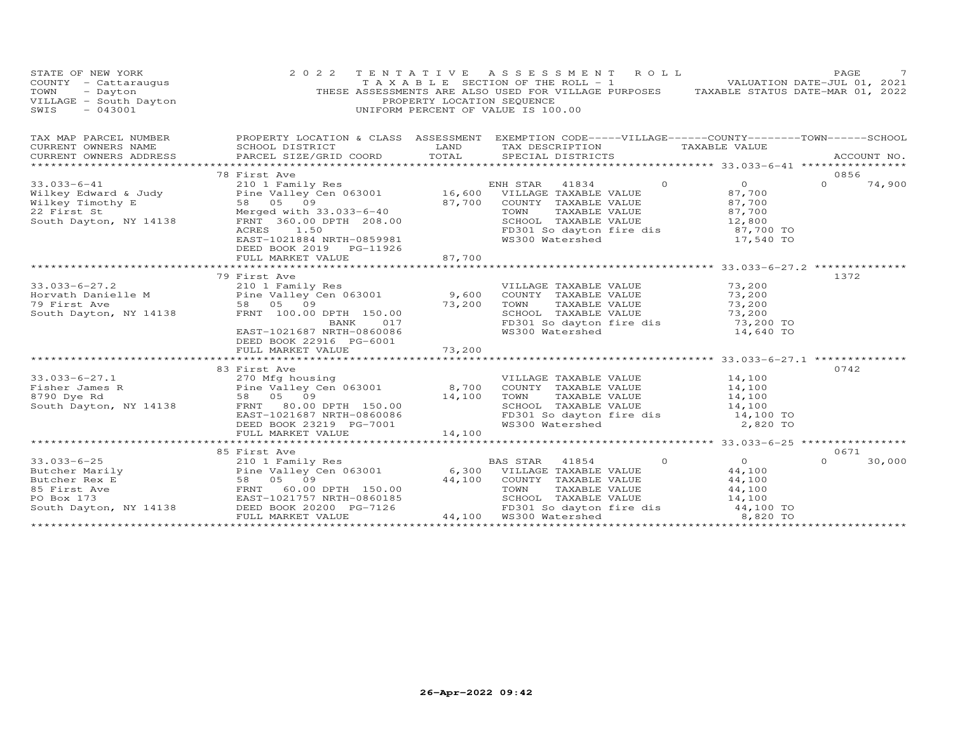| STATE OF NEW YORK<br>COUNTY - Cattaraugus<br>TOWN<br>- Dayton<br>VILLAGE - South Dayton<br>$-043001$<br>SWIS | 2 0 2 2                                                                                                                                                                                                                                                                                                                                                                                                                               | TENTATIVE<br>PROPERTY LOCATION SEQUENCE | ASSESSMENT ROLL<br>T A X A B L E SECTION OF THE ROLL - 1<br>THESE ASSESSMENTS ARE ALSO USED FOR VILLAGE PURPOSES TAXABLE STATUS DATE-MAR 01, 2022<br>UNIFORM PERCENT OF VALUE IS 100.00 | VALUATION DATE-JUL 01, 2021 | PAGE               |
|--------------------------------------------------------------------------------------------------------------|---------------------------------------------------------------------------------------------------------------------------------------------------------------------------------------------------------------------------------------------------------------------------------------------------------------------------------------------------------------------------------------------------------------------------------------|-----------------------------------------|-----------------------------------------------------------------------------------------------------------------------------------------------------------------------------------------|-----------------------------|--------------------|
| TAX MAP PARCEL NUMBER                                                                                        | PROPERTY LOCATION & CLASS ASSESSMENT EXEMPTION CODE-----VILLAGE------COUNTY-------TOWN------SCHOOL                                                                                                                                                                                                                                                                                                                                    |                                         |                                                                                                                                                                                         |                             |                    |
| CURRENT OWNERS NAME                                                                                          | SCHOOL DISTRICT                                                                                                                                                                                                                                                                                                                                                                                                                       | LAND                                    | TAX DESCRIPTION                                                                                                                                                                         | TAXABLE VALUE               |                    |
| CURRENT OWNERS ADDRESS                                                                                       | PARCEL SIZE/GRID COORD                                                                                                                                                                                                                                                                                                                                                                                                                | TOTAL                                   | SPECIAL DISTRICTS                                                                                                                                                                       |                             | ACCOUNT NO.        |
|                                                                                                              | 78 First Ave                                                                                                                                                                                                                                                                                                                                                                                                                          |                                         |                                                                                                                                                                                         |                             | 0856               |
| $33.033 - 6 - 41$                                                                                            | 210 1 Family Res<br>Pine Valley Cen 063001 16,600 VILLAGE TAXABLE VALUE<br>58 05 09 87,700 COUNTY TAXABLE VALUE<br>Merged with 33.033-6-40 70WN TAXABLE VALUE                                                                                                                                                                                                                                                                         |                                         | $\Omega$                                                                                                                                                                                | $\overline{O}$              | $\Omega$<br>74,900 |
| Wilkey Edward & Judy                                                                                         |                                                                                                                                                                                                                                                                                                                                                                                                                                       |                                         |                                                                                                                                                                                         | 87,700                      |                    |
| Wilkey Timothy E                                                                                             |                                                                                                                                                                                                                                                                                                                                                                                                                                       |                                         |                                                                                                                                                                                         | 87,700                      |                    |
| 22 First St                                                                                                  |                                                                                                                                                                                                                                                                                                                                                                                                                                       |                                         |                                                                                                                                                                                         | 87,700                      |                    |
| South Dayton, NY 14138                                                                                       | FRNT 360.00 DPTH 208.00                                                                                                                                                                                                                                                                                                                                                                                                               |                                         | SCHOOL TAXABLE VALUE                                                                                                                                                                    | 12,800<br>87,700 TO         |                    |
|                                                                                                              | ACRES<br>1.50<br>EAST-1021884 NRTH-0859981                                                                                                                                                                                                                                                                                                                                                                                            |                                         | FD301 So dayton fire dis<br>WS300 Watershed                                                                                                                                             | 17,540 TO                   |                    |
|                                                                                                              | DEED BOOK 2019 PG-11926                                                                                                                                                                                                                                                                                                                                                                                                               |                                         |                                                                                                                                                                                         |                             |                    |
|                                                                                                              | FULL MARKET VALUE                                                                                                                                                                                                                                                                                                                                                                                                                     | 87,700                                  |                                                                                                                                                                                         |                             |                    |
|                                                                                                              | 79 First Ave                                                                                                                                                                                                                                                                                                                                                                                                                          |                                         |                                                                                                                                                                                         |                             | 1372               |
| $33.033 - 6 - 27.2$                                                                                          | 210 1 Family Res                                                                                                                                                                                                                                                                                                                                                                                                                      |                                         | VILLAGE TAXABLE VALUE                                                                                                                                                                   | 73,200                      |                    |
|                                                                                                              |                                                                                                                                                                                                                                                                                                                                                                                                                                       |                                         | COUNTY TAXABLE VALUE                                                                                                                                                                    | 73,200                      |                    |
|                                                                                                              | Forvath Danielle M<br>The Valley Cen 063001 9,600<br>79 First Ave 58 05 09 73,200                                                                                                                                                                                                                                                                                                                                                     |                                         | TOWN<br>TAXABLE VALUE                                                                                                                                                                   | 73,200                      |                    |
| South Dayton, NY 14138                                                                                       | FRNT 100.00 DPTH 150.00                                                                                                                                                                                                                                                                                                                                                                                                               |                                         | SCHOOL TAXABLE VALUE                                                                                                                                                                    | 73,200                      |                    |
|                                                                                                              | BANK<br>017                                                                                                                                                                                                                                                                                                                                                                                                                           |                                         | SCHOOD Innoces<br>FD301 So dayton fire dis<br>------ Watershad                                                                                                                          | 73,200 TO                   |                    |
|                                                                                                              | EAST-1021687 NRTH-0860086                                                                                                                                                                                                                                                                                                                                                                                                             |                                         |                                                                                                                                                                                         | 14,640 TO                   |                    |
|                                                                                                              | DEED BOOK 22916 PG-6001<br>FULL MARKET VALUE                                                                                                                                                                                                                                                                                                                                                                                          | 73,200                                  |                                                                                                                                                                                         |                             |                    |
|                                                                                                              |                                                                                                                                                                                                                                                                                                                                                                                                                                       |                                         |                                                                                                                                                                                         |                             |                    |
|                                                                                                              | 83 First Ave                                                                                                                                                                                                                                                                                                                                                                                                                          |                                         |                                                                                                                                                                                         |                             | 0742               |
| $33.033 - 6 - 27.1$                                                                                          | 270 Mfg housing                                                                                                                                                                                                                                                                                                                                                                                                                       |                                         | VILLAGE TAXABLE VALUE                                                                                                                                                                   | 14,100                      |                    |
| Fisher James R                                                                                               | Pine Valley Cen 063001 8,700<br>58 05 09 14,100                                                                                                                                                                                                                                                                                                                                                                                       |                                         | COUNTY TAXABLE VALUE                                                                                                                                                                    | $14,100$<br>$14,100$        |                    |
| 8790 Dye Rd                                                                                                  |                                                                                                                                                                                                                                                                                                                                                                                                                                       |                                         | TOWN<br>TAXABLE VALUE                                                                                                                                                                   |                             |                    |
|                                                                                                              | South Dayton, NY 14138 FRNT 80.00 DPTH 150.00                                                                                                                                                                                                                                                                                                                                                                                         |                                         | SCHOOL TAXABLE VALUE                                                                                                                                                                    | 14,100                      |                    |
|                                                                                                              | EAST-1021687 NRTH-0860086<br>DEED BOOK 23219 PG-7001                                                                                                                                                                                                                                                                                                                                                                                  |                                         | FD301 So dayton fire dis<br>WS300 Watershed                                                                                                                                             | 14,100 TO<br>2,820 TO       |                    |
|                                                                                                              | FULL MARKET VALUE                                                                                                                                                                                                                                                                                                                                                                                                                     | 14,100                                  |                                                                                                                                                                                         |                             |                    |
|                                                                                                              |                                                                                                                                                                                                                                                                                                                                                                                                                                       |                                         |                                                                                                                                                                                         |                             |                    |
|                                                                                                              | 85 First Ave                                                                                                                                                                                                                                                                                                                                                                                                                          |                                         |                                                                                                                                                                                         |                             | 0671               |
|                                                                                                              |                                                                                                                                                                                                                                                                                                                                                                                                                                       |                                         | $\Omega$                                                                                                                                                                                | $\overline{O}$              | 30,000<br>$\Omega$ |
|                                                                                                              |                                                                                                                                                                                                                                                                                                                                                                                                                                       |                                         |                                                                                                                                                                                         | 44,100                      |                    |
|                                                                                                              | $\begin{array}{cccccc} 33.033-6-25 & 2101\text{ Family Res} & \text{BAS STAR} & 41854 \\ \text{Butcher Marilyn} & \text{Pine Valley Cen 063001} & 6,300 & \text{VILLAGE TABLE VALUE} \\ \text{Butcher Rex E} & 58 & 05 & 09 & 44,100 & \text{COUNTY TAXABLE VALUE} \\ \text{PO Box 173} & \text{EAST-1021757 NRTH-0860185} & \text{SCHOOL TAXABLE VALUE} \\ \text{South Dayton, NY 14138} & \text{DEED BOK} & \text{PCHO.} & \text{P$ |                                         |                                                                                                                                                                                         | 44,100<br>44,100            |                    |
|                                                                                                              |                                                                                                                                                                                                                                                                                                                                                                                                                                       |                                         |                                                                                                                                                                                         |                             |                    |
|                                                                                                              |                                                                                                                                                                                                                                                                                                                                                                                                                                       |                                         |                                                                                                                                                                                         | $14,100$<br>$44,100$ TO     |                    |
|                                                                                                              | FULL MARKET VALUE                                                                                                                                                                                                                                                                                                                                                                                                                     |                                         | FD301 So dayton fire dis<br>WS300 Watershed<br>44,100 WS300 Watershed                                                                                                                   | 8,820 TO                    |                    |
|                                                                                                              |                                                                                                                                                                                                                                                                                                                                                                                                                                       |                                         |                                                                                                                                                                                         |                             |                    |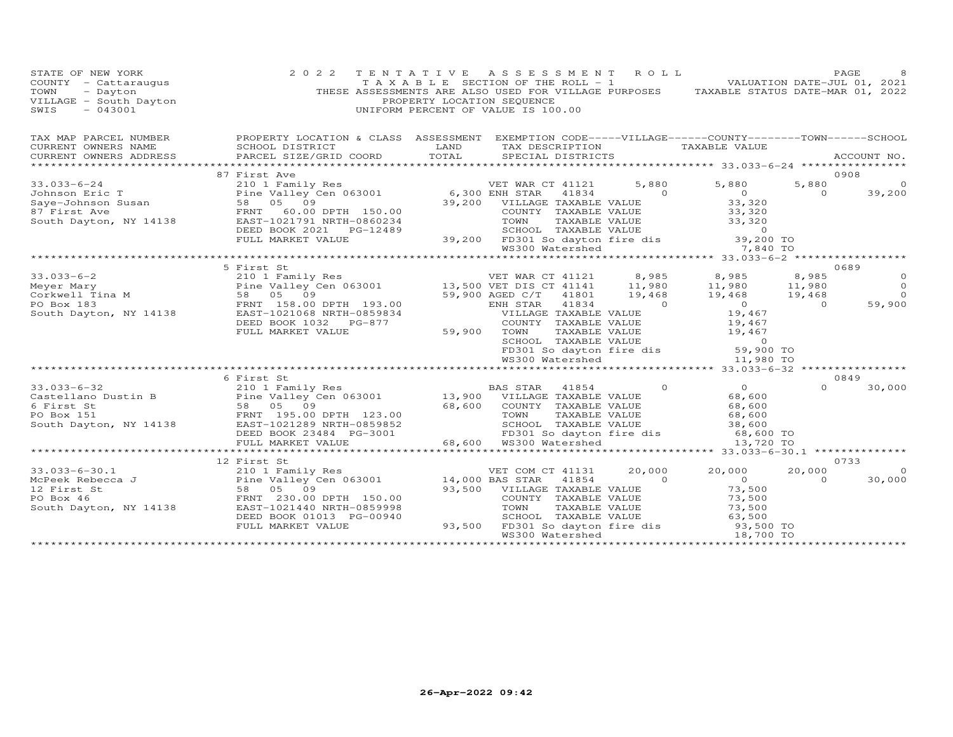| STATE OF NEW YORK<br>COUNTY - Cattaraugus<br>TOWN<br>- Dayton<br>VILLAGE - South Dayton<br>SWIS<br>$-043001$                                                                                                                                                                                                                                 | 2 0 2 2                                                                                                                                                                |                               | TENTATIVE ASSESSMENT ROLL<br>TAXABLE SECTION OF THE ROLL - 1 VALUATION DATE-JUL 01, 2021<br>THESE ASSESSMENTS ARE ALSO USED FOR VILLAGE PURPOSES TAXABLE STATUS DATE-MAR 01, 2022<br>PROPERTY LOCATION SEQUENCE<br>UNIFORM PERCENT OF VALUE IS 100.00 |                                                                                                                                                                                                                                                                                                                                    |                                            |                | PAGE        |
|----------------------------------------------------------------------------------------------------------------------------------------------------------------------------------------------------------------------------------------------------------------------------------------------------------------------------------------------|------------------------------------------------------------------------------------------------------------------------------------------------------------------------|-------------------------------|-------------------------------------------------------------------------------------------------------------------------------------------------------------------------------------------------------------------------------------------------------|------------------------------------------------------------------------------------------------------------------------------------------------------------------------------------------------------------------------------------------------------------------------------------------------------------------------------------|--------------------------------------------|----------------|-------------|
| TAX MAP PARCEL NUMBER                                                                                                                                                                                                                                                                                                                        | PROPERTY LOCATION & CLASS ASSESSMENT EXEMPTION CODE-----VILLAGE------COUNTY-------TOWN------SCHOOL                                                                     |                               |                                                                                                                                                                                                                                                       |                                                                                                                                                                                                                                                                                                                                    |                                            |                |             |
| CURRENT OWNERS NAME                                                                                                                                                                                                                                                                                                                          | SCHOOL DISTRICT                                                                                                                                                        | LAND                          | TAX DESCRIPTION TAXABLE VALUE                                                                                                                                                                                                                         |                                                                                                                                                                                                                                                                                                                                    |                                            |                |             |
| CURRENT OWNERS ADDRESS                                                                                                                                                                                                                                                                                                                       | PARCEL SIZE/GRID COORD TOTAL                                                                                                                                           |                               | SPECIAL DISTRICTS                                                                                                                                                                                                                                     |                                                                                                                                                                                                                                                                                                                                    |                                            |                | ACCOUNT NO. |
|                                                                                                                                                                                                                                                                                                                                              | 87 First Ave                                                                                                                                                           |                               |                                                                                                                                                                                                                                                       |                                                                                                                                                                                                                                                                                                                                    |                                            |                | 0908        |
| $33.033 - 6 - 24$                                                                                                                                                                                                                                                                                                                            | First Ave<br>210 1 Family Res<br>210 1 Family Res<br>58 05 09<br>FRNT 60.00 DPTH 150.00<br>EAST-1021791 NRTH-0860234<br>EAST-1021791 NRTH-0860234<br>TOWN TAXABLE VALU |                               |                                                                                                                                                                                                                                                       |                                                                                                                                                                                                                                                                                                                                    | 5,880 5,880                                | 5,880          | $\circ$     |
|                                                                                                                                                                                                                                                                                                                                              |                                                                                                                                                                        |                               |                                                                                                                                                                                                                                                       | $\sim$ 000 $\sim$ 000 $\sim$ 000 $\sim$                                                                                                                                                                                                                                                                                            |                                            | $\overline{0}$ | 39,200      |
|                                                                                                                                                                                                                                                                                                                                              |                                                                                                                                                                        |                               | 39,200 VILLAGE TAXABLE VALUE                                                                                                                                                                                                                          |                                                                                                                                                                                                                                                                                                                                    | $\begin{array}{c} 0 \\ 33,320 \end{array}$ |                |             |
|                                                                                                                                                                                                                                                                                                                                              |                                                                                                                                                                        |                               |                                                                                                                                                                                                                                                       |                                                                                                                                                                                                                                                                                                                                    |                                            |                |             |
|                                                                                                                                                                                                                                                                                                                                              |                                                                                                                                                                        |                               | 0.00 COUNTY TAXABLE VALUE 33,320<br>2489 SCHOOL TAXABLE VALUE 33,320<br>2489 SCHOOL TAXABLE VALUE 33,320<br>39,200 FD301 So dayton fire dis 39,200 TO<br>WS300 Watershed 7,840 TO                                                                     |                                                                                                                                                                                                                                                                                                                                    |                                            |                |             |
|                                                                                                                                                                                                                                                                                                                                              | DEED BOOK 2021    PG-12489                                                                                                                                             |                               |                                                                                                                                                                                                                                                       |                                                                                                                                                                                                                                                                                                                                    |                                            |                |             |
|                                                                                                                                                                                                                                                                                                                                              | FULL MARKET VALUE                                                                                                                                                      |                               |                                                                                                                                                                                                                                                       |                                                                                                                                                                                                                                                                                                                                    |                                            |                |             |
|                                                                                                                                                                                                                                                                                                                                              |                                                                                                                                                                        |                               |                                                                                                                                                                                                                                                       |                                                                                                                                                                                                                                                                                                                                    |                                            |                |             |
|                                                                                                                                                                                                                                                                                                                                              |                                                                                                                                                                        |                               |                                                                                                                                                                                                                                                       |                                                                                                                                                                                                                                                                                                                                    |                                            |                | 0689        |
|                                                                                                                                                                                                                                                                                                                                              |                                                                                                                                                                        |                               |                                                                                                                                                                                                                                                       |                                                                                                                                                                                                                                                                                                                                    |                                            |                | $\circ$     |
|                                                                                                                                                                                                                                                                                                                                              |                                                                                                                                                                        |                               |                                                                                                                                                                                                                                                       |                                                                                                                                                                                                                                                                                                                                    |                                            |                | $\circ$     |
|                                                                                                                                                                                                                                                                                                                                              |                                                                                                                                                                        |                               |                                                                                                                                                                                                                                                       |                                                                                                                                                                                                                                                                                                                                    |                                            |                | $\Omega$    |
|                                                                                                                                                                                                                                                                                                                                              |                                                                                                                                                                        |                               |                                                                                                                                                                                                                                                       |                                                                                                                                                                                                                                                                                                                                    |                                            |                | 59,900      |
|                                                                                                                                                                                                                                                                                                                                              |                                                                                                                                                                        |                               |                                                                                                                                                                                                                                                       |                                                                                                                                                                                                                                                                                                                                    |                                            |                |             |
|                                                                                                                                                                                                                                                                                                                                              | DEED BOOK 1032 PG-877                                                                                                                                                  |                               |                                                                                                                                                                                                                                                       |                                                                                                                                                                                                                                                                                                                                    |                                            |                |             |
|                                                                                                                                                                                                                                                                                                                                              | FULL MARKET VALUE                                                                                                                                                      | VILLF<br>COUNT<br>59,900 TOWN | 19,467<br>TOWN TAXABLE VALUE<br>SCHOOL TAXABLE VALUE<br>FD301 So dayton fire dis<br>WS300 Watershed<br>The MS300 Watershed<br>The MS300 Watershed<br>The MS300 Watershed<br>The MS300 Watershed<br>The MS300 Watershed<br>The MS300 Watershed<br>The  |                                                                                                                                                                                                                                                                                                                                    |                                            |                |             |
|                                                                                                                                                                                                                                                                                                                                              |                                                                                                                                                                        |                               |                                                                                                                                                                                                                                                       |                                                                                                                                                                                                                                                                                                                                    |                                            |                |             |
|                                                                                                                                                                                                                                                                                                                                              |                                                                                                                                                                        |                               |                                                                                                                                                                                                                                                       |                                                                                                                                                                                                                                                                                                                                    |                                            |                |             |
|                                                                                                                                                                                                                                                                                                                                              |                                                                                                                                                                        |                               |                                                                                                                                                                                                                                                       |                                                                                                                                                                                                                                                                                                                                    |                                            |                |             |
|                                                                                                                                                                                                                                                                                                                                              | 6 First St                                                                                                                                                             |                               |                                                                                                                                                                                                                                                       |                                                                                                                                                                                                                                                                                                                                    |                                            |                | 0849        |
|                                                                                                                                                                                                                                                                                                                                              |                                                                                                                                                                        |                               |                                                                                                                                                                                                                                                       |                                                                                                                                                                                                                                                                                                                                    | $\begin{array}{c} 0 \\ 68 \end{array}$     | $\Omega$       | 30,000      |
|                                                                                                                                                                                                                                                                                                                                              |                                                                                                                                                                        |                               |                                                                                                                                                                                                                                                       |                                                                                                                                                                                                                                                                                                                                    |                                            |                |             |
|                                                                                                                                                                                                                                                                                                                                              |                                                                                                                                                                        |                               |                                                                                                                                                                                                                                                       |                                                                                                                                                                                                                                                                                                                                    | 68,600                                     |                |             |
|                                                                                                                                                                                                                                                                                                                                              |                                                                                                                                                                        |                               |                                                                                                                                                                                                                                                       |                                                                                                                                                                                                                                                                                                                                    | 68,600                                     |                |             |
|                                                                                                                                                                                                                                                                                                                                              |                                                                                                                                                                        |                               |                                                                                                                                                                                                                                                       |                                                                                                                                                                                                                                                                                                                                    |                                            |                |             |
| 33.033-6-32<br>Castellano Dustin B<br>EXECUTE TO DETERMINE PRINCE TO BAS STAR 41854<br>FIRM 13,900 VILLAGE TAXABLE VALUE<br>FIRM 195.00 DPTH 123.00<br>FO Box 151<br>FIRM 195.00 DPTH 123.00<br>EXECUTE TO BOX 151<br>FIRM 195.00 DPTH 123.00<br>                                                                                            |                                                                                                                                                                        |                               |                                                                                                                                                                                                                                                       |                                                                                                                                                                                                                                                                                                                                    |                                            |                |             |
|                                                                                                                                                                                                                                                                                                                                              |                                                                                                                                                                        |                               |                                                                                                                                                                                                                                                       |                                                                                                                                                                                                                                                                                                                                    |                                            |                |             |
|                                                                                                                                                                                                                                                                                                                                              | 12 First St                                                                                                                                                            |                               |                                                                                                                                                                                                                                                       |                                                                                                                                                                                                                                                                                                                                    |                                            |                | 0733        |
|                                                                                                                                                                                                                                                                                                                                              |                                                                                                                                                                        |                               | VET COM CT 41131                                                                                                                                                                                                                                      | 20,000                                                                                                                                                                                                                                                                                                                             | 20,000                                     | 20,000         | $\circ$     |
|                                                                                                                                                                                                                                                                                                                                              |                                                                                                                                                                        |                               | 41854                                                                                                                                                                                                                                                 | $\overline{a}$ and $\overline{a}$ and $\overline{a}$ and $\overline{a}$ and $\overline{a}$ and $\overline{a}$ and $\overline{a}$ and $\overline{a}$ and $\overline{a}$ and $\overline{a}$ and $\overline{a}$ and $\overline{a}$ and $\overline{a}$ and $\overline{a}$ and $\overline{a}$ and $\overline{a}$ and $\overline{a}$ and | $\overline{0}$                             | $\Omega$       | 30,000      |
|                                                                                                                                                                                                                                                                                                                                              |                                                                                                                                                                        |                               | 93,500 VILLAGE TAXABLE VALUE                                                                                                                                                                                                                          |                                                                                                                                                                                                                                                                                                                                    |                                            |                |             |
|                                                                                                                                                                                                                                                                                                                                              |                                                                                                                                                                        |                               | COUNTY TAXABLE VALUE                                                                                                                                                                                                                                  |                                                                                                                                                                                                                                                                                                                                    | 73,500<br>73,500<br>73,500                 |                |             |
| $\begin{tabular}{lllllllllllll} 33.033-6-30.1 & 210 & 1 Family Res & VET COM C \\ MCPeek Rebccca J & Pine Valley Cen 063001 & 14,000 BAS STAR \\ 12 First St & 58 & 05 & 09 & 93,500 VILLLAGE \\ PO Box 46 & FRNT 230.00 DPTH 150.00 & 93,500 VILLLAGE \\ South Taylor, NY 14138 & EAST-1021440 NRTH-0859998 & TVWN & TOWN \\ \end{tabular}$ |                                                                                                                                                                        |                               | TAXABLE VALUE<br>TOWN TAXABLE VALUE (1999)<br>SCHOOL TAXABLE VALUE 63,500<br>93,500 FD301 So dayton fire dis 93,500 TO<br>WS300 Watershed 18,700 TO                                                                                                   |                                                                                                                                                                                                                                                                                                                                    |                                            |                |             |
|                                                                                                                                                                                                                                                                                                                                              | DEED BOOK 01013 PG-00940                                                                                                                                               |                               |                                                                                                                                                                                                                                                       |                                                                                                                                                                                                                                                                                                                                    |                                            |                |             |
|                                                                                                                                                                                                                                                                                                                                              | FULL MARKET VALUE                                                                                                                                                      |                               |                                                                                                                                                                                                                                                       |                                                                                                                                                                                                                                                                                                                                    |                                            |                |             |
|                                                                                                                                                                                                                                                                                                                                              |                                                                                                                                                                        |                               |                                                                                                                                                                                                                                                       |                                                                                                                                                                                                                                                                                                                                    |                                            |                |             |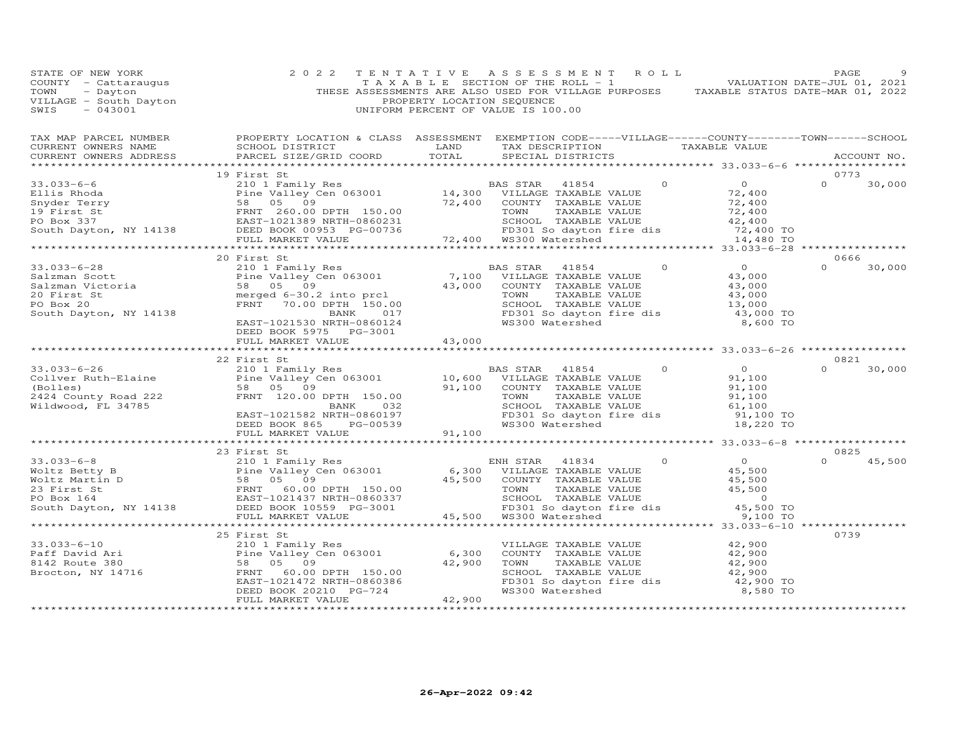| STATE OF NEW YORK                                                                                                                                                                                                                                      | 2 0 2 2                                                                                            | TENTATIVE ASSESSMENT ROLL |  | PAGE                             |
|--------------------------------------------------------------------------------------------------------------------------------------------------------------------------------------------------------------------------------------------------------|----------------------------------------------------------------------------------------------------|---------------------------|--|----------------------------------|
| TAX MAP PARCEL NUMBER THE PROPERTY LOCATION & CLASS ASSESSMENT EXEMPTION CODE-----VILLAGE------COUNTY-------TOWN------SCHOOL<br>CURRENT OWNERS NAME<br>CURRENT OWNERS ADDRESS                                                                          | SCHOOL DISTRICT<br>TAX DESCRIPTION TANABLE VALUE<br>PARCEL SIZE/GRID COORD TOTAL SPECIAL DISTRICTS |                           |  | ACCOUNT NO.                      |
|                                                                                                                                                                                                                                                        |                                                                                                    |                           |  |                                  |
|                                                                                                                                                                                                                                                        | 19 First St                                                                                        |                           |  | 0773<br>$\overline{O}$<br>30,000 |
|                                                                                                                                                                                                                                                        |                                                                                                    |                           |  |                                  |
|                                                                                                                                                                                                                                                        |                                                                                                    |                           |  |                                  |
|                                                                                                                                                                                                                                                        |                                                                                                    |                           |  |                                  |
|                                                                                                                                                                                                                                                        |                                                                                                    |                           |  |                                  |
|                                                                                                                                                                                                                                                        |                                                                                                    |                           |  |                                  |
|                                                                                                                                                                                                                                                        |                                                                                                    |                           |  |                                  |
|                                                                                                                                                                                                                                                        |                                                                                                    |                           |  |                                  |
|                                                                                                                                                                                                                                                        | 20 First St                                                                                        |                           |  | 0666                             |
|                                                                                                                                                                                                                                                        |                                                                                                    |                           |  | 30,000<br>$\Omega$               |
|                                                                                                                                                                                                                                                        |                                                                                                    |                           |  |                                  |
|                                                                                                                                                                                                                                                        |                                                                                                    |                           |  |                                  |
|                                                                                                                                                                                                                                                        |                                                                                                    |                           |  |                                  |
|                                                                                                                                                                                                                                                        |                                                                                                    |                           |  |                                  |
|                                                                                                                                                                                                                                                        |                                                                                                    |                           |  |                                  |
| 33.033-6-28<br>Salzman Scott<br>Salzman Victoria<br>20 First St<br>20 Finst Salzman Victoria<br>20 First St<br>20 First St<br>20 Finst Salzman Victoria<br>20 First St<br>20 Finst Salzman Victoria<br>20 Finst St<br>20 Finst St<br>20 Finst St<br>20 |                                                                                                    |                           |  |                                  |
|                                                                                                                                                                                                                                                        | DEED BOOK 5975 PG-3001<br>FULL MARKET VALUE 43,000                                                 |                           |  |                                  |
|                                                                                                                                                                                                                                                        |                                                                                                    |                           |  |                                  |
|                                                                                                                                                                                                                                                        |                                                                                                    |                           |  | 0821                             |
|                                                                                                                                                                                                                                                        |                                                                                                    |                           |  | 30,000<br>$\Omega$               |
|                                                                                                                                                                                                                                                        |                                                                                                    |                           |  |                                  |
|                                                                                                                                                                                                                                                        |                                                                                                    |                           |  |                                  |
|                                                                                                                                                                                                                                                        |                                                                                                    |                           |  |                                  |
|                                                                                                                                                                                                                                                        |                                                                                                    |                           |  |                                  |
|                                                                                                                                                                                                                                                        |                                                                                                    |                           |  |                                  |
|                                                                                                                                                                                                                                                        |                                                                                                    |                           |  |                                  |
|                                                                                                                                                                                                                                                        |                                                                                                    |                           |  |                                  |
| 33.033-6-8<br>Woltz Betty B<br>Woltz Betty B<br>Woltz Magnetic Data of State Content of Section 150.00<br>23 First State 18834<br>23 First State Pine Valley Cen 063001<br>23 First State Pine Valley Cen 063001<br>23 First State Pine Val            |                                                                                                    |                           |  | 0825                             |
|                                                                                                                                                                                                                                                        |                                                                                                    |                           |  | $\Omega$<br>45,500               |
|                                                                                                                                                                                                                                                        |                                                                                                    |                           |  |                                  |
|                                                                                                                                                                                                                                                        |                                                                                                    |                           |  |                                  |
|                                                                                                                                                                                                                                                        |                                                                                                    |                           |  |                                  |
|                                                                                                                                                                                                                                                        |                                                                                                    |                           |  |                                  |
|                                                                                                                                                                                                                                                        |                                                                                                    |                           |  |                                  |
|                                                                                                                                                                                                                                                        |                                                                                                    |                           |  |                                  |
|                                                                                                                                                                                                                                                        | 25 First St                                                                                        |                           |  | 0739                             |
|                                                                                                                                                                                                                                                        |                                                                                                    |                           |  |                                  |
|                                                                                                                                                                                                                                                        |                                                                                                    |                           |  |                                  |
|                                                                                                                                                                                                                                                        |                                                                                                    |                           |  |                                  |
|                                                                                                                                                                                                                                                        |                                                                                                    |                           |  |                                  |
|                                                                                                                                                                                                                                                        |                                                                                                    |                           |  |                                  |
|                                                                                                                                                                                                                                                        |                                                                                                    |                           |  |                                  |
| 33.033-6-10<br>Part David Ari 25 Fine 210 1 Family Res<br>Part David Ari Pine Valley Cen 063001<br>Brocton, NY 14716 580<br>Brocton, NY 14716 580<br>EED BOOK 20210 PG-724<br>FULL MARKET VALUE 42,900<br>FRNT 60.00 DPTH 150.00<br>EED BOOK           |                                                                                                    |                           |  |                                  |
|                                                                                                                                                                                                                                                        |                                                                                                    |                           |  |                                  |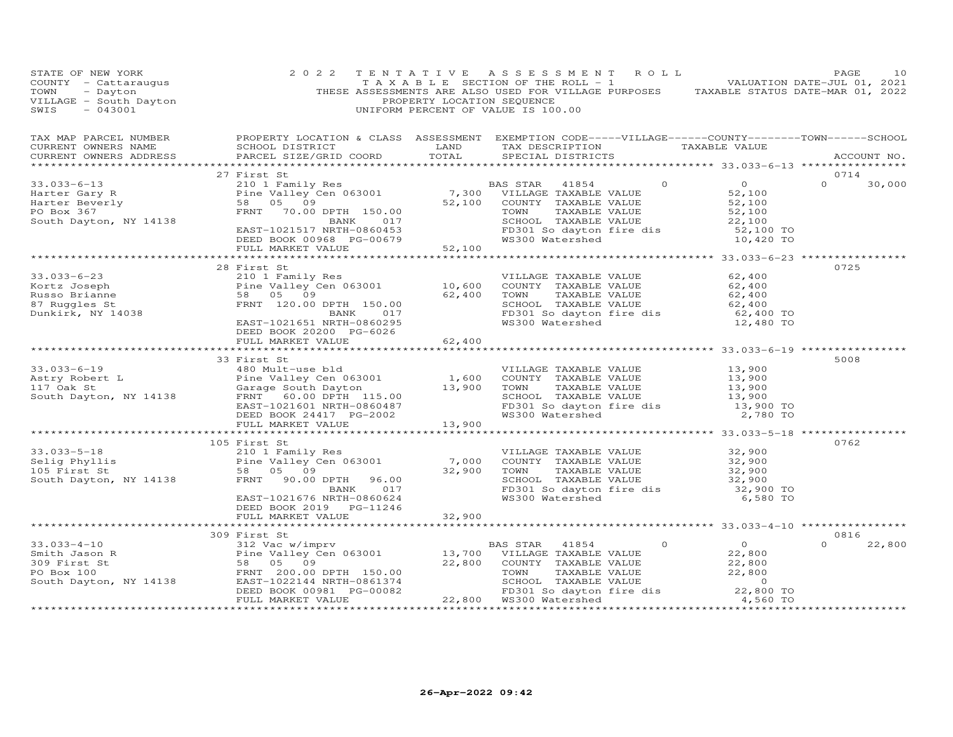| EXERCISE A SSESSMENT ROLL PACE 10<br>COUNTY - Catteraugus TAXABLE SESSMENT ROLL - 1<br>TOWN - Dayton THESE ASSESSMENTS ARE ROLL - 1<br>THESE ASSESSMENTS ARE ROLL - 1<br>THESE ASSESSMENTS ARE SOLL - 1<br>THESE ASSESSMENT OF THE ROLL                                                                                                                                          |                                                     |  |  |               |        |
|----------------------------------------------------------------------------------------------------------------------------------------------------------------------------------------------------------------------------------------------------------------------------------------------------------------------------------------------------------------------------------|-----------------------------------------------------|--|--|---------------|--------|
|                                                                                                                                                                                                                                                                                                                                                                                  |                                                     |  |  |               |        |
|                                                                                                                                                                                                                                                                                                                                                                                  |                                                     |  |  |               |        |
|                                                                                                                                                                                                                                                                                                                                                                                  | 27 First St                                         |  |  | 0714          |        |
|                                                                                                                                                                                                                                                                                                                                                                                  |                                                     |  |  | $0 \t 30,000$ |        |
|                                                                                                                                                                                                                                                                                                                                                                                  |                                                     |  |  |               |        |
|                                                                                                                                                                                                                                                                                                                                                                                  |                                                     |  |  |               |        |
|                                                                                                                                                                                                                                                                                                                                                                                  |                                                     |  |  |               |        |
|                                                                                                                                                                                                                                                                                                                                                                                  |                                                     |  |  |               |        |
|                                                                                                                                                                                                                                                                                                                                                                                  |                                                     |  |  |               |        |
|                                                                                                                                                                                                                                                                                                                                                                                  |                                                     |  |  |               |        |
|                                                                                                                                                                                                                                                                                                                                                                                  |                                                     |  |  |               |        |
|                                                                                                                                                                                                                                                                                                                                                                                  | 28 First St                                         |  |  | 0725          |        |
|                                                                                                                                                                                                                                                                                                                                                                                  |                                                     |  |  |               |        |
|                                                                                                                                                                                                                                                                                                                                                                                  |                                                     |  |  |               |        |
|                                                                                                                                                                                                                                                                                                                                                                                  |                                                     |  |  |               |        |
|                                                                                                                                                                                                                                                                                                                                                                                  |                                                     |  |  |               |        |
|                                                                                                                                                                                                                                                                                                                                                                                  |                                                     |  |  |               |        |
| 33.033-6-23<br>Kortz Joseph 23 2101 Family Res<br>Russo Brianne 58 05 09<br>87 Ruggles St FRNT 120.00 DPTH 150.00<br>Dunkirk, NY 14038<br>EAST-1021651 NRT P0860295<br>REED BOOK 20200 PC-6025<br>REED ROOK 20200 PC-6025<br>REED ROOK 20200 P                                                                                                                                   | DEED BOOK 20200 PG-6026<br>FULL MARKET VALUE 62,400 |  |  |               |        |
|                                                                                                                                                                                                                                                                                                                                                                                  |                                                     |  |  |               |        |
|                                                                                                                                                                                                                                                                                                                                                                                  | 33 First St                                         |  |  | 5008          |        |
|                                                                                                                                                                                                                                                                                                                                                                                  |                                                     |  |  |               |        |
|                                                                                                                                                                                                                                                                                                                                                                                  |                                                     |  |  |               |        |
|                                                                                                                                                                                                                                                                                                                                                                                  |                                                     |  |  |               |        |
|                                                                                                                                                                                                                                                                                                                                                                                  |                                                     |  |  |               |        |
|                                                                                                                                                                                                                                                                                                                                                                                  |                                                     |  |  |               |        |
|                                                                                                                                                                                                                                                                                                                                                                                  |                                                     |  |  |               |        |
| 33.033-6-19<br>Astry Robert L<br>Astry Robert L<br>23.033-6-19<br>Astry Robert L<br>23.900<br>Pine Valley Cen 063001<br>Pine Valley Cen 063001<br>Pine Valley Cen 063001<br>23.900<br>Pine Valley Cen 063001<br>Pine Valley Cen 063001<br>Pine Valley                                                                                                                            |                                                     |  |  |               |        |
|                                                                                                                                                                                                                                                                                                                                                                                  |                                                     |  |  |               |        |
|                                                                                                                                                                                                                                                                                                                                                                                  | 105 First St                                        |  |  | 0762          |        |
|                                                                                                                                                                                                                                                                                                                                                                                  |                                                     |  |  |               |        |
| 103 1033-5-18<br>210 1 Family Res<br>210 1 Family Res<br>210 1 Family Res<br>210 1 Family Res<br>210 1 Family Res<br>210 1 Family Res<br>210 1 Family Res<br>210 2010<br>22,900 1000 2011<br>22,900 2010<br>32,900 22,900 1000 2014<br>32,900 5066624<br>                                                                                                                        |                                                     |  |  |               |        |
|                                                                                                                                                                                                                                                                                                                                                                                  |                                                     |  |  |               |        |
|                                                                                                                                                                                                                                                                                                                                                                                  |                                                     |  |  |               |        |
|                                                                                                                                                                                                                                                                                                                                                                                  |                                                     |  |  |               |        |
|                                                                                                                                                                                                                                                                                                                                                                                  |                                                     |  |  |               |        |
|                                                                                                                                                                                                                                                                                                                                                                                  | DEED BOOK 2019 PG-11246<br>FULL MARKET VALUE 32,900 |  |  |               |        |
|                                                                                                                                                                                                                                                                                                                                                                                  |                                                     |  |  |               |        |
|                                                                                                                                                                                                                                                                                                                                                                                  | 309 First St                                        |  |  | 0816          |        |
|                                                                                                                                                                                                                                                                                                                                                                                  |                                                     |  |  | $\Omega$      | 22,800 |
|                                                                                                                                                                                                                                                                                                                                                                                  |                                                     |  |  |               |        |
|                                                                                                                                                                                                                                                                                                                                                                                  |                                                     |  |  |               |        |
|                                                                                                                                                                                                                                                                                                                                                                                  |                                                     |  |  |               |        |
|                                                                                                                                                                                                                                                                                                                                                                                  |                                                     |  |  |               |        |
|                                                                                                                                                                                                                                                                                                                                                                                  |                                                     |  |  |               |        |
| $\begin{array}{cccccccc} 33.033-4-10 & 309 \text{ First } \text{St} & 0 & 0 \\ 31.033-4-10 & 312 \text{ Vac} & 0 & 0 \\ 309 \text{ First } \text{St} & 22,800 \\ 309 \text{ First } \text{St} & 58 & 05 & 09 \\ \text{PO Box 100} & \text{FRNT } 200.00 \text{ DPTH} & 150.00 & 22,800 \\ 309 \text{ First } \text{St} & 58 & 05 & 09 \\ \text{PO Box 100} & \text{FRNT } 202.0$ |                                                     |  |  |               |        |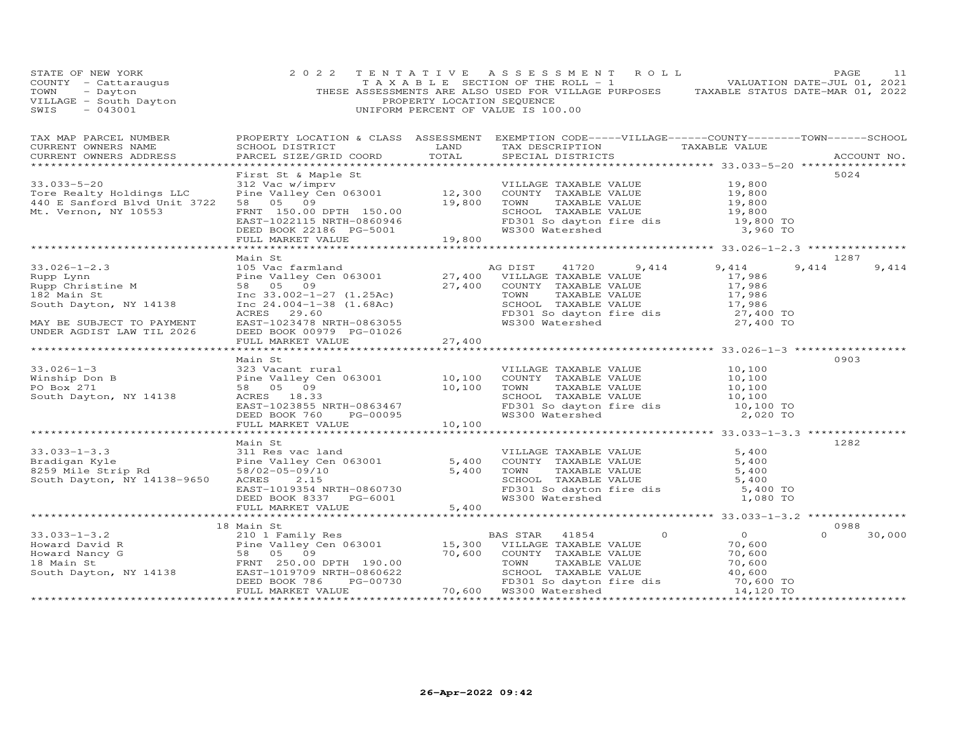| STATE OF NEW YORK<br>COUNTY - Cattaraugus<br>TOWN - Dayton<br>VILLAGE - South Dayton<br>SWIS - 043001                                                                                               | 2 0 2 2                                                                                                                                                                                                                                                             | PROPERTY LOCATION SEQUENCE | TENTATIVE ASSESSMENT ROLL<br>THESE ASSESSMENTS ARE ALSO USED FOR VILLAGE PURPOSES TAXABLE STATUS DATE-MAR 01, 2022<br>UNIFORM PERCENT OF VALUE IS 100.00                                                                                                             |                                                         | PAGE<br>11                 |
|-----------------------------------------------------------------------------------------------------------------------------------------------------------------------------------------------------|---------------------------------------------------------------------------------------------------------------------------------------------------------------------------------------------------------------------------------------------------------------------|----------------------------|----------------------------------------------------------------------------------------------------------------------------------------------------------------------------------------------------------------------------------------------------------------------|---------------------------------------------------------|----------------------------|
| TAX MAP PARCEL NUMBER<br>CURRENT OWNERS NAME<br>CURRENT OWNERS ADDRESS                                                                                                                              | PROPERTY LOCATION & CLASS ASSESSMENT EXEMPTION CODE-----VILLAGE------COUNTY--------TOWN------SCHOOL                                                                                                                                                                 |                            |                                                                                                                                                                                                                                                                      |                                                         | ACCOUNT NO.                |
| $33.033 - 5 - 20$<br>Tore Realty Holdings LLC<br>440 E Sanford Blvd Unit 3722<br>Mt. Vernon, NY 10553                                                                                               | First St & Maple St<br>First St & Maple St<br>312 Vac w/imprv<br>Pine Valley Cen 063001<br>8 05 09 19,800 TOWN TAXABLE VALUE<br>FRNT 150.00 DPTH 150.00 19,800 TOWN TAXABLE VALUE<br>EAST-1022115 NRTH-0860946 FD301 So dayton fire dis<br>DEED BOOK 22186 PG-500   |                            | VILLAGE TAXABLE VALUE $19,800$<br>COUNTY TAXABLE VALUE $19,800$<br>TOWN TAXABLE VALUE $19,800$<br>SCHOOL TAXABLE VALUE $19,800$<br>SCHOOL TAXABLE VALUE $19,800$<br>FD301 So dayton fire dis $19,800$ TO<br>WS300 Watershed 3,960 TO                                 |                                                         | 5024                       |
|                                                                                                                                                                                                     |                                                                                                                                                                                                                                                                     |                            |                                                                                                                                                                                                                                                                      |                                                         |                            |
| 33.026-1-2.3<br>Rupp Lynn<br>Rupp Christine M<br>105 Vac farml<br>Pine Valley C<br>Pine Valley C<br>58 05 09<br>182 Main St<br>South Dayton, NY 14138<br>Inc 24.004-1-<br>MAY BE SUBJECT TO PAYMENT | Main St<br>Inc 33.002-1-27 (1.25Ac)<br>Inc 24.004-1-38 (1.68Ac)<br>ACRES 29.60<br>EAST-1023478 NRTH-0863055<br>DEED BOOK 00979 PG-01026                                                                                                                             |                            | 9,414<br>COONTI TAXABLE VALUE<br>TOWN TAXABLE VALUE 17,986<br>SCHOOL TAXABLE VALUE 17,986<br>FD301 So dayton fire dis 27,400 TO<br>WS300 Watershed 27,400 TO                                                                                                         | 9,414<br>17,986<br>17,986                               | 1287<br>9,414<br>9,414     |
| UNDER AGDIST LAW TIL 2026                                                                                                                                                                           | FULL MARKET VALUE                                                                                                                                                                                                                                                   | 27,400                     |                                                                                                                                                                                                                                                                      |                                                         |                            |
|                                                                                                                                                                                                     |                                                                                                                                                                                                                                                                     |                            |                                                                                                                                                                                                                                                                      |                                                         |                            |
| $33.026 - 1 - 3$<br>Winship Don B<br>20 Bar 271<br>PO Box 271<br>South Dayton, NY 14138                                                                                                             | Main St<br>And the Mathematic Sample of Mathematic Sample (10,100 COUNTY TAXABLE VALUE 10,100 COUNTY TAXABLE VALUE 10,100 COUNTY TAXABLE VALUE 10,100 COUNTY TAXABLE VALUE 10,100 TOWN TAXABLE VALUE ACRES 18.33 (ACRES 18.33 FORE SAST-1<br>DEED BOOK 760 PG-00095 |                            | VILLAGE TAXABLE VALUE $10,100$<br>COUNTY TAXABLE VALUE $10,100$<br>TOWN TAXABLE VALUE $10,100$<br>SCHOOL TAXABLE VALUE $10,100$<br>FD301 So dayton fire dis $10,100$ TO<br>IOWN TAXABLE VALUE<br>SCHOOL TAXABLE VALUE<br>FD301 So dayton fire dis<br>WS300 Watershed | 2,020 TO                                                | 0903                       |
|                                                                                                                                                                                                     | FULL MARKET VALUE 10,100                                                                                                                                                                                                                                            |                            |                                                                                                                                                                                                                                                                      |                                                         |                            |
| South Dayton, NY 14138-9650                                                                                                                                                                         | Main St<br>ACRES<br>2.15<br>EAST-1019354 NRTH-0860730<br>DEED BOOK 8337 PG-6001<br>FULL MARKET VALUE                                                                                                                                                                |                            | VILLAGE TAXABLE VALUE<br>COUNTY TAXABLE VALUE<br>TOWN TAXABLE VALUE<br>SCHOOL TAXABLE VALUE<br>FD301 So dayton fire dis 5,400 TO<br>WS300 Watershed 1,080 TO                                                                                                         | 5,400<br>5,400<br>5,400                                 | 1282                       |
|                                                                                                                                                                                                     | FULL MARKET VALUE                                                                                                                                                                                                                                                   | 5,400                      |                                                                                                                                                                                                                                                                      |                                                         |                            |
|                                                                                                                                                                                                     |                                                                                                                                                                                                                                                                     |                            |                                                                                                                                                                                                                                                                      |                                                         |                            |
| 18 Main St<br>South Dayton, NY 14138 EAST-1019709 NRTH-0860622                                                                                                                                      | PG-00730<br>DEED BOOK 786<br>FULL MARKET VALUE                                                                                                                                                                                                                      |                            | 70,600 COUNTY TAXABLE VALUE<br>TOWN TAXABLE VALUE<br>SCHOOL TAXABLE VALUE 40,600<br>FD301 So dayton fire dis 70,600 TO<br>WS300 Watershed 14,120 TO<br>70,600 WS300 Watershed                                                                                        | $\overline{0}$<br>$\circ$<br>70,600<br>70,600<br>70,600 | 0988<br>$\Omega$<br>30,000 |
|                                                                                                                                                                                                     |                                                                                                                                                                                                                                                                     |                            |                                                                                                                                                                                                                                                                      |                                                         |                            |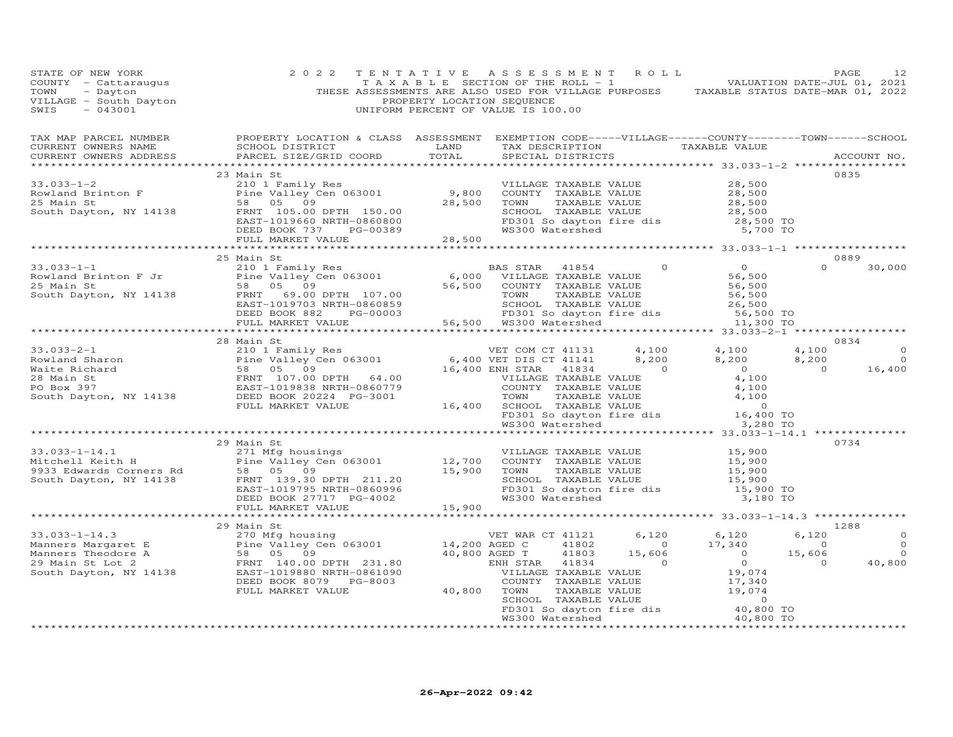| COUNTY - Cattaraugus<br>COUNTY - Cattaraugus (2022 TENTATIVE ASSESSMENT OF THE ROLL - 1<br>TOWN - Dayton - Dayton THESE ASSESSMENTS ARE ALSO USED FOR VILLAGE PURPOSES TAXABLE STATUS DATE-JUL 01, 2021<br>THESE ASSESSMENTS ARE AL                                                                                                                                                                                           |            |  |  |      |        |
|-------------------------------------------------------------------------------------------------------------------------------------------------------------------------------------------------------------------------------------------------------------------------------------------------------------------------------------------------------------------------------------------------------------------------------|------------|--|--|------|--------|
|                                                                                                                                                                                                                                                                                                                                                                                                                               |            |  |  |      |        |
|                                                                                                                                                                                                                                                                                                                                                                                                                               |            |  |  |      |        |
| $23$ Main St<br>$\begin{array}{cccccccc} 33.033-1-2 & 23.01 & 5t & 0835 \\ 23.033-1-2 & 210 & 1 Family Res & 9,800 & 00NITY & TAXABLE VALUE & 28,500 \\ 25.01 & 10.01 & 1 & 0.001 & 0.01 & 0.01 & 0.01 & 0.01 \\ 25.02 & 5.02 & 0.03 & 0.01 & 0.01 & 0.01 & 0.01 & 0.01 \\ 26.03 & 5.00 & 5.00 & 0.01 & 0.01 & 0.01 & $                                                                                                       |            |  |  |      | 0835   |
|                                                                                                                                                                                                                                                                                                                                                                                                                               |            |  |  |      |        |
|                                                                                                                                                                                                                                                                                                                                                                                                                               |            |  |  |      |        |
|                                                                                                                                                                                                                                                                                                                                                                                                                               |            |  |  |      |        |
|                                                                                                                                                                                                                                                                                                                                                                                                                               |            |  |  |      |        |
|                                                                                                                                                                                                                                                                                                                                                                                                                               |            |  |  |      |        |
|                                                                                                                                                                                                                                                                                                                                                                                                                               |            |  |  |      |        |
|                                                                                                                                                                                                                                                                                                                                                                                                                               |            |  |  |      |        |
|                                                                                                                                                                                                                                                                                                                                                                                                                               |            |  |  |      |        |
|                                                                                                                                                                                                                                                                                                                                                                                                                               |            |  |  |      | 30,000 |
|                                                                                                                                                                                                                                                                                                                                                                                                                               |            |  |  |      |        |
|                                                                                                                                                                                                                                                                                                                                                                                                                               |            |  |  |      |        |
|                                                                                                                                                                                                                                                                                                                                                                                                                               |            |  |  |      |        |
|                                                                                                                                                                                                                                                                                                                                                                                                                               |            |  |  |      |        |
|                                                                                                                                                                                                                                                                                                                                                                                                                               |            |  |  |      |        |
|                                                                                                                                                                                                                                                                                                                                                                                                                               |            |  |  |      |        |
|                                                                                                                                                                                                                                                                                                                                                                                                                               |            |  |  |      |        |
|                                                                                                                                                                                                                                                                                                                                                                                                                               | 28 Main St |  |  | 0834 |        |
|                                                                                                                                                                                                                                                                                                                                                                                                                               |            |  |  |      |        |
|                                                                                                                                                                                                                                                                                                                                                                                                                               |            |  |  |      |        |
|                                                                                                                                                                                                                                                                                                                                                                                                                               |            |  |  |      |        |
|                                                                                                                                                                                                                                                                                                                                                                                                                               |            |  |  |      |        |
|                                                                                                                                                                                                                                                                                                                                                                                                                               |            |  |  |      |        |
|                                                                                                                                                                                                                                                                                                                                                                                                                               |            |  |  |      |        |
|                                                                                                                                                                                                                                                                                                                                                                                                                               |            |  |  |      |        |
|                                                                                                                                                                                                                                                                                                                                                                                                                               |            |  |  |      |        |
| $\begin{array}{cccccccc} 33.033-2-1 & 28 & \text{Main St} & \text{Ex}}& 0834 & 0834\\ \text{Rowland Sharon} & 210 & 1 & \text{Family Res} & 6,400 & \text{WET DIS CT 41131} & 4,100 & 4,100 & 4,100 & 0\\ \text{Waite Richard} & 58 & 05 & 09 & 0 & 0 & 0 & 16,400\\ \text{Waiter Richard} & 58 & 05 & 09 & 0 & 0 & 16,400\\ \text{Noive The program of the program of the program of the program of the program.} & 58 & 05$ |            |  |  |      |        |
|                                                                                                                                                                                                                                                                                                                                                                                                                               | 29 Main St |  |  | 0734 |        |
|                                                                                                                                                                                                                                                                                                                                                                                                                               |            |  |  |      |        |
|                                                                                                                                                                                                                                                                                                                                                                                                                               |            |  |  |      |        |
|                                                                                                                                                                                                                                                                                                                                                                                                                               |            |  |  |      |        |
|                                                                                                                                                                                                                                                                                                                                                                                                                               |            |  |  |      |        |
|                                                                                                                                                                                                                                                                                                                                                                                                                               |            |  |  |      |        |
|                                                                                                                                                                                                                                                                                                                                                                                                                               |            |  |  |      |        |
|                                                                                                                                                                                                                                                                                                                                                                                                                               |            |  |  |      |        |
|                                                                                                                                                                                                                                                                                                                                                                                                                               |            |  |  |      |        |
|                                                                                                                                                                                                                                                                                                                                                                                                                               |            |  |  |      |        |
|                                                                                                                                                                                                                                                                                                                                                                                                                               |            |  |  |      |        |
|                                                                                                                                                                                                                                                                                                                                                                                                                               |            |  |  |      |        |
|                                                                                                                                                                                                                                                                                                                                                                                                                               |            |  |  |      |        |
|                                                                                                                                                                                                                                                                                                                                                                                                                               |            |  |  |      |        |
|                                                                                                                                                                                                                                                                                                                                                                                                                               |            |  |  |      |        |
|                                                                                                                                                                                                                                                                                                                                                                                                                               |            |  |  |      |        |
|                                                                                                                                                                                                                                                                                                                                                                                                                               |            |  |  |      |        |
|                                                                                                                                                                                                                                                                                                                                                                                                                               |            |  |  |      |        |
|                                                                                                                                                                                                                                                                                                                                                                                                                               |            |  |  |      |        |
|                                                                                                                                                                                                                                                                                                                                                                                                                               |            |  |  |      |        |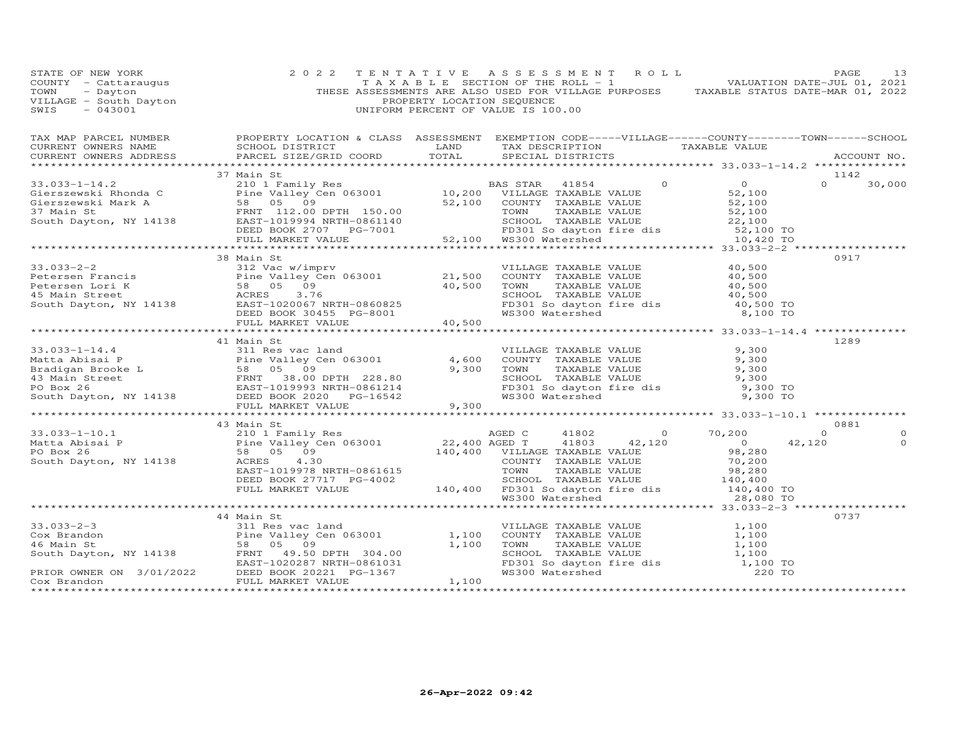| TAX MAP PARCEL NUMBER BROPERTY LOCATION & CLASS ASSESSMENT EXEMPTION CODE-----VILLAGE------COUNTY--------TOWN------SCHOOL CURRENT OWNERS NAME SCHOOL DISTRICT LAND TAX DESCRIPTION TAXABLE VALUE TAXABLE VALUE ACCOUNT NO.<br>37 Main St<br>1142<br>$0 \t 30,000$                 |         |
|-----------------------------------------------------------------------------------------------------------------------------------------------------------------------------------------------------------------------------------------------------------------------------------|---------|
|                                                                                                                                                                                                                                                                                   |         |
| 33.033-1-14.2<br>Gierszewski Rhonda C<br>210 1 Family Res<br>Gierszewski Mark A<br>58 05 09<br>37 Main St<br>58 05 09<br>52,100 DPTH 150.00<br>EED BOOK 2707 PG-7001 52,100<br>DEED BOOK 2707 PG-7001 52,100<br>FULL MARKET VALUE 52,100<br>FOR SCH                               |         |
| 0917<br>38 Main St<br>33.033–2–2<br>Petersen Francis<br>Petersen Francis<br>Petersen Lori K<br>External Street<br>South Dayton, NY 14138<br>South Dayton, NY 14138<br>PEED BOOK 30455 PG-8001<br>PEED BOOK 30455 PG-8001<br>PEED BOOK 30455 PG-8001<br>PEED BOOK 30455            |         |
| 41 Main St<br>1289                                                                                                                                                                                                                                                                |         |
|                                                                                                                                                                                                                                                                                   |         |
| 43 Main St<br>0881<br>$\Omega$<br>42,120                                                                                                                                                                                                                                          | $\circ$ |
|                                                                                                                                                                                                                                                                                   |         |
| 0737<br>44 Main St<br>33.033-2-3<br>Cox Brandon<br>Cox Brandon<br>Cox Brandon<br>South Dayton, NY 14138<br>PRIOR OWNER ON 3/01/2022<br>Cox Brandon<br>Cox Brandon<br>Cox Brandon<br>Cox Brandon<br>Cox Brandon<br>Cox Brandon<br>Cox Brandon<br>Cox Brandon<br>Cox Brandon<br>Cox |         |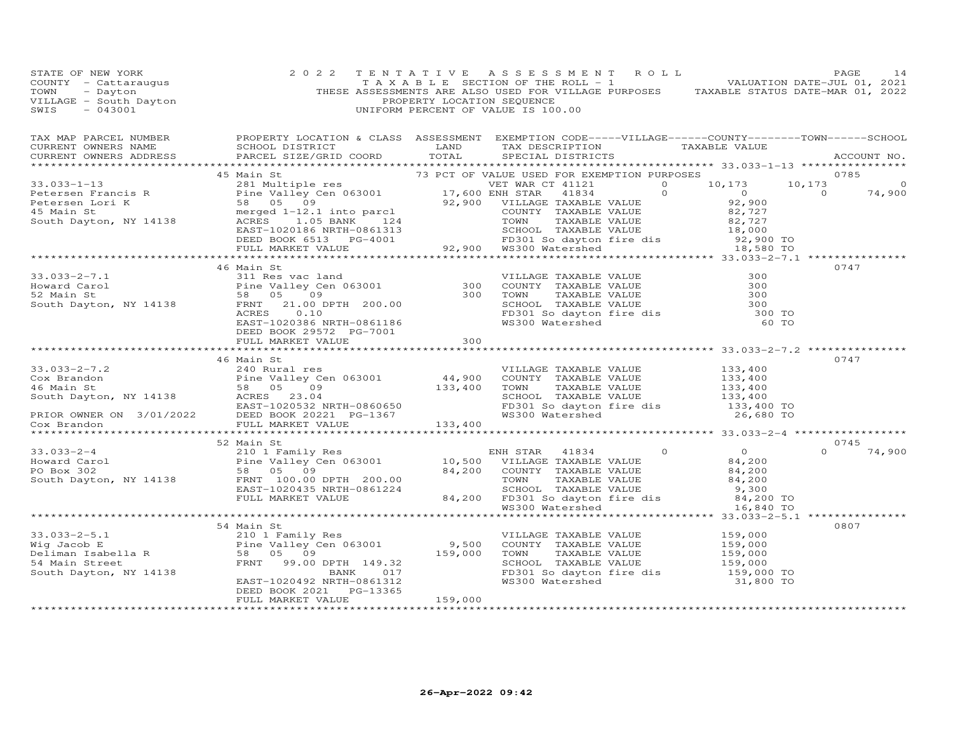| PAGE 14<br>COUNTY - Cattaraugus 2022 TENTATIVE ASSESSMENT OF THE ROLL -1<br>TOWN - Dayton - Dayton<br>VILLAGE - South Dayton<br>VILLAGE - South Dayton<br>VILLAGE - South Dayton<br>SWIS - 043001<br>THESE ASSESSMENTS ARE ALSO USED FOR VIL                                                                                                                                                                                     |                                                 |         |  |                                                    |               |
|----------------------------------------------------------------------------------------------------------------------------------------------------------------------------------------------------------------------------------------------------------------------------------------------------------------------------------------------------------------------------------------------------------------------------------|-------------------------------------------------|---------|--|----------------------------------------------------|---------------|
| TAX MAP PARCEL NUMBER BROPERTY LOCATION & CLASS ASSESSMENT EXEMPTION CODE-----VILLAGE------COUNTY--------TOWN------SCHOOL CURRENT OWNERS NAME SCHOOL DISTRICT LAND TAX DESCRIPTION TAXABLE VALUE TAXABLE VALUE ACCOUNT NO.                                                                                                                                                                                                       |                                                 |         |  |                                                    |               |
|                                                                                                                                                                                                                                                                                                                                                                                                                                  |                                                 |         |  |                                                    |               |
|                                                                                                                                                                                                                                                                                                                                                                                                                                  |                                                 |         |  |                                                    |               |
|                                                                                                                                                                                                                                                                                                                                                                                                                                  |                                                 |         |  |                                                    |               |
|                                                                                                                                                                                                                                                                                                                                                                                                                                  |                                                 |         |  |                                                    |               |
| 33.033-2-7.1<br>Howard Carol and 310 Bine Valley Cen 063001<br>300 COUNTY TAXABLE VALUE<br>300 COUNTY TAXABLE VALUE<br>300 COUNTY TAXABLE VALUE<br>300 COUNTY TAXABLE VALUE<br>300 TOWN TAXABLE VALUE<br>300 TOWN TAXABLE VALUE<br>300 SCHOOL                                                                                                                                                                                    | 46 Main St                                      |         |  |                                                    | 0747          |
|                                                                                                                                                                                                                                                                                                                                                                                                                                  |                                                 |         |  | ********************* 33.033-2-7.2 *************** |               |
|                                                                                                                                                                                                                                                                                                                                                                                                                                  | 46 Main St                                      |         |  |                                                    | 0747          |
| $\begin{array}{cccccccc} 33.033-2-7.2 & 46 \text{ Main St} & 0747 & 0747 & 0748 & 0749 & 0749 & 0749 & 0749 & 0749 & 0749 & 0749 & 0749 & 0749 & 0749 & 0749 & 0749 & 0749 & 0749 & 0749 & 0749 & 0749 & 0749 & 0749 & 0749 & 0749 & 0749 & 0749 & 0749 & 0749 & 0749 & 0749 & 0749 & 0$                                                                                                                                         |                                                 |         |  |                                                    |               |
|                                                                                                                                                                                                                                                                                                                                                                                                                                  |                                                 |         |  |                                                    |               |
|                                                                                                                                                                                                                                                                                                                                                                                                                                  |                                                 |         |  |                                                    |               |
|                                                                                                                                                                                                                                                                                                                                                                                                                                  |                                                 |         |  |                                                    |               |
| $\begin{array}{cccccccc} 33.033-2-4 & & & & 52\text{ Main St} & & & & \text{EMH STAR} & 41834 & & & & & 0745 \\ 2101 Family Res & & & & & & & & & & 0745 \\ 2101 Family Res & & & & & & & & 0745 \\ 2101 Family Res & & & & & & & & 10,500 & VILLAGE TAXABLE VALUE & & & & 84,200 \\ 2101 Family Gen & & & & & & & & 10,500 & VILLAGE TAXABLE VALUE & & & 84,200 \\ 2101's P = & & & & & & & 10,500 & VILLAGE TAXABLE VALUE & &$ |                                                 |         |  |                                                    | $0 \t 74,900$ |
|                                                                                                                                                                                                                                                                                                                                                                                                                                  |                                                 |         |  |                                                    |               |
|                                                                                                                                                                                                                                                                                                                                                                                                                                  |                                                 |         |  |                                                    | 0807          |
|                                                                                                                                                                                                                                                                                                                                                                                                                                  | DEED BOOK 2021    PG-13365<br>FULL MARKET VALUE | 159,000 |  |                                                    |               |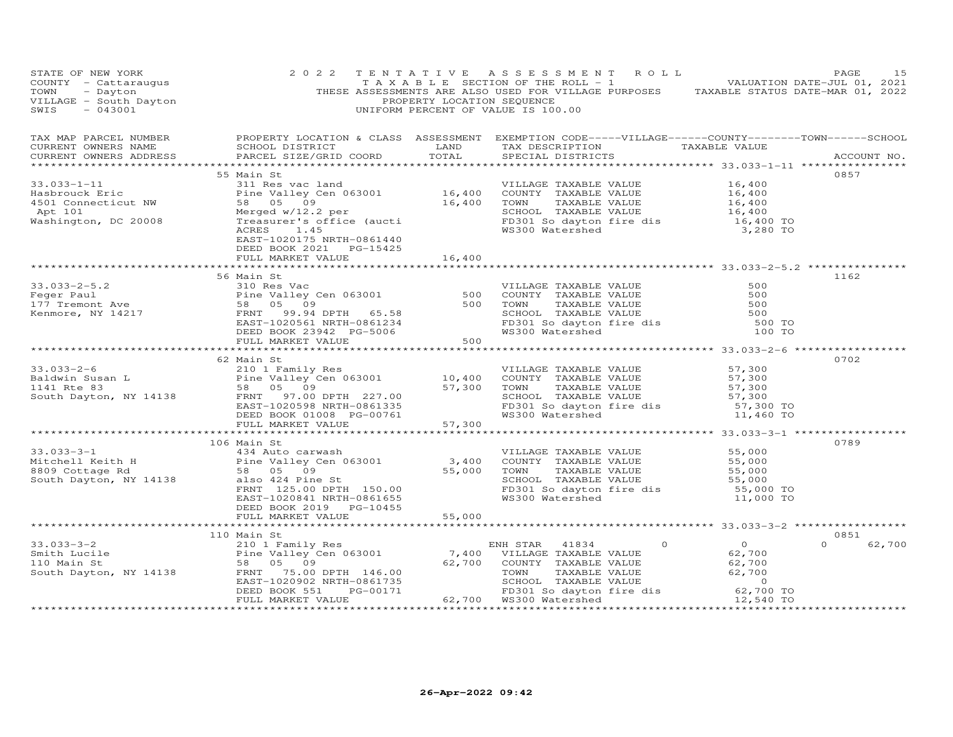| STATE OF NEW YORK<br>COUNTY - Cattaraugus<br>TOWN - Dayton<br>VILLAGE - South Dayton<br>SWIS - 043001                                                                                                                                                                                                                                                                                                                     | 2 0 2 2                                                                            | PROPERTY LOCATION SEQUENCE | 2   T E N T A T I V E    A S S E S S M E N T    R O L L    PAGE    PAGE    15<br>T A X A B L E    SECTION OF THE ROLL - 1    VALUATION DATE-JUL 01, 2021<br>THESE ASSESSMENTS ARE ALSO USED FOR VILLAGE PURPOSES    TAXABLE STATUS D<br>UNIFORM PERCENT OF VALUE IS 100.00 |                    |
|---------------------------------------------------------------------------------------------------------------------------------------------------------------------------------------------------------------------------------------------------------------------------------------------------------------------------------------------------------------------------------------------------------------------------|------------------------------------------------------------------------------------|----------------------------|----------------------------------------------------------------------------------------------------------------------------------------------------------------------------------------------------------------------------------------------------------------------------|--------------------|
| TAX MAP PARCEL NUMBER BROPERTY LOCATION & CLASS ASSESSMENT EXEMPTION CODE-----VILLAGE------COUNTY--------TOWN------SCHOOL CURRENT OWNERS NAME SCHOOL DISTRICT LAND TAX DESCRIPTION TAXABLE VALUE TAXABLE VALUE ACCOUNT NO.                                                                                                                                                                                                |                                                                                    |                            |                                                                                                                                                                                                                                                                            |                    |
|                                                                                                                                                                                                                                                                                                                                                                                                                           |                                                                                    |                            |                                                                                                                                                                                                                                                                            |                    |
| 33.033-1-11<br>$\begin{array}{cccccc} 33.033-1-11 \end{array}$<br>$\begin{array}{cccccc} 33.033-1-11 \end{array}$<br>$\begin{array}{cccccc} 16,400 \end{array}$<br>$\begin{array}{cccccc} 16,400 \end{array}$<br>$\begin{array}{cccccc} 16,400 \end{array}$<br>$\begin{array}{cccccc} 16,400 \end{array}$<br>$\begin{array}{cccccc} 16,400 \end{array}$<br>$\begin{array}{cccccc} 16,400 \end{array}$<br>$\begin{array}{$ | 55 Main St                                                                         |                            |                                                                                                                                                                                                                                                                            | 0857               |
|                                                                                                                                                                                                                                                                                                                                                                                                                           | EAST-1020175 NRTH-0861440<br>DEED BOOK 2021    PG-15425<br>FULL MARKET VALUE 15.15 |                            |                                                                                                                                                                                                                                                                            |                    |
|                                                                                                                                                                                                                                                                                                                                                                                                                           |                                                                                    |                            |                                                                                                                                                                                                                                                                            |                    |
|                                                                                                                                                                                                                                                                                                                                                                                                                           | 56 Main St                                                                         |                            |                                                                                                                                                                                                                                                                            | 1162               |
| 33.033-2-5.2<br>Feger Paul<br>Temont Ave S8 05 09<br>Example of D20561 NRTH-0861234<br>DEED BOOK 23942 PG-5006 500<br>FERNT 199.942 PG-5006 500<br>ELL MARKET VALUE<br>FERNT 199.942 PG-5006 500 W8300 Watershed<br>FULL MARKET VALUE<br>FERNT                                                                                                                                                                            |                                                                                    |                            |                                                                                                                                                                                                                                                                            |                    |
|                                                                                                                                                                                                                                                                                                                                                                                                                           |                                                                                    |                            |                                                                                                                                                                                                                                                                            |                    |
|                                                                                                                                                                                                                                                                                                                                                                                                                           | 62 Main St                                                                         |                            |                                                                                                                                                                                                                                                                            | 0702               |
| 33.033-2-6<br>Baldwin Susan L<br>Baldwin Susan L<br>Tamily Res<br>Pine Valley Cen 063001<br>The Valley Cen 063001<br>TO,400 COUNTY TAXABLE VALUE<br>TAXABLE VALUE<br>TAXABLE VALUE<br>57,300<br>SCHOL TAXABLE VALUE<br>57,300<br>SCHOL TAXABLE VALUE<br>                                                                                                                                                                  |                                                                                    |                            |                                                                                                                                                                                                                                                                            |                    |
|                                                                                                                                                                                                                                                                                                                                                                                                                           |                                                                                    |                            |                                                                                                                                                                                                                                                                            |                    |
|                                                                                                                                                                                                                                                                                                                                                                                                                           | 106 Main St                                                                        |                            |                                                                                                                                                                                                                                                                            | 0789               |
| 106 Min St<br>Aland Strate TAXABLE VALUE<br>Mitchell Keith H<br>8809 Cottage Rd<br>South Dayton, NY 14138<br>South Dayton, NY 14138<br>TRNT 125.00 DPTH 150.00<br>ERNT 125.00 DPTH 150.00<br>ERNT 125.00 DPTH 150.00<br>ERNT 125.00 DPTH 150.00<br>                                                                                                                                                                       | DEED BOOK 2019    PG-10455                                                         |                            |                                                                                                                                                                                                                                                                            |                    |
|                                                                                                                                                                                                                                                                                                                                                                                                                           | FULL MARKET VALUE 55,000                                                           |                            |                                                                                                                                                                                                                                                                            |                    |
|                                                                                                                                                                                                                                                                                                                                                                                                                           | 110 Main St                                                                        |                            |                                                                                                                                                                                                                                                                            | 0851               |
|                                                                                                                                                                                                                                                                                                                                                                                                                           |                                                                                    |                            |                                                                                                                                                                                                                                                                            | $\Omega$<br>62,700 |
|                                                                                                                                                                                                                                                                                                                                                                                                                           |                                                                                    |                            |                                                                                                                                                                                                                                                                            |                    |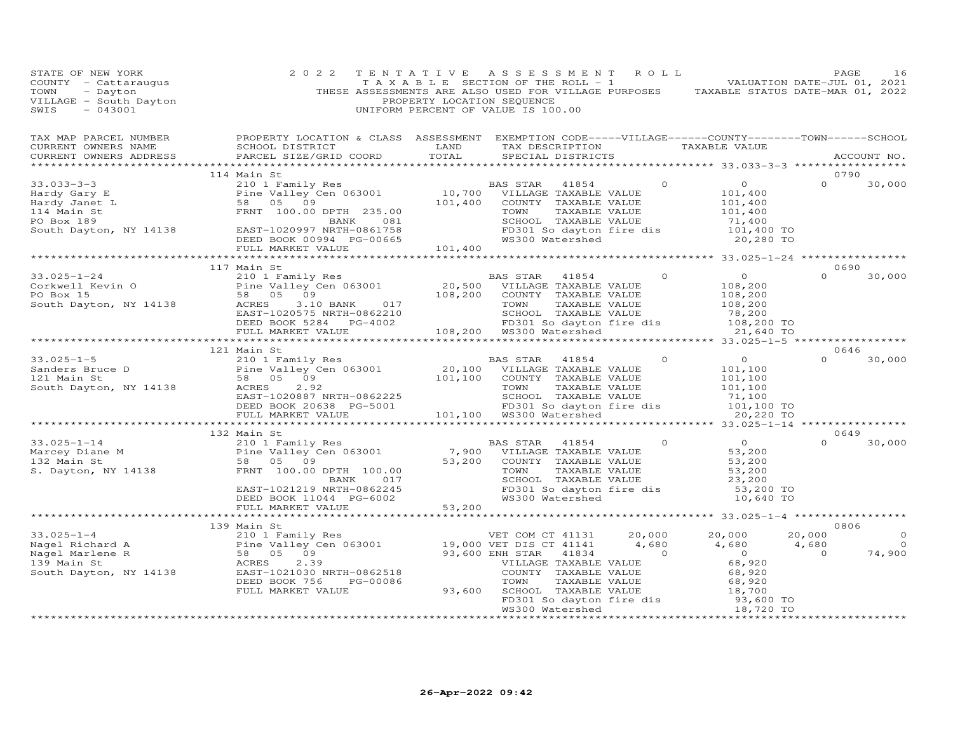| STATE OF NEW YORK<br>COUNTY - Cattaraugus<br>TAXABLE SECTION OF THE ROLL - 1<br>TOWN - Dayton<br>THESE ASSESSMENTS ARE ALSO USED FOR VILLAGE PURPOSES TAXABLE STATUS DATE-MAR 01, 2021<br>THESE ASSESSMENTS ARE ALSO USED FOR VILLAGE PURPOSES TAXABLE STAT             | 2 0 2 2                                                                                                                            | TENTATIVE ASSESSMENT ROLL | TAXABLE SECTION OF THE ROLL - 1 ( ) L 3 VALUATION DATE-JUL 01, 2021 | PAGE                            | 16     |
|-------------------------------------------------------------------------------------------------------------------------------------------------------------------------------------------------------------------------------------------------------------------------|------------------------------------------------------------------------------------------------------------------------------------|---------------------------|---------------------------------------------------------------------|---------------------------------|--------|
| TAX MAP PARCEL NUMBER FROPERTY LOCATION & CLASS ASSESSMENT EXEMPTION CODE-----VILLAGE------COUNTY--------TOWN------SCHOOL<br>CURRENT OWNERS NAME<br>CURRENT OWNERS ADDRESS                                                                                              | SCHOOL DISTRICT                        LAND        TAX DESCRIPTION                   TAXABLE VALUE<br>PARCEL SIZE/GRID COORD TOTAL | SPECIAL DISTRICTS         |                                                                     | ACCOUNT NO.                     |        |
|                                                                                                                                                                                                                                                                         | 114 Main St                                                                                                                        |                           |                                                                     | 0790<br>$0 \t 30,000$           |        |
|                                                                                                                                                                                                                                                                         |                                                                                                                                    |                           |                                                                     |                                 |        |
|                                                                                                                                                                                                                                                                         | 117 Main St                                                                                                                        |                           |                                                                     | 0690<br>$\Omega$                | 30,000 |
|                                                                                                                                                                                                                                                                         |                                                                                                                                    |                           |                                                                     |                                 |        |
|                                                                                                                                                                                                                                                                         | 121 Main St                                                                                                                        |                           |                                                                     | 0646<br>$\Omega$                | 30,000 |
|                                                                                                                                                                                                                                                                         |                                                                                                                                    |                           |                                                                     | 0649                            |        |
| 33.025-1-14<br>Marcey Diane M<br>2101 Family Res<br>Marcey Diane M<br>2101 Family Res<br>2101 Family Res<br>23.200<br>23.200<br>23.200<br>23.200<br>23.200<br>23.200<br>23.200<br>23.200<br>23.200<br>23.200<br>23.200<br>23.200<br>23.200<br>23.200<br>23.200<br>23.20 | 132 Main St                                                                                                                        |                           |                                                                     | $\Omega$                        | 30,000 |
|                                                                                                                                                                                                                                                                         |                                                                                                                                    |                           |                                                                     |                                 |        |
|                                                                                                                                                                                                                                                                         | 139 Main St                                                                                                                        |                           |                                                                     | 0806<br>$20,000$ 0<br>$0.680$ 0 | 74,900 |
|                                                                                                                                                                                                                                                                         |                                                                                                                                    |                           |                                                                     |                                 |        |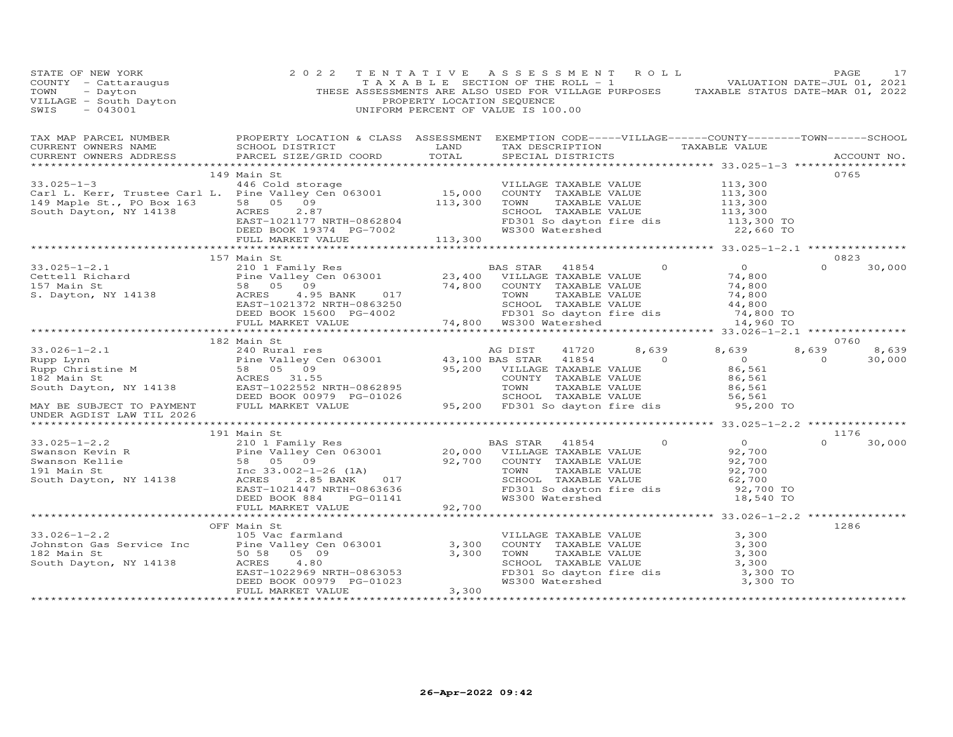| STATE OF NEW YORK<br>COUNTY - Cattaraugus<br>TOWN - Dayton<br>VILLAGE - South Dayton<br>SWIS - 043001                                                                                                                                                 | 2 0 2 2                                                                                                                                                                                                                                                   | PROPERTY LOCATION SEQUENCE   | TENTATIVE ASSESSMENT ROLL<br>TAXABLE SECTION OF THE ROLL - 1 VALUATION DATE-JUL 01, 2021<br>THESE ASSESSMENTS ARE ALSO USED FOR VILLAGE PURPOSES TAXABLE STATUS DATE-MAR 01, 2022<br>UNIFORM PERCENT OF VALUE IS 100.00 |       |                                  | PAGE                                    | 17     |
|-------------------------------------------------------------------------------------------------------------------------------------------------------------------------------------------------------------------------------------------------------|-----------------------------------------------------------------------------------------------------------------------------------------------------------------------------------------------------------------------------------------------------------|------------------------------|-------------------------------------------------------------------------------------------------------------------------------------------------------------------------------------------------------------------------|-------|----------------------------------|-----------------------------------------|--------|
| CURRENT OWNERS ADDRESS                                                                                                                                                                                                                                | SCHOOL DISTRICT                     LAND        TAX DESCRIPTION                  TAXABLE VALUE<br>PARCEL SIZE/GRID COORD TOTAL                                                                                                                            |                              | SPECIAL DISTRICTS                                                                                                                                                                                                       |       |                                  | ACCOUNT NO.                             |        |
|                                                                                                                                                                                                                                                       | 149 Main St                                                                                                                                                                                                                                               |                              |                                                                                                                                                                                                                         |       |                                  | 0765                                    |        |
|                                                                                                                                                                                                                                                       |                                                                                                                                                                                                                                                           |                              |                                                                                                                                                                                                                         |       |                                  |                                         |        |
|                                                                                                                                                                                                                                                       |                                                                                                                                                                                                                                                           |                              |                                                                                                                                                                                                                         |       |                                  |                                         |        |
| $33.025 - 1 - 2.1$<br>Cettell Richard Pine Valley C<br>157 Main St 58 05 09<br>S. Dayton, NY 14138 ACRES 1001395                                                                                                                                      | 157 Main St<br>Main St<br>210 1 Family Res<br>Pine Valley Cen 063001 23,400 VILLAGE TAXABLE VALUE<br>58 05 09 74,800 COUNTY TAXABLE VALUE<br>EAST-1021372 NRTH-0863250 SCHOOL TAXABLE VALUE<br>DEED BOOK 15600 PG-4002 FD301 So dayton fire dis<br>FULL M |                              |                                                                                                                                                                                                                         |       |                                  | 0823<br>$\Omega$                        | 30,000 |
|                                                                                                                                                                                                                                                       |                                                                                                                                                                                                                                                           |                              |                                                                                                                                                                                                                         |       |                                  |                                         |        |
|                                                                                                                                                                                                                                                       |                                                                                                                                                                                                                                                           |                              |                                                                                                                                                                                                                         |       |                                  |                                         |        |
|                                                                                                                                                                                                                                                       | 182 Main St                                                                                                                                                                                                                                               |                              |                                                                                                                                                                                                                         |       |                                  | 0760                                    |        |
| $33.026 - 1 - 2.1$                                                                                                                                                                                                                                    |                                                                                                                                                                                                                                                           |                              | AG DIST                                                                                                                                                                                                                 | 8,639 | 8,639                            | 8,639<br>8,639<br>$\Omega$ and $\Omega$ | 30,000 |
| MAY BE SUBJECT TO PAYMENT<br>UNDER AGDIST LAW TIL 2026                                                                                                                                                                                                |                                                                                                                                                                                                                                                           |                              |                                                                                                                                                                                                                         |       | 95,200 TO                        |                                         |        |
|                                                                                                                                                                                                                                                       |                                                                                                                                                                                                                                                           |                              |                                                                                                                                                                                                                         |       |                                  |                                         |        |
| 33.025-1-2.2<br>20,000 VILLAGE TAXABLE VALUE<br>Swanson Kevin R<br>Swanson Kelie<br>20,000 VILLAGE TAXABLE VALUE<br>Swanson Kelie<br>58 05 09<br>191 Main St<br>58 05 09<br>191 Main St<br>58 05 09<br>20,000 VILLAGE TAXABLE VALUE<br>20,000 VILLAGE |                                                                                                                                                                                                                                                           |                              | TOWN TAXABLE VALUE 92,700<br>SCHOOL TAXABLE VALUE 62,700<br>FD301 So dayton fire dis 92,700 TO<br>WS300 Watershed 18,540 TO                                                                                             |       | 0<br>92,700<br>92,700<br>92,700  | 1176<br>$\Omega$<br>30,000              |        |
|                                                                                                                                                                                                                                                       |                                                                                                                                                                                                                                                           |                              |                                                                                                                                                                                                                         |       |                                  |                                         |        |
|                                                                                                                                                                                                                                                       |                                                                                                                                                                                                                                                           |                              |                                                                                                                                                                                                                         |       |                                  |                                         |        |
| UNIVERSITY OF THE VALUE OF THE VALUE OF THE VALUE OF THE VALUE OF THE VALUE OF THE VALUE OF THE VALUE OF THE V<br>South Dayton, NY 14138 THE VALUE OF THE VALUE OF THE VALUE OF THE VALUE OF THE VALUE OF THE VALUE OF THE VALUE                      | OFF Main St<br>EAST-1022969 NRTH-0863053<br>DEED BOOK 00979 PG-01023<br>FULL MARKET VALUE<br>FULL MARKET VALUE 3.300                                                                                                                                      |                              | VILLAGE TAXABLE VALUE<br>VILLANDI INABILE VALUE<br>TOWN TAXABLE VALUE<br>TOWN TAXABLE VALUE<br>SCHOOL TAXABLE VALUE<br>FD301 So dayton fire dis 3,300 TO<br>WS300 Watershed 3,300 TO                                    |       | 3,300<br>3,300<br>3,300<br>3,300 | 1286                                    |        |
|                                                                                                                                                                                                                                                       |                                                                                                                                                                                                                                                           | 3,300<br>******************* |                                                                                                                                                                                                                         |       |                                  |                                         |        |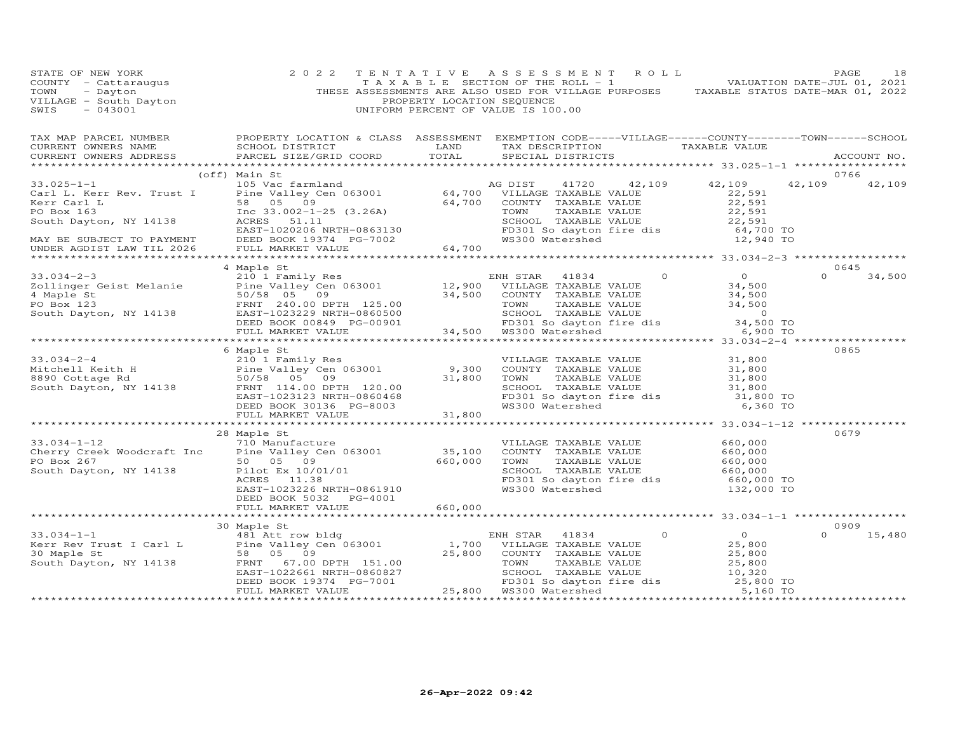| STATE OF NEW YORK                                                                | 2 0 2 2                                                                                                                                                                                                                                                                            | TENTATIVE                  |                                                                                       |               |        |
|----------------------------------------------------------------------------------|------------------------------------------------------------------------------------------------------------------------------------------------------------------------------------------------------------------------------------------------------------------------------------|----------------------------|---------------------------------------------------------------------------------------|---------------|--------|
|                                                                                  |                                                                                                                                                                                                                                                                                    |                            |                                                                                       |               |        |
|                                                                                  |                                                                                                                                                                                                                                                                                    |                            | THESE ASSESSMENTS ARE ALSO USED FOR VILLAGE PURPOSES TAXABLE STATUS DATE-MAR 01, 2022 |               |        |
|                                                                                  |                                                                                                                                                                                                                                                                                    | PROPERTY LOCATION SEQUENCE |                                                                                       |               |        |
| COUNTY - Cattaraugus<br>TOWN - Dayton<br>VILLAGE - South Dayton<br>SWIS - 043001 |                                                                                                                                                                                                                                                                                    |                            | UNIFORM PERCENT OF VALUE IS 100.00                                                    |               |        |
|                                                                                  |                                                                                                                                                                                                                                                                                    |                            |                                                                                       |               |        |
|                                                                                  |                                                                                                                                                                                                                                                                                    |                            |                                                                                       |               |        |
|                                                                                  | TAX MAP PARCEL NUMBER PROPERTY LOCATION & CLASS ASSESSMENT EXEMPTION CODE-----VILLAGE------COUNTY---------TOWN------SCHOOL CURRENT OWNERS NAME SCHOOL DISTRICT LAND TAX DESCRIPTION TAXABLE VALUE (CURRENT OWNERS ADDRESS PARC                                                     |                            |                                                                                       |               |        |
|                                                                                  |                                                                                                                                                                                                                                                                                    |                            |                                                                                       |               |        |
|                                                                                  |                                                                                                                                                                                                                                                                                    |                            |                                                                                       |               |        |
|                                                                                  |                                                                                                                                                                                                                                                                                    |                            |                                                                                       |               |        |
|                                                                                  |                                                                                                                                                                                                                                                                                    |                            |                                                                                       | 0766          |        |
|                                                                                  |                                                                                                                                                                                                                                                                                    |                            |                                                                                       | 42,109 42,109 |        |
|                                                                                  |                                                                                                                                                                                                                                                                                    |                            |                                                                                       |               |        |
|                                                                                  |                                                                                                                                                                                                                                                                                    |                            |                                                                                       |               |        |
|                                                                                  |                                                                                                                                                                                                                                                                                    |                            |                                                                                       |               |        |
|                                                                                  |                                                                                                                                                                                                                                                                                    |                            |                                                                                       |               |        |
|                                                                                  |                                                                                                                                                                                                                                                                                    |                            |                                                                                       |               |        |
|                                                                                  |                                                                                                                                                                                                                                                                                    |                            |                                                                                       |               |        |
|                                                                                  |                                                                                                                                                                                                                                                                                    |                            |                                                                                       |               |        |
|                                                                                  |                                                                                                                                                                                                                                                                                    |                            |                                                                                       |               |        |
|                                                                                  | 4 Maple St                                                                                                                                                                                                                                                                         |                            |                                                                                       |               | 0645   |
|                                                                                  |                                                                                                                                                                                                                                                                                    |                            |                                                                                       | $\Omega$      | 34,500 |
|                                                                                  |                                                                                                                                                                                                                                                                                    |                            |                                                                                       |               |        |
|                                                                                  |                                                                                                                                                                                                                                                                                    |                            |                                                                                       |               |        |
|                                                                                  |                                                                                                                                                                                                                                                                                    |                            |                                                                                       |               |        |
|                                                                                  |                                                                                                                                                                                                                                                                                    |                            |                                                                                       |               |        |
|                                                                                  |                                                                                                                                                                                                                                                                                    |                            |                                                                                       |               |        |
|                                                                                  |                                                                                                                                                                                                                                                                                    |                            |                                                                                       |               |        |
|                                                                                  | 33.034-2-3<br>2011 Inger Geist Melanie 210 1 Family Res<br>2011 Inger Geist Melanie 210 1 Family Res<br>2011 Inger Geist Melanie 210 Intervalse Value 212,900 VILLAGE TAXABLE VALUE 34,500<br>24 Maple St<br>26 50/58 05 09<br>24 Maple S                                          |                            |                                                                                       |               |        |
|                                                                                  |                                                                                                                                                                                                                                                                                    |                            |                                                                                       |               | 0865   |
|                                                                                  | 6 Maple St                                                                                                                                                                                                                                                                         |                            |                                                                                       |               |        |
|                                                                                  |                                                                                                                                                                                                                                                                                    |                            |                                                                                       |               |        |
|                                                                                  |                                                                                                                                                                                                                                                                                    |                            |                                                                                       |               |        |
|                                                                                  |                                                                                                                                                                                                                                                                                    |                            |                                                                                       |               |        |
|                                                                                  |                                                                                                                                                                                                                                                                                    |                            |                                                                                       |               |        |
|                                                                                  |                                                                                                                                                                                                                                                                                    |                            |                                                                                       |               |        |
|                                                                                  |                                                                                                                                                                                                                                                                                    |                            |                                                                                       |               |        |
|                                                                                  | 33.034-2-4<br>Mitchell Keith H<br>21,800<br>21,800<br>21,800<br>21,800<br>21,800<br>21,800<br>21,800<br>21,800<br>21,800<br>21,800<br>21,800<br>21,800<br>21,800<br>21,800<br>21,800<br>21,800<br>21,800<br>21,800<br>21,800<br>21,800<br>21,800<br>21,800<br>21,800<br>21,800<br> |                            |                                                                                       |               |        |
|                                                                                  |                                                                                                                                                                                                                                                                                    |                            |                                                                                       |               |        |
|                                                                                  | 28 Maple St                                                                                                                                                                                                                                                                        |                            |                                                                                       |               | 0679   |
|                                                                                  |                                                                                                                                                                                                                                                                                    |                            |                                                                                       |               |        |
|                                                                                  |                                                                                                                                                                                                                                                                                    |                            |                                                                                       |               |        |
|                                                                                  | 33.034-1-12<br>28 Maple St<br>710 Manufacture<br>Cherry Creek Woodcraft Inc = 10 Manufacture<br>FO Box 267 50 05 09<br>50 05 09 660,000 TOWN TAXABLE VALUE 660,000<br>860,000 TOWN TAXABLE VALUE 660,000<br>South Dayton, NY 14138 EAST-102                                        |                            |                                                                                       |               |        |
|                                                                                  |                                                                                                                                                                                                                                                                                    |                            |                                                                                       |               |        |
|                                                                                  |                                                                                                                                                                                                                                                                                    |                            |                                                                                       |               |        |
|                                                                                  |                                                                                                                                                                                                                                                                                    |                            |                                                                                       |               |        |
|                                                                                  | DEED BOOK 5032 PG-4001                                                                                                                                                                                                                                                             |                            |                                                                                       |               |        |
|                                                                                  | FULL MARKET VALUE 660,000                                                                                                                                                                                                                                                          |                            |                                                                                       |               |        |
|                                                                                  |                                                                                                                                                                                                                                                                                    |                            |                                                                                       |               |        |
|                                                                                  | 30 Maple St                                                                                                                                                                                                                                                                        |                            |                                                                                       |               | 0909   |
|                                                                                  |                                                                                                                                                                                                                                                                                    |                            |                                                                                       | $\Omega$      | 15,480 |
|                                                                                  |                                                                                                                                                                                                                                                                                    |                            |                                                                                       |               |        |
|                                                                                  |                                                                                                                                                                                                                                                                                    |                            |                                                                                       |               |        |
|                                                                                  |                                                                                                                                                                                                                                                                                    |                            |                                                                                       |               |        |
|                                                                                  |                                                                                                                                                                                                                                                                                    |                            |                                                                                       |               |        |
|                                                                                  |                                                                                                                                                                                                                                                                                    |                            |                                                                                       |               |        |
|                                                                                  |                                                                                                                                                                                                                                                                                    |                            |                                                                                       |               |        |
|                                                                                  | $\begin{array}{cccc} 30.034-1-1 & 30.039-1-1 & 30.049-1 & 0 & 0 & 0 \\ 481.01 & 481.01 & 1.700 & 0.0111 \& 0.011 & 0.011 & 0.011 & 0.011 \& 0.011 & 0.011 & 0.011 \& 0.011 & 0.011 & 0.011 \& 0.011 & 0.011 & 0.011 \& 0.011 & 0.011 & 0.011 \& 0.011 & 0.011 & 0.011 \$           |                            |                                                                                       |               |        |
|                                                                                  |                                                                                                                                                                                                                                                                                    |                            |                                                                                       |               |        |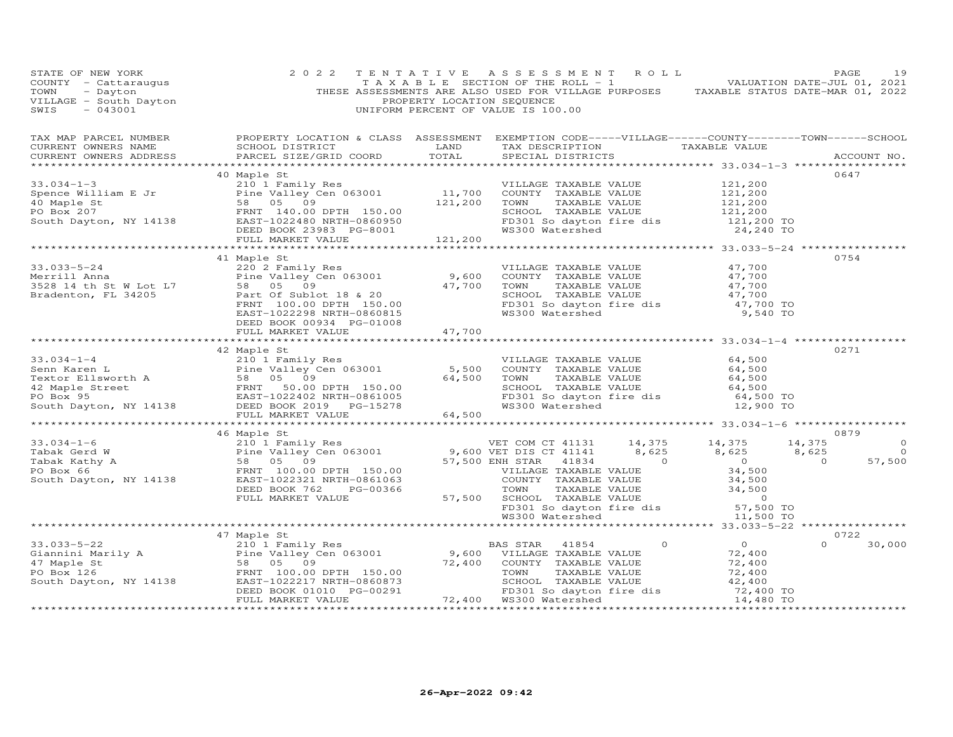|                                                                                                                                                                                                                                                                                                                                                                                                          | 40 Maple St              |        |  | 0647     |                |
|----------------------------------------------------------------------------------------------------------------------------------------------------------------------------------------------------------------------------------------------------------------------------------------------------------------------------------------------------------------------------------------------------------|--------------------------|--------|--|----------|----------------|
| 33.034-1-3<br>Spence William E Jr<br>21,200<br>21,200<br>21,200<br>21,200<br>21,200<br>21,200<br>21,200<br>200 DRD ENT 140.00<br>21,200<br>200 DRD ENT 140.00<br>21,200<br>200 DRD ENT 140.00<br>21,200<br>200 DRD ENT 140.00<br>21,200<br>21,200<br>200 DRD ENT                                                                                                                                         |                          |        |  |          |                |
|                                                                                                                                                                                                                                                                                                                                                                                                          |                          |        |  |          |                |
|                                                                                                                                                                                                                                                                                                                                                                                                          |                          |        |  |          |                |
|                                                                                                                                                                                                                                                                                                                                                                                                          |                          |        |  |          |                |
|                                                                                                                                                                                                                                                                                                                                                                                                          |                          |        |  |          |                |
|                                                                                                                                                                                                                                                                                                                                                                                                          |                          |        |  |          |                |
|                                                                                                                                                                                                                                                                                                                                                                                                          |                          |        |  |          |                |
|                                                                                                                                                                                                                                                                                                                                                                                                          | 41 Maple St              |        |  | 0754     |                |
| 33.033-5-24<br>Merrill Anna<br>220 2 Family Res<br>Pine Valley Cen 063001<br>9,600 COUNTY TAXABLE VALUE<br>9,600 COUNTY TAXABLE VALUE<br>9,600 COUNTY TAXABLE VALUE<br>47,700<br>230 2 Family Res<br>Pine Valley Cen 063001<br>9,600 COUNTY TAXAB                                                                                                                                                        |                          |        |  |          |                |
|                                                                                                                                                                                                                                                                                                                                                                                                          |                          |        |  |          |                |
|                                                                                                                                                                                                                                                                                                                                                                                                          |                          |        |  |          |                |
|                                                                                                                                                                                                                                                                                                                                                                                                          |                          |        |  |          |                |
|                                                                                                                                                                                                                                                                                                                                                                                                          |                          |        |  |          |                |
|                                                                                                                                                                                                                                                                                                                                                                                                          | DEED BOOK 00934 PG-01008 |        |  |          |                |
|                                                                                                                                                                                                                                                                                                                                                                                                          | FULL MARKET VALUE        | 47,700 |  |          |                |
|                                                                                                                                                                                                                                                                                                                                                                                                          |                          |        |  |          |                |
| $\begin{tabular}{lllllllllllllllllllll} \text{33.034--1--4} & & & & & & & & 42 \text{ Maple St} & & & & & & 55 \text{On} & & & & 64,500 \text{NPLLAGE}}{\text{Senn Karen L}} & & & & & & 21011 \text{Fem} & & & & 64 \text{NPLLATE} & & & & 64,500 \text{NPLLAGE}}{\text{Textor Ellsworth A}} & & & & & & 58 & 05 & 09 & & & & 64,500 \text{NPLLATE} & & & & 64,500 \text{NPLLATE} & & & & 64,500 \text$ | 42 Maple St              |        |  | 0271     |                |
|                                                                                                                                                                                                                                                                                                                                                                                                          |                          |        |  |          |                |
|                                                                                                                                                                                                                                                                                                                                                                                                          |                          |        |  |          |                |
|                                                                                                                                                                                                                                                                                                                                                                                                          |                          |        |  |          |                |
|                                                                                                                                                                                                                                                                                                                                                                                                          |                          |        |  |          |                |
|                                                                                                                                                                                                                                                                                                                                                                                                          |                          |        |  |          |                |
|                                                                                                                                                                                                                                                                                                                                                                                                          |                          |        |  |          |                |
|                                                                                                                                                                                                                                                                                                                                                                                                          |                          |        |  | 0879     |                |
| $\begin{array}{cccccc} 33.034-1-6 & 46 \text{ Maple St} & 0879 \\ 2101111& 44,375 & 14,375 & 14,375 & 14,375 \\ 210111& 21011& 8,625 & 8,625 & 8,625 \\ 21011& 2101& 2101& 000 \\ 2101& 2101& 2101& 000 \\ 2101& 2101& 2101& 2101& 2101 \\ 2101& 2101& 2101& 2101& 2101 \\$                                                                                                                              | 46 Maple St              |        |  |          | $\circ$        |
|                                                                                                                                                                                                                                                                                                                                                                                                          |                          |        |  |          | $\overline{O}$ |
|                                                                                                                                                                                                                                                                                                                                                                                                          |                          |        |  |          | 57,500         |
|                                                                                                                                                                                                                                                                                                                                                                                                          |                          |        |  |          |                |
|                                                                                                                                                                                                                                                                                                                                                                                                          |                          |        |  |          |                |
|                                                                                                                                                                                                                                                                                                                                                                                                          |                          |        |  |          |                |
|                                                                                                                                                                                                                                                                                                                                                                                                          |                          |        |  |          |                |
|                                                                                                                                                                                                                                                                                                                                                                                                          |                          |        |  |          |                |
|                                                                                                                                                                                                                                                                                                                                                                                                          |                          |        |  |          |                |
|                                                                                                                                                                                                                                                                                                                                                                                                          | 47 Maple St              |        |  | 0722     |                |
|                                                                                                                                                                                                                                                                                                                                                                                                          |                          |        |  | $\Omega$ | 30,000         |
|                                                                                                                                                                                                                                                                                                                                                                                                          |                          |        |  |          |                |
|                                                                                                                                                                                                                                                                                                                                                                                                          |                          |        |  |          |                |
|                                                                                                                                                                                                                                                                                                                                                                                                          |                          |        |  |          |                |
|                                                                                                                                                                                                                                                                                                                                                                                                          |                          |        |  |          |                |
|                                                                                                                                                                                                                                                                                                                                                                                                          |                          |        |  |          |                |
|                                                                                                                                                                                                                                                                                                                                                                                                          |                          |        |  |          |                |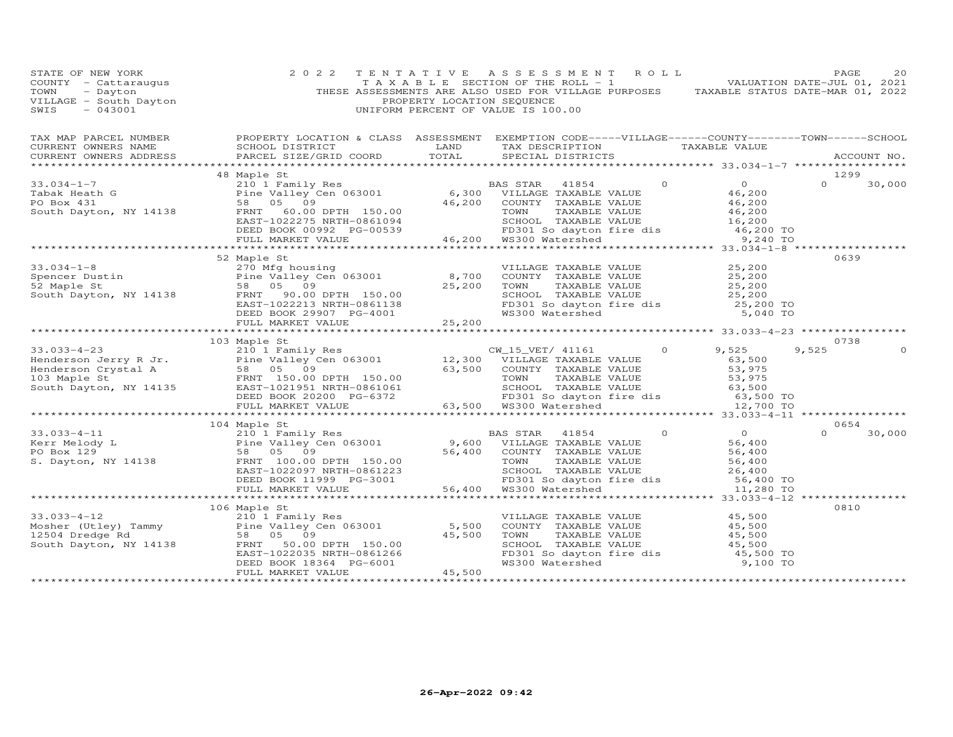| STATE OF NEW YORK<br>COUNTY - Cattaraugus<br>TOWN - Dayton<br>VILLAGE - South Dayton<br>~~~~ - 043001                                                                                                                                           | 2 0 2 2                                                               | TENTATIVE ASSESSMENT ROLL<br>TAXABLE SECTION OF THE ROLL - 1<br>TAXABLE SECTION OF THE ROLL - 1<br>THESE ASSESSMENTS ARE ALLO USED FOR VILLAGE PURPOSES TAXABLE STATUS DATE-MAR 01, 2022<br>PROPERTY LOCATION SEQUENCE<br>UNIFORM PERCENT OF VALUE IS 100.00 |  | PAGE          | 20          |
|-------------------------------------------------------------------------------------------------------------------------------------------------------------------------------------------------------------------------------------------------|-----------------------------------------------------------------------|--------------------------------------------------------------------------------------------------------------------------------------------------------------------------------------------------------------------------------------------------------------|--|---------------|-------------|
|                                                                                                                                                                                                                                                 | CURRENT OWNERS ADDRESS PARCEL SIZE/GRID COORD TOTAL SPECIAL DISTRICTS |                                                                                                                                                                                                                                                              |  |               | ACCOUNT NO. |
|                                                                                                                                                                                                                                                 |                                                                       |                                                                                                                                                                                                                                                              |  |               |             |
|                                                                                                                                                                                                                                                 | 48 Maple St                                                           |                                                                                                                                                                                                                                                              |  | 1299          |             |
|                                                                                                                                                                                                                                                 |                                                                       |                                                                                                                                                                                                                                                              |  | $\Omega$      | 30,000      |
|                                                                                                                                                                                                                                                 |                                                                       |                                                                                                                                                                                                                                                              |  |               |             |
|                                                                                                                                                                                                                                                 |                                                                       |                                                                                                                                                                                                                                                              |  |               |             |
|                                                                                                                                                                                                                                                 |                                                                       |                                                                                                                                                                                                                                                              |  |               |             |
|                                                                                                                                                                                                                                                 | 52 Maple St                                                           |                                                                                                                                                                                                                                                              |  | 0639          |             |
| 33.034-1-8<br>Sometry and the Valley Cen 063001<br>Spencer Dustin Pine Valley Cen 063001<br>South Dayton, NY 14138<br>South Dayton, NY 14138<br>EBD BOOK 29907 PG-4001<br>TAXABLE VALUE<br>EED BOOK 29907 PG-4001<br>TAXABLE VALUE<br>PD301 SOM |                                                                       |                                                                                                                                                                                                                                                              |  |               |             |
|                                                                                                                                                                                                                                                 |                                                                       |                                                                                                                                                                                                                                                              |  |               |             |
|                                                                                                                                                                                                                                                 |                                                                       |                                                                                                                                                                                                                                                              |  |               |             |
|                                                                                                                                                                                                                                                 |                                                                       |                                                                                                                                                                                                                                                              |  |               |             |
|                                                                                                                                                                                                                                                 |                                                                       |                                                                                                                                                                                                                                                              |  |               |             |
|                                                                                                                                                                                                                                                 |                                                                       |                                                                                                                                                                                                                                                              |  |               |             |
|                                                                                                                                                                                                                                                 | 103 Maple St                                                          |                                                                                                                                                                                                                                                              |  | 0738          |             |
| 33.033-4-23<br>Henderson Jerry R Jr. (103 Maple State of Pine Valley Cen 063001<br>Henderson Crystal A 58 05 09<br>103 Maple State Valley Cen 063001<br>Henderson Crystal A 58 05 09<br>103 Maple State Value 63,500<br>Henderson Crystal       |                                                                       |                                                                                                                                                                                                                                                              |  | 9,525         | $\Omega$    |
|                                                                                                                                                                                                                                                 |                                                                       |                                                                                                                                                                                                                                                              |  |               |             |
|                                                                                                                                                                                                                                                 |                                                                       |                                                                                                                                                                                                                                                              |  |               |             |
|                                                                                                                                                                                                                                                 |                                                                       |                                                                                                                                                                                                                                                              |  |               |             |
|                                                                                                                                                                                                                                                 |                                                                       |                                                                                                                                                                                                                                                              |  |               |             |
|                                                                                                                                                                                                                                                 |                                                                       |                                                                                                                                                                                                                                                              |  |               |             |
|                                                                                                                                                                                                                                                 |                                                                       |                                                                                                                                                                                                                                                              |  |               |             |
|                                                                                                                                                                                                                                                 | 104 Maple St                                                          |                                                                                                                                                                                                                                                              |  | 0654          |             |
|                                                                                                                                                                                                                                                 |                                                                       |                                                                                                                                                                                                                                                              |  | $0 \t 30,000$ |             |
|                                                                                                                                                                                                                                                 |                                                                       |                                                                                                                                                                                                                                                              |  |               |             |
|                                                                                                                                                                                                                                                 |                                                                       |                                                                                                                                                                                                                                                              |  |               |             |
|                                                                                                                                                                                                                                                 |                                                                       |                                                                                                                                                                                                                                                              |  |               |             |
|                                                                                                                                                                                                                                                 |                                                                       |                                                                                                                                                                                                                                                              |  |               |             |
|                                                                                                                                                                                                                                                 |                                                                       |                                                                                                                                                                                                                                                              |  |               |             |
|                                                                                                                                                                                                                                                 |                                                                       |                                                                                                                                                                                                                                                              |  |               |             |
|                                                                                                                                                                                                                                                 |                                                                       |                                                                                                                                                                                                                                                              |  | 0810          |             |
|                                                                                                                                                                                                                                                 |                                                                       |                                                                                                                                                                                                                                                              |  |               |             |
|                                                                                                                                                                                                                                                 |                                                                       |                                                                                                                                                                                                                                                              |  |               |             |
|                                                                                                                                                                                                                                                 |                                                                       |                                                                                                                                                                                                                                                              |  |               |             |
|                                                                                                                                                                                                                                                 |                                                                       |                                                                                                                                                                                                                                                              |  |               |             |
| 106 Maple St<br>33.033-4-12 210 1 Family Res<br>Mosher (Utley) Tammy Pine Valley Cen 063001 5,500 COUNTY TAXABLE VALUE<br>12504 Dredge Rd 58 05 09 45,500 TOWN TAXABLE VALUE<br>South Dayton, NY 14138 FRNT 50.00 DPTH 150.00 5CHOOL T          |                                                                       |                                                                                                                                                                                                                                                              |  |               |             |
|                                                                                                                                                                                                                                                 |                                                                       |                                                                                                                                                                                                                                                              |  |               |             |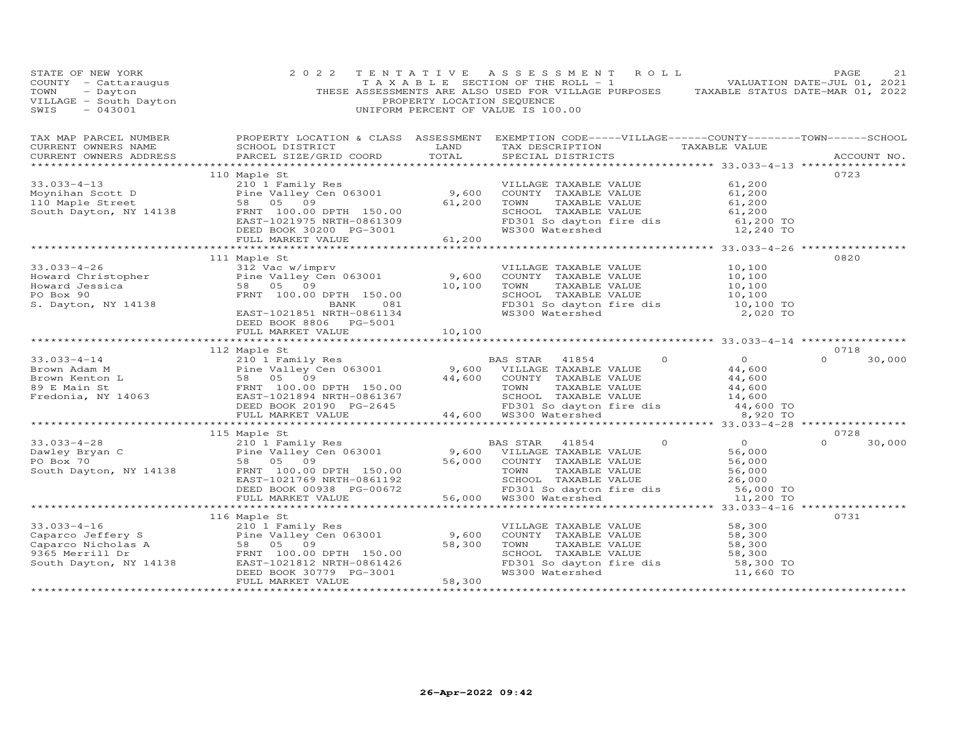| STATE OF NEW YORK<br>COUNTY - Cattaraugus<br>TOWN - Dayton<br>VILLAGE - South Dayton<br>----- 043001                                                                                                                                                                                                                                                                                                     | 2 0 2 2                                                                                                                                                              | PROPERTY LOCATION SEQUENCE | TENTATIVE ASSESSMENT ROLL<br>TAXABLE SECTION OF THE ROLL - 1 - - - - VALUATION DATE-JUL 01, 2021<br>THESE ASSESSMENTS ARE ALSO USED FOR VILLAGE PURPOSES TAXABLE STATUS DATE-MAR 01, 2022<br>UNIFORM PERCENT OF VALUE IS 100.00 |                                                                                                                          | PAGE        | 21     |
|----------------------------------------------------------------------------------------------------------------------------------------------------------------------------------------------------------------------------------------------------------------------------------------------------------------------------------------------------------------------------------------------------------|----------------------------------------------------------------------------------------------------------------------------------------------------------------------|----------------------------|---------------------------------------------------------------------------------------------------------------------------------------------------------------------------------------------------------------------------------|--------------------------------------------------------------------------------------------------------------------------|-------------|--------|
|                                                                                                                                                                                                                                                                                                                                                                                                          |                                                                                                                                                                      |                            |                                                                                                                                                                                                                                 |                                                                                                                          | ACCOUNT NO. |        |
|                                                                                                                                                                                                                                                                                                                                                                                                          | 110 Maple St                                                                                                                                                         |                            |                                                                                                                                                                                                                                 |                                                                                                                          | 0723        |        |
| 33.033-4-13<br>Moynihan Scott D<br>Moynihan Scott D<br>ERNT 100 Maple Street<br>S8 05 09<br>South Dayton, NY 14138<br>ERST-1021975 NRTH-0861309<br>ERST-1021975 NRTH-0861309<br>ERST-1021975 NRTH-0861309<br>ERST-1021975 NRTH-0861309<br>ERST-10                                                                                                                                                        |                                                                                                                                                                      |                            |                                                                                                                                                                                                                                 | SCHOOL TAXABLE VALUE 61,200<br>FD301 So dayton fire dis 61,200 TO<br>WS300 Watershed 12,240 TO                           |             |        |
|                                                                                                                                                                                                                                                                                                                                                                                                          |                                                                                                                                                                      |                            |                                                                                                                                                                                                                                 |                                                                                                                          |             |        |
| UNIVERSITY<br>CONTROLLING THE SERVICE OF SUITE OF SUITE OF SUITE OF SALEY CONTROLLING SUITE OF SALEY CONTRACT SUITE OF SAMPLE SALEY CONTRACT SUITE OF SAMPLE OF SAMPLE OF SAMPLE OF SAMPLE OF SAMPLE OF SAMPLE OF SAMPLE OF SAMP                                                                                                                                                                         | Pine Valley Cen 063001<br>58 05 09 09 DPTH 150.00<br>FRNT 100.00 DPTH 150.00<br>BANK 081<br>EAST-1021851 NRTH-0861134<br>DEED BOOK 8806 PG-5001<br>FULL MARKET VALUE | 10,100                     | VILLAGE TAXABLE VALUE<br>COUNTY TAXABLE VALUE<br>TOWN TAXABLE VALUE<br>SCHOOL TAXABLE VALUE<br>SCHOOL TAXABLE VALUE<br>TO 10,100<br>FD301 So dayton fire dis<br>TO,100 TO<br>WS300 Watershed<br>2,020 TO                        |                                                                                                                          | 0820        |        |
|                                                                                                                                                                                                                                                                                                                                                                                                          |                                                                                                                                                                      |                            |                                                                                                                                                                                                                                 |                                                                                                                          |             |        |
|                                                                                                                                                                                                                                                                                                                                                                                                          | 112 Maple St                                                                                                                                                         |                            |                                                                                                                                                                                                                                 |                                                                                                                          | 0718        |        |
| $\begin{array}{cccccccc} 33.033-4-14 & 112 & \text{mapl} & \text{Eamily Res} \\ \text{Brown Adam M} & \text{Pine Valley Cen 063001} & 9,600 & \text{VILLAGE TAXABLE VALUE} & 44,600 \\ \text{Brown Kenton L} & 58 & 05 & 09 \\ \text{Fredoni St. } & \text{FNNT} & 100.00 \text{ DFTH} & 150.00 & \text{SVDM} & 54,600 \\ \text{Fredoni St. } & \text{FNNT} & 100.00 \text{ DFTH} & 150.00 & \text{SVDM$ |                                                                                                                                                                      |                            | BAS STAR 41854                                                                                                                                                                                                                  |                                                                                                                          | $\Omega$    | 30,000 |
|                                                                                                                                                                                                                                                                                                                                                                                                          |                                                                                                                                                                      |                            |                                                                                                                                                                                                                                 |                                                                                                                          |             |        |
|                                                                                                                                                                                                                                                                                                                                                                                                          | 115 Maple St                                                                                                                                                         |                            |                                                                                                                                                                                                                                 |                                                                                                                          | 0728        |        |
| $\begin{array}{cccccccc} 33.033-4-28 & & & & 115\text{ m}m11y\text{ Res} & & & & & 0 & 0 & 0\\ 210&\text{I family Res} & & & & & & & & 0 & 0\\ \text{Dawley Eryan C} & & & & & & & & 115\text{ m}m11y\text{ Res} & & & & & & 9,600\text{ VILLAGE TAXABLE VALUE} & & & & 56,000\\ \text{PO Box 70} & & & & & & & 58 & 05 & 09 & & & & 56,000\\ \text{South Dayton, NY 14138} & & & & & & & & & 15$        |                                                                                                                                                                      |                            |                                                                                                                                                                                                                                 |                                                                                                                          |             | 30,000 |
|                                                                                                                                                                                                                                                                                                                                                                                                          |                                                                                                                                                                      |                            |                                                                                                                                                                                                                                 |                                                                                                                          |             |        |
|                                                                                                                                                                                                                                                                                                                                                                                                          |                                                                                                                                                                      |                            | VILLAGE TAXABLE VALUE 58,300<br>COUNTY TAXABLE VALUE 58,300                                                                                                                                                                     |                                                                                                                          | 0731        |        |
|                                                                                                                                                                                                                                                                                                                                                                                                          |                                                                                                                                                                      |                            |                                                                                                                                                                                                                                 | TOWN TAXABLE VALUE 58,300<br>SCHOOL TAXABLE VALUE 58,300<br>FD301 So dayton fire dis 58,300<br>WS300 Watershed 11,660 TO |             |        |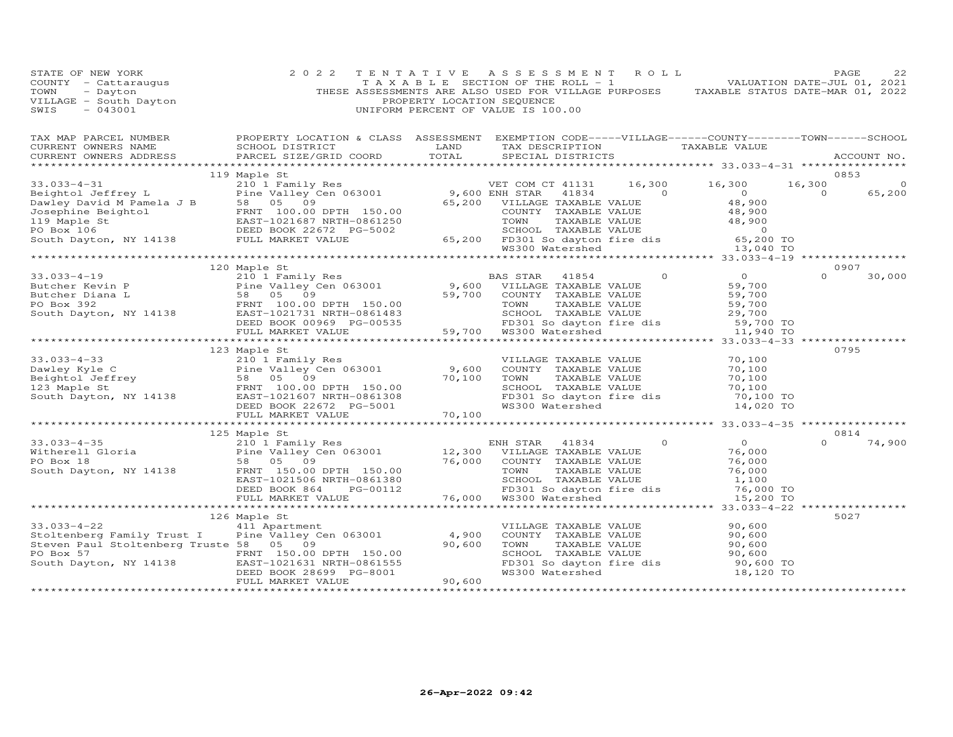| STATE OF NEW YORK<br>COUNTY - Cattaraugus<br>TOWN - Dayton<br>VILLAGE - South Dayton<br>SWIS - 043001                                                                                                                                                                                              | 2 0 2 2                                                                                               | PROPERTY LOCATION SEQUENCE | TENTATIVE ASSESSMENT ROLL<br>UNIFORM PERCENT OF VALUE IS 100.00                                | TAXABLE SECTION OF THE ROLL - 1 VALUATION DATE-JUL 01, 2021<br>THESE ASSESSMENTS ARE ALSO USED FOR VILLAGE PURPOSES TAXABLE STATUS DATE-MAR 01, 2022 | PAGE     | 22                |
|----------------------------------------------------------------------------------------------------------------------------------------------------------------------------------------------------------------------------------------------------------------------------------------------------|-------------------------------------------------------------------------------------------------------|----------------------------|------------------------------------------------------------------------------------------------|------------------------------------------------------------------------------------------------------------------------------------------------------|----------|-------------------|
| TAX MAP PARCEL NUMBER BROPERTY LOCATION & CLASS ASSESSMENT EXEMPTION CODE-----VILLAGE------COUNTY--------TOWN------SCHOOL CURRENT OWNERS NAME SCHOOL DISTRICT LAND TAX DESCRIPTION TAXABLE VALUE CURRENT OWNERS ADDRESS PARCEL                                                                     | SCHOOL DISTRICT THE LAND TAX DESCRIPTION TAXABLE VALUE PARCEL SIZE/GRID COORD TOTAL SPECIAL DISTRICTS |                            |                                                                                                |                                                                                                                                                      |          |                   |
|                                                                                                                                                                                                                                                                                                    |                                                                                                       |                            |                                                                                                |                                                                                                                                                      |          |                   |
| $[19 \text{ Maple St} \begin{tabular}{lcccccc} 33.033-4-31 & 19 \text{Maple St} & 210 1 Family Res & 210 1's 16,300 & 16,300 & 16,300 & 16,300 & 16,300 & 16,300 & 16,300 & 16,300 & 16,300 & 16,300 & 16,300 & 16,300 & 16,300 & 16,300 & 16,300 & 16,300 & 16,300 & 16,300 & 16,300 & 16,300 & $ | 119 Maple St                                                                                          |                            |                                                                                                |                                                                                                                                                      | 0853     |                   |
|                                                                                                                                                                                                                                                                                                    |                                                                                                       |                            |                                                                                                |                                                                                                                                                      |          | $\circ$<br>65,200 |
|                                                                                                                                                                                                                                                                                                    |                                                                                                       |                            |                                                                                                |                                                                                                                                                      |          |                   |
|                                                                                                                                                                                                                                                                                                    |                                                                                                       |                            |                                                                                                |                                                                                                                                                      |          |                   |
|                                                                                                                                                                                                                                                                                                    |                                                                                                       |                            |                                                                                                |                                                                                                                                                      |          |                   |
|                                                                                                                                                                                                                                                                                                    |                                                                                                       |                            |                                                                                                |                                                                                                                                                      |          |                   |
|                                                                                                                                                                                                                                                                                                    |                                                                                                       |                            |                                                                                                |                                                                                                                                                      |          |                   |
|                                                                                                                                                                                                                                                                                                    |                                                                                                       |                            |                                                                                                |                                                                                                                                                      |          |                   |
|                                                                                                                                                                                                                                                                                                    | 120 Maple St                                                                                          |                            |                                                                                                |                                                                                                                                                      | 0907     |                   |
|                                                                                                                                                                                                                                                                                                    |                                                                                                       |                            |                                                                                                |                                                                                                                                                      | $\Omega$ | 30,000            |
|                                                                                                                                                                                                                                                                                                    |                                                                                                       |                            |                                                                                                |                                                                                                                                                      |          |                   |
|                                                                                                                                                                                                                                                                                                    |                                                                                                       |                            |                                                                                                |                                                                                                                                                      |          |                   |
|                                                                                                                                                                                                                                                                                                    |                                                                                                       |                            |                                                                                                |                                                                                                                                                      |          |                   |
|                                                                                                                                                                                                                                                                                                    |                                                                                                       |                            |                                                                                                |                                                                                                                                                      |          |                   |
|                                                                                                                                                                                                                                                                                                    |                                                                                                       |                            |                                                                                                |                                                                                                                                                      |          |                   |
|                                                                                                                                                                                                                                                                                                    |                                                                                                       |                            |                                                                                                |                                                                                                                                                      |          |                   |
|                                                                                                                                                                                                                                                                                                    |                                                                                                       |                            |                                                                                                |                                                                                                                                                      | 0795     |                   |
| 33.033-4-33<br>Dawley Kyle C<br>Dawley Kyle C<br>Beightol Jeffrey<br>Sa 05 09<br>FRNT 100.00 DPTH 150.00<br>ERNT 100.00 DPTH 150.00<br>ERNT 100.00 DPTH 150.00<br>TO,100 TOWN TAXABLE VALUE<br>TO,100 TOWN TAXABLE VALUE<br>Sample Strengthend TA                                                  | 123 Maple St                                                                                          |                            |                                                                                                |                                                                                                                                                      |          |                   |
|                                                                                                                                                                                                                                                                                                    |                                                                                                       |                            |                                                                                                |                                                                                                                                                      |          |                   |
|                                                                                                                                                                                                                                                                                                    |                                                                                                       |                            |                                                                                                |                                                                                                                                                      |          |                   |
|                                                                                                                                                                                                                                                                                                    |                                                                                                       |                            |                                                                                                |                                                                                                                                                      |          |                   |
|                                                                                                                                                                                                                                                                                                    |                                                                                                       |                            |                                                                                                |                                                                                                                                                      |          |                   |
|                                                                                                                                                                                                                                                                                                    |                                                                                                       |                            |                                                                                                |                                                                                                                                                      |          |                   |
|                                                                                                                                                                                                                                                                                                    |                                                                                                       |                            |                                                                                                |                                                                                                                                                      |          |                   |
|                                                                                                                                                                                                                                                                                                    |                                                                                                       |                            |                                                                                                |                                                                                                                                                      | 0814     |                   |
| 33.033-4-35<br>Witherell Gloria 210 125 Maple St<br>PO Box 18 58 05 09<br>South Dayton, NY 14138 FRAST-1021506 NRTH-0861380<br>DEED BOOK 864 PG-00112 76,000 FD301 South TAXABLE VALUE 76,000<br>TO TAXABLE VALUE 76,000<br>DEED BOOK 864                                                          | 125 Maple St                                                                                          |                            |                                                                                                |                                                                                                                                                      | $\Omega$ | 74,900            |
|                                                                                                                                                                                                                                                                                                    |                                                                                                       |                            |                                                                                                |                                                                                                                                                      |          |                   |
|                                                                                                                                                                                                                                                                                                    |                                                                                                       |                            |                                                                                                |                                                                                                                                                      |          |                   |
|                                                                                                                                                                                                                                                                                                    |                                                                                                       |                            |                                                                                                |                                                                                                                                                      |          |                   |
|                                                                                                                                                                                                                                                                                                    |                                                                                                       |                            |                                                                                                |                                                                                                                                                      |          |                   |
|                                                                                                                                                                                                                                                                                                    |                                                                                                       |                            |                                                                                                |                                                                                                                                                      |          |                   |
|                                                                                                                                                                                                                                                                                                    |                                                                                                       |                            |                                                                                                |                                                                                                                                                      |          |                   |
|                                                                                                                                                                                                                                                                                                    |                                                                                                       |                            |                                                                                                |                                                                                                                                                      | 5027     |                   |
| $33.033 - 4 - 22$                                                                                                                                                                                                                                                                                  | 126 Maple St<br>411 Apartment                                                                         |                            |                                                                                                |                                                                                                                                                      |          |                   |
| Stoltenberg Family Trust I                                                                                                                                                                                                                                                                         | Pine Valley Cen 063001                                                                                | 4,900                      |                                                                                                |                                                                                                                                                      |          |                   |
| Steven Paul Stoltenberg Truste 58 05 09                                                                                                                                                                                                                                                            |                                                                                                       | 90,600                     | VILLAGE TAXABLE VALUE $90,600$<br>COUNTY TAXABLE VALUE $90,600$<br>TOWN TAXABLE VALUE $90,600$ | CONN TAXABLE VALUE<br>SCHOOL TAXABLE VALUE 90,600<br>FD301 So dayton fire dis 90,600 TO<br>90,600 TO<br>90,600 TO                                    |          |                   |
|                                                                                                                                                                                                                                                                                                    |                                                                                                       |                            |                                                                                                |                                                                                                                                                      |          |                   |
| PO Box 57 FRNT 150.00 DPTH 150.00<br>South Dayton, NY 14138 EAST-1021631 NRTH-0861555                                                                                                                                                                                                              |                                                                                                       |                            |                                                                                                |                                                                                                                                                      |          |                   |
|                                                                                                                                                                                                                                                                                                    | DEED BOOK 28699 PG-8001                                                                               |                            | WS300 Watershed                                                                                | 18,120 TO                                                                                                                                            |          |                   |
|                                                                                                                                                                                                                                                                                                    | FULL MARKET VALUE                                                                                     | $0.522$ 90,600             |                                                                                                |                                                                                                                                                      |          |                   |
|                                                                                                                                                                                                                                                                                                    |                                                                                                       |                            |                                                                                                |                                                                                                                                                      |          |                   |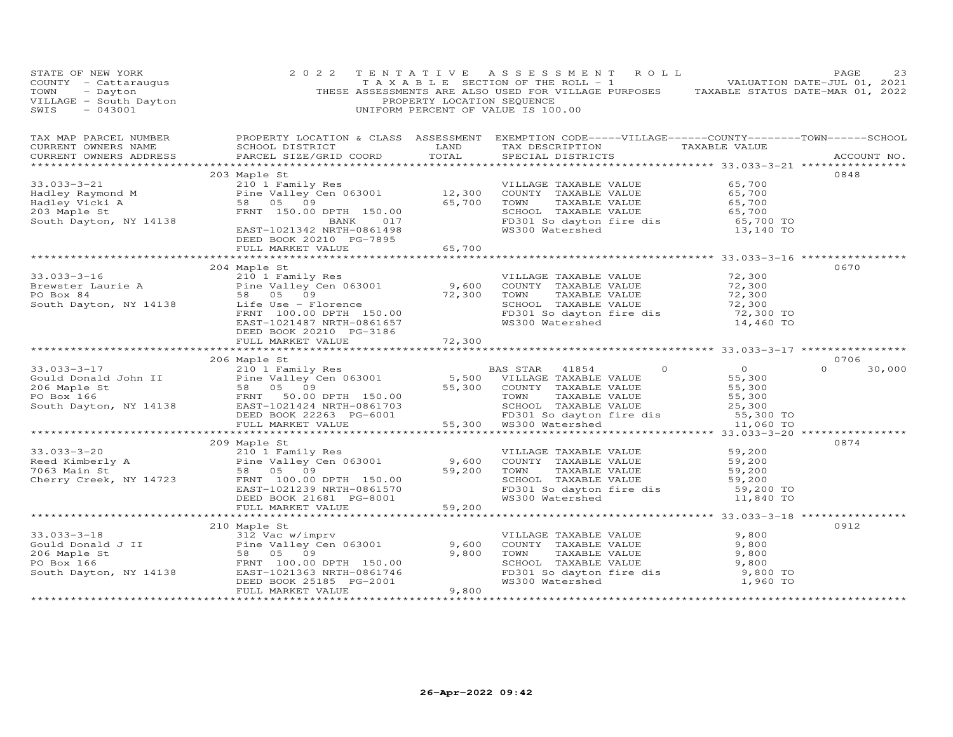| STATE OF NEW YORK<br>COUNTY - Cattaraugus<br>TOWN - Dayton<br>VILLAGE - South Dayton<br>SWIS - 043001<br>$-043001$                                                                                                                                                                                                                                                                                                | 2 0 2 2                                                              | PROPERTY LOCATION SEQUENCE   | TENTATIVE ASSESSMENT ROLL<br>TAXABLE SECTION OF THE ROLL - 1 $\sim$ 5 $\pm$ 0 VALUATION DATE-JUL 01, 2021<br>THESE ASSESSMENTS ARE ALSO USED FOR VILLAGE PURPOSES TAXABLE STATUS DATE-MAR 01, 2022<br>UNIFORM PERCENT OF VALUE IS 100.00                         |                                            | PAGE<br>23         |
|-------------------------------------------------------------------------------------------------------------------------------------------------------------------------------------------------------------------------------------------------------------------------------------------------------------------------------------------------------------------------------------------------------------------|----------------------------------------------------------------------|------------------------------|------------------------------------------------------------------------------------------------------------------------------------------------------------------------------------------------------------------------------------------------------------------|--------------------------------------------|--------------------|
| CURRENT OWNERS ADDRESS                                                                                                                                                                                                                                                                                                                                                                                            | PARCEL SIZE/GRID COORD TOTAL                                         |                              | SCHOOL DISTRICT                       LAND         TAX DESCRIPTION                  TAXABLE VALUE<br>SPECIAL DISTRICTS                                                                                                                                           |                                            | ACCOUNT NO.        |
|                                                                                                                                                                                                                                                                                                                                                                                                                   | 203 Maple St                                                         |                              |                                                                                                                                                                                                                                                                  |                                            | 0848               |
| 33.033-3-21 $\begin{array}{l} 203 \text{ Maple St} \\ \text{Hadley Raymond M} \\ \text{Hadley Vicki A} \\ \text{South Day.} \\ \text{Boubt } \text{Dayton, NY} \\ \text{14138} \\ \text{203 Maple St} \\ \text{203 Maple St} \\ \text{204\,Dayton, NY} \\ \text{205,700} \\ \text{206,700} \\ \text{207,700} \\ \text{208,700} \\ \text{209,700} \\ \text{201,700} \\ \text{201,700} \\ \text{202,800} \\ \text{$ |                                                                      |                              |                                                                                                                                                                                                                                                                  |                                            |                    |
|                                                                                                                                                                                                                                                                                                                                                                                                                   | DEED BOOK 20210 PG-7895<br>FULL MARKET VALUE                         | 65,700                       |                                                                                                                                                                                                                                                                  |                                            |                    |
|                                                                                                                                                                                                                                                                                                                                                                                                                   | 204 Maple St                                                         |                              |                                                                                                                                                                                                                                                                  |                                            | 0670               |
| 33.033-3-16<br>Brewster Laurie A<br>PO Box 84<br>South Dayton, NY 14138<br>South Dayton, NY 14138<br>PO Box 84<br>South Dayton, NY 14138<br>COUNTERNIT 100.00 DPTH 150.00<br>EAST-1021487 NRTH-0861657<br>FRNT 100.00 DPTH 150.00<br>FO 301 So day                                                                                                                                                                |                                                                      |                              | VILLAGE TAXABLE VALUE 72,300<br>COUNTY TAXABLE VALUE 72,300                                                                                                                                                                                                      | 72,300<br>72,300<br>72,300 TO<br>14,460 TO |                    |
|                                                                                                                                                                                                                                                                                                                                                                                                                   | DEED BOOK 20210 PG-3186<br>FULL MARKET VALUE 72,300                  |                              |                                                                                                                                                                                                                                                                  |                                            |                    |
|                                                                                                                                                                                                                                                                                                                                                                                                                   |                                                                      |                              |                                                                                                                                                                                                                                                                  |                                            |                    |
|                                                                                                                                                                                                                                                                                                                                                                                                                   | 206 Maple St                                                         |                              |                                                                                                                                                                                                                                                                  |                                            | 0706               |
|                                                                                                                                                                                                                                                                                                                                                                                                                   |                                                                      |                              |                                                                                                                                                                                                                                                                  |                                            | 30,000<br>$\Omega$ |
|                                                                                                                                                                                                                                                                                                                                                                                                                   |                                                                      |                              |                                                                                                                                                                                                                                                                  |                                            |                    |
| 33.033-3-20<br>Reed Kimberly A 210 1 Family Res<br>7063 Main St 58 05 09 59,200<br>Cherry Creek, NY 14723 FRNT 100.00 DPTH 150.00<br>FACT-1031339 NERT 100.00 DPTH 150.00                                                                                                                                                                                                                                         | 209 Maple St<br>EAST-1021239 NRTH-0861570<br>DEED BOOK 21681 PG-8001 | 59,200                       | VILLAGE TAXABLE VALUE 59,200<br>COUNTY TAXABLE VALUE 59,200<br>TOWN TAXABLE VALUE 59,200<br>59,200<br>TOWN<br>COUNT TAXABLE VALUE<br>TOWN TAXABLE VALUE 59,200<br>SCHOOL TAXABLE VALUE 59,200<br>FD301 So dayton fire dis 59,200 TO<br>WS300 Watershed 11,840 TO |                                            | 0874               |
|                                                                                                                                                                                                                                                                                                                                                                                                                   | FULL MARKET VALUE                                                    | 59,200                       |                                                                                                                                                                                                                                                                  |                                            |                    |
|                                                                                                                                                                                                                                                                                                                                                                                                                   |                                                                      |                              |                                                                                                                                                                                                                                                                  |                                            | 0912               |
| COMPAND THE SERVING COMPANY ON THE VALLEY COMPANY COMPANY COMPANY COMPANY COMPANY COMPANY COMPANY COMPANY THE VALLEY COMPANY THAT THE SAMPLE COMPANY COMPANY THE SAMPLE COMPANY COMPANY COMPANY COMPANY COMPANY COMPANY COMPAN                                                                                                                                                                                    |                                                                      | 9,600<br>9,800               | VILLAGE TAXABLE VALUE<br>COUNTY TAXABLE VALUE<br>TOWN TAXABLE VALUE<br>SCHOOL TAXABLE VALUE<br>SCHOOL TAXABLE VALUE 9,800<br>FD301 So dayton fire dis 9,800 TO<br>WS300 Watershed 1,960 TO                                                                       | 9,800<br>9,800<br>9,800                    |                    |
|                                                                                                                                                                                                                                                                                                                                                                                                                   | FULL MARKET VALUE                                                    | 9,800<br>******************* |                                                                                                                                                                                                                                                                  |                                            |                    |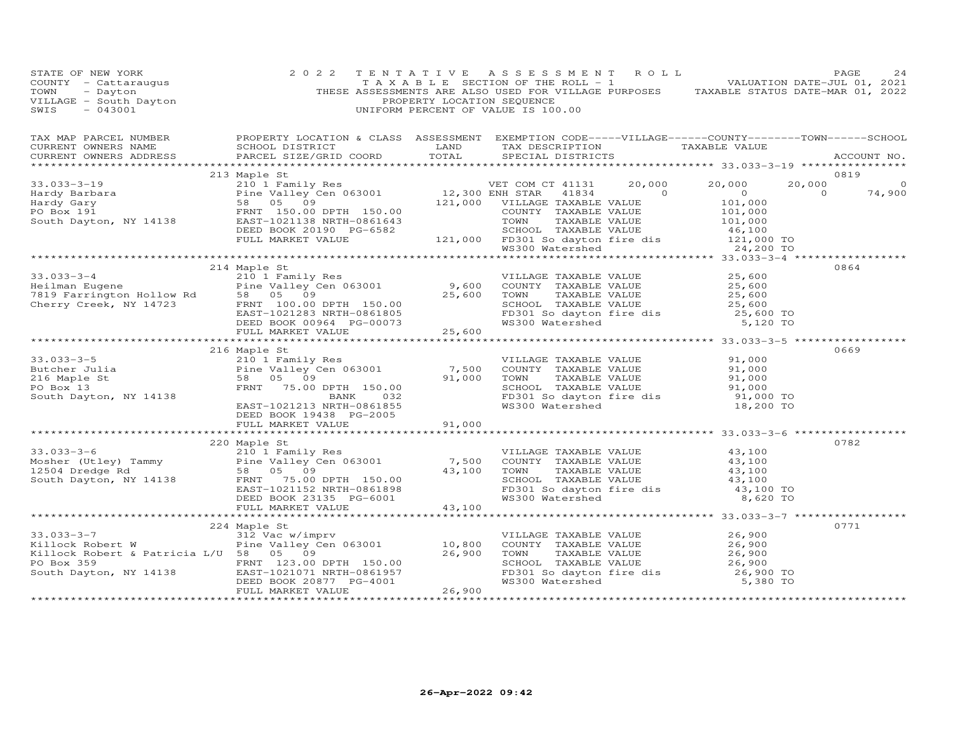| TAX MAP PARCEL NUMBER BROPERTY LOCATION & CLASS ASSESSMENT EXEMPTION CODE-----VILLAGE------COUNTY--------TOWN------SCHOOL CURRENT OWNERS NAME SCHOOL DISTRICT LAND TAX DESCRIPTION TAXABLE VALUE TAXABLE VALUE ACCOUNT NO.<br>$\begin{tabular}{l cccccc} \textbf{213 MapI} & \textbf{215 MapI} & \textbf{216 MapI} & \textbf{216 MapI} & \textbf{217 MapI} & \textbf{218 MapI} & \textbf{219 MapI} & \textbf{219 MapI} & \textbf{210 MapI} & \textbf{210 MapI} & \textbf{210 MapI} & \textbf{210 MapI} & \textbf{210 MapI} & \textbf{210 MapI} & \textbf{210 MapI} & \textbf{210 MapI} & \textbf{210 MapI} & \textbf{210 MapI} & \textbf{210 MapI} &$<br>0864<br>214 Maple St<br>33.033-3-4<br>$25,600$<br>Heilman Eugene<br>The Valley Cen 063001<br>The Valley Cen 063001<br>The Valley Cen 063001<br>TAXABLE VALUE<br>25,600<br>Cherry Creek, NY 14723<br>Cherry Creek, NY 14723<br>ERD BOOK 00964<br>FREED BOOK 00964<br>TAXABLE V<br>0669<br>216 Maple St<br>33.033-3-5<br>Butcher Julia 216 Maple St<br>216 Maple St<br>216 Maple St<br>216 Maple St<br>216 Maple St<br>216 Maple St<br>216 Maple St<br>216 Maple St<br>216 Maple St<br>216 Maple St<br>216 Maple St<br>216 Maple St<br>216 Maple St<br>216 Maple St<br><br>DEED BOOK 19438 PG-2005<br>FULL MARKET VALUE 91,000<br>220 Maple St<br>0782<br>33.033-3-6<br>Mosher (Utley) Tammy<br>12504 Dredge Rd<br>South Dayton, NY 14138<br>ERNT 75.00 DPTH 150.00<br>ERNT 75.00 DPTH 150.00<br>ERNT 75.00 DPTH 150.00<br>ERNT 75.00 DPTH 150.00<br>ERNT 75.00 DPTH 150.00<br>ERNT 75.00 DPTH 150.00<br>ER<br>0771<br>224 Maple St<br>33.033-3-7<br>EILOCK Robert W<br>EILOCK Robert & Patricia L/U 58 05 09<br>PO Box 359<br>South Dayton, NY 14138<br>EED BOOK 20877 PG-4001<br>FULL MARKET VALUE<br>THENTIC ROBER DOOR 26,900<br>PO Box 359<br>EED BOOK 20877 PG-4001<br>THENTIC 26, | STATE OF NEW YORK<br>COUNTY - Cattaraugus<br>TOWN - Dayton<br>VILLAGE - South Dayton<br>~~~~ - 043001 | 2 0 2 2 | PROPERTY LOCATION SEQUENCE | 2   T E N T A T I V E    A S S E S S M E N T    R O L L    PAGE    PAGE    24<br>T A X A B L E    SECTION OF THE ROLL - 1    VALUATION DATE-JUL 01, 2021<br>THESE ASSESSMENTS ARE ALSO USED FOR VILLAGE PURPOSES    TAXABLE STATUS D<br>UNIFORM PERCENT OF VALUE IS 100.00 |  |
|-------------------------------------------------------------------------------------------------------------------------------------------------------------------------------------------------------------------------------------------------------------------------------------------------------------------------------------------------------------------------------------------------------------------------------------------------------------------------------------------------------------------------------------------------------------------------------------------------------------------------------------------------------------------------------------------------------------------------------------------------------------------------------------------------------------------------------------------------------------------------------------------------------------------------------------------------------------------------------------------------------------------------------------------------------------------------------------------------------------------------------------------------------------------------------------------------------------------------------------------------------------------------------------------------------------------------------------------------------------------------------------------------------------------------------------------------------------------------------------------------------------------------------------------------------------------------------------------------------------------------------------------------------------------------------------------------------------------------------------------------------------------------------------------------------------------------------------------------|-------------------------------------------------------------------------------------------------------|---------|----------------------------|----------------------------------------------------------------------------------------------------------------------------------------------------------------------------------------------------------------------------------------------------------------------------|--|
|                                                                                                                                                                                                                                                                                                                                                                                                                                                                                                                                                                                                                                                                                                                                                                                                                                                                                                                                                                                                                                                                                                                                                                                                                                                                                                                                                                                                                                                                                                                                                                                                                                                                                                                                                                                                                                                 |                                                                                                       |         |                            |                                                                                                                                                                                                                                                                            |  |
|                                                                                                                                                                                                                                                                                                                                                                                                                                                                                                                                                                                                                                                                                                                                                                                                                                                                                                                                                                                                                                                                                                                                                                                                                                                                                                                                                                                                                                                                                                                                                                                                                                                                                                                                                                                                                                                 |                                                                                                       |         |                            |                                                                                                                                                                                                                                                                            |  |
|                                                                                                                                                                                                                                                                                                                                                                                                                                                                                                                                                                                                                                                                                                                                                                                                                                                                                                                                                                                                                                                                                                                                                                                                                                                                                                                                                                                                                                                                                                                                                                                                                                                                                                                                                                                                                                                 |                                                                                                       |         |                            |                                                                                                                                                                                                                                                                            |  |
|                                                                                                                                                                                                                                                                                                                                                                                                                                                                                                                                                                                                                                                                                                                                                                                                                                                                                                                                                                                                                                                                                                                                                                                                                                                                                                                                                                                                                                                                                                                                                                                                                                                                                                                                                                                                                                                 |                                                                                                       |         |                            |                                                                                                                                                                                                                                                                            |  |
|                                                                                                                                                                                                                                                                                                                                                                                                                                                                                                                                                                                                                                                                                                                                                                                                                                                                                                                                                                                                                                                                                                                                                                                                                                                                                                                                                                                                                                                                                                                                                                                                                                                                                                                                                                                                                                                 |                                                                                                       |         |                            |                                                                                                                                                                                                                                                                            |  |
|                                                                                                                                                                                                                                                                                                                                                                                                                                                                                                                                                                                                                                                                                                                                                                                                                                                                                                                                                                                                                                                                                                                                                                                                                                                                                                                                                                                                                                                                                                                                                                                                                                                                                                                                                                                                                                                 |                                                                                                       |         |                            |                                                                                                                                                                                                                                                                            |  |
|                                                                                                                                                                                                                                                                                                                                                                                                                                                                                                                                                                                                                                                                                                                                                                                                                                                                                                                                                                                                                                                                                                                                                                                                                                                                                                                                                                                                                                                                                                                                                                                                                                                                                                                                                                                                                                                 |                                                                                                       |         |                            |                                                                                                                                                                                                                                                                            |  |
|                                                                                                                                                                                                                                                                                                                                                                                                                                                                                                                                                                                                                                                                                                                                                                                                                                                                                                                                                                                                                                                                                                                                                                                                                                                                                                                                                                                                                                                                                                                                                                                                                                                                                                                                                                                                                                                 |                                                                                                       |         |                            |                                                                                                                                                                                                                                                                            |  |
|                                                                                                                                                                                                                                                                                                                                                                                                                                                                                                                                                                                                                                                                                                                                                                                                                                                                                                                                                                                                                                                                                                                                                                                                                                                                                                                                                                                                                                                                                                                                                                                                                                                                                                                                                                                                                                                 |                                                                                                       |         |                            |                                                                                                                                                                                                                                                                            |  |
|                                                                                                                                                                                                                                                                                                                                                                                                                                                                                                                                                                                                                                                                                                                                                                                                                                                                                                                                                                                                                                                                                                                                                                                                                                                                                                                                                                                                                                                                                                                                                                                                                                                                                                                                                                                                                                                 |                                                                                                       |         |                            |                                                                                                                                                                                                                                                                            |  |
|                                                                                                                                                                                                                                                                                                                                                                                                                                                                                                                                                                                                                                                                                                                                                                                                                                                                                                                                                                                                                                                                                                                                                                                                                                                                                                                                                                                                                                                                                                                                                                                                                                                                                                                                                                                                                                                 |                                                                                                       |         |                            |                                                                                                                                                                                                                                                                            |  |
|                                                                                                                                                                                                                                                                                                                                                                                                                                                                                                                                                                                                                                                                                                                                                                                                                                                                                                                                                                                                                                                                                                                                                                                                                                                                                                                                                                                                                                                                                                                                                                                                                                                                                                                                                                                                                                                 |                                                                                                       |         |                            |                                                                                                                                                                                                                                                                            |  |
|                                                                                                                                                                                                                                                                                                                                                                                                                                                                                                                                                                                                                                                                                                                                                                                                                                                                                                                                                                                                                                                                                                                                                                                                                                                                                                                                                                                                                                                                                                                                                                                                                                                                                                                                                                                                                                                 |                                                                                                       |         |                            |                                                                                                                                                                                                                                                                            |  |
|                                                                                                                                                                                                                                                                                                                                                                                                                                                                                                                                                                                                                                                                                                                                                                                                                                                                                                                                                                                                                                                                                                                                                                                                                                                                                                                                                                                                                                                                                                                                                                                                                                                                                                                                                                                                                                                 |                                                                                                       |         |                            |                                                                                                                                                                                                                                                                            |  |
|                                                                                                                                                                                                                                                                                                                                                                                                                                                                                                                                                                                                                                                                                                                                                                                                                                                                                                                                                                                                                                                                                                                                                                                                                                                                                                                                                                                                                                                                                                                                                                                                                                                                                                                                                                                                                                                 |                                                                                                       |         |                            |                                                                                                                                                                                                                                                                            |  |
|                                                                                                                                                                                                                                                                                                                                                                                                                                                                                                                                                                                                                                                                                                                                                                                                                                                                                                                                                                                                                                                                                                                                                                                                                                                                                                                                                                                                                                                                                                                                                                                                                                                                                                                                                                                                                                                 |                                                                                                       |         |                            |                                                                                                                                                                                                                                                                            |  |
|                                                                                                                                                                                                                                                                                                                                                                                                                                                                                                                                                                                                                                                                                                                                                                                                                                                                                                                                                                                                                                                                                                                                                                                                                                                                                                                                                                                                                                                                                                                                                                                                                                                                                                                                                                                                                                                 |                                                                                                       |         |                            |                                                                                                                                                                                                                                                                            |  |
|                                                                                                                                                                                                                                                                                                                                                                                                                                                                                                                                                                                                                                                                                                                                                                                                                                                                                                                                                                                                                                                                                                                                                                                                                                                                                                                                                                                                                                                                                                                                                                                                                                                                                                                                                                                                                                                 |                                                                                                       |         |                            |                                                                                                                                                                                                                                                                            |  |
|                                                                                                                                                                                                                                                                                                                                                                                                                                                                                                                                                                                                                                                                                                                                                                                                                                                                                                                                                                                                                                                                                                                                                                                                                                                                                                                                                                                                                                                                                                                                                                                                                                                                                                                                                                                                                                                 |                                                                                                       |         |                            |                                                                                                                                                                                                                                                                            |  |
|                                                                                                                                                                                                                                                                                                                                                                                                                                                                                                                                                                                                                                                                                                                                                                                                                                                                                                                                                                                                                                                                                                                                                                                                                                                                                                                                                                                                                                                                                                                                                                                                                                                                                                                                                                                                                                                 |                                                                                                       |         |                            |                                                                                                                                                                                                                                                                            |  |
|                                                                                                                                                                                                                                                                                                                                                                                                                                                                                                                                                                                                                                                                                                                                                                                                                                                                                                                                                                                                                                                                                                                                                                                                                                                                                                                                                                                                                                                                                                                                                                                                                                                                                                                                                                                                                                                 |                                                                                                       |         |                            |                                                                                                                                                                                                                                                                            |  |
|                                                                                                                                                                                                                                                                                                                                                                                                                                                                                                                                                                                                                                                                                                                                                                                                                                                                                                                                                                                                                                                                                                                                                                                                                                                                                                                                                                                                                                                                                                                                                                                                                                                                                                                                                                                                                                                 |                                                                                                       |         |                            |                                                                                                                                                                                                                                                                            |  |
|                                                                                                                                                                                                                                                                                                                                                                                                                                                                                                                                                                                                                                                                                                                                                                                                                                                                                                                                                                                                                                                                                                                                                                                                                                                                                                                                                                                                                                                                                                                                                                                                                                                                                                                                                                                                                                                 |                                                                                                       |         |                            |                                                                                                                                                                                                                                                                            |  |
|                                                                                                                                                                                                                                                                                                                                                                                                                                                                                                                                                                                                                                                                                                                                                                                                                                                                                                                                                                                                                                                                                                                                                                                                                                                                                                                                                                                                                                                                                                                                                                                                                                                                                                                                                                                                                                                 |                                                                                                       |         |                            |                                                                                                                                                                                                                                                                            |  |
|                                                                                                                                                                                                                                                                                                                                                                                                                                                                                                                                                                                                                                                                                                                                                                                                                                                                                                                                                                                                                                                                                                                                                                                                                                                                                                                                                                                                                                                                                                                                                                                                                                                                                                                                                                                                                                                 |                                                                                                       |         |                            |                                                                                                                                                                                                                                                                            |  |
|                                                                                                                                                                                                                                                                                                                                                                                                                                                                                                                                                                                                                                                                                                                                                                                                                                                                                                                                                                                                                                                                                                                                                                                                                                                                                                                                                                                                                                                                                                                                                                                                                                                                                                                                                                                                                                                 |                                                                                                       |         |                            |                                                                                                                                                                                                                                                                            |  |
|                                                                                                                                                                                                                                                                                                                                                                                                                                                                                                                                                                                                                                                                                                                                                                                                                                                                                                                                                                                                                                                                                                                                                                                                                                                                                                                                                                                                                                                                                                                                                                                                                                                                                                                                                                                                                                                 |                                                                                                       |         |                            |                                                                                                                                                                                                                                                                            |  |
|                                                                                                                                                                                                                                                                                                                                                                                                                                                                                                                                                                                                                                                                                                                                                                                                                                                                                                                                                                                                                                                                                                                                                                                                                                                                                                                                                                                                                                                                                                                                                                                                                                                                                                                                                                                                                                                 |                                                                                                       |         |                            |                                                                                                                                                                                                                                                                            |  |
|                                                                                                                                                                                                                                                                                                                                                                                                                                                                                                                                                                                                                                                                                                                                                                                                                                                                                                                                                                                                                                                                                                                                                                                                                                                                                                                                                                                                                                                                                                                                                                                                                                                                                                                                                                                                                                                 |                                                                                                       |         |                            |                                                                                                                                                                                                                                                                            |  |
|                                                                                                                                                                                                                                                                                                                                                                                                                                                                                                                                                                                                                                                                                                                                                                                                                                                                                                                                                                                                                                                                                                                                                                                                                                                                                                                                                                                                                                                                                                                                                                                                                                                                                                                                                                                                                                                 |                                                                                                       |         |                            |                                                                                                                                                                                                                                                                            |  |
|                                                                                                                                                                                                                                                                                                                                                                                                                                                                                                                                                                                                                                                                                                                                                                                                                                                                                                                                                                                                                                                                                                                                                                                                                                                                                                                                                                                                                                                                                                                                                                                                                                                                                                                                                                                                                                                 |                                                                                                       |         |                            |                                                                                                                                                                                                                                                                            |  |
|                                                                                                                                                                                                                                                                                                                                                                                                                                                                                                                                                                                                                                                                                                                                                                                                                                                                                                                                                                                                                                                                                                                                                                                                                                                                                                                                                                                                                                                                                                                                                                                                                                                                                                                                                                                                                                                 |                                                                                                       |         |                            |                                                                                                                                                                                                                                                                            |  |
|                                                                                                                                                                                                                                                                                                                                                                                                                                                                                                                                                                                                                                                                                                                                                                                                                                                                                                                                                                                                                                                                                                                                                                                                                                                                                                                                                                                                                                                                                                                                                                                                                                                                                                                                                                                                                                                 |                                                                                                       |         |                            |                                                                                                                                                                                                                                                                            |  |
|                                                                                                                                                                                                                                                                                                                                                                                                                                                                                                                                                                                                                                                                                                                                                                                                                                                                                                                                                                                                                                                                                                                                                                                                                                                                                                                                                                                                                                                                                                                                                                                                                                                                                                                                                                                                                                                 |                                                                                                       |         |                            |                                                                                                                                                                                                                                                                            |  |
|                                                                                                                                                                                                                                                                                                                                                                                                                                                                                                                                                                                                                                                                                                                                                                                                                                                                                                                                                                                                                                                                                                                                                                                                                                                                                                                                                                                                                                                                                                                                                                                                                                                                                                                                                                                                                                                 |                                                                                                       |         |                            |                                                                                                                                                                                                                                                                            |  |
|                                                                                                                                                                                                                                                                                                                                                                                                                                                                                                                                                                                                                                                                                                                                                                                                                                                                                                                                                                                                                                                                                                                                                                                                                                                                                                                                                                                                                                                                                                                                                                                                                                                                                                                                                                                                                                                 |                                                                                                       |         |                            |                                                                                                                                                                                                                                                                            |  |
|                                                                                                                                                                                                                                                                                                                                                                                                                                                                                                                                                                                                                                                                                                                                                                                                                                                                                                                                                                                                                                                                                                                                                                                                                                                                                                                                                                                                                                                                                                                                                                                                                                                                                                                                                                                                                                                 |                                                                                                       |         |                            |                                                                                                                                                                                                                                                                            |  |
|                                                                                                                                                                                                                                                                                                                                                                                                                                                                                                                                                                                                                                                                                                                                                                                                                                                                                                                                                                                                                                                                                                                                                                                                                                                                                                                                                                                                                                                                                                                                                                                                                                                                                                                                                                                                                                                 |                                                                                                       |         |                            |                                                                                                                                                                                                                                                                            |  |
|                                                                                                                                                                                                                                                                                                                                                                                                                                                                                                                                                                                                                                                                                                                                                                                                                                                                                                                                                                                                                                                                                                                                                                                                                                                                                                                                                                                                                                                                                                                                                                                                                                                                                                                                                                                                                                                 |                                                                                                       |         |                            |                                                                                                                                                                                                                                                                            |  |
|                                                                                                                                                                                                                                                                                                                                                                                                                                                                                                                                                                                                                                                                                                                                                                                                                                                                                                                                                                                                                                                                                                                                                                                                                                                                                                                                                                                                                                                                                                                                                                                                                                                                                                                                                                                                                                                 |                                                                                                       |         |                            |                                                                                                                                                                                                                                                                            |  |
|                                                                                                                                                                                                                                                                                                                                                                                                                                                                                                                                                                                                                                                                                                                                                                                                                                                                                                                                                                                                                                                                                                                                                                                                                                                                                                                                                                                                                                                                                                                                                                                                                                                                                                                                                                                                                                                 |                                                                                                       |         |                            |                                                                                                                                                                                                                                                                            |  |
|                                                                                                                                                                                                                                                                                                                                                                                                                                                                                                                                                                                                                                                                                                                                                                                                                                                                                                                                                                                                                                                                                                                                                                                                                                                                                                                                                                                                                                                                                                                                                                                                                                                                                                                                                                                                                                                 |                                                                                                       |         |                            |                                                                                                                                                                                                                                                                            |  |
|                                                                                                                                                                                                                                                                                                                                                                                                                                                                                                                                                                                                                                                                                                                                                                                                                                                                                                                                                                                                                                                                                                                                                                                                                                                                                                                                                                                                                                                                                                                                                                                                                                                                                                                                                                                                                                                 |                                                                                                       |         |                            |                                                                                                                                                                                                                                                                            |  |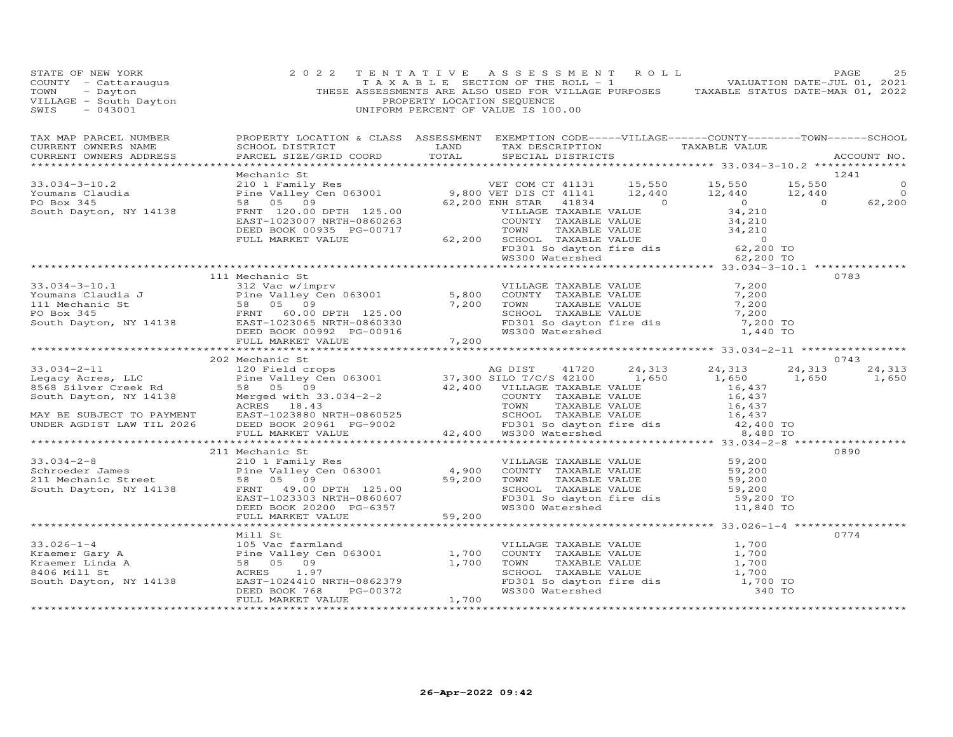| FAGE 25<br>COUNTY - Cattaraugus (2022 TENTATIVE ASSESSMENT ROLL)<br>TAXABLE SECTION OF THE ROLL - 1<br>THESE ASSESSMENTS ARE ALLE SECTION OF THE ROLL - 1<br>THESE ASSESSMENTS ARE RESENTED OF THE ROLL - 1<br>THESE ASSESSMENTS INCRESS                             |                 |  |  |      |
|----------------------------------------------------------------------------------------------------------------------------------------------------------------------------------------------------------------------------------------------------------------------|-----------------|--|--|------|
|                                                                                                                                                                                                                                                                      |                 |  |  |      |
|                                                                                                                                                                                                                                                                      |                 |  |  |      |
|                                                                                                                                                                                                                                                                      |                 |  |  |      |
|                                                                                                                                                                                                                                                                      |                 |  |  |      |
|                                                                                                                                                                                                                                                                      |                 |  |  |      |
|                                                                                                                                                                                                                                                                      |                 |  |  |      |
|                                                                                                                                                                                                                                                                      | 111 Mechanic St |  |  | 0783 |
|                                                                                                                                                                                                                                                                      |                 |  |  |      |
|                                                                                                                                                                                                                                                                      |                 |  |  |      |
|                                                                                                                                                                                                                                                                      |                 |  |  |      |
|                                                                                                                                                                                                                                                                      |                 |  |  |      |
|                                                                                                                                                                                                                                                                      |                 |  |  |      |
|                                                                                                                                                                                                                                                                      |                 |  |  |      |
|                                                                                                                                                                                                                                                                      | 202 Mechanic St |  |  | 0743 |
|                                                                                                                                                                                                                                                                      |                 |  |  |      |
|                                                                                                                                                                                                                                                                      |                 |  |  |      |
|                                                                                                                                                                                                                                                                      |                 |  |  |      |
|                                                                                                                                                                                                                                                                      |                 |  |  |      |
|                                                                                                                                                                                                                                                                      |                 |  |  |      |
|                                                                                                                                                                                                                                                                      |                 |  |  |      |
|                                                                                                                                                                                                                                                                      |                 |  |  |      |
|                                                                                                                                                                                                                                                                      |                 |  |  |      |
|                                                                                                                                                                                                                                                                      |                 |  |  |      |
|                                                                                                                                                                                                                                                                      |                 |  |  |      |
|                                                                                                                                                                                                                                                                      |                 |  |  |      |
|                                                                                                                                                                                                                                                                      |                 |  |  |      |
|                                                                                                                                                                                                                                                                      |                 |  |  |      |
|                                                                                                                                                                                                                                                                      |                 |  |  |      |
|                                                                                                                                                                                                                                                                      |                 |  |  |      |
|                                                                                                                                                                                                                                                                      |                 |  |  | 0774 |
|                                                                                                                                                                                                                                                                      |                 |  |  |      |
|                                                                                                                                                                                                                                                                      |                 |  |  |      |
|                                                                                                                                                                                                                                                                      |                 |  |  |      |
|                                                                                                                                                                                                                                                                      |                 |  |  |      |
| Mill St<br>33.026-1-4<br>Kraemer Gary A<br>Kraemer Gary A<br>Eine Valley Cen 063001<br>Example 1,700<br>Fraemer Lind<br>58 05 09<br>21,700<br>21,700<br>21,700<br>21,700<br>21,700<br>21,700<br>2000 INARKET VALUE<br>EXABLE VALUE<br>21,700<br>21,700<br>21,700<br> |                 |  |  |      |
|                                                                                                                                                                                                                                                                      |                 |  |  |      |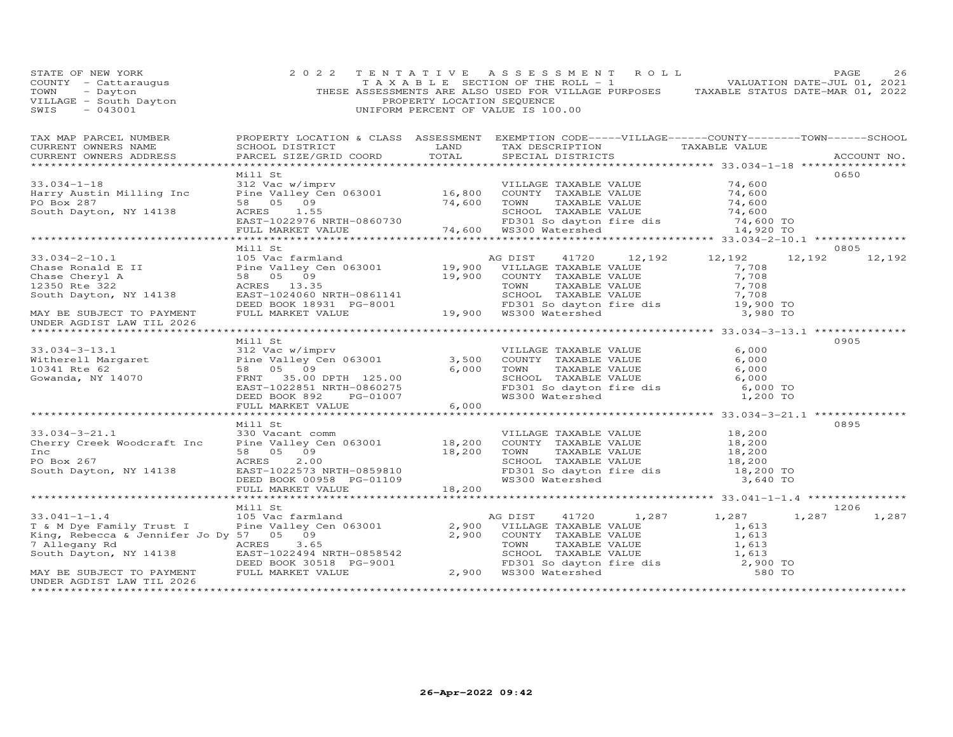| COUNTY<br>- Cattaraugus<br>TOWN<br>- Dayton<br>VILLAGE - South Dayton<br>SWIS<br>$-043001$                                                                                                                                      |                                                                                                                                    | PROPERTY LOCATION SEQUENCE | T A X A B L E SECTION OF THE ROLL - 1 VALUATION DATE-JUL 01, 2021<br>THESE ASSESSMENTS ARE ALSO USED FOR VILLAGE PURPOSES TAXABLE STATUS DATE-MAR 01, 2022<br>UNIFORM PERCENT OF VALUE IS 100.00                                                                                                                                                                                                                  |                                                                                   |                        |
|---------------------------------------------------------------------------------------------------------------------------------------------------------------------------------------------------------------------------------|------------------------------------------------------------------------------------------------------------------------------------|----------------------------|-------------------------------------------------------------------------------------------------------------------------------------------------------------------------------------------------------------------------------------------------------------------------------------------------------------------------------------------------------------------------------------------------------------------|-----------------------------------------------------------------------------------|------------------------|
| TAX MAP PARCEL NUMBER<br>CURRENT OWNERS NAME<br>CURRENT OWNERS ADDRESS                                                                                                                                                          | PARCEL SIZE/GRID COORD TOTAL                                                                                                       |                            | PROPERTY LOCATION & CLASS ASSESSMENT EXEMPTION CODE-----VILLAGE------COUNTY-------TOWN------SCHOOL<br>SCHOOL DISTRICT                      LAND        TAX DESCRIPTION                 TAXABLE VALUE<br>SPECIAL DISTRICTS                                                                                                                                                                                         |                                                                                   | ACCOUNT NO.            |
| $33.034 - 1 - 18$<br>Harry Austin Milling Inc<br>PO Box 287<br>South Dayton, NY 14138                                                                                                                                           | Mill St<br>312 Vac w/imprv                                                                                                         |                            | VILLAGE TAXABLE VALUE<br>Pine Valley Cen 063001 16,800 COUNTY TAXABLE VALUE<br>74,600 TOWN<br>TAXABLE VALUE                                                                                                                                                                                                                                                                                                       | 74,600<br>74,600<br>74,600                                                        | 0650                   |
|                                                                                                                                                                                                                                 |                                                                                                                                    |                            | ***********************************                                                                                                                                                                                                                                                                                                                                                                               | *********** 33.034-2-10.1 ***************                                         |                        |
| $33.034 - 2 - 10.1$<br>MAY BE SUBJECT TO PAYMENT<br>UNDER AGDIST LAW TIL 2026                                                                                                                                                   | Mill St<br>105 Vac farmland                                                                                                        |                            | 41720 12,192 12,192<br>AG DIST                                                                                                                                                                                                                                                                                                                                                                                    | 12,192<br>$\frac{7}{7}$ , 708<br>7,708<br>7,708<br>7,708<br>19,900 TO<br>3,980 TO | 0805<br>12,192         |
| 33.034-3-13.1<br>Witherell Margaret<br>10341 Rte 62<br>Gowanda, NY 14070<br>Cowanda, NY 14070<br>Cowanda, NY 14070<br>Cowanda, NY 14070<br>Cowanda, NY 14070<br>Compared to the Sample Section 125.00<br>TRNT 35.00 DPTH 125.00 | Mill St<br>98 05 09 99<br>FRNT 35.00 DPTH 125.00<br>EAST-1022851 NRTH-0860275<br>DEED BOOK 892 PG-01007<br>FULL MARKET VALUE 6,000 |                            | VILLAGE TAXABLE VALUE<br>3,500 COUNTY TAXABLE VALUE 6,000<br>6,000 TOWN TAXABLE VALUE 6,000<br>SCHOOL TAXABLE VALUE 6,000<br>FD301 So dayton fire dis 6,000<br>WS300 Watershed 1,200                                                                                                                                                                                                                              | 6,000<br>6,000 TO<br>1,200 TO                                                     | 0905                   |
|                                                                                                                                                                                                                                 | Mill St                                                                                                                            |                            |                                                                                                                                                                                                                                                                                                                                                                                                                   |                                                                                   | 0895                   |
| $33.034 - 3 - 21.1$<br>Cherry Creek Woodcraft Inc<br>Inc<br>PO Box 267<br>South Dayton, NY 14138                                                                                                                                | 330 Vacant comm                                                                                                                    |                            | VILLAGE TAXABLE VALUE 18,200<br>COUNTY TAXABLE VALUE 18,200<br>330 Vacant comm<br>Pine Valley Cen 063001 18,200 COUNTY TAXABLE VALUE 18,200<br>58 05 09 18,200 TOWN TAXABLE VALUE 18,200<br>ACRES 2.00 18,200 SCHOOL TAXABLE VALUE 18,200<br>ACRES 2.00 SCHOOL TAXABLE VALUE<br>EAST-1022573 NRTH-0859810 FD301 So dayton fire dis<br>DEED BOOK 00958 PG-01109 18,200 WS300 Watershed<br>FULL MARKET VALUE 18,200 | 18,200 TO<br>3,640 TO                                                             |                        |
|                                                                                                                                                                                                                                 |                                                                                                                                    |                            |                                                                                                                                                                                                                                                                                                                                                                                                                   |                                                                                   |                        |
| $33.041 - 1 - 1.4$<br>7 Allegany Rd<br>South Dayton, NY 14138<br>MAY BE SUBJECT TO PAYMENT<br>UNDER AGDIST LAW TIL 2026                                                                                                         | Mill St<br>105 Vac farmland                                                                                                        |                            | 1,287<br>41720<br>AG DIST<br>2,900 VILLAGE TAXABLE VALUE<br>2,900 COUNTY TAXABLE VALUE<br>ACRES 3.65 TOWN TAXABLE VALUE 1,613<br>EAST-1022494 NRTH-0858542 SCHOOL TAXABLE VALUE 1,613<br>DEED BOOK 30518 PG-9001 2,900 WS300 Watershed 580 TO<br>PULL MARKET VALUE 2,900 WS300 Watershed 580 TO                                                                                                                   | 1,287<br>$\frac{1}{1}$ , 613<br>1, 613                                            | 1206<br>1,287<br>1,287 |

STATE OF NEW YORK 2022 TENTATIVE ASSESSMENT ROLL PAGE 26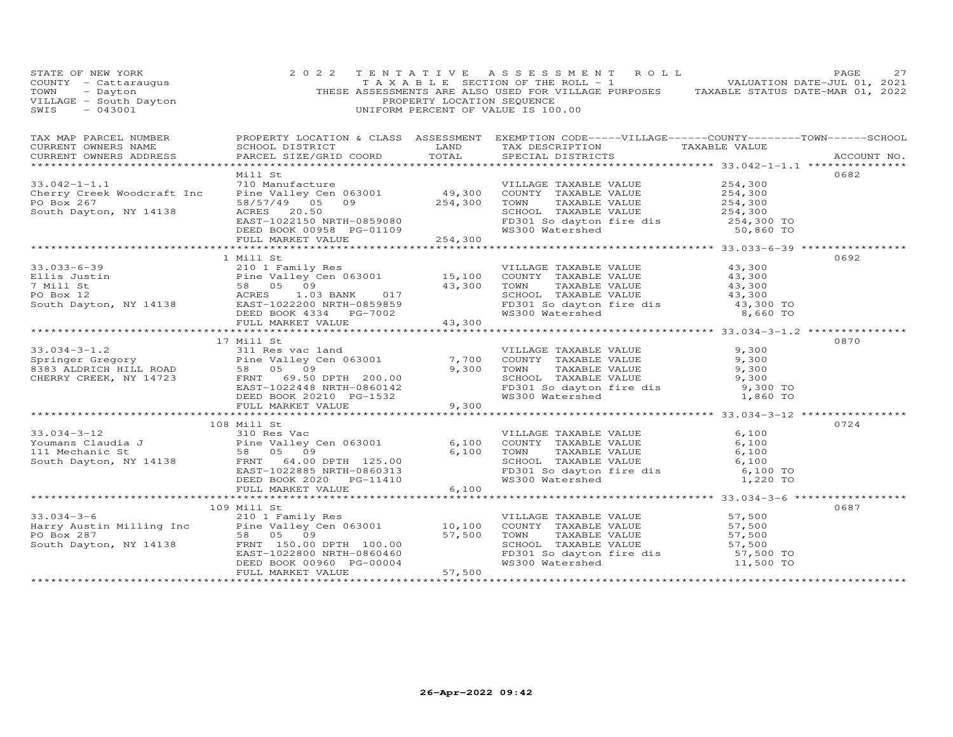| STATE OF NEW YORK<br>COUNTY - Cattaraugus<br>TOWN - Dayton<br>VILLAGE - South Dayton<br>~~~~ - 043001                                                                                                                                           |                        | PROPERTY LOCATION SEQUENCE | 2022 TENTATIVE ASSESSMENT ROLL<br>TAXABLE SECTION OF THE ROLL - 1 VALUATION DATE-JUL 01, 2021<br>THESE ASSESSMENTS ARE ALSO USED FOR VILLAGE PURPOSES TAXABLE STATUS DATE-MAR 01, 2022<br>UNIFORM PERCENT OF VALUE IS 100.00 |                              | PAGE<br>27  |
|-------------------------------------------------------------------------------------------------------------------------------------------------------------------------------------------------------------------------------------------------|------------------------|----------------------------|------------------------------------------------------------------------------------------------------------------------------------------------------------------------------------------------------------------------------|------------------------------|-------------|
| TAX MAP PARCEL NUMBER PROPERTY LOCATION & CLASS ASSESSMENT EXEMPTION CODE-----VILLAGE------COUNTY--------TOWN------SCHOOL<br>CURRENT OWNERS NAME<br>CURRENT OWNERS ADDRESS                                                                      | PARCEL SIZE/GRID COORD | TOTAL                      | SCHOOL DISTRICT                     LAND        TAX DESCRIPTION                 TAXABLE VALUE<br>SPECIAL DISTRICTS                                                                                                           |                              | ACCOUNT NO. |
|                                                                                                                                                                                                                                                 |                        |                            |                                                                                                                                                                                                                              |                              |             |
|                                                                                                                                                                                                                                                 | Mill St                |                            |                                                                                                                                                                                                                              |                              | 0682        |
|                                                                                                                                                                                                                                                 |                        |                            |                                                                                                                                                                                                                              |                              |             |
|                                                                                                                                                                                                                                                 |                        |                            |                                                                                                                                                                                                                              |                              |             |
|                                                                                                                                                                                                                                                 |                        |                            |                                                                                                                                                                                                                              |                              |             |
|                                                                                                                                                                                                                                                 |                        |                            |                                                                                                                                                                                                                              |                              |             |
|                                                                                                                                                                                                                                                 |                        |                            |                                                                                                                                                                                                                              |                              |             |
|                                                                                                                                                                                                                                                 |                        |                            |                                                                                                                                                                                                                              |                              |             |
|                                                                                                                                                                                                                                                 |                        |                            |                                                                                                                                                                                                                              |                              |             |
|                                                                                                                                                                                                                                                 | 1 Mill St              |                            |                                                                                                                                                                                                                              |                              | 0692        |
|                                                                                                                                                                                                                                                 |                        |                            |                                                                                                                                                                                                                              |                              |             |
|                                                                                                                                                                                                                                                 |                        |                            |                                                                                                                                                                                                                              |                              |             |
|                                                                                                                                                                                                                                                 |                        |                            |                                                                                                                                                                                                                              |                              |             |
|                                                                                                                                                                                                                                                 |                        |                            |                                                                                                                                                                                                                              |                              |             |
|                                                                                                                                                                                                                                                 |                        |                            |                                                                                                                                                                                                                              |                              |             |
| 33.033-6-39<br>Ellis Justin $7$ Mill Studies (ALUE Pine Valley Cen 063001 and the Valley Cen 063001 and the Valley Cen 063001 and the Valley Cen 063001 and the Valley Cen 063001 and the Valley Cen 063001 and the Valley Cen                  |                        |                            |                                                                                                                                                                                                                              |                              |             |
|                                                                                                                                                                                                                                                 |                        |                            |                                                                                                                                                                                                                              |                              |             |
|                                                                                                                                                                                                                                                 | 17 Mill St             |                            |                                                                                                                                                                                                                              |                              | 0870        |
|                                                                                                                                                                                                                                                 |                        |                            |                                                                                                                                                                                                                              |                              |             |
|                                                                                                                                                                                                                                                 |                        |                            |                                                                                                                                                                                                                              |                              |             |
|                                                                                                                                                                                                                                                 |                        |                            |                                                                                                                                                                                                                              |                              |             |
|                                                                                                                                                                                                                                                 |                        |                            |                                                                                                                                                                                                                              |                              |             |
|                                                                                                                                                                                                                                                 |                        |                            |                                                                                                                                                                                                                              |                              |             |
|                                                                                                                                                                                                                                                 |                        |                            |                                                                                                                                                                                                                              |                              |             |
| 33.034-3-1.2<br>Springer Gregory Fine Valley Cen 063001<br>8383 ALDRICH HILL ROAD 58 05 09<br>CHERRY CREEK, NY 14723 FRNT 69.50 DPTH 200.00<br>EED BOOK 20210 PG-1532 9,300 MON TAXABLE VALUE<br>BEED BOOK 20210 PG-1532 9,300 MAXABLE V        |                        |                            |                                                                                                                                                                                                                              |                              |             |
|                                                                                                                                                                                                                                                 |                        |                            |                                                                                                                                                                                                                              |                              |             |
|                                                                                                                                                                                                                                                 | 108 Mill St            |                            |                                                                                                                                                                                                                              |                              | 0724        |
|                                                                                                                                                                                                                                                 |                        |                            |                                                                                                                                                                                                                              |                              |             |
|                                                                                                                                                                                                                                                 |                        |                            |                                                                                                                                                                                                                              |                              |             |
|                                                                                                                                                                                                                                                 |                        |                            |                                                                                                                                                                                                                              |                              |             |
|                                                                                                                                                                                                                                                 |                        |                            |                                                                                                                                                                                                                              |                              |             |
|                                                                                                                                                                                                                                                 |                        |                            |                                                                                                                                                                                                                              |                              |             |
| 33.034-3-12<br>Youmans Claudia J<br>Towns Claudia J<br>200 Bouth Dayton, NY 14138<br>200 ERNT 64.00 DPTH 125.00<br>200 ERNT 64.00 DPTH 125.00<br>200 EED BOOK 2020 PG-11410<br>200 EED BOOK 2020 PG-11410<br>200 6,100<br>201 EED BOOK 2020 PG- |                        |                            |                                                                                                                                                                                                                              |                              |             |
|                                                                                                                                                                                                                                                 |                        |                            |                                                                                                                                                                                                                              |                              |             |
|                                                                                                                                                                                                                                                 |                        |                            |                                                                                                                                                                                                                              |                              | 0687        |
|                                                                                                                                                                                                                                                 |                        |                            |                                                                                                                                                                                                                              |                              |             |
|                                                                                                                                                                                                                                                 |                        |                            |                                                                                                                                                                                                                              |                              |             |
|                                                                                                                                                                                                                                                 |                        |                            |                                                                                                                                                                                                                              |                              |             |
|                                                                                                                                                                                                                                                 |                        |                            |                                                                                                                                                                                                                              |                              |             |
|                                                                                                                                                                                                                                                 |                        |                            |                                                                                                                                                                                                                              |                              |             |
| 109 Mill St<br>33.034-3-6 210 1 Family Res<br>Harry Austin Milling Inc Pine Valley Cen 063001 10,100 COUNTY TAXABLE VALUE<br>PO Box 287 58 05 09 57,500 TOWN TAXABLE VALUE 57,500<br>South Dayton, NY 14138 FRNT 150.00 DPTH 100.00<br>E        |                        |                            |                                                                                                                                                                                                                              |                              |             |
|                                                                                                                                                                                                                                                 |                        |                            |                                                                                                                                                                                                                              | **************************** |             |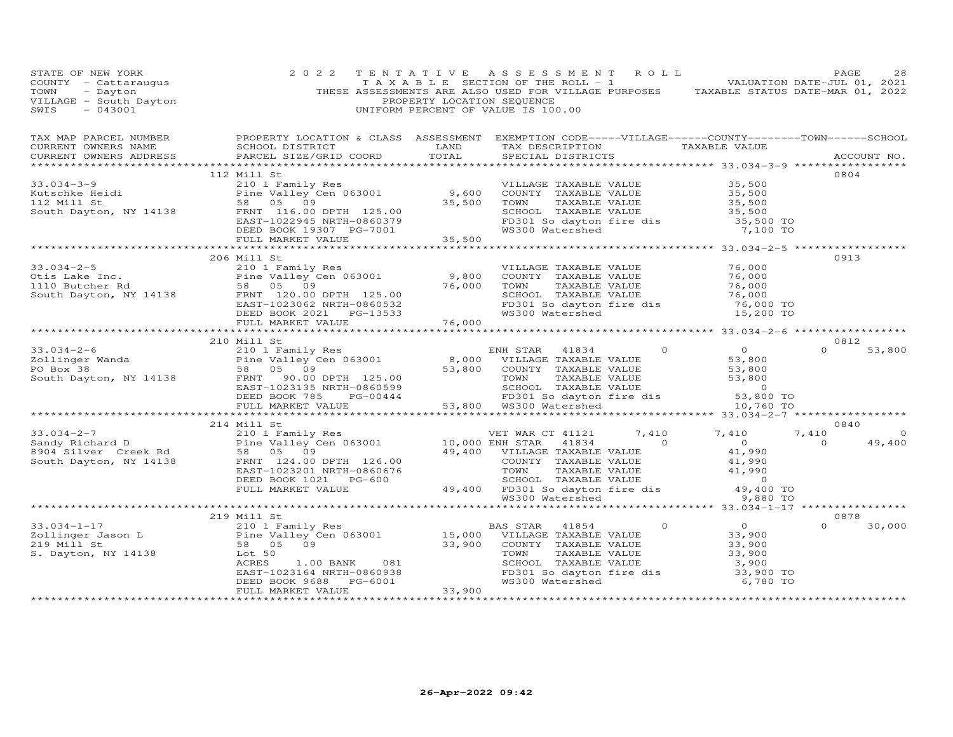| STATE OF NEW YORK<br>STATE OF NEW YORK<br>COUNTY - CALCARDON CONTROL AND TANK AND LE SECTION OF THE ROLL - 1<br>TOWN - Dayton COUNTY - CALCARDON SEQUENCE<br>THESE ASSESSMENTS ARE ALSO USED FOR VILLAGE PURPOSES TAXABLE STATUS DATE-MAR 01, 2022<br>VILLA                                                                                                                                              | 2 0 2 2     |                    | TENTATIVE ASSESSMENT ROLL                                                                                                                                                                  |                    | PAGE<br>28                      |
|----------------------------------------------------------------------------------------------------------------------------------------------------------------------------------------------------------------------------------------------------------------------------------------------------------------------------------------------------------------------------------------------------------|-------------|--------------------|--------------------------------------------------------------------------------------------------------------------------------------------------------------------------------------------|--------------------|---------------------------------|
| TAX MAP PARCEL NUMBER BROPERTY LOCATION & CLASS ASSESSMENT EXEMPTION CODE-----VILLAGE------COUNTY--------TOWN------SCHOOL CURRENT OWNERS NAME SCHOOL DISTRICT LAND TAX DESCRIPTION TAXABLE VALUE TAXABLE VALUE ACCOUNT NO.                                                                                                                                                                               |             |                    |                                                                                                                                                                                            |                    |                                 |
|                                                                                                                                                                                                                                                                                                                                                                                                          |             |                    |                                                                                                                                                                                            |                    |                                 |
|                                                                                                                                                                                                                                                                                                                                                                                                          | 112 Mill St |                    |                                                                                                                                                                                            |                    | 0804                            |
|                                                                                                                                                                                                                                                                                                                                                                                                          |             |                    |                                                                                                                                                                                            |                    |                                 |
|                                                                                                                                                                                                                                                                                                                                                                                                          |             |                    |                                                                                                                                                                                            |                    |                                 |
|                                                                                                                                                                                                                                                                                                                                                                                                          |             |                    |                                                                                                                                                                                            |                    |                                 |
| 33.034-3-9<br>EID I Family Res<br>Extractive Heidi<br>210 1 Family Res<br>Pine Valley Cen 063001<br>25.00<br>25,500<br>25,500<br>25,500<br>25,500<br>25,500<br>25,500<br>25,500<br>25,500<br>25,500<br>25,500<br>25,500<br>25,500<br>25,500<br>25,500<br>25,500<br>25,5                                                                                                                                  |             |                    |                                                                                                                                                                                            |                    |                                 |
|                                                                                                                                                                                                                                                                                                                                                                                                          |             |                    |                                                                                                                                                                                            |                    |                                 |
|                                                                                                                                                                                                                                                                                                                                                                                                          |             |                    |                                                                                                                                                                                            |                    |                                 |
|                                                                                                                                                                                                                                                                                                                                                                                                          |             |                    |                                                                                                                                                                                            |                    |                                 |
|                                                                                                                                                                                                                                                                                                                                                                                                          | 206 Mill St |                    |                                                                                                                                                                                            |                    | 0913                            |
|                                                                                                                                                                                                                                                                                                                                                                                                          |             |                    |                                                                                                                                                                                            |                    |                                 |
|                                                                                                                                                                                                                                                                                                                                                                                                          |             |                    |                                                                                                                                                                                            |                    |                                 |
|                                                                                                                                                                                                                                                                                                                                                                                                          |             |                    | VILLAGE TAXABLE VALUE 76,000<br>COUNTY TAXABLE VALUE 76,000<br>TOWN TAXABLE VALUE 76,000<br>SCHOOL TAXABLE VALUE 76,000<br>FD301 So dayton fire dis 76,000 TO<br>WS300 Watershed 15,200 TO |                    |                                 |
|                                                                                                                                                                                                                                                                                                                                                                                                          |             |                    |                                                                                                                                                                                            |                    |                                 |
|                                                                                                                                                                                                                                                                                                                                                                                                          |             |                    | WS300 Watershed                                                                                                                                                                            |                    |                                 |
| 33.034-2-5<br>Otis Lake Inc.<br>110 Butcher Rd<br>South Dayton, NY 14138<br>THE VALUE TRANSICED BOOK 2021<br>THE VALUE TRANSICED BOOK 2021<br>PEED BOOK 2021<br>PEED BOOK 2021<br>PEED BOOK 2021<br>PEED BOOK 2021<br>PEED BOOK 2021<br>PEER VALUE T                                                                                                                                                     |             |                    |                                                                                                                                                                                            |                    |                                 |
|                                                                                                                                                                                                                                                                                                                                                                                                          |             |                    |                                                                                                                                                                                            |                    |                                 |
|                                                                                                                                                                                                                                                                                                                                                                                                          | 210 Mill St |                    |                                                                                                                                                                                            |                    | 0812<br>$\Omega$                |
|                                                                                                                                                                                                                                                                                                                                                                                                          |             |                    |                                                                                                                                                                                            |                    | 53,800                          |
|                                                                                                                                                                                                                                                                                                                                                                                                          |             |                    |                                                                                                                                                                                            |                    |                                 |
|                                                                                                                                                                                                                                                                                                                                                                                                          |             |                    |                                                                                                                                                                                            |                    |                                 |
|                                                                                                                                                                                                                                                                                                                                                                                                          |             |                    |                                                                                                                                                                                            |                    |                                 |
| $\begin{array}{cccccccc} 33.034-2-6 & & 210 & \text{N11.15} & \text{Fami1y Res} & & & \text{ENH STAR} & 41834 & 0 & 0 \\ & & 210 & \text{Fami1y Res} & & & \text{ENH STAR} & 41834 & 0 & 0 \\ & & \text{Pine Valley Cen 063001} & & 8,000 & \text{VILLAGE TAXABLE VALUE} & & 53,800 \\ \text{PO Box 38} & & 58 & 05 & 09 & 53,800 & \text{COUNTY TAXABLE VALUE} & & 53,800 \\ \text{South Taylor, NY 14$ |             |                    |                                                                                                                                                                                            |                    |                                 |
|                                                                                                                                                                                                                                                                                                                                                                                                          |             |                    |                                                                                                                                                                                            |                    |                                 |
|                                                                                                                                                                                                                                                                                                                                                                                                          |             |                    |                                                                                                                                                                                            |                    |                                 |
|                                                                                                                                                                                                                                                                                                                                                                                                          | 214 Mill St |                    |                                                                                                                                                                                            |                    | 0840<br>7,410<br>$\overline{0}$ |
|                                                                                                                                                                                                                                                                                                                                                                                                          |             |                    |                                                                                                                                                                                            |                    | 49,400                          |
|                                                                                                                                                                                                                                                                                                                                                                                                          |             |                    |                                                                                                                                                                                            |                    |                                 |
| 33.034-2-7<br>Sandy Richard D<br>Sandy Richard D<br>ERNIT 124.00 DPTH 126.00<br>South Dayton, NY 14138<br>ERNIT 124.00 DPTH 126.00<br>ERST-1023201 NRTH-0860676<br>ERST-1023201 NRTH-0860676<br>EULL MARKET VALUE<br>FULL MARKET VALUE<br>EULL MA                                                                                                                                                        |             |                    |                                                                                                                                                                                            |                    |                                 |
|                                                                                                                                                                                                                                                                                                                                                                                                          |             |                    |                                                                                                                                                                                            |                    |                                 |
|                                                                                                                                                                                                                                                                                                                                                                                                          |             |                    |                                                                                                                                                                                            |                    |                                 |
|                                                                                                                                                                                                                                                                                                                                                                                                          |             |                    |                                                                                                                                                                                            |                    |                                 |
|                                                                                                                                                                                                                                                                                                                                                                                                          |             |                    |                                                                                                                                                                                            |                    |                                 |
|                                                                                                                                                                                                                                                                                                                                                                                                          | 219 Mill St |                    |                                                                                                                                                                                            |                    | 0878                            |
|                                                                                                                                                                                                                                                                                                                                                                                                          |             |                    |                                                                                                                                                                                            |                    | $\Omega$<br>30,000              |
|                                                                                                                                                                                                                                                                                                                                                                                                          |             |                    |                                                                                                                                                                                            |                    |                                 |
|                                                                                                                                                                                                                                                                                                                                                                                                          |             |                    |                                                                                                                                                                                            |                    |                                 |
| 33.034-1-17<br>219 Mill St<br>219 Mill St<br>219 Mill St<br>219 Mill St<br>219 Mill St<br>219 Mill St<br>219 Mill St<br>219 Mill St<br>219 VILLAGE TAXABLE VALUE<br>219 Mill St<br>219 VILLAGE TAXABLE VALUE<br>23,900<br>219 Mill St<br>219 VILLAGE TAXA                                                                                                                                                |             |                    |                                                                                                                                                                                            |                    |                                 |
|                                                                                                                                                                                                                                                                                                                                                                                                          |             |                    |                                                                                                                                                                                            | 3,900<br>33,900 TO |                                 |
|                                                                                                                                                                                                                                                                                                                                                                                                          |             |                    |                                                                                                                                                                                            | 6,780 TO           |                                 |
|                                                                                                                                                                                                                                                                                                                                                                                                          |             |                    |                                                                                                                                                                                            |                    |                                 |
|                                                                                                                                                                                                                                                                                                                                                                                                          |             | ****************** |                                                                                                                                                                                            |                    |                                 |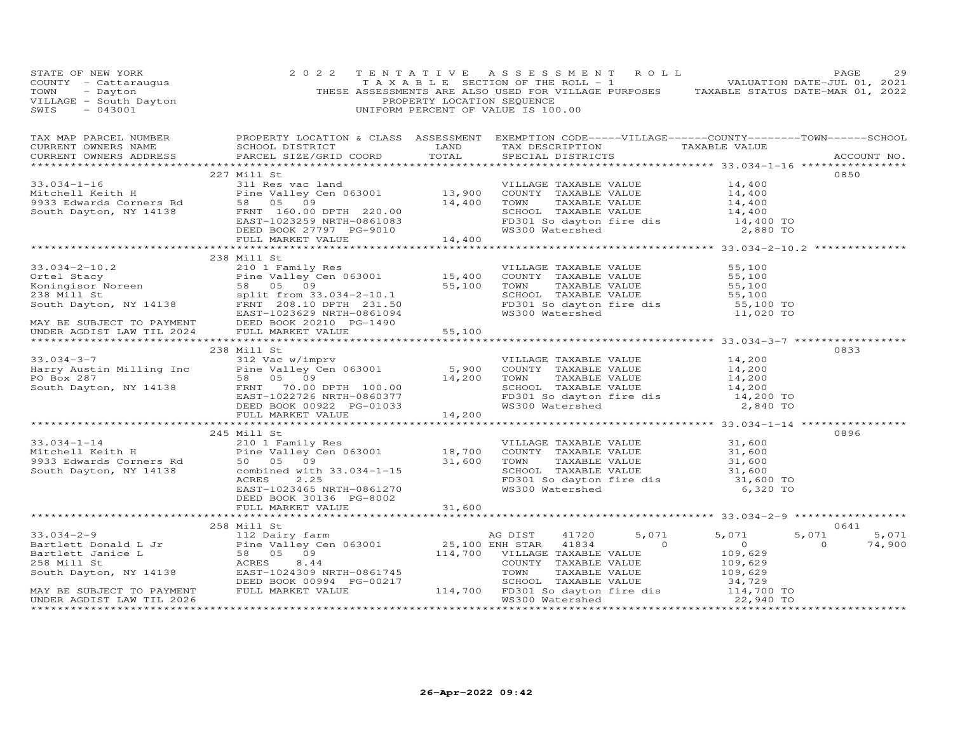| STATE OF NEW YORK<br>$\begin{array}{cccccccccccccc} \texttt{IDAL} & \texttt{IDER} & \texttt{IDER} & \texttt{IDER} & \texttt{IDER} & \texttt{IDER} & \texttt{IDER} & \texttt{IDER} & \texttt{IDER} & \texttt{IDER} & \texttt{IDER} & \texttt{IDER} & \texttt{IDER} & \texttt{IDER} & \texttt{IDER} & \texttt{IDER} & \texttt{IDER} & \texttt{IDER} & \texttt{IDER} & \texttt{IDER} & \texttt{IDER} & \texttt{IDER} & \texttt{IDER} & \texttt{IDER} & \texttt{IDER} & \texttt{IDER} & \text$ | 2 0 2 2                                             | TENTATIVE ASSESSMENT ROLL | PAGE<br>29                              |
|--------------------------------------------------------------------------------------------------------------------------------------------------------------------------------------------------------------------------------------------------------------------------------------------------------------------------------------------------------------------------------------------------------------------------------------------------------------------------------------------|-----------------------------------------------------|---------------------------|-----------------------------------------|
|                                                                                                                                                                                                                                                                                                                                                                                                                                                                                            |                                                     |                           |                                         |
|                                                                                                                                                                                                                                                                                                                                                                                                                                                                                            | 227 Mill St                                         |                           | 0850                                    |
|                                                                                                                                                                                                                                                                                                                                                                                                                                                                                            |                                                     |                           |                                         |
|                                                                                                                                                                                                                                                                                                                                                                                                                                                                                            |                                                     |                           |                                         |
|                                                                                                                                                                                                                                                                                                                                                                                                                                                                                            |                                                     |                           |                                         |
|                                                                                                                                                                                                                                                                                                                                                                                                                                                                                            |                                                     |                           |                                         |
|                                                                                                                                                                                                                                                                                                                                                                                                                                                                                            |                                                     |                           |                                         |
| 33.034-1-16<br>Mitchell Keith H<br>227 Mill Res vac land<br>Pine Valley Cen 063001<br>933 Edwards Corners Rd<br>58 05 09<br>South Dayton, NY 14138<br>EED BOOK 27797 PG-9010<br>FULL MARKET VALUE<br>FULL MARKET VALUE<br>FULL MARKET VALUE<br>FULL                                                                                                                                                                                                                                        |                                                     |                           |                                         |
|                                                                                                                                                                                                                                                                                                                                                                                                                                                                                            |                                                     |                           |                                         |
|                                                                                                                                                                                                                                                                                                                                                                                                                                                                                            | 238 Mill St                                         |                           |                                         |
|                                                                                                                                                                                                                                                                                                                                                                                                                                                                                            |                                                     |                           |                                         |
|                                                                                                                                                                                                                                                                                                                                                                                                                                                                                            |                                                     |                           |                                         |
|                                                                                                                                                                                                                                                                                                                                                                                                                                                                                            |                                                     |                           |                                         |
|                                                                                                                                                                                                                                                                                                                                                                                                                                                                                            |                                                     |                           |                                         |
|                                                                                                                                                                                                                                                                                                                                                                                                                                                                                            |                                                     |                           |                                         |
|                                                                                                                                                                                                                                                                                                                                                                                                                                                                                            |                                                     |                           |                                         |
| 33.034-2-10.2<br>Ortel Stacy 210 1 Family Res<br>Ortel Stacy 210 1 Family Res<br>Country TAXABLE VALUE 55,100<br>Koningisor Noreen 58 05 09<br>238 Mill St split from 33.034-2-10.1<br>South Dayton, NY 14138 FRNT 208.10 DFAMELE 201.50<br>                                                                                                                                                                                                                                               |                                                     |                           |                                         |
|                                                                                                                                                                                                                                                                                                                                                                                                                                                                                            |                                                     |                           |                                         |
|                                                                                                                                                                                                                                                                                                                                                                                                                                                                                            | 238 Mill St                                         |                           | 0833                                    |
|                                                                                                                                                                                                                                                                                                                                                                                                                                                                                            |                                                     |                           |                                         |
|                                                                                                                                                                                                                                                                                                                                                                                                                                                                                            |                                                     |                           |                                         |
|                                                                                                                                                                                                                                                                                                                                                                                                                                                                                            |                                                     |                           |                                         |
|                                                                                                                                                                                                                                                                                                                                                                                                                                                                                            |                                                     |                           |                                         |
|                                                                                                                                                                                                                                                                                                                                                                                                                                                                                            |                                                     |                           |                                         |
| 33.034-3-7<br>Harry Austin Milling Inc 312 Vac w/imprv<br>Harry Austin Milling Inc Pine Valley Cen 063001<br>PO Box 287<br>South Dayton, NY 14138 FRNT 70.00 DPTH 100.00 14,200 TOWN TAXABLE VALUE 14,200<br>EAST-1022726 NRTH-0860377                                                                                                                                                                                                                                                     |                                                     |                           |                                         |
|                                                                                                                                                                                                                                                                                                                                                                                                                                                                                            |                                                     |                           |                                         |
|                                                                                                                                                                                                                                                                                                                                                                                                                                                                                            | 245 Mill St                                         |                           | 0896                                    |
|                                                                                                                                                                                                                                                                                                                                                                                                                                                                                            |                                                     |                           |                                         |
|                                                                                                                                                                                                                                                                                                                                                                                                                                                                                            |                                                     |                           |                                         |
| 33.034-1-14<br>245 Family Res<br>Mitchell Keith H<br>210 1 Family Res<br>21,600<br>2933 Edwards Corners Rd<br>50 05 09<br>2.25<br>2.25<br>2.25<br>2.25<br>2.25<br>2.25<br>2.25<br>2.25<br>2.25<br>2.25<br>2.25<br>2.25<br>2.25<br>2.25<br>2.25<br>2.25<br>2.25<br>2.25<br>2.25<br>                                                                                                                                                                                                         |                                                     |                           |                                         |
|                                                                                                                                                                                                                                                                                                                                                                                                                                                                                            |                                                     |                           |                                         |
|                                                                                                                                                                                                                                                                                                                                                                                                                                                                                            |                                                     |                           |                                         |
|                                                                                                                                                                                                                                                                                                                                                                                                                                                                                            |                                                     |                           |                                         |
|                                                                                                                                                                                                                                                                                                                                                                                                                                                                                            | DEED BOOK 30136 PG-8002<br>FULL MARKET VALUE 31,600 |                           |                                         |
|                                                                                                                                                                                                                                                                                                                                                                                                                                                                                            |                                                     |                           |                                         |
|                                                                                                                                                                                                                                                                                                                                                                                                                                                                                            |                                                     |                           | 0641                                    |
|                                                                                                                                                                                                                                                                                                                                                                                                                                                                                            |                                                     |                           | 5,071 5,071<br>74,900<br>$\overline{0}$ |
|                                                                                                                                                                                                                                                                                                                                                                                                                                                                                            |                                                     |                           |                                         |
|                                                                                                                                                                                                                                                                                                                                                                                                                                                                                            |                                                     |                           |                                         |
|                                                                                                                                                                                                                                                                                                                                                                                                                                                                                            |                                                     |                           |                                         |
|                                                                                                                                                                                                                                                                                                                                                                                                                                                                                            |                                                     |                           |                                         |
|                                                                                                                                                                                                                                                                                                                                                                                                                                                                                            |                                                     |                           |                                         |
| $\begin{tabular}{lllllllllllllllllllll} \hline 33.034-2-9 & 258 \text{ Mill St} & 112 \text{ Daily farm} & \text{AG DIST} & 41720 & 5,071 & 5,071 & 5 \\ \text{Bartlett Donald L Jr} & \text{Pine Valley Cen 063001} & 25,100 \text{ ENH STAR} & 41834 & 0 & 0 \\ \text{Bartlett Janice L} & 58 & 05 & 09 & 114,700 & \text{VILLAGE TaxABLE VALUE} & 109,629 \\ \text{South Dayton, NY 14138} & \text{EAST -1024$                                                                          |                                                     |                           |                                         |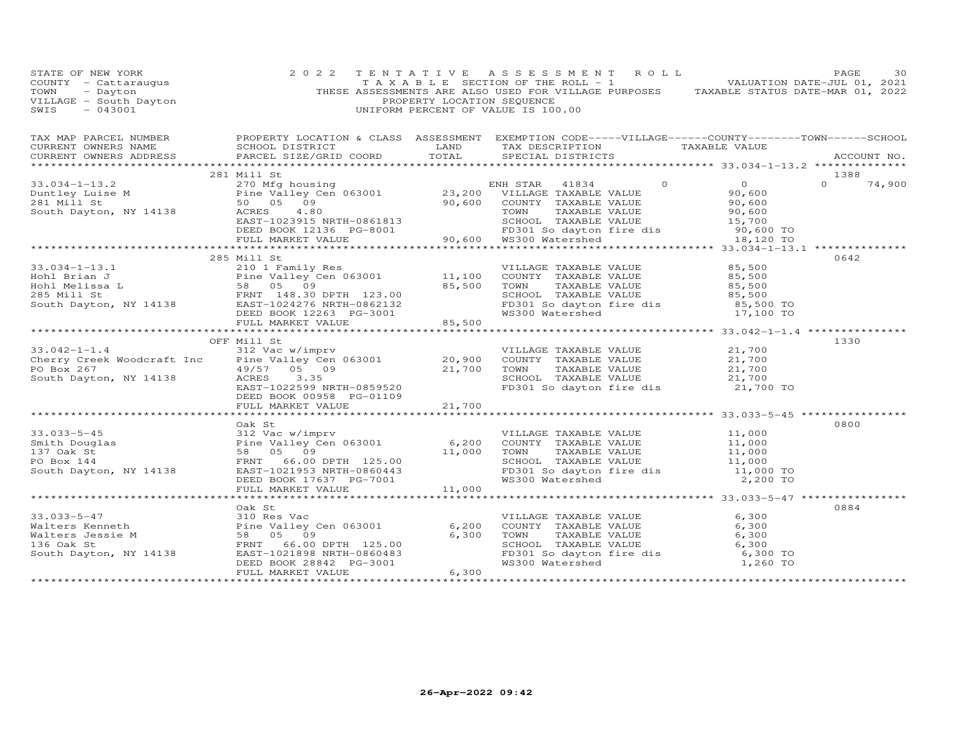| STATE OF NEW YORK<br>COUNTY - Cattaraugus<br>TOWN - Dayton<br>VILLAGE - South Dayton<br>~~~~ - 043001                                                                                                                                                                                                                                                                                              |                          | PROPERTY LOCATION SEQUENCE | UNIFORM PERCENT OF VALUE IS 100.00 | 2 0 2 2 TENTATIVE ASSESSMENT ROLL PAGE 30<br>TAXABLE SECTION OF THE ROLL - 1 VALUATION DATE-JUL 01, 2021<br>THESE ASSESSMENTS ARE ALSO USED FOR VILLAGE PURPOSES TAXABLE STATUS DATE-MAR 01, 2022 |
|----------------------------------------------------------------------------------------------------------------------------------------------------------------------------------------------------------------------------------------------------------------------------------------------------------------------------------------------------------------------------------------------------|--------------------------|----------------------------|------------------------------------|---------------------------------------------------------------------------------------------------------------------------------------------------------------------------------------------------|
|                                                                                                                                                                                                                                                                                                                                                                                                    |                          |                            |                                    |                                                                                                                                                                                                   |
| CURRENT OWNERS NAME SCHOOL DISTRICT TRAND TAX DESCRIPTION TAXABLE VALUE CURRENT OWNERS ADDRESS PARCEL SIZE/GRID COORD TOTAL SPECIAL DISTRICTS                                                                                                                                                                                                                                                      |                          |                            |                                    | ACCOUNT NO.                                                                                                                                                                                       |
|                                                                                                                                                                                                                                                                                                                                                                                                    |                          |                            |                                    |                                                                                                                                                                                                   |
|                                                                                                                                                                                                                                                                                                                                                                                                    | 281 Mill St              |                            |                                    | 1388                                                                                                                                                                                              |
|                                                                                                                                                                                                                                                                                                                                                                                                    |                          |                            |                                    |                                                                                                                                                                                                   |
|                                                                                                                                                                                                                                                                                                                                                                                                    |                          |                            |                                    |                                                                                                                                                                                                   |
|                                                                                                                                                                                                                                                                                                                                                                                                    |                          |                            |                                    |                                                                                                                                                                                                   |
|                                                                                                                                                                                                                                                                                                                                                                                                    |                          |                            |                                    |                                                                                                                                                                                                   |
|                                                                                                                                                                                                                                                                                                                                                                                                    |                          |                            |                                    |                                                                                                                                                                                                   |
|                                                                                                                                                                                                                                                                                                                                                                                                    |                          |                            |                                    |                                                                                                                                                                                                   |
|                                                                                                                                                                                                                                                                                                                                                                                                    |                          |                            |                                    |                                                                                                                                                                                                   |
|                                                                                                                                                                                                                                                                                                                                                                                                    | 285 Mill St              |                            |                                    | 0642                                                                                                                                                                                              |
|                                                                                                                                                                                                                                                                                                                                                                                                    |                          |                            |                                    |                                                                                                                                                                                                   |
|                                                                                                                                                                                                                                                                                                                                                                                                    |                          |                            |                                    |                                                                                                                                                                                                   |
|                                                                                                                                                                                                                                                                                                                                                                                                    |                          |                            |                                    |                                                                                                                                                                                                   |
|                                                                                                                                                                                                                                                                                                                                                                                                    |                          |                            |                                    |                                                                                                                                                                                                   |
|                                                                                                                                                                                                                                                                                                                                                                                                    |                          |                            |                                    |                                                                                                                                                                                                   |
| 33.034-1-13.1 $\begin{array}{l} 20 \text{ H} \text{cm} & 20 \text{ H} \text{cm} \\ 210 \text{ 1} \text{ Family Res} \\ \text{Hohl Brian J} \\ \text{Hohl (258a L)} \\ \text{Hohl (258a L)} \\ \text{St, 500} \\ \text{St, 501} \\ \text{St, 501} \\ \text{St, 502} \\ \text{St, 503} \\ \text{St, 504} \\ \text{St, 505} \\ \text{St, 506} \\ \text{St, 507} \\ \text{St, 508} \\ \text{DEED BOK $ |                          |                            |                                    |                                                                                                                                                                                                   |
|                                                                                                                                                                                                                                                                                                                                                                                                    |                          |                            |                                    |                                                                                                                                                                                                   |
|                                                                                                                                                                                                                                                                                                                                                                                                    | OFF Mill St              |                            |                                    | 1330                                                                                                                                                                                              |
|                                                                                                                                                                                                                                                                                                                                                                                                    |                          |                            |                                    |                                                                                                                                                                                                   |
|                                                                                                                                                                                                                                                                                                                                                                                                    |                          |                            |                                    |                                                                                                                                                                                                   |
|                                                                                                                                                                                                                                                                                                                                                                                                    |                          |                            |                                    |                                                                                                                                                                                                   |
| 33.042-1-1.4<br>Cherry Creek Woodcraft Inc alley Cen 063001 20,900 COUNTY TAXABLE VALUE 21,700<br>PO Box 267 19/57 05 09 21,700 TOWN TAXABLE VALUE 21,700<br>South Dayton, NY 14138 ACRES 3.35<br>EAST-1022599 NRTH-0859520<br>EAST-102                                                                                                                                                            |                          |                            |                                    |                                                                                                                                                                                                   |
|                                                                                                                                                                                                                                                                                                                                                                                                    | DEED BOOK 00958 PG-01109 |                            |                                    |                                                                                                                                                                                                   |
|                                                                                                                                                                                                                                                                                                                                                                                                    | FULL MARKET VALUE        | 21,700                     |                                    |                                                                                                                                                                                                   |
|                                                                                                                                                                                                                                                                                                                                                                                                    |                          |                            |                                    |                                                                                                                                                                                                   |
|                                                                                                                                                                                                                                                                                                                                                                                                    | Oak St                   |                            |                                    | 0800                                                                                                                                                                                              |
|                                                                                                                                                                                                                                                                                                                                                                                                    |                          |                            |                                    |                                                                                                                                                                                                   |
|                                                                                                                                                                                                                                                                                                                                                                                                    |                          |                            |                                    |                                                                                                                                                                                                   |
|                                                                                                                                                                                                                                                                                                                                                                                                    |                          |                            |                                    |                                                                                                                                                                                                   |
|                                                                                                                                                                                                                                                                                                                                                                                                    |                          |                            |                                    |                                                                                                                                                                                                   |
|                                                                                                                                                                                                                                                                                                                                                                                                    |                          |                            |                                    |                                                                                                                                                                                                   |
|                                                                                                                                                                                                                                                                                                                                                                                                    |                          |                            |                                    |                                                                                                                                                                                                   |
|                                                                                                                                                                                                                                                                                                                                                                                                    |                          |                            |                                    |                                                                                                                                                                                                   |
|                                                                                                                                                                                                                                                                                                                                                                                                    | Oak St                   |                            |                                    | 0884                                                                                                                                                                                              |
|                                                                                                                                                                                                                                                                                                                                                                                                    |                          |                            |                                    |                                                                                                                                                                                                   |
|                                                                                                                                                                                                                                                                                                                                                                                                    |                          |                            |                                    |                                                                                                                                                                                                   |
| 33.033-5-47<br>Walters Kenneth Pine Valley Cen 063001<br>Walters Jessie M<br>Walters Jessie M<br>Sa 05 09<br>136 Oak St<br>South Dayton, NY 14138<br>ERST-1021898 NRTH-0860483<br>DEED BOOK 28842 PG-3001<br>FULL MARKET VALUE<br>FULL MARKET VALU                                                                                                                                                 |                          |                            |                                    |                                                                                                                                                                                                   |
|                                                                                                                                                                                                                                                                                                                                                                                                    |                          |                            |                                    |                                                                                                                                                                                                   |
|                                                                                                                                                                                                                                                                                                                                                                                                    |                          |                            |                                    |                                                                                                                                                                                                   |
|                                                                                                                                                                                                                                                                                                                                                                                                    |                          |                            |                                    |                                                                                                                                                                                                   |
|                                                                                                                                                                                                                                                                                                                                                                                                    |                          |                            |                                    |                                                                                                                                                                                                   |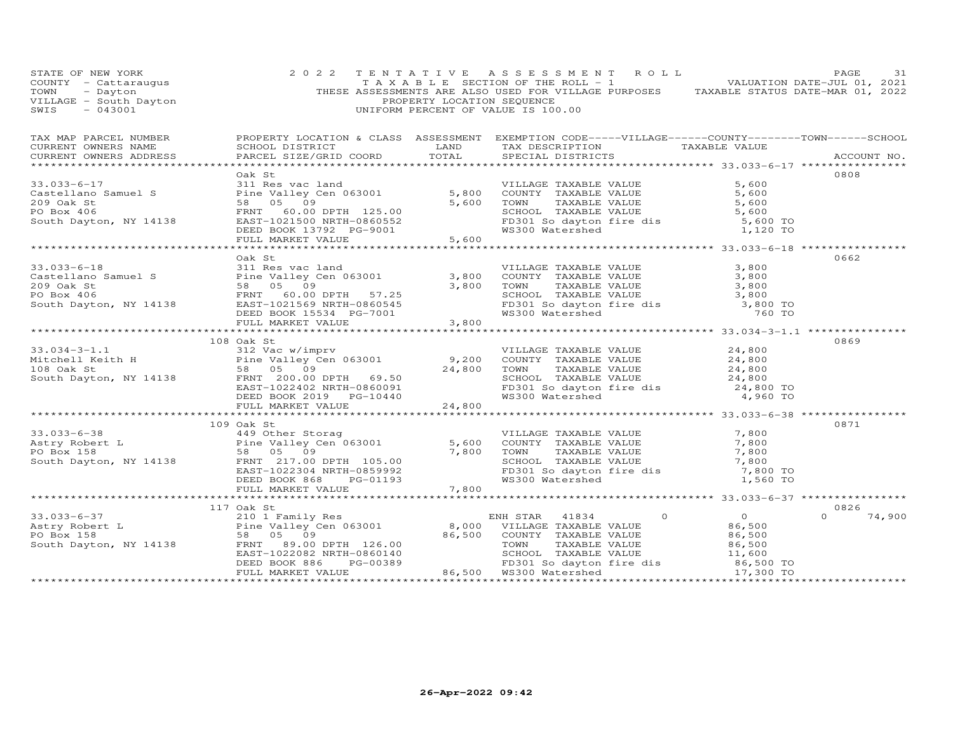| STATE OF NEW YORK<br>COUNTY - Cattaraugus<br>COUNTY - Cattaraugus (COUNTY - Cattaraugus (COUNTY - Cattaraugus TAXABLE SECTION OF THE ROLL - 1<br>TOWN - Dayton (THESE ASSESSMENTS ARE ALSO USED FOR VILLAGE PURPOSES TAXABLE STATUS DATE-MAR 01, 2021<br>   | 2 0 2 2    | TENTATIVE ASSESSMENT ROLL                      | PAGE<br>31    |
|-------------------------------------------------------------------------------------------------------------------------------------------------------------------------------------------------------------------------------------------------------------|------------|------------------------------------------------|---------------|
| CURRENT OWNERS ADDRESS                                                                                                                                                                                                                                      |            | PARCEL SIZE/GRID COORD TOTAL SPECIAL DISTRICTS | ACCOUNT NO.   |
| 33.033-6-17<br>Castellano Samuel S<br>Castellano Samuel S<br>209 Oak St<br>209 Oak St<br>209 Oak St<br>209 Oak St<br>209 Oak St<br>209 Oak St<br>209 Oak St<br>209 Oak St<br>200 EAST -1021500 NRTH-0860552<br>200 EAST -1021500 NRTH-0860552<br>200 EAS    | Oak St     |                                                | 0808          |
|                                                                                                                                                                                                                                                             |            |                                                |               |
| 33.033-6-18<br>Castellano Samuel S<br>209 Oak St<br>209 Oak St<br>209 Oak St<br>209 Oak St<br>209 Oak St<br>209 Oak St<br>209 Oak St<br>209 Oak St<br>209 Oak St<br>209 Oak St<br>200 ERD BOOT DPTH 57.25<br>200 DPTH 57.25<br>200 DPTH 57.25<br>200 SCHOOL | Oak St     |                                                | 0662          |
|                                                                                                                                                                                                                                                             |            |                                                |               |
|                                                                                                                                                                                                                                                             |            |                                                |               |
| 33.034-3-1.1<br>Mitchell Keith H 312 Vac w/imprv<br>Pine Valley Cen 063001<br>The Valley Cen 063001<br>The Valley Cen 063001<br>9,200 COUNTY TAXABLE VALUE<br>9,200 COUNTY TAXABLE VALUE<br>TAXABLE VALUE<br>24,800<br>24,800<br>24,800<br>24,800<br>       | 108 Oak St |                                                | 0869          |
|                                                                                                                                                                                                                                                             |            |                                                |               |
|                                                                                                                                                                                                                                                             | 109 Oak St |                                                | 0871          |
| 33.033-6-38<br>Astry Robert L<br>200 Atry Robert L<br>PO Box 158<br>South Dayton, NY 14138<br>ERNIT 1022304 NRTH-0859992<br>DEED BOOK 868<br>DEED BOOK 868<br>CHERNIT 105.00<br>PO SCHOOL TAXABLE VALUE<br>FR301 SOUTY TAXABLE VALUE<br>FR301 SOUTY         |            |                                                |               |
|                                                                                                                                                                                                                                                             |            |                                                |               |
|                                                                                                                                                                                                                                                             | 117 Oak St |                                                | 0826          |
|                                                                                                                                                                                                                                                             |            |                                                | $0 \t 74,900$ |
|                                                                                                                                                                                                                                                             |            |                                                |               |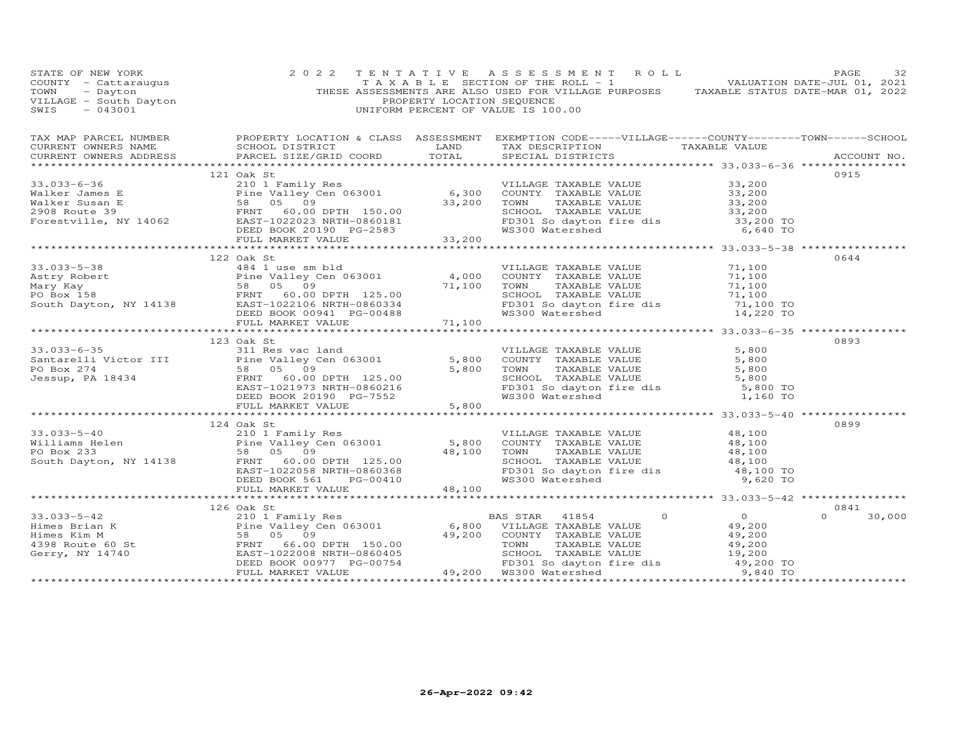| STATE OF NEW YORK | 2 0 2 2                                                                                                                                                                                                                                                                                                                                                                            | TENTATIVE ASSESSMENT ROLL | PAGE<br>32                      |
|-------------------|------------------------------------------------------------------------------------------------------------------------------------------------------------------------------------------------------------------------------------------------------------------------------------------------------------------------------------------------------------------------------------|---------------------------|---------------------------------|
|                   | TAX MAP PARCEL NUMBER BROPERTY LOCATION & CLASS ASSESSMENT EXEMPTION CODE-----VILLAGE------COUNTY--------TOWN------SCHOOL CURRENT OWNERS NAME SCHOOL DISTRICT LAND TAX DESCRIPTION TAXABLE VALUE CURRENT OWNERS ADDRESS PARCEL                                                                                                                                                     |                           |                                 |
|                   | 121 Oak St                                                                                                                                                                                                                                                                                                                                                                         |                           | 0915                            |
|                   | 33.033-6-36<br>Walker James E<br>Walker Susan E<br>Walker Susan E<br>ES 05 09<br>Forestville, NY 14062<br>ES 200 ROOK 20190 PG-2583<br>ES 200 PG-2583<br>ESD BOOK 20190 PG-2583<br>TOWN TAXABLE VALUE<br>TAXABLE VALUE<br>TAXABLE VALUE<br>TAXABLE VA                                                                                                                              |                           |                                 |
|                   |                                                                                                                                                                                                                                                                                                                                                                                    |                           |                                 |
|                   |                                                                                                                                                                                                                                                                                                                                                                                    |                           |                                 |
|                   | 122 Oak St<br>33.033-5-38<br>Astry Robert<br>Astry Robert<br>Mary Kay<br>FORD South Dayton, NY 14138<br>Taxable Valley Cen 063001<br>FORD South Dayton, NY 14138<br>EED BOOK 00941<br>FORD SOUNTY TAXABLE VALUE<br>TAXABLE VALUE<br>TAXABLE VALUE<br>TAXABLE VALU                                                                                                                  |                           | 0644                            |
|                   |                                                                                                                                                                                                                                                                                                                                                                                    |                           |                                 |
|                   |                                                                                                                                                                                                                                                                                                                                                                                    |                           |                                 |
|                   | 123 Oak St<br>33.033-6-35<br>Santarelli Victor III 30 Oak St<br>Santarelli Victor III 31 Res vac land<br>PO Box 274<br>Jessup, PA 18434 FRN 60.00 DPTH 125.00<br>TO Box 274<br>FRN 60.00 DPTH 125.00<br>ERST-1021973 NRTH-0860216<br>DEED BOOK 20190 PG-755                                                                                                                        |                           | 0893                            |
|                   |                                                                                                                                                                                                                                                                                                                                                                                    |                           |                                 |
|                   | 124 Oak St<br>33.033-5-40<br>Williams Helen<br>Po Box 233<br>South Dayton, NY 14138<br>The Valley Cen 063001<br>Po Box 233<br>South Dayton, NY 14138<br>EXENCING PO BOX 233<br>South Dayton, NY 14138<br>EXENCISE PO BOX 561<br>PO BOX 561<br>PG-00410<br>PG-00410<br>                                                                                                             |                           | 0899                            |
|                   |                                                                                                                                                                                                                                                                                                                                                                                    |                           |                                 |
|                   |                                                                                                                                                                                                                                                                                                                                                                                    |                           |                                 |
|                   | 126 Oak St                                                                                                                                                                                                                                                                                                                                                                         |                           | 0841                            |
|                   | $\begin{array}{cccccccc} 33.033-5-42 & 126 Oak St \\ \text{Himes Brian K} & 210 1 Family Res \\ \text{Himes Kim M} & 58 & 05 & 09 \\ 4398 Rout 60 St & FNIT & ERS, T102008 NRTH-0860405 & 49,200 \\ \text{Gerry, NY 14740} & 58.00 & NITLAGE TAXABLE VALUE & 49,200 \\ \text{Gerry, NY 14740} & 58.00 & FNIT & 66.00 \\ \text{Gerry, NY 14740} & 58.00 & NITLAGE, TAXABLE VALUE &$ |                           | $\Omega$ and $\Omega$<br>30,000 |
|                   |                                                                                                                                                                                                                                                                                                                                                                                    |                           |                                 |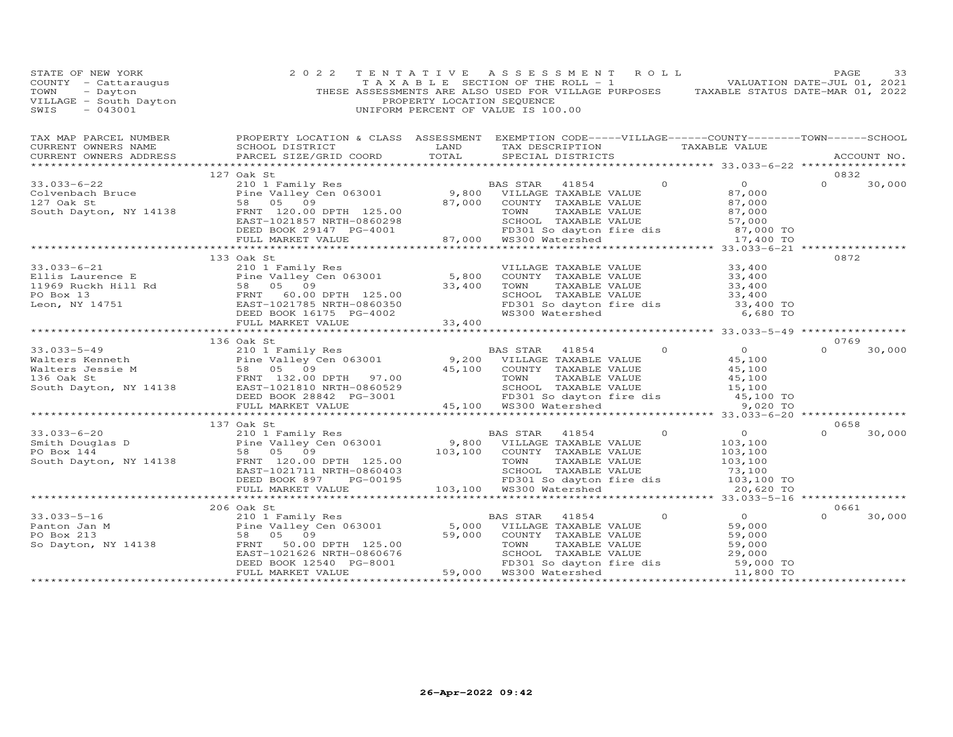| STATE OF NEW YORK<br>COUNTY - Cattaraugus<br>TOWN - Dayton<br>VILLAGE - South Dayton<br>~~~~ - 043001 | 2 0 2 2                                                                                                                                                                                                                                                   | TENTATIVE ASSESSMENT ROLL<br>TAXABLE SECTION OF THE ROLL - 1 VALUATION DATE-JUL 01, 2021<br>THESE ASSESSMENTS ARE ALSO USED FOR VILLAGE PURPOSES TAXABLE STATUS DATE-MAR 01, 2022<br>PROPERTY LOCATION SEQUENCE<br>UNIFORM PERCENT OF VALUE IS 100.00 |  | PAGE<br>33         |
|-------------------------------------------------------------------------------------------------------|-----------------------------------------------------------------------------------------------------------------------------------------------------------------------------------------------------------------------------------------------------------|-------------------------------------------------------------------------------------------------------------------------------------------------------------------------------------------------------------------------------------------------------|--|--------------------|
|                                                                                                       |                                                                                                                                                                                                                                                           |                                                                                                                                                                                                                                                       |  |                    |
| CURRENT OWNERS ADDRESS                                                                                | PARCEL SIZE/GRID COORD TOTAL SPECIAL DISTRICTS                                                                                                                                                                                                            |                                                                                                                                                                                                                                                       |  | ACCOUNT NO.        |
|                                                                                                       | 127 Oak St                                                                                                                                                                                                                                                |                                                                                                                                                                                                                                                       |  | 0832               |
|                                                                                                       |                                                                                                                                                                                                                                                           |                                                                                                                                                                                                                                                       |  | $0 \t30,000$       |
|                                                                                                       |                                                                                                                                                                                                                                                           |                                                                                                                                                                                                                                                       |  |                    |
|                                                                                                       |                                                                                                                                                                                                                                                           |                                                                                                                                                                                                                                                       |  |                    |
|                                                                                                       |                                                                                                                                                                                                                                                           |                                                                                                                                                                                                                                                       |  |                    |
|                                                                                                       |                                                                                                                                                                                                                                                           |                                                                                                                                                                                                                                                       |  |                    |
|                                                                                                       |                                                                                                                                                                                                                                                           |                                                                                                                                                                                                                                                       |  |                    |
|                                                                                                       |                                                                                                                                                                                                                                                           |                                                                                                                                                                                                                                                       |  |                    |
|                                                                                                       |                                                                                                                                                                                                                                                           |                                                                                                                                                                                                                                                       |  |                    |
|                                                                                                       | 133 Oak St                                                                                                                                                                                                                                                |                                                                                                                                                                                                                                                       |  | 0872               |
|                                                                                                       |                                                                                                                                                                                                                                                           |                                                                                                                                                                                                                                                       |  |                    |
|                                                                                                       |                                                                                                                                                                                                                                                           |                                                                                                                                                                                                                                                       |  |                    |
|                                                                                                       |                                                                                                                                                                                                                                                           |                                                                                                                                                                                                                                                       |  |                    |
|                                                                                                       |                                                                                                                                                                                                                                                           |                                                                                                                                                                                                                                                       |  |                    |
|                                                                                                       |                                                                                                                                                                                                                                                           |                                                                                                                                                                                                                                                       |  |                    |
|                                                                                                       | 33.033-6-21<br>Ellis Laurence E<br>Ellis Laurence E<br>210 1 Family Res<br>Pine Valley Cen 063001<br>Family Res<br>210 1 Family Res<br>Pine Valley Cen 063001<br>5,800 COUNTY TAXABLE VALUE<br>5,800 COUNTY TAXABLE VALUE<br>33,400<br>23,400<br>23,4     |                                                                                                                                                                                                                                                       |  |                    |
|                                                                                                       |                                                                                                                                                                                                                                                           |                                                                                                                                                                                                                                                       |  |                    |
|                                                                                                       | 136 Oak St                                                                                                                                                                                                                                                |                                                                                                                                                                                                                                                       |  | 0769               |
|                                                                                                       | 33.033-5-49<br>Walters Kenneth 210 Limity Res<br>Walters Maters Sessie M<br>Maters Jessie M<br>210 DEED BOOK 28842 PG-3001<br>EED BOOK 28842 PG-3001<br>23.00 DEED BOOK 28842 PG-3001<br>25.100 DEED BOOK 28842 PG-3001<br>25.100 PD301 So da             |                                                                                                                                                                                                                                                       |  | $\Omega$<br>30,000 |
|                                                                                                       |                                                                                                                                                                                                                                                           |                                                                                                                                                                                                                                                       |  |                    |
|                                                                                                       |                                                                                                                                                                                                                                                           |                                                                                                                                                                                                                                                       |  |                    |
|                                                                                                       |                                                                                                                                                                                                                                                           |                                                                                                                                                                                                                                                       |  |                    |
|                                                                                                       |                                                                                                                                                                                                                                                           |                                                                                                                                                                                                                                                       |  |                    |
|                                                                                                       |                                                                                                                                                                                                                                                           |                                                                                                                                                                                                                                                       |  |                    |
|                                                                                                       |                                                                                                                                                                                                                                                           |                                                                                                                                                                                                                                                       |  |                    |
|                                                                                                       | 137 Oak St                                                                                                                                                                                                                                                |                                                                                                                                                                                                                                                       |  | 0658               |
|                                                                                                       |                                                                                                                                                                                                                                                           |                                                                                                                                                                                                                                                       |  | $\Omega$<br>30,000 |
|                                                                                                       |                                                                                                                                                                                                                                                           |                                                                                                                                                                                                                                                       |  |                    |
|                                                                                                       | 33.033-6-20<br>Smith Douglas D<br>PO Box 144<br>South Dayton, NY 14138<br>South Dayton, NY 14138<br>South Dayton, NY 14138<br>COLO DETH 125.00<br>EED BOOK 897<br>PG-00195<br>TO 103,100<br>DEED BOOK 897<br>PG-00195<br>TO 103,100<br>DEED BOOK 897<br>P |                                                                                                                                                                                                                                                       |  |                    |
|                                                                                                       |                                                                                                                                                                                                                                                           |                                                                                                                                                                                                                                                       |  |                    |
|                                                                                                       |                                                                                                                                                                                                                                                           |                                                                                                                                                                                                                                                       |  |                    |
|                                                                                                       |                                                                                                                                                                                                                                                           |                                                                                                                                                                                                                                                       |  |                    |
|                                                                                                       |                                                                                                                                                                                                                                                           |                                                                                                                                                                                                                                                       |  |                    |
|                                                                                                       | 206 Oak St                                                                                                                                                                                                                                                |                                                                                                                                                                                                                                                       |  | 0661               |
|                                                                                                       |                                                                                                                                                                                                                                                           |                                                                                                                                                                                                                                                       |  | $\Omega$<br>30,000 |
|                                                                                                       |                                                                                                                                                                                                                                                           |                                                                                                                                                                                                                                                       |  |                    |
|                                                                                                       |                                                                                                                                                                                                                                                           |                                                                                                                                                                                                                                                       |  |                    |
|                                                                                                       |                                                                                                                                                                                                                                                           |                                                                                                                                                                                                                                                       |  |                    |
|                                                                                                       |                                                                                                                                                                                                                                                           |                                                                                                                                                                                                                                                       |  |                    |
|                                                                                                       |                                                                                                                                                                                                                                                           |                                                                                                                                                                                                                                                       |  |                    |
|                                                                                                       |                                                                                                                                                                                                                                                           |                                                                                                                                                                                                                                                       |  |                    |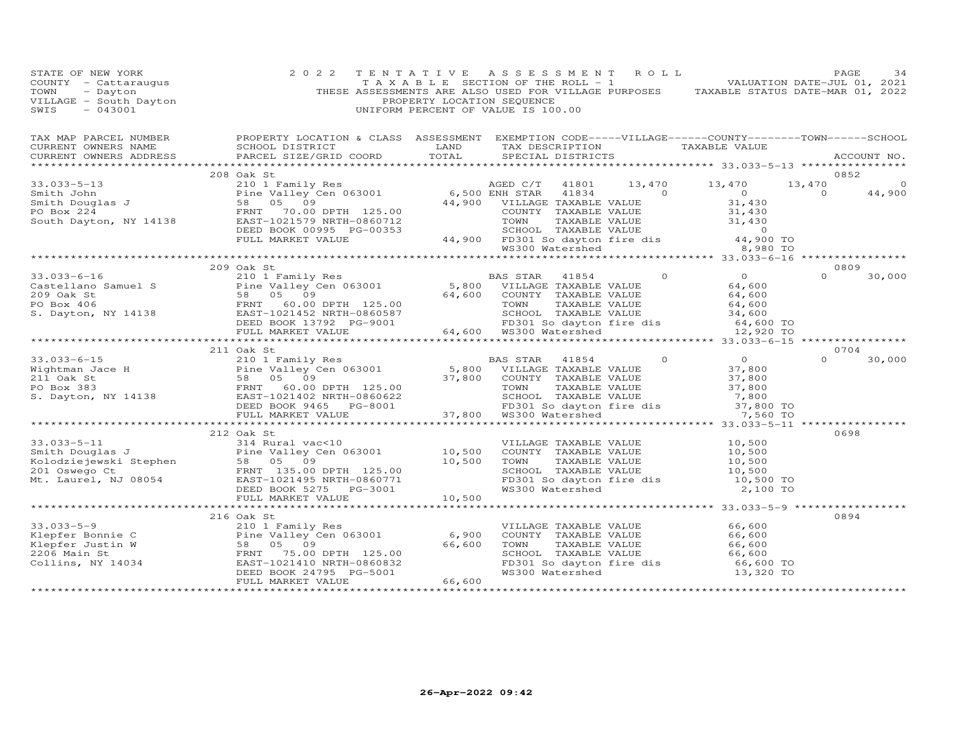| STATE OF NEW YORK<br>STATE OF NEW YORK<br>COUNTY - Cattaraugus<br>TOWN - Dayton<br>VILLAGE - South Dayton<br>SWIS - 043001                                                                                                                                                                                                                                                                  | 2 0 2 2                      | PROPERTY LOCATION SEQUENCE | TENTATIVE ASSESSMENT ROLL<br>TAXABLE SECTION OF THE ROLL - 1<br>THESE ASSESSMENTS ARE ALSO USED FOR VILLAGE PURPOSES TAXABLE STATUS DATE-MAR 01, 2022<br>UNIFORM PERCENT OF VALUE IS 100.00 |                                    | PAGE           | 34          |
|---------------------------------------------------------------------------------------------------------------------------------------------------------------------------------------------------------------------------------------------------------------------------------------------------------------------------------------------------------------------------------------------|------------------------------|----------------------------|---------------------------------------------------------------------------------------------------------------------------------------------------------------------------------------------|------------------------------------|----------------|-------------|
| CURRENT OWNERS ADDRESS<br>*******************                                                                                                                                                                                                                                                                                                                                               | PARCEL SIZE/GRID COORD TOTAL |                            | SPECIAL DISTRICTS                                                                                                                                                                           |                                    |                | ACCOUNT NO. |
|                                                                                                                                                                                                                                                                                                                                                                                             | 208 Oak St                   |                            |                                                                                                                                                                                             |                                    | 0852           |             |
| 33.033-5-13<br>Smith John 210 208 Oak St<br>208 Oak St<br>208 Oak St<br>208 Oak St<br>208 Oak St<br>208 Oak St<br>208 Oak St<br>208 Oak St<br>208 Oak St<br>208 Oak St<br>208 Oak St<br>208 Oak St<br>208 Oak St<br>208 Oak St<br>208 Oak St<br>208 Oak St<br>2                                                                                                                             |                              |                            |                                                                                                                                                                                             |                                    | 13,470         |             |
|                                                                                                                                                                                                                                                                                                                                                                                             |                              |                            |                                                                                                                                                                                             |                                    | $\overline{0}$ | 44,900      |
|                                                                                                                                                                                                                                                                                                                                                                                             |                              |                            |                                                                                                                                                                                             |                                    |                |             |
|                                                                                                                                                                                                                                                                                                                                                                                             |                              |                            |                                                                                                                                                                                             |                                    |                |             |
|                                                                                                                                                                                                                                                                                                                                                                                             |                              |                            |                                                                                                                                                                                             |                                    |                |             |
|                                                                                                                                                                                                                                                                                                                                                                                             |                              |                            |                                                                                                                                                                                             |                                    |                |             |
|                                                                                                                                                                                                                                                                                                                                                                                             |                              |                            |                                                                                                                                                                                             |                                    |                |             |
|                                                                                                                                                                                                                                                                                                                                                                                             |                              |                            |                                                                                                                                                                                             |                                    |                |             |
|                                                                                                                                                                                                                                                                                                                                                                                             |                              |                            |                                                                                                                                                                                             |                                    |                |             |
|                                                                                                                                                                                                                                                                                                                                                                                             | 209 Oak St                   |                            |                                                                                                                                                                                             |                                    | 0809           |             |
|                                                                                                                                                                                                                                                                                                                                                                                             |                              |                            |                                                                                                                                                                                             |                                    | $\Omega$       | 30,000      |
|                                                                                                                                                                                                                                                                                                                                                                                             |                              |                            |                                                                                                                                                                                             |                                    |                |             |
|                                                                                                                                                                                                                                                                                                                                                                                             |                              |                            |                                                                                                                                                                                             |                                    |                |             |
|                                                                                                                                                                                                                                                                                                                                                                                             |                              |                            |                                                                                                                                                                                             |                                    |                |             |
|                                                                                                                                                                                                                                                                                                                                                                                             |                              |                            |                                                                                                                                                                                             |                                    |                |             |
|                                                                                                                                                                                                                                                                                                                                                                                             |                              |                            |                                                                                                                                                                                             |                                    |                |             |
|                                                                                                                                                                                                                                                                                                                                                                                             |                              |                            |                                                                                                                                                                                             | ******** 33.033-6-15 ************* |                |             |
|                                                                                                                                                                                                                                                                                                                                                                                             | 211 Oak St                   |                            |                                                                                                                                                                                             |                                    | 0704           |             |
| $\begin{array}{cccccccc} 33.033-6-15 & & & & & 211& \text{Jan} & \text{Res} & & & & & 0 & 0 & 0 \\ 210 & 1 & Family Res & & & & & 5,800 & \text{VILLAGE TAXABLE VALUE} & & & 37,800 & 0 \\ 211 & 0ak St & & & & 58 & 05 & 09 & & & 37,800 & \text{COMIT Y TAXABLE VALUE} & & & 37,800 & 0 \\ 211 & 0ak St & & & & 58 & 05 & 09 & & & 37,800 & \text{COMIT Y TAXABLE VALUE} & & & 37,800 & $ |                              |                            |                                                                                                                                                                                             |                                    | $\Omega$       | 30,000      |
|                                                                                                                                                                                                                                                                                                                                                                                             |                              |                            |                                                                                                                                                                                             |                                    |                |             |
|                                                                                                                                                                                                                                                                                                                                                                                             |                              |                            |                                                                                                                                                                                             |                                    |                |             |
|                                                                                                                                                                                                                                                                                                                                                                                             |                              |                            |                                                                                                                                                                                             |                                    |                |             |
|                                                                                                                                                                                                                                                                                                                                                                                             |                              |                            |                                                                                                                                                                                             |                                    |                |             |
|                                                                                                                                                                                                                                                                                                                                                                                             |                              |                            |                                                                                                                                                                                             |                                    |                |             |
|                                                                                                                                                                                                                                                                                                                                                                                             |                              |                            |                                                                                                                                                                                             |                                    |                |             |
|                                                                                                                                                                                                                                                                                                                                                                                             |                              |                            |                                                                                                                                                                                             |                                    |                |             |
|                                                                                                                                                                                                                                                                                                                                                                                             | 212 Oak St                   |                            |                                                                                                                                                                                             |                                    | 0698           |             |
|                                                                                                                                                                                                                                                                                                                                                                                             |                              |                            |                                                                                                                                                                                             |                                    |                |             |
| 33.033-5-11<br>Smith Douglas J<br>Example of the Valley Cen 063001<br>Example of the Valley Cen 063001<br>FRNT 135.00<br>Multimated Caption (10,500 TOWN TAXABLE VALUE<br>2010 School TAXABLE VALUE<br>2010 SCHOOL TAXABLE VALUE<br>2010 SCHO                                                                                                                                               |                              |                            |                                                                                                                                                                                             |                                    |                |             |
|                                                                                                                                                                                                                                                                                                                                                                                             |                              |                            |                                                                                                                                                                                             |                                    |                |             |
|                                                                                                                                                                                                                                                                                                                                                                                             |                              |                            |                                                                                                                                                                                             |                                    |                |             |
|                                                                                                                                                                                                                                                                                                                                                                                             |                              |                            |                                                                                                                                                                                             |                                    |                |             |
|                                                                                                                                                                                                                                                                                                                                                                                             |                              |                            |                                                                                                                                                                                             |                                    |                |             |
|                                                                                                                                                                                                                                                                                                                                                                                             |                              |                            |                                                                                                                                                                                             |                                    |                |             |
|                                                                                                                                                                                                                                                                                                                                                                                             |                              |                            |                                                                                                                                                                                             |                                    | 0894           |             |
|                                                                                                                                                                                                                                                                                                                                                                                             |                              |                            |                                                                                                                                                                                             |                                    |                |             |
|                                                                                                                                                                                                                                                                                                                                                                                             |                              |                            |                                                                                                                                                                                             |                                    |                |             |
|                                                                                                                                                                                                                                                                                                                                                                                             |                              |                            |                                                                                                                                                                                             |                                    |                |             |
|                                                                                                                                                                                                                                                                                                                                                                                             |                              |                            |                                                                                                                                                                                             |                                    |                |             |
|                                                                                                                                                                                                                                                                                                                                                                                             |                              |                            |                                                                                                                                                                                             |                                    |                |             |
|                                                                                                                                                                                                                                                                                                                                                                                             |                              |                            |                                                                                                                                                                                             |                                    |                |             |
|                                                                                                                                                                                                                                                                                                                                                                                             |                              |                            |                                                                                                                                                                                             |                                    |                |             |
|                                                                                                                                                                                                                                                                                                                                                                                             |                              |                            |                                                                                                                                                                                             |                                    |                |             |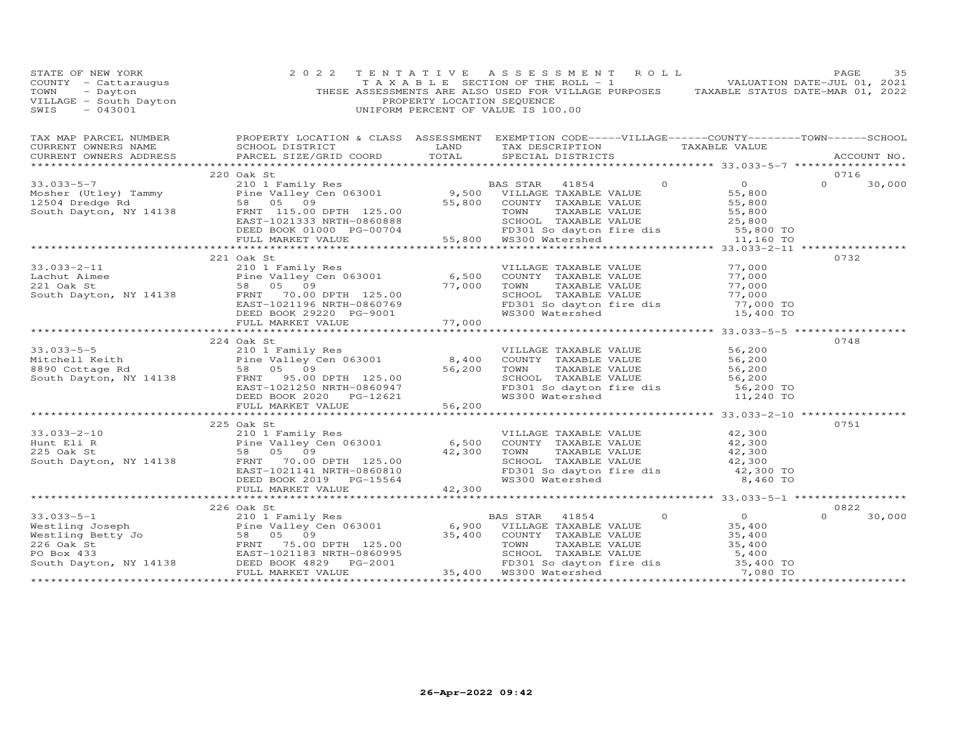| STATE OF NEW YORK<br>COUNTY - Cattaraugus<br>TOWN - Dayton<br>VILLAGE - South Dayton<br>~~~~ - 043001 | 2 0 2 2                                                                                                                                                                                                                                                                                                                                                                                                              | TENTATIVE ASSESSMENT ROLL<br>PROPERTY LOCATION SEQUENCE<br>UNIFORM PERCENT OF VALUE IS 100.00 | PAGE<br>35<br>TAXABLE SECTION OF THE ROLL - 1 VALUATION DATE-JUL 01, 2021<br>THESE ASSESSMENTS ARE ALSO USED FOR VILLAGE PURPOSES TAXABLE STATUS DATE-MAR 01, 2022                                                            |
|-------------------------------------------------------------------------------------------------------|----------------------------------------------------------------------------------------------------------------------------------------------------------------------------------------------------------------------------------------------------------------------------------------------------------------------------------------------------------------------------------------------------------------------|-----------------------------------------------------------------------------------------------|-------------------------------------------------------------------------------------------------------------------------------------------------------------------------------------------------------------------------------|
|                                                                                                       |                                                                                                                                                                                                                                                                                                                                                                                                                      |                                                                                               | TAX MAP PARCEL NUMBER BROPERTY LOCATION & CLASS ASSESSMENT EXEMPTION CODE-----VILLAGE------COUNTY--------TOWN-----SCHOOL CURRENT OWNERS NAME SCHOOL DISTRICT LAND TAX DESCRIPTION TAXABLE VALUE CURRENT OWNERS ADDRESS PARCEL |
|                                                                                                       |                                                                                                                                                                                                                                                                                                                                                                                                                      |                                                                                               |                                                                                                                                                                                                                               |
|                                                                                                       | 220 Oak St                                                                                                                                                                                                                                                                                                                                                                                                           |                                                                                               | 0716                                                                                                                                                                                                                          |
|                                                                                                       |                                                                                                                                                                                                                                                                                                                                                                                                                      |                                                                                               |                                                                                                                                                                                                                               |
|                                                                                                       |                                                                                                                                                                                                                                                                                                                                                                                                                      |                                                                                               |                                                                                                                                                                                                                               |
|                                                                                                       |                                                                                                                                                                                                                                                                                                                                                                                                                      |                                                                                               |                                                                                                                                                                                                                               |
|                                                                                                       |                                                                                                                                                                                                                                                                                                                                                                                                                      |                                                                                               |                                                                                                                                                                                                                               |
|                                                                                                       |                                                                                                                                                                                                                                                                                                                                                                                                                      |                                                                                               |                                                                                                                                                                                                                               |
|                                                                                                       |                                                                                                                                                                                                                                                                                                                                                                                                                      |                                                                                               |                                                                                                                                                                                                                               |
|                                                                                                       |                                                                                                                                                                                                                                                                                                                                                                                                                      |                                                                                               |                                                                                                                                                                                                                               |
|                                                                                                       | 221 Oak St                                                                                                                                                                                                                                                                                                                                                                                                           |                                                                                               | 0732                                                                                                                                                                                                                          |
|                                                                                                       |                                                                                                                                                                                                                                                                                                                                                                                                                      |                                                                                               |                                                                                                                                                                                                                               |
|                                                                                                       |                                                                                                                                                                                                                                                                                                                                                                                                                      |                                                                                               |                                                                                                                                                                                                                               |
|                                                                                                       |                                                                                                                                                                                                                                                                                                                                                                                                                      |                                                                                               |                                                                                                                                                                                                                               |
|                                                                                                       |                                                                                                                                                                                                                                                                                                                                                                                                                      |                                                                                               |                                                                                                                                                                                                                               |
|                                                                                                       |                                                                                                                                                                                                                                                                                                                                                                                                                      |                                                                                               |                                                                                                                                                                                                                               |
|                                                                                                       | 33.033-2-11<br>Lachut Aimee<br>21 Oak St<br>South Dayton, NY 14138<br>ERNIT 1021196 NRTH-0860769<br>EED BOOK 29220 PG-9001<br>TAXABLE VALUE<br>FRNIT 1021196 NRTH-0860769<br>DEED BOOK 29220 PG-9001<br>TAXABLE VALUE<br>FRNIT 125.00<br>FRNIT 125.                                                                                                                                                                  |                                                                                               |                                                                                                                                                                                                                               |
|                                                                                                       |                                                                                                                                                                                                                                                                                                                                                                                                                      |                                                                                               |                                                                                                                                                                                                                               |
|                                                                                                       | 224 Oak St                                                                                                                                                                                                                                                                                                                                                                                                           |                                                                                               | 0748                                                                                                                                                                                                                          |
|                                                                                                       |                                                                                                                                                                                                                                                                                                                                                                                                                      |                                                                                               |                                                                                                                                                                                                                               |
|                                                                                                       |                                                                                                                                                                                                                                                                                                                                                                                                                      |                                                                                               |                                                                                                                                                                                                                               |
|                                                                                                       |                                                                                                                                                                                                                                                                                                                                                                                                                      |                                                                                               |                                                                                                                                                                                                                               |
|                                                                                                       |                                                                                                                                                                                                                                                                                                                                                                                                                      |                                                                                               |                                                                                                                                                                                                                               |
|                                                                                                       |                                                                                                                                                                                                                                                                                                                                                                                                                      |                                                                                               |                                                                                                                                                                                                                               |
|                                                                                                       | 33.033-5-5<br>Mitchell Keith<br>Mitchell Keith<br>224 Oak Streaming Res<br>224 Oak Streaming Res<br>224 Oak Streaming Res<br>224 Oak Streaming Res<br>224 Oak Streaming Res<br>224 Oak Streaming Res<br>224 Oak Streaming Res<br>224 Oak Streamin                                                                                                                                                                    |                                                                                               |                                                                                                                                                                                                                               |
|                                                                                                       |                                                                                                                                                                                                                                                                                                                                                                                                                      |                                                                                               |                                                                                                                                                                                                                               |
|                                                                                                       | 225 Oak St                                                                                                                                                                                                                                                                                                                                                                                                           |                                                                                               | 0751                                                                                                                                                                                                                          |
|                                                                                                       |                                                                                                                                                                                                                                                                                                                                                                                                                      |                                                                                               |                                                                                                                                                                                                                               |
|                                                                                                       |                                                                                                                                                                                                                                                                                                                                                                                                                      |                                                                                               |                                                                                                                                                                                                                               |
|                                                                                                       | 33.033-2-10<br>Hunt Eli R<br>225 Oak St<br>225 Oak St<br>225 Oak St<br>225 Oak St<br>225 Oak St<br>225 Oak St<br>225 Oak St<br>225 Oak St<br>225 Oak St<br>225 Oak St<br>225 Oak St<br>225 Oak St<br>225 Oak St<br>225 Oak St<br>225 Oak St<br>225 Oak St<br>225                                                                                                                                                     |                                                                                               |                                                                                                                                                                                                                               |
|                                                                                                       |                                                                                                                                                                                                                                                                                                                                                                                                                      |                                                                                               |                                                                                                                                                                                                                               |
|                                                                                                       |                                                                                                                                                                                                                                                                                                                                                                                                                      |                                                                                               |                                                                                                                                                                                                                               |
|                                                                                                       |                                                                                                                                                                                                                                                                                                                                                                                                                      |                                                                                               |                                                                                                                                                                                                                               |
|                                                                                                       |                                                                                                                                                                                                                                                                                                                                                                                                                      |                                                                                               |                                                                                                                                                                                                                               |
|                                                                                                       | 226 Oak St                                                                                                                                                                                                                                                                                                                                                                                                           |                                                                                               | 0822                                                                                                                                                                                                                          |
|                                                                                                       |                                                                                                                                                                                                                                                                                                                                                                                                                      |                                                                                               | $\Omega$ and $\Omega$<br>30,000                                                                                                                                                                                               |
|                                                                                                       |                                                                                                                                                                                                                                                                                                                                                                                                                      |                                                                                               |                                                                                                                                                                                                                               |
|                                                                                                       |                                                                                                                                                                                                                                                                                                                                                                                                                      |                                                                                               |                                                                                                                                                                                                                               |
|                                                                                                       |                                                                                                                                                                                                                                                                                                                                                                                                                      |                                                                                               |                                                                                                                                                                                                                               |
|                                                                                                       |                                                                                                                                                                                                                                                                                                                                                                                                                      |                                                                                               |                                                                                                                                                                                                                               |
|                                                                                                       | $\begin{array}{cccccc} 33.033-5-1 & 226 \text{ Oak } \text{St} & 226 \text{ Oak } \text{St} & 226 \text{ Oak } \text{St} & 0 & 0 \\ & 210 \text{ I Family Res} & 226 \text{ Oak } \text{St} & 0 & 0 \\ & 226 \text{ Oak } \text{St} & 0 & 0 & 0 \\ & 226 \text{ Oak } \text{St} & 0 & 0 & 0 \\ & 226 \text{ Oak } \text{St} & 0 & 0 & 0 \\ & 226 \text{ Oak } \text{St} & 0 & 0 & 0 \\ & 226 \text{ Oak } \text{St}$ |                                                                                               |                                                                                                                                                                                                                               |
|                                                                                                       |                                                                                                                                                                                                                                                                                                                                                                                                                      |                                                                                               |                                                                                                                                                                                                                               |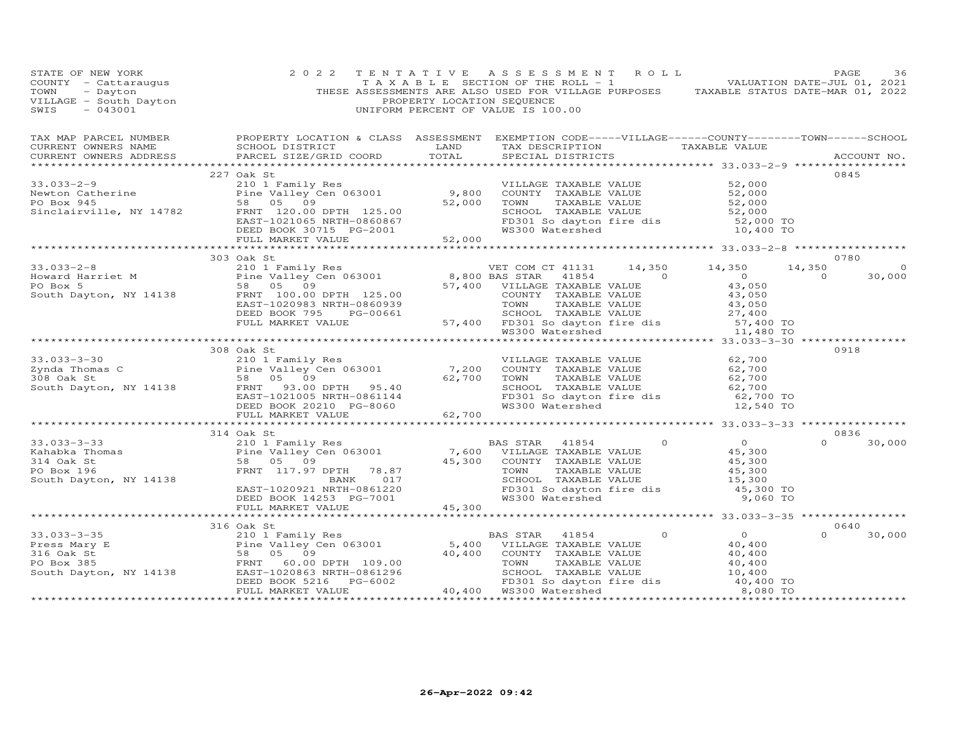| COUNTY - Cattaraugus 2022 TENTATIVE ASSESSMENT ROLL PAGE 36<br>COUNTY - Cattaraugus TAXABLE SECTION OF THE ROLL -1<br>THESE ASSESSMENTS ARE ALLO ON DATE-JUL 01, 2021<br>THESE ASSESSMENTS ARE ALLO DESCUENCE PURPOSES TAXABLE STATU                                                                                                                                                                             |            |  |  |                         |         |
|------------------------------------------------------------------------------------------------------------------------------------------------------------------------------------------------------------------------------------------------------------------------------------------------------------------------------------------------------------------------------------------------------------------|------------|--|--|-------------------------|---------|
| TAX MAP PARCEL NUMBER BROPERTY LOCATION & CLASS ASSESSMENT EXEMPTION CODE-----VILLAGE------COUNTY--------TOWN------SCHOOL CURRENT OWNERS NAME SCHOOL DISTRICT LAND TAX DESCRIPTION TAXABLE VALUE TAXABLE VALUE ACCOUNT NO.                                                                                                                                                                                       |            |  |  |                         |         |
|                                                                                                                                                                                                                                                                                                                                                                                                                  | 227 Oak St |  |  | 0845                    |         |
|                                                                                                                                                                                                                                                                                                                                                                                                                  |            |  |  |                         |         |
|                                                                                                                                                                                                                                                                                                                                                                                                                  |            |  |  |                         |         |
|                                                                                                                                                                                                                                                                                                                                                                                                                  |            |  |  |                         |         |
| 33.033-2-9<br>Newton Catherine $\begin{array}{l} 227 \text{ Oak St} \\ 210 1 \text{ Family Res} \\ \text{Newton Catherine} \\ \text{PO Box 945} \\ \text{S3.039-2-9} \\ \text{S3.039-2-9} \\ \text{No Box 945} \\ \text{S3.039-2-9} \\ \text{S3.039-2-9} \\ \text{S3.039-2-9} \\ \text{S3.039-2-9} \\ \text{S3.039-2-9} \\ \text{S3.039-2-0} \\ \text{S3.039-$                                                   |            |  |  |                         |         |
|                                                                                                                                                                                                                                                                                                                                                                                                                  |            |  |  |                         |         |
|                                                                                                                                                                                                                                                                                                                                                                                                                  |            |  |  |                         |         |
| 33.033-2-8<br>Howard Harriet M<br>PO Box 5<br>South Dayton, NY 14138<br>PO Box 5<br>South Dayton, NY 14138<br>PO Box 5<br>ERST-1020983 NRTH-0860939<br>DEED BOOK 795<br>DEED BOOK 795<br>PG-00661<br>FULL MARKET VALUE<br>FULL MARKET VALUE<br>FULL MAR                                                                                                                                                          | 303 Oak St |  |  | 0780                    |         |
|                                                                                                                                                                                                                                                                                                                                                                                                                  |            |  |  | 14,350<br>$0 \t 30,000$ | $\circ$ |
|                                                                                                                                                                                                                                                                                                                                                                                                                  |            |  |  |                         |         |
|                                                                                                                                                                                                                                                                                                                                                                                                                  |            |  |  |                         |         |
|                                                                                                                                                                                                                                                                                                                                                                                                                  |            |  |  |                         |         |
|                                                                                                                                                                                                                                                                                                                                                                                                                  |            |  |  |                         |         |
|                                                                                                                                                                                                                                                                                                                                                                                                                  |            |  |  |                         |         |
|                                                                                                                                                                                                                                                                                                                                                                                                                  |            |  |  |                         |         |
|                                                                                                                                                                                                                                                                                                                                                                                                                  |            |  |  |                         |         |
| 33.033-3-30<br>2008 OR SUM 210 1 Family Res<br>2ynda Thomas C<br>23.08 OR St<br>23.08 OR St<br>23.08 OR St<br>23.08 OR St<br>23.09 OR South Dayton, NY 14138<br>23.09 OR SUM 20100 DPTH<br>23.00 DPTH<br>25.40<br>26.700<br>26.700<br>26.700<br>26.700<br>2                                                                                                                                                      | 308 Oak St |  |  | 0918                    |         |
|                                                                                                                                                                                                                                                                                                                                                                                                                  |            |  |  |                         |         |
|                                                                                                                                                                                                                                                                                                                                                                                                                  |            |  |  |                         |         |
|                                                                                                                                                                                                                                                                                                                                                                                                                  |            |  |  |                         |         |
|                                                                                                                                                                                                                                                                                                                                                                                                                  |            |  |  |                         |         |
|                                                                                                                                                                                                                                                                                                                                                                                                                  |            |  |  |                         |         |
|                                                                                                                                                                                                                                                                                                                                                                                                                  |            |  |  |                         |         |
|                                                                                                                                                                                                                                                                                                                                                                                                                  |            |  |  |                         |         |
|                                                                                                                                                                                                                                                                                                                                                                                                                  |            |  |  | 0836<br>$0 \t 30,000$   |         |
|                                                                                                                                                                                                                                                                                                                                                                                                                  |            |  |  |                         |         |
|                                                                                                                                                                                                                                                                                                                                                                                                                  |            |  |  |                         |         |
|                                                                                                                                                                                                                                                                                                                                                                                                                  |            |  |  |                         |         |
|                                                                                                                                                                                                                                                                                                                                                                                                                  |            |  |  |                         |         |
|                                                                                                                                                                                                                                                                                                                                                                                                                  |            |  |  |                         |         |
|                                                                                                                                                                                                                                                                                                                                                                                                                  |            |  |  |                         |         |
|                                                                                                                                                                                                                                                                                                                                                                                                                  |            |  |  |                         |         |
|                                                                                                                                                                                                                                                                                                                                                                                                                  | 316 Oak St |  |  | 0640                    |         |
| $\begin{array}{cccccc} 33.033-3-35 & 316 \text{ Oak St} & 2101 \text{ Family Res} & 5,400 \text{ VILLAGE TAXABLE VALUE} & 0 & 0 \\ \text{Press Mary E} & 2101 \text{ Ten} \text{ Valley Cen 063001} & 5,400 \text{ VILLAGE TAXABLE VALUE} & 40,400 \\ 316 0ak St & 58 05 09 & 40,400 \text{ COUNTY TAXABLE VALUE} & 40,400 \\ \text{Book 385} & 58.05 09 & 40,400 \text{ CONTY TAXABLE VALUE} & 40,400 \\ \text$ |            |  |  | $\Omega$                | 30,000  |
|                                                                                                                                                                                                                                                                                                                                                                                                                  |            |  |  |                         |         |
|                                                                                                                                                                                                                                                                                                                                                                                                                  |            |  |  |                         |         |
|                                                                                                                                                                                                                                                                                                                                                                                                                  |            |  |  |                         |         |
|                                                                                                                                                                                                                                                                                                                                                                                                                  |            |  |  |                         |         |
|                                                                                                                                                                                                                                                                                                                                                                                                                  |            |  |  |                         |         |
|                                                                                                                                                                                                                                                                                                                                                                                                                  |            |  |  |                         |         |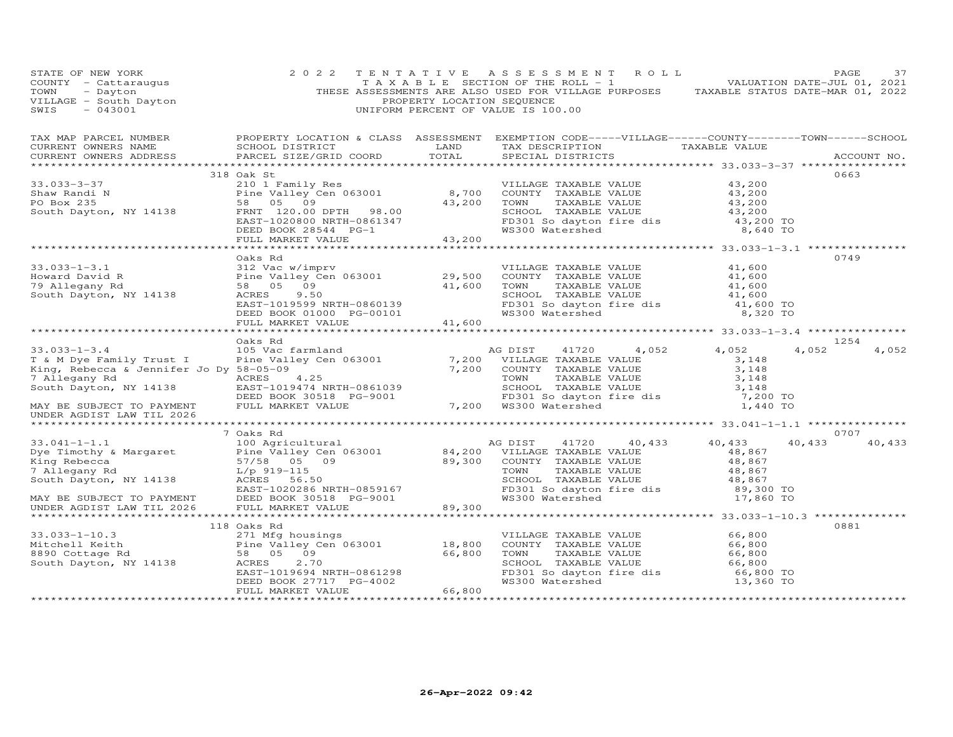| STATE OF NEW YORK<br>COUNTY - Cattaraugus<br>TOWN<br>- Dayton<br>VILLAGE - South Dayton<br>SWIS<br>$-043001$ | 2 0 2 2                                       | TENTATIVE<br>PROPERTY LOCATION SEQUENCE | A S S E S S M E N T<br>ROLL<br>T A X A B L E SECTION OF THE ROLL - 1<br>THESE ASSESSMENTS ARE ALSO USED FOR VILLAGE PURPOSES TAXABLE STATUS DATE-MAR 01, 2022<br>UNIFORM PERCENT OF VALUE IS 100.00 |                                            | PAGE<br>37<br>VALUATION DATE-JUL 01, 2021 |
|--------------------------------------------------------------------------------------------------------------|-----------------------------------------------|-----------------------------------------|-----------------------------------------------------------------------------------------------------------------------------------------------------------------------------------------------------|--------------------------------------------|-------------------------------------------|
| TAX MAP PARCEL NUMBER<br>CURRENT OWNERS NAME<br>CURRENT OWNERS ADDRESS                                       | SCHOOL DISTRICT<br>PARCEL SIZE/GRID COORD     | LAND<br>TOTAL                           | PROPERTY LOCATION & CLASS ASSESSMENT EXEMPTION CODE-----VILLAGE------COUNTY-------TOWN------SCHOOL<br>TAX DESCRIPTION<br>SPECIAL DISTRICTS                                                          | TAXABLE VALUE                              | ACCOUNT NO.                               |
|                                                                                                              |                                               |                                         |                                                                                                                                                                                                     |                                            |                                           |
|                                                                                                              | 318 Oak St                                    |                                         |                                                                                                                                                                                                     |                                            | 0663                                      |
| $33.033 - 3 - 37$                                                                                            | 210 1 Family Res                              |                                         | VILLAGE TAXABLE VALUE                                                                                                                                                                               | 43,200                                     |                                           |
| Shaw Randi N                                                                                                 | Pine Valley Cen 063001                        | 8,700                                   | COUNTY TAXABLE VALUE                                                                                                                                                                                | 43,200                                     |                                           |
| PO Box 235                                                                                                   | 58 05<br>09<br>FRNT 120.00 DPTH 98.00         | 43,200                                  | TAXABLE VALUE<br>TOWN<br>SCHOOL TAXABLE VALUE                                                                                                                                                       | 43,200<br>43,200                           |                                           |
| South Dayton, NY 14138                                                                                       | EAST-1020800 NRTH-0861347                     |                                         |                                                                                                                                                                                                     | 43,200 TO                                  |                                           |
|                                                                                                              | DEED BOOK 28544 PG-1                          |                                         | FD301 So dayton fire dis<br>WS300 Watershed                                                                                                                                                         | 8,640 TO                                   |                                           |
|                                                                                                              | FULL MARKET VALUE                             | 43,200                                  |                                                                                                                                                                                                     |                                            |                                           |
|                                                                                                              |                                               |                                         |                                                                                                                                                                                                     |                                            |                                           |
|                                                                                                              | Oaks Rd                                       |                                         |                                                                                                                                                                                                     |                                            | 0749                                      |
| $33.033 - 1 - 3.1$                                                                                           | 312 Vac w/imprv                               |                                         | VILLAGE TAXABLE VALUE                                                                                                                                                                               | 41,600                                     |                                           |
| Howard David R                                                                                               | Pine Valley Cen 063001                        | 29,500                                  | COUNTY TAXABLE VALUE                                                                                                                                                                                | 41,600                                     |                                           |
| 79 Allegany Rd                                                                                               | 58 05 09                                      | 41,600                                  | TAXABLE VALUE<br>TOWN                                                                                                                                                                               | 41,600                                     |                                           |
| South Dayton, NY 14138                                                                                       | ACRES<br>9.50                                 |                                         | SCHOOL TAXABLE VALUE                                                                                                                                                                                | 41,600                                     |                                           |
|                                                                                                              | EAST-1019599 NRTH-0860139                     |                                         | FD301 So dayton fire dis                                                                                                                                                                            | 41,600 TO                                  |                                           |
|                                                                                                              | DEED BOOK 01000 PG-00101<br>FULL MARKET VALUE | 41,600                                  | WS300 Watershed                                                                                                                                                                                     | 8,320 TO                                   |                                           |
|                                                                                                              | * * * * * * * * * * * * * * * * * * *         | ***********                             |                                                                                                                                                                                                     | ************ 33.033-1-3.4 **************** |                                           |
|                                                                                                              | Oaks Rd                                       |                                         |                                                                                                                                                                                                     |                                            | 1254                                      |
| $33.033 - 1 - 3.4$                                                                                           | 105 Vac farmland                              |                                         | 4,052<br>AG DIST<br>41720                                                                                                                                                                           | 4,052                                      | 4,052<br>4,052                            |
| T & M Dye Family Trust I                                                                                     | Pine Valley Cen 063001                        | 7,200                                   | VILLAGE TAXABLE VALUE                                                                                                                                                                               | 3,148                                      |                                           |
| King, Rebecca & Jennifer Jo Dy 58-05-09                                                                      |                                               | 7,200                                   | COUNTY TAXABLE VALUE                                                                                                                                                                                | 3,148                                      |                                           |
| 7 Allegany Rd                                                                                                | ACRES<br>4.25                                 |                                         | TOWN<br>TAXABLE VALUE                                                                                                                                                                               | 3,148                                      |                                           |
| South Dayton, NY 14138                                                                                       | EAST-1019474 NRTH-0861039                     |                                         | SCHOOL TAXABLE VALUE                                                                                                                                                                                | 3,148                                      |                                           |
|                                                                                                              | DEED BOOK 30518 PG-9001                       |                                         | FD301 So dayton fire dis<br>WS300 Watershed                                                                                                                                                         | 7,200 TO                                   |                                           |
| MAY BE SUBJECT TO PAYMENT<br>UNDER AGDIST LAW TIL 2026                                                       | FULL MARKET VALUE                             |                                         | 7,200 WS300 Watershed                                                                                                                                                                               | 1,440 TO                                   |                                           |
|                                                                                                              |                                               |                                         |                                                                                                                                                                                                     |                                            |                                           |
| $33.041 - 1 - 1.1$                                                                                           | 7 Oaks Rd<br>100 Agricultural                 |                                         | AG DIST<br>41720<br>40,433                                                                                                                                                                          | 40,433                                     | 0707<br>40,433<br>40,433                  |
| Dye Timothy & Margaret                                                                                       | Pine Valley Cen 063001                        | 84,200                                  | VILLAGE TAXABLE VALUE                                                                                                                                                                               | 48,867                                     |                                           |
| King Rebecca                                                                                                 | 57/58 05 09                                   | 89,300                                  | COUNTY TAXABLE VALUE                                                                                                                                                                                | 48,867                                     |                                           |
| 7 Allegany Rd                                                                                                | $L/p$ 919-115                                 |                                         | TAXABLE VALUE<br>TOWN                                                                                                                                                                               | 48,867                                     |                                           |
| South Dayton, NY 14138                                                                                       | ACRES 56.50                                   |                                         | SCHOOL TAXABLE VALUE                                                                                                                                                                                | 48,867                                     |                                           |
|                                                                                                              | EAST-1020286 NRTH-0859167                     |                                         | FD301 So dayton fire dis                                                                                                                                                                            | 89,300 TO                                  |                                           |
| MAY BE SUBJECT TO PAYMENT                                                                                    | DEED BOOK 30518 PG-9001                       |                                         | WS300 Watershed                                                                                                                                                                                     | 17,860 TO                                  |                                           |
| UNDER AGDIST LAW TIL 2026                                                                                    | FULL MARKET VALUE                             | 89,300                                  |                                                                                                                                                                                                     |                                            |                                           |
|                                                                                                              |                                               |                                         |                                                                                                                                                                                                     |                                            |                                           |
|                                                                                                              | 118 Oaks Rd                                   |                                         |                                                                                                                                                                                                     |                                            | 0881                                      |
| $33.033 - 1 - 10.3$                                                                                          | 271 Mfg housings                              |                                         | VILLAGE TAXABLE VALUE                                                                                                                                                                               | 66,800                                     |                                           |
| Mitchell Keith                                                                                               | Pine Valley Cen 063001                        | 18,800                                  | COUNTY TAXABLE VALUE                                                                                                                                                                                | 66,800                                     |                                           |
| 8890 Cottage Rd                                                                                              | 09<br>58 05                                   | 66,800                                  | TOWN<br>TAXABLE VALUE                                                                                                                                                                               | 66,800                                     |                                           |
| South Dayton, NY 14138                                                                                       | 2,70<br>ACRES<br>EAST-1019694 NRTH-0861298    |                                         | SCHOOL TAXABLE VALUE<br>FD301 So dayton fire dis                                                                                                                                                    | 66,800<br>66,800 TO                        |                                           |
|                                                                                                              | DEED BOOK 27717 PG-4002                       |                                         | WS300 Watershed                                                                                                                                                                                     | 13,360 TO                                  |                                           |
|                                                                                                              | FULL MARKET VALUE                             | 66,800                                  |                                                                                                                                                                                                     |                                            |                                           |
|                                                                                                              |                                               |                                         |                                                                                                                                                                                                     |                                            |                                           |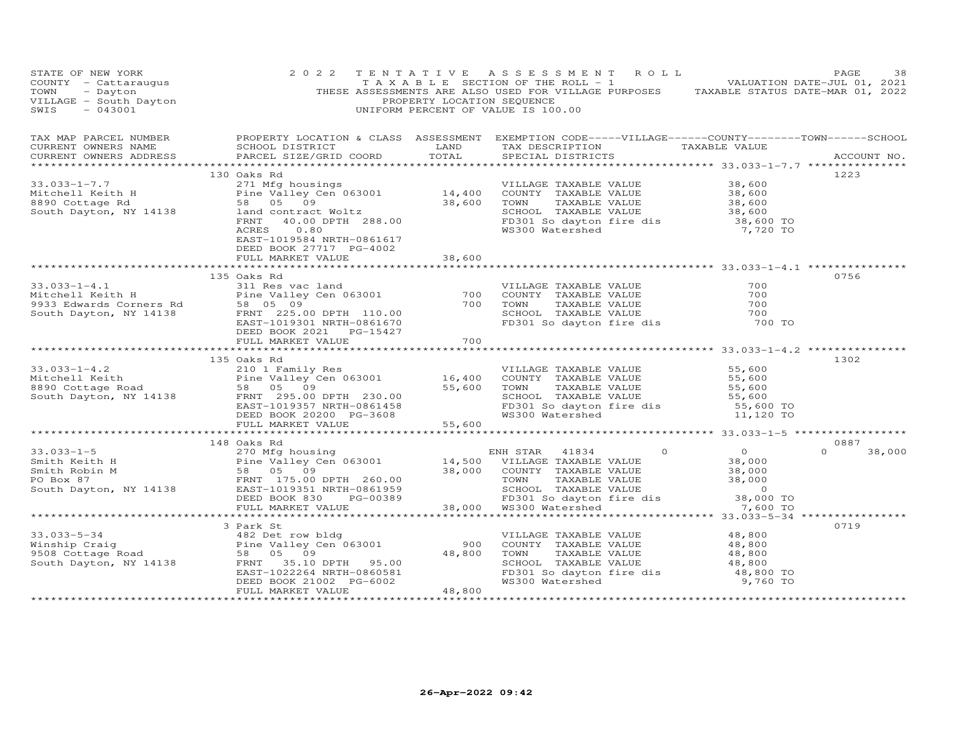| STATE OF NEW YORK<br>STATE OF NEW YORK and the MGE of the MCCONTY - Catter of MCCONTY - Catter of MCCONTY - Catter of MCCONTY - Catter of MCCONTY - Catter of MCCONTY - Catter of MCCONTY - Catter of MCCONTY - Catter of MCCONTY - Catter of MCCON | 2 0 2 2                                      |        | TENTATIVE ASSESSMENT ROLL                                                                                                                  | PAGE<br>38                 |
|-----------------------------------------------------------------------------------------------------------------------------------------------------------------------------------------------------------------------------------------------------|----------------------------------------------|--------|--------------------------------------------------------------------------------------------------------------------------------------------|----------------------------|
| CURRENT OWNERS ADDRESS                                                                                                                                                                                                                              | PARCEL SIZE/GRID COORD TOTAL                 |        | SPECIAL DISTRICTS                                                                                                                          | ACCOUNT NO.                |
|                                                                                                                                                                                                                                                     | 130 Oaks Rd                                  |        |                                                                                                                                            | 1223                       |
| 130 Oaks Rd<br>271 Mfg housings<br>271 Mfg housings<br>271 Mfg housings<br>271 Mfg housings<br>271 Mfg housings<br>28.00 14,400 COUNTY TAXABLE VALUE<br>28.00 TOWN TAXABLE VALUE<br>28.00 TOWN TAXABLE VALUE<br>28.600 TOWN TAXABLE VALUE<br>28.60  | EAST-1019584 NRTH-0861617                    |        |                                                                                                                                            |                            |
|                                                                                                                                                                                                                                                     | DEED BOOK 27717 PG-4002<br>FULL MARKET VALUE | 38,600 |                                                                                                                                            |                            |
|                                                                                                                                                                                                                                                     | 135 Oaks Rd                                  |        |                                                                                                                                            | 0756                       |
|                                                                                                                                                                                                                                                     |                                              |        | VILLAGE TAXABLE VALUE<br>COUNTY TAXABLE VALUE 700<br>TOWN TAXABLE VALUE 700<br>SCHOOL TAXABLE VALUE 700<br>FD301 So dayton fire dis 700 TO |                            |
|                                                                                                                                                                                                                                                     |                                              |        |                                                                                                                                            |                            |
|                                                                                                                                                                                                                                                     | 135 Oaks Rd                                  |        |                                                                                                                                            | 1302                       |
| 135 Oaks Rd 210 1 Family Res 210 1 Family Res 210 1 Family Res 210 1 Family Res 210 1 Family Res 210 1 Family Res 210 1 Family Res 210 1 Family Res 210 1 Family Res 210 1 Family Res 210 1 Family Res 210 1 Family Res 210 1                       | FULL MARKET VALUE 55,600                     |        |                                                                                                                                            |                            |
|                                                                                                                                                                                                                                                     |                                              |        |                                                                                                                                            |                            |
|                                                                                                                                                                                                                                                     |                                              |        |                                                                                                                                            | 0887<br>$\Omega$<br>38,000 |
|                                                                                                                                                                                                                                                     |                                              |        |                                                                                                                                            |                            |
|                                                                                                                                                                                                                                                     |                                              |        |                                                                                                                                            |                            |
| 33.033-5-34<br>Winship Craig and the Valley Cen 063001<br>900 COUNTY TAXABLE VALUE 48,800<br>900 COUNTY TAXABLE VALUE 48,800<br>900 COUNTY TAXABLE VALUE 48,800<br>900 COUNTY TAXABLE VALUE 48,800<br>900 COUNTY TAXABLE VALUE 48,800<br>90         | 3 Park St                                    |        |                                                                                                                                            | 0719                       |
|                                                                                                                                                                                                                                                     |                                              |        |                                                                                                                                            |                            |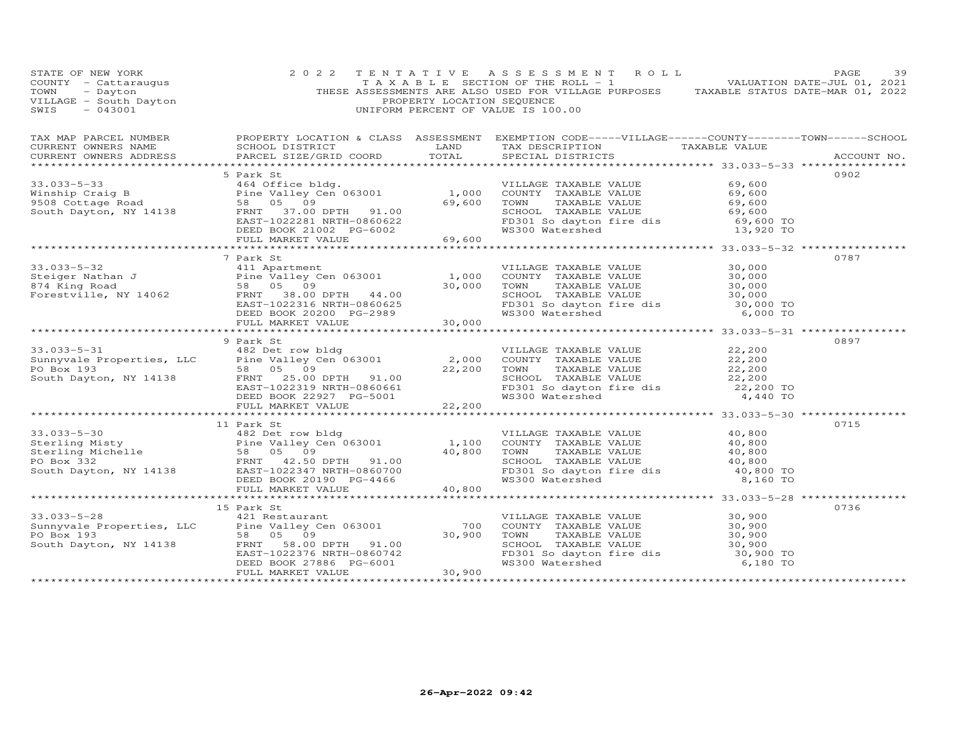| STATE OF NEW YORK<br>COUNTY - Cattaraugus<br>TOWN - Dayton<br>VILLAGE - South Dayton<br>---AGE - 043001 | 2 0 2 2                                                                                                                                                                                                                                                                                                                                                                                | PROPERTY LOCATION SEQUENCE | TENTATIVE ASSESSMENT ROLL<br>TAXABLE SECTION OF THE ROLL - 1 VALUATION DATE-JUL 01, 2021<br>THESE ASSESSMENTS ARE ALSO USED FOR VILLAGE PURPOSES TAXABLE STATUS DATE-MAR 01, 2022<br>UNIFORM PERCENT OF VALUE IS 100.00 |                                           | PAGE<br>39  |
|---------------------------------------------------------------------------------------------------------|----------------------------------------------------------------------------------------------------------------------------------------------------------------------------------------------------------------------------------------------------------------------------------------------------------------------------------------------------------------------------------------|----------------------------|-------------------------------------------------------------------------------------------------------------------------------------------------------------------------------------------------------------------------|-------------------------------------------|-------------|
| CURRENT OWNERS NAME<br>CURRENT OWNERS ADDRESS                                                           | TAX MAP PARCEL NUMBER FROPERTY LOCATION & CLASS ASSESSMENT EXEMPTION CODE-----VILLAGE------COUNTY--------TOWN------SCHOOL<br>PARCEL SIZE/GRID COORD TOTAL                                                                                                                                                                                                                              |                            | SCHOOL DISTRICT                      LAND        TAX DESCRIPTION                 TAXABLE VALUE<br>SPECIAL DISTRICTS                                                                                                     |                                           | ACCOUNT NO. |
|                                                                                                         | 5 Park St                                                                                                                                                                                                                                                                                                                                                                              |                            |                                                                                                                                                                                                                         |                                           | 0902        |
|                                                                                                         | 33.033-5-33<br>Winship Craig B<br>Winship Craig B<br>$\begin{matrix}\n\text{95.08 }\text{Cottage Road} \\ \text{15.000 }\text{COUNTY} \\ \text{164 0ffice bldg.} \\ \text{17.000 }\text{COUNTY} \\ \text{18.000 }\text{COUNTY} \\ \text{29.600 }\text{TOWN} \\ \text{20.1002 }\text{RIN} \\ \text{19.000 }\text{COUNTY} \\ \text{20.1002 }\text{SCHOOL} \\ \text{10.00 }\text{COUNTY}$ |                            | SCHOOL TAXABLE VALUE<br>FD301 So dayton fire dis<br>WS300 Watershed 13,920 TO                                                                                                                                           | 69,600<br>69,600<br>69,600                |             |
|                                                                                                         |                                                                                                                                                                                                                                                                                                                                                                                        |                            |                                                                                                                                                                                                                         |                                           |             |
|                                                                                                         |                                                                                                                                                                                                                                                                                                                                                                                        |                            |                                                                                                                                                                                                                         |                                           |             |
|                                                                                                         |                                                                                                                                                                                                                                                                                                                                                                                        |                            | VILLAGE TAXABLE VALUE $30,000$<br>COUNTY TAXABLE VALUE $30,000$<br>TOWN TAXABLE VALUE $30,000$<br>TOWN<br>CHOOL TAXABLE VALUE<br>SCHOOL TAXABLE VALUE<br>FD301 So dayton fire dis<br>WS300 Watershed 6,000 TO           |                                           | 0787        |
|                                                                                                         |                                                                                                                                                                                                                                                                                                                                                                                        |                            |                                                                                                                                                                                                                         |                                           |             |
|                                                                                                         | 9 Park St                                                                                                                                                                                                                                                                                                                                                                              |                            |                                                                                                                                                                                                                         |                                           | 0897        |
|                                                                                                         | 33.033-5-31<br>Sunnyvale Properties, LLC<br>PO Box 193<br>South Dayton, NY 14138<br>ERRIT 22,200<br>ERRIT 25.00 DPTH 91.00<br>ERRIT 25.00 DPTH 91.00<br>ERRIT 25.00 DPTH 91.00<br>ERRIT 22,200<br>DEED BOOK 22927 PG-5001<br>TAXABLE VALUE<br>PO Bo                                                                                                                                    |                            |                                                                                                                                                                                                                         |                                           |             |
|                                                                                                         |                                                                                                                                                                                                                                                                                                                                                                                        |                            |                                                                                                                                                                                                                         |                                           |             |
|                                                                                                         |                                                                                                                                                                                                                                                                                                                                                                                        |                            |                                                                                                                                                                                                                         |                                           | 0715        |
|                                                                                                         |                                                                                                                                                                                                                                                                                                                                                                                        |                            | VILLAGE TAXABLE VALUE 40,800<br>COUNTY TAXABLE VALUE 40,800<br>FD301 So dayton fire dis<br>WS300 Watershed                                                                                                              | 8,160 TO                                  |             |
|                                                                                                         |                                                                                                                                                                                                                                                                                                                                                                                        |                            |                                                                                                                                                                                                                         |                                           |             |
|                                                                                                         |                                                                                                                                                                                                                                                                                                                                                                                        |                            |                                                                                                                                                                                                                         |                                           |             |
|                                                                                                         |                                                                                                                                                                                                                                                                                                                                                                                        |                            |                                                                                                                                                                                                                         |                                           | 0736        |
|                                                                                                         |                                                                                                                                                                                                                                                                                                                                                                                        |                            | TOWN TAXABLE VALUE                                                                                                                                                                                                      | 30,900                                    |             |
|                                                                                                         |                                                                                                                                                                                                                                                                                                                                                                                        |                            | SCHOOL TAXABLE VALUE<br>FD301 So dayton fire dis<br>WS300 Watershed                                                                                                                                                     | 30,900<br>30,900<br>30,900 TO<br>6,180 TO |             |
|                                                                                                         |                                                                                                                                                                                                                                                                                                                                                                                        |                            |                                                                                                                                                                                                                         |                                           |             |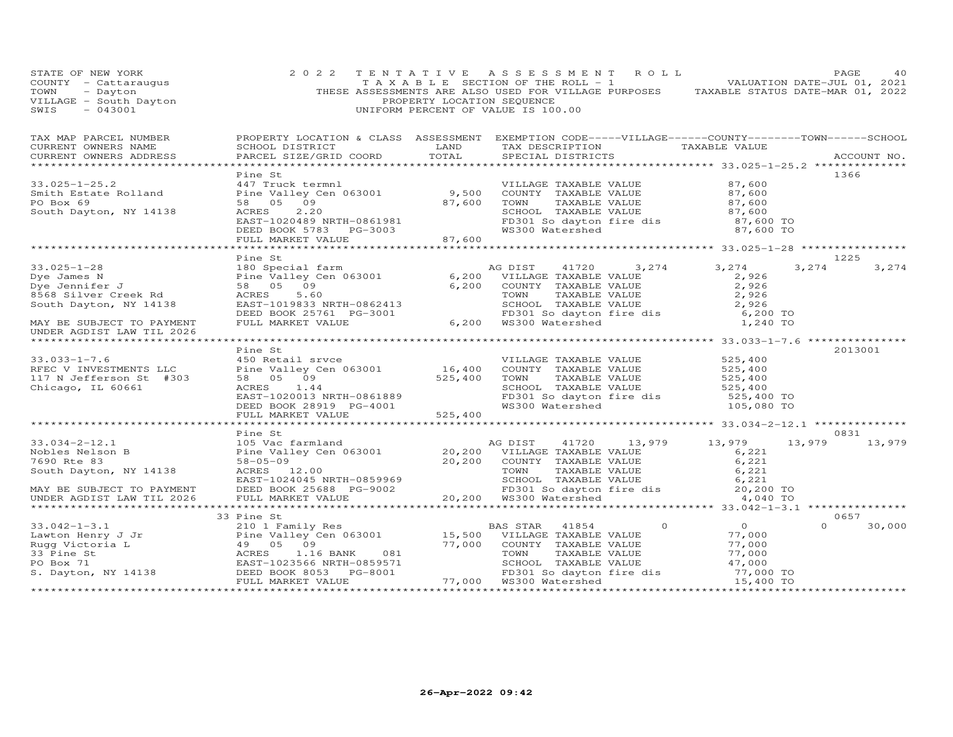| STATE OF NEW YORK<br>COUNTY - Cattaraugus<br>TOWN - Dayton<br>VILLAGE - South Dayton<br>SWIS - 043001                                                                                                                                                                                                                                                                                                                    | 2 0 2 2                                                                                                              | PROPERTY LOCATION SEQUENCE | TENTATIVE ASSESSMENT ROLL<br>UNIFORM PERCENT OF VALUE IS 100.00                  | TAXABLE SECTION OF THE ROLL - 1 VALUATION DATE-JUL 01, 2021<br>THESE ASSESSMENTS ARE ALSO USED FOR VILLAGE PURPOSES TAXABLE STATUS DATE-MAR 01, 2022 |          | PAGE<br>40     |
|--------------------------------------------------------------------------------------------------------------------------------------------------------------------------------------------------------------------------------------------------------------------------------------------------------------------------------------------------------------------------------------------------------------------------|----------------------------------------------------------------------------------------------------------------------|----------------------------|----------------------------------------------------------------------------------|------------------------------------------------------------------------------------------------------------------------------------------------------|----------|----------------|
| TAX MAP PARCEL NUMBER PROPERTY LOCATION & CLASS ASSESSMENT EXEMPTION CODE-----VILLAGE------COUNTY-------TOWN------SCHOOL<br>CURRENT OWNERS NAME<br>CURRENT OWNERS ADDRESS                                                                                                                                                                                                                                                | SCHOOL DISTRICT LAND<br>PARCEL SIZE/GRID COORD                                                                       | TOTAL                      | SPECIAL DISTRICTS                                                                | TAX DESCRIPTION TAXABLE VALUE                                                                                                                        |          | ACCOUNT NO.    |
|                                                                                                                                                                                                                                                                                                                                                                                                                          |                                                                                                                      |                            |                                                                                  |                                                                                                                                                      |          |                |
| $33.025 - 1 - 25.2$<br>33.025-1-25.2<br>Smith Estate Rolland<br>PO Box 69<br>South Dayton, NY 14138<br>EAST-1020489 NRTH-0861981<br>EAST-1020489 NRTH-0861981<br>EED BOOK 5783<br>PG-3003<br>BEED BOOK 5783<br>BCHOOL TAXABLE VALUE<br>FD301 So dayton fire dis<br>FD301 S                                                                                                                                               | Pine St<br>447 Truck termnl                                                                                          |                            | VILLAGE TAXABLE VALUE                                                            | 87,600                                                                                                                                               |          | 1366           |
|                                                                                                                                                                                                                                                                                                                                                                                                                          |                                                                                                                      |                            |                                                                                  |                                                                                                                                                      |          |                |
| $33.025 - 1 - 28$<br>33.025-1-28<br>Dye James N Pine Valley C<br>Dye Jennifer J 58 05 09<br>The Transformate Rd ACRES 5.60<br>South Dayton, NY 14138                                                                                                                                                                                                                                                                     | Pine St<br>180 Special farm<br>Pine Valley Cen 063001<br>58 05 09<br>ACRES 5.60<br>5.60<br>EAST-1019833 NRTH-0862413 |                            | AG DIST 41720 3,274<br>6,200 VILLAGE TAXABLE VALUE<br>6,200 COUNTY TAXABLE VALUE | 3,274<br>2,926<br>$2,926$<br>$2,926$<br>$2,926$                                                                                                      | 3,274    | 1225<br>3,274  |
| MAY BE SUBJECT TO PAYMENT<br>UNDER AGDIST LAW TIL 2026                                                                                                                                                                                                                                                                                                                                                                   | DEED BOOK 25761 PG-3001<br>FULL MARKET VALUE                                                                         |                            | 6,200 WS300 Watershed                                                            | COUNT TAXABLE VALUE<br>TOWN TAXABLE VALUE 2,926<br>SCHOOL TAXABLE VALUE 2,926<br>FD301 So dayton fire dis 6,200 TO<br>WS300 Watershed 1,240 TO       |          |                |
| ******************************                                                                                                                                                                                                                                                                                                                                                                                           | Pine St                                                                                                              |                            |                                                                                  |                                                                                                                                                      |          | 2013001        |
| $33.033 - 1 - 7.6$<br>$33.033-1-7.0$<br>RFEC V INVESTMENTS LLC<br>$55.033-16+14303$<br>117 N Jefferson St #303<br>Chicago, IL 60661                                                                                                                                                                                                                                                                                      | 450 Retail srvce                                                                                                     |                            | VILLAGE TAXABLE VALUE                                                            | 525,400<br>525,400<br>525,400<br>SCHOOL TAXABLE VALUE 525,400<br>FD301 So dayton fire dis 525,400 TO<br>WS300 Watershed 105,080 TO                   |          |                |
|                                                                                                                                                                                                                                                                                                                                                                                                                          |                                                                                                                      |                            |                                                                                  |                                                                                                                                                      |          |                |
| 33.034-2-12.1<br>Mobles Nelson B<br>Mobles Nelson B<br>T690 Rte 83<br>Sa-05-09<br>South Dayton, NY 14138<br>ERST-1024045 NRTH-0859969<br>MAY BE SUBJECT TO PAYMENT<br>DEED BOOK 25688 PG-9002<br>TOWN TAXABLE VALUE<br>CROOL TAXABLE VALUE<br>SCHOOL                                                                                                                                                                     | Pine St                                                                                                              |                            |                                                                                  |                                                                                                                                                      | 13,979   | 0831<br>13,979 |
|                                                                                                                                                                                                                                                                                                                                                                                                                          |                                                                                                                      |                            |                                                                                  |                                                                                                                                                      |          |                |
|                                                                                                                                                                                                                                                                                                                                                                                                                          | 33 Pine St                                                                                                           |                            |                                                                                  |                                                                                                                                                      | $\Omega$ | 0657           |
| $\begin{tabular}{lllllllllllllllllllllll} \text{33.042--1-3.1} & \text{33 Pine St} & \text{BAS STAR} & \text{41854} & 0 & 0 \\ \text{Lawton Henry J J r} & \text{210 I family Res} & \text{Pine Valley Cen 063001} & \text{15,500 VILLAGE TAXABLE VALUE} & 77,000 \\ \text{Rugg Victoria L} & \text{49 05 09} & \text{215,500 VILLAGE TAXABLE VALUE} & 77,000 \\ \text{33 Pine St} & \text{240 T2,000} & \text{25,500 V$ |                                                                                                                      |                            |                                                                                  | $\frac{0}{77}$                                                                                                                                       |          | 30,000         |
|                                                                                                                                                                                                                                                                                                                                                                                                                          |                                                                                                                      |                            |                                                                                  |                                                                                                                                                      |          |                |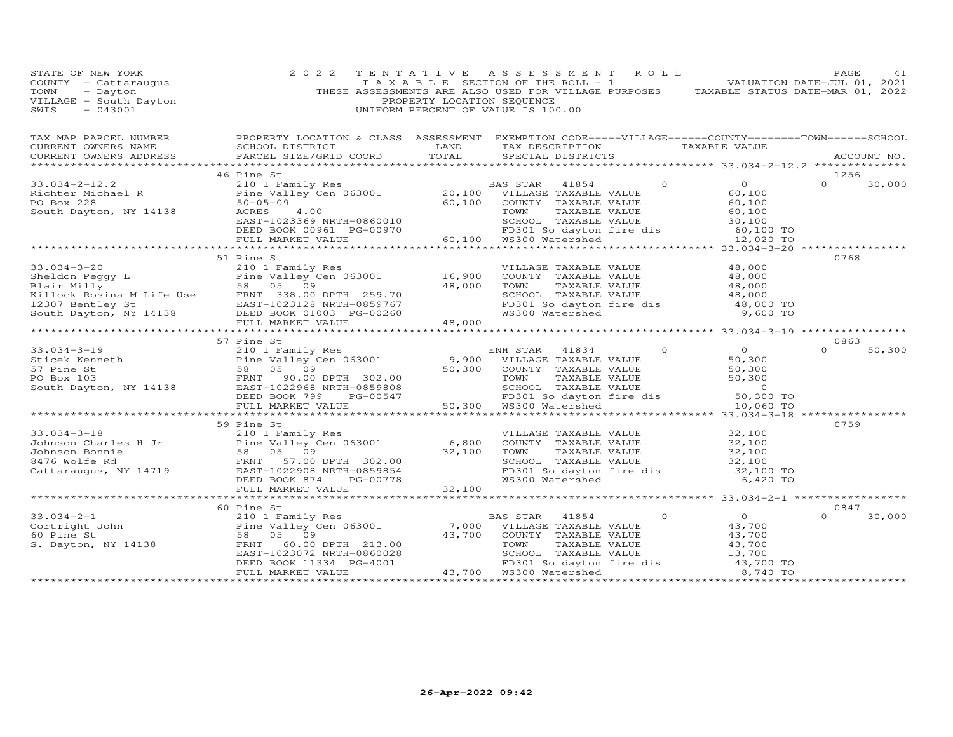| STATE OF NEW YORK<br>SIARE OF NEW YORK<br>COUNTY - Cattaraugus<br>TOWN - Dayton<br>VILLAGE - South Dayton<br>SWIS - 043001 | 2 0 2 2                                                                                                                                                                                                                                                                                                                                                                                           | TENTATIVE ASSESSMENT ROLL<br>TAXABLE SECTION OF THE ROLL - 1 NOTIFICAL MALUATION DATE-JUL 01, 2021<br>THESE ASSESSMENTS ARE ALSO USED FOR VILLAGE PURPOSES TAXABLE STATUS DATE-MAR 01, 2022<br>PROPERTY LOCATION SEQUENCE<br>UNIFORM PERCENT OF VALUE IS 100.00 | PAGE<br>41                 |
|----------------------------------------------------------------------------------------------------------------------------|---------------------------------------------------------------------------------------------------------------------------------------------------------------------------------------------------------------------------------------------------------------------------------------------------------------------------------------------------------------------------------------------------|-----------------------------------------------------------------------------------------------------------------------------------------------------------------------------------------------------------------------------------------------------------------|----------------------------|
| CURRENT OWNERS NAME                                                                                                        | TAX MAP PARCEL NUMBER FROPERTY LOCATION & CLASS ASSESSMENT EXEMPTION CODE-----VILLAGE------COUNTY--------TOWN------SCHOOL                                                                                                                                                                                                                                                                         |                                                                                                                                                                                                                                                                 |                            |
| CURRENT OWNERS ADDRESS                                                                                                     |                                                                                                                                                                                                                                                                                                                                                                                                   |                                                                                                                                                                                                                                                                 | ACCOUNT NO.                |
|                                                                                                                            | 46 Pine St                                                                                                                                                                                                                                                                                                                                                                                        |                                                                                                                                                                                                                                                                 | 1256                       |
|                                                                                                                            |                                                                                                                                                                                                                                                                                                                                                                                                   |                                                                                                                                                                                                                                                                 |                            |
|                                                                                                                            |                                                                                                                                                                                                                                                                                                                                                                                                   |                                                                                                                                                                                                                                                                 |                            |
|                                                                                                                            |                                                                                                                                                                                                                                                                                                                                                                                                   |                                                                                                                                                                                                                                                                 |                            |
|                                                                                                                            | 51 Pine St<br>33.034-3-20<br>Similar Milly Res<br>Sheldon Peggy Lair Milly Res<br>Blair Milly S8 05 09<br>Elime Valley Cen 063001<br>Blair Milly 58 05 09<br>FRNT 338.00 DPTH 259.70<br>TAXABLE VALUE 48,000<br>48,000<br>TOWN TAXABLE VALUE 48,000<br>TAXABLE                                                                                                                                    |                                                                                                                                                                                                                                                                 | 0768                       |
|                                                                                                                            |                                                                                                                                                                                                                                                                                                                                                                                                   |                                                                                                                                                                                                                                                                 |                            |
|                                                                                                                            |                                                                                                                                                                                                                                                                                                                                                                                                   |                                                                                                                                                                                                                                                                 |                            |
|                                                                                                                            | 57 Pine St                                                                                                                                                                                                                                                                                                                                                                                        |                                                                                                                                                                                                                                                                 | 0863                       |
|                                                                                                                            | 33.034-3-19<br>Sicek Kenneth 210 1 Family Res ENH STAR 41834 0<br>Sticek Kenneth Pine Valley Cen 063001<br>Space County TAXABLE VALUE 50,300<br>Sox 103 FRNT 90.00 DPTH 302.00 TOWNT TAXABLE VALUE 50,300<br>South Dayton, NY 14138 EAS                                                                                                                                                           |                                                                                                                                                                                                                                                                 | $\Omega$<br>50,300         |
|                                                                                                                            |                                                                                                                                                                                                                                                                                                                                                                                                   |                                                                                                                                                                                                                                                                 |                            |
|                                                                                                                            | 33.034-3-18<br>33.034-3-18<br>33.034-3-18<br>34.00 Counter FaxABLE VALUE<br>Johnson Charles H Jr Pine Value (10203001 6,800 COUNTY TAXABLE VALUE<br>Johnson Bonnie (102908 NRTH-08598565 09 32,100 TOWN TAXABLE VALUE 32,100<br>6476 Wolfe                                                                                                                                                        |                                                                                                                                                                                                                                                                 | 0759                       |
|                                                                                                                            |                                                                                                                                                                                                                                                                                                                                                                                                   |                                                                                                                                                                                                                                                                 |                            |
|                                                                                                                            |                                                                                                                                                                                                                                                                                                                                                                                                   |                                                                                                                                                                                                                                                                 |                            |
|                                                                                                                            | 60 Pine St<br>$\begin{array}{cccccc} 33.034-2-1 & 60 & \text{Pine St} & 0 & 0 \\ & & 210 & 1 & \text{Family Res} & 0 & 0 \\ & & 210 & 1 & \text{Family Res} & 0 & 0 \\ & & 58 & 05 & 09 & 43,700 & \text{COUNTY TAXABLE VALUE} & 43,700 \\ & & 58 & 05 & 09 & 43,700 & \text{COMTY TAXABLE VALUE} & 43,700 \\ S. Dayton, NY 14138 & & FRNT = 60.00 DPTH & 213.00 & & 58000 & \text{XXABLE VALUE}$ |                                                                                                                                                                                                                                                                 | 0847<br>$\Omega$<br>30,000 |
|                                                                                                                            |                                                                                                                                                                                                                                                                                                                                                                                                   |                                                                                                                                                                                                                                                                 |                            |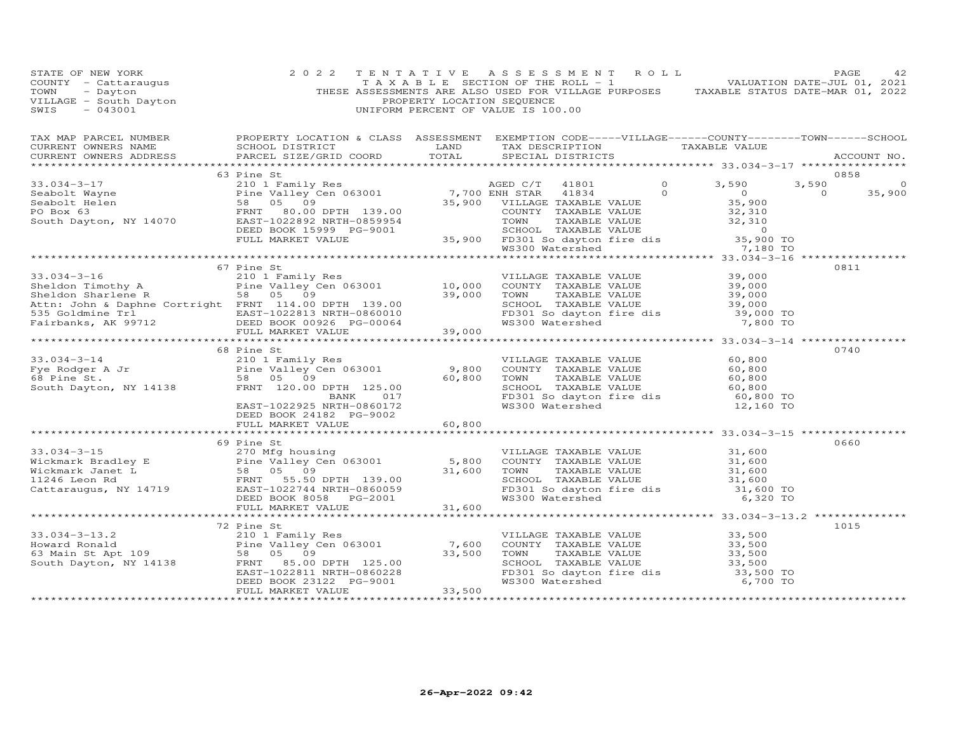| COUNTY - Cattaraugus 2022 TENTATIVE ASSESSMENT ROLL PAGE 42<br>COUNTY - Cattaraugus TAXABLE SECTION OF THE ROLL -1<br>TOWN - Dayton - Dayton THESE ASSESSMENTS ARE ALSO USED FOR VILLAGE PURPOSES TAXABLE STATUS DATE-MAR 01, 2022                                                                                                                                                                                                                                           |                          |  |  |                |                          |
|------------------------------------------------------------------------------------------------------------------------------------------------------------------------------------------------------------------------------------------------------------------------------------------------------------------------------------------------------------------------------------------------------------------------------------------------------------------------------|--------------------------|--|--|----------------|--------------------------|
| $\begin{tabular}{lllllllllllllll} \textsc{rank} & & & & & & & \textsc{PROPERTY LOCATION & & & & \textsc{CLASS} & & & & \textsc{SSESSMENT} & & & \textsc{EXEMPITION} & & & & \textsc{CODE-----VILLLAGE------COUNTY-------TOWN------SCHOOL} \\ & & & & & & & & & \textsc{CURRENT} & & & & \textsc{rankID} & & & \textsc{TAXABLE VALUE} & & & \\ & & & & & & & & & \textsc{CURRENT} & & & \textsc{NADE} & & & \textsc{NOCOUNT NO} & & \\ & & & & & & & & \textsc{CORD} & & & \$ |                          |  |  |                |                          |
|                                                                                                                                                                                                                                                                                                                                                                                                                                                                              |                          |  |  |                |                          |
| 33.034-3-17<br>Seabolt Wayne<br>Seabolt Mayne<br>Seabolt Helen<br>Seabolt Helen 58 05 09<br>South Dayton, NY 14070 EXED BOOK 15999 PG-9001 35,900 FD301 South Dayton, NY 14070 EXED BOOK 15999 PG-9001<br>FULL MARKET VALUE 35,900 FD                                                                                                                                                                                                                                        | 63 Pine St               |  |  |                | 0858<br>3,590<br>$\circ$ |
|                                                                                                                                                                                                                                                                                                                                                                                                                                                                              |                          |  |  | $\overline{0}$ | 35,900                   |
|                                                                                                                                                                                                                                                                                                                                                                                                                                                                              |                          |  |  |                |                          |
|                                                                                                                                                                                                                                                                                                                                                                                                                                                                              |                          |  |  |                |                          |
|                                                                                                                                                                                                                                                                                                                                                                                                                                                                              |                          |  |  |                |                          |
|                                                                                                                                                                                                                                                                                                                                                                                                                                                                              |                          |  |  |                |                          |
|                                                                                                                                                                                                                                                                                                                                                                                                                                                                              |                          |  |  |                |                          |
|                                                                                                                                                                                                                                                                                                                                                                                                                                                                              |                          |  |  |                |                          |
|                                                                                                                                                                                                                                                                                                                                                                                                                                                                              | 67 Pine St               |  |  |                | 0811                     |
|                                                                                                                                                                                                                                                                                                                                                                                                                                                                              |                          |  |  |                |                          |
|                                                                                                                                                                                                                                                                                                                                                                                                                                                                              |                          |  |  |                |                          |
|                                                                                                                                                                                                                                                                                                                                                                                                                                                                              |                          |  |  |                |                          |
|                                                                                                                                                                                                                                                                                                                                                                                                                                                                              |                          |  |  |                |                          |
|                                                                                                                                                                                                                                                                                                                                                                                                                                                                              |                          |  |  |                |                          |
|                                                                                                                                                                                                                                                                                                                                                                                                                                                                              |                          |  |  |                |                          |
| 33.034-3-16<br>Sheldon Timothy A 210 I Family Res WILLAGE TAXABLE VALUE 39,000<br>Sheldon Sharlene R 58 05 09<br>Sheldon Sharlene R 58 05 09<br>Sheldon Sharlene R 58 05 09<br>Starbool Town TAXABLE VALUE 39,000<br>SS Goldmine Trl ERN                                                                                                                                                                                                                                     |                          |  |  |                |                          |
|                                                                                                                                                                                                                                                                                                                                                                                                                                                                              |                          |  |  |                |                          |
|                                                                                                                                                                                                                                                                                                                                                                                                                                                                              | 68 Pine St               |  |  |                | 0740                     |
| 33.034-3-14<br>Fye Rodger A Jr<br>Free Rodger A Jr<br>Free St.<br>Sender A Jr<br>Sender A Jr<br>Sender St.<br>Sender St.<br>Sender 120.00 DPTH 125.00<br>EAST-1022925 NRTH-086017<br>EAST-1022925 NRTH-086017<br>EAST-1022925 NRTH-086017<br>EAST-1022                                                                                                                                                                                                                       |                          |  |  |                |                          |
|                                                                                                                                                                                                                                                                                                                                                                                                                                                                              |                          |  |  |                |                          |
|                                                                                                                                                                                                                                                                                                                                                                                                                                                                              |                          |  |  |                |                          |
|                                                                                                                                                                                                                                                                                                                                                                                                                                                                              |                          |  |  |                |                          |
|                                                                                                                                                                                                                                                                                                                                                                                                                                                                              |                          |  |  |                |                          |
|                                                                                                                                                                                                                                                                                                                                                                                                                                                                              | DEED BOOK 24182 PG-9002  |  |  |                |                          |
|                                                                                                                                                                                                                                                                                                                                                                                                                                                                              | FULL MARKET VALUE 60,800 |  |  |                |                          |
|                                                                                                                                                                                                                                                                                                                                                                                                                                                                              |                          |  |  |                |                          |
|                                                                                                                                                                                                                                                                                                                                                                                                                                                                              | 69 Pine St               |  |  |                | 0660                     |
|                                                                                                                                                                                                                                                                                                                                                                                                                                                                              |                          |  |  |                |                          |
|                                                                                                                                                                                                                                                                                                                                                                                                                                                                              |                          |  |  |                |                          |
|                                                                                                                                                                                                                                                                                                                                                                                                                                                                              |                          |  |  |                |                          |
|                                                                                                                                                                                                                                                                                                                                                                                                                                                                              |                          |  |  |                |                          |
|                                                                                                                                                                                                                                                                                                                                                                                                                                                                              |                          |  |  |                |                          |
|                                                                                                                                                                                                                                                                                                                                                                                                                                                                              |                          |  |  |                |                          |
| 33.034-3-15<br>Wickmark Bradley E<br>Wickmark Janet L<br>Wickmark Janet L<br>Sa 05 09<br>The Valley Cen 063001<br>The Valley Cen 063001<br>Sa 05 09<br>31,600<br>31,600<br>31,600<br>TOWN TAXABLE VALUE<br>Sa 05 09<br>31,600<br>TOWN TAXABLE VALUE<br>SA 0                                                                                                                                                                                                                  |                          |  |  |                |                          |
|                                                                                                                                                                                                                                                                                                                                                                                                                                                                              | 72 Pine St               |  |  |                | 1015                     |
|                                                                                                                                                                                                                                                                                                                                                                                                                                                                              |                          |  |  |                |                          |
|                                                                                                                                                                                                                                                                                                                                                                                                                                                                              |                          |  |  |                |                          |
|                                                                                                                                                                                                                                                                                                                                                                                                                                                                              |                          |  |  |                |                          |
|                                                                                                                                                                                                                                                                                                                                                                                                                                                                              |                          |  |  |                |                          |
|                                                                                                                                                                                                                                                                                                                                                                                                                                                                              |                          |  |  |                |                          |
|                                                                                                                                                                                                                                                                                                                                                                                                                                                                              |                          |  |  |                |                          |
| 33.034-3-13.2<br>Howard Ronald<br>Family Res<br>Howard Ronald<br>210 1 Family Res<br>Pine Valley Cen 063001<br>23.500<br>23.500<br>23.500<br>23.500<br>23.500<br>23.500<br>23.500<br>23.500<br>23.500<br>23.500<br>23.500<br>23.500<br>23.500<br>23.500<br>23.500<br>23                                                                                                                                                                                                      |                          |  |  |                |                          |
|                                                                                                                                                                                                                                                                                                                                                                                                                                                                              |                          |  |  |                |                          |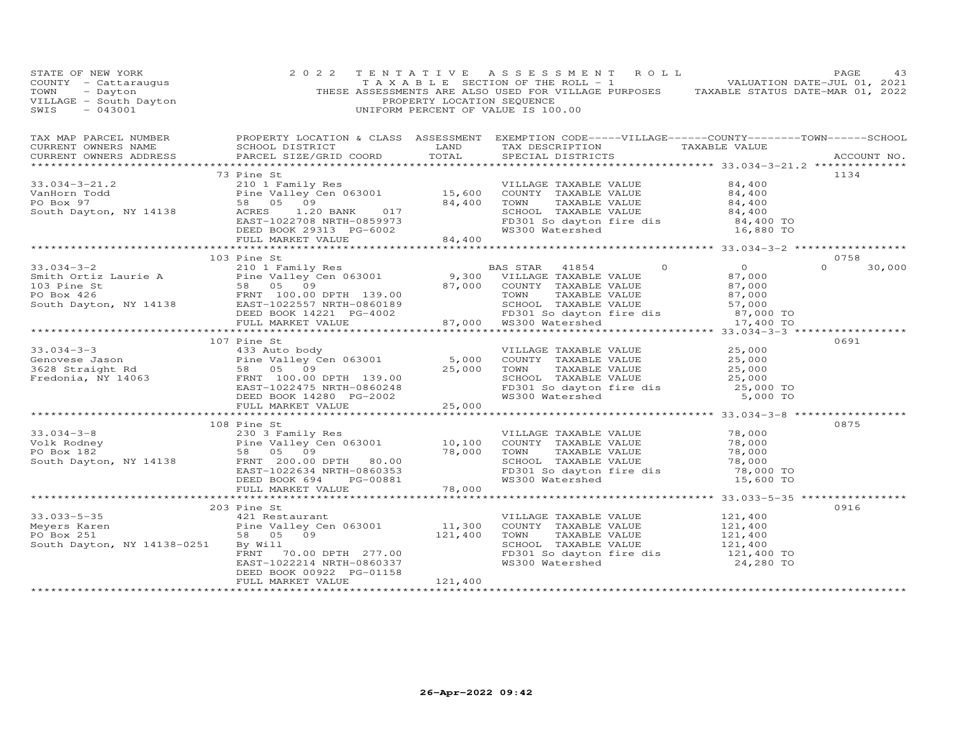| STATE OF NEW YORK                                                                                                                                                                                                                                       | 2 0 2 2                  |                        | TENTATIVE ASSESSMENT ROLL                                                                                                           |                                                                                                | PAGE             | 43     |
|---------------------------------------------------------------------------------------------------------------------------------------------------------------------------------------------------------------------------------------------------------|--------------------------|------------------------|-------------------------------------------------------------------------------------------------------------------------------------|------------------------------------------------------------------------------------------------|------------------|--------|
| TAX MAP PARCEL NUMBER BROPERTY LOCATION & CLASS ASSESSMENT EXEMPTION CODE-----VILLAGE------COUNTY--------TOWN------SCHOOL CURRENT OWNERS NAME SCHOOL DISTRICT LAND TAX DESCRIPTION TAXABLE VALUE<br>CURRENT OWNERS ADDRESS                              |                          |                        |                                                                                                                                     |                                                                                                | ACCOUNT NO.      |        |
|                                                                                                                                                                                                                                                         | 73 Pine St               |                        |                                                                                                                                     |                                                                                                | 1134             |        |
|                                                                                                                                                                                                                                                         |                          |                        |                                                                                                                                     |                                                                                                |                  |        |
| 33.034-3-21.2<br>VILLAGE TAXABLE VALUE<br>VALUE COMPOSARE VALUE S4,400<br>PO Box 97<br>South Dayton, NY 14138<br>EAST-1022708 NRTH-0859973<br>EAST-1022708 NRTH-0859973<br>EAST-1022708 NRTH-0859973<br>EAST-1022708 NRTH-0859973<br>EAST-10227         |                          |                        |                                                                                                                                     |                                                                                                |                  |        |
|                                                                                                                                                                                                                                                         |                          |                        |                                                                                                                                     |                                                                                                |                  |        |
|                                                                                                                                                                                                                                                         |                          |                        |                                                                                                                                     |                                                                                                |                  |        |
|                                                                                                                                                                                                                                                         | 103 Pine St              |                        |                                                                                                                                     |                                                                                                | 0758<br>$\Omega$ | 30,000 |
|                                                                                                                                                                                                                                                         |                          |                        |                                                                                                                                     |                                                                                                |                  |        |
|                                                                                                                                                                                                                                                         |                          |                        |                                                                                                                                     |                                                                                                |                  |        |
|                                                                                                                                                                                                                                                         |                          |                        |                                                                                                                                     |                                                                                                |                  |        |
|                                                                                                                                                                                                                                                         | 107 Pine St              |                        |                                                                                                                                     |                                                                                                | 0691             |        |
|                                                                                                                                                                                                                                                         |                          |                        |                                                                                                                                     |                                                                                                |                  |        |
|                                                                                                                                                                                                                                                         |                          |                        |                                                                                                                                     |                                                                                                |                  |        |
|                                                                                                                                                                                                                                                         |                          |                        |                                                                                                                                     |                                                                                                |                  |        |
|                                                                                                                                                                                                                                                         |                          |                        |                                                                                                                                     |                                                                                                |                  |        |
| 10/Pine st<br>433 Auto body<br>433 Auto body<br>Pine Valley Cen 063001<br>25,000<br>7628 Straight Rd<br>Fredonia, NY 14063<br>FRNT 100.00 DPTH 139.00<br>FRNT 100.00 DPTH 139.00<br>EAST-1022475 NRTH-0860248<br>DEED BOOK 14280 PG-2002<br>PG-2002<br> |                          |                        |                                                                                                                                     |                                                                                                |                  |        |
|                                                                                                                                                                                                                                                         | FULL MARKET VALUE        | 25,000<br>************ |                                                                                                                                     |                                                                                                |                  |        |
|                                                                                                                                                                                                                                                         | 108 Pine St              |                        |                                                                                                                                     |                                                                                                | 0875             |        |
|                                                                                                                                                                                                                                                         |                          |                        |                                                                                                                                     |                                                                                                |                  |        |
|                                                                                                                                                                                                                                                         |                          |                        |                                                                                                                                     |                                                                                                |                  |        |
|                                                                                                                                                                                                                                                         |                          |                        |                                                                                                                                     |                                                                                                |                  |        |
|                                                                                                                                                                                                                                                         |                          |                        |                                                                                                                                     |                                                                                                |                  |        |
|                                                                                                                                                                                                                                                         |                          |                        |                                                                                                                                     |                                                                                                |                  |        |
|                                                                                                                                                                                                                                                         |                          |                        |                                                                                                                                     | SCHOOL TAXABLE VALUE 78,000<br>FD301 So dayton fire dis 78,000 TO<br>WS300 Watershed 15,600 TO |                  |        |
|                                                                                                                                                                                                                                                         |                          |                        |                                                                                                                                     |                                                                                                |                  |        |
|                                                                                                                                                                                                                                                         |                          |                        |                                                                                                                                     |                                                                                                | 0916             |        |
|                                                                                                                                                                                                                                                         | 203 Pine St              |                        |                                                                                                                                     |                                                                                                |                  |        |
|                                                                                                                                                                                                                                                         |                          |                        |                                                                                                                                     |                                                                                                |                  |        |
| 33.033-5-35 421 Restaurant<br>Meyers Karen Pine Valley Cen 063001<br>Pous 251 58 05 09<br>Routh Dauter NY 14100 005                                                                                                                                     |                          |                        |                                                                                                                                     |                                                                                                |                  |        |
| South Dayton, NY 14138-0251                                                                                                                                                                                                                             |                          |                        | VILLAGE TAXABLE VALUE $121,400$<br>COUNTY TAXABLE VALUE $121,400$<br>TOWN TAXABLE VALUE $121,400$<br>SCHOOL TAXABLE VALUE $121,400$ |                                                                                                |                  |        |
|                                                                                                                                                                                                                                                         |                          |                        | FD301 So dayton fire dis 121,400 TO                                                                                                 |                                                                                                |                  |        |
|                                                                                                                                                                                                                                                         | DEED BOOK 00922 PG-01158 |                        | WS300 Watershed                                                                                                                     | 24,280 TO                                                                                      |                  |        |
|                                                                                                                                                                                                                                                         | FULL MARKET VALUE        | 121,400                |                                                                                                                                     |                                                                                                |                  |        |
|                                                                                                                                                                                                                                                         | *******************      |                        |                                                                                                                                     |                                                                                                |                  |        |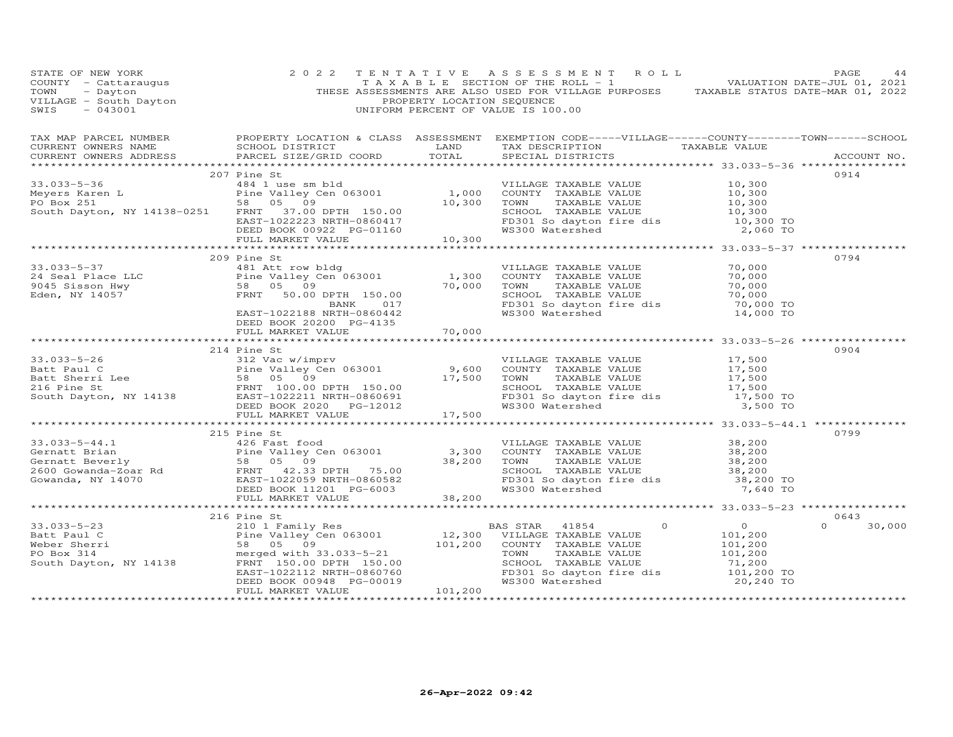| STATE OF NEW YORK<br>COUNTY - Cattaraugus<br>TOWN - Dayton<br>VILLAGE - South Dayton<br>~~~~ - 043001                                                                                                                                                 | 2 0 2 2                  | PROPERTY LOCATION SEQUENCE | THESE ASSESSMENTS ARE ALSO USED FOR VILLAGE PURPOSES TAXABLE STATUS DATE-MAR 01, 2022<br>UNIFORM PERCENT OF VALUE IS 100.00 |                    |
|-------------------------------------------------------------------------------------------------------------------------------------------------------------------------------------------------------------------------------------------------------|--------------------------|----------------------------|-----------------------------------------------------------------------------------------------------------------------------|--------------------|
|                                                                                                                                                                                                                                                       |                          |                            |                                                                                                                             |                    |
|                                                                                                                                                                                                                                                       | 207 Pine St              |                            |                                                                                                                             | 0914               |
| 33.033-5-36<br>Meyers Karen L<br>Meyers Karen L<br>Pine Valley Cen 063001<br>PO Box 251<br>South Dayton, NY 14138-0251<br>FRNT 37.00 DPTH 150.00<br>EAST-1022223 NRTH-0860417<br>DEED BOX 251<br>DEED BOX 251<br>DEED BOX 251<br>DEED BOX 251<br>DEED |                          |                            |                                                                                                                             |                    |
|                                                                                                                                                                                                                                                       |                          |                            |                                                                                                                             |                    |
|                                                                                                                                                                                                                                                       |                          |                            |                                                                                                                             |                    |
|                                                                                                                                                                                                                                                       |                          |                            |                                                                                                                             |                    |
|                                                                                                                                                                                                                                                       |                          |                            |                                                                                                                             |                    |
|                                                                                                                                                                                                                                                       |                          |                            |                                                                                                                             |                    |
|                                                                                                                                                                                                                                                       |                          |                            |                                                                                                                             |                    |
|                                                                                                                                                                                                                                                       | 209 Pine St              |                            |                                                                                                                             | 0794               |
| 33.033-5-37<br>209 Pine Valley Cen 063001<br>Pine Valley Cen 063001<br>FRNT 50.00 DPTH 150.00<br>BANK 017<br>EAST-1022188 NRTH-086042<br>EAST-1022188 NRT 086042<br>FRNT 50.00 PG-4135<br>EAST-1022188 NRT 086042<br>FRNT 50.00 PG-4135<br>FRNT 5     |                          |                            |                                                                                                                             |                    |
|                                                                                                                                                                                                                                                       |                          |                            |                                                                                                                             |                    |
|                                                                                                                                                                                                                                                       |                          |                            |                                                                                                                             |                    |
|                                                                                                                                                                                                                                                       |                          |                            |                                                                                                                             |                    |
|                                                                                                                                                                                                                                                       |                          |                            |                                                                                                                             |                    |
|                                                                                                                                                                                                                                                       | DEED BOOK 20200 PG-4135  |                            |                                                                                                                             |                    |
|                                                                                                                                                                                                                                                       | FULL MARKET VALUE 70,000 |                            |                                                                                                                             |                    |
|                                                                                                                                                                                                                                                       |                          |                            |                                                                                                                             |                    |
|                                                                                                                                                                                                                                                       | 214 Pine St              |                            |                                                                                                                             | 0904               |
|                                                                                                                                                                                                                                                       |                          |                            |                                                                                                                             |                    |
|                                                                                                                                                                                                                                                       |                          |                            |                                                                                                                             |                    |
|                                                                                                                                                                                                                                                       |                          |                            |                                                                                                                             |                    |
|                                                                                                                                                                                                                                                       |                          |                            |                                                                                                                             |                    |
|                                                                                                                                                                                                                                                       |                          |                            |                                                                                                                             |                    |
| 33.033-5-26<br>Batt Paul C<br>Batt Paul C<br>Batt Sherri Lee 58 05 09<br>Sand Dayton, NY 14138<br>ERNT 100.00 DPTH 150.00<br>ERNT 100.00 DPTH 150.00<br>ERNT 100.00 DPTH 150.00<br>ERNT 100.00 DPTH 150.00<br>ERST-1022211 NRTH-0860691<br>ED BOO     |                          |                            |                                                                                                                             |                    |
|                                                                                                                                                                                                                                                       |                          |                            |                                                                                                                             | 0799               |
|                                                                                                                                                                                                                                                       | 215 Pine St              |                            |                                                                                                                             |                    |
|                                                                                                                                                                                                                                                       |                          |                            |                                                                                                                             |                    |
|                                                                                                                                                                                                                                                       |                          |                            |                                                                                                                             |                    |
|                                                                                                                                                                                                                                                       |                          |                            |                                                                                                                             |                    |
|                                                                                                                                                                                                                                                       |                          |                            |                                                                                                                             |                    |
|                                                                                                                                                                                                                                                       |                          |                            |                                                                                                                             |                    |
| 33.033-5-44.1<br>Gernatt Brian (126 Fast food Pine Valley Cen 063001 Pine Valley Cen 063001 Pine Valley Cen 063001 Pine Valley Cen 063001 S8 05 09<br>Gernatt Beverly 58 05 09<br>26 FRNT 42.33 DPTH 75.00 38,200 TOWN TAXABLE VALU                   |                          |                            |                                                                                                                             |                    |
|                                                                                                                                                                                                                                                       | 216 Pine St              |                            |                                                                                                                             | 0643               |
|                                                                                                                                                                                                                                                       |                          |                            |                                                                                                                             | $\Omega$<br>30,000 |
|                                                                                                                                                                                                                                                       |                          |                            |                                                                                                                             |                    |
|                                                                                                                                                                                                                                                       |                          |                            |                                                                                                                             |                    |
| 33.033-5-23<br>Batt Paul C<br>Meber Sherri 58 05 09<br>For Box 314<br>South Dayton, NY 14138<br>Batt Paul C<br>Meber Sherri 50.00 DPTH 150.00<br>South Dayton, NY 14138<br>ERNI C<br>ERNI C<br>ERNI CONTRESS (101,200<br>ERNI CONTRESS 200 DPTH 150.  |                          |                            |                                                                                                                             |                    |
|                                                                                                                                                                                                                                                       |                          |                            |                                                                                                                             |                    |
|                                                                                                                                                                                                                                                       |                          |                            | FD301 So dayton fire dis 101,200 TO<br>WS300 Watershed 20,240 TO                                                            |                    |
|                                                                                                                                                                                                                                                       | FULL MARKET VALUE        | $-00012$ $101,200$         |                                                                                                                             |                    |
|                                                                                                                                                                                                                                                       |                          |                            |                                                                                                                             |                    |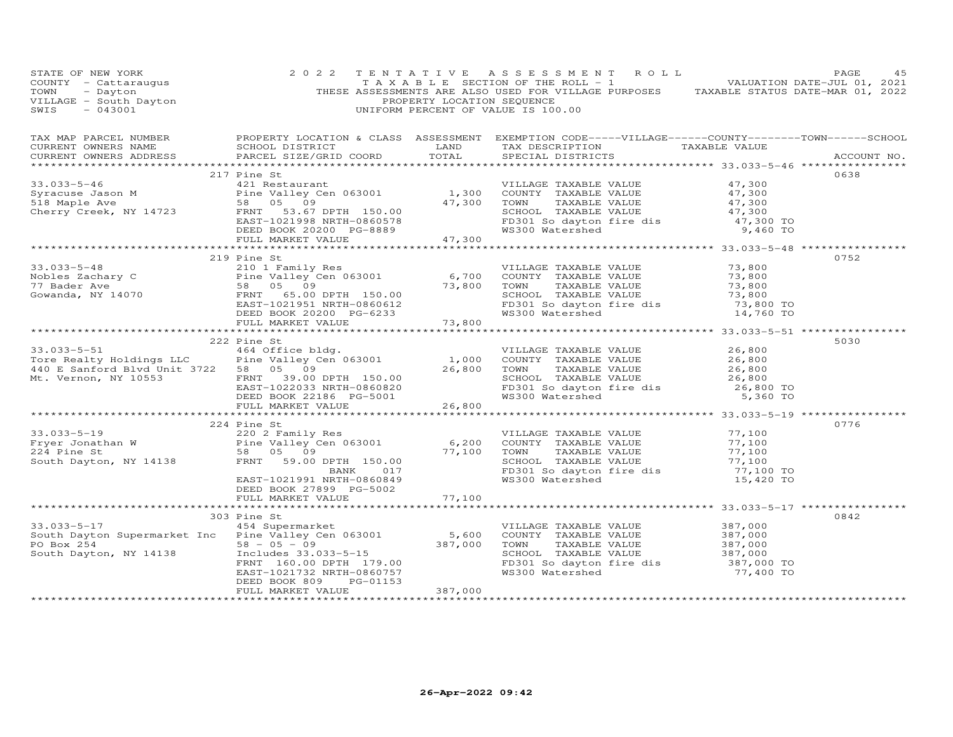| STATE OF NEW YORK<br>STATE OF NEW YORK<br>COUNTY - Cattaraugus<br>THESE ASSESSMENTS ARE ALSO USED FOR VILLAGE PURPOSES<br>TOWN - Dayton PROPERTY LOCATION SEQUENCE<br>THESE ASSESSMENTS ARE ALSO USED FOR VILLAGE PURPOSES<br>PROPERTY LOCATION SEQUENCE<br>SWI | 2 0 2 2                   |                                             | TENTATIVE ASSESSMENT ROLL                                                                                                                                  |                               | PAGE<br>45 |
|-----------------------------------------------------------------------------------------------------------------------------------------------------------------------------------------------------------------------------------------------------------------|---------------------------|---------------------------------------------|------------------------------------------------------------------------------------------------------------------------------------------------------------|-------------------------------|------------|
|                                                                                                                                                                                                                                                                 |                           |                                             |                                                                                                                                                            |                               |            |
|                                                                                                                                                                                                                                                                 |                           |                                             |                                                                                                                                                            |                               |            |
| 33.033-5-46<br>Syracuse Jason M<br>21/21 Restaurant<br>21/21 Restaurant<br>21.0321 Restaurant<br>21.0321 Restaurant<br>21.0321 Pine Valley Cen 063001<br>21.300 COUNTY TAXABLE VALUE<br>27,300<br>26 OS 09<br>26 OS 09<br>26 OS 09<br>27,300 TOWN TAX           | 217 Pine St               |                                             |                                                                                                                                                            |                               | 0638       |
|                                                                                                                                                                                                                                                                 |                           |                                             |                                                                                                                                                            |                               |            |
|                                                                                                                                                                                                                                                                 |                           |                                             |                                                                                                                                                            |                               |            |
|                                                                                                                                                                                                                                                                 |                           |                                             |                                                                                                                                                            |                               |            |
|                                                                                                                                                                                                                                                                 |                           |                                             |                                                                                                                                                            |                               |            |
|                                                                                                                                                                                                                                                                 |                           |                                             |                                                                                                                                                            |                               |            |
|                                                                                                                                                                                                                                                                 |                           |                                             |                                                                                                                                                            |                               |            |
|                                                                                                                                                                                                                                                                 | 219 Pine St               |                                             |                                                                                                                                                            |                               | 0752       |
| 33.033-5-48<br>Nobles Zachary C<br>The Valley Cen 063001<br>The Valley Cen 063001<br>Sen 05 09<br>Gowanda, NY 14070<br>ERST-1021951 NRTH-0860612<br>ERST-1021951 NRTH-0860612<br>ERST-1021951 NRTH-0860612<br>ERST-1021951 NRTH-0860612<br>ERST-10              |                           |                                             |                                                                                                                                                            |                               |            |
|                                                                                                                                                                                                                                                                 |                           |                                             |                                                                                                                                                            |                               |            |
|                                                                                                                                                                                                                                                                 |                           |                                             |                                                                                                                                                            | 73,800<br>73,800<br>73,800    |            |
|                                                                                                                                                                                                                                                                 |                           |                                             |                                                                                                                                                            |                               |            |
|                                                                                                                                                                                                                                                                 |                           |                                             | SCHOOL TAXABLE VALUE<br>FD301 So dayton fire dis<br>WS300 Watershed<br>WS300 Watershed<br>14,760 TO                                                        |                               |            |
|                                                                                                                                                                                                                                                                 |                           | 73,800                                      |                                                                                                                                                            |                               |            |
|                                                                                                                                                                                                                                                                 | FULL MARKET VALUE         |                                             |                                                                                                                                                            |                               |            |
|                                                                                                                                                                                                                                                                 | 222 Pine St               |                                             |                                                                                                                                                            |                               | 5030       |
|                                                                                                                                                                                                                                                                 |                           |                                             | VILLAGE TAXABLE VALUE                                                                                                                                      | 26,800                        |            |
|                                                                                                                                                                                                                                                                 |                           |                                             | COUNTY TAXABLE VALUE                                                                                                                                       | 26,800                        |            |
|                                                                                                                                                                                                                                                                 |                           |                                             | COUNT TAXABLE VALUE<br>TOWN TAXABLE VALUE 26,800<br>SCHOOL TAXABLE VALUE 26,800                                                                            |                               |            |
|                                                                                                                                                                                                                                                                 |                           |                                             |                                                                                                                                                            |                               |            |
|                                                                                                                                                                                                                                                                 |                           |                                             | FD301 So dayton fire dis<br>WS300 Watershed                                                                                                                | 26,800 TO                     |            |
| 33.033-5-51<br>Tore Realty Holdings LLC<br>Pine Valley Cen 063001 1,000<br>440 E Sanford Blvd Unit 3722 58 05 09<br>Mt. Vernon, NY 10553 FRNT 39.00 DPTH 150.00<br>EAST-1022033 NRTH-0860820<br>DEED BOOK 22186 PG-5001 26,800<br>FULL MAR                      |                           |                                             |                                                                                                                                                            | 5,360 TO                      |            |
|                                                                                                                                                                                                                                                                 |                           |                                             |                                                                                                                                                            |                               |            |
|                                                                                                                                                                                                                                                                 | 224 Pine St               |                                             |                                                                                                                                                            |                               | 0776       |
|                                                                                                                                                                                                                                                                 |                           |                                             |                                                                                                                                                            |                               |            |
|                                                                                                                                                                                                                                                                 |                           |                                             |                                                                                                                                                            |                               |            |
|                                                                                                                                                                                                                                                                 |                           |                                             |                                                                                                                                                            |                               |            |
|                                                                                                                                                                                                                                                                 | BANK<br>017               | 77,100 TOWN<br>SCHOOL<br>FD301 S<br>WS300 W | VILLAGE TAXABLE VALUE 77,100<br>COUNTY TAXABLE VALUE 77,100<br>TOWN TAXABLE VALUE 77,100<br>SCHOOL TAXABLE VALUE 77,100<br>TED301 Sobto fire dis 77,100 TO |                               |            |
|                                                                                                                                                                                                                                                                 | EAST-1021991 NRTH-0860849 |                                             | WS300 Watershed                                                                                                                                            | 15,420 TO                     |            |
|                                                                                                                                                                                                                                                                 | DEED BOOK 27899 PG-5002   |                                             |                                                                                                                                                            |                               |            |
|                                                                                                                                                                                                                                                                 | FULL MARKET VALUE         | 77,100                                      |                                                                                                                                                            |                               |            |
|                                                                                                                                                                                                                                                                 |                           |                                             | ******************************* 33.033-5-17 **************                                                                                                 |                               |            |
|                                                                                                                                                                                                                                                                 |                           |                                             |                                                                                                                                                            |                               | 0842       |
|                                                                                                                                                                                                                                                                 |                           |                                             | VILLAGE TAXABLE VALUE                                                                                                                                      |                               |            |
|                                                                                                                                                                                                                                                                 |                           |                                             | COUNTY TAXABLE VALUE                                                                                                                                       | 387,000<br>387,000<br>387,000 |            |
|                                                                                                                                                                                                                                                                 |                           |                                             |                                                                                                                                                            |                               |            |
|                                                                                                                                                                                                                                                                 |                           |                                             | TOWN TAXABLE VALUE 387,000<br>SCHOOL TAXABLE VALUE 387,000<br>FD301 So dayton fire dis 387,000 TO                                                          |                               |            |
|                                                                                                                                                                                                                                                                 |                           |                                             | WS300 Watershed                                                                                                                                            | 77,400 TO                     |            |
|                                                                                                                                                                                                                                                                 | DEED BOOK 809<br>PG-01153 |                                             |                                                                                                                                                            |                               |            |
|                                                                                                                                                                                                                                                                 | FULL MARKET VALUE         | 387,000                                     |                                                                                                                                                            |                               |            |
| **********************                                                                                                                                                                                                                                          |                           |                                             |                                                                                                                                                            |                               |            |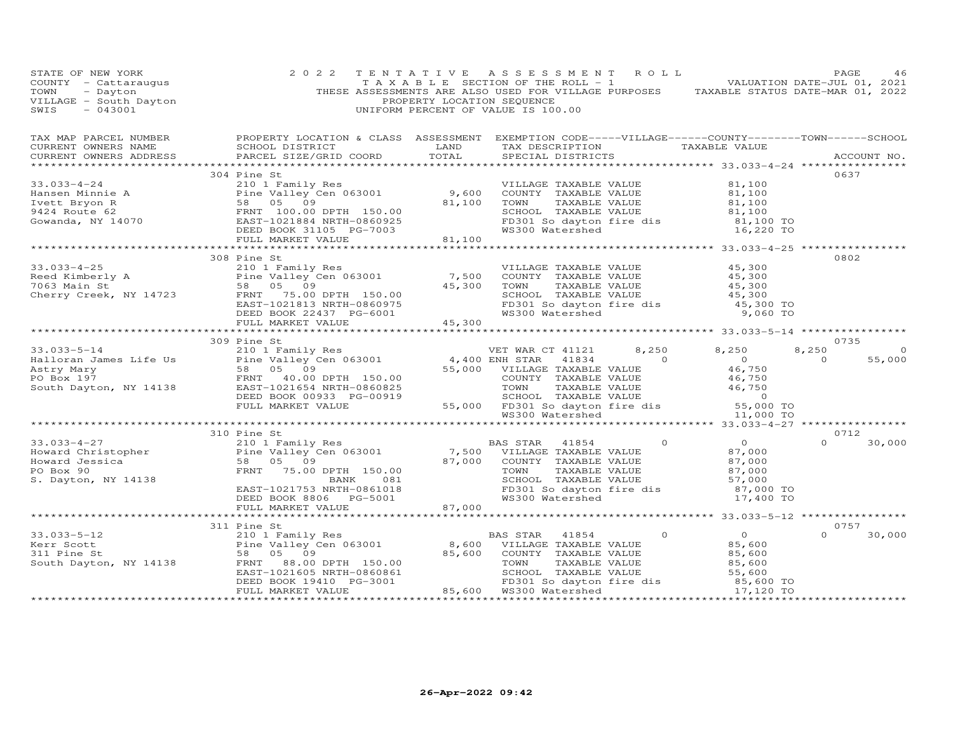| STATE OF NEW YORK<br>COUNTY - Cattaraugus<br>TOWN - Dayton<br>VILLAGE - South Dayton<br>"-- - 043001                                                                                                                                                                                                                                                                              | 2 0 2 2                                                                        | PROPERTY LOCATION SEQUENCE | TENTATIVE ASSESSMENT ROLL<br>THESE ASSESSMENTS ARE ALSO USED FOR VILLAGE PURPOSES TAXABLE STATUS DATE-MAR 01, 2022<br>UNIFORM PERCENT OF VALUE IS 100.00 |                                                                                                                                                                                  | PAGE<br>46              |
|-----------------------------------------------------------------------------------------------------------------------------------------------------------------------------------------------------------------------------------------------------------------------------------------------------------------------------------------------------------------------------------|--------------------------------------------------------------------------------|----------------------------|----------------------------------------------------------------------------------------------------------------------------------------------------------|----------------------------------------------------------------------------------------------------------------------------------------------------------------------------------|-------------------------|
|                                                                                                                                                                                                                                                                                                                                                                                   |                                                                                |                            |                                                                                                                                                          |                                                                                                                                                                                  |                         |
|                                                                                                                                                                                                                                                                                                                                                                                   |                                                                                |                            |                                                                                                                                                          |                                                                                                                                                                                  |                         |
|                                                                                                                                                                                                                                                                                                                                                                                   | 304 Pine St                                                                    |                            |                                                                                                                                                          |                                                                                                                                                                                  | 0637                    |
| $\begin{array}{cccccc} 33.033-4-24 & 304 \text{ Pine } 81 & 210 \text{ I Family Res} \\ \text{Hansen Minnie A} & 2101 \text{ Family Res} & 9,600 \\ \text{Ivett Bryon R} & 58 & 05 & 09 & 81,100 \\ 9424 \text{ Route } 62 & 58 & 05 & 09 & 81,100 \\ \text{Gowanda, NY } 14070 & 2084 \text{ NAT} = 0860925 & 09 & 81,100 \\ \text{Gowanda, NY } 14070 & 2084 \text{ NAT} = 086$ |                                                                                |                            | VILLAGE TAXABLE VALUE                                                                                                                                    | 81,100                                                                                                                                                                           |                         |
|                                                                                                                                                                                                                                                                                                                                                                                   |                                                                                |                            | COUNTY TAXABLE VALUE<br>TOWN TAXABLE VALUE<br>SCHOOL TAXABLE VALUE                                                                                       | 81,100<br>81,100<br>81,100<br>81,100 TO                                                                                                                                          |                         |
|                                                                                                                                                                                                                                                                                                                                                                                   |                                                                                |                            |                                                                                                                                                          |                                                                                                                                                                                  |                         |
|                                                                                                                                                                                                                                                                                                                                                                                   |                                                                                |                            |                                                                                                                                                          |                                                                                                                                                                                  |                         |
|                                                                                                                                                                                                                                                                                                                                                                                   |                                                                                |                            | FD301 So dayton fire dis<br>WS300 Watershed                                                                                                              | 16,220 TO                                                                                                                                                                        |                         |
|                                                                                                                                                                                                                                                                                                                                                                                   |                                                                                |                            |                                                                                                                                                          |                                                                                                                                                                                  |                         |
|                                                                                                                                                                                                                                                                                                                                                                                   |                                                                                |                            |                                                                                                                                                          |                                                                                                                                                                                  |                         |
|                                                                                                                                                                                                                                                                                                                                                                                   | 308 Pine St                                                                    |                            |                                                                                                                                                          |                                                                                                                                                                                  | 0802                    |
| 33.033-4-25<br>Reed Kimberly A and the Valley Cen 063001 7,500<br>7063 Main St 58 05 09<br>Cherry Creek, NY 14723 FRNT 175.00 DPTH 150.00<br>TRNT 10100 WRTH 150.00                                                                                                                                                                                                               |                                                                                |                            | VILLAGE TAXABLE VALUE                                                                                                                                    | 45,300<br>45,300<br>45,300                                                                                                                                                       |                         |
|                                                                                                                                                                                                                                                                                                                                                                                   |                                                                                |                            | COUNTY TAXABLE VALUE                                                                                                                                     |                                                                                                                                                                                  |                         |
|                                                                                                                                                                                                                                                                                                                                                                                   |                                                                                |                            | TAXABLE VALUE<br>TOWN                                                                                                                                    |                                                                                                                                                                                  |                         |
|                                                                                                                                                                                                                                                                                                                                                                                   |                                                                                |                            |                                                                                                                                                          |                                                                                                                                                                                  |                         |
|                                                                                                                                                                                                                                                                                                                                                                                   |                                                                                |                            |                                                                                                                                                          |                                                                                                                                                                                  |                         |
|                                                                                                                                                                                                                                                                                                                                                                                   | FRNT 75.00 DPTH 150.00<br>EAST-1021813 NRTH-0860975<br>DEED BOOK 22437 PG-6001 |                            |                                                                                                                                                          | 3CHOOL TAXABLE VALUE 45,300<br>FD301 So dayton fire dis 45,300 TO<br>WS300 Watershed 9,060 TO                                                                                    |                         |
|                                                                                                                                                                                                                                                                                                                                                                                   | FULL MARKET VALUE                                                              | 45,300                     |                                                                                                                                                          |                                                                                                                                                                                  |                         |
|                                                                                                                                                                                                                                                                                                                                                                                   |                                                                                |                            |                                                                                                                                                          |                                                                                                                                                                                  | 0735                    |
|                                                                                                                                                                                                                                                                                                                                                                                   |                                                                                |                            |                                                                                                                                                          |                                                                                                                                                                                  | 8,250<br>$\overline{0}$ |
|                                                                                                                                                                                                                                                                                                                                                                                   |                                                                                |                            |                                                                                                                                                          |                                                                                                                                                                                  | $\Omega$<br>55,000      |
|                                                                                                                                                                                                                                                                                                                                                                                   |                                                                                |                            |                                                                                                                                                          |                                                                                                                                                                                  |                         |
|                                                                                                                                                                                                                                                                                                                                                                                   |                                                                                |                            |                                                                                                                                                          |                                                                                                                                                                                  |                         |
|                                                                                                                                                                                                                                                                                                                                                                                   |                                                                                |                            |                                                                                                                                                          |                                                                                                                                                                                  |                         |
|                                                                                                                                                                                                                                                                                                                                                                                   |                                                                                |                            |                                                                                                                                                          |                                                                                                                                                                                  |                         |
|                                                                                                                                                                                                                                                                                                                                                                                   |                                                                                |                            |                                                                                                                                                          |                                                                                                                                                                                  |                         |
|                                                                                                                                                                                                                                                                                                                                                                                   |                                                                                |                            |                                                                                                                                                          |                                                                                                                                                                                  |                         |
|                                                                                                                                                                                                                                                                                                                                                                                   |                                                                                |                            |                                                                                                                                                          |                                                                                                                                                                                  |                         |
| 33.033-4-27<br>Howard Christopher 210 1 Family Res BAS STAR 41854<br>Howard Jessica 58 05 09<br>PO Box 90 FRNT 75.00 DPTH 150.00 87,000 COUNTY TAXABLE VALUE<br>S. Dayton, NY 14138                                                                                                                                                                                               |                                                                                |                            |                                                                                                                                                          | $\begin{array}{c} 0 \\ 87 \end{array}$                                                                                                                                           | 0712                    |
|                                                                                                                                                                                                                                                                                                                                                                                   |                                                                                |                            |                                                                                                                                                          | $\overline{0}$                                                                                                                                                                   | 30,000<br>$\Omega$      |
|                                                                                                                                                                                                                                                                                                                                                                                   |                                                                                |                            |                                                                                                                                                          |                                                                                                                                                                                  |                         |
|                                                                                                                                                                                                                                                                                                                                                                                   |                                                                                |                            |                                                                                                                                                          | 87,000<br>87,000<br>57,000                                                                                                                                                       |                         |
|                                                                                                                                                                                                                                                                                                                                                                                   |                                                                                |                            | SCHOOL TAXABLE VALUE                                                                                                                                     |                                                                                                                                                                                  |                         |
|                                                                                                                                                                                                                                                                                                                                                                                   | EAST-1021753 NRTH-0861018                                                      |                            | FD301 So dayton fire dis                                                                                                                                 | 87,000 TO                                                                                                                                                                        |                         |
|                                                                                                                                                                                                                                                                                                                                                                                   | DEED BOOK 8806 PG-5001                                                         |                            | WS300 Watershed                                                                                                                                          | 17,400 TO                                                                                                                                                                        |                         |
|                                                                                                                                                                                                                                                                                                                                                                                   | FULL MARKET VALUE                                                              | 87,000<br>87,000           |                                                                                                                                                          |                                                                                                                                                                                  |                         |
|                                                                                                                                                                                                                                                                                                                                                                                   |                                                                                |                            |                                                                                                                                                          |                                                                                                                                                                                  |                         |
|                                                                                                                                                                                                                                                                                                                                                                                   | 311 Pine St                                                                    |                            |                                                                                                                                                          |                                                                                                                                                                                  | 0757                    |
| 33.033-5-12<br>Emily Res Exer Scott<br>210 1 Family Res Pine Valley Cen 063001<br>210 1 Family Res Pine Valley Cen 063001<br>210 1 Family Res Pine Valley Cen 063001<br>210 1 Family Res 200 063001<br>210 1 Family Res 200 063001<br>210 1                                                                                                                                       |                                                                                |                            |                                                                                                                                                          | $\overline{0}$<br>$\Omega$                                                                                                                                                       | 30,000<br>$\Omega$      |
|                                                                                                                                                                                                                                                                                                                                                                                   |                                                                                |                            |                                                                                                                                                          | 85,600                                                                                                                                                                           |                         |
|                                                                                                                                                                                                                                                                                                                                                                                   |                                                                                |                            |                                                                                                                                                          |                                                                                                                                                                                  |                         |
|                                                                                                                                                                                                                                                                                                                                                                                   |                                                                                |                            |                                                                                                                                                          |                                                                                                                                                                                  |                         |
|                                                                                                                                                                                                                                                                                                                                                                                   | EAST-1021605 NRTH-0860861                                                      |                            |                                                                                                                                                          |                                                                                                                                                                                  |                         |
|                                                                                                                                                                                                                                                                                                                                                                                   | DEED BOOK 19410 PG-3001                                                        |                            |                                                                                                                                                          | COUNTY TAXABLE VALUE<br>TOWN TAXABLE VALUE 85,600<br>TOWN TAXABLE VALUE 85,600<br>SCHOOL TAXABLE VALUE 55,600<br>FD301 So dayton fire dis 85,600 TO<br>WS300 Watershed 17,120 TO |                         |
|                                                                                                                                                                                                                                                                                                                                                                                   | FULL MARKET VALUE                                                              |                            | 0.00 TOWN TAXABLE<br>0861 SCHOOL TAXABLE<br>001 FD301 So dayton<br>85,600 WS300 Watershed                                                                |                                                                                                                                                                                  |                         |
|                                                                                                                                                                                                                                                                                                                                                                                   |                                                                                |                            |                                                                                                                                                          |                                                                                                                                                                                  |                         |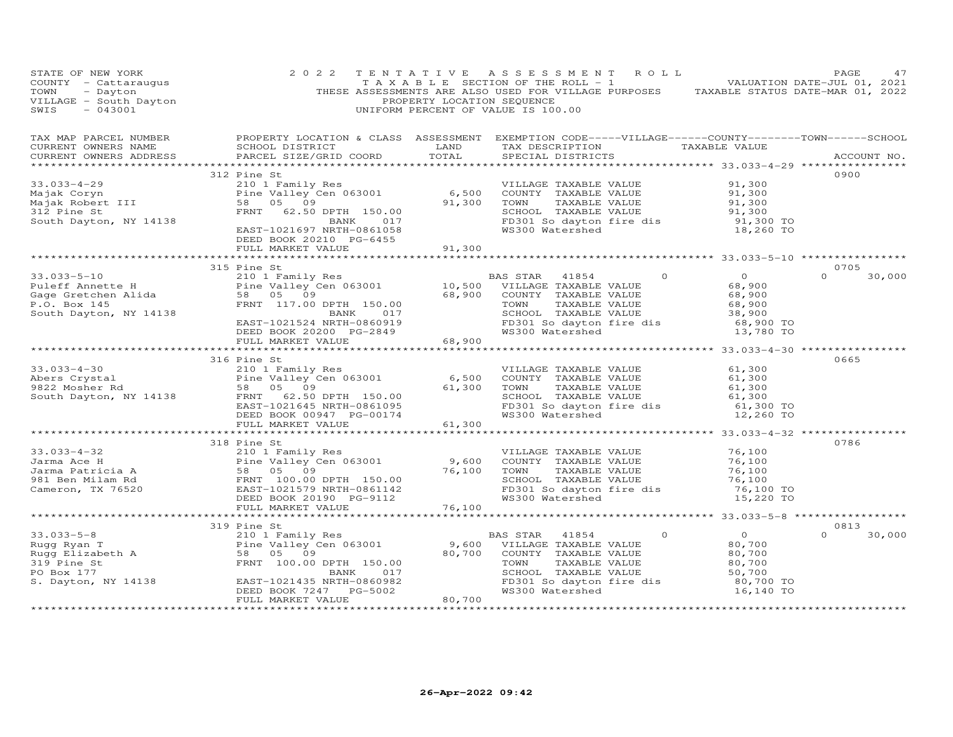| STATE OF NEW YORK                                                                                                                                                                                                                                  | 2 0 2 2                                                                                                                                                                                                                                    |        | TENTATIVE ASSESSMENT ROLL                                                                                   |                           |                                                                                                                                                                                                     | PAGE                       | 47 |
|----------------------------------------------------------------------------------------------------------------------------------------------------------------------------------------------------------------------------------------------------|--------------------------------------------------------------------------------------------------------------------------------------------------------------------------------------------------------------------------------------------|--------|-------------------------------------------------------------------------------------------------------------|---------------------------|-----------------------------------------------------------------------------------------------------------------------------------------------------------------------------------------------------|----------------------------|----|
| TAX MAP PARCEL NUMBER THE PROPERTY LOCATION & CLASS ASSESSMENT EXEMPTION CODE-----VILLAGE------COUNTY-------TOWN------SCHOOL<br>CURRENT OWNERS NAME<br>CURRENT OWNERS ADDRESS                                                                      |                                                                                                                                                                                                                                            |        |                                                                                                             |                           |                                                                                                                                                                                                     | ACCOUNT NO.                |    |
| 33.033-4-29<br>Majak Coryn<br>Majak Robert III – 11 – 11 – 11 – 12169 OF 2010<br>210 I Family Res<br>210 I Family Res<br>210 I Family Res<br>210 I Family Res<br>210 I Family Res<br>210 Family Res<br>21 – 210 Family Res<br>21,300 COUNTY TAXABL | 312 Pine St<br>DEED BOOK 20210 PG-6455<br>FULL MARKET VALUE                                                                                                                                                                                | 91,300 |                                                                                                             |                           | VILLAGE TAXABLE VALUE $91,300$<br>COUNTY TAXABLE VALUE $91,300$<br>TOWN TAXABLE VALUE $91,300$<br>SCHOOL TAXABLE VALUE $91,300$<br>FD301 So dayton fire dis $91,300$<br>WS300 Watershed $18,260$ TO | 0900                       |    |
|                                                                                                                                                                                                                                                    |                                                                                                                                                                                                                                            |        |                                                                                                             |                           |                                                                                                                                                                                                     |                            |    |
| 33.033-5-10<br>Puleff Annette H 210 1 Family Res<br>Fine Valley Cen 063001 10,500 VILLAGE TAXABLE VALUE<br>Gage Gretchen Alida 58 05 09<br>P.O. Box 145<br>P.O. Box 145<br>P.O. Box 145<br>P.O. Box 145<br>P.O. Box 145<br>South Dayton, NY 14138  | 315 Pine St<br>FRNT 117.00 DPTH 150.00<br>BANK 017 SCHOOL TAXABLE<br>EAST-1021524 NRTH-0860919 FD301 So dayton<br>DEED BOOK 20200 PG-2849 68,900 WAS300 Watershed<br>FULL MARKET VALUE                                                     |        | BAS STAR 41854<br>SCHOOL TAXABLE VALUE<br>SCHOOL TAXABLE VALUE 38,900<br>FD301 So dayton fire dis 68,900 TO | $\Omega$<br>TAXABLE VALUE | $\overline{0}$<br>68,900<br>68,900<br>68,900<br>13,780 TO                                                                                                                                           | 0705<br>$\Omega$<br>30,000 |    |
|                                                                                                                                                                                                                                                    |                                                                                                                                                                                                                                            |        |                                                                                                             |                           |                                                                                                                                                                                                     |                            |    |
| 33.033-4-30<br>Abers Crystal 210 1 Family Res<br>Abers Crystal Pine Valley Cen 063001<br>9822 Mosher Rd 58 05 09<br>South Dayton, NY 14138 FRNT 62.50 DPTH 150.00<br>EED BOOK 00947 PG-00174 58.300 WARABLE VALUE<br>DEED BOOK 00947 PG-0          | 316 Pine St                                                                                                                                                                                                                                |        |                                                                                                             |                           |                                                                                                                                                                                                     | 0665                       |    |
|                                                                                                                                                                                                                                                    |                                                                                                                                                                                                                                            |        |                                                                                                             |                           |                                                                                                                                                                                                     |                            |    |
|                                                                                                                                                                                                                                                    | 318 Pine St                                                                                                                                                                                                                                |        |                                                                                                             |                           | 76,100<br>76,100<br>76,100<br>SCHOOL TAXABLE VALUE (1997)<br>FD301 So dayton fire dis (1997)<br>WS300 Watershed (1998) 15,220 TO                                                                    | 0786                       |    |
|                                                                                                                                                                                                                                                    |                                                                                                                                                                                                                                            |        |                                                                                                             |                           |                                                                                                                                                                                                     |                            |    |
|                                                                                                                                                                                                                                                    |                                                                                                                                                                                                                                            |        |                                                                                                             |                           |                                                                                                                                                                                                     |                            |    |
|                                                                                                                                                                                                                                                    |                                                                                                                                                                                                                                            |        |                                                                                                             |                           |                                                                                                                                                                                                     | 0813                       |    |
| 33.033-5-8<br>Rugg Ryan T<br>Rugg Elizabeth A<br>319 Pine St<br>177<br>100.00<br>REAST-1021435<br>REAST-1021435<br>PENT 100.00<br>REAST-1021435<br>S. Dayton, NY 14138 EAST-1021.                                                                  | Pine St<br>210 1 Family Res<br>Pine Valley Cen 063001 9,600 VILLAGE TAXABLE VALUE<br>58 05 09 80,700 COUNTY TAXABLE VALUE<br>FRNT 100.00 DPTH 150.00 TOWN TAXABLE VALUE<br>BANK 017 SCHOOL TAXABLE VALUE<br>EAST-1021435 NRTH-0860982 FD30 |        | FD301 So dayton fire dis                                                                                    |                           | $0\,80,700\,80,700\,80,700\,80,700\,50,700$<br>80,700 TO<br>16,140 TO                                                                                                                               | 30,000<br>$\Omega$         |    |
|                                                                                                                                                                                                                                                    |                                                                                                                                                                                                                                            |        |                                                                                                             |                           |                                                                                                                                                                                                     |                            |    |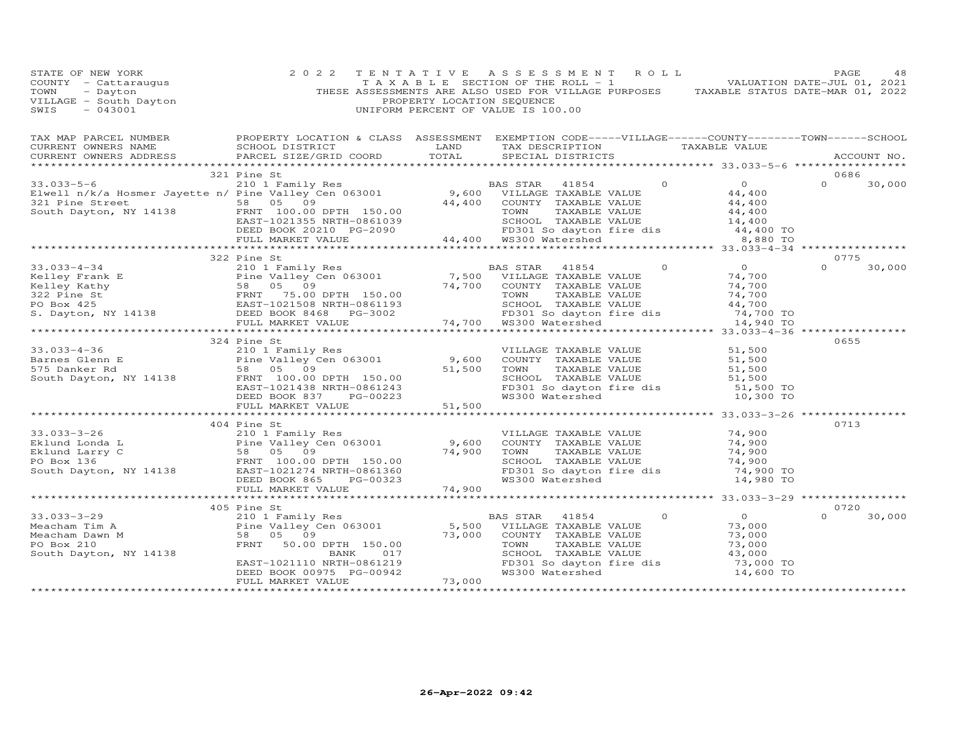| STATE OF NEW YORK<br>COUNTY - Cattaraugus<br>TOWN - Dayton<br>VILLAGE - South Dayton<br>CUTA - MAROLI<br>$-043001$<br>SWIS                                                                                                                                                                                                                                                                                              | 2 0 2 2                                                                                                                                                             | TENTATIVE<br>PROPERTY LOCATION SEQUENCE | A S S E S S M E N T<br>$\begin{bmatrix} 1 & 1 & 1 \\ 1 & 1 & 1 \end{bmatrix}$ is equivalent to the section of the ROLL - 1 and $\begin{bmatrix} 1 & 1 & 1 \\ 1 & 1 & 1 \end{bmatrix}$ . WALUATION DATE-JUL 01, 2021<br>THESE ASSESSMENTS ARE ALSO USED FOR VILLAGE PURPOSES TAXABLE STATUS DATE-MAR 01, 2022<br>UNIFORM PERCENT OF VALUE IS 100.00 | ROLL     |                                                    | PAGE          | 48          |
|-------------------------------------------------------------------------------------------------------------------------------------------------------------------------------------------------------------------------------------------------------------------------------------------------------------------------------------------------------------------------------------------------------------------------|---------------------------------------------------------------------------------------------------------------------------------------------------------------------|-----------------------------------------|----------------------------------------------------------------------------------------------------------------------------------------------------------------------------------------------------------------------------------------------------------------------------------------------------------------------------------------------------|----------|----------------------------------------------------|---------------|-------------|
| TAX MAP PARCEL NUMBER FROPERTY LOCATION & CLASS ASSESSMENT EXEMPTION CODE-----VILLAGE------COUNTY-------TOWN------SCHOOL<br>CURRENT OWNERS NAME<br>CURRENT OWNERS ADDRESS<br>**********************                                                                                                                                                                                                                     | SCHOOL DISTRICT<br><b>EXAMPLE SERVICE SERVICE SERVICE SERVICE SERVICE SERVICE SERVICE SERVICE SERVICE SERVICE SERVICE SERVICE SERVICE</b><br>PARCEL SIZE/GRID COORD | TOTAL                                   | TAX DESCRIPTION TAXABLE VALUE<br>SPECIAL DISTRICTS                                                                                                                                                                                                                                                                                                 |          | ******************** 33.033-5-6 ****************** |               | ACCOUNT NO. |
|                                                                                                                                                                                                                                                                                                                                                                                                                         | 321 Pine St                                                                                                                                                         |                                         |                                                                                                                                                                                                                                                                                                                                                    |          |                                                    | 0686          |             |
|                                                                                                                                                                                                                                                                                                                                                                                                                         |                                                                                                                                                                     |                                         |                                                                                                                                                                                                                                                                                                                                                    |          |                                                    | $0 \t 30,000$ |             |
| 33.033-5-6<br>Elwell n/k/a Hosmer Jayette n/ Pine Valley Cen 063001<br>South Dayton, NY 14138<br>ELED BOOK 20210 PG-2090<br>TOO.00 DPTH 150.00<br>ELED BOOK 20210 PG-2090<br>TOO.00 PG-2090<br>TOO.00 PG-2090<br>TOO.00 PG-2090<br>ELED BOOK 20                                                                                                                                                                         |                                                                                                                                                                     |                                         |                                                                                                                                                                                                                                                                                                                                                    |          |                                                    |               |             |
|                                                                                                                                                                                                                                                                                                                                                                                                                         |                                                                                                                                                                     |                                         |                                                                                                                                                                                                                                                                                                                                                    |          |                                                    |               |             |
|                                                                                                                                                                                                                                                                                                                                                                                                                         |                                                                                                                                                                     |                                         |                                                                                                                                                                                                                                                                                                                                                    |          |                                                    |               |             |
|                                                                                                                                                                                                                                                                                                                                                                                                                         |                                                                                                                                                                     |                                         |                                                                                                                                                                                                                                                                                                                                                    |          |                                                    |               |             |
|                                                                                                                                                                                                                                                                                                                                                                                                                         |                                                                                                                                                                     |                                         |                                                                                                                                                                                                                                                                                                                                                    |          |                                                    |               |             |
|                                                                                                                                                                                                                                                                                                                                                                                                                         |                                                                                                                                                                     |                                         |                                                                                                                                                                                                                                                                                                                                                    |          |                                                    |               |             |
|                                                                                                                                                                                                                                                                                                                                                                                                                         | 322 Pine St                                                                                                                                                         |                                         |                                                                                                                                                                                                                                                                                                                                                    |          |                                                    | 0775          |             |
|                                                                                                                                                                                                                                                                                                                                                                                                                         |                                                                                                                                                                     |                                         |                                                                                                                                                                                                                                                                                                                                                    | $\circ$  | $\overline{O}$                                     | $\Omega$      | 30,000      |
|                                                                                                                                                                                                                                                                                                                                                                                                                         |                                                                                                                                                                     |                                         |                                                                                                                                                                                                                                                                                                                                                    |          | 74,700<br>74,700                                   |               |             |
|                                                                                                                                                                                                                                                                                                                                                                                                                         |                                                                                                                                                                     |                                         |                                                                                                                                                                                                                                                                                                                                                    |          | 74,700                                             |               |             |
|                                                                                                                                                                                                                                                                                                                                                                                                                         |                                                                                                                                                                     |                                         |                                                                                                                                                                                                                                                                                                                                                    |          | 44,700                                             |               |             |
|                                                                                                                                                                                                                                                                                                                                                                                                                         |                                                                                                                                                                     |                                         | FD301 So dayton fire dis<br>WS300 Watershed MS300 Vatershed 14,940 TO                                                                                                                                                                                                                                                                              |          |                                                    |               |             |
| $\begin{array}{cccc} 33.033-4-34 & 322 \text{ Pine St} & \text{BAS STAR} & 41854 \\ \text{Kelley Frank E} & \text{Pine Valley Mathy} & 58 & 05 & 09 & 74,700 & \text{COUNTY} & \text{TAXABLE VALUE} \\ \text{Reley Kathy} & \text{SBS} & 05 & 09 & 74,700 & \text{COUNTY} & \text{TAXABLE VALUE} \\ \text{PO Box 425} & \text{EAST-1021508 NRH} & \text{DEED BOOK 8468} & \text{PG-3002} & \text{POBS} & \text{STAR} &$ |                                                                                                                                                                     |                                         |                                                                                                                                                                                                                                                                                                                                                    |          |                                                    |               |             |
|                                                                                                                                                                                                                                                                                                                                                                                                                         |                                                                                                                                                                     |                                         |                                                                                                                                                                                                                                                                                                                                                    |          |                                                    |               |             |
| 33.033-4-36<br>Barnes Glenn E<br>Example value and the value of the value of the value of the value of the value of the value<br>South Dayton, NY 14138<br>South Dayton, NY 14138<br>ERST-1021438 NRTH-0861243<br>DEED BOOK 837 PG-00223<br>                                                                                                                                                                            | 324 Pine St                                                                                                                                                         |                                         |                                                                                                                                                                                                                                                                                                                                                    |          | 51,500                                             | 0655          |             |
|                                                                                                                                                                                                                                                                                                                                                                                                                         |                                                                                                                                                                     |                                         |                                                                                                                                                                                                                                                                                                                                                    |          | 51,500                                             |               |             |
|                                                                                                                                                                                                                                                                                                                                                                                                                         |                                                                                                                                                                     |                                         |                                                                                                                                                                                                                                                                                                                                                    |          | 51,500                                             |               |             |
|                                                                                                                                                                                                                                                                                                                                                                                                                         |                                                                                                                                                                     |                                         | SCHOOL TAXABLE VALUE                                                                                                                                                                                                                                                                                                                               |          | 51,500                                             |               |             |
|                                                                                                                                                                                                                                                                                                                                                                                                                         |                                                                                                                                                                     |                                         | FD301 So dayton fire dis<br>WS300 Watershed                                                                                                                                                                                                                                                                                                        |          | 51,500 TO                                          |               |             |
|                                                                                                                                                                                                                                                                                                                                                                                                                         |                                                                                                                                                                     |                                         |                                                                                                                                                                                                                                                                                                                                                    |          | 10,300 TO                                          |               |             |
|                                                                                                                                                                                                                                                                                                                                                                                                                         | FULL MARKET VALUE                                                                                                                                                   | 51,500                                  | ************************************* 33.033-3-26 *************                                                                                                                                                                                                                                                                                    |          |                                                    |               |             |
|                                                                                                                                                                                                                                                                                                                                                                                                                         | 404 Pine St                                                                                                                                                         |                                         |                                                                                                                                                                                                                                                                                                                                                    |          |                                                    | 0713          |             |
| 33.033-3-26                                                                                                                                                                                                                                                                                                                                                                                                             |                                                                                                                                                                     |                                         | VILLAGE TAXABLE VALUE                                                                                                                                                                                                                                                                                                                              |          |                                                    |               |             |
|                                                                                                                                                                                                                                                                                                                                                                                                                         | 210 1 Family Res<br>Pine Valley Cen 063001 9,600<br>58 05 09 74,900                                                                                                 |                                         | COUNTY TAXABLE VALUE                                                                                                                                                                                                                                                                                                                               |          | 74,900<br>74,900<br>74.900                         |               |             |
| Eklund Londa L<br>Eklund Larry C<br>PO Box 136<br>South Dayton, NY 14138<br>ERNT 100.00 DPTH 150.00<br>South Dayton, NY 14138<br>ERST-1021274 NRTH-0861360                                                                                                                                                                                                                                                              |                                                                                                                                                                     | 74,900                                  | TAXABLE VALUE<br>TOWN                                                                                                                                                                                                                                                                                                                              |          | 74,900                                             |               |             |
|                                                                                                                                                                                                                                                                                                                                                                                                                         |                                                                                                                                                                     |                                         | SCHOOL TAXABLE VALUE                                                                                                                                                                                                                                                                                                                               |          | 74,900                                             |               |             |
|                                                                                                                                                                                                                                                                                                                                                                                                                         |                                                                                                                                                                     |                                         | FD301 So dayton fire dis                                                                                                                                                                                                                                                                                                                           |          | 74,900 TO                                          |               |             |
|                                                                                                                                                                                                                                                                                                                                                                                                                         | DEED BOOK 865<br>PG-00323<br>FULL MARKET VALUE                                                                                                                      | 74,900                                  | WS300 Watershed                                                                                                                                                                                                                                                                                                                                    |          | 14,980 TO                                          |               |             |
|                                                                                                                                                                                                                                                                                                                                                                                                                         |                                                                                                                                                                     | *************                           |                                                                                                                                                                                                                                                                                                                                                    |          |                                                    |               |             |
|                                                                                                                                                                                                                                                                                                                                                                                                                         | 405 Pine St                                                                                                                                                         |                                         |                                                                                                                                                                                                                                                                                                                                                    |          |                                                    | 0720          |             |
| $33.033 - 3 - 29$                                                                                                                                                                                                                                                                                                                                                                                                       |                                                                                                                                                                     |                                         | BAS STAR<br>41854                                                                                                                                                                                                                                                                                                                                  | $\Omega$ | $\overline{O}$                                     | $\Omega$      | 30,000      |
| Meacham Tim A<br>$\begin{tabular}{ccccc} & $\;\bot \lor\; \bot$ Family \\ & \texttt{Fire Valley} \\ & \texttt{58} & \texttt{05} & \texttt{09} \\ & \texttt{FRNT} & \texttt{sc} \end{tabular}$                                                                                                                                                                                                                           | Fine st<br>210 1 Family Res<br>Pine Valley Cen 063001                                                                                                               | $5,500$<br>73,000                       | VILLAGE TAXABLE VALUE                                                                                                                                                                                                                                                                                                                              |          | 73,000                                             |               |             |
| Meacham Dawn M                                                                                                                                                                                                                                                                                                                                                                                                          |                                                                                                                                                                     |                                         | COUNTY TAXABLE VALUE                                                                                                                                                                                                                                                                                                                               |          | 73,000                                             |               |             |
| PO Box 210<br>South Dayton, NY 14138                                                                                                                                                                                                                                                                                                                                                                                    | FRNT 50.00 DPTH 150.00<br>BANK<br>017                                                                                                                               |                                         | TAXABLE VALUE<br>TOWN<br>SCHOOL TAXABLE VALUE                                                                                                                                                                                                                                                                                                      |          | 73,000<br>43,000                                   |               |             |
|                                                                                                                                                                                                                                                                                                                                                                                                                         | EAST-1021110 NRTH-0861219                                                                                                                                           |                                         | FD301 So dayton fire dis                                                                                                                                                                                                                                                                                                                           |          | 73,000 TO                                          |               |             |
|                                                                                                                                                                                                                                                                                                                                                                                                                         | DEED BOOK 00975 PG-00942                                                                                                                                            |                                         | WS300 Watershed                                                                                                                                                                                                                                                                                                                                    |          | 14,600 TO                                          |               |             |
|                                                                                                                                                                                                                                                                                                                                                                                                                         | FULL MARKET VALUE                                                                                                                                                   | 73,000                                  |                                                                                                                                                                                                                                                                                                                                                    |          |                                                    |               |             |
|                                                                                                                                                                                                                                                                                                                                                                                                                         |                                                                                                                                                                     |                                         |                                                                                                                                                                                                                                                                                                                                                    |          |                                                    |               |             |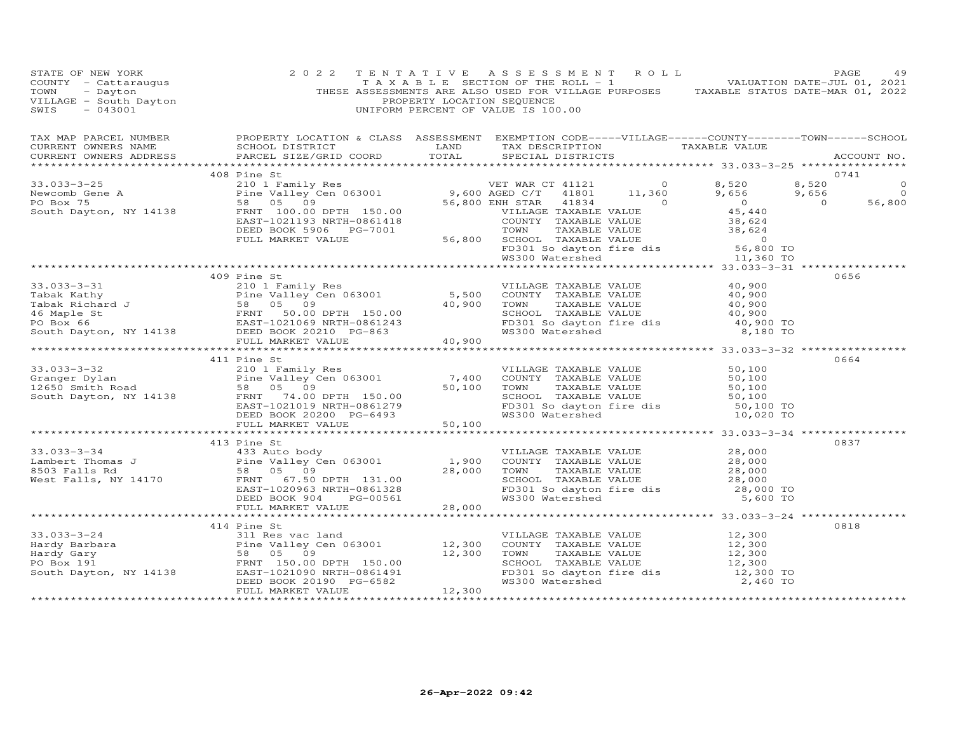| $\begin{array}{cccccccc} 33.033-3-25 & 408 \text{ Pine St} & 2101 \text{ I amily Res} & 2101 \text{ Pa} & 2101 \text{ Pa} & 2101 \text{ Pa} & 2101 \text{ Pa} & 2101 \text{ Pa} & 2101 \text{ Pa} & 2101 \text{ Pa} & 2101 \text{ Pa} & 2101 \text{ Pa} & 2101 \text{ Pa} & 2101 \text{ Pa} & 2101 \text{ Pa} & 2101 \text{ Pa} & 2101 \text{ Pa} & 2101 \text{ Pa} & 2101 \text{$ | 408 Pine St |  | 0741 |
|------------------------------------------------------------------------------------------------------------------------------------------------------------------------------------------------------------------------------------------------------------------------------------------------------------------------------------------------------------------------------------|-------------|--|------|
|                                                                                                                                                                                                                                                                                                                                                                                    |             |  |      |
|                                                                                                                                                                                                                                                                                                                                                                                    |             |  |      |
|                                                                                                                                                                                                                                                                                                                                                                                    |             |  |      |
|                                                                                                                                                                                                                                                                                                                                                                                    |             |  |      |
|                                                                                                                                                                                                                                                                                                                                                                                    |             |  |      |
|                                                                                                                                                                                                                                                                                                                                                                                    |             |  |      |
|                                                                                                                                                                                                                                                                                                                                                                                    |             |  |      |
|                                                                                                                                                                                                                                                                                                                                                                                    |             |  |      |
|                                                                                                                                                                                                                                                                                                                                                                                    | 409 Pine St |  | 0656 |
|                                                                                                                                                                                                                                                                                                                                                                                    |             |  |      |
|                                                                                                                                                                                                                                                                                                                                                                                    |             |  |      |
|                                                                                                                                                                                                                                                                                                                                                                                    |             |  |      |
|                                                                                                                                                                                                                                                                                                                                                                                    |             |  |      |
|                                                                                                                                                                                                                                                                                                                                                                                    |             |  |      |
|                                                                                                                                                                                                                                                                                                                                                                                    |             |  |      |
|                                                                                                                                                                                                                                                                                                                                                                                    |             |  |      |
|                                                                                                                                                                                                                                                                                                                                                                                    | 411 Pine St |  | 0664 |
|                                                                                                                                                                                                                                                                                                                                                                                    |             |  |      |
|                                                                                                                                                                                                                                                                                                                                                                                    |             |  |      |
|                                                                                                                                                                                                                                                                                                                                                                                    |             |  |      |
|                                                                                                                                                                                                                                                                                                                                                                                    |             |  |      |
|                                                                                                                                                                                                                                                                                                                                                                                    |             |  |      |
|                                                                                                                                                                                                                                                                                                                                                                                    |             |  |      |
| 33.033–3–32<br>Granger Dylan<br>211 Pine St<br>210 12650 Smith Road<br>210 12650 Smith Road<br>267 South Dayton, NY 14138<br>267 OB DETH 150.00<br>267 OB DETH 150.00<br>267 OB DETH 150.00<br>267 OB DETH 150.00<br>267 OB DETH 150.00<br>267 OB D                                                                                                                                |             |  |      |
|                                                                                                                                                                                                                                                                                                                                                                                    |             |  | 0837 |
|                                                                                                                                                                                                                                                                                                                                                                                    | 413 Pine St |  |      |
|                                                                                                                                                                                                                                                                                                                                                                                    |             |  |      |
|                                                                                                                                                                                                                                                                                                                                                                                    |             |  |      |
|                                                                                                                                                                                                                                                                                                                                                                                    |             |  |      |
|                                                                                                                                                                                                                                                                                                                                                                                    |             |  |      |
|                                                                                                                                                                                                                                                                                                                                                                                    |             |  |      |
| 33.033-3-34<br>Lambert Thomas J<br>Element Thomas J<br>Element Sand Countrins (1,900 COUNTY TAXABLE VALUE<br>ESD SCONTISTIC MANALE VALUE<br>West Falls, NY 14170 FRAST-1020963 NRTH-0861328<br>DEED BOOK 904 PG-00561 28,000 MANALE VALUE                                                                                                                                          |             |  |      |
|                                                                                                                                                                                                                                                                                                                                                                                    |             |  |      |
|                                                                                                                                                                                                                                                                                                                                                                                    | 414 Pine St |  | 0818 |
|                                                                                                                                                                                                                                                                                                                                                                                    |             |  |      |
|                                                                                                                                                                                                                                                                                                                                                                                    |             |  |      |
|                                                                                                                                                                                                                                                                                                                                                                                    |             |  |      |
|                                                                                                                                                                                                                                                                                                                                                                                    |             |  |      |
|                                                                                                                                                                                                                                                                                                                                                                                    |             |  |      |
|                                                                                                                                                                                                                                                                                                                                                                                    |             |  |      |
|                                                                                                                                                                                                                                                                                                                                                                                    |             |  |      |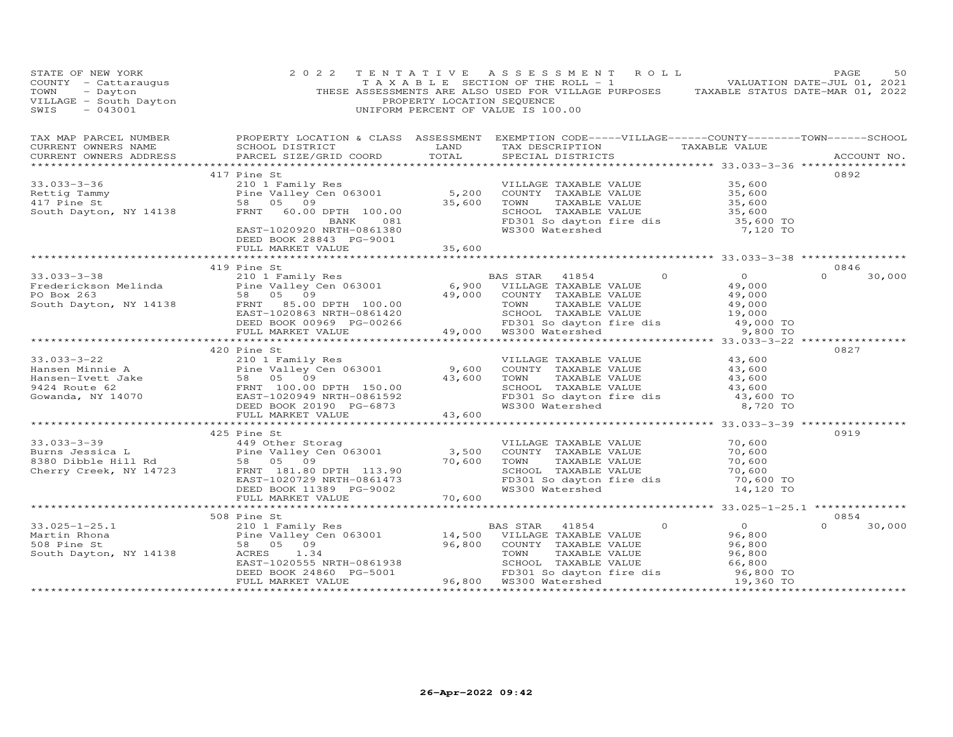| STATE OF NEW YORK<br>COUNTY - Cattaraugus<br>TOWN - Dayton<br>VILLAGE - South Dayton<br>----- - 043001                                                                                                                                                                                                                                                                                                                                     | 2 0 2 2                                      |        | TENTATIVE ASSESSMENT ROLL<br>TAXABLE SECTION OF THE ROLL - 1 $\sim$ 5 $\pm$ 0 VALUATION DATE-JUL 01, 2021<br>THESE ASSESSMENTS ARE ALSO USED FOR VILLAGE PURPOSES TAXABLE STATUS DATE-MAR 01, 2022<br>PROPERTY LOCATION SEQUENCE<br>UNIFORM PERCENT OF VALUE IS 100.00 |                                                      | PAGE<br>50                      |
|--------------------------------------------------------------------------------------------------------------------------------------------------------------------------------------------------------------------------------------------------------------------------------------------------------------------------------------------------------------------------------------------------------------------------------------------|----------------------------------------------|--------|------------------------------------------------------------------------------------------------------------------------------------------------------------------------------------------------------------------------------------------------------------------------|------------------------------------------------------|---------------------------------|
| CURRENT OWNERS ADDRESS                                                                                                                                                                                                                                                                                                                                                                                                                     | PARCEL SIZE/GRID COORD                       | TOTAL  | SPECIAL DISTRICTS                                                                                                                                                                                                                                                      |                                                      | ACCOUNT NO.                     |
|                                                                                                                                                                                                                                                                                                                                                                                                                                            |                                              |        |                                                                                                                                                                                                                                                                        | ******************* 33.033-3-36 *****************    | 0892                            |
| $\begin{array}{cccc} \text{33.033--3-36} & \text{417 }\text{Pine st} & \text{5,200} & \text{VILLAGE}\text{ TAXABLE VALUE} \\ & \text{210 1 Family Res} & \text{210 1 Family Res} & \text{5,200} & \text{COUNTY} & \text{TAXABLE VALUE} & \text{35,600} \\ & \text{Pine ValleV Gen 063001} & \text{5,200} & \text{COUNTY} & \text{TAXABLE VALUE} & \text{35,600} \\ & \text{50} & \text{50} & \text{50} & \text{500} & \text{500} \\ \text$ |                                              |        |                                                                                                                                                                                                                                                                        |                                                      |                                 |
|                                                                                                                                                                                                                                                                                                                                                                                                                                            | DEED BOOK 28843 PG-9001<br>FULL MARKET VALUE | 35,600 |                                                                                                                                                                                                                                                                        |                                                      |                                 |
|                                                                                                                                                                                                                                                                                                                                                                                                                                            |                                              |        |                                                                                                                                                                                                                                                                        |                                                      |                                 |
|                                                                                                                                                                                                                                                                                                                                                                                                                                            | 419 Pine St                                  |        |                                                                                                                                                                                                                                                                        |                                                      | 0846                            |
| 33.033-3-38<br>Frederickson Melinda 210 1 210 Family Res BAS STAR 41854 0<br>PO Box 263 58 05 09<br>South Dayton, NY 14138 FRST 100.00 EAST AND FRAMBLE VALUE 49,000<br>EXENCISE TRANGE TRANGE VALUE 49,000<br>South Dayton, NY 14138                                                                                                                                                                                                      |                                              |        |                                                                                                                                                                                                                                                                        |                                                      | $\Omega$ and $\Omega$<br>30,000 |
|                                                                                                                                                                                                                                                                                                                                                                                                                                            |                                              |        |                                                                                                                                                                                                                                                                        |                                                      |                                 |
|                                                                                                                                                                                                                                                                                                                                                                                                                                            |                                              |        |                                                                                                                                                                                                                                                                        |                                                      |                                 |
|                                                                                                                                                                                                                                                                                                                                                                                                                                            | 420 Pine St                                  |        |                                                                                                                                                                                                                                                                        |                                                      | 0827                            |
| $\begin{tabular}{lllllllllllllllllllll} \multicolumn{3.5cm}{0.5cm} \multicolumn{3.5cm}{0.5cm} \multicolumn{3.5cm}{0.5cm} \multicolumn{3.5cm}{0.5cm} \multicolumn{3.5cm}{0.5cm} \multicolumn{3.5cm}{0.5cm} \multicolumn{3.5cm}{0.5cm} \multicolumn{3.5cm}{0.5cm} \multicolumn{3.5cm}{0.5cm} \multicolumn{3.5cm}{0.5cm} \multicolumn{3.5cm}{0.5cm} \multicolumn{3.5cm}{0.5cm} \multicolumn{3.5cm}{0.5cm} \multicolumn{3.$                    |                                              |        | VILLAGE TAXABLE VALUE<br>COUNTY TAXABLE VALUE<br>TOWN TAXABLE VALUE 43,600<br>TOWN TAXABLE VALUE 43,600<br>SCHOOL TAXABLE VALUE 43,600<br>FD301 So dayton fire dis<br>WS300 Watershed 8,720 TO                                                                         | 43,600                                               |                                 |
|                                                                                                                                                                                                                                                                                                                                                                                                                                            |                                              |        |                                                                                                                                                                                                                                                                        |                                                      |                                 |
|                                                                                                                                                                                                                                                                                                                                                                                                                                            |                                              |        |                                                                                                                                                                                                                                                                        |                                                      | 0919                            |
|                                                                                                                                                                                                                                                                                                                                                                                                                                            |                                              |        | VILLAGE TAXABLE VALUE 70,600<br>TOWER VALUE 70,600<br>TOWN      TAXABLE VALUE<br>SCHOOL   TAXABLE VALUE<br>FD301 So dayton fire dis<br>WS300 Watershed                                                                                                                 | 70,600<br>70,600<br>70,600<br>70,600 TO<br>14,120 TO |                                 |
|                                                                                                                                                                                                                                                                                                                                                                                                                                            |                                              |        |                                                                                                                                                                                                                                                                        |                                                      |                                 |
|                                                                                                                                                                                                                                                                                                                                                                                                                                            |                                              |        |                                                                                                                                                                                                                                                                        |                                                      |                                 |
|                                                                                                                                                                                                                                                                                                                                                                                                                                            | 508 Pine St                                  |        |                                                                                                                                                                                                                                                                        | $\begin{array}{c}0\\96\end{array}$                   | 0854<br>$\Omega$                |
|                                                                                                                                                                                                                                                                                                                                                                                                                                            |                                              |        |                                                                                                                                                                                                                                                                        |                                                      | 30,000                          |
|                                                                                                                                                                                                                                                                                                                                                                                                                                            |                                              |        |                                                                                                                                                                                                                                                                        |                                                      |                                 |
|                                                                                                                                                                                                                                                                                                                                                                                                                                            |                                              |        |                                                                                                                                                                                                                                                                        |                                                      |                                 |
|                                                                                                                                                                                                                                                                                                                                                                                                                                            |                                              |        |                                                                                                                                                                                                                                                                        |                                                      |                                 |
|                                                                                                                                                                                                                                                                                                                                                                                                                                            |                                              |        |                                                                                                                                                                                                                                                                        |                                                      |                                 |
| 33.025-1-25.1<br>Martin Rhona<br>210 Family Res BAS STAR 41854 U<br>210 Family Res BAS STAR 41854 U<br>210 Face Service 2001 14,500 VILLAGE TAXABLE VALUE 96,800<br>508 Pine St 58 05 09<br>South Dayton, NY 14138 ACRES 1.34 TOWN TAXA                                                                                                                                                                                                    |                                              |        |                                                                                                                                                                                                                                                                        |                                                      |                                 |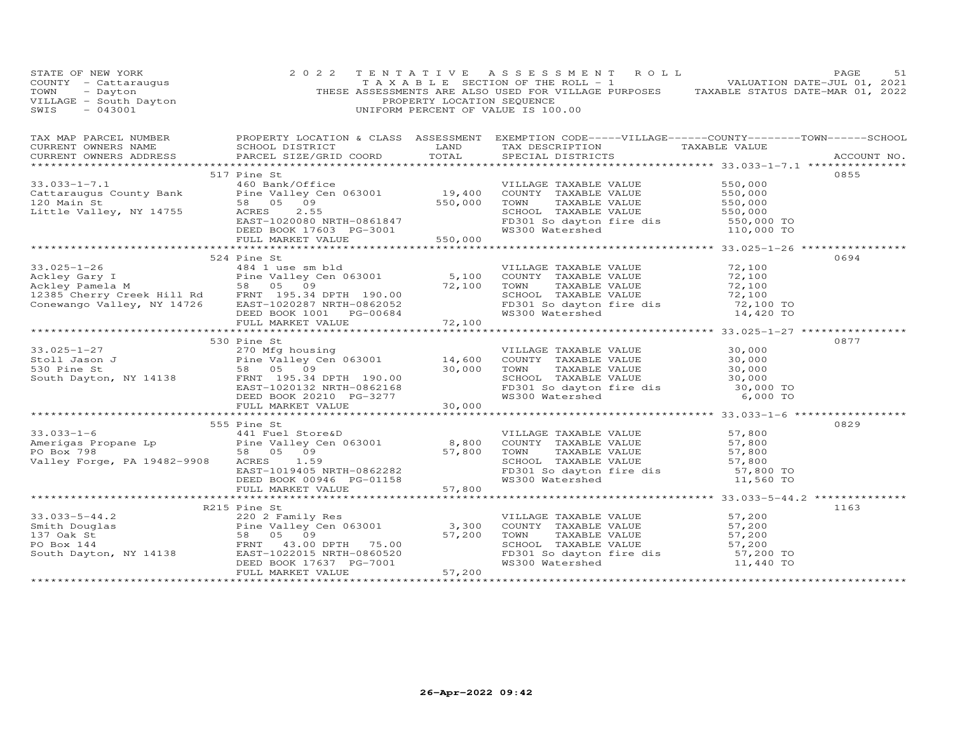| CURRENT OWNERS ADDRESS FORCEL SIZE/GRID COORD TOTAL SPECIAL DISTRICTS<br>ACCOUNT NO.<br>517 Pine St<br>0855<br>33.033-1-7.1<br>Cattaraugus County Bank<br>Pine Valley Cen 063001<br>20 Main St<br>20 Main St<br>20 Main St<br>20 Main St<br>20 Main St<br>20 Main St<br>20 Main St<br>20 Main St<br>20 Main St<br>20 Main St<br>20 Main St<br>20 Main St<br>20 Main St<br>20<br>524 Pine St<br>0694<br>33.025-1-26<br>Ackley Gary I and Sand Hotel and Hotel and Hotel and Hotel and Sand Hotel and Sand Hotel and Sand Hotel and Sand Hotel and Sand Hotel and Sand Hotel and Sand Hotel and Sand Hotel and Sand Hotel and Sand Hotel<br>0877<br>530 Pine St<br>33.025-1-27<br>SOUTHE SOUTH SAND EVALUE<br>SOUTH SERVICE SUBPORTER SUBPORT OF TAXABLE VALUE<br>SOUTH SOUTH SAND SUBPORT SUBPORT OF TAXABLE VALUE<br>SOUTH DAYOR, NY 14138<br>SOUTH DAYOR, NY 14138<br>EXEL BOOK 20210 PG-3277<br>THE SOUTH<br>555 Pine St<br>0829<br>33.033-1-6<br>Amerigas Propane Lp<br>PO Box 798<br>Valley Forge, PA 19482-9908<br>ERD BOX 798<br>ERD BOX 798<br>ERD BOX 00946<br>PO BOX 798<br>ERD BOOK 00946<br>ERD BOOK 00946<br>PG-01158<br>DEED BOOK 00946<br>PG-01158<br>FG-01158<br>FG-01158<br>FG-01<br>1163<br>R215 Pine St<br>R215 Pine St<br>Smith Douglas<br>Smith Douglas<br>Po Box 144<br>FRNAE VALUE<br>South Dayton, NY 14138<br>Po Box 144<br>FRNAE VALUE<br>EXES 109<br>FRNAE VALUE<br>South Dayton, NY 14138<br>EXEST-1022015 NRTH-0860520<br>DEED BOOK 17637 | STATE OF NEW YORK<br>COUNTY - Cattaraugus<br>TOWN - Dayton<br>VILLAGE - South Dayton<br>A2001 | 2 0 2 2 | PROPERTY LOCATION SEQUENCE | TENTATIVE ASSESSMENT ROLL<br>TAXABLE SECTION OF THE ROLL - 1 VALUATION DATE-JUL 01, 2021<br>THESE ASSESSMENTS ARE ALSO USED FOR VILLAGE PURPOSES TAXABLE STATUS DATE-MAR 01, 2022<br>UNIFORM PERCENT OF VALUE IS 100.00 | PAGE<br>51 |
|-----------------------------------------------------------------------------------------------------------------------------------------------------------------------------------------------------------------------------------------------------------------------------------------------------------------------------------------------------------------------------------------------------------------------------------------------------------------------------------------------------------------------------------------------------------------------------------------------------------------------------------------------------------------------------------------------------------------------------------------------------------------------------------------------------------------------------------------------------------------------------------------------------------------------------------------------------------------------------------------------------------------------------------------------------------------------------------------------------------------------------------------------------------------------------------------------------------------------------------------------------------------------------------------------------------------------------------------------------------------------------------------------------------------------------------------------------------------------|-----------------------------------------------------------------------------------------------|---------|----------------------------|-------------------------------------------------------------------------------------------------------------------------------------------------------------------------------------------------------------------------|------------|
|                                                                                                                                                                                                                                                                                                                                                                                                                                                                                                                                                                                                                                                                                                                                                                                                                                                                                                                                                                                                                                                                                                                                                                                                                                                                                                                                                                                                                                                                       |                                                                                               |         |                            |                                                                                                                                                                                                                         |            |
|                                                                                                                                                                                                                                                                                                                                                                                                                                                                                                                                                                                                                                                                                                                                                                                                                                                                                                                                                                                                                                                                                                                                                                                                                                                                                                                                                                                                                                                                       |                                                                                               |         |                            |                                                                                                                                                                                                                         |            |
|                                                                                                                                                                                                                                                                                                                                                                                                                                                                                                                                                                                                                                                                                                                                                                                                                                                                                                                                                                                                                                                                                                                                                                                                                                                                                                                                                                                                                                                                       |                                                                                               |         |                            |                                                                                                                                                                                                                         |            |
|                                                                                                                                                                                                                                                                                                                                                                                                                                                                                                                                                                                                                                                                                                                                                                                                                                                                                                                                                                                                                                                                                                                                                                                                                                                                                                                                                                                                                                                                       |                                                                                               |         |                            |                                                                                                                                                                                                                         |            |
|                                                                                                                                                                                                                                                                                                                                                                                                                                                                                                                                                                                                                                                                                                                                                                                                                                                                                                                                                                                                                                                                                                                                                                                                                                                                                                                                                                                                                                                                       |                                                                                               |         |                            |                                                                                                                                                                                                                         |            |
|                                                                                                                                                                                                                                                                                                                                                                                                                                                                                                                                                                                                                                                                                                                                                                                                                                                                                                                                                                                                                                                                                                                                                                                                                                                                                                                                                                                                                                                                       |                                                                                               |         |                            |                                                                                                                                                                                                                         |            |
|                                                                                                                                                                                                                                                                                                                                                                                                                                                                                                                                                                                                                                                                                                                                                                                                                                                                                                                                                                                                                                                                                                                                                                                                                                                                                                                                                                                                                                                                       |                                                                                               |         |                            |                                                                                                                                                                                                                         |            |
|                                                                                                                                                                                                                                                                                                                                                                                                                                                                                                                                                                                                                                                                                                                                                                                                                                                                                                                                                                                                                                                                                                                                                                                                                                                                                                                                                                                                                                                                       |                                                                                               |         |                            |                                                                                                                                                                                                                         |            |
|                                                                                                                                                                                                                                                                                                                                                                                                                                                                                                                                                                                                                                                                                                                                                                                                                                                                                                                                                                                                                                                                                                                                                                                                                                                                                                                                                                                                                                                                       |                                                                                               |         |                            |                                                                                                                                                                                                                         |            |
|                                                                                                                                                                                                                                                                                                                                                                                                                                                                                                                                                                                                                                                                                                                                                                                                                                                                                                                                                                                                                                                                                                                                                                                                                                                                                                                                                                                                                                                                       |                                                                                               |         |                            |                                                                                                                                                                                                                         |            |
|                                                                                                                                                                                                                                                                                                                                                                                                                                                                                                                                                                                                                                                                                                                                                                                                                                                                                                                                                                                                                                                                                                                                                                                                                                                                                                                                                                                                                                                                       |                                                                                               |         |                            |                                                                                                                                                                                                                         |            |
|                                                                                                                                                                                                                                                                                                                                                                                                                                                                                                                                                                                                                                                                                                                                                                                                                                                                                                                                                                                                                                                                                                                                                                                                                                                                                                                                                                                                                                                                       |                                                                                               |         |                            |                                                                                                                                                                                                                         |            |
|                                                                                                                                                                                                                                                                                                                                                                                                                                                                                                                                                                                                                                                                                                                                                                                                                                                                                                                                                                                                                                                                                                                                                                                                                                                                                                                                                                                                                                                                       |                                                                                               |         |                            |                                                                                                                                                                                                                         |            |
|                                                                                                                                                                                                                                                                                                                                                                                                                                                                                                                                                                                                                                                                                                                                                                                                                                                                                                                                                                                                                                                                                                                                                                                                                                                                                                                                                                                                                                                                       |                                                                                               |         |                            |                                                                                                                                                                                                                         |            |
|                                                                                                                                                                                                                                                                                                                                                                                                                                                                                                                                                                                                                                                                                                                                                                                                                                                                                                                                                                                                                                                                                                                                                                                                                                                                                                                                                                                                                                                                       |                                                                                               |         |                            |                                                                                                                                                                                                                         |            |
|                                                                                                                                                                                                                                                                                                                                                                                                                                                                                                                                                                                                                                                                                                                                                                                                                                                                                                                                                                                                                                                                                                                                                                                                                                                                                                                                                                                                                                                                       |                                                                                               |         |                            |                                                                                                                                                                                                                         |            |
|                                                                                                                                                                                                                                                                                                                                                                                                                                                                                                                                                                                                                                                                                                                                                                                                                                                                                                                                                                                                                                                                                                                                                                                                                                                                                                                                                                                                                                                                       |                                                                                               |         |                            |                                                                                                                                                                                                                         |            |
|                                                                                                                                                                                                                                                                                                                                                                                                                                                                                                                                                                                                                                                                                                                                                                                                                                                                                                                                                                                                                                                                                                                                                                                                                                                                                                                                                                                                                                                                       |                                                                                               |         |                            |                                                                                                                                                                                                                         |            |
|                                                                                                                                                                                                                                                                                                                                                                                                                                                                                                                                                                                                                                                                                                                                                                                                                                                                                                                                                                                                                                                                                                                                                                                                                                                                                                                                                                                                                                                                       |                                                                                               |         |                            |                                                                                                                                                                                                                         |            |
|                                                                                                                                                                                                                                                                                                                                                                                                                                                                                                                                                                                                                                                                                                                                                                                                                                                                                                                                                                                                                                                                                                                                                                                                                                                                                                                                                                                                                                                                       |                                                                                               |         |                            |                                                                                                                                                                                                                         |            |
|                                                                                                                                                                                                                                                                                                                                                                                                                                                                                                                                                                                                                                                                                                                                                                                                                                                                                                                                                                                                                                                                                                                                                                                                                                                                                                                                                                                                                                                                       |                                                                                               |         |                            |                                                                                                                                                                                                                         |            |
|                                                                                                                                                                                                                                                                                                                                                                                                                                                                                                                                                                                                                                                                                                                                                                                                                                                                                                                                                                                                                                                                                                                                                                                                                                                                                                                                                                                                                                                                       |                                                                                               |         |                            |                                                                                                                                                                                                                         |            |
|                                                                                                                                                                                                                                                                                                                                                                                                                                                                                                                                                                                                                                                                                                                                                                                                                                                                                                                                                                                                                                                                                                                                                                                                                                                                                                                                                                                                                                                                       |                                                                                               |         |                            |                                                                                                                                                                                                                         |            |
|                                                                                                                                                                                                                                                                                                                                                                                                                                                                                                                                                                                                                                                                                                                                                                                                                                                                                                                                                                                                                                                                                                                                                                                                                                                                                                                                                                                                                                                                       |                                                                                               |         |                            |                                                                                                                                                                                                                         |            |
|                                                                                                                                                                                                                                                                                                                                                                                                                                                                                                                                                                                                                                                                                                                                                                                                                                                                                                                                                                                                                                                                                                                                                                                                                                                                                                                                                                                                                                                                       |                                                                                               |         |                            |                                                                                                                                                                                                                         |            |
|                                                                                                                                                                                                                                                                                                                                                                                                                                                                                                                                                                                                                                                                                                                                                                                                                                                                                                                                                                                                                                                                                                                                                                                                                                                                                                                                                                                                                                                                       |                                                                                               |         |                            |                                                                                                                                                                                                                         |            |
|                                                                                                                                                                                                                                                                                                                                                                                                                                                                                                                                                                                                                                                                                                                                                                                                                                                                                                                                                                                                                                                                                                                                                                                                                                                                                                                                                                                                                                                                       |                                                                                               |         |                            |                                                                                                                                                                                                                         |            |
|                                                                                                                                                                                                                                                                                                                                                                                                                                                                                                                                                                                                                                                                                                                                                                                                                                                                                                                                                                                                                                                                                                                                                                                                                                                                                                                                                                                                                                                                       |                                                                                               |         |                            |                                                                                                                                                                                                                         |            |
|                                                                                                                                                                                                                                                                                                                                                                                                                                                                                                                                                                                                                                                                                                                                                                                                                                                                                                                                                                                                                                                                                                                                                                                                                                                                                                                                                                                                                                                                       |                                                                                               |         |                            |                                                                                                                                                                                                                         |            |
|                                                                                                                                                                                                                                                                                                                                                                                                                                                                                                                                                                                                                                                                                                                                                                                                                                                                                                                                                                                                                                                                                                                                                                                                                                                                                                                                                                                                                                                                       |                                                                                               |         |                            |                                                                                                                                                                                                                         |            |
|                                                                                                                                                                                                                                                                                                                                                                                                                                                                                                                                                                                                                                                                                                                                                                                                                                                                                                                                                                                                                                                                                                                                                                                                                                                                                                                                                                                                                                                                       |                                                                                               |         |                            |                                                                                                                                                                                                                         |            |
|                                                                                                                                                                                                                                                                                                                                                                                                                                                                                                                                                                                                                                                                                                                                                                                                                                                                                                                                                                                                                                                                                                                                                                                                                                                                                                                                                                                                                                                                       |                                                                                               |         |                            |                                                                                                                                                                                                                         |            |
|                                                                                                                                                                                                                                                                                                                                                                                                                                                                                                                                                                                                                                                                                                                                                                                                                                                                                                                                                                                                                                                                                                                                                                                                                                                                                                                                                                                                                                                                       |                                                                                               |         |                            |                                                                                                                                                                                                                         |            |
|                                                                                                                                                                                                                                                                                                                                                                                                                                                                                                                                                                                                                                                                                                                                                                                                                                                                                                                                                                                                                                                                                                                                                                                                                                                                                                                                                                                                                                                                       |                                                                                               |         |                            |                                                                                                                                                                                                                         |            |
|                                                                                                                                                                                                                                                                                                                                                                                                                                                                                                                                                                                                                                                                                                                                                                                                                                                                                                                                                                                                                                                                                                                                                                                                                                                                                                                                                                                                                                                                       |                                                                                               |         |                            |                                                                                                                                                                                                                         |            |
|                                                                                                                                                                                                                                                                                                                                                                                                                                                                                                                                                                                                                                                                                                                                                                                                                                                                                                                                                                                                                                                                                                                                                                                                                                                                                                                                                                                                                                                                       |                                                                                               |         |                            |                                                                                                                                                                                                                         |            |
|                                                                                                                                                                                                                                                                                                                                                                                                                                                                                                                                                                                                                                                                                                                                                                                                                                                                                                                                                                                                                                                                                                                                                                                                                                                                                                                                                                                                                                                                       |                                                                                               |         |                            |                                                                                                                                                                                                                         |            |
|                                                                                                                                                                                                                                                                                                                                                                                                                                                                                                                                                                                                                                                                                                                                                                                                                                                                                                                                                                                                                                                                                                                                                                                                                                                                                                                                                                                                                                                                       |                                                                                               |         |                            |                                                                                                                                                                                                                         |            |
|                                                                                                                                                                                                                                                                                                                                                                                                                                                                                                                                                                                                                                                                                                                                                                                                                                                                                                                                                                                                                                                                                                                                                                                                                                                                                                                                                                                                                                                                       |                                                                                               |         |                            |                                                                                                                                                                                                                         |            |
|                                                                                                                                                                                                                                                                                                                                                                                                                                                                                                                                                                                                                                                                                                                                                                                                                                                                                                                                                                                                                                                                                                                                                                                                                                                                                                                                                                                                                                                                       |                                                                                               |         |                            |                                                                                                                                                                                                                         |            |
|                                                                                                                                                                                                                                                                                                                                                                                                                                                                                                                                                                                                                                                                                                                                                                                                                                                                                                                                                                                                                                                                                                                                                                                                                                                                                                                                                                                                                                                                       |                                                                                               |         |                            |                                                                                                                                                                                                                         |            |
|                                                                                                                                                                                                                                                                                                                                                                                                                                                                                                                                                                                                                                                                                                                                                                                                                                                                                                                                                                                                                                                                                                                                                                                                                                                                                                                                                                                                                                                                       |                                                                                               |         |                            |                                                                                                                                                                                                                         |            |
|                                                                                                                                                                                                                                                                                                                                                                                                                                                                                                                                                                                                                                                                                                                                                                                                                                                                                                                                                                                                                                                                                                                                                                                                                                                                                                                                                                                                                                                                       |                                                                                               |         |                            |                                                                                                                                                                                                                         |            |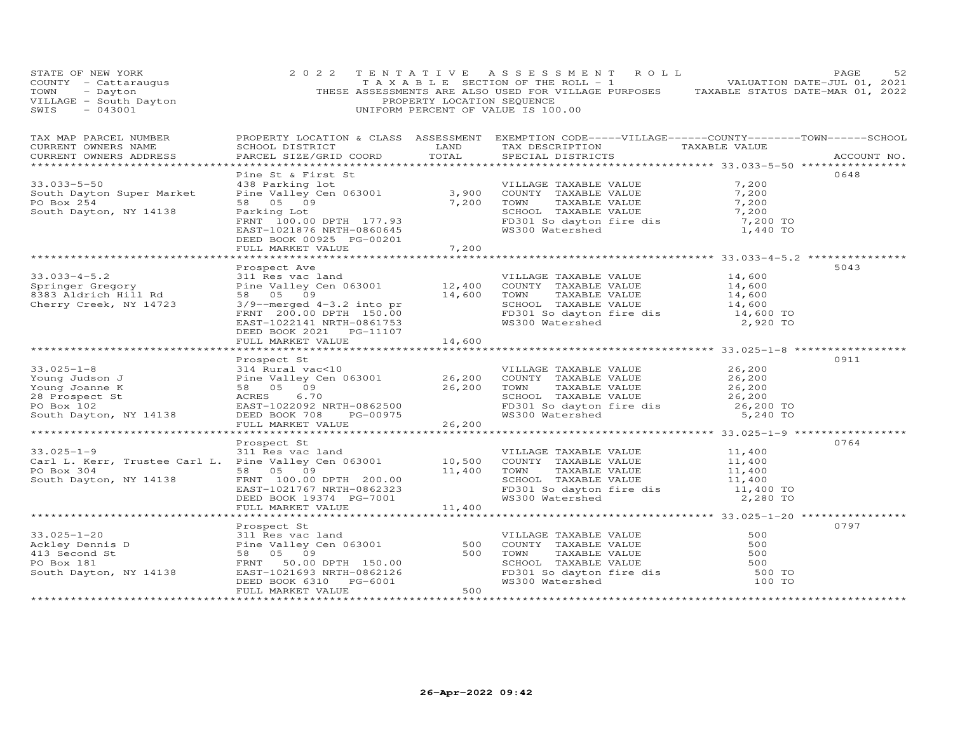| STATE OF NEW YORK<br>COUNTY - Cattaraugus<br>TOWN - Dayton<br>VILLAGE - South Dayton<br>1990<br>SWIS<br>$-043001$                                                                                                                                    | 2 0 2 2                                                                                                                                  | PROPERTY LOCATION SEQUENCE  | TENTATIVE ASSESSMENT ROLL<br>TAXABLE SECTION OF THE ROLL - 1 VALUATION DATE-JUL 01, 2021<br>THESE ASSESSMENTS ARE ALSO USED FOR VILLAGE PURPOSES TAXABLE STATUS DATE-MAR 01, 2022<br>UNIFORM PERCENT OF VALUE IS 100.00                                                                                                                                       |                                                               | PAGE<br>52  |
|------------------------------------------------------------------------------------------------------------------------------------------------------------------------------------------------------------------------------------------------------|------------------------------------------------------------------------------------------------------------------------------------------|-----------------------------|---------------------------------------------------------------------------------------------------------------------------------------------------------------------------------------------------------------------------------------------------------------------------------------------------------------------------------------------------------------|---------------------------------------------------------------|-------------|
| TAX MAP PARCEL NUMBER<br>CURRENT OWNERS NAME<br>CURRENT OWNERS ADDRESS                                                                                                                                                                               | SCHOOL DISTRICT<br>PARCEL SIZE/GRID COORD                                                                                                | TOTAL                       | PROPERTY LOCATION & CLASS ASSESSMENT EXEMPTION CODE-----VILLAGE------COUNTY-------TOWN------SCHOOL<br>LAND TAX DESCRIPTION TAXABLE VALUE<br>SPECIAL DISTRICTS                                                                                                                                                                                                 |                                                               | ACCOUNT NO. |
| $33.033 - 5 - 50$<br>South Dayton Super Market<br>PO Box 254<br>South Dayton, NY 14138                                                                                                                                                               | Pine St & First St<br>438 Parking lot<br>Parking Lot<br>FRNT 100.00 DPTH 177.93<br>EAST-1021876 NRTH-0860645<br>DEED BOOK 00925 PG-00201 |                             | VILLAGE TAXABLE VALUE<br>438 Parking for a comment of the comment of the Valley Comment of TaxaBLE VALUE<br>Pine Valley Cen 063001 3,900 COUNTY TAXABLE VALUE<br>58 05 09 7,200 TOWN TAXABLE VALUE<br>SCHOOL TAXABLE VALUE<br>FD301 So dayton fire dis $\begin{array}{c} \cdot \text{---} \\ 7,200 \text{ TO} \\ \text{WS300 Watershed} \end{array}$ 1,440 TO | 7,200<br>7,200<br>7,200<br>7,200                              | 0648        |
| $33.033 - 4 - 5.2$<br>springer Gregory<br>8383 Aldrich Hill Rd<br>Cherry Creek, NY 14723                                                                                                                                                             | FULL MARKET VALUE<br>Prospect Ave<br>311 Res vac land<br>DEED BOOK 2021    PG-11107<br>FULL MARKET VALUE                                 | 7,200<br>14,600             | VILLAGE TAXABLE VALUE<br>311 Kes vacuand and the country that the value of the Value of the Value of the Value of the Magnetics of the set of the school of the school of the school of the school of the school of the school of the school of the sch<br>TOWN      TAXABLE VALUE<br>SCHOOL   TAXABLE VALUE<br>FD301 So dayton fire dis<br>WS300 Watershed   | 14,600<br>14,600<br>14,600<br>14,600<br>14,600 TO<br>2,920 TO | 5043        |
|                                                                                                                                                                                                                                                      | FULL MARKET VALUE                                                                                                                        | 26,200                      | FD301 So dayton fire dis<br>WS300 Watershed                                                                                                                                                                                                                                                                                                                   | 26,200<br>26,200<br>26,200<br>26,200<br>26,200 TO<br>5,240 TO | 0911        |
| $33.025 - 1 - 9$<br>Carl L. Kerr, Trustee Carl L. Pine Valley Cen 063001 (10,500 COUNTY TAXABLE VALUE)<br>PO Box 304 (200 F) EQ AFRICAL CONTROLLY AND TAXABLE VALUE<br>PO Box 304<br>58 05 09<br>South Dayton, NY 14138                              | Prospect St<br>311 Res vac land<br>FRNT 100.00 DPTH 200.00<br>EAST-1021767 NRTH-0862323<br>DEED BOOK 19374 PG-7001                       | 11,400                      | VILLAGE TAXABLE VALUE<br>TOWN<br>TOWN TAXABLE VALUE 11,400<br>SCHOOL TAXABLE VALUE 11,400<br>FD301 So dayton fire dis 11,400 TO<br>WS300 Watershed                                                                                                                                                                                                            | 11,400<br>11,400<br>11,400<br>2,280 TO                        | 0764        |
| Ackley Dennis D<br>Ackley Dennis D<br>Ackley Dennis D<br>413 Second St<br>PO Box 181<br>South Dayton, NY 14138<br>South Dayton, NY 14138<br>PO Box 181<br>FRNT 50.00 DPTH 150.00<br>EAST-1021693 NRTH-0862126<br>PO Box 181<br>FRNT 50.00 DPTH 150.0 | FULL MARKET VALUE<br>FULL MARKET VALUE                                                                                                   | 11,400<br>500<br>500<br>500 | VILLAGE TAXABLE VALUE<br>COUNTY TAXABLE VALUE<br>COUNTY TAXABLE VALUE<br>TOWN TAXABLE VALUE<br>SCHOOL TAXABLE VALUE<br>FD301 SO dayton fire dis<br>WS300 Watershed                                                                                                                                                                                            | 500<br>500<br>500<br>500<br>500 TO<br>100 TO                  | 0797        |
|                                                                                                                                                                                                                                                      |                                                                                                                                          |                             |                                                                                                                                                                                                                                                                                                                                                               |                                                               |             |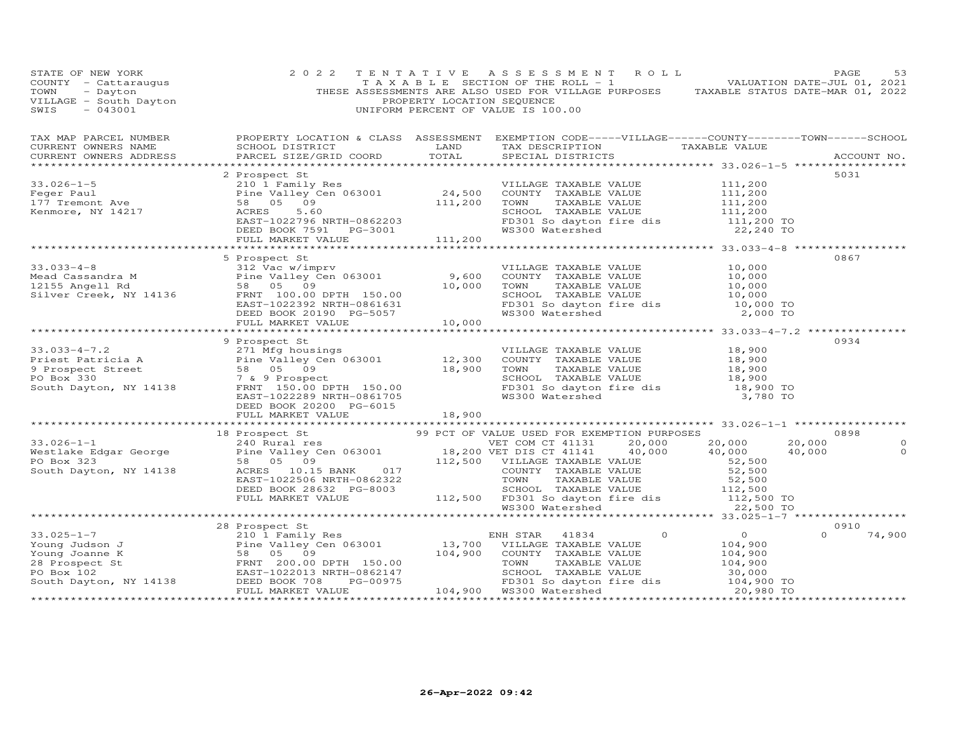| STATE OF NEW YORK<br>STATE OF NEW YORK<br>COUNTY - Cattaraugus<br>TOWN - Dayton<br>VILLAGE - South Dayton<br>SWIS - 043001                                                                                                                           | 2 0 2 2                                  | PROPERTY LOCATION SEQUENCE | TENTATIVE ASSESSMENT ROLL<br>TAXABLE SECTION OF THE ROLL - 1<br>TAXABLE SECTION OF THE ROLL - 1<br>THESE ASSESSMENTS ARE ALSO USED FOR VILLAGE PURPOSES TAXABLE STATUS DATE-MAR 01, 2022<br>UNIFORM PERCENT OF VALUE IS 100.00 |         |                                                                   | PAGE             | 53                 |
|------------------------------------------------------------------------------------------------------------------------------------------------------------------------------------------------------------------------------------------------------|------------------------------------------|----------------------------|--------------------------------------------------------------------------------------------------------------------------------------------------------------------------------------------------------------------------------|---------|-------------------------------------------------------------------|------------------|--------------------|
|                                                                                                                                                                                                                                                      |                                          |                            |                                                                                                                                                                                                                                |         |                                                                   |                  |                    |
|                                                                                                                                                                                                                                                      |                                          |                            |                                                                                                                                                                                                                                |         |                                                                   |                  |                    |
|                                                                                                                                                                                                                                                      |                                          |                            |                                                                                                                                                                                                                                |         |                                                                   | 5031             |                    |
|                                                                                                                                                                                                                                                      | FULL MARKET VALUE 111,200                |                            |                                                                                                                                                                                                                                |         |                                                                   |                  |                    |
|                                                                                                                                                                                                                                                      |                                          |                            |                                                                                                                                                                                                                                |         |                                                                   |                  |                    |
| 5 Prospect St<br>33.033-4-8<br>Mead Cassandra M<br>Mead Cassandra M<br>12 Vac w/imprv<br>Pine Valley Cen 063001<br>10,000<br>Silver Creek, NY 14136<br>EAST-1022392 NRTH-0861631<br>DEED BOOK 20190 PG-5057<br>10.000                                |                                          |                            | VILLAGE TAXABLE VALUE<br>COUNTY TAXABLE VALUE<br>TOWN TAXABLE VALUE 10,000<br>SCHOOL TAXABLE VALUE 10,000<br>FD301 So dayton fire dis 10,000 TO<br>WS300 Watershed                                                             |         | 10,000<br>10,000<br>10,000<br>10,000<br>2,000 TO                  | 0867             |                    |
|                                                                                                                                                                                                                                                      | FULL MARKET VALUE                        | 10,000                     |                                                                                                                                                                                                                                |         |                                                                   |                  |                    |
|                                                                                                                                                                                                                                                      |                                          |                            |                                                                                                                                                                                                                                |         |                                                                   |                  |                    |
| 9 Prospect St<br>Priest Patricia A<br>9 Prospect Street<br>9 Prospect Street<br>58 05 09<br>PO Box 330<br>South Dayton, NY 14138<br>FRNT 150.00 DPTH 150.00<br>EAST-1022289 NRTH-0664175<br>PO Box 330<br>FRNT 150.00 DPTH 150.00<br>EAST-1022289 NR | 9 Prospect St<br>DEED BOOK 20200 PG-6015 |                            | VILLAGE TAXABLE VALUE 18,900<br>COUNTY TAXABLE VALUE 18,900<br>TOWN TAXABLE VALUE 18,900<br>SCHOOL TAXABLE VALUE 18,900<br>FD301 So dayton fire dis 18,900<br>WS300 Watershed 18,900 TO<br>3,780 TO                            |         |                                                                   | 0934             |                    |
|                                                                                                                                                                                                                                                      |                                          |                            |                                                                                                                                                                                                                                |         |                                                                   |                  |                    |
|                                                                                                                                                                                                                                                      |                                          |                            |                                                                                                                                                                                                                                |         |                                                                   | 0898             |                    |
|                                                                                                                                                                                                                                                      |                                          |                            |                                                                                                                                                                                                                                |         |                                                                   | 20,000<br>40,000 | $\circ$<br>$\circ$ |
|                                                                                                                                                                                                                                                      |                                          |                            |                                                                                                                                                                                                                                |         |                                                                   |                  |                    |
|                                                                                                                                                                                                                                                      | 28 Prospect St                           |                            | TAXABLE VALUE<br>CHOOL TAXABLE VALUE<br>SCHOOL TAXABLE VALUE 30,000<br>FD301 So dayton fire dis 30,000 TO<br>WS300 Watershed 20,980 TO                                                                                         | $\circ$ | $\overline{0}$<br>$104,900$<br>$104,900$<br>$104,900$<br>$30,000$ | 0910<br>$\Omega$ | 74,900             |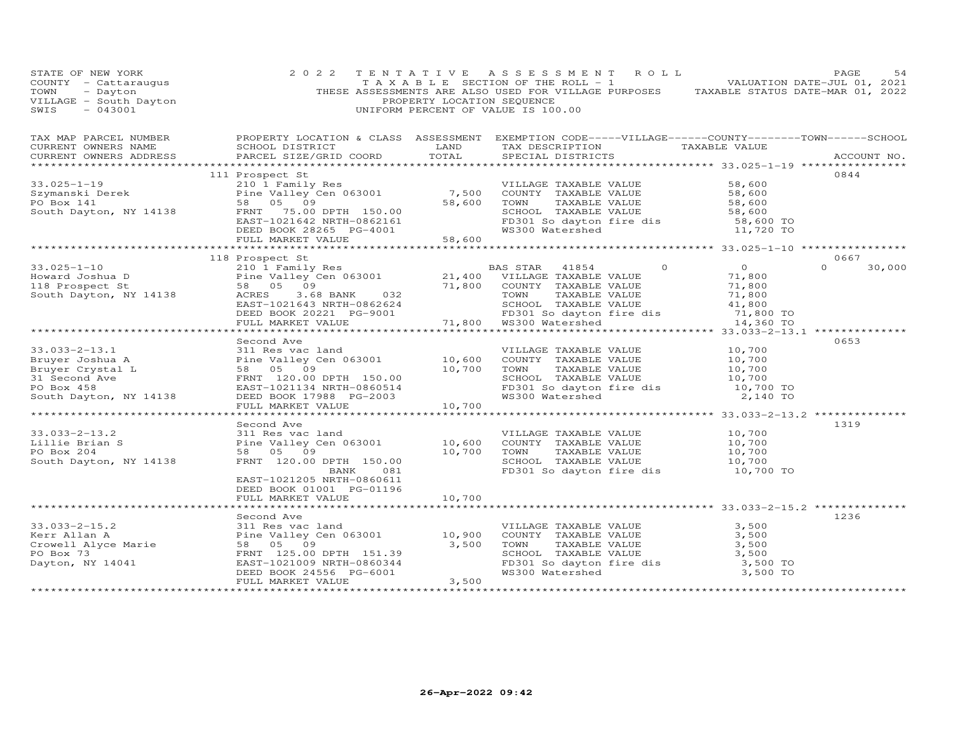| STATE OF NEW YORK<br>VILLAGE - South Dayton<br>SWIS - 043001                                                                                                                                                                                       | 2 0 2 2                                                                                                    | PROPERTY LOCATION SEQUENCE   | TENTATIVE ASSESSMENT ROLL<br>TAXABLE SECTION OF THE ROLL - 1 VALUATION DATE-JUL 01, 2021<br>THESE ASSESSMENTS ARE ALSO USED FOR VILLAGE PURPOSES TAXABLE STATUS DATE-MAR 01, 2022<br>UNIFORM PERCENT OF VALUE IS 100.00                                                     |                                                        | PAGE<br>54         |
|----------------------------------------------------------------------------------------------------------------------------------------------------------------------------------------------------------------------------------------------------|------------------------------------------------------------------------------------------------------------|------------------------------|-----------------------------------------------------------------------------------------------------------------------------------------------------------------------------------------------------------------------------------------------------------------------------|--------------------------------------------------------|--------------------|
| TAX MAP PARCEL NUMBER<br>CURRENT OWNERS NAME<br>CURRENT OWNERS ADDRESS<br>**********************                                                                                                                                                   | SCHOOL DISTRICT<br><b>EXAMPLE THE STATE OF STATE OF STATE</b><br>PARCEL SIZE/GRID COORD                    | TOTAL                        | PROPERTY LOCATION & CLASS ASSESSMENT EXEMPTION CODE-----VILLAGE------COUNTY-------TOWN------SCHOOL<br>TAX DESCRIPTION TAXABLE VALUE<br>SPECIAL DISTRICTS                                                                                                                    |                                                        | ACCOUNT NO.        |
|                                                                                                                                                                                                                                                    | 111 Prospect St                                                                                            |                              |                                                                                                                                                                                                                                                                             |                                                        | 0844               |
| $33.025 - 1 - 19$<br>South Dayton, NY 14138                                                                                                                                                                                                        | 210 1 Family Res<br>FRNT 75.00 DPTH 150.00                                                                 | 7,500<br>58,600              | VILLAGE TAXABLE VALUE<br>COUNTY TAXABLE VALUE<br>TOWN<br>TAXABLE VALUE<br>SCHOOL TAXABLE VALUE                                                                                                                                                                              | 58,600<br>58,600<br>58,600<br>58,600                   |                    |
|                                                                                                                                                                                                                                                    | FRNT 75.00 DPTH 150.00<br>EAST-1021642 NRTH-0862161<br>DEED BOOK 28265 PG-4001<br>FULL MARKET VALUE 58,600 |                              | ED301 So dayton fire dis<br>ED301 So dayton fire dis<br>WS300 Watershed 11,720 TO                                                                                                                                                                                           |                                                        |                    |
|                                                                                                                                                                                                                                                    |                                                                                                            |                              |                                                                                                                                                                                                                                                                             |                                                        |                    |
|                                                                                                                                                                                                                                                    | 118 Prospect St                                                                                            |                              |                                                                                                                                                                                                                                                                             |                                                        | 0667               |
| $33.025 - 1 - 10$<br>Howard Joshua D<br>118 Prospect St<br>South Dayton, NY 14138                                                                                                                                                                  | 210 1 Family Res                                                                                           |                              | $\circ$<br>BAS STAR 41854<br>Fine Valley Cen 063001<br>Family Res and the Maximum of the TAXABLE VALUE<br>For the Same Country TAXABLE VALUE<br>TOWN TAXABLE VALUE<br>EAST-1021643 NRTH-0862624<br>DEED BOOK 20221 PG-9001<br>TOWN TAXABLE VALUE<br>FULL MARKET VALUE<br>FU | $\overline{0}$<br>71,800<br>71,800<br>71,800<br>41,800 | $\Omega$<br>30,000 |
|                                                                                                                                                                                                                                                    |                                                                                                            |                              | FD301 So dayton fire dis                                                                                                                                                                                                                                                    | 71,800 TO                                              |                    |
|                                                                                                                                                                                                                                                    |                                                                                                            |                              |                                                                                                                                                                                                                                                                             | 14,360 TO                                              |                    |
|                                                                                                                                                                                                                                                    |                                                                                                            |                              |                                                                                                                                                                                                                                                                             |                                                        |                    |
|                                                                                                                                                                                                                                                    | Second Ave                                                                                                 |                              |                                                                                                                                                                                                                                                                             |                                                        | 0653               |
|                                                                                                                                                                                                                                                    |                                                                                                            |                              | VILLAGE TAXABLE VALUE                                                                                                                                                                                                                                                       | 10,700                                                 |                    |
|                                                                                                                                                                                                                                                    |                                                                                                            |                              | COUNTY TAXABLE VALUE                                                                                                                                                                                                                                                        | 10,700                                                 |                    |
|                                                                                                                                                                                                                                                    |                                                                                                            |                              | TOWN      TAXABLE VALUE<br>SCHOOL   TAXABLE VALUE                                                                                                                                                                                                                           | 10,700<br>10,700                                       |                    |
|                                                                                                                                                                                                                                                    |                                                                                                            |                              |                                                                                                                                                                                                                                                                             | 10,700 TO                                              |                    |
| 33.033-2-13.1<br>Bruyer Joshua A<br>Bruyer Crystal L<br>Bruyer Crystal L<br>31 Second Ave FRNT 120.00 DPTH 150.00<br>PO Box 458<br>South Dayton, NY 14138<br>DEED BOOK 17988 PG-2003<br>FINT 120.00 DPTH 150.00<br>PO Box 458<br>EAST-1021134 NRTH |                                                                                                            |                              | FD301 So dayton fire dis<br>WS300 Watershed                                                                                                                                                                                                                                 | 2,140 TO                                               |                    |
|                                                                                                                                                                                                                                                    | FULL MARKET VALUE                                                                                          | 10,700                       |                                                                                                                                                                                                                                                                             |                                                        |                    |
|                                                                                                                                                                                                                                                    |                                                                                                            |                              |                                                                                                                                                                                                                                                                             |                                                        |                    |
| $33.033 - 2 - 13.2$                                                                                                                                                                                                                                | Second Ave<br>311 Res vac land                                                                             |                              |                                                                                                                                                                                                                                                                             |                                                        | 1319               |
| Lillie Brian S                                                                                                                                                                                                                                     |                                                                                                            | 10,600                       | VILLAGE TAXABLE VALUE<br>COUNTY TAXABLE VALUE                                                                                                                                                                                                                               |                                                        |                    |
| PO Box 204                                                                                                                                                                                                                                         | SIL Kes Vac Land<br>Pine Valley Cen 063001<br>50 AF AA<br>58 05 09                                         | 10,700                       | TOWN<br>TAXABLE VALUE                                                                                                                                                                                                                                                       | 10,700<br>10,700<br>10,700<br>10,700                   |                    |
| South Dayton, NY 14138                                                                                                                                                                                                                             | FRNT 120.00 DPTH 150.00                                                                                    |                              | SCHOOL TAXABLE VALUE                                                                                                                                                                                                                                                        |                                                        |                    |
|                                                                                                                                                                                                                                                    | BANK 081<br>EAST-1021205 NRTH-0860611<br>DEED BOOK 01001 PG-01196                                          |                              | FD301 So dayton fire dis                                                                                                                                                                                                                                                    | 10,700 TO                                              |                    |
|                                                                                                                                                                                                                                                    | FULL MARKET VALUE                                                                                          | 10,700                       |                                                                                                                                                                                                                                                                             |                                                        |                    |
|                                                                                                                                                                                                                                                    |                                                                                                            |                              |                                                                                                                                                                                                                                                                             |                                                        | 1236               |
| $33.033 - 2 - 15.2$                                                                                                                                                                                                                                | Second Ave<br>311 Res vac land                                                                             |                              | VILLAGE TAXABLE VALUE                                                                                                                                                                                                                                                       | 3,500                                                  |                    |
| Kerr Allan A                                                                                                                                                                                                                                       |                                                                                                            | 10,900                       | COUNTY TAXABLE VALUE                                                                                                                                                                                                                                                        | 3,500                                                  |                    |
| Crowell Alyce Marie<br>Po Bou 72                                                                                                                                                                                                                   | Pine Valley Cen 063001<br>58 05 09<br>58 05 09                                                             | 3,500                        |                                                                                                                                                                                                                                                                             | 3,500                                                  |                    |
| PO Box 73                                                                                                                                                                                                                                          | FRNT 125.00 DPTH 151.39                                                                                    |                              | TOWN      TAXABLE VALUE<br>SCHOOL   TAXABLE VALUE                                                                                                                                                                                                                           | 3,500                                                  |                    |
| Dayton, NY 14041                                                                                                                                                                                                                                   | EAST-1021009 NRTH-0860344                                                                                  |                              |                                                                                                                                                                                                                                                                             |                                                        |                    |
|                                                                                                                                                                                                                                                    | DEED BOOK 24556 PG-6001                                                                                    |                              | FD301 So dayton fire dis 3,500 TO<br>WS300 Watershed 3,500 TO                                                                                                                                                                                                               |                                                        |                    |
|                                                                                                                                                                                                                                                    | FULL MARKET VALUE                                                                                          | 3,500<br>******************* |                                                                                                                                                                                                                                                                             |                                                        |                    |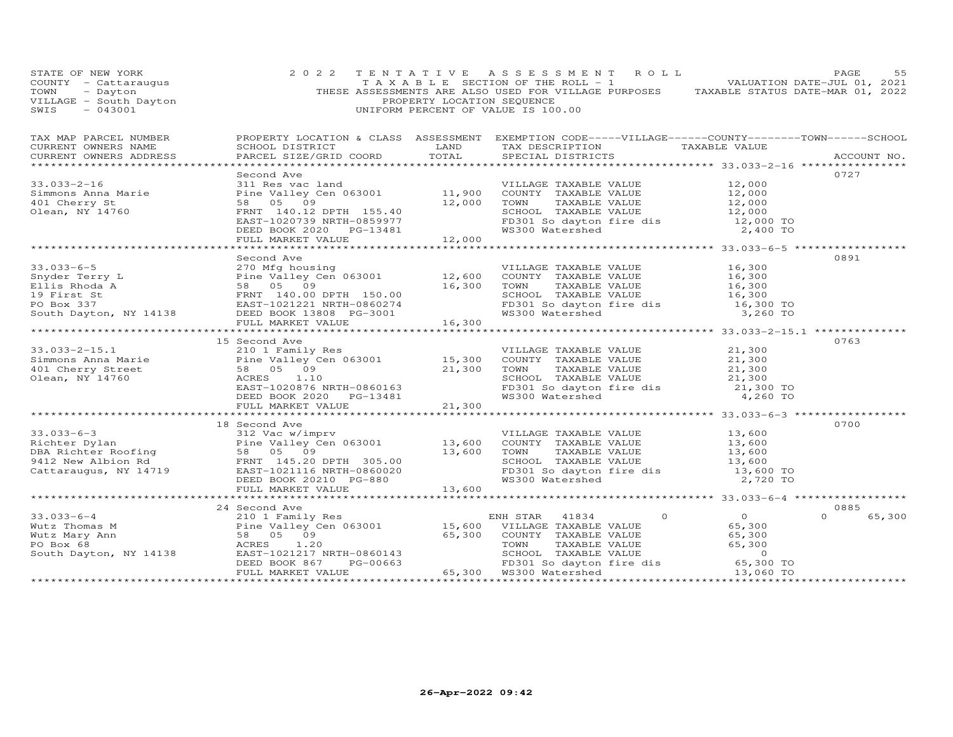| STATE OF NEW YORK<br>COUNTY - Cattaraugus<br>TOWN - Dayton<br>VILLAGE - South Dayton<br>----- - 043001                                                                                                                                                                     | 2 0 2 2                                                                                                                                                                                                                                              | PROPERTY LOCATION SEQUENCE | UNIFORM PERCENT OF VALUE IS 100.00                                                                                                                       |                            |
|----------------------------------------------------------------------------------------------------------------------------------------------------------------------------------------------------------------------------------------------------------------------------|------------------------------------------------------------------------------------------------------------------------------------------------------------------------------------------------------------------------------------------------------|----------------------------|----------------------------------------------------------------------------------------------------------------------------------------------------------|----------------------------|
| TAX MAP PARCEL NUMBER<br>CURRENT OWNERS NAME<br>CURRENT OWNERS ADDRESS                                                                                                                                                                                                     | SCHOOL DISTRICT LAND<br>PARCEL SIZE/GRID COORD TOTAL                                                                                                                                                                                                 |                            | PROPERTY LOCATION & CLASS ASSESSMENT EXEMPTION CODE-----VILLAGE------COUNTY-------TOWN------SCHOOL<br>TAX DESCRIPTION TAXABLE VALUE<br>SPECIAL DISTRICTS | ACCOUNT NO.                |
|                                                                                                                                                                                                                                                                            |                                                                                                                                                                                                                                                      |                            |                                                                                                                                                          |                            |
| $33.033 - 2 - 16$<br>Simmons Anna Marie<br>401 Cherry St<br>Olean, NY 14760                                                                                                                                                                                                | Second Ave<br>311 Res vac land<br>Pine Valley Cen 063001 11,900 COUNTY TAXABLE VALUE 12,000<br>Pine Valley Cen 063001 12,000 COUNTY TAXABLE VALUE 12,000<br>FRNT 140.12 DPTH 155.40 SCHOOL TAXABLE VALUE 12,000<br>FRNT 140.12 DPTH 155.40 SCHOOL TA |                            |                                                                                                                                                          | 0727                       |
|                                                                                                                                                                                                                                                                            |                                                                                                                                                                                                                                                      |                            |                                                                                                                                                          |                            |
|                                                                                                                                                                                                                                                                            | Second Ave                                                                                                                                                                                                                                           |                            |                                                                                                                                                          | 0891                       |
| 33.033-6-5<br>Snyder Terry L<br>Ellis Rhoda A<br>Ellis Rhoda A<br>Ellis Rhoda A<br>Ellis Rhoda 58 05 09<br>Ellis Rhoda 58 05 09<br>ELLIS CON TAXABLE VALUE<br>ELLIS Rhoda 58 05 09<br>ELLIS CON TAXABLE VALUE<br>IG,300<br>TOWN TAXABLE VALUE<br>TIS                       |                                                                                                                                                                                                                                                      |                            |                                                                                                                                                          |                            |
|                                                                                                                                                                                                                                                                            |                                                                                                                                                                                                                                                      |                            |                                                                                                                                                          |                            |
|                                                                                                                                                                                                                                                                            | 15 Second Ave                                                                                                                                                                                                                                        |                            |                                                                                                                                                          | 0763                       |
|                                                                                                                                                                                                                                                                            |                                                                                                                                                                                                                                                      |                            |                                                                                                                                                          |                            |
|                                                                                                                                                                                                                                                                            |                                                                                                                                                                                                                                                      |                            |                                                                                                                                                          |                            |
| 33.033-6-3<br>Richter Dylan<br>Pine Valley Cen 063001<br>DBA Richter Roofing<br>DBA Richter Roofing<br>28 05 09<br>2720 TOM 13,600 COUNTY TAXABLE VALUE<br>27600 13,600 TOMN TAXABLE VALUE<br>27600 13,600 TOMN TAXABLE VALUE<br>27600 13,600 1                            | 18 Second Ave                                                                                                                                                                                                                                        |                            |                                                                                                                                                          | 0700                       |
|                                                                                                                                                                                                                                                                            |                                                                                                                                                                                                                                                      |                            |                                                                                                                                                          |                            |
|                                                                                                                                                                                                                                                                            |                                                                                                                                                                                                                                                      |                            |                                                                                                                                                          |                            |
| $\begin{array}{cccccccc} 33.033-6-4 & 24\,24004 & 21001 & 24004 & 21001 & 24004 & 21001 & 24004 & 21001 & 24004 & 21001 & 24004 & 21001 & 24004 & 21001 & 24004 & 21001 & 24004 & 21001 & 24004 & 21001 & 24004 & 21001 & 24004 & 21001 & 24004 & 21001 & 24004 & 21001 &$ | 24 Second Ave                                                                                                                                                                                                                                        |                            |                                                                                                                                                          | 0885<br>$\Omega$<br>65,300 |
|                                                                                                                                                                                                                                                                            |                                                                                                                                                                                                                                                      |                            |                                                                                                                                                          |                            |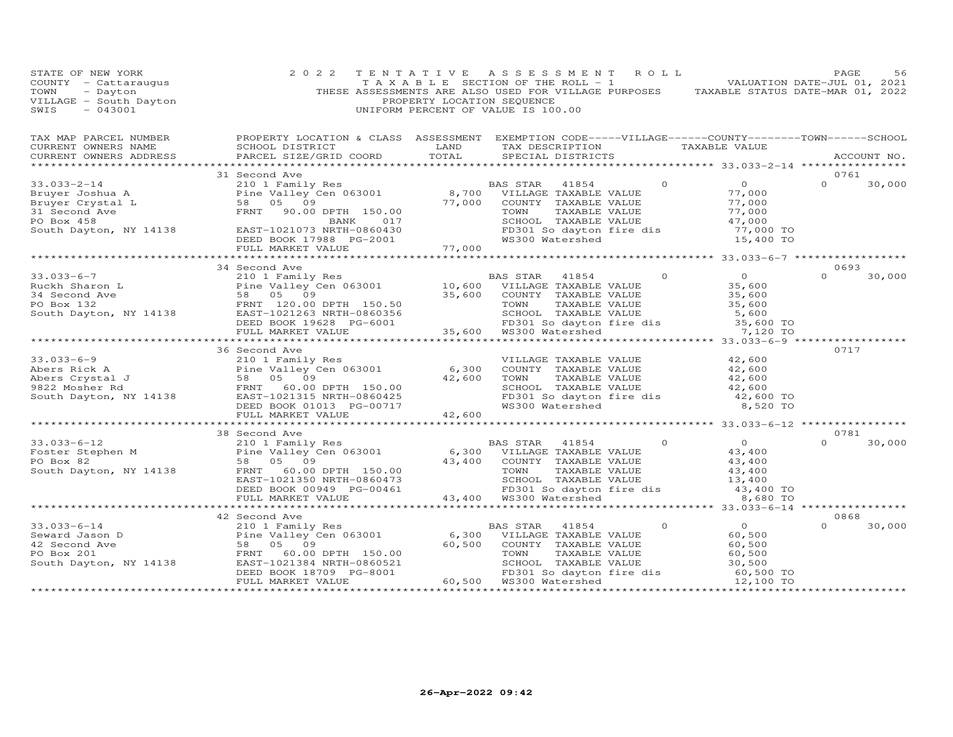| STATE OF NEW YORK<br>COUNTY - Cattaraugus<br>TOWN<br>- Dayton<br>VILLAGE - South Dayton<br>SWIS<br>$-043001$                                                                                                                                                                                                                                                                                                                                | 2 0 2 2       | PROPERTY LOCATION SEQUENCE | TENTATIVE ASSESSMENT ROLL<br>T A X A B L E SECTION OF THE ROLL - 1<br>UNIFORM PERCENT OF VALUE IS 100.00        |         | THESE ASSESSMENTS ARE ALSO USED FOR VILLAGE PURPOSES TAXABLE STATUS DATE-MAR 01, 2022   | PAGE<br>VALUATION DATE-JUL 01, 2021 | 56     |
|---------------------------------------------------------------------------------------------------------------------------------------------------------------------------------------------------------------------------------------------------------------------------------------------------------------------------------------------------------------------------------------------------------------------------------------------|---------------|----------------------------|-----------------------------------------------------------------------------------------------------------------|---------|-----------------------------------------------------------------------------------------|-------------------------------------|--------|
|                                                                                                                                                                                                                                                                                                                                                                                                                                             |               |                            |                                                                                                                 |         |                                                                                         |                                     |        |
|                                                                                                                                                                                                                                                                                                                                                                                                                                             |               |                            |                                                                                                                 |         |                                                                                         |                                     |        |
|                                                                                                                                                                                                                                                                                                                                                                                                                                             | 31 Second Ave |                            |                                                                                                                 |         |                                                                                         | 0761                                |        |
| $\begin{array}{cccc} 33.033-2-14 & 31\text{ Second Ave} & \text{BAS STAR} & 41854 & 0\\ \text{Bruyer Joshua A} & 2101\text{ Family Res} & 8,700\text{ VILLAGE TRANSABLE VALUE}\\ \text{Bruyer Crystal L} & 58&05&09 & 77,000\text{ COUNTY TRANSABLE VALUE}\\ \text{Po Box 458} & \text{Exend Ave} & \text{FRNT} & 90.00\text{ DFTH} & 150.00 & 77,000\text{ TONN} & \text{TAXABLE VALUE} \\ \text{South Daylor, NY 14138} & \text{EAST-102$ |               |                            |                                                                                                                 |         | $\overline{O}$                                                                          | $\Omega$                            | 30,000 |
|                                                                                                                                                                                                                                                                                                                                                                                                                                             |               |                            |                                                                                                                 |         | 77,000<br>77,000<br>77,000<br>47,000<br>77,000                                          |                                     |        |
|                                                                                                                                                                                                                                                                                                                                                                                                                                             |               |                            |                                                                                                                 |         |                                                                                         |                                     |        |
|                                                                                                                                                                                                                                                                                                                                                                                                                                             |               |                            |                                                                                                                 |         |                                                                                         |                                     |        |
|                                                                                                                                                                                                                                                                                                                                                                                                                                             |               |                            |                                                                                                                 |         | 10wm IAAADDD VIDOO<br>SCHOOL TAXABLE VALUE 47,000<br>FD301 So dayton fire dis 77,000 TO |                                     |        |
|                                                                                                                                                                                                                                                                                                                                                                                                                                             |               |                            |                                                                                                                 |         |                                                                                         |                                     |        |
|                                                                                                                                                                                                                                                                                                                                                                                                                                             |               |                            |                                                                                                                 |         | 15,400 TO                                                                               |                                     |        |
|                                                                                                                                                                                                                                                                                                                                                                                                                                             |               |                            |                                                                                                                 |         |                                                                                         |                                     |        |
|                                                                                                                                                                                                                                                                                                                                                                                                                                             |               | *******************        |                                                                                                                 |         | ********************* 33.033–6–7 ******************                                     |                                     |        |
|                                                                                                                                                                                                                                                                                                                                                                                                                                             | 34 Second Ave |                            |                                                                                                                 |         |                                                                                         | 0693                                |        |
|                                                                                                                                                                                                                                                                                                                                                                                                                                             |               |                            |                                                                                                                 |         | $\overline{O}$                                                                          | $\Omega$                            | 30,000 |
|                                                                                                                                                                                                                                                                                                                                                                                                                                             |               |                            |                                                                                                                 |         |                                                                                         |                                     |        |
|                                                                                                                                                                                                                                                                                                                                                                                                                                             |               |                            |                                                                                                                 |         |                                                                                         |                                     |        |
|                                                                                                                                                                                                                                                                                                                                                                                                                                             |               |                            |                                                                                                                 |         |                                                                                         |                                     |        |
|                                                                                                                                                                                                                                                                                                                                                                                                                                             |               |                            |                                                                                                                 |         |                                                                                         |                                     |        |
|                                                                                                                                                                                                                                                                                                                                                                                                                                             |               |                            |                                                                                                                 |         |                                                                                         |                                     |        |
|                                                                                                                                                                                                                                                                                                                                                                                                                                             |               |                            |                                                                                                                 |         |                                                                                         |                                     |        |
|                                                                                                                                                                                                                                                                                                                                                                                                                                             | 36 Second Ave |                            |                                                                                                                 |         |                                                                                         | 0717                                |        |
| 33.033-6-9<br>Abers Rick A<br>Abers Rick A<br>Pine Valley Cen 063001<br>So Secure Ramily Res<br>Pine Valley Cen 063001<br>$\begin{array}{cccccc} 210 & 1 & \text{Family Res} & & & \text{VILLIAGE TAXABLE VALUE} \\ \text{Rers Crystal J} & 58 & 05 & 09 & & 42,600 & \text{TOWN} & \text{TAXABLE VALUE} \\ \text{3822 Moshen RAT} & 58 & 05 & 09 &$                                                                                        |               |                            |                                                                                                                 |         | 42,600                                                                                  |                                     |        |
|                                                                                                                                                                                                                                                                                                                                                                                                                                             |               |                            |                                                                                                                 |         | 42,600                                                                                  |                                     |        |
|                                                                                                                                                                                                                                                                                                                                                                                                                                             |               |                            |                                                                                                                 |         | $\frac{12}{12}$ , 600<br>$\frac{42}{12}$ , 600                                          |                                     |        |
|                                                                                                                                                                                                                                                                                                                                                                                                                                             |               |                            |                                                                                                                 |         |                                                                                         |                                     |        |
|                                                                                                                                                                                                                                                                                                                                                                                                                                             |               |                            |                                                                                                                 |         | 12,600 ED301 So dayton fire dis<br>2,600 TO 42,600 TO 42,600 TO 45<br>2,520 TO 8,520 TO |                                     |        |
|                                                                                                                                                                                                                                                                                                                                                                                                                                             |               |                            |                                                                                                                 |         |                                                                                         |                                     |        |
|                                                                                                                                                                                                                                                                                                                                                                                                                                             |               |                            |                                                                                                                 |         |                                                                                         |                                     |        |
|                                                                                                                                                                                                                                                                                                                                                                                                                                             |               |                            |                                                                                                                 |         |                                                                                         |                                     |        |
| $\begin{array}{cccc} 33.033-6-12 & 38\text{ Second Ave} & \text{BAS STAR} & 41854 & 0 & 0 \\ 2101\text{Finally Res} & 2101\text{Finally Res} & 6,300\text{ VILLAGE TAXABLE VALUE} & 43,400\\ \text{PO Box 82} & 58 & 05 & 09 & 43,400\\ \text{South Dayton, NY 14138} & \text{FRMT} & 60.00\text{ DPTH} & 150.00 & 43,400\\ \text{EADST} & 68.00\text{ DPTH} & 6,300\text{ VILLAGE$                                                         | 38 Second Ave |                            |                                                                                                                 |         |                                                                                         | 0781                                |        |
|                                                                                                                                                                                                                                                                                                                                                                                                                                             |               |                            |                                                                                                                 |         |                                                                                         | $\Omega$                            | 30,000 |
|                                                                                                                                                                                                                                                                                                                                                                                                                                             |               |                            |                                                                                                                 |         |                                                                                         |                                     |        |
|                                                                                                                                                                                                                                                                                                                                                                                                                                             |               |                            |                                                                                                                 |         |                                                                                         |                                     |        |
|                                                                                                                                                                                                                                                                                                                                                                                                                                             |               |                            |                                                                                                                 |         |                                                                                         |                                     |        |
|                                                                                                                                                                                                                                                                                                                                                                                                                                             |               |                            |                                                                                                                 |         |                                                                                         |                                     |        |
|                                                                                                                                                                                                                                                                                                                                                                                                                                             |               |                            |                                                                                                                 |         |                                                                                         |                                     |        |
|                                                                                                                                                                                                                                                                                                                                                                                                                                             |               |                            |                                                                                                                 |         |                                                                                         |                                     |        |
|                                                                                                                                                                                                                                                                                                                                                                                                                                             |               |                            |                                                                                                                 |         |                                                                                         | 0868                                |        |
| 32 second Ave<br>210 1 Family Res BAS STAR 41854<br>210 1 Family Res BAS STAR 41854<br>210 1 Family Res BAS STAR 41854<br>210 1 Family Res BAS STAR 41854<br>210 1 Family Res BAS STAR 41854<br>210 1 Family Res BAS STAR 41854<br>210 1 Fa                                                                                                                                                                                                 |               |                            |                                                                                                                 | $\circ$ | $\overline{0}$                                                                          | $\Omega$                            | 30,000 |
|                                                                                                                                                                                                                                                                                                                                                                                                                                             |               |                            |                                                                                                                 |         | 60,500                                                                                  |                                     |        |
|                                                                                                                                                                                                                                                                                                                                                                                                                                             |               |                            |                                                                                                                 |         | 60,500                                                                                  |                                     |        |
|                                                                                                                                                                                                                                                                                                                                                                                                                                             |               |                            |                                                                                                                 |         |                                                                                         |                                     |        |
|                                                                                                                                                                                                                                                                                                                                                                                                                                             |               |                            |                                                                                                                 |         | $60,500$<br>30,500                                                                      |                                     |        |
|                                                                                                                                                                                                                                                                                                                                                                                                                                             |               |                            | 0.00 TOWN TAXABLE VALUE<br>0521 SCHOOL TAXABLE VALUE<br>001 FD301 So dayton fire dis<br>60,500 WS300 Wattershed |         | 60,500 TO                                                                               |                                     |        |
|                                                                                                                                                                                                                                                                                                                                                                                                                                             |               |                            |                                                                                                                 |         | 12,100 TO                                                                               |                                     |        |
|                                                                                                                                                                                                                                                                                                                                                                                                                                             |               |                            |                                                                                                                 |         |                                                                                         |                                     |        |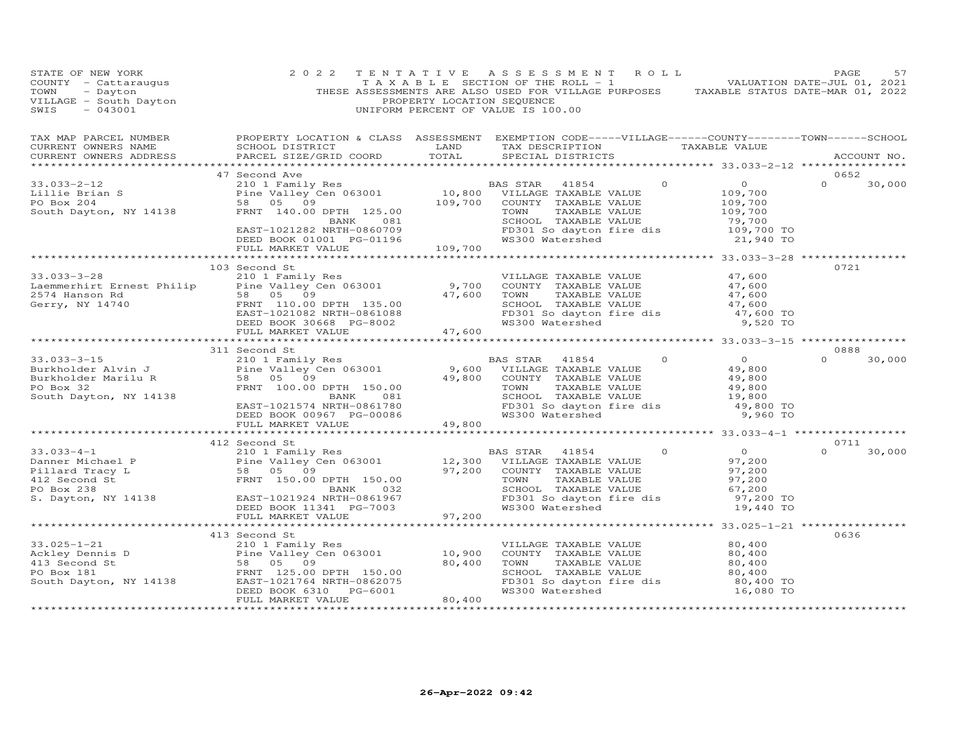| STATE OF NEW YORK<br>COUNTY - Cattaraugus<br>TOWN - Dayton<br>VILLAGE - South Dayton<br>¤WTS - 043001                                                                                                                                                                                                                                                                                       | 2 0 2 2       | PROPERTY LOCATION SEQUENCE | TENTATIVE ASSESSMENT ROLL<br>TAXABLE SECTION OF THE ROLL - 1<br>THESE ASSESSMENTS ARE ALSO USED FOR VILLAGE PURPOSES TAXABLE STATUS DATE-MAR 01, 2022<br>UNIFORM PERCENT OF VALUE IS 100.00                                    |                                               | PAGE<br>57         |
|---------------------------------------------------------------------------------------------------------------------------------------------------------------------------------------------------------------------------------------------------------------------------------------------------------------------------------------------------------------------------------------------|---------------|----------------------------|--------------------------------------------------------------------------------------------------------------------------------------------------------------------------------------------------------------------------------|-----------------------------------------------|--------------------|
| TAX MAP PARCEL NUMBER<br>CURRENT OWNERS NAME<br>CURRENT OWNERS ADDRESS                                                                                                                                                                                                                                                                                                                      |               |                            | PROPERTY LOCATION & CLASS ASSESSMENT EXEMPTION CODE-----VILLAGE------COUNTY-------TOWN------SCHOOL                                                                                                                             |                                               | ACCOUNT NO.        |
|                                                                                                                                                                                                                                                                                                                                                                                             | 47 Second Ave |                            |                                                                                                                                                                                                                                |                                               | 0652               |
|                                                                                                                                                                                                                                                                                                                                                                                             |               |                            |                                                                                                                                                                                                                                |                                               | $\Omega$<br>30,000 |
|                                                                                                                                                                                                                                                                                                                                                                                             |               |                            |                                                                                                                                                                                                                                |                                               |                    |
|                                                                                                                                                                                                                                                                                                                                                                                             |               |                            |                                                                                                                                                                                                                                |                                               |                    |
|                                                                                                                                                                                                                                                                                                                                                                                             |               |                            |                                                                                                                                                                                                                                |                                               |                    |
|                                                                                                                                                                                                                                                                                                                                                                                             |               |                            |                                                                                                                                                                                                                                |                                               |                    |
|                                                                                                                                                                                                                                                                                                                                                                                             |               |                            |                                                                                                                                                                                                                                |                                               |                    |
|                                                                                                                                                                                                                                                                                                                                                                                             |               |                            |                                                                                                                                                                                                                                |                                               |                    |
| $\begin{array}{cccccc} 33.033-2-12 & & & & 47\, \text{Second Ave} & & & & & \text{BAS STAR} & 41854 & 0 & 0\\ \text{Lillie Brian S} & & & 2101\, \text{Fani} & & \text{Pair} & & \text{D41E}\, \text{V}, & & & & & & \text{D58} & 05 & 09\\ \text{F0 Box 204} & & & 58 & 05 & 09 & & & 109,700 & \text{COUNTY TAXABLE VALUE} & & 109,700\\ \text{South Dayton, NY 14138} & & & FRNT 140.00$ |               |                            |                                                                                                                                                                                                                                |                                               |                    |
|                                                                                                                                                                                                                                                                                                                                                                                             |               |                            |                                                                                                                                                                                                                                |                                               | 0721               |
|                                                                                                                                                                                                                                                                                                                                                                                             | 103 Second St |                            |                                                                                                                                                                                                                                |                                               |                    |
|                                                                                                                                                                                                                                                                                                                                                                                             |               |                            |                                                                                                                                                                                                                                |                                               |                    |
|                                                                                                                                                                                                                                                                                                                                                                                             |               |                            |                                                                                                                                                                                                                                |                                               |                    |
|                                                                                                                                                                                                                                                                                                                                                                                             |               |                            |                                                                                                                                                                                                                                |                                               |                    |
|                                                                                                                                                                                                                                                                                                                                                                                             |               |                            |                                                                                                                                                                                                                                |                                               |                    |
|                                                                                                                                                                                                                                                                                                                                                                                             |               |                            |                                                                                                                                                                                                                                |                                               |                    |
| 33.033-3-28<br>Laemmerhirt Ernest Philip Pine Valley Cen 063001<br>2574 Hanson Rd<br>Gerry, NY 14740<br>2574 Hanson Rd<br>38.000 EAST-1021082 NRTH-0861088<br>2574 Hanson Rd<br>2574 Hanson Rd<br>2574 Hanson Rd<br>2574 Hanson Rd<br>2574 Hanson                                                                                                                                           |               |                            |                                                                                                                                                                                                                                |                                               |                    |
|                                                                                                                                                                                                                                                                                                                                                                                             |               |                            |                                                                                                                                                                                                                                |                                               |                    |
|                                                                                                                                                                                                                                                                                                                                                                                             | 311 Second St |                            | 9,600 FM ANGLE 210 I Family Res and Material Material Material Material Material Material Material Material Material Material Material Material Material Material Material Material Material Material Material Material Materi |                                               | 0888               |
| $33.033 - 3 - 15$                                                                                                                                                                                                                                                                                                                                                                           |               |                            |                                                                                                                                                                                                                                |                                               | $\Omega$<br>30,000 |
| 33.033-3-13<br>Burkholder Alvin J<br>Burkholder Marilu R<br>PO Box 32                                                                                                                                                                                                                                                                                                                       |               |                            |                                                                                                                                                                                                                                |                                               |                    |
|                                                                                                                                                                                                                                                                                                                                                                                             |               |                            |                                                                                                                                                                                                                                |                                               |                    |
| South Dayton, NY 14138                                                                                                                                                                                                                                                                                                                                                                      |               |                            |                                                                                                                                                                                                                                |                                               |                    |
|                                                                                                                                                                                                                                                                                                                                                                                             |               |                            |                                                                                                                                                                                                                                |                                               |                    |
|                                                                                                                                                                                                                                                                                                                                                                                             |               |                            |                                                                                                                                                                                                                                |                                               |                    |
|                                                                                                                                                                                                                                                                                                                                                                                             |               |                            |                                                                                                                                                                                                                                |                                               |                    |
|                                                                                                                                                                                                                                                                                                                                                                                             |               |                            |                                                                                                                                                                                                                                |                                               |                    |
| 412 Second St<br>33.033-4-1 210 1 Family Res<br>Danner Michael P Pine Valley Cen 063001 12,300 VILLAGE TAXABLE VALUE<br>Pillard Tracy L 58 05 09<br>FRNT 150.00 DPTH 150.00 TOWN TAXABLE VALUE<br>42 Second St<br>FRNT 150.00 PPTH 150.00                                                                                                                                                   |               |                            |                                                                                                                                                                                                                                |                                               | 0711               |
|                                                                                                                                                                                                                                                                                                                                                                                             |               |                            | BAS STAR 41854 0                                                                                                                                                                                                               | $0$<br>97,200<br>97,200<br>97,200             | $\Omega$<br>30,000 |
|                                                                                                                                                                                                                                                                                                                                                                                             |               |                            |                                                                                                                                                                                                                                |                                               |                    |
|                                                                                                                                                                                                                                                                                                                                                                                             |               |                            |                                                                                                                                                                                                                                |                                               |                    |
|                                                                                                                                                                                                                                                                                                                                                                                             |               |                            | TOWN TAXABLE VALUE 97,200<br>SCHOOL TAXABLE VALUE 67,200<br>FD301 So dayton fire dis 97,200 TO                                                                                                                                 |                                               |                    |
|                                                                                                                                                                                                                                                                                                                                                                                             |               |                            |                                                                                                                                                                                                                                |                                               |                    |
|                                                                                                                                                                                                                                                                                                                                                                                             |               |                            |                                                                                                                                                                                                                                | 19,440 TO                                     |                    |
|                                                                                                                                                                                                                                                                                                                                                                                             |               |                            |                                                                                                                                                                                                                                |                                               |                    |
|                                                                                                                                                                                                                                                                                                                                                                                             |               |                            |                                                                                                                                                                                                                                | ******************** 33.025-1-21 ************ |                    |
|                                                                                                                                                                                                                                                                                                                                                                                             |               |                            |                                                                                                                                                                                                                                |                                               | 0636               |
|                                                                                                                                                                                                                                                                                                                                                                                             |               |                            |                                                                                                                                                                                                                                | 80,400                                        |                    |
|                                                                                                                                                                                                                                                                                                                                                                                             |               |                            |                                                                                                                                                                                                                                | 80,400                                        |                    |
|                                                                                                                                                                                                                                                                                                                                                                                             |               |                            | COUNT TAXABLE VALUE (1990)<br>SCHOOL TAXABLE VALUE (1990)<br>SCHOOL TAXABLE VALUE (1990)                                                                                                                                       |                                               |                    |
|                                                                                                                                                                                                                                                                                                                                                                                             |               |                            |                                                                                                                                                                                                                                |                                               |                    |
|                                                                                                                                                                                                                                                                                                                                                                                             |               |                            | FD301 So dayton fire dis 80,400 TO<br>WS300 Watershed 16,080 TO                                                                                                                                                                |                                               |                    |
|                                                                                                                                                                                                                                                                                                                                                                                             |               |                            |                                                                                                                                                                                                                                |                                               |                    |
|                                                                                                                                                                                                                                                                                                                                                                                             |               |                            |                                                                                                                                                                                                                                |                                               |                    |
|                                                                                                                                                                                                                                                                                                                                                                                             |               |                            |                                                                                                                                                                                                                                |                                               |                    |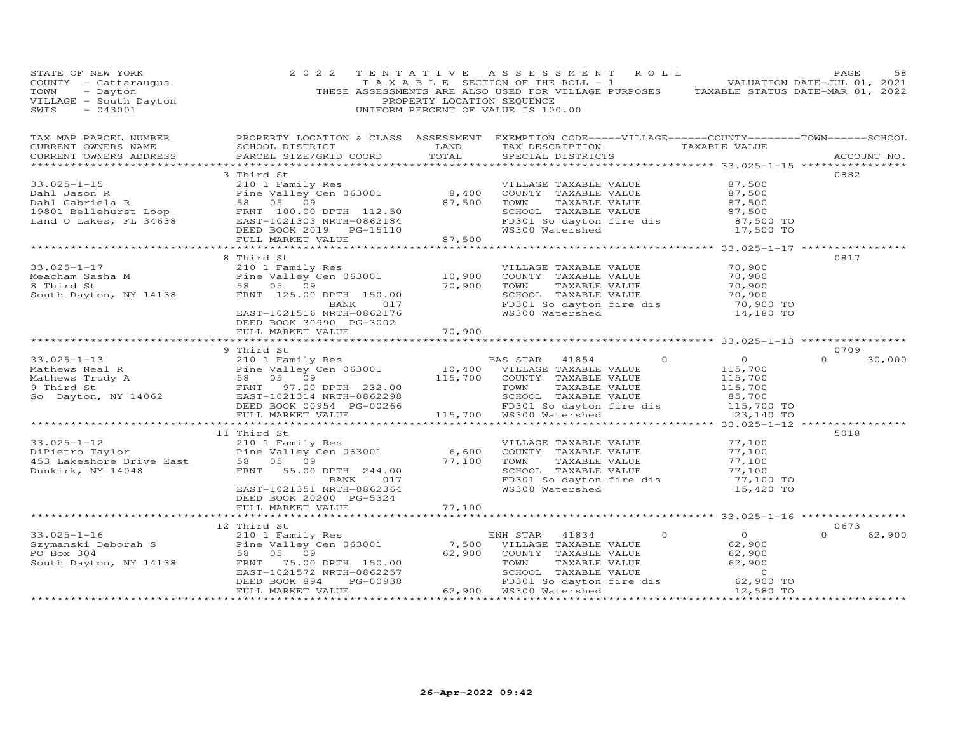| STATE OF NEW YORK<br>COUNTY - Cattaraugus<br>TOWN - Dayton<br>VILLAGE - South Dayton<br>~~~~ - 043001                                                                                                                                                                 | 2 0 2 2                                                                                                               | PROPERTY LOCATION SEQUENCE | TENTATIVE ASSESSMENT ROLL<br>TAXABLE SECTION OF THE ROLL - 1 VALUATION DATE-JUL 01, 2021<br>THESE ASSESSMENTS ARE ALSO USED FOR VILLAGE PURPOSES TAXABLE STATUS DATE-MAR 01, 2022<br>UNIFORM PERCENT OF VALUE IS 100.00 |            | PAGE<br>58         |
|-----------------------------------------------------------------------------------------------------------------------------------------------------------------------------------------------------------------------------------------------------------------------|-----------------------------------------------------------------------------------------------------------------------|----------------------------|-------------------------------------------------------------------------------------------------------------------------------------------------------------------------------------------------------------------------|------------|--------------------|
|                                                                                                                                                                                                                                                                       |                                                                                                                       |                            |                                                                                                                                                                                                                         |            |                    |
|                                                                                                                                                                                                                                                                       |                                                                                                                       |                            |                                                                                                                                                                                                                         |            |                    |
|                                                                                                                                                                                                                                                                       | 3 Third St                                                                                                            |                            |                                                                                                                                                                                                                         |            | 0882               |
|                                                                                                                                                                                                                                                                       |                                                                                                                       |                            |                                                                                                                                                                                                                         |            |                    |
|                                                                                                                                                                                                                                                                       |                                                                                                                       |                            |                                                                                                                                                                                                                         |            |                    |
|                                                                                                                                                                                                                                                                       |                                                                                                                       |                            |                                                                                                                                                                                                                         |            |                    |
|                                                                                                                                                                                                                                                                       |                                                                                                                       |                            |                                                                                                                                                                                                                         |            |                    |
|                                                                                                                                                                                                                                                                       |                                                                                                                       |                            |                                                                                                                                                                                                                         |            |                    |
|                                                                                                                                                                                                                                                                       |                                                                                                                       |                            |                                                                                                                                                                                                                         |            |                    |
|                                                                                                                                                                                                                                                                       |                                                                                                                       |                            |                                                                                                                                                                                                                         |            | 0817               |
|                                                                                                                                                                                                                                                                       |                                                                                                                       |                            |                                                                                                                                                                                                                         |            |                    |
|                                                                                                                                                                                                                                                                       |                                                                                                                       |                            |                                                                                                                                                                                                                         |            |                    |
|                                                                                                                                                                                                                                                                       |                                                                                                                       |                            |                                                                                                                                                                                                                         |            |                    |
|                                                                                                                                                                                                                                                                       |                                                                                                                       |                            |                                                                                                                                                                                                                         |            |                    |
|                                                                                                                                                                                                                                                                       |                                                                                                                       |                            |                                                                                                                                                                                                                         |            |                    |
|                                                                                                                                                                                                                                                                       | DEED BOOK 30990 PG-3002                                                                                               |                            |                                                                                                                                                                                                                         |            |                    |
|                                                                                                                                                                                                                                                                       | FULL MARKET VALUE                                                                                                     | 70,900                     | COUNTY TAXABLE VALUE 70,900<br>TOWN TAXABLE VALUE 70,900<br>SCHOOL TAXABLE VALUE 70,900<br>FD301 So dayton fire dis 70,900 TO<br>WS300 Watershed 14,180 To                                                              |            |                    |
|                                                                                                                                                                                                                                                                       |                                                                                                                       |                            |                                                                                                                                                                                                                         |            |                    |
|                                                                                                                                                                                                                                                                       | 9 Third St                                                                                                            |                            |                                                                                                                                                                                                                         |            | 0709<br>$\Omega$   |
|                                                                                                                                                                                                                                                                       |                                                                                                                       |                            |                                                                                                                                                                                                                         |            | 30,000             |
|                                                                                                                                                                                                                                                                       |                                                                                                                       |                            |                                                                                                                                                                                                                         |            |                    |
|                                                                                                                                                                                                                                                                       |                                                                                                                       |                            |                                                                                                                                                                                                                         |            |                    |
|                                                                                                                                                                                                                                                                       |                                                                                                                       |                            |                                                                                                                                                                                                                         |            |                    |
|                                                                                                                                                                                                                                                                       |                                                                                                                       |                            |                                                                                                                                                                                                                         | 115,700 TO |                    |
| $\begin{array}{ccccccccc} 33.025-1-13 & 210111& 32.00 & 10,400 & 10,400 & 10.401 & 10.400 & 10.400 & 10.400 & 10.400 & 10.400 & 10.400 & 10.400 & 10.400 & 10.400 & 10.400 & 10.400 & 10.400 & 10.400 & 10.400 & 10.400 & 10.400 & 10.400 & 10.400 & 10.400 & 10.400$ |                                                                                                                       |                            |                                                                                                                                                                                                                         | 23,140 TO  |                    |
|                                                                                                                                                                                                                                                                       | 11 Third St                                                                                                           |                            |                                                                                                                                                                                                                         |            | 5018               |
| $33.025 - 1 - 12$                                                                                                                                                                                                                                                     | 11110 SC<br>210 1 Family Res<br>Pine Valley Cen 063001 6,600<br>58 05 09 77,100<br>FRNT 55.00 DPTH 244.00<br>BANK 017 |                            |                                                                                                                                                                                                                         |            |                    |
|                                                                                                                                                                                                                                                                       |                                                                                                                       |                            |                                                                                                                                                                                                                         |            |                    |
|                                                                                                                                                                                                                                                                       |                                                                                                                       |                            |                                                                                                                                                                                                                         |            |                    |
|                                                                                                                                                                                                                                                                       |                                                                                                                       |                            | VILLAGE TAXABLE VALUE 77,100<br>COUNTY TAXABLE VALUE 77,100<br>TOWN TAXABLE VALUE 77,100<br>SCHOOL TAXABLE VALUE 77,100<br>FD301 So dayton fire dis 77,100 TO<br>WS300 Watershed 15,420 TO                              |            |                    |
|                                                                                                                                                                                                                                                                       | BANK 017                                                                                                              |                            |                                                                                                                                                                                                                         |            |                    |
|                                                                                                                                                                                                                                                                       | EAST-1021351 NRTH-0862364<br>DEED BOOK 20200 PG-5324                                                                  |                            |                                                                                                                                                                                                                         |            |                    |
|                                                                                                                                                                                                                                                                       | FULL MARKET VALUE                                                                                                     | 77,100                     |                                                                                                                                                                                                                         |            |                    |
|                                                                                                                                                                                                                                                                       |                                                                                                                       |                            |                                                                                                                                                                                                                         |            |                    |
|                                                                                                                                                                                                                                                                       |                                                                                                                       |                            |                                                                                                                                                                                                                         |            | 0673               |
|                                                                                                                                                                                                                                                                       |                                                                                                                       |                            |                                                                                                                                                                                                                         |            | 62,900<br>$\Omega$ |
|                                                                                                                                                                                                                                                                       |                                                                                                                       |                            |                                                                                                                                                                                                                         |            |                    |
|                                                                                                                                                                                                                                                                       |                                                                                                                       |                            |                                                                                                                                                                                                                         |            |                    |
|                                                                                                                                                                                                                                                                       |                                                                                                                       |                            |                                                                                                                                                                                                                         |            |                    |
|                                                                                                                                                                                                                                                                       |                                                                                                                       |                            |                                                                                                                                                                                                                         |            |                    |
|                                                                                                                                                                                                                                                                       |                                                                                                                       |                            |                                                                                                                                                                                                                         |            |                    |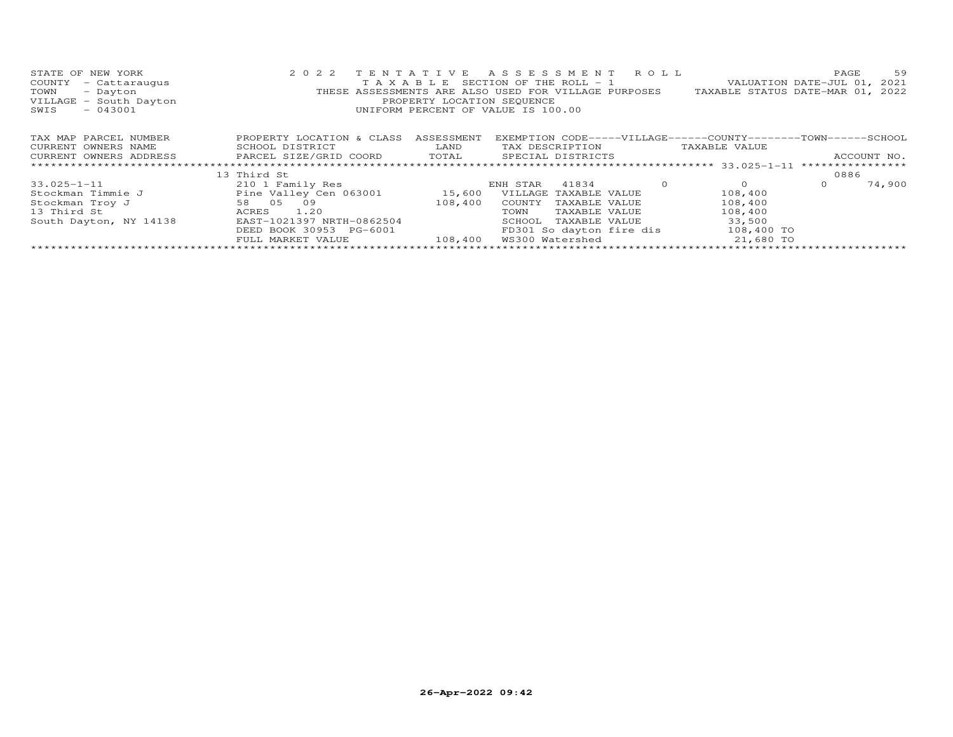| STATE OF NEW YORK<br>COUNTY<br>- Cattaraugus<br>- Dayton<br>TOWN<br>VILLAGE - South Dayton<br>$-043001$<br>SWIS | 2 0 2 2                   | PROPERTY LOCATION SEQUENCE | TENTATIVE ASSESSMENT ROLL<br>T A X A B L E SECTION OF THE ROLL - 1<br>THESE ASSESSMENTS ARE ALSO USED FOR VILLAGE PURPOSES<br>UNIFORM PERCENT OF VALUE IS 100.00 |         | TAXABLE STATUS DATE-MAR 01, 2022                              | PAGE<br>VALUATION DATE-JUL 01, 2021 | 59     |
|-----------------------------------------------------------------------------------------------------------------|---------------------------|----------------------------|------------------------------------------------------------------------------------------------------------------------------------------------------------------|---------|---------------------------------------------------------------|-------------------------------------|--------|
| TAX MAP PARCEL NUMBER                                                                                           | PROPERTY LOCATION & CLASS | ASSESSMENT                 |                                                                                                                                                                  |         | EXEMPTION CODE-----VILLAGE------COUNTY-------TOWN------SCHOOL |                                     |        |
| CURRENT OWNERS NAME                                                                                             | SCHOOL DISTRICT           | LAND                       | TAX DESCRIPTION                                                                                                                                                  |         | TAXABLE VALUE                                                 |                                     |        |
| CURRENT OWNERS ADDRESS 6 PARCEL SIZE/GRID COORD 6 TOTAL 5 SPECIAL DISTRICTS                                     |                           |                            |                                                                                                                                                                  |         |                                                               | ACCOUNT NO.                         |        |
|                                                                                                                 |                           |                            |                                                                                                                                                                  |         |                                                               |                                     |        |
|                                                                                                                 | 13 Third St               |                            |                                                                                                                                                                  |         |                                                               | 0886                                |        |
| 33.025-1-11                                                                                                     | 210 1 Family Res          |                            | 41834<br>ENH STAR                                                                                                                                                | $\circ$ | $\circ$                                                       | $\circ$                             | 74,900 |
| Stockman Timmie J                                                                                               | Pine Valley Cen 063001    | 15,600                     | VILLAGE TAXABLE VALUE                                                                                                                                            |         | 108,400                                                       |                                     |        |
| Stockman Troy J                                                                                                 | 58 05 09                  | 108,400                    | COUNTY<br>TAXABLE VALUE                                                                                                                                          |         | 108,400                                                       |                                     |        |
| 13 Third St                                                                                                     | 1.20<br>ACRES             |                            | TOWN<br>TAXABLE VALUE                                                                                                                                            |         | 108,400                                                       |                                     |        |
| South Dayton, NY 14138                                                                                          | EAST-1021397 NRTH-0862504 |                            | SCHOOL<br>TAXABLE VALUE                                                                                                                                          |         | 33,500                                                        |                                     |        |
|                                                                                                                 | DEED BOOK 30953 PG-6001   |                            | FD301 So dayton fire dis                                                                                                                                         |         | 108,400 TO                                                    |                                     |        |
|                                                                                                                 | FULL MARKET VALUE         | 108,400                    | WS300 Watershed                                                                                                                                                  |         | 21,680 TO                                                     |                                     |        |
|                                                                                                                 |                           |                            |                                                                                                                                                                  |         |                                                               |                                     |        |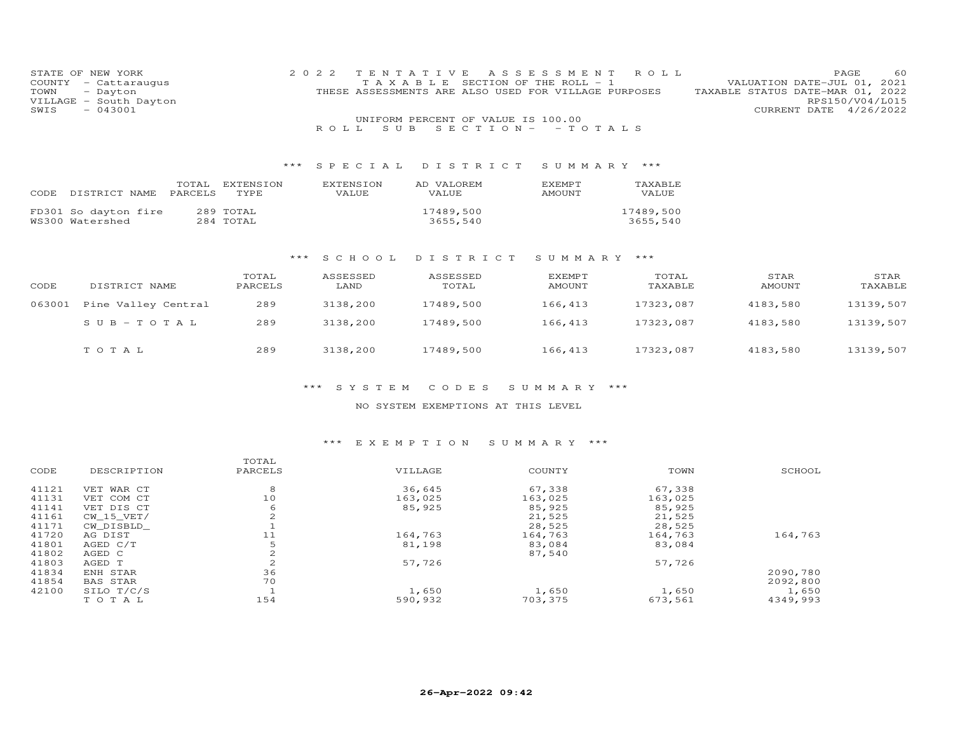| STATE OF NEW YORK                 | 2 0 2 2   | T E N T A T T V E |                                                      | A S S E S S M E N T     | R O L L   | PAGE                             | -60             |
|-----------------------------------|-----------|-------------------|------------------------------------------------------|-------------------------|-----------|----------------------------------|-----------------|
| COUNTY<br>- Cattaraugus           |           | TAXABLE           |                                                      | SECTION OF THE ROLL - 1 |           | VALUATION DATE-JUL 01, 2021      |                 |
| TOWN<br>- Dayton                  |           |                   | THESE ASSESSMENTS ARE ALSO USED FOR VILLAGE PURPOSES |                         |           | TAXABLE STATUS DATE-MAR 01, 2022 |                 |
| VILLAGE<br>- South Dayton         |           |                   |                                                      |                         |           |                                  | RPS150/V04/L015 |
| $-043001$<br>SWIS                 |           |                   |                                                      |                         |           | CURRENT DATE 4/26/2022           |                 |
|                                   |           |                   | UNIFORM PERCENT OF VALUE IS 100.00                   |                         |           |                                  |                 |
|                                   |           | S U B<br>ROLL.    | $S E C T I O N -$                                    | $-TOTALS$               |           |                                  |                 |
|                                   |           |                   |                                                      |                         |           |                                  |                 |
|                                   |           |                   |                                                      |                         |           |                                  |                 |
|                                   |           |                   |                                                      |                         |           |                                  |                 |
|                                   | ***       | SPECIAL           | DISTRICT                                             | SUMMARY ***             |           |                                  |                 |
|                                   |           |                   |                                                      |                         |           |                                  |                 |
| TOTAL                             | EXTENSION | EXTENSION         | AD VALOREM                                           | EXEMPT                  | TAXABLE   |                                  |                 |
| DISTRICT NAME<br>PARCELS<br>CODE  | TYPE      | VALUE             | VALUE                                                | AMOUNT                  | VALUE     |                                  |                 |
| 289 TOTAL<br>FD301 So dayton fire |           |                   | 17489,500                                            |                         | 17489,500 |                                  |                 |
| WS300 Watershed<br>284 TOTAL      |           |                   | 3655,540                                             |                         | 3655,540  |                                  |                 |
|                                   |           |                   |                                                      |                         |           |                                  |                 |
|                                   |           |                   |                                                      |                         |           |                                  |                 |
|                                   |           |                   |                                                      |                         |           |                                  |                 |
|                                   | ***       | SCHOOL            | DISTRICT                                             | SUMMARY ***             |           |                                  |                 |
|                                   |           |                   |                                                      |                         |           |                                  |                 |
|                                   | TOTAL     | ASSESSED          | ASSESSED                                             | <b>EXEMPT</b>           | TOTAL     | STAR                             | STAR            |
| CODE<br>DISTRICT NAME             | PARCELS   | LAND              | TOTAL                                                | AMOUNT                  | TAXABLE   | <b>AMOUNT</b>                    | TAXABLE         |

| 063001 | Pine Valley Central | 289 | 3138,200 | 17489,500 | 166,413 | 17323,087 | 4183,580 | 13139,507 |
|--------|---------------------|-----|----------|-----------|---------|-----------|----------|-----------|
|        | $SUB - TO T AL$     | 289 | 3138,200 | 17489,500 | 166,413 | 17323,087 | 4183,580 | 13139,507 |
|        | TOTAL               | 289 | 3138,200 | 17489,500 | 166,413 | 17323,087 | 4183,580 | 13139,507 |

## NO SYSTEM EXEMPTIONS AT THIS LEVEL

# \*\*\* E X E M P T I O N S U M M A R Y \*\*\*

| CODE  | DESCRIPTION     | TOTAL<br>PARCELS | VILLAGE | COUNTY  | TOWN    | SCHOOL   |
|-------|-----------------|------------------|---------|---------|---------|----------|
| 41121 | VET WAR CT      | 8                | 36,645  | 67,338  | 67,338  |          |
| 41131 | VET COM CT      | 10               | 163,025 | 163,025 | 163,025 |          |
| 41141 | VET DIS CT      | 6                | 85,925  | 85,925  | 85,925  |          |
| 41161 | CW 15 VET/      | 2                |         | 21,525  | 21,525  |          |
| 41171 | CW DISBLD       |                  |         | 28,525  | 28,525  |          |
| 41720 | AG DIST         | 11               | 164,763 | 164,763 | 164,763 | 164,763  |
| 41801 | AGED C/T        | 5                | 81,198  | 83,084  | 83,084  |          |
| 41802 | AGED C          | 2                |         | 87,540  |         |          |
| 41803 | AGED T          | $\overline{c}$   | 57,726  |         | 57,726  |          |
| 41834 | ENH STAR        | 36               |         |         |         | 2090,780 |
| 41854 | <b>BAS STAR</b> | 70               |         |         |         | 2092,800 |
| 42100 | SILO T/C/S      |                  | 1,650   | 1,650   | 1,650   | 1,650    |
|       | TOTAL           | 154              | 590,932 | 703,375 | 673,561 | 4349,993 |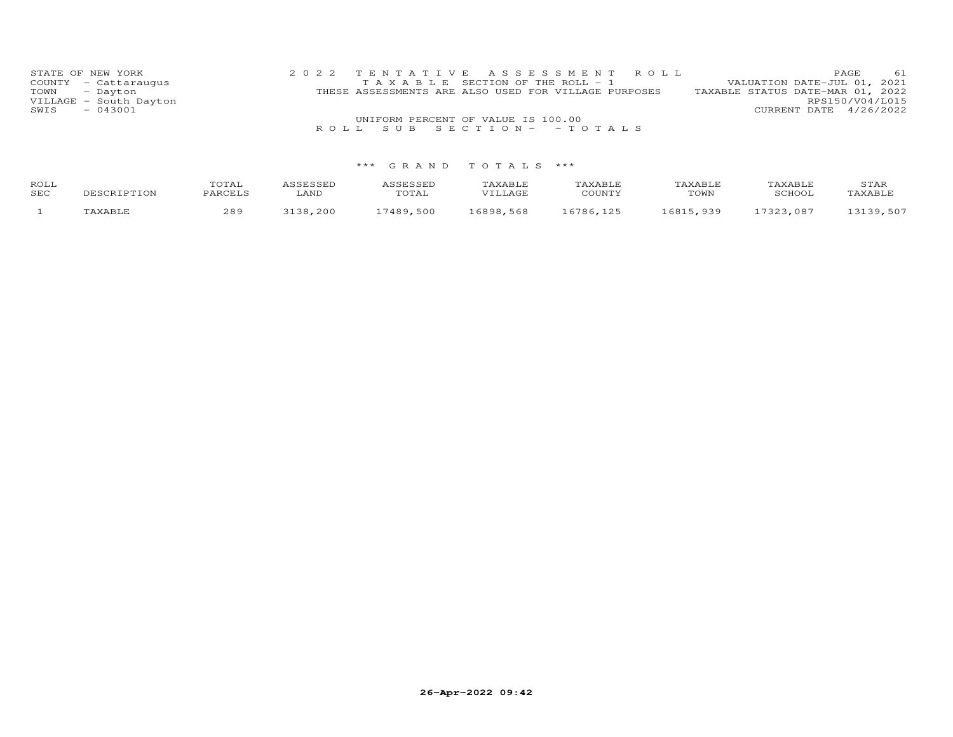| STATE OF NEW YORK      | 2022 TENTATIVE ASSESSMENT ROLL                       | PAGE 61                          |
|------------------------|------------------------------------------------------|----------------------------------|
| COUNTY - Cattaraugus   | T A X A B L E SECTION OF THE ROLL - 1                | VALUATION DATE-JUL 01, 2021      |
| TOWN - Dayton          | THESE ASSESSMENTS ARE ALSO USED FOR VILLAGE PURPOSES | TAXABLE STATUS DATE-MAR 01, 2022 |
| VILLAGE - South Dayton |                                                      | RPS150/V04/L015                  |
| $-043001$<br>SWIS      |                                                      | CURRENT DATE 4/26/2022           |
|                        | UNIFORM PERCENT OF VALUE IS 100.00                   |                                  |
|                        | ROLL SUB SECTION- - TOTALS                           |                                  |

| ROLL<br>SEC | DESCRIPTION | <b>TOTAL</b><br>PARCELS | <i><b>SSESSEL</b></i><br>LAND | ASSESSED<br>TOTAL | TAXABLE<br>JTTJJAGE | TAXABLE<br>COUNTY | TAXABLE<br>TOWN | TAXABLE<br>SCHOOL | STAR<br>TAXABLE |
|-------------|-------------|-------------------------|-------------------------------|-------------------|---------------------|-------------------|-----------------|-------------------|-----------------|
|             | 'AXABLE     | 289                     | 3138,200                      | 17489,500         | 16898.568           | 6786,125          | 16815,939       | 17323.087         | 13139,507       |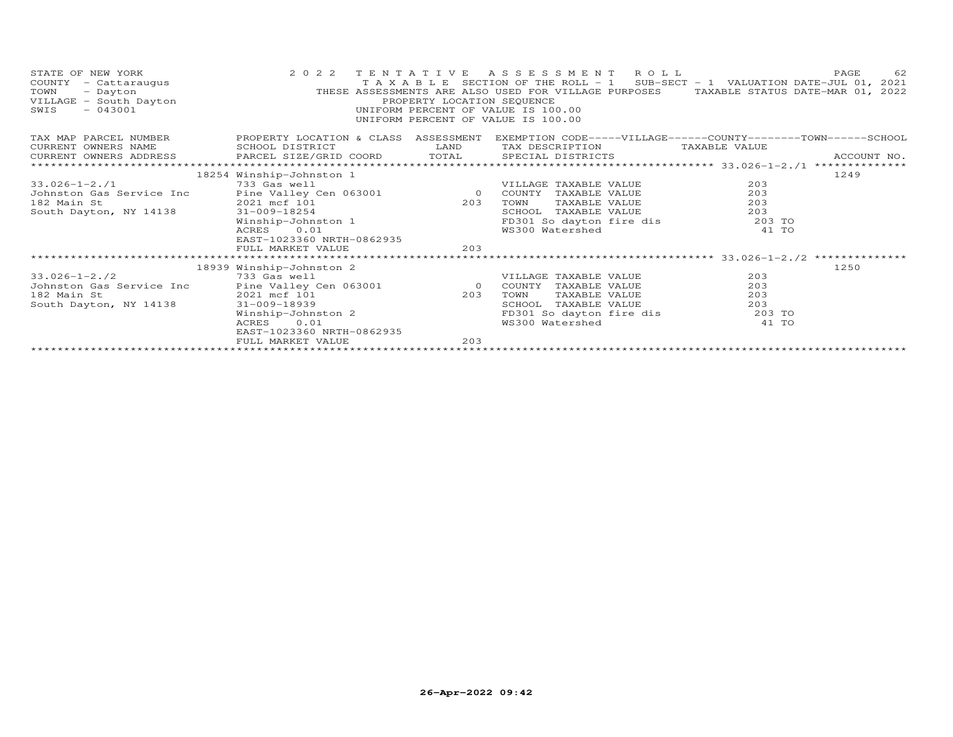| STATE OF NEW YORK<br>COUNTY - Cattaraugus<br>TOWN<br>- Dayton<br>VILLAGE - South Dayton<br>$-043001$<br>SWIS | 2 0 2 2                                                 | PROPERTY LOCATION SEQUENCE | TENTATIVE ASSESSMENT ROLL<br>T A X A B L E SECTION OF THE ROLL - 1 SUB-SECT - 1 VALUATION DATE-JUL 01, 2021<br>THESE ASSESSMENTS ARE ALSO USED FOR VILLAGE PURPOSES TAXABLE STATUS DATE-MAR 01, 2022<br>UNIFORM PERCENT OF VALUE IS 100.00<br>UNIFORM PERCENT OF VALUE IS 100.00 |               | 62<br>PAGE |
|--------------------------------------------------------------------------------------------------------------|---------------------------------------------------------|----------------------------|----------------------------------------------------------------------------------------------------------------------------------------------------------------------------------------------------------------------------------------------------------------------------------|---------------|------------|
| TAX MAP PARCEL NUMBER<br>CURRENT OWNERS NAME                                                                 | PROPERTY LOCATION & CLASS ASSESSMENT<br>SCHOOL DISTRICT | LAND                       | EXEMPTION CODE-----VILLAGE------COUNTY--------TOWN------SCHOOL<br>TAX DESCRIPTION                                                                                                                                                                                                | TAXABLE VALUE |            |
| CURRENT OWNERS ADDRESS<br>*************************                                                          |                                                         |                            | PARCEL SIZE/GRID COORD TOTAL SPECIAL DISTRICTS ACCOUNT NO. ACCOUNT NO. AREA ARRESTS AND MALL ASSAMATION ASSAMATION AND A THE SERIAL DISTRICTS AND MALL AND MALL AND MALL AND MALL AND MALL AND MALL AND MALL AND MALL AND MALL                                                   |               |            |
|                                                                                                              |                                                         |                            |                                                                                                                                                                                                                                                                                  |               |            |
|                                                                                                              | 18254 Winship-Johnston 1<br>733 Gas well                |                            |                                                                                                                                                                                                                                                                                  | 203           | 1249       |
| $33.026 - 1 - 2.71$                                                                                          |                                                         |                            | VILLAGE TAXABLE VALUE                                                                                                                                                                                                                                                            | 203           |            |
| Johnston Gas Service Inc<br>182 Main St                                                                      | Pine Valley Cen 063001 0 COUNTY<br>2021 mcf 101         | 203                        | TAXABLE VALUE<br>TOWN<br>TAXABLE VALUE                                                                                                                                                                                                                                           | 203           |            |
|                                                                                                              |                                                         |                            |                                                                                                                                                                                                                                                                                  |               |            |
| South Dayton, NY 14138                                                                                       | 31-009-18254                                            |                            | TAXABLE VALUE<br>SCHOOL                                                                                                                                                                                                                                                          | 203           |            |
|                                                                                                              | Winship-Johnston 1                                      |                            | FD301 So dayton fire dis                                                                                                                                                                                                                                                         | 203 TO        |            |
|                                                                                                              | 0.01<br>ACRES                                           |                            | WS300 Watershed                                                                                                                                                                                                                                                                  | 41 TO         |            |
|                                                                                                              | EAST-1023360 NRTH-0862935                               |                            |                                                                                                                                                                                                                                                                                  |               |            |
|                                                                                                              | FULL MARKET VALUE                                       | 203                        |                                                                                                                                                                                                                                                                                  |               |            |
|                                                                                                              |                                                         |                            |                                                                                                                                                                                                                                                                                  |               |            |
|                                                                                                              | 18939 Winship-Johnston 2                                |                            |                                                                                                                                                                                                                                                                                  |               | 1250       |
| $33.026 - 1 - 2.72$                                                                                          | 733 Gas well                                            |                            | VILLAGE TAXABLE VALUE                                                                                                                                                                                                                                                            | 203           |            |
| Johnston Gas Service Inc                                                                                     | Pine Valley Cen 063001                                  |                            | 0 COUNTY TAXABLE VALUE                                                                                                                                                                                                                                                           | 203           |            |
| 182 Main St                                                                                                  | 2021 mcf 101                                            | 203                        | TAXABLE VALUE<br>TOWN                                                                                                                                                                                                                                                            | 203           |            |
| South Dayton, NY 14138                                                                                       | $31 - 009 - 18939$                                      |                            | TAXABLE VALUE<br>SCHOOL                                                                                                                                                                                                                                                          | 203           |            |
|                                                                                                              | Winship-Johnston 2                                      |                            | FD301 So dayton fire dis 303 TO                                                                                                                                                                                                                                                  |               |            |
|                                                                                                              | ACRES<br>0.01                                           |                            | WS300 Watershed                                                                                                                                                                                                                                                                  | 41 TO         |            |
|                                                                                                              | EAST-1023360 NRTH-0862935                               |                            |                                                                                                                                                                                                                                                                                  |               |            |
|                                                                                                              | FULL MARKET VALUE                                       | 203                        |                                                                                                                                                                                                                                                                                  |               |            |
|                                                                                                              |                                                         |                            |                                                                                                                                                                                                                                                                                  |               |            |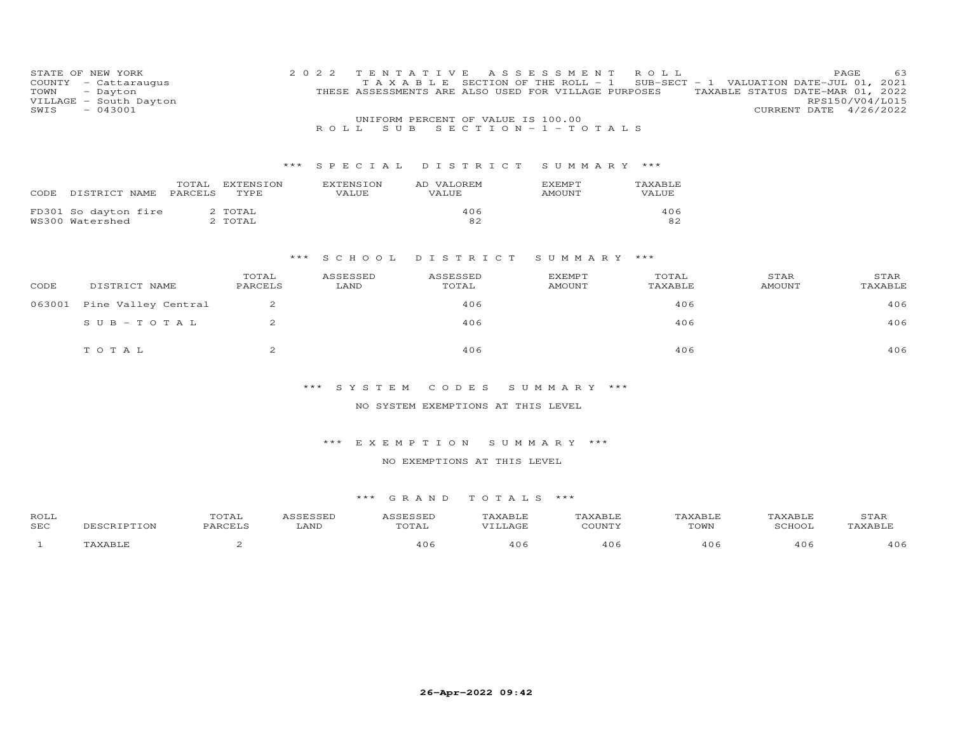| STATE OF NEW YORK<br>COUNTY<br>- Cattaraugus<br>TOWN<br>- Dayton<br>VILLAGE<br>- South Dayton<br>$-043001$<br>SWIS | 2 0 2 2 | T E N T A T<br>TAXABLE | T V F.<br>THESE ASSESSMENTS ARE ALSO USED FOR VILLAGE PURPOSES | ASSESSMENT<br>SECTION OF THE ROLL - 1 | ROLL             | PAGE<br>SUB-SECT - 1 VALUATION DATE-JUL 01,<br>TAXABLE STATUS DATE-MAR 01, 2022<br>RPS150/V04/L015<br>CURRENT DATE 4/26/2022 | 63<br>2021 |
|--------------------------------------------------------------------------------------------------------------------|---------|------------------------|----------------------------------------------------------------|---------------------------------------|------------------|------------------------------------------------------------------------------------------------------------------------------|------------|
|                                                                                                                    |         |                        | UNIFORM PERCENT OF VALUE IS 100.00                             |                                       |                  |                                                                                                                              |            |
|                                                                                                                    |         | S U B<br>R O L L       | $S E C T I O N - 1 - T O T A L S$                              |                                       |                  |                                                                                                                              |            |
|                                                                                                                    |         |                        |                                                                |                                       |                  |                                                                                                                              |            |
|                                                                                                                    |         |                        |                                                                |                                       |                  |                                                                                                                              |            |
|                                                                                                                    | ***     | S P E C I A L          | DISTRICT                                                       | SUMMARY ***                           |                  |                                                                                                                              |            |
| TOTAL<br>EXTENSION<br>DISTRICT NAME<br>PARCELS<br>TYPE<br>CODE                                                     |         | EXTENSION<br>VALUE     | AD VALOREM<br>VALUE                                            | EXEMPT<br>AMOUNT                      | TAXABLE<br>VALUE |                                                                                                                              |            |
| FD301 So dayton fire<br>2 TOTAL<br>WS300 Watershed<br>2 TOTAL                                                      |         |                        | 406<br>82                                                      |                                       | 406<br>82        |                                                                                                                              |            |
|                                                                                                                    |         |                        |                                                                |                                       |                  |                                                                                                                              |            |
|                                                                                                                    | ***     | S C H O O L            | DISTRICT                                                       | SUMMARY ***                           |                  |                                                                                                                              |            |
| TOTAL<br>CODE<br>DISTRICT NAME<br>PARCELS                                                                          |         | ASSESSED<br>LAND       | ASSESSED<br>TOTAL                                              | EXEMPT<br><b>AMOUNT</b>               | TOTAL<br>TAXABLE | STAR<br>TAXABLE<br><b>AMOUNT</b>                                                                                             | STAR       |

| 063001 Pine Valley Central | 406   | 406  | 406 |
|----------------------------|-------|------|-----|
| SUB-TOTAL                  | 406   | 406  | 406 |
| тотат                      | 4 O E | 40 F | 406 |

NO SYSTEM EXEMPTIONS AT THIS LEVEL

## \*\*\* E X E M P T I O N S U M M A R Y \*\*\*

## NO EXEMPTIONS AT THIS LEVEL

| ROLL       |             | TOTAL   | ASSESSED | ASSESSED | TAXABLE | TAXABLE | TAXABLE | TAXABLE | STAR    |
|------------|-------------|---------|----------|----------|---------|---------|---------|---------|---------|
| <b>SEC</b> | DESCRIPTION | PARCELS | LAND     | TOTAL    | VILLAGE | COUNTY  | TOWN    | SCHOOL  | TAXABLE |
|            | TAXABLE     |         |          | 4 ೧ 6    | 406     | 406     | 406     | 406     | 406     |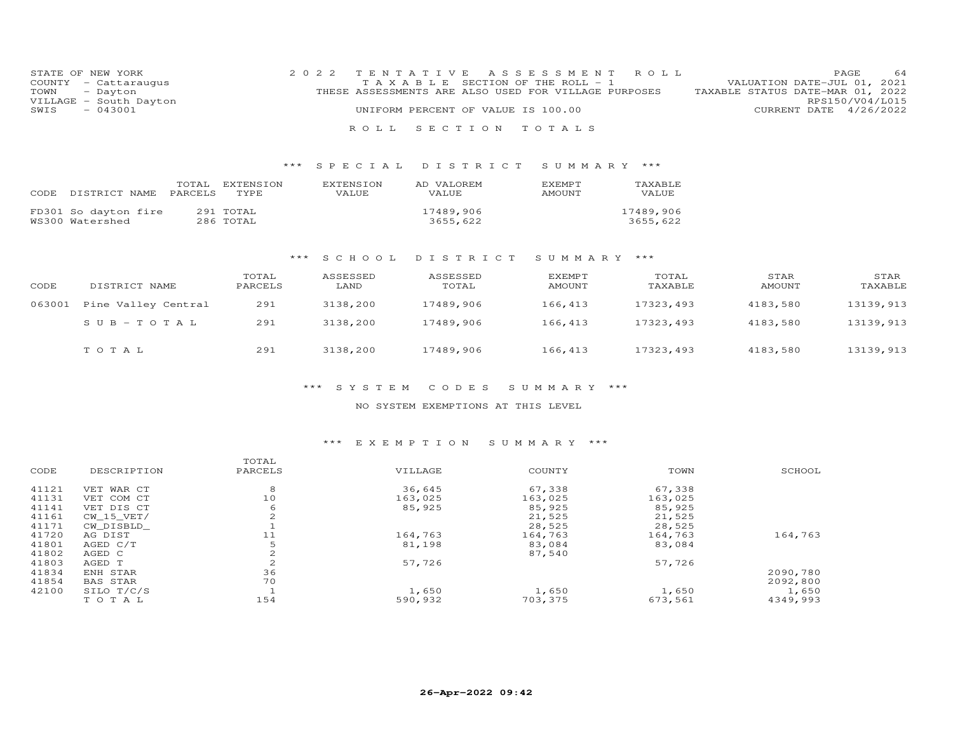|      | STATE OF NEW YORK      | 2022 TENTATIVE ASSESSMENT ROLL                       |  |                                  |                        | <b>PAGE</b> | 64 |
|------|------------------------|------------------------------------------------------|--|----------------------------------|------------------------|-------------|----|
|      | COUNTY - Cattaraugus   | TAXABLE SECTION OF THE ROLL - 1                      |  | VALUATION DATE-JUL 01, 2021      |                        |             |    |
|      | TOWN - Dayton          | THESE ASSESSMENTS ARE ALSO USED FOR VILLAGE PURPOSES |  | TAXABLE STATUS DATE-MAR 01, 2022 |                        |             |    |
|      | VILLAGE - South Dayton |                                                      |  |                                  | RPS150/V04/L015        |             |    |
| SWIS | $-043001$              | UNIFORM PERCENT OF VALUE IS 100.00                   |  |                                  | CURRENT DATE 4/26/2022 |             |    |
|      |                        |                                                      |  |                                  |                        |             |    |

R O L L S E C T I O N T O T A L S

## \*\*\* S P E C I A L D I S T R I C T S U M M A R Y \*\*\*

| CODE | DISTRICT NAME                           | TOTAL<br>PARCELS | EXTENSION<br><b>TYPE</b> | <b>EXTENSION</b><br><b>VALUE</b> | AD VALOREM<br><b>VALUE</b> | <b>FXFMPT</b><br><b>AMOUNT</b> | TAXABLE<br>VALUE      |
|------|-----------------------------------------|------------------|--------------------------|----------------------------------|----------------------------|--------------------------------|-----------------------|
|      | FD301 So dayton fire<br>WS300 Watershed |                  | 291 TOTAL<br>286 TOTAL   |                                  | 17489,906<br>3655,622      |                                | 17489,906<br>3655,622 |

## \*\*\* S C H O O L D I S T R I C T S U M M A R Y \*\*\*

| CODE   | DISTRICT NAME       | TOTAL<br>PARCELS | ASSESSED<br>LAND | ASSESSED<br>TOTAL | EXEMPT<br>AMOUNT | TOTAL<br>TAXABLE | STAR<br>AMOUNT | STAR<br>TAXABLE |
|--------|---------------------|------------------|------------------|-------------------|------------------|------------------|----------------|-----------------|
| 063001 | Pine Valley Central | 291              | 3138,200         | 17489,906         | 166,413          | 17323,493        | 4183,580       | 13139,913       |
|        | $SUB-TOTAL$         | 291              | 3138,200         | 17489,906         | 166,413          | 17323,493        | 4183,580       | 13139,913       |
|        | TOTAL               | 291              | 3138,200         | 17489,906         | 166,413          | 17323,493        | 4183,580       | 13139,913       |

## \*\*\* S Y S T E M C O D E S S U M M A R Y \*\*\*

#### NO SYSTEM EXEMPTIONS AT THIS LEVEL

## \*\*\* E X E M P T I O N S U M M A R Y \*\*\*

|       |                 | TOTAL          |         |         |         |          |
|-------|-----------------|----------------|---------|---------|---------|----------|
| CODE  | DESCRIPTION     | PARCELS        | VILLAGE | COUNTY  | TOWN    | SCHOOL   |
| 41121 | VET WAR CT      | 8              | 36,645  | 67,338  | 67,338  |          |
| 41131 | VET COM CT      | 10             | 163,025 | 163,025 | 163,025 |          |
| 41141 | VET DIS CT      | 6              | 85,925  | 85,925  | 85,925  |          |
| 41161 | CW 15 VET/      | $\overline{c}$ |         | 21,525  | 21,525  |          |
| 41171 | CW DISBLD       |                |         | 28,525  | 28,525  |          |
| 41720 | AG DIST         | 11             | 164,763 | 164,763 | 164,763 | 164,763  |
| 41801 | AGED C/T        |                | 81,198  | 83,084  | 83,084  |          |
| 41802 | AGED C          | 2              |         | 87,540  |         |          |
| 41803 | AGED T          | $\overline{c}$ | 57.726  |         | 57,726  |          |
| 41834 | ENH STAR        | 36             |         |         |         | 2090,780 |
| 41854 | <b>BAS STAR</b> | 70             |         |         |         | 2092,800 |
| 42100 | SILO T/C/S      |                | 1,650   | 1,650   | 1,650   | 1,650    |
|       | TOTAL           | 154            | 590,932 | 703,375 | 673,561 | 4349,993 |
|       |                 |                |         |         |         |          |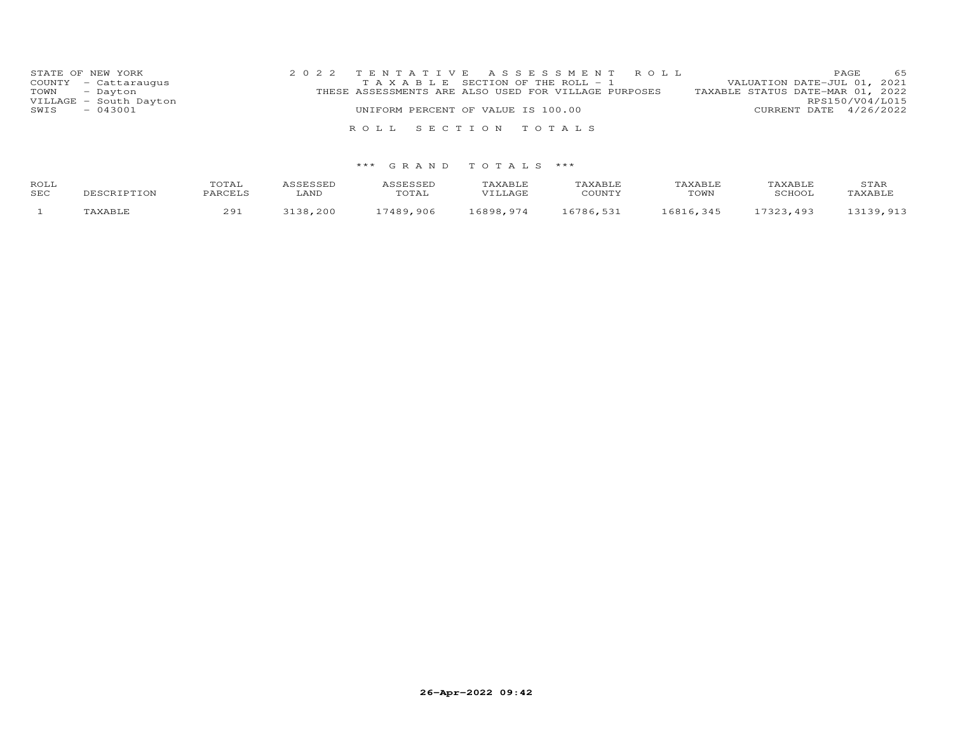| STATE OF NEW YORK<br>COUNTY - Cattaraugus | 2022 TENTATIVE ASSESSMENT ROLL<br>T A X A B L E SECTION OF THE ROLL - 1 | 65<br>PAGE<br>VALUATION DATE-JUL 01, 2021           |
|-------------------------------------------|-------------------------------------------------------------------------|-----------------------------------------------------|
| TOWN - Dayton<br>VILLAGE - South Dayton   | THESE ASSESSMENTS ARE ALSO USED FOR VILLAGE PURPOSES                    | TAXABLE STATUS DATE-MAR 01, 2022<br>RPS150/V04/L015 |
| $-043001$<br>SWIS                         | UNIFORM PERCENT OF VALUE IS 100.00                                      | CURRENT DATE 4/26/2022                              |
|                                           | ROLL SECTION TOTALS                                                     |                                                     |

| ROLL | DESCRIPTION | TOTAL   | ASSESSED | ASSESSED | TAXABLE  | TAXABLE   | TAXABLE   | TAXABLE   | STAR      |
|------|-------------|---------|----------|----------|----------|-----------|-----------|-----------|-----------|
| SEC  |             | PARCELS | ∟AND     | TOTAL    | VILLAGE  | COUNTY    | TOWN      | SCHOOL    | TAXABLE   |
|      | TAXABLE     | 291     | 3138,200 | 7489.906 | 6898.974 | 16786,531 | 16816.345 | 17323,493 | 13139,913 |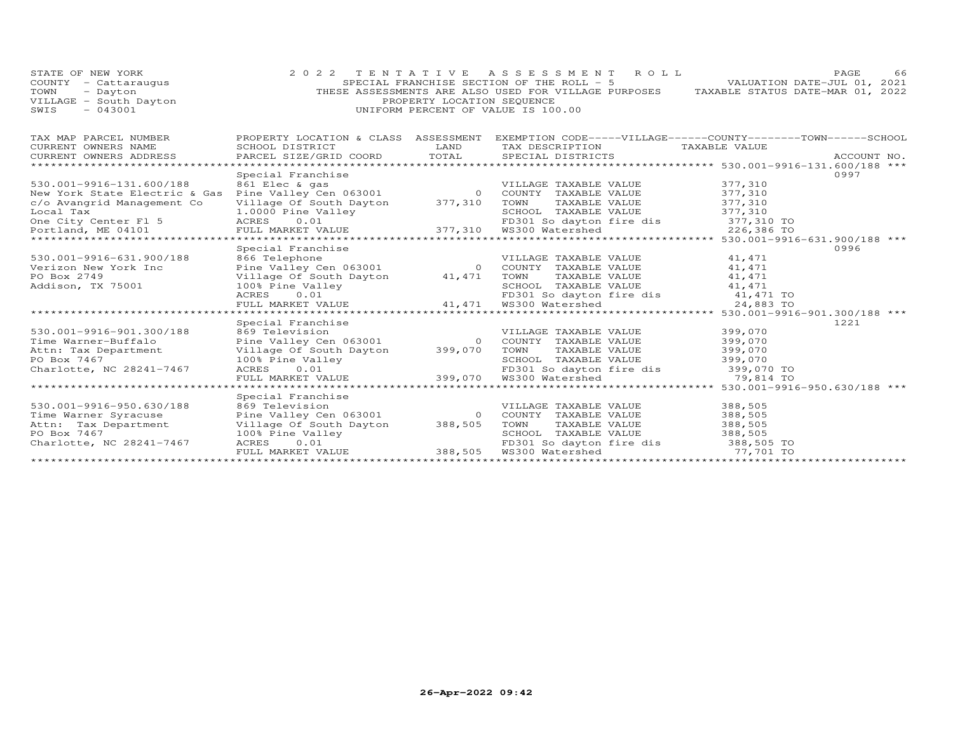| STATE OF NEW YORK<br>COUNTY - Cattaraugus<br>TOWN<br>- Dayton<br>VILLAGE - South Dayton<br>SWIS<br>$-043001$                                                                                                                                                                                                       |                                                                                                                                                    | PROPERTY LOCATION SEQUENCE           | 2022 TENTATIVE ASSESSMENT ROLL<br>SPECIAL FRANCHISE SECTION OF THE ROLL - 5<br>THESE ASSESSMENTS ARE ALSO USED FOR VILLAGE PURPOSES<br>UNIFORM PERCENT OF VALUE IS 100.00 | TAXABLE STATUS DATE-MAR 01, 2022                                     | PAGE<br>66<br>VALUATION DATE-JUL 01, 2021 |
|--------------------------------------------------------------------------------------------------------------------------------------------------------------------------------------------------------------------------------------------------------------------------------------------------------------------|----------------------------------------------------------------------------------------------------------------------------------------------------|--------------------------------------|---------------------------------------------------------------------------------------------------------------------------------------------------------------------------|----------------------------------------------------------------------|-------------------------------------------|
| TAX MAP PARCEL NUMBER<br>CURRENT OWNERS NAME<br>CURRENT OWNERS ADDRESS<br>******************************                                                                                                                                                                                                           | PROPERTY LOCATION & CLASS ASSESSMENT<br>SCHOOL DISTRICT<br>PARCEL SIZE/GRID COORD                                                                  | LAND<br>TOTAL                        | EXEMPTION CODE-----VILLAGE------COUNTY-------TOWN------SCHOOL<br>TAX DESCRIPTION<br>SPECIAL DISTRICTS                                                                     | TAXABLE VALUE                                                        | ACCOUNT NO.                               |
| 530.001-9916-131.600/188<br>odition of the whole the seasure of the country that the seasure of the value of the value of the value of the<br>New York State Electric & Gas Pine Valley Cen 063001 Mew York TAXABLE VALUE<br>c/o Avangrid Management Co<br>Local Tax<br>One City Center Fl 5<br>Portland, ME 04101 | Special Franchise<br>861 Elec & gas<br>Village Of South Dayton 377,310<br>1.0000 Pine Valley<br>ACRES<br>0.01<br>FULL MARKET VALUE                 |                                      | VILLAGE TAXABLE VALUE<br>TOWN<br>TAXABLE VALUE<br>SCHOOL TAXABLE VALUE<br>SCHOOL TAXABLE<br>FD301 So dayton<br>377,310 WS300 Watershed<br>FD301 So dayton fire dis        | 377,310<br>377,310<br>377,310<br>377,310<br>377,310 TO<br>226,386 TO | 0997                                      |
| 530.001-9916-631.900/188<br>Verizon New York Inc<br>PO Box 2749<br>Addison, TX 75001                                                                                                                                                                                                                               | Special Franchise<br>866 Telephone<br>Village Of South Dayton 41,471<br>100% Pine Valley<br>ACRES<br>0.01<br>FULL MARKET VALUE                     |                                      | VILLAGE TAXABLE VALUE<br>TOWN<br>TAXABLE VALUE<br>SCHOOL TAXABLE VALUE<br>$F$ D301 So dayton<br>41,471 WS300 Watershed<br>FD301 So dayton fire dis                        | 41,471<br>41,471<br>41, 471<br>41,471<br>41,471 TO<br>24,883 TO      | 0996                                      |
| ******************************<br>530.001-9916-901.300/188<br>Time Warner-Buffalo<br>Attn: Tax Department<br>PO Box 7467<br>Charlotte, NC 28241-7467                                                                                                                                                               | Special Franchise<br>869 Television<br>Pine Valley Cen 063001<br>Village Of South Dayton<br>100% Pine Valley<br>ACRES<br>0.01<br>FULL MARKET VALUE | 399,070<br>399,070                   | VILLAGE TAXABLE VALUE<br>0 COUNTY TAXABLE VALUE<br>TOWN<br>TAXABLE VALUE<br>SCHOOL TAXABLE VALUE<br>FD301 So dayton fire dis<br>WS300 Watershed                           | 399,070<br>399,070<br>399,070<br>399,070<br>399,070 TO<br>79,814 TO  | 1221                                      |
| 530.001-9916-950.630/188<br>Time Warner Syracuse<br>Attn: Tax Department<br>PO Box 7467<br>Charlotte, NC 28241-7467                                                                                                                                                                                                | Special Franchise<br>869 Television<br>Pine Valley Cen 063001<br>Village Of South Dayton<br>100% Pine Valley<br>0.01<br>ACRES<br>FULL MARKET VALUE | $\overline{0}$<br>388,505<br>388,505 | VILLAGE TAXABLE VALUE<br>COUNTY TAXABLE VALUE<br>TOWN<br>TAXABLE VALUE<br>SCHOOL TAXABLE VALUE<br>FD301 So dayton fire dis 388,505 TO<br>WS300 Watershed                  | 388,505<br>388,505<br>388,505<br>388,505<br>77,701 TO                |                                           |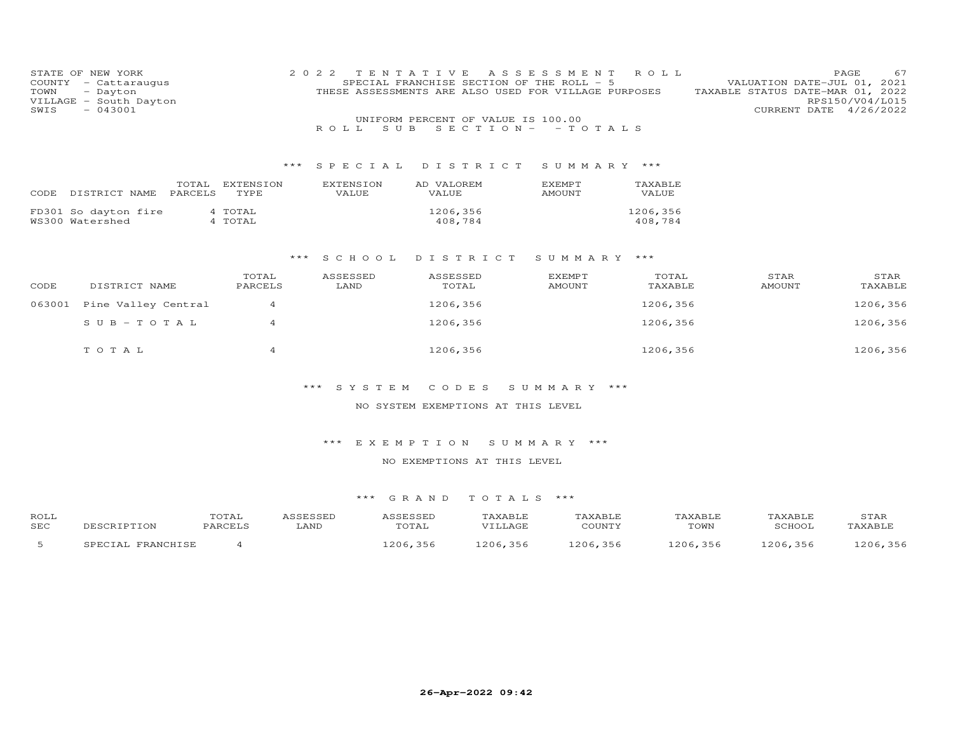| COUNTY<br>TOWN<br>VILLAGE<br>SWIS | STATE OF NEW YORK<br>- Cattaraugus<br>- Dayton<br>- South Dayton<br>$-043001$ |           | 2 0 2 2          | TENTATIVE<br>SPECIAL FRANCHISE SECTION OF THE ROLL - 5<br>THESE ASSESSMENTS ARE ALSO USED FOR VILLAGE PURPOSES | A S S E S S M E N T | ROLL     | TAXABLE STATUS DATE-MAR 01, 2022<br>CURRENT DATE | 67<br>PAGE<br>VALUATION DATE-JUL 01, 2021<br>RPS150/V04/L015<br>4/26/2022 |
|-----------------------------------|-------------------------------------------------------------------------------|-----------|------------------|----------------------------------------------------------------------------------------------------------------|---------------------|----------|--------------------------------------------------|---------------------------------------------------------------------------|
|                                   |                                                                               |           | S U B<br>ROLL.   | UNIFORM PERCENT OF VALUE IS 100.00<br>$S E C T I O N -$                                                        | $-TOTALS$           |          |                                                  |                                                                           |
|                                   |                                                                               |           |                  |                                                                                                                |                     |          |                                                  |                                                                           |
|                                   |                                                                               |           |                  | *** SPECIAL DISTRICT                                                                                           | SUMMARY ***         |          |                                                  |                                                                           |
|                                   | TOTAL                                                                         | EXTENSION | <b>EXTENSION</b> | AD VALOREM                                                                                                     | <b>EXEMPT</b>       | TAXABLE  |                                                  |                                                                           |
|                                   | PARCELS<br>CODE DISTRICT NAME                                                 | TYPE      | VALUE            | VALUE                                                                                                          | AMOUNT              | VALUE    |                                                  |                                                                           |
|                                   | FD301 So dayton fire                                                          | 4 TOTAL   |                  | 1206,356                                                                                                       |                     | 1206,356 |                                                  |                                                                           |
|                                   | WS300 Watershed                                                               | 4 TOTAL   |                  | 408,784                                                                                                        |                     | 408,784  |                                                  |                                                                           |
|                                   |                                                                               |           |                  |                                                                                                                |                     |          |                                                  |                                                                           |
|                                   |                                                                               | ***       | S C H O O L      | DISTRICT                                                                                                       | SUMMARY ***         |          |                                                  |                                                                           |
|                                   |                                                                               | TOTAL     | ASSESSED         | ASSESSED                                                                                                       | <b>EXEMPT</b>       | TOTAL    | STAR                                             | STAR                                                                      |
| CODE                              | DISTRICT NAME                                                                 | PARCELS   | LAND             | TOTAL                                                                                                          | <b>AMOUNT</b>       | TAXABLE  | AMOUNT                                           | TAXABLE                                                                   |
| 063001                            | Pine Valley Central                                                           | 4         |                  | 1206,356                                                                                                       |                     | 1206,356 |                                                  | 1206,356                                                                  |
|                                   | $S \cup B - TO T A L$                                                         | 4         |                  | 1206,356                                                                                                       |                     | 1206,356 |                                                  | 1206,356                                                                  |
|                                   |                                                                               |           |                  |                                                                                                                |                     |          |                                                  |                                                                           |
|                                   | TOTAL                                                                         | 4         |                  | 1206,356                                                                                                       |                     | 1206,356 |                                                  | 1206,356                                                                  |
|                                   |                                                                               |           |                  |                                                                                                                |                     |          |                                                  |                                                                           |
|                                   |                                                                               |           |                  |                                                                                                                |                     |          |                                                  |                                                                           |

## NO SYSTEM EXEMPTIONS AT THIS LEVEL

## \*\*\* E X E M P T I O N S U M M A R Y \*\*\*

## NO EXEMPTIONS AT THIS LEVEL

| ROLL       |                              | TOTAL   |      |            | AXABLE       |            |         | <b><i>AXABLE</i></b> | STAR           |
|------------|------------------------------|---------|------|------------|--------------|------------|---------|----------------------|----------------|
| <b>SEC</b> |                              | PARCELS | LAND | TOTAL      | VTIJAGE      | COTINTY    | TOWN    | <b>SCHOO1</b>        | <b>TAXABLF</b> |
| -          | <b>TDANCUTCL</b><br>$\Delta$ |         |      | 356<br>206 | , 356<br>206 | 356<br>206 | 206,356 | 206,356              | $\sim$ 206     |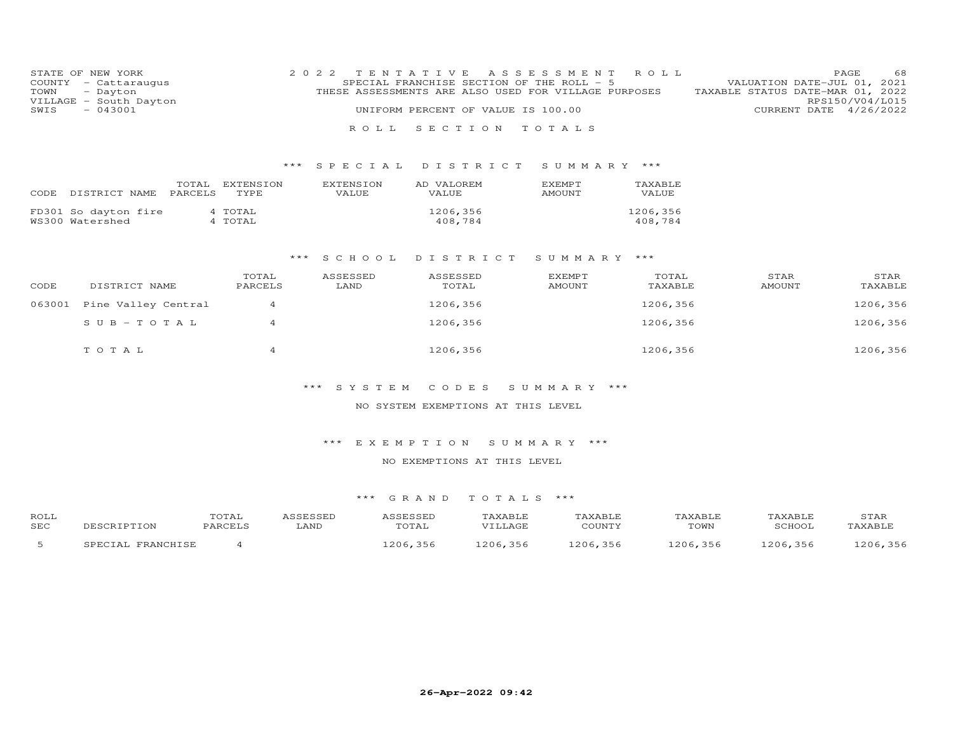| STATE OF NEW YORK |                        | 2022 TENTATIVE ASSESSMENT ROLL                                                           | PAGE.           | 68 |
|-------------------|------------------------|------------------------------------------------------------------------------------------|-----------------|----|
|                   | COUNTY - Cattaraugus   | SPECIAL FRANCHISE SECTION OF THE ROLL - 5<br>VALUATION DATE-JUL 01, 2021                 |                 |    |
|                   | TOWN - Dayton          | TAXABLE STATUS DATE-MAR 01, 2022<br>THESE ASSESSMENTS ARE ALSO USED FOR VILLAGE PURPOSES |                 |    |
|                   | VILLAGE - South Dayton |                                                                                          | RPS150/V04/L015 |    |
| SWIS              | $-043001$              | UNIFORM PERCENT OF VALUE IS 100.00<br>CURRENT DATE 4/26/2022                             |                 |    |
|                   |                        |                                                                                          |                 |    |
|                   |                        | ROLL SECTION TOTALS                                                                      |                 |    |

## \*\*\* S P E C I A L D I S T R I C T S U M M A R Y \*\*\*

| CODE | DISTRICT NAME                           | TOTAL<br>PARCELS | EXTENSION<br>TYPE. | <b>EXTENSION</b><br>VALUE. | AD VALOREM<br>VALUE | <b>EXEMPT</b><br><b>AMOUNT</b> | TAXABLE<br>VALUE    |
|------|-----------------------------------------|------------------|--------------------|----------------------------|---------------------|--------------------------------|---------------------|
|      | FD301 So dayton fire<br>WS300 Watershed |                  | 4 TOTAL<br>4 TOTAL |                            | 1206,356<br>408,784 |                                | 1206,356<br>408,784 |

#### \*\*\* S C H O O L D I S T R I C T S U M M A R Y \*\*\*

| CODE   | DISTRICT NAME       | TOTAL<br>PARCELS | ASSESSED<br>LAND | ASSESSED<br>TOTAL | <b>EXEMPT</b><br><b>AMOUNT</b> | TOTAL<br>TAXABLE | STAR<br><b>AMOUNT</b> | STAR<br>TAXABLE |
|--------|---------------------|------------------|------------------|-------------------|--------------------------------|------------------|-----------------------|-----------------|
| 063001 | Pine Valley Central |                  |                  | 1206,356          |                                | 1206,356         |                       | 1206,356        |
|        | SUB-TOTAL           | $\overline{4}$   |                  | 1206,356          |                                | 1206,356         |                       | 1206,356        |
|        | TOTAL               |                  |                  | 1206,356          |                                | 1206,356         |                       | 1206,356        |

## \*\*\* S Y S T E M C O D E S S U M M A R Y \*\*\*

#### NO SYSTEM EXEMPTIONS AT THIS LEVEL

#### \*\*\* E X E M P T I O N S U M M A R Y \*\*\*

#### NO EXEMPTIONS AT THIS LEVEL

| ROLL |                      | TOTAL   | SSESSED | 0.000000<br>SSESSEL | TAXABLE         | TAXABLE    | TAXABLE      | TAXABLE | STAR     |
|------|----------------------|---------|---------|---------------------|-----------------|------------|--------------|---------|----------|
| SEC  |                      | PARCELS | ∟AND    | TOTAL               | VILLAGE         | COUNTY     | TOWN         | SCHOOL  | TAXABLE  |
|      | FRANCHISE<br>"PFCTA. |         |         | .356<br>206         | 1206,356<br>--- | 356<br>206 | , 356<br>206 | 206,356 | .206.356 |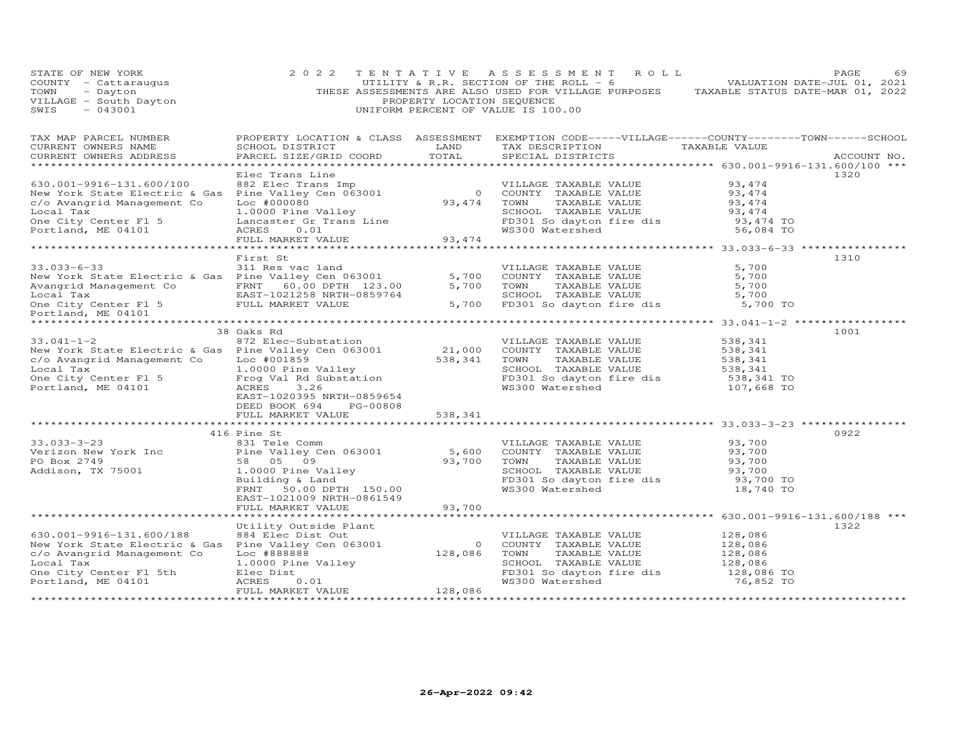| STATE OF NEW YORK<br>COUNTY - Cattaraugus<br>COUNTY - Cattaraugus<br>TOWN - Dayton<br>VILLAGE - South Dayton<br>$-043001$<br>SWIS                                                                                                                       | 2 0 2 2                                                                                                                                                                                         | PROPERTY LOCATION SEQUENCE | TENTATIVE ASSESSMENT ROLL<br>UTILITY & R.R. SECTION OF THE ROLL - 6<br>THESE ASSESSMENTS ARE ALSO USED FOR VILLAGE PURPOSES TAXABLE STATUS DATE-MAR 01, 2022<br>UNIFORM PERCENT OF VALUE IS 100.00 | VALUATION DATE-JUL 01, 2021                                         | 69<br>PAGE  |
|---------------------------------------------------------------------------------------------------------------------------------------------------------------------------------------------------------------------------------------------------------|-------------------------------------------------------------------------------------------------------------------------------------------------------------------------------------------------|----------------------------|----------------------------------------------------------------------------------------------------------------------------------------------------------------------------------------------------|---------------------------------------------------------------------|-------------|
| TAX MAP PARCEL NUMBER<br>CURRENT OWNERS NAME<br>CURRENT OWNERS ADDRESS                                                                                                                                                                                  | SCHOOL DISTRICT<br>PARCEL SIZE/GRID COORD                                                                                                                                                       | LAND<br>TOTAL              | PROPERTY LOCATION & CLASS ASSESSMENT EXEMPTION CODE-----VILLAGE------COUNTY-------TOWN------SCHOOL<br>TAX DESCRIPTION TAXABLE VALUE<br>SPECIAL DISTRICTS                                           |                                                                     | ACCOUNT NO. |
| 630.001-9916-131.600/100<br>New York State Electric & Gas Pine Valley Cen 063001<br>C/O Avangrid Management Co<br>Commit TAXABLE VALUE<br>Commit TAXABLE VALUE<br>COUNTY TAXABLE VALUE<br>COUNTY TAXABLE VALUE<br>COUNTY TAXABLE VALUE<br>COU           | Elec Trans Line                                                                                                                                                                                 |                            | SCHOOL TAXABLE VALUE 53, 474<br>FD301 So dayton fire dis 53, 474 TO                                                                                                                                | 93,474<br>93,474<br>93,474<br>56,084 TO                             | 1320        |
| $33.033 - 6 - 33$<br>New York State Electric & Gas Pine Valley Cen 063001<br>Avangrid Management Co FRNT 60.00 DPTH 123.00<br>Local Tax EAST-1021258 NRTH-0859764<br>One City Center F1 5 FULL MARKET VALUE<br>Portland, ME 04101<br>Portland, ME 04101 | First St<br>311 Res vac land                                                                                                                                                                    | 5,700<br>5,700             | VILLAGE TAXABLE VALUE<br>COUNTY TAXABLE VALUE<br>TOWN     TAXABLE VALUE<br>SCHOOL TAXABLE VALUE<br>5,700 FD301 So dayton fire dis 5,700 TO                                                         | 5,700<br>5,700<br>5,700<br>5,700                                    | 1310        |
| New York State Electric & Gas Pine Valley Cen 063001<br>C/O Avangrid Management Co Loc #001859<br>Col Tax and Management Co Loc #001859<br>Col Tax 538,341 TOMO PINE VALUE<br>Col Tax 538,341 TOMO PINE VALUE<br>Col Tax 538,341 TOMO PI                | 38 Oaks Rd<br>DEED BOOK 694<br>PG-00808                                                                                                                                                         |                            | SCHOOL TAXABLE VALUE 538,341<br>FD301 So dayton fire dis 538,341 TO                                                                                                                                | 538,341<br>538,341<br>538,341<br>107,668 TO                         | 1001        |
|                                                                                                                                                                                                                                                         | FULL MARKET VALUE                                                                                                                                                                               | 538,341                    |                                                                                                                                                                                                    |                                                                     |             |
| $33.033 - 3 - 23$                                                                                                                                                                                                                                       | 416 Pine St<br>Pine St<br>831 Tele Comm<br>Pine Valley Cen 063001 5,600<br>58 05 09 93,700<br>2000 Pine Valley 93,700<br>FRNT 50.00 DPTH 150.00<br>EAST-1021009 NRTH-0861549                    |                            | VILLAGE TAXABLE VALUE $93,700$<br>COUNTY TAXABLE VALUE $93,700$<br>TOWN TAXABLE VALUE $93,700$<br>SCHOOL TAXABLE VALUE $93,700$<br>FD301 So dayton fire dis<br>WS300 Watershed                     | 93,700 TO<br>18,740 TO                                              | 0922        |
| ******************************                                                                                                                                                                                                                          | FULL MARKET VALUE                                                                                                                                                                               | 93,700                     |                                                                                                                                                                                                    |                                                                     |             |
| 630.001-9916-131.600/188<br>c/o Avangrid Management Co<br>Local Tax<br>One City Center Fl 5th<br>Portland, ME 04101                                                                                                                                     | Utility Outside Plant<br>884 Elec Dist Out<br>Pine Valley Cen 063001 0<br>Loc #888888 1.0000 Pine Valley<br>1.0000 Pine Valley<br>Elec Dist<br>ECRES 0 01<br>ACRES<br>0.01<br>FULL MARKET VALUE | 128,086                    | VILLAGE TAXABLE VALUE<br>COUNTY TAXABLE VALUE<br>TAXABLE VALUE<br>TOWN<br>SCHOOL TAXABLE VALUE<br>FD301 So dayton fire dis<br>WS300 Watershed                                                      | 128,086<br>128,086<br>128,086<br>128,086<br>128,086 TO<br>76,852 TO | 1322        |
| *************************                                                                                                                                                                                                                               |                                                                                                                                                                                                 |                            |                                                                                                                                                                                                    |                                                                     |             |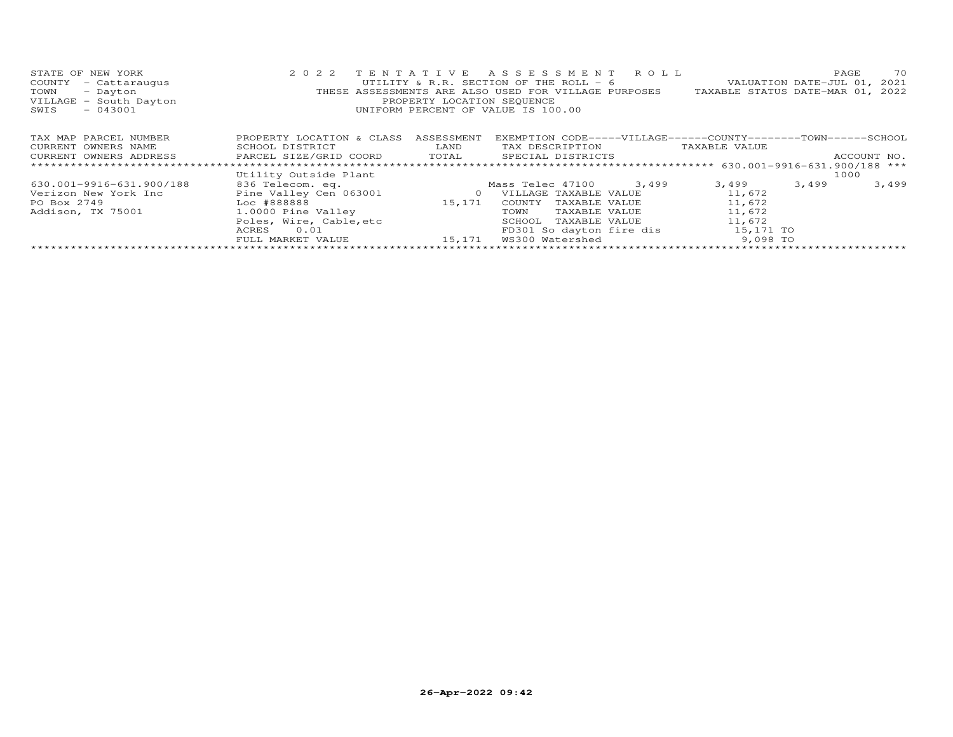| STATE OF NEW YORK<br>COUNTY<br>- Cattaraugus<br>- Dayton<br>TOWN<br>VILLAGE - South Dayton<br>$-043001$<br>SWIS |                                                                                                                                             | PROPERTY LOCATION SEQUENCE | 2022 TENTATIVE ASSESSMENT ROLL<br>UTILITY & R.R. SECTION OF THE ROLL - 6<br>THESE ASSESSMENTS ARE ALSO USED FOR VILLAGE PURPOSES TAXABLE STATUS DATE-MAR 01, 2022<br>UNIFORM PERCENT OF VALUE IS 100.00 |               | 70<br>PAGE<br>VALUATION DATE-JUL 01, 2021 |
|-----------------------------------------------------------------------------------------------------------------|---------------------------------------------------------------------------------------------------------------------------------------------|----------------------------|---------------------------------------------------------------------------------------------------------------------------------------------------------------------------------------------------------|---------------|-------------------------------------------|
| TAX MAP PARCEL NUMBER                                                                                           | PROPERTY LOCATION & CLASS                                                                                                                   | ASSESSMENT                 | EXEMPTION CODE-----VILLAGE------COUNTY--------TOWN------SCHOOL                                                                                                                                          |               |                                           |
| CURRENT OWNERS NAME                                                                                             | SCHOOL DISTRICT<br><b>EXAMPLE EXAMPLE EXAMPLE EXAMPLE EXAMPLE EXAMPLE EXAMPLE EXAMPLE EXAMPLE EXAMPLE EXAMPLE EXAMPLE EXAMPLE EXAMPLE E</b> |                            | TAX DESCRIPTION                                                                                                                                                                                         | TAXABLE VALUE |                                           |
| CURRENT OWNERS ADDRESS FARCEL SIZE/GRID COORD TOTAL                                                             |                                                                                                                                             |                            | SPECIAL DISTRICTS SPECIAL STRICTS                                                                                                                                                                       |               | ACCOUNT NO.                               |
|                                                                                                                 |                                                                                                                                             |                            |                                                                                                                                                                                                         |               |                                           |
|                                                                                                                 | Utility Outside Plant                                                                                                                       |                            |                                                                                                                                                                                                         |               | 1000                                      |
| 630.001-9916-631.900/188                                                                                        | 836 Telecom. eq.                                                                                                                            |                            | Mass Telec 47100 3,499                                                                                                                                                                                  | 3,499         | 3,499<br>3,499                            |
| Verizon New York Inc                                                                                            | Pine Valley Cen 063001                                                                                                                      | $\circ$                    | VILLAGE TAXABLE VALUE                                                                                                                                                                                   | 11,672        |                                           |
| PO Box 2749                                                                                                     | $Loc$ #888888 $\overline{a}$                                                                                                                | 15,171                     | COUNTY<br>TAXABLE VALUE                                                                                                                                                                                 | 11,672        |                                           |
| Addison, TX 75001                                                                                               | 1.0000 Pine Valley                                                                                                                          |                            | TOWN<br>TAXABLE VALUE                                                                                                                                                                                   | 11,672        |                                           |
|                                                                                                                 | Poles, Wire, Cable, etc                                                                                                                     |                            | SCHOOL<br>TAXABLE VALUE                                                                                                                                                                                 | 11,672        |                                           |
|                                                                                                                 | ACRES<br>0.01                                                                                                                               |                            | FD301 So dayton fire dis 15,171 TO                                                                                                                                                                      |               |                                           |
|                                                                                                                 | FULL MARKET VALUE                                                                                                                           | 15,171                     | WS300 Watershed                                                                                                                                                                                         | 9,098 TO      |                                           |
|                                                                                                                 |                                                                                                                                             |                            |                                                                                                                                                                                                         |               |                                           |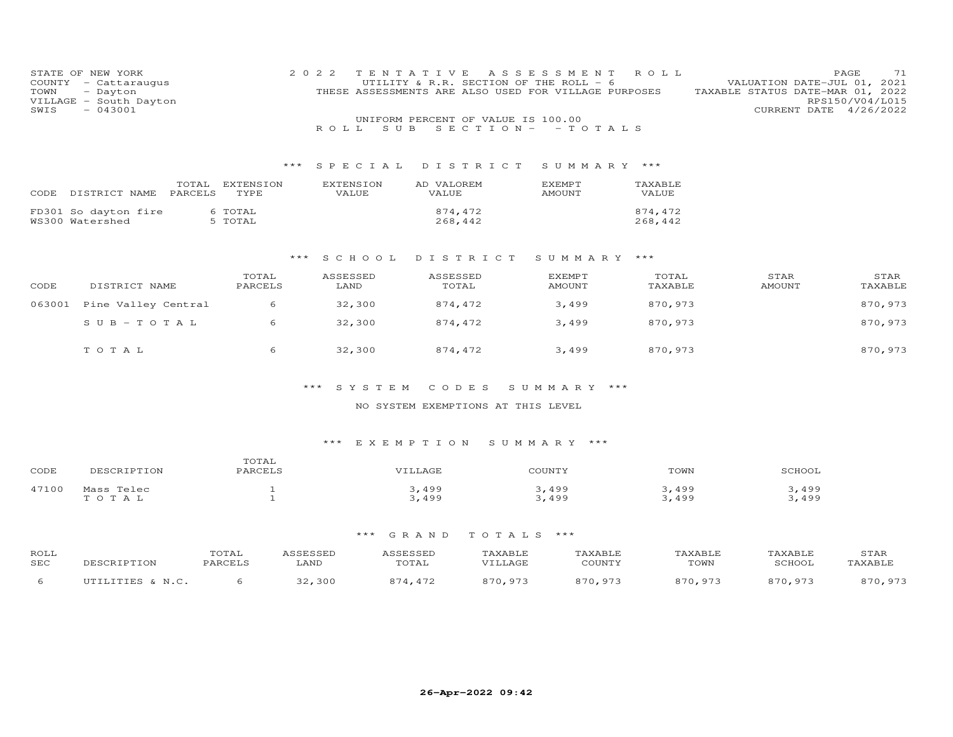| STATE OF NEW YORK<br>COUNTY<br>TOWN<br>VILLAGE - South Dayton<br>SWIS | - Cattaraugus<br>- Dayton<br>$-043001$ | 2 0 2 2                  |                           | TENTATIVE<br>UTILITY & R.R. SECTION OF THE ROLL - 6<br>THESE ASSESSMENTS ARE ALSO USED FOR VILLAGE PURPOSES | A S S E S S M E N T            | ROLL               | TAXABLE STATUS DATE-MAR 01, 2022 | 71<br>PAGE<br>VALUATION DATE-JUL 01, 2021<br>RPS150/V04/L015<br>CURRENT DATE 4/26/2022 |
|-----------------------------------------------------------------------|----------------------------------------|--------------------------|---------------------------|-------------------------------------------------------------------------------------------------------------|--------------------------------|--------------------|----------------------------------|----------------------------------------------------------------------------------------|
|                                                                       |                                        |                          | ROLL<br>S U B             | UNIFORM PERCENT OF VALUE IS 100.00                                                                          | $S E C T I ON - - T O T AL S$  |                    |                                  |                                                                                        |
|                                                                       |                                        | ***                      | S P E C I A L             | DISTRICT                                                                                                    | SUMMARY ***                    |                    |                                  |                                                                                        |
| CODE                                                                  | TOTAL<br>PARCELS<br>DISTRICT NAME      | <b>EXTENSION</b><br>TYPE | <b>EXTENSION</b><br>VALUE | AD VALOREM<br>VALUE                                                                                         | <b>EXEMPT</b><br>AMOUNT        | TAXABLE<br>VALUE   |                                  |                                                                                        |
| FD301 So dayton fire<br>WS300 Watershed                               |                                        | 6 TOTAL<br>5 TOTAL       |                           | 874,472<br>268,442                                                                                          |                                | 874,472<br>268,442 |                                  |                                                                                        |
|                                                                       |                                        | ***                      | SCHOOL                    | DISTRICT                                                                                                    | SUMMARY                        | ***                |                                  |                                                                                        |
| CODE                                                                  | DISTRICT NAME                          | TOTAL<br>PARCELS         | ASSESSED<br>LAND          | ASSESSED<br>TOTAL                                                                                           | <b>EXEMPT</b><br><b>AMOUNT</b> | TOTAL<br>TAXABLE   | STAR<br><b>AMOUNT</b>            | STAR<br>TAXABLE                                                                        |
| 063001                                                                | Pine Valley Central                    | 6                        | 32,300                    | 874,472                                                                                                     | 3,499                          | 870,973            |                                  | 870,973                                                                                |
|                                                                       | $S$ U B - T O T A L                    | 6                        | 32,300                    | 874,472                                                                                                     | 3,499                          | 870,973            |                                  | 870,973                                                                                |
|                                                                       | TO TAL                                 | 6                        | 32,300                    | 874,472                                                                                                     | 3,499                          | 870,973            |                                  | 870,973                                                                                |

#### NO SYSTEM EXEMPTIONS AT THIS LEVEL

#### \*\*\* E X E M P T I O N S U M M A R Y \*\*\*

| CODE  | 'ION<br>י הדר        | TOTAL<br>PARCELS | .AGF | COUNTY | TOWN |       |
|-------|----------------------|------------------|------|--------|------|-------|
| 47100 | Telec<br>Mass        |                  | 49c  | 499    | 499  | 499   |
|       | $\cap$ T A<br>$\sim$ |                  | 499  | 499    | 499  | 3,499 |

| ROLL<br>SEC | $T$ D $T$ $\cap$ $\overline{1}$ | 'OTAL<br>$\mathcal{D} \wedge \mathcal{D} \cap \mathcal{F}$ T C | 7 CCTCCTD<br>LAND | UTAL | AXABLE<br>VTLLAGE | AXABLI<br>C <sub>0</sub> | TOWN    | TAXABLE<br><b>SCHOO</b> | STAR |
|-------------|---------------------------------|----------------------------------------------------------------|-------------------|------|-------------------|--------------------------|---------|-------------------------|------|
|             | TITTI TTTTC                     |                                                                | ,300              | 472  | 870.97'           | 0.70<br>- Q 7 3          | בדם חדי | 870.97'                 | .072 |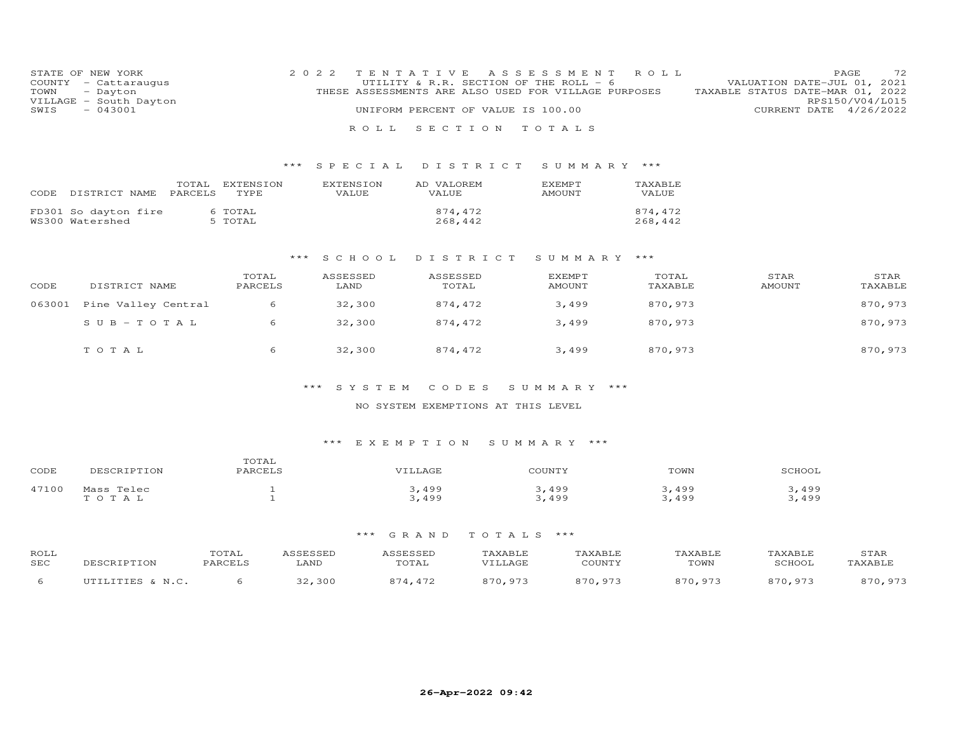|               | STATE OF NEW YORK      |  | 2022 TENTATIVE ASSESSMENT ROLL                       |  |                                  |                        | PAGE. | 72 |
|---------------|------------------------|--|------------------------------------------------------|--|----------------------------------|------------------------|-------|----|
|               | COUNTY - Cattaraugus   |  | UTILITY & R.R. SECTION OF THE ROLL - 6               |  | VALUATION DATE-JUL 01, 2021      |                        |       |    |
| TOWN - Dayton |                        |  | THESE ASSESSMENTS ARE ALSO USED FOR VILLAGE PURPOSES |  | TAXABLE STATUS DATE-MAR 01, 2022 |                        |       |    |
|               | VILLAGE - South Dayton |  |                                                      |  |                                  | RPS150/V04/L015        |       |    |
| SWIS          | $-043001$              |  | UNIFORM PERCENT OF VALUE IS 100.00                   |  |                                  | CURRENT DATE 4/26/2022 |       |    |
|               |                        |  |                                                      |  |                                  |                        |       |    |
|               |                        |  | ROLL SECTION TOTALS                                  |  |                                  |                        |       |    |

## \*\*\* S P E C I A L D I S T R I C T S U M M A R Y \*\*\*

| CODE | DISTRICT NAME                           | TOTAL<br>PARCELS | EXTENSION<br>TYPE. | <b>EXTENSION</b><br>VALUE. | AD VALOREM<br><b>VALUE</b> | <b>F.XFMPT</b><br>AMOUNT | TAXABLE<br>VALUE   |
|------|-----------------------------------------|------------------|--------------------|----------------------------|----------------------------|--------------------------|--------------------|
|      | FD301 So dayton fire<br>WS300 Watershed |                  | 6 TOTAL<br>5 TOTAL |                            | 874.472<br>268,442         |                          | 874,472<br>268,442 |

#### \*\*\* S C H O O L D I S T R I C T S U M M A R Y \*\*\*

| CODE   | DISTRICT NAME       | TOTAL<br>PARCELS | ASSESSED<br>LAND | ASSESSED<br>TOTAL | EXEMPT<br>AMOUNT | TOTAL<br>TAXABLE | STAR<br>AMOUNT | STAR<br>TAXABLE |
|--------|---------------------|------------------|------------------|-------------------|------------------|------------------|----------------|-----------------|
| 063001 | Pine Valley Central | 6                | 32,300           | 874.472           | 3,499            | 870,973          |                | 870,973         |
|        | $SUB - TO TAL$      |                  | 32,300           | 874.472           | 3,499            | 870,973          |                | 870,973         |
|        | TOTAL               | 6                | 32,300           | 874,472           | 3,499            | 870,973          |                | 870,973         |

## \*\*\* S Y S T E M C O D E S S U M M A R Y \*\*\*

#### NO SYSTEM EXEMPTIONS AT THIS LEVEL

## \*\*\* E X E M P T I O N S U M M A R Y \*\*\*

| CODE  | <b>TDTTON</b><br>DESCE.                 | TOTAL<br>PARCELS |     | COUNTY   | TOWN          | SCHOOL |
|-------|-----------------------------------------|------------------|-----|----------|---------------|--------|
| 47100 | Mass Telec                              |                  | 499 | ,499     | 499           | 499    |
|       | $\cdot$ $\cap$ $\tau$ $\cdot$<br>$\sim$ |                  | 499 | 499<br>. | $A$ QQ<br>ュンン | 499    |

| ROLL<br>SEC | ----        | <b>COTAL</b><br>דסמפג | A C C D C C D D<br>LAND | $\sim$ $\sim$ $\sim$ $\sim$ $\sim$ $\sim$<br>$m \wedge m \wedge r$<br>LUIAL | 'AXABLE<br>$\tau$ $\sim$ $\sim$ $\sim$ | YART.I<br>CCTNTT1      | <b>AXABLE</b><br>TOWN | 'AXABLE<br><b>SCHOOL</b> | STAR<br><b>IVART.F</b> |
|-------------|-------------|-----------------------|-------------------------|-----------------------------------------------------------------------------|----------------------------------------|------------------------|-----------------------|--------------------------|------------------------|
|             | TITTI TTTTC |                       | 30C<br>$\cap$           | $\sqrt{2}$                                                                  | Q7'<br>87 N                            | Q7 <sup>2</sup><br>970 | 870 97                | 870 973                  | $07^{\circ}$<br>070.   |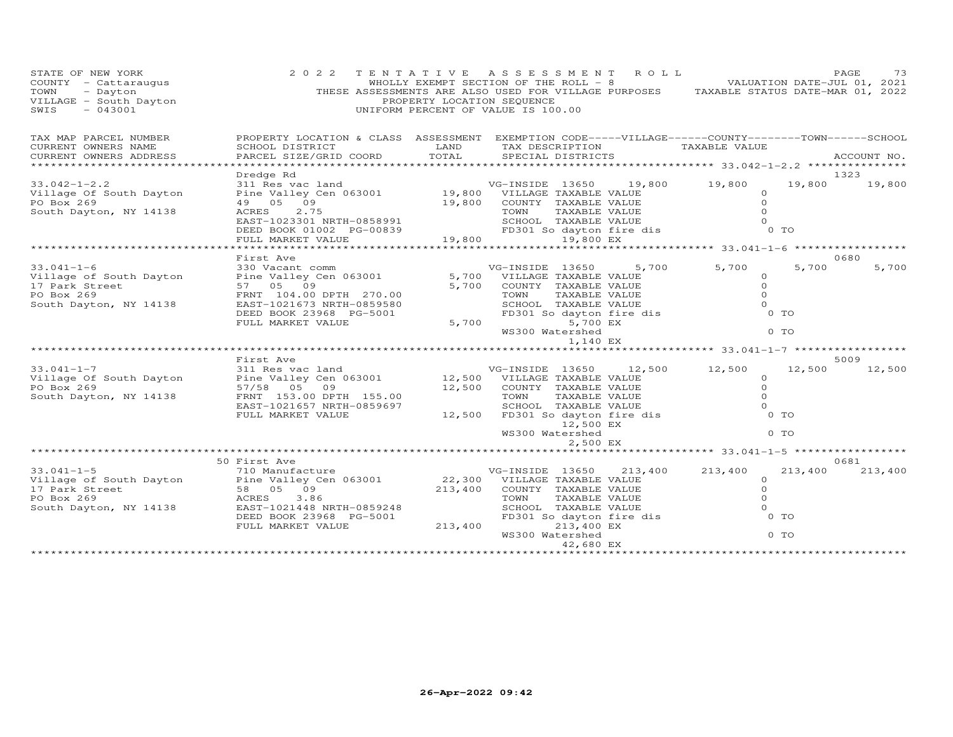| STATE OF NEW YORK 2 0 2 2<br>COUNTY - Cattaraugus<br>TOWN - Dayton THE<br>VILLAGE - South Dayton THE<br>SWIS - 043001                                                                                                                              | 2 0 2 2                                                                                                                                                                                                                                                       | PROPERTY LOCATION SEQUENCE | 2 TENTATIVE ASSESSMENT ROLL PAGE 73<br>WHOLLY EXEMPT SECTION OF THE ROLL - 8 VALUATION DATE-JUL 01, 2021<br>THESE ASSESSMENTS ARE ALSO USED FOR VILLAGE PURPOSES TAXABLE STATUS DATE-MAR 01, 2022<br>UNIFORM PERCENT OF VALUE IS 100.00 |                                                      |         |                |
|----------------------------------------------------------------------------------------------------------------------------------------------------------------------------------------------------------------------------------------------------|---------------------------------------------------------------------------------------------------------------------------------------------------------------------------------------------------------------------------------------------------------------|----------------------------|-----------------------------------------------------------------------------------------------------------------------------------------------------------------------------------------------------------------------------------------|------------------------------------------------------|---------|----------------|
| TAX MAP PARCEL NUMBER                                                                                                                                                                                                                              | PROPERTY LOCATION & CLASS ASSESSMENT EXEMPTION CODE-----VILLAGE------COUNTY-------TOWN------SCHOOL                                                                                                                                                            |                            |                                                                                                                                                                                                                                         |                                                      |         |                |
| CURRENT OWNERS NAME                                                                                                                                                                                                                                | SCHOOL DISTRICT LAND                                                                                                                                                                                                                                          |                            | TAX DESCRIPTION TAXABLE VALUE                                                                                                                                                                                                           |                                                      |         |                |
| CURRENT OWNERS ADDRESS                                                                                                                                                                                                                             | PARCEL SIZE/GRID COORD                                                                                                                                                                                                                                        | TOTAL                      | SPECIAL DISTRICTS                                                                                                                                                                                                                       |                                                      |         | ACCOUNT NO.    |
|                                                                                                                                                                                                                                                    |                                                                                                                                                                                                                                                               |                            |                                                                                                                                                                                                                                         |                                                      |         |                |
| $33.042 - 1 - 2.2$                                                                                                                                                                                                                                 | Dredge Rd<br>911 Res vac land<br>211 Res vac land<br>211 Res vac land<br>21 Res vac land<br>21 Pine Valley Cen 063001<br>21 Pine Valley Cen 063001<br>21 Pine Valley Cen 063001<br>21 Pine Valley Cen 19,800<br>21 Pine Valley COUNTY TAXABLE VALUE<br>20 TOW |                            |                                                                                                                                                                                                                                         |                                                      | 19,800  | 1323<br>19,800 |
| Village Of South Dayton                                                                                                                                                                                                                            |                                                                                                                                                                                                                                                               |                            |                                                                                                                                                                                                                                         |                                                      |         |                |
| PO Box 269                                                                                                                                                                                                                                         |                                                                                                                                                                                                                                                               |                            |                                                                                                                                                                                                                                         |                                                      |         |                |
| South Dayton, NY 14138                                                                                                                                                                                                                             |                                                                                                                                                                                                                                                               |                            |                                                                                                                                                                                                                                         |                                                      |         |                |
|                                                                                                                                                                                                                                                    |                                                                                                                                                                                                                                                               |                            |                                                                                                                                                                                                                                         |                                                      |         |                |
|                                                                                                                                                                                                                                                    |                                                                                                                                                                                                                                                               |                            |                                                                                                                                                                                                                                         |                                                      |         |                |
|                                                                                                                                                                                                                                                    |                                                                                                                                                                                                                                                               |                            |                                                                                                                                                                                                                                         |                                                      |         |                |
|                                                                                                                                                                                                                                                    |                                                                                                                                                                                                                                                               |                            |                                                                                                                                                                                                                                         |                                                      |         |                |
|                                                                                                                                                                                                                                                    | First Ave                                                                                                                                                                                                                                                     |                            |                                                                                                                                                                                                                                         |                                                      |         | 0680           |
| $33.041 - 1 - 6$                                                                                                                                                                                                                                   | inse ave<br>330 Vacant comm<br>Pine Valley Cen 063001                                                                                                                                                                                                         |                            | VG-INSIDE 13650                                                                                                                                                                                                                         |                                                      | 5,700   | 5,700          |
| Village of South Dayton                                                                                                                                                                                                                            |                                                                                                                                                                                                                                                               |                            | 5,700 VILLAGE TAXABLE VALUE                                                                                                                                                                                                             |                                                      |         |                |
| 17 Park Street                                                                                                                                                                                                                                     | 57 05 09                                                                                                                                                                                                                                                      |                            | 5,700 COUNTY TAXABLE VALUE                                                                                                                                                                                                              |                                                      |         |                |
| PO Box 269                                                                                                                                                                                                                                         | FRNT 104.00 DPTH 270.00                                                                                                                                                                                                                                       |                            |                                                                                                                                                                                                                                         |                                                      |         |                |
| South Dayton, NY 14138                                                                                                                                                                                                                             | EAST-1021673 NRTH-0859580                                                                                                                                                                                                                                     |                            |                                                                                                                                                                                                                                         |                                                      |         |                |
|                                                                                                                                                                                                                                                    | DEED BOOK 23968 PG-5001                                                                                                                                                                                                                                       |                            |                                                                                                                                                                                                                                         |                                                      |         |                |
|                                                                                                                                                                                                                                                    | FULL MARKET VALUE                                                                                                                                                                                                                                             |                            | 5,700                                                                                                                                                                                                                                   |                                                      |         |                |
|                                                                                                                                                                                                                                                    |                                                                                                                                                                                                                                                               |                            |                                                                                                                                                                                                                                         |                                                      |         |                |
|                                                                                                                                                                                                                                                    |                                                                                                                                                                                                                                                               |                            | 1,140 EX                                                                                                                                                                                                                                |                                                      |         |                |
|                                                                                                                                                                                                                                                    |                                                                                                                                                                                                                                                               |                            |                                                                                                                                                                                                                                         |                                                      |         |                |
|                                                                                                                                                                                                                                                    |                                                                                                                                                                                                                                                               |                            |                                                                                                                                                                                                                                         |                                                      |         | 5009           |
| $33.041 - 1 - 7$                                                                                                                                                                                                                                   |                                                                                                                                                                                                                                                               |                            |                                                                                                                                                                                                                                         |                                                      | 12,500  | 12,500         |
| Village Of South Dayton                                                                                                                                                                                                                            |                                                                                                                                                                                                                                                               |                            |                                                                                                                                                                                                                                         |                                                      |         |                |
| PO Box 269                                                                                                                                                                                                                                         |                                                                                                                                                                                                                                                               |                            |                                                                                                                                                                                                                                         |                                                      |         |                |
| South Dayton, NY 14138                                                                                                                                                                                                                             |                                                                                                                                                                                                                                                               |                            |                                                                                                                                                                                                                                         |                                                      |         |                |
|                                                                                                                                                                                                                                                    |                                                                                                                                                                                                                                                               |                            |                                                                                                                                                                                                                                         |                                                      |         |                |
|                                                                                                                                                                                                                                                    |                                                                                                                                                                                                                                                               |                            |                                                                                                                                                                                                                                         |                                                      |         |                |
|                                                                                                                                                                                                                                                    |                                                                                                                                                                                                                                                               |                            | WS300 Watershed                                                                                                                                                                                                                         |                                                      | $0$ TO  |                |
|                                                                                                                                                                                                                                                    |                                                                                                                                                                                                                                                               |                            | 2,500 EX                                                                                                                                                                                                                                |                                                      |         |                |
|                                                                                                                                                                                                                                                    |                                                                                                                                                                                                                                                               |                            |                                                                                                                                                                                                                                         | *********************** 33.041-1-5 ***************** |         |                |
|                                                                                                                                                                                                                                                    | 50 First Ave                                                                                                                                                                                                                                                  |                            |                                                                                                                                                                                                                                         |                                                      |         | 0681           |
|                                                                                                                                                                                                                                                    |                                                                                                                                                                                                                                                               |                            |                                                                                                                                                                                                                                         | 213,400 213,400                                      | 213,400 | 213,400        |
|                                                                                                                                                                                                                                                    |                                                                                                                                                                                                                                                               |                            |                                                                                                                                                                                                                                         | $\Omega$                                             |         |                |
|                                                                                                                                                                                                                                                    |                                                                                                                                                                                                                                                               |                            |                                                                                                                                                                                                                                         | $\Omega$                                             |         |                |
|                                                                                                                                                                                                                                                    |                                                                                                                                                                                                                                                               |                            |                                                                                                                                                                                                                                         | $\Omega$                                             |         |                |
| 33.041-1-5<br>VG-INSIDE 13650 213,<br>VG-INSIDE 13650 213,<br>VG-INSIDE 13650 213,<br>VG-INSIDE 13650 213,<br>VG-INSIDE 13650 213,<br>VG-INSIDE 13650 213,<br>VG-INSIDE 13650 213,<br>VG-INSIDE 13650 213,<br>VG-INSIDE 13650 213,<br>VG-INSIDE 13 |                                                                                                                                                                                                                                                               |                            | VILLAND TAXABLE VALUE<br>TOWN TAXABLE VALUE<br>SCHOOL TAXABLE VALUE<br>FD301 So dayton fire dis                                                                                                                                         | $\Omega$                                             |         |                |
|                                                                                                                                                                                                                                                    |                                                                                                                                                                                                                                                               |                            |                                                                                                                                                                                                                                         | $0$ TO                                               |         |                |
|                                                                                                                                                                                                                                                    | FULL MARKET VALUE                                                                                                                                                                                                                                             | 213,400                    | 213,400 EX                                                                                                                                                                                                                              | $0$ TO                                               |         |                |
|                                                                                                                                                                                                                                                    |                                                                                                                                                                                                                                                               |                            | WS300 Watershed                                                                                                                                                                                                                         |                                                      |         |                |
|                                                                                                                                                                                                                                                    |                                                                                                                                                                                                                                                               |                            | 42,680 EX                                                                                                                                                                                                                               |                                                      |         |                |
|                                                                                                                                                                                                                                                    |                                                                                                                                                                                                                                                               |                            |                                                                                                                                                                                                                                         |                                                      |         |                |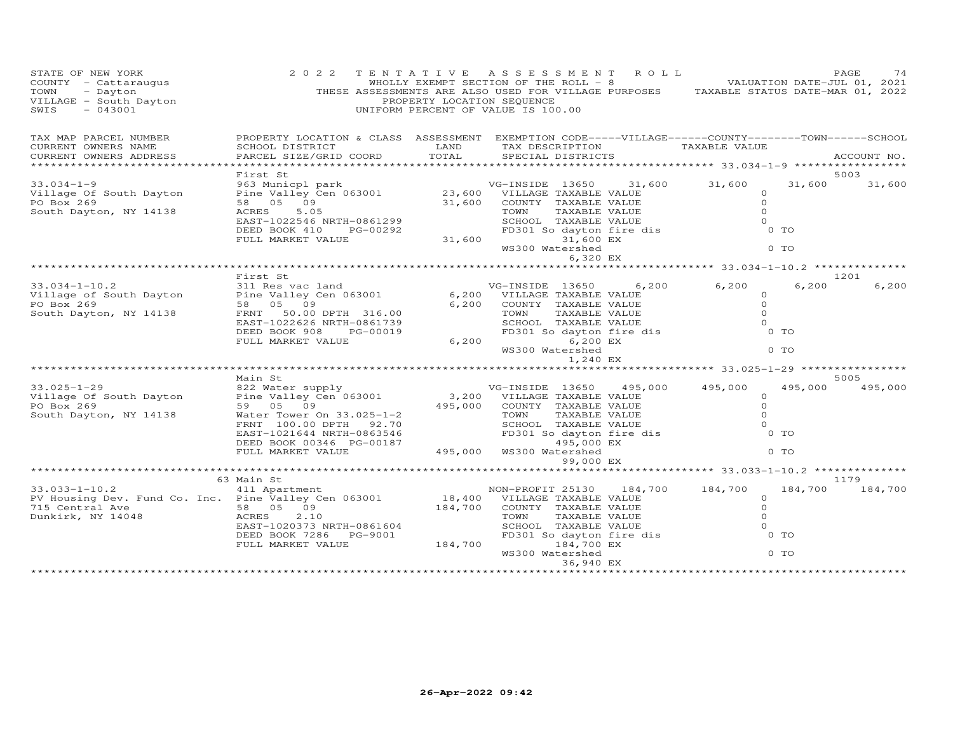| STATE OF NEW YORK<br>COUNTY - Cattaraugus<br>COUNTY - Cattaraugus<br>TOWN - Dayton<br>VILLAGE - South Dayton<br>SWIS - 043001 | 2 0 2 2                                                                                                                                                       | PROPERTY LOCATION SEQUENCE | TENTATIVE ASSESSMENT ROLL<br>WHOLLY EXEMPT SECTION OF THE ROLL - 8 VALUATION DATE-JUL 01, 2021<br>THESE ASSESSMENTS ARE ALSO USED FOR VILLAGE PURPOSES TAXABLE STATUS DATE-MAR 01, 2022<br>UNIFORM PERCENT OF VALUE IS 100.00 |         |                                                              |                | PAGE<br>74  |
|-------------------------------------------------------------------------------------------------------------------------------|---------------------------------------------------------------------------------------------------------------------------------------------------------------|----------------------------|-------------------------------------------------------------------------------------------------------------------------------------------------------------------------------------------------------------------------------|---------|--------------------------------------------------------------|----------------|-------------|
| TAX MAP PARCEL NUMBER<br>CURRENT OWNERS NAME<br>CURRENT OWNERS ADDRESS                                                        | PROPERTY LOCATION & CLASS ASSESSMENT EXEMPTION CODE-----VILLAGE------COUNTY-------TOWN------SCHOOL<br>SCHOOL DISTRICT<br>PARCEL SIZE/GRID COORD               | LAND<br>TOTAL              | TAX DESCRIPTION<br>SPECIAL DISTRICTS                                                                                                                                                                                          |         | TAXABLE VALUE                                                |                | ACCOUNT NO. |
|                                                                                                                               |                                                                                                                                                               |                            |                                                                                                                                                                                                                               |         |                                                              |                |             |
|                                                                                                                               | First St                                                                                                                                                      |                            |                                                                                                                                                                                                                               |         |                                                              |                | 5003        |
| $33.034 - 1 - 9$<br>Village Of South Dayton<br>PO Box 269<br>South Dayton, NY 14138                                           | 963 Municpl park<br>Pine Valley Cen 063001 23,600 VILLAGE TAXABLE VALUE<br>58 05 09 31,600 COUNTY TAXABLE VALUE<br>ACRES<br>5.05<br>EAST-1022546 NRTH-0861299 |                            | VG-INSIDE 13650<br>TOWN<br>TAXABLE VALUE<br>SCHOOL TAXABLE VALUE                                                                                                                                                              |         | 31,600 31,600<br>$\circ$<br>$\Omega$<br>$\Omega$<br>$\Omega$ | 31,600         | 31,600      |
|                                                                                                                               | DEED BOOK 410<br>PG-00292<br>FULL MARKET VALUE                                                                                                                | 31,600                     | FD301 So dayton fire dis<br>31,600 EX                                                                                                                                                                                         |         |                                                              | $0$ TO         |             |
|                                                                                                                               |                                                                                                                                                               |                            | WS300 Watershed                                                                                                                                                                                                               |         |                                                              | 0 <sub>T</sub> |             |
|                                                                                                                               |                                                                                                                                                               |                            | 6,320 EX                                                                                                                                                                                                                      |         |                                                              |                |             |
|                                                                                                                               | First St                                                                                                                                                      |                            |                                                                                                                                                                                                                               |         |                                                              |                | 1201        |
| $33.034 - 1 - 10.2$<br>Village of South Dayton                                                                                | 311 Res vac land<br>Pine Valley Cen 063001                                                                                                                    |                            | VG-INSIDE 13650<br>6,200 VILLAGE TAXABLE VALUE                                                                                                                                                                                | 6,200   | 6,200<br>$\circ$                                             | 6,200          | 6,200       |
| PO Box 269                                                                                                                    | 58 05 09                                                                                                                                                      | 6,200                      | COUNTY TAXABLE VALUE                                                                                                                                                                                                          |         | $\circ$                                                      |                |             |
| South Dayton, NY 14138                                                                                                        | FRNT 50.00 DPTH 316.00                                                                                                                                        |                            | TOWN<br>TAXABLE VALUE                                                                                                                                                                                                         |         | $\Omega$                                                     |                |             |
|                                                                                                                               | EAST-1022626 NRTH-0861739<br>DEED BOOK 908<br>PG-00019                                                                                                        |                            | SCHOOL TAXABLE VALUE<br>FD301 So dayton fire dis                                                                                                                                                                              |         | $\Omega$                                                     | $0$ TO         |             |
|                                                                                                                               | FULL MARKET VALUE                                                                                                                                             | 6,200                      | 6,200 EX                                                                                                                                                                                                                      |         |                                                              |                |             |
|                                                                                                                               |                                                                                                                                                               |                            | WS300 Watershed<br>1,240 EX                                                                                                                                                                                                   |         |                                                              | $0$ TO         |             |
|                                                                                                                               |                                                                                                                                                               |                            |                                                                                                                                                                                                                               |         | ***************************** 33.025-1-29 ****************   |                |             |
|                                                                                                                               | Main St                                                                                                                                                       |                            |                                                                                                                                                                                                                               |         |                                                              |                | 5005        |
| $33.025 - 1 - 29$<br>Village Of South Dayton                                                                                  | 822 Water supply<br>Pine Valley Cen 063001                                                                                                                    |                            | VG-INSIDE 13650<br>3,200 VILLAGE TAXABLE VALUE                                                                                                                                                                                | 495,000 | 495,000<br>0                                                 | 495,000        | 495,000     |
| PO Box 269                                                                                                                    | 59 05 09                                                                                                                                                      | 495,000                    | COUNTY TAXABLE VALUE                                                                                                                                                                                                          |         | $\Omega$                                                     |                |             |
| South Dayton, NY 14138                                                                                                        | Water Tower On 33.025-1-2                                                                                                                                     |                            | TOWN<br>TAXABLE VALUE                                                                                                                                                                                                         |         | $\Omega$                                                     |                |             |
|                                                                                                                               | FRNT 100.00 DPTH 92.70<br>EAST-1021644 NRTH-0863546                                                                                                           |                            | SCHOOL TAXABLE VALUE<br>FD301 So dayton fire dis                                                                                                                                                                              |         | $\Omega$                                                     | $0$ TO         |             |
|                                                                                                                               | DEED BOOK 00346 PG-00187<br>FULL MARKET VALUE                                                                                                                 | 495,000                    | 495,000 EX<br>WS300 Watershed<br>99,000 EX                                                                                                                                                                                    |         |                                                              | $0$ TO         |             |
|                                                                                                                               |                                                                                                                                                               |                            |                                                                                                                                                                                                                               |         |                                                              |                |             |
|                                                                                                                               | 63 Main St                                                                                                                                                    |                            |                                                                                                                                                                                                                               |         |                                                              |                | 1179        |
| $33.033 - 1 - 10.2$                                                                                                           | 411 Apartment                                                                                                                                                 |                            | NON-PROFIT 25130 184,700                                                                                                                                                                                                      |         | 184,700                                                      | 184,700        | 184,700     |
| PV Housing Dev. Fund Co. Inc. Pine Valley Cen 063001                                                                          |                                                                                                                                                               |                            | 18,400 VILLAGE TAXABLE VALUE                                                                                                                                                                                                  |         | $\circ$                                                      |                |             |
| 715 Central Ave<br>Dunkirk, NY 14048                                                                                          | 58 05 09<br>2.10<br>ACRES                                                                                                                                     | 184,700                    | COUNTY TAXABLE VALUE<br>TOWN<br>TAXABLE VALUE                                                                                                                                                                                 |         | $\circ$<br>$\Omega$                                          |                |             |
|                                                                                                                               | EAST-1020373 NRTH-0861604                                                                                                                                     |                            | SCHOOL TAXABLE VALUE                                                                                                                                                                                                          |         | $\Omega$                                                     |                |             |
|                                                                                                                               | DEED BOOK 7286<br>PG-9001                                                                                                                                     |                            | SCHOOL TAXABLE VALUE<br>FD301 So dayton fire dis                                                                                                                                                                              |         |                                                              | $0$ TO         |             |
|                                                                                                                               | FULL MARKET VALUE                                                                                                                                             | 184,700                    | 184,700 EX                                                                                                                                                                                                                    |         |                                                              |                |             |
|                                                                                                                               |                                                                                                                                                               |                            | WS300 Watershed                                                                                                                                                                                                               |         |                                                              | 0 TO           |             |
|                                                                                                                               |                                                                                                                                                               |                            | 36,940 EX<br>****************                                                                                                                                                                                                 |         |                                                              |                |             |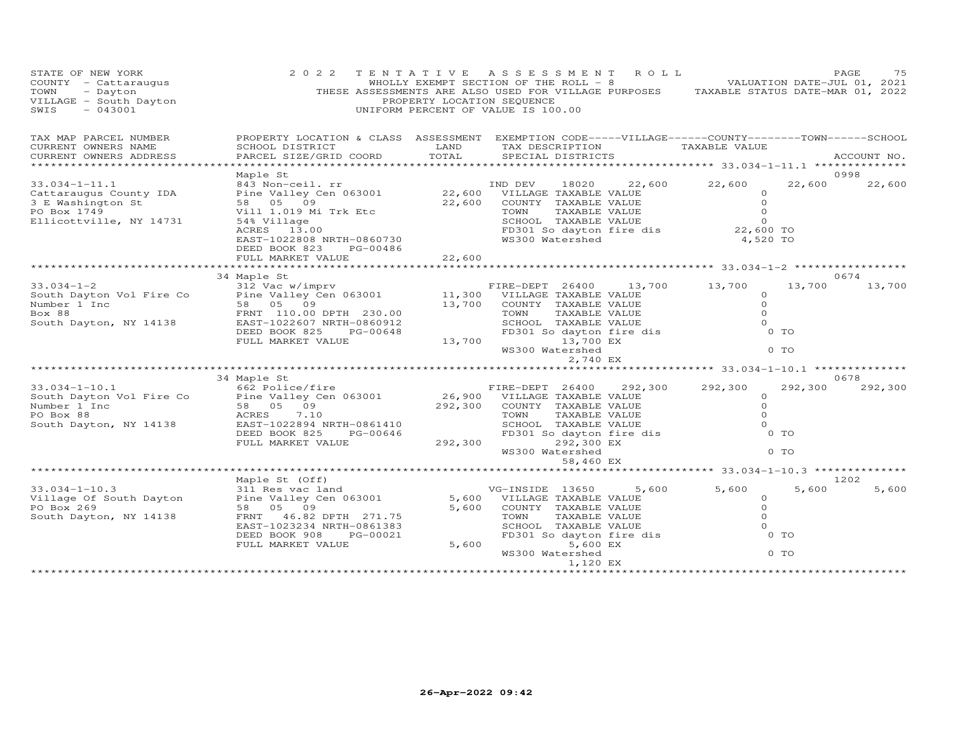| STATE OF NEW YORK<br>COUNTY - Cattaraugus<br>TOWN<br>- Dayton<br>VILLAGE - South Dayton<br>$-043001$<br>SWIS | 2 0 2 2                                                                                                                                                                              | TENTATIVE<br>PROPERTY LOCATION SEQUENCE | A S S E S S M E N T<br>WHOLLY EXEMPT SECTION OF THE ROLL - 8<br>THESE ASSESSMENTS ARE ALSO USED FOR VILLAGE PURPOSES TAXABLE STATUS DATE-MAR 01, 2022<br>UNIFORM PERCENT OF VALUE IS 100.00 | R O L L |                                                        | VALUATION DATE-JUL 01, 2021 | PAGE<br>75    |
|--------------------------------------------------------------------------------------------------------------|--------------------------------------------------------------------------------------------------------------------------------------------------------------------------------------|-----------------------------------------|---------------------------------------------------------------------------------------------------------------------------------------------------------------------------------------------|---------|--------------------------------------------------------|-----------------------------|---------------|
| TAX MAP PARCEL NUMBER<br>CURRENT OWNERS NAME<br>CURRENT OWNERS ADDRESS                                       | PROPERTY LOCATION & CLASS ASSESSMENT EXEMPTION CODE-----VILLAGE------COUNTY-------TOWN------SCHOOL<br>SCHOOL DISTRICT<br>PARCEL SIZE/GRID COORD                                      | LAND<br>TOTAL                           | TAX DESCRIPTION<br>SPECIAL DISTRICTS                                                                                                                                                        |         | TAXABLE VALUE                                          |                             | ACCOUNT NO.   |
| ******************                                                                                           | Maple St                                                                                                                                                                             |                                         |                                                                                                                                                                                             |         |                                                        |                             | 0998          |
| $33.034 - 1 - 11.1$<br>Cattaraugus County IDA<br>3 E Washington St<br>PO Box 1749<br>Ellicottville, NY 14731 | 843 Non-ceil. rr<br>Pine Valley Cen 063001<br>58 05 09<br>Vill 1.019 Mi Trk Etc<br>54% Village                                                                                       | 22,600<br>22,600                        | IND DEV<br>18020<br>VILLAGE TAXABLE VALUE<br>COUNTY TAXABLE VALUE<br>TOWN<br>TAXABLE VALUE<br>SCHOOL TAXABLE VALUE                                                                          | 22,600  | 22,600<br>$\circ$<br>$\Omega$<br>$\Omega$<br>$\Omega$  | 22,600                      | 22,600        |
|                                                                                                              | ACRES 13.00<br>EAST-1022808 NRTH-0860730<br>DEED BOOK 823<br>PG-00486<br>FULL MARKET VALUE                                                                                           | 22,600                                  | FD301 So dayton fire dis<br>WS300 Watershed                                                                                                                                                 |         | 22,600 TO<br>4,520 TO                                  |                             |               |
|                                                                                                              | ***************************                                                                                                                                                          |                                         |                                                                                                                                                                                             |         |                                                        |                             |               |
|                                                                                                              | 34 Maple St                                                                                                                                                                          |                                         |                                                                                                                                                                                             |         |                                                        |                             | 0674          |
| $33.034 - 1 - 2$<br>South Dayton Vol Fire Co<br>Number 1 Inc<br>Box 88<br>South Dayton, NY 14138             | 312 Vac w/imprv<br>Pine Valley Cen 063001<br>09<br>58 05<br>FRNT 110.00 DPTH 230.00<br>EAST-1022607 NRTH-0860912                                                                     | 11,300<br>13,700                        | FIRE-DEPT 26400<br>VILLAGE TAXABLE VALUE<br>COUNTY TAXABLE VALUE<br>TAXABLE VALUE<br>TOWN<br>SCHOOL TAXABLE VALUE                                                                           | 13,700  | 13,700<br>$\circ$<br>$\circ$<br>$\Omega$<br>$\Omega$   | 13,700                      | 13,700        |
|                                                                                                              | DEED BOOK 825<br>PG-00648<br>FULL MARKET VALUE                                                                                                                                       | 13,700                                  | FD301 So dayton fire dis<br>13,700 EX<br>WS300 Watershed<br>2,740 EX                                                                                                                        |         |                                                        | 0 TO<br>$0$ TO              |               |
|                                                                                                              |                                                                                                                                                                                      |                                         |                                                                                                                                                                                             |         | ************************ 33.034-1-10.1 *************** |                             |               |
|                                                                                                              | 34 Maple St                                                                                                                                                                          |                                         |                                                                                                                                                                                             |         |                                                        |                             | 0678          |
| $33.034 - 1 - 10.1$<br>South Dayton Vol Fire Co<br>Number 1 Inc<br>PO Box 88<br>South Dayton, NY 14138       | 662 Police/fire<br>Pine Valley Cen 063001<br>58 05<br>09<br>ACRES<br>7.10<br>EAST-1022894 NRTH-0861410<br>DEED BOOK 825<br>PG-00646<br>FULL MARKET VALUE                             | 26,900<br>292,300<br>292,300            | FIRE-DEPT 26400<br>VILLAGE TAXABLE VALUE<br>COUNTY TAXABLE VALUE<br>TOWN<br>TAXABLE VALUE<br>SCHOOL TAXABLE VALUE<br>FD301 So dayton fire dis<br>292,300 EX<br>WS300 Watershed<br>58,460 EX | 292,300 | 292,300<br>0<br>$\Omega$<br>$\Omega$<br>$\Omega$       | 292,300<br>$0$ TO<br>$0$ TO | 292,300       |
|                                                                                                              |                                                                                                                                                                                      |                                         |                                                                                                                                                                                             |         | ********** 33.034-1-10.3 *******                       |                             |               |
| $33.034 - 1 - 10.3$<br>Village Of South Dayton<br>PO Box 269<br>South Dayton, NY 14138                       | Maple St (Off)<br>311 Res vac land<br>Pine Valley Cen 063001<br>58 05 09<br>46.82 DPTH 271.75<br>FRNT<br>EAST-1023234 NRTH-0861383<br>DEED BOOK 908<br>PG-00021<br>FULL MARKET VALUE | 5,600<br>5,600<br>5,600                 | VG-INSIDE 13650<br>VILLAGE TAXABLE VALUE<br>COUNTY TAXABLE VALUE<br>TOWN<br>TAXABLE VALUE<br>SCHOOL TAXABLE VALUE<br>FD301 So dayton fire dis<br>5,600 EX                                   | 5,600   | 5,600<br>$\Omega$<br>$\Omega$<br>$\Omega$<br>$\Omega$  | 5,600<br>0 <sub>T</sub>     | 1202<br>5,600 |
|                                                                                                              | ********************************                                                                                                                                                     |                                         | WS300 Watershed<br>1,120 EX                                                                                                                                                                 |         |                                                        | 0 <sub>T</sub>              |               |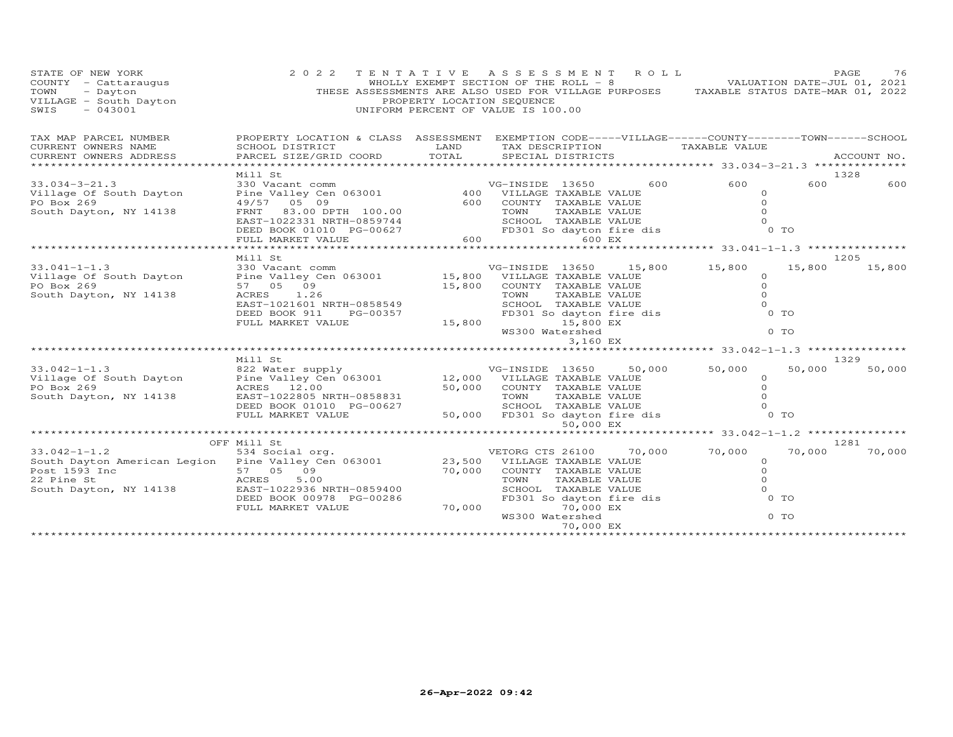| STATE OF NEW YORK<br>COUNTY - Cattaraugus<br>TOWN - Dayton<br>VILLAGE - South Dayton<br>SWIS - 043001                                                                                                                               | 2 0 2 2                                                                                                                                                                                                                        | PROPERTY LOCATION SEQUENCE | TENTATIVE ASSESSMENT ROLL<br>WHOLLY EXEMPT SECTION OF THE ROLL - 8 VALUATION DATE-JUL 01, 2021<br>THESE ASSESSMENTS ARE ALSO USED FOR VILLAGE PURPOSES TAXABLE STATUS DATE-MAR 01, 2022<br>UNIFORM PERCENT OF VALUE IS 100.00           |                     | PAGE<br>76       |
|-------------------------------------------------------------------------------------------------------------------------------------------------------------------------------------------------------------------------------------|--------------------------------------------------------------------------------------------------------------------------------------------------------------------------------------------------------------------------------|----------------------------|-----------------------------------------------------------------------------------------------------------------------------------------------------------------------------------------------------------------------------------------|---------------------|------------------|
| TAX MAP PARCEL NUMBER                                                                                                                                                                                                               |                                                                                                                                                                                                                                |                            | PROPERTY LOCATION & CLASS ASSESSMENT EXEMPTION CODE-----VILLAGE------COUNTY--------TOWN------SCHOOL                                                                                                                                     |                     |                  |
| CURRENT OWNERS NAME<br>CURRENT OWNERS NAME SCHOOL DISTRICT SCHOOL DISTRICT CURRENT OWNERS NAME SCHOOL DISTRICT  CURRENT OWNERS ADDRESS  PARCEL SIZE/GRID COORD   TOTAL   SPECIAL DISTRICTS   SPECIAL DISTRICTS    SPECIAL DISTRICTS |                                                                                                                                                                                                                                |                            |                                                                                                                                                                                                                                         |                     |                  |
|                                                                                                                                                                                                                                     |                                                                                                                                                                                                                                |                            |                                                                                                                                                                                                                                         |                     |                  |
|                                                                                                                                                                                                                                     | Mill St                                                                                                                                                                                                                        |                            |                                                                                                                                                                                                                                         |                     | 1328             |
| $33.034 - 3 - 21.3$                                                                                                                                                                                                                 |                                                                                                                                                                                                                                |                            | 600                                                                                                                                                                                                                                     | 600                 | 600<br>600       |
| Village Of South Dayton                                                                                                                                                                                                             | WITH SUN COMMENT COMMENT SURFAINING CONTROLLY CONTROLLY AND MANAGEMENT SALUE AND SURFAINING SURFAINING SURFAINING SURFAINING SURFAINING SURFAINING SURFAINING SURFAINING SURFAINING SURFAINING SURFAINING SURFAINING SURFAININ |                            |                                                                                                                                                                                                                                         | $\Omega$            |                  |
| PO Box 269                                                                                                                                                                                                                          |                                                                                                                                                                                                                                |                            | 49/57 05 09<br>FRNT 83.00 DPTH 100.00<br>EAST-1022331 NRTH-0859744<br>DEED BOOK 01010 PG-00627<br>TEXABLE VALUE CHARABLE VALUE ON TAXABLE VALUE ON TAXABLE VALUE ON TAXABLE VALUE ON TOMN<br>SCHOOL TAXABLE VALUE ON TOMN TAXABLE VALUE |                     |                  |
| South Dayton, NY 14138                                                                                                                                                                                                              |                                                                                                                                                                                                                                |                            |                                                                                                                                                                                                                                         |                     |                  |
|                                                                                                                                                                                                                                     |                                                                                                                                                                                                                                |                            |                                                                                                                                                                                                                                         |                     |                  |
|                                                                                                                                                                                                                                     | FULL MARKET VALUE                                                                                                                                                                                                              |                            | 600 000<br>600 EX                                                                                                                                                                                                                       |                     |                  |
|                                                                                                                                                                                                                                     |                                                                                                                                                                                                                                |                            |                                                                                                                                                                                                                                         |                     |                  |
|                                                                                                                                                                                                                                     | Mill St                                                                                                                                                                                                                        |                            |                                                                                                                                                                                                                                         |                     | 1205             |
| $33.041 - 1 - 1.3$                                                                                                                                                                                                                  |                                                                                                                                                                                                                                |                            | VG-INSIDE 13650 15,800                                                                                                                                                                                                                  | 15,800<br>15,800    | 15,800           |
| Village Of South Dayton<br>PO Box 269                                                                                                                                                                                               | 57 05 09                                                                                                                                                                                                                       | 15,800                     | COUNTY TAXABLE VALUE                                                                                                                                                                                                                    | $\Omega$<br>$\circ$ |                  |
| South Dayton, NY 14138                                                                                                                                                                                                              | ACRES<br>1.26                                                                                                                                                                                                                  |                            |                                                                                                                                                                                                                                         |                     |                  |
|                                                                                                                                                                                                                                     | EAST-1021601 NRTH-0858549                                                                                                                                                                                                      |                            |                                                                                                                                                                                                                                         |                     |                  |
|                                                                                                                                                                                                                                     | DEED BOOK 911<br>PG-00357                                                                                                                                                                                                      |                            |                                                                                                                                                                                                                                         |                     |                  |
|                                                                                                                                                                                                                                     | FULL MARKET VALUE                                                                                                                                                                                                              | 15,800                     | TOWN TAXABLE VALUE 0<br>SCHOOL TAXABLE VALUE 0<br>FD301 So dayton fire dis 0 TO<br>15,800 EX 0 TO                                                                                                                                       |                     |                  |
|                                                                                                                                                                                                                                     |                                                                                                                                                                                                                                |                            | WS300 Watershed                                                                                                                                                                                                                         | $0$ TO              |                  |
|                                                                                                                                                                                                                                     |                                                                                                                                                                                                                                |                            | 3,160 EX                                                                                                                                                                                                                                |                     |                  |
|                                                                                                                                                                                                                                     | Mill St                                                                                                                                                                                                                        |                            |                                                                                                                                                                                                                                         |                     | 1329             |
| $33.042 - 1 - 1.3$                                                                                                                                                                                                                  |                                                                                                                                                                                                                                |                            | 50,000                                                                                                                                                                                                                                  | 50,000<br>50,000    | 50,000           |
| Village Of South Dayton                                                                                                                                                                                                             |                                                                                                                                                                                                                                |                            |                                                                                                                                                                                                                                         |                     |                  |
| PO Box 269                                                                                                                                                                                                                          | ACRES 12.00                                                                                                                                                                                                                    |                            |                                                                                                                                                                                                                                         |                     |                  |
| South Dayton, NY 14138                                                                                                                                                                                                              | EAST-1022805 NRTH-0858831                                                                                                                                                                                                      |                            |                                                                                                                                                                                                                                         |                     |                  |
|                                                                                                                                                                                                                                     | DEED BOOK 01010 PG-00627                                                                                                                                                                                                       |                            | 12,000 VILLAGE TAXABLE VALUE<br>50,000 COUNTY TAXABLE VALUE 0<br>TOWN TAXABLE VALUE 0<br>SCHOOL TAXABLE VALUE 0<br>50,000 FD301 So dayton fire dis 0 TO                                                                                 |                     |                  |
|                                                                                                                                                                                                                                     | FULL MARKET VALUE                                                                                                                                                                                                              | $10027$ 50,000             | 50,000 EX                                                                                                                                                                                                                               |                     |                  |
|                                                                                                                                                                                                                                     |                                                                                                                                                                                                                                |                            |                                                                                                                                                                                                                                         |                     |                  |
|                                                                                                                                                                                                                                     | OFF Mill St                                                                                                                                                                                                                    |                            |                                                                                                                                                                                                                                         |                     | 1281             |
| 13.042-1-1.2 534 Social org.<br>South Dayton American Legion Pine Valley Cen 063001 23,500 VILLAGE TAXABLE VALUE<br>Post 1593 Inc 57 05 09 70,000 COUNTY TAXABLE VALUE                                                              |                                                                                                                                                                                                                                |                            | 70,000                                                                                                                                                                                                                                  | 70,000              | 70,000<br>70,000 |
|                                                                                                                                                                                                                                     |                                                                                                                                                                                                                                |                            |                                                                                                                                                                                                                                         | $\circ$             |                  |
|                                                                                                                                                                                                                                     |                                                                                                                                                                                                                                |                            |                                                                                                                                                                                                                                         | $\circ$             |                  |
| Post 1593 Inc 57 05 09<br>22 Pine St 1593 Inc 57 05 09<br>South Dayton, NY 14138 EAST-1022936 NRTH-0859400                                                                                                                          |                                                                                                                                                                                                                                |                            | TOWN TAXABLE VALUE<br>SCHOOL TAXABLE VALUE<br>FD301 So dayton fire dis                                                                                                                                                                  | $\circ$<br>$\Omega$ |                  |
|                                                                                                                                                                                                                                     | DEED BOOK 00978 PG-00286                                                                                                                                                                                                       |                            |                                                                                                                                                                                                                                         | 0 TO                |                  |
|                                                                                                                                                                                                                                     | FULL MARKET VALUE                                                                                                                                                                                                              |                            | 70,000<br>70,000 EX                                                                                                                                                                                                                     |                     |                  |
|                                                                                                                                                                                                                                     |                                                                                                                                                                                                                                |                            | WS300 Watershed                                                                                                                                                                                                                         | 0 TO                |                  |
|                                                                                                                                                                                                                                     |                                                                                                                                                                                                                                |                            | 70,000 EX                                                                                                                                                                                                                               |                     |                  |
|                                                                                                                                                                                                                                     |                                                                                                                                                                                                                                |                            |                                                                                                                                                                                                                                         |                     |                  |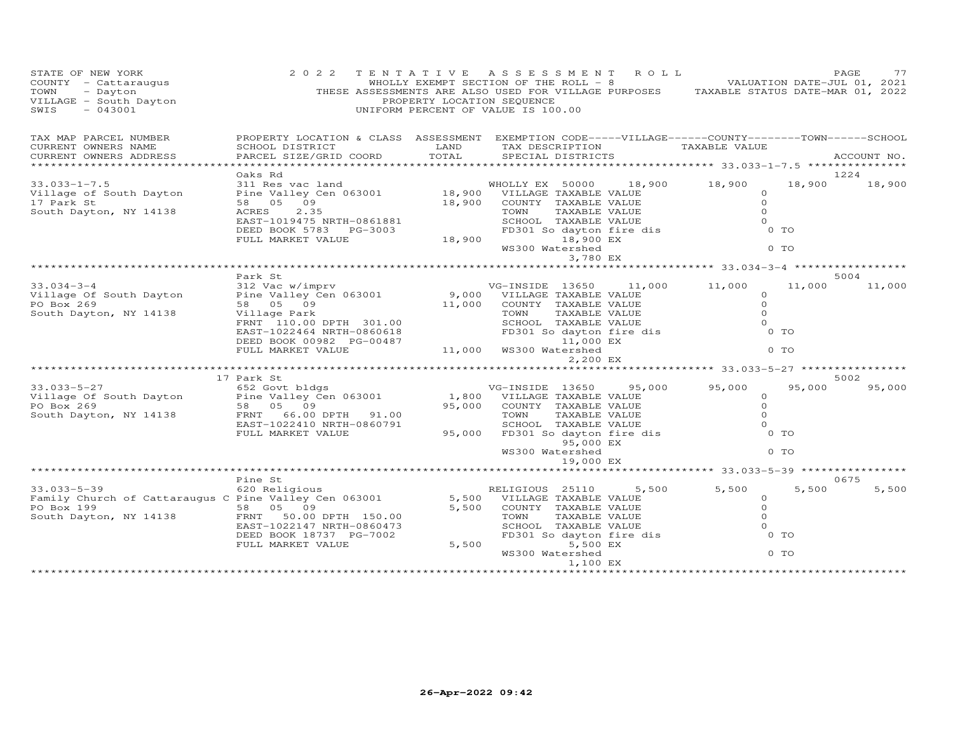| STATE OF NEW YORK<br>STATE OF NEW -.<br>COUNTY - Cattaraugus<br>Davton<br>COUNTY - Cattaraugus<br>TOWN - Dayton<br>VILLAGE - South Dayton<br>SWIS - 043001 | 2 0 2 2                                                                                                                                         | PROPERTY LOCATION SEQUENCE | TENTATIVE ASSESSMENT ROLL<br>WHOLLY EXEMPT SECTION OF THE ROLL - 8 WALUATION DATE-JUL 01, 2021<br>THESE ASSESSMENTS ARE ALSO USED FOR VILLAGE PURPOSES TAXABLE STATUS DATE-MAR 01, 2022<br>UNIFORM PERCENT OF VALUE IS 100.00 |        |                                                           |                  | PAGE<br>77     |
|------------------------------------------------------------------------------------------------------------------------------------------------------------|-------------------------------------------------------------------------------------------------------------------------------------------------|----------------------------|-------------------------------------------------------------------------------------------------------------------------------------------------------------------------------------------------------------------------------|--------|-----------------------------------------------------------|------------------|----------------|
| TAX MAP PARCEL NUMBER<br>CURRENT OWNERS NAME<br>CURRENT OWNERS ADDRESS                                                                                     | PROPERTY LOCATION & CLASS ASSESSMENT EXEMPTION CODE-----VILLAGE------COUNTY-------TOWN------SCHOOL<br>SCHOOL DISTRICT<br>PARCEL SIZE/GRID COORD | LAND<br>TOTAL              | TAX DESCRIPTION<br>SPECIAL DISTRICTS                                                                                                                                                                                          |        | TAXABLE VALUE                                             |                  | ACCOUNT NO.    |
| ******************************                                                                                                                             |                                                                                                                                                 |                            |                                                                                                                                                                                                                               |        |                                                           |                  |                |
| $33.033 - 1 - 7.5$                                                                                                                                         | Oaks Rd                                                                                                                                         |                            |                                                                                                                                                                                                                               |        | 18,900 18,900                                             |                  | 1224           |
| Village of South Dayton<br>17 Park St<br>South Dayton, NY 14138                                                                                            | Oaks Rd<br>311 Res vac land<br>Pine Valley Cen 063001 18,900 VILLAGE TAXABLE VALUE<br>2000 COUNTY TAXABLE VALUE<br>EAST-1019475 NRTH-0861881    |                            |                                                                                                                                                                                                                               |        | $\circ$<br>$\Omega$<br>$\Omega$<br>$\Omega$               | 18,900           | 18,900         |
|                                                                                                                                                            | DEED BOOK 5783 PG-3003<br>FULL MARKET VALUE                                                                                                     | 18,900                     | SCHOOL TAXABLE VALUE<br>FD301 So dayton fire dis<br>18,900 EX<br>WS300 Watershed<br>3,780 EX                                                                                                                                  |        |                                                           | 0 TO<br>$0$ TO   |                |
|                                                                                                                                                            |                                                                                                                                                 |                            |                                                                                                                                                                                                                               |        |                                                           |                  |                |
|                                                                                                                                                            | Park St                                                                                                                                         |                            |                                                                                                                                                                                                                               |        |                                                           |                  | 5004           |
| $33.034 - 3 - 4$<br>Village Of South Dayton<br>PO Box 269<br>South Dayton, NY 14138                                                                        | 312 Vac w/imprv<br>Pine Valley Cen 063001<br>58 05 09<br>Village Park<br>FRNT 110.00 DPTH 301.00                                                | 11,000                     | VG-INSIDE 13650 11,000 11,000<br>9,000 VILLAGE TAXABLE VALUE<br>COUNTY TAXABLE VALUE<br>TOWN<br>TAXABLE VALUE<br>IOWN TAXABLE VALUE<br>FD301 So dayton fire dis                                                               |        | $\circ$<br>$\circ$<br>$\circ$<br>$\Omega$                 | 11,000           | 11,000         |
|                                                                                                                                                            | EAST-1022464 NRTH-0860618<br>DEED BOOK 00982 PG-00487<br>FULL MARKET VALUE                                                                      |                            | 11,000 EX<br>11,000 WS300 Watershed<br>2,200 EX                                                                                                                                                                               |        |                                                           | $0$ TO<br>$0$ TO |                |
|                                                                                                                                                            |                                                                                                                                                 |                            |                                                                                                                                                                                                                               |        | **************************** 33.033–5–27 **************** |                  |                |
| $33.033 - 5 - 27$                                                                                                                                          | 17 Park St<br>652 Govt bldgs                                                                                                                    |                            | VG-INSIDE 13650                                                                                                                                                                                                               | 95,000 | 95,000                                                    | 95,000           | 5002<br>95,000 |
| Village Of South Dayton<br>PO Box 269<br>South Dayton, NY 14138                                                                                            | Pine Valley Cen 063001<br>58 05 09<br>FRNT 66.00 DPTH 91.00<br>EAST-1022410 NRTH-0860791<br>FULL MARKET VALUE                                   | 95,000<br>95,000           | 1,800 VILLAGE TAXABLE VALUE<br>COUNTY TAXABLE VALUE<br>TAXABLE VALUE<br>TOWN<br>SCHOOL TAXABLE VALUE<br>FD301 So dayton fire dis                                                                                              |        | $\circ$<br>$\circ$<br>$\Omega$<br>$\Omega$                | 0 TO             |                |
|                                                                                                                                                            |                                                                                                                                                 |                            | 95,000 EX<br>WS300 Watershed                                                                                                                                                                                                  |        |                                                           | $0$ TO           |                |
|                                                                                                                                                            |                                                                                                                                                 |                            | 19,000 EX                                                                                                                                                                                                                     |        |                                                           |                  |                |
|                                                                                                                                                            | Pine St                                                                                                                                         |                            |                                                                                                                                                                                                                               |        |                                                           |                  | 0675           |
| $33.033 - 5 - 39$<br>Family Church of Cattaraugus C Pine Valley Cen 063001<br>PO Box 199<br>South Dayton, NY 14138                                         | 620 Religious<br>58 05 09<br>FRNT 50.00 DPTH 150.00<br>EAST-1022147 NRTH-0860473<br>DEED BOOK 18737 PG-7002<br>FULL MARKET VALUE                | 5,500<br>5,500             | RELIGIOUS 25110<br>5,500 VILLAGE TAXABLE VALUE<br>COUNTY TAXABLE VALUE<br>TAXABLE VALUE<br>TOWN<br>SCHOOL TAXABLE VALUE<br>FD301 So dayton fire dis<br>5,500 EX                                                               | 5,500  | 5,500<br>$\circ$<br>$\Omega$<br>$\Omega$<br>$\circ$       | 5,500<br>$0$ TO  | 5,500          |
|                                                                                                                                                            |                                                                                                                                                 |                            | WS300 Watershed<br>1,100 EX                                                                                                                                                                                                   |        |                                                           | $0$ TO           |                |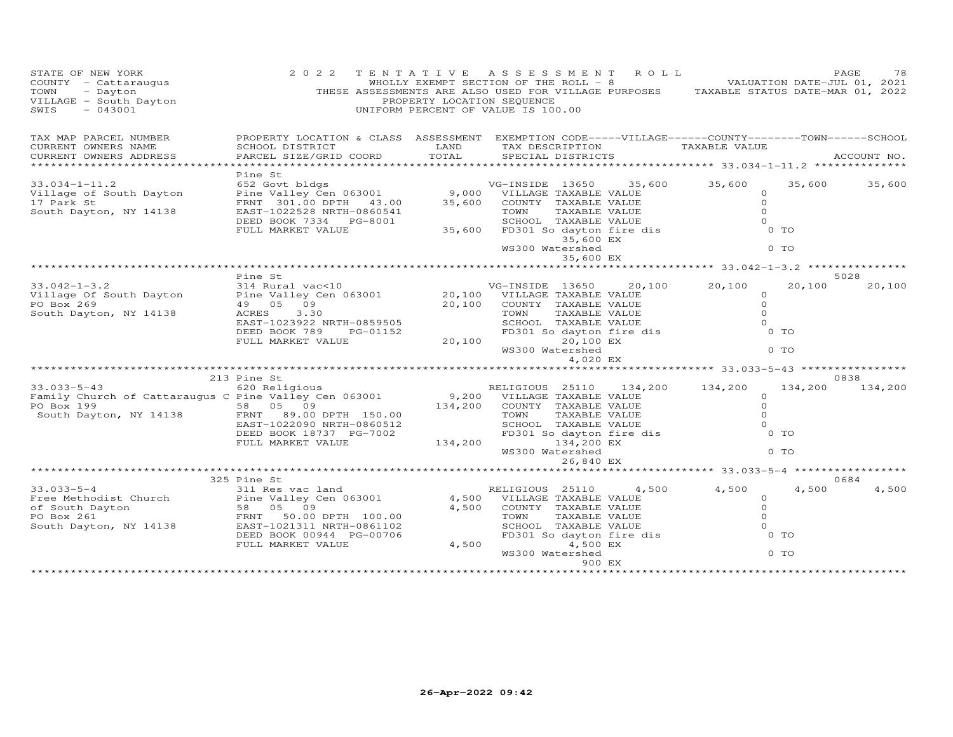| STATE OF NEW YORK<br>COUNTY - Cattaraugus<br>TOWN - Dayton<br>VILLAGE - South Dayton<br>SWIS - 043001                                                                     | 2 0 2 2                                                                                                                                                                                                       | PROPERTY LOCATION SEQUENCE | TENTATIVE ASSESSMENT ROLL<br>WHOLLY EXEMPT SECTION OF THE ROLL - 8 VALUATION DATE-JUL 01, 2021<br>THESE ASSESSMENTS ARE ALSO USED FOR VILLAGE PURPOSES TAXABLE STATUS DATE-MAR 01, 2022<br>UNIFORM PERCENT OF VALUE IS 100.00 |        |                                                              |                        | PAGE<br>78      |
|---------------------------------------------------------------------------------------------------------------------------------------------------------------------------|---------------------------------------------------------------------------------------------------------------------------------------------------------------------------------------------------------------|----------------------------|-------------------------------------------------------------------------------------------------------------------------------------------------------------------------------------------------------------------------------|--------|--------------------------------------------------------------|------------------------|-----------------|
| TAX MAP PARCEL NUMBER<br>CURRENT OWNERS NAME<br>CURRENT OWNERS ADDRESS                                                                                                    | PROPERTY LOCATION & CLASS ASSESSMENT EXEMPTION CODE-----VILLAGE------COUNTY-------TOWN------SCHOOL<br>SCHOOL DISTRICT<br>PARCEL SIZE/GRID COORD                                                               | LAND<br>TOTAL              | TAX DESCRIPTION<br>SPECIAL DISTRICTS                                                                                                                                                                                          |        | TAXABLE VALUE                                                |                        | ACCOUNT NO.     |
|                                                                                                                                                                           | Pine St                                                                                                                                                                                                       |                            |                                                                                                                                                                                                                               |        |                                                              |                        |                 |
| $33.034 - 1 - 11.2$<br>Village of South Dayton<br>17 Park St<br>South Dayton, NY 14138                                                                                    | 652 Govt bldgs<br>Pine Valley Cen 063001 9,000 VILLAGE TAXABLE VALUE<br>FRNT 301.00 DPTH 43.00 35,600 COUNTY TAXABLE VALUE<br>FAST-1022528 NPTH 055554<br>EAST-1022528 NRTH-0860541<br>DEED BOOK 7334 PG-8001 |                            | TOWN<br>TAXABLE VALUE<br>SCHOOL TAXABLE VALUE<br>35,600 FD301 So dayton fire dis                                                                                                                                              |        | 35,600 35,600<br>$\circ$<br>$\Omega$<br>$\Omega$<br>$\Omega$ | 35,600                 | 35,600          |
|                                                                                                                                                                           | FULL MARKET VALUE                                                                                                                                                                                             |                            | 35,600 EX<br>WS300 Watershed                                                                                                                                                                                                  |        |                                                              | 0 TO<br>$0$ TO         |                 |
|                                                                                                                                                                           |                                                                                                                                                                                                               |                            | 35,600 EX                                                                                                                                                                                                                     |        |                                                              |                        |                 |
|                                                                                                                                                                           | Pine St                                                                                                                                                                                                       |                            |                                                                                                                                                                                                                               |        |                                                              |                        | 5028            |
| $33.042 - 1 - 3.2$<br>Village Of South Dayton<br>PO Box 269                                                                                                               | 314 Rural vac<10<br>Pine Valley Cen 063001 20,100 VILLAGE TAXABLE VALUE<br>49 05 09                                                                                                                           |                            | VG-INSIDE 13650<br>20,100 COUNTY TAXABLE VALUE                                                                                                                                                                                | 20,100 | 20,100<br>$\circ$<br>$\circ$                                 | 20,100                 | 20,100          |
| South Dayton, NY 14138                                                                                                                                                    | 3.30<br>ACRES<br>EAST-1023922 NRTH-0859505                                                                                                                                                                    |                            | TAXABLE VALUE<br>TOWN<br>IOWN IAXABLE VALUE<br>FD301 So dayton fire dis                                                                                                                                                       |        | $\Omega$<br>$\Omega$                                         |                        |                 |
|                                                                                                                                                                           | DEED BOOK 789<br>PG-01152<br>FULL MARKET VALUE                                                                                                                                                                |                            | 20,100<br>20,100 EX<br>WS300 Watershed                                                                                                                                                                                        |        |                                                              | 0 TO<br>0 <sub>T</sub> |                 |
|                                                                                                                                                                           |                                                                                                                                                                                                               |                            | 4,020 EX                                                                                                                                                                                                                      |        |                                                              |                        |                 |
|                                                                                                                                                                           |                                                                                                                                                                                                               |                            |                                                                                                                                                                                                                               |        | **************************** 33.033–5–43 ****************    |                        |                 |
| 33.033-5-43                                                                                                                                                               | 213 Pine St<br>620 Religious                                                                                                                                                                                  |                            | RELIGIOUS 25110                                                                                                                                                                                                               |        | 134,200 134,200                                              | 134,200                | 0838<br>134,200 |
| Family Church of Cattaraugus C Pine Valley Cen 063001<br>PO Box 199<br>58 05 09<br>10, NY 14138 FRNT 89.00<br>South Dayton, NY 14138                                      | FRNT 89.00 DPTH 150.00<br>EAST-1022090 NRTH-0860512                                                                                                                                                           |                            | 9,200 VILLAGE TAXABLE VALUE<br>134,200 COUNTY TAXABLE VALUE<br>TOWN<br>TAXABLE VALUE<br>SCHOOL TAXABLE VALUE<br>FD301 So dayton fire dis                                                                                      |        | $\Omega$<br>$\circ$<br>$\Omega$<br>$\Omega$                  | $0$ TO                 |                 |
|                                                                                                                                                                           | DEED BOOK 18737 PG-7002<br>FULL MARKET VALUE                                                                                                                                                                  | 134,200                    | 134,200 EX<br>WS300 Watershed                                                                                                                                                                                                 |        |                                                              | $0$ TO                 |                 |
|                                                                                                                                                                           |                                                                                                                                                                                                               |                            | 26,840 EX                                                                                                                                                                                                                     |        | ********** 33.033-5-4 **********                             |                        |                 |
|                                                                                                                                                                           | 325 Pine St                                                                                                                                                                                                   |                            |                                                                                                                                                                                                                               |        |                                                              |                        | 0684            |
| $33.033 - 5 - 4$<br>33.033-5-4<br>Free Methodist Church<br>of South Dayton<br>Pine Valley Cen 063001<br>PO Box 261<br>South Dayton, NY 14138<br>EAST-1021311 NRTH-0861102 | 311 Res vac land<br>DEED BOOK 00944 PG-00706                                                                                                                                                                  | 4,500                      | RELIGIOUS 25110<br>4,500 VILLAGE TAXABLE VALUE<br>COUNTY TAXABLE VALUE<br>TAXABLE VALUE<br>TOWN<br>SCHOOL TAXABLE VALUE<br>FD301 So dayton fire dis                                                                           | 4,500  | 4,500<br>$\circ$<br>$\circ$<br>$\Omega$<br>$\circ$           | 4,500<br>$0$ TO        | 4,500           |
|                                                                                                                                                                           | FULL MARKET VALUE                                                                                                                                                                                             |                            | 4,500<br>4,500 EX<br>WS300 Watershed<br>900 EX                                                                                                                                                                                |        |                                                              | 0 TO                   |                 |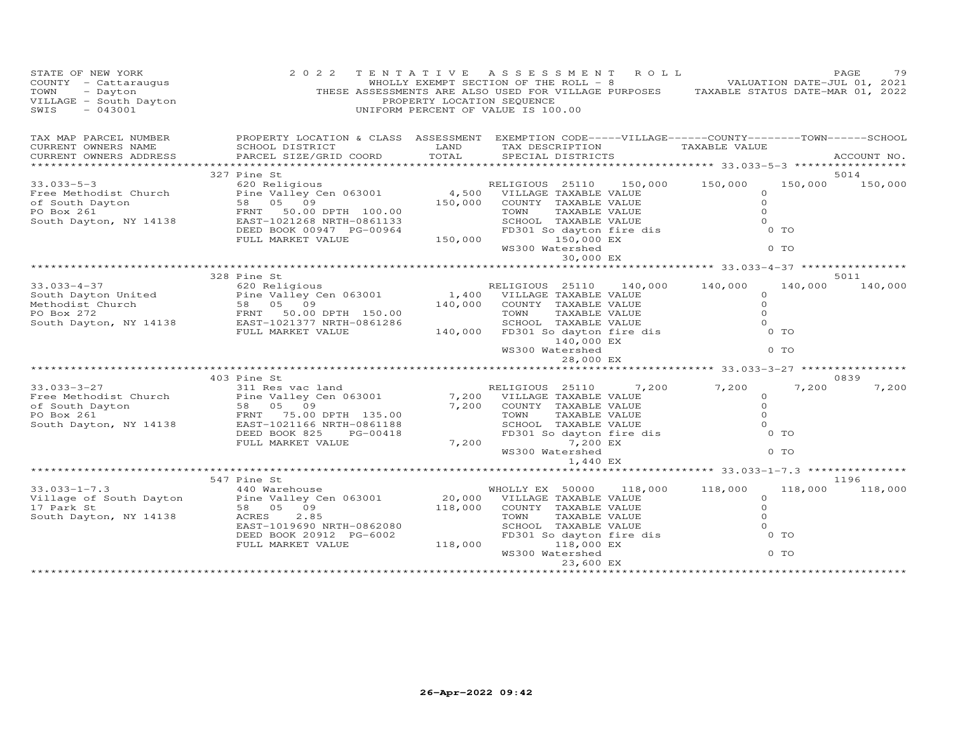| STATE OF NEW YORK<br>COUNTY - Cattaraugus<br>TOWN - Dayton<br>VILLAGE - South Dayton<br>---AGE - 043001 | 2 0 2 2                                                                                                                                                                                                                                                                                           | PROPERTY LOCATION SEQUENCE       | TENTATIVE ASSESSMENT ROLL<br>WHOLLY EXEMPT SECTION OF THE ROLL - 8 $V$ VALUATION DATE-JUL 01, 2021<br>THESE ASSESSMENTS ARE ALSO USED FOR VILLAGE PURPOSES TAXABLE STATUS DATE-MAR 01, 2022<br>UNIFORM PERCENT OF VALUE IS 100.00 |                                                                              | PAGE<br>79      |
|---------------------------------------------------------------------------------------------------------|---------------------------------------------------------------------------------------------------------------------------------------------------------------------------------------------------------------------------------------------------------------------------------------------------|----------------------------------|-----------------------------------------------------------------------------------------------------------------------------------------------------------------------------------------------------------------------------------|------------------------------------------------------------------------------|-----------------|
| TAX MAP PARCEL NUMBER<br>CURRENT OWNERS NAME<br>CURRENT OWNERS ADDRESS                                  | PROPERTY LOCATION & CLASS ASSESSMENT EXEMPTION CODE-----VILLAGE------COUNTY--------TOWN------SCHOOL<br>SCHOOL DISTRICT<br>PARCEL SIZE/GRID COORD                                                                                                                                                  | LAND<br>TOTAL                    | TAX DESCRIPTION<br>SPECIAL DISTRICTS                                                                                                                                                                                              | TAXABLE VALUE                                                                | ACCOUNT NO.     |
|                                                                                                         |                                                                                                                                                                                                                                                                                                   |                                  |                                                                                                                                                                                                                                   |                                                                              |                 |
| $33.033 - 5 - 3$                                                                                        | 327 Pine St<br>620 Religious                                                                                                                                                                                                                                                                      |                                  | RELIGIOUS 25110 150,000 150,000                                                                                                                                                                                                   | 150,000                                                                      | 5014<br>150,000 |
|                                                                                                         | Free Methodist Church<br>Tine Valley Cen 063001<br>of South Dayton<br>PO Box 261<br>South Dayton, NY 14138<br>FRNT 50.00 DPTH 100.00<br>EAST-1021268 NRTH-0861133                                                                                                                                 | 4,500<br>150,000                 | VILLAGE TAXABLE VALUE<br>COUNTY TAXABLE VALUE<br>TAXABLE VALUE<br>TOWN<br>SCHOOL TAXABLE VALUE<br>FD301 So dayton fire dis                                                                                                        | $\Omega$<br>$\Omega$<br>$\Omega$<br>$\Omega$                                 |                 |
|                                                                                                         | DEED BOOK 00947 PG-00964<br>FULL MARKET VALUE                                                                                                                                                                                                                                                     | 150,000                          | 150,000 EX<br>WS300 Watershed<br>30,000 EX                                                                                                                                                                                        | 0 TO<br>0 <sub>T</sub>                                                       |                 |
|                                                                                                         |                                                                                                                                                                                                                                                                                                   |                                  |                                                                                                                                                                                                                                   |                                                                              |                 |
|                                                                                                         | 328 Pine St                                                                                                                                                                                                                                                                                       |                                  |                                                                                                                                                                                                                                   |                                                                              | 5011            |
| $33.033 - 4 - 37$<br>South Dayton United<br>Methodist Church<br>PO Box 272                              | 620 Religious<br>Pine Valley Cen $063001$<br>South Dayton United<br>Methodist Church<br>PO Box 272<br>South Dayton, NY 14138<br>ERNT 50.00 DPTH 150.00<br>ERNT 1021377 NRTH-0861286<br>FULL MARKET VALUE                                                                                          | 140,000                          | RELIGIOUS 25110 140,000 140,000<br>1,400 VILLAGE TAXABLE VALUE<br>COUNTY TAXABLE VALUE                                                                                                                                            | 140,000<br>$\circ$<br>$\Omega$                                               | 140,000         |
|                                                                                                         |                                                                                                                                                                                                                                                                                                   |                                  | TOWN<br>TAXABLE VALUE                                                                                                                                                                                                             | $\Omega$<br>$\Omega$                                                         |                 |
|                                                                                                         | FULL MARKET VALUE                                                                                                                                                                                                                                                                                 | 140,000                          | SCHOOL TAXABLE VALUE<br>FD301 So dayton fire dis<br>140,000 EX                                                                                                                                                                    | $0$ TO                                                                       |                 |
|                                                                                                         |                                                                                                                                                                                                                                                                                                   |                                  | WS300 Watershed<br>28,000 EX                                                                                                                                                                                                      | 0 <sub>T</sub>                                                               |                 |
|                                                                                                         |                                                                                                                                                                                                                                                                                                   |                                  |                                                                                                                                                                                                                                   |                                                                              |                 |
|                                                                                                         | 403 Pine St                                                                                                                                                                                                                                                                                       |                                  |                                                                                                                                                                                                                                   |                                                                              | 0839            |
| 33.033-3-27<br>South Dayton, NY 14138                                                                   | 311 Res vac land<br>Free Methodist Church<br>Free Methodist Church<br>Pine Valley Cen 063001<br>DE South Dayton<br>FRNT<br>FRNT 15.00<br>South Dayton, NY 14138<br>FRNT 100115100<br>FRNT 100115100<br>FRNT 100115100<br>FRNT 100115100<br>EAST-1021166 NRTH-0861188<br>DEED BOOK 825<br>PG-00418 | 7,200                            | RELIGIOUS 25110<br>7,200 VILLAGE TAXABLE VALUE<br>COUNTY TAXABLE VALUE<br>ANDUE<br>FD301 So dayton fire dis<br>7,200 EX<br>WS300 Waterskall                                                                                       | 7,200 7,200<br>7,200<br>$\circ$<br>$\circ$<br>$\Omega$<br>$\Omega$<br>$0$ TO | 7,200           |
|                                                                                                         | FULL MARKET VALUE                                                                                                                                                                                                                                                                                 | 7,200                            | 1,440 EX                                                                                                                                                                                                                          | 0 TO                                                                         |                 |
|                                                                                                         |                                                                                                                                                                                                                                                                                                   |                                  |                                                                                                                                                                                                                                   |                                                                              |                 |
|                                                                                                         | 547 Pine St                                                                                                                                                                                                                                                                                       |                                  |                                                                                                                                                                                                                                   |                                                                              | 1196            |
| $33.033 - 1 - 7.3$<br>Village of South Dayton<br>17 Park St<br>South Dayton, NY 14138                   | 440 Warehouse<br>Pine Valley Cen 063001<br>58 05 09<br>ACRES<br>2.85<br>EAST-1019690 NRTH-0862080                                                                                                                                                                                                 | $20,000$ <sup>W</sup><br>118,000 | 118,000<br>WHOLLY EX 50000<br>VILLAGE TAXABLE VALUE<br>COUNTY TAXABLE VALUE<br>TAXABLE VALUE<br>TOWN<br>SCHOOL TAXABLE VALUE<br>FD301 So dayton fire dis                                                                          | 118,000<br>118,000<br>$\circ$<br>$\circ$<br>$\Omega$<br>$\Omega$<br>0 TO     | 118,000         |
|                                                                                                         | DEED BOOK 20912 PG-6002<br>FULL MARKET VALUE                                                                                                                                                                                                                                                      | 118,000                          | 118,000 EX<br>WS300 Watershed<br>23,600 EX                                                                                                                                                                                        | 0 TO                                                                         |                 |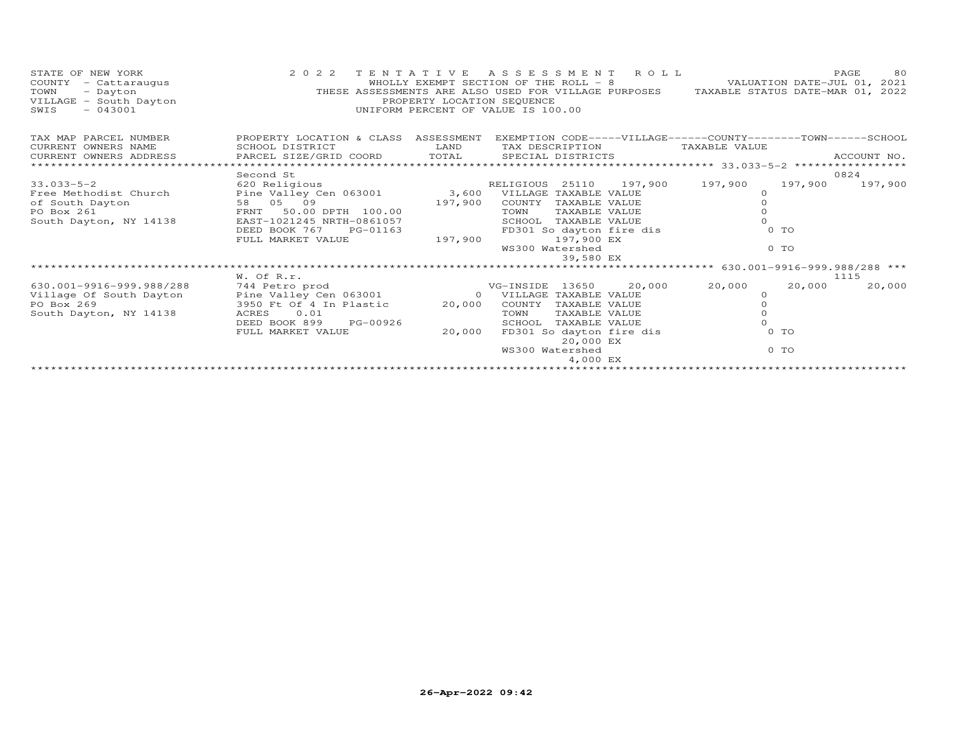| STATE OF NEW YORK<br>COUNTY<br>- Cattaraugus<br>TOWN<br>- Dayton<br>VILLAGE - South Dayton<br>$-043001$<br>SWIS | 2 0 2 2<br>THESE ASSESSMENTS ARE ALSO USED FOR VILLAGE PURPOSES TAXABLE STATUS DATE-MAR 01, 2022    | TENTATIVE<br>WHOLLY EXEMPT SECTION OF THE ROLL - 8<br>PROPERTY LOCATION SEQUENCE<br>UNIFORM PERCENT OF VALUE IS 100.00 |                         |                               | ASSESSMENT ROLL          | VALUATION DATE-JUL 01, 2021                                  |         | PAGE<br>80  |
|-----------------------------------------------------------------------------------------------------------------|-----------------------------------------------------------------------------------------------------|------------------------------------------------------------------------------------------------------------------------|-------------------------|-------------------------------|--------------------------|--------------------------------------------------------------|---------|-------------|
| TAX MAP PARCEL NUMBER                                                                                           | PROPERTY LOCATION & CLASS ASSESSMENT EXEMPTION CODE-----VILLAGE------COUNTY--------TOWN------SCHOOL |                                                                                                                        |                         |                               |                          |                                                              |         |             |
| CURRENT OWNERS NAME                                                                                             | SCHOOL DISTRICT                                                                                     | LAND                                                                                                                   |                         | TAX DESCRIPTION               |                          | TAXABLE VALUE                                                |         |             |
| CURRENT OWNERS ADDRESS<br>************************                                                              | PARCEL SIZE/GRID COORD TOTAL                                                                        |                                                                                                                        |                         | SPECIAL DISTRICTS             |                          |                                                              |         | ACCOUNT NO. |
|                                                                                                                 | Second St                                                                                           |                                                                                                                        |                         |                               |                          |                                                              |         | 0824        |
| $33.033 - 5 - 2$                                                                                                | 620 Religious                                                                                       |                                                                                                                        |                         |                               |                          | RELIGIOUS 25110 197,900 197,900                              | 197,900 | 197,900     |
| Free Methodist Church                                                                                           | Pine Valley Cen 063001 3,600 VILLAGE TAXABLE VALUE                                                  |                                                                                                                        |                         |                               |                          | $\Omega$                                                     |         |             |
| of South Dayton                                                                                                 | 58 05 09                                                                                            | 197,900                                                                                                                | COUNTY                  | TAXABLE VALUE                 |                          |                                                              |         |             |
| PO Box 261                                                                                                      | FRNT 50.00 DPTH 100.00                                                                              |                                                                                                                        | TOWN                    | TAXABLE VALUE                 |                          |                                                              |         |             |
| South Dayton, NY 14138                                                                                          | EAST-1021245 NRTH-0861057                                                                           |                                                                                                                        | SCHOOL                  | TAXABLE VALUE                 |                          |                                                              |         |             |
|                                                                                                                 | DEED BOOK 767<br>PG-01163                                                                           |                                                                                                                        |                         |                               | FD301 So dayton fire dis |                                                              | 0 TO    |             |
|                                                                                                                 | FULL MARKET VALUE                                                                                   | 197,900                                                                                                                |                         | 197,900 EX<br>WS300 Watershed |                          |                                                              | $0$ TO  |             |
|                                                                                                                 |                                                                                                     |                                                                                                                        |                         | 39,580 EX                     |                          |                                                              |         |             |
|                                                                                                                 |                                                                                                     |                                                                                                                        |                         |                               |                          | ******************************* 630.001-9916-999.988/288 *** |         |             |
|                                                                                                                 | W. Of R.r.                                                                                          |                                                                                                                        |                         |                               |                          |                                                              |         | 1115        |
| 630.001-9916-999.988/288                                                                                        | 744 Petro prod                                                                                      |                                                                                                                        | VG-INSIDE 13650         |                               | 20,000                   | 20,000                                                       | 20,000  | 20,000      |
| Village Of South Dayton                                                                                         | Pine Valley Cen 063001                                                                              |                                                                                                                        | 0 VILLAGE TAXABLE VALUE |                               |                          | $\circ$                                                      |         |             |
| PO Box 269                                                                                                      | 3950 Ft Of 4 In Plastic                                                                             | 20,000                                                                                                                 | COUNTY                  | TAXABLE VALUE                 |                          |                                                              |         |             |
| South Dayton, NY 14138                                                                                          | 0.01<br>ACRES                                                                                       |                                                                                                                        | TOWN                    | TAXABLE VALUE                 |                          |                                                              |         |             |
|                                                                                                                 | DEED BOOK 899<br>PG-00926                                                                           |                                                                                                                        | SCHOOL                  | TAXABLE VALUE                 |                          |                                                              |         |             |
|                                                                                                                 | FULL MARKET VALUE                                                                                   | 20,000                                                                                                                 |                         | 20,000 EX                     | FD301 So dayton fire dis |                                                              | $0$ TO  |             |
|                                                                                                                 |                                                                                                     |                                                                                                                        | WS300 Watershed         |                               |                          |                                                              | $0$ TO  |             |
|                                                                                                                 |                                                                                                     |                                                                                                                        |                         | 4,000 EX                      |                          |                                                              |         |             |
|                                                                                                                 |                                                                                                     |                                                                                                                        |                         |                               |                          |                                                              |         |             |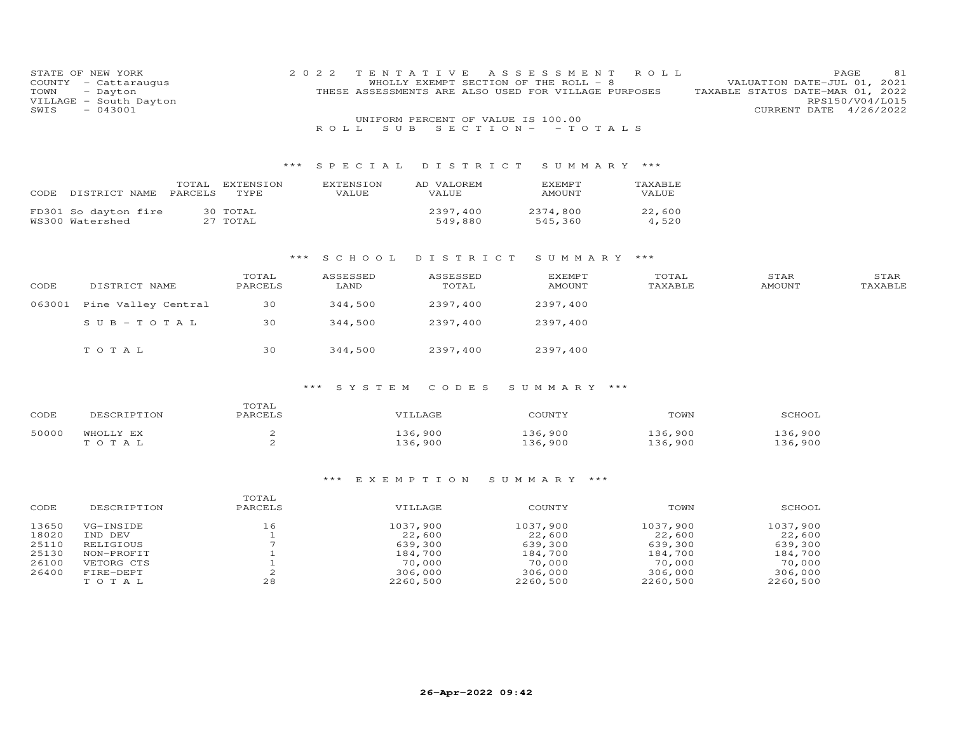| COUNTY<br>TOWN<br>SWIS                             | STATE OF NEW YORK<br>- Cattaraugus<br>- Dayton<br>VILLAGE - South Dayton<br>$-043001$ |                                                                           | 2 0 2 2<br>ROLL<br>S U B  | TENTATIVE<br>UNIFORM PERCENT OF VALUE IS 100.00                           | A S S E S S M E N T<br>WHOLLY EXEMPT SECTION OF THE ROLL - 8<br>THESE ASSESSMENTS ARE ALSO USED FOR VILLAGE PURPOSES<br>$S E C T I O N - - T O T A L S$ | ROLL                                                                      | VALUATION DATE-JUL 01, 2021<br>TAXABLE STATUS DATE-MAR 01, 2022<br>CURRENT DATE 4/26/2022 | PAGE<br>81<br>RPS150/V04/L015 |
|----------------------------------------------------|---------------------------------------------------------------------------------------|---------------------------------------------------------------------------|---------------------------|---------------------------------------------------------------------------|---------------------------------------------------------------------------------------------------------------------------------------------------------|---------------------------------------------------------------------------|-------------------------------------------------------------------------------------------|-------------------------------|
|                                                    |                                                                                       | $***$                                                                     | SPECIAL                   | DISTRICT                                                                  | SUMMARY ***                                                                                                                                             |                                                                           |                                                                                           |                               |
| CODE                                               | TOTAL<br>PARCELS<br>DISTRICT NAME                                                     | EXTENSION<br>TYPE                                                         | <b>EXTENSION</b><br>VALUE | AD VALOREM<br><b>VALUE</b>                                                | <b>EXEMPT</b><br><b>AMOUNT</b>                                                                                                                          | TAXABLE<br>VALUE                                                          |                                                                                           |                               |
|                                                    | FD301 So dayton fire<br>WS300 Watershed                                               | 30 TOTAL<br>27 TOTAL                                                      |                           | 2397,400<br>549,880                                                       | 2374,800<br>545,360                                                                                                                                     | 22,600<br>4,520                                                           |                                                                                           |                               |
|                                                    |                                                                                       | ***                                                                       | S C H O O L               | DISTRICT                                                                  | SUMMARY ***                                                                                                                                             |                                                                           |                                                                                           |                               |
| CODE                                               | DISTRICT NAME                                                                         | TOTAL<br>PARCELS                                                          | ASSESSED<br>LAND          | ASSESSED<br>TOTAL                                                         | <b>EXEMPT</b><br><b>AMOUNT</b>                                                                                                                          | TOTAL<br>TAXABLE                                                          | STAR<br><b>AMOUNT</b>                                                                     | STAR<br>TAXABLE               |
| 063001                                             | Pine Valley Central                                                                   | 30                                                                        | 344,500                   | 2397,400                                                                  | 2397,400                                                                                                                                                |                                                                           |                                                                                           |                               |
|                                                    | $S \cup B - T \cup T A L$                                                             | 30                                                                        | 344,500                   | 2397,400                                                                  | 2397,400                                                                                                                                                |                                                                           |                                                                                           |                               |
|                                                    | TOTAL                                                                                 | 30                                                                        | 344,500                   | 2397,400                                                                  | 2397,400                                                                                                                                                |                                                                           |                                                                                           |                               |
|                                                    |                                                                                       |                                                                           | SYSTEM                    | CODES                                                                     | SUMMARY ***                                                                                                                                             |                                                                           |                                                                                           |                               |
| CODE                                               | DESCRIPTION                                                                           | TOTAL<br>PARCELS                                                          |                           | VILLAGE                                                                   | COUNTY                                                                                                                                                  | TOWN                                                                      | SCHOOL                                                                                    |                               |
| 50000                                              | WHOLLY EX<br>TOTAL                                                                    | $\mathbf{2}$<br>2                                                         |                           | 136,900<br>136,900                                                        | 136,900<br>136,900                                                                                                                                      | 136,900<br>136,900                                                        | 136,900<br>136,900                                                                        |                               |
|                                                    |                                                                                       |                                                                           | *** EXEMPTION             |                                                                           | SUMMARY ***                                                                                                                                             |                                                                           |                                                                                           |                               |
| CODE                                               | DESCRIPTION                                                                           | TOTAL<br>PARCELS                                                          |                           | VILLAGE                                                                   | COUNTY                                                                                                                                                  | TOWN                                                                      | SCHOOL                                                                                    |                               |
| 13650<br>18020<br>25110<br>25130<br>26100<br>26400 | VG-INSIDE<br>IND DEV<br>RELIGIOUS<br>NON-PROFIT<br>VETORG CTS<br>FIRE-DEPT<br>TOTAL   | 16<br>$\mathbf{1}$<br>$7\overline{ }$<br>$1\,$<br>$\mathbf{1}$<br>2<br>28 |                           | 1037,900<br>22,600<br>639,300<br>184,700<br>70,000<br>306,000<br>2260,500 | 1037,900<br>22,600<br>639,300<br>184,700<br>70,000<br>306,000<br>2260,500                                                                               | 1037,900<br>22,600<br>639,300<br>184,700<br>70,000<br>306,000<br>2260,500 | 1037,900<br>22,600<br>639,300<br>184,700<br>70,000<br>306,000<br>2260,500                 |                               |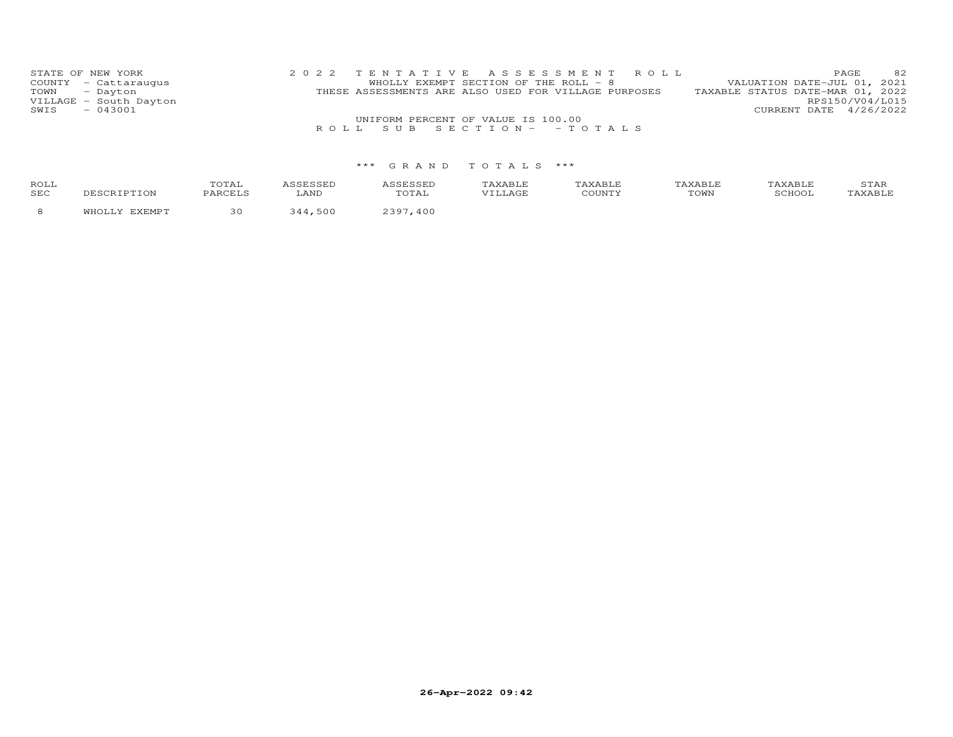|      | STATE OF NEW YORK      | 2022 TENTATIVE ASSESSMENT ROLL                       |  |                                  | <b>PAGE</b>            | 82 |
|------|------------------------|------------------------------------------------------|--|----------------------------------|------------------------|----|
|      | COUNTY - Cattaraugus   | WHOLLY EXEMPT SECTION OF THE ROLL - 8                |  | VALUATION DATE-JUL 01, 2021      |                        |    |
|      | TOWN - Dayton          | THESE ASSESSMENTS ARE ALSO USED FOR VILLAGE PURPOSES |  | TAXABLE STATUS DATE-MAR 01, 2022 |                        |    |
|      | VILLAGE - South Dayton |                                                      |  |                                  | RPS150/V04/L015        |    |
| SWIS | $-043001$              |                                                      |  |                                  | CURRENT DATE 4/26/2022 |    |
|      |                        | UNIFORM PERCENT OF VALUE IS 100.00                   |  |                                  |                        |    |
|      |                        | ROLL SUB SECTION - - TOTALS                          |  |                                  |                        |    |

## \*\*\* G R A N D T O T A L S \*\*\*

| ROLL<br>SEC | DESCRIPTION          | TOTAL<br>PARCELS | <i><b>\SSESSED</b></i><br>LAND | <i><b>\SSESSED</b></i><br>TOTAL | TAXABLE<br>VILLAGE | TAXABLE<br>COUNTY | TAXABLE<br>TOWN | TAXABLE<br>SCHOOL | STAR<br>TAXABLE |
|-------------|----------------------|------------------|--------------------------------|---------------------------------|--------------------|-------------------|-----------------|-------------------|-----------------|
|             | <b>WHOLLY FYFMDT</b> |                  | 500<br>311                     | 2207<br>400                     |                    |                   |                 |                   |                 |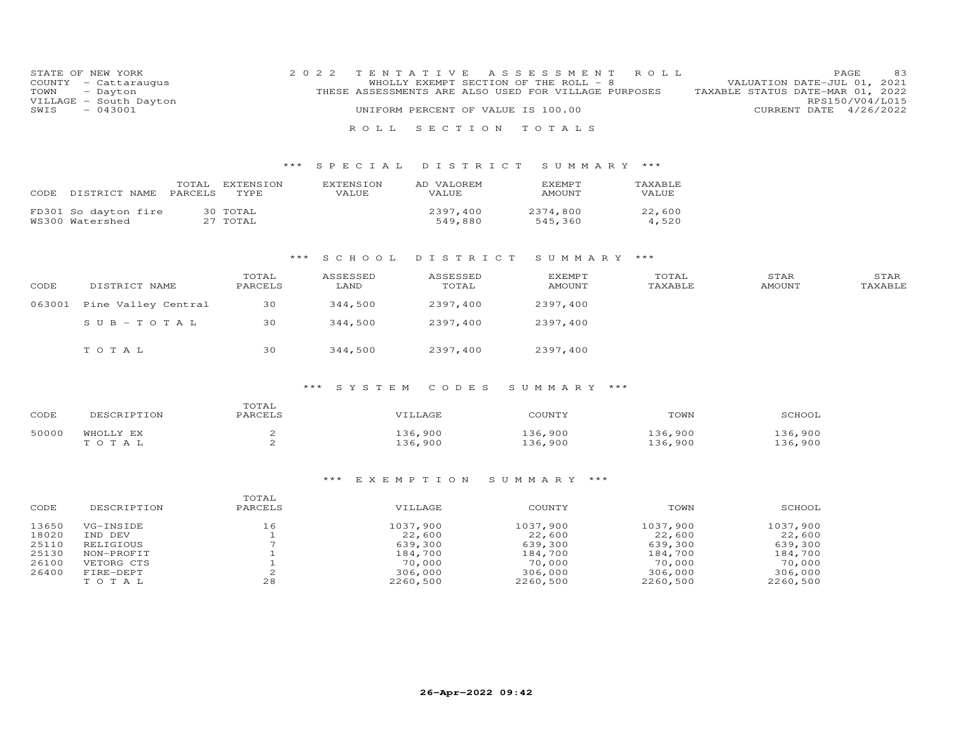| TOWN<br>SWIS   | STATE OF NEW YORK<br>COUNTY - Cattaraugus<br>- Dayton<br>VILLAGE - South Dayton<br>$-043001$ |                              | 2 0 2 2<br>ROLL           | TENTATIVE<br>UNIFORM PERCENT OF VALUE IS 100.00<br>SECTION | ASSESSMENT<br>WHOLLY EXEMPT SECTION OF THE ROLL - 8<br>THESE ASSESSMENTS ARE ALSO USED FOR VILLAGE PURPOSES<br>TOTALS | ROLL               | VALUATION DATE-JUL 01, 2021<br>TAXABLE STATUS DATE-MAR 01, 2022<br>CURRENT DATE 4/26/2022 | 83<br>PAGE<br>RPS150/V04/L015 |
|----------------|----------------------------------------------------------------------------------------------|------------------------------|---------------------------|------------------------------------------------------------|-----------------------------------------------------------------------------------------------------------------------|--------------------|-------------------------------------------------------------------------------------------|-------------------------------|
|                |                                                                                              |                              | SPECIAL                   | DISTRICT                                                   | SUMMARY ***                                                                                                           |                    |                                                                                           |                               |
| CODE           | PARCELS<br>DISTRICT NAME                                                                     | TOTAL EXTENSION<br>TYPE      | <b>EXTENSION</b><br>VALUE | AD VALOREM<br><b>VALUE</b>                                 | <b>EXEMPT</b><br><b>AMOUNT</b>                                                                                        | TAXABLE<br>VALUE   |                                                                                           |                               |
|                | FD301 So dayton fire<br>WS300 Watershed                                                      | 30 TOTAL<br>27 TOTAL         |                           | 2397,400<br>549,880                                        | 2374,800<br>545,360                                                                                                   | 22,600<br>4,520    |                                                                                           |                               |
|                |                                                                                              | $***$                        | S C H O O L               | DISTRICT                                                   | SUMMARY ***                                                                                                           |                    |                                                                                           |                               |
| CODE           | DISTRICT NAME                                                                                | TOTAL<br>PARCELS             | ASSESSED<br>LAND          | ASSESSED<br>TOTAL                                          | <b>EXEMPT</b><br><b>AMOUNT</b>                                                                                        | TOTAL<br>TAXABLE   | STAR<br><b>AMOUNT</b>                                                                     | STAR<br>TAXABLE               |
| 063001         | Pine Valley Central                                                                          | 30                           | 344,500                   | 2397,400                                                   | 2397,400                                                                                                              |                    |                                                                                           |                               |
|                | $S \cup B - T \cup T A L$                                                                    | 30                           | 344,500                   | 2397,400                                                   | 2397,400                                                                                                              |                    |                                                                                           |                               |
|                | TOTAL                                                                                        | 30                           | 344,500                   | 2397,400                                                   | 2397,400                                                                                                              |                    |                                                                                           |                               |
|                |                                                                                              |                              | SYSTEM                    | CODES                                                      | SUMMARY<br>$***$                                                                                                      |                    |                                                                                           |                               |
| CODE           | DESCRIPTION                                                                                  | TOTAL<br>PARCELS             |                           | VILLAGE                                                    | COUNTY                                                                                                                | TOWN               | SCHOOL                                                                                    |                               |
| 50000          | WHOLLY EX<br>TOTAL                                                                           | 2<br>2                       |                           | 136,900<br>136,900                                         | 136,900<br>136,900                                                                                                    | 136,900<br>136,900 | 136,900<br>136,900                                                                        |                               |
|                |                                                                                              |                              | EXEMPTION<br>$***$        |                                                            | SUMMARY ***                                                                                                           |                    |                                                                                           |                               |
|                |                                                                                              | TOTAL                        |                           |                                                            |                                                                                                                       |                    |                                                                                           |                               |
| CODE           | DESCRIPTION                                                                                  | PARCELS                      |                           | VILLAGE                                                    | COUNTY                                                                                                                | TOWN               | SCHOOL                                                                                    |                               |
| 13650<br>18020 | VG-INSIDE<br>IND DEV                                                                         | 16<br>$\mathbf{1}$           |                           | 1037,900<br>22,600                                         | 1037,900<br>22,600                                                                                                    | 1037,900<br>22,600 | 1037,900<br>22,600                                                                        |                               |
| 25110          | RELIGIOUS                                                                                    | $7\phantom{.0}$              |                           | 639,300                                                    | 639,300                                                                                                               | 639,300            | 639,300                                                                                   |                               |
| 25130<br>26100 | NON-PROFIT<br>VETORG CTS                                                                     | $\mathbf{1}$<br>$\mathbf{1}$ |                           | 184,700<br>70,000                                          | 184,700<br>70,000                                                                                                     | 184,700<br>70,000  | 184,700<br>70,000                                                                         |                               |
| 26400          | FIRE-DEPT                                                                                    | $\mathbf{2}$                 |                           | 306,000                                                    | 306,000                                                                                                               | 306,000            | 306,000                                                                                   |                               |
|                | TOTAL                                                                                        | 28                           |                           | 2260,500                                                   | 2260,500                                                                                                              | 2260,500           | 2260,500                                                                                  |                               |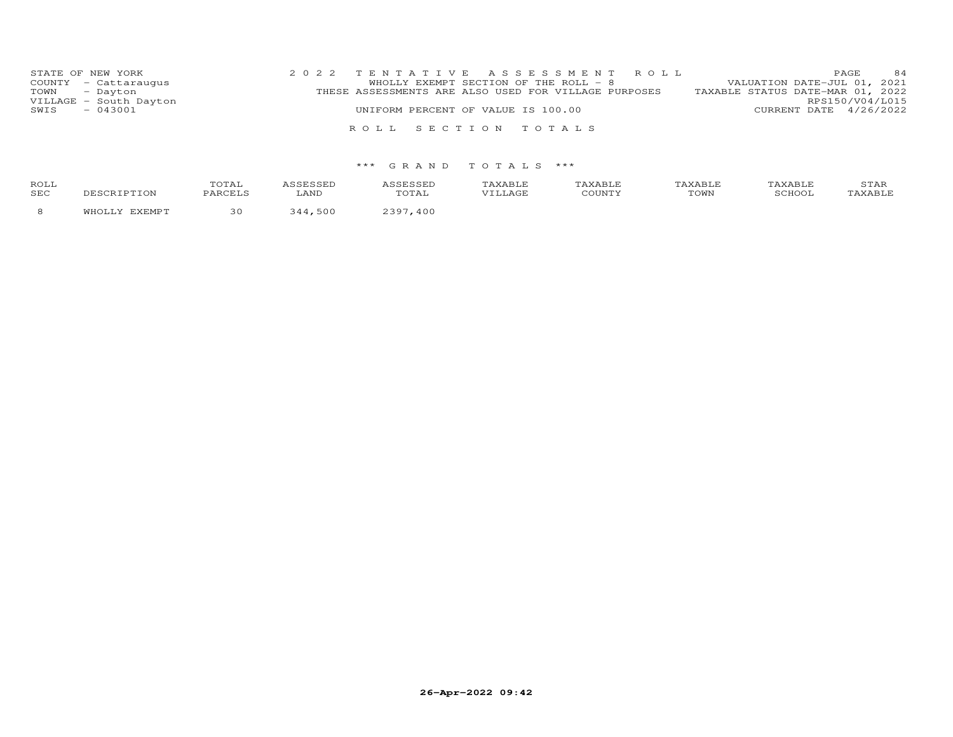|      | STATE OF NEW YORK      | 2022 TENTATIVE ASSESSMENT ROLL                       | 84<br>PAGE                       |
|------|------------------------|------------------------------------------------------|----------------------------------|
|      | COUNTY - Cattaraugus   | WHOLLY EXEMPT SECTION OF THE ROLL - 8                | VALUATION DATE-JUL 01, 2021      |
|      | TOWN - Dayton          | THESE ASSESSMENTS ARE ALSO USED FOR VILLAGE PURPOSES | TAXABLE STATUS DATE-MAR 01, 2022 |
|      | VILLAGE - South Dayton |                                                      | RPS150/V04/L015                  |
| SWIS | $-043001$              | UNIFORM PERCENT OF VALUE IS 100.00                   | CURRENT DATE 4/26/2022           |
|      |                        |                                                      |                                  |
|      |                        | ROLL SECTION TOTALS                                  |                                  |

## \*\*\* G R A N D T O T A L S \*\*\*

| ROLL<br>SEC | CRIPTION                 | TOTAL<br>PARCELS | <b>\SSESSED</b><br>LAND | <i><b>\SSESSED</b></i><br>TOTAL | TAXABLE<br>VILLAGE | TAXABLE<br>COUNTY | TAXABLF<br>TOWN | TAXABI.F<br>SCHOOL | STAR<br>"AXABLE |
|-------------|--------------------------|------------------|-------------------------|---------------------------------|--------------------|-------------------|-----------------|--------------------|-----------------|
|             | <b>TVEMDT</b><br>WHOT T. | 30               | 500<br>211              | 400                             |                    |                   |                 |                    |                 |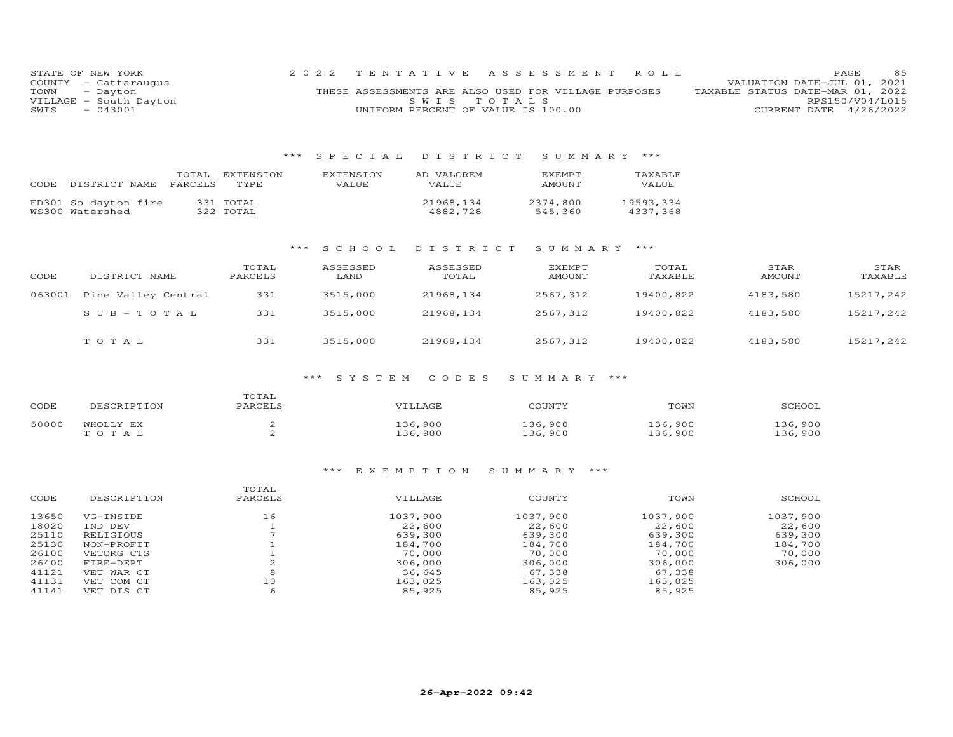| STATE OF NEW YORK |                        |                                                      |             |  | 2022 TENTATIVE ASSESSMENT ROLL |                                  | <b>PAGE</b>                 | 85 |
|-------------------|------------------------|------------------------------------------------------|-------------|--|--------------------------------|----------------------------------|-----------------------------|----|
|                   | COUNTY - Cattaraugus   |                                                      |             |  |                                |                                  | VALUATION DATE-JUL 01, 2021 |    |
| TOWN - Dayton     |                        | THESE ASSESSMENTS ARE ALSO USED FOR VILLAGE PURPOSES |             |  |                                | TAXABLE STATUS DATE-MAR 01, 2022 |                             |    |
|                   | VILLAGE - South Dayton |                                                      | SWIS TOTALS |  |                                |                                  | RPS150/V04/L015             |    |
| SWIS              | $-043001$              | UNIFORM PERCENT OF VALUE IS 100.00                   |             |  |                                |                                  | CURRENT DATE 4/26/2022      |    |

#### \*\*\* S P E C I A L D I S T R I C T S U M M A R Y \*\*\*

| CODE | DISTRICT NAME                           | TOTAL<br><b>PARCELS</b> | EXTENSION<br>TYPE.     | <b>EXTENSION</b><br>VALUE. | AD VALOREM<br>VALUE.  | <b>FXEMPT</b><br><b>AMOUNT</b> | TAXABLE<br>VALUE      |
|------|-----------------------------------------|-------------------------|------------------------|----------------------------|-----------------------|--------------------------------|-----------------------|
|      | FD301 So dayton fire<br>WS300 Watershed |                         | 331 TOTAL<br>322 TOTAL |                            | 21968,134<br>4882,728 | 2374,800<br>545,360            | 19593,334<br>4337.368 |

## \*\*\* S C H O O L D I S T R I C T S U M M A R Y \*\*\*

| CODE   | DISTRICT NAME       | TOTAL<br>PARCELS | ASSESSED<br>LAND | ASSESSED<br>TOTAL | EXEMPT<br><b>AMOUNT</b> | TOTAL<br>TAXABLE | STAR<br>AMOUNT | STAR<br>TAXABLE |
|--------|---------------------|------------------|------------------|-------------------|-------------------------|------------------|----------------|-----------------|
| 063001 | Pine Valley Central | 331              | 3515,000         | 21968,134         | 2567,312                | 19400,822        | 4183,580       | 15217,242       |
|        | $SUB-TOTAL$         | 331              | 3515,000         | 21968,134         | 2567,312                | 19400,822        | 4183,580       | 15217,242       |
|        | TOTAL               | 331              | 3515,000         | 21968,134         | 2567,312                | 19400,822        | 4183,580       | 15217,242       |

#### \*\*\* S Y S T E M C O D E S S U M M A R Y \*\*\*

| CODE  | DESCRIPTION        | TOTAL<br>PARCELS | VILLAGE            | COUNTY             | TOWN              | SCHOOL             |
|-------|--------------------|------------------|--------------------|--------------------|-------------------|--------------------|
| 50000 | WHOLLY EX<br>TOTAL |                  | 136,900<br>136,900 | 136,900<br>136.900 | .36,900<br>36,900 | 136,900<br>136,900 |

#### \*\*\* E X E M P T I O N S U M M A R Y \*\*\*

| CODE  | DESCRIPTION | TOTAL<br>PARCELS | VILLAGE  | COUNTY   | TOWN     | SCHOOL   |
|-------|-------------|------------------|----------|----------|----------|----------|
| 13650 | VG-INSIDE   | 16               | 1037,900 | 1037,900 | 1037,900 | 1037,900 |
| 18020 | IND DEV     |                  | 22,600   | 22,600   | 22,600   | 22,600   |
| 25110 | RELIGIOUS   |                  | 639,300  | 639,300  | 639,300  | 639,300  |
| 25130 | NON-PROFIT  |                  | 184,700  | 184,700  | 184,700  | 184,700  |
| 26100 | VETORG CTS  |                  | 70,000   | 70,000   | 70,000   | 70,000   |
| 26400 | FIRE-DEPT   |                  | 306,000  | 306,000  | 306,000  | 306,000  |
| 41121 | VET WAR CT  | 8                | 36,645   | 67,338   | 67,338   |          |
| 41131 | VET COM CT  | 10               | 163,025  | 163,025  | 163,025  |          |
| 41141 | VET DIS CT  | 6                | 85,925   | 85,925   | 85,925   |          |
|       |             |                  |          |          |          |          |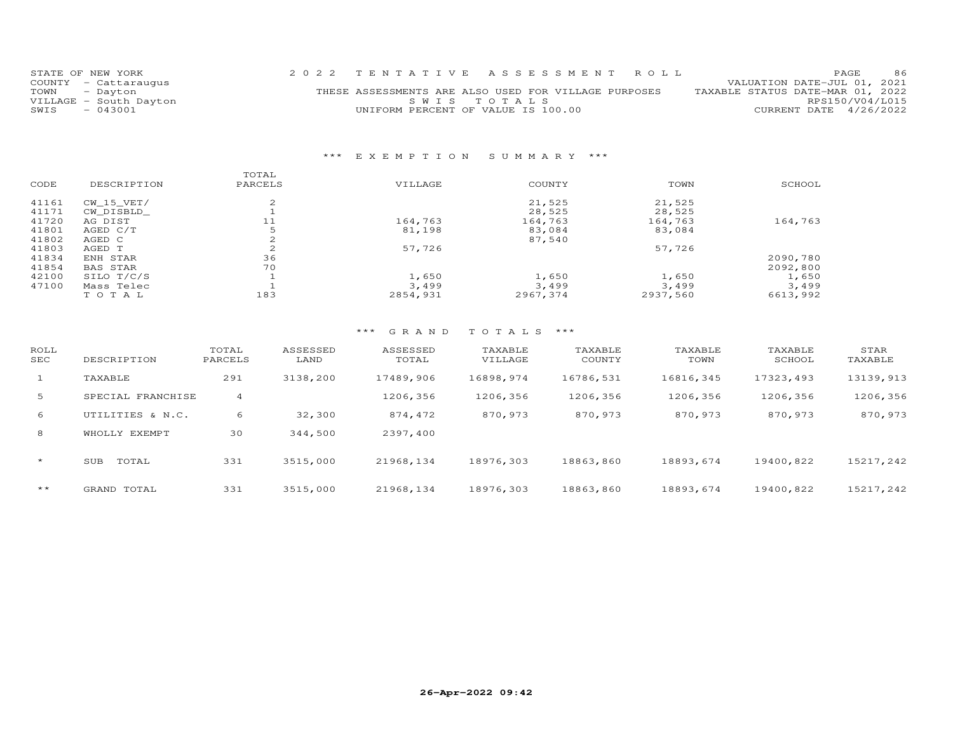| STATE OF NEW YORK      | 2022 TENTATIVE ASSESSMENT ROLL                       | 86<br><b>PAGE</b>                |
|------------------------|------------------------------------------------------|----------------------------------|
| COUNTY - Cattaraugus   |                                                      | VALUATION DATE-JUL 01, 2021      |
| TOWN - Dayton          | THESE ASSESSMENTS ARE ALSO USED FOR VILLAGE PURPOSES | TAXABLE STATUS DATE-MAR 01, 2022 |
| VILLAGE - South Dayton | SWIS TOTALS                                          | RPS150/V04/L015                  |
| - 043001<br>SWIS       | UNIFORM PERCENT OF VALUE IS 100.00                   | CURRENT DATE 4/26/2022           |
|                        |                                                      |                                  |

## \*\*\* E X E M P T I O N S U M M A R Y \*\*\*

| SCHOOL   |
|----------|
|          |
|          |
| 164,763  |
|          |
|          |
|          |
| 2090,780 |
| 2092,800 |
| 1,650    |
| 3,499    |
| 6613,992 |
|          |

### \*\*\* G R A N D T O T A L S \*\*\*

| ROLL<br>SEC | DESCRIPTION       | TOTAL<br>PARCELS | ASSESSED<br>LAND | ASSESSED<br>TOTAL | TAXABLE<br>VILLAGE | TAXABLE<br>COUNTY | TAXABLE<br>TOWN | TAXABLE<br>SCHOOL | STAR<br>TAXABLE |
|-------------|-------------------|------------------|------------------|-------------------|--------------------|-------------------|-----------------|-------------------|-----------------|
| $\perp$     | TAXABLE           | 291              | 3138,200         | 17489,906         | 16898,974          | 16786,531         | 16816,345       | 17323.493         | 13139,913       |
| 5           | SPECIAL FRANCHISE | $\overline{4}$   |                  | 1206,356          | 1206,356           | 1206,356          | 1206,356        | 1206,356          | 1206,356        |
| 6           | UTILITIES & N.C.  | 6                | 32,300           | 874,472           | 870,973            | 870,973           | 870,973         | 870,973           | 870,973         |
| 8           | EXEMPT<br>WHOLLY  | 30               | 344,500          | 2397,400          |                    |                   |                 |                   |                 |
| $\star$     | TOTAL<br>SUB      | 331              | 3515,000         | 21968,134         | 18976,303          | 18863,860         | 18893,674       | 19400,822         | 15217,242       |
| $***$       | GRAND TOTAL       | 331              | 3515,000         | 21968, 134        | 18976,303          | 18863,860         | 18893,674       | 19400,822         | 15217,242       |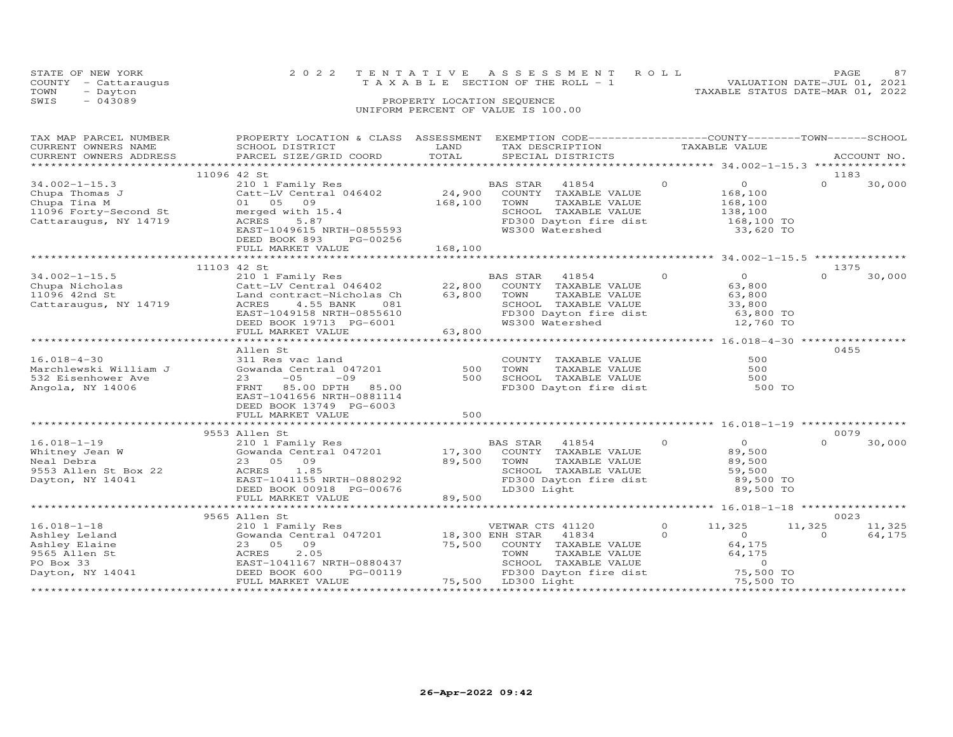| STATE OF NEW YORK    | 2022 TENTATIVE ASSESSMENT ROLL        | 87<br><b>PAGE</b>                |
|----------------------|---------------------------------------|----------------------------------|
| COUNTY - Cattaraugus | T A X A B L E SECTION OF THE ROLL - 1 | VALUATION DATE-JUL 01, 2021      |
| TOWN<br>- Dayton     |                                       | TAXABLE STATUS DATE-MAR 01, 2022 |
| $-043089$<br>SWIS    | PROPERTY LOCATION SEQUENCE            |                                  |
|                      | UNIFORM PERCENT OF VALUE IS 100.00    |                                  |

| TAX MAP PARCEL NUMBER<br>CURRENT OWNERS NAME<br>CURRENT OWNERS ADDRESS                                  | PROPERTY LOCATION & CLASS ASSESSMENT EXEMPTION CODE----------------COUNTY-------TOWN-----SCHOOL<br>SCHOOL DISTRICT<br>PARCEL SIZE/GRID COORD                                                     | LAND<br>TOTAL              | TAX DESCRIPTION<br>SPECIAL DISTRICTS                                                                                                                                   | TAXABLE VALUE       |                                                                                                              |                    | ACCOUNT NO.              |
|---------------------------------------------------------------------------------------------------------|--------------------------------------------------------------------------------------------------------------------------------------------------------------------------------------------------|----------------------------|------------------------------------------------------------------------------------------------------------------------------------------------------------------------|---------------------|--------------------------------------------------------------------------------------------------------------|--------------------|--------------------------|
|                                                                                                         |                                                                                                                                                                                                  |                            |                                                                                                                                                                        |                     |                                                                                                              |                    |                          |
| $34.002 - 1 - 15.3$<br>Chupa Thomas J<br>Chupa Tina M<br>11096 Forty-Second St<br>Cattaraugus, NY 14719 | 11096 42 St<br>210 1 Family Res<br>Catt-LV Central 046402<br>01 05<br>09<br>merged with 15.4<br>ACRES<br>5.87<br>EAST-1049615 NRTH-0855593<br>DEED BOOK 893<br>PG-00256                          | 24,900<br>168,100          | BAS STAR<br>41854<br>COUNTY TAXABLE VALUE<br>TOWN<br>TAXABLE VALUE<br>SCHOOL TAXABLE VALUE<br>FD300 Dayton fire dist<br>WS300 Watershed                                | $\Omega$            | $\overline{O}$<br>168,100<br>168,100<br>138,100<br>168,100 TO<br>33,620 TO                                   | $\Omega$           | 1183<br>30,000           |
|                                                                                                         | FULL MARKET VALUE                                                                                                                                                                                | 168,100                    |                                                                                                                                                                        |                     |                                                                                                              |                    |                          |
|                                                                                                         |                                                                                                                                                                                                  |                            |                                                                                                                                                                        |                     |                                                                                                              |                    |                          |
| $34.002 - 1 - 15.5$<br>Chupa Nicholas<br>11096 42nd St<br>Cattaraugus, NY 14719                         | 11103 42 St<br>210 1 Family Res<br>Catt-LV Central 046402<br>Land contract-Nicholas Ch<br>ACRES<br>4.55 BANK<br>081<br>EAST-1049158 NRTH-0855610<br>DEED BOOK 19713 PG-6001<br>FULL MARKET VALUE | 22,800<br>63,800<br>63,800 | <b>BAS STAR</b><br>41854<br>COUNTY TAXABLE VALUE<br>TOWN<br>TAXABLE VALUE<br>SCHOOL TAXABLE VALUE<br>SCHOOL TAXABLE VALUE<br>FD300 Dayton fire dist<br>WS300 Watershed | $\Omega$            | $\Omega$<br>63,800<br>63,800<br>33,800<br>63,800 TO<br>12,760 TO                                             | $\Omega$           | 1375<br>30,000           |
|                                                                                                         |                                                                                                                                                                                                  |                            |                                                                                                                                                                        |                     |                                                                                                              |                    |                          |
| $16.018 - 4 - 30$<br>Marchlewski William J<br>532 Eisenhower Ave<br>Angola, NY 14006                    | Allen St<br>311 Res vac land<br>Gowanda Central 047201<br>$-05$<br>$-09$<br>23<br>85.00 DPTH<br>FRNT<br>85.00<br>EAST-1041656 NRTH-0881114<br>DEED BOOK 13749 PG-6003<br>FULL MARKET VALUE       | 500<br>500<br>500          | COUNTY TAXABLE VALUE<br>TOWN<br>TAXABLE VALUE<br>SCHOOL TAXABLE VALUE<br>FD300 Dayton fire dist                                                                        |                     | 500<br>500<br>500<br>500 TO                                                                                  |                    | 0455                     |
|                                                                                                         |                                                                                                                                                                                                  |                            |                                                                                                                                                                        |                     |                                                                                                              |                    |                          |
| $16.018 - 1 - 19$<br>Whitney Jean W<br>Neal Debra<br>9553 Allen St Box 22<br>Dayton, NY 14041           | 9553 Allen St<br>210 1 Family Res<br>Gowanda Central 047201<br>09<br>23 05<br>ACRES<br>1.85<br>EAST-1041155 NRTH-0880292<br>DEED BOOK 00918 PG-00676<br>FULL MARKET VALUE                        | 17,300<br>89,500<br>89,500 | BAS STAR<br>41854<br>COUNTY TAXABLE VALUE<br>TAXABLE VALUE<br>TOWN<br>SCHOOL TAXABLE VALUE<br>FD300 Dayton fire dist<br>LD300 Light                                    | $\Omega$            | $\overline{O}$<br>89,500<br>89,500<br>59,500<br>89,500 TO<br>89,500 TO                                       | $\Omega$           | 0079<br>30,000           |
|                                                                                                         |                                                                                                                                                                                                  |                            |                                                                                                                                                                        |                     |                                                                                                              |                    |                          |
| $16.018 - 1 - 18$<br>Ashley Leland<br>Ashley Elaine<br>9565 Allen St<br>PO Box 33<br>Dayton, NY 14041   | 9565 Allen St<br>210 1 Family Res<br>Gowanda Central 047201<br>09<br>23 05<br>2.05<br>ACRES<br>EAST-1041167 NRTH-0880437<br>DEED BOOK 600<br>PG-00119<br>FULL MARKET VALUE                       | 75,500                     | VETWAR CTS 41120<br>18,300 ENH STAR<br>41834<br>COUNTY TAXABLE VALUE<br>TOWN<br>TAXABLE VALUE<br>SCHOOL TAXABLE VALUE<br>FD300 Dayton fire dist<br>75,500 LD300 Light  | $\circ$<br>$\Omega$ | 11,325<br>$\Omega$<br>64,175<br>64,175<br>$\Omega$<br>75,500 TO<br>75,500 TO<br>**************************** | 11,325<br>$\Omega$ | 0023<br>11,325<br>64,175 |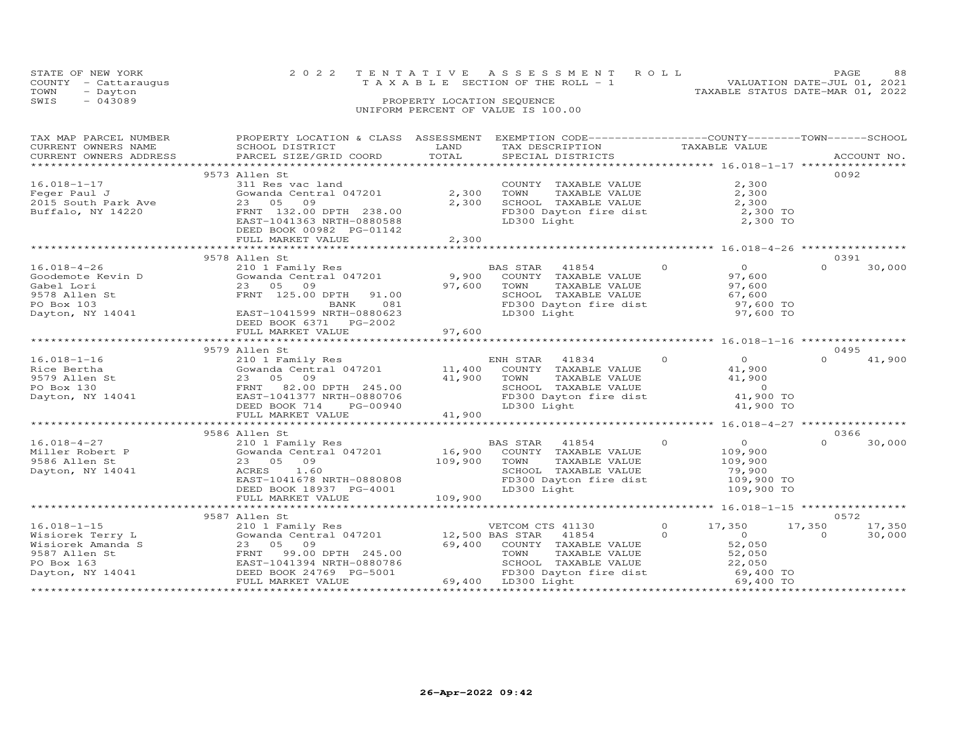|      | STATE OF NEW YORK                            |                                              |                            | 2022 TENTATIVE ASSESSMENT ROLL                                                 |                                  | PAGE.                       | 88 |
|------|----------------------------------------------|----------------------------------------------|----------------------------|--------------------------------------------------------------------------------|----------------------------------|-----------------------------|----|
| TOWN | COUNTY - Cattaraugus<br>- Dayton             |                                              |                            | T A X A B L E SECTION OF THE ROLL - 1                                          | TAXABLE STATUS DATE-MAR 01, 2022 | VALUATION DATE-JUL 01, 2021 |    |
| SWIS | $-043089$                                    |                                              | PROPERTY LOCATION SEQUENCE |                                                                                |                                  |                             |    |
|      |                                              |                                              |                            | UNIFORM PERCENT OF VALUE IS 100.00                                             |                                  |                             |    |
|      |                                              |                                              |                            |                                                                                |                                  |                             |    |
|      | TAX MAP PARCEL NUMBER<br>CURRENT OWNERS NAME | PROPERTY LOCATION & CLASS<br>SCHOOL DISTRICT | ASSESSMENT<br>LAND         | EXEMPTION CODE-----------------COUNTY-------TOWN-----SCHOOL<br>TAX DESCRIPTION | TAXABLE VALUE                    |                             |    |

| ***************** 16.018-1-17 *****************<br>0092<br>9573 Allen St<br>2,300<br>$16.018 - 1 - 17$<br>311 Res vac land<br>COUNTY TAXABLE VALUE<br>2,300<br>2,300<br>Feger Paul J<br>Gowanda Central 047201<br>TOWN<br>TAXABLE VALUE<br>2,300<br>SCHOOL TAXABLE VALUE<br>2,300<br>2015 South Park Ave<br>23 05<br>09<br>FRNT 132.00 DPTH 238.00<br>FD300 Dayton fire dist<br>2,300 TO<br>Buffalo, NY 14220<br>2,300 TO<br>EAST-1041363 NRTH-0880588<br>LD300 Light<br>DEED BOOK 00982 PG-01142<br>2,300<br>FULL MARKET VALUE<br>9578 Allen St<br>0391<br>$\Omega$<br>$\Omega$<br>30,000<br>$16.018 - 4 - 26$<br>210 1 Family Res<br>BAS STAR<br>41854<br>$\Omega$<br>Gowanda Central 047201<br>9,900<br>COUNTY TAXABLE VALUE<br>97,600<br>Goodemote Kevin D<br>97,600<br>23 05 09<br>TOWN<br>TAXABLE VALUE<br>97,600<br>Gabel Lori<br>FRNT 125.00 DPTH<br>9578 Allen St<br>91.00<br>SCHOOL TAXABLE VALUE<br>67,600<br>FD300 Dayton fire dist<br>97,600 TO<br>PO Box 103<br>BANK<br>081<br>EAST-1041599 NRTH-0880623<br>97,600 TO<br>Dayton, NY 14041<br>LD300 Light<br>DEED BOOK 6371 PG-2002<br>97,600<br>FULL MARKET VALUE<br>0495<br>9579 Allen St<br>$\Omega$<br>$\overline{O}$<br>$16.018 - 1 - 16$<br>ENH STAR<br>41834<br>$\Omega$<br>41,900<br>210 1 Family Res<br>Gowanda Central 047201<br>11,400<br>Rice Bertha<br>COUNTY TAXABLE VALUE<br>41,900<br>41,900<br>9579 Allen St<br>23 05 09<br>TOWN<br>TAXABLE VALUE<br>41,900<br>FRNT<br>82.00 DPTH 245.00<br>SCHOOL TAXABLE VALUE<br>$\circ$<br>PO Box 130<br>FD300 Dayton fire dist<br>41,900 TO<br>EAST-1041377 NRTH-0880706<br>Dayton, NY 14041<br>DEED BOOK 714<br>LD300 Light<br>41,900 TO<br>PG-00940<br>41,900<br>FULL MARKET VALUE<br>9586 Allen St<br>0366<br>$\Omega$<br>$\overline{O}$<br>$16.018 - 4 - 27$<br>210 1 Family Res<br>BAS STAR<br>41854<br>$\Omega$<br>30,000<br>16,900<br>Gowanda Central 047201<br>COUNTY TAXABLE VALUE<br>109,900<br>Miller Robert P<br>109,900<br>9586 Allen St<br>23 05<br>09<br>TOWN<br>TAXABLE VALUE<br>109,900<br>ACRES<br>1.60<br>SCHOOL TAXABLE VALUE<br>Dayton, NY 14041<br>79,900<br>FD300 Dayton fire dist<br>109,900 TO<br>EAST-1041678 NRTH-0880808<br>DEED BOOK 18937 PG-4001<br>LD300 Light<br>109,900 TO<br>109,900<br>FULL MARKET VALUE<br>**********************<br>0572<br>9587 Allen St<br>$16.018 - 1 - 15$<br>17,350<br>17,350<br>210 1 Family Res<br>VETCOM CTS 41130<br>0<br>17,350<br>41854<br>$\Omega$<br>$\Omega$<br>30,000<br>Wisiorek Terry L<br>Gowanda Central 047201<br>12,500 BAS STAR<br>$\Omega$<br>69,400<br>COUNTY TAXABLE VALUE<br>52,050<br>Wisiorek Amanda S<br>23 05<br>09<br>99.00 DPTH 245.00<br>TOWN<br>9587 Allen St<br>FRNT<br>TAXABLE VALUE<br>52,050<br>EAST-1041394 NRTH-0880786<br>PO Box 163<br>SCHOOL TAXABLE VALUE<br>22,050<br>Dayton, NY 14041<br>DEED BOOK 24769 PG-5001<br>FD300 Dayton fire dist<br>69,400 TO<br>69,400 LD300 Light<br>69,400 TO<br>FULL MARKET VALUE | CURRENT OWNERS ADDRESS | PARCEL SIZE/GRID COORD | TOTAL | SPECIAL DISTRICTS |  | ACCOUNT NO. |
|----------------------------------------------------------------------------------------------------------------------------------------------------------------------------------------------------------------------------------------------------------------------------------------------------------------------------------------------------------------------------------------------------------------------------------------------------------------------------------------------------------------------------------------------------------------------------------------------------------------------------------------------------------------------------------------------------------------------------------------------------------------------------------------------------------------------------------------------------------------------------------------------------------------------------------------------------------------------------------------------------------------------------------------------------------------------------------------------------------------------------------------------------------------------------------------------------------------------------------------------------------------------------------------------------------------------------------------------------------------------------------------------------------------------------------------------------------------------------------------------------------------------------------------------------------------------------------------------------------------------------------------------------------------------------------------------------------------------------------------------------------------------------------------------------------------------------------------------------------------------------------------------------------------------------------------------------------------------------------------------------------------------------------------------------------------------------------------------------------------------------------------------------------------------------------------------------------------------------------------------------------------------------------------------------------------------------------------------------------------------------------------------------------------------------------------------------------------------------------------------------------------------------------------------------------------------------------------------------------------------------------------------------------------------------------------------------------------------------------------------------------------------------------------------------------------------------------------------------------------------------------------------------------------------------------------|------------------------|------------------------|-------|-------------------|--|-------------|
|                                                                                                                                                                                                                                                                                                                                                                                                                                                                                                                                                                                                                                                                                                                                                                                                                                                                                                                                                                                                                                                                                                                                                                                                                                                                                                                                                                                                                                                                                                                                                                                                                                                                                                                                                                                                                                                                                                                                                                                                                                                                                                                                                                                                                                                                                                                                                                                                                                                                                                                                                                                                                                                                                                                                                                                                                                                                                                                                        |                        |                        |       |                   |  |             |
|                                                                                                                                                                                                                                                                                                                                                                                                                                                                                                                                                                                                                                                                                                                                                                                                                                                                                                                                                                                                                                                                                                                                                                                                                                                                                                                                                                                                                                                                                                                                                                                                                                                                                                                                                                                                                                                                                                                                                                                                                                                                                                                                                                                                                                                                                                                                                                                                                                                                                                                                                                                                                                                                                                                                                                                                                                                                                                                                        |                        |                        |       |                   |  |             |
|                                                                                                                                                                                                                                                                                                                                                                                                                                                                                                                                                                                                                                                                                                                                                                                                                                                                                                                                                                                                                                                                                                                                                                                                                                                                                                                                                                                                                                                                                                                                                                                                                                                                                                                                                                                                                                                                                                                                                                                                                                                                                                                                                                                                                                                                                                                                                                                                                                                                                                                                                                                                                                                                                                                                                                                                                                                                                                                                        |                        |                        |       |                   |  |             |
|                                                                                                                                                                                                                                                                                                                                                                                                                                                                                                                                                                                                                                                                                                                                                                                                                                                                                                                                                                                                                                                                                                                                                                                                                                                                                                                                                                                                                                                                                                                                                                                                                                                                                                                                                                                                                                                                                                                                                                                                                                                                                                                                                                                                                                                                                                                                                                                                                                                                                                                                                                                                                                                                                                                                                                                                                                                                                                                                        |                        |                        |       |                   |  |             |
|                                                                                                                                                                                                                                                                                                                                                                                                                                                                                                                                                                                                                                                                                                                                                                                                                                                                                                                                                                                                                                                                                                                                                                                                                                                                                                                                                                                                                                                                                                                                                                                                                                                                                                                                                                                                                                                                                                                                                                                                                                                                                                                                                                                                                                                                                                                                                                                                                                                                                                                                                                                                                                                                                                                                                                                                                                                                                                                                        |                        |                        |       |                   |  |             |
|                                                                                                                                                                                                                                                                                                                                                                                                                                                                                                                                                                                                                                                                                                                                                                                                                                                                                                                                                                                                                                                                                                                                                                                                                                                                                                                                                                                                                                                                                                                                                                                                                                                                                                                                                                                                                                                                                                                                                                                                                                                                                                                                                                                                                                                                                                                                                                                                                                                                                                                                                                                                                                                                                                                                                                                                                                                                                                                                        |                        |                        |       |                   |  |             |
|                                                                                                                                                                                                                                                                                                                                                                                                                                                                                                                                                                                                                                                                                                                                                                                                                                                                                                                                                                                                                                                                                                                                                                                                                                                                                                                                                                                                                                                                                                                                                                                                                                                                                                                                                                                                                                                                                                                                                                                                                                                                                                                                                                                                                                                                                                                                                                                                                                                                                                                                                                                                                                                                                                                                                                                                                                                                                                                                        |                        |                        |       |                   |  |             |
|                                                                                                                                                                                                                                                                                                                                                                                                                                                                                                                                                                                                                                                                                                                                                                                                                                                                                                                                                                                                                                                                                                                                                                                                                                                                                                                                                                                                                                                                                                                                                                                                                                                                                                                                                                                                                                                                                                                                                                                                                                                                                                                                                                                                                                                                                                                                                                                                                                                                                                                                                                                                                                                                                                                                                                                                                                                                                                                                        |                        |                        |       |                   |  |             |
|                                                                                                                                                                                                                                                                                                                                                                                                                                                                                                                                                                                                                                                                                                                                                                                                                                                                                                                                                                                                                                                                                                                                                                                                                                                                                                                                                                                                                                                                                                                                                                                                                                                                                                                                                                                                                                                                                                                                                                                                                                                                                                                                                                                                                                                                                                                                                                                                                                                                                                                                                                                                                                                                                                                                                                                                                                                                                                                                        |                        |                        |       |                   |  |             |
|                                                                                                                                                                                                                                                                                                                                                                                                                                                                                                                                                                                                                                                                                                                                                                                                                                                                                                                                                                                                                                                                                                                                                                                                                                                                                                                                                                                                                                                                                                                                                                                                                                                                                                                                                                                                                                                                                                                                                                                                                                                                                                                                                                                                                                                                                                                                                                                                                                                                                                                                                                                                                                                                                                                                                                                                                                                                                                                                        |                        |                        |       |                   |  |             |
|                                                                                                                                                                                                                                                                                                                                                                                                                                                                                                                                                                                                                                                                                                                                                                                                                                                                                                                                                                                                                                                                                                                                                                                                                                                                                                                                                                                                                                                                                                                                                                                                                                                                                                                                                                                                                                                                                                                                                                                                                                                                                                                                                                                                                                                                                                                                                                                                                                                                                                                                                                                                                                                                                                                                                                                                                                                                                                                                        |                        |                        |       |                   |  |             |
|                                                                                                                                                                                                                                                                                                                                                                                                                                                                                                                                                                                                                                                                                                                                                                                                                                                                                                                                                                                                                                                                                                                                                                                                                                                                                                                                                                                                                                                                                                                                                                                                                                                                                                                                                                                                                                                                                                                                                                                                                                                                                                                                                                                                                                                                                                                                                                                                                                                                                                                                                                                                                                                                                                                                                                                                                                                                                                                                        |                        |                        |       |                   |  |             |
|                                                                                                                                                                                                                                                                                                                                                                                                                                                                                                                                                                                                                                                                                                                                                                                                                                                                                                                                                                                                                                                                                                                                                                                                                                                                                                                                                                                                                                                                                                                                                                                                                                                                                                                                                                                                                                                                                                                                                                                                                                                                                                                                                                                                                                                                                                                                                                                                                                                                                                                                                                                                                                                                                                                                                                                                                                                                                                                                        |                        |                        |       |                   |  |             |
|                                                                                                                                                                                                                                                                                                                                                                                                                                                                                                                                                                                                                                                                                                                                                                                                                                                                                                                                                                                                                                                                                                                                                                                                                                                                                                                                                                                                                                                                                                                                                                                                                                                                                                                                                                                                                                                                                                                                                                                                                                                                                                                                                                                                                                                                                                                                                                                                                                                                                                                                                                                                                                                                                                                                                                                                                                                                                                                                        |                        |                        |       |                   |  |             |
|                                                                                                                                                                                                                                                                                                                                                                                                                                                                                                                                                                                                                                                                                                                                                                                                                                                                                                                                                                                                                                                                                                                                                                                                                                                                                                                                                                                                                                                                                                                                                                                                                                                                                                                                                                                                                                                                                                                                                                                                                                                                                                                                                                                                                                                                                                                                                                                                                                                                                                                                                                                                                                                                                                                                                                                                                                                                                                                                        |                        |                        |       |                   |  |             |
|                                                                                                                                                                                                                                                                                                                                                                                                                                                                                                                                                                                                                                                                                                                                                                                                                                                                                                                                                                                                                                                                                                                                                                                                                                                                                                                                                                                                                                                                                                                                                                                                                                                                                                                                                                                                                                                                                                                                                                                                                                                                                                                                                                                                                                                                                                                                                                                                                                                                                                                                                                                                                                                                                                                                                                                                                                                                                                                                        |                        |                        |       |                   |  |             |
|                                                                                                                                                                                                                                                                                                                                                                                                                                                                                                                                                                                                                                                                                                                                                                                                                                                                                                                                                                                                                                                                                                                                                                                                                                                                                                                                                                                                                                                                                                                                                                                                                                                                                                                                                                                                                                                                                                                                                                                                                                                                                                                                                                                                                                                                                                                                                                                                                                                                                                                                                                                                                                                                                                                                                                                                                                                                                                                                        |                        |                        |       |                   |  |             |
|                                                                                                                                                                                                                                                                                                                                                                                                                                                                                                                                                                                                                                                                                                                                                                                                                                                                                                                                                                                                                                                                                                                                                                                                                                                                                                                                                                                                                                                                                                                                                                                                                                                                                                                                                                                                                                                                                                                                                                                                                                                                                                                                                                                                                                                                                                                                                                                                                                                                                                                                                                                                                                                                                                                                                                                                                                                                                                                                        |                        |                        |       |                   |  |             |
|                                                                                                                                                                                                                                                                                                                                                                                                                                                                                                                                                                                                                                                                                                                                                                                                                                                                                                                                                                                                                                                                                                                                                                                                                                                                                                                                                                                                                                                                                                                                                                                                                                                                                                                                                                                                                                                                                                                                                                                                                                                                                                                                                                                                                                                                                                                                                                                                                                                                                                                                                                                                                                                                                                                                                                                                                                                                                                                                        |                        |                        |       |                   |  |             |
|                                                                                                                                                                                                                                                                                                                                                                                                                                                                                                                                                                                                                                                                                                                                                                                                                                                                                                                                                                                                                                                                                                                                                                                                                                                                                                                                                                                                                                                                                                                                                                                                                                                                                                                                                                                                                                                                                                                                                                                                                                                                                                                                                                                                                                                                                                                                                                                                                                                                                                                                                                                                                                                                                                                                                                                                                                                                                                                                        |                        |                        |       |                   |  |             |
|                                                                                                                                                                                                                                                                                                                                                                                                                                                                                                                                                                                                                                                                                                                                                                                                                                                                                                                                                                                                                                                                                                                                                                                                                                                                                                                                                                                                                                                                                                                                                                                                                                                                                                                                                                                                                                                                                                                                                                                                                                                                                                                                                                                                                                                                                                                                                                                                                                                                                                                                                                                                                                                                                                                                                                                                                                                                                                                                        |                        |                        |       |                   |  |             |
|                                                                                                                                                                                                                                                                                                                                                                                                                                                                                                                                                                                                                                                                                                                                                                                                                                                                                                                                                                                                                                                                                                                                                                                                                                                                                                                                                                                                                                                                                                                                                                                                                                                                                                                                                                                                                                                                                                                                                                                                                                                                                                                                                                                                                                                                                                                                                                                                                                                                                                                                                                                                                                                                                                                                                                                                                                                                                                                                        |                        |                        |       |                   |  |             |
|                                                                                                                                                                                                                                                                                                                                                                                                                                                                                                                                                                                                                                                                                                                                                                                                                                                                                                                                                                                                                                                                                                                                                                                                                                                                                                                                                                                                                                                                                                                                                                                                                                                                                                                                                                                                                                                                                                                                                                                                                                                                                                                                                                                                                                                                                                                                                                                                                                                                                                                                                                                                                                                                                                                                                                                                                                                                                                                                        |                        |                        |       |                   |  |             |
|                                                                                                                                                                                                                                                                                                                                                                                                                                                                                                                                                                                                                                                                                                                                                                                                                                                                                                                                                                                                                                                                                                                                                                                                                                                                                                                                                                                                                                                                                                                                                                                                                                                                                                                                                                                                                                                                                                                                                                                                                                                                                                                                                                                                                                                                                                                                                                                                                                                                                                                                                                                                                                                                                                                                                                                                                                                                                                                                        |                        |                        |       |                   |  |             |
|                                                                                                                                                                                                                                                                                                                                                                                                                                                                                                                                                                                                                                                                                                                                                                                                                                                                                                                                                                                                                                                                                                                                                                                                                                                                                                                                                                                                                                                                                                                                                                                                                                                                                                                                                                                                                                                                                                                                                                                                                                                                                                                                                                                                                                                                                                                                                                                                                                                                                                                                                                                                                                                                                                                                                                                                                                                                                                                                        |                        |                        |       |                   |  |             |
|                                                                                                                                                                                                                                                                                                                                                                                                                                                                                                                                                                                                                                                                                                                                                                                                                                                                                                                                                                                                                                                                                                                                                                                                                                                                                                                                                                                                                                                                                                                                                                                                                                                                                                                                                                                                                                                                                                                                                                                                                                                                                                                                                                                                                                                                                                                                                                                                                                                                                                                                                                                                                                                                                                                                                                                                                                                                                                                                        |                        |                        |       |                   |  |             |
|                                                                                                                                                                                                                                                                                                                                                                                                                                                                                                                                                                                                                                                                                                                                                                                                                                                                                                                                                                                                                                                                                                                                                                                                                                                                                                                                                                                                                                                                                                                                                                                                                                                                                                                                                                                                                                                                                                                                                                                                                                                                                                                                                                                                                                                                                                                                                                                                                                                                                                                                                                                                                                                                                                                                                                                                                                                                                                                                        |                        |                        |       |                   |  |             |
|                                                                                                                                                                                                                                                                                                                                                                                                                                                                                                                                                                                                                                                                                                                                                                                                                                                                                                                                                                                                                                                                                                                                                                                                                                                                                                                                                                                                                                                                                                                                                                                                                                                                                                                                                                                                                                                                                                                                                                                                                                                                                                                                                                                                                                                                                                                                                                                                                                                                                                                                                                                                                                                                                                                                                                                                                                                                                                                                        |                        |                        |       |                   |  |             |
|                                                                                                                                                                                                                                                                                                                                                                                                                                                                                                                                                                                                                                                                                                                                                                                                                                                                                                                                                                                                                                                                                                                                                                                                                                                                                                                                                                                                                                                                                                                                                                                                                                                                                                                                                                                                                                                                                                                                                                                                                                                                                                                                                                                                                                                                                                                                                                                                                                                                                                                                                                                                                                                                                                                                                                                                                                                                                                                                        |                        |                        |       |                   |  |             |
|                                                                                                                                                                                                                                                                                                                                                                                                                                                                                                                                                                                                                                                                                                                                                                                                                                                                                                                                                                                                                                                                                                                                                                                                                                                                                                                                                                                                                                                                                                                                                                                                                                                                                                                                                                                                                                                                                                                                                                                                                                                                                                                                                                                                                                                                                                                                                                                                                                                                                                                                                                                                                                                                                                                                                                                                                                                                                                                                        |                        |                        |       |                   |  |             |
|                                                                                                                                                                                                                                                                                                                                                                                                                                                                                                                                                                                                                                                                                                                                                                                                                                                                                                                                                                                                                                                                                                                                                                                                                                                                                                                                                                                                                                                                                                                                                                                                                                                                                                                                                                                                                                                                                                                                                                                                                                                                                                                                                                                                                                                                                                                                                                                                                                                                                                                                                                                                                                                                                                                                                                                                                                                                                                                                        |                        |                        |       |                   |  |             |
|                                                                                                                                                                                                                                                                                                                                                                                                                                                                                                                                                                                                                                                                                                                                                                                                                                                                                                                                                                                                                                                                                                                                                                                                                                                                                                                                                                                                                                                                                                                                                                                                                                                                                                                                                                                                                                                                                                                                                                                                                                                                                                                                                                                                                                                                                                                                                                                                                                                                                                                                                                                                                                                                                                                                                                                                                                                                                                                                        |                        |                        |       |                   |  |             |
|                                                                                                                                                                                                                                                                                                                                                                                                                                                                                                                                                                                                                                                                                                                                                                                                                                                                                                                                                                                                                                                                                                                                                                                                                                                                                                                                                                                                                                                                                                                                                                                                                                                                                                                                                                                                                                                                                                                                                                                                                                                                                                                                                                                                                                                                                                                                                                                                                                                                                                                                                                                                                                                                                                                                                                                                                                                                                                                                        |                        |                        |       |                   |  |             |
|                                                                                                                                                                                                                                                                                                                                                                                                                                                                                                                                                                                                                                                                                                                                                                                                                                                                                                                                                                                                                                                                                                                                                                                                                                                                                                                                                                                                                                                                                                                                                                                                                                                                                                                                                                                                                                                                                                                                                                                                                                                                                                                                                                                                                                                                                                                                                                                                                                                                                                                                                                                                                                                                                                                                                                                                                                                                                                                                        |                        |                        |       |                   |  |             |
|                                                                                                                                                                                                                                                                                                                                                                                                                                                                                                                                                                                                                                                                                                                                                                                                                                                                                                                                                                                                                                                                                                                                                                                                                                                                                                                                                                                                                                                                                                                                                                                                                                                                                                                                                                                                                                                                                                                                                                                                                                                                                                                                                                                                                                                                                                                                                                                                                                                                                                                                                                                                                                                                                                                                                                                                                                                                                                                                        |                        |                        |       |                   |  |             |
|                                                                                                                                                                                                                                                                                                                                                                                                                                                                                                                                                                                                                                                                                                                                                                                                                                                                                                                                                                                                                                                                                                                                                                                                                                                                                                                                                                                                                                                                                                                                                                                                                                                                                                                                                                                                                                                                                                                                                                                                                                                                                                                                                                                                                                                                                                                                                                                                                                                                                                                                                                                                                                                                                                                                                                                                                                                                                                                                        |                        |                        |       |                   |  |             |
|                                                                                                                                                                                                                                                                                                                                                                                                                                                                                                                                                                                                                                                                                                                                                                                                                                                                                                                                                                                                                                                                                                                                                                                                                                                                                                                                                                                                                                                                                                                                                                                                                                                                                                                                                                                                                                                                                                                                                                                                                                                                                                                                                                                                                                                                                                                                                                                                                                                                                                                                                                                                                                                                                                                                                                                                                                                                                                                                        |                        |                        |       |                   |  |             |
|                                                                                                                                                                                                                                                                                                                                                                                                                                                                                                                                                                                                                                                                                                                                                                                                                                                                                                                                                                                                                                                                                                                                                                                                                                                                                                                                                                                                                                                                                                                                                                                                                                                                                                                                                                                                                                                                                                                                                                                                                                                                                                                                                                                                                                                                                                                                                                                                                                                                                                                                                                                                                                                                                                                                                                                                                                                                                                                                        |                        |                        |       |                   |  |             |
|                                                                                                                                                                                                                                                                                                                                                                                                                                                                                                                                                                                                                                                                                                                                                                                                                                                                                                                                                                                                                                                                                                                                                                                                                                                                                                                                                                                                                                                                                                                                                                                                                                                                                                                                                                                                                                                                                                                                                                                                                                                                                                                                                                                                                                                                                                                                                                                                                                                                                                                                                                                                                                                                                                                                                                                                                                                                                                                                        |                        |                        |       |                   |  |             |
|                                                                                                                                                                                                                                                                                                                                                                                                                                                                                                                                                                                                                                                                                                                                                                                                                                                                                                                                                                                                                                                                                                                                                                                                                                                                                                                                                                                                                                                                                                                                                                                                                                                                                                                                                                                                                                                                                                                                                                                                                                                                                                                                                                                                                                                                                                                                                                                                                                                                                                                                                                                                                                                                                                                                                                                                                                                                                                                                        |                        |                        |       |                   |  |             |
|                                                                                                                                                                                                                                                                                                                                                                                                                                                                                                                                                                                                                                                                                                                                                                                                                                                                                                                                                                                                                                                                                                                                                                                                                                                                                                                                                                                                                                                                                                                                                                                                                                                                                                                                                                                                                                                                                                                                                                                                                                                                                                                                                                                                                                                                                                                                                                                                                                                                                                                                                                                                                                                                                                                                                                                                                                                                                                                                        |                        |                        |       |                   |  |             |
|                                                                                                                                                                                                                                                                                                                                                                                                                                                                                                                                                                                                                                                                                                                                                                                                                                                                                                                                                                                                                                                                                                                                                                                                                                                                                                                                                                                                                                                                                                                                                                                                                                                                                                                                                                                                                                                                                                                                                                                                                                                                                                                                                                                                                                                                                                                                                                                                                                                                                                                                                                                                                                                                                                                                                                                                                                                                                                                                        |                        |                        |       |                   |  |             |
|                                                                                                                                                                                                                                                                                                                                                                                                                                                                                                                                                                                                                                                                                                                                                                                                                                                                                                                                                                                                                                                                                                                                                                                                                                                                                                                                                                                                                                                                                                                                                                                                                                                                                                                                                                                                                                                                                                                                                                                                                                                                                                                                                                                                                                                                                                                                                                                                                                                                                                                                                                                                                                                                                                                                                                                                                                                                                                                                        |                        |                        |       |                   |  |             |
|                                                                                                                                                                                                                                                                                                                                                                                                                                                                                                                                                                                                                                                                                                                                                                                                                                                                                                                                                                                                                                                                                                                                                                                                                                                                                                                                                                                                                                                                                                                                                                                                                                                                                                                                                                                                                                                                                                                                                                                                                                                                                                                                                                                                                                                                                                                                                                                                                                                                                                                                                                                                                                                                                                                                                                                                                                                                                                                                        |                        |                        |       |                   |  |             |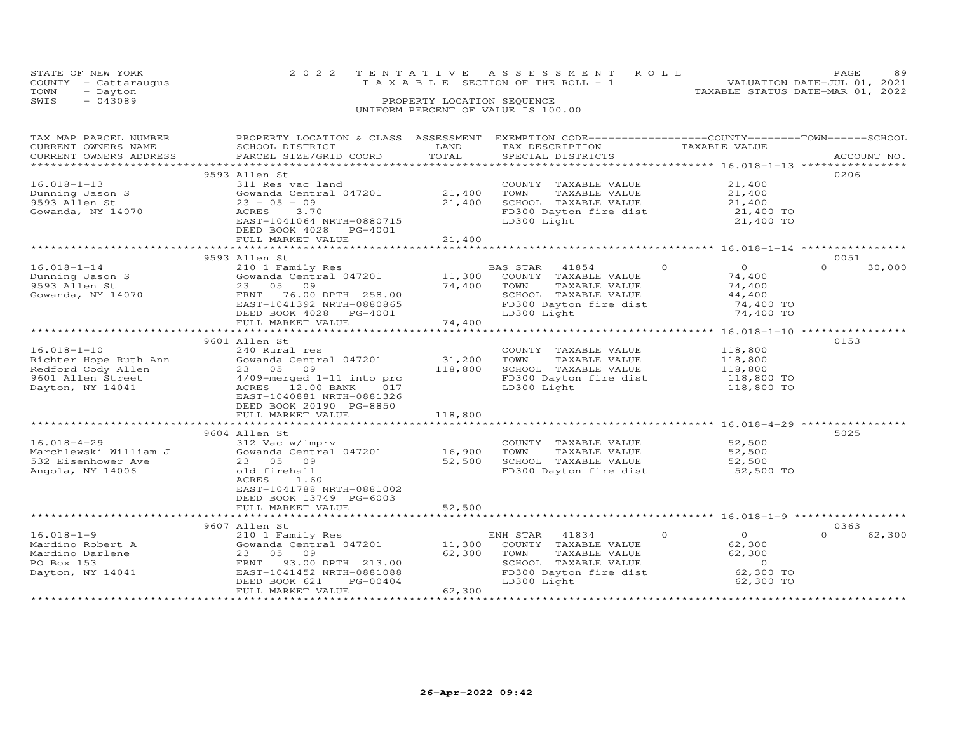|      | STATE OF NEW YORK    | 2022 TENTATIVE ASSESSMENT ROLL        | PAGE                        | 89 |
|------|----------------------|---------------------------------------|-----------------------------|----|
|      | COUNTY - Cattaraugus | T A X A B L E SECTION OF THE ROLL - 1 | VALUATION DATE-JUL 01, 2021 |    |
| TOWN | - Dayton             | TAXABLE STATUS DATE-MAR 01, 2022      |                             |    |
| SWIS | $-043089$            | PROPERTY LOCATION SEQUENCE            |                             |    |
|      |                      | UNIFORM PERCENT OF VALUE IS 100.00    |                             |    |

| TAX MAP PARCEL NUMBER  | PROPERTY LOCATION & CLASS ASSESSMENT |         | EXEMPTION CODE-----------------COUNTY-------TOWN------SCHOOL                   |                            |                    |
|------------------------|--------------------------------------|---------|--------------------------------------------------------------------------------|----------------------------|--------------------|
| CURRENT OWNERS NAME    | SCHOOL DISTRICT                      | LAND    | TAX DESCRIPTION                                                                | TAXABLE VALUE              |                    |
| CURRENT OWNERS ADDRESS | PARCEL SIZE/GRID COORD               | TOTAL   | SPECIAL DISTRICTS                                                              |                            | ACCOUNT NO.        |
|                        |                                      |         |                                                                                |                            |                    |
|                        | 9593 Allen St                        |         |                                                                                |                            | 0206               |
| $16.018 - 1 - 13$      | 311 Res vac land                     |         | COUNTY TAXABLE VALUE                                                           | 21,400                     |                    |
| Dunning Jason S        | Gowanda Central 047201               | 21,400  | TOWN<br>TAXABLE VALUE                                                          | 21,400                     |                    |
| 9593 Allen St          | $23 - 05 - 09$                       | 21,400  | SCHOOL TAXABLE VALUE                                                           | 21,400                     |                    |
| Gowanda, NY 14070      | ACRES<br>3.70                        |         | FD300 Dayton fire dist                                                         | 21,400 TO                  |                    |
|                        | EAST-1041064 NRTH-0880715            |         | LD300 Light                                                                    | 21,400 TO                  |                    |
|                        | DEED BOOK 4028 PG-4001               |         |                                                                                |                            |                    |
|                        | FULL MARKET VALUE                    | 21,400  |                                                                                |                            |                    |
|                        |                                      |         |                                                                                |                            |                    |
|                        | 9593 Allen St                        |         |                                                                                |                            | 0051               |
| $16.018 - 1 - 14$      | 210 1 Family Res                     |         | BAS STAR 41854                                                                 | $\Omega$<br>$\Omega$       | $\Omega$<br>30,000 |
|                        |                                      |         |                                                                                |                            |                    |
| Dunning Jason S        | Gowanda Central 047201               | 11,300  | COUNTY TAXABLE VALUE                                                           | 74,400                     |                    |
| 9593 Allen St          | 23 05 09                             | 74,400  | TAXABLE VALUE<br>TOWN                                                          | 74,400                     |                    |
| Gowanda, NY 14070      | FRNT 76.00 DPTH 258.00               |         | SCHOOL TAXABLE VALUE                                                           | 44,400                     |                    |
|                        | EAST-1041392 NRTH-0880865            |         | FD300 Dayton fire dist                                                         | 74,400 TO                  |                    |
|                        | DEED BOOK 4028 PG-4001               |         | LD300 Light                                                                    | 74,400 TO                  |                    |
|                        | FULL MARKET VALUE                    | 74,400  |                                                                                |                            |                    |
|                        |                                      |         |                                                                                |                            |                    |
|                        | 9601 Allen St                        |         |                                                                                |                            | 0153               |
| $16.018 - 1 - 10$      | 240 Rural res                        |         | COUNTY TAXABLE VALUE                                                           | 118,800                    |                    |
| Richter Hope Ruth Ann  | Gowanda Central 047201               | 31,200  | TOWN<br>TAXABLE VALUE                                                          | 118,800                    |                    |
| Redford Cody Allen     | 23 05 09                             | 118,800 | SCHOOL TAXABLE VALUE                                                           | 118,800                    |                    |
| 9601 Allen Street      | $4/09$ -merged $1-11$ into prc       |         | FD300 Dayton fire dist                                                         | 118,800 TO                 |                    |
| Dayton, NY 14041       | ACRES 12.00 BANK<br>017              |         | LD300 Light                                                                    | 118,800 TO                 |                    |
|                        |                                      |         |                                                                                |                            |                    |
|                        | EAST-1040881 NRTH-0881326            |         |                                                                                |                            |                    |
|                        | DEED BOOK 20190 PG-8850              |         |                                                                                |                            |                    |
|                        | FULL MARKET VALUE                    | 118,800 |                                                                                |                            |                    |
|                        |                                      |         |                                                                                |                            |                    |
|                        | 9604 Allen St                        |         |                                                                                |                            | 5025               |
| $16.018 - 4 - 29$      | 312 Vac w/imprv                      |         | COUNTY TAXABLE VALUE                                                           | 52,500                     |                    |
| Marchlewski William J  | Gowanda Central 047201               | 16,900  | TOWN<br>TAXABLE VALUE                                                          | 52,500                     |                    |
| 532 Eisenhower Ave     | 23 05 09                             | 52,500  | SCHOOL TAXABLE VALUE                                                           | 52,500                     |                    |
| Angola, NY 14006       | old firehall                         |         | FD300 Dayton fire dist                                                         | 52,500 TO                  |                    |
|                        | ACRES<br>1.60                        |         |                                                                                |                            |                    |
|                        | EAST-1041788 NRTH-0881002            |         |                                                                                |                            |                    |
|                        | DEED BOOK 13749 PG-6003              |         |                                                                                |                            |                    |
|                        | FULL MARKET VALUE                    | 52,500  |                                                                                |                            |                    |
|                        |                                      |         |                                                                                |                            |                    |
|                        | 9607 Allen St                        |         |                                                                                |                            | 0363               |
| $16.018 - 1 - 9$       | 210 1 Family Res                     |         | ENH STAR<br>41834                                                              | $\Omega$<br>$\overline{O}$ | 62,300<br>$\Omega$ |
| Mardino Robert A       | Gowanda Central 047201               | 11,300  |                                                                                | 62,300                     |                    |
|                        |                                      |         | COUNTY TAXABLE VALUE                                                           |                            |                    |
| Mardino Darlene        | 23 05 09                             | 62,300  | TAXABLE VALUE<br>TOWN<br>TOWN       TAXABLE  VALUE<br>SCHOOL    TAXABLE  VALUE | 62,300                     |                    |
| PO Box 153             | FRNT<br>93.00 DPTH 213.00            |         |                                                                                | $\overline{0}$             |                    |
| Dayton, NY 14041       | EAST-1041452 NRTH-0881088            |         | FD300 Dayton fire dist                                                         | 62,300 TO                  |                    |
|                        | DEED BOOK 621<br>PG-00404            |         | LD300 Light                                                                    | 62,300 TO                  |                    |
|                        | FULL MARKET VALUE                    | 62,300  |                                                                                |                            |                    |
|                        |                                      |         |                                                                                |                            |                    |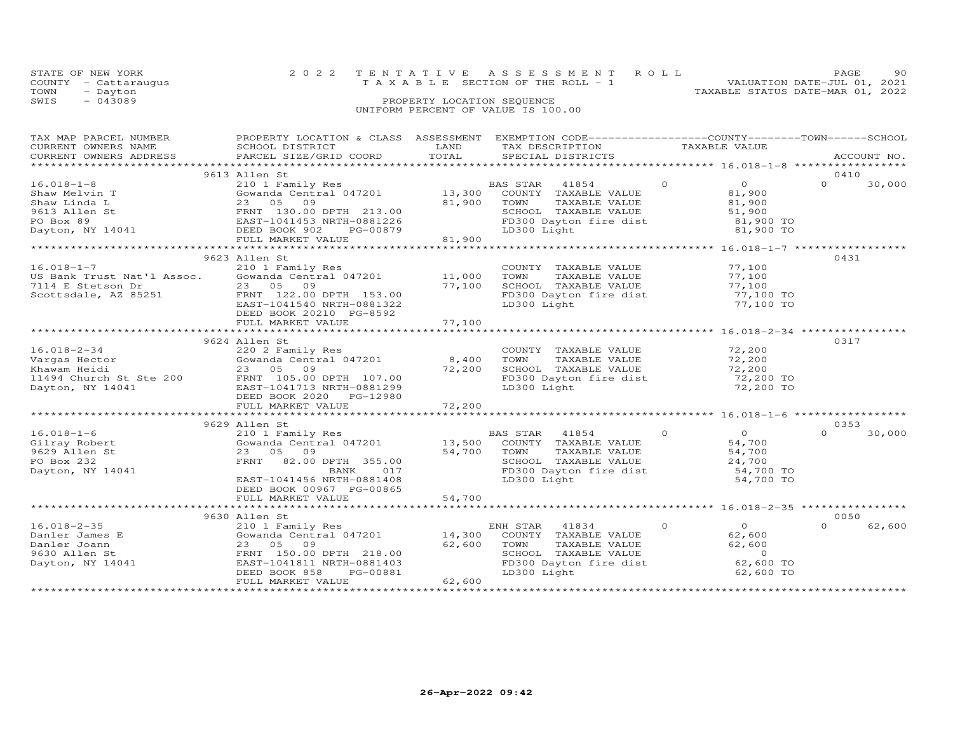| STATE OF NEW YORK    | 2022 TENTATIVE ASSESSMENT ROLL        |  |                                  | PAGE.                       | 90. |
|----------------------|---------------------------------------|--|----------------------------------|-----------------------------|-----|
| COUNTY - Cattaraugus | T A X A B L E SECTION OF THE ROLL - 1 |  |                                  | VALUATION DATE-JUL 01, 2021 |     |
| TOWN<br>- Dayton     |                                       |  | TAXABLE STATUS DATE-MAR 01, 2022 |                             |     |
| SWIS<br>- 043089     | PROPERTY LOCATION SEQUENCE            |  |                                  |                             |     |
|                      |                                       |  |                                  |                             |     |

# UNIFORM PERCENT OF VALUE IS 100.00

| TAX MAP PARCEL NUMBER                           | PROPERTY LOCATION & CLASS ASSESSMENT                |                           | EXEMPTION CODE-----------------COUNTY-------TOWN------SCHOOL |                               |                |          |             |
|-------------------------------------------------|-----------------------------------------------------|---------------------------|--------------------------------------------------------------|-------------------------------|----------------|----------|-------------|
| CURRENT OWNERS NAME                             | SCHOOL DISTRICT                                     | LAND                      | TAX DESCRIPTION                                              |                               | TAXABLE VALUE  |          |             |
| CURRENT OWNERS ADDRESS                          | PARCEL SIZE/GRID COORD                              | TOTAL                     | SPECIAL DISTRICTS                                            |                               |                |          | ACCOUNT NO. |
|                                                 |                                                     |                           |                                                              |                               |                |          |             |
|                                                 | 9613 Allen St                                       |                           |                                                              |                               |                | 0410     |             |
| $16.018 - 1 - 8$                                | 210 1 Family Res                                    |                           | BAS STAR<br>41854                                            | $\Omega$                      | $\overline{O}$ | $\Omega$ | 30,000      |
| Shaw Melvin T                                   | Gowanda Central 047201                              | 13,300                    | COUNTY TAXABLE VALUE                                         |                               | 81,900         |          |             |
| Shaw Linda L                                    | 23 05<br>09                                         | 81,900                    | TOWN<br>TAXABLE VALUE                                        |                               | 81,900         |          |             |
| 9613 Allen St                                   | FRNT 130.00 DPTH 213.00                             |                           | SCHOOL TAXABLE VALUE                                         |                               | 51,900         |          |             |
| PO Box 89                                       | EAST-1041453 NRTH-0881226                           |                           | FD300 Dayton fire dist                                       |                               | 81,900 TO      |          |             |
| Dayton, NY 14041                                | DEED BOOK 902<br>PG-00879                           |                           | LD300 Light                                                  |                               | 81,900 TO      |          |             |
|                                                 | FULL MARKET VALUE                                   | 81,900                    |                                                              |                               |                |          |             |
|                                                 |                                                     |                           |                                                              |                               |                |          |             |
|                                                 | 9623 Allen St                                       |                           |                                                              |                               |                | 0431     |             |
| $16.018 - 1 - 7$                                | 210 1 Family Res                                    |                           | COUNTY TAXABLE VALUE                                         |                               | 77,100         |          |             |
| US Bank Trust Nat'l Assoc.                      | Gowanda Central 047201                              | 11,000                    | TAXABLE VALUE<br>TOWN                                        |                               | 77,100         |          |             |
| 7114 E Stetson Dr                               | 23 05<br>09                                         | 77,100                    | SCHOOL TAXABLE VALUE                                         |                               | 77,100         |          |             |
| Scottsdale, AZ 85251                            | FRNT 122.00 DPTH 153.00                             |                           | FD300 Dayton fire dist                                       |                               | 77,100 TO      |          |             |
|                                                 | EAST-1041540 NRTH-0881322                           |                           | LD300 Light                                                  |                               | 77,100 TO      |          |             |
|                                                 |                                                     |                           |                                                              |                               |                |          |             |
|                                                 | DEED BOOK 20210 PG-8592                             | 77,100                    |                                                              |                               |                |          |             |
|                                                 | FULL MARKET VALUE<br>****************************** | **************            | *********************** 16.018-2-34 ****                     |                               |                |          |             |
|                                                 |                                                     |                           |                                                              |                               |                |          |             |
|                                                 | 9624 Allen St                                       |                           |                                                              |                               |                | 0317     |             |
| $16.018 - 2 - 34$                               | 220 2 Family Res                                    |                           | COUNTY TAXABLE VALUE                                         |                               | 72,200         |          |             |
| Vargas Hector                                   | Gowanda Central 047201                              | 8,400                     | TOWN<br>TAXABLE VALUE                                        |                               | 72,200         |          |             |
| Khawam Heidi                                    | 23 05 09                                            | 72,200                    | SCHOOL TAXABLE VALUE                                         |                               | 72,200         |          |             |
| 11494 Church St Ste 200 FRNT 105.00 DPTH 107.00 |                                                     |                           | FD300 Dayton fire dist                                       |                               | 72,200 TO      |          |             |
| Dayton, NY 14041                                | EAST-1041713 NRTH-0881299                           |                           | LD300 Light                                                  |                               | 72,200 TO      |          |             |
|                                                 | DEED BOOK 2020<br>PG-12980                          |                           |                                                              |                               |                |          |             |
|                                                 | FULL MARKET VALUE                                   | 72,200                    |                                                              |                               |                |          |             |
|                                                 | *****************************                       | * * * * * * * * * * * * * |                                                              |                               |                |          |             |
|                                                 | 9629 Allen St                                       |                           |                                                              |                               |                | 0353     |             |
| $16.018 - 1 - 6$                                | 210 1 Family Res                                    |                           | BAS STAR<br>41854                                            | $\circ$                       | $\overline{O}$ | $\Omega$ | 30,000      |
| Gilray Robert                                   | Gowanda Central 047201                              | 13,500                    | COUNTY TAXABLE VALUE                                         |                               | 54,700         |          |             |
| 9629 Allen St                                   | 23<br>05<br>09                                      | 54,700                    | TAXABLE VALUE<br>TOWN                                        |                               | 54,700         |          |             |
| PO Box 232                                      | FRNT<br>82.00 DPTH 355.00                           |                           | SCHOOL TAXABLE VALUE                                         |                               | 24,700         |          |             |
| Dayton, NY 14041                                | 017<br>BANK                                         |                           | FD300 Dayton fire dist                                       |                               | 54,700 TO      |          |             |
|                                                 | EAST-1041456 NRTH-0881408                           |                           | LD300 Light                                                  |                               | 54,700 TO      |          |             |
|                                                 | DEED BOOK 00967 PG-00865                            |                           |                                                              |                               |                |          |             |
|                                                 | FULL MARKET VALUE                                   | 54,700                    |                                                              |                               |                |          |             |
|                                                 |                                                     |                           |                                                              |                               |                |          |             |
|                                                 | 9630 Allen St                                       |                           |                                                              |                               |                | 0050     |             |
|                                                 |                                                     |                           |                                                              | $\Omega$                      |                | $\Omega$ |             |
| $16.018 - 2 - 35$                               | 210 1 Family Res                                    |                           | ENH STAR<br>41834                                            |                               | $\circ$        |          | 62,600      |
| Danler James E                                  | Gowanda Central 047201                              | 14,300                    | COUNTY TAXABLE VALUE                                         |                               | 62,600         |          |             |
| Danler Joann                                    | 23<br>05<br>09                                      | 62,600                    | TOWN<br>TAXABLE VALUE                                        |                               | 62,600         |          |             |
| 9630 Allen St                                   | FRNT 150.00 DPTH 218.00                             |                           | SCHOOL TAXABLE VALUE                                         |                               | $\overline{0}$ |          |             |
| Dayton, NY 14041                                | EAST-1041811 NRTH-0881403                           |                           | FD300 Dayton fire dist                                       |                               | 62,600 TO      |          |             |
|                                                 | DEED BOOK 858<br>PG-00881                           |                           | LD300 Light                                                  |                               | 62,600 TO      |          |             |
|                                                 | FULL MARKET VALUE                                   | 62,600                    |                                                              |                               |                |          |             |
|                                                 |                                                     |                           |                                                              | ***************************** |                |          |             |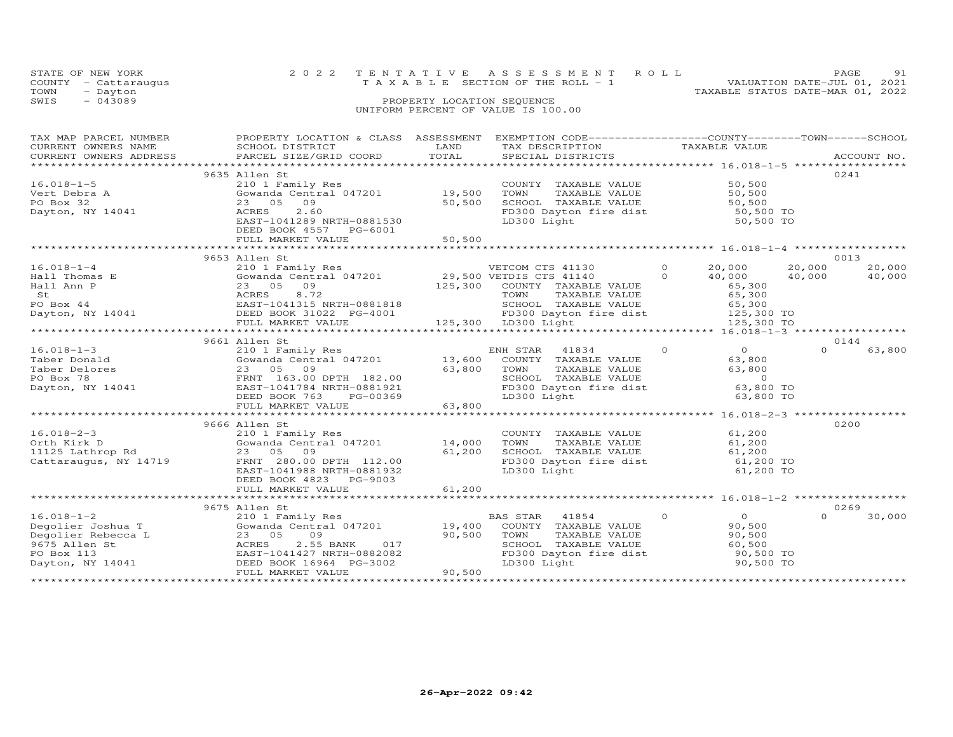| STATE OF NEW YORK                  |  | 2022 TENTATIVE ASSESSMENT ROLL        |  | 91<br>PAGE                       |  |  |  |
|------------------------------------|--|---------------------------------------|--|----------------------------------|--|--|--|
| COUNTY - Cattaraugus               |  | T A X A B L E SECTION OF THE ROLL - 1 |  | VALUATION DATE-JUL 01, 2021      |  |  |  |
| TOWN<br>- Dayton                   |  |                                       |  | TAXABLE STATUS DATE-MAR 01, 2022 |  |  |  |
| SWIS<br>$-043089$                  |  | PROPERTY LOCATION SEQUENCE            |  |                                  |  |  |  |
| UNIFORM PERCENT OF VALUE IS 100.00 |  |                                       |  |                                  |  |  |  |

| TAX MAP PARCEL NUMBER                                                                                                                                                                                                                                | PROPERTY LOCATION & CLASS ASSESSMENT              |        | EXEMPTION CODE-----------------COUNTY-------TOWN------SCHOOL                                 |                            |                                |
|------------------------------------------------------------------------------------------------------------------------------------------------------------------------------------------------------------------------------------------------------|---------------------------------------------------|--------|----------------------------------------------------------------------------------------------|----------------------------|--------------------------------|
| CURRENT OWNERS NAME                                                                                                                                                                                                                                  | SCHOOL DISTRICT                                   | LAND   | TAX DESCRIPTION                                                                              | TAXABLE VALUE              |                                |
| CURRENT OWNERS ADDRESS FARCEL SIZE/GRID COORD TOTAL                                                                                                                                                                                                  |                                                   |        |                                                                                              |                            | ACCOUNT NO.                    |
|                                                                                                                                                                                                                                                      |                                                   |        |                                                                                              |                            |                                |
|                                                                                                                                                                                                                                                      | 9635 Allen St                                     |        |                                                                                              |                            | 0241                           |
|                                                                                                                                                                                                                                                      | 210 1 Family Res                                  |        | COUNTY TAXABLE VALUE<br>TOWN TAXABLE VALUE                                                   |                            |                                |
|                                                                                                                                                                                                                                                      | 210 1 ram11y kes<br>Gowanda Central 047201 19,500 |        |                                                                                              | 50,500<br>50,500           |                                |
|                                                                                                                                                                                                                                                      | 23 05 09                                          | 50,500 |                                                                                              |                            |                                |
| $16.018-1-5$<br>Vert Debra A<br>$\frac{32}{100}$<br>Dayton, NY 14041                                                                                                                                                                                 | 2.60<br>ACRES                                     |        | SCHOOL TAXABLE VALUE<br>FD300 Dayton fire dist 50,500 TO<br>LD300 Light 50,500 TO            |                            |                                |
|                                                                                                                                                                                                                                                      | EAST-1041289 NRTH-0881530                         |        |                                                                                              |                            |                                |
|                                                                                                                                                                                                                                                      | DEED BOOK 4557 PG-6001                            |        |                                                                                              |                            |                                |
|                                                                                                                                                                                                                                                      |                                                   |        |                                                                                              |                            |                                |
|                                                                                                                                                                                                                                                      |                                                   |        |                                                                                              |                            |                                |
|                                                                                                                                                                                                                                                      |                                                   |        |                                                                                              |                            |                                |
|                                                                                                                                                                                                                                                      | 9653 Allen St                                     |        |                                                                                              |                            | 0013                           |
| $16.018 - 1 - 4$                                                                                                                                                                                                                                     |                                                   |        |                                                                                              |                            | 20,000 20,000<br>40,000 40,000 |
|                                                                                                                                                                                                                                                      |                                                   |        |                                                                                              |                            |                                |
|                                                                                                                                                                                                                                                      |                                                   |        |                                                                                              |                            |                                |
|                                                                                                                                                                                                                                                      |                                                   |        |                                                                                              |                            |                                |
|                                                                                                                                                                                                                                                      |                                                   |        |                                                                                              |                            |                                |
|                                                                                                                                                                                                                                                      |                                                   |        |                                                                                              |                            |                                |
|                                                                                                                                                                                                                                                      |                                                   |        |                                                                                              |                            |                                |
|                                                                                                                                                                                                                                                      |                                                   |        |                                                                                              |                            |                                |
|                                                                                                                                                                                                                                                      | 9661 Allen St                                     |        |                                                                                              |                            | 0144                           |
|                                                                                                                                                                                                                                                      |                                                   |        |                                                                                              | $\overline{O}$             | $\Omega$<br>63,800             |
|                                                                                                                                                                                                                                                      |                                                   |        |                                                                                              | 63,800                     |                                |
|                                                                                                                                                                                                                                                      |                                                   |        |                                                                                              |                            |                                |
| 16.018-1-3<br>Taber Donald<br>Taber Donald<br>Taber Delores<br>Taber Delores<br>210 1 Family Res<br>Cowanda Central 047201<br>210 1 Family Res<br>2007 13,600 COUNTY TAXABLE VALUE<br>2008 763,800 TOWN TAXABLE VALUE<br>FOR TAXABLE VALUE<br>FOR TA |                                                   |        | TOWN TAXABLE VALUE 63,800<br>SCHOOL TAXABLE VALUE 63,800<br>FD300 Dayton fire dist 63,800 TO |                            |                                |
|                                                                                                                                                                                                                                                      |                                                   |        |                                                                                              |                            |                                |
|                                                                                                                                                                                                                                                      |                                                   |        |                                                                                              | 63,800 TO                  |                                |
|                                                                                                                                                                                                                                                      |                                                   |        |                                                                                              |                            |                                |
|                                                                                                                                                                                                                                                      |                                                   |        |                                                                                              |                            |                                |
|                                                                                                                                                                                                                                                      |                                                   |        |                                                                                              |                            |                                |
|                                                                                                                                                                                                                                                      | 9666 Allen St                                     |        |                                                                                              |                            | 0200                           |
| $16.018 - 2 - 3$                                                                                                                                                                                                                                     | 210 1 Family Res                                  |        | COUNTY TAXABLE VALUE<br>TOWN      TAXABLE VALUE                                              | 61,200                     |                                |
|                                                                                                                                                                                                                                                      |                                                   |        |                                                                                              | 61,200                     |                                |
|                                                                                                                                                                                                                                                      |                                                   |        | SCHOOL TAXABLE VALUE 61,200<br>FD300 Dayton fire dist 61,200 TO                              |                            |                                |
|                                                                                                                                                                                                                                                      |                                                   |        |                                                                                              |                            |                                |
|                                                                                                                                                                                                                                                      | EAST-1041988 NRTH-0881932                         |        | LD300 Light                                                                                  | 61,200 TO                  |                                |
|                                                                                                                                                                                                                                                      | DEED BOOK 4823 PG-9003                            |        |                                                                                              |                            |                                |
|                                                                                                                                                                                                                                                      |                                                   |        |                                                                                              |                            |                                |
|                                                                                                                                                                                                                                                      |                                                   |        |                                                                                              |                            |                                |
|                                                                                                                                                                                                                                                      | 9675 Allen St                                     |        |                                                                                              |                            | 0269                           |
|                                                                                                                                                                                                                                                      |                                                   |        | BAS STAR 41854                                                                               | $\overline{O}$<br>$\Omega$ | $\Omega$<br>30,000             |
|                                                                                                                                                                                                                                                      |                                                   |        | COUNTY TAXABLE VALUE                                                                         | 90,500                     |                                |
| Degolier Rebecca L<br>9675 Allen St<br>PO Box 113<br>Dayton, NY 14041<br>Dayton, NY 14041<br>DEED B                                                                                                                                                  | 23 05 09                                          | 90,500 | TOWN                                                                                         | 90,500                     |                                |
|                                                                                                                                                                                                                                                      |                                                   |        | TOWN       TAXABLE  VALUE<br>SCHOOL    TAXABLE  VALUE                                        | 60,500                     |                                |
|                                                                                                                                                                                                                                                      |                                                   |        | FD300 Dayton fire dist<br>FD300 Dayton fire dist 90,500 TO                                   |                            |                                |
|                                                                                                                                                                                                                                                      |                                                   |        | LD300 Light                                                                                  | 90,500 TO                  |                                |
|                                                                                                                                                                                                                                                      |                                                   |        |                                                                                              |                            |                                |
|                                                                                                                                                                                                                                                      |                                                   |        |                                                                                              |                            |                                |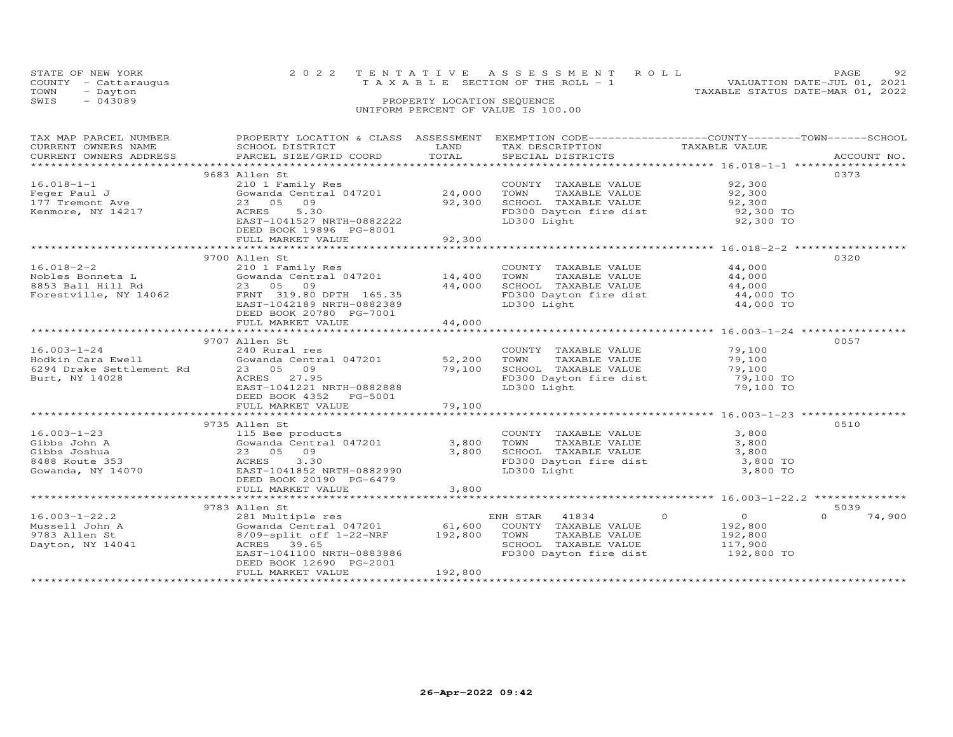|      | STATE OF NEW YORK    |                                    | 2022 TENTATIVE ASSESSMENT ROLL  |                                  | PAGE.                       | 92. |
|------|----------------------|------------------------------------|---------------------------------|----------------------------------|-----------------------------|-----|
|      | COUNTY - Cattaraugus |                                    | TAXABLE SECTION OF THE ROLL - 1 |                                  | VALUATION DATE-JUL 01, 2021 |     |
| TOWN | - Dayton             |                                    |                                 | TAXABLE STATUS DATE-MAR 01, 2022 |                             |     |
| SWIS | $-043089$            | PROPERTY LOCATION SEQUENCE         |                                 |                                  |                             |     |
|      |                      | UNIFORM PERCENT OF VALUE IS 100.00 |                                 |                                  |                             |     |

| TAX MAP PARCEL NUMBER<br>CURRENT OWNERS NAME<br>CURRENT OWNERS ADDRESS | PROPERTY LOCATION & CLASS ASSESSMENT EXEMPTION CODE----------------COUNTY-------TOWN------SCHOOL<br>SCHOOL DISTRICT<br>PARCEL SIZE/GRID COORD                 | LAND<br>TOTAL    | TAX DESCRIPTION TAXABLE VALUE SPECIAL DISTRICTS                       |                            | ACCOUNT NO.      |
|------------------------------------------------------------------------|---------------------------------------------------------------------------------------------------------------------------------------------------------------|------------------|-----------------------------------------------------------------------|----------------------------|------------------|
| $16.018 - 1 - 1$<br>Feger Paul J<br>177 Tremont Ave                    | 9683 Allen St<br>210 1 Family Res<br>Gowanda Central 047201<br>23 05 09                                                                                       | 24,000<br>92,300 | COUNTY TAXABLE VALUE<br>TOWN<br>TAXABLE VALUE<br>SCHOOL TAXABLE VALUE | 92,300<br>92,300<br>92,300 | 0373             |
| Kenmore, NY 14217                                                      | ACRES<br>5.30<br>EAST-1041527 NRTH-0882222<br>DEED BOOK 19896 PG-8001<br>FULL MARKET VALUE                                                                    | 92,300           | FD300 Dayton fire dist<br>LD300 Light                                 | $92,300$ TO<br>92,300 TO   |                  |
|                                                                        |                                                                                                                                                               |                  |                                                                       |                            |                  |
|                                                                        | 9700 Allen St                                                                                                                                                 |                  |                                                                       |                            | 0320             |
| $16.018 - 2 - 2$                                                       | 210 1 Family Res                                                                                                                                              |                  | COUNTY TAXABLE VALUE 44,000                                           |                            |                  |
|                                                                        | Gowanda Central $047201$ 14,400<br>Nobles Bonneta L (Cowanda Central 047201)<br>8853 Ball Hill Rd (23 05 09)<br>Forestville, NY 14062 FRNT 319.80 DPTH 165.35 |                  | TOWN<br>TAXABLE VALUE                                                 | $44,000$<br>$44.000$       |                  |
|                                                                        |                                                                                                                                                               | 44,000           | SCHOOL TAXABLE VALUE                                                  |                            |                  |
|                                                                        |                                                                                                                                                               |                  | FD300 Dayton fire dist 44,000 TO                                      |                            |                  |
|                                                                        | EAST-1042189 NRTH-0882389<br>DEED BOOK 20780 PG-7001                                                                                                          | 44,000           | LD300 Light                                                           | 44,000 TO                  |                  |
|                                                                        | FULL MARKET VALUE                                                                                                                                             |                  |                                                                       |                            |                  |
|                                                                        | 9707 Allen St                                                                                                                                                 |                  |                                                                       |                            | 0057             |
| $16.003 - 1 - 24$                                                      | 240 Rural res                                                                                                                                                 |                  | COUNTY TAXABLE VALUE                                                  | 79,100                     |                  |
|                                                                        | Gowanda Central 047201 52,200                                                                                                                                 |                  | TAXABLE VALUE<br>TOWN                                                 | 79,100                     |                  |
| Hodkin Cara Ewell<br>6294 Drake Settlement Rd                          | 23 05 09                                                                                                                                                      | 79,100           | SCHOOL TAXABLE VALUE                                                  | 79,100                     |                  |
| Burt, NY 14028                                                         | ACRES 27.95                                                                                                                                                   |                  | FD300 Dayton fire dist                                                | 79,100 TO                  |                  |
|                                                                        | EAST-1041221 NRTH-0882888                                                                                                                                     |                  | LD300 Light                                                           | 79,100 TO                  |                  |
|                                                                        | DEED BOOK 4352 PG-5001                                                                                                                                        |                  |                                                                       |                            |                  |
|                                                                        | FULL MARKET VALUE                                                                                                                                             | 79,100           |                                                                       |                            |                  |
|                                                                        |                                                                                                                                                               |                  |                                                                       |                            |                  |
|                                                                        | 9735 Allen St                                                                                                                                                 |                  |                                                                       |                            | 0510             |
| $16.003 - 1 - 23$                                                      | 115 Bee products<br>Gowanda Central 047201 3,800                                                                                                              |                  | COUNTY TAXABLE VALUE                                                  | 3,800                      |                  |
| Gibbs John A                                                           |                                                                                                                                                               |                  | TOWN<br>TAXABLE VALUE                                                 | 3,800                      |                  |
| Gibbs Joshua                                                           | 23 05 09                                                                                                                                                      | 3,800            | SCHOOL TAXABLE VALUE                                                  | 3,800                      |                  |
| 8488 Route 353                                                         | ACRES<br>3.30                                                                                                                                                 |                  | FD300 Dayton fire dist                                                | 3,800 TO                   |                  |
| Gowanda, NY 14070                                                      | EAST-1041852 NRTH-0882990<br>DEED BOOK 20190 PG-6479                                                                                                          |                  | LD300 Light                                                           | 3,800 TO                   |                  |
|                                                                        | FULL MARKET VALUE                                                                                                                                             | 3,800            |                                                                       |                            |                  |
|                                                                        |                                                                                                                                                               |                  |                                                                       |                            |                  |
|                                                                        | 9783 Allen St                                                                                                                                                 |                  |                                                                       |                            | 5039<br>$\Omega$ |
| $16.003 - 1 - 22.2$                                                    | 281 Multiple res                                                                                                                                              |                  | ENH STAR 41834                                                        | $\circ$<br>$\overline{O}$  | 74,900           |
| Mussell John A<br>9783 Allen St                                        | Gowanda Central 047201 61,600                                                                                                                                 |                  | COUNTY TAXABLE VALUE<br>TAXABLE VALUE<br>TOWN                         | 192,800                    |                  |
|                                                                        | 8/09-split off 1-22-NRF 192,800                                                                                                                               |                  | SCHOOL TAXABLE VALUE                                                  | 192,800<br>117,900         |                  |
| Dayton, NY 14041                                                       | ACRES 39.65<br>EAST-1041100 NRTH-0883886                                                                                                                      |                  | FD300 Dayton fire dist                                                | 192,800 TO                 |                  |
|                                                                        | DEED BOOK 12690 PG-2001                                                                                                                                       |                  |                                                                       |                            |                  |
|                                                                        | FULL MARKET VALUE                                                                                                                                             | 192,800          |                                                                       |                            |                  |
|                                                                        |                                                                                                                                                               |                  |                                                                       |                            |                  |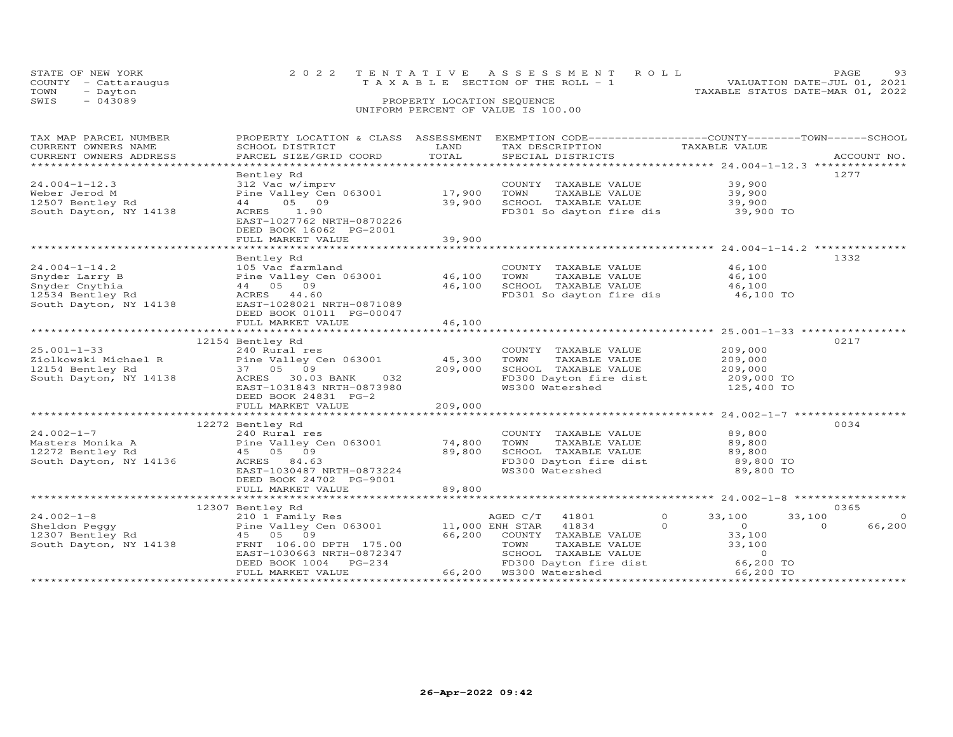|      | STATE OF NEW YORK<br>COUNTY - Cattaraugus |  | 2022 TENTATIVE ASSESSMENT ROLL<br>T A X A B L E SECTION OF THE ROLL - 1 |                            |  |  | PAGE.<br>VALUATION DATE-JUL 01, 2021 | 93 |
|------|-------------------------------------------|--|-------------------------------------------------------------------------|----------------------------|--|--|--------------------------------------|----|
| TOWN | - Dayton                                  |  |                                                                         |                            |  |  | TAXABLE STATUS DATE-MAR 01, 2022     |    |
| SWIS | $-043089$                                 |  |                                                                         | PROPERTY LOCATION SEQUENCE |  |  |                                      |    |
|      | UNIFORM PERCENT OF VALUE IS 100.00        |  |                                                                         |                            |  |  |                                      |    |

| TAX MAP PARCEL NUMBER  |                                                                                                                                                                    |         | PROPERTY LOCATION & CLASS ASSESSMENT EXEMPTION CODE---------------COUNTY-------TOWN------SCHOOL |                            |                |
|------------------------|--------------------------------------------------------------------------------------------------------------------------------------------------------------------|---------|-------------------------------------------------------------------------------------------------|----------------------------|----------------|
| CURRENT OWNERS NAME    | SCHOOL DISTRICT                                                                                                                                                    | LAND    | TAX DESCRIPTION                                                                                 | TAXABLE VALUE              |                |
| CURRENT OWNERS ADDRESS | PARCEL SIZE/GRID COORD TOTAL                                                                                                                                       |         | SPECIAL DISTRICTS                                                                               |                            | ACCOUNT NO.    |
|                        |                                                                                                                                                                    |         |                                                                                                 |                            |                |
|                        | Bentley Rd                                                                                                                                                         |         |                                                                                                 |                            | 1277           |
| $24.004 - 1 - 12.3$    | 312 Vac w/imprv                                                                                                                                                    |         |                                                                                                 |                            |                |
| Weber Jerod M          | 312 Vac w/imprv<br>Pine Valley Cen 063001 17,900                                                                                                                   |         | COUNTY TAXABLE VALUE<br>TOWN     TAXABLE VALUE                                                  | 39,900<br>39,900           |                |
| 12507 Bentley Rd       | 44 05 09                                                                                                                                                           |         |                                                                                                 |                            |                |
| South Dayton, NY 14138 | ACRES 1.90                                                                                                                                                         | 39,900  | SCHOOL TAXABLE VALUE 39,900<br>FD301 So dayton fire dis 39,900 TO                               |                            |                |
|                        | EAST-1027762 NRTH-0870226                                                                                                                                          |         |                                                                                                 |                            |                |
|                        | DEED BOOK 16062 PG-2001                                                                                                                                            |         |                                                                                                 |                            |                |
|                        | FULL MARKET VALUE                                                                                                                                                  | 39,900  |                                                                                                 |                            |                |
|                        |                                                                                                                                                                    |         |                                                                                                 |                            |                |
|                        |                                                                                                                                                                    |         |                                                                                                 |                            | 1332           |
|                        | Bentley Rd                                                                                                                                                         |         |                                                                                                 |                            |                |
| $24.004 - 1 - 14.2$    | 105 Vac farmland                                                                                                                                                   |         | COUNTY TAXABLE VALUE                                                                            | 46,100                     |                |
| Snyder Larry B         | Pine Valley Cen 063001 46,100                                                                                                                                      |         | TAXABLE VALUE<br>TOWN                                                                           | 46,100                     |                |
| Snyder Cnythia         | 44 05 09                                                                                                                                                           | 46,100  | SCHOOL TAXABLE VALUE                                                                            | 46,100                     |                |
| 12534 Bentley Rd       | ACRES 44.60                                                                                                                                                        |         | FD301 So dayton fire dis                                                                        | 46,100 TO                  |                |
| South Dayton, NY 14138 | EAST-1028021 NRTH-0871089                                                                                                                                          |         |                                                                                                 |                            |                |
|                        | DEED BOOK 01011 PG-00047                                                                                                                                           |         |                                                                                                 |                            |                |
|                        | FULL MARKET VALUE                                                                                                                                                  | 46,100  |                                                                                                 |                            |                |
|                        |                                                                                                                                                                    |         |                                                                                                 |                            |                |
|                        | 12154 Bentley Rd                                                                                                                                                   |         |                                                                                                 |                            | 0217           |
| $25.001 - 1 - 33$      | 240 Rural res                                                                                                                                                      |         | COUNTY TAXABLE VALUE                                                                            | 209,000                    |                |
|                        | 25.001-1-3.<br>26.01kowski Michael R (211e Valley Cen 063001 (45,300)<br>12154 Bentley Rd (37 05 09 (209,000)<br>South Dayton, NY 14138 (20RES 30.03 BANK (37 032) |         | TOWN<br>TAXABLE VALUE                                                                           | 209,000                    |                |
|                        |                                                                                                                                                                    | 209,000 | SCHOOL TAXABLE VALUE 209,000<br>FD300 Dayton fire dist 209,000 TO                               |                            |                |
|                        |                                                                                                                                                                    |         |                                                                                                 |                            |                |
|                        | EAST-1031843 NRTH-0873980                                                                                                                                          |         | WS300 Watershed                                                                                 | 125,400 TO                 |                |
|                        | DEED BOOK 24831 PG-2                                                                                                                                               |         |                                                                                                 |                            |                |
|                        |                                                                                                                                                                    |         |                                                                                                 |                            |                |
|                        |                                                                                                                                                                    |         |                                                                                                 |                            |                |
|                        | 12272 Bentley Rd                                                                                                                                                   |         |                                                                                                 |                            | 0034           |
| $24.002 - 1 - 7$       |                                                                                                                                                                    |         | COUNTY TAXABLE VALUE                                                                            | 89,800                     |                |
| Masters Monika A       |                                                                                                                                                                    |         | TOWN                                                                                            |                            |                |
| 12272 Bentley Rd       | 240 Rural res<br>Pine Valley Cen 063001 14,800<br>45 05 09                                                                                                         |         | TAXABLE VALUE 89,800                                                                            |                            |                |
| South Dayton, NY 14136 | ACRES 84.63                                                                                                                                                        |         | SCHOOL TAXABLE VALUE 89,800<br>FD300 Dayton fire dist 89,800 TO                                 |                            |                |
|                        |                                                                                                                                                                    |         | WS300 Watershed                                                                                 | 89,800 TO                  |                |
|                        | EAST-1030487 NRTH-0873224                                                                                                                                          |         |                                                                                                 |                            |                |
|                        | DEED BOOK 24702 PG-9001                                                                                                                                            |         |                                                                                                 |                            |                |
|                        | FULL MARKET VALUE                                                                                                                                                  | 89,800  |                                                                                                 |                            |                |
|                        |                                                                                                                                                                    |         |                                                                                                 |                            |                |
|                        | 12307 Bentley Rd                                                                                                                                                   |         |                                                                                                 |                            | 0365           |
| $24.002 - 1 - 8$       | 210 1 Family Res                                                                                                                                                   |         | AGED C/T<br>$\Omega$<br>41801                                                                   | 33,100<br>33,100           | $\overline{0}$ |
| Sheldon Peqqy          | Pine Valley Cen 063001 11,000 ENH STAR                                                                                                                             |         | 41834<br>$\Omega$                                                                               | $\overline{O}$<br>$\Omega$ | 66,200         |
| 12307 Bentley Rd       | 210 1 Family<br>Pine Valley C<br>45 05 09                                                                                                                          | 66,200  | COUNTY TAXABLE VALUE                                                                            | 33,100                     |                |
| South Dayton, NY 14138 | FRNT 106.00 DPTH 175.00                                                                                                                                            |         |                                                                                                 |                            |                |
|                        | EAST-1030663 NRTH-0872347                                                                                                                                          |         |                                                                                                 |                            |                |
|                        | DEED BOOK 1004 PG-234                                                                                                                                              |         | TOWN TAXABLE VALUE 33,100<br>SCHOOL TAXABLE VALUE 0<br>FD300 Dayton fire dist 66,200 TO         |                            |                |
|                        | FULL MARKET VALUE                                                                                                                                                  |         | FD300 Dayton first<br>66,200 WS300 Watershed                                                    | 66,200 TO                  |                |
|                        |                                                                                                                                                                    |         |                                                                                                 |                            |                |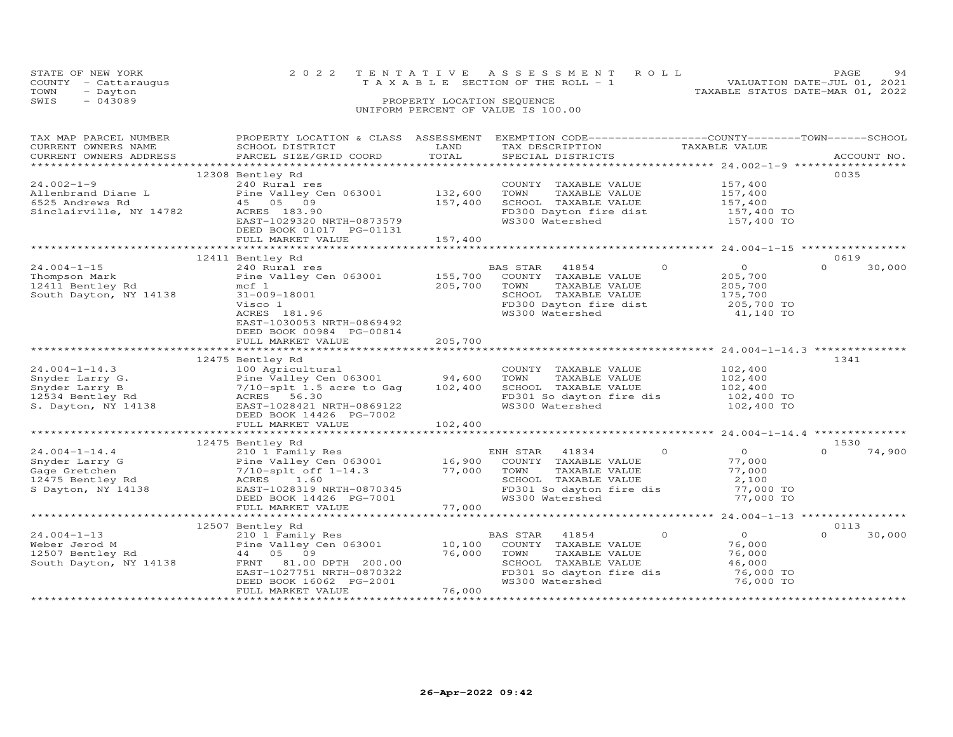|      | STATE OF NEW YORK    | 2022 TENTATIVE ASSESSMENT ROLL                                       | PAGE | 94 |
|------|----------------------|----------------------------------------------------------------------|------|----|
|      | COUNTY - Cattaraugus | VALUATION DATE-JUL 01, 2021<br>T A X A B L E SECTION OF THE ROLL - 1 |      |    |
| TOWN | - Dayton             | TAXABLE STATUS DATE-MAR 01, 2022                                     |      |    |
| SWIS | $-043089$            | PROPERTY LOCATION SEQUENCE                                           |      |    |
|      |                      | UNIFORM PERCENT OF VALUE IS 100.00                                   |      |    |

| TAX MAP PARCEL NUMBER<br>CURRENT OWNERS NAME<br>CURRENT OWNERS ADDRESS                              | PROPERTY LOCATION & CLASS ASSESSMENT<br>SCHOOL DISTRICT<br>PARCEL SIZE/GRID COORD                                                                                                                                      | LAND<br>TOTAL                   | EXEMPTION CODE-----------------COUNTY-------TOWN------SCHOOL<br>TAX DESCRIPTION TAXABLE VALUE<br>SPECIAL DISTRICTS<br>SPECIAL DISTRICTS                  |                                                                                        | ACCOUNT NO.                |
|-----------------------------------------------------------------------------------------------------|------------------------------------------------------------------------------------------------------------------------------------------------------------------------------------------------------------------------|---------------------------------|----------------------------------------------------------------------------------------------------------------------------------------------------------|----------------------------------------------------------------------------------------|----------------------------|
| $24.002 - 1 - 9$<br>Allenbrand Diane L<br>6525 Andrews Rd<br>Sinclairville, NY 14782                | 12308 Bentley Rd<br>240 Rural res<br>Pine Valley Cen 063001<br>45 05 09<br>ACRES 183.90<br>EAST-1029320 NRTH-0873579<br>DEED BOOK 01017 PG-01131<br>FULL MARKET VALUE                                                  | 132,600<br>157,400<br>157,400   | COUNTY TAXABLE VALUE 157,400<br>TAXABLE VALUE<br>TOWN<br>SCHOOL TAXABLE VALUE<br>FD300 Dayton fire dist<br>WS300 Watershed                               | 157,400<br>157,400<br>157,400 TO<br>157,400 TO                                         | 0035                       |
|                                                                                                     |                                                                                                                                                                                                                        |                                 |                                                                                                                                                          |                                                                                        |                            |
| $24.004 - 1 - 15$<br>Thompson Mark<br>12411 Bentley Rd<br>South Dayton, NY 14138                    | 12411 Bentley Rd<br>240 Rural res<br>Pine Valley Cen 063001 155,700<br>mcf 1<br>31-009-18001<br>Visco 1<br>ACRES 181.96<br>EAST-1030053 NRTH-0869492<br>DEED BOOK 00984 PG-00814                                       | 205,700                         | BAS STAR 41854<br>COUNTY TAXABLE VALUE<br>TOWN<br>TAXABLE VALUE<br>SCHOOL TAXABLE VALUE<br>SCHOOD Innumme.<br>FD300 Dayton fire dist<br>****^^ Watershed | $\overline{0}$<br>$\Omega$<br>205,700<br>205,700<br>175,700<br>205,700 TO<br>41,140 TO | 0619<br>$\Omega$<br>30,000 |
|                                                                                                     | FULL MARKET VALUE                                                                                                                                                                                                      | 205,700                         |                                                                                                                                                          |                                                                                        |                            |
| $24.004 - 1 - 14.3$<br>Snyder Larry G.<br>Snyder Larry B<br>12534 Bentley Rd<br>S. Dayton, NY 14138 | 12475 Bentley Rd<br>Pine Valley Cen 063001 94,600<br>-vy Ayffournal<br>Pine Valley Cen 063001<br>7/10-splt 1.5 acre to Gag<br>ACRES 56.30<br>EAST-1028421 NRTH-0869122<br>DEED BOOK 14426 PG-7002<br>FULL MARKET VALUE | 102,400<br>102,400              | COUNTY TAXABLE VALUE<br>TAXABLE VALUE<br>TOWN<br>SCHOOL TAXABLE VALUE<br>FD301 So dayton fire dis 102,400 TO<br>WS300 Watershed                          | 102,400<br>102,400<br>102,400<br>102,400 TO                                            | 1341                       |
|                                                                                                     | 12475 Bentley Rd                                                                                                                                                                                                       |                                 |                                                                                                                                                          |                                                                                        | 1530                       |
| $24.004 - 1 - 14.4$<br>Snyder Larry G<br>Gage Gretchen<br>12475 Bentley Rd<br>S Dayton, NY 14138    | 210 1 Family Res<br>Pine Valley Cen 063001 16,900<br>7/10-splt off 1-14.3<br>ACRES 1.60<br>EAST-1028319 NRTH-0870345<br>DEED BOOK 14426 PG-7001<br>FULL MARKET VALUE                                                   | 77,000<br>77,000                | ENH STAR 41834<br>COUNTY TAXABLE VALUE<br>TOWN<br>TAXABLE VALUE<br>SCHOOL TAXABLE VALUE<br>FD301 So dayton fire dis<br>WS300 Watershed                   | $\circ$<br>$\overline{O}$<br>77,000<br>77,000<br>2,100<br>77,000 TO<br>77,000 TO       | $\Omega$<br>74,900         |
|                                                                                                     |                                                                                                                                                                                                                        |                                 |                                                                                                                                                          |                                                                                        |                            |
| $24.004 - 1 - 13$<br>Weber Jerod M<br>12507 Bentley Rd<br>South Dayton, NY 14138                    | 12507 Bentley Rd<br>210 1 Family Res<br>Pine Valley Cen 063001<br>44 05 09<br>FRNT 81.00 DPTH 200.00<br>EAST-1027751 NRTH-0870322<br>DEED BOOK 16062 PG-2001                                                           | $10,100$ <sup>E</sup><br>76,000 | BAS STAR 41854<br>COUNTY TAXABLE VALUE<br>TAXABLE VALUE<br>TOWN<br>SCHOOL TAXABLE VALUE<br>FD301 So dayton fire dis<br>WS300 Watershed                   | $\overline{0}$<br>$\circ$<br>76,000<br>76,000<br>46,000<br>76,000 TO<br>76,000 TO      | 0113<br>$\Omega$<br>30,000 |
|                                                                                                     | FULL MARKET VALUE                                                                                                                                                                                                      | 76,000                          |                                                                                                                                                          |                                                                                        |                            |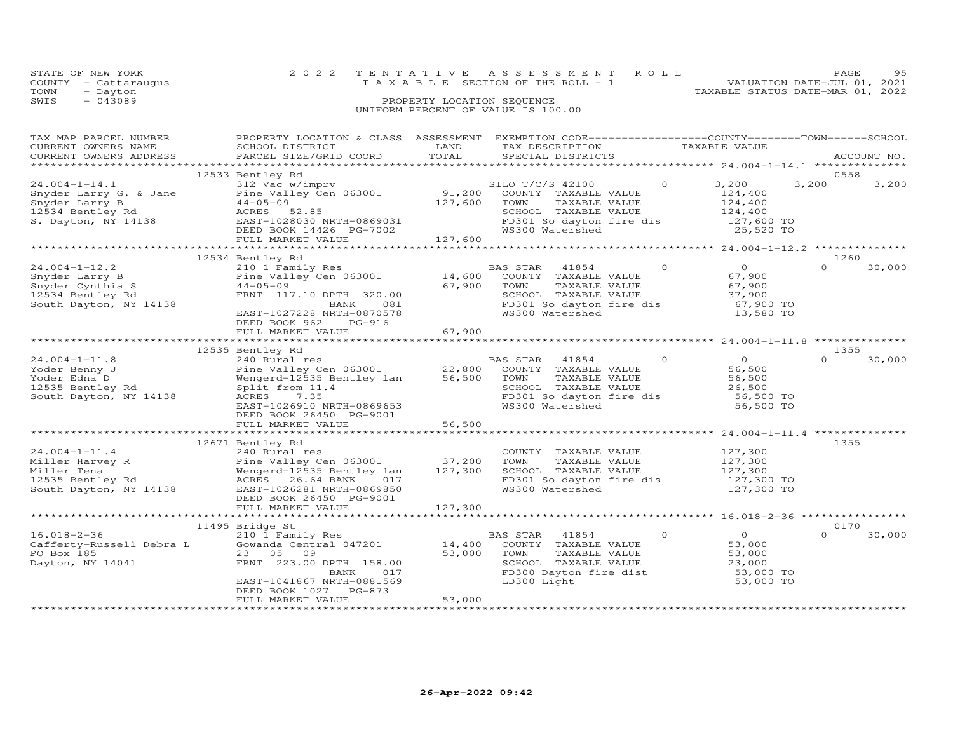| STATE OF NEW YORK    | 2022 TENTATIVE ASSESSMENT ROLL        | 95<br><b>PAGE</b>                |
|----------------------|---------------------------------------|----------------------------------|
| COUNTY - Cattaraugus | T A X A B L E SECTION OF THE ROLL - 1 | VALUATION DATE-JUL 01, 2021      |
| TOWN<br>- Dayton     |                                       | TAXABLE STATUS DATE-MAR 01, 2022 |
| $-043089$<br>SWIS    | PROPERTY LOCATION SEQUENCE            |                                  |
|                      | UNIFORM PERCENT OF VALUE IS 100.00    |                                  |
|                      |                                       |                                  |

| TAX MAP PARCEL NUMBER<br>CURRENT OWNERS NAME<br>CURRENT OWNERS ADDRESS                                                                           | PROPERTY LOCATION & CLASS ASSESSMENT EXEMPTION CODE----------------COUNTY-------TOWN-----SCHOOL<br>SCHOOL DISTRICT<br>PARCEL SIZE/GRID COORD                                                                                         | LAND<br>TOTAL | TAX DESCRIPTION<br>SPECIAL DISTRICTS                                                                                                                                                     | TAXABLE VALUE                                                                                                                                                                                                                                                                                                                                                                                         | ACCOUNT NO.                |
|--------------------------------------------------------------------------------------------------------------------------------------------------|--------------------------------------------------------------------------------------------------------------------------------------------------------------------------------------------------------------------------------------|---------------|------------------------------------------------------------------------------------------------------------------------------------------------------------------------------------------|-------------------------------------------------------------------------------------------------------------------------------------------------------------------------------------------------------------------------------------------------------------------------------------------------------------------------------------------------------------------------------------------------------|----------------------------|
|                                                                                                                                                  |                                                                                                                                                                                                                                      |               |                                                                                                                                                                                          |                                                                                                                                                                                                                                                                                                                                                                                                       |                            |
| $24.004 - 1 - 14.1$<br>Snyder Larry G. & Jane<br>Snyder Larry B<br>Suyuer Larry B<br>12534 Bentley Rd<br>12534 Bentley Rd<br>S. Dayton, NY 14138 | 12533 Bentley Rd<br>312 Vac w/imprv<br>Pine Valley Cen 063001<br>44-05-09<br>ACRES 52.85<br>--<br>EAST-1028030 NRTH-0869031<br>DEED BOOK 14426 PG-7002<br>FULL MARKET VALUE 127,600                                                  | 127,600       | SILO T/C/S 42100<br>91,200 COUNTY TAXABLE VALUE<br>SILO T/C/S 42100<br>TOWN<br>TAXABLE VALUE<br>SCHOOL TAXABLE VALUE<br>FD301 So dayton fire dis 127,600 TO<br>WS300 Watershed 25,520 TO | 3,200<br>$\circ$<br>124,400<br>124,400<br>124,400                                                                                                                                                                                                                                                                                                                                                     | 0558<br>3,200<br>3,200     |
|                                                                                                                                                  |                                                                                                                                                                                                                                      |               |                                                                                                                                                                                          |                                                                                                                                                                                                                                                                                                                                                                                                       |                            |
| $24.004 - 1 - 12.2$<br>24.004-1-12.2<br>Snyder Larry B<br>Snyder Cynthia S<br>South Dayton, NY 14138                                             | 12534 Bentley Rd<br>210 1 Family Res<br>Pine Valley Cen 063001 14,600 COUNTY TAXABLE VALUE<br>$44 - 05 - 09$<br>FRNT 117.10 DPTH 320.00<br>081<br>BANK<br>EAST-1027228 NRTH-0870578<br>DEED BOOK 962 PG-916                          | $67,900$ TOWN | TAXABLE VALUE<br>SCHOOL TAXABLE VALUE<br>FD301 So dayton fire dis<br>WS300 Watershed                                                                                                     | $\circ$<br>$\overline{0}$<br>67,900<br>67,900<br>37,900<br>67,900 TO<br>13,580 TO                                                                                                                                                                                                                                                                                                                     | 1260<br>30,000<br>$\Omega$ |
|                                                                                                                                                  | FULL MARKET VALUE                                                                                                                                                                                                                    | 67,900        |                                                                                                                                                                                          |                                                                                                                                                                                                                                                                                                                                                                                                       |                            |
|                                                                                                                                                  | 12535 Bentley Rd                                                                                                                                                                                                                     |               |                                                                                                                                                                                          |                                                                                                                                                                                                                                                                                                                                                                                                       | 1355                       |
| $24.004 - 1 - 11.8$<br>Yoder Benny J<br>Yoder Edna D<br>12535 Bentley Rd<br>South Dayton, NY 14138                                               | 240 Rural res<br>240 Rural res<br>Pine Valley Cen 063001 22,800 COUNTY TAXABLE VALUE<br>Wengerd-12535 Bentley lan 56,500 TOWN TAXABLE VALUE<br>Split from 11.4<br>ACRES 7.35<br>EAST-1026910 NRTH-0869653<br>DEED BOOK 26450 PG-9001 |               | BAS STAR<br>41854<br>SCHOOL TAXABLE VALUE<br>FD301 So dayton fire dis<br>WS300 Watershed                                                                                                 | $\circ$<br>$\overline{0}$<br>56,500<br>56,500<br>26,500<br>56,500 TO<br>56,500 TO                                                                                                                                                                                                                                                                                                                     | $\Omega$<br>30,000         |
|                                                                                                                                                  | FULL MARKET VALUE                                                                                                                                                                                                                    | 56,500        |                                                                                                                                                                                          |                                                                                                                                                                                                                                                                                                                                                                                                       |                            |
| $24.004 - 1 - 11.4$<br>---- Haivey R<br>Miller Tena<br>12535 Bentley Rd<br>South Dayton, NY 14138                                                | 12671 Bentley Rd<br>240 Rural res<br>ACRES 26.64 BANK<br>EAST-1026281 NRTH-0869850<br>DEED BOOK 26450 PG-9001                                                                                                                        | $017$<br>9850 | COUNTY TAXABLE VALUE<br>TAXABLE VALUE<br>TOWN<br>SCHOOL TAXABLE VALUE<br>FD301 So dayton fire dis<br>WS300 Watershed 127,300 TO                                                          | 127,300<br>127,300<br>127,300                                                                                                                                                                                                                                                                                                                                                                         | 1355                       |
|                                                                                                                                                  | FULL MARKET VALUE                                                                                                                                                                                                                    | 127,300       |                                                                                                                                                                                          |                                                                                                                                                                                                                                                                                                                                                                                                       |                            |
| $16.018 - 2 - 36$<br>Cafferty-Russell Debra L<br>PO Box 185<br>Dayton, NY 14041                                                                  | 11495 Bridge St<br>210 1 Family Res<br>Gowanda Central 047201 14,400 COUNTY TAXABLE VALUE<br>23 05<br>09<br>FRNT 223.00 DPTH 158.00<br>BANK<br>017<br>EAST-1041867 NRTH-0881569<br>DEED BOOK 1027 PG-873                             |               | BAS STAR 41854<br>53,000 TOWN<br>TAXABLE VALUE<br>SCHOOL TAXABLE VALUE<br>FD300 Dayton fire dist<br>LD300 Light                                                                          | $\circ$<br>$\overline{O}$ and $\overline{O}$ and $\overline{O}$ and $\overline{O}$ and $\overline{O}$ and $\overline{O}$ and $\overline{O}$ and $\overline{O}$ and $\overline{O}$ and $\overline{O}$ and $\overline{O}$ and $\overline{O}$ and $\overline{O}$ and $\overline{O}$ and $\overline{O}$ and $\overline{O}$ and $\overline{O}$ and<br>53,000<br>53,000<br>23,000<br>53,000 TO<br>53,000 TO | 0170<br>30,000<br>$\Omega$ |
|                                                                                                                                                  | FULL MARKET VALUE                                                                                                                                                                                                                    | 53,000        |                                                                                                                                                                                          |                                                                                                                                                                                                                                                                                                                                                                                                       |                            |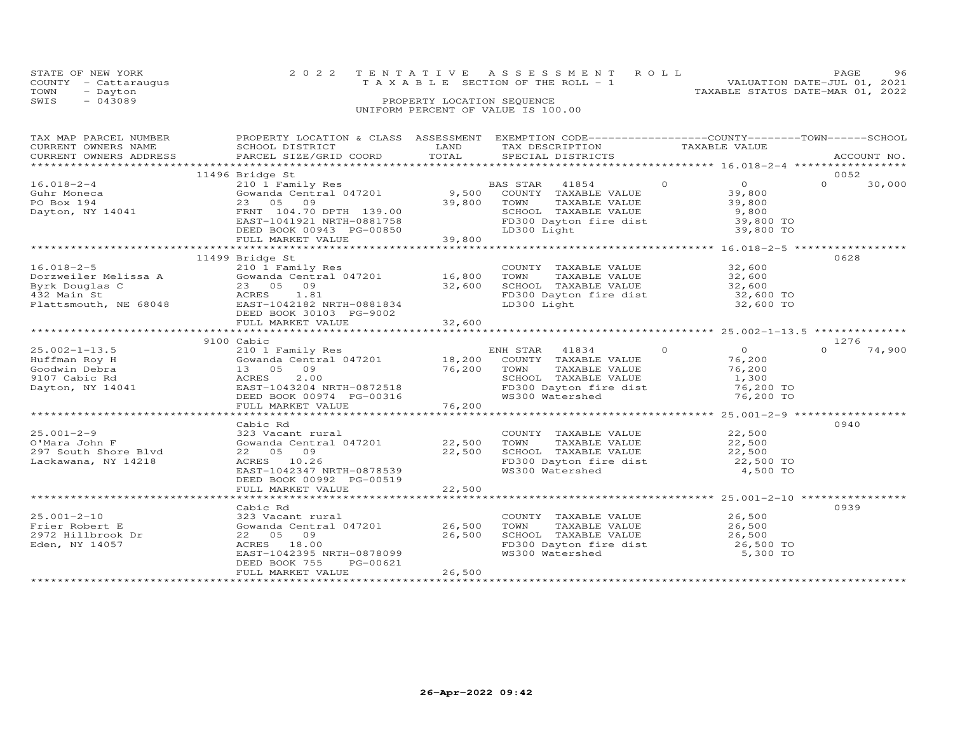|      | STATE OF NEW YORK    | 2022 TENTATIVE ASSESSMENT ROLL                                       | PAGE. | 96 |
|------|----------------------|----------------------------------------------------------------------|-------|----|
|      | COUNTY - Cattaraugus | VALUATION DATE-JUL 01, 2021<br>T A X A B L E SECTION OF THE ROLL - 1 |       |    |
| TOWN | - Dayton             | TAXABLE STATUS DATE-MAR 01, 2022                                     |       |    |
| SWIS | $-043089$            | PROPERTY LOCATION SEQUENCE                                           |       |    |
|      |                      | UNIFORM PERCENT OF VALUE IS 100.00                                   |       |    |
|      |                      |                                                                      |       |    |
|      |                      |                                                                      |       |    |

| TAX MAP PARCEL NUMBER<br>CURRENT OWNERS NAME<br>CURRENT OWNERS ADDRESS                                                           | PROPERTY LOCATION & CLASS ASSESSMENT<br>SCHOOL DISTRICT<br>PARCEL SIZE/GRID COORD                                                                                                                                | LAND<br>TOTAL    | EXEMPTION CODE-----------------COUNTY-------TOWN------SCHOOL<br>TAX DESCRIPTION<br>SPECIAL DISTRICTS                             | TAXABLE VALUE                                                              |          | ACCOUNT NO. |
|----------------------------------------------------------------------------------------------------------------------------------|------------------------------------------------------------------------------------------------------------------------------------------------------------------------------------------------------------------|------------------|----------------------------------------------------------------------------------------------------------------------------------|----------------------------------------------------------------------------|----------|-------------|
|                                                                                                                                  |                                                                                                                                                                                                                  |                  |                                                                                                                                  |                                                                            |          |             |
|                                                                                                                                  | 11496 Bridge St                                                                                                                                                                                                  |                  |                                                                                                                                  |                                                                            | 0052     |             |
| $16.018 - 2 - 4$<br>Guhr Moneca<br>PO Box 194<br>Dayton, NY 14041                                                                | 210 1 Family Res<br>Gowanda Central 047201 (1994) 9,500 COUNTY TAXABLE V<br>23 05 09<br>FRNT 104.70 DPTH 139.00<br>EAST-1041921 NRTH-0881758                                                                     |                  | COUNTY TAXABLE VALUE<br>39,800 TOWN<br>TAXABLE VALUE<br>SCHOOL TAXABLE VALUE<br>FD300 Dayton fire dist<br>LD300 Light            | $\overline{0}$<br>$\overline{0}$<br>39,800<br>39,800<br>9,800<br>39,800 TO | $\Omega$ | 30,000      |
|                                                                                                                                  | DEED BOOK 00943 PG-00850<br>FULL MARKET VALUE 39,800                                                                                                                                                             | 39,800           | LD300 Light                                                                                                                      | 39,800 TO                                                                  |          |             |
|                                                                                                                                  |                                                                                                                                                                                                                  | *************    |                                                                                                                                  |                                                                            |          |             |
| $16.018 - 2 - 5$<br>Dorzweiler Melissa A<br>Byrk Douglas C<br>432 Main St<br>432 Main St<br>Hoz Main St<br>Plattsmouth, NE 68048 | 11499 Bridge St<br>210 1 Family Res<br>Gowanda Central 047201 16,800<br>09<br>23 05<br>1.81<br>ACRES<br>EAST-1042182 NRTH-0881834<br>DEED BOOK 30103 PG-9002<br>FULL MARKET VALUE                                | 32,600<br>32,600 | COUNTY TAXABLE VALUE 32,600<br>TOWN TAXABLE VALUE 32,600<br>SCHOOL TAXABLE VALUE 32,600<br>FD300 Dayton fire dist<br>LD300 Light | 32,600 TO<br>32,600 TO                                                     | 0628     |             |
|                                                                                                                                  |                                                                                                                                                                                                                  |                  |                                                                                                                                  |                                                                            |          |             |
|                                                                                                                                  | 9100 Cabic                                                                                                                                                                                                       |                  |                                                                                                                                  |                                                                            | 1276     |             |
| $25.002 - 1 - 13.5$<br>Huffman Roy H<br>Goodwin Debra<br>9107 Cabic Rd<br>Dayton, NY 14041                                       | 13 05 09<br>2.00<br>ACRES<br>EAST-1043204 NRTH-0872518<br>DEED BOOK 00974 PG-00316                                                                                                                               | 76,200           | ENH STAR 41834 0<br>TOWN<br>TAXABLE VALUE<br>SCHOOL TAXABLE VALUE<br>FD300 Dayton fire dist<br>WS300 Watershed                   | $\overline{0}$<br>76,200<br>76,200<br>1,300<br>76,200 TO<br>76,200 TO      | $\Omega$ | 74,900      |
|                                                                                                                                  | FULL MARKET VALUE                                                                                                                                                                                                | 76,200           |                                                                                                                                  |                                                                            |          |             |
|                                                                                                                                  |                                                                                                                                                                                                                  |                  |                                                                                                                                  |                                                                            |          |             |
| $25.001 - 2 - 9$<br>O'Mara John F<br>297 South Shore Blvd<br>Lackawana, NY 14218                                                 | Cabic Rd<br>323 Vacant rural<br>Gowanda Central 047201 22,500<br>22 05 09<br>ACRES 10.26<br>EAST-1042347 NRTH-0878539<br>DEED BOOK 00992 PG-00519                                                                | 22,500           | COUNTY TAXABLE VALUE 22,500<br>TOWN<br>SCHOOL TAXABLE VALUE 22,500<br>FD300 Dayton fire dist 22,500 TO<br>WS300 Watershed        | TAXABLE VALUE 22,500<br>4,500 TO                                           | 0940     |             |
|                                                                                                                                  | FULL MARKET VALUE                                                                                                                                                                                                | 22,500           |                                                                                                                                  |                                                                            |          |             |
| $25.001 - 2 - 10$<br>Frier Robert E<br>2972 Hillbrook Dr<br>Eden, NY 14057                                                       | Cabic Rd<br>323 Vacant rural<br>Gowanda Central 047201 26,500<br>22 05 09<br>ACRES 18.00<br>EAST-1042395 NRTH-0878099<br>DEED BOOK 755<br>PG-00621<br>FULL MARKET VALUE<br>************************************* | 26,500<br>26,500 | COUNTY TAXABLE VALUE 26,500<br>TOWN<br>SCHOOL TAXABLE VALUE<br>FD300 Dayton fire dist 26,500 TO<br>WS300 Watershed               | TAXABLE VALUE $26,500$<br>TAXABLE VALUE $26,500$<br>5,300 TO               | 0939     |             |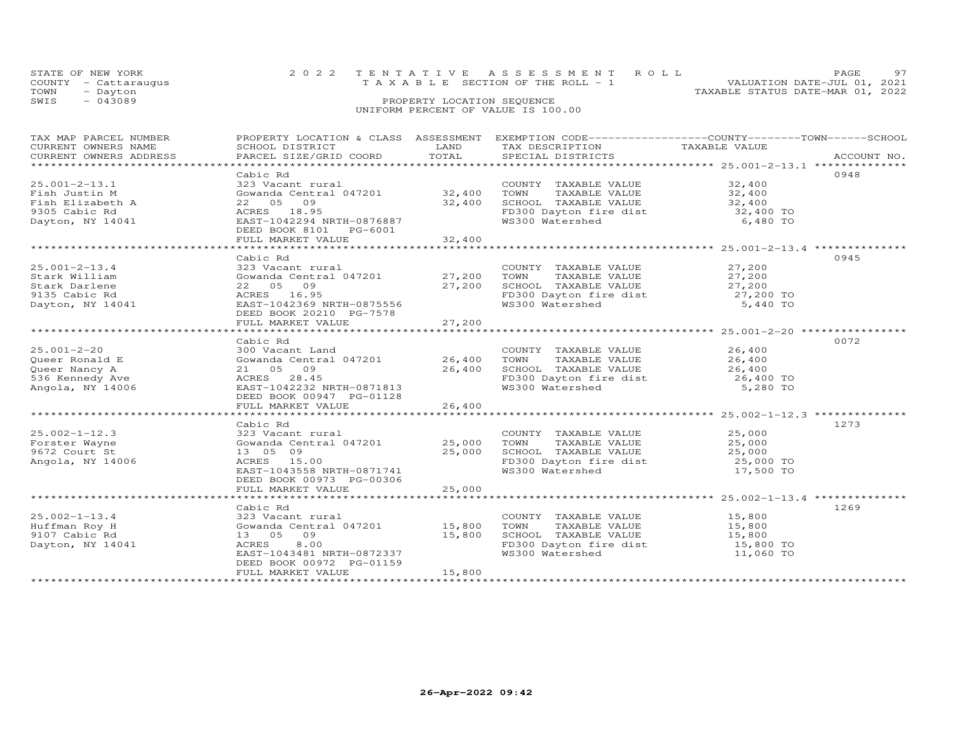| STATE OF NEW YORK    | 2022 TENTATIVE ASSESSMENT ROLL |                                       |  |                                  | PAGE                        | Q7 |
|----------------------|--------------------------------|---------------------------------------|--|----------------------------------|-----------------------------|----|
| COUNTY - Cattaraugus |                                | T A X A B L E SECTION OF THE ROLL - 1 |  |                                  | VALUATION DATE-JUL 01, 2021 |    |
| TOWN<br>- Dayton     |                                |                                       |  | TAXABLE STATUS DATE-MAR 01, 2022 |                             |    |
| SWIS<br>$-043089$    |                                | PROPERTY LOCATION SEQUENCE            |  |                                  |                             |    |
|                      |                                | UNIFORM PERCENT OF VALUE IS 100.00    |  |                                  |                             |    |

| TAX MAP PARCEL NUMBER<br>CURRENT OWNERS NAME<br>CURRENT OWNERS ADDRESS                        | PROPERTY LOCATION & CLASS ASSESSMENT<br>SCHOOL DISTRICT<br>PARCEL SIZE/GRID COORD                                                                                                               | LAND<br>TOTAL                              | EXEMPTION CODE-----------------COUNTY-------TOWN------SCHOOL<br>TAX DESCRIPTION<br>SPECIAL DISTRICTS                         | TAXABLE VALUE                                                                                           | ACCOUNT NO. |
|-----------------------------------------------------------------------------------------------|-------------------------------------------------------------------------------------------------------------------------------------------------------------------------------------------------|--------------------------------------------|------------------------------------------------------------------------------------------------------------------------------|---------------------------------------------------------------------------------------------------------|-------------|
| $25.001 - 2 - 13.1$<br>Fish Justin M<br>Fish Elizabeth A<br>9305 Cabic Rd<br>Dayton, NY 14041 | Cabic Rd<br>323 Vacant rural<br>Gowanda Central 047201 32,400<br>22 05 09<br>ACRES 18.95<br>EAST-1042294 NRTH-0876887<br>DEED BOOK 8101 PG-6001<br>FULL MARKET VALUE                            | 32,400<br>32,400                           | COUNTY TAXABLE VALUE<br>TOWN<br>TAXABLE VALUE<br>SCHOOL TAXABLE VALUE<br>FD300 Dayton fire dist<br>WS300 Watershed           | 32,400<br>32,400<br>32,400<br>32,400 TO<br>6,480 TO                                                     | 0948        |
| $25.001 - 2 - 13.4$<br>Stark William<br>Stark Darlene<br>9135 Cabic Rd<br>Dayton, NY 14041    | Cabic Rd<br>323 Vacant rural<br>Gowanda Central 047201 27,200<br>22 05 09<br>ACRES 16.95<br>EAST-1042369 NRTH-0875556<br>DEED BOOK 20210 PG-7578<br>FULL MARKET VALUE                           | 27,200<br>27,200                           | COUNTY TAXABLE VALUE<br>TOWN<br>TAXABLE VALUE<br>SCHOOL TAXABLE VALUE<br>FD300 Dayton fire dist 27,200 TO<br>WS300 Watershed | 27,200<br>27,200<br>27,200<br>5,440 TO                                                                  | 0945        |
| $25.001 - 2 - 20$<br>Queer Ronald E<br>Queer Nancy A<br>536 Kennedy Ave<br>Angola, NY 14006   | Cabic Rd<br>300 Vacant Land<br>Gowanda Central 047201<br>21 05 09<br>ACRES 28.45<br>EAST-1042232 NRTH-0871813<br>DEED BOOK 00947 PG-01128<br>FULL MARKET VALUE<br>***************************** | 26,400<br>26,400<br>26,400<br>************ | COUNTY TAXABLE VALUE<br>TOWN<br>TAXABLE VALUE<br>SCHOOL TAXABLE VALUE<br>FD300 Dayton fire dist<br>WS300 Watershed           | 26,400<br>26,400<br>26,400<br>26,400 TO<br>5,280 TO<br>********************* 25.002-1-12.3 ************ | 0072        |
| $25.002 - 1 - 12.3$<br>Forster Wayne<br>9672 Court St<br>Angola, NY 14006                     | Cabic Rd<br>323 Vacant rural<br>Gowanda Central 047201<br>13 05 09<br>ACRES 15.00<br>EAST-1043558 NRTH-0871741<br>DEED BOOK 00973 PG-00306<br>FULL MARKET VALUE                                 | 25,000<br>25,000<br>25,000                 | COUNTY TAXABLE VALUE<br>TOWN<br>TAXABLE VALUE<br>SCHOOL TAXABLE VALUE<br>FD300 Dayton fire dist<br>WS300 Watershed           | 25,000<br>25,000<br>25,000<br>25,000 TO<br>17,500 TO                                                    | 1273        |
| $25.002 - 1 - 13.4$<br>Huffman Roy H<br>9107 Cabic Rd<br>Dayton, NY 14041                     | Cabic Rd<br>323 Vacant rural<br>Gowanda Central 047201 15,800<br>13 05 09<br>8.00<br>ACRES<br>EAST-1043481 NRTH-0872337<br>DEED BOOK 00972 PG-01159<br>FULL MARKET VALUE                        | 15,800<br>15,800                           | COUNTY TAXABLE VALUE<br>TOWN<br>TAXABLE VALUE<br>SCHOOL TAXABLE VALUE<br>FD300 Dayton fire dist<br>WS300 Watershed           | 15,800<br>15,800<br>15,800<br>15,800 TO<br>11,060 TO                                                    | 1269        |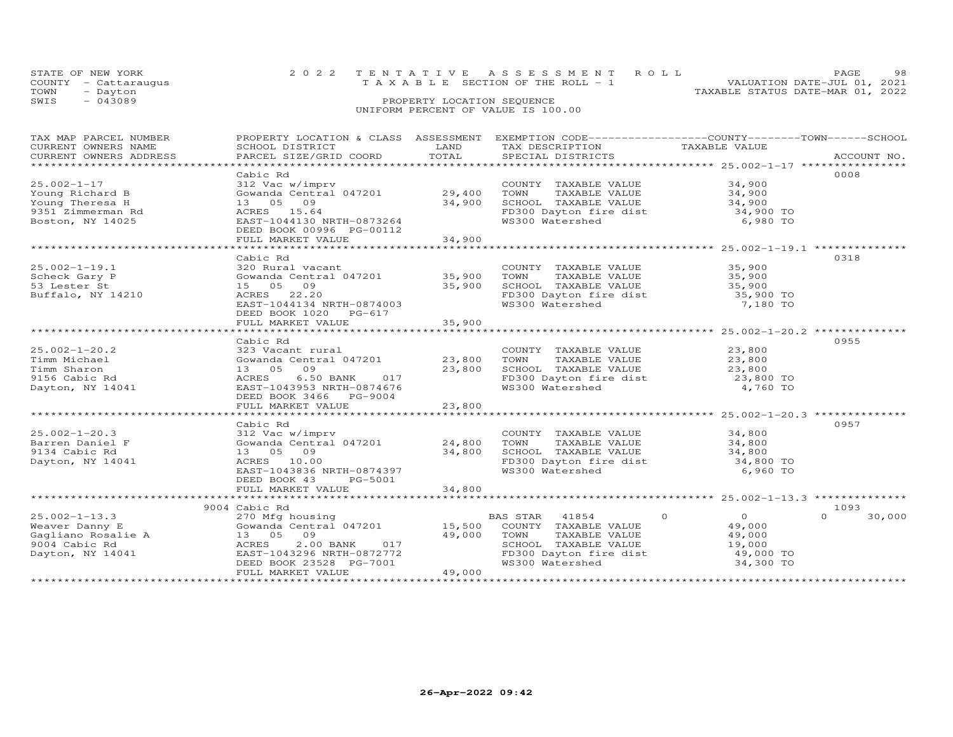|      | STATE OF NEW YORK    | 2022 TENTATIVE ASSESSMENT ROLL                                          | PAGE. | 98 |
|------|----------------------|-------------------------------------------------------------------------|-------|----|
|      | COUNTY - Cattaraugus | VALUATION DATE-JUL 01, 2021<br>$T A X A B L E$ SECTION OF THE ROLL $-1$ |       |    |
| TOWN | - Dayton             | TAXABLE STATUS DATE-MAR 01, 2022                                        |       |    |
| SWIS | $-043089$            | PROPERTY LOCATION SEQUENCE                                              |       |    |
|      |                      | UNIFORM PERCENT OF VALUE IS 100.00                                      |       |    |

| LAND<br>TAXABLE VALUE<br>CURRENT OWNERS NAME<br>SCHOOL DISTRICT<br>TAX DESCRIPTION<br>TOTAL<br>CURRENT OWNERS ADDRESS<br>PARCEL SIZE/GRID COORD<br>SPECIAL DISTRICTS<br>ACCOUNT NO.<br>0008<br>Cabic Rd<br>$25.002 - 1 - 17$<br>312 Vac w/imprv<br>34,900<br>COUNTY TAXABLE VALUE<br>Gowanda Central 047201 29,400<br>34,900<br>Young Richard B<br>TOWN<br>TAXABLE VALUE<br>Young Theresa H<br>13 05 09<br>34,900<br>ACRES 15.64<br>9351 Zimmerman Rd<br>FD300 Dayton fire dist<br>WS300 Watershed<br>Boston, NY 14025<br>EAST-1044130 NRTH-0873264<br>6,980 TO |        |
|-----------------------------------------------------------------------------------------------------------------------------------------------------------------------------------------------------------------------------------------------------------------------------------------------------------------------------------------------------------------------------------------------------------------------------------------------------------------------------------------------------------------------------------------------------------------|--------|
|                                                                                                                                                                                                                                                                                                                                                                                                                                                                                                                                                                 |        |
|                                                                                                                                                                                                                                                                                                                                                                                                                                                                                                                                                                 |        |
|                                                                                                                                                                                                                                                                                                                                                                                                                                                                                                                                                                 |        |
|                                                                                                                                                                                                                                                                                                                                                                                                                                                                                                                                                                 |        |
|                                                                                                                                                                                                                                                                                                                                                                                                                                                                                                                                                                 |        |
|                                                                                                                                                                                                                                                                                                                                                                                                                                                                                                                                                                 |        |
|                                                                                                                                                                                                                                                                                                                                                                                                                                                                                                                                                                 |        |
|                                                                                                                                                                                                                                                                                                                                                                                                                                                                                                                                                                 |        |
|                                                                                                                                                                                                                                                                                                                                                                                                                                                                                                                                                                 |        |
| DEED BOOK 00996 PG-00112                                                                                                                                                                                                                                                                                                                                                                                                                                                                                                                                        |        |
| 34,900<br>FULL MARKET VALUE                                                                                                                                                                                                                                                                                                                                                                                                                                                                                                                                     |        |
|                                                                                                                                                                                                                                                                                                                                                                                                                                                                                                                                                                 |        |
|                                                                                                                                                                                                                                                                                                                                                                                                                                                                                                                                                                 |        |
| Cabic Rd<br>0318                                                                                                                                                                                                                                                                                                                                                                                                                                                                                                                                                |        |
| $25.002 - 1 - 19.1$<br>35,900<br>35,900<br>320 Rural vacant<br>COUNTY TAXABLE VALUE<br>TOWN     TAXABLE VALUE                                                                                                                                                                                                                                                                                                                                                                                                                                                   |        |
| Gowanda Central 047201 35,900<br>Scheck Gary P                                                                                                                                                                                                                                                                                                                                                                                                                                                                                                                  |        |
| 35,900<br>SCHOOL TAXABLE VALUE<br>53 Lester St<br>15 05 09<br>35,900<br>35,900 TO                                                                                                                                                                                                                                                                                                                                                                                                                                                                               |        |
| Buffalo, NY 14210<br>ACRES 22.20<br>FD300 Dayton fire dist                                                                                                                                                                                                                                                                                                                                                                                                                                                                                                      |        |
| WS300 Watershed<br>EAST-1044134 NRTH-0874003<br>7,180 TO                                                                                                                                                                                                                                                                                                                                                                                                                                                                                                        |        |
| DEED BOOK 1020 PG-617                                                                                                                                                                                                                                                                                                                                                                                                                                                                                                                                           |        |
| FULL MARKET VALUE<br>35,900                                                                                                                                                                                                                                                                                                                                                                                                                                                                                                                                     |        |
|                                                                                                                                                                                                                                                                                                                                                                                                                                                                                                                                                                 |        |
| 0955<br>Cabic Rd                                                                                                                                                                                                                                                                                                                                                                                                                                                                                                                                                |        |
| $25.002 - 1 - 20.2$<br>323 Vacant rural<br>23,800<br>COUNTY TAXABLE VALUE                                                                                                                                                                                                                                                                                                                                                                                                                                                                                       |        |
| Gowanda Central 047201 23,800<br>TAXABLE VALUE<br>23,800<br>Timm Michael<br>TOWN                                                                                                                                                                                                                                                                                                                                                                                                                                                                                |        |
| Timm Sharon<br>13 05 09<br>23,800                                                                                                                                                                                                                                                                                                                                                                                                                                                                                                                               |        |
| $6.50$ BANK $017$<br>9156 Cabic Rd<br>ACRES                                                                                                                                                                                                                                                                                                                                                                                                                                                                                                                     |        |
| EAST-1043953 NRTH-0874676<br>WS300 Watershed<br>4,760 TO<br>Dayton, NY 14041                                                                                                                                                                                                                                                                                                                                                                                                                                                                                    |        |
| DEED BOOK 3466 PG-9004                                                                                                                                                                                                                                                                                                                                                                                                                                                                                                                                          |        |
|                                                                                                                                                                                                                                                                                                                                                                                                                                                                                                                                                                 |        |
|                                                                                                                                                                                                                                                                                                                                                                                                                                                                                                                                                                 |        |
|                                                                                                                                                                                                                                                                                                                                                                                                                                                                                                                                                                 |        |
| 0957<br>Cabic Rd                                                                                                                                                                                                                                                                                                                                                                                                                                                                                                                                                |        |
| COUNTY TAXABLE VALUE<br>$25.002 - 1 - 20.3$<br>312 Vac w/imprv<br>34,800                                                                                                                                                                                                                                                                                                                                                                                                                                                                                        |        |
| Gowanda Central 047201 24,800<br>TAXABLE VALUE 34,800<br>Barren Daniel F<br>TOWN                                                                                                                                                                                                                                                                                                                                                                                                                                                                                |        |
| 13 05 09<br>34,800<br>SCHOOL TAXABLE VALUE 34,800<br>FD300 Dayton fire dist 34,800 TO<br>9134 Cabic Rd                                                                                                                                                                                                                                                                                                                                                                                                                                                          |        |
| Dayton, NY 14041<br>ACRES 10.00                                                                                                                                                                                                                                                                                                                                                                                                                                                                                                                                 |        |
| WS300 Watershed<br>6,960 TO<br>EAST-1043836 NRTH-0874397                                                                                                                                                                                                                                                                                                                                                                                                                                                                                                        |        |
| DEED BOOK 43<br>PG-5001                                                                                                                                                                                                                                                                                                                                                                                                                                                                                                                                         |        |
| 34,800<br>FULL MARKET VALUE                                                                                                                                                                                                                                                                                                                                                                                                                                                                                                                                     |        |
|                                                                                                                                                                                                                                                                                                                                                                                                                                                                                                                                                                 |        |
| 1093<br>9004 Cabic Rd                                                                                                                                                                                                                                                                                                                                                                                                                                                                                                                                           |        |
| $\overline{0}$<br>BAS STAR 41854<br>$\circ$<br>$\Omega$<br>270 Mfg housing                                                                                                                                                                                                                                                                                                                                                                                                                                                                                      | 30,000 |
| Gowanda Central 047201 15,500<br>COUNTY TAXABLE VALUE<br>49,000                                                                                                                                                                                                                                                                                                                                                                                                                                                                                                 |        |
| 25.002-1-13.3<br>Weaver Danny E<br>Gagliano Rosalie A<br>2014 Cabic Rd<br>2014 Cabic Rd<br>2014 Cabic Rd<br>2014 Cabic Rd<br>2014 Cabic Rd<br>2014 Cabic Rd<br>2014 Cabic Rd<br>2014 Cabic Rd<br>2014 Cabic Rd<br>49,000<br>TOWN<br>TAXABLE VALUE<br>49,000                                                                                                                                                                                                                                                                                                     |        |
| SCHOOL TAXABLE VALUE                                                                                                                                                                                                                                                                                                                                                                                                                                                                                                                                            |        |
| ACRES 2.00 BANK 017<br>EAST-1043296 NRTH-0872772                                                                                                                                                                                                                                                                                                                                                                                                                                                                                                                |        |
| 19,000 TO<br>49,000 TO<br>100 TO<br>FD300 Dayton fire dist<br>WS300 Watershed<br>34,300 TO<br>DEED BOOK 23528 PG-7001                                                                                                                                                                                                                                                                                                                                                                                                                                           |        |
| 49,000<br>FULL MARKET VALUE                                                                                                                                                                                                                                                                                                                                                                                                                                                                                                                                     |        |
|                                                                                                                                                                                                                                                                                                                                                                                                                                                                                                                                                                 |        |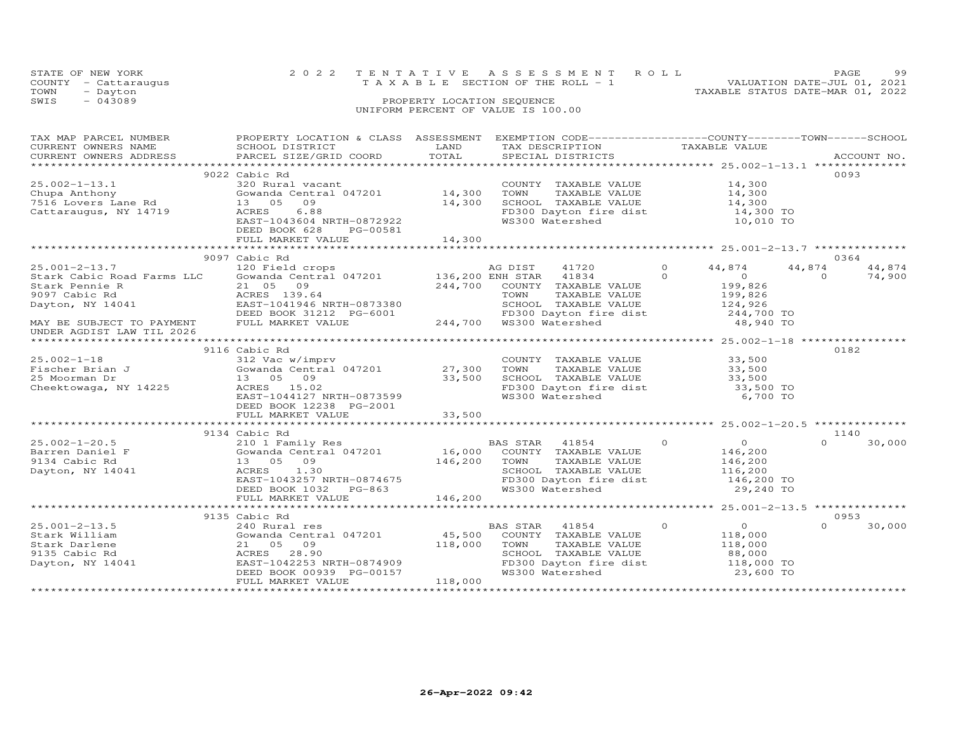| STATE OF NEW YORK |                      |                                    | 2022 TENTATIVE ASSESSMENT ROLL  |                                  | <b>PAGE</b> | 99 |
|-------------------|----------------------|------------------------------------|---------------------------------|----------------------------------|-------------|----|
|                   | COUNTY - Cattaraugus |                                    | TAXABLE SECTION OF THE ROLL - 1 | VALUATION DATE-JUL 01, 2021      |             |    |
| TOWN              | - Dayton             |                                    |                                 | TAXABLE STATUS DATE-MAR 01, 2022 |             |    |
| SWIS              | $-043089$            | PROPERTY LOCATION SEQUENCE         |                                 |                                  |             |    |
|                   |                      | UNIFORM PERCENT OF VALUE IS 100.00 |                                 |                                  |             |    |

| TAX MAP PARCEL NUMBER<br>CURRENT OWNERS NAME<br>CURRENT OWNERS ADDRESS                                   | PROPERTY LOCATION & CLASS ASSESSMENT EXEMPTION CODE----------------COUNTY-------TOWN-----SCHOOL<br>SCHOOL DISTRICT<br>PARCEL SIZE/GRID COORD                                                                                                                                                                                                                | LAND<br>TOTAL                                   | TAX DESCRIPTION TAXABLE VALUE SPECIAL DISTRICTS                                                                                                                          |                                                                                                            | ACCOUNT NO.                            |
|----------------------------------------------------------------------------------------------------------|-------------------------------------------------------------------------------------------------------------------------------------------------------------------------------------------------------------------------------------------------------------------------------------------------------------------------------------------------------------|-------------------------------------------------|--------------------------------------------------------------------------------------------------------------------------------------------------------------------------|------------------------------------------------------------------------------------------------------------|----------------------------------------|
| $25.002 - 1 - 13.1$<br>Cattaraugus, NY 14719                                                             | 9022 Cabic Rd<br>320 Rural vacant<br>Gowanda Central 047201 14,300<br>09<br>6.88<br>ACRES<br>EAST-1043604 NRTH-0872922<br>DEED BOOK 628<br>PG-00581<br>FULL MARKET VALUE                                                                                                                                                                                    | 14,300<br>14,300<br>* * * * * * * * * * * * * * | COUNTY TAXABLE VALUE<br>TOWN<br>TAXABLE VALUE<br>SCHOOL TAXABLE VALUE<br>FD300 Dayton fire dist 14,300 TO<br>WS300 Watershed                                             | 14,300<br>$14,300$<br>$14,300$<br>10,010 TO<br>***************************** 25.001-2-13.7 *************** | 0093                                   |
|                                                                                                          | 9097 Cabic Rd                                                                                                                                                                                                                                                                                                                                               |                                                 |                                                                                                                                                                          |                                                                                                            | 0364                                   |
| $25.001 - 2 - 13.7$<br>Stark Cabic Road Farms LLC<br>Stark Pennie R<br>9097 Cabic Rd<br>Dayton, NY 14041 | 120 Field crops                                 AG DIST       41720<br>Gowanda Central 047201           136,200 ENH STAR   41834<br>21 05 09<br>ACRES 139.64<br>ACRES 139.64 TOWN TAXABLE<br>EAST-1041946 NRTH-0873380 SCHOOL TAXABLE<br>DEED BOOK 31212 PG-6001 FD300 Dayton fir<br>FULL MARKET VALUE 244,700 WS300 Watershed<br>EAST-1041946 NRTH-0873380 | 244,700                                         | COUNTY TAXABLE VALUE<br>TAXABLE VALUE<br>SCHOOL TAXABLE VALUE                                                                                                            | $\circ$<br>44,874<br>$\Omega$<br>$\overline{0}$<br>$199, 625$<br>$199, 826$<br>124,926<br>244,700 TO       | 44,874<br>44,874<br>$\Omega$<br>74,900 |
| MAY BE SUBJECT TO PAYMENT<br>UNDER AGDIST LAW TIL 2026                                                   |                                                                                                                                                                                                                                                                                                                                                             |                                                 | FD300 Dayton fire dist 244,700 TO<br>WS300 Watershed 48,940 TO                                                                                                           |                                                                                                            |                                        |
|                                                                                                          | 9116 Cabic Rd                                                                                                                                                                                                                                                                                                                                               |                                                 |                                                                                                                                                                          |                                                                                                            | 0182                                   |
| $25.002-1-18$<br>Fischer Brian J<br>Theorman Dr                                                          | 312 Vac w/imprv<br>Gowanda Central 047201 27,300<br>$\frac{27,300}{33,500}$<br>13 05 09<br>ACRES 15.02<br>EAST-1044127 NRTH-0873599<br>DEED BOOK 12238 PG-2001                                                                                                                                                                                              |                                                 | COUNTY TAXABLE VALUE<br>TOWN<br>TAXABLE VALUE<br>SCHOOL TAXABLE VALUE<br>FD300 Dayton fire dist<br>WS300 Watershed                                                       | 33,500<br>33,500<br>33,500<br>$33,500$ TO<br>$33,500$ TO<br>6,700 TO                                       |                                        |
|                                                                                                          | FULL MARKET VALUE                                                                                                                                                                                                                                                                                                                                           | 33,500                                          |                                                                                                                                                                          |                                                                                                            |                                        |
|                                                                                                          |                                                                                                                                                                                                                                                                                                                                                             |                                                 |                                                                                                                                                                          |                                                                                                            |                                        |
| $25.002 - 1 - 20.5$<br>Barren Daniel F<br>9134 Cabic Rd<br>Dayton, NY 14041                              | 9134 Cabic Rd<br>210 1 Family Res<br>1.30<br>ACRES<br>EAST-1043257 NRTH-0874675<br>DEED BOOK 1032 PG-863                                                                                                                                                                                                                                                    |                                                 | BAS STAR 41854 0<br>SCHOOL TAXABLE VALUE 116,200<br>FD300 Dayton fire dist 146,200 TO<br>WS300 Watershed                                                                 | $\overline{0}$<br>146,200<br>146,200<br>29,240 TO                                                          | 1140<br>$\Omega$<br>30,000             |
|                                                                                                          | FULL MARKET VALUE                                                                                                                                                                                                                                                                                                                                           | 146,200                                         |                                                                                                                                                                          |                                                                                                            |                                        |
|                                                                                                          |                                                                                                                                                                                                                                                                                                                                                             |                                                 |                                                                                                                                                                          |                                                                                                            |                                        |
|                                                                                                          | 9135 Cabic Rd                                                                                                                                                                                                                                                                                                                                               |                                                 |                                                                                                                                                                          |                                                                                                            | 0953                                   |
| $25.001 - 2 - 13.5$<br>Stark William<br>Stark Darlene<br>9135 Cabic Rd<br>Dayton, NY 14041               | 240 Rural res<br>Gowanda Central 047201<br>21 05 09<br>ACRES 28.90<br>EAST-1042253 NRTH-0874909<br>DEED BOOK 00939 PG-00157<br>FULL MARKET VALUE                                                                                                                                                                                                            | 45,500<br>118,000<br>118,000                    | BAS STAR<br>41854<br>COUNTY TAXABLE VALUE<br>TAXABLE VALUE<br>TOWN<br>TOWN       TAXABLE  VALUE<br>SCHOOL    TAXABLE  VALUE<br>FD300 Dayton fire dist<br>WS300 Watershed | $\overline{O}$<br>$\circ$<br>118,000<br>118,000<br>88,000<br>$\frac{118,000}{22}$ TO<br>23,600 TO          | $\Omega$<br>30,000                     |
|                                                                                                          |                                                                                                                                                                                                                                                                                                                                                             |                                                 |                                                                                                                                                                          |                                                                                                            |                                        |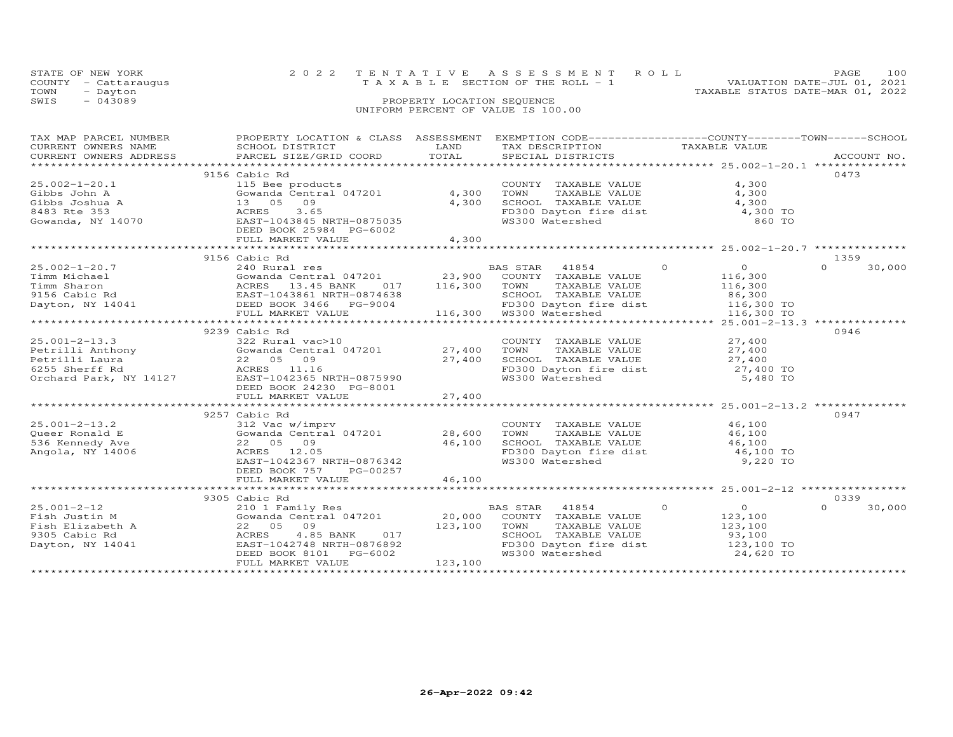|      | STATE OF NEW YORK    | 2022 TENTATIVE ASSESSMENT ROLL        | 100<br>PAGE.                     |
|------|----------------------|---------------------------------------|----------------------------------|
|      | COUNTY - Cattaraugus | T A X A B L E SECTION OF THE ROLL - 1 | VALUATION DATE-JUL 01, 2021      |
| TOWN | - Dayton             |                                       | TAXABLE STATUS DATE-MAR 01, 2022 |
| SWIS | $-043089$            | PROPERTY LOCATION SEQUENCE            |                                  |
|      |                      | UNIFORM PERCENT OF VALUE IS 100.00    |                                  |

| TAX MAP PARCEL NUMBER<br>CURRENT OWNERS NAME                           | PROPERTY LOCATION & CLASS ASSESSMENT EXEMPTION CODE----------------COUNTY-------TOWN------SCHOOL<br>SCHOOL DISTRICT                                                                                                              | LAND         | TAX DESCRIPTION                                                                                               | TAXABLE VALUE              |                    |
|------------------------------------------------------------------------|----------------------------------------------------------------------------------------------------------------------------------------------------------------------------------------------------------------------------------|--------------|---------------------------------------------------------------------------------------------------------------|----------------------------|--------------------|
|                                                                        | CURRENT OWNERS ADDRESS PARCEL SIZE/GRID COORD                                                                                                                                                                                    | TOTAL        | SPECIAL DISTRICTS                                                                                             |                            | ACCOUNT NO.        |
|                                                                        |                                                                                                                                                                                                                                  |              |                                                                                                               |                            |                    |
|                                                                        | 9156 Cabic Rd                                                                                                                                                                                                                    |              |                                                                                                               |                            | 0473               |
| $25.002 - 1 - 20.1$                                                    | 115 Bee products<br>Gowanda Central 047201 4,300                                                                                                                                                                                 |              | COUNTY TAXABLE VALUE                                                                                          | 4,300                      |                    |
| Gibbs John A                                                           |                                                                                                                                                                                                                                  |              | TOWN<br>TAXABLE VALUE                                                                                         | 4,300                      |                    |
|                                                                        |                                                                                                                                                                                                                                  | 4,300        | SCHOOL TAXABLE VALUE 4,300                                                                                    |                            |                    |
|                                                                        |                                                                                                                                                                                                                                  |              | FD300 Dayton fire dist<br>WS300 Watershed                                                                     | 4,300 TO                   |                    |
|                                                                        |                                                                                                                                                                                                                                  |              |                                                                                                               | 860 TO                     |                    |
|                                                                        | DEED BOOK 25984 PG-6002                                                                                                                                                                                                          |              |                                                                                                               |                            |                    |
|                                                                        | FULL MARKET VALUE                                                                                                                                                                                                                | 4,300        |                                                                                                               |                            |                    |
|                                                                        | 9156 Cabic Rd                                                                                                                                                                                                                    |              |                                                                                                               |                            | 1359               |
| $25.002 - 1 - 20.7$                                                    |                                                                                                                                                                                                                                  |              | 41854 0                                                                                                       | $\overline{O}$             | $\Omega$<br>30,000 |
|                                                                        |                                                                                                                                                                                                                                  |              |                                                                                                               | 116,300                    |                    |
|                                                                        |                                                                                                                                                                                                                                  | 116,300 TOWN | TAXABLE VALUE                                                                                                 | 116,300                    |                    |
|                                                                        |                                                                                                                                                                                                                                  |              |                                                                                                               |                            |                    |
|                                                                        | Timm Michael (500 = 13.45 BANK 017 = 23,900 = 116,300 = 12,900 = 12,900 = 12,900 = 12,900 = 12,900 = 12,900 = 1<br>9156 Cabic Rd = 12,900 = 12,900 = 12,900 = 12,900 = 12,900 = 12,900 = 12,900 = 12,900 = 12,900 = 12,900 = 12, |              |                                                                                                               |                            |                    |
|                                                                        | FULL MARKET VALUE                                                                                                                                                                                                                |              | 116,300 WS300 Watershed                                                                                       |                            |                    |
|                                                                        |                                                                                                                                                                                                                                  |              |                                                                                                               |                            |                    |
|                                                                        | 9239 Cabic Rd                                                                                                                                                                                                                    |              |                                                                                                               |                            | 0946               |
| $25.001 - 2 - 13.3$                                                    | 322 Rural vac>10                                                                                                                                                                                                                 |              | COUNTY TAXABLE VALUE                                                                                          | 27,400                     |                    |
|                                                                        | 25.001-2-13.3<br>Petrilli Anthony (27,400)<br>Petrilli Anthony (28 05 09 27,400)<br>6255 Sherff Rd (28 1.16 27,400)<br>Crohard Park, NY 14127 EAST-1042365 NRTH-0875990                                                          |              | TAXABLE VALUE<br>TOWN                                                                                         | 27,400                     |                    |
|                                                                        |                                                                                                                                                                                                                                  |              |                                                                                                               |                            |                    |
|                                                                        |                                                                                                                                                                                                                                  |              |                                                                                                               |                            |                    |
|                                                                        |                                                                                                                                                                                                                                  |              | SCHOOL TAXABLE VALUE $27,400$<br>FD300 Dayton fire dist $27,400$ TO<br>WS300 Watershed 5,480 TO               |                            |                    |
|                                                                        | DEED BOOK 24230 PG-8001                                                                                                                                                                                                          |              |                                                                                                               |                            |                    |
|                                                                        | FULL MARKET VALUE                                                                                                                                                                                                                | 27,400       |                                                                                                               |                            |                    |
|                                                                        |                                                                                                                                                                                                                                  |              |                                                                                                               |                            |                    |
|                                                                        | 9257 Cabic Rd                                                                                                                                                                                                                    |              |                                                                                                               |                            | 0947               |
| $25.001 - 2 - 13.2$                                                    | 312 Vac w/imprv                                                                                                                                                                                                                  |              | COUNTY TAXABLE VALUE                                                                                          | 46,100<br>46.100           |                    |
| Queer Ronald E                                                         | $G$ owanda Central 047201 28,600                                                                                                                                                                                                 |              | TOWN<br>TAXABLE VALUE                                                                                         | 46,100                     |                    |
| 536 Kennedy Ave                                                        | 22 05 09                                                                                                                                                                                                                         | 46,100       |                                                                                                               |                            |                    |
| Angola, NY 14006                                                       | ACRES 12.05                                                                                                                                                                                                                      |              | - CHOOL TAXABLE VALUE 46,100<br>FD300 Dayton fire dist 46,100 TO<br>FD300 Dayton fire dist<br>WS300 Watershed |                            |                    |
|                                                                        | EAST-1042367 NRTH-0876342                                                                                                                                                                                                        |              | WS300 Watershed                                                                                               | 9,220 TO                   |                    |
|                                                                        | DEED BOOK 757 PG-00257                                                                                                                                                                                                           |              |                                                                                                               |                            |                    |
|                                                                        | FULL MARKET VALUE                                                                                                                                                                                                                | 46,100       |                                                                                                               |                            |                    |
|                                                                        |                                                                                                                                                                                                                                  |              |                                                                                                               |                            |                    |
|                                                                        | 9305 Cabic Rd                                                                                                                                                                                                                    |              |                                                                                                               |                            | 0339               |
| $25.001 - 2 - 12$                                                      | 210 1 Family Res                                                                                                                                                                                                                 |              | BAS STAR<br>41854                                                                                             | $\Omega$<br>$\overline{O}$ | $\Omega$<br>30,000 |
|                                                                        | Gowanda Central 047201                                                                                                                                                                                                           | 20,000       | COUNTY TAXABLE VALUE                                                                                          | 123,100                    |                    |
|                                                                        | 22 05<br>09                                                                                                                                                                                                                      | 123,100      | TAXABLE VALUE<br>TOWN                                                                                         | 123,100                    |                    |
| Fish Justin M<br>Fish Elizabeth A<br>9305 Cabic Rd<br>Dayton, NY 14041 | <b>ACRES</b><br>4.85 BANK 017                                                                                                                                                                                                    |              |                                                                                                               |                            |                    |
|                                                                        | EAST-1042748 NRTH-0876892                                                                                                                                                                                                        |              |                                                                                                               |                            |                    |
|                                                                        | DEED BOOK 8101 PG-6002                                                                                                                                                                                                           |              | SCHOOL TAXABLE VALUE 93,100<br>FD300 Dayton fire dist 123,100 TO<br>WS300 Watershed 24,620 TO                 |                            |                    |
|                                                                        | FULL MARKET VALUE                                                                                                                                                                                                                | 123, 100     |                                                                                                               |                            |                    |
|                                                                        |                                                                                                                                                                                                                                  |              |                                                                                                               |                            |                    |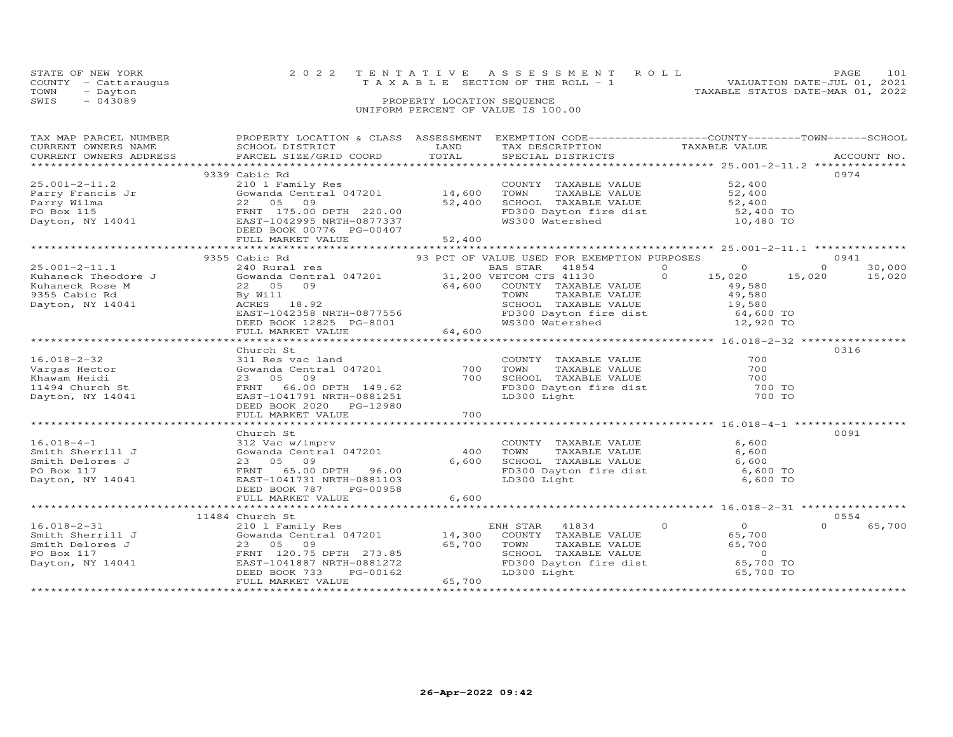| TOWN | STATE OF NEW YORK<br>COUNTY - Cattaraugus<br>- Dayton | 2022 TENTATIVE ASSESSMENT ROLL<br>VALUATION DATE-JUL 01, 2021<br>T A X A B L E SECTION OF THE ROLL - 1<br>TAXABLE STATUS DATE-MAR 01, 2022 | PAGE. | 101 |
|------|-------------------------------------------------------|--------------------------------------------------------------------------------------------------------------------------------------------|-------|-----|
| SWIS | $-043089$                                             | PROPERTY LOCATION SEQUENCE<br>UNIFORM PERCENT OF VALUE IS 100.00                                                                           |       |     |

| TAX MAP PARCEL NUMBER                                                                                                             | PROPERTY LOCATION & CLASS  ASSESSMENT  EXEMPTION CODE-----------------COUNTY-------TOWN------SCHOOL                                                                                                                                                    |     |  |                    |
|-----------------------------------------------------------------------------------------------------------------------------------|--------------------------------------------------------------------------------------------------------------------------------------------------------------------------------------------------------------------------------------------------------|-----|--|--------------------|
|                                                                                                                                   |                                                                                                                                                                                                                                                        |     |  |                    |
|                                                                                                                                   |                                                                                                                                                                                                                                                        |     |  |                    |
|                                                                                                                                   |                                                                                                                                                                                                                                                        |     |  |                    |
|                                                                                                                                   | 9339 Cabic Rd                                                                                                                                                                                                                                          |     |  | 0974               |
|                                                                                                                                   |                                                                                                                                                                                                                                                        |     |  |                    |
|                                                                                                                                   |                                                                                                                                                                                                                                                        |     |  |                    |
|                                                                                                                                   |                                                                                                                                                                                                                                                        |     |  |                    |
|                                                                                                                                   |                                                                                                                                                                                                                                                        |     |  |                    |
|                                                                                                                                   |                                                                                                                                                                                                                                                        |     |  |                    |
|                                                                                                                                   |                                                                                                                                                                                                                                                        |     |  |                    |
|                                                                                                                                   |                                                                                                                                                                                                                                                        |     |  |                    |
|                                                                                                                                   |                                                                                                                                                                                                                                                        |     |  |                    |
|                                                                                                                                   |                                                                                                                                                                                                                                                        |     |  |                    |
|                                                                                                                                   |                                                                                                                                                                                                                                                        |     |  |                    |
|                                                                                                                                   |                                                                                                                                                                                                                                                        |     |  | 30,000             |
| 25.001-2-11.1 240 Rura<br>Kuhaneck Theodore J Gowanda<br>Kuhaneck Rose M 22 05<br>9355 Cabic Rd By Will<br>Dayton, NY 14041 ACRES |                                                                                                                                                                                                                                                        |     |  |                    |
|                                                                                                                                   |                                                                                                                                                                                                                                                        |     |  | 15,020             |
|                                                                                                                                   |                                                                                                                                                                                                                                                        |     |  |                    |
|                                                                                                                                   |                                                                                                                                                                                                                                                        |     |  |                    |
|                                                                                                                                   |                                                                                                                                                                                                                                                        |     |  |                    |
|                                                                                                                                   |                                                                                                                                                                                                                                                        |     |  |                    |
|                                                                                                                                   |                                                                                                                                                                                                                                                        |     |  |                    |
|                                                                                                                                   |                                                                                                                                                                                                                                                        |     |  |                    |
|                                                                                                                                   |                                                                                                                                                                                                                                                        |     |  |                    |
|                                                                                                                                   |                                                                                                                                                                                                                                                        |     |  |                    |
|                                                                                                                                   | Church St                                                                                                                                                                                                                                              |     |  | 0316               |
|                                                                                                                                   |                                                                                                                                                                                                                                                        |     |  |                    |
|                                                                                                                                   | 16.018-2-32 CHUICH ST COUNTY TAXABLE VALUE 700<br>Vargas Hector (Gowanda Central 047201 700 TOWN TAXABLE VALUE 700<br>Khawam Heidi 23 05 09<br>11494 Church St FRNT 66.00 DPTH 149.62 FD300 Dayton fire dist 700 TO<br>Dayton, NY 1404                 |     |  |                    |
|                                                                                                                                   |                                                                                                                                                                                                                                                        |     |  |                    |
|                                                                                                                                   |                                                                                                                                                                                                                                                        |     |  |                    |
|                                                                                                                                   |                                                                                                                                                                                                                                                        |     |  |                    |
|                                                                                                                                   | DEED BOOK 2020 PG-12980                                                                                                                                                                                                                                |     |  |                    |
|                                                                                                                                   | FULL MARKET VALUE                                                                                                                                                                                                                                      | 700 |  |                    |
|                                                                                                                                   |                                                                                                                                                                                                                                                        |     |  |                    |
|                                                                                                                                   |                                                                                                                                                                                                                                                        |     |  |                    |
|                                                                                                                                   | Church St                                                                                                                                                                                                                                              |     |  | 0091               |
|                                                                                                                                   |                                                                                                                                                                                                                                                        |     |  |                    |
|                                                                                                                                   |                                                                                                                                                                                                                                                        |     |  |                    |
|                                                                                                                                   |                                                                                                                                                                                                                                                        |     |  |                    |
|                                                                                                                                   | 16.018-4-1<br>Smith Sherrill J<br>Smith Delores J<br>Smith Delores J<br>23 05 09<br>PO Box 117<br>Dayton, NY 14041<br>Dayton, NY 14041<br>COUNTY TAXABLE VALUE<br>COUNTY TAXABLE VALUE<br>COUNTY TAXABLE VALUE<br>COUNTY TAXABLE VALUE<br>COUNTY TAXAB |     |  |                    |
|                                                                                                                                   |                                                                                                                                                                                                                                                        |     |  |                    |
|                                                                                                                                   | DEED BOOK 787 PG-00958                                                                                                                                                                                                                                 |     |  |                    |
|                                                                                                                                   |                                                                                                                                                                                                                                                        |     |  |                    |
|                                                                                                                                   |                                                                                                                                                                                                                                                        |     |  |                    |
|                                                                                                                                   |                                                                                                                                                                                                                                                        |     |  |                    |
|                                                                                                                                   | 11484 Church St                                                                                                                                                                                                                                        |     |  | 0554               |
|                                                                                                                                   |                                                                                                                                                                                                                                                        |     |  | $\Omega$<br>65,700 |
|                                                                                                                                   |                                                                                                                                                                                                                                                        |     |  |                    |
|                                                                                                                                   |                                                                                                                                                                                                                                                        |     |  |                    |
|                                                                                                                                   |                                                                                                                                                                                                                                                        |     |  |                    |
|                                                                                                                                   |                                                                                                                                                                                                                                                        |     |  |                    |
|                                                                                                                                   |                                                                                                                                                                                                                                                        |     |  |                    |
|                                                                                                                                   |                                                                                                                                                                                                                                                        |     |  |                    |
|                                                                                                                                   |                                                                                                                                                                                                                                                        |     |  |                    |
|                                                                                                                                   |                                                                                                                                                                                                                                                        |     |  |                    |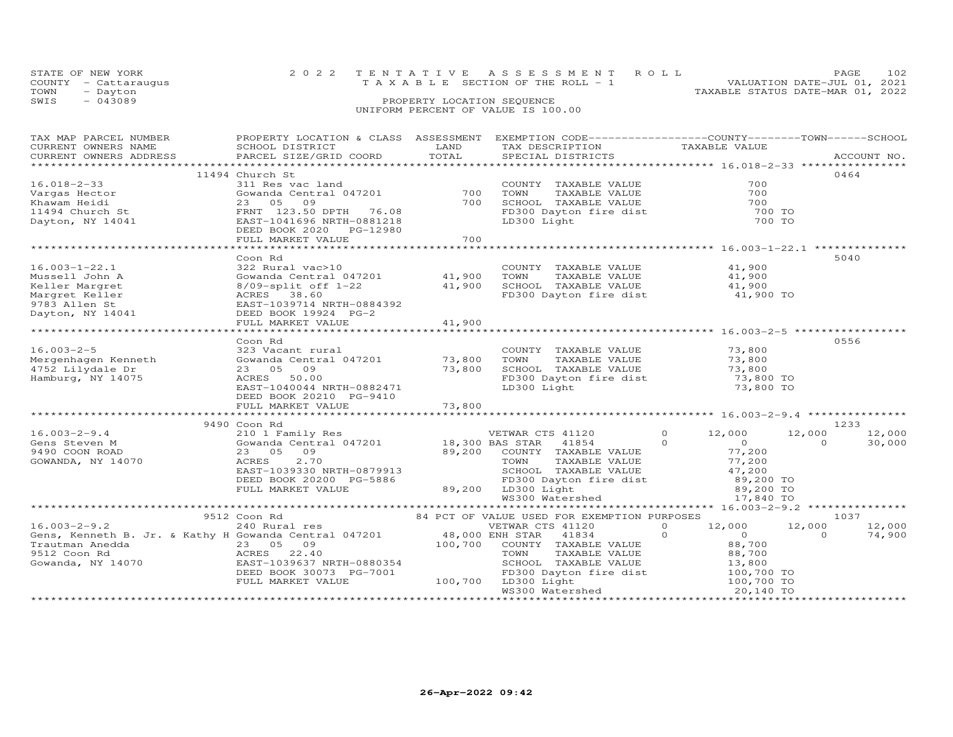| STATE OF NEW YORK    | 2022 TENTATIVE ASSESSMENT ROLL        | PAGE.                            | 102 |
|----------------------|---------------------------------------|----------------------------------|-----|
| COUNTY - Cattaraugus | T A X A B L E SECTION OF THE ROLL - 1 | VALUATION DATE-JUL 01, 2021      |     |
| TOWN<br>- Dayton     |                                       | TAXABLE STATUS DATE-MAR 01, 2022 |     |
| $-043089$<br>SWIS    | PROPERTY LOCATION SEOUENCE            |                                  |     |
|                      | UNIFORM PERCENT OF VALUE IS 100.00    |                                  |     |

| TAX MAP PARCEL NUMBER                                                                                                                                                                                                                | PROPERTY LOCATION & CLASS ASSESSMENT EXEMPTION CODE----------------COUNTY-------TOWN-----SCHOOL                                                                                                                                              |                                                                                                                        |                                                                                                                         |               |                                                                |          |             |
|--------------------------------------------------------------------------------------------------------------------------------------------------------------------------------------------------------------------------------------|----------------------------------------------------------------------------------------------------------------------------------------------------------------------------------------------------------------------------------------------|------------------------------------------------------------------------------------------------------------------------|-------------------------------------------------------------------------------------------------------------------------|---------------|----------------------------------------------------------------|----------|-------------|
| CURRENT OWNERS NAME                                                                                                                                                                                                                  | SCHOOL DISTRICT                                                                                                                                                                                                                              | <b>EXAMPLE SERVICE SERVICE SERVICE SERVICE SERVICE SERVICE SERVICE SERVICE SERVICE SERVICE SERVICE SERVICE SERVICE</b> | TAX DESCRIPTION                                                                                                         | TAXABLE VALUE |                                                                |          |             |
| CURRENT OWNERS ADDRESS PARCEL SIZE/GRID COORD TOTAL                                                                                                                                                                                  |                                                                                                                                                                                                                                              |                                                                                                                        | SPECIAL DISTRICTS                                                                                                       |               |                                                                |          | ACCOUNT NO. |
|                                                                                                                                                                                                                                      |                                                                                                                                                                                                                                              |                                                                                                                        |                                                                                                                         |               |                                                                |          |             |
|                                                                                                                                                                                                                                      | 11494 Church St                                                                                                                                                                                                                              |                                                                                                                        |                                                                                                                         |               |                                                                | 0464     |             |
| $16.018 - 2 - 33$                                                                                                                                                                                                                    | 311 Res vac land<br>Gowanda Central 047201 700<br>The Communication of the 1990                                                                                                                                                              |                                                                                                                        | COUNTY TAXABLE VALUE<br>TOWN TAXABLE VALUE 700<br>SCHOOL TAXABLE VALUE 700<br>FD300 Dayton fire dist 700 TO<br>700 TO   |               |                                                                |          |             |
|                                                                                                                                                                                                                                      |                                                                                                                                                                                                                                              |                                                                                                                        |                                                                                                                         |               |                                                                |          |             |
|                                                                                                                                                                                                                                      |                                                                                                                                                                                                                                              |                                                                                                                        |                                                                                                                         |               |                                                                |          |             |
| 16.018-2-33<br>Vargas Hector<br>Khawam Heidi (23 05 09<br>11494 Church St FRNT 123.50 DPTH 76.08<br>Dayton, NY 14041 EAST-1041696 NRTH-0881218<br>EAST-1041696 NRTH-0881218<br>DEED BOOK 2020 PG-12980<br>FIILL MARKET VALUE         |                                                                                                                                                                                                                                              |                                                                                                                        |                                                                                                                         |               |                                                                |          |             |
|                                                                                                                                                                                                                                      |                                                                                                                                                                                                                                              |                                                                                                                        |                                                                                                                         |               |                                                                |          |             |
|                                                                                                                                                                                                                                      |                                                                                                                                                                                                                                              |                                                                                                                        |                                                                                                                         |               |                                                                |          |             |
|                                                                                                                                                                                                                                      |                                                                                                                                                                                                                                              |                                                                                                                        |                                                                                                                         |               |                                                                |          |             |
|                                                                                                                                                                                                                                      | FULL MARKET VALUE                                                                                                                                                                                                                            | 700                                                                                                                    |                                                                                                                         |               |                                                                |          |             |
|                                                                                                                                                                                                                                      |                                                                                                                                                                                                                                              |                                                                                                                        |                                                                                                                         |               |                                                                |          |             |
|                                                                                                                                                                                                                                      | Coon Rd                                                                                                                                                                                                                                      |                                                                                                                        |                                                                                                                         |               |                                                                | 5040     |             |
| $16.003 - 1 - 22.1$                                                                                                                                                                                                                  |                                                                                                                                                                                                                                              |                                                                                                                        |                                                                                                                         |               |                                                                |          |             |
|                                                                                                                                                                                                                                      |                                                                                                                                                                                                                                              |                                                                                                                        |                                                                                                                         |               |                                                                |          |             |
|                                                                                                                                                                                                                                      |                                                                                                                                                                                                                                              |                                                                                                                        |                                                                                                                         |               |                                                                |          |             |
|                                                                                                                                                                                                                                      | 322 Rural vac>10<br>Gowanda Central 047201<br>8/09-split off 1-22<br>ACRES 38.60<br>ACRES 38.60<br>ACRES 38.60<br>ACRES 38.60<br>ACRES 38.60<br>ACRES 38.60<br>ACRES 38.60<br>ACRES 38.60<br>ACRES 38.60<br>ACRES 38.60<br>ACRES 38.60<br>AC |                                                                                                                        |                                                                                                                         |               |                                                                |          |             |
|                                                                                                                                                                                                                                      | EAST-1039714 NRTH-0884392                                                                                                                                                                                                                    |                                                                                                                        |                                                                                                                         |               |                                                                |          |             |
|                                                                                                                                                                                                                                      | DEED BOOK 19924 PG-2                                                                                                                                                                                                                         |                                                                                                                        |                                                                                                                         |               |                                                                |          |             |
| 10.003-1-22.1<br>Mussell John A<br>Keller Margret<br>Margret Keller<br>9783 Allen St<br>Dayton, NY 14041                                                                                                                             | FULL MARKET VALUE                                                                                                                                                                                                                            | 41,900                                                                                                                 |                                                                                                                         |               |                                                                |          |             |
|                                                                                                                                                                                                                                      |                                                                                                                                                                                                                                              |                                                                                                                        |                                                                                                                         |               |                                                                |          |             |
|                                                                                                                                                                                                                                      |                                                                                                                                                                                                                                              |                                                                                                                        |                                                                                                                         |               |                                                                | 0556     |             |
|                                                                                                                                                                                                                                      | Coon Rd                                                                                                                                                                                                                                      |                                                                                                                        |                                                                                                                         |               |                                                                |          |             |
|                                                                                                                                                                                                                                      |                                                                                                                                                                                                                                              |                                                                                                                        |                                                                                                                         |               |                                                                |          |             |
|                                                                                                                                                                                                                                      |                                                                                                                                                                                                                                              |                                                                                                                        |                                                                                                                         |               |                                                                |          |             |
| 16.003-2-5<br>Mergenhagen Kenneth (Gowanda Central 047201 73,800 TOWN TAXABLE VALUE 73,800<br>4752 Lilydale Dr 23 05 09 73,800 SCHOOL TAXABLE VALUE 73,800<br>Hamburg, NY 14075 ACRES 50.00 EAST-1040044 NRTH-0882471 LD300 Light (L |                                                                                                                                                                                                                                              |                                                                                                                        |                                                                                                                         |               |                                                                |          |             |
|                                                                                                                                                                                                                                      |                                                                                                                                                                                                                                              |                                                                                                                        |                                                                                                                         |               |                                                                |          |             |
|                                                                                                                                                                                                                                      |                                                                                                                                                                                                                                              |                                                                                                                        |                                                                                                                         |               |                                                                |          |             |
|                                                                                                                                                                                                                                      | DEED BOOK 20210 PG-9410                                                                                                                                                                                                                      |                                                                                                                        |                                                                                                                         |               |                                                                |          |             |
|                                                                                                                                                                                                                                      | FULL MARKET VALUE                                                                                                                                                                                                                            | 73,800                                                                                                                 |                                                                                                                         |               |                                                                |          |             |
|                                                                                                                                                                                                                                      |                                                                                                                                                                                                                                              |                                                                                                                        |                                                                                                                         |               |                                                                |          |             |
|                                                                                                                                                                                                                                      | 9490 Coon Rd                                                                                                                                                                                                                                 |                                                                                                                        |                                                                                                                         |               |                                                                | 1233     |             |
| $16.003 - 2 - 9.4$                                                                                                                                                                                                                   |                                                                                                                                                                                                                                              |                                                                                                                        |                                                                                                                         |               | 12,000                                                         | 12,000   | 12,000      |
| Gens Steven M                                                                                                                                                                                                                        |                                                                                                                                                                                                                                              |                                                                                                                        |                                                                                                                         |               |                                                                | $\Omega$ | 30,000      |
| 9490 COON ROAD                                                                                                                                                                                                                       |                                                                                                                                                                                                                                              |                                                                                                                        |                                                                                                                         |               |                                                                |          |             |
| GOWANDA, NY 14070                                                                                                                                                                                                                    |                                                                                                                                                                                                                                              |                                                                                                                        |                                                                                                                         |               |                                                                |          |             |
|                                                                                                                                                                                                                                      |                                                                                                                                                                                                                                              |                                                                                                                        |                                                                                                                         |               |                                                                |          |             |
|                                                                                                                                                                                                                                      |                                                                                                                                                                                                                                              |                                                                                                                        |                                                                                                                         |               |                                                                |          |             |
|                                                                                                                                                                                                                                      |                                                                                                                                                                                                                                              |                                                                                                                        |                                                                                                                         |               |                                                                |          |             |
|                                                                                                                                                                                                                                      |                                                                                                                                                                                                                                              |                                                                                                                        |                                                                                                                         |               |                                                                |          |             |
|                                                                                                                                                                                                                                      | 23 05 09 89,200 EASTAR 41854 0<br>ACRES 2.70 18,300 BAS STAR 41854 0<br>EAST-1039330 NRTH-0879913 SCHOOL TAXABLE VALUE 77,200<br>DEED BOOK 20200 PG-5886 89,200 LD300 Light 89,200<br>FULL MARKET VALUE 89,200 LD300 Light 89,200<br>***     |                                                                                                                        | SCHOOL TAXABLE VALUE $47,200$<br>FD300 Dayton fire dist 89,200 TO<br>LD300 Light 89,200 TO<br>WS300 Watershed 17,840 TO |               |                                                                |          |             |
|                                                                                                                                                                                                                                      |                                                                                                                                                                                                                                              |                                                                                                                        |                                                                                                                         |               |                                                                |          |             |
|                                                                                                                                                                                                                                      |                                                                                                                                                                                                                                              |                                                                                                                        |                                                                                                                         |               |                                                                | 1037     |             |
|                                                                                                                                                                                                                                      |                                                                                                                                                                                                                                              |                                                                                                                        |                                                                                                                         |               |                                                                | 12,000   | 12,000      |
|                                                                                                                                                                                                                                      |                                                                                                                                                                                                                                              |                                                                                                                        |                                                                                                                         |               |                                                                |          | 74,900      |
|                                                                                                                                                                                                                                      |                                                                                                                                                                                                                                              |                                                                                                                        |                                                                                                                         |               | $\begin{array}{ccc} & & 0 & & 0 \\ & & 88,700 & & \end{array}$ |          |             |
|                                                                                                                                                                                                                                      |                                                                                                                                                                                                                                              |                                                                                                                        |                                                                                                                         |               |                                                                |          |             |
|                                                                                                                                                                                                                                      |                                                                                                                                                                                                                                              |                                                                                                                        |                                                                                                                         |               |                                                                |          |             |
|                                                                                                                                                                                                                                      |                                                                                                                                                                                                                                              |                                                                                                                        |                                                                                                                         |               |                                                                |          |             |
|                                                                                                                                                                                                                                      |                                                                                                                                                                                                                                              |                                                                                                                        |                                                                                                                         |               |                                                                |          |             |
|                                                                                                                                                                                                                                      |                                                                                                                                                                                                                                              |                                                                                                                        |                                                                                                                         |               |                                                                |          |             |
|                                                                                                                                                                                                                                      |                                                                                                                                                                                                                                              |                                                                                                                        |                                                                                                                         |               |                                                                |          |             |
|                                                                                                                                                                                                                                      |                                                                                                                                                                                                                                              |                                                                                                                        |                                                                                                                         |               |                                                                |          |             |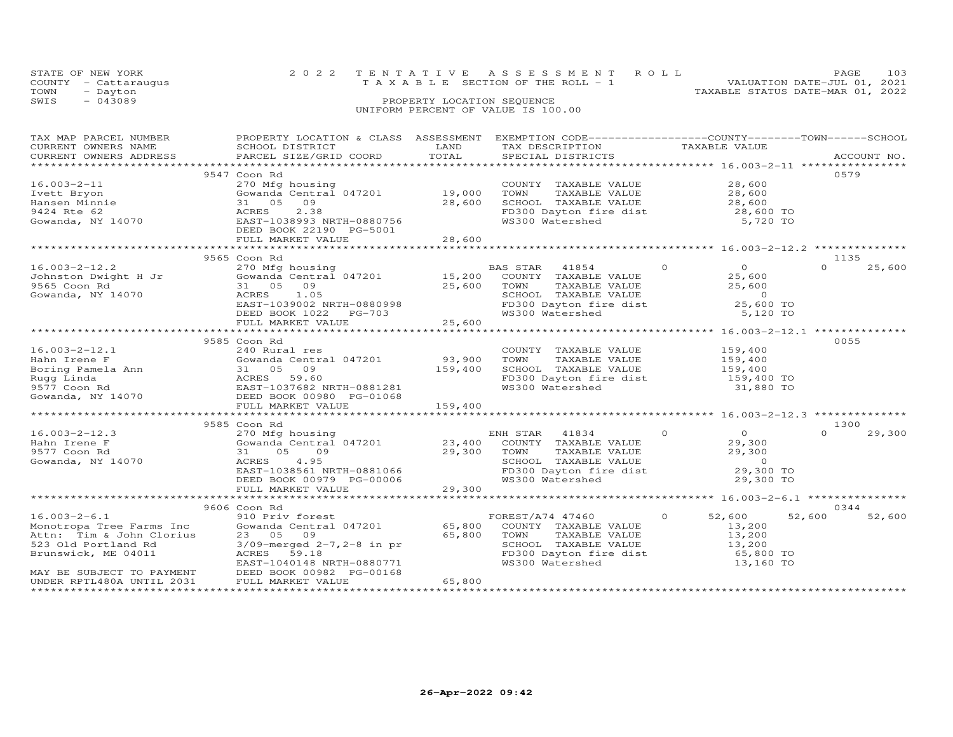|      | STATE OF NEW YORK    | 2022 TENTATIVE ASSESSMENT ROLL        |                            |  |                                  | PAGE                        | 103 |
|------|----------------------|---------------------------------------|----------------------------|--|----------------------------------|-----------------------------|-----|
|      | COUNTY - Cattaraugus | T A X A B L E SECTION OF THE ROLL - 1 |                            |  |                                  | VALUATION DATE-JUL 01, 2021 |     |
| TOWN | - Dayton             |                                       |                            |  | TAXABLE STATUS DATE-MAR 01, 2022 |                             |     |
| SWIS | $-043089$            |                                       | PROPERTY LOCATION SEQUENCE |  |                                  |                             |     |
|      |                      | UNIFORM PERCENT OF VALUE IS 100.00    |                            |  |                                  |                             |     |

| TAX MAP PARCEL NUMBER                             | PROPERTY LOCATION & CLASS ASSESSMENT EXEMPTION CODE----------------COUNTY-------TOWN-----SCHOOL                                                                                                                                          |                      |                                                                                                                                                                                                      |                                                      |                    |
|---------------------------------------------------|------------------------------------------------------------------------------------------------------------------------------------------------------------------------------------------------------------------------------------------|----------------------|------------------------------------------------------------------------------------------------------------------------------------------------------------------------------------------------------|------------------------------------------------------|--------------------|
| CURRENT OWNERS NAME                               | SCHOOL DISTRICT                                                                                                                                                                                                                          | LAND                 | TAX DESCRIPTION                                                                                                                                                                                      | TAXABLE VALUE                                        |                    |
| CURRENT OWNERS ADDRESS                            | PARCEL SIZE/GRID COORD                                                                                                                                                                                                                   | TOTAL                | SPECIAL DISTRICTS                                                                                                                                                                                    |                                                      | ACCOUNT NO.        |
|                                                   |                                                                                                                                                                                                                                          |                      |                                                                                                                                                                                                      |                                                      |                    |
|                                                   | 9547 Coon Rd                                                                                                                                                                                                                             |                      |                                                                                                                                                                                                      |                                                      | 0579               |
| $16.003 - 2 - 11$                                 | 270 Mfg housing                                                                                                                                                                                                                          |                      | COUNTY TAXABLE VALUE                                                                                                                                                                                 | 28,600                                               |                    |
|                                                   | Gowanda Central 047201 19,000                                                                                                                                                                                                            |                      | TOWN                                                                                                                                                                                                 |                                                      |                    |
| Ivett Bryon                                       |                                                                                                                                                                                                                                          |                      |                                                                                                                                                                                                      |                                                      |                    |
| Hansen Minnie                                     | 31 05 09                                                                                                                                                                                                                                 | 28,600               | SCHOOL TAXABLE VALUE                                                                                                                                                                                 |                                                      |                    |
| Hansen Minnie<br>9424 Rte 62<br>Gowanda, NY 14070 | 31 US J.<br>ACRES 2.38<br>EAST-1038993 NRTH-0880756<br>TIER BOOK 22190 PG-5001                                                                                                                                                           |                      | FD300 Dayton fire dist 28,600 TO                                                                                                                                                                     |                                                      |                    |
|                                                   |                                                                                                                                                                                                                                          |                      | WS300 Watershed                                                                                                                                                                                      | 5,720 TO                                             |                    |
|                                                   |                                                                                                                                                                                                                                          |                      |                                                                                                                                                                                                      |                                                      |                    |
|                                                   | FULL MARKET VALUE                                                                                                                                                                                                                        | 28,600               |                                                                                                                                                                                                      |                                                      |                    |
|                                                   |                                                                                                                                                                                                                                          |                      | ************************************ 16.003-2-12.2 **********                                                                                                                                        |                                                      |                    |
|                                                   | 9565 Coon Rd                                                                                                                                                                                                                             |                      |                                                                                                                                                                                                      |                                                      | 1135               |
| $16.003 - 2 - 12.2$                               | 270 Mfg housing                                                                                                                                                                                                                          |                      | $\sim$ 000 $\sim$ 000 $\sim$ 000 $\sim$ 000 $\sim$ 000 $\sim$<br>BAS STAR 41854                                                                                                                      |                                                      | $\Omega$<br>25,600 |
|                                                   | 16.003-2-12.2<br>Johnston Dwight H Jr (Gowanda Central 047201)<br>9565 Coon Rd (31 05 09)<br>Gowanda. NY 14070 (ACRES 1.05)                                                                                                              | 15,200               | COUNTY TAXABLE VALUE                                                                                                                                                                                 | $\begin{array}{c}0\\25.600\end{array}$<br>25,600     |                    |
|                                                   |                                                                                                                                                                                                                                          |                      |                                                                                                                                                                                                      |                                                      |                    |
|                                                   |                                                                                                                                                                                                                                          | 25,600               | TOWN<br>TAXABLE VALUE                                                                                                                                                                                | 25,600                                               |                    |
|                                                   |                                                                                                                                                                                                                                          |                      | SCHOOL TAXABLE VALUE 0<br>FD300 Dayton fire dist 25,600 TO                                                                                                                                           |                                                      |                    |
|                                                   | EAST-1039002 NRTH-0880998                                                                                                                                                                                                                |                      |                                                                                                                                                                                                      |                                                      |                    |
|                                                   | DEED BOOK 1022<br>PG-703                                                                                                                                                                                                                 |                      | WS300 Watershed                                                                                                                                                                                      | 5,120 TO                                             |                    |
|                                                   | FULL MARKET VALUE                                                                                                                                                                                                                        | 25,600               |                                                                                                                                                                                                      |                                                      |                    |
|                                                   |                                                                                                                                                                                                                                          |                      | ************************************ 16.003-2-12.1 **************                                                                                                                                    |                                                      |                    |
|                                                   | 9585 Coon Rd                                                                                                                                                                                                                             |                      |                                                                                                                                                                                                      |                                                      | 0055               |
| $16.003 - 2 - 12.1$                               | 240 Rural res                                                                                                                                                                                                                            |                      | COUNTY TAXABLE VALUE                                                                                                                                                                                 | 159,400                                              |                    |
|                                                   |                                                                                                                                                                                                                                          |                      |                                                                                                                                                                                                      |                                                      |                    |
|                                                   |                                                                                                                                                                                                                                          | 93,900               | TOWN<br>TAXABLE VALUE                                                                                                                                                                                | 159,400<br>159,400                                   |                    |
|                                                   | Fahn Irene F<br>Boring Pamela Ann (Gowanda Central 047201)<br>Rugg Linda (Somanda Ann (Super 1037682 NRTH-0881281)<br>Somanda, NY 14070 (DEED BOOK 00980 PG-01068)<br>EAST-1037682 NRTH-0881281<br>Cowanda, NY 14070 (DEED BOOK 00980 PG | 159,400              | SCHOOL TAXABLE VALUE                                                                                                                                                                                 |                                                      |                    |
|                                                   |                                                                                                                                                                                                                                          |                      | FD300 Dayton fire dist 159,400 TO                                                                                                                                                                    |                                                      |                    |
|                                                   |                                                                                                                                                                                                                                          |                      | WS300 Watershed                                                                                                                                                                                      | 31,880 TO                                            |                    |
|                                                   |                                                                                                                                                                                                                                          |                      |                                                                                                                                                                                                      |                                                      |                    |
|                                                   | FULL MARKET VALUE                                                                                                                                                                                                                        | 159,400              |                                                                                                                                                                                                      |                                                      |                    |
|                                                   | ***************************                                                                                                                                                                                                              | ***********          |                                                                                                                                                                                                      | *********************** 16.003-2-12.3 ************** |                    |
|                                                   | 9585 Coon Rd                                                                                                                                                                                                                             |                      |                                                                                                                                                                                                      |                                                      | 1300               |
| $16.003 - 2 - 12.3$                               |                                                                                                                                                                                                                                          |                      | ENH STAR 41834 0                                                                                                                                                                                     |                                                      | $\Omega$<br>29,300 |
|                                                   | 270 Mfg housing bunder EN<br>Gowanda Central 047201 23,400                                                                                                                                                                               |                      |                                                                                                                                                                                                      | $0$<br>29,300                                        |                    |
| Hahn Irene F                                      |                                                                                                                                                                                                                                          |                      | COUNTY TAXABLE VALUE                                                                                                                                                                                 |                                                      |                    |
| 9577 Coon Rd                                      | 31<br>05 09                                                                                                                                                                                                                              | $\frac{1}{29}$ , 300 |                                                                                                                                                                                                      |                                                      |                    |
| Gowanda, NY 14070                                 | ACKES 4.95<br>EAST-1038561 NRTH-0881066<br>DEED BOOK 00979 PG-00006<br>FUII MARKEE ::---                                                                                                                                                 |                      | TOWN TAXABLE VALUE $\begin{array}{ccc} 29,300 \\ 29,300 \\ \text{SCHOOL} & \text{TAXABLE VALUE} \\ \text{F1300 Dyton filter dist} & 29,300 \\ \text{W300 Dyton filter dist} & 29,300 \\ \end{array}$ |                                                      |                    |
|                                                   |                                                                                                                                                                                                                                          |                      |                                                                                                                                                                                                      |                                                      |                    |
|                                                   |                                                                                                                                                                                                                                          |                      | WS300 Watershed                                                                                                                                                                                      | 29,300 TO                                            |                    |
|                                                   | FULL MARKET VALUE                                                                                                                                                                                                                        | 29,300               |                                                                                                                                                                                                      |                                                      |                    |
|                                                   |                                                                                                                                                                                                                                          |                      |                                                                                                                                                                                                      |                                                      |                    |
|                                                   | 9606 Coon Rd                                                                                                                                                                                                                             |                      |                                                                                                                                                                                                      |                                                      | 0344               |
| $16.003 - 2 - 6.1$                                | 910 Priv forest                                                                                                                                                                                                                          |                      | FOREST/A74 47460                                                                                                                                                                                     | $\Omega$<br>52,600                                   | 52,600<br>52,600   |
|                                                   |                                                                                                                                                                                                                                          | 65,800               |                                                                                                                                                                                                      |                                                      |                    |
| Monotropa Tree Farms Inc                          | Gowanda Central 047201                                                                                                                                                                                                                   |                      | COUNTY TAXABLE VALUE                                                                                                                                                                                 | 13,200                                               |                    |
| Attn: Tim & John Clorius                          | 23 05 09                                                                                                                                                                                                                                 | 65,800               | TOWN<br>TAXABLE VALUE                                                                                                                                                                                | 13,200                                               |                    |
| 523 Old Portland Rd                               | $3/09$ -merged $2-7$ , $2-8$ in pr                                                                                                                                                                                                       |                      | TOWN InANDER WELL<br>SCHOOL TAXABLE VALUE<br>FD300 Dayton fire dist<br>WS300 Watershed                                                                                                               | 13,200<br>65,800 TO                                  |                    |
| Brunswick, ME 04011                               | ACRES 59.18                                                                                                                                                                                                                              |                      |                                                                                                                                                                                                      |                                                      |                    |
|                                                   | EAST-1040148 NRTH-0880771                                                                                                                                                                                                                |                      |                                                                                                                                                                                                      | 13,160 TO                                            |                    |
| MAY BE SUBJECT TO PAYMENT                         | DEED BOOK 00982 PG-00168                                                                                                                                                                                                                 |                      |                                                                                                                                                                                                      |                                                      |                    |
| UNDER RPTL480A UNTIL 2031                         | FULL MARKET VALUE                                                                                                                                                                                                                        | 65,800               |                                                                                                                                                                                                      |                                                      |                    |
|                                                   |                                                                                                                                                                                                                                          |                      |                                                                                                                                                                                                      |                                                      |                    |
|                                                   |                                                                                                                                                                                                                                          |                      |                                                                                                                                                                                                      |                                                      |                    |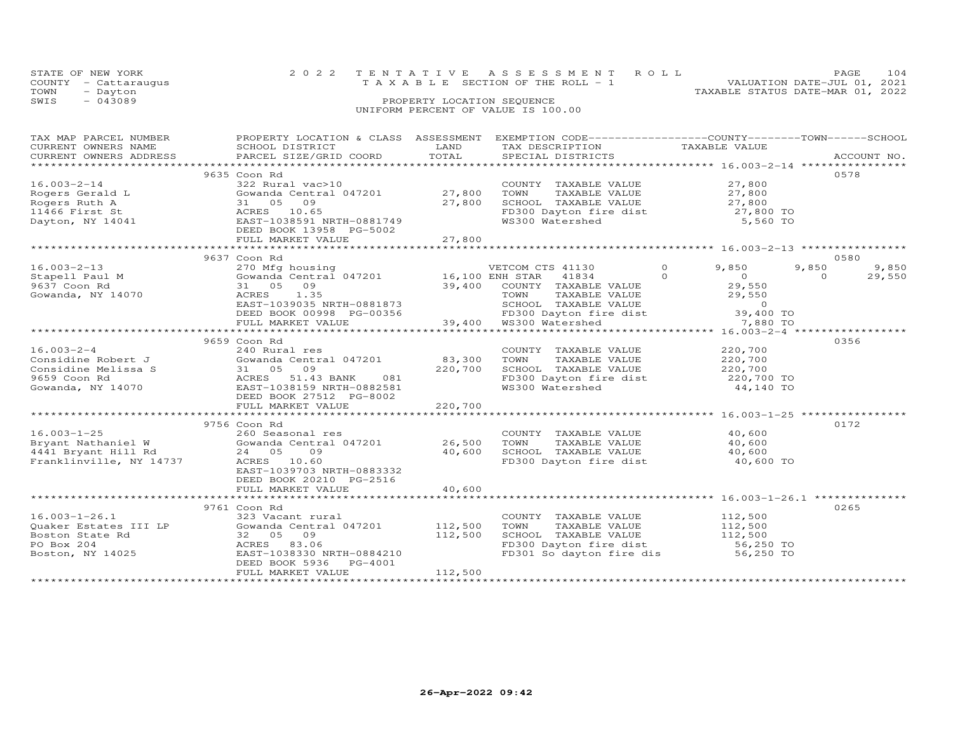|      | STATE OF NEW YORK<br>COUNTY - Cattaraugus | 2022 TENTATIVE ASSESSMENT ROLL<br>T A X A B L E SECTION OF THE ROLL - 1 |                            |  | VALUATION DATE-JUL 01, 2021      | <b>PAGE</b> | 104 |
|------|-------------------------------------------|-------------------------------------------------------------------------|----------------------------|--|----------------------------------|-------------|-----|
| TOWN | - Dayton                                  |                                                                         |                            |  | TAXABLE STATUS DATE-MAR 01, 2022 |             |     |
| SWIS | $-043089$                                 |                                                                         | PROPERTY LOCATION SEQUENCE |  |                                  |             |     |
|      |                                           | UNIFORM PERCENT OF VALUE IS 100.00                                      |                            |  |                                  |             |     |

| TAX MAP PARCEL NUMBER          | PROPERTY LOCATION & CLASS ASSESSMENT                                                                                                                                                                                                     |         | EXEMPTION CODE-----------------COUNTY-------TOWN------SCHOOL                         |                                              |                    |
|--------------------------------|------------------------------------------------------------------------------------------------------------------------------------------------------------------------------------------------------------------------------------------|---------|--------------------------------------------------------------------------------------|----------------------------------------------|--------------------|
| CURRENT OWNERS NAME            | SCHOOL DISTRICT                                                                                                                                                                                                                          | LAND    | TAX DESCRIPTION                                                                      | TAXABLE VALUE                                |                    |
| CURRENT OWNERS ADDRESS         | PARCEL SIZE/GRID COORD                                                                                                                                                                                                                   | TOTAL   | SPECIAL DISTRICTS                                                                    |                                              | ACCOUNT NO.        |
|                                |                                                                                                                                                                                                                                          |         |                                                                                      |                                              |                    |
|                                | 9635 Coon Rd                                                                                                                                                                                                                             |         |                                                                                      |                                              | 0578               |
| $16.003 - 2 - 14$              | 322 Rural vac>10                                                                                                                                                                                                                         |         | COUNTY TAXABLE VALUE $27,800$<br>TOWN TAXABLE VALUE $27,800$                         |                                              |                    |
|                                |                                                                                                                                                                                                                                          |         |                                                                                      |                                              |                    |
|                                | 27,800                                                                                                                                                                                                                                   |         |                                                                                      |                                              |                    |
|                                | 16.003-2-14<br>Rogers Gerald L Gowanda Central 047201<br>Rogers Ruth A 31 05 09<br>11466 First St ACRES 10.65<br>Dayton, NY 14041 EAST-1038591 NRTH-0881749                                                                              |         | SCHOOL TAXABLE VALUE<br>FD300 Dayton fire dist 27,800 TO<br>WS300 Watershed 5,560 TO |                                              |                    |
|                                |                                                                                                                                                                                                                                          |         |                                                                                      |                                              |                    |
|                                | DEED BOOK 13958 PG-5002                                                                                                                                                                                                                  |         |                                                                                      |                                              |                    |
|                                |                                                                                                                                                                                                                                          |         |                                                                                      |                                              |                    |
|                                |                                                                                                                                                                                                                                          |         |                                                                                      |                                              |                    |
|                                | 9637 Coon Rd                                                                                                                                                                                                                             |         |                                                                                      |                                              | 0580               |
| $16.003 - 2 - 13$              |                                                                                                                                                                                                                                          |         |                                                                                      | $\Omega$<br>9,850                            | 9,850<br>9,850     |
| 16.003-2-13<br>Stapell Paul M  | 270 Mfg housing<br>Gowanda Central 047201 16,100 ENH STAR 41834                                                                                                                                                                          |         |                                                                                      | $\Omega$<br>$\overline{0}$                   | $\Omega$<br>29,550 |
| 9637 Coon Rd                   | 39,400 COUNTY TAXABLE VALUE 29,550<br>ACRES 1.35 TOWN TAXABLE VALUE 29,550<br>EAST-1039035 NRTH-0881873 SCHOOL TAXABLE VALUE 29,550<br>DEED BOOK 00998 PG-00356 FD300 Dayton fire dist 39,400 TO<br>TOWN TAXABLE VALUE 29,550<br>FUSIO D |         |                                                                                      |                                              |                    |
|                                |                                                                                                                                                                                                                                          |         |                                                                                      |                                              |                    |
| Gowanda, NY 14070              |                                                                                                                                                                                                                                          |         |                                                                                      |                                              |                    |
|                                |                                                                                                                                                                                                                                          |         |                                                                                      |                                              |                    |
|                                |                                                                                                                                                                                                                                          |         |                                                                                      |                                              |                    |
|                                |                                                                                                                                                                                                                                          |         |                                                                                      |                                              |                    |
|                                |                                                                                                                                                                                                                                          |         |                                                                                      |                                              |                    |
|                                | 9659 Coon Rd                                                                                                                                                                                                                             |         |                                                                                      |                                              | 0356               |
| $16.003 - 2 - 4$               | 240 Rural res                                                                                                                                                                                                                            |         | COUNTY TAXABLE VALUE 220,700                                                         |                                              |                    |
| Considine Robert J             | Gowanda Central 047201 83,300                                                                                                                                                                                                            |         | TOWN                                                                                 | TAXABLE VALUE 220,700                        |                    |
| Considine Melissa S            |                                                                                                                                                                                                                                          | 220,700 |                                                                                      |                                              |                    |
| 9659 Coon Rd                   |                                                                                                                                                                                                                                          |         | SCHOOL TAXABLE VALUE 220,700<br>FD300 Dayton fire dist 220,700 TO                    |                                              |                    |
| Gowanda, NY 14070              | 31 05 09<br>ACRES 51.43 BANK 081<br>EAST-1038159 NRTH-0882581<br>DEED BOOK 27512 PG-8002                                                                                                                                                 |         | WS300 Watershed                                                                      | 44,140 TO                                    |                    |
|                                | DEED BOOK 27512 PG-8002                                                                                                                                                                                                                  |         |                                                                                      |                                              |                    |
|                                |                                                                                                                                                                                                                                          |         |                                                                                      |                                              |                    |
|                                |                                                                                                                                                                                                                                          |         |                                                                                      |                                              |                    |
|                                | 9756 Coon Rd                                                                                                                                                                                                                             |         |                                                                                      |                                              | 0172               |
| $16.003 - 1 - 25$              | 260 Seasonal res                                                                                                                                                                                                                         |         | COUNTY TAXABLE VALUE 40,600                                                          |                                              |                    |
|                                |                                                                                                                                                                                                                                          |         | TOWN                                                                                 |                                              |                    |
|                                |                                                                                                                                                                                                                                          |         |                                                                                      | TAXABLE VALUE 40,600<br>TAXABLE VALUE 40,600 |                    |
|                                |                                                                                                                                                                                                                                          |         | SCHOOL TAXABLE VALUE                                                                 |                                              |                    |
| Franklinville, NY 14737        | ACRES 10.60                                                                                                                                                                                                                              |         | FD300 Dayton fire dist 40,600 TO                                                     |                                              |                    |
|                                | EAST-1039703 NRTH-0883332                                                                                                                                                                                                                |         |                                                                                      |                                              |                    |
|                                | DEED BOOK 20210 PG-2516                                                                                                                                                                                                                  |         |                                                                                      |                                              |                    |
|                                | FULL MARKET VALUE                                                                                                                                                                                                                        | 40,600  |                                                                                      |                                              |                    |
|                                |                                                                                                                                                                                                                                          |         |                                                                                      |                                              |                    |
|                                | 9761 Coon Rd                                                                                                                                                                                                                             |         |                                                                                      |                                              | 0265               |
| $16.003 - 1 - 26.1$            | 323 Vacant rural                                                                                                                                                                                                                         |         | COUNTY TAXABLE VALUE 112,500                                                         |                                              |                    |
|                                | Gowanda Central 047201                                                                                                                                                                                                                   | 112,500 | TOWN<br>TAXABLE VALUE                                                                |                                              |                    |
|                                |                                                                                                                                                                                                                                          | 112,500 | SCHOOL TAXABLE VALUE                                                                 | 112,500<br>112,500                           |                    |
|                                | ACRES 83.06                                                                                                                                                                                                                              |         | FD300 Dayton fire dist 56,250 TO<br>FD301 So dayton fire dis 56,250 TO               |                                              |                    |
| PO Box 204<br>Boston, NY 14025 | EAST-1038330 NRTH-0884210                                                                                                                                                                                                                |         |                                                                                      |                                              |                    |
|                                | DEED BOOK 5936 PG-4001                                                                                                                                                                                                                   |         |                                                                                      |                                              |                    |
|                                | FULL MARKET VALUE                                                                                                                                                                                                                        | 112,500 |                                                                                      |                                              |                    |
|                                |                                                                                                                                                                                                                                          |         |                                                                                      |                                              |                    |
|                                |                                                                                                                                                                                                                                          |         |                                                                                      |                                              |                    |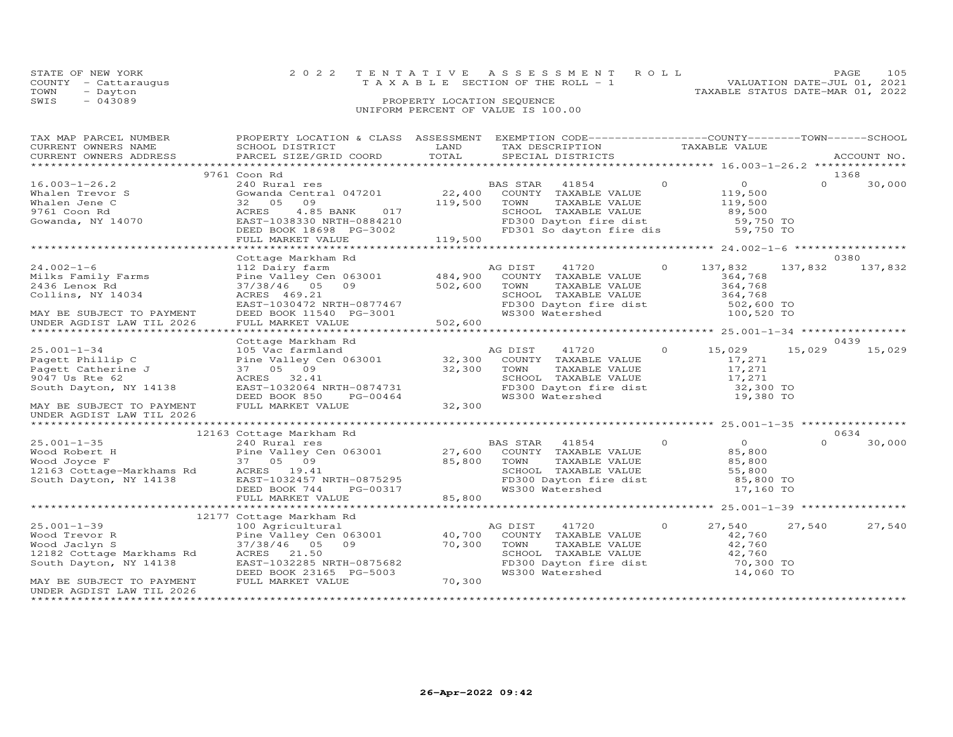| STATE OF NEW YORK    | 2022 TENTATIVE ASSESSMENT ROLL        | 105<br>PAGE                      |
|----------------------|---------------------------------------|----------------------------------|
| COUNTY - Cattaraugus | T A X A B L E SECTION OF THE ROLL - 1 | VALUATION DATE-JUL 01, 2021      |
| TOWN<br>- Dayton     |                                       | TAXABLE STATUS DATE-MAR 01, 2022 |
| SWIS<br>$-043089$    | PROPERTY LOCATION SEQUENCE            |                                  |
|                      | UNIFORM PERCENT OF VALUE IS 100.00    |                                  |

| TAX MAP PARCEL NUMBER<br>CURRENT OWNERS NAME<br>CURRENT OWNERS ADDRESS                                                                  | PROPERTY LOCATION & CLASS ASSESSMENT<br>SCHOOL DISTRICT<br>PARCEL SIZE/GRID COORD                                                                                                                 | LAND<br>TOTAL                                                 | EXEMPTION CODE-----------------COUNTY-------TOWN-----SCHOOL<br>TAX DESCRIPTION TAXABLE VALUE<br>SPECIAL DISTRICTS                                                    |                |                                                                          |          | ACCOUNT NO.             |
|-----------------------------------------------------------------------------------------------------------------------------------------|---------------------------------------------------------------------------------------------------------------------------------------------------------------------------------------------------|---------------------------------------------------------------|----------------------------------------------------------------------------------------------------------------------------------------------------------------------|----------------|--------------------------------------------------------------------------|----------|-------------------------|
|                                                                                                                                         |                                                                                                                                                                                                   |                                                               |                                                                                                                                                                      |                |                                                                          |          |                         |
| $16.003 - 1 - 26.2$<br>Whalen Trevor S<br>Whalen Jene C<br>9761 Coon Rd<br>Gowanda, NY 14070                                            | 9761 Coon Rd<br>240 Rural res<br>Gowanda Central 047201<br>09<br>32 05<br>4.85 BANK 017<br>ACRES<br>EAST-1038330 NRTH-0884210<br>DEED BOOK 18698 PG-3002<br>FULL MARKET VALUE                     | 22,400<br>119,500<br>119,500                                  | BAS STAR 41854<br>COUNTY TAXABLE VALUE<br>TAXABLE VALUE<br>TOWN<br>SCHOOL TAXABLE VALUE<br>FD300 Dayton fire dist<br>FD301 So dayton fire dis                        | $\overline{0}$ | $\overline{0}$<br>119,500<br>119,500<br>89,500<br>59,750 TO<br>59,750 TO | $\Omega$ | 1368<br>30,000          |
|                                                                                                                                         |                                                                                                                                                                                                   |                                                               |                                                                                                                                                                      |                |                                                                          |          |                         |
| $24.002 - 1 - 6$<br>Milks Family Farms<br>2436 Lenox Rd<br>Collins, NY 14034<br>MAY BE SUBJECT TO PAYMENT<br>UNDER AGDIST LAW TIL 2026  | Cottage Markham Rd<br>112 Dairy farm<br>Pine Valley Cen 063001 484,900<br>37/38/46 05 09<br>ACRES 469.21<br>EAST-1030472 NRTH-0877467<br>DEED BOOK 11540 PG-3001<br>FULL MARKET VALUE             | 502,600<br>$\begin{array}{c} 7167 \\ 001 \end{array}$ 502,600 | AG DIST<br>41720<br>COUNTY TAXABLE VALUE<br>TOWN<br>TAXABLE VALUE<br>SCHOOL TAXABLE VALUE 364,768<br>FD300 Dayton fire dist 502,600 TO<br>WS300 Watershed 100,520 TO | $\Omega$       | 137,832<br>364,768<br>364,768                                            |          | 0380<br>137,832 137,832 |
|                                                                                                                                         |                                                                                                                                                                                                   |                                                               |                                                                                                                                                                      |                |                                                                          |          |                         |
|                                                                                                                                         | Cottage Markham Rd                                                                                                                                                                                |                                                               |                                                                                                                                                                      |                |                                                                          |          | 0439                    |
| $25.001 - 1 - 34$<br>Pagett Phillip C<br>Pagett Catherine J<br>9047 Us Rte 62<br>South Dayton, NY 14138<br>MAY BE SUBJECT TO PAYMENT    | 105 Vac farmland<br>Pine Valley Cen 063001 32,300<br>37 05 09 32,300<br>ACRES 32.41<br>EAST-1032064 NRTH-0874731<br>DEED BOOK 850<br>DEED BOOK 850<br>FULL MARKET VALUE                           | $PG-00464$<br>$EG-00464$<br>$32,300$                          | AG DIST<br>41720<br>COUNTY TAXABLE VALUE<br>TOWN<br>TOWN       TAXABLE  VALUE<br>SCHOOL    TAXABLE  VALUE<br>FD300 Dayton fire dist<br>WS300 Watershed               | $\circ$        | 15,029<br>17,271<br>17,271<br>$\frac{17}{271}$<br>32,300 TO<br>19,380 TO | 15,029   | 15,029                  |
| UNDER AGDIST LAW TIL 2026                                                                                                               |                                                                                                                                                                                                   |                                                               |                                                                                                                                                                      |                |                                                                          |          |                         |
|                                                                                                                                         |                                                                                                                                                                                                   |                                                               |                                                                                                                                                                      |                |                                                                          |          |                         |
| $25.001 - 1 - 35$                                                                                                                       | 12163 Cottage Markham Rd<br>240 Rural res<br>ACRES 19.41<br>EAST-1032457 NRTH-0875295<br>DEED BOOK 744 PG-00317<br>FULL MARKET VALUE                                                              | 85,800                                                        | BAS STAR 41854<br>COUNTY TAXABLE VALUE<br>TOWN<br>TAXABLE VALUE<br>SCHOOL TAXABLE VALUE<br>FD300 Dayton fire dist<br>WS300 Watershed                                 | $\circ$        | $\overline{O}$<br>85,800<br>85,800<br>55,800<br>$85,800$ TO<br>17,160 TO | $\Omega$ | 0634<br>30,000          |
|                                                                                                                                         |                                                                                                                                                                                                   |                                                               |                                                                                                                                                                      |                |                                                                          |          |                         |
| $25.001 - 1 - 39$<br>Wood Trevor R<br>Wood Jaclyn S<br>12182 Cottage Markhams Rd<br>South Dayton, NY 14138<br>MAY BE SUBJECT TO PAYMENT | 12177 Cottage Markham Rd<br>100 Agricultural<br>Pine Valley Cen 063001 40,700<br>37/38/46 05<br>09<br>ACRES<br>21.50<br>EAST-1032285 NRTH-0875682<br>DEED BOOK 23165 PG-5003<br>FULL MARKET VALUE | 70,300<br>70,300                                              | AG DIST<br>41720<br>COUNTY TAXABLE VALUE<br>TOWN TAXABLE VALUE<br>SCHOOL TAXABLE VALUE<br>FD300 Dayton fire dist<br>WS300 Watershed                                  | $\circ$        | 27,540<br>42,760<br>42,760<br>42,760<br>70,300 TO<br>14,060 TO           | 27,540   | 27,540                  |
| UNDER AGDIST LAW TIL 2026                                                                                                               |                                                                                                                                                                                                   |                                                               |                                                                                                                                                                      |                |                                                                          |          |                         |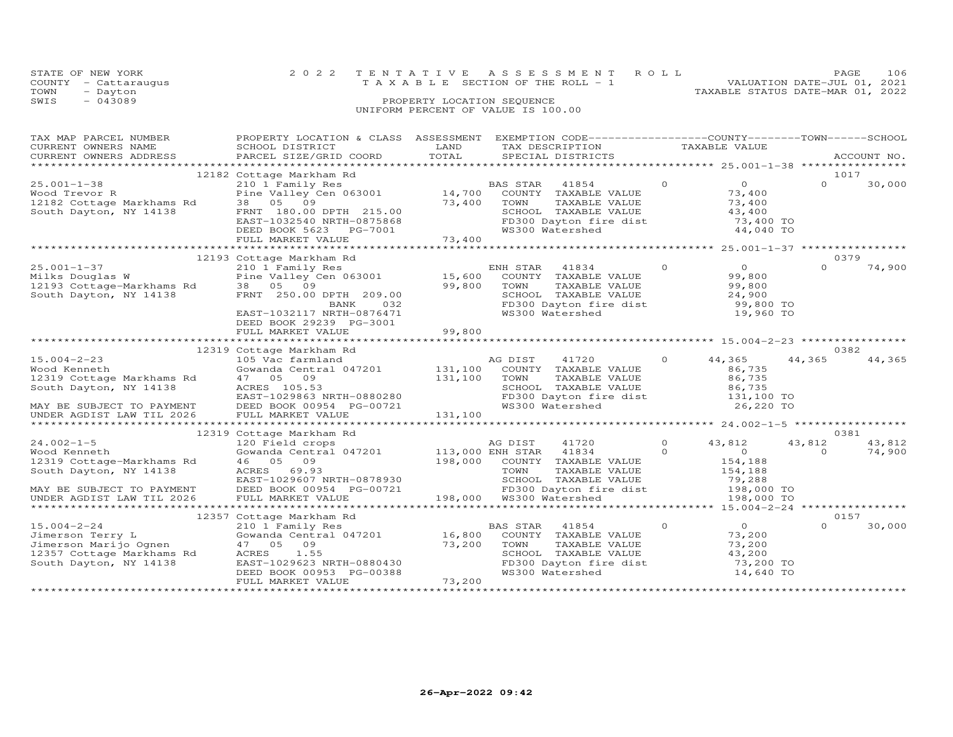| STATE OF NEW YORK       |                           |                            | 2022 TENTATIVE ASSESSMENT ROLL                              |                                  | PAGE                        | 106 |
|-------------------------|---------------------------|----------------------------|-------------------------------------------------------------|----------------------------------|-----------------------------|-----|
| - Cattaraugus<br>COUNTY |                           |                            | T A X A B L E SECTION OF THE ROLL - 1                       |                                  | VALUATION DATE-JUL 01, 2021 |     |
| TOWN<br>- Dayton        |                           |                            |                                                             | TAXABLE STATUS DATE-MAR 01, 2022 |                             |     |
| SWIS<br>$-043089$       |                           | PROPERTY LOCATION SEQUENCE |                                                             |                                  |                             |     |
|                         |                           |                            | UNIFORM PERCENT OF VALUE IS 100.00                          |                                  |                             |     |
|                         |                           |                            |                                                             |                                  |                             |     |
|                         |                           |                            |                                                             |                                  |                             |     |
| TAX MAP PARCEL NUMBER   | PROPERTY LOCATION & CLASS | ASSESSMENT                 | EXEMPTION CODE-----------------COUNTY-------TOWN-----SCHOOL |                                  |                             |     |
| CURRENT OWNERS NAME     | SCHOOL DISTRICT           | LAND                       | TAX DESCRIPTION                                             | TAXABLE VALUE                    |                             |     |
| CURRENT OWNERS ADDRESS  | PARCEL SIZE/GRID COORD    | TOTAL                      | SPECIAL DISTRICTS                                           |                                  | ACCOUNT NO.                 |     |

| CURRENI OWNERS ADDRESS                                          |                                                                                            | TOTHT   | SLECTUT DISIKICIS                                                                          |                |                                            |                  | ACCOUNT NO |
|-----------------------------------------------------------------|--------------------------------------------------------------------------------------------|---------|--------------------------------------------------------------------------------------------|----------------|--------------------------------------------|------------------|------------|
|                                                                 |                                                                                            |         |                                                                                            |                | **************** 25.001-1-38 *********     |                  |            |
| $25.001 - 1 - 38$<br>Wood Trevor R<br>12182 Cottage Markhams Rd | 12182 Cottage Markham Rd<br>210 1 Family Res<br>Pine Valley Cen 063001 14,700              |         | <b>BAS STAR</b><br>41854<br>COUNTY TAXABLE VALUE                                           | $\overline{O}$ | $\overline{O}$<br>73,400                   | 1017<br>$\Omega$ | 30,000     |
| South Dayton, NY 14138                                          | 38 05 09<br>FRNT 180.00 DPTH 215.00<br>EAST-1032540 NRTH-0875868<br>DEED BOOK 5623 PG-7001 | 73,400  | TOWN<br>TAXABLE VALUE<br>SCHOOL TAXABLE VALUE<br>FD300 Dayton fire dist<br>WS300 Watershed |                | 73,400<br>43,400<br>73,400 TO<br>44,040 TO |                  |            |
|                                                                 | FULL MARKET VALUE                                                                          | 73,400  |                                                                                            |                |                                            |                  |            |
|                                                                 |                                                                                            |         |                                                                                            |                |                                            |                  |            |
|                                                                 | 12193 Cottage Markham Rd                                                                   |         |                                                                                            |                |                                            | 0379             |            |
| $25.001 - 1 - 37$                                               | 210 1 Family Res                                                                           |         | ENH STAR 41834                                                                             | $\overline{O}$ | $\overline{0}$                             | $\Omega$         | 74,900     |
| 25.001-1-57<br>Milks Douglas W<br>12193 Cottage-Markhams Rd     | Pine Valley Cen $063001$ 15,600                                                            |         | COUNTY TAXABLE VALUE                                                                       |                | 99,800                                     |                  |            |
|                                                                 | 38 05 09                                                                                   | 99,800  | TOWN<br>TAXABLE VALUE                                                                      |                | 99,800                                     |                  |            |
| South Dayton, NY 14138                                          | FRNT 250.00 DPTH 209.00                                                                    |         | SCHOOL TAXABLE VALUE                                                                       |                | 24,900                                     |                  |            |
|                                                                 | BANK<br>032                                                                                |         | FD300 Dayton fire dist                                                                     |                | 99,800 TO                                  |                  |            |
|                                                                 | EAST-1032117 NRTH-0876471<br>DEED BOOK 29239 PG-3001                                       |         | WS300 Watershed                                                                            |                | 19,960 TO                                  |                  |            |
|                                                                 | FULL MARKET VALUE                                                                          | 99,800  |                                                                                            |                |                                            |                  |            |
|                                                                 |                                                                                            |         |                                                                                            |                |                                            |                  |            |
|                                                                 | 12319 Cottage Markham Rd                                                                   |         |                                                                                            |                |                                            | 0382             |            |
| $15.004 - 2 - 23$                                               | 105 Vac farmland                                                                           |         | AG DIST<br>41720                                                                           | $\Omega$       | 44,365                                     | 44,365           | 44,365     |
| Wood Kenneth                                                    | Gowanda Central 047201 131,100                                                             |         | COUNTY TAXABLE VALUE                                                                       |                | 86,735                                     |                  |            |
| 12319 Cottage Markhams Rd                                       | 47 05 09                                                                                   | 131,100 | TOWN<br>TAXABLE VALUE                                                                      |                | 86,735                                     |                  |            |
| South Dayton, NY 14138                                          | ACRES 105.53                                                                               |         | SCHOOL TAXABLE VALUE                                                                       |                | 86,735                                     |                  |            |
|                                                                 | EAST-1029863 NRTH-0880280                                                                  |         | FD300 Dayton fire dist<br>WS300 Watershed                                                  |                | 131,100 TO                                 |                  |            |
| MAY BE SUBJECT TO PAYMENT                                       | DEED BOOK 00954 PG-00721                                                                   |         | WS300 Watershed                                                                            |                | 26,220 TO                                  |                  |            |
| UNDER AGDIST LAW TIL 2026                                       | FULL MARKET VALUE                                                                          | 131,100 |                                                                                            |                |                                            |                  |            |
|                                                                 |                                                                                            |         |                                                                                            |                |                                            |                  |            |
|                                                                 | 12319 Cottage Markham Rd                                                                   |         |                                                                                            |                |                                            | 0381             |            |
| $24.002 - 1 - 5$                                                | 120 Field crops                                                                            |         | AG DIST<br>41720                                                                           | $\circ$        | 43,812                                     | 43,812           | 43,812     |
| Wood Kenneth                                                    | Gowanda Central 047201 113,000 ENH STAR                                                    |         | 41834                                                                                      | $\Omega$       | $\Omega$                                   | $\Omega$         | 74,900     |
| 12319 Cottage-Markhams Rd                                       | 46 05 09                                                                                   |         | 198,000 COUNTY TAXABLE VALUE                                                               |                | 154,188                                    |                  |            |
| South Dayton, NY 14138                                          | ACRES<br>69.93                                                                             |         | TOWN<br>TAXABLE VALUE                                                                      |                | 154,188                                    |                  |            |
|                                                                 | EAST-1029607 NRTH-0878930                                                                  |         | SCHOOL TAXABLE VALUE<br>FD300 Dayton fire dist                                             |                | 79,288<br>198,000 TO                       |                  |            |
| MAY BE SUBJECT TO PAYMENT                                       | DEED BOOK 00954 PG-00721                                                                   |         |                                                                                            |                |                                            |                  |            |
| UNDER AGDIST LAW TIL 2026                                       | FULL MARKET VALUE                                                                          |         | 198,000 WS300 Watershed                                                                    |                | 198,000 TO                                 |                  |            |
|                                                                 |                                                                                            |         |                                                                                            |                |                                            |                  |            |
|                                                                 | 12357 Cottage Markham Rd                                                                   |         |                                                                                            |                |                                            | 0157             |            |
| $15.004 - 2 - 24$                                               | 210 1 Family Res                                                                           |         | <b>BAS STAR</b><br>41854                                                                   | $\circ$        | $\overline{O}$                             | $\Omega$         | 30,000     |
| Jimerson Terry L                                                | Gowanda Central 047201 16,800                                                              |         | COUNTY TAXABLE VALUE                                                                       |                | 73,200                                     |                  |            |
| Jimerson Marijo Ognen                                           | 47 05 09                                                                                   | 73,200  | TOWN<br>TAXABLE VALUE                                                                      |                | 73,200                                     |                  |            |
| 12357 Cottage Markhams Rd                                       | ACRES 1.55                                                                                 |         | SCHOOL TAXABLE VALUE                                                                       |                | 43,200                                     |                  |            |
| South Dayton, NY 14138                                          | EAST-1029623 NRTH-0880430                                                                  |         | FD300 Dayton fire dist                                                                     |                | 73,200 TO                                  |                  |            |
|                                                                 | DEED BOOK 00953 PG-00388                                                                   |         | WS300 Watershed                                                                            |                | 14,640 TO                                  |                  |            |
|                                                                 | FULL MARKET VALUE                                                                          | 73,200  |                                                                                            |                |                                            |                  |            |
|                                                                 |                                                                                            |         |                                                                                            |                | *******************                        |                  |            |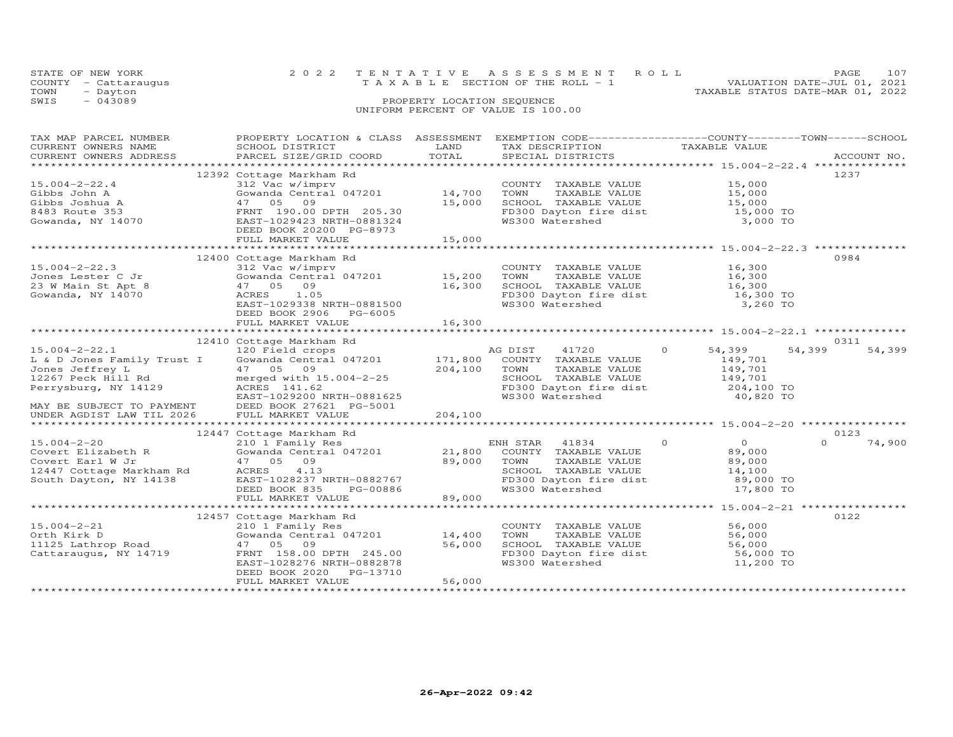|      | STATE OF NEW YORK    | 2022 TENTATIVE ASSESSMENT ROLL        |                            |  |                                  | PAGE                        | 107 |
|------|----------------------|---------------------------------------|----------------------------|--|----------------------------------|-----------------------------|-----|
|      | COUNTY - Cattaraugus | T A X A B L E SECTION OF THE ROLL - 1 |                            |  |                                  | VALUATION DATE-JUL 01, 2021 |     |
| TOWN | - Dayton             |                                       |                            |  | TAXABLE STATUS DATE-MAR 01, 2022 |                             |     |
| SWIS | $-043089$            |                                       | PROPERTY LOCATION SEQUENCE |  |                                  |                             |     |
|      |                      | UNIFORM PERCENT OF VALUE IS 100.00    |                            |  |                                  |                             |     |

| TAX MAP PARCEL NUMBER                                                              | PROPERTY LOCATION & CLASS ASSESSMENT EXEMPTION CODE----------------COUNTY-------TOWN------SCHOOL                              |                          |                                                                 |               |                         |          |             |
|------------------------------------------------------------------------------------|-------------------------------------------------------------------------------------------------------------------------------|--------------------------|-----------------------------------------------------------------|---------------|-------------------------|----------|-------------|
| CURRENT OWNERS NAME                                                                | SCHOOL DISTRICT                                                                                                               | LAND                     | TAX DESCRIPTION                                                 | TAXABLE VALUE |                         |          |             |
| CURRENT OWNERS ADDRESS                                                             | PARCEL SIZE/GRID COORD                                                                                                        | TOTAL                    | SPECIAL DISTRICTS                                               |               |                         |          | ACCOUNT NO. |
|                                                                                    |                                                                                                                               |                          |                                                                 |               |                         |          |             |
|                                                                                    | 12392 Cottage Markham Rd                                                                                                      |                          |                                                                 |               |                         | 1237     |             |
| $15.004 - 2 - 22.4$                                                                | 312 Vac w/imprv                                                                                                               |                          | COUNTY TAXABLE VALUE                                            |               | 15,000                  |          |             |
| Gibbs John A                                                                       | Gowanda Central 047201 14,700                                                                                                 |                          | TAXABLE VALUE 15,000<br>TOWN                                    |               |                         |          |             |
| Gibbs Joshua A                                                                     | 09<br>47 05                                                                                                                   | 15,000                   |                                                                 |               |                         |          |             |
| 8483 Route 353                                                                     | FRNT 190.00 DPTH 205.30<br>EAST-1029423 NRTH-0881324                                                                          |                          | SCHOOL TAXABLE VALUE 15,000<br>FD300 Dayton fire dist 15,000 TO |               |                         |          |             |
| Gowanda, NY 14070                                                                  |                                                                                                                               |                          | WS300 Watershed                                                 |               | 3,000 TO                |          |             |
|                                                                                    | DEED BOOK 20200 PG-8973                                                                                                       |                          |                                                                 |               |                         |          |             |
|                                                                                    |                                                                                                                               |                          |                                                                 |               |                         |          |             |
|                                                                                    |                                                                                                                               |                          |                                                                 |               |                         |          |             |
|                                                                                    | 12400 Cottage Markham Rd                                                                                                      |                          |                                                                 |               |                         | 0984     |             |
| $15.004 - 2 - 22.3$                                                                | 312 Vac w/imprv                                                                                                               |                          | COUNTY TAXABLE VALUE                                            |               | 16,300                  |          |             |
|                                                                                    | Gowanda Central 047201 15,200                                                                                                 |                          | TOWN<br>TAXABLE VALUE                                           |               | 16,300                  |          |             |
|                                                                                    |                                                                                                                               | 16,300                   | SCHOOL TAXABLE VALUE                                            |               |                         |          |             |
|                                                                                    | ACRES 1.05                                                                                                                    |                          | FD300 Dayton fire dist<br>FD300 Dayton fire dist                |               | 16,300<br>16,300 TO     |          |             |
|                                                                                    | EAST-1029338 NRTH-0881500                                                                                                     |                          |                                                                 |               | 3,260 TO                |          |             |
|                                                                                    |                                                                                                                               |                          |                                                                 |               |                         |          |             |
|                                                                                    | DEED BOOK 2906 PG-6005                                                                                                        |                          |                                                                 |               |                         |          |             |
|                                                                                    | FULL MARKET VALUE                                                                                                             | 16,300                   |                                                                 |               |                         |          |             |
|                                                                                    |                                                                                                                               |                          |                                                                 |               |                         |          |             |
|                                                                                    | 12410 Cottage Markham Rd                                                                                                      |                          |                                                                 |               |                         | 0311     |             |
| $15.004 - 2 - 22.1$                                                                | 120 Field crops                                                                                                               |                          | AG DIST 41720 0                                                 |               | 54,399                  | 54,399   | 54,399      |
|                                                                                    | L & D Jones Family Trust I Gowanda Central 047201 171,800                                                                     |                          | COUNTY TAXABLE VALUE                                            |               | 149,701                 |          |             |
|                                                                                    | merged with $15.004-2-25$<br>ACRES 141 C                                                                                      | 204,100                  | TOWN<br>TAXABLE VALUE                                           |               | 149,701                 |          |             |
|                                                                                    |                                                                                                                               |                          | SCHOOL TAXABLE VALUE 149,701                                    |               |                         |          |             |
| Perrysburg, NY 14129                                                               | ACRES 141.62                                                                                                                  |                          | FD300 Dayton fire dist<br>WS300 Watershed                       |               | 204,100 TO<br>40,820 TO |          |             |
|                                                                                    | EAST-1029200 NRTH-0881625                                                                                                     |                          |                                                                 |               |                         |          |             |
|                                                                                    | EAST-1029200 NRTH-0881625<br>MAY BE SUBJECT TO PAYMENT DEED BOOK 27621 PG-5001<br>UNDER AGDIST LAW TIL 2026 FULL MARKET VALUE |                          |                                                                 |               |                         |          |             |
|                                                                                    |                                                                                                                               | 204,100                  |                                                                 |               |                         |          |             |
|                                                                                    |                                                                                                                               |                          |                                                                 |               |                         |          |             |
|                                                                                    | 12447 Cottage Markham Rd                                                                                                      |                          |                                                                 |               |                         | 0123     |             |
| $15.004 - 2 - 20$                                                                  | 210 1 Family Res<br>Gowanda Central 047201 21,800                                                                             |                          | ENH STAR 41834                                                  | $\Omega$      | $\Omega$                | $\Omega$ | 74,900      |
| Covert Elizabeth R                                                                 |                                                                                                                               |                          | COUNTY TAXABLE VALUE                                            |               | 89,000                  |          |             |
| Covert Earl W Jr                                                                   |                                                                                                                               | 89,000                   | TOWN<br>TAXABLE VALUE                                           |               | 89,000                  |          |             |
| 12447 Cottage Markham Rd                                                           | ۔۔۔۔۔ Gowanda<br>47 05 09<br>- - - - 4.1                                                                                      |                          | SCHOOL TAXABLE VALUE                                            |               | 14,100                  |          |             |
| South Dayton, NY 14138                                                             |                                                                                                                               |                          |                                                                 |               | 89,000 TO               |          |             |
|                                                                                    | DEED BOOK 835                                                                                                                 | $PG-00886$<br>$E$ 89,000 | FD300 Dayton fire dist<br>WS300 Watershed                       |               | 17,800 TO               |          |             |
|                                                                                    | FULL MARKET VALUE                                                                                                             |                          |                                                                 |               |                         |          |             |
|                                                                                    |                                                                                                                               |                          |                                                                 |               |                         |          |             |
|                                                                                    | 12457 Cottage Markham Rd                                                                                                      |                          |                                                                 |               |                         | 0122     |             |
|                                                                                    | 210 1 Family Res                                                                                                              |                          | COUNTY TAXABLE VALUE                                            |               | 56,000                  |          |             |
|                                                                                    | Gowanda Central 047201 14,400                                                                                                 |                          | TOWN<br>TAXABLE VALUE                                           |               | 56,000                  |          |             |
| 15.004-2-21 210 1 Family<br>Orth Kirk D<br>11125 Lathrop Road 47 05 09<br>47 05 09 |                                                                                                                               | 56,000                   | SCHOOL TAXABLE VALUE                                            |               | 56,000                  |          |             |
| Cattaraugus, NY 14719                                                              | FRNT 158.00 DPTH 245.00                                                                                                       |                          |                                                                 |               | 56,000 TO               |          |             |
|                                                                                    |                                                                                                                               |                          | FD300 Dayton fire dist<br>WS300 Watershed                       |               |                         |          |             |
|                                                                                    | EAST-1028276 NRTH-0882878                                                                                                     |                          | WS300 Watershed                                                 |               | 11,200 TO               |          |             |
|                                                                                    | DEED BOOK 2020 PG-13710                                                                                                       |                          |                                                                 |               |                         |          |             |
|                                                                                    | FULL MARKET VALUE                                                                                                             | 56,000                   |                                                                 |               |                         |          |             |
|                                                                                    |                                                                                                                               |                          |                                                                 |               |                         |          |             |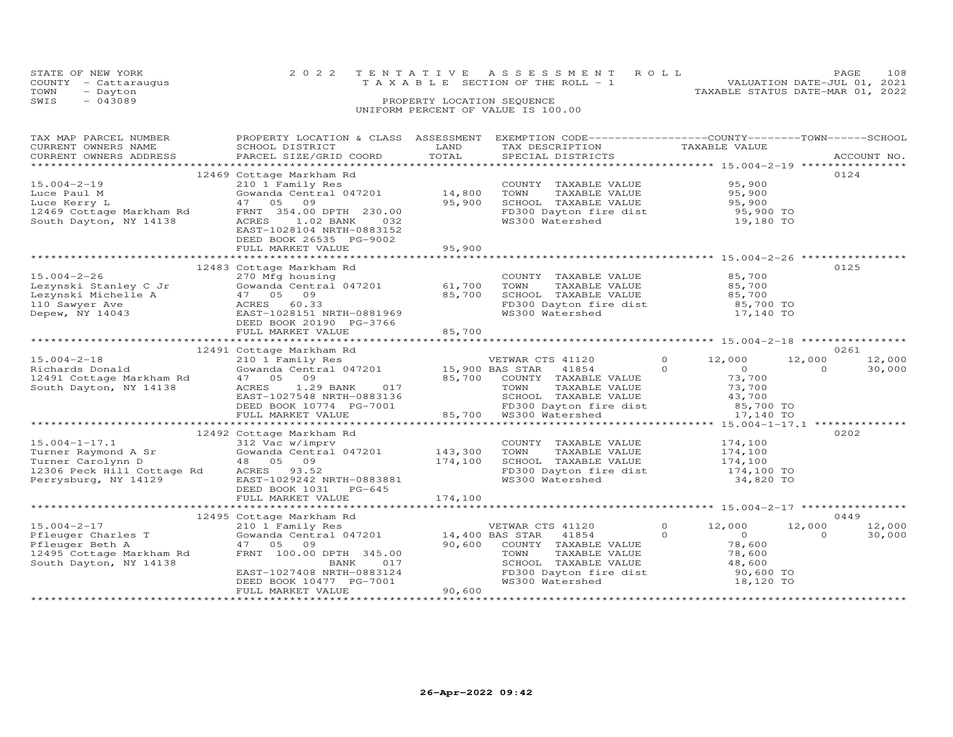|      | STATE OF NEW YORK<br>COUNTY - Cattaraugus | 2022 TENTATIVE ASSESSMENT ROLL<br>VALUATION DATE-JUL 01, 2021<br>T A X A B L E SECTION OF THE ROLL - 1 | PAGE. | 108 |
|------|-------------------------------------------|--------------------------------------------------------------------------------------------------------|-------|-----|
| TOWN | - Dayton                                  | TAXABLE STATUS DATE-MAR 01, 2022                                                                       |       |     |
| SWIS | $-043089$                                 | PROPERTY LOCATION SEQUENCE<br>UNIFORM PERCENT OF VALUE IS 100.00                                       |       |     |

| TAX MAP PARCEL NUMBER<br>CURRENT OWNERS NAME<br>CURRENT OWNERS ADDRESS                                                                                                                                                                                                                                                                                                | PROPERTY LOCATION & CLASS ASSESSMENT<br>SCHOOL DISTRICT<br>PARCEL SIZE/GRID COORD                                                                                         | LAND<br>TOTAL    | EXEMPTION CODE-----------------COUNTY-------TOWN-----SCHOOL<br>TAX DESCRIPTION TAXABLE VALUE<br>SPECIAL DISTRICTS TAXABLE VALUE                                                |                                                                    | ACCOUNT NO.                            |
|-----------------------------------------------------------------------------------------------------------------------------------------------------------------------------------------------------------------------------------------------------------------------------------------------------------------------------------------------------------------------|---------------------------------------------------------------------------------------------------------------------------------------------------------------------------|------------------|--------------------------------------------------------------------------------------------------------------------------------------------------------------------------------|--------------------------------------------------------------------|----------------------------------------|
|                                                                                                                                                                                                                                                                                                                                                                       |                                                                                                                                                                           |                  |                                                                                                                                                                                |                                                                    |                                        |
| $15.004 - 2 - 19$<br>Luce Paul M<br>Luce Kerry L<br>12469 Cottage Markham Rd<br>South Dayton, NY 14138                                                                                                                                                                                                                                                                | 12469 Cottage Markham Rd<br>210 1 Family Res<br>Gowanda Central 047201<br>47 05 09<br>FRNT 354.00 DPTH 230.00<br>ACRES<br>$1.02$ BANK<br>032<br>EAST-1028104 NRTH-0883152 | 14,800<br>95,900 | COUNTY TAXABLE VALUE 95,900<br>TOWN TAXABLE VALUE 95,900<br>SCHOOL TAXABLE VALUE 95,900<br>FD300 Dayton fire dist 95,900 TO<br>WS300 Watershed 19,180 TO                       |                                                                    | 0124                                   |
|                                                                                                                                                                                                                                                                                                                                                                       | DEED BOOK 26535 PG-9002<br>FULL MARKET VALUE                                                                                                                              | 95,900           |                                                                                                                                                                                |                                                                    |                                        |
|                                                                                                                                                                                                                                                                                                                                                                       |                                                                                                                                                                           |                  |                                                                                                                                                                                |                                                                    |                                        |
| $15.004 - 2 - 26$<br>Lezynski Stanley C Jr (Gowanda Central<br>Lezynski Michelle A (Gowanda Central<br>Lezynski Michelle A (47 05 09)<br>110 Sawyer Ave (ACRES 60.33 Bepew, NY 14043 EAST-1028151 N                                                                                                                                                                   | 12483 Cottage Markham Rd<br>270 Mfg housing<br>Gowanda Central 047201 61,700<br>EAST-1028151 NRTH-0881969<br>DEED BOOK 20190 PG-3766                                      | 85,700           | COUNTY TAXABLE VALUE<br>TOWN<br>TAXABLE VALUE<br>SCHOOL TAXABLE VALUE 85,700<br>FD300 Dayton fire dist 85,700 TO<br>WS300 Watershed 17,140 TO                                  | $85,700$<br>$85,700$                                               | 0125                                   |
|                                                                                                                                                                                                                                                                                                                                                                       |                                                                                                                                                                           |                  |                                                                                                                                                                                |                                                                    |                                        |
|                                                                                                                                                                                                                                                                                                                                                                       |                                                                                                                                                                           |                  |                                                                                                                                                                                |                                                                    |                                        |
| 12491 Cottage Markham Rd (12491 Cottage Markham Rd (12491 Cottage Markham Rd (12491 Cottage Markham Rd (12491 Cottage Markham Rd (12491 Cowanda Central 047201 15,900 BAS STAR 41854 0 (12,000 12,000 12,000 12,000 12,000 12,<br>15.004-2-18 210 1 Family<br>Richards Donald Gowanda Centr<br>12491 Cottage Markham Rd 47 05 09<br>South Dayton, NY 14138 ACRES 1.25 |                                                                                                                                                                           |                  |                                                                                                                                                                                |                                                                    |                                        |
|                                                                                                                                                                                                                                                                                                                                                                       |                                                                                                                                                                           |                  |                                                                                                                                                                                |                                                                    |                                        |
| 15.004-1-17.1 312 Vac w/imprv<br>Turner Raymond A Sr Gowanda Central 047201 143,300<br>Turner Carolynn D 48 05 09 174,100<br>12306 Peck Hill Cottage Rd ACRES 93.52<br>Perrysburg, NY 14129 EAST-1029242 NRTH-0883881                                                                                                                                                 | 12492 Cottage Markham Rd<br>DEED BOOK 1031 PG-645                                                                                                                         |                  | COUNTY TAXABLE VALUE 174,100<br>TOWN TAXABLE VALUE 174,100<br>SCHOOL TAXABLE VALUE 174,100<br>FD300 Dayton fire dist 174,100 TO<br>WS300 Watershed 34,820 TO                   | 34,820 TO                                                          | 0202                                   |
|                                                                                                                                                                                                                                                                                                                                                                       |                                                                                                                                                                           | 174,100          |                                                                                                                                                                                |                                                                    |                                        |
|                                                                                                                                                                                                                                                                                                                                                                       |                                                                                                                                                                           |                  |                                                                                                                                                                                |                                                                    |                                        |
|                                                                                                                                                                                                                                                                                                                                                                       |                                                                                                                                                                           |                  |                                                                                                                                                                                |                                                                    | 0449                                   |
| $15.004 - 2 - 17$<br>15.004-2-17<br>Pfleuger Charles T<br>Pfleuger Beth A<br>Plieuger Beth A<br>12495 Cottage Markham Rd<br>South Dayton, NY 14138                                                                                                                                                                                                                    | EAST-1027408 NRTH-0883124<br>DEED BOOK 10477 PG-7001<br>FULL MARKET VALUE                                                                                                 | 90,600           | VETWAR CTS 41120<br>41854 0<br>COUNTY TAXABLE VALUE<br>TOWN      TAXABLE VALUE<br>SCHOOL TAXABLE VALUE 48,600<br>FD300 Dayton fire dist 90,600 TO<br>WS300 Watershed 18,120 TO | $\Omega$<br>12,000<br>$\overline{O}$<br>78,600<br>78,600<br>48,600 | 12,000<br>12,000<br>$\Omega$<br>30,000 |
|                                                                                                                                                                                                                                                                                                                                                                       |                                                                                                                                                                           |                  |                                                                                                                                                                                |                                                                    |                                        |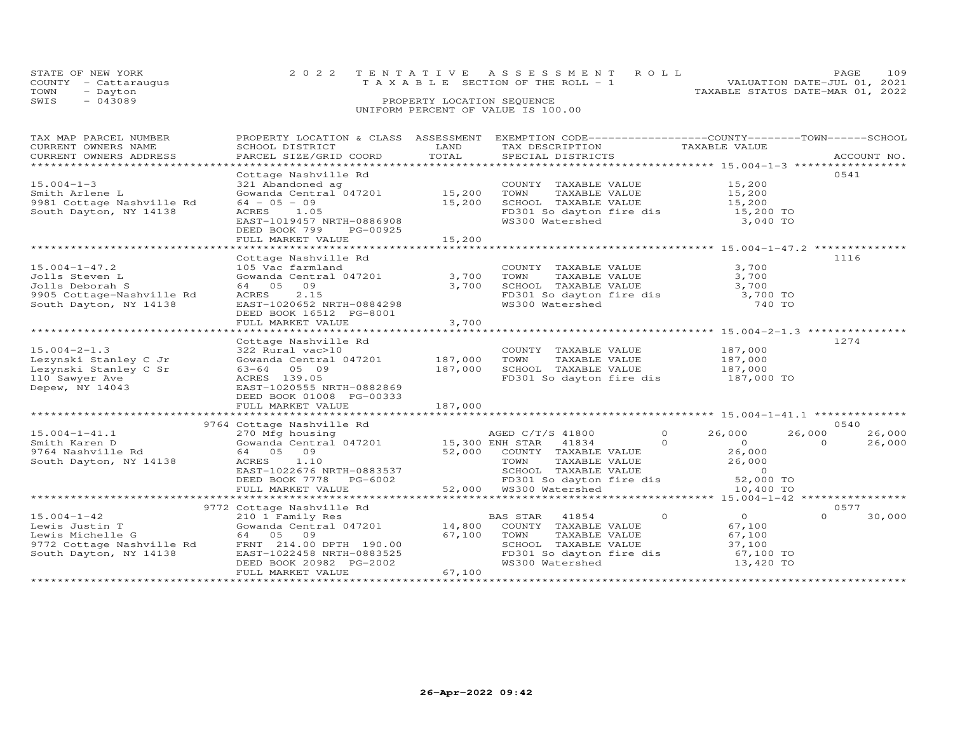| STATE OF NEW YORK    |                                    | 2022 TENTATIVE ASSESSMENT ROLL  |                                  | PAGE | 109 |
|----------------------|------------------------------------|---------------------------------|----------------------------------|------|-----|
| COUNTY - Cattaraugus |                                    | TAXABLE SECTION OF THE ROLL - 1 | VALUATION DATE-JUL 01, 2021      |      |     |
| TOWN<br>- Dayton     |                                    |                                 | TAXABLE STATUS DATE-MAR 01, 2022 |      |     |
| $-043089$<br>SWIS    | PROPERTY LOCATION SEQUENCE         |                                 |                                  |      |     |
|                      | UNIFORM PERCENT OF VALUE IS 100.00 |                                 |                                  |      |     |
|                      |                                    |                                 |                                  |      |     |

| TAX MAP PARCEL NUMBER<br>CURRENT OWNERS NAME<br>CURRENT OWNERS ADDRESS                                          | PROPERTY LOCATION & CLASS ASSESSMENT<br>SCHOOL DISTRICT<br>PARCEL SIZE/GRID COORD                                                                                                                     | LAND<br>TOTAL              | EXEMPTION CODE-----------------COUNTY-------TOWN-----SCHOOL<br>TAX DESCRIPTION<br>SPECIAL DISTRICTS                                                                                                 | TAXABLE VALUE                                                                            | ACCOUNT NO.                                    |
|-----------------------------------------------------------------------------------------------------------------|-------------------------------------------------------------------------------------------------------------------------------------------------------------------------------------------------------|----------------------------|-----------------------------------------------------------------------------------------------------------------------------------------------------------------------------------------------------|------------------------------------------------------------------------------------------|------------------------------------------------|
| $15.004 - 1 - 3$<br>Smith Arlene L<br>9981 Cottage Nashville Rd<br>South Dayton, NY 14138                       | Cottage Nashville Rd<br>321 Abandoned ag<br>Gowanda Central $047201$ 15,200<br>$64 - 05 - 09$<br>ACRES 1.05<br>EAST-1019457 NRTH-0886908<br>DEED BOOK 799<br>PG-00925<br>FULL MARKET VALUE            | 15,200<br>15,200           | COUNTY TAXABLE VALUE<br>TOWN<br>TAXABLE VALUE<br>SCHOOL TAXABLE VALUE<br>FD301 So dayton fire dis<br>WS300 Watershed                                                                                | 15,200<br>15,200<br>15,200<br>15,200 TO<br>3,040 TO                                      | 0541                                           |
| $15.004 - 1 - 47.2$<br>Jolls Steven L<br>Jolls Deborah S<br>9905 Cottage-Nashville Rd<br>South Dayton, NY 14138 | Cottage Nashville Rd<br>105 Vac farmland<br>Gowanda Central 047201 3,700<br>64 05 09<br>2.15<br>ACRES<br>EAST-1020652 NRTH-0884298<br>DEED BOOK 16512 PG-8001<br>FULL MARKET VALUE                    | 3,700<br>3,700             | COUNTY TAXABLE VALUE<br>FD301 So dayton fire dis 3,700 TO<br>WS300 Watershed                                                                                                                        | 3,700<br>3,700<br>3,700<br>740 TO                                                        | 1116                                           |
| $15.004 - 2 - 1.3$<br>Lezynski Stanley C Jr<br>Lezynski Stanley C Sr<br>110 Sawyer Ave<br>Depew, NY 14043       | Cottage Nashville Rd<br>322 Rural vac>10<br>Gowanda Central 047201 187,000<br>63-64 05 09<br>ACRES 139.05<br>EAST-1020555 NRTH-0882869<br>DEED BOOK 01008 PG-00333<br>FULL MARKET VALUE               | 187,000<br>187,000         | COUNTY TAXABLE VALUE 187,000<br>TAXABLE VALUE<br>TOWN<br>SCHOOL TAXABLE VALUE<br>FD301 So dayton fire dis 187,000 TO                                                                                | 187,000<br>187,000                                                                       | 1274                                           |
| $15.004 - 1 - 41.1$<br>Smith Karen D<br>9764 Nashville Rd<br>South Dayton, NY 14138                             | 9764 Cottage Nashville Rd<br>270 Mfg housing<br>Gowanda Central 047201 15,300 ENH STAR 41834<br>64 05 09<br>ACRES<br>1.10<br>EAST-1022676 NRTH-0883537<br>DEED BOOK 7778 PG-6002<br>FULL MARKET VALUE |                            | AGED C/T/S 41800<br>$\circ$<br>$\Omega$<br>52,000 COUNTY TAXABLE VALUE<br>TOWN TAXABLE VALUE<br>TAXABLE VALUE<br>TOWN<br>SCHOOL TAXABLE VALUE<br>FD301 So dayton fire dis<br>52,000 WS300 Watershed | 26,000<br>$\overline{0}$<br>26,000<br>26,000<br>$\overline{0}$<br>52,000 TO<br>10,400 TO | 0540<br>26,000<br>26,000<br>$\Omega$<br>26,000 |
| $15.004 - 1 - 42$<br>Lewis Justin T<br>Lewis Michelle G<br>9772 Cottage Nashville Rd<br>South Dayton, NY 14138  | 9772 Cottage Nashville Rd<br>210 1 Family Res<br>Gowanda Central 047201<br>64 05 09<br>FRNT 214.00 DPTH 190.00<br>EAST-1022458 NRTH-0883525<br>DEED BOOK 20982 PG-2002<br>FULL MARKET VALUE           | 14,800<br>67,100<br>67,100 | $\circ$<br>BAS STAR<br>41854<br>COUNTY TAXABLE VALUE<br>TAXABLE VALUE<br>TOWN<br>SCHOOL TAXABLE VALUE<br>FD301 So dayton fire dis<br>WS300 Watershed                                                | $\overline{O}$<br>67,100<br>67,100<br>37,100<br>67,100 TO<br>13,420 TO                   | 0577<br>$\Omega$<br>30,000                     |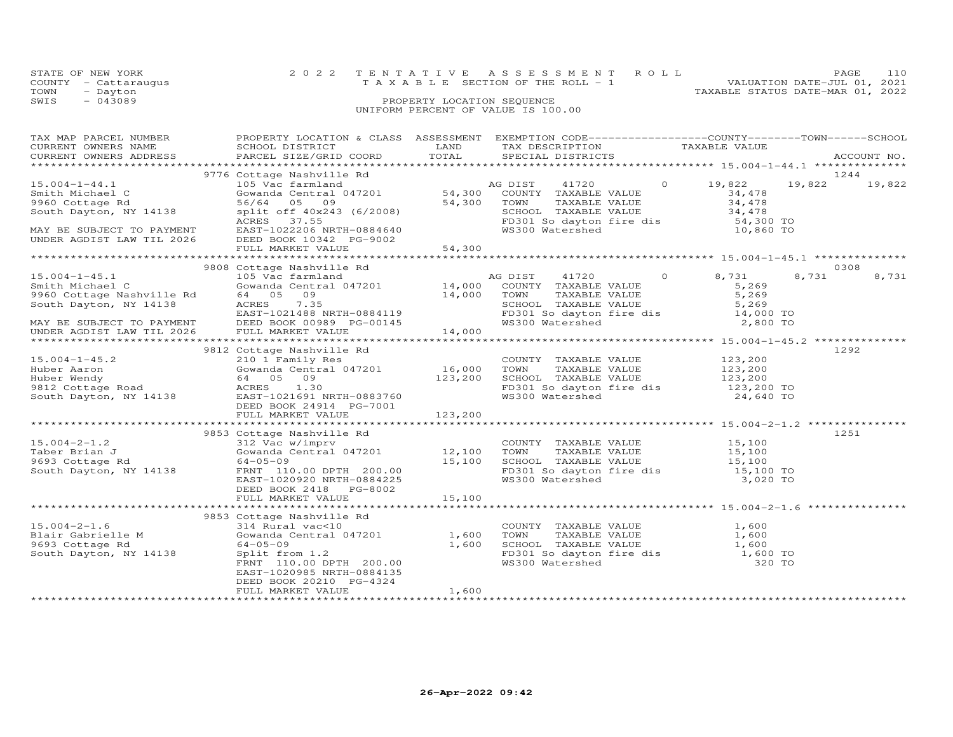|      | STATE OF NEW YORK    | 2022 TENTATIVE ASSESSMENT ROLL     | 110<br>PAGE                      |
|------|----------------------|------------------------------------|----------------------------------|
|      | COUNTY - Cattaraugus | TAXABLE SECTION OF THE ROLL - 1    | VALUATION DATE-JUL 01, 2021      |
| TOWN | - Dayton             |                                    | TAXABLE STATUS DATE-MAR 01, 2022 |
| SWIS | $-043089$            | PROPERTY LOCATION SEQUENCE         |                                  |
|      |                      | UNIFORM PERCENT OF VALUE IS 100.00 |                                  |

| TAX MAP PARCEL NUMBER<br>CURRENT OWNERS NAME<br>CURRENT OWNERS ADDRESS                                                                                                                                                         | PROPERTY LOCATION & CLASS ASSESSMENT<br><b>EXAMPLE THE STATE OF STATE OF STATE</b><br>SCHOOL DISTRICT<br>PARCEL SIZE/GRID COORD                                                                               | TOTAL   | EXEMPTION CODE-----------------COUNTY-------TOWN------SCHOOL<br>TAX DESCRIPTION TAXABLE VALUE SPECIAL DISTRICTS                                                                                                                                    |                                      | ACCOUNT NO.            |
|--------------------------------------------------------------------------------------------------------------------------------------------------------------------------------------------------------------------------------|---------------------------------------------------------------------------------------------------------------------------------------------------------------------------------------------------------------|---------|----------------------------------------------------------------------------------------------------------------------------------------------------------------------------------------------------------------------------------------------------|--------------------------------------|------------------------|
|                                                                                                                                                                                                                                |                                                                                                                                                                                                               |         |                                                                                                                                                                                                                                                    |                                      |                        |
| $15.004 - 1 - 44.1$<br>Smith Michael C<br>9960 Cottage Rd<br>South Dayton, NY 14138<br>MAY BE SUBJECT TO PAYMENT<br>UNDER AGDIST LAW TIL 2026                                                                                  | 9776 Cottage Nashville Rd<br>Gowanda UCOL<br>56/64 05 09<br>split off 40x243 (6/2008)<br>control 37.55<br>DEED BOOK 10342 PG-9002                                                                             |         | Cottage Nashville Rd<br>105 Vac farmland<br>Gowanda Central 047201<br>54,300 COUNTY TAXABLE VALUE<br>54,300 TOWN TAXABLE VALUE<br>41720 0 19,822<br>SCHOOL TAXABLE VALUE 34,478<br>FD301 So dayton fire dis 54,300 TO<br>WS300 Watershed 10,860 TO | 19,822<br>34,478<br>34,478<br>34,478 | 1244<br>19,822         |
|                                                                                                                                                                                                                                |                                                                                                                                                                                                               |         |                                                                                                                                                                                                                                                    |                                      |                        |
|                                                                                                                                                                                                                                |                                                                                                                                                                                                               |         |                                                                                                                                                                                                                                                    |                                      |                        |
| NDER AGDIST LAW 1121 FULL PARAMITE AND TRIMP OF TAXABLE VALUE 14,000 NOT TRIMP OF TAXABLE VALUE ON TRIMP OF TAXABLE VALUE SERIES OF TAXABLE VALUE ON TRIMP OF TAXABLE VALUE ON TRIMP OF TAXABLE VALUE ON TRIMP OF TAXABLE VALU |                                                                                                                                                                                                               |         | FD301 So dayton fire dis 14,000 TO<br>WS300 Watershed 2,800 TO                                                                                                                                                                                     | 8,731<br>5,269<br>5,269<br>5,269     | 0308<br>8,731<br>8,731 |
|                                                                                                                                                                                                                                |                                                                                                                                                                                                               |         |                                                                                                                                                                                                                                                    |                                      |                        |
| 9812 Cottage Nashville Rd<br>15.004-1-45.2 210 1 Family Res<br>Huber Aaron Gowanda Central 047201 16,000<br>Huber Wendy 64 05 09 123,200<br>9812 Cottage Road ACRES 1.30<br>South Dayton, NY 14138 EAST-1026314 PG-7001        | FULL MARKET VALUE                                                                                                                                                                                             | 123,200 | COUNTY TAXABLE VALUE 123,200<br>TOWN TAXABLE VALUE 123,200<br>SCHOOL TAXABLE VALUE 123,200<br>FD301 So dayton fire dis 123,200 TO<br>WS300 Watershed 24,640 TO                                                                                     |                                      | 1292                   |
|                                                                                                                                                                                                                                |                                                                                                                                                                                                               |         |                                                                                                                                                                                                                                                    |                                      |                        |
| $15.004 - 2 - 1.2$<br>Taber Brian J<br>9693 Cottage Rd<br>South Dayton, NY 14138                                                                                                                                               | 9853 Cottage Nashville Rd<br>Cottage Nashvirt<br>312 Vac W/imprv<br>Gowanda Central 047201 12,100<br>64-05-09 15,100<br>FRNT 110.00 DPTH 200.00 15,100<br>TRNT 1020920 NRTH-0884225<br>DEED BOOK 2418 PG-8002 |         | COUNTY TAXABLE VALUE 15,100<br>TOWN TAXABLE VALUE 15,100<br>TOWN TAXABLE VALUE 15,100<br>SCHOOL TAXABLE VALUE 15,100<br>FD301 So dayton fire dis 15,100 TO<br>WS300 Watershed 3,020 TO                                                             |                                      | 1251                   |
|                                                                                                                                                                                                                                |                                                                                                                                                                                                               |         |                                                                                                                                                                                                                                                    |                                      |                        |
|                                                                                                                                                                                                                                |                                                                                                                                                                                                               |         |                                                                                                                                                                                                                                                    |                                      |                        |
| $15.004 - 2 - 1.6$<br>Blair Gabrielle M<br>9693 Cottage Rd<br>South Dayton, NY 14138                                                                                                                                           | Gowanda Central 047201 1,600<br>64-05-09 1,600<br>Split from 1.2<br>FRNT 110.00 DPTH 200.00<br>EAST-1020985 NRTH-0884135<br>DEED BOOK 20210 PG-4324<br>FULL MARKET VALUE                                      | 1,600   | COUNTY TAXABLE VALUE 1,600<br>FD301 So dayton fire dis 1,600 TO<br>WS300 Watershed 320 TO<br>WS300 Watershed                                                                                                                                       | 320 TO                               |                        |
|                                                                                                                                                                                                                                |                                                                                                                                                                                                               |         |                                                                                                                                                                                                                                                    |                                      |                        |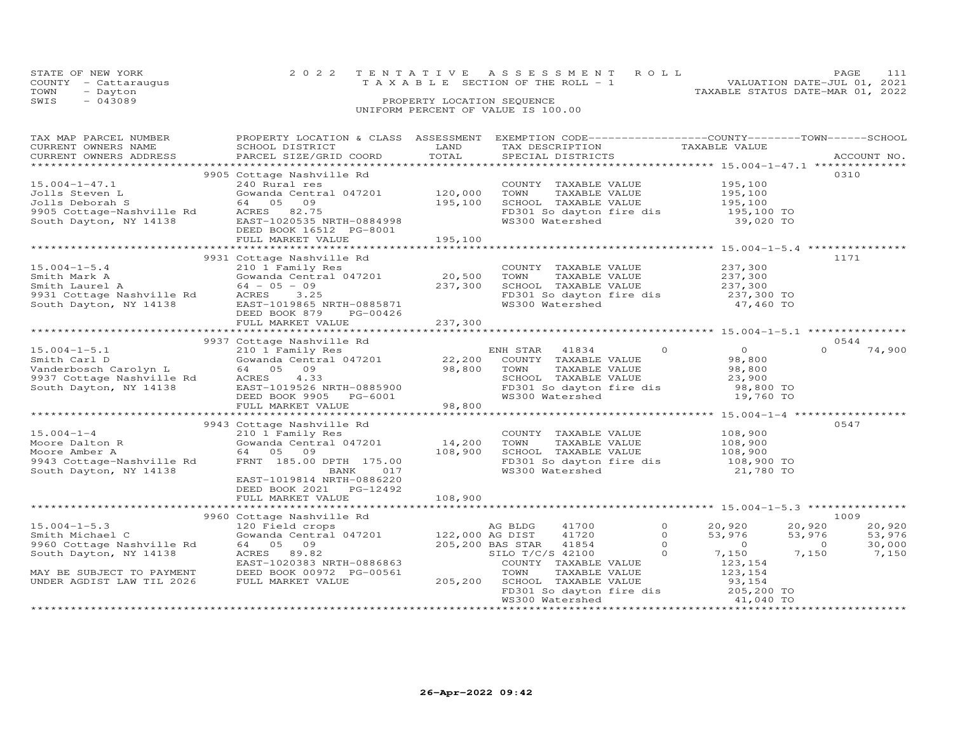|      | STATE OF NEW YORK    | 2022 TENTATIVE ASSESSMENT ROLL        |  |                                  | PAGE                        |  |
|------|----------------------|---------------------------------------|--|----------------------------------|-----------------------------|--|
|      | COUNTY - Cattaraugus | T A X A B L E SECTION OF THE ROLL - 1 |  |                                  | VALUATION DATE-JUL 01, 2021 |  |
| TOWN | - Dayton             |                                       |  | TAXABLE STATUS DATE-MAR 01, 2022 |                             |  |
| SWIS | $-043089$            | PROPERTY LOCATION SEQUENCE            |  |                                  |                             |  |
|      |                      | UNIFORM PERCENT OF VALUE IS 100.00    |  |                                  |                             |  |

| TAX MAP PARCEL NUMBER                                                                                                                                                                                                                            |                            |          | PROPERTY LOCATION & CLASS ASSESSMENT EXEMPTION CODE---------------COUNTY-------TOWN------SCHOOL                                                                          |                                                             |
|--------------------------------------------------------------------------------------------------------------------------------------------------------------------------------------------------------------------------------------------------|----------------------------|----------|--------------------------------------------------------------------------------------------------------------------------------------------------------------------------|-------------------------------------------------------------|
| CURRENT OWNERS NAME                                                                                                                                                                                                                              | SCHOOL DISTRICT            | LAND     | TAX DESCRIPTION TAXABLE VALUE<br>SPECIAL DISTRICTS                                                                                                                       |                                                             |
| CURRENT OWNERS ADDRESS PARCEL SIZE/GRID COORD TOTAL                                                                                                                                                                                              |                            |          |                                                                                                                                                                          | ACCOUNT NO.                                                 |
|                                                                                                                                                                                                                                                  |                            |          |                                                                                                                                                                          |                                                             |
|                                                                                                                                                                                                                                                  | 9905 Cottage Nashville Rd  |          |                                                                                                                                                                          | 0310                                                        |
| $15.004 - 1 - 47.1$                                                                                                                                                                                                                              | 240 Rural res              |          |                                                                                                                                                                          |                                                             |
|                                                                                                                                                                                                                                                  |                            |          |                                                                                                                                                                          |                                                             |
|                                                                                                                                                                                                                                                  |                            |          |                                                                                                                                                                          |                                                             |
| 15.004-1-47.1<br>Jolls Deborah B Gowanda Central 047201 120,000<br>Jolls Deborah S 64 05 09 195,100<br>9905 Cottage-Nashville Rd ACRES 82.75<br>South Dayton, NY 14138 EAST-1020535 NRTH-0884998<br>DEED BOOK 16512 PG-8001                      |                            |          | COUNTY TAXABLE VALUE 195,100<br>TOWN TAXABLE VALUE 195,100<br>SCHOOL TAXABLE VALUE 195,100<br>FD301 So dayton fire dis 195,100 TO<br>WS300 Watershed 39,020 TO           |                                                             |
|                                                                                                                                                                                                                                                  |                            |          |                                                                                                                                                                          |                                                             |
|                                                                                                                                                                                                                                                  | FULL MARKET VALUE          | 195, 100 |                                                                                                                                                                          |                                                             |
|                                                                                                                                                                                                                                                  |                            |          |                                                                                                                                                                          |                                                             |
|                                                                                                                                                                                                                                                  | 9931 Cottage Nashville Rd  |          |                                                                                                                                                                          | 1171                                                        |
|                                                                                                                                                                                                                                                  |                            |          |                                                                                                                                                                          |                                                             |
|                                                                                                                                                                                                                                                  |                            |          |                                                                                                                                                                          |                                                             |
|                                                                                                                                                                                                                                                  |                            |          |                                                                                                                                                                          |                                                             |
|                                                                                                                                                                                                                                                  |                            |          |                                                                                                                                                                          |                                                             |
|                                                                                                                                                                                                                                                  |                            |          | COUNTY TAXABLE VALUE $237,300$<br>TOWN TAXABLE VALUE $237,300$<br>SCHOOL TAXABLE VALUE $237,300$<br>FD301 So dayton fire dis $237,300$ TO<br>WS300 Watershed $47,460$ TO |                                                             |
|                                                                                                                                                                                                                                                  |                            |          |                                                                                                                                                                          |                                                             |
|                                                                                                                                                                                                                                                  |                            |          |                                                                                                                                                                          |                                                             |
|                                                                                                                                                                                                                                                  |                            |          |                                                                                                                                                                          |                                                             |
|                                                                                                                                                                                                                                                  | 9937 Cottage Nashville Rd  |          |                                                                                                                                                                          | 0544                                                        |
|                                                                                                                                                                                                                                                  |                            |          |                                                                                                                                                                          | $\Omega$ and $\Omega$<br>74,900                             |
|                                                                                                                                                                                                                                                  |                            |          |                                                                                                                                                                          |                                                             |
|                                                                                                                                                                                                                                                  |                            |          |                                                                                                                                                                          |                                                             |
|                                                                                                                                                                                                                                                  |                            |          |                                                                                                                                                                          |                                                             |
|                                                                                                                                                                                                                                                  |                            |          |                                                                                                                                                                          |                                                             |
|                                                                                                                                                                                                                                                  |                            |          |                                                                                                                                                                          |                                                             |
|                                                                                                                                                                                                                                                  |                            |          |                                                                                                                                                                          |                                                             |
|                                                                                                                                                                                                                                                  |                            |          |                                                                                                                                                                          |                                                             |
| 9943 Cottage Nashville Rd<br>Moore Dalton R<br>Moore Amber A<br>Moore Amber A<br>9943 Cottage-Nashville Rd<br>9943 Cottage-Nashville Rd<br>9943 Cottage-Nashville Rd<br>9943 Cottage-Nashville Rd<br>9943 Cottage-Nashville Rd<br>9943 Cottage-N |                            |          |                                                                                                                                                                          | 0547                                                        |
|                                                                                                                                                                                                                                                  |                            |          |                                                                                                                                                                          |                                                             |
|                                                                                                                                                                                                                                                  |                            |          |                                                                                                                                                                          |                                                             |
|                                                                                                                                                                                                                                                  |                            |          |                                                                                                                                                                          |                                                             |
|                                                                                                                                                                                                                                                  |                            |          |                                                                                                                                                                          |                                                             |
|                                                                                                                                                                                                                                                  |                            |          | COUNTY TAXABLE VALUE 108,900<br>TOWN TAXABLE VALUE 108,900<br>SCHOOL TAXABLE VALUE 108,900<br>FD301 So dayton fire dis 108,900 TO<br>WS300 Watershed 21,780 TO           |                                                             |
|                                                                                                                                                                                                                                                  | EAST-1019814 NRTH-0886220  |          |                                                                                                                                                                          |                                                             |
|                                                                                                                                                                                                                                                  | DEED BOOK 2021    PG-12492 |          |                                                                                                                                                                          |                                                             |
|                                                                                                                                                                                                                                                  |                            |          |                                                                                                                                                                          |                                                             |
|                                                                                                                                                                                                                                                  |                            |          |                                                                                                                                                                          |                                                             |
|                                                                                                                                                                                                                                                  |                            |          |                                                                                                                                                                          | 1009                                                        |
|                                                                                                                                                                                                                                                  |                            |          |                                                                                                                                                                          |                                                             |
|                                                                                                                                                                                                                                                  |                            |          |                                                                                                                                                                          |                                                             |
|                                                                                                                                                                                                                                                  |                            |          |                                                                                                                                                                          | 20,920<br>53,976<br>53,976<br>0<br>30,000<br>7,150<br>7,150 |
|                                                                                                                                                                                                                                                  |                            |          |                                                                                                                                                                          |                                                             |
|                                                                                                                                                                                                                                                  |                            |          |                                                                                                                                                                          |                                                             |
|                                                                                                                                                                                                                                                  |                            |          |                                                                                                                                                                          |                                                             |
| UNDER AGDIST LAW TIL 2026                                                                                                                                                                                                                        | FULL MARKET VALUE          |          |                                                                                                                                                                          |                                                             |
|                                                                                                                                                                                                                                                  |                            |          |                                                                                                                                                                          |                                                             |
|                                                                                                                                                                                                                                                  |                            |          | TOWN TAAADLE VALUE<br>205,200 SCHOOL TAXABLE VALUE 93,154<br>FD301 So dayton fire dis 205,200 TO<br>ESSAN Watershed 41,040 TO                                            |                                                             |
|                                                                                                                                                                                                                                                  |                            |          |                                                                                                                                                                          |                                                             |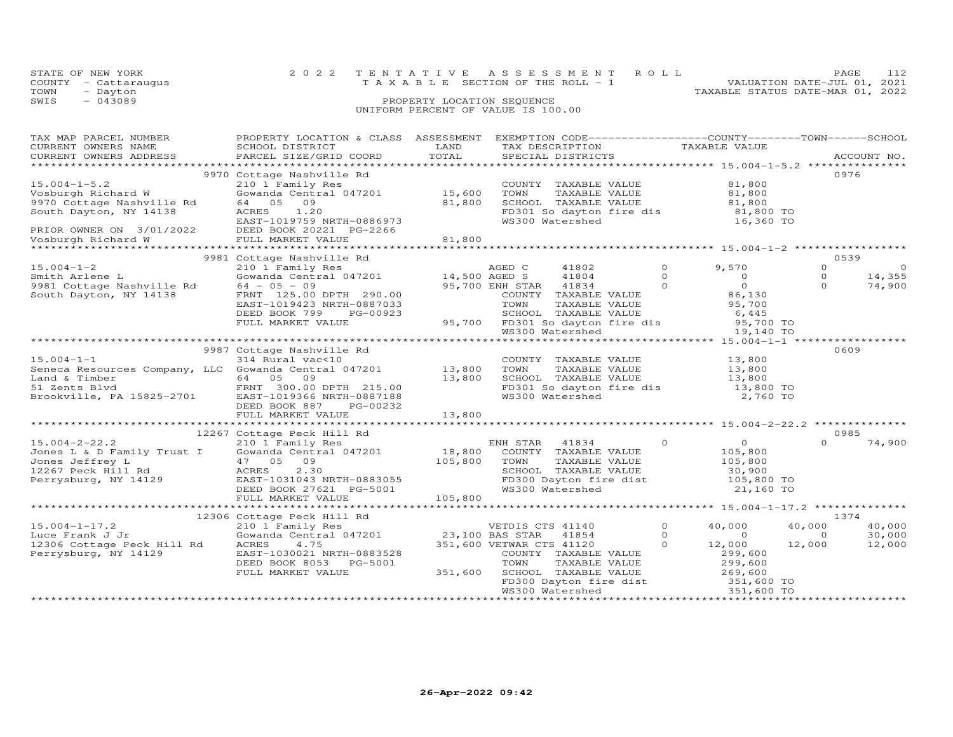| STATE OF NEW YORK    | 2022 TENTATIVE ASSESSMENT ROLL        | 112<br>PAGE                      |
|----------------------|---------------------------------------|----------------------------------|
| COUNTY - Cattaraugus | T A X A B L E SECTION OF THE ROLL - 1 | VALUATION DATE-JUL 01, 2021      |
| TOWN<br>- Dayton     |                                       | TAXABLE STATUS DATE-MAR 01, 2022 |
| SWTS<br>$-043089$    | PROPERTY LOCATION SEQUENCE            |                                  |
|                      | UNIFORM PERCENT OF VALUE IS 100.00    |                                  |

| TAX MAP PARCEL NUMBER<br>CURRENT OWNERS NAME                                                                                                                                          | PROPERTY LOCATION & CLASS ASSESSMENT<br>SCHOOL DISTRICT                                                                                                                                                                                                                                                                                     | LAND             | EXEMPTION CODE-----------------COUNTY-------TOWN------SCHOOL<br>TAX DESCRIPTION                                                                                                                                                                                                |                                                         |                                                                                                   |
|---------------------------------------------------------------------------------------------------------------------------------------------------------------------------------------|---------------------------------------------------------------------------------------------------------------------------------------------------------------------------------------------------------------------------------------------------------------------------------------------------------------------------------------------|------------------|--------------------------------------------------------------------------------------------------------------------------------------------------------------------------------------------------------------------------------------------------------------------------------|---------------------------------------------------------|---------------------------------------------------------------------------------------------------|
| CURRENT OWNERS ADDRESS                                                                                                                                                                | PARCEL SIZE/GRID COORD                                                                                                                                                                                                                                                                                                                      | TOTAL            | SPECIAL DISTRICTS                                                                                                                                                                                                                                                              | TAXABLE VALUE                                           | ACCOUNT NO.                                                                                       |
|                                                                                                                                                                                       |                                                                                                                                                                                                                                                                                                                                             |                  |                                                                                                                                                                                                                                                                                |                                                         |                                                                                                   |
| $15.004 - 1 - 5.2$<br>Vosburgh Richard W<br>9970 Cottage Nashville Rd<br>South Dayton, NY 14138<br>PRIOR OWNER ON 3/01/2022 DEED BOOK 20221 I<br>Vosburgh Richard W FULL MARKET VALUE | 9970 Cottage Nashville Rd<br>210 1 Family Res<br>Gowanda Central 047201 15,600<br>64 05 09<br>ACRES<br>1.20<br>ACRES 1.20<br>EAST-1019759 NRTH-0886973<br>DEED BOOK 20221 PG-2266                                                                                                                                                           | 81,800<br>81,800 | COUNTY TAXABLE VALUE<br>TOWN<br>SCHOOL TAXABLE VALUE<br>SCHOOL TAXABLE VALUE 81,800<br>FD301 So dayton fire dis 81,800 TO<br>WS300 Watershed 16,360 TO                                                                                                                         | 81,800                                                  | 0976                                                                                              |
|                                                                                                                                                                                       |                                                                                                                                                                                                                                                                                                                                             |                  |                                                                                                                                                                                                                                                                                |                                                         | 0539                                                                                              |
|                                                                                                                                                                                       | 9981 Cottage Nashville Rd<br>210 1 Family Res and Arlene L<br>210 1 Family Res and Arlene L<br>210 1 Family Res and Arlene L<br>2981 Cottage Nashville Rd 64 - 05 - 09<br>290.00 95,700 ENH STAF<br>290.00 95,700 ENH STAF<br>290.00 COUNTY<br>EAST-1019423 NRTH-0887033<br>DEED BOOK 799<br>PG-00923                                       |                  | 41802<br>Cowanda Central 047201 14,500 AGED S 41804 0<br>64 - 05 - 09 95,700 ENH STAR 41834 0<br>FRNT 125.00 DPTH 290.00 COUNTY TAXABLE VALUE 86,130<br>TOWN       TAXABLE  VALUE<br>SCHOOL    TAXABLE  VALUE<br>--<br>SCHOOL TAXABLE VALUE<br>95,700 FD301 So dayton fire dis | $\Omega$<br>9,570<br>95,700<br>6,445                    | $\Omega$<br>$\Omega$<br>$\Omega$<br>14,355<br>$\Omega$<br>74,900                                  |
|                                                                                                                                                                                       | FULL MARKET VALUE                                                                                                                                                                                                                                                                                                                           |                  |                                                                                                                                                                                                                                                                                | 95,700 TO                                               |                                                                                                   |
|                                                                                                                                                                                       |                                                                                                                                                                                                                                                                                                                                             |                  |                                                                                                                                                                                                                                                                                | 19,140 TO                                               |                                                                                                   |
|                                                                                                                                                                                       | 9987 Cottage Nashville Rd                                                                                                                                                                                                                                                                                                                   |                  |                                                                                                                                                                                                                                                                                |                                                         | 0609                                                                                              |
| $15.004 - 1 - 1$                                                                                                                                                                      | 314 Rural vac<10<br>Seneca Resources Company, LLC Gowanda Central 047201 13,800<br>Land & Timber<br>51 Zents Blvd<br>Brookville, PA 15825-2701<br>ERNT 300.00 DPTH 215.00<br>EAST-1019366 NRTH-0887188<br>EAST-1019366 NRTH-0887188                                                                                                         |                  | COUNTY TAXABLE VALUE<br>TAXABLE VALUE<br>TAXABLE VALUE 13,800<br>TIVIDIE VALUE 13,800<br>TOWN<br>SCHOOL TAXABLE VALUE 13,800<br>FD301 So dayton fire dis 13,800 TO<br>WS300 Watershed                                                                                          | 13,800<br>2,760 TO                                      |                                                                                                   |
|                                                                                                                                                                                       |                                                                                                                                                                                                                                                                                                                                             |                  |                                                                                                                                                                                                                                                                                |                                                         |                                                                                                   |
|                                                                                                                                                                                       | CONSIDERING THE MAGNETIC CONSISTENT CONSISTED AND RESULT ON THE VALUE OF SALE OF A SURVEY OF SALE OF A SURVEY TRANSILE OF A SURVEY OF A SURVEY OF A SURVEY AND A SURVEY OF A SURVEY OF A SURVEY AND A SURVEY OF A SURVEY OF A<br>12207 Fect nill no ACKES 2.30<br>Perrysburg, NY 14129 EAST-1031043 NRTH-0883055<br>DEED BOOK 27621 PG-5001 |                  | TAXABLE VALUE<br>TAXABLE VALUE 105,800<br>TAXARLE VALUE 30,900<br>SCHOOL TAXABLE VALUE 30,900<br>FD300 Dayton fire dist 105,800 TO<br>WS300 Watershed 21,160 TO<br>WS300 Watershed                                                                                             | $\begin{smallmatrix} & & 0 \ 105,800 \end{smallmatrix}$ | 0985<br>$\Omega$<br>74,900                                                                        |
|                                                                                                                                                                                       | FULL MARKET VALUE                                                                                                                                                                                                                                                                                                                           | 105,800          |                                                                                                                                                                                                                                                                                |                                                         |                                                                                                   |
|                                                                                                                                                                                       |                                                                                                                                                                                                                                                                                                                                             |                  |                                                                                                                                                                                                                                                                                |                                                         |                                                                                                   |
| $15.004 - 1 - 17.2$<br>Luce Frank J Jr<br>12306 Cottage Peck Hill Rd ACRES<br>Perrysburg, NY 14129                                                                                    | EAST-1030021 NRTH-0883528<br>DEED BOOK 8053 PG-5001<br>FULL MARKET VALUE                                                                                                                                                                                                                                                                    |                  | $\Omega$<br>$\Omega$<br>$\Omega$<br>COUNTY TAXABLE VALUE<br>TOWN     TAXABLE VALUE<br>COUNTILE AAADLE VALUE<br>TOWN TAXABLE VALUE 299,600<br>SCHOOL TAXABLE VALUE 269,600<br>FD300 Dayton fire dist 351,600 TO<br>WS300 Watershed 351,600 TO                                   | 40,000<br>$\overline{a}$<br>12,000<br>299,600           | 1374<br>40,000<br>40,000<br>30,000<br>$\begin{smallmatrix}&&&0\12,000\end{smallmatrix}$<br>12,000 |
|                                                                                                                                                                                       |                                                                                                                                                                                                                                                                                                                                             |                  |                                                                                                                                                                                                                                                                                |                                                         |                                                                                                   |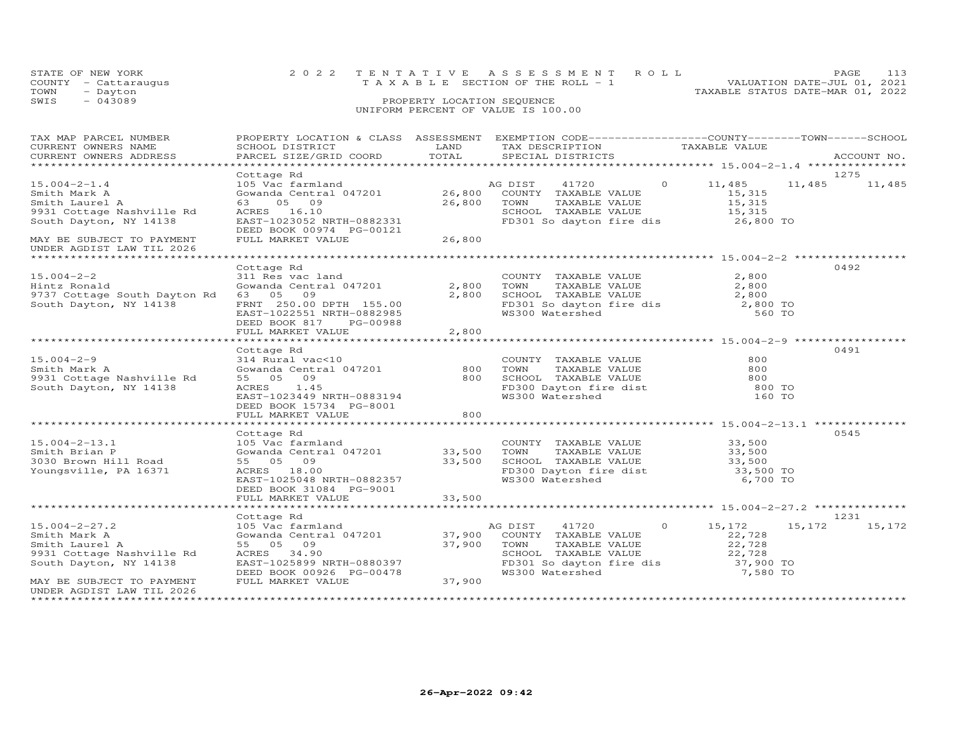| STATE OF NEW YORK    | 2022 TENTATIVE ASSESSMENT ROLL        | PAGE                             | 113 |
|----------------------|---------------------------------------|----------------------------------|-----|
| COUNTY - Cattaraugus | T A X A B L E SECTION OF THE ROLL - 1 | VALUATION DATE-JUL 01, 2021      |     |
| TOWN<br>- Dayton     |                                       | TAXABLE STATUS DATE-MAR 01, 2022 |     |
| SWIS<br>$-043089$    | PROPERTY LOCATION SEQUENCE            |                                  |     |
|                      | UNIFORM PERCENT OF VALUE IS 100.00    |                                  |     |

| TAX MAP PARCEL NUMBER<br>CURRENT OWNERS NAME<br>CURRENT OWNERS ADDRESS                                                                    | PROPERTY LOCATION & CLASS ASSESSMENT EXEMPTION CODE----------------COUNTY-------TOWN------SCHOOL<br>SCHOOL DISTRICT<br>PARCEL SIZE/GRID COORD                       | LAND<br>TOTAL              | TAX DESCRIPTION<br>SPECIAL DISTRICTS                                                                                                                                                   |         | TAXABLE VALUE                                                           |        | ACCOUNT NO.    |
|-------------------------------------------------------------------------------------------------------------------------------------------|---------------------------------------------------------------------------------------------------------------------------------------------------------------------|----------------------------|----------------------------------------------------------------------------------------------------------------------------------------------------------------------------------------|---------|-------------------------------------------------------------------------|--------|----------------|
|                                                                                                                                           |                                                                                                                                                                     |                            |                                                                                                                                                                                        |         |                                                                         |        |                |
| $15.004 - 2 - 1.4$<br>Smith Mark A<br>Smith Laurel A<br>9931 Cottage Nashville Rd<br>South Dayton, NY 14138                               | Cottage Rd<br>105 Vac farmland<br>Gowanda Central 047201 26,800 COUNTY TAXABLE VALUE<br>63<br>05<br>09<br>ACRES 16.10<br>EAST-1023052 NRTH-0882331                  | 26,800                     | 41720<br>AG DIST<br>TAXABLE VALUE<br>TAXABLE VALUE<br>TOWN<br>SCHOOL TAXABLE VALUE<br>$FD301$ So dayton fire dis $26,800$ TO                                                           | $\circ$ | 11,485<br>15,315<br>15,315<br>15,315                                    | 11,485 | 1275<br>11,485 |
| MAY BE SUBJECT TO PAYMENT<br>UNDER AGDIST LAW TIL 2026                                                                                    | DEED BOOK 00974 PG-00121<br>FULL MARKET VALUE                                                                                                                       | 26,800                     |                                                                                                                                                                                        |         |                                                                         |        |                |
|                                                                                                                                           |                                                                                                                                                                     |                            |                                                                                                                                                                                        |         |                                                                         |        | 0492           |
| $15.004 - 2 - 2$<br>Hintz Ronald<br>9737 Cottage South Dayton Rd<br>South Dayton, NY 14138                                                | Cottage Rd<br>311 Res vac land<br>Gowanda Central 047201<br>63 05 09<br>FRNT 250.00 DPTH 155.00<br>EAST-1022551 NRTH-0882985<br>DEED BOOK 817<br>PG-00988           | 2,800<br>2,800             | COUNTY TAXABLE VALUE<br>TOWN<br>TAXABLE VALUE<br>TOWN IAAADDE VADOU<br>SCHOOL TAXABLE VALUE<br>FD301 So dayton fire dis<br>WS300 Watershed                                             |         | 2,800<br>2,800<br>2,800<br>2,800 TO<br>560 TO                           |        |                |
|                                                                                                                                           | FULL MARKET VALUE                                                                                                                                                   | 2,800                      |                                                                                                                                                                                        |         |                                                                         |        |                |
|                                                                                                                                           |                                                                                                                                                                     |                            |                                                                                                                                                                                        |         |                                                                         |        |                |
| $15.004 - 2 - 9$<br>Smith Mark A<br>9931 Cottage Nashville Rd<br>South Dayton, NY 14138                                                   | Cottage Rd<br>314 Rural vac<10<br>Gowanda Central 047201 800<br>55 05 09 800<br>ACRES 1.45<br>1.45<br>ACRES<br>EAST-1023449 NRTH-0883194<br>DEED BOOK 15734 PG-8001 | 800<br>800                 | COUNTY TAXABLE VALUE<br>TOWN TAXABLE VALUE 800<br>SCHOOL TAXABLE VALUE 800<br>FD300 Dayton fire dist 800<br>WS300 Watershed 160                                                        |         | 800<br>800 TO<br>160 TO                                                 |        | 0491           |
|                                                                                                                                           | FULL MARKET VALUE                                                                                                                                                   | 800                        |                                                                                                                                                                                        |         |                                                                         |        |                |
|                                                                                                                                           |                                                                                                                                                                     |                            |                                                                                                                                                                                        |         |                                                                         |        |                |
| $15.004 - 2 - 13.1$<br>Smith Brian P<br>3030 Brown Hill Road<br>Youngsville, PA 16371                                                     | Cottage Rd<br>105 Vac farmland<br>55 05 09<br>ACRES 18.00<br>EAST-1025048 NRTH-0882357<br>DEED BOOK 31084 PG-9001                                                   | 33,500                     | COUNTY TAXABLE VALUE<br>TAXABLE VALUE<br>TOWN<br>SCHOOL TAXABLE VALUE 33,500<br>FD300 Dayton fire dist 33,500 TO<br>WS300 Watershed                                                    |         | 33,500<br>33,500<br>6,700 TO                                            |        | 0545           |
|                                                                                                                                           | FULL MARKET VALUE                                                                                                                                                   | 33,500                     |                                                                                                                                                                                        |         |                                                                         |        |                |
|                                                                                                                                           |                                                                                                                                                                     |                            |                                                                                                                                                                                        |         |                                                                         |        |                |
|                                                                                                                                           | Cottage Rd                                                                                                                                                          |                            |                                                                                                                                                                                        |         |                                                                         |        | 1231           |
| $15.004 - 2 - 27.2$<br>Smith Mark A<br>Smith Laurel A<br>9931 Cottage Nashville Rd<br>South Dayton, NY 14138<br>MAY BE SUBJECT TO PAYMENT | 105 Vac farmland<br>Gowanda Central 047201<br>55 05 09<br>ACRES 34.90<br>EAST-1025899 NRTH-0880397<br>DEED BOOK 00926 PG-00478<br>FULL MARKET VALUE                 | 37,900<br>37,900<br>37,900 | AG DIST<br>41720<br>COUNTY TAXABLE VALUE<br>TOWN      TAXABLE VALUE<br>SCHOOL   TAXABLE VALUE<br>TOWN<br>SUNUL INTER<br>FD301 So dayton fire dis<br>MC300 Watershed<br>WS300 Watershed | $\circ$ | 15,172<br>22,728<br>22,728<br>22,728<br>22,728<br>37,900 TO<br>7,580 TO | 15,172 | 15,172         |
| UNDER AGDIST LAW TIL 2026                                                                                                                 |                                                                                                                                                                     |                            |                                                                                                                                                                                        |         |                                                                         |        |                |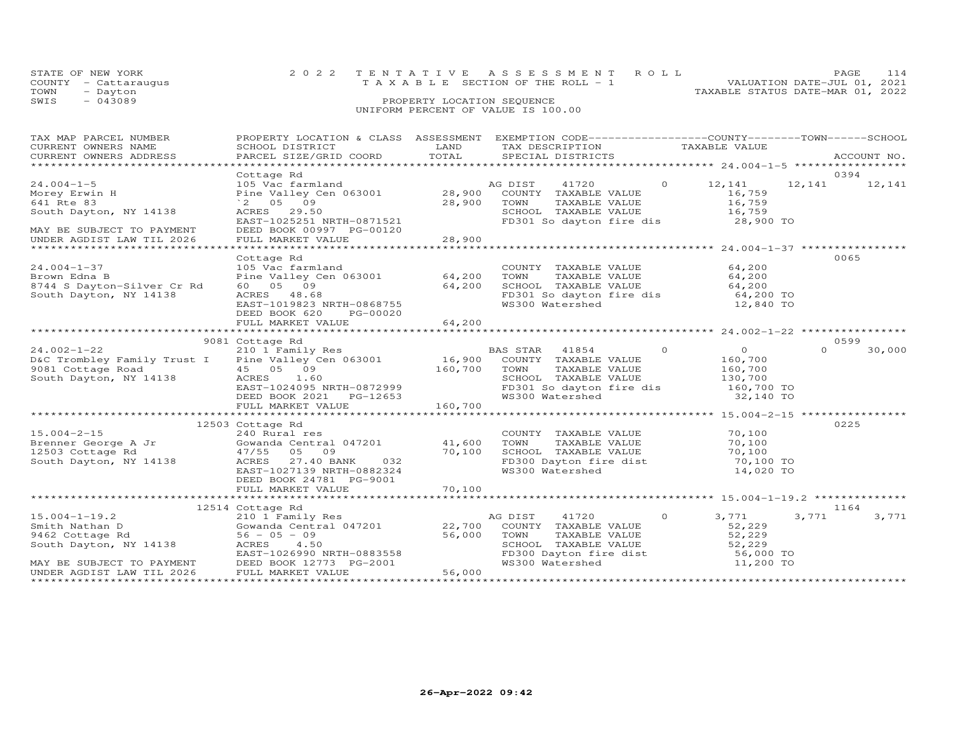| STATE OF NEW YORK    | 2022 TENTATIVE ASSESSMENT ROLL     |                                  | PAGE |  |
|----------------------|------------------------------------|----------------------------------|------|--|
| COUNTY - Cattarauqus | TAXABLE SECTION OF THE ROLL - 1    | VALUATION DATE-JUL 01, 2021      |      |  |
| TOWN<br>- Dayton     |                                    | TAXABLE STATUS DATE-MAR 01, 2022 |      |  |
| SWIS<br>- 043089     | PROPERTY LOCATION SEQUENCE         |                                  |      |  |
|                      | UNIFORM PERCENT OF VALUE IS 100.00 |                                  |      |  |

| TAX MAP PARCEL NUMBER<br>CURRENT OWNERS NAME<br>CONNERT OWNERS ADDRESS FORCEL SIZE/GRID COORD FORM SPECIAL DISTRICTS FOR THE CONNERT OWNERS ADDRESS PARCEL SIZE/GRID COORD TOTAL SPECIAL DISTRICTS FORM ACCOUNT NO.                                                                                      | SCHOOL DISTRICT                                                                                                                                                                                                                      | LAND   | PROPERTY LOCATION & CLASS ASSESSMENT EXEMPTION CODE----------------COUNTY-------TOWN------SCHOOL<br>TAX DESCRIPTION TAXABLE VALUE<br>SPECIAL DISTRICTS                                                                |                    | ACCOUNT NO.            |
|----------------------------------------------------------------------------------------------------------------------------------------------------------------------------------------------------------------------------------------------------------------------------------------------------------|--------------------------------------------------------------------------------------------------------------------------------------------------------------------------------------------------------------------------------------|--------|-----------------------------------------------------------------------------------------------------------------------------------------------------------------------------------------------------------------------|--------------------|------------------------|
| $24.004 - 1 - 5$<br>Morey Erwin H<br>641 Rte 83<br>South Dayton, NY 14138<br>MAY BE SUBJECT TO PAYMENT<br>UNDER AGDIST LAW TIL 2026                                                                                                                                                                      | Cottage Rd<br>$28,900$ TOWN<br>SCHOO<br>$^{\circ}2$ 05 09<br>ACRES 29.50<br>ACRES 29.50<br>EAST-1025251 NRTH-0871521<br>DEED BOOK 00997 PG-00120<br>FULL MARKET VALUE                                                                | 28,900 | 105 Vac farmland<br>28,900 COUNTY TAXABLE VALUE 12,141 12,141<br>Pine Valley Cen 063001 28,900 COUNTY TAXABLE VALUE 16,759<br>TOWN      TAXABLE VALUE<br>SCHOOL   TAXABLE VALUE<br>FD301 So dayton fire dis 28,900 TO | 16,759<br>16,759   | 0394<br>12,141         |
| $24.004 - 1 - 37$<br>Brown Edna B<br>8744 S Dayton-Silver Cr Rd<br>South Dayton, NY 14138                                                                                                                                                                                                                | Cottage Rd<br>Collage Ru<br>105 Vac farmland<br>Pine Valley Cen 063001 64,200<br>04, 200<br>EAST-1019823 NRTH-0868755<br>DEED BOOK 620 PG-00000<br>FULL MARKET -<br>FULL MARKET VALUE                                                | 64,200 | COUNTY TAXABLE VALUE 64,200<br>TOWN TAXABLE VALUE 64,200<br>SCHOOL TAXABLE VALUE 64,200<br>FD301 So dayton fire dis 64,200 TO<br>WS300 Watershed                                                                      | 12,840 TO          | 0065                   |
|                                                                                                                                                                                                                                                                                                          |                                                                                                                                                                                                                                      |        |                                                                                                                                                                                                                       |                    | 0599                   |
| 9081 Cottage Rd<br>210 1 Family Res<br>D&C Trombley Family Trust I Pine Valley Cen 063001 16,900 COUNTY TAXABLE VALUE<br>9081 Cottage Road 45 05 09 160,700 TOWN TAXABLE VALUE<br>160,700 TOWN TAXABLE VALUE<br>SCHOOL TAXABLE VALUE                                                                     | AURES 1.00<br>EAST-1024095 NRTH-0872999<br>DEED BOOK 2021 PG-12653<br>FULL MARKET VALUE 160,700                                                                                                                                      |        | BAS STAR 41854 0 0 0<br>SCHOOL TAXABLE VALUE<br>FD301 So dayton fire dis<br>WS300 Watershed 32,140 TO                                                                                                                 | 160,700<br>160,700 | $\Omega$<br>30,000     |
|                                                                                                                                                                                                                                                                                                          |                                                                                                                                                                                                                                      |        |                                                                                                                                                                                                                       |                    |                        |
|                                                                                                                                                                                                                                                                                                          | Gowanda Central 047201 (at 1,600 TOWN TAXABLE VALUE (at 170,100<br>17/55 05 09 (at 170,100 SCHOOL TAXABLE VALUE (at 170,100 TO 201)<br>ACRES 27.40 BANK 032 (at 170,100 FD300 Dayton fire dist 170,100 TO<br>DEED BOOK 24781 PG-9001 |        | COUNTY TAXABLE VALUE 70,100<br>TOWN TAXABLE VALUE 70,100<br>FD300 Dayton fire dist<br>WS300 Watershed                                                                                                                 | 14,020 TO          | 0225                   |
|                                                                                                                                                                                                                                                                                                          |                                                                                                                                                                                                                                      |        |                                                                                                                                                                                                                       |                    |                        |
|                                                                                                                                                                                                                                                                                                          |                                                                                                                                                                                                                                      |        |                                                                                                                                                                                                                       |                    |                        |
| 15.004-1-19.2<br>Smith Nathan D<br>Smith Nathan D<br>Sowanda Central 047201<br>Section of the South Dayton, NY 14138<br>South Dayton, NY 14138<br>Section of the South Dayton, NY 14138<br>Section of the South Dayton, NY 14138<br>Section of<br>MAY BE SUBJECT TO PAYMENT<br>UNDER AGDIST LAW TIL 2026 | EAST-1026990 NRTH-0883558<br>DEED BOOK 12773 PG-2001<br>FULL MARKET VALUE                                                                                                                                                            | 56,000 | TOWN TAXABLE VALUE<br>TOWN TAXABLE VALUE<br>SCHOOL TAXABLE VALUE<br>FD300 Dayton fire dist<br>WS300 Watershed<br>11,200 TO                                                                                            | 3,771<br>52,229    | 1164<br>3,771<br>3,771 |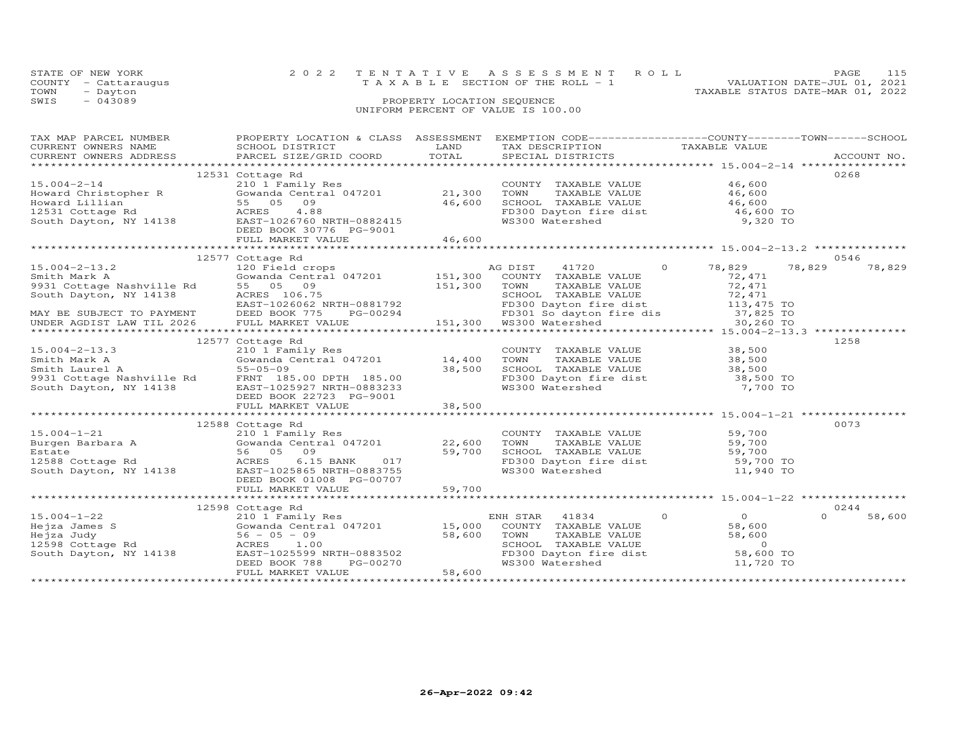| STATE OF NEW YORK    |  | 2022 TENTATIVE ASSESSMENT ROLL     |  |  |                                  | PAGE.                       | 115 |
|----------------------|--|------------------------------------|--|--|----------------------------------|-----------------------------|-----|
| COUNTY - Cattaraugus |  | TAXABLE SECTION OF THE ROLL - 1    |  |  |                                  | VALUATION DATE-JUL 01, 2021 |     |
| TOWN<br>- Dayton     |  |                                    |  |  | TAXABLE STATUS DATE-MAR 01, 2022 |                             |     |
| $-043089$<br>SWIS    |  | PROPERTY LOCATION SEQUENCE         |  |  |                                  |                             |     |
|                      |  | UNIFORM PERCENT OF VALUE IS 100.00 |  |  |                                  |                             |     |
|                      |  |                                    |  |  |                                  |                             |     |

| TAX MAP PARCEL NUMBER<br>TAX MAP PARCEL NUMBER PROPERTY LOCATION & CLASS ASSESSMENT EACH ION CONCLUSIVE CORRENT OWNERS NAME CONCOLL DESCRIPTION TAXABLE VALUE<br>CURRENT OWNERS NAME SCHOOL DISTRICTS FOR TAXABLE VALUE TAXABLE VALUE<br>CURRENT OWNERS ADDRE                       | PROPERTY LOCATION & CLASS ASSESSMENT EXEMPTION CODE-----------------COUNTY-------TOWN------SCHOOL |                                                                                                                                                                     |                                      |                  |
|-------------------------------------------------------------------------------------------------------------------------------------------------------------------------------------------------------------------------------------------------------------------------------------|---------------------------------------------------------------------------------------------------|---------------------------------------------------------------------------------------------------------------------------------------------------------------------|--------------------------------------|------------------|
| 15.004-2-14<br>Howard Christopher R<br>Howard Lillian<br>12531 Cottage Rd<br>South Dayton, NY 14138<br>14138<br>12531 Cottage Rd<br>South Dayton, NY 14138<br>146,600<br>12531 Cottage Rd<br>21,300<br>21,300<br>21,300<br>21,300<br>21,300<br>21,300<br>21,30                      | 12531 Cottage Rd                                                                                  | COUNTY TAXABLE VALUE 46,600<br>CONTRACTED MADE VALUE<br>TOWN TAXABLE VALUE<br>SCHOOL TAXABLE VALUE<br>FD300 Dayton fire dist<br>WS300 Watershed<br>9,320 TO         |                                      | 0268             |
|                                                                                                                                                                                                                                                                                     |                                                                                                   |                                                                                                                                                                     |                                      | 0546             |
|                                                                                                                                                                                                                                                                                     | 12577 Cottage Rd                                                                                  |                                                                                                                                                                     |                                      | 78,829           |
|                                                                                                                                                                                                                                                                                     |                                                                                                   |                                                                                                                                                                     |                                      |                  |
|                                                                                                                                                                                                                                                                                     |                                                                                                   | COUNTY TAXABLE VALUE 38,500<br>TOWN TAXABLE VALUE 38,500<br>SCHOOL TAXABLE VALUE 38,500<br>FD300 Dayton fire dist 38,500 TO<br>WS300 Watershed 7,700 TO             |                                      | 1258             |
|                                                                                                                                                                                                                                                                                     |                                                                                                   |                                                                                                                                                                     |                                      |                  |
| 15.004-1-21<br>Burgen Barbara A (210 1 Family Res<br>Estate 56 05 09 59,700<br>12588 Cottage Rd (2586 ACRES 6.15 BANK 017<br>South Dayton, NY 14138 EAST-1025865 NRTH-0883755<br>RERS 6.15 BANK 017<br>RERS 6.15 BANK 017                                                           | 12588 Cottage Rd<br>DEED BOOK 01008 PG-00707                                                      | COUNTY TAXABLE VALUE 59,700<br>TOWN TAXABLE VALUE 59,700<br>SCHOOL TAXABLE VALUE 59,700<br>FD300 Dayton fire dist 59,700 TO<br>WS300 Watershed 11,940 TO            |                                      | 0073             |
|                                                                                                                                                                                                                                                                                     |                                                                                                   |                                                                                                                                                                     |                                      |                  |
|                                                                                                                                                                                                                                                                                     | 12598 Cottage Rd                                                                                  |                                                                                                                                                                     |                                      | 0244             |
| 15.004-1-22<br>Hejza James S<br>Hejza Judy S6 - 05 - 09<br>15,000<br>15,000<br>15,000<br>15,000<br>15,000<br>15,000<br>15,000<br>15,000<br>2010<br>58,600<br>2010<br>2010<br>2010<br>2010<br>2010<br>2010<br>2010<br>2010<br>2010<br>2010<br>20270<br>20270<br>2010<br>20270<br>201 |                                                                                                   | ENH STAR 41834<br>COUNTY TAXABLE VALUE<br>TOWN TAXABLE VALUE 58,600<br>SCHOOL TAXABLE VALUE 58,600<br>FD300 Dayton fire dist 58,600 TO<br>WS300 Watershed 11,720 TO | $\overline{0}$<br>$\Omega$<br>58,600 | $\cap$<br>58,600 |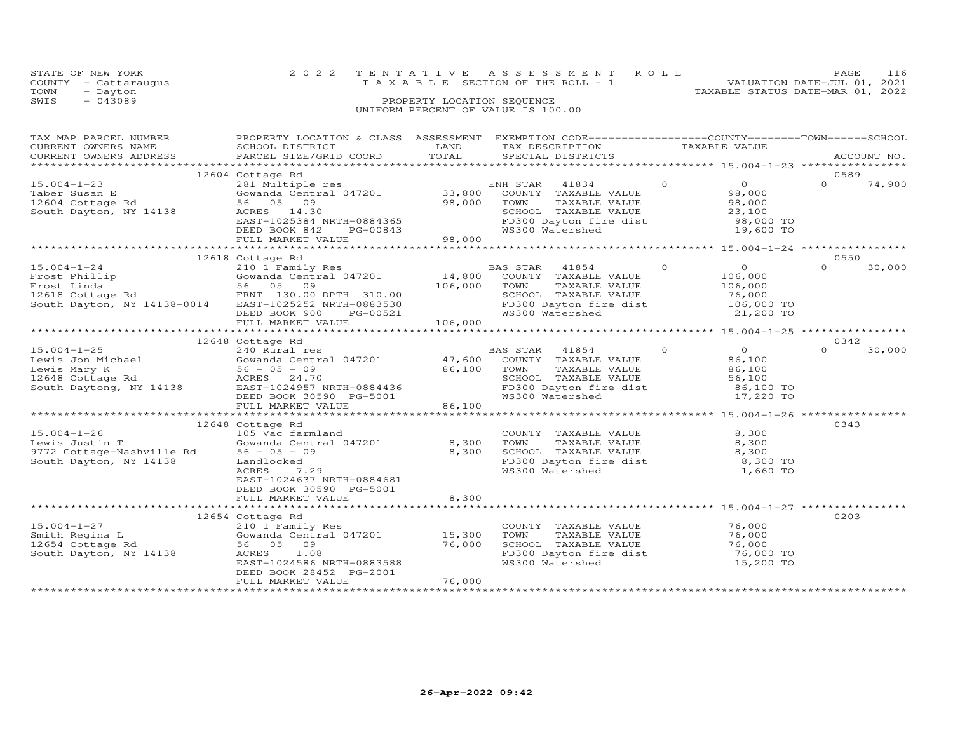| 116                              |
|----------------------------------|
| VALUATION DATE-JUL 01, 2021      |
| TAXABLE STATUS DATE-MAR 01, 2022 |
|                                  |
|                                  |
|                                  |

| TAX MAP PARCEL NUMBER<br>TA PIACE SCHOOL DISTRICT CORD TAXAGE TALL AND TRAFFORM TAXABLE VALUE<br>CURRENT OWNERS ADDRESS BARCEL SIZE/GRID COORD INND TOTAL SPECIAL DISTRICTS ACCOUNT NO.<br>TAXAGE SERVEL SIZE/GRID COORD TOTAL SPECIAL DISTRICTS ACCOUNT NO.                                                                                                                                                      | PROPERTY LOCATION & CLASS ASSESSMENT EXEMPTION CODE----------------COUNTY-------TOWN------SCHOOL                                                                                                                                                                                                                                 |                  |                             |                                                                                                                                   |          |                                                                                                                                                                                                                                                                                                                                                        |          |                |
|-------------------------------------------------------------------------------------------------------------------------------------------------------------------------------------------------------------------------------------------------------------------------------------------------------------------------------------------------------------------------------------------------------------------|----------------------------------------------------------------------------------------------------------------------------------------------------------------------------------------------------------------------------------------------------------------------------------------------------------------------------------|------------------|-----------------------------|-----------------------------------------------------------------------------------------------------------------------------------|----------|--------------------------------------------------------------------------------------------------------------------------------------------------------------------------------------------------------------------------------------------------------------------------------------------------------------------------------------------------------|----------|----------------|
|                                                                                                                                                                                                                                                                                                                                                                                                                   |                                                                                                                                                                                                                                                                                                                                  |                  |                             |                                                                                                                                   |          |                                                                                                                                                                                                                                                                                                                                                        |          |                |
| $15.004 - 1 - 23$<br>Taber Susan E<br>12604 Cottage Rd<br>South Dayton, NY 14138                                                                                                                                                                                                                                                                                                                                  | 12604 Cottage Rd<br>Cotlage Ku<br>281 Multiple res<br>Gowanda Central 047201 33,800 COUNTY TAXABLE VALUE<br>56 05 09 98,000<br>ACRES 14.30<br>EAST-1025384 NRTH-0884365<br>DEED BOOK 842 PG-00843<br>FULL MARKET VALUE<br>FULL 98,000<br>FULL 198,000                                                                            |                  | TOWN                        | TAXABLE VALUE<br>SCHOOL TAXABLE VALUE $23,100$<br>FD300 Dayton fire dist 98,000 TO<br>WS300 Watershed 19,600 TO                   | $\Omega$ | $\overline{O}$ and $\overline{O}$ and $\overline{O}$ and $\overline{O}$ and $\overline{O}$ and $\overline{O}$ and $\overline{O}$ and $\overline{O}$ and $\overline{O}$ and $\overline{O}$ and $\overline{O}$ and $\overline{O}$ and $\overline{O}$ and $\overline{O}$ and $\overline{O}$ and $\overline{O}$ and $\overline{O}$ and<br>98,000<br>98,000 | $\cap$   | 0589<br>74,900 |
|                                                                                                                                                                                                                                                                                                                                                                                                                   |                                                                                                                                                                                                                                                                                                                                  |                  |                             |                                                                                                                                   |          |                                                                                                                                                                                                                                                                                                                                                        |          |                |
|                                                                                                                                                                                                                                                                                                                                                                                                                   |                                                                                                                                                                                                                                                                                                                                  |                  |                             |                                                                                                                                   |          |                                                                                                                                                                                                                                                                                                                                                        |          |                |
| $15.004 - 1 - 24$<br>15.004-1-24<br>Frost Phillip (10.000 10.000 10.000 10.000 10.000 10.000 10.000 10.000 10.000 10.000 10.000 10.000<br>Frost Linda 56 05 09 106,<br>12618 Cottage Rd FRNT 130.00 DPTH 310.00<br>South Dayton, NY 14138-0014 EAST-1025252                                                                                                                                                       | 12618 Cottage Rd<br>210 1 $\overline{F}$ amily Res BA<br>Gowanda Central 047201 14,800<br>FRNT 130.00 DPTH 310.00<br>FD300 Dayton fire dist 50,000 TO FORD 106,000 TO FORD PG-00521<br>DEED BOOK 900 PG-00521 WS300 Watershed 5000 PULL MARKET VALUE<br>FULL MARKET VALUE 106,000<br>FULL MARKET VALUE 106,000 TO 106,000 TO 106 | 106,000          | TOWN                        | BAS STAR 41854<br>COUNTY TAXABLE VALUE<br>TAXABLE VALUE<br>SCHOOL TAXABLE VALUE                                                   | $\Omega$ | $\Omega$<br>106,000<br>106,000<br>76,000                                                                                                                                                                                                                                                                                                               | $\Omega$ | 0550<br>30,000 |
|                                                                                                                                                                                                                                                                                                                                                                                                                   |                                                                                                                                                                                                                                                                                                                                  |                  |                             |                                                                                                                                   |          |                                                                                                                                                                                                                                                                                                                                                        |          |                |
| $\begin{tabular}{lllllllllllllllllllll} \text{15.004--1--25} & & & & & & \text{BAS STAI} \\ \text{Lewis Jon Michael} & & & \text{Gowanda Central 047201} & & & 47,600 & \text{COUNT:} \\ \text{Lewis Mary K} & & & 56 & -05 & -09 & & 86,100 & \text{TOWN} \\ 12648 \text{ Cottage Rd} & & & & & \text{ACRES} & 24.70 & & & \text{SCHOOI} \\ \text{South Daytong, NY 14138} & & & \text{EAST-1024957 NRTH-088443$ | 12648 Cottage Rd<br>FULL MARKET VALUE                                                                                                                                                                                                                                                                                            | 86,100           | BAS STAR<br>WS300 Watershed | 41854<br>COUNTY TAXABLE VALUE<br>TAXABLE VALUE<br>SCHOOL TAXABLE VALUE<br>FD300 Dayton fire dist 86,100 TO                        | $\Omega$ | $\Omega$<br>86,100<br>86,100<br>56,100<br>17,220 TO                                                                                                                                                                                                                                                                                                    | $\Omega$ | 0342<br>30,000 |
|                                                                                                                                                                                                                                                                                                                                                                                                                   |                                                                                                                                                                                                                                                                                                                                  |                  |                             |                                                                                                                                   |          |                                                                                                                                                                                                                                                                                                                                                        |          |                |
| $15.004 - 1 - 26$<br>Lewis Justin T<br>9772 Cottage-Nashville Rd 56 - 05 - 09<br>South Dayton, NY 14138                                                                                                                                                                                                                                                                                                           | 12648 Cottage Rd<br>105 Vac farmland<br>Gowanda Central 047201 8,300<br>Landlocked<br>ACRES<br>7.29<br>EAST-1024637 NRTH-0884681<br>DEED BOOK 30590 PG-5001<br>FULL MARKET VALUE                                                                                                                                                 | 8,300<br>8,300   |                             | COUNTY TAXABLE VALUE<br>TOWN      TAXABLE  VALUE<br>SCHOOL   TAXABLE  VALUE<br>FD300 Dayton fire dist 8,300 TO<br>WS300 Watershed |          | 8,300<br>8,300<br>8,300<br>1,660 TO                                                                                                                                                                                                                                                                                                                    |          | 0343           |
|                                                                                                                                                                                                                                                                                                                                                                                                                   |                                                                                                                                                                                                                                                                                                                                  |                  |                             |                                                                                                                                   |          |                                                                                                                                                                                                                                                                                                                                                        |          |                |
| $15.004 - 1 - 27$<br>Smith Regina L<br>12654 Cottage Rd<br>South Dayton, NY 14138                                                                                                                                                                                                                                                                                                                                 | 12654 Cottage Rd<br>210 1 Family Res<br>Gowanda Central 047201 15,300<br>56 05 09<br>ACRES<br>1.08<br>EAST-1024586 NRTH-0883588<br>DEED BOOK 28452 PG-2001<br>FULL MARKET VALUE                                                                                                                                                  | 76,000<br>76,000 | TOWN                        | COUNTY TAXABLE VALUE<br>TAXABLE VALUE<br>SCHOOL TAXABLE VALUE<br>FD300 Dayton fire dist 76,000 TO<br>WS300 Watershed              |          | 76,000<br>76,000<br>76,000<br>15,200 TO                                                                                                                                                                                                                                                                                                                |          | 0203           |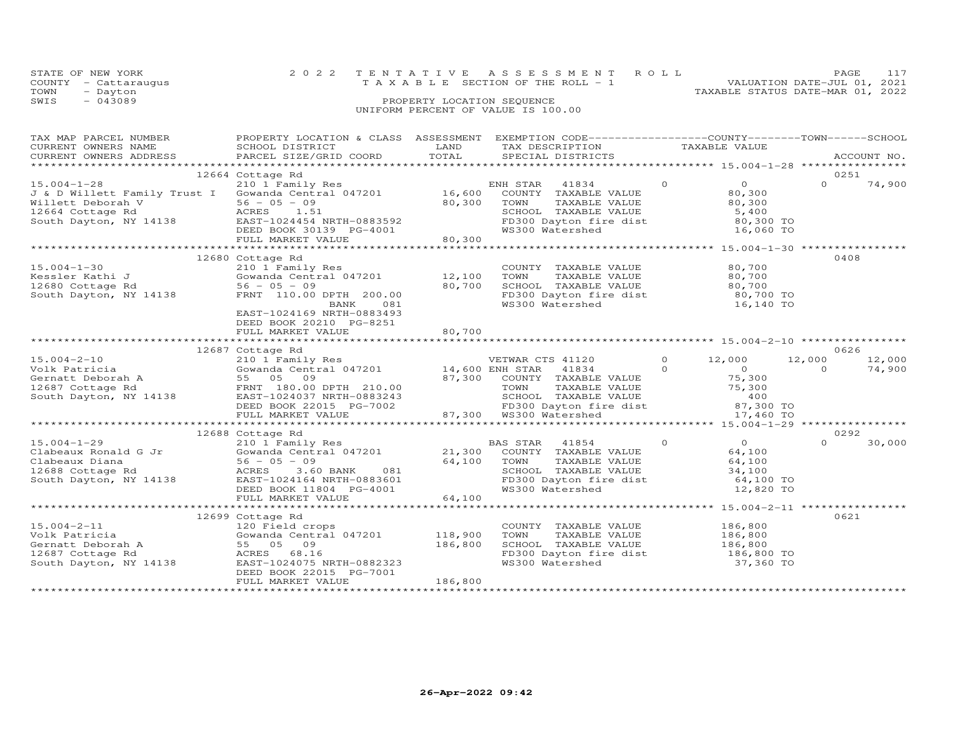|      | STATE OF NEW YORK    | 2022 TENTATIVE ASSESSMENT ROLL        |  |                                  | <b>PAGE</b>                 | 117 |
|------|----------------------|---------------------------------------|--|----------------------------------|-----------------------------|-----|
|      | COUNTY - Cattaraugus | T A X A B L E SECTION OF THE ROLL - 1 |  |                                  | VALUATION DATE-JUL 01, 2021 |     |
| TOWN | - Dayton             |                                       |  | TAXABLE STATUS DATE-MAR 01, 2022 |                             |     |
| SWIS | $-043089$            | PROPERTY LOCATION SEQUENCE            |  |                                  |                             |     |
|      |                      | UNIFORM PERCENT OF VALUE IS 100.00    |  |                                  |                             |     |

| TAX MAP PARCEL NUMBER<br>CURRENT OWNERS NAME                                                                                                                                                                                                            | PROPERTY LOCATION & CLASS ASSESSMENT EXEMPTION CODE----------------COUNTY-------TOWN------SCHOOL<br>SCHOOL DISTRICT | LAND    | TAX DESCRIPTION                                                                                                                                                                   |               | TAXABLE VALUE                         |          |        |
|---------------------------------------------------------------------------------------------------------------------------------------------------------------------------------------------------------------------------------------------------------|---------------------------------------------------------------------------------------------------------------------|---------|-----------------------------------------------------------------------------------------------------------------------------------------------------------------------------------|---------------|---------------------------------------|----------|--------|
|                                                                                                                                                                                                                                                         | SCHOOL DISTRICT<br>PARCEL SIZE/GRID COORD                                                                           |         |                                                                                                                                                                                   |               |                                       |          |        |
|                                                                                                                                                                                                                                                         |                                                                                                                     |         |                                                                                                                                                                                   |               |                                       |          |        |
|                                                                                                                                                                                                                                                         | 12664 Cottage Rd                                                                                                    |         |                                                                                                                                                                                   |               |                                       |          | 0251   |
|                                                                                                                                                                                                                                                         |                                                                                                                     |         | ENH STAR<br>41834                                                                                                                                                                 | $\circ$       | $\overline{O}$ and $\overline{O}$     | $\Omega$ | 74,900 |
|                                                                                                                                                                                                                                                         |                                                                                                                     |         | COUNTY TAXABLE VALUE                                                                                                                                                              |               | 80,300                                |          |        |
| Willett Deborah V<br>12664 Cottage Rd<br>12664 Cottage Rd<br>12664 Cottage Rd<br>12664 Cottage Rd<br>12664 Cottage Rd<br>12664 Cottage Rd<br>12664 Cottage Rd<br>12683592<br>DEED BOOK 30139 PG-4001                                                    |                                                                                                                     |         | TAXABLE VALUE<br>TAXABLE VALUE 30,300<br>TAXABLE VALUE 5,400<br>TOWN TAXABLE vALUE<br>SCHOOL TAXABLE VALUE 5,400<br>FD300 Dayton fire dist 80,300 TO<br>WS300 Watershed 16,060 TO |               |                                       |          |        |
|                                                                                                                                                                                                                                                         |                                                                                                                     |         |                                                                                                                                                                                   |               |                                       |          |        |
|                                                                                                                                                                                                                                                         |                                                                                                                     |         |                                                                                                                                                                                   |               |                                       |          |        |
|                                                                                                                                                                                                                                                         |                                                                                                                     |         |                                                                                                                                                                                   |               |                                       |          |        |
|                                                                                                                                                                                                                                                         | FULL MARKET VALUE                                                                                                   | 80,300  |                                                                                                                                                                                   |               |                                       |          |        |
|                                                                                                                                                                                                                                                         |                                                                                                                     |         |                                                                                                                                                                                   |               |                                       |          |        |
|                                                                                                                                                                                                                                                         | 12680 Cottage Rd                                                                                                    |         |                                                                                                                                                                                   |               |                                       |          | 0408   |
| $15.004 - 1 - 30$                                                                                                                                                                                                                                       | 210 1 Family Res                                                                                                    |         | COUNTY TAXABLE VALUE                                                                                                                                                              |               | 80,700                                |          |        |
|                                                                                                                                                                                                                                                         |                                                                                                                     |         | TAXABLE VALUE<br>TAXABLE VALUE<br>TAXABLE VALUE<br>TOWN                                                                                                                           |               | 80,700                                |          |        |
|                                                                                                                                                                                                                                                         |                                                                                                                     |         | SCHOOL TAXABLE VALUE                                                                                                                                                              |               | 80,700                                |          |        |
|                                                                                                                                                                                                                                                         |                                                                                                                     |         | FD300 Dayton fire dist 80,700 TO                                                                                                                                                  |               |                                       |          |        |
|                                                                                                                                                                                                                                                         | BANK 081                                                                                                            |         | WS300 Watershed                                                                                                                                                                   |               | 16,140 TO                             |          |        |
|                                                                                                                                                                                                                                                         | EAST-1024169 NRTH-0883493                                                                                           |         |                                                                                                                                                                                   |               |                                       |          |        |
|                                                                                                                                                                                                                                                         | DEED BOOK 20210 PG-8251                                                                                             |         |                                                                                                                                                                                   |               |                                       |          |        |
|                                                                                                                                                                                                                                                         |                                                                                                                     | 80,700  |                                                                                                                                                                                   |               |                                       |          |        |
|                                                                                                                                                                                                                                                         | FULL MARKET VALUE                                                                                                   |         |                                                                                                                                                                                   |               |                                       |          |        |
|                                                                                                                                                                                                                                                         |                                                                                                                     |         |                                                                                                                                                                                   |               |                                       |          | 0626   |
|                                                                                                                                                                                                                                                         | 12687 Cottage Rd<br>210 1 Family Res                                                                                |         |                                                                                                                                                                                   | $0 \t 12,000$ |                                       |          |        |
| $15.004 - 2 - 10$                                                                                                                                                                                                                                       |                                                                                                                     |         | VETWAR CTS 41120                                                                                                                                                                  |               |                                       | 12,000   | 12,000 |
|                                                                                                                                                                                                                                                         |                                                                                                                     |         |                                                                                                                                                                                   |               |                                       |          |        |
|                                                                                                                                                                                                                                                         |                                                                                                                     |         |                                                                                                                                                                                   |               |                                       |          |        |
|                                                                                                                                                                                                                                                         |                                                                                                                     |         |                                                                                                                                                                                   |               |                                       |          |        |
|                                                                                                                                                                                                                                                         |                                                                                                                     |         |                                                                                                                                                                                   |               |                                       |          |        |
|                                                                                                                                                                                                                                                         |                                                                                                                     |         |                                                                                                                                                                                   |               |                                       |          |        |
|                                                                                                                                                                                                                                                         |                                                                                                                     |         |                                                                                                                                                                                   |               |                                       |          |        |
| 15.004-2-10<br>Volk Patricia (300 External 047201 14,600 ENTAR 41834 0<br>Genatt Deborah A 55 05 09 87,300 COUNTY TAXABLE VALUE 75,300<br>South Dayton, NY 14138 EAST-1024037 NRTH-0883243 SOUTH 210.00<br>South Dayton, NY 14138 EAST                  |                                                                                                                     |         |                                                                                                                                                                                   |               |                                       |          |        |
|                                                                                                                                                                                                                                                         |                                                                                                                     |         |                                                                                                                                                                                   |               | $\begin{array}{c} 0 \\ 0 \end{array}$ |          | 0292   |
|                                                                                                                                                                                                                                                         |                                                                                                                     |         |                                                                                                                                                                                   |               |                                       | $\Omega$ | 30,000 |
|                                                                                                                                                                                                                                                         | 210 1 Family Res<br>Gowanda Central 047201 21,300 COUNTY TAXABLE VALUE                                              |         |                                                                                                                                                                                   |               |                                       |          |        |
|                                                                                                                                                                                                                                                         |                                                                                                                     |         | TAXADDD VIDDO<br>TAXABLE VALUE<br>TAYARLE VALUE                                                                                                                                   |               | 64,100                                |          |        |
|                                                                                                                                                                                                                                                         |                                                                                                                     |         | SCHOOL TAXABLE VALUE<br>FD300 Dayton fire dist 64,100 TO<br>FD300 Dayton fire dist 64,000 TO                                                                                      |               |                                       |          |        |
|                                                                                                                                                                                                                                                         |                                                                                                                     |         |                                                                                                                                                                                   |               |                                       |          |        |
|                                                                                                                                                                                                                                                         |                                                                                                                     |         | WS300 Watershed                                                                                                                                                                   |               | 12,820 TO                             |          |        |
|                                                                                                                                                                                                                                                         |                                                                                                                     |         |                                                                                                                                                                                   |               |                                       |          |        |
| 15.004-1-29<br>Clabeaux Ronald G Jr<br>Clabeaux Diana<br>Clabeaux Diana<br>12688 Cottage Rd<br>South Dayton, NY 14138<br>CLABER 2.60 BANK<br>CLABER 2.60 BANK<br>21,300 COUNI<br>21,300 COUNI<br>21,300 COUNI<br>21,300 COUNI<br>21,300 COUNI<br>21,300 |                                                                                                                     |         |                                                                                                                                                                                   |               |                                       |          |        |
|                                                                                                                                                                                                                                                         | 12699 Cottage Rd                                                                                                    |         |                                                                                                                                                                                   |               |                                       |          | 0621   |
| $15.004 - 2 - 11$                                                                                                                                                                                                                                       | 120 Field crops                                                                                                     |         | COUNTY TAXABLE VALUE 186,800                                                                                                                                                      |               |                                       |          |        |
|                                                                                                                                                                                                                                                         | Gowanda Central 047201 118,900                                                                                      |         | TAXABLE VALUE 78. 186,800<br>TAXABLE VALUE 186,800<br>TAXABLE VALUE 186,800<br>TOWN                                                                                               |               |                                       |          |        |
|                                                                                                                                                                                                                                                         |                                                                                                                     |         |                                                                                                                                                                                   |               |                                       |          |        |
|                                                                                                                                                                                                                                                         |                                                                                                                     | 186,800 | SCHOOL TAXABLE VALUE 186,800<br>FD300 Dayton fire dist 186,800 TO                                                                                                                 |               |                                       |          |        |
|                                                                                                                                                                                                                                                         | EAST-1024075 NRTH-0882323                                                                                           |         | WS300 Watershed                                                                                                                                                                   |               | 37,360 TO                             |          |        |
|                                                                                                                                                                                                                                                         | DEED BOOK 22015 PG-7001                                                                                             |         |                                                                                                                                                                                   |               |                                       |          |        |
|                                                                                                                                                                                                                                                         | FULL MARKET VALUE                                                                                                   | 186,800 |                                                                                                                                                                                   |               |                                       |          |        |
|                                                                                                                                                                                                                                                         |                                                                                                                     |         |                                                                                                                                                                                   |               |                                       |          |        |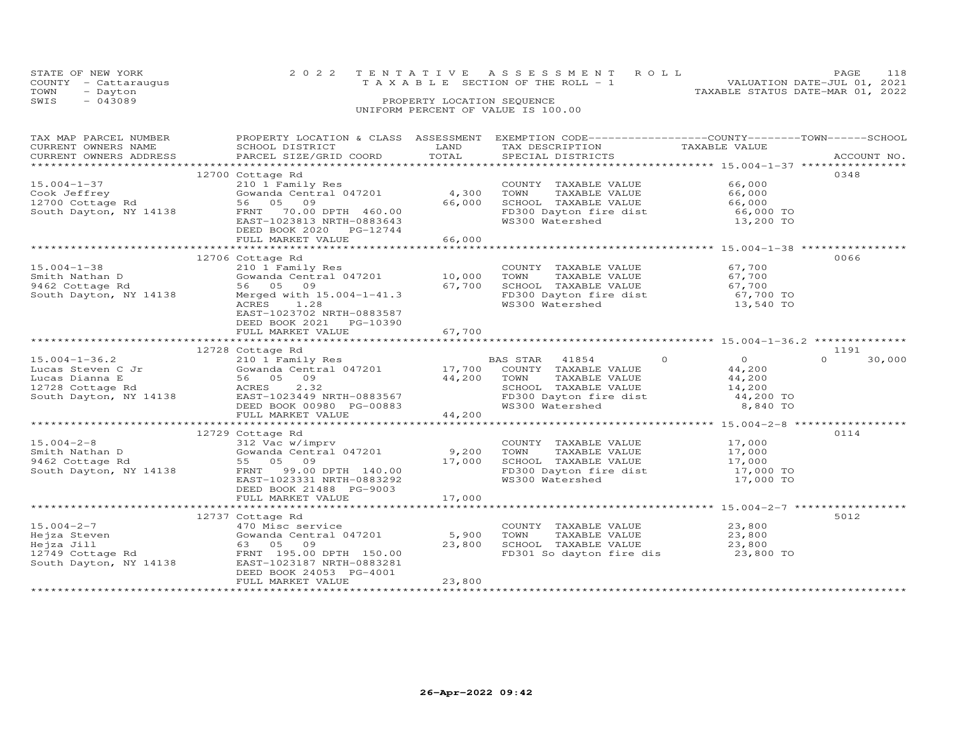| STATE OF NEW YORK    |           | 2022 TENTATIVE ASSESSMENT ROLL        |  |                                  | <b>PAGE</b> | 118 |
|----------------------|-----------|---------------------------------------|--|----------------------------------|-------------|-----|
| COUNTY - Cattaraugus |           | T A X A B L E SECTION OF THE ROLL - 1 |  | VALUATION DATE-JUL 01, 2021      |             |     |
| TOWN                 | - Dayton  |                                       |  | TAXABLE STATUS DATE-MAR 01, 2022 |             |     |
| SWIS                 | $-043089$ | PROPERTY LOCATION SEOUENCE            |  |                                  |             |     |
|                      |           | UNIFORM PERCENT OF VALUE IS 100.00    |  |                                  |             |     |
|                      |           |                                       |  |                                  |             |     |

| TAX MAP PARCEL NUMBER<br>CURRENT OWNERS NAME<br>CURRENT OWNERS ADDRESS                                                                                  | PROPERTY LOCATION & CLASS ASSESSMENT<br>SCHOOL DISTRICT<br>PARCEL SIZE/GRID COORD                                                                                                                                     | LAND<br>TOTAL             | EXEMPTION CODE-----------------COUNTY-------TOWN------SCHOOL<br>TAX DESCRIPTION<br>SPECIAL DISTRICTS                                           | TAXABLE VALUE                               | ACCOUNT NO.                |
|---------------------------------------------------------------------------------------------------------------------------------------------------------|-----------------------------------------------------------------------------------------------------------------------------------------------------------------------------------------------------------------------|---------------------------|------------------------------------------------------------------------------------------------------------------------------------------------|---------------------------------------------|----------------------------|
|                                                                                                                                                         |                                                                                                                                                                                                                       |                           |                                                                                                                                                |                                             |                            |
| $15.004 - 1 - 37$                                                                                                                                       | 12700 Cottage Rd<br>210 1 Family Res<br>Gowanda Central 047201                                                                                                                                                        | 4,300                     | COUNTY TAXABLE VALUE<br>TAXABLE VALUE<br>TOWN                                                                                                  | 66,000<br>66,000                            | 0348                       |
| Cook Jeffrey<br>12700 Cottage Rd 56 05 09<br>South Dayton, NY 14138 FRNT 70.00                                                                          | FRNT 70.00 DPTH 460.00<br>EAST-1023813 NRTH-0883643<br>DEED BOOK 2020 PG-12744                                                                                                                                        | 66,000                    | SCHOOL TAXABLE VALUE<br>FD300 Dayton fire dist<br>WS300 Watershed                                                                              | 66,000<br>66,000 TO<br>13,200 TO            |                            |
|                                                                                                                                                         | FULL MARKET VALUE                                                                                                                                                                                                     | 66,000                    |                                                                                                                                                |                                             |                            |
|                                                                                                                                                         | 12706 Cottage Rd                                                                                                                                                                                                      |                           |                                                                                                                                                |                                             | 0066                       |
| $15.004 - 1 - 38$<br>Smith Nathan D<br>9462 Cottage Rd<br>South Dayton, NY 14138                                                                        | 210 1 Family Res<br>Gowanda Central 047201 10,000<br>56 05 09<br>Merged with 15.004-1-41.3<br>ACRES<br>1.28<br>EAST-1023702 NRTH-0883587<br>DEED BOOK 2021 PG-10390                                                   | 67,700                    | COUNTY TAXABLE VALUE<br>TOWN<br>SCHOOL TAXABLE VALUE 67,700<br>FD300 Dayton fire dist 67,700 TO<br>WS300 Watershed                             | 67,700<br>TAXABLE VALUE 67,700<br>13,540 TO |                            |
|                                                                                                                                                         | FULL MARKET VALUE                                                                                                                                                                                                     | 67,700                    |                                                                                                                                                |                                             |                            |
|                                                                                                                                                         |                                                                                                                                                                                                                       |                           |                                                                                                                                                |                                             |                            |
|                                                                                                                                                         | 12728 Cottage Rd<br>210 1 Family Res                                                                                                                                                                                  |                           | BAS STAR 41854 0                                                                                                                               | $\overline{O}$                              | 1191<br>30,000<br>$\Omega$ |
|                                                                                                                                                         |                                                                                                                                                                                                                       |                           | COUNTY TAXABLE VALUE 44,200<br>TOWN TAXABLE VALUE 44,200<br>SCHOOL TAXABLE VALUE 14,200<br>FD300 Dayton fire dist 44,200 TO<br>WS300 Watershed | 8,840 TO                                    |                            |
|                                                                                                                                                         |                                                                                                                                                                                                                       |                           |                                                                                                                                                |                                             |                            |
|                                                                                                                                                         |                                                                                                                                                                                                                       |                           |                                                                                                                                                |                                             |                            |
| $15.004 - 2 - 8$<br>Smith Nathan D<br>9462 Cottage Rd                                                                                                   | 12729 Cottage Rd<br>312 $\bar{vac}$ w/imprv<br>Gowanda Central 047201 9,200<br>55 05 09<br>South Dayton, NY 14138 FRNT 99.00 DPTH 140.00<br>EAST-1023331 NRTH-0883292<br>DEED BOOK 21488 PG-9003<br>FULL MARKET VALUE | 17,000<br>17,000          | COUNTY TAXABLE VALUE<br>TOWN      TAXABLE VALUE<br>SCHOOL TAXABLE VALUE 17,000<br>FD300 Dayton fire dist 17,000 TO<br>WS300 Watershed          | 17,000<br>17,000<br>17,000 TO               | 0114                       |
|                                                                                                                                                         |                                                                                                                                                                                                                       |                           |                                                                                                                                                |                                             |                            |
|                                                                                                                                                         | 12737 Cottage Rd                                                                                                                                                                                                      |                           |                                                                                                                                                |                                             | 5012                       |
| $15.004 - 2 - 7$<br>Hejza Steven<br>Hejza Jill 63 05 09<br>12749 Cottage Rd FRNT 195.00 DPTH 150.00<br>South Dayton, NY 14138 EAST-1023187 NRTH-0883281 | 470 Misc service<br>Gowanda Central 047201<br>DEED BOOK 24053 PG-4001<br>FULL MARKET VALUE                                                                                                                            | 5,900<br>23,800<br>23,800 | COUNTY TAXABLE VALUE 23,800<br>TOWN<br>TAXABLE VALUE<br>SCHOOL TAXABLE VALUE<br>FD301 So dayton fire dis                                       | 23,800<br>23,800<br>23,800 TO               |                            |
|                                                                                                                                                         |                                                                                                                                                                                                                       |                           |                                                                                                                                                |                                             |                            |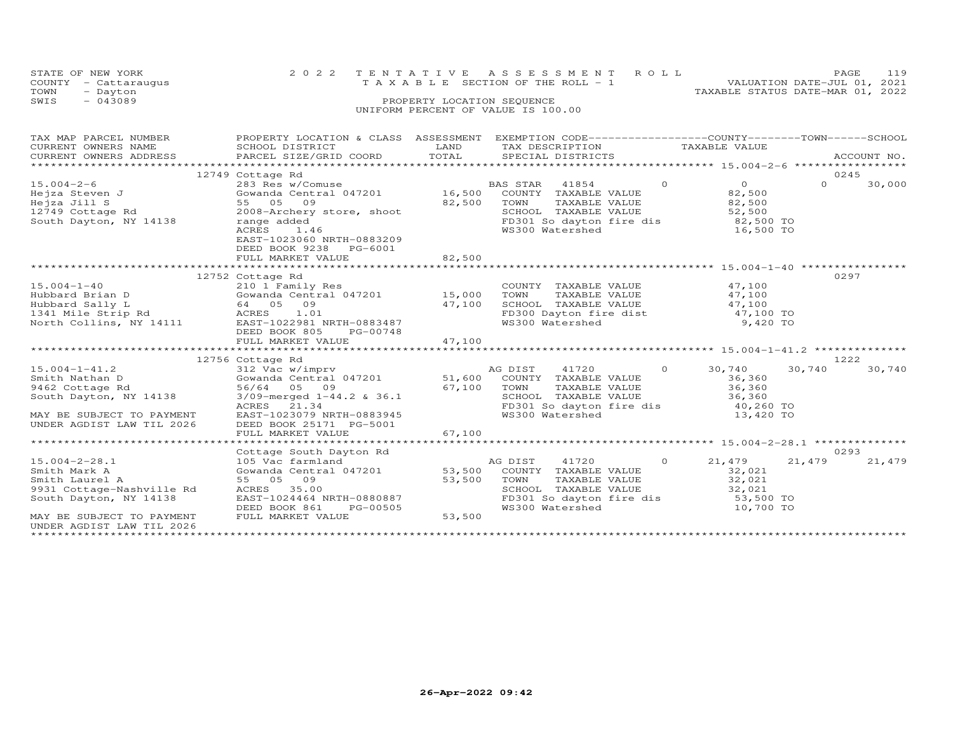| STATE OF NEW YORK    | 2022 TENTATIVE ASSESSMENT ROLL     | 119<br>PAGE.                     |
|----------------------|------------------------------------|----------------------------------|
| COUNTY - Cattaraugus | TAXABLE SECTION OF THE ROLL - 1    | VALUATION DATE-JUL 01, 2021      |
| TOWN<br>- Dayton     |                                    | TAXABLE STATUS DATE-MAR 01, 2022 |
| SWIS<br>$-043089$    | PROPERTY LOCATION SEQUENCE         |                                  |
|                      | UNIFORM PERCENT OF VALUE IS 100.00 |                                  |
|                      |                                    |                                  |

| CORRENT OWNERS NATION SUITED DESCRIPTION AND THE TAX DESCRIPTION THAT THE MAIL OF THE MAIL OF ACCOUNT NO.<br>CURRENT OWNERS ADDRESS AND PARCEL SIZE/GRID COORD TOTAL SPECIAL DISTRICTS ACCOUNT NO.<br>0245<br>12749 Cottage Rd<br>$\overline{0}$ 0<br>$\Omega$<br>$15.004 - 2 - 6$<br>30,000<br>15.004-2-6<br>Hejza Jill S<br>16,500<br>Hejza Jill S<br>12749 Cottage Rd<br>Summar and Central 047201<br>2008-Archery store, shoot<br>South Dayton, NY 14138<br>2008-Archery store, shoot<br>2008-Archery store, shoot<br>2008-Archery store, shoo<br>82,500<br>TOWN TAXABLE VALUE<br>SCHOOL TAXABLE VALUE<br>SCHOOL TAXABLE VALUE<br>FD301 So dayton fire dis<br>WS300 Watershed<br>16,500 TO<br>ACRES<br>1.46<br>EAST-1023060 NRTH-0883209<br>DEED BOOK 9238 PG-6001<br>82,500<br>FULL MARKET VALUE<br>0297<br>12752 Cottage Rd |
|-----------------------------------------------------------------------------------------------------------------------------------------------------------------------------------------------------------------------------------------------------------------------------------------------------------------------------------------------------------------------------------------------------------------------------------------------------------------------------------------------------------------------------------------------------------------------------------------------------------------------------------------------------------------------------------------------------------------------------------------------------------------------------------------------------------------------------------|
|                                                                                                                                                                                                                                                                                                                                                                                                                                                                                                                                                                                                                                                                                                                                                                                                                                   |
|                                                                                                                                                                                                                                                                                                                                                                                                                                                                                                                                                                                                                                                                                                                                                                                                                                   |
|                                                                                                                                                                                                                                                                                                                                                                                                                                                                                                                                                                                                                                                                                                                                                                                                                                   |
|                                                                                                                                                                                                                                                                                                                                                                                                                                                                                                                                                                                                                                                                                                                                                                                                                                   |
|                                                                                                                                                                                                                                                                                                                                                                                                                                                                                                                                                                                                                                                                                                                                                                                                                                   |
|                                                                                                                                                                                                                                                                                                                                                                                                                                                                                                                                                                                                                                                                                                                                                                                                                                   |
|                                                                                                                                                                                                                                                                                                                                                                                                                                                                                                                                                                                                                                                                                                                                                                                                                                   |
|                                                                                                                                                                                                                                                                                                                                                                                                                                                                                                                                                                                                                                                                                                                                                                                                                                   |
|                                                                                                                                                                                                                                                                                                                                                                                                                                                                                                                                                                                                                                                                                                                                                                                                                                   |
|                                                                                                                                                                                                                                                                                                                                                                                                                                                                                                                                                                                                                                                                                                                                                                                                                                   |
|                                                                                                                                                                                                                                                                                                                                                                                                                                                                                                                                                                                                                                                                                                                                                                                                                                   |
|                                                                                                                                                                                                                                                                                                                                                                                                                                                                                                                                                                                                                                                                                                                                                                                                                                   |
| COUNTY TAXABLE VALUE 47,100                                                                                                                                                                                                                                                                                                                                                                                                                                                                                                                                                                                                                                                                                                                                                                                                       |
| TOWN TAXABLE VALUE 17,100<br>SCHOOL TAXABLE VALUE 47,100<br>FD300 Dayton fire dist 47,100 TO<br>WS300 Watershed 9,420 TO                                                                                                                                                                                                                                                                                                                                                                                                                                                                                                                                                                                                                                                                                                          |
|                                                                                                                                                                                                                                                                                                                                                                                                                                                                                                                                                                                                                                                                                                                                                                                                                                   |
|                                                                                                                                                                                                                                                                                                                                                                                                                                                                                                                                                                                                                                                                                                                                                                                                                                   |
| 15.004-1-40<br>Hubbard Brian D<br>Hubbard Sally L<br>15,000<br>Hubbard Sally L<br>15,000<br>1341 Mile Strip Rd<br>164 05 09<br>17,100<br>17,100<br>17,100<br>17,100<br>17,100<br>17,100<br>17,100<br>1885-1022981 NRTH-0883487                                                                                                                                                                                                                                                                                                                                                                                                                                                                                                                                                                                                    |
| DEED BOOK 805<br>PG-00748                                                                                                                                                                                                                                                                                                                                                                                                                                                                                                                                                                                                                                                                                                                                                                                                         |
|                                                                                                                                                                                                                                                                                                                                                                                                                                                                                                                                                                                                                                                                                                                                                                                                                                   |
| 1222<br>15.004-1-41.2<br>Smith Nathan D<br>Smith Nathan D<br>Sowanda Central 047201<br>Sowanda Central 047201<br>South Dayton, NY 14138<br>South Dayton, NY 14138<br>South Dayton, NY 14138<br>South Dayton, NY 14138<br>South Dayton, NY 14138<br>South D                                                                                                                                                                                                                                                                                                                                                                                                                                                                                                                                                                        |
| 30,740<br>30,740                                                                                                                                                                                                                                                                                                                                                                                                                                                                                                                                                                                                                                                                                                                                                                                                                  |
|                                                                                                                                                                                                                                                                                                                                                                                                                                                                                                                                                                                                                                                                                                                                                                                                                                   |
|                                                                                                                                                                                                                                                                                                                                                                                                                                                                                                                                                                                                                                                                                                                                                                                                                                   |
| 56/64 05 09 67,100 TOWN<br>3/09-merged 1-44.2 & 36.1 SCHOC<br>ACRES 21.34 FD301                                                                                                                                                                                                                                                                                                                                                                                                                                                                                                                                                                                                                                                                                                                                                   |
|                                                                                                                                                                                                                                                                                                                                                                                                                                                                                                                                                                                                                                                                                                                                                                                                                                   |
| TOWN TAXABLE VALUE<br>SCHOOL TAXABLE VALUE 36,360<br>FD301 So dayton fire dis 36,360<br>WS300 Watershed 13,420 TO<br>MAY BE SUBJECT TO PAYMENT<br>EAST-1023079 NRTH-0883945                                                                                                                                                                                                                                                                                                                                                                                                                                                                                                                                                                                                                                                       |
| UNDER AGDIST LAW TIL 2026<br>DEED BOOK 25171 PG-5001                                                                                                                                                                                                                                                                                                                                                                                                                                                                                                                                                                                                                                                                                                                                                                              |
| 67,100<br>FULL MARKET VALUE                                                                                                                                                                                                                                                                                                                                                                                                                                                                                                                                                                                                                                                                                                                                                                                                       |
|                                                                                                                                                                                                                                                                                                                                                                                                                                                                                                                                                                                                                                                                                                                                                                                                                                   |
| Cottage South Dayton Rd<br>105 Vac farmland March 2006 AG DIST 41720 0<br>- Convert March 2011E<br>0293                                                                                                                                                                                                                                                                                                                                                                                                                                                                                                                                                                                                                                                                                                                           |
| $15.004 - 2 - 28.1$<br>21,479<br>21,479<br>21,479                                                                                                                                                                                                                                                                                                                                                                                                                                                                                                                                                                                                                                                                                                                                                                                 |
| Smith Mark A                                                                                                                                                                                                                                                                                                                                                                                                                                                                                                                                                                                                                                                                                                                                                                                                                      |
| Smith Laurel A                                                                                                                                                                                                                                                                                                                                                                                                                                                                                                                                                                                                                                                                                                                                                                                                                    |
| 9931 Cottage-Nashville Rd                                                                                                                                                                                                                                                                                                                                                                                                                                                                                                                                                                                                                                                                                                                                                                                                         |
| South Dayton, NY 14138                                                                                                                                                                                                                                                                                                                                                                                                                                                                                                                                                                                                                                                                                                                                                                                                            |
| COWARD 105 VAC TATMLER VALUE<br>Gowanda Central 047201 53,500 COUNTY TAXABLE VALUE<br>5 05 09 53,500 TOWN TAXABLE VALUE 32,021<br>ACRES 35.00 53,500 SCHOOL TAXABLE VALUE 32,021<br>EAST-1024464 NRTH-0880887 FD301 So dayton fire dis<br>DEED BOOK 861 PG-00505<br>FULL MARKET VALUE 53,500                                                                                                                                                                                                                                                                                                                                                                                                                                                                                                                                      |
| MAY BE SUBJECT TO PAYMENT                                                                                                                                                                                                                                                                                                                                                                                                                                                                                                                                                                                                                                                                                                                                                                                                         |
| UNDER AGDIST LAW TIL 2026                                                                                                                                                                                                                                                                                                                                                                                                                                                                                                                                                                                                                                                                                                                                                                                                         |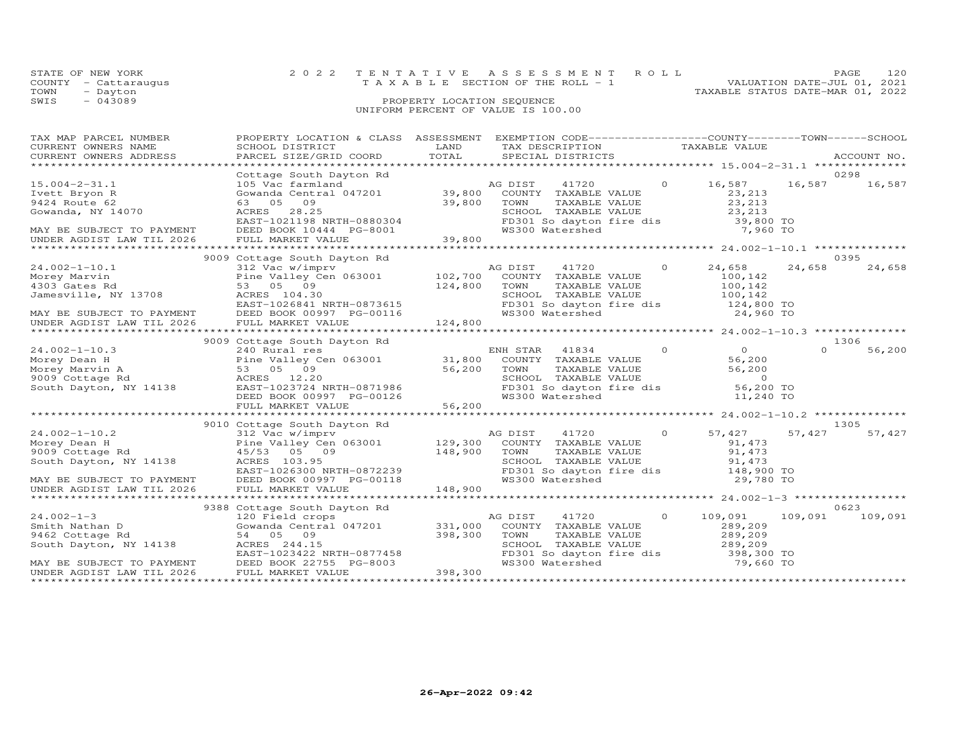| STATE OF NEW YORK |                      | 2022 TENTATIVE ASSESSMENT ROLL     |  |  |                                  | <b>PAGE</b> | 120 |
|-------------------|----------------------|------------------------------------|--|--|----------------------------------|-------------|-----|
|                   | COUNTY - Cattaraugus | TAXABLE SECTION OF THE ROLL - 1    |  |  | VALUATION DATE-JUL 01, 2021      |             |     |
| TOWN              | - Dayton             |                                    |  |  | TAXABLE STATUS DATE-MAR 01, 2022 |             |     |
| SWIS              | - 043089             | PROPERTY LOCATION SEOUENCE         |  |  |                                  |             |     |
|                   |                      | UNIFORM PERCENT OF VALUE IS 100.00 |  |  |                                  |             |     |

| TAX MAP PARCEL NUMBER                                          | PROPERTY LOCATION & CLASS ASSESSMENT EXEMPTION CODE----------------COUNTY-------TOWN------SCHOOL                                                                                                                                                                                                                                                                                                                                                                   |         |                                                                      |                |        |                 |
|----------------------------------------------------------------|--------------------------------------------------------------------------------------------------------------------------------------------------------------------------------------------------------------------------------------------------------------------------------------------------------------------------------------------------------------------------------------------------------------------------------------------------------------------|---------|----------------------------------------------------------------------|----------------|--------|-----------------|
| CURRENT OWNERS NAME                                            | SCHOOL DISTRICT                                                                                                                                                                                                                                                                                                                                                                                                                                                    | LAND    | TAX DESCRIPTION TAXABLE VALUE                                        |                |        |                 |
| CURRENT OWNERS ADDRESS                                         | CONNENT OWNERS ADDRESS FROM BUILD BELOCE TO THE SECTAL SECTAL DISTRICTS FROM THE THE RECOUNT NO.<br>CURRENT OWNERS ADDRESS PARCEL SIZE/GRID COORD TOTAL SPECIAL DISTRICTS FROM THE RECOUNT NO.                                                                                                                                                                                                                                                                     |         |                                                                      |                |        | ACCOUNT NO.     |
|                                                                |                                                                                                                                                                                                                                                                                                                                                                                                                                                                    |         |                                                                      |                |        |                 |
|                                                                | Cottage South Dayton Rd<br>Cottage South Dayton Ru (and AG DIST (at 1720 (a) $\frac{10,000}{23,213}$<br>Gowanda Central 047201 (39,800 COUNTY TAXABLE VALUE 23,213<br>39,800 TOWN TAXABLE VALUE 23,213<br>39,800 TOWN TAXABLE VALUE 23,213                                                                                                                                                                                                                         |         |                                                                      |                |        | 0298            |
| $15.004 - 2 - 31.1$                                            |                                                                                                                                                                                                                                                                                                                                                                                                                                                                    |         |                                                                      | 16,587 16,587  |        | 16,587          |
| Ivett Bryon R                                                  |                                                                                                                                                                                                                                                                                                                                                                                                                                                                    |         |                                                                      |                |        |                 |
| 9424 Route 62                                                  |                                                                                                                                                                                                                                                                                                                                                                                                                                                                    |         |                                                                      |                |        |                 |
| 9424 Route to<br>Gowanda, NY 14070                             |                                                                                                                                                                                                                                                                                                                                                                                                                                                                    |         |                                                                      |                |        |                 |
|                                                                |                                                                                                                                                                                                                                                                                                                                                                                                                                                                    |         |                                                                      |                |        |                 |
|                                                                |                                                                                                                                                                                                                                                                                                                                                                                                                                                                    |         |                                                                      |                |        |                 |
| MAY BE SUBJECT TO PAYMENT<br>UNDER AGDIST LAW TIL 2026         |                                                                                                                                                                                                                                                                                                                                                                                                                                                                    |         |                                                                      |                |        |                 |
|                                                                |                                                                                                                                                                                                                                                                                                                                                                                                                                                                    |         |                                                                      |                |        |                 |
|                                                                | 9009 Cottage South Dayton Rd<br>$\begin{tabular}{lllllllllllllllllllll} \hline \mbox{\footnotesize{A1012--10.1}} & & & & & & & & & \mbox{\footnotesize{A102--10.1}} & & & & & & \mbox{\footnotesize{A102--10.1}} & & & & & \mbox{\footnotesize{A102--10.1}} & & & & \mbox{\footnotesize{A102--10.1}} & & & & \mbox{\footnotesize{A102--10.1}} & & & & \mbox{\footnotesize{A102--10.1}} & & & \mbox{\footnotesize{A102--10.1}} & & & \mbox{\footnotesize{A102--10.$ |         |                                                                      |                |        | 0395            |
|                                                                |                                                                                                                                                                                                                                                                                                                                                                                                                                                                    |         |                                                                      |                | 24,658 | 24,658          |
|                                                                |                                                                                                                                                                                                                                                                                                                                                                                                                                                                    |         |                                                                      |                |        |                 |
|                                                                |                                                                                                                                                                                                                                                                                                                                                                                                                                                                    |         |                                                                      |                |        |                 |
|                                                                |                                                                                                                                                                                                                                                                                                                                                                                                                                                                    |         |                                                                      |                |        |                 |
|                                                                |                                                                                                                                                                                                                                                                                                                                                                                                                                                                    |         | SCHOOL TAXABLE VALUE 100,142<br>FD301 So dayton fire dis 124,800 TO  |                |        |                 |
|                                                                |                                                                                                                                                                                                                                                                                                                                                                                                                                                                    |         |                                                                      | 24,960 TO      |        |                 |
|                                                                |                                                                                                                                                                                                                                                                                                                                                                                                                                                                    |         |                                                                      |                |        |                 |
|                                                                |                                                                                                                                                                                                                                                                                                                                                                                                                                                                    |         |                                                                      |                |        |                 |
|                                                                | 9009 Cottage South Dayton Rd                                                                                                                                                                                                                                                                                                                                                                                                                                       |         |                                                                      |                |        | 1306            |
|                                                                |                                                                                                                                                                                                                                                                                                                                                                                                                                                                    |         |                                                                      |                |        |                 |
|                                                                |                                                                                                                                                                                                                                                                                                                                                                                                                                                                    |         |                                                                      |                |        |                 |
|                                                                |                                                                                                                                                                                                                                                                                                                                                                                                                                                                    |         |                                                                      |                |        |                 |
|                                                                |                                                                                                                                                                                                                                                                                                                                                                                                                                                                    |         |                                                                      |                |        |                 |
|                                                                |                                                                                                                                                                                                                                                                                                                                                                                                                                                                    |         |                                                                      |                |        |                 |
|                                                                |                                                                                                                                                                                                                                                                                                                                                                                                                                                                    |         |                                                                      |                |        |                 |
|                                                                |                                                                                                                                                                                                                                                                                                                                                                                                                                                                    |         |                                                                      |                |        |                 |
|                                                                |                                                                                                                                                                                                                                                                                                                                                                                                                                                                    |         |                                                                      |                |        |                 |
|                                                                | 9010 Cottage South Dayton Rd                                                                                                                                                                                                                                                                                                                                                                                                                                       |         |                                                                      |                |        | 1305            |
|                                                                |                                                                                                                                                                                                                                                                                                                                                                                                                                                                    |         |                                                                      | 57,427         | 57,427 | 57,427          |
|                                                                |                                                                                                                                                                                                                                                                                                                                                                                                                                                                    |         |                                                                      |                |        |                 |
|                                                                |                                                                                                                                                                                                                                                                                                                                                                                                                                                                    |         |                                                                      |                |        |                 |
|                                                                |                                                                                                                                                                                                                                                                                                                                                                                                                                                                    |         |                                                                      |                |        |                 |
|                                                                |                                                                                                                                                                                                                                                                                                                                                                                                                                                                    |         |                                                                      |                |        |                 |
|                                                                |                                                                                                                                                                                                                                                                                                                                                                                                                                                                    |         |                                                                      |                |        |                 |
|                                                                |                                                                                                                                                                                                                                                                                                                                                                                                                                                                    |         |                                                                      |                |        |                 |
|                                                                |                                                                                                                                                                                                                                                                                                                                                                                                                                                                    |         |                                                                      |                |        |                 |
|                                                                |                                                                                                                                                                                                                                                                                                                                                                                                                                                                    |         |                                                                      |                |        |                 |
|                                                                | 9388 Cottage South Dayton Rd                                                                                                                                                                                                                                                                                                                                                                                                                                       |         |                                                                      |                |        | 0623            |
|                                                                |                                                                                                                                                                                                                                                                                                                                                                                                                                                                    |         | AG DIST 41720                                                        | $0 \t 109,091$ |        | 109,091 109,091 |
|                                                                | Smith Nathan D<br>Smith Nathan D<br>9462 Cottage Rd<br>South Davis Communication of the S4 05 09<br>South Davis Communication of S4 05 09<br>South Davis Communication of S4 05 09                                                                                                                                                                                                                                                                                 |         | COUNTY TAXABLE VALUE 289,209                                         |                |        |                 |
|                                                                |                                                                                                                                                                                                                                                                                                                                                                                                                                                                    | 398,300 | TOWN TAXABLE VALUE 289,209<br>SCHOOL TAXABLE VALUE 289,209<br>TOWN   |                |        |                 |
| $3402$ Coccage Ra $31$ $32$ $244.15$<br>South Dayton, NY 14138 |                                                                                                                                                                                                                                                                                                                                                                                                                                                                    |         |                                                                      |                |        |                 |
|                                                                | SOULD DAYLON, NY 14138<br>EAST-1023422 NRTH-0877458<br>MAY BE SUBJECT TO PAYMENT DEED BOOK 22755 PG-8003                                                                                                                                                                                                                                                                                                                                                           |         | FD301 So dayton fire dis = 398,300 TO<br>WS300 Watershed = 79,660 TO |                |        |                 |
|                                                                |                                                                                                                                                                                                                                                                                                                                                                                                                                                                    |         |                                                                      | 79,660 TO      |        |                 |
| UNDER AGDIST LAW TIL 2026                                      | FULL MARKET VALUE                                                                                                                                                                                                                                                                                                                                                                                                                                                  | 398,300 |                                                                      |                |        |                 |
|                                                                |                                                                                                                                                                                                                                                                                                                                                                                                                                                                    |         |                                                                      |                |        |                 |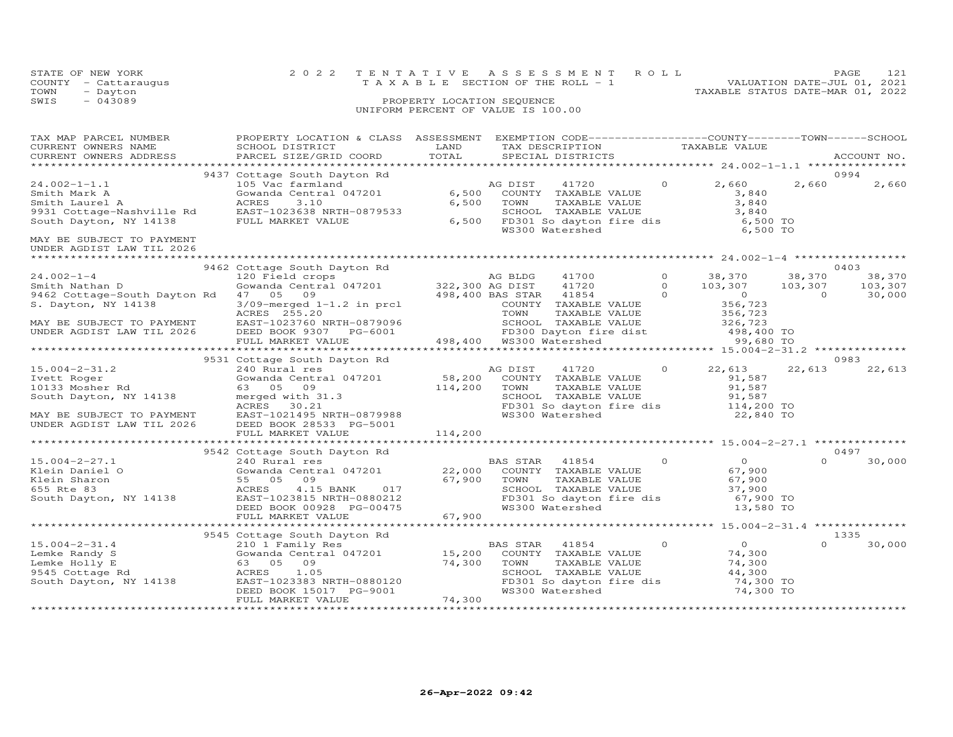|                                                                                                                                                            |                                                                                                                                                                                                                                                                                                                                 |                                                                                                                                      | UNIFORM PERCENT OF VALUE IS 100.00                 |                |                                                                                                                                           |          |                             |
|------------------------------------------------------------------------------------------------------------------------------------------------------------|---------------------------------------------------------------------------------------------------------------------------------------------------------------------------------------------------------------------------------------------------------------------------------------------------------------------------------|--------------------------------------------------------------------------------------------------------------------------------------|----------------------------------------------------|----------------|-------------------------------------------------------------------------------------------------------------------------------------------|----------|-----------------------------|
| CURRENT OWNERS NAME<br>CURRENT OWNERS ADDRESS                                                                                                              | TAX MAP PARCEL NUMBER FROPERTY LOCATION & CLASS ASSESSMENT EXEMPTION CODE-----------------COUNTY-------TOWN------SCHOOL<br>SCHOOL DISTRICT<br>PARCEL SIZE/GRID COORD                                                                                                                                                            | <b>EXAMPLE THE STATE OF STATE OF STATE OF STATE OF STATE OF STATE OF STATE OF STATE OF STATE OF STATE OF STATE OF STATE</b><br>TOTAL | TAX DESCRIPTION TAXABLE VALUE<br>SPECIAL DISTRICTS |                |                                                                                                                                           |          | ACCOUNT NO.                 |
|                                                                                                                                                            | 9437 Cottage South Dayton Rd                                                                                                                                                                                                                                                                                                    |                                                                                                                                      |                                                    |                |                                                                                                                                           |          | 0994                        |
| $24.002 - 1 - 1.1$                                                                                                                                         | -- vac rarmland<br>Gowanda Central 047201 6,500<br>ACRES 3.10 6,500<br>EAST-1023638 NRTH-0879522<br>HIMET-1023638 NRTH-0879522                                                                                                                                                                                                  |                                                                                                                                      | AG DIST<br>41720                                   |                | $0 \t 2,660$                                                                                                                              | 2,660    | 2,660                       |
| MAY BE SUBJECT TO PAYMENT<br>UNDER AGDIST LAW TIL 2026                                                                                                     |                                                                                                                                                                                                                                                                                                                                 |                                                                                                                                      |                                                    |                |                                                                                                                                           |          |                             |
|                                                                                                                                                            |                                                                                                                                                                                                                                                                                                                                 |                                                                                                                                      |                                                    |                |                                                                                                                                           |          | 0403                        |
| $24.002 - 1 - 4$<br>Smith Nathan D                                                                                                                         | 9462 Cottage South Dayton Rd<br>120 Field crops and AG BLDG<br>Gowanda Central 047201 322,300 AG DIST<br>Smith Nathan D<br>9462 Cottage-South Dayton Rd 47 05 09 1-1.2 in prcl 498,400 BAS STAR<br>S. Dayton, NY 14138 209-merged 1-1.2 in prcl cOUNTY                                                                          |                                                                                                                                      | 41700<br>41720<br>41854                            |                | $\begin{array}{cccc} 0 & & 38\textit{,}370 & & 38\textit{,}370\ 0 & & 103\textit{,}307 & & 103\textit{,}307\ 0 & & & 0 & & 0 \end{array}$ |          | 38,370<br>103,307<br>30,000 |
| MAY BE SUBJECT TO PAYMENT<br>UNDER AGDIST LAW TIL 2026                                                                                                     | ACRES 255.20<br>ACRES 255.20<br>EAST-1023760 NRTH-0879096 TOWN TAXABLE VALUE 356,723<br>DEED BOOK 9307 PG-6001 498,400 WS300 Watershed 99,680 TO<br>****************************                                                                                                                                                |                                                                                                                                      |                                                    |                |                                                                                                                                           |          |                             |
|                                                                                                                                                            |                                                                                                                                                                                                                                                                                                                                 |                                                                                                                                      |                                                    |                |                                                                                                                                           |          | 0983                        |
| $15.004 - 2 - 31.2$<br>15.004-2-51.2<br>Ivett Roger<br>10133 Mosher Rd<br>South Dayton, NY 14138<br>MAY BE SUBJECT TO PAYMENT<br>UNDER AGDIST LAW TIL 2026 | 9531 Cottage South Dayton Rd<br>240 Rural res<br>Gowanda Central 047201 58,200 COUNTY TAXABLE VALUE 91,587<br>63 05 09 114,200 TOWN TAXABLE VALUE 91,587<br>merged with 31.3 587<br>ACRES 30.21 FD301 So dayton fire dis<br>EAST-1021495 NRTH-0879988 8 FD301 So dayton<br>DEED BOOK 28533 PG-5001<br>FULL MARKET VALUE 114,200 |                                                                                                                                      | AG DIST<br>41720                                   |                | $0 \t 22,613$                                                                                                                             | 22,613   | 22,613                      |
|                                                                                                                                                            |                                                                                                                                                                                                                                                                                                                                 |                                                                                                                                      |                                                    |                |                                                                                                                                           |          |                             |
|                                                                                                                                                            |                                                                                                                                                                                                                                                                                                                                 |                                                                                                                                      |                                                    |                |                                                                                                                                           |          |                             |
| $15.004 - 2 - 27.1$                                                                                                                                        | 9542 Cottage South Dayton Rd<br>240 Rural res<br>240 Rural res                                                                                                                                                                                                                                                                  |                                                                                                                                      | BAS STAR 41854                                     | $\overline{0}$ | $\overline{0}$                                                                                                                            | $\Omega$ | 0497<br>30,000              |
|                                                                                                                                                            |                                                                                                                                                                                                                                                                                                                                 |                                                                                                                                      |                                                    |                |                                                                                                                                           |          |                             |
|                                                                                                                                                            | 9545 Cottage South Dayton Rd                                                                                                                                                                                                                                                                                                    |                                                                                                                                      |                                                    |                |                                                                                                                                           |          | 1335                        |
| $15.004 - 2 - 31.4$<br>15.004-2-31.4<br>Lemke Randy S<br>Lemke Holly E<br>9545 Cottage Rd<br>South Dayton, NY 14138                                        | 63 05<br>09                                                                                                                                                                                                                                                                                                                     | 74,300 TOWN                                                                                                                          | TAXABLE VALUE                                      |                | $\begin{array}{c}\n0 \\ 74\n\end{array}$<br>74,300<br>44,300<br>74,300 TO<br>74,300 TO                                                    | $\Omega$ | 30,000                      |
|                                                                                                                                                            | FULL MARKET VALUE<br>********************                                                                                                                                                                                                                                                                                       | 74,300<br><b>++++++++++</b>                                                                                                          |                                                    |                |                                                                                                                                           |          |                             |

STATE OF NEW YORK 2 0 2 2 T E N T A T I V E A S S E S S M E N T R O L L PAGE 121

TOWN - Dayton TAXABLE STATUS DATE-MAR 01, 2022

COUNTY - Cattaraugus T A X A B L E SECTION OF THE ROLL - 1<br>TOWN - Dayton

SWIS - 043089 PROPERTY LOCATION SEQUENCE

VALUATION DATE-JUL 01, 2021

\*\*\*\*\*\*\*\*\*\*\*\*\*\*\*\*\*\*\*\*\*\*\*\*\*\*\*\*\*\*\*\*\*\*\*\*\*\*\*\*\*\*\*\*\*\*\*\*\*\*\*\*\*\*\*\*\*\*\*\*\*\*\*\*\*\*\*\*\*\*\*\*\*\*\*\*\*\*\*\*\*\*\*\*\*\*\*\*\*\*\*\*\*\*\*\*\*\*\*\*\*\*\*\*\*\*\*\*\*\*\*\*\*\*\*\*\*\*\*\*\*\*\*\*\*\*\*\*\*\*\*\*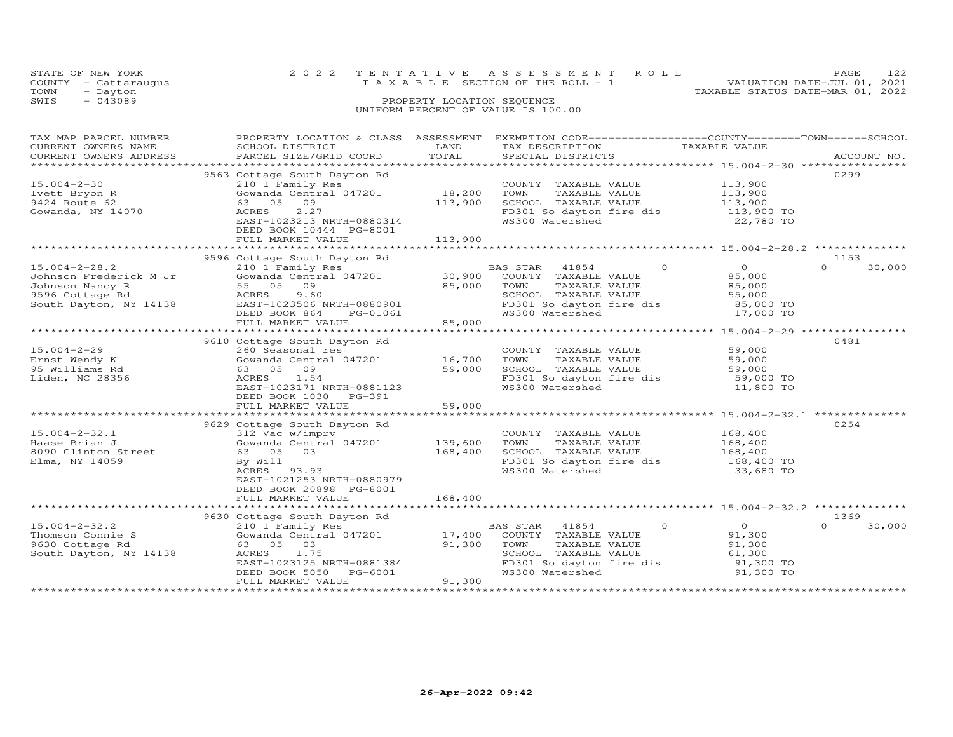|      | STATE OF NEW YORK    | 2022 TENTATIVE ASSESSMENT ROLL     |  | PAGE.                            |  |
|------|----------------------|------------------------------------|--|----------------------------------|--|
|      | COUNTY - Cattaraugus | TAXABLE SECTION OF THE ROLL - 1    |  | VALUATION DATE-JUL 01, 2021      |  |
| TOWN | - Dayton             |                                    |  | TAXABLE STATUS DATE-MAR 01, 2022 |  |
| SWIS | $-043089$            | PROPERTY LOCATION SEQUENCE         |  |                                  |  |
|      |                      | UNIFORM PERCENT OF VALUE IS 100.00 |  |                                  |  |

| TAX MAP PARCEL NUMBER  | PROPERTY LOCATION & CLASS                        | ASSESSMENT | EXEMPTION CODE-----------------COUNTY-------TOWN------SCHOOL |               |                |                    |
|------------------------|--------------------------------------------------|------------|--------------------------------------------------------------|---------------|----------------|--------------------|
| CURRENT OWNERS NAME    | SCHOOL DISTRICT                                  | LAND       | TAX DESCRIPTION                                              | TAXABLE VALUE |                |                    |
| CURRENT OWNERS ADDRESS | PARCEL SIZE/GRID COORD                           | TOTAL      | SPECIAL DISTRICTS                                            |               |                | ACCOUNT NO.        |
|                        |                                                  |            |                                                              |               |                |                    |
|                        | 9563 Cottage South Dayton Rd                     |            |                                                              |               |                | 0299               |
| $15.004 - 2 - 30$      | 210 1 Family Res                                 |            | COUNTY TAXABLE VALUE                                         |               | 113,900        |                    |
| Ivett Bryon R          | Gowanda Central 047201                           | 18,200     | TOWN<br>TAXABLE VALUE                                        |               | 113,900        |                    |
| 9424 Route 62          | 63 05 09                                         | 113,900    | SCHOOL TAXABLE VALUE                                         |               | 113,900        |                    |
| Gowanda, NY 14070      | ACRES<br>2.27                                    |            | FD301 So dayton fire dis                                     |               | 113,900 TO     |                    |
|                        | EAST-1023213 NRTH-0880314                        |            | WS300 Watershed                                              |               | 22,780 TO      |                    |
|                        | DEED BOOK 10444 PG-8001                          |            |                                                              |               |                |                    |
|                        | FULL MARKET VALUE                                | 113,900    |                                                              |               |                |                    |
|                        |                                                  |            |                                                              |               |                |                    |
|                        | 9596 Cottage South Dayton Rd                     |            |                                                              |               |                | 1153               |
| $15.004 - 2 - 28.2$    | 210 1 Family Res                                 |            | BAS STAR<br>41854                                            | $\Omega$      | $\overline{O}$ | $\Omega$<br>30,000 |
| Johnson Frederick M Jr | Gowanda Central 047201 30,900<br>55 05 09 85.000 |            | COUNTY TAXABLE VALUE                                         |               | 85,000         |                    |
| Johnson Nancy R        | 55 05<br>09                                      | 85,000     | TOWN<br>TAXABLE VALUE                                        |               | 85,000         |                    |
| 9596 Cottage Rd        | 9.60<br>ACRES                                    |            | SCHOOL TAXABLE VALUE                                         |               | 55,000         |                    |
| South Dayton, NY 14138 | EAST-1023506 NRTH-0880901                        |            | FD301 So dayton fire dis                                     |               | 85,000 TO      |                    |
|                        | DEED BOOK 864<br>PG-01061                        |            | WS300 Watershed                                              |               | 17,000 TO      |                    |
|                        | FULL MARKET VALUE                                | 85,000     |                                                              |               |                |                    |
|                        |                                                  |            |                                                              |               |                |                    |
|                        | 9610 Cottage South Dayton Rd                     |            |                                                              |               |                | 0481               |
| $15.004 - 2 - 29$      | 260 Seasonal res                                 |            | COUNTY TAXABLE VALUE                                         |               | 59,000         |                    |
| Ernst Wendy K          | Gowanda Central 047201 16,700                    |            | TOWN<br>TAXABLE VALUE                                        |               | 59,000         |                    |
| 95 Williams Rd         | 63 05 09                                         | 59,000     | SCHOOL TAXABLE VALUE                                         |               | 59,000         |                    |
| Liden, NC 28356        | 1.54<br>ACRES                                    |            | FD301 So dayton fire dis                                     |               | 59,000 TO      |                    |
|                        | EAST-1023171 NRTH-0881123                        |            | WS300 Watershed                                              |               | 11,800 TO      |                    |
|                        | DEED BOOK 1030<br>PG-391                         |            |                                                              |               |                |                    |
|                        | FULL MARKET VALUE                                | 59,000     |                                                              |               |                |                    |
|                        |                                                  |            |                                                              |               |                |                    |
|                        | 9629 Cottage South Dayton Rd                     |            |                                                              |               |                | 0254               |
| $15.004 - 2 - 32.1$    | 312 Vac w/imprv                                  |            | COUNTY TAXABLE VALUE                                         |               | 168,400        |                    |
| Haase Brian J          | Gowanda Central 047201                           | 139,600    | TAXABLE VALUE<br>TOWN                                        |               | 168,400        |                    |
| 8090 Clinton Street    | 03<br>63 05                                      | 168,400    | SCHOOL TAXABLE VALUE                                         |               | 168,400        |                    |
| Elma, NY 14059         | By Will                                          |            | FD301 So dayton fire dis                                     |               | 168,400 TO     |                    |
|                        | 93.93<br>ACRES                                   |            | WS300 Watershed                                              |               | 33,680 TO      |                    |
|                        | EAST-1021253 NRTH-0880979                        |            |                                                              |               |                |                    |
|                        | DEED BOOK 20898 PG-8001                          |            |                                                              |               |                |                    |
|                        | FULL MARKET VALUE                                | 168,400    |                                                              |               |                |                    |
|                        |                                                  |            |                                                              |               |                |                    |
|                        | 9630 Cottage South Dayton Rd                     |            |                                                              |               |                | 1369               |
| $15.004 - 2 - 32.2$    | 210 1 Family Res                                 |            | 41854<br>BAS STAR                                            | $\Omega$      | $\circ$        | $\Omega$<br>30,000 |
| Thomson Connie S       | Gowanda Central 047201                           | 17,400     | COUNTY TAXABLE VALUE                                         |               | 91,300         |                    |
| 9630 Cottage Rd        | 03<br>63 05                                      | 91,300     | TOWN<br>TAXABLE VALUE                                        |               | 91,300         |                    |
| South Dayton, NY 14138 | ACRES<br>1.75                                    |            | SCHOOL TAXABLE VALUE                                         |               | 61,300         |                    |
|                        | EAST-1023125 NRTH-0881384                        |            | FD301 So dayton fire dis                                     |               | 91,300 TO      |                    |
|                        | DEED BOOK 5050<br>PG-6001                        |            | WS300 Watershed                                              |               | 91,300 TO      |                    |
|                        | FULL MARKET VALUE                                | 91,300     |                                                              |               |                |                    |
|                        |                                                  |            |                                                              |               |                |                    |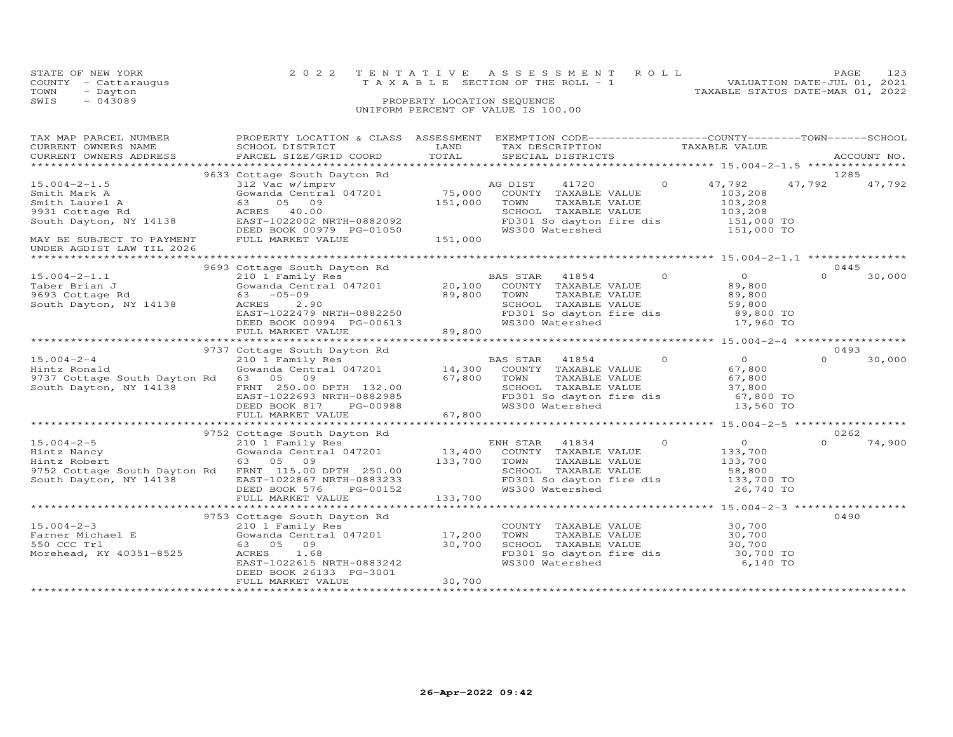| STATE OF NEW YORK    |                            | 2022 TENTATIVE ASSESSMENT ROLL                                 | PAGE. | 123 |  |  |  |
|----------------------|----------------------------|----------------------------------------------------------------|-------|-----|--|--|--|
| COUNTY - Cattaraugus |                            | VALUATION DATE-JUL 01, 2021<br>TAXABLE SECTION OF THE ROLL - 1 |       |     |  |  |  |
| TOWN<br>- Dayton     |                            | TAXABLE STATUS DATE-MAR 01, 2022                               |       |     |  |  |  |
| SWIS<br>$-043089$    | PROPERTY LOCATION SEQUENCE |                                                                |       |     |  |  |  |
|                      |                            | UNIFORM PERCENT OF VALUE IS 100.00                             |       |     |  |  |  |

| TAX MAP PARCEL NUMBER<br>CURRENT OWNERS NAME<br>CURRENT OWNERS ADDRESS                                                            | PROPERTY LOCATION & CLASS ASSESSMENT<br>SCHOOL DISTRICT<br>PARCEL SIZE/GRID COORD                                                                                                                  | LAND<br>TOTAL                     | EXEMPTION CODE-----------------COUNTY-------TOWN-----SCHOOL<br>TAX DESCRIPTION TAXABLE VALUE SPECIAL DISTRICTS                                                   |                                                                                            | ACCOUNT NO.                |
|-----------------------------------------------------------------------------------------------------------------------------------|----------------------------------------------------------------------------------------------------------------------------------------------------------------------------------------------------|-----------------------------------|------------------------------------------------------------------------------------------------------------------------------------------------------------------|--------------------------------------------------------------------------------------------|----------------------------|
|                                                                                                                                   |                                                                                                                                                                                                    |                                   |                                                                                                                                                                  |                                                                                            |                            |
| $15.004 - 2 - 1.5$<br>Smith Mark A<br>Smith Laurel A<br>9931 Cottage Rd<br>South Dayton, NY 14138<br>MAY BE SUBJECT TO PAYMENT    | 9633 Cottage South Dayton Rd<br>312 Vac w/imprv<br>Gowanda Central 047201<br>63<br>05 09<br>ACRES<br>40.00<br>EAST-1022002 NRTH-0882092<br>DEED BOOK 00979 PG-01050<br>FULL MARKET VALUE           | 75,000<br>151,000<br>151,000      | AG DIST<br>41720<br>COUNTY TAXABLE VALUE<br>TOWN<br>TAXABLE VALUE<br>SCHOOL TAXABLE VALUE<br>FD301 So dayton fire dis<br>WS300 Watershed                         | $\overline{0}$<br>47,792<br>103,208<br>103,208<br>103,208<br>151,000 TO<br>151,000 TO      | 1285<br>47,792<br>47,792   |
| UNDER AGDIST LAW TIL 2026                                                                                                         |                                                                                                                                                                                                    |                                   |                                                                                                                                                                  |                                                                                            |                            |
|                                                                                                                                   |                                                                                                                                                                                                    |                                   |                                                                                                                                                                  |                                                                                            |                            |
| $15.004 - 2 - 1.1$<br>Taber Brian J<br>9693 Cottage Rd<br>South Dayton, NY 14138                                                  | 9693 Cottage South Dayton Rd<br>210 1 Family Res<br>Gowanda Central $047201$ 20,100<br>$63 -05 -09$<br>ACRES<br>2,90<br>EAST-1022479 NRTH-0882250<br>DEED BOOK 00994 PG-00613<br>FULL MARKET VALUE | 89,800<br>89,800                  | BAS STAR<br>41854<br>COUNTY TAXABLE VALUE<br>TAXABLE VALUE<br>TOWN<br>SCHOOL TAXABLE VALUE<br>BUNOUL INSURE<br>FD301 So dayton fire dis<br>W3300 Watershed       | $\Omega$<br>$\Omega$<br>89,800<br>89,800<br>59,800<br>$89,800$ TO<br>17,960 TO             | 0445<br>$\Omega$<br>30,000 |
|                                                                                                                                   |                                                                                                                                                                                                    |                                   |                                                                                                                                                                  |                                                                                            |                            |
| $15.004 - 2 - 4$<br>Hintz Ronald<br>9737 Cottage South Dayton Rd 63 05 09<br>South Dayton, NY 14138                               | 9737 Cottage South Dayton Rd<br>210 1 Family Res<br>Gowanda Central $047201$ 14,300<br>FRNT 250.00 DPTH 132.00<br>EAST-1022693 NRTH-0882985<br>DEED BOOK 817<br>PG-00988<br>FULL MARKET VALUE      | 67,800<br>67,800                  | BAS STAR 41854<br>COUNTY TAXABLE VALUE<br>TOWN<br>TAXABLE VALUE<br>SCHOOL TAXABLE VALUE<br>FD301 So dayton fire dis<br>WS300 Watershed                           | $\overline{0}$<br>$\circ$<br>67,800<br>67,800<br>37,800<br>67,800 TO<br>13,560 TO          | 0493<br>$\Omega$<br>30,000 |
|                                                                                                                                   |                                                                                                                                                                                                    |                                   |                                                                                                                                                                  |                                                                                            |                            |
| $15.004 - 2 - 5$<br>Hintz Nancy<br>Hintz Robert<br>9752 Cottage South Dayton Rd FRNT 115.00 DPTH 250.00<br>South Dayton, NY 14138 | 9752 Cottage South Dayton Rd<br>210 1 Family Res<br>Gowanda Central 047201<br>63 05 09<br>EAST-1022867 NRTH-0883233<br>DEED BOOK 576<br>PG-00152                                                   | $13,400$ <sup>EN</sup><br>133,700 | $\sim$ 0<br>ENH STAR<br>41834<br>COUNTY TAXABLE VALUE<br>TAXABLE VALUE<br>TOWN<br>SCHOOL TAXABLE VALUE<br>FD301 So dayton fire dis 133,700 TO<br>WS300 Watershed | $\overline{0}$<br>133,700<br>133,700<br>58,800<br>26,740 TO                                | 0262<br>$\Omega$<br>74,900 |
|                                                                                                                                   | FULL MARKET VALUE                                                                                                                                                                                  | 133,700                           |                                                                                                                                                                  |                                                                                            |                            |
| $15.004 - 2 - 3$<br>Farner Michael E<br>550 CCC Trl<br>Morehead, KY 40351-8525                                                    | 9753 Cottage South Dayton Rd<br>210 1 Family Res<br>Gowanda Central $047201$ 17,200<br>63 05 09<br>ACRES<br>1.68<br>EAST-1022615 NRTH-0883242<br>DEED BOOK 26133 PG-3001<br>FULL MARKET VALUE      | 30,700<br>30,700                  | COUNTY TAXABLE VALUE<br>TAXABLE VALUE<br>TOWN<br>SCHOOL TAXABLE VALUE<br>FD301 So dayton fire dis 30,700 TO<br>WS300 Watershed                                   | ******************** 15.004-2-3 ****************<br>30,700<br>30,700<br>30,700<br>6,140 TO | 0490                       |
|                                                                                                                                   |                                                                                                                                                                                                    |                                   |                                                                                                                                                                  |                                                                                            |                            |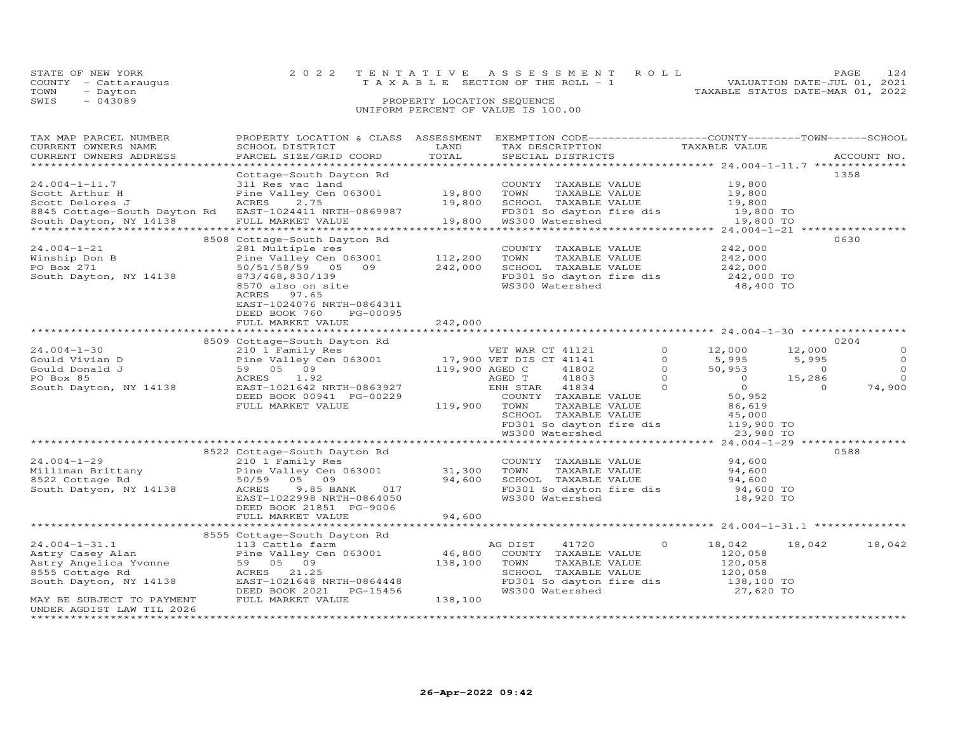|      | STATE OF NEW YORK    | 2022 TENTATIVE ASSESSMENT ROLL        | 124<br>PAGE.                     |
|------|----------------------|---------------------------------------|----------------------------------|
|      | COUNTY - Cattaraugus | T A X A B L E SECTION OF THE ROLL - 1 | VALUATION DATE-JUL 01, 2021      |
| TOWN | - Dayton             |                                       | TAXABLE STATUS DATE-MAR 01, 2022 |
| SWIS | $-043089$            | PROPERTY LOCATION SEQUENCE            |                                  |
|      |                      | UNIFORM PERCENT OF VALUE IS 100.00    |                                  |

| TAX MAP PARCEL NUMBER                                   | PROPERTY LOCATION & CLASS ASSESSMENT                                               |                | EXEMPTION CODE-----------------COUNTY-------TOWN------SCHOOL |                |                |                |              |
|---------------------------------------------------------|------------------------------------------------------------------------------------|----------------|--------------------------------------------------------------|----------------|----------------|----------------|--------------|
| CURRENT OWNERS NAME                                     | SCHOOL DISTRICT                                                                    | LAND           | TAX DESCRIPTION TAXABLE VALUE<br>SPECIAL DISTRICTS           |                |                |                |              |
| CURRENT OWNERS ADDRESS                                  | PARCEL SIZE/GRID COORD                                                             | TOTAL          | SPECIAL DISTRICTS                                            |                |                |                | ACCOUNT NO.  |
| *************************                               |                                                                                    |                |                                                              |                |                |                |              |
|                                                         | Cottage-South Dayton Rd                                                            |                |                                                              |                |                |                | 1358         |
| $24.004 - 1 - 11.7$                                     | 311 Res vac land                                                                   |                | COUNTY TAXABLE VALUE                                         |                | 19,800         |                |              |
| Scott Arthur H                                          | Pine Valley Cen 063001                                                             | 19,800         | TOWN<br>TAXABLE VALUE                                        |                | 19,800         |                |              |
| Scott Delores J                                         | ACRES<br>2.75                                                                      | 19,800         | SCHOOL TAXABLE VALUE                                         |                | 19,800         |                |              |
| 8845 Cottage-South Dayton Rd EAST-1024411 NRTH-0869987  |                                                                                    |                | FD301 So dayton fire dis                                     |                | 19,800 TO      |                |              |
| South Dayton, NY 14138                                  | FULL MARKET VALUE                                                                  | 19,800         | WS300 Watershed                                              |                | 19,800 TO      |                |              |
|                                                         |                                                                                    |                |                                                              |                |                |                |              |
|                                                         | 8508 Cottage-South Dayton Rd                                                       |                |                                                              |                |                |                | 0630         |
| $24.004 - 1 - 21$                                       | 281 Multiple res                                                                   |                | COUNTY TAXABLE VALUE                                         |                | 242,000        |                |              |
| Winship Don B                                           | Pine Valley Cen 063001                                                             | 112,200        | TOWN<br>TAXABLE VALUE                                        |                | 242,000        |                |              |
| PO Box 271                                              | 50/51/58/59 05 09                                                                  | 242,000        | SCHOOL TAXABLE VALUE                                         |                | 242,000        |                |              |
| South Dayton, NY 14138                                  | 873/468,830/139                                                                    |                | FD301 So dayton fire dis                                     |                | $242,000$ TO   |                |              |
|                                                         | 8570 also on site                                                                  |                | WS300 Watershed                                              |                | 48,400 TO      |                |              |
|                                                         | 97.65<br>ACRES                                                                     |                |                                                              |                |                |                |              |
|                                                         | EAST-1024076 NRTH-0864311                                                          |                |                                                              |                |                |                |              |
|                                                         | DEED BOOK 760<br>PG-00095                                                          |                |                                                              |                |                |                |              |
|                                                         | FULL MARKET VALUE                                                                  | 242,000        |                                                              |                |                |                |              |
|                                                         |                                                                                    |                |                                                              |                |                |                |              |
|                                                         | 8509 Cottage-South Dayton Rd                                                       |                |                                                              |                |                |                | 0204         |
| $24.004 - 1 - 30$                                       |                                                                                    |                | VET WAR CT 41121                                             | $\Omega$       | 12,000         | 12,000         | $\circ$      |
| Gould Vivian D                                          |                                                                                    |                |                                                              | $\circ$        | 5,995          | 5,995          | $\circ$      |
| Gould Donald J                                          | 110 1121<br>Pine Valley Cen 063001 17,900 VET DIS CT 41141<br>59 05 09<br>59 05 09 | 119,900 AGED C | 41802                                                        | $\overline{0}$ | 50,953         | $\overline{0}$ | $\circ$      |
| PO Box 85                                               | ACRES 1.92                                                                         |                | 41803<br>AGED T                                              | $\Omega$       | $\overline{0}$ | 15,286         | $\Omega$     |
| South Dayton, NY 14138                                  | EAST-1021642 NRTH-0863927                                                          |                | ENH STAR 41834                                               | $\Omega$       | $\overline{O}$ | $\Omega$       | 74,900       |
|                                                         | DEED BOOK 00941 PG-00229                                                           |                | COUNTY TAXABLE VALUE                                         |                | 50,952         |                |              |
|                                                         | FULL MARKET VALUE                                                                  | 119,900        | TOWN<br>TAXABLE VALUE                                        |                | 86,619         |                |              |
|                                                         |                                                                                    |                | SCHOOL TAXABLE VALUE                                         |                | 45,000         |                |              |
|                                                         |                                                                                    |                | FD301 So dayton fire dis                                     |                | 119,900 TO     |                |              |
|                                                         |                                                                                    |                | WS300 Watershed                                              |                | 23,980 TO      |                |              |
|                                                         |                                                                                    |                |                                                              |                |                |                | ************ |
|                                                         | 8522 Cottage-South Dayton Rd                                                       |                |                                                              |                |                |                | 0588         |
| $24.004 - 1 - 29$                                       | 210 1 Family Res                                                                   |                | COUNTY TAXABLE VALUE                                         |                | 94,600         |                |              |
|                                                         | Pine Valley Cen 063001                                                             | 31,300         | TOWN<br>TAXABLE VALUE                                        |                | 94,600         |                |              |
| Milliman Brittany<br>8522 Cottage Rd<br>8522 Cottage Rd | 50/59 05 09                                                                        | 94,600         | SCHOOL TAXABLE VALUE                                         |                | 94,600         |                |              |
| South Datyon, NY 14138                                  | ACRES<br>9.85 BANK 017                                                             |                | FD301 So dayton fire dis                                     |                | 94,600 TO      |                |              |
|                                                         | EAST-1022998 NRTH-0864050                                                          |                | WS300 Watershed                                              |                | 18,920 TO      |                |              |
|                                                         | DEED BOOK 21851 PG-9006                                                            |                |                                                              |                |                |                |              |
|                                                         | FULL MARKET VALUE                                                                  | 94,600         |                                                              |                |                |                |              |
|                                                         |                                                                                    |                |                                                              |                |                |                |              |
|                                                         | 8555 Cottage-South Dayton Rd                                                       |                |                                                              |                |                |                |              |
| $24.004 - 1 - 31.1$                                     | 113 Cattle farm                                                                    |                | AG DIST<br>41720                                             | 0              | 18,042         | 18,042         | 18,042       |
| Astry Casey Alan                                        | Pine Valley Cen 063001                                                             | 46,800         | COUNTY TAXABLE VALUE                                         |                | 120,058        |                |              |
| Astry Angelica Yvonne                                   | 59 05 09                                                                           | 138,100        | TOWN<br>TAXABLE VALUE                                        |                | 120,058        |                |              |
| 8555 Cottage Rd                                         | ACRES 21.25                                                                        |                | SCHOOL TAXABLE VALUE                                         |                | 120,058        |                |              |
| South Dayton, NY 14138                                  | EAST-1021648 NRTH-0864448                                                          |                | FD301 So dayton fire dis                                     |                | 138,100 TO     |                |              |
|                                                         | DEED BOOK 2021 PG-15456                                                            |                | WS300 Watershed                                              |                | 27,620 TO      |                |              |
| MAY BE SUBJECT TO PAYMENT                               | FULL MARKET VALUE                                                                  | 138,100        |                                                              |                |                |                |              |
| UNDER AGDIST LAW TIL 2026                               |                                                                                    |                |                                                              |                |                |                |              |
| **************************************                  |                                                                                    |                |                                                              |                |                |                |              |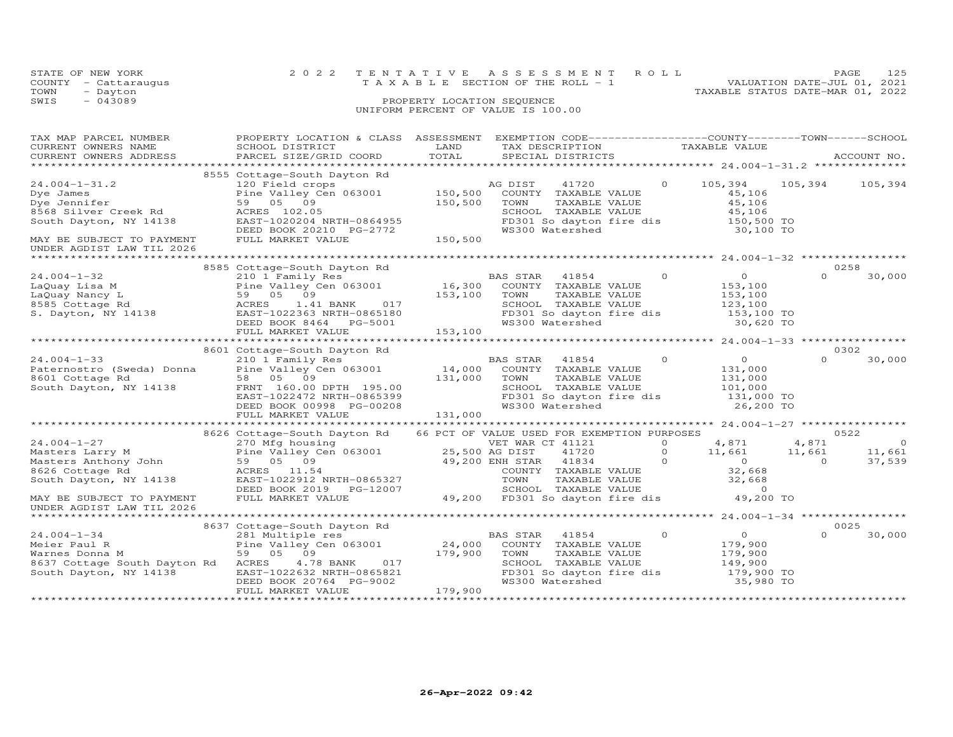|      | STATE OF NEW YORK    | 2022 TENTATIVE ASSESSMENT ROLL                                       | PAGE. | 125 |
|------|----------------------|----------------------------------------------------------------------|-------|-----|
|      | COUNTY - Cattaraugus | VALUATION DATE-JUL 01, 2021<br>T A X A B L E SECTION OF THE ROLL - 1 |       |     |
| TOWN | - Dayton             | TAXABLE STATUS DATE-MAR 01, 2022                                     |       |     |
| SWIS | $-043089$            | PROPERTY LOCATION SEQUENCE                                           |       |     |
|      |                      | UNIFORM PERCENT OF VALUE IS 100.00                                   |       |     |
|      |                      |                                                                      |       |     |
|      |                      |                                                                      |       |     |

| TAX MAP PARCEL NUMBER<br>CURRENT OWNERS NAME<br>CURRENT OWNERS ADDRESS                                                                                        | PROPERTY LOCATION & CLASS ASSESSMENT<br>SCHOOL DISTRICT<br>PARCEL SIZE/GRID COORD                                                                                                                                      | LAND<br>TOTAL                               | EXEMPTION CODE------------------COUNTY--------TOWN------SCHOOL<br>TAX DESCRIPTION<br>SPECIAL DISTRICTS                                                                                                      |                            | TAXABLE VALUE                                                              |                          | ACCOUNT NO.      |  |
|---------------------------------------------------------------------------------------------------------------------------------------------------------------|------------------------------------------------------------------------------------------------------------------------------------------------------------------------------------------------------------------------|---------------------------------------------|-------------------------------------------------------------------------------------------------------------------------------------------------------------------------------------------------------------|----------------------------|----------------------------------------------------------------------------|--------------------------|------------------|--|
|                                                                                                                                                               |                                                                                                                                                                                                                        |                                             |                                                                                                                                                                                                             |                            |                                                                            |                          |                  |  |
| $24.004 - 1 - 31.2$<br>Dye James<br>Dye Jennifer<br>8568 Silver Creek Rd<br>South Dayton, NY 14138<br>MAY BE SUBJECT TO PAYMENT                               | 8555 Cottage-South Dayton Rd<br>120 Field crops<br>Pine Valley Cen 063001 150,500<br>59 05 09<br>ACRES 102.05<br>EAST-1020204 NRTH-0864955<br>DEED BOOK 20210 PG-2772<br>FULL MARKET VALUE                             | 150,500<br>150,500                          | AG DIST<br>41720<br>COUNTY TAXABLE VALUE<br>TOWN<br>TAXABLE VALUE<br>SCHOOL TAXABLE VALUE<br>FD301 So dayton fire dis $150,500$ TO<br>WS300 Watershed 30,100 TO                                             | $\circ$                    | 105,394<br>45,106<br>45,106<br>45,106                                      | 105,394                  | 105,394          |  |
| UNDER AGDIST LAW TIL 2026                                                                                                                                     |                                                                                                                                                                                                                        |                                             |                                                                                                                                                                                                             |                            |                                                                            |                          |                  |  |
|                                                                                                                                                               |                                                                                                                                                                                                                        |                                             |                                                                                                                                                                                                             |                            |                                                                            |                          | 0258             |  |
| 24.004-1-32<br>LaQuay Lisa M<br>LaQuay Nancy L<br>CLOS Cottage Rd<br>S. Dayton, NY 14138                                                                      | 8585 Cottage-South Dayton Rd<br>210 1 Family Res <sup>1</sup> BA<br>Pine Valley Cen 063001 16,300<br>59 05 09<br>ACRES<br>017<br>1.41 BANK<br>EAST-1022363 NRTH-0865180<br>DEED BOOK 8464 PG-5001<br>FULL MARKET VALUE | 153,100<br>153,100                          | BAS STAR<br>41854<br>COUNTY TAXABLE VALUE<br>TOWN<br>TAXABLE VALUE<br>SCHOOL TAXABLE VALUE<br>FD301 So dayton fire dis<br>WS300 Watershed                                                                   | $\circ$                    | $\overline{O}$<br>153,100<br>153,100<br>123,100<br>153,100 TO<br>30,620 TO | $\cap$                   | 30,000           |  |
|                                                                                                                                                               | *************************                                                                                                                                                                                              |                                             |                                                                                                                                                                                                             |                            |                                                                            |                          |                  |  |
|                                                                                                                                                               | 8601 Cottage-South Dayton Rd                                                                                                                                                                                           |                                             |                                                                                                                                                                                                             |                            |                                                                            |                          | 0302             |  |
| $24.004 - 1 - 33$<br>Paternostro (Sweda) Donna<br>8601 Cottage Rd<br>South Dayton, NY 14138                                                                   | 210 1 Family Res<br>Pine Valley Cen 063001<br>58 05 09<br>FRNT 160.00 DPTH 195.00<br>EAST-1022472 NRTH-0865399<br>DEED BOOK 00998 PG-00208<br>FULL MARKET VALUE                                                        | $14,000$ <sup>E</sup><br>131,000<br>131,000 | BAS STAR<br>41854<br>COUNTY TAXABLE VALUE<br>TAXABLE VALUE<br>TOWN<br>SCHOOL TAXABLE VALUE<br>SCHOOL IAAADDD WALLE<br>FD301 So dayton fire dis<br>------ Watershed                                          | $\circ$                    | $\overline{0}$<br>131,000<br>131,000<br>101,000<br>131,000 TO<br>26,200 TO | $\Omega$                 | 30,000           |  |
|                                                                                                                                                               |                                                                                                                                                                                                                        |                                             |                                                                                                                                                                                                             |                            |                                                                            |                          |                  |  |
| $24.004 - 1 - 27$                                                                                                                                             | 8626 Cottage-South Dayton Rd 66 PCT OF VALUE USED FOR EXEMPTION PURPOSES<br>270 Mfg housing                                                                                                                            |                                             | VET WAR CT 41121                                                                                                                                                                                            | $\Omega$                   | 4,871                                                                      | 4,871                    | 0522<br>$\Omega$ |  |
| 24.004-1-27<br>Masters Larry M<br>Masters Anthony John<br>8626 Cottage Rd<br>South Dayton, NY 14138<br>MAY BE SUBJECT TO PAYMENT<br>UNDER AGDIST LAW TIL 2026 | 270 Mig Housing<br>Pine Valley Cen 063001 25,500 AG DIST<br>$49,200$ ENH STAR<br>$49,200$ ENH STAR<br>59 05 09<br>ACRES 11.54<br>EAST-1022912 NRTH-0865327<br>DEED BOOK 2019    PG-12007<br>FULL MARKET VALUE          |                                             | 41720<br>41834<br>COUNTY TAXABLE VALUE 32,668<br>TOWN TAXABLE VALUE 32,668<br>SCHOOL TAXABLE VALUE 0<br>COMN TAXABLE VALUE<br>TOWN TAXABLE VALUE<br>SCHOOL TAXABLE VALUE<br>49,200 FD301 So dayton fire dis | $\Omega$<br>$\overline{a}$ | 11,661<br>$\begin{array}{c} 0 \\ 32,668 \end{array}$<br>49,200 TO          | 11,661<br>$\overline{0}$ | 11,661<br>37,539 |  |
|                                                                                                                                                               |                                                                                                                                                                                                                        |                                             |                                                                                                                                                                                                             |                            | ************ 24.004-1-34 *****************                                 |                          |                  |  |
| $24.004 - 1 - 34$<br>Meier Paul R<br>Warnes Donna M<br>8637 Cottage South Dayton Rd ACRES<br>South Dayton, NY 14138                                           | 8637 Cottage-South Dayton Rd<br>281 Multiple res<br>Pine Valley Cen 063001<br>59 05 09<br>017<br>4.78 BANK<br>EAST-1022632 NRTH-0865821<br>DEED BOOK 20764 PG-9002<br>FULL MARKET VALUE                                | 24,000<br>179,900<br>179,900                | BAS STAR<br>41854<br>COUNTY TAXABLE VALUE<br>TOWN<br>TAXABLE VALUE<br>SCHOOL TAXABLE VALUE<br>FD301 So dayton fire dis<br>FD301 So dayton fire dis                                                          | $\circ$                    | $\overline{O}$<br>179,900<br>179,900<br>149,900<br>179,900 TO<br>35,980 TO |                          | 0025<br>30,000   |  |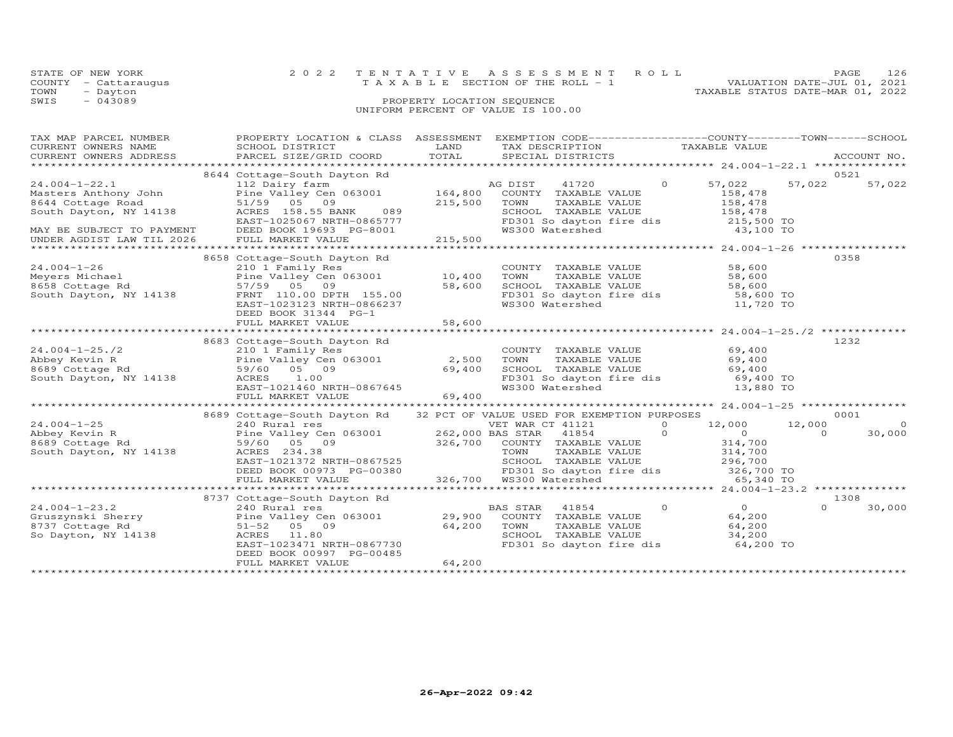| STATE OF NEW YORK    |                            | 2022 TENTATIVE ASSESSMENT ROLL        |  | PAGE.                            | 126 |  |
|----------------------|----------------------------|---------------------------------------|--|----------------------------------|-----|--|
| COUNTY - Cattaraugus |                            | T A X A B L E SECTION OF THE ROLL - 1 |  | VALUATION DATE-JUL 01, 2021      |     |  |
| TOWN<br>- Dayton     |                            |                                       |  | TAXABLE STATUS DATE-MAR 01, 2022 |     |  |
| SWIS<br>$-043089$    | PROPERTY LOCATION SEQUENCE |                                       |  |                                  |     |  |
|                      |                            | UNIFORM PERCENT OF VALUE IS 100.00    |  |                                  |     |  |

| TAX MAP PARCEL NUMBER                                                                                                                                                                                          |                                                                          |                | PROPERTY LOCATION & CLASS ASSESSMENT EXEMPTION CODE----------------COUNTY-------TOWN-----SCHOOL |                                                                                                                                                                                                                                                                                                                                    |          |             |
|----------------------------------------------------------------------------------------------------------------------------------------------------------------------------------------------------------------|--------------------------------------------------------------------------|----------------|-------------------------------------------------------------------------------------------------|------------------------------------------------------------------------------------------------------------------------------------------------------------------------------------------------------------------------------------------------------------------------------------------------------------------------------------|----------|-------------|
| CURRENT OWNERS NAME                                                                                                                                                                                            | SCHOOL DISTRICT                                                          | LAND           | TAX DESCRIPTION TAXABLE VALUE                                                                   |                                                                                                                                                                                                                                                                                                                                    |          |             |
| CURRENT OWNERS ADDRESS                                                                                                                                                                                         | PARCEL SIZE/GRID COORD TOTAL                                             |                | SPECIAL DISTRICTS                                                                               |                                                                                                                                                                                                                                                                                                                                    |          | ACCOUNT NO. |
|                                                                                                                                                                                                                | 8644 Cottage-South Dayton Rd                                             |                |                                                                                                 |                                                                                                                                                                                                                                                                                                                                    |          | 0521        |
| $24.004 - 1 - 22.1$                                                                                                                                                                                            | 112 Dairy farm                                                           |                | AG DIST<br>41720<br>$\Omega$                                                                    | 57,022                                                                                                                                                                                                                                                                                                                             | 57,022   | 57,022      |
| Masters Anthony John                                                                                                                                                                                           | Pine Valley Cen 063001 164,800                                           |                | COUNTY TAXABLE VALUE                                                                            | 158,478                                                                                                                                                                                                                                                                                                                            |          |             |
| 8644 Cottage Road                                                                                                                                                                                              | 51/59 05 09                                                              | 215,500        | TOWN<br>TAXABLE VALUE                                                                           | 158,478                                                                                                                                                                                                                                                                                                                            |          |             |
| South Dayton, NY 14138                                                                                                                                                                                         | ACRES 158.55 BANK<br>089                                                 |                | SCHOOL TAXABLE VALUE                                                                            | 158,478                                                                                                                                                                                                                                                                                                                            |          |             |
|                                                                                                                                                                                                                | EAST-1025067 NRTH-0865777                                                |                | FD301 So dayton fire dis 215,500 TO<br>WS300 Watershed 43,100 TO                                |                                                                                                                                                                                                                                                                                                                                    |          |             |
| MAY BE SUBJECT TO PAYMENT                                                                                                                                                                                      | DEED BOOK 19693 PG-8001                                                  |                |                                                                                                 |                                                                                                                                                                                                                                                                                                                                    |          |             |
| UNDER AGDIST LAW TIL 2026                                                                                                                                                                                      | FULL MARKET VALUE                                                        | 215,500        |                                                                                                 |                                                                                                                                                                                                                                                                                                                                    |          |             |
|                                                                                                                                                                                                                |                                                                          |                |                                                                                                 |                                                                                                                                                                                                                                                                                                                                    |          |             |
|                                                                                                                                                                                                                | 8658 Cottage-South Dayton Rd                                             |                |                                                                                                 |                                                                                                                                                                                                                                                                                                                                    |          | 0358        |
| $24.004 - 1 - 26$                                                                                                                                                                                              | 210 1 Family Res                                                         |                | COUNTY TAXABLE VALUE                                                                            | 58,600                                                                                                                                                                                                                                                                                                                             |          |             |
|                                                                                                                                                                                                                |                                                                          |                | TAXABLE VALUE<br>TOWN                                                                           | 58,600<br>58.600                                                                                                                                                                                                                                                                                                                   |          |             |
|                                                                                                                                                                                                                |                                                                          |                | SCHOOL TAXABLE VALUE                                                                            | 58,600                                                                                                                                                                                                                                                                                                                             |          |             |
| South Dayton, NY 14138                                                                                                                                                                                         | FRNT 110.00 DPTH 155.00                                                  |                | FD301 So dayton fire dis 58,600 TO                                                              |                                                                                                                                                                                                                                                                                                                                    |          |             |
|                                                                                                                                                                                                                | EAST-1023123 NRTH-0866237                                                |                | WS300 Watershed                                                                                 | 11,720 TO                                                                                                                                                                                                                                                                                                                          |          |             |
|                                                                                                                                                                                                                | DEED BOOK 31344 PG-1                                                     | 58,600         |                                                                                                 |                                                                                                                                                                                                                                                                                                                                    |          |             |
|                                                                                                                                                                                                                | FULL MARKET VALUE                                                        |                |                                                                                                 |                                                                                                                                                                                                                                                                                                                                    |          |             |
|                                                                                                                                                                                                                | 8683 Cottage-South Dayton Rd                                             |                |                                                                                                 |                                                                                                                                                                                                                                                                                                                                    |          | 1232        |
| $24.004 - 1 - 25.72$                                                                                                                                                                                           | 210 1 Family Res                                                         |                | COUNTY TAXABLE VALUE                                                                            | 69,400                                                                                                                                                                                                                                                                                                                             |          |             |
| Abbey Kevin R                                                                                                                                                                                                  | Pine Valley Cen $063001$ 2,500                                           |                | TAXABLE VALUE<br>TOWN                                                                           |                                                                                                                                                                                                                                                                                                                                    |          |             |
| 8689 Cottage Rd                                                                                                                                                                                                | 59/60 05 09                                                              | 69,400         | SCHOOL TAXABLE VALUE                                                                            | $69,400$<br>$69.400$<br>69,400                                                                                                                                                                                                                                                                                                     |          |             |
| South Dayton, NY 14138                                                                                                                                                                                         | ACRES 1.00                                                               |                | FD301 So dayton fire dis 69,400 TO                                                              |                                                                                                                                                                                                                                                                                                                                    |          |             |
|                                                                                                                                                                                                                | EAST-1021460 NRTH-0867645                                                |                | WS300 Watershed                                                                                 | 13,880 TO                                                                                                                                                                                                                                                                                                                          |          |             |
|                                                                                                                                                                                                                | FULL MARKET VALUE                                                        | $57645$ 69,400 |                                                                                                 |                                                                                                                                                                                                                                                                                                                                    |          |             |
|                                                                                                                                                                                                                |                                                                          |                |                                                                                                 |                                                                                                                                                                                                                                                                                                                                    |          |             |
|                                                                                                                                                                                                                | 8689 Cottage-South Dayton Rd 32 PCT OF VALUE USED FOR EXEMPTION PURPOSES |                |                                                                                                 |                                                                                                                                                                                                                                                                                                                                    |          | 0001        |
| $24.004 - 1 - 25$                                                                                                                                                                                              | 240 Rural res<br>Pine Valley Cen 063001 262,000 BAS STAR 41854           |                | $\overline{O}$                                                                                  | 12,000 12,000                                                                                                                                                                                                                                                                                                                      |          | $\Omega$    |
| Abbey Kevin R                                                                                                                                                                                                  |                                                                          |                | $\sim$ 0                                                                                        | $\overline{0}$ and $\overline{0}$ and $\overline{0}$ and $\overline{0}$ and $\overline{0}$ and $\overline{0}$ and $\overline{0}$ and $\overline{0}$ and $\overline{0}$ and $\overline{0}$ and $\overline{0}$ and $\overline{0}$ and $\overline{0}$ and $\overline{0}$ and $\overline{0}$ and $\overline{0}$ and $\overline{0}$ and | $\Omega$ | 30,000      |
| 8689 Cottage Rd                                                                                                                                                                                                | 59/60 05 09                                                              |                | $326,700$ COUNTY TAXABLE VALUE                                                                  | 314,700<br>314,700                                                                                                                                                                                                                                                                                                                 |          |             |
| South Dayton, NY 14138                                                                                                                                                                                         | ACRES 234.38                                                             |                | TAXABLE VALUE<br>TOWN                                                                           |                                                                                                                                                                                                                                                                                                                                    |          |             |
|                                                                                                                                                                                                                | EAST-1021372 NRTH-0867525                                                |                |                                                                                                 |                                                                                                                                                                                                                                                                                                                                    |          |             |
|                                                                                                                                                                                                                | DEED BOOK 00973 PG-00380                                                 |                | 326,700 WS300 Watershed                                                                         |                                                                                                                                                                                                                                                                                                                                    |          |             |
|                                                                                                                                                                                                                | FULL MARKET VALUE                                                        |                |                                                                                                 |                                                                                                                                                                                                                                                                                                                                    |          |             |
| 1992 1993 1994 1994 10 240 Nural res<br>Gruszynski Sherry (1995) 29,900 COUNTY TAXABLE VALUE<br>So Dayton, NY 14138 (1996) 29,900 COUNTY TAXABLE VALUE<br>So Dayton, NY 14138 (1996) 29,900 TOWN TAXABLE VALUE |                                                                          |                |                                                                                                 |                                                                                                                                                                                                                                                                                                                                    |          | 1308        |
|                                                                                                                                                                                                                |                                                                          |                |                                                                                                 | $\overline{0}$                                                                                                                                                                                                                                                                                                                     |          | 30,000      |
|                                                                                                                                                                                                                |                                                                          |                |                                                                                                 | 64,200                                                                                                                                                                                                                                                                                                                             |          |             |
|                                                                                                                                                                                                                |                                                                          |                | TOWN       TAXABLE  VALUE<br>SCHOOL    TAXABLE  VALUE                                           | 64,200<br>34,200                                                                                                                                                                                                                                                                                                                   |          |             |
|                                                                                                                                                                                                                |                                                                          |                |                                                                                                 |                                                                                                                                                                                                                                                                                                                                    |          |             |
|                                                                                                                                                                                                                | EAST-1023471 NRTH-0867730                                                |                | FD301 So dayton fire dis 64,200 TO                                                              |                                                                                                                                                                                                                                                                                                                                    |          |             |
|                                                                                                                                                                                                                | DEED BOOK 00997 PG-00485<br>FULL MARKET VALUE                            | 64,200         |                                                                                                 |                                                                                                                                                                                                                                                                                                                                    |          |             |
|                                                                                                                                                                                                                |                                                                          |                |                                                                                                 |                                                                                                                                                                                                                                                                                                                                    |          |             |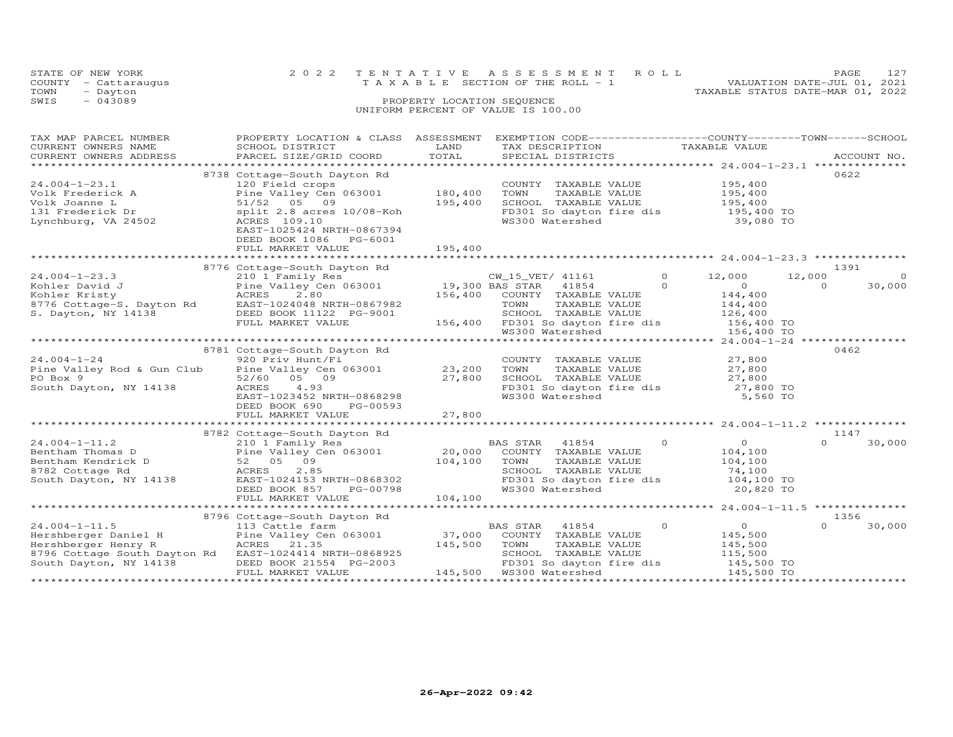|      | STATE OF NEW YORK    | 2022 TENTATIVE ASSESSMENT ROLL        |  |                                  | PAGE.                       | 12.7 |
|------|----------------------|---------------------------------------|--|----------------------------------|-----------------------------|------|
|      | COUNTY - Cattaraugus | T A X A B L E SECTION OF THE ROLL - 1 |  |                                  | VALUATION DATE-JUL 01, 2021 |      |
| TOWN | - Dayton             |                                       |  | TAXABLE STATUS DATE-MAR 01, 2022 |                             |      |
| SWIS | - 043089             | PROPERTY LOCATION SEQUENCE            |  |                                  |                             |      |
|      |                      | UNIFORM PERCENT OF VALUE IS 100.00    |  |                                  |                             |      |

| TAX MAP PARCEL NUMBER<br>TAX PIAN PARCEL SURPRESS ADDRESS PARCEL SIZE/GRID COORD ISTRICT DAND TOTAL TEXT DESCRIPTION TAXABLE VALUE<br>CURRENT OWNERS ADDRESS PARCEL SIZE/GRID COORD IOTAL SPECIAL DISTRICTS ACCOUNT NO.<br>**********************************                                                                            | PROPERTY LOCATION & CLASS ASSESSMENT                                                                                                                                                                                      |                    | EXEMPTION CODE-----------------COUNTY-------TOWN------SCHOOL                                                                                                                                                                                                                         |                                                    |                    |
|------------------------------------------------------------------------------------------------------------------------------------------------------------------------------------------------------------------------------------------------------------------------------------------------------------------------------------------|---------------------------------------------------------------------------------------------------------------------------------------------------------------------------------------------------------------------------|--------------------|--------------------------------------------------------------------------------------------------------------------------------------------------------------------------------------------------------------------------------------------------------------------------------------|----------------------------------------------------|--------------------|
| $24.004 - 1 - 23.1$<br>Volk Frederick A<br>Volk Joanne L<br>131 Frederick Dr<br>Lynchburg, VA 24502                                                                                                                                                                                                                                      | 8738 Cottage-South Dayton Rd<br>120 Field crops<br>Pine Valley Cen 063001 180,400<br>51/52 05 09<br>split 2.8 acres 10/08-Koh<br>ACRES 109.10<br>EAST-1025424 NRTH-0867394<br>DEED BOOK 1086 PG-6001<br>FULL MARKET VALUE | 195,400<br>195,400 | TOWN TAXABLE VALUE 195,400<br>SCHOOL TAXABLE VALUE 195,400<br>FD301 So dayton fire dis 195,400 TO<br>WS300 Watershed 195,400 TO<br>195,400 TO<br>195,400 TO<br>195,400 TO<br>39.080 TO                                                                                               |                                                    | 0622               |
|                                                                                                                                                                                                                                                                                                                                          | 8776 Cottage-South Dayton Rd                                                                                                                                                                                              |                    |                                                                                                                                                                                                                                                                                      |                                                    | 1391               |
| $24.004 - 1 - 23.3$                                                                                                                                                                                                                                                                                                                      |                                                                                                                                                                                                                           |                    |                                                                                                                                                                                                                                                                                      | 12,000                                             | $\Omega$           |
| Z4.004-1-23.3<br>Kohler David J<br>Kohler Kristy<br>8776 Cottage-S. Dayton Rd<br>S. Dayton, NY 14138                                                                                                                                                                                                                                     | EAST-1024048 NRTH-0867982<br>DEED BOOK 11122 PG-9001<br>FULL MARKET VALUE                                                                                                                                                 |                    | 210 1 Family Res<br>Pine Valley Cen 063001 (19,300 BAS STAR (41854 (19,300 BAS STAR 41854 (19,300 BAS STAR 41854 (19,300 M)<br>TOWN<br>TAXABLE VALUE<br>SCHOOL TAXABLE VALUE 126,400<br>156,400 FD301 So dayton fire dis 156,400 TO<br>WS300 Watershed 156,400 TO<br>WS300 Watershed | $\overline{0}$<br>144,400<br>144,400<br>156,400 TO | 30,000<br>$\Omega$ |
|                                                                                                                                                                                                                                                                                                                                          |                                                                                                                                                                                                                           |                    |                                                                                                                                                                                                                                                                                      |                                                    |                    |
| 24.004-1-24 920 Priv Hunt/Fi<br>Pine Valley Rod & Gun Club Pine Valley Cen 063001 23,200<br>PO Box 9 <sup>T</sup><br>South Dayton, NY 14138                                                                                                                                                                                              | 8781 Cottage-South Dayton Rd<br>52/60 05 09<br>ACRES 4.93<br>EAST-1023452 NRTH-0868298<br>DEED BOOK 690<br>PG-00593                                                                                                       | 27,800             | COUNTY TAXABLE VALUE $27,800$<br>TOWN TAXABLE VALUE $27,800$<br>SCHOOL TAXABLE VALUE $27,800$<br>FD301 So dayton fire dis $27,800$<br>WS300 Watershed 5,560 TO                                                                                                                       |                                                    | 0462               |
|                                                                                                                                                                                                                                                                                                                                          | 8782 Cottage-South Dayton Rd                                                                                                                                                                                              |                    |                                                                                                                                                                                                                                                                                      |                                                    | 1147               |
| 24.004-1-11.2<br>Bentham Thomas D<br>Bentham Kendrick D<br>8782 Cottage Rd<br>South Dayton, NY 14138<br>$\begin{array}{ccc}\n & 210 & 1 & \text{Family Res} & \text{Equation 20,000} \\  \text{Pine Valley Cen 063001} & 20,000 \\  & 52 & 05 & 09 \\  & & 2.85 \\  \text{South Dyton, NY 14138} & & \text{EART} -0868302\n \end{array}$ | EAST-1024153 NRTH-0868302<br>DEED BOOK 857 PG-00798<br>FULL MARKET VALUE                                                                                                                                                  |                    | BAS STAR 41854 0<br>COUNTY TAXABLE VALUE<br>TOWN<br>TAXABLE VALUE<br>104,100<br>FD301 So dayton fire dis 104,100 TO<br>WS300 Watershed 20.820 TO                                                                                                                                     | $\overline{0}$<br>104,100<br>104,100               | $\Omega$<br>30,000 |
|                                                                                                                                                                                                                                                                                                                                          |                                                                                                                                                                                                                           |                    |                                                                                                                                                                                                                                                                                      |                                                    |                    |
|                                                                                                                                                                                                                                                                                                                                          | 8796 Cottage-South Dayton Rd                                                                                                                                                                                              |                    |                                                                                                                                                                                                                                                                                      |                                                    | 1356               |
| $24.004 - 1 - 11.5$<br>8796 Cottage South Dayton Rd EAST-1024414 NRTH-0868925<br>South Dayton, NY 14138                                                                                                                                                                                                                                  | 113 Cattle farm<br>DEED BOOK 21554 PG-2003<br>FULL MARKET VALUE                                                                                                                                                           |                    | $\circ$<br>BAS STAR 41854<br>TAXABLE VALUE<br>SCHOOL TAXABLE VALUE<br>FD301 So dayton fire dis 115,500<br>WS300 Watershed 145,500 TO<br>145,500 WS300 Watershed                                                                                                                      | $\overline{O}$<br>145,500<br>145,500<br>145,500 TO | $\Omega$<br>30,000 |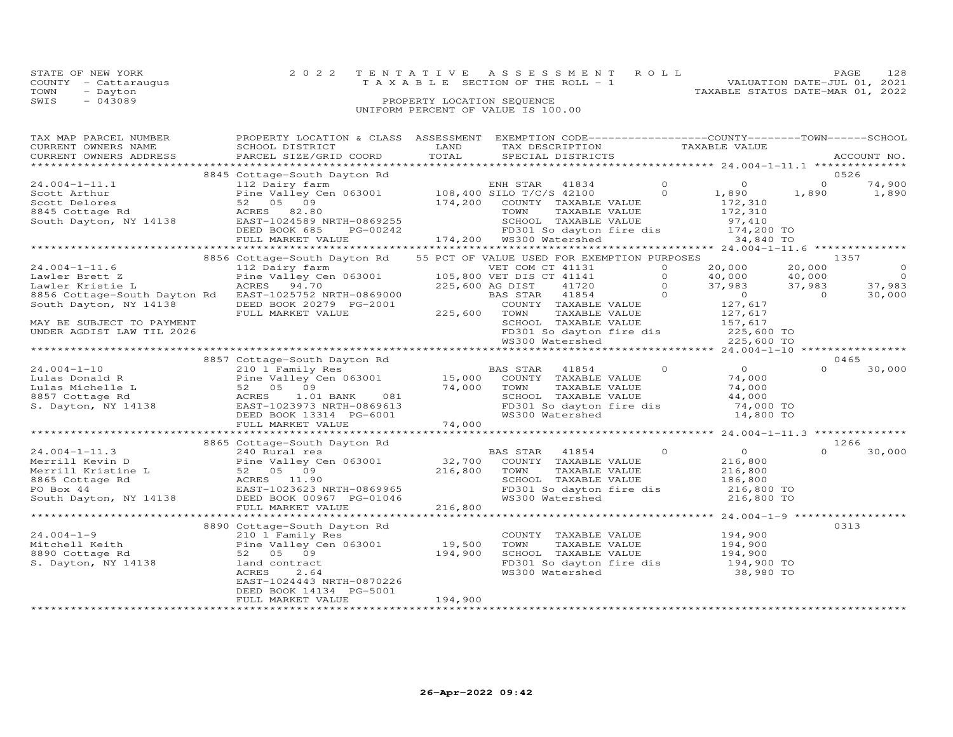|      | STATE OF NEW YORK    | 2022 TENTATIVE ASSESSMENT ROLL        |                            |  |                                  |                             | 128 |
|------|----------------------|---------------------------------------|----------------------------|--|----------------------------------|-----------------------------|-----|
|      | COUNTY - Cattaraugus | T A X A B L E SECTION OF THE ROLL - 1 |                            |  |                                  | VALUATION DATE-JUL 01, 2021 |     |
| TOWN | - Dayton             |                                       |                            |  | TAXABLE STATUS DATE-MAR 01, 2022 |                             |     |
| SWIS | $-043089$            |                                       | PROPERTY LOCATION SEQUENCE |  |                                  |                             |     |
|      |                      | UNIFORM PERCENT OF VALUE IS 100.00    |                            |  |                                  |                             |     |

## TAX MAP PARCEL NUMBER PROPERTY LOCATION & CLASS ASSESSMENT EXEMPTION CODE------------------COUNTY--------TOWN------SCHOOL CURRENT OWNERS NAME SCHOOL DISTRICT LAND TAX DESCRIPTION TAXABLE VALUE CURRENT OWNERS ADDRESS PARCEL SIZE/GRID COORD TOTAL SPECIAL DISTRICTS ACCOUNT NO. \*\*\*\*\*\*\*\*\*\*\*\*\*\*\*\*\*\*\*\*\*\*\*\*\*\*\*\*\*\*\*\*\*\*\*\*\*\*\*\*\*\*\*\*\*\*\*\*\*\*\*\*\*\*\*\*\*\*\*\*\*\*\*\*\*\*\*\*\*\*\*\*\*\*\*\*\*\*\*\*\*\*\*\*\*\*\*\*\*\*\*\*\*\*\*\*\*\*\*\*\*\*\* 24.004-1-11.1 \*\*\*\*\*\*\*\*\*\*\*\*\*\* $\begin{array}{cccccccc} 24.004-1-11.1 & 8845 \text{ Cottage-South} & \text{Bayton Rd} & \text{ENH STR} & 41834 & 0 & 0526 \\\text{Scott Arthur} & 112 \text{ Dairy farm} & 108,400 \text{ SILD} & 7/C/S & 42100 & 0 & 0 & 74,900 \\\text{Scott Delores} & 52 & 05 & 09 & 174,200 & \text{COUNTY TAXABLE VALUE} & 172,310 & 172,310 \\\text{Scott Dayton, NY 14138} & \text{EAST} -10245$ \*\*\*\*\*\*\*\*\*\*\*\*\*\*\*\*\*\*\*\*\*\*\*\*\*\*\*\*\*\*\*\*\*\*\*\*\*\*\*\*\*\*\*\*\*\*\*\*\*\*\*\*\*\*\*\*\*\*\*\*\*\*\*\*\*\*\*\*\*\*\*\*\*\*\*\*\*\*\*\*\*\*\*\*\*\*\*\*\*\*\*\*\*\*\*\*\*\*\*\*\*\*\* 24.004-1-11.6 \*\*\*\*\*\*\*\*\*\*\*\*\*\* 8856 Cottage-South Dayton Rd 55 PCT OF VALUE USED FOR EXEMPTION PURPOSES 1357 24.004-1-11.6 112 Dairy farm VET COM CT 41131 0 20,000 20,000 0 Lawler Brett Z Pine Valley Cen 063001 105,800 VET DIS CT 41141 0 40,000 40,000 0 Lawler Kristie L ACRES 94.70 225,600 AG DIST 41720 0 37,983 37,983 37,983 8856 Cottage-South Dayton Rd EAST-1025752 NRTH-0869000 BAS STAR 41854 0 0 0 30,000 South Dayton, NY 14138 DEED BOOK 20279 PG-2001 COUNTY TAXABLE VALUE 127,617 FULL MARKET VALUE 225,600 TOWN TAXABLE VALUE 127,617 MAY BE SUBJECT TO PAYMENT SCHOOL TAXABLE VALUE 157,617 UNDER AGDIST LAW TIL 2026 FD301 So dayton fire dis 225,600 TO WS300 Watershed 225,600 TO \*\*\*\*\*\*\*\*\*\*\*\*\*\*\*\*\*\*\*\*\*\*\*\*\*\*\*\*\*\*\*\*\*\*\*\*\*\*\*\*\*\*\*\*\*\*\*\*\*\*\*\*\*\*\*\*\*\*\*\*\*\*\*\*\*\*\*\*\*\*\*\*\*\*\*\*\*\*\*\*\*\*\*\*\*\*\*\*\*\*\*\*\*\*\*\*\*\*\*\*\*\*\* 24.004-1-10 \*\*\*\*\*\*\*\*\*\*\*\*\*\*\*\* 8857 Cottage-South Dayton Rd 0465 24.004-1-10 210 1 Family Res BAS STAR 41854 0 0 0 30,000 Lulas Donald R Pine Valley Cen 063001 15,000 COUNTY TAXABLE VALUE 74,000 Lulas Michelle L 52 05 09 74,000 TOWN TAXABLE VALUE 74,000 8857 Cottage Rd ACRES 1.01 BANK 081 SCHOOL TAXABLE VALUE 44,000 S. Dayton, NY 14138 EAST-1023973 NRTH-0869613 FD301 So dayton fire dis 74,000 TO DEED BOOK 13314 PG-6001 WS300 Watershed 14,800 TO FULL MARKET VALUE 74,000 \*\*\*\*\*\*\*\*\*\*\*\*\*\*\*\*\*\*\*\*\*\*\*\*\*\*\*\*\*\*\*\*\*\*\*\*\*\*\*\*\*\*\*\*\*\*\*\*\*\*\*\*\*\*\*\*\*\*\*\*\*\*\*\*\*\*\*\*\*\*\*\*\*\*\*\*\*\*\*\*\*\*\*\*\*\*\*\*\*\*\*\*\*\*\*\*\*\*\*\*\*\*\* 24.004-1-11.3 \*\*\*\*\*\*\*\*\*\*\*\*\*\* $\frac{6}{20}$  0.0 8865 Cottage-South Dayton Rd 126624.004-1-11.3 240 Rural res BAS STAR 41854 0 0 0 30,000Merrill Kevin D Pine Valley Cen 063001 32,700 COUNTY TAXABLE VALUE 216,800 Merrill Kristine L 52 05 09 216,800 TOWN TAXABLE VALUE 216,800 8865 Cottage Rd ACRES 11.90 SCHOOL TAXABLE VALUE 186,800 PO Box 44 EAST-1023623 NRTH-0869965 FD301 So dayton fire dis 216,800 TO South Dayton, NY 14138 DEED BOOK 00967 PG-01046 WS300 Watershed 216,800 TO FULL MARKET VALUE 216,800 \*\*\*\*\*\*\*\*\*\*\*\*\*\*\*\*\*\*\*\*\*\*\*\*\*\*\*\*\*\*\*\*\*\*\*\*\*\*\*\*\*\*\*\*\*\*\*\*\*\*\*\*\*\*\*\*\*\*\*\*\*\*\*\*\*\*\*\*\*\*\*\*\*\*\*\*\*\*\*\*\*\*\*\*\*\*\*\*\*\*\*\*\*\*\*\*\*\*\*\*\*\*\* 24.004-1-9 \*\*\*\*\*\*\*\*\*\*\*\*\*\*\*\*\*91.004-1-9 (194.004-1-9 (194.004) Mitchell Keith (194.004) 2000 (210 Family Res (2000) 2013<br>Mitchell Keith (194.900 Country Res (194.900 Country TAXABLE VALUE 194.900 Countage Rd (194.900 S2 05 09 (194.900<br>S. Dayton, NY 14 EAST-1024443 NRTH-0870226DEED BOOK 14134 PG-5001 FULL MARKET VALUE 194,900

\*\*\*\*\*\*\*\*\*\*\*\*\*\*\*\*\*\*\*\*\*\*\*\*\*\*\*\*\*\*\*\*\*\*\*\*\*\*\*\*\*\*\*\*\*\*\*\*\*\*\*\*\*\*\*\*\*\*\*\*\*\*\*\*\*\*\*\*\*\*\*\*\*\*\*\*\*\*\*\*\*\*\*\*\*\*\*\*\*\*\*\*\*\*\*\*\*\*\*\*\*\*\*\*\*\*\*\*\*\*\*\*\*\*\*\*\*\*\*\*\*\*\*\*\*\*\*\*\*\*\*\*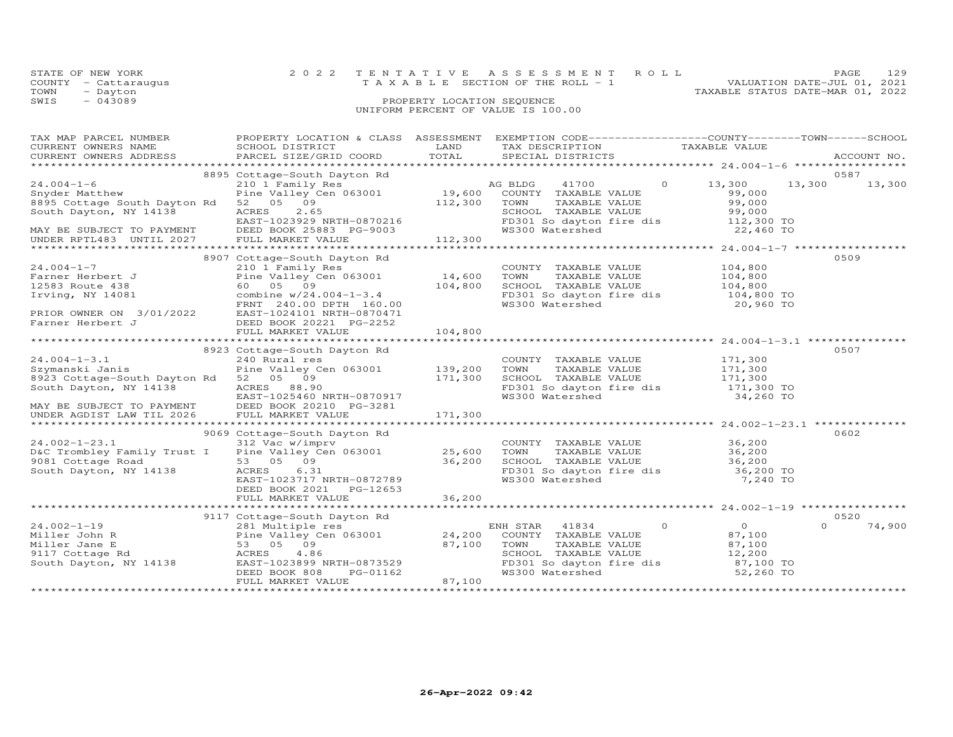|      | STATE OF NEW YORK    | 2022 TENTATIVE ASSESSMENT ROLL        | <b>PAGE</b>                 | 129 |
|------|----------------------|---------------------------------------|-----------------------------|-----|
|      | COUNTY - Cattaraugus | T A X A B L E SECTION OF THE ROLL - 1 | VALUATION DATE-JUL 01, 2021 |     |
| TOWN | - Dayton             | TAXABLE STATUS DATE-MAR 01, 2022      |                             |     |
| SWIS | $-043089$            | PROPERTY LOCATION SEQUENCE            |                             |     |
|      |                      | UNIFORM PERCENT OF VALUE IS 100.00    |                             |     |

| TAX MAP PARCEL NUMBER                                                                            | PROPERTY LOCATION & CLASS ASSESSMENT EXEMPTION CODE----------------COUNTY-------TOWN------SCHOOL |                         |                                                                                                                                                           |                            |                    |
|--------------------------------------------------------------------------------------------------|--------------------------------------------------------------------------------------------------|-------------------------|-----------------------------------------------------------------------------------------------------------------------------------------------------------|----------------------------|--------------------|
| CURRENT OWNERS NAME                                                                              | SCHOOL DISTRICT                                                                                  | LAND                    | TAX DESCRIPTION                                                                                                                                           | TAXABLE VALUE              |                    |
| CURRENT OWNERS ADDRESS                                                                           | PARCEL SIZE/GRID COORD TOTAL                                                                     |                         | SPECIAL DISTRICTS                                                                                                                                         |                            | ACCOUNT NO.        |
|                                                                                                  |                                                                                                  |                         |                                                                                                                                                           |                            |                    |
|                                                                                                  | 8895 Cottage-South Dayton Rd                                                                     |                         |                                                                                                                                                           |                            | 0587               |
| $24.004 - 1 - 6$                                                                                 | 210 1 Family Res<br>Pine Valley Cen 063001 19,600 COUNTY TAXABLE VALUE<br>52 05 09               |                         |                                                                                                                                                           | $\circ$<br>13,300          | 13,300 13,300      |
| Snyder Matthew                                                                                   |                                                                                                  |                         | COUNTY TAXABLE VALUE                                                                                                                                      | 99,000                     |                    |
| 8895 Cottage South Dayton Rd                                                                     | 52 05 09                                                                                         | 112,300                 | TOWN       TAXABLE  VALUE<br>SCHOOL    TAXABLE  VALUE                                                                                                     | 99,000                     |                    |
| South Dayton, NY 14138                                                                           |                                                                                                  |                         |                                                                                                                                                           | 99,000                     |                    |
|                                                                                                  | EAST-1023229 NRTH-0870216<br>DEED BOOK 25883 PG-9003<br>FULL MARKET WAINT                        |                         | FD301 So dayton fire dis<br>WS300 Watershed MS300 TO 22,460 TO                                                                                            |                            |                    |
| MAY BE SUBJECT TO PAYMENT                                                                        |                                                                                                  |                         |                                                                                                                                                           |                            |                    |
| UNDER RPTL483 UNTIL 2027                                                                         |                                                                                                  |                         |                                                                                                                                                           |                            |                    |
|                                                                                                  |                                                                                                  |                         |                                                                                                                                                           |                            |                    |
|                                                                                                  | 8907 Cottage-South Dayton Rd                                                                     |                         |                                                                                                                                                           |                            | 0509               |
| $24.004 - 1 - 7$                                                                                 | 210 1 Family Res                                                                                 |                         | COUNTY TAXABLE VALUE 104,800                                                                                                                              |                            |                    |
| Farner Herbert J<br>12583 Route 438                                                              | Pine Valley Cen 063001                                                                           | 14,600                  |                                                                                                                                                           |                            |                    |
| 12583 Route 438                                                                                  | 60   05   09                                                                                     | 104,800                 | TOWN TAXABLE VALUE 104,800<br>SCHOOL TAXABLE VALUE 104,800                                                                                                |                            |                    |
| Irving, NY 14081                                                                                 | combine w/24.004-1-3.4<br>FRNT 240.00 DPTH 160.00                                                |                         | FD301 So dayton fire dis 104,800 TO<br>WS300 Watershed 20,960 TO                                                                                          |                            |                    |
|                                                                                                  |                                                                                                  |                         |                                                                                                                                                           | 20,960 TO                  |                    |
| PRIOR OWNER ON 3/01/2022<br>Farner Herbert J                                                     | EAST-1024101 NRTH-0870471                                                                        |                         |                                                                                                                                                           |                            |                    |
|                                                                                                  | DEED BOOK 20221 PG-2252                                                                          |                         |                                                                                                                                                           |                            |                    |
|                                                                                                  | FULL MARKET VALUE                                                                                | 104,800                 |                                                                                                                                                           |                            |                    |
|                                                                                                  |                                                                                                  |                         |                                                                                                                                                           |                            |                    |
|                                                                                                  | 8923 Cottage-South Dayton Rd                                                                     |                         |                                                                                                                                                           |                            | 0507               |
| $24.004 - 1 - 3.1$                                                                               | 240 Rural res                                                                                    |                         | COUNTY TAXABLE VALUE 171,300                                                                                                                              |                            |                    |
| Szymanski Janis                                                                                  | Pine Valley Cen 063001 139, 200<br>52 05 09 171, 300                                             |                         |                                                                                                                                                           |                            |                    |
| 8923 Cottage-South Dayton Rd 52 05 09                                                            |                                                                                                  |                         | TOWN TAXABLE VALUE 171,300<br>SCHOOL TAXABLE VALUE 171,300                                                                                                |                            |                    |
| South Dayton, NY 14138 ACRES 88.90                                                               |                                                                                                  |                         |                                                                                                                                                           |                            |                    |
|                                                                                                  | EAST-1025460 NRTH-0870917                                                                        |                         | FD301 So dayton fire dis 171,300 TO<br>WS300 Watershed 34,260 TO                                                                                          |                            |                    |
|                                                                                                  |                                                                                                  |                         |                                                                                                                                                           |                            |                    |
| MAY BE SUBJECT TO PAYMENT DEED BOOK 20210 PG-3281<br>UNDER AGDIST LAW TIL 2026 FULL MARKET VALUE |                                                                                                  |                         |                                                                                                                                                           |                            |                    |
|                                                                                                  |                                                                                                  |                         |                                                                                                                                                           |                            |                    |
|                                                                                                  | 9069 Cottage-South Dayton Rd                                                                     |                         |                                                                                                                                                           |                            | 0602               |
| 24.002-1-23.1 312 Vac w/imprv<br>D&C Trombley Family Trust I Pine Valley Cen 063001 25,600       |                                                                                                  |                         |                                                                                                                                                           |                            |                    |
|                                                                                                  |                                                                                                  |                         |                                                                                                                                                           |                            |                    |
| 9081 Cottage Road                                                                                | 53 05 09                                                                                         |                         |                                                                                                                                                           |                            |                    |
| yu8⊥ Cottage Road<br>South Dayton, NY 14138                                                      | ACRES 6.31                                                                                       | $\frac{25,800}{36,200}$ |                                                                                                                                                           |                            |                    |
|                                                                                                  | EAST-1023717 NRTH-0872789                                                                        |                         | COUNTY TAXABLE VALUE 36,200<br>TOWN TAXABLE VALUE 36,200<br>SCHOOL TAXABLE VALUE 36,200<br>FD301 So dayton fire dis 36,200 TO<br>WS300 Watershed 7,240 TO |                            |                    |
|                                                                                                  | DEED BOOK 2021 PG-12653                                                                          |                         |                                                                                                                                                           |                            |                    |
|                                                                                                  |                                                                                                  |                         |                                                                                                                                                           |                            |                    |
|                                                                                                  |                                                                                                  |                         |                                                                                                                                                           |                            |                    |
|                                                                                                  | 9117 Cottage-South Dayton Rd                                                                     |                         |                                                                                                                                                           |                            | 0520               |
| $24.002 - 1 - 19$                                                                                | 281 Multiple res                                                                                 |                         | ENH STAR 41834                                                                                                                                            | $\overline{0}$<br>$\Omega$ | 74,900<br>$\Omega$ |
|                                                                                                  | Pine Valley Cen 063001 24,200 COUNTY TAXABLE VALUE                                               |                         |                                                                                                                                                           | 87,100                     |                    |
|                                                                                                  |                                                                                                  | 87,100                  | TOWN<br>TAXABLE VALUE                                                                                                                                     | 87,100                     |                    |
| Miller John R<br>Miller Jane E<br>9117 Cottage Rd<br>South Dayton, NY 14138<br>EAST-1023899 N    |                                                                                                  |                         | SCHOOL TAXABLE VALUE                                                                                                                                      | 12,200                     |                    |
|                                                                                                  | ACRES 4.86<br>EAST-1023899 NRTH-0873529<br>ERED BOOK 900                                         |                         |                                                                                                                                                           | $87,100$ TO                |                    |
|                                                                                                  | DEED BOOK 808<br>PG-01162                                                                        |                         | FD301 So dayton fire dis<br>WS300 Watershed                                                                                                               | 52,260 TO                  |                    |
|                                                                                                  | FULL MARKET VALUE                                                                                | 87,100                  |                                                                                                                                                           |                            |                    |
|                                                                                                  |                                                                                                  |                         |                                                                                                                                                           |                            |                    |
|                                                                                                  |                                                                                                  |                         |                                                                                                                                                           |                            |                    |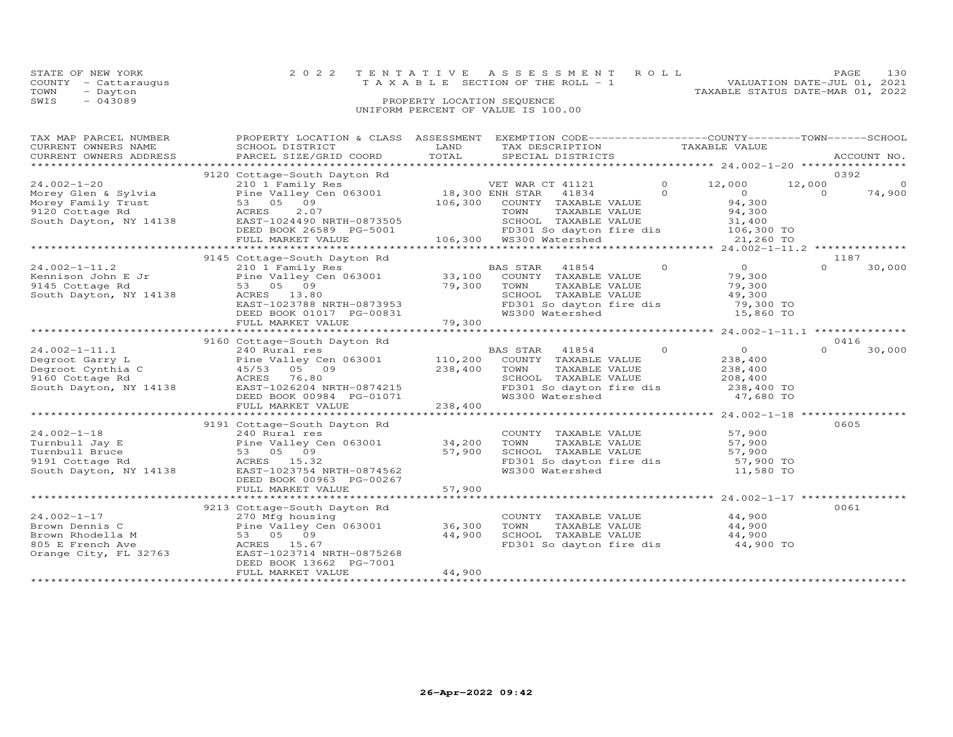| STATE OF NEW YORK    | 2022 TENTATIVE ASSESSMENT ROLL           | PAGE.                            | 130 |
|----------------------|------------------------------------------|----------------------------------|-----|
| COUNTY - Cattaraugus | $T A X A B L E$ SECTION OF THE ROLL $-1$ | VALUATION DATE-JUL 01, 2021      |     |
| TOWN<br>- Dayton     |                                          | TAXABLE STATUS DATE-MAR 01, 2022 |     |
| SWIS<br>$-043089$    | PROPERTY LOCATION SEQUENCE               |                                  |     |
|                      |                                          |                                  |     |

## UNIFORM PERCENT OF VALUE IS 100.00

| TAX MAP PARCEL NUMBER  | PROPERTY LOCATION & CLASS ASSESSMENT EXEMPTION CODE----------------COUNTY-------TOWN------SCHOOL                                                                                                                                                                                                                                                                                                                                                                |        |                                                                                                                                   |                            |                    |
|------------------------|-----------------------------------------------------------------------------------------------------------------------------------------------------------------------------------------------------------------------------------------------------------------------------------------------------------------------------------------------------------------------------------------------------------------------------------------------------------------|--------|-----------------------------------------------------------------------------------------------------------------------------------|----------------------------|--------------------|
| CURRENT OWNERS NAME    | SCHOOL DISTRICT                                                                                                                                                                                                                                                                                                                                                                                                                                                 | LAND   | TAX DESCRIPTION TAXABLE VALUE                                                                                                     |                            |                    |
| CURRENT OWNERS ADDRESS | .CURRENT OWNERS ADDRESS PARCEL SIZE/GRID COORD TOTAL SPECIAL DISTRICTS ACCOUNT NO ACCOUNT NO ACCOUNT NO ARE THE SERVER AND HER ASSESS THAT A LOCOUNT NO A SERVER AND HER ASSESS THAT A LOCOUNT ASSESS THAT A LOCOUNT A LOCOUNT                                                                                                                                                                                                                                  |        |                                                                                                                                   |                            | ACCOUNT NO.        |
|                        |                                                                                                                                                                                                                                                                                                                                                                                                                                                                 |        |                                                                                                                                   |                            | 0392               |
|                        | WET WAR CT 41121<br>Morey Glen & Sylvia Pine Valley Cen 063001<br>Morey Family Trust 53 05 09<br>9120 Cottage Rd ACRES 2.07<br>South Dayton, NY 14138 EAST-1024490 NRTH-0873505<br>DEED BOOK 26589 PC-5001<br>DEED BOOK 26589 PC-5001                                                                                                                                                                                                                           |        | VET WAR CT 41121 0 12,000                                                                                                         |                            | 12,000<br>$\circ$  |
|                        |                                                                                                                                                                                                                                                                                                                                                                                                                                                                 |        |                                                                                                                                   | $\Omega$<br>$\overline{O}$ | $\Omega$<br>74,900 |
|                        |                                                                                                                                                                                                                                                                                                                                                                                                                                                                 |        | COUNTY TAXABLE VALUE                                                                                                              | 94,300                     |                    |
|                        |                                                                                                                                                                                                                                                                                                                                                                                                                                                                 |        |                                                                                                                                   | 94,300                     |                    |
|                        |                                                                                                                                                                                                                                                                                                                                                                                                                                                                 |        | TOWN     TAXABLE VALUE<br>SCHOOL   TAXABLE VALUE                                                                                  | 31,400                     |                    |
|                        |                                                                                                                                                                                                                                                                                                                                                                                                                                                                 |        |                                                                                                                                   |                            |                    |
|                        | FULL MARKET VALUE                                                                                                                                                                                                                                                                                                                                                                                                                                               |        | 001 - 106,300 ED301 Sodayton<br>ED301 Sodayton ED301 Sodayton<br>FD301 So dayton fire dis 106,300 TO<br>WS300 Watershed 21,260 TO |                            |                    |
|                        |                                                                                                                                                                                                                                                                                                                                                                                                                                                                 |        |                                                                                                                                   |                            |                    |
|                        |                                                                                                                                                                                                                                                                                                                                                                                                                                                                 |        |                                                                                                                                   |                            | 1187               |
|                        | $\begin{tabular}{lllllllllll} $\mathsf{z}\mathsf{q}.\mathsf{v}\mathsf{u}\mathsf{z}\mathsf{u}\mathsf{z}\mathsf{u}\mathsf{v}=\mathsf{u}\mathsf{u}\mathsf{u}\mathsf{u}$ & $\mathsf{z}\mathsf{u}\mathsf{v}\mathsf{u}\mathsf{v}\mathsf{u}\mathsf{u}\mathsf{u}$ & $\mathsf{B}\mathsf{A}\mathsf{B}\mathsf{B}\mathsf{B}\mathsf{B}\mathsf{u}\mathsf{u}\mathsf{u}\mathsf{u}\mathsf{u}$ & $\mathsf{z}\mathsf{u}\mathsf{u}\mathsf{u}\mathsf{v}\mathsf{u}\mathsf{u}\mathsf{$ |        |                                                                                                                                   | $\overline{0}$<br>$\Omega$ | $\Omega$<br>30,000 |
|                        |                                                                                                                                                                                                                                                                                                                                                                                                                                                                 |        |                                                                                                                                   | 79,300                     |                    |
|                        |                                                                                                                                                                                                                                                                                                                                                                                                                                                                 |        | TAXABLE VALUE                                                                                                                     | 79,300                     |                    |
|                        |                                                                                                                                                                                                                                                                                                                                                                                                                                                                 |        |                                                                                                                                   |                            |                    |
|                        |                                                                                                                                                                                                                                                                                                                                                                                                                                                                 |        | SCHOOL TAXABLE VALUE 49,300<br>FD301 So dayton fire dis 79,300 TO                                                                 |                            |                    |
|                        |                                                                                                                                                                                                                                                                                                                                                                                                                                                                 |        | WS300 Watershed                                                                                                                   | 15,860 TO                  |                    |
|                        | 53 05 09<br>53 05 09 79,300 TOWN<br>ACRES 13.80 SCHOOI<br>EAST-1023788 NRTH-0873953 FD301<br>DEED BOOK 01017 PG-00831 79,300<br>FULL MARKET VALUE 79,300                                                                                                                                                                                                                                                                                                        |        |                                                                                                                                   |                            |                    |
|                        |                                                                                                                                                                                                                                                                                                                                                                                                                                                                 |        |                                                                                                                                   |                            |                    |
|                        | 9160 Cottage-South Dayton Rd                                                                                                                                                                                                                                                                                                                                                                                                                                    |        |                                                                                                                                   |                            | 0416               |
|                        |                                                                                                                                                                                                                                                                                                                                                                                                                                                                 |        |                                                                                                                                   | $\overline{O}$             | $\Omega$<br>30,000 |
|                        |                                                                                                                                                                                                                                                                                                                                                                                                                                                                 |        |                                                                                                                                   | 238,400                    |                    |
|                        |                                                                                                                                                                                                                                                                                                                                                                                                                                                                 |        | TAXABLE VALUE                                                                                                                     |                            |                    |
|                        |                                                                                                                                                                                                                                                                                                                                                                                                                                                                 |        | SCHOOL TAXABLE VALUE                                                                                                              | 238,400<br>208,400         |                    |
|                        |                                                                                                                                                                                                                                                                                                                                                                                                                                                                 |        |                                                                                                                                   |                            |                    |
|                        |                                                                                                                                                                                                                                                                                                                                                                                                                                                                 |        | FD301 So dayton fire dis $238,400$ TO                                                                                             | 47,680 TO                  |                    |
|                        |                                                                                                                                                                                                                                                                                                                                                                                                                                                                 |        |                                                                                                                                   |                            |                    |
|                        |                                                                                                                                                                                                                                                                                                                                                                                                                                                                 |        |                                                                                                                                   |                            |                    |
|                        | 9191 Cottage-South Dayton Rd                                                                                                                                                                                                                                                                                                                                                                                                                                    |        |                                                                                                                                   |                            | 0605               |
| $24.002 - 1 - 18$      | 240 Rural res                                                                                                                                                                                                                                                                                                                                                                                                                                                   |        |                                                                                                                                   | 57,900                     |                    |
| Turnbull Jay E         |                                                                                                                                                                                                                                                                                                                                                                                                                                                                 |        | COUNTY TAXABLE VALUE<br>TOWN TAXABLE VALUE                                                                                        | 57,900                     |                    |
| Turnbull Bruce         | 240 Rural res<br>Pine Valley Cen 063001 34,200<br>53 05 09 57,900<br>ACRES 15.32                                                                                                                                                                                                                                                                                                                                                                                |        |                                                                                                                                   |                            |                    |
| 9191 Cottage Rd        |                                                                                                                                                                                                                                                                                                                                                                                                                                                                 |        | SCHOOL TAXABLE VALUE 57,900<br>FD301 So dayton fire dis 57,900 TO                                                                 |                            |                    |
| South Dayton, NY 14138 | EAST-1023754 NRTH-0874562                                                                                                                                                                                                                                                                                                                                                                                                                                       |        | WS300 Watershed                                                                                                                   | 11,580 TO                  |                    |
|                        | DEED BOOK 00963 PG-00267                                                                                                                                                                                                                                                                                                                                                                                                                                        |        |                                                                                                                                   |                            |                    |
|                        | FULL MARKET VALUE                                                                                                                                                                                                                                                                                                                                                                                                                                               | 57,900 |                                                                                                                                   |                            |                    |
|                        |                                                                                                                                                                                                                                                                                                                                                                                                                                                                 |        |                                                                                                                                   |                            |                    |
|                        | 9213 Cottage-South Dayton Rd                                                                                                                                                                                                                                                                                                                                                                                                                                    |        |                                                                                                                                   |                            | 0061               |
|                        |                                                                                                                                                                                                                                                                                                                                                                                                                                                                 |        | COUNTY TAXABLE VALUE 44,900                                                                                                       |                            |                    |
|                        |                                                                                                                                                                                                                                                                                                                                                                                                                                                                 |        | TOWN                                                                                                                              | TAXABLE VALUE 44,900       |                    |
|                        |                                                                                                                                                                                                                                                                                                                                                                                                                                                                 |        |                                                                                                                                   |                            |                    |
|                        |                                                                                                                                                                                                                                                                                                                                                                                                                                                                 |        | SCHOOL TAXABLE VALUE 44,900<br>FD301 So dayton fire dis 44,900 TO                                                                 |                            |                    |
|                        |                                                                                                                                                                                                                                                                                                                                                                                                                                                                 |        |                                                                                                                                   |                            |                    |
|                        | DEED BOOK 13662 PG-7001                                                                                                                                                                                                                                                                                                                                                                                                                                         |        |                                                                                                                                   |                            |                    |
|                        | FULL MARKET VALUE                                                                                                                                                                                                                                                                                                                                                                                                                                               | 44,900 |                                                                                                                                   |                            |                    |
|                        |                                                                                                                                                                                                                                                                                                                                                                                                                                                                 |        |                                                                                                                                   |                            |                    |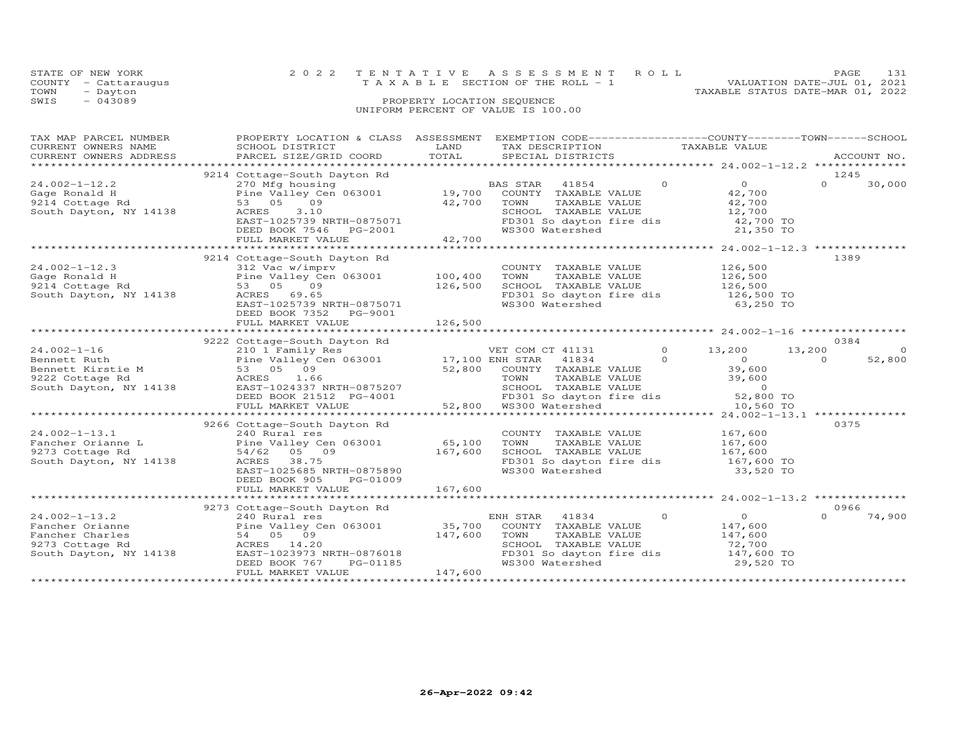|      | STATE OF NEW YORK    | 2022 TENTATIVE ASSESSMENT ROLL<br>PAGE.                              | 131 |
|------|----------------------|----------------------------------------------------------------------|-----|
|      | COUNTY - Cattaraugus | VALUATION DATE-JUL 01, 2021<br>T A X A B L E SECTION OF THE ROLL - 1 |     |
| TOWN | - Dayton             | TAXABLE STATUS DATE-MAR 01, 2022                                     |     |
| SWIS | $-043089$            | PROPERTY LOCATION SEQUENCE                                           |     |
|      |                      | UNIFORM PERCENT OF VALUE IS 100.00                                   |     |

| TAX MAP PARCEL NUMBER | PROPERTY LOCATION & CLASS ASSESSMENT EXEMPTION CODE------------------COUNTY--------TOWN------SCHOOL                                                                                                                                                                                            |         |                                                                                                                                   |           |          |        |
|-----------------------|------------------------------------------------------------------------------------------------------------------------------------------------------------------------------------------------------------------------------------------------------------------------------------------------|---------|-----------------------------------------------------------------------------------------------------------------------------------|-----------|----------|--------|
|                       |                                                                                                                                                                                                                                                                                                |         |                                                                                                                                   |           |          |        |
|                       |                                                                                                                                                                                                                                                                                                |         |                                                                                                                                   |           |          |        |
|                       |                                                                                                                                                                                                                                                                                                |         |                                                                                                                                   |           |          |        |
|                       | 9214 Cottage-South Dayton Rd                                                                                                                                                                                                                                                                   |         |                                                                                                                                   |           | 1245     |        |
|                       |                                                                                                                                                                                                                                                                                                |         |                                                                                                                                   |           | $\Omega$ | 30,000 |
|                       |                                                                                                                                                                                                                                                                                                |         |                                                                                                                                   |           |          |        |
|                       |                                                                                                                                                                                                                                                                                                |         |                                                                                                                                   |           |          |        |
|                       |                                                                                                                                                                                                                                                                                                |         |                                                                                                                                   |           |          |        |
|                       |                                                                                                                                                                                                                                                                                                |         | SCHOOL TAXABLE VALUE $12,700$<br>FD301 So dayton fire dis $42,700$ TO<br>WS300 Watershed 21,350 TO                                |           |          |        |
|                       |                                                                                                                                                                                                                                                                                                |         |                                                                                                                                   |           |          |        |
|                       |                                                                                                                                                                                                                                                                                                |         |                                                                                                                                   |           |          |        |
|                       | $\begin{array}{cccccccc} 24.002-1-12.2 & 22.13 & 20.0049 \text{ hours} & 24.002-1-12.2 & 27.00 & 27.0049 \text{ hours} & 28.0049 \text{ hours} & 29.004 & 27.004 & 27.004 & 27.004 & 27.004 & 27.004 & 27.004 & 27.004 & 27.004 & 27.004 & 27.004 & 27.004 & 27.004 & 27.004 & 27.004 & 27.00$ |         |                                                                                                                                   |           |          |        |
|                       | 9214 Cottage-South Dayton Rd                                                                                                                                                                                                                                                                   |         |                                                                                                                                   |           | 1389     |        |
|                       |                                                                                                                                                                                                                                                                                                |         |                                                                                                                                   |           |          |        |
|                       |                                                                                                                                                                                                                                                                                                |         |                                                                                                                                   |           |          |        |
|                       | 24.002-1-12.3<br>Gage Ronald H<br>21.002-1-12.3<br>21.002-1-12.3<br>21.002-1-12.3<br>21.002-1-12.3<br>21.002-1-12.3<br>21.002-1-12.3<br>21.002-1-12.3<br>21.002-1-12.3<br>21.002-1-12.3<br>21.002-1-12.3<br>21.002-1-12.3<br>21.002-1-12.3<br>21.002-1-12.                                     |         |                                                                                                                                   |           |          |        |
|                       |                                                                                                                                                                                                                                                                                                |         |                                                                                                                                   |           |          |        |
|                       |                                                                                                                                                                                                                                                                                                |         |                                                                                                                                   |           |          |        |
|                       |                                                                                                                                                                                                                                                                                                |         |                                                                                                                                   |           |          |        |
|                       | DEED BOOK 7352 PG-9001                                                                                                                                                                                                                                                                         |         |                                                                                                                                   |           |          |        |
|                       |                                                                                                                                                                                                                                                                                                |         |                                                                                                                                   |           |          |        |
|                       |                                                                                                                                                                                                                                                                                                |         |                                                                                                                                   |           |          |        |
|                       | 9222 Cottage-South Dayton Rd                                                                                                                                                                                                                                                                   |         |                                                                                                                                   |           | 0384     |        |
|                       |                                                                                                                                                                                                                                                                                                |         |                                                                                                                                   |           |          |        |
|                       |                                                                                                                                                                                                                                                                                                |         |                                                                                                                                   |           |          | 52,800 |
|                       |                                                                                                                                                                                                                                                                                                |         |                                                                                                                                   |           |          |        |
|                       |                                                                                                                                                                                                                                                                                                |         |                                                                                                                                   |           |          |        |
|                       |                                                                                                                                                                                                                                                                                                |         |                                                                                                                                   |           |          |        |
|                       |                                                                                                                                                                                                                                                                                                |         |                                                                                                                                   |           |          |        |
|                       |                                                                                                                                                                                                                                                                                                |         |                                                                                                                                   |           |          |        |
|                       |                                                                                                                                                                                                                                                                                                |         |                                                                                                                                   |           |          |        |
|                       | 9266 Cottage-South Dayton Rd                                                                                                                                                                                                                                                                   |         |                                                                                                                                   |           | 0375     |        |
|                       |                                                                                                                                                                                                                                                                                                |         |                                                                                                                                   |           |          |        |
|                       |                                                                                                                                                                                                                                                                                                |         |                                                                                                                                   |           |          |        |
|                       |                                                                                                                                                                                                                                                                                                |         |                                                                                                                                   |           |          |        |
|                       | 24.002-1-13.1<br>Fancher Orianne L<br>9273 Cottage Rd<br>South Dayton, NY 14138<br>EAST-1025685 NRTH-0875890<br>PEFR DOG SON DREFT DOG MOS<br>PERSON DREFT DOG MOS<br>PERSON DREFT DOG MOS<br>PERSON DREFT DOG MOS<br>PERSON DREFT DOG MOS<br>PERS                                             |         | COUNTY TAXABLE VALUE 167,600<br>TOWN TAXABLE VALUE 167,600<br>SCHOOL TAXABLE VALUE 167,600<br>FD301 So dayton fire dis 167,600 TO |           |          |        |
|                       |                                                                                                                                                                                                                                                                                                |         | WS300 Watershed                                                                                                                   | 33,520 TO |          |        |
|                       | DEED BOOK 905 PG-01009                                                                                                                                                                                                                                                                         |         |                                                                                                                                   |           |          |        |
|                       |                                                                                                                                                                                                                                                                                                |         |                                                                                                                                   |           |          |        |
|                       |                                                                                                                                                                                                                                                                                                |         |                                                                                                                                   |           |          |        |
|                       | 9273 Cottage-South Dayton Rd                                                                                                                                                                                                                                                                   |         |                                                                                                                                   |           | 0966     |        |
|                       |                                                                                                                                                                                                                                                                                                |         |                                                                                                                                   |           | $\cap$   | 74,900 |
|                       |                                                                                                                                                                                                                                                                                                |         |                                                                                                                                   |           |          |        |
|                       |                                                                                                                                                                                                                                                                                                |         |                                                                                                                                   |           |          |        |
|                       |                                                                                                                                                                                                                                                                                                |         |                                                                                                                                   |           |          |        |
|                       |                                                                                                                                                                                                                                                                                                |         |                                                                                                                                   |           |          |        |
|                       |                                                                                                                                                                                                                                                                                                |         | TOWN TAXABLE VALUE 147,600<br>SCHOOL TAXABLE VALUE 147,600<br>FD301 So dayton fire dis 147,600 TO<br>WS300 Watershed 29,520 TO    |           |          |        |
|                       | FULL MARKET VALUE                                                                                                                                                                                                                                                                              | 147,600 |                                                                                                                                   |           |          |        |
|                       |                                                                                                                                                                                                                                                                                                |         |                                                                                                                                   |           |          |        |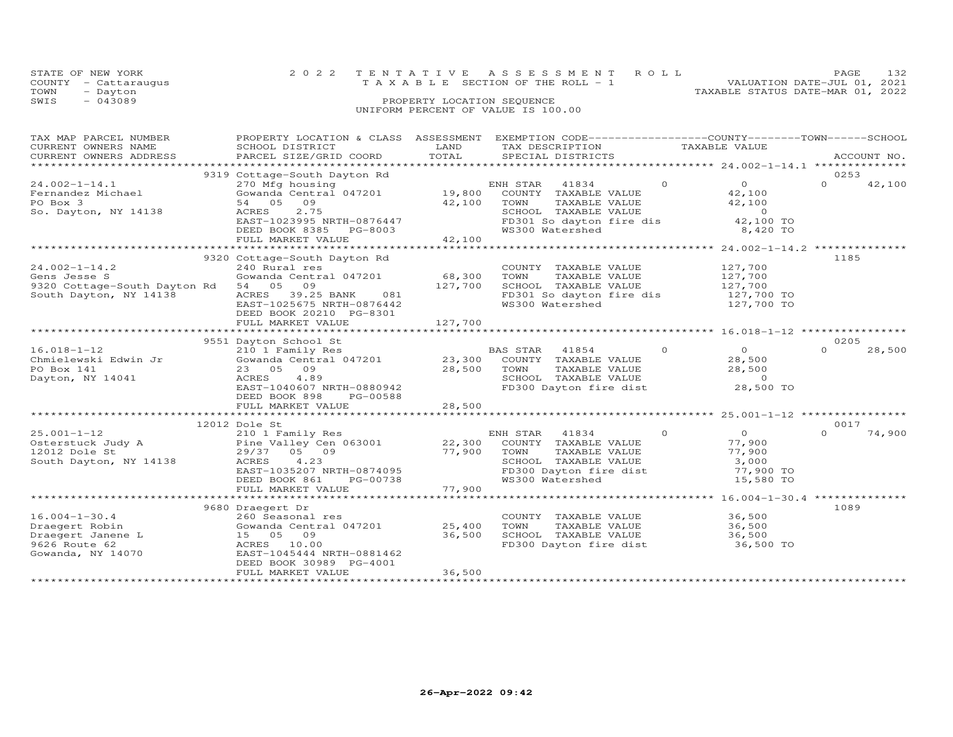|      | STATE OF NEW YORK    |                                    | 2022 TENTATIVE ASSESSMENT ROLL        | PAGE.                            |  |
|------|----------------------|------------------------------------|---------------------------------------|----------------------------------|--|
|      | COUNTY - Cattarauqus |                                    | T A X A B L E SECTION OF THE ROLL - 1 | VALUATION DATE-JUL 01, 2021      |  |
| TOWN | - Dayton             |                                    |                                       | TAXABLE STATUS DATE-MAR 01, 2022 |  |
| SWIS | $-043089$            | PROPERTY LOCATION SEQUENCE         |                                       |                                  |  |
|      |                      | UNIFORM PERCENT OF VALUE IS 100.00 |                                       |                                  |  |

| TAX MAP PARCEL NUMBER                         | PROPERTY LOCATION & CLASS ASSESSMENT EXEMPTION CODE----------------COUNTY-------TOWN------SCHOOL                                                            |                                   |                                                                                                                                                                 |                            |                            |
|-----------------------------------------------|-------------------------------------------------------------------------------------------------------------------------------------------------------------|-----------------------------------|-----------------------------------------------------------------------------------------------------------------------------------------------------------------|----------------------------|----------------------------|
| CURRENT OWNERS NAME<br>CURRENT OWNERS ADDRESS | SCHOOL DISTRICT                                                                                                                                             | LAND<br>TOTAL                     | TAX DESCRIPTION TAXABLE VALUE                                                                                                                                   |                            |                            |
|                                               | PARCEL SIZE/GRID COORD                                                                                                                                      |                                   | SPECIAL DISTRICTS                                                                                                                                               |                            | ACCOUNT NO.                |
|                                               |                                                                                                                                                             |                                   |                                                                                                                                                                 |                            |                            |
| $24.002 - 1 - 14.1$                           | 9319 Cottage-South Dayton Rd<br>270 Mfg housing                                                                                                             |                                   | ENH STAR 41834                                                                                                                                                  | $\Omega$<br>$\overline{0}$ | 0253<br>$\Omega$<br>42,100 |
|                                               | Gowanda Central 047201 19,800 COUNTY TAXABLE VALUE                                                                                                          |                                   |                                                                                                                                                                 |                            |                            |
| Fernandez Michael<br>PO Box 3                 | 54 05 09                                                                                                                                                    | 42,100                            | TAXABLE VALUE<br>TOWN                                                                                                                                           | 42,100<br>42,100           |                            |
|                                               |                                                                                                                                                             |                                   |                                                                                                                                                                 |                            |                            |
| So. Dayton, NY 14138                          |                                                                                                                                                             |                                   | SCHOOL TAXABLE VALUE<br>FD301 So dayton fire dis                                                                                                                | $0$<br>42,100 TO           |                            |
|                                               | ACRES 2.75<br>EAST-1023995 NRTH-0876447<br>DEED BOOK 8395 FOUND<br>DEED BOOK 8385 PG-8003                                                                   |                                   | WS300 Watershed                                                                                                                                                 | 8,420 TO                   |                            |
|                                               |                                                                                                                                                             | $\frac{1}{2}$ , 100               |                                                                                                                                                                 |                            |                            |
|                                               | FULL MARKET VALUE                                                                                                                                           |                                   |                                                                                                                                                                 |                            |                            |
|                                               |                                                                                                                                                             |                                   |                                                                                                                                                                 |                            | 1185                       |
| $24.002 - 1 - 14.2$                           | 9320 Cottage-South Dayton Rd                                                                                                                                |                                   |                                                                                                                                                                 |                            |                            |
|                                               | 240 Rural res<br>Gowanda Central 047201 68,300 TOWN                                                                                                         |                                   |                                                                                                                                                                 |                            |                            |
| Gens Jesse S                                  |                                                                                                                                                             | 127,700                           |                                                                                                                                                                 |                            |                            |
| 9320 Cottage-South Dayton Rd 54 05 09         |                                                                                                                                                             |                                   | COUNTY TAXABLE VALUE 127,700<br>TOWN TAXABLE VALUE 127,700<br>SCHOOL TAXABLE VALUE 127,700<br>FD301 So dayton fire dis 127,700 TO<br>WS300 Watershed 127,700 TO |                            |                            |
| South Dayton, NY 14138                        | ACRES 39.25 BANK 081                                                                                                                                        |                                   |                                                                                                                                                                 |                            |                            |
|                                               | EAST-1025675 NRTH-0876442                                                                                                                                   |                                   |                                                                                                                                                                 |                            |                            |
|                                               | DEED BOOK 20210 PG-8301                                                                                                                                     |                                   |                                                                                                                                                                 |                            |                            |
|                                               | FULL MARKET VALUE                                                                                                                                           | 127,700                           |                                                                                                                                                                 |                            |                            |
|                                               |                                                                                                                                                             |                                   |                                                                                                                                                                 |                            |                            |
|                                               | 9551 Dayton School St                                                                                                                                       |                                   |                                                                                                                                                                 | $\frac{0}{2}$              | 0205                       |
|                                               |                                                                                                                                                             |                                   | BAS STAR 41854 0                                                                                                                                                |                            | 28,500<br>$\Omega$         |
|                                               |                                                                                                                                                             |                                   |                                                                                                                                                                 |                            |                            |
| PO Box 141                                    | 23 05 09                                                                                                                                                    | 28,500 TOWN                       | TAXABLE VALUE<br>TAXABLE VALUE                                                                                                                                  | 28,500                     |                            |
| Dayton, NY 14041                              | ACRES 4.89                                                                                                                                                  |                                   | SCHOOL TAXABLE VALUE                                                                                                                                            | $\overline{0}$             |                            |
|                                               | EAST-1040607 NRTH-0880942                                                                                                                                   |                                   | FD300 Dayton fire dist                                                                                                                                          | 28,500 TO                  |                            |
|                                               | DEED BOOK 898<br>PG-00588                                                                                                                                   |                                   |                                                                                                                                                                 |                            |                            |
|                                               |                                                                                                                                                             |                                   |                                                                                                                                                                 |                            |                            |
|                                               |                                                                                                                                                             |                                   |                                                                                                                                                                 |                            |                            |
|                                               | 12012 Dole St                                                                                                                                               |                                   |                                                                                                                                                                 |                            | 0017                       |
|                                               |                                                                                                                                                             |                                   | ENH STAR 41834 0                                                                                                                                                | $\overline{O}$             | $\Omega$<br>74,900         |
|                                               |                                                                                                                                                             |                                   | COUNTY TAXABLE VALUE                                                                                                                                            | 77,900                     |                            |
|                                               | 25.001-1-12 210 1 Family Res EN<br>Osterstuck Judy A Pine Valley Cen 063001 22,300<br>12012 Dole St 29/37 05 09 77,900<br>South Dayton, NY 14138 ACRES 4.23 | $77,900$<br>H-0874095<br>PG-00738 | TOWN      TAXABLE VALUE<br>SCHOOL   TAXABLE VALUE<br>TOWN                                                                                                       | 77,900                     |                            |
|                                               |                                                                                                                                                             |                                   |                                                                                                                                                                 | 3,000                      |                            |
|                                               | EAST-1035207 NRTH-0874095                                                                                                                                   |                                   | FD300 Dayton fire dist<br>WS300 Watershed                                                                                                                       | 77,900 TO                  |                            |
|                                               | DEED BOOK 861                                                                                                                                               |                                   |                                                                                                                                                                 | 15,580 TO                  |                            |
|                                               | FULL MARKET VALUE                                                                                                                                           | 77,900                            |                                                                                                                                                                 |                            |                            |
|                                               |                                                                                                                                                             |                                   |                                                                                                                                                                 |                            |                            |
|                                               | 9680 Draegert Dr                                                                                                                                            |                                   |                                                                                                                                                                 |                            | 1089                       |
| $16.004 - 1 - 30.4$                           | 260 Seasonal res                                                                                                                                            |                                   | COUNTY TAXABLE VALUE 36,500                                                                                                                                     |                            |                            |
| Draegert Robin                                | Gowanda Central 047201 25,400                                                                                                                               |                                   | TOWN                                                                                                                                                            | TAXABLE VALUE 36,500       |                            |
| Draegert Janene L                             | 15 05 09                                                                                                                                                    | 36,500                            | SCHOOL TAXABLE VALUE 36,500<br>FD300 Dayton fire dist 36,500 TO                                                                                                 |                            |                            |
| 9626 Route 62                                 | ACRES 10.00                                                                                                                                                 |                                   |                                                                                                                                                                 |                            |                            |
| Gowanda, NY 14070                             | EAST-1045444 NRTH-0881462                                                                                                                                   |                                   |                                                                                                                                                                 |                            |                            |
|                                               | DEED BOOK 30989 PG-4001                                                                                                                                     |                                   |                                                                                                                                                                 |                            |                            |
|                                               | FULL MARKET VALUE                                                                                                                                           | 36,500                            |                                                                                                                                                                 |                            |                            |
|                                               |                                                                                                                                                             |                                   |                                                                                                                                                                 |                            |                            |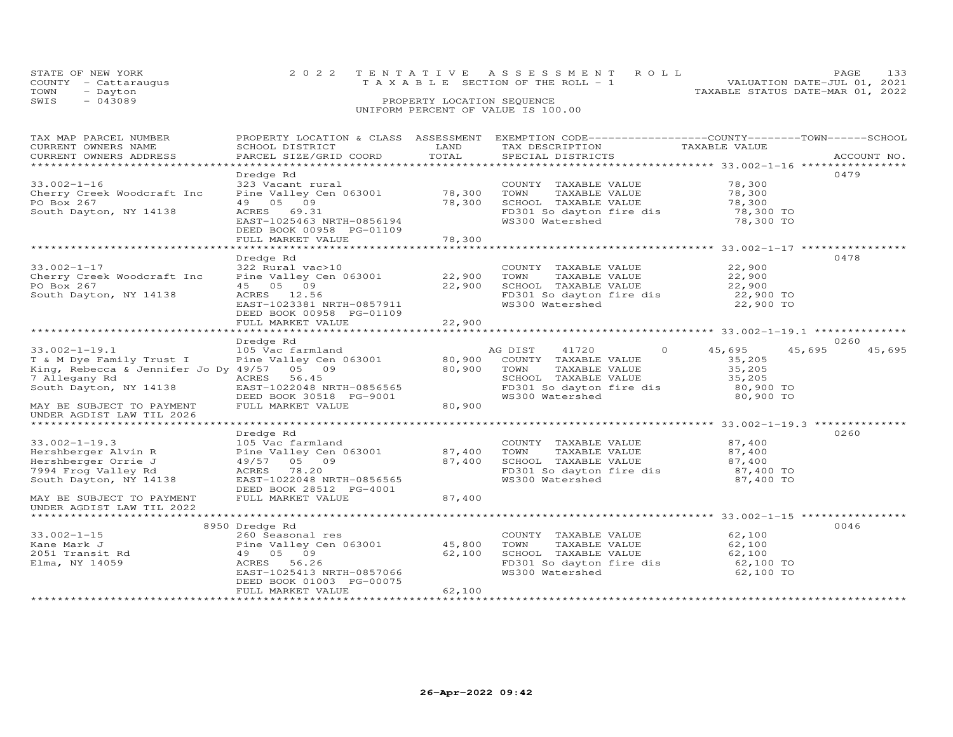|      | STATE OF NEW YORK    | 2022 TENTATIVE ASSESSMENT ROLL     |  |                                  | PAGE                        | 133 |
|------|----------------------|------------------------------------|--|----------------------------------|-----------------------------|-----|
|      | COUNTY - Cattaraugus | TAXABLE SECTION OF THE ROLL - 1    |  |                                  | VALUATION DATE-JUL 01, 2021 |     |
| TOWN | - Dayton             |                                    |  | TAXABLE STATUS DATE-MAR 01, 2022 |                             |     |
| SWIS | $-043089$            | PROPERTY LOCATION SEQUENCE         |  |                                  |                             |     |
|      |                      | UNIFORM PERCENT OF VALUE IS 100.00 |  |                                  |                             |     |

| TAX MAP PARCEL NUMBER                      |                           |              | PROPERTY LOCATION & CLASS ASSESSMENT EXEMPTION CODE----------------COUNTY-------TOWN------SCHOOL |                                                       |                  |
|--------------------------------------------|---------------------------|--------------|--------------------------------------------------------------------------------------------------|-------------------------------------------------------|------------------|
| CURRENT OWNERS NAME                        | SCHOOL DISTRICT           | LAND         | TAX DESCRIPTION                                                                                  | TAXABLE VALUE                                         |                  |
| CURRENT OWNERS ADDRESS                     | PARCEL SIZE/GRID COORD    | TOTAL        | SPECIAL DISTRICTS                                                                                |                                                       | ACCOUNT NO.      |
|                                            |                           |              |                                                                                                  |                                                       |                  |
|                                            | Dredge Rd                 |              |                                                                                                  |                                                       | 0479             |
| $33.002 - 1 - 16$                          | 323 Vacant rural          |              | COUNTY TAXABLE VALUE                                                                             | 78,300                                                |                  |
|                                            |                           |              |                                                                                                  |                                                       |                  |
| Cherry Creek Woodcraft Inc                 | Pine Valley Cen 063001    | 78,300       | TAXABLE VALUE<br>TOWN                                                                            | 78,300                                                |                  |
| PO Box 267                                 | 49 05 09                  | 78,300       | SCHOOL TAXABLE VALUE                                                                             | 78,300                                                |                  |
| South Dayton, NY 14138                     | ACRES 69.31               |              | FD301 So dayton fire dis                                                                         | 78,300 TO                                             |                  |
|                                            | EAST-1025463 NRTH-0856194 |              | WS300 Watershed                                                                                  | 78,300 TO                                             |                  |
|                                            | DEED BOOK 00958 PG-01109  |              |                                                                                                  |                                                       |                  |
|                                            | FULL MARKET VALUE         | 78,300       |                                                                                                  |                                                       |                  |
|                                            |                           |              |                                                                                                  |                                                       |                  |
|                                            | Dredge Rd                 |              |                                                                                                  |                                                       | 0478             |
|                                            |                           |              |                                                                                                  |                                                       |                  |
| $33.002 - 1 - 17$                          | 322 Rural vac>10          |              | COUNTY TAXABLE VALUE                                                                             | 22,900                                                |                  |
| Cherry Creek Woodcraft Inc                 | Pine Valley Cen 063001    | 22,900       | TOWN<br>TAXABLE VALUE                                                                            | 22,900                                                |                  |
| PO Box 267                                 | 45 05 09                  | 22,900       | SCHOOL TAXABLE VALUE                                                                             | 22,900                                                |                  |
| South Dayton, NY 14138                     | ACRES 12.56               |              | FD301 So dayton fire dis                                                                         | 22,900 TO                                             |                  |
|                                            | EAST-1023381 NRTH-0857911 |              | WS300 Watershed                                                                                  | 22,900 TO                                             |                  |
|                                            | DEED BOOK 00958 PG-01109  |              |                                                                                                  |                                                       |                  |
|                                            | FULL MARKET VALUE         | 22,900       |                                                                                                  |                                                       |                  |
|                                            |                           | ************ |                                                                                                  | *********************** 33.002-1-19.1 *************** |                  |
|                                            |                           |              |                                                                                                  |                                                       |                  |
|                                            | Dredge Rd                 |              |                                                                                                  |                                                       | 0260             |
| $33.002 - 1 - 19.1$                        | 105 Vac farmland          |              | AG DIST<br>41720<br>$\circ$                                                                      | 45,695                                                | 45,695<br>45,695 |
| T & M Dye Family Trust I                   | Pine Valley Cen 063001    | 80,900       | COUNTY TAXABLE VALUE                                                                             | 35,205                                                |                  |
| King, Rebecca & Jennifer Jo Dy 49/57 05 09 |                           | 80,900       | TOWN<br>TAXABLE VALUE                                                                            | 35,205                                                |                  |
| 7 Allegany Rd                              | 56.45<br>ACRES            |              | SCHOOL TAXABLE VALUE                                                                             | 35,205                                                |                  |
| South Dayton, NY 14138                     | EAST-1022048 NRTH-0856565 |              | FD301 So dayton fire dis                                                                         | 80,900 TO                                             |                  |
|                                            | DEED BOOK 30518 PG-9001   |              | WS300 Watershed                                                                                  | 80,900 TO                                             |                  |
|                                            |                           |              |                                                                                                  |                                                       |                  |
| MAY BE SUBJECT TO PAYMENT                  | FULL MARKET VALUE         | 80,900       |                                                                                                  |                                                       |                  |
| UNDER AGDIST LAW TIL 2026                  |                           |              |                                                                                                  |                                                       |                  |
|                                            |                           |              |                                                                                                  |                                                       |                  |
|                                            | Dredge Rd                 |              |                                                                                                  |                                                       | 0260             |
| $33.002 - 1 - 19.3$                        | 105 Vac farmland          |              | COUNTY TAXABLE VALUE                                                                             | 87,400                                                |                  |
| Hershberger Alvin R                        | Pine Valley Cen 063001    | 87,400       | TAXABLE VALUE<br>TOWN                                                                            | 87,400                                                |                  |
| Hershberger Orrie J                        | 49/57 05 09               | 87,400       | SCHOOL TAXABLE VALUE                                                                             | 87,400                                                |                  |
| 7994 Frog Valley Rd                        | ACRES 78.20               |              | FD301 So dayton fire dis                                                                         | 87,400 TO                                             |                  |
|                                            |                           |              |                                                                                                  |                                                       |                  |
| South Dayton, NY 14138                     | EAST-1022048 NRTH-0856565 |              | WS300 Watershed                                                                                  | 87,400 TO                                             |                  |
|                                            | DEED BOOK 28512 PG-4001   |              |                                                                                                  |                                                       |                  |
| MAY BE SUBJECT TO PAYMENT                  | FULL MARKET VALUE         | 87,400       |                                                                                                  |                                                       |                  |
| UNDER AGDIST LAW TIL 2022                  |                           |              |                                                                                                  |                                                       |                  |
|                                            |                           |              |                                                                                                  |                                                       |                  |
|                                            | 8950 Dredge Rd            |              |                                                                                                  |                                                       | 0046             |
| $33.002 - 1 - 15$                          | 260 Seasonal res          |              | COUNTY TAXABLE VALUE                                                                             | 62,100                                                |                  |
| Kane Mark J                                |                           | 45,800       | TAXABLE VALUE<br>TOWN                                                                            |                                                       |                  |
|                                            | Pine Valley Cen 063001    |              |                                                                                                  | 62,100                                                |                  |
| 2051 Transit Rd                            | 49 05 09                  | 62,100       | SCHOOL TAXABLE VALUE                                                                             | 62,100                                                |                  |
| Elma, NY 14059                             | ACRES 56.26               |              | FD301 So dayton fire dis                                                                         | 62,100 TO                                             |                  |
|                                            | EAST-1025413 NRTH-0857066 |              | WS300 Watershed                                                                                  | 62,100 TO                                             |                  |
|                                            | DEED BOOK 01003 PG-00075  |              |                                                                                                  |                                                       |                  |
|                                            | FULL MARKET VALUE         | 62,100       |                                                                                                  |                                                       |                  |
|                                            |                           |              |                                                                                                  |                                                       |                  |
|                                            |                           |              |                                                                                                  |                                                       |                  |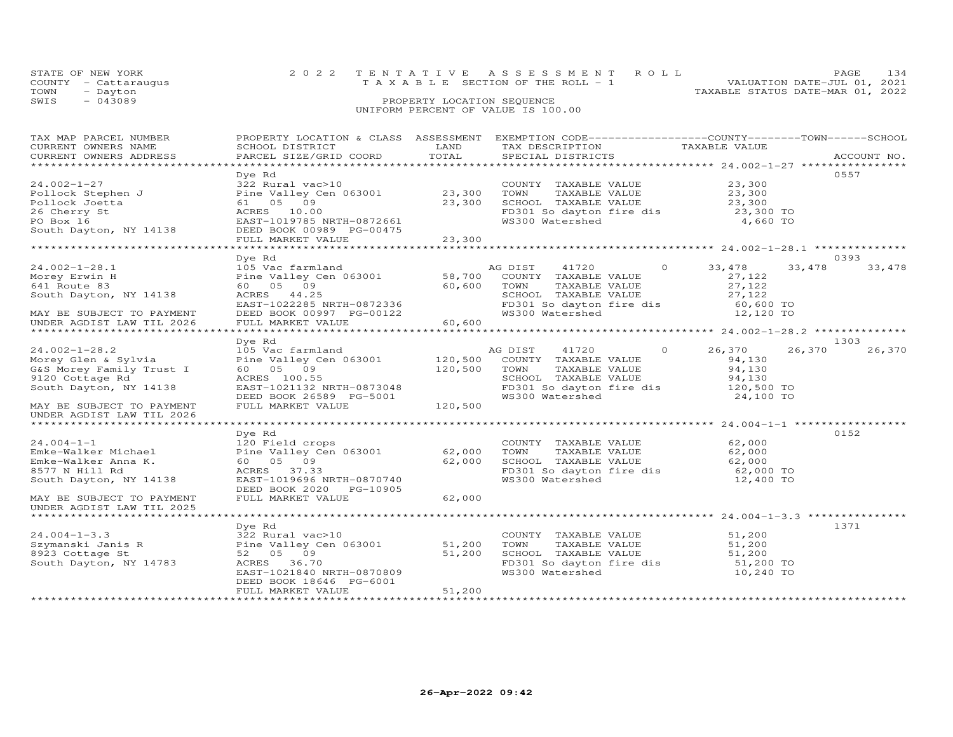| STATE OF NEW YORK |                      | 2022 TENTATIVE ASSESSMENT ROLL        | PAGE                        |  |
|-------------------|----------------------|---------------------------------------|-----------------------------|--|
|                   | COUNTY - Cattarauqus | T A X A B L E SECTION OF THE ROLL - 1 | VALUATION DATE-JUL 01, 2021 |  |
| TOWN              | - Dayton             | TAXABLE STATUS DATE-MAR 01, 2022      |                             |  |
| SWIS              | - 043089             | PROPERTY LOCATION SEQUENCE            |                             |  |
|                   |                      | UNIFORM PERCENT OF VALUE IS 100.00    |                             |  |

| TAX MAP PARCEL NUMBER                                |                                                       |             | PROPERTY LOCATION & CLASS ASSESSMENT EXEMPTION CODE----------------COUNTY-------TOWN------SCHOOL |                        |             |
|------------------------------------------------------|-------------------------------------------------------|-------------|--------------------------------------------------------------------------------------------------|------------------------|-------------|
| CURRENT OWNERS NAME                                  | SCHOOL DISTRICT                                       | LAND        | TAX DESCRIPTION                                                                                  | TAXABLE VALUE          |             |
| CURRENT OWNERS ADDRESS                               | PARCEL SIZE/GRID COORD                                | TOTAL       | SPECIAL DISTRICTS                                                                                |                        | ACCOUNT NO. |
|                                                      |                                                       |             |                                                                                                  |                        |             |
|                                                      | Dye Rd                                                |             |                                                                                                  |                        | 0557        |
| $24.002 - 1 - 27$                                    | 322 Rural vac>10                                      |             | COUNTY TAXABLE VALUE                                                                             | 23,300                 |             |
|                                                      |                                                       |             |                                                                                                  |                        |             |
| Pollock Stephen J<br>Pollock Joetta                  | Pine Valley Cen 063001 23,300                         |             | TOWN TAXABLE VALUE 23,300<br>SCHOOL TAXABLE VALUE 23,300                                         |                        |             |
|                                                      | 61 05 09                                              | 23,300      |                                                                                                  |                        |             |
| 26 Cherry St                                         | ACRES 10.00                                           |             | FD301 So dayton fire dis 23,300 TO<br>WS300 Watershed 4,660 TO                                   |                        |             |
| PO Box 16                                            | EAST-1019785 NRTH-0872661                             |             |                                                                                                  |                        |             |
| PO Box 16<br>South Dayton, NY 14138                  | DEED BOOK 00989 PG-00475                              |             |                                                                                                  |                        |             |
|                                                      | FULL MARKET VALUE                                     | 23,300      |                                                                                                  |                        |             |
|                                                      |                                                       |             |                                                                                                  |                        |             |
|                                                      | Dye Rd                                                |             |                                                                                                  |                        | 0393        |
| $24.002 - 1 - 28.1$                                  | 105 Vac farmland                                      |             | 41720 0<br>AG DIST                                                                               | 33,478<br>33,478       | 33,478      |
| Morey Erwin H                                        | Pine Valley Cen 063001 58,700                         |             |                                                                                                  | 27,122                 |             |
|                                                      | 60  05  09                                            | 60,600 TOWN |                                                                                                  | 27,122                 |             |
| 641 Route 83                                         |                                                       |             | COUNTY TAXABLE VALUE<br>TOWN - TAXABLE VALUE<br>SCHOOL - TAXABLE VALUE                           |                        |             |
| South Dayton, NY 14138                               | ACRES 44.25                                           |             |                                                                                                  | 27,122                 |             |
|                                                      | EAST-1022285 NRTH-0872336<br>DEED BOOK 00997 PG-00122 |             | FD301 So dayton fire dis<br>WS300 Watershed                                                      | 60,600 TO<br>12,120 TO |             |
| MAY BE SUBJECT TO PAYMENT                            |                                                       |             |                                                                                                  |                        |             |
| UNDER AGDIST LAW TIL 2026                            | FULL MARKET VALUE                                     | 60,600      |                                                                                                  |                        |             |
|                                                      |                                                       |             |                                                                                                  |                        |             |
|                                                      | Dye Rd                                                |             |                                                                                                  |                        | 1303        |
| $24.002 - 1 - 28.2$                                  |                                                       |             |                                                                                                  | 26,370<br>26,370       | 26,370      |
| Morey Glen & Sylvia                                  |                                                       |             |                                                                                                  | 94,130                 |             |
| G&S Morey Family Trust I                             |                                                       |             |                                                                                                  | 94,130                 |             |
|                                                      | ACRES 100.55                                          |             | SCHOOL TAXABLE VALUE                                                                             |                        |             |
| 9120 Cottage Rd                                      |                                                       |             |                                                                                                  | 94,130                 |             |
| South Dayton, NY 14138                               | EAST-1021132 NRTH-0873048                             |             | FD301 So dayton fire dis 120,500 TO                                                              |                        |             |
|                                                      | DEED BOOK 26589 PG-5001                               |             | WS300 Watershed                                                                                  | 24,100 TO              |             |
| MAY BE SUBJECT TO PAYMENT                            | FULL MARKET VALUE                                     |             |                                                                                                  |                        |             |
| UNDER AGDIST LAW TIL 2026                            |                                                       |             |                                                                                                  |                        |             |
|                                                      |                                                       |             |                                                                                                  |                        |             |
|                                                      | Dye Rd                                                |             |                                                                                                  |                        | 0152        |
| $24.004 - 1 - 1$                                     | 120 Field crops                                       |             | COUNTY TAXABLE VALUE                                                                             | 62,000                 |             |
| Emke-Walker Michael                                  | Pine Valley Cen 063001                                | 62,000      | TOWN<br>TAXABLE VALUE                                                                            | 62,000                 |             |
| Emke-Walker Anna K.                                  |                                                       | 62,000      | SCHOOL TAXABLE VALUE                                                                             | 62,000                 |             |
|                                                      | $60$ $05$ $09$<br>ACRES 37.33                         |             |                                                                                                  | 62,000<br>62,000 TO    |             |
| 8577 N Hill Rd                                       | ACRES 37.33                                           |             | FD301 So dayton fire dis<br>WS300 Watershed                                                      |                        |             |
| South Dayton, NY 14138                               | EAST-1019696 NRTH-0870740                             |             | WS300 Watershed                                                                                  | 12,400 TO              |             |
|                                                      | DEED BOOK 2020 PG-10905                               |             |                                                                                                  |                        |             |
| MAY BE SUBJECT TO PAYMENT                            | FULL MARKET VALUE                                     | 62,000      |                                                                                                  |                        |             |
| UNDER AGDIST LAW TIL 2025                            |                                                       |             |                                                                                                  |                        |             |
|                                                      |                                                       |             |                                                                                                  |                        |             |
|                                                      | Dye Rd                                                |             |                                                                                                  |                        | 1371        |
|                                                      | 322 Rural vac>10<br>Pine Valley Cen 063001 51,200     |             |                                                                                                  | 51,200                 |             |
|                                                      |                                                       |             | COUNTY TAXABLE VALUE<br>TOWN      TAXABLE VALUE                                                  | 51,200<br>51,200       |             |
| 24.004-1-3.3<br>Szymanski Janis R<br>Ille Cittere St | 52 05 09                                              |             |                                                                                                  |                        |             |
| South Dayton, NY 14783                               | ACRES 36.70                                           | 51,200      | SCHOOL TAXABLE VALUE 51,200<br>FD301 So dayton fire dis 51,200 TO                                |                        |             |
|                                                      |                                                       |             |                                                                                                  |                        |             |
|                                                      | EAST-1021840 NRTH-0870809                             |             | WS300 Watershed                                                                                  | 10,240 TO              |             |
|                                                      | DEED BOOK 18646 PG-6001                               |             |                                                                                                  |                        |             |
|                                                      | FULL MARKET VALUE                                     | 51,200      |                                                                                                  |                        |             |
|                                                      |                                                       |             |                                                                                                  |                        |             |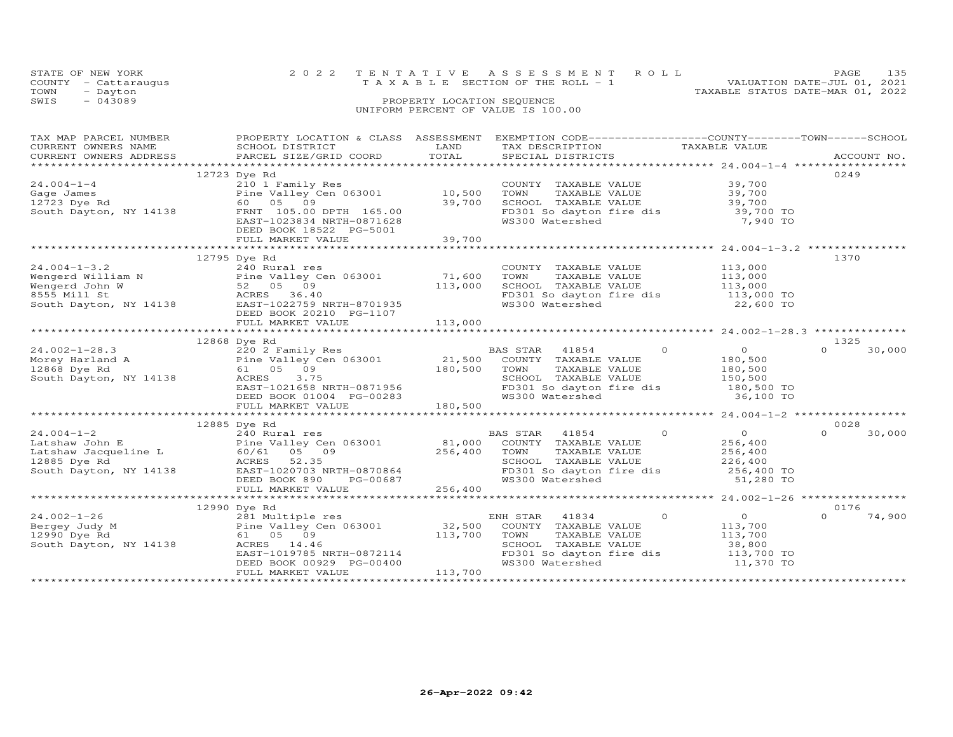|                                    | STATE OF NEW YORK    |  | 2022 TENTATIVE ASSESSMENT ROLL                                       | PAGE | 135 |  |
|------------------------------------|----------------------|--|----------------------------------------------------------------------|------|-----|--|
|                                    | COUNTY - Cattaraugus |  | VALUATION DATE-JUL 01, 2021<br>T A X A B L E SECTION OF THE ROLL - 1 |      |     |  |
| TOWN                               | - Dayton             |  | TAXABLE STATUS DATE-MAR 01, 2022                                     |      |     |  |
| SWIS                               | $-043089$            |  | PROPERTY LOCATION SEQUENCE                                           |      |     |  |
| UNIFORM PERCENT OF VALUE IS 100.00 |                      |  |                                                                      |      |     |  |

| TAX MAP PARCEL NUMBER  |                                                                                                                                                                                                                                                                     |                   | PROPERTY LOCATION & CLASS ASSESSMENT EXEMPTION CODE----------------COUNTY-------TOWN------SCHOOL                                  |                    |                    |
|------------------------|---------------------------------------------------------------------------------------------------------------------------------------------------------------------------------------------------------------------------------------------------------------------|-------------------|-----------------------------------------------------------------------------------------------------------------------------------|--------------------|--------------------|
| CURRENT OWNERS NAME    | SCHOOL DISTRICT                                                                                                                                                                                                                                                     | LAND              | TAX DESCRIPTION                                                                                                                   | TAXABLE VALUE      |                    |
|                        | CORRENT OWNERS ADDRESS FORCEL SIZE/GRID COORD FOTAL SPECIAL DISTRICTS FOR THE THEORY ACCOUNT NO.<br>CURRENT OWNERS ADDRESS FARCEL SIZE/GRID COORD TOTAL SPECIAL DISTRICTS ACCOUNT NO.                                                                               |                   |                                                                                                                                   |                    |                    |
|                        |                                                                                                                                                                                                                                                                     |                   |                                                                                                                                   |                    |                    |
|                        | 12723 Dye Rd                                                                                                                                                                                                                                                        |                   |                                                                                                                                   |                    | 0249               |
|                        |                                                                                                                                                                                                                                                                     |                   |                                                                                                                                   |                    |                    |
|                        |                                                                                                                                                                                                                                                                     |                   | COUNTY TAXABLE VALUE<br>TOWN     TAXABLE VALUE                                                                                    | 39,700<br>39,700   |                    |
|                        |                                                                                                                                                                                                                                                                     |                   |                                                                                                                                   |                    |                    |
|                        | 24.004-1-4<br>Gage James<br>12723 Dye Rd<br>South Dayton, NY 14138<br>ERNT 105.00 DPTH 165.00<br>FRNT 105.00 DPTH 165.00<br>29,700                                                                                                                                  |                   | SCHOOL TAXABLE VALUE<br>SCHOOL TAXABLE VALUE<br>FD301 So davton fire dis 39,700 TO                                                |                    |                    |
|                        | EAST-1023834 NRTH-0871628                                                                                                                                                                                                                                           |                   | FD301 So dayton fire dis<br>WS300 Watershed                                                                                       | 7,940 TO           |                    |
|                        | DEED BOOK 18522 PG-5001                                                                                                                                                                                                                                             |                   |                                                                                                                                   |                    |                    |
|                        |                                                                                                                                                                                                                                                                     |                   |                                                                                                                                   |                    |                    |
|                        |                                                                                                                                                                                                                                                                     |                   |                                                                                                                                   |                    |                    |
|                        |                                                                                                                                                                                                                                                                     |                   |                                                                                                                                   |                    |                    |
|                        | 12795 Dye Rd                                                                                                                                                                                                                                                        |                   |                                                                                                                                   |                    | 1370               |
|                        | 24.004-1-3.2<br>Wengerd William N Pine Valley Cen 063001 71,600<br>Wengerd John W 52 05 09 113,000<br>S55 Millist South Dayton, NY 14138<br>RACRES 36.40<br>South Dayton, NY 14138<br>RAST-1022759 NRTH-8701935<br>PEED ROOK 20210 PG-11                            |                   | COUNTY TAXABLE VALUE 113,000<br>TOWN TAXABLE VALUE 113,000<br>SCHOOL TAXABLE VALUE 113,000<br>FD301 So dayton fire dis 113,000 TO |                    |                    |
|                        |                                                                                                                                                                                                                                                                     |                   |                                                                                                                                   |                    |                    |
|                        |                                                                                                                                                                                                                                                                     |                   |                                                                                                                                   |                    |                    |
|                        |                                                                                                                                                                                                                                                                     |                   |                                                                                                                                   |                    |                    |
|                        |                                                                                                                                                                                                                                                                     |                   | WS300 Watershed                                                                                                                   | 22,600 TO          |                    |
|                        | DEED BOOK 20210 PG-1107                                                                                                                                                                                                                                             |                   |                                                                                                                                   |                    |                    |
|                        |                                                                                                                                                                                                                                                                     |                   |                                                                                                                                   |                    |                    |
|                        |                                                                                                                                                                                                                                                                     |                   |                                                                                                                                   |                    |                    |
|                        | 12868 Dye Rd                                                                                                                                                                                                                                                        |                   |                                                                                                                                   |                    | 1325               |
|                        |                                                                                                                                                                                                                                                                     |                   | $\Omega$<br>BAS STAR 41854                                                                                                        | $\overline{0}$     | $\Omega$<br>30,000 |
|                        |                                                                                                                                                                                                                                                                     |                   | COUNTY TAXABLE VALUE                                                                                                              | 180,500            |                    |
|                        |                                                                                                                                                                                                                                                                     |                   | TOWN                                                                                                                              | 180,500            |                    |
| South Dayton, NY 14138 | 180,500                                                                                                                                                                                                                                                             |                   | TOWN       TAXABLE  VALUE<br>SCHOOL    TAXABLE  VALUE                                                                             | 150,500            |                    |
|                        | EAST-1021658 NRTH-0871956<br>DEED BOOK 01004 PG-00283<br>FULL MARKET VALUE                                                                                                                                                                                          |                   |                                                                                                                                   |                    |                    |
|                        |                                                                                                                                                                                                                                                                     |                   | FD301 So dayton fire dis 180,500 TO<br>WS300 Watershed 36,100 TO                                                                  | 36,100 TO          |                    |
|                        |                                                                                                                                                                                                                                                                     | 180,500           |                                                                                                                                   |                    |                    |
|                        | FULL MARKET VALUE                                                                                                                                                                                                                                                   |                   |                                                                                                                                   |                    |                    |
|                        |                                                                                                                                                                                                                                                                     |                   |                                                                                                                                   |                    |                    |
|                        | 12885 Dye Rd                                                                                                                                                                                                                                                        |                   |                                                                                                                                   |                    | 0028               |
| $24.004 - 1 - 2$       |                                                                                                                                                                                                                                                                     |                   | $\overline{O}$<br>BAS STAR 41854                                                                                                  | $\overline{0}$     | $\Omega$<br>30,000 |
|                        |                                                                                                                                                                                                                                                                     |                   | COUNTY TAXABLE VALUE                                                                                                              | 256,400<br>256,400 |                    |
|                        |                                                                                                                                                                                                                                                                     |                   | TOWN<br>TAXABLE VALUE                                                                                                             |                    |                    |
|                        | 24.004-1-2<br>Latshaw John E<br>Latshaw Jacqueline L<br>12885 Dye Rd<br>South Dayton, NY 14138<br>256,400<br>256,400<br>256,400<br>256,400<br>256,400<br>256,400<br>256,400<br>256,400<br>256,400<br>256,400<br>256,400<br>256,400<br>256,400<br>256,400<br>256,400 |                   | CHOOL TAXABLE VALUE<br>SCHOOL TAXABLE VALUE<br>FD301 So dayton fire dis<br>WS300 Watershed 51,280 TO                              |                    |                    |
|                        |                                                                                                                                                                                                                                                                     |                   |                                                                                                                                   |                    |                    |
|                        | DEED BOOK 890 PG-00687                                                                                                                                                                                                                                              |                   |                                                                                                                                   |                    |                    |
|                        |                                                                                                                                                                                                                                                                     |                   |                                                                                                                                   |                    |                    |
|                        |                                                                                                                                                                                                                                                                     |                   |                                                                                                                                   |                    |                    |
|                        | 12990 Dye Rd                                                                                                                                                                                                                                                        |                   |                                                                                                                                   |                    | 0176               |
| $24.002 - 1 - 26$      | 281 Multiple res                                                                                                                                                                                                                                                    |                   | $\circ$<br>ENH STAR 41834                                                                                                         | $\overline{0}$     | $\Omega$<br>74,900 |
| Bergey Judy M          |                                                                                                                                                                                                                                                                     |                   | COUNTY TAXABLE VALUE                                                                                                              |                    |                    |
| 12990 Dye Rd           | 281 Multiple res<br>Pine Valley Cen 063001<br>61   05   09<br>61 05 09                                                                                                                                                                                              | 32,500<br>113,700 | TOWN<br>TAXABLE VALUE                                                                                                             | 113,700<br>113,700 |                    |
| South Dayton, NY 14138 | ACRES 14.46                                                                                                                                                                                                                                                         |                   |                                                                                                                                   |                    |                    |
|                        | EAST-1019785 NRTH-0872114                                                                                                                                                                                                                                           |                   | SCHOOL TAXABLE VALUE 38,800<br>FD301 So dayton fire dis 113,700 TO                                                                |                    |                    |
|                        |                                                                                                                                                                                                                                                                     |                   |                                                                                                                                   |                    |                    |
|                        | DEED BOOK 00929 PG-00400                                                                                                                                                                                                                                            |                   | WS300 Watershed                                                                                                                   | 11,370 TO          |                    |
|                        | FULL MARKET VALUE                                                                                                                                                                                                                                                   | 113,700           |                                                                                                                                   |                    |                    |
|                        |                                                                                                                                                                                                                                                                     |                   |                                                                                                                                   |                    |                    |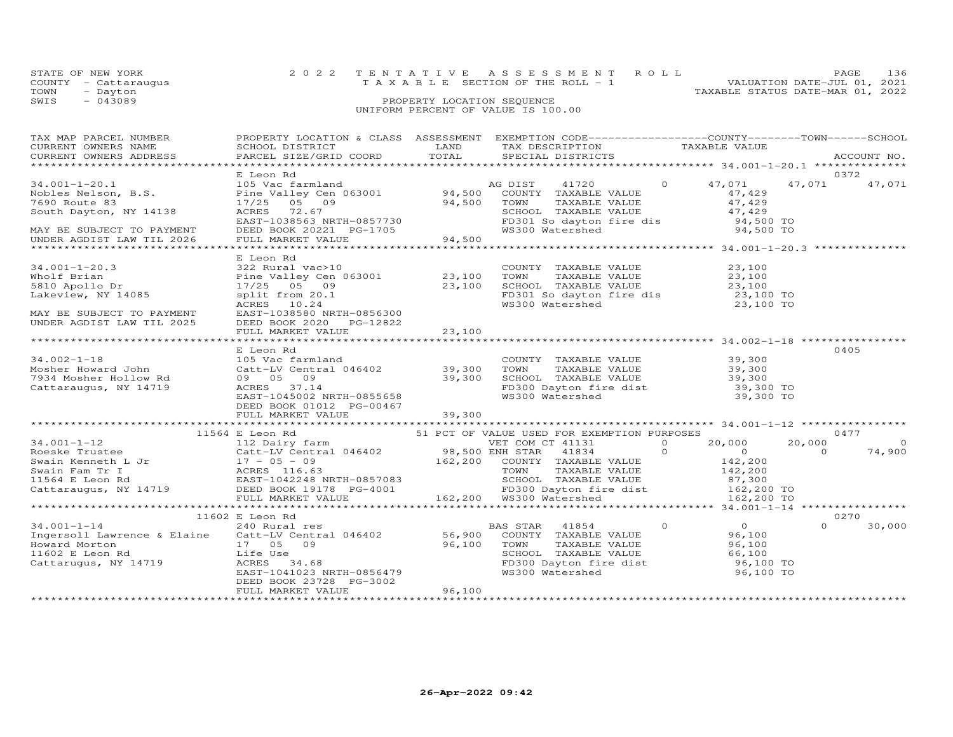| STATE OF NEW YORK    | 2022 TENTATIVE ASSESSMENT ROLL     |                                  | PAGE.                       | 136 |
|----------------------|------------------------------------|----------------------------------|-----------------------------|-----|
|                      |                                    |                                  |                             |     |
| COUNTY - Cattarauqus | TAXABLE SECTION OF THE ROLL - 1    |                                  | VALUATION DATE-JUL 01, 2021 |     |
| TOWN<br>- Dayton     |                                    | TAXABLE STATUS DATE-MAR 01, 2022 |                             |     |
| SWIS<br>- 043089     | PROPERTY LOCATION SEQUENCE         |                                  |                             |     |
|                      | UNIFORM PERCENT OF VALUE IS 100.00 |                                  |                             |     |

| TAX MAP PARCEL NUMBER                                                                                                                                                                                                                                                                                                           | PROPERTY LOCATION & CLASS ASSESSMENT EXEMPTION CODE----------------COUNTY-------TOWN------SCHOOL          |        |                                                                                                                                                                      |  |          |                |
|---------------------------------------------------------------------------------------------------------------------------------------------------------------------------------------------------------------------------------------------------------------------------------------------------------------------------------|-----------------------------------------------------------------------------------------------------------|--------|----------------------------------------------------------------------------------------------------------------------------------------------------------------------|--|----------|----------------|
| CURRENT OWNERS NAME<br>CURRENT OWNERS ADDRESS                                                                                                                                                                                                                                                                                   |                                                                                                           |        |                                                                                                                                                                      |  |          |                |
|                                                                                                                                                                                                                                                                                                                                 |                                                                                                           |        |                                                                                                                                                                      |  |          |                |
|                                                                                                                                                                                                                                                                                                                                 |                                                                                                           |        |                                                                                                                                                                      |  |          |                |
|                                                                                                                                                                                                                                                                                                                                 | E Leon Rd                                                                                                 |        |                                                                                                                                                                      |  |          | 0372           |
|                                                                                                                                                                                                                                                                                                                                 |                                                                                                           |        |                                                                                                                                                                      |  | 47,071   | 47,071         |
|                                                                                                                                                                                                                                                                                                                                 |                                                                                                           |        |                                                                                                                                                                      |  |          |                |
|                                                                                                                                                                                                                                                                                                                                 |                                                                                                           |        |                                                                                                                                                                      |  |          |                |
|                                                                                                                                                                                                                                                                                                                                 |                                                                                                           |        |                                                                                                                                                                      |  |          |                |
|                                                                                                                                                                                                                                                                                                                                 |                                                                                                           |        |                                                                                                                                                                      |  |          |                |
|                                                                                                                                                                                                                                                                                                                                 |                                                                                                           |        |                                                                                                                                                                      |  |          |                |
|                                                                                                                                                                                                                                                                                                                                 |                                                                                                           |        |                                                                                                                                                                      |  |          |                |
|                                                                                                                                                                                                                                                                                                                                 |                                                                                                           |        |                                                                                                                                                                      |  |          |                |
|                                                                                                                                                                                                                                                                                                                                 | E Leon Rd                                                                                                 |        |                                                                                                                                                                      |  |          |                |
| $34.001 - 1 - 20.3$                                                                                                                                                                                                                                                                                                             | 322 Rural vac>10<br>Pine Valley Cen 063001 23,100<br>17/25 05 09 23,100<br>split from 20.1<br>ACRES 10.24 |        | COUNTY TAXABLE VALUE $23,100$<br>TOWN TAXABLE VALUE $23,100$<br>SCHOOL TAXABLE VALUE $23,100$<br>FD301 So dayton fire dis $23,100$ TO<br>WS300 Watershed $23,100$ TO |  |          |                |
| Wholf Brian<br>5810 Apollo Dr                                                                                                                                                                                                                                                                                                   |                                                                                                           |        |                                                                                                                                                                      |  |          |                |
|                                                                                                                                                                                                                                                                                                                                 |                                                                                                           |        |                                                                                                                                                                      |  |          |                |
| Lakeview, NY 14085                                                                                                                                                                                                                                                                                                              |                                                                                                           |        |                                                                                                                                                                      |  |          |                |
|                                                                                                                                                                                                                                                                                                                                 |                                                                                                           |        |                                                                                                                                                                      |  |          |                |
| MAY BE SUBJECT TO PAYMENT                                                                                                                                                                                                                                                                                                       | EAST-1038580 NRTH-0856300                                                                                 |        |                                                                                                                                                                      |  |          |                |
| UNDER AGDIST LAW TIL 2025                                                                                                                                                                                                                                                                                                       | DEED BOOK 2020 PG-12822                                                                                   |        |                                                                                                                                                                      |  |          |                |
|                                                                                                                                                                                                                                                                                                                                 | FULL MARKET VALUE                                                                                         | 23,100 |                                                                                                                                                                      |  |          |                |
|                                                                                                                                                                                                                                                                                                                                 |                                                                                                           |        |                                                                                                                                                                      |  |          |                |
|                                                                                                                                                                                                                                                                                                                                 | E Leon Rd                                                                                                 |        |                                                                                                                                                                      |  |          | 0405           |
|                                                                                                                                                                                                                                                                                                                                 |                                                                                                           |        |                                                                                                                                                                      |  |          |                |
|                                                                                                                                                                                                                                                                                                                                 |                                                                                                           |        |                                                                                                                                                                      |  |          |                |
|                                                                                                                                                                                                                                                                                                                                 |                                                                                                           |        |                                                                                                                                                                      |  |          |                |
| 34.002-1-18<br>Mosher Howard John Catt-LV Central 046402<br>7934 Mosher Hollow Rd 09 05 09<br>Cattaraugus, NY 14719 ACRES 37.14<br>EAST-104502 39,300 TOWN TAXABLE VALUE 39,300<br>7934 Mosher Hollow Rd 09 05 09<br>Cattaraugus, NY 14719                                                                                      |                                                                                                           |        |                                                                                                                                                                      |  |          |                |
|                                                                                                                                                                                                                                                                                                                                 |                                                                                                           |        |                                                                                                                                                                      |  |          |                |
|                                                                                                                                                                                                                                                                                                                                 | DEED BOOK 01012 PG-00467                                                                                  |        |                                                                                                                                                                      |  |          |                |
|                                                                                                                                                                                                                                                                                                                                 | FULL MARKET VALUE                                                                                         | 39,300 |                                                                                                                                                                      |  |          |                |
|                                                                                                                                                                                                                                                                                                                                 |                                                                                                           |        |                                                                                                                                                                      |  |          |                |
|                                                                                                                                                                                                                                                                                                                                 |                                                                                                           |        |                                                                                                                                                                      |  |          |                |
|                                                                                                                                                                                                                                                                                                                                 |                                                                                                           |        |                                                                                                                                                                      |  | 20,000   | $\overline{0}$ |
|                                                                                                                                                                                                                                                                                                                                 |                                                                                                           |        |                                                                                                                                                                      |  |          | 74,900         |
|                                                                                                                                                                                                                                                                                                                                 |                                                                                                           |        |                                                                                                                                                                      |  |          |                |
|                                                                                                                                                                                                                                                                                                                                 |                                                                                                           |        |                                                                                                                                                                      |  |          |                |
|                                                                                                                                                                                                                                                                                                                                 |                                                                                                           |        |                                                                                                                                                                      |  |          |                |
|                                                                                                                                                                                                                                                                                                                                 |                                                                                                           |        |                                                                                                                                                                      |  |          |                |
| $11564 \t\tE Leon RA\n34.001-1-12\n34.001-1-12\n11564 E Leon RA\n34.001-1-12\n11564 E Leon RA\n34.001-1-12\n112 Dairy farm\n34.001-1-12\n12 Dairy farm\n34.001-1-12\n12 Dairy farm\n34.001-1-12\n12 Dairy farm\n34.001-1-12\n12 Dairy farm\n34.001-1-12\n12 Dairy farm\n34.$                                                    |                                                                                                           |        |                                                                                                                                                                      |  |          |                |
|                                                                                                                                                                                                                                                                                                                                 |                                                                                                           |        |                                                                                                                                                                      |  |          |                |
|                                                                                                                                                                                                                                                                                                                                 | E Leon Rd<br>240 Rural res<br>11602 E Leon Rd                                                             |        |                                                                                                                                                                      |  |          | 0270           |
|                                                                                                                                                                                                                                                                                                                                 |                                                                                                           |        |                                                                                                                                                                      |  | $\Omega$ | 30,000         |
| 34.001-1-14<br>$\begin{array}{cccccccc} 11602 & E & Leon \ \text{Rd} & 240 & \text{Rural res} & 56,900 & \text{COUNTY} & \text{TAXABLE VALUE} & 96,100 \\ \text{However, NY 14719} & 11602 & 11602 & 11602 & 11602 & 11602 & 11602 & 11602 & 11602 & 11602 & 11602 & 11602 & 11602 & 11602 & 11602 & 11602 & 11602 & 11602 & 1$ |                                                                                                           |        |                                                                                                                                                                      |  |          |                |
|                                                                                                                                                                                                                                                                                                                                 |                                                                                                           |        |                                                                                                                                                                      |  |          |                |
|                                                                                                                                                                                                                                                                                                                                 |                                                                                                           |        |                                                                                                                                                                      |  |          |                |
|                                                                                                                                                                                                                                                                                                                                 |                                                                                                           |        |                                                                                                                                                                      |  |          |                |
|                                                                                                                                                                                                                                                                                                                                 |                                                                                                           |        |                                                                                                                                                                      |  |          |                |
|                                                                                                                                                                                                                                                                                                                                 | DEED BOOK 23728 PG-3002                                                                                   |        |                                                                                                                                                                      |  |          |                |
|                                                                                                                                                                                                                                                                                                                                 | FULL MARKET VALUE                                                                                         | 96,100 |                                                                                                                                                                      |  |          |                |
|                                                                                                                                                                                                                                                                                                                                 |                                                                                                           |        |                                                                                                                                                                      |  |          |                |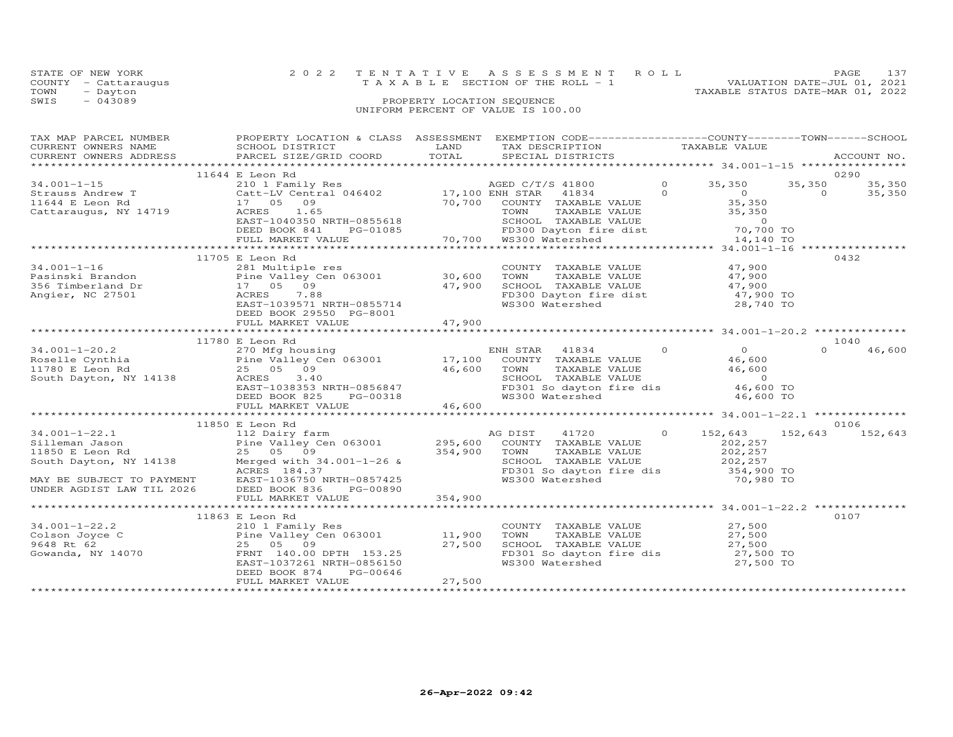|      | STATE OF NEW YORK    | 2022 TENTATIVE ASSESSMENT ROLL                                       | PAGE 137 |  |
|------|----------------------|----------------------------------------------------------------------|----------|--|
|      | COUNTY - Cattaraugus | VALUATION DATE-JUL 01, 2021<br>T A X A B L E SECTION OF THE ROLL - 1 |          |  |
| TOWN | - Dayton             | TAXABLE STATUS DATE-MAR 01, 2022                                     |          |  |
| SWIS | $-043089$            | PROPERTY LOCATION SEQUENCE                                           |          |  |
|      |                      | UNIFORM PERCENT OF VALUE IS 100.00                                   |          |  |

| PROPERTY LOCATION & CLASS ASSESSMENT EXEMPTION CODE----------------COUNTY-------TOWN-----SCHOOL |
|-------------------------------------------------------------------------------------------------|
|                                                                                                 |
| 35,350<br>35,350                                                                                |
|                                                                                                 |
|                                                                                                 |
|                                                                                                 |
| 46,600                                                                                          |
|                                                                                                 |
| 152,643 152,643                                                                                 |
|                                                                                                 |
|                                                                                                 |
|                                                                                                 |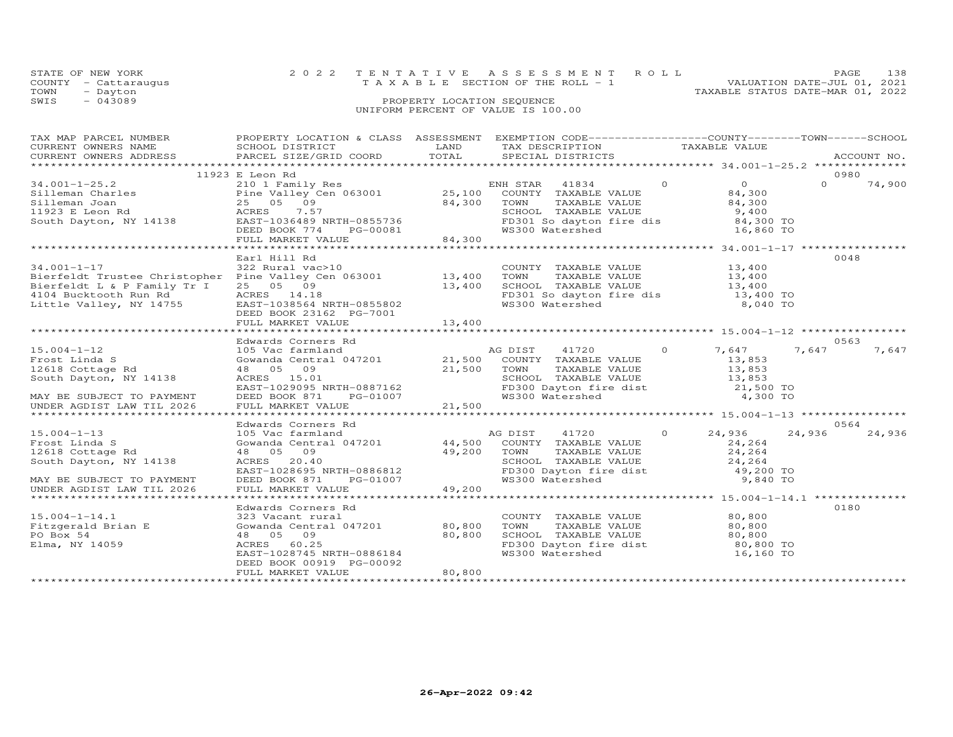| STATE OF NEW YORK    | 2022 TENTATIVE ASSESSMENT ROLL     | <b>PAGE</b>                 | 138 |
|----------------------|------------------------------------|-----------------------------|-----|
| COUNTY - Cattarauqus | TAXABLE SECTION OF THE ROLL - 1    | VALUATION DATE-JUL 01, 2021 |     |
| TOWN - Dayton        | TAXABLE STATUS DATE-MAR 01, 2022   |                             |     |
| $-043089$<br>SWIS    | PROPERTY LOCATION SEQUENCE         |                             |     |
|                      | UNIFORM PERCENT OF VALUE IS 100.00 |                             |     |

| TAX MAP PARCEL NUMBER                                                                                                                                                                                                                              | PROPERTY LOCATION & CLASS ASSESSMENT EXEMPTION CODE-----------------COUNTY-------TOWN------SCHOOL                                                                                                                                                    |        |                                                                                                                                                   |                                                                |                    |
|----------------------------------------------------------------------------------------------------------------------------------------------------------------------------------------------------------------------------------------------------|------------------------------------------------------------------------------------------------------------------------------------------------------------------------------------------------------------------------------------------------------|--------|---------------------------------------------------------------------------------------------------------------------------------------------------|----------------------------------------------------------------|--------------------|
|                                                                                                                                                                                                                                                    |                                                                                                                                                                                                                                                      |        |                                                                                                                                                   |                                                                |                    |
|                                                                                                                                                                                                                                                    |                                                                                                                                                                                                                                                      |        |                                                                                                                                                   |                                                                |                    |
|                                                                                                                                                                                                                                                    |                                                                                                                                                                                                                                                      |        |                                                                                                                                                   |                                                                |                    |
|                                                                                                                                                                                                                                                    | 11923 E Leon Rd                                                                                                                                                                                                                                      |        |                                                                                                                                                   |                                                                | 0980               |
| $34.001 - 1 - 25.2$                                                                                                                                                                                                                                | 210 1 Family Res                                                                                                                                                                                                                                     |        | ENH STAR 41834 0                                                                                                                                  | $\overline{0}$                                                 | $\Omega$<br>74,900 |
|                                                                                                                                                                                                                                                    |                                                                                                                                                                                                                                                      |        |                                                                                                                                                   | 84,300<br>84,300                                               |                    |
|                                                                                                                                                                                                                                                    |                                                                                                                                                                                                                                                      |        |                                                                                                                                                   |                                                                |                    |
|                                                                                                                                                                                                                                                    |                                                                                                                                                                                                                                                      |        |                                                                                                                                                   | 9,400<br>84,300 TO                                             |                    |
|                                                                                                                                                                                                                                                    |                                                                                                                                                                                                                                                      |        |                                                                                                                                                   |                                                                |                    |
|                                                                                                                                                                                                                                                    |                                                                                                                                                                                                                                                      |        | SCHOOL TAXABLE VALUE<br>FD301 So dayton fire dis<br>WS300 Watershed                                                                               | 16,860 TO                                                      |                    |
| 34.001-1-25.2<br>Silleman Charles<br>Silleman Joan 25 08 09<br>1923 E Leon Rd 25 05 09<br>South Dayton, NY 14138<br>EVEL MARKET VALUE<br>FULL MARKET VALUE<br>TODER BOOK 774 PG-00081 84,300<br>TOWN TAXABLE VALUE<br>SCHOOL TAXABLE VALUE<br>FULL |                                                                                                                                                                                                                                                      |        | $\begin{smallmatrix} &0 & -1 & -1 \ x & + & 0 & -1 & -1 \end{smallmatrix}$                                                                        |                                                                |                    |
|                                                                                                                                                                                                                                                    |                                                                                                                                                                                                                                                      |        |                                                                                                                                                   |                                                                |                    |
|                                                                                                                                                                                                                                                    | Earl Hill Rd                                                                                                                                                                                                                                         |        |                                                                                                                                                   |                                                                | 0048               |
|                                                                                                                                                                                                                                                    |                                                                                                                                                                                                                                                      |        | COUNTY TAXABLE VALUE 13,400                                                                                                                       |                                                                |                    |
|                                                                                                                                                                                                                                                    |                                                                                                                                                                                                                                                      |        | TOWN TAXABLE VALUE 13,400<br>SCHOOL TAXABLE VALUE 13,400                                                                                          |                                                                |                    |
|                                                                                                                                                                                                                                                    |                                                                                                                                                                                                                                                      |        |                                                                                                                                                   |                                                                |                    |
|                                                                                                                                                                                                                                                    |                                                                                                                                                                                                                                                      |        |                                                                                                                                                   | FD301 So dayton fire dis 13,400 TO<br>WS300 Watershed 8,040 TO |                    |
|                                                                                                                                                                                                                                                    |                                                                                                                                                                                                                                                      |        |                                                                                                                                                   |                                                                |                    |
|                                                                                                                                                                                                                                                    | DEED BOOK 23162 PG-7001                                                                                                                                                                                                                              |        |                                                                                                                                                   |                                                                |                    |
|                                                                                                                                                                                                                                                    | FULL MARKET VALUE                                                                                                                                                                                                                                    | 13,400 |                                                                                                                                                   |                                                                |                    |
|                                                                                                                                                                                                                                                    |                                                                                                                                                                                                                                                      |        |                                                                                                                                                   |                                                                |                    |
|                                                                                                                                                                                                                                                    | Edwards Corners Rd<br>Edwards Corners ku<br>105 Vac farmland<br>Gowanda Central 047201 21,500 COUNTY TAXABLE VALUE 13,853<br>21,500 TOWN TAXABLE VALUE 13,853<br>21,500 TOWN TAXABLE VALUE 13,853                                                    |        |                                                                                                                                                   |                                                                | 0563               |
|                                                                                                                                                                                                                                                    |                                                                                                                                                                                                                                                      |        |                                                                                                                                                   | 41720 0 7,647                                                  | 7,647<br>7,647     |
| 15.004-1-12<br>Frost Linda S<br>12618 Cottage Rd                                                                                                                                                                                                   |                                                                                                                                                                                                                                                      |        |                                                                                                                                                   |                                                                |                    |
|                                                                                                                                                                                                                                                    |                                                                                                                                                                                                                                                      |        |                                                                                                                                                   |                                                                |                    |
| South Dayton, NY 14138                                                                                                                                                                                                                             |                                                                                                                                                                                                                                                      |        |                                                                                                                                                   |                                                                |                    |
|                                                                                                                                                                                                                                                    |                                                                                                                                                                                                                                                      |        | SCHOOL TAXABLE VALUE $13,853$<br>FD300 Dayton fire dist $21,500$ TO<br>WS300 Watershed $4,300$ TO                                                 |                                                                |                    |
| MAY BE SUBJECT TO PAYMENT                                                                                                                                                                                                                          | 48 05 09<br>ACRES 15.01<br>EAST-1029095 NRTH-0887162<br>DEED BOOK 871 PG-01007 WS300<br>FULL MARKET VALUE 21,500                                                                                                                                     |        |                                                                                                                                                   |                                                                |                    |
| UNDER AGDIST LAW TIL 2026                                                                                                                                                                                                                          |                                                                                                                                                                                                                                                      |        |                                                                                                                                                   |                                                                |                    |
|                                                                                                                                                                                                                                                    |                                                                                                                                                                                                                                                      |        |                                                                                                                                                   |                                                                | 0564               |
| $15.004 - 1 - 13$                                                                                                                                                                                                                                  | Edwards Corners Rd<br>105 Vac farmland<br>Gowanda Central 047201<br>49,200 TOWN TAXABLE VALUE<br>48 05 09<br>49,200 TOWN TAXABLE VALUE<br>48 05 09<br>AG DIST<br>4720<br>49,200 TOWN TAXABLE VALUE<br>49,200 TO SCHOOL TAXABLE VALUE<br>49,200 24,26 |        |                                                                                                                                                   |                                                                | 24,936<br>24,936   |
| Frost Linda S                                                                                                                                                                                                                                      |                                                                                                                                                                                                                                                      |        |                                                                                                                                                   |                                                                |                    |
| 12618 Cottage Rd                                                                                                                                                                                                                                   |                                                                                                                                                                                                                                                      |        |                                                                                                                                                   |                                                                |                    |
| South Dayton, NY 14138                                                                                                                                                                                                                             |                                                                                                                                                                                                                                                      |        |                                                                                                                                                   |                                                                |                    |
|                                                                                                                                                                                                                                                    |                                                                                                                                                                                                                                                      |        |                                                                                                                                                   |                                                                |                    |
| MAY BE SUBJECT TO PAYMENT                                                                                                                                                                                                                          |                                                                                                                                                                                                                                                      |        |                                                                                                                                                   |                                                                |                    |
|                                                                                                                                                                                                                                                    |                                                                                                                                                                                                                                                      |        |                                                                                                                                                   |                                                                |                    |
|                                                                                                                                                                                                                                                    |                                                                                                                                                                                                                                                      |        |                                                                                                                                                   |                                                                |                    |
|                                                                                                                                                                                                                                                    | Edwards Corners Rd                                                                                                                                                                                                                                   |        |                                                                                                                                                   |                                                                | 0180               |
|                                                                                                                                                                                                                                                    | 323 Vacant rural                                                                                                                                                                                                                                     |        |                                                                                                                                                   |                                                                |                    |
|                                                                                                                                                                                                                                                    | Gowanda Central 047201 80,800                                                                                                                                                                                                                        |        |                                                                                                                                                   |                                                                |                    |
| Fitzgerald Brian E<br>PO Box 54                                                                                                                                                                                                                    | 48 05 09                                                                                                                                                                                                                                             |        |                                                                                                                                                   |                                                                |                    |
| Elma, NY 14059                                                                                                                                                                                                                                     | ACRES 60.25                                                                                                                                                                                                                                          | 80,800 |                                                                                                                                                   |                                                                |                    |
|                                                                                                                                                                                                                                                    | EAST-1028745 NRTH-0886184                                                                                                                                                                                                                            |        | COUNTY TAXABLE VALUE<br>TOWN TAXABLE VALUE 00,800<br>SCHOOL TAXABLE VALUE 00,800<br>FD300 Dayton fire dist 00,800 TO<br>WS300 Watershed 16,160 TO |                                                                |                    |
|                                                                                                                                                                                                                                                    | DEED BOOK 00919 PG-00092                                                                                                                                                                                                                             |        |                                                                                                                                                   |                                                                |                    |
|                                                                                                                                                                                                                                                    | FULL MARKET VALUE                                                                                                                                                                                                                                    | 80,800 |                                                                                                                                                   |                                                                |                    |
|                                                                                                                                                                                                                                                    |                                                                                                                                                                                                                                                      |        |                                                                                                                                                   |                                                                |                    |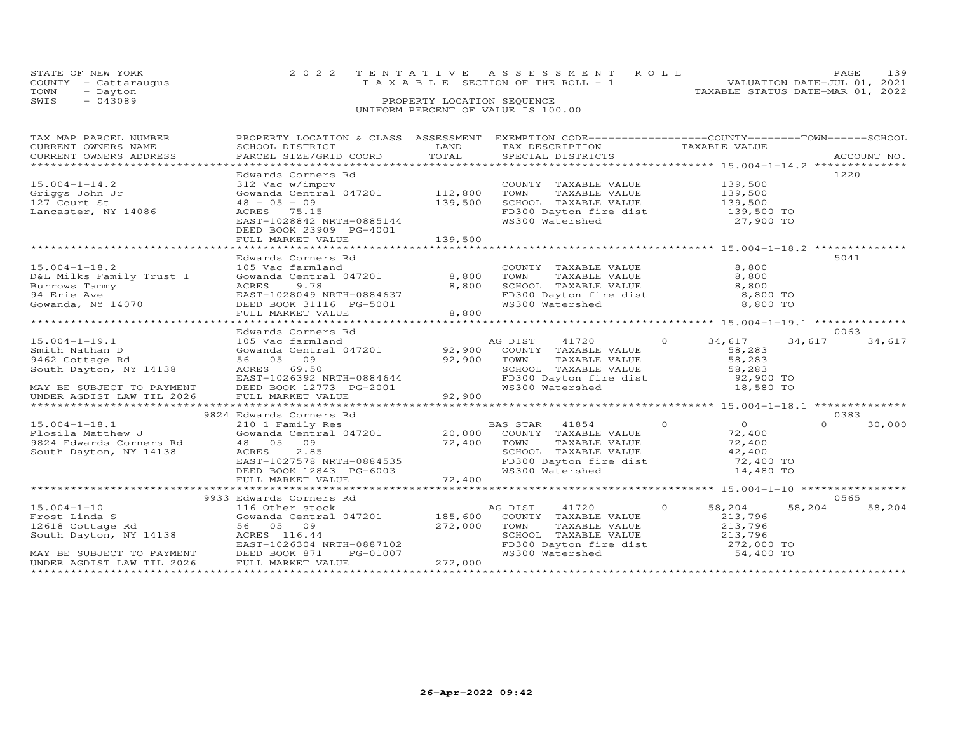| STATE OF NEW YORK                  |                            | 2022 TENTATIVE ASSESSMENT ROLL        |  | PAGE                             | l 39 |  |  |
|------------------------------------|----------------------------|---------------------------------------|--|----------------------------------|------|--|--|
| COUNTY - Cattaraugus               |                            | T A X A B L E SECTION OF THE ROLL - 1 |  | VALUATION DATE-JUL 01, 2021      |      |  |  |
| TOWN<br>- Dayton                   |                            |                                       |  | TAXABLE STATUS DATE-MAR 01, 2022 |      |  |  |
| SWIS<br>$-043089$                  | PROPERTY LOCATION SEQUENCE |                                       |  |                                  |      |  |  |
| UNIFORM PERCENT OF VALUE IS 100.00 |                            |                                       |  |                                  |      |  |  |

| TAX MAP PARCEL NUMBER                                                               | PROPERTY LOCATION & CLASS ASSESSMENT EXEMPTION CODE----------------COUNTY-------TOWN------SCHOOL                |         |                                                                                                                      |                                              |                    |
|-------------------------------------------------------------------------------------|-----------------------------------------------------------------------------------------------------------------|---------|----------------------------------------------------------------------------------------------------------------------|----------------------------------------------|--------------------|
| CURRENT OWNERS NAME<br>CURRENT OWNERS ADDRESS                                       | SCHOOL DISTRICT                                                                                                 | LAND    | TAX DESCRIPTION                                                                                                      | TAXABLE VALUE                                |                    |
|                                                                                     |                                                                                                                 |         |                                                                                                                      |                                              |                    |
|                                                                                     | Edwards Corners Rd                                                                                              |         |                                                                                                                      |                                              | 1220               |
| $15.004 - 1 - 14.2$                                                                 | 312 Vac w/imprv                                                                                                 |         | COUNTI TAXABLE VALUE 139,500<br>TOWN TAXABLE VALUE 139,500<br>SCHOOL TAXABLE VALUE 139,500<br>FD300 Dayton fire dist |                                              |                    |
| Griggs John Jr                                                                      | 312 vac w/imprv<br>Gowanda Central 047201             112,800                                                   |         |                                                                                                                      |                                              |                    |
| 127 Court St                                                                        | $48 - 05 - 09$                                                                                                  | 139,500 |                                                                                                                      |                                              |                    |
| Lancaster, NY 14086                                                                 | ACRES 75.15                                                                                                     |         |                                                                                                                      |                                              |                    |
|                                                                                     | EAST-1028842 NRTH-0885144                                                                                       |         | FD300 Dayton fire dist 139,500 TO<br>WS300 Watershed 27,900 TO                                                       |                                              |                    |
|                                                                                     | DEED BOOK 23909 PG-4001                                                                                         |         |                                                                                                                      |                                              |                    |
|                                                                                     | FULL MARKET VALUE                                                                                               | 139,500 |                                                                                                                      |                                              |                    |
|                                                                                     |                                                                                                                 |         |                                                                                                                      |                                              |                    |
|                                                                                     | Edwards Corners Rd                                                                                              |         |                                                                                                                      |                                              | 5041               |
| $15.004 - 1 - 18.2$                                                                 | 105 Vac farmland                                                                                                |         | COUNTY TAXABLE VALUE                                                                                                 | 8,800                                        |                    |
| D&L Milks Family Trust I                                                            | Gowanda Central 047201 8,800                                                                                    |         | TOWN        TAXABLE  VALUE<br>SCHOOL    TAXABLE  VALUE                                                               | 8,800                                        |                    |
| Burrows Tammy                                                                       | ACRES<br>9.78                                                                                                   | 8,800   |                                                                                                                      | 8,800                                        |                    |
| 94 Erie Ave<br>Gowanda, NY 14070                                                    | EAST-1028049 NRTH-0884637<br>DEED BOOK 31116 PG-5001                                                            |         | $FD300$ Dayton fire dist $8,800$ TO                                                                                  |                                              |                    |
|                                                                                     |                                                                                                                 |         | WS300 Watershed                                                                                                      | 8,800 TO                                     |                    |
|                                                                                     | FULL MARKET VALUE                                                                                               | 8,800   |                                                                                                                      |                                              |                    |
|                                                                                     | Edwards Corners Rd                                                                                              |         |                                                                                                                      |                                              | 0063               |
| $15.004 - 1 - 19.1$                                                                 | 105 Vac farmland                                                                                                |         | AG DIST 41720                                                                                                        | $\overline{O}$<br>34,617                     | 34,617<br>34,617   |
| Smith Nathan D                                                                      | Gowanda Central 047201 92,900 COUNTY TAXABLE VALUE                                                              |         |                                                                                                                      | 58,283                                       |                    |
| 9462 Cottage Rd                                                                     | 56 05 09                                                                                                        |         |                                                                                                                      |                                              |                    |
| South Dayton, NY 14138                                                              | $\overline{92,900}$ TOWN<br>ACRES 69.50                                                                         |         |                                                                                                                      | TAXABLE VALUE 58,283<br>TAXABLE VALUE 58,283 |                    |
|                                                                                     |                                                                                                                 |         | SCHOOL TAXABLE VALUE 58,283<br>FD300 Dayton fire dist 52,900 TO                                                      |                                              |                    |
| MAY BE SUBJECT TO PAYMENT                                                           |                                                                                                                 |         | WS300 Watershed                                                                                                      | 18,580 TO                                    |                    |
| UNDER AGDIST LAW TIL 2026                                                           | ACKES 69.50<br>EAST-1026392 NRTH-0884644<br>DEED BOOK 12773 PG-2001<br>FULL MARKET VALUE 92,900                 |         |                                                                                                                      |                                              |                    |
|                                                                                     |                                                                                                                 |         |                                                                                                                      |                                              |                    |
|                                                                                     | 9824 Edwards Corners Rd                                                                                         |         |                                                                                                                      |                                              | 0383               |
| $15.004 - 1 - 18.1$                                                                 | 210 1 Family Res BAS STAR 41854 (<br>Gowanda Central 047201 20,000 COUNTY TAXABLE VALUE                         |         | $\overline{a}$                                                                                                       | $\begin{array}{c}0\\72,400\end{array}$       | $\Omega$<br>30,000 |
| rb.∪U4-1-18.1<br>Plosila Matthew J                                                  |                                                                                                                 |         |                                                                                                                      |                                              |                    |
| 9824 Edwards Corners Rd                                                             |                                                                                                                 |         |                                                                                                                      | TAXABLE VALUE 72,400<br>TAXABLE VALUE 42,400 |                    |
| South Dayton, NY 14138                                                              |                                                                                                                 |         | SCHOOL TAXABLE VALUE 42,400<br>FD300 Dayton fire dist 72,400 TO                                                      |                                              |                    |
|                                                                                     |                                                                                                                 |         |                                                                                                                      |                                              |                    |
|                                                                                     |                                                                                                                 |         | WS300 Watershed                                                                                                      | 14,480 TO                                    |                    |
|                                                                                     | 48 05 09<br>ACRES 2.85<br>EAST-1027578 NRTH-0884535<br>DEED BOOK 12843 PG-6003 6285<br>FULL MARKET VALUE 72,400 |         |                                                                                                                      |                                              |                    |
|                                                                                     |                                                                                                                 |         |                                                                                                                      |                                              |                    |
|                                                                                     | 9933 Edwards Corners Rd                                                                                         |         |                                                                                                                      |                                              | 0565               |
| $15.004 - 1 - 10$                                                                   | 116 Other stock<br>Gowanda Central 047201 185,600 COUNTY TAXABLE VALUE                                          |         | 41720<br>AG DIST                                                                                                     | $\Omega$<br>58,204                           | 58,204<br>58,204   |
| Frost Linda S<br>12618 Cottage Rd                                                   | 56 05 09                                                                                                        | 272,000 | TAXABLE VALUE<br>TOWN                                                                                                | 213,796<br>213,796                           |                    |
| South Dayton, NY 14138                                                              | ACRES 116.44                                                                                                    |         |                                                                                                                      |                                              |                    |
|                                                                                     | EAST-1026304 NRTH-0887102                                                                                       |         |                                                                                                                      |                                              |                    |
|                                                                                     | PG-01007                                                                                                        |         | SCHOOL TAXABLE VALUE 213,796<br>FD300 Dayton fire dist 272,000 TO<br>WS300 Watershed 54,400 TO                       |                                              |                    |
| MAY BE SUBJECT TO PAYMENT DEED BOOK 871 INDER AGDIST LAW TIL 2026 FULL MARKET VALUE |                                                                                                                 | 272,000 |                                                                                                                      |                                              |                    |
|                                                                                     |                                                                                                                 |         |                                                                                                                      |                                              |                    |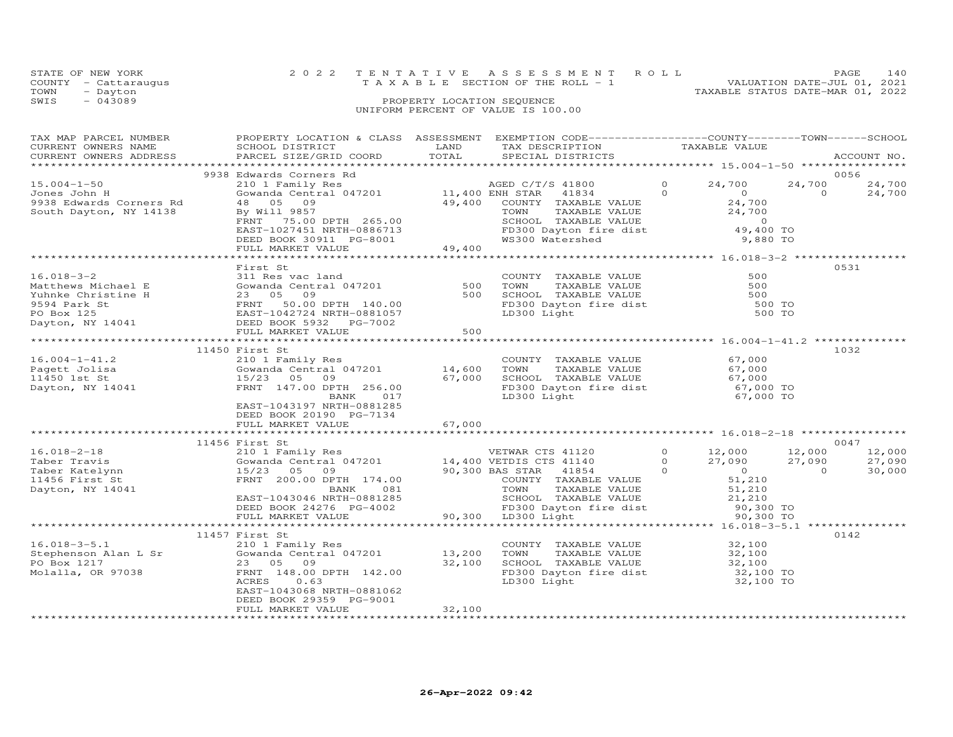| STATE OF NEW YORK    | 2022 TENTATIVE ASSESSMENT ROLL                                       | <b>PAGE</b> | 140 |
|----------------------|----------------------------------------------------------------------|-------------|-----|
| COUNTY - Cattaraugus | VALUATION DATE-JUL 01, 2021<br>T A X A B L E SECTION OF THE ROLL - 1 |             |     |
| TOWN<br>- Dayton     | TAXABLE STATUS DATE-MAR 01, 2022                                     |             |     |
| $-043089$<br>SWIS    | PROPERTY LOCATION SEQUENCE                                           |             |     |
|                      | UNIFORM PERCENT OF VALUE IS 100.00                                   |             |     |
|                      |                                                                      |             |     |

| TAX MAP PARCEL NUMBER<br>CURRENT OWNERS NAME                                                                                                                                                                                                                                     | PROPERTY LOCATION & CLASS ASSESSMENT EXEMPTION CODE----------------COUNTY-------TOWN-----SCHOOL                                                                                                                                                                         |        |                                                                                                                                                                 |                                                 |                |                                     |
|----------------------------------------------------------------------------------------------------------------------------------------------------------------------------------------------------------------------------------------------------------------------------------|-------------------------------------------------------------------------------------------------------------------------------------------------------------------------------------------------------------------------------------------------------------------------|--------|-----------------------------------------------------------------------------------------------------------------------------------------------------------------|-------------------------------------------------|----------------|-------------------------------------|
|                                                                                                                                                                                                                                                                                  |                                                                                                                                                                                                                                                                         |        |                                                                                                                                                                 |                                                 |                |                                     |
| 15.004-1-50<br>Jones John H<br>9938 Edwards Corners Rd<br>South Dayton, NY 14138                                                                                                                                                                                                 | 9938 Edwards Corners Rd<br>Edwards Corners Rd<br>210 1 Family Res<br>24,700 24,700 24<br>60 Manda Central 047201 1,400 ENH STAR 41834 0<br>49,400 COUNTY TAXABLE VALUE<br>24,700 By Will 9857 TOWN TAXABLE VALUE<br>24,700 PENT 265.00 SCHOOL TAXABLE VALUE<br>24,700 2 |        |                                                                                                                                                                 |                                                 | $\overline{0}$ | 0056<br>$24,700$ $24,700$<br>24,700 |
|                                                                                                                                                                                                                                                                                  |                                                                                                                                                                                                                                                                         |        |                                                                                                                                                                 |                                                 |                |                                     |
| 16.018-3-2<br>Matthews Michael E 311 Res vac land<br>Matthews Michael E 300<br>Yuhnke Christine H 23 05 09<br>PS94 Park St<br>PRINT TAXABLE VALUE 500<br>PS94 Park St<br>PD Box 125<br>PERD BOOK 5932 PG-7002<br>PG-7002<br>PG-7002<br>PG-7002<br>PERD                           | First St                                                                                                                                                                                                                                                                |        |                                                                                                                                                                 |                                                 |                | 0531                                |
|                                                                                                                                                                                                                                                                                  |                                                                                                                                                                                                                                                                         |        |                                                                                                                                                                 |                                                 |                |                                     |
|                                                                                                                                                                                                                                                                                  | 11450 First St                                                                                                                                                                                                                                                          |        |                                                                                                                                                                 |                                                 |                | 1032                                |
| 16.004-1-41.2<br>210 11450 First St<br>210 201 Family Res<br>210 14,600 TOWN TAXABLE VALUE<br>2100 11450 1st St<br>21041 115/23 05 09<br>2100 67,000 5CHOOL TAXABLE VALUE<br>21450 1st St<br>211450 1500 1147.00 DPTH 256.00<br>217 21300 Light<br>                              | EAST-1043197 NRTH-0881285<br>DEED BOOK 20190 PG-7134                                                                                                                                                                                                                    |        |                                                                                                                                                                 |                                                 |                |                                     |
|                                                                                                                                                                                                                                                                                  |                                                                                                                                                                                                                                                                         |        |                                                                                                                                                                 |                                                 |                |                                     |
|                                                                                                                                                                                                                                                                                  |                                                                                                                                                                                                                                                                         |        |                                                                                                                                                                 |                                                 |                |                                     |
| $[1456 \tFirst \t16.018-2-18 \t210 1 Family Res\nTable 2-18 \t3.000\nTable 2-18 \t4.400 VETDIS CTS 41120 \t5.018-2-18 \t6.018-2-18 \t7.090 \t7.090 \t7.090 \t7.090 \t7.090 \t7.090 \t7.090 \t7.090 \t7.090 \t7.090 \t7.090 \t7.090 \t7.090 \t7.090 \t7.090 \t7.090 \t7.090 \t7.$ |                                                                                                                                                                                                                                                                         |        |                                                                                                                                                                 |                                                 |                |                                     |
|                                                                                                                                                                                                                                                                                  |                                                                                                                                                                                                                                                                         |        |                                                                                                                                                                 | ******************* 16.018-3-5.1 ************** |                |                                     |
| 16.018-3-5.1 11457 First St<br>Stephenson Alan L Sr (210 1 Family Res<br>PO Box 1217 23 05 09 32,100<br>Molalla, OR 97038 FRNT 148.00 DPTH 142.00<br>ACRES 0.63                                                                                                                  | EAST-1043068 NRTH-0881062<br>DEED BOOK 29359 PG-9001<br>FULL MARKET VALUE                                                                                                                                                                                               | 32,100 | COUNTY TAXABLE VALUE $32,100$<br>TOWN TAXABLE VALUE $32,100$<br>SCHOOL TAXABLE VALUE $32,100$<br>FD300 Dayton fire dist $32,100$<br>T.D300 Light<br>LD300 Light | 32,100 TO                                       |                | 0142                                |
|                                                                                                                                                                                                                                                                                  |                                                                                                                                                                                                                                                                         |        |                                                                                                                                                                 |                                                 |                |                                     |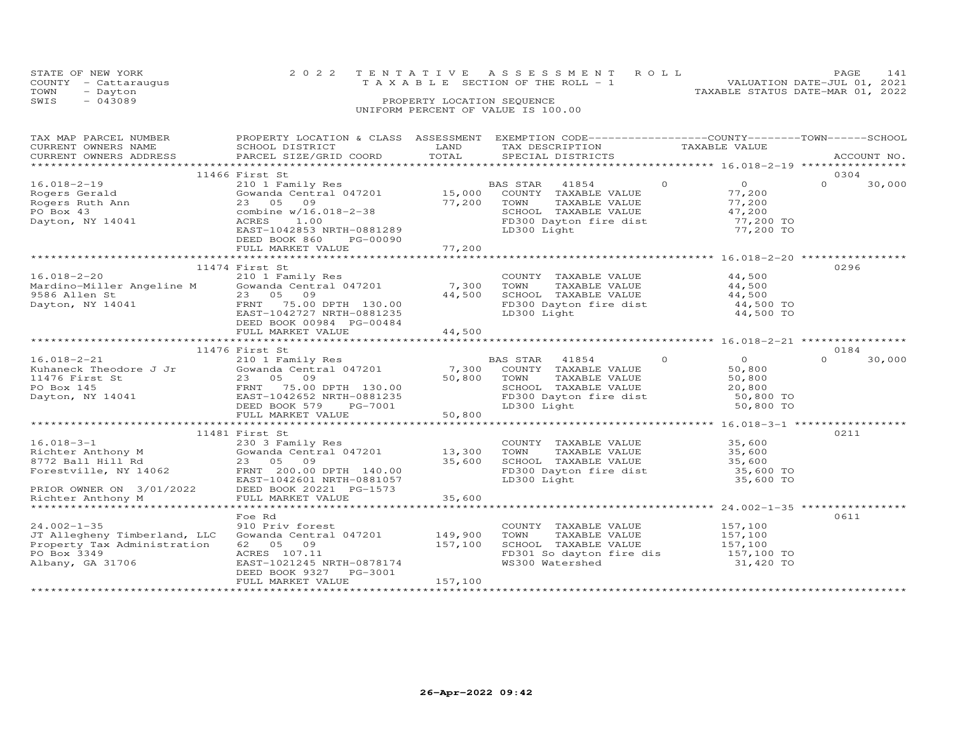|      | STATE OF NEW YORK<br>COUNTY - Cattaraugus | 2022 TENTATIVE ASSESSMENT ROLL<br>VALUATION DATE-JUL 01, 2021<br>T A X A B L E SECTION OF THE ROLL - 1 | PAGE. | 141 |
|------|-------------------------------------------|--------------------------------------------------------------------------------------------------------|-------|-----|
| TOWN | - Dayton                                  | TAXABLE STATUS DATE-MAR 01, 2022                                                                       |       |     |
| SWIS | $-043089$                                 | PROPERTY LOCATION SEQUENCE<br>UNIFORM PERCENT OF VALUE IS 100.00                                       |       |     |

| TAX MAP PARCEL NUMBER<br>CURRENT OWNERS NAME<br>CURRENT OWNERS ADDRESS                                                                                               | PROPERTY LOCATION & CLASS ASSESSMENT<br>SCHOOL DISTRICT<br>PARCEL SIZE/GRID COORD                                                                                                      | LAND<br>TOTAL                 | EXEMPTION CODE-----------------COUNTY-------TOWN-----SCHOOL<br>TAX DESCRIPTION TAXABLE VALUE<br>SPECIAL DISTRICTS<br>SPECIAL DISTRICTS                                          |                                                                                                                   | ACCOUNT NO.                |
|----------------------------------------------------------------------------------------------------------------------------------------------------------------------|----------------------------------------------------------------------------------------------------------------------------------------------------------------------------------------|-------------------------------|---------------------------------------------------------------------------------------------------------------------------------------------------------------------------------|-------------------------------------------------------------------------------------------------------------------|----------------------------|
|                                                                                                                                                                      |                                                                                                                                                                                        |                               |                                                                                                                                                                                 |                                                                                                                   |                            |
| $16.018 - 2 - 19$<br>Rogers Gerald<br>Rogers Ruth Ann<br>PO Box 43<br>Dayton, NY 14041                                                                               | 11466 First St<br>210 1 Family Res<br>Gowanda Central 047201 15,000<br>23 05<br>09<br>combine w/16.018-2-38<br>ACRES<br>1.00<br>EAST-1042853 NRTH-0881289<br>PG-00090<br>DEED BOOK 860 | 77,200                        | BAS STAR 41854<br>COUNTY TAXABLE VALUE<br>TOWN<br>TAXABLE VALUE<br>SCHOOL TAXABLE VALUE<br>FD300 Dayton fire dist<br>LD300 Light                                                | $\circ$<br>$\overline{0}$<br>77,200<br>77,200<br>47,200<br>$^{47}$ , $^{200}$ TO<br>$^{77}$ , 200 TO<br>77,200 TO | 0304<br>$\Omega$<br>30,000 |
|                                                                                                                                                                      | FULL MARKET VALUE                                                                                                                                                                      | 77,200                        |                                                                                                                                                                                 |                                                                                                                   |                            |
|                                                                                                                                                                      |                                                                                                                                                                                        |                               |                                                                                                                                                                                 |                                                                                                                   |                            |
| $16.018 - 2 - 20$                                                                                                                                                    | 11474 First St<br>210 1 Family Res<br>EAST-1042727 NRTH-0881235<br>DEED BOOK 00984 PG-00484<br>FULL MARKET VALUE                                                                       | 7,300<br>44,500<br>44,500     | COUNTY TAXABLE VALUE<br>TOWN<br>TAXABLE VALUE<br>SCHOOL TAXABLE VALUE<br>FD300 Dayton fire dist<br>LD300 Light                                                                  | 44,500<br>44,500<br>44,500<br>44,500 TO<br>44,500 TO                                                              | 0296                       |
|                                                                                                                                                                      |                                                                                                                                                                                        |                               |                                                                                                                                                                                 |                                                                                                                   |                            |
|                                                                                                                                                                      | 11476 First St                                                                                                                                                                         |                               |                                                                                                                                                                                 |                                                                                                                   | 0184                       |
| $16.018 - 2 - 21$<br>Kuhaneck Theodore J Jr<br>11476 First St<br>PO Box 145<br>Dayton, NY 14041<br>Dayton, NY 14041<br>DEED BOOK 579 PG-7001                         | 210 1 Family Res<br>Gowanda Central 047201<br>FULL MARKET VALUE                                                                                                                        | 7,300<br>50,800<br>50,800     | BAS STAR<br>41854<br>COUNTY TAXABLE VALUE<br>TOWN<br>TAXABLE VALUE<br>SCHOOL TAXABLE VALUE<br>FD300 Dayton fire dist<br>LD300 Light                                             | $\circ$<br>$\overline{O}$<br>50,800<br>50,800<br>20,800<br>50,800 TO<br>50,800 TO                                 | $\Omega$<br>30,000         |
|                                                                                                                                                                      |                                                                                                                                                                                        |                               |                                                                                                                                                                                 |                                                                                                                   |                            |
| $16.018 - 3 - 1$<br>Richter Anthony M<br>8772 Ball Hill Rd<br>Forestville, NY 14062<br>EAST-1042601 NRTH-0881057<br>PRIOR OWNER ON 3/01/2022 DEED BOOK 20221 PG-1573 | 11481 First St<br>230 3 Family Res<br>Gowanda Central 047201<br>23 05 09<br>FRNT 200.00 DPTH 140.00<br>EAST-1042601 NRTH-0881057                                                       | 13,300<br>35,600              | COUNTY TAXABLE VALUE<br>TOWN<br>TAXABLE VALUE<br>TOWN IAXABLE VALUE<br>SCHOOL TAXABLE VALUE 35,600<br>FR300 Bayton fire dist 35,600 TO<br>FD300 Dayton fire dist<br>LD300 Light | 35,600<br>35,600<br>35,600 TO                                                                                     | 0211                       |
| Richter Anthony M                                                                                                                                                    | FULL MARKET VALUE                                                                                                                                                                      | 35,600                        |                                                                                                                                                                                 |                                                                                                                   |                            |
| $24.002 - 1 - 35$<br>JT Allegheny Timberland, LLC<br>Property Tax Administration<br>PO Box 3349<br>Albany, GA 31706                                                  | Foe Rd<br>910 Priv forest<br>Gowanda Central 047201<br>62 05 09<br>ACRES 107.11<br>EAST-1021245 NRTH-0878174<br>DEED BOOK 9327<br>PG-3001<br>FULL MARKET VALUE                         | 149,900<br>157,100<br>157,100 | COUNTY TAXABLE VALUE<br>TOWN<br>TAXABLE VALUE<br>SCHOOL TAXABLE VALUE<br>FD301 So dayton fire dis<br>WS300 Watershed                                                            | 157,100<br>157,100<br>157,100<br>157,100 TO<br>31,420 TO                                                          | 0611                       |
|                                                                                                                                                                      |                                                                                                                                                                                        |                               |                                                                                                                                                                                 |                                                                                                                   |                            |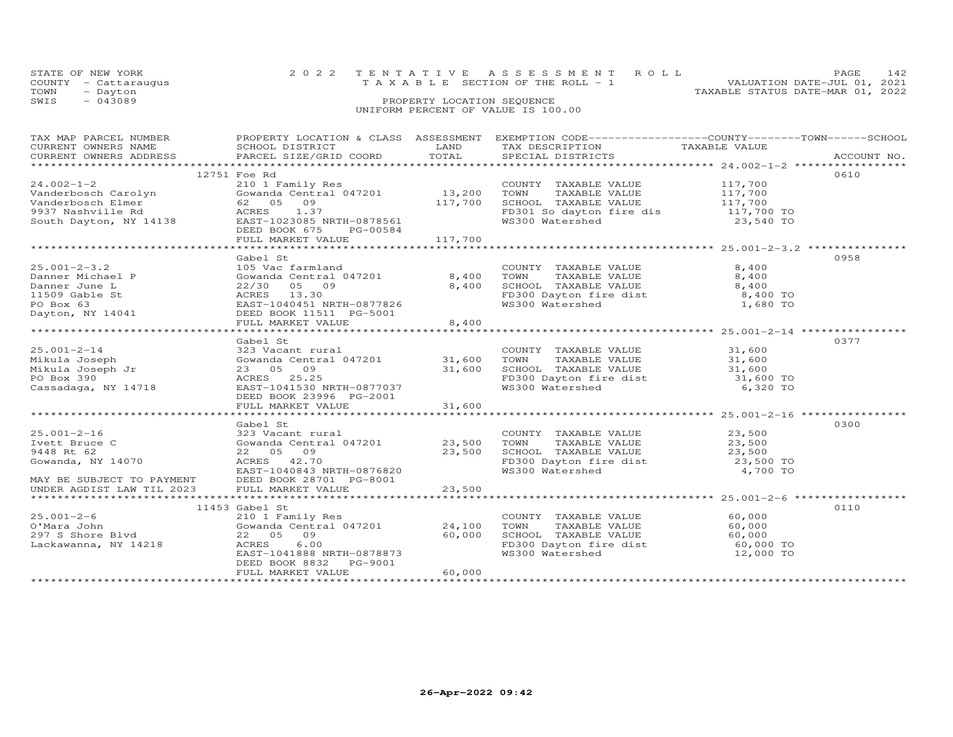| STATE OF NEW YORK |                      | 2022 TENTATIVE ASSESSMENT ROLL                                 | <b>PAGE</b> | 142 |
|-------------------|----------------------|----------------------------------------------------------------|-------------|-----|
|                   | COUNTY - Cattaraugus | VALUATION DATE-JUL 01, 2021<br>TAXABLE SECTION OF THE ROLL - 1 |             |     |
| TOWN              | - Dayton             | TAXABLE STATUS DATE-MAR 01, 2022                               |             |     |
| SWIS              | $-043089$            | PROPERTY LOCATION SEOUENCE                                     |             |     |
|                   |                      | UNIFORM PERCENT OF VALUE IS 100.00                             |             |     |

| TAX MAP PARCEL NUMBER<br>TAX PART PARCES ADDRES FOURDAL EXPERIENT MAIL AND TRANSPORT TRANSPORT OWNERS NAMEL SCHOOL DISTRICT TRANSPORT TO THE CONTROLL TRANSPORT TRANSPORT TRANSPORT TRANSPORT TRANSPORT TRANSPORT TRANSPORT TRANSPORT TRANSPORT TRANSPO                                                                                                                                                                                                                                                                                 |                                                                                                                                                                                                                                                                                                                         |                  | PROPERTY LOCATION & CLASS ASSESSMENT EXEMPTION CODE----------------COUNTY-------TOWN------SCHOOL                                                                |                  |      |
|-----------------------------------------------------------------------------------------------------------------------------------------------------------------------------------------------------------------------------------------------------------------------------------------------------------------------------------------------------------------------------------------------------------------------------------------------------------------------------------------------------------------------------------------|-------------------------------------------------------------------------------------------------------------------------------------------------------------------------------------------------------------------------------------------------------------------------------------------------------------------------|------------------|-----------------------------------------------------------------------------------------------------------------------------------------------------------------|------------------|------|
| $24.002 - 1 - 2$<br>Vanderbosch Carolyn<br>Vanderbosch Carolyn<br>Vanderbosch Elmer<br>62 05 09<br>9937 Nashville Rd<br>82 05 09<br>9937 Nashville Rd<br>82 05 09<br>82 05 09<br>82 05 09<br>82 05 09<br>82 05 09<br>82 05 09<br>82 05 09<br>82 05 09<br>82 05 09<br>82 05 09<br>82<br>${\small \newline \text{FULL} \newline \text{MARKET} \newline 117,700 \newline \text{M41} \newline 117,700 \newline \text{N42} \newline 25,001-2-3.2 \newline \text{M43} \newline 25,001-2-3.2 \newline \text{M44} \newline \text{M45} \newline$ | 12751 Foe Rd<br>210 1 Family Res<br>Gowanda Central 047201 13,200<br>EAST-1023085 NRTH-0878561<br>DEED BOOK 675<br>PG-00584                                                                                                                                                                                             |                  | COUNTY TAXABLE VALUE 117,700<br>TAXABLE VALUE 117,700<br>TOWN<br>117,700 SCHOOL TAXABLE VALUE 117,700<br>FD301 So dayton fire dis 117,700 TO<br>WS300 Watershed | 23,540 TO        | 0610 |
| $25.001 - 2 - 3.2$<br>Danner Michael P<br>Danner June L<br>11509 Gable St<br>PO Box 63<br>Dayton, NY 14041                                                                                                                                                                                                                                                                                                                                                                                                                              | Gabel St<br>105 Vac farmland<br>Gowanda Central 047201 8,400<br>22/30 05 09<br>ACRES 13.30<br>EAST-1040451 NRTH-0877826<br>DEED BOOK 11511 PG-5001<br>FULL MARKET VALUE                                                                                                                                                 | 8,400<br>8,400   | COUNTY TAXABLE VALUE<br>TOWN TAXABLE VALUE 8,400<br>SCHOOL TAXABLE VALUE 8,400<br>FD300 Dayton fire dist 8,400 TO<br>WS300 Watershed 1,680 TO                   | 8,400            | 0958 |
| And Joseph<br>Mikula Joseph Jr (Sowanda Central Contractor 23 05<br>PO Box 390<br>Cassadaga, NY 14718<br>Cassadaga, NY 14718<br>Cassadaga, NY 14718                                                                                                                                                                                                                                                                                                                                                                                     | Gabel St<br>323 Vacant rural (1972)<br>323 Vacant rural (1972)<br>23 05 09 31,600 TOWN TAXABLE VALUE 31,600<br>23 05 09 31,600 SCHOOL TAXABLE VALUE 31,600<br>27 05 25.25 FD300 Dayton fire dist 31,600<br>EAST-1041530 NRTH-0877037<br>DEED BOOK 23996 PG-2001<br>FULL MARKET VALUE                                    | 31,600           | FD300 Dayton fire dist<br>WS300 Watershed 6,320 TO                                                                                                              |                  | 0377 |
| $25.001 - 2 - 16$<br>Ivett Bruce C<br>9448 Rt 62<br>Gowanda, NY 14070<br>MAY BE SUBJECT TO PAYMENT<br>UNDER ACDIST ISS<br>UNDER AGDIST LAW TIL 2023                                                                                                                                                                                                                                                                                                                                                                                     | Gabel St<br>323 Vacant rural (23,500 COUNTY TAXABLE VALUE 23,500 COUNTY ANABLE VALUE 23,500 COUNTY TAXABLE VALUE 23,500 COUNTY TAXABLE VALUE 23,500 CHOOL TAXABLE VALUE 23,500 TO 23,500 CHOOL TAXABLE VALUE 23,500 TO FD300 Dayton fire d<br>EAST-1040843 NRTH-0876820<br>DEED BOOK 28701 PG-8001<br>FULL MARKET VALUE | 23,500           | FD300 Dayton fire dist<br>WS300 Watershed                                                                                                                       | 4,700 TO         | 0300 |
| O'Mara John<br>297 S Shore Blvd<br>Lackawanna, NY 14218                                                                                                                                                                                                                                                                                                                                                                                                                                                                                 | 11453 Gabel St<br>210 1 Family Res<br>Gowanda Central 047201 24,100<br>22 05 09<br>ACRES<br>6.00<br>EAST-1041888 NRTH-0878873<br>DEED BOOK 8832 PG-9001<br>FULL MARKET VALUE                                                                                                                                            | 60,000<br>60,000 | COUNTY TAXABLE VALUE<br>TAXABLE VALUE<br>TOWN<br>SCHOOL TAXABLE VALUE 60,000<br>FD300 Dayton fire dist 60,000 TO<br>WS300 Watershed 12,000 TO                   | 60,000<br>60,000 | 0110 |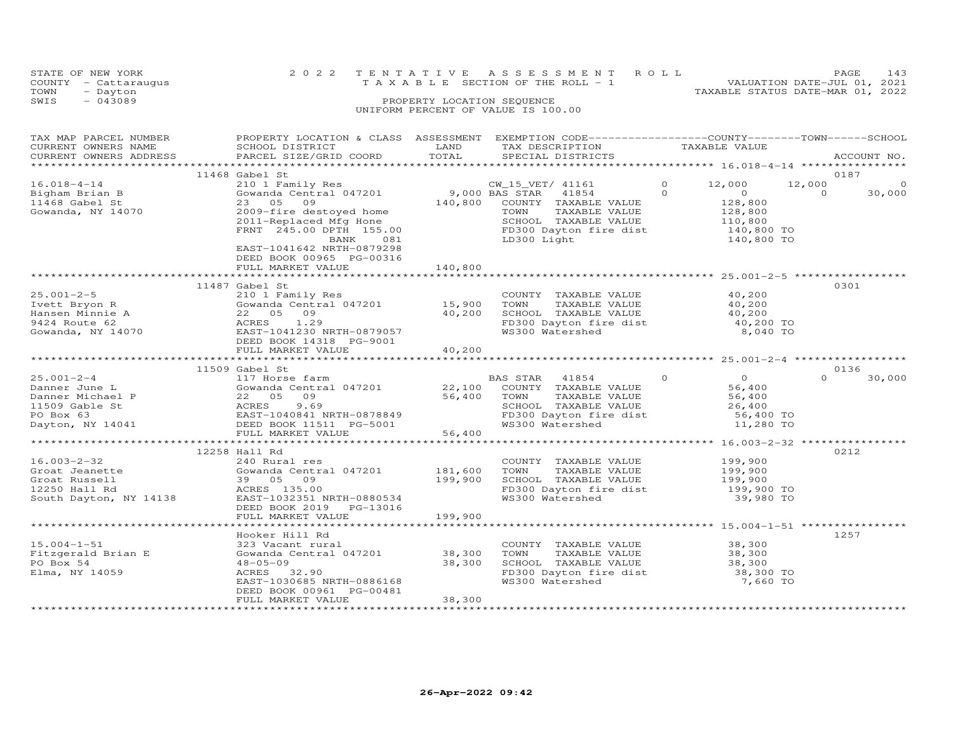| STATE OF NEW YORK    | 2022 TENTATIVE ASSESSMENT ROLL        |  |                                  | PAGE | 143 |
|----------------------|---------------------------------------|--|----------------------------------|------|-----|
| COUNTY - Cattaraugus | T A X A B L E SECTION OF THE ROLL - 1 |  | VALUATION DATE-JUL 01, 2021      |      |     |
| TOWN<br>- Dayton     |                                       |  | TAXABLE STATUS DATE-MAR 01, 2022 |      |     |
| SWIS<br>$-043089$    | PROPERTY LOCATION SEQUENCE            |  |                                  |      |     |
|                      | UNIFORM PERCENT OF VALUE IS 100.00    |  |                                  |      |     |
|                      |                                       |  |                                  |      |     |

| TAX MAP PARCEL NUMBER<br>CURRENT OWNERS NAME<br>CURRENT OWNERS ADDRESS                                   | PROPERTY LOCATION & CLASS ASSESSMENT<br>SCHOOL DISTRICT<br>PARCEL SIZE/GRID COORD                                                                                                                                                                                                                      | LAND<br>TOTAL                 | EXEMPTION CODE-----------------COUNTY-------TOWN------SCHOOL<br>TAX DESCRIPTION<br>SPECIAL DISTRICTS                                                       | TAXABLE VALUE                                                                                                           | ACCOUNT NO.                             |
|----------------------------------------------------------------------------------------------------------|--------------------------------------------------------------------------------------------------------------------------------------------------------------------------------------------------------------------------------------------------------------------------------------------------------|-------------------------------|------------------------------------------------------------------------------------------------------------------------------------------------------------|-------------------------------------------------------------------------------------------------------------------------|-----------------------------------------|
|                                                                                                          |                                                                                                                                                                                                                                                                                                        |                               |                                                                                                                                                            |                                                                                                                         |                                         |
|                                                                                                          | 11468 Gabel St                                                                                                                                                                                                                                                                                         |                               |                                                                                                                                                            |                                                                                                                         | 0187                                    |
| $16.018 - 4 - 14$<br>Bigham Brian B<br>11468 Gabel St<br>Gowanda, NY 14070                               | 210 1 Family Res<br>Sowanda Central 047201<br>23 05<br>09<br>2009-fire destoyed home<br>2011-Replaced Mfg Hone<br>FRNT 245.00 DPTH 155.00<br>BANK<br>081                                                                                                                                               | 140,800                       | CW_15_VET/ 41161<br>9,000 BAS STAR 41854<br>COUNTY TAXABLE VALUE<br>TOWN<br>TAXABLE VALUE<br>SCHOOL TAXABLE VALUE<br>FD300 Dayton fire dist<br>LD300 Light | $\circ$<br>12,000<br>$\Omega$<br>$\overline{0}$<br>128,800<br>128,800<br>128,800<br>110,800<br>140,800 TO<br>140,800 TO | 12,000<br>$\circ$<br>30,000<br>$\Omega$ |
|                                                                                                          | EAST-1041642 NRTH-0879298<br>DEED BOOK 00965 PG-00316<br>FULL MARKET VALUE                                                                                                                                                                                                                             | 140,800                       |                                                                                                                                                            |                                                                                                                         |                                         |
|                                                                                                          | 11487 Gabel St                                                                                                                                                                                                                                                                                         |                               |                                                                                                                                                            |                                                                                                                         | 0301                                    |
| $25.001 - 2 - 5$<br>Ivett Bryon R<br>Hansen Minnie A<br>9424 Route 62<br>Gowanda, NY 14070               | 210 1 Family Res<br>Gowanda Central 047201<br>22 05 09<br>ACRES<br>1.29<br>EAST-1041230 NRTH-0879057<br>DEED BOOK 14318 PG-9001                                                                                                                                                                        | 15,900<br>40, 200             | COUNTY TAXABLE VALUE<br>TOWN<br>TAXABLE VALUE<br>SCHOOL TAXABLE VALUE<br>FD300 Dayton fire dist<br>"19300 Matershed                                        | 40,200<br>40,200<br>40,200<br>40,200 TO<br>8,040 TO                                                                     |                                         |
|                                                                                                          | FULL MARKET VALUE                                                                                                                                                                                                                                                                                      | 40,200                        |                                                                                                                                                            |                                                                                                                         |                                         |
|                                                                                                          |                                                                                                                                                                                                                                                                                                        |                               |                                                                                                                                                            |                                                                                                                         |                                         |
|                                                                                                          | 11509 Gabel St                                                                                                                                                                                                                                                                                         |                               |                                                                                                                                                            |                                                                                                                         | 0136                                    |
| $25.001 - 2 - 4$<br>Danner June L<br>Danner Michael P<br>11509 Gable St<br>PO Box 63<br>Dayton, NY 14041 | 117 Horse farm<br>Gowanda Central 047201 22,100 COUNTY TAXABLE VALUE<br>GOWANIA CONSISTED A CONSIDER SERVICE SOFT A THE POST OF THE REAL PROOF AND THAN THE POST OF THE POST OF THE POST OF THE POST OF THE POST OF THE POST OF THE POST OF THE POST OF THE POST OF THE POST OF THE POST OF THE POST O | 56,400 TOWN<br>56,400         | BAS STAR 41854<br>TAXABLE VALUE<br>SCHOOL TAXABLE VALUE<br>FD300 Dayton fire dist 56,400 TO<br>WS300 Watershed                                             | $\Omega$<br>$\overline{0}$<br>56,400<br>56,400<br>26,400<br>11,280 TO                                                   | $\Omega$<br>30,000                      |
|                                                                                                          |                                                                                                                                                                                                                                                                                                        |                               |                                                                                                                                                            |                                                                                                                         |                                         |
| $16.003 - 2 - 32$<br>Groat Jeanette<br>Groat Russell<br>12250 Hall Rd<br>South Dayton, NY 14138          | 12258 Hall Rd<br>240 Rural res<br>Gowanda Central 047201<br>39 05<br>09<br>ACRES 135.00<br>EAST-1032351 NRTH-0880534<br>DEED BOOK 2019 PG-13016<br>FULL MARKET VALUE                                                                                                                                   | 181,600<br>199,900<br>199,900 | COUNTY TAXABLE VALUE<br>TAXABLE VALUE<br>TOWN<br>SCHOOL TAXABLE VALUE<br>FD300 Dayton fire dist<br>"19300 Matershed<br>WS300 Watershed                     | 199,900<br>199,900<br>199,900<br>199,900 TO<br>39,980 TO                                                                | 0212                                    |
|                                                                                                          |                                                                                                                                                                                                                                                                                                        |                               |                                                                                                                                                            |                                                                                                                         |                                         |
| $15.004 - 1 - 51$<br>Fitzgerald Brian E<br>PO Box 54<br>Elma, NY 14059                                   | Hooker Hill Rd<br>323 Vacant rural<br>Gowanda Central 047201<br>$48 - 05 - 09$<br>ACRES 32.90<br>EAST-1030685 NRTH-0886168<br>DEED BOOK 00961 PG-00481<br>FULL MARKET VALUE                                                                                                                            | 38,300<br>38,300<br>38,300    | COUNTY TAXABLE VALUE 38,300<br>TOWN<br>TAXABLE VALUE<br>SCHOOL TAXABLE VALUE<br>FD300 Dayton fire dist<br>WS300 Watershed                                  | 38,300<br>38,300<br>38,300 TO<br>7,660 TO                                                                               | 1257                                    |
|                                                                                                          |                                                                                                                                                                                                                                                                                                        |                               |                                                                                                                                                            |                                                                                                                         |                                         |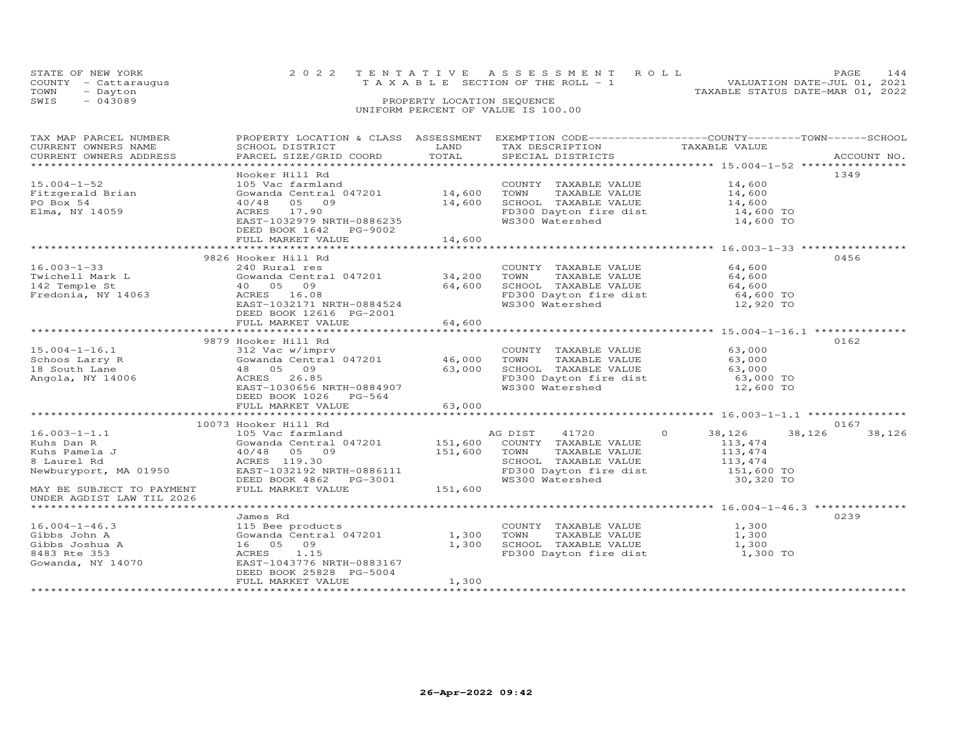| STATE OF NEW YORK |                      | 2022 TENTATIVE ASSESSMENT ROLL                                       | PAGE | 144 |
|-------------------|----------------------|----------------------------------------------------------------------|------|-----|
|                   | COUNTY - Cattaraugus | VALUATION DATE-JUL 01, 2021<br>T A X A B L E SECTION OF THE ROLL - 1 |      |     |
| TOWN              | - Dayton             | TAXABLE STATUS DATE-MAR 01, 2022                                     |      |     |
| SWIS              | $-043089$            | PROPERTY LOCATION SEQUENCE                                           |      |     |
|                   |                      | UNIFORM PERCENT OF VALUE IS 100.00                                   |      |     |

| TAX MAP PARCEL NUMBER     | PROPERTY LOCATION & CLASS ASSESSMENT |         | EXEMPTION CODE-----------------COUNTY-------TOWN------SCHOOL |                   |                  |
|---------------------------|--------------------------------------|---------|--------------------------------------------------------------|-------------------|------------------|
| CURRENT OWNERS NAME       | SCHOOL DISTRICT                      | LAND    | TAX DESCRIPTION                                              | TAXABLE VALUE     |                  |
| CURRENT OWNERS ADDRESS    | PARCEL SIZE/GRID COORD               | TOTAL   | SPECIAL DISTRICTS                                            |                   | ACCOUNT NO.      |
|                           |                                      |         |                                                              |                   |                  |
|                           | Hooker Hill Rd                       |         |                                                              |                   | 1349             |
| $15.004 - 1 - 52$         | 105 Vac farmland                     |         | COUNTY TAXABLE VALUE                                         | 14,600            |                  |
| Fitzgerald Brian          | Gowanda Central 047201               | 14,600  | TOWN<br>TAXABLE VALUE                                        | 14,600            |                  |
| PO Box 54                 | 05 09<br>40/48                       | 14,600  | SCHOOL TAXABLE VALUE                                         | 14,600            |                  |
| Elma, NY 14059            | ACRES 17.90                          |         | FD300 Dayton fire dist                                       | 14,600 TO         |                  |
|                           | EAST-1032979 NRTH-0886235            |         | WS300 Watershed                                              | 14,600 TO         |                  |
|                           | DEED BOOK 1642 PG-9002               |         |                                                              |                   |                  |
|                           |                                      |         |                                                              |                   |                  |
|                           | FULL MARKET VALUE                    | 14,600  |                                                              |                   |                  |
|                           |                                      |         |                                                              |                   |                  |
|                           | 9826 Hooker Hill Rd                  |         |                                                              |                   | 0456             |
| $16.003 - 1 - 33$         | 240 Rural res                        |         | COUNTY TAXABLE VALUE                                         | 64,600            |                  |
| Twichell Mark L           | Gowanda Central 047201               | 34,200  | TOWN<br>TAXABLE VALUE                                        | 64,600            |                  |
| 142 Temple St             | 40 05 09                             | 64,600  | SCHOOL TAXABLE VALUE                                         | 64,600            |                  |
| Fredonia, NY 14063        | ACRES 16.08                          |         | FD300 Dayton fire dist                                       | 64,600 TO         |                  |
|                           | EAST-1032171 NRTH-0884524            |         | WS300 Watershed                                              | 12,920 TO         |                  |
|                           | DEED BOOK 12616 PG-2001              |         |                                                              |                   |                  |
|                           | FULL MARKET VALUE                    | 64,600  |                                                              |                   |                  |
|                           |                                      |         |                                                              |                   |                  |
|                           | 9879 Hooker Hill Rd                  |         |                                                              |                   | 0162             |
| $15.004 - 1 - 16.1$       | 312 Vac w/imprv                      |         | COUNTY TAXABLE VALUE                                         | 63,000            |                  |
| Schoos Larry R            | Gowanda Central 047201               | 46,000  | TAXABLE VALUE<br>TOWN                                        | 63,000            |                  |
| 18 South Lane             | 48 05 09                             | 63,000  | SCHOOL TAXABLE VALUE                                         | 63,000            |                  |
| Angola, NY 14006          | 26.85<br>ACRES                       |         | FD300 Dayton fire dist                                       | 63,000 TO         |                  |
|                           | EAST-1030656 NRTH-0884907            |         | WS300 Watershed                                              | 12,600 TO         |                  |
|                           | DEED BOOK 1026<br>$PG-564$           |         |                                                              |                   |                  |
|                           |                                      | 63,000  |                                                              |                   |                  |
|                           | FULL MARKET VALUE                    |         |                                                              |                   |                  |
|                           |                                      |         |                                                              |                   |                  |
|                           | 10073 Hooker Hill Rd                 |         |                                                              |                   | 0167             |
| $16.003 - 1 - 1.1$        | 105 Vac farmland                     |         | AG DIST<br>41720                                             | $\circ$<br>38,126 | 38,126<br>38,126 |
| Kuhs Dan R                | Gowanda Central 047201               | 151,600 | COUNTY TAXABLE VALUE                                         | 113,474           |                  |
| Kuhs Pamela J             | 40/48 05 09                          | 151,600 | TAXABLE VALUE<br>TOWN                                        | 113,474           |                  |
| 8 Laurel Rd               | ACRES 119.30                         |         | SCHOOL TAXABLE VALUE                                         | 113,474           |                  |
| Newburyport, MA 01950     | EAST-1032192 NRTH-0886111            |         | FD300 Dayton fire dist                                       | 151,600 TO        |                  |
|                           | DEED BOOK 4862 PG-3001               |         | WS300 Watershed                                              | 30,320 TO         |                  |
| MAY BE SUBJECT TO PAYMENT | FULL MARKET VALUE                    | 151,600 |                                                              |                   |                  |
| UNDER AGDIST LAW TIL 2026 |                                      |         |                                                              |                   |                  |
|                           |                                      |         |                                                              |                   |                  |
|                           | James Rd                             |         |                                                              |                   | 0239             |
| $16.004 - 1 - 46.3$       | 115 Bee products                     |         | COUNTY TAXABLE VALUE                                         | 1,300             |                  |
| Gibbs John A              | Gowanda Central 047201               | 1,300   | TOWN<br>TAXABLE VALUE                                        | 1,300             |                  |
| Gibbs Joshua A            | 16 05 09                             | 1,300   | SCHOOL TAXABLE VALUE                                         | 1,300             |                  |
| 8483 Rte 353              | ACRES<br>1.15                        |         | FD300 Dayton fire dist                                       | 1,300 TO          |                  |
| Gowanda, NY 14070         | EAST-1043776 NRTH-0883167            |         |                                                              |                   |                  |
|                           | DEED BOOK 25828 PG-5004              |         |                                                              |                   |                  |
|                           | FULL MARKET VALUE                    | 1,300   |                                                              |                   |                  |
|                           |                                      |         |                                                              |                   |                  |
|                           |                                      |         |                                                              |                   |                  |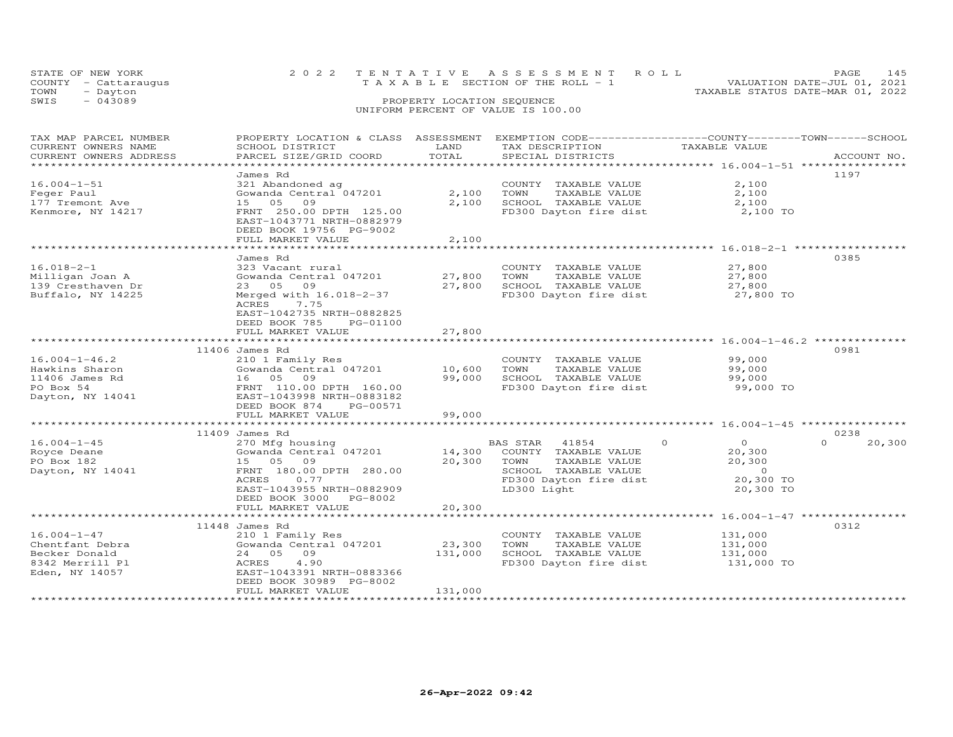|      | STATE OF NEW YORK    | 2022 TENTATIVE ASSESSMENT ROLL     |                            |  |                                  | PAGE                        | 145 |
|------|----------------------|------------------------------------|----------------------------|--|----------------------------------|-----------------------------|-----|
|      | COUNTY - Cattaraugus | TAXABLE SECTION OF THE ROLL - 1    |                            |  |                                  | VALUATION DATE-JUL 01, 2021 |     |
| TOWN | - Dayton             |                                    |                            |  | TAXABLE STATUS DATE-MAR 01, 2022 |                             |     |
| SWIS | $-043089$            |                                    | PROPERTY LOCATION SEQUENCE |  |                                  |                             |     |
|      |                      | UNIFORM PERCENT OF VALUE IS 100.00 |                            |  |                                  |                             |     |

| TAX MAP PARCEL NUMBER<br>CURRENT OWNERS NAME<br>CURRENT OWNERS ADDRESS                             | PROPERTY LOCATION & CLASS ASSESSMENT<br>SCHOOL DISTRICT<br>PARCEL SIZE/GRID COORD                                                                                             | LAND<br>TOTAL                | EXEMPTION CODE-----------------COUNTY-------TOWN-----SCHOOL<br>TAX DESCRIPTION<br>SPECIAL DISTRICTS                                 | TAXABLE VALUE                                                                       | ACCOUNT NO.                |
|----------------------------------------------------------------------------------------------------|-------------------------------------------------------------------------------------------------------------------------------------------------------------------------------|------------------------------|-------------------------------------------------------------------------------------------------------------------------------------|-------------------------------------------------------------------------------------|----------------------------|
| ***********************<br>$16.004 - 1 - 51$<br>Feger Paul<br>177 Tremont Ave<br>Kenmore, NY 14217 | James Rd<br>321 Abandoned ag<br>Gowanda Central 047201<br>15 05<br>09<br>FRNT 250.00 DPTH 125.00<br>EAST-1043771 NRTH-0882979<br>DEED BOOK 19756 PG-9002<br>FULL MARKET VALUE | 2,100<br>2,100<br>2,100      | COUNTY TAXABLE VALUE<br>TAXABLE VALUE<br>TOWN<br>SCHOOL TAXABLE VALUE<br>FD300 Dayton fire dist                                     | 2,100<br>2,100<br>2,100<br>2,100 TO                                                 | 1197                       |
|                                                                                                    | * * * * * * * * * * * * * * * * *                                                                                                                                             |                              |                                                                                                                                     |                                                                                     |                            |
| $16.018 - 2 - 1$<br>Milligan Joan A<br>139 Cresthaven Dr<br>Buffalo, NY 14225                      | James Rd<br>323 Vacant rural<br>Gowanda Central 047201<br>23 05 09<br>Merged with 16.018-2-37<br>ACRES<br>7.75<br>EAST-1042735 NRTH-0882825<br>DEED BOOK 785<br>PG-01100      | 27,800<br>27,800             | COUNTY TAXABLE VALUE<br>TAXABLE VALUE<br>TOWN<br>SCHOOL TAXABLE VALUE<br>FD300 Dayton fire dist                                     | 27,800<br>27,800<br>27,800<br>27,800 TO                                             | 0385                       |
|                                                                                                    | FULL MARKET VALUE<br>********************************                                                                                                                         | 27,800<br>***********        |                                                                                                                                     |                                                                                     |                            |
|                                                                                                    | 11406 James Rd                                                                                                                                                                |                              |                                                                                                                                     |                                                                                     | 0981                       |
| $16.004 - 1 - 46.2$<br>Hawkins Sharon<br>11406 James Rd<br>PO Box 54<br>Dayton, NY 14041           | 210 1 Family Res<br>Gowanda Central 047201<br>16 05 09<br>FRNT 110.00 DPTH 160.00<br>EAST-1043998 NRTH-0883182<br>DEED BOOK 874<br>PG-00571<br>FULL MARKET VALUE              | 10,600<br>99,000<br>99,000   | COUNTY TAXABLE VALUE<br>TOWN<br>TAXABLE VALUE<br>SCHOOL TAXABLE VALUE<br>FD300 Dayton fire dist                                     | 99,000<br>99,000<br>99,000<br>99,000 TO                                             |                            |
|                                                                                                    |                                                                                                                                                                               |                              |                                                                                                                                     |                                                                                     |                            |
| $16.004 - 1 - 45$<br>Royce Deane<br>PO Box 182<br>Dayton, NY 14041                                 | 11409 James Rd<br>270 Mfg housing<br>Gowanda Central 047201<br>15 05 09<br>FRNT 180.00 DPTH 280.00<br>ACRES<br>0.77<br>EAST-1043955 NRTH-0882909<br>DEED BOOK 3000 PG-8002    | 14,300<br>20,300             | BAS STAR<br>41854<br>COUNTY TAXABLE VALUE<br>TOWN<br>TAXABLE VALUE<br>SCHOOL TAXABLE VALUE<br>FD300 Dayton fire dist<br>LD300 Light | $\Omega$<br>$\circ$<br>20,300<br>20,300<br>$\overline{0}$<br>20,300 TO<br>20,300 TO | 0238<br>$\Omega$<br>20,300 |
|                                                                                                    | FULL MARKET VALUE                                                                                                                                                             | 20,300                       |                                                                                                                                     |                                                                                     |                            |
|                                                                                                    | 11448 James Rd                                                                                                                                                                |                              |                                                                                                                                     |                                                                                     | 0312                       |
| $16.004 - 1 - 47$<br>Chentfant Debra<br>Becker Donald<br>8342 Merrill Pl<br>Eden, NY 14057         | 210 1 Family Res<br>Gowanda Central 047201<br>24 05 09<br>4.90<br>ACRES<br>EAST-1043391 NRTH-0883366<br>DEED BOOK 30989 PG-8002<br>FULL MARKET VALUE                          | 23,300<br>131,000<br>131,000 | COUNTY TAXABLE VALUE<br>TOWN<br>TAXABLE VALUE<br>SCHOOL TAXABLE VALUE<br>FD300 Dayton fire dist                                     | 131,000<br>131,000<br>131,000<br>131,000 TO                                         |                            |
|                                                                                                    |                                                                                                                                                                               |                              |                                                                                                                                     |                                                                                     |                            |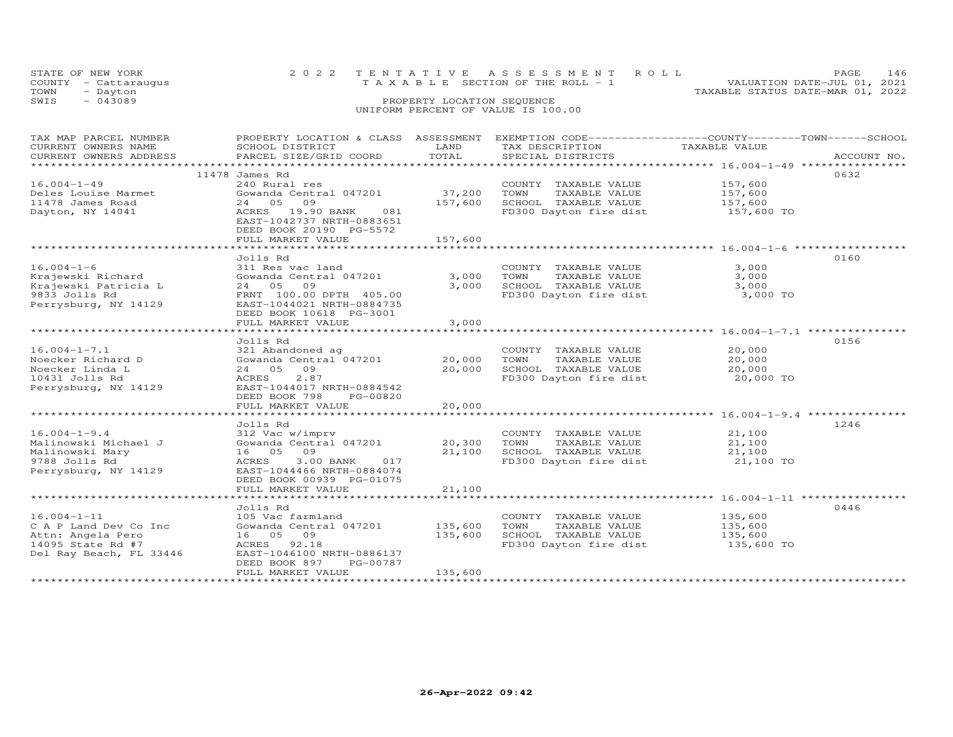| TOWN | STATE OF NEW YORK<br>COUNTY - Cattaraugus<br>- Dayton |                           |                            | 2022 TENTATIVE ASSESSMENT ROLL<br>TAXABLE SECTION OF THE ROLL - 1 | TAXABLE STATUS DATE-MAR 01, 2022 | PAGE.<br>VALUATION DATE-JUL 01, 2021 | 146 |
|------|-------------------------------------------------------|---------------------------|----------------------------|-------------------------------------------------------------------|----------------------------------|--------------------------------------|-----|
| SWIS | $-043089$                                             |                           | PROPERTY LOCATION SEQUENCE |                                                                   |                                  |                                      |     |
|      |                                                       |                           |                            | UNIFORM PERCENT OF VALUE IS 100.00                                |                                  |                                      |     |
|      |                                                       |                           |                            |                                                                   |                                  |                                      |     |
|      | TAX MAP PARCEL NUMBER                                 | PROPERTY LOCATION & CLASS | ASSESSMENT                 | EXEMPTION CODE-----------------COUNTY--------TOWN------SCHOOL     |                                  |                                      |     |
|      | CURRENT OWNERS NAME                                   | SCHOOL DISTRICT           | LAND                       | TAX DESCRIPTION                                                   | TAXABLE VALUE                    |                                      |     |

| CURRENT OWNERS ADDRESS         | PARCEL SIZE/GRID COORD                      | TOTAL         | SPECIAL DISTRICTS      | ACCOUNT NO.<br>***************** 16.004-1-49 ***************** |
|--------------------------------|---------------------------------------------|---------------|------------------------|----------------------------------------------------------------|
|                                | 11478 James Rd                              |               |                        | 0632                                                           |
| $16.004 - 1 - 49$              | 240 Rural res                               |               | COUNTY TAXABLE VALUE   | 157,600                                                        |
| Deles Louise Marmet            | Gowanda Central 047201                      | 37,200        | TOWN<br>TAXABLE VALUE  | 157,600                                                        |
| 11478 James Road               | 24 05<br>09                                 | 157,600       | SCHOOL TAXABLE VALUE   | 157,600                                                        |
| Dayton, NY 14041               | 19.90 BANK<br>ACRES<br>081                  |               | FD300 Dayton fire dist | 157,600 TO                                                     |
|                                | EAST-1042737 NRTH-0883651                   |               |                        |                                                                |
|                                | DEED BOOK 20190 PG-5572                     |               |                        |                                                                |
|                                | FULL MARKET VALUE                           | 157,600       |                        |                                                                |
|                                |                                             |               |                        |                                                                |
|                                | Jolls Rd                                    |               |                        | 0160                                                           |
| $16.004 - 1 - 6$               | 311 Res vac land                            |               | COUNTY TAXABLE VALUE   | 3,000                                                          |
| Krajewski Richard              | Gowanda Central 047201                      | 3,000         | TOWN<br>TAXABLE VALUE  | 3,000                                                          |
| Krajewski Patricia L           | 24 05<br>09                                 | 3,000         | SCHOOL TAXABLE VALUE   | 3,000                                                          |
| 9833 Jolls Rd                  | FRNT 100.00 DPTH 405.00                     |               | FD300 Dayton fire dist | 3,000 TO                                                       |
| Perrysburg, NY 14129           | EAST-1044021 NRTH-0884735                   |               |                        |                                                                |
|                                | DEED BOOK 10618 PG-3001                     |               |                        |                                                                |
|                                | FULL MARKET VALUE                           | 3,000         |                        |                                                                |
|                                | ***************************                 | ************* |                        |                                                                |
|                                | Jolls Rd                                    |               |                        | 0156                                                           |
| $16.004 - 1 - 7.1$             | 321 Abandoned ag                            |               | COUNTY TAXABLE VALUE   | 20,000                                                         |
| Noecker Richard D              | Gowanda Central 047201                      | 20,000        | TOWN<br>TAXABLE VALUE  | 20,000                                                         |
| Noecker Linda L                | 24 05<br>09                                 | 20,000        | SCHOOL TAXABLE VALUE   | 20,000                                                         |
| 10431 Jolls Rd                 | 2.87<br>ACRES                               |               | FD300 Dayton fire dist | 20,000 TO                                                      |
| Perrysburg, NY 14129           | EAST-1044017 NRTH-0884542                   |               |                        |                                                                |
|                                | DEED BOOK 798<br>PG-00820                   |               |                        |                                                                |
|                                | FULL MARKET VALUE                           | 20,000        |                        |                                                                |
| ****************************** | ***************************                 |               |                        |                                                                |
|                                | Jolls Rd                                    |               |                        | 1246                                                           |
| $16.004 - 1 - 9.4$             | 312 Vac w/imprv                             |               | COUNTY TAXABLE VALUE   | 21,100                                                         |
| Malinowski Michael J           | Gowanda Central 047201                      | 20,300        | TOWN<br>TAXABLE VALUE  | 21,100                                                         |
| Malinowski Mary                | 16 05<br>09                                 | 21,100        | SCHOOL TAXABLE VALUE   | 21,100                                                         |
| 9788 Jolls Rd                  | 3.00 BANK<br>ACRES<br>017                   |               | FD300 Dayton fire dist | 21,100 TO                                                      |
| Perrysburg, NY 14129           | EAST-1044466 NRTH-0884074                   |               |                        |                                                                |
|                                | DEED BOOK 00939 PG-01075                    |               |                        |                                                                |
|                                | FULL MARKET VALUE                           | 21,100        |                        |                                                                |
|                                |                                             |               |                        | ****************** 16.004-1-11 **************                  |
|                                | Jolls Rd                                    |               |                        | 0446                                                           |
| $16.004 - 1 - 11$              | 105 Vac farmland                            |               | COUNTY TAXABLE VALUE   | 135,600                                                        |
| C A P Land Dev Co Inc          | Gowanda Central 047201                      | 135,600       | TAXABLE VALUE<br>TOWN  | 135,600                                                        |
| Attn: Angela Pero              | 16 05<br>09                                 | 135,600       | SCHOOL TAXABLE VALUE   | 135,600                                                        |
| 14095 State Rd #7              | ACRES<br>92.18<br>EAST-1046100 NRTH-0886137 |               | FD300 Dayton fire dist | 135,600 TO                                                     |
| Del Ray Beach, FL 33446        | DEED BOOK 897<br>PG-00787                   |               |                        |                                                                |
|                                | FULL MARKET VALUE                           | 135,600       |                        |                                                                |
|                                |                                             |               |                        |                                                                |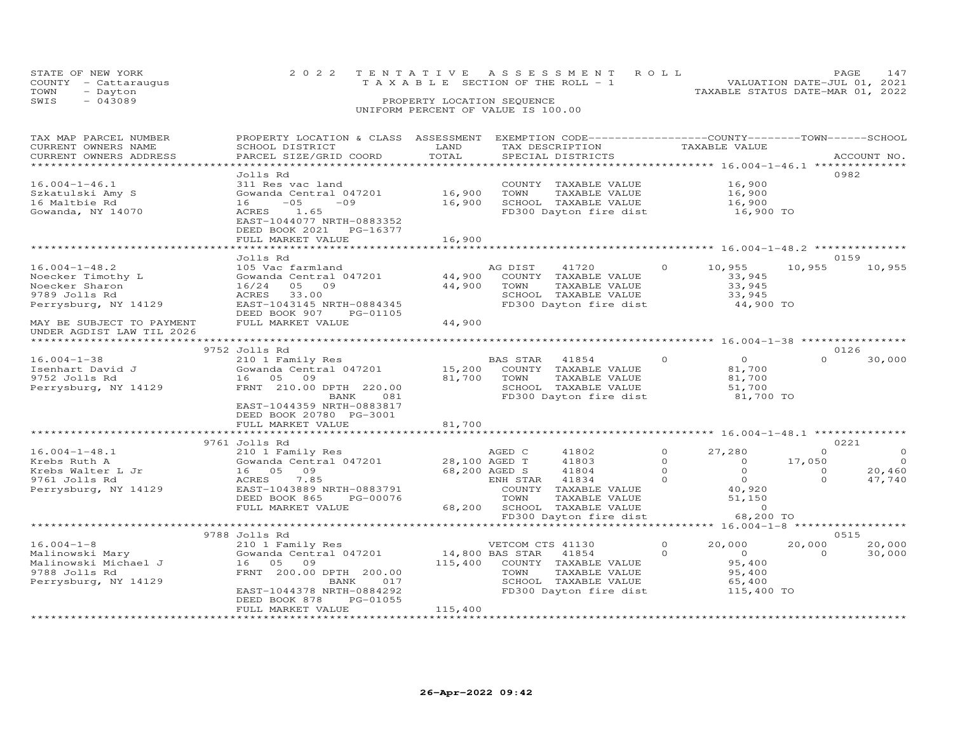|      | STATE OF NEW YORK    | 2022 TENTATIVE ASSESSMENT ROLL                                       | PAGE | 147 |
|------|----------------------|----------------------------------------------------------------------|------|-----|
|      | COUNTY - Cattaraugus | VALUATION DATE-JUL 01, 2021<br>T A X A B L E SECTION OF THE ROLL - 1 |      |     |
| TOWN | - Dayton             | TAXABLE STATUS DATE-MAR 01, 2022                                     |      |     |
| SWIS | $-043089$            | PROPERTY LOCATION SEQUENCE                                           |      |     |
|      |                      | UNIFORM PERCENT OF VALUE IS 100.00                                   |      |     |

| TAX MAP PARCEL NUMBER     | PROPERTY LOCATION & CLASS ASSESSMENT |                 | EXEMPTION CODE-----------------COUNTY-------TOWN------SCHOOL |                                                |          |                |
|---------------------------|--------------------------------------|-----------------|--------------------------------------------------------------|------------------------------------------------|----------|----------------|
| CURRENT OWNERS NAME       | SCHOOL DISTRICT                      | LAND            | TAX DESCRIPTION                                              | TAXABLE VALUE                                  |          |                |
| CURRENT OWNERS ADDRESS    | PARCEL SIZE/GRID COORD               | TOTAL           | SPECIAL DISTRICTS                                            |                                                |          | ACCOUNT NO.    |
|                           |                                      |                 |                                                              |                                                |          |                |
|                           |                                      |                 |                                                              |                                                |          |                |
|                           | Jolls Rd                             |                 |                                                              |                                                |          | 0982           |
| $16.004 - 1 - 46.1$       | 311 Res vac land                     |                 | COUNTY TAXABLE VALUE                                         | 16,900                                         |          |                |
| Szkatulski Amy S          | Gowanda Central 047201               | 16,900          | TOWN<br>TAXABLE VALUE                                        | 16,900                                         |          |                |
| 16 Maltbie Rd             | $-05$<br>$-09$<br>16                 | 16,900          | SCHOOL TAXABLE VALUE                                         | 16,900                                         |          |                |
| Gowanda, NY 14070         | ACRES<br>1.65                        |                 | FD300 Dayton fire dist                                       | 16,900 TO                                      |          |                |
|                           | EAST-1044077 NRTH-0883352            |                 |                                                              |                                                |          |                |
|                           |                                      |                 |                                                              |                                                |          |                |
|                           | DEED BOOK 2021 PG-16377              |                 |                                                              |                                                |          |                |
|                           | FULL MARKET VALUE                    | 16,900          |                                                              |                                                |          |                |
|                           |                                      |                 |                                                              | **************** 16.004-1-48.2 *************** |          |                |
|                           | Jolls Rd                             |                 |                                                              |                                                |          | 0159           |
| $16.004 - 1 - 48.2$       | 105 Vac farmland                     |                 | AG DIST<br>41720                                             | 10,955<br>$\circ$                              | 10,955   | 10,955         |
|                           |                                      | 44,900          |                                                              |                                                |          |                |
| Noecker Timothy L         | Gowanda Central 047201               |                 | COUNTY TAXABLE VALUE                                         | 33,945                                         |          |                |
| Noecker Sharon            | 16/24<br>05 09                       | 44,900          | TOWN<br>TAXABLE VALUE                                        | 33,945                                         |          |                |
| 9789 Jolls Rd             | 33.00<br>ACRES                       |                 | SCHOOL TAXABLE VALUE                                         | 33,945                                         |          |                |
| Perrysburg, NY 14129      | EAST-1043145 NRTH-0884345            |                 | FD300 Dayton fire dist                                       | 44,900 TO                                      |          |                |
|                           | DEED BOOK 907<br>PG-01105            |                 |                                                              |                                                |          |                |
| MAY BE SUBJECT TO PAYMENT | FULL MARKET VALUE                    | 44,900          |                                                              |                                                |          |                |
|                           |                                      |                 |                                                              |                                                |          |                |
| UNDER AGDIST LAW TIL 2026 |                                      |                 |                                                              |                                                |          |                |
|                           |                                      |                 |                                                              |                                                |          |                |
|                           | 9752 Jolls Rd                        |                 |                                                              |                                                |          | 0126           |
| $16.004 - 1 - 38$         | 210 1 Family Res                     |                 | BAS STAR<br>41854                                            | $\Omega$<br>$\overline{O}$                     | $\Omega$ | 30,000         |
| Isenhart David J          | Gowanda Central 047201               | 15,200          | COUNTY TAXABLE VALUE                                         | 81,700                                         |          |                |
| 9752 Jolls Rd             | 16 05 09                             | 81,700          | TOWN<br>TAXABLE VALUE                                        | 81,700                                         |          |                |
|                           |                                      |                 |                                                              |                                                |          |                |
| Perrysburg, NY 14129      | FRNT 210.00 DPTH 220.00              |                 | SCHOOL TAXABLE VALUE                                         | 51,700                                         |          |                |
|                           | BANK<br>081                          |                 | FD300 Dayton fire dist                                       | 81,700 TO                                      |          |                |
|                           | EAST-1044359 NRTH-0883817            |                 |                                                              |                                                |          |                |
|                           | DEED BOOK 20780 PG-3001              |                 |                                                              |                                                |          |                |
|                           | FULL MARKET VALUE                    | 81,700          |                                                              |                                                |          |                |
|                           |                                      |                 |                                                              |                                                |          |                |
|                           | 9761 Jolls Rd                        |                 |                                                              |                                                |          | 0221           |
|                           |                                      |                 |                                                              |                                                |          |                |
| $16.004 - 1 - 48.1$       | 210 1 Family Res                     |                 | AGED C<br>41802                                              | $\circ$<br>27,280                              | $\Omega$ | $\overline{0}$ |
| Krebs Ruth A              | Gowanda Central 047201               |                 | 28,100 AGED T<br>41803                                       | $\circ$<br>$\overline{0}$                      | 17,050   | $\overline{0}$ |
| Krebs Walter L Jr         | 16 05<br>09                          |                 | 68,200 AGED S<br>41804                                       | $\Omega$<br>$\overline{O}$                     | $\circ$  | 20,460         |
| 9761 Jolls Rd             | ACRES<br>7.85                        |                 | ENH STAR<br>41834                                            | $\overline{O}$<br>$\Omega$                     | $\Omega$ | 47,740         |
| Perrysburg, NY 14129      | EAST-1043889 NRTH-0883791            |                 | COUNTY<br>TAXABLE VALUE                                      | 40,920                                         |          |                |
|                           | DEED BOOK 865<br>PG-00076            |                 | TOWN<br>TAXABLE VALUE                                        | 51,150                                         |          |                |
|                           |                                      |                 |                                                              |                                                |          |                |
|                           | FULL MARKET VALUE                    |                 | 68,200 SCHOOL TAXABLE VALUE                                  | $\circ$                                        |          |                |
|                           |                                      |                 | FD300 Dayton fire dist                                       | 68,200 TO                                      |          |                |
|                           | ***********************************  |                 |                                                              |                                                |          |                |
|                           | 9788 Jolls Rd                        |                 |                                                              |                                                |          | 0515           |
| $16.004 - 1 - 8$          | 210 1 Family Res                     |                 | VETCOM CTS 41130                                             | $\Omega$<br>20,000                             | 20,000   | 20,000         |
|                           |                                      |                 |                                                              |                                                |          |                |
| Malinowski Mary           | Gowanda Central 047201               | 14,800 BAS STAR | 41854                                                        | $\overline{O}$<br>$\Omega$                     | $\Omega$ | 30,000         |
| Malinowski Michael J      | 16 05<br>09                          | 115,400         | COUNTY TAXABLE VALUE                                         | 95,400                                         |          |                |
| 9788 Jolls Rd             | FRNT 200.00 DPTH 200.00              |                 | TOWN<br>TAXABLE VALUE                                        | 95,400                                         |          |                |
| Perrysburg, NY 14129      | BANK<br>017                          |                 | SCHOOL TAXABLE VALUE                                         | 65,400                                         |          |                |
|                           | EAST-1044378 NRTH-0884292            |                 | FD300 Dayton fire dist                                       | 115,400 TO                                     |          |                |
|                           | DEED BOOK 878<br>PG-01055            |                 |                                                              |                                                |          |                |
|                           |                                      |                 |                                                              |                                                |          |                |
|                           | FULL MARKET VALUE                    | 115,400         |                                                              |                                                |          |                |
|                           | ********************                 |                 |                                                              |                                                |          |                |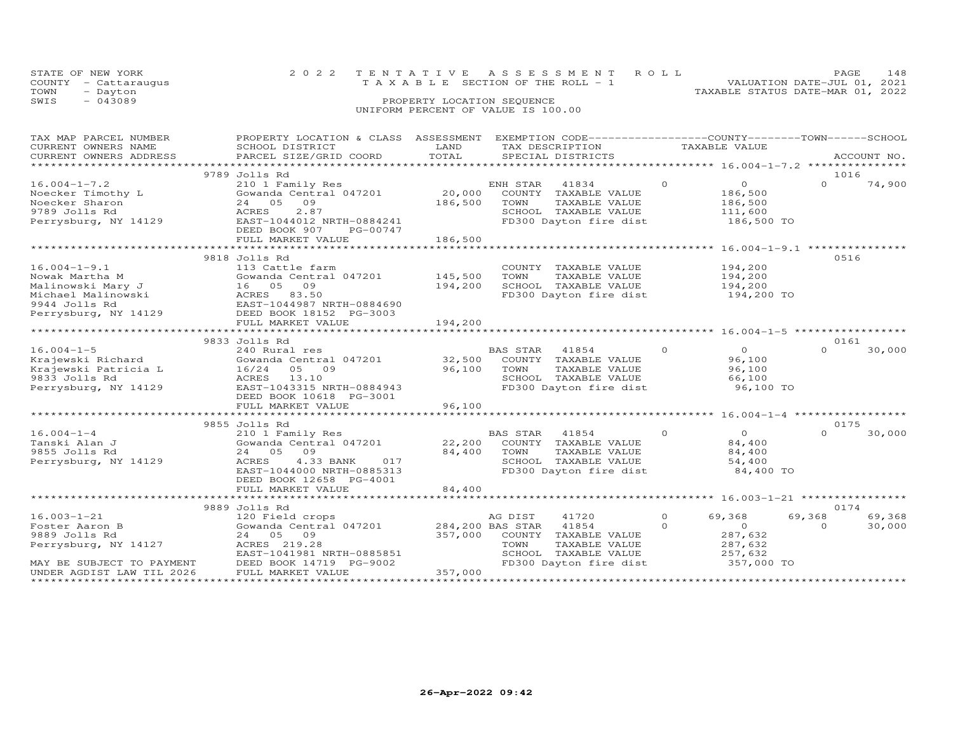|      | STATE OF NEW YORK    | 2022 TENTATIVE ASSESSMENT ROLL                                 | <b>PAGE</b> | 148 |
|------|----------------------|----------------------------------------------------------------|-------------|-----|
|      | COUNTY - Cattaraugus | VALUATION DATE-JUL 01, 2021<br>TAXABLE SECTION OF THE ROLL - 1 |             |     |
| TOWN | - Dayton             | TAXABLE STATUS DATE-MAR 01, 2022                               |             |     |
| SWIS | $-043089$            | PROPERTY LOCATION SEQUENCE                                     |             |     |
|      |                      | UNIFORM PERCENT OF VALUE IS 100.00                             |             |     |

| TAX MAP PARCEL NUMBER     | PROPERTY LOCATION & CLASS ASSESSMENT    |                  |                | EXEMPTION CODE-----------------COUNTY-------TOWN------SCHOOL |          |                    |                  |             |
|---------------------------|-----------------------------------------|------------------|----------------|--------------------------------------------------------------|----------|--------------------|------------------|-------------|
| CURRENT OWNERS NAME       | SCHOOL DISTRICT                         | LAND             |                | TAX DESCRIPTION                                              |          | TAXABLE VALUE      |                  |             |
| CURRENT OWNERS ADDRESS    | PARCEL SIZE/GRID COORD                  | TOTAL            |                | SPECIAL DISTRICTS                                            |          |                    |                  | ACCOUNT NO. |
|                           |                                         |                  |                |                                                              |          |                    |                  |             |
|                           | 9789 Jolls Rd                           |                  |                |                                                              |          |                    | 1016             |             |
| $16.004 - 1 - 7.2$        | 210 1 Family Res                        |                  | ENH STAR 41834 |                                                              | $\Omega$ | $\overline{O}$     | $\Omega$         | 74,900      |
| Noecker Timothy L         | Gowanda Central 047201                  | 20,000           |                | COUNTY TAXABLE VALUE                                         |          | 186,500            |                  |             |
| Noecker Sharon            | 24 05 09                                | 186,500          | TOWN           | TAXABLE VALUE                                                |          | 186,500<br>111,600 |                  |             |
| 9789 Jolls Rd             | 2.87<br>ACRES                           |                  |                | SCHOOL TAXABLE VALUE                                         |          |                    |                  |             |
| Perrysburg, NY 14129      | EAST-1044012 NRTH-0884241               |                  |                | FD300 Dayton fire dist                                       |          | 186,500 TO         |                  |             |
|                           | DEED BOOK 907<br>PG-00747               |                  |                |                                                              |          |                    |                  |             |
|                           | FULL MARKET VALUE                       | 186,500          |                |                                                              |          |                    |                  |             |
|                           |                                         |                  |                |                                                              |          |                    |                  |             |
|                           | 9818 Jolls Rd                           |                  |                |                                                              |          |                    | 0516             |             |
| $16.004 - 1 - 9.1$        | 113 Cattle farm                         |                  |                | COUNTY TAXABLE VALUE                                         |          | 194,200            |                  |             |
| Nowak Martha M            | Gowanda Central 047201                  | 145,500          | TOWN           | TAXABLE VALUE                                                |          | 194,200            |                  |             |
| Malinowski Mary J         | 16 05 09                                | 194,200          |                | SCHOOL TAXABLE VALUE                                         |          | 194,200            |                  |             |
| Michael Malinowski        | ACRES 83.50                             |                  |                | FD300 Dayton fire dist                                       |          | $194,200$ TO       |                  |             |
| 9944 Jolls Rd             | EAST-1044987 NRTH-0884690               |                  |                |                                                              |          |                    |                  |             |
| Perrysburg, NY 14129      | EASI-103350.<br>DEED BOOK 18152 PG-3003 |                  |                |                                                              |          |                    |                  |             |
|                           | FULL MARKET VALUE                       | 194,200          |                |                                                              |          |                    |                  |             |
|                           |                                         |                  |                |                                                              |          |                    |                  |             |
|                           | 9833 Jolls Rd                           |                  |                |                                                              |          |                    | 0161             |             |
| $16.004 - 1 - 5$          | 240 Rural res                           |                  | BAS STAR 41854 |                                                              | $\Omega$ | $\Omega$           | $\Omega$         | 30,000      |
| Krajewski Richard         | Gowanda Central 047201                  | 32,500           |                | COUNTY TAXABLE VALUE                                         |          | 96,100             |                  |             |
| Krajewski Patricia L      | 16/24 05 09                             | 96,100           | TOWN           | TAXABLE VALUE                                                |          | 96,100             |                  |             |
| 9833 Jolls Rd             | ACRES 13.10                             |                  |                | SCHOOL TAXABLE VALUE                                         |          | 66,100             |                  |             |
| Perrysburg, NY 14129      | EAST-1043315 NRTH-0884943               |                  |                | FD300 Dayton fire dist                                       |          | 96,100 TO          |                  |             |
|                           | DEED BOOK 10618 PG-3001                 |                  |                |                                                              |          |                    |                  |             |
|                           |                                         | 96,100           |                |                                                              |          |                    |                  |             |
|                           | FULL MARKET VALUE                       |                  |                |                                                              |          |                    |                  |             |
|                           |                                         |                  |                |                                                              |          |                    |                  |             |
| $16.004 - 1 - 4$          | 9855 Jolls Rd                           |                  |                |                                                              | $\circ$  | $\overline{0}$     | 0175<br>$\Omega$ |             |
|                           | 210 1 Family Res                        |                  | BAS STAR 41854 |                                                              |          |                    |                  | 30,000      |
| Tanski Alan J             | Gowanda Central 047201                  | 22,200           |                | COUNTY TAXABLE VALUE                                         |          | 84,400             |                  |             |
| 9855 Jolls Rd             | 24 05 09                                | 84,400           | TOWN           | TAXABLE VALUE                                                |          | 84,400             |                  |             |
| Perrysburg, NY 14129      | ACRES<br>4.33 BANK<br>017               |                  |                | SCHOOL TAXABLE VALUE                                         |          | 54,400             |                  |             |
|                           | EAST-1044000 NRTH-0885313               |                  |                | FD300 Dayton fire dist                                       |          | 84,400 TO          |                  |             |
|                           | DEED BOOK 12658 PG-4001                 |                  |                |                                                              |          |                    |                  |             |
|                           | FULL MARKET VALUE                       | 84,400           |                |                                                              |          |                    |                  |             |
|                           |                                         |                  |                |                                                              |          |                    |                  |             |
|                           | 9889 Jolls Rd                           |                  |                |                                                              |          |                    | 0174             |             |
| $16.003 - 1 - 21$         | 120 Field crops                         |                  | AG DIST        | 41720                                                        | $\circ$  | 69,368             | 69,368           | 69,368      |
| Foster Aaron B            | Gowanda Central 047201                  | 284,200 BAS STAR |                | 41854                                                        | $\Omega$ | $\overline{0}$     | $\Omega$         | 30,000      |
| 9889 Jolls Rd             | 24 05 09                                |                  |                | 357,000 COUNTY TAXABLE VALUE                                 |          | 287,632            |                  |             |
| Perrysburg, NY 14127      | ACRES 219.28                            |                  | TOWN           | TAXABLE VALUE                                                |          | 287,632            |                  |             |
|                           | EAST-1041981 NRTH-0885851               |                  |                | SCHOOL TAXABLE VALUE                                         |          | 257,632            |                  |             |
| MAY BE SUBJECT TO PAYMENT | DEED BOOK 14719 PG-9002                 |                  |                | FD300 Dayton fire dist                                       |          | 357,000 TO         |                  |             |
| UNDER AGDIST LAW TIL 2026 | FULL MARKET VALUE                       | 357,000          |                |                                                              |          |                    |                  |             |
|                           |                                         |                  |                |                                                              |          |                    |                  |             |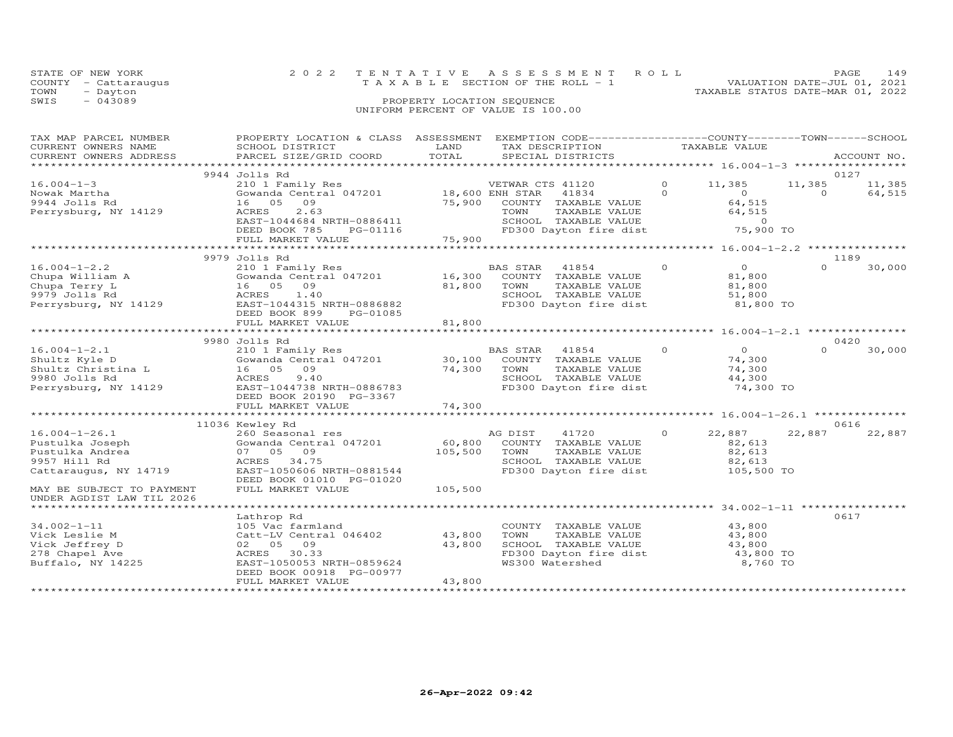| STATE OF NEW YORK    | 2022 TENTATIVE ASSESSMENT ROLL        | PAGE                        | 149 |
|----------------------|---------------------------------------|-----------------------------|-----|
| COUNTY - Cattaraugus | T A X A B L E SECTION OF THE ROLL - 1 | VALUATION DATE-JUL 01, 2021 |     |
| TOWN<br>- Dayton     | TAXABLE STATUS DATE-MAR 01, 2022      |                             |     |
| $-043089$<br>SWIS    | PROPERTY LOCATION SEQUENCE            |                             |     |
|                      | UNIFORM PERCENT OF VALUE IS 100.00    |                             |     |
|                      |                                       |                             |     |

| TAX MAP PARCEL NUMBER<br>CURRENT OWNERS NAME<br>CURRENT OWNERS ADDRESS | PROPERTY LOCATION & CLASS ASSESSMENT<br>SCHOOL DISTRICT<br>PARCEL SIZE/GRID COORD | LAND<br>TOTAL        | EXEMPTION CODE-----------------COUNTY-------TOWN------SCHOOL<br>TAX DESCRIPTION<br>SPECIAL DISTRICTS |          | TAXABLE VALUE                                      |                    | ACCOUNT NO.      |
|------------------------------------------------------------------------|-----------------------------------------------------------------------------------|----------------------|------------------------------------------------------------------------------------------------------|----------|----------------------------------------------------|--------------------|------------------|
|                                                                        |                                                                                   |                      |                                                                                                      |          |                                                    |                    |                  |
|                                                                        | 9944 Jolls Rd                                                                     |                      |                                                                                                      | $\circ$  |                                                    |                    | 0127             |
| $16.004 - 1 - 3$<br>Nowak Martha                                       | 210 1 Family Res<br>Gowanda Central 047201                                        | 18,600 ENH STAR      | VETWAR CTS 41120<br>41834                                                                            | $\Omega$ | 11,385<br>$\Omega$                                 | 11,385<br>$\Omega$ | 11,385<br>64,515 |
| 9944 Jolls Rd                                                          | 16 05<br>09                                                                       | 75,900               | COUNTY TAXABLE VALUE                                                                                 |          | 64,515                                             |                    |                  |
| Perrysburg, NY 14129                                                   | 2.63<br>ACRES                                                                     |                      | TAXABLE VALUE<br>TOWN                                                                                |          | 64,515                                             |                    |                  |
|                                                                        | EAST-1044684 NRTH-0886411                                                         |                      | SCHOOL TAXABLE VALUE                                                                                 |          | $\Omega$                                           |                    |                  |
|                                                                        | DEED BOOK 785<br>PG-01116                                                         |                      | FD300 Dayton fire dist                                                                               |          | 75,900 TO                                          |                    |                  |
|                                                                        | FULL MARKET VALUE                                                                 | 75,900               |                                                                                                      |          |                                                    |                    |                  |
|                                                                        |                                                                                   | ******************** |                                                                                                      |          | ******************** 16.004-1-2.2 **************** |                    |                  |
| $16.004 - 1 - 2.2$                                                     | 9979 Jolls Rd                                                                     |                      |                                                                                                      | $\Omega$ | $\Omega$                                           | $\Omega$           | 1189             |
| Chupa William A                                                        | 210 1 Family Res<br>Gowanda Central 047201                                        | 16,300               | BAS STAR<br>41854<br>COUNTY TAXABLE VALUE                                                            |          | 81,800                                             |                    | 30,000           |
| Chupa Terry L                                                          | 16 05 09                                                                          | 81,800               | TOWN<br>TAXABLE VALUE                                                                                |          | 81,800                                             |                    |                  |
| 9979 Jolls Rd                                                          | ACRES<br>1.40                                                                     |                      | SCHOOL TAXABLE VALUE                                                                                 |          | 51,800                                             |                    |                  |
| Perrysburg, NY 14129                                                   | EAST-1044315 NRTH-0886882                                                         |                      | FD300 Dayton fire dist                                                                               |          | 81,800 TO                                          |                    |                  |
|                                                                        | DEED BOOK 899<br>PG-01085                                                         |                      |                                                                                                      |          |                                                    |                    |                  |
|                                                                        | FULL MARKET VALUE                                                                 | 81,800               |                                                                                                      |          |                                                    |                    |                  |
|                                                                        |                                                                                   |                      |                                                                                                      |          |                                                    |                    |                  |
|                                                                        | 9980 Jolls Rd                                                                     |                      |                                                                                                      |          |                                                    |                    | 0420             |
| $16.004 - 1 - 2.1$                                                     | 210 1 Family Res                                                                  |                      | BAS STAR<br>41854                                                                                    | $\Omega$ | $\circ$                                            | $\Omega$           | 30,000           |
| Shultz Kyle D                                                          | Gowanda Central 047201                                                            | 30,100               | COUNTY TAXABLE VALUE                                                                                 |          | 74,300                                             |                    |                  |
| Shultz Christina L                                                     | 09<br>16 05                                                                       | 74,300               | TAXABLE VALUE<br>TOWN                                                                                |          | 74,300                                             |                    |                  |
| 9980 Jolls Rd                                                          | 9.40<br>ACRES                                                                     |                      | SCHOOL TAXABLE VALUE                                                                                 |          | 44,300                                             |                    |                  |
| Perrysburg, NY 14129                                                   | EAST-1044738 NRTH-0886783<br>DEED BOOK 20190 PG-3367                              |                      | FD300 Dayton fire dist                                                                               |          | 74,300 TO                                          |                    |                  |
|                                                                        | FULL MARKET VALUE                                                                 | 74,300               |                                                                                                      |          |                                                    |                    |                  |
|                                                                        |                                                                                   |                      |                                                                                                      |          |                                                    |                    |                  |
|                                                                        | 11036 Kewley Rd                                                                   |                      |                                                                                                      |          |                                                    |                    | 0616             |
| $16.004 - 1 - 26.1$                                                    | 260 Seasonal res                                                                  |                      | AG DIST<br>41720                                                                                     | $\Omega$ | 22,887                                             | 22,887             | 22,887           |
| Pustulka Joseph                                                        | Gowanda Central 047201                                                            | 60,800               | COUNTY TAXABLE VALUE                                                                                 |          | 82,613                                             |                    |                  |
| Pustulka Andrea                                                        | 07 05 09                                                                          | 105,500              | TOWN<br>TAXABLE VALUE                                                                                |          | 82,613                                             |                    |                  |
| 9957 Hill Rd                                                           | ACRES<br>34.75                                                                    |                      | SCHOOL TAXABLE VALUE                                                                                 |          | 82,613                                             |                    |                  |
| Cattaraugus, NY 14719                                                  | EAST-1050606 NRTH-0881544                                                         |                      | FD300 Dayton fire dist                                                                               |          | 105,500 TO                                         |                    |                  |
|                                                                        | DEED BOOK 01010 PG-01020                                                          |                      |                                                                                                      |          |                                                    |                    |                  |
| MAY BE SUBJECT TO PAYMENT                                              | FULL MARKET VALUE                                                                 | 105,500              |                                                                                                      |          |                                                    |                    |                  |
| UNDER AGDIST LAW TIL 2026<br>******************************            | *****************                                                                 |                      |                                                                                                      |          |                                                    |                    |                  |
|                                                                        | Lathrop Rd                                                                        |                      |                                                                                                      |          |                                                    |                    | 0617             |
| $34.002 - 1 - 11$                                                      | 105 Vac farmland                                                                  |                      | COUNTY TAXABLE VALUE                                                                                 |          | 43,800                                             |                    |                  |
| Vick Leslie M                                                          | Catt-LV Central 046402                                                            | 43,800               | TOWN<br>TAXABLE VALUE                                                                                |          | 43,800                                             |                    |                  |
| Vick Jeffrey D                                                         | 02 05<br>09                                                                       | 43,800               | SCHOOL TAXABLE VALUE                                                                                 |          | 43,800                                             |                    |                  |
| 278 Chapel Ave                                                         | 30.33<br>ACRES                                                                    |                      | FD300 Dayton fire dist                                                                               |          | 43,800 TO                                          |                    |                  |
| Buffalo, NY 14225                                                      | EAST-1050053 NRTH-0859624                                                         |                      | WS300 Watershed                                                                                      |          | 8,760 TO                                           |                    |                  |
|                                                                        | DEED BOOK 00918 PG-00977                                                          |                      |                                                                                                      |          |                                                    |                    |                  |
|                                                                        | FULL MARKET VALUE                                                                 | 43,800               |                                                                                                      |          |                                                    |                    |                  |
|                                                                        |                                                                                   |                      |                                                                                                      |          |                                                    |                    |                  |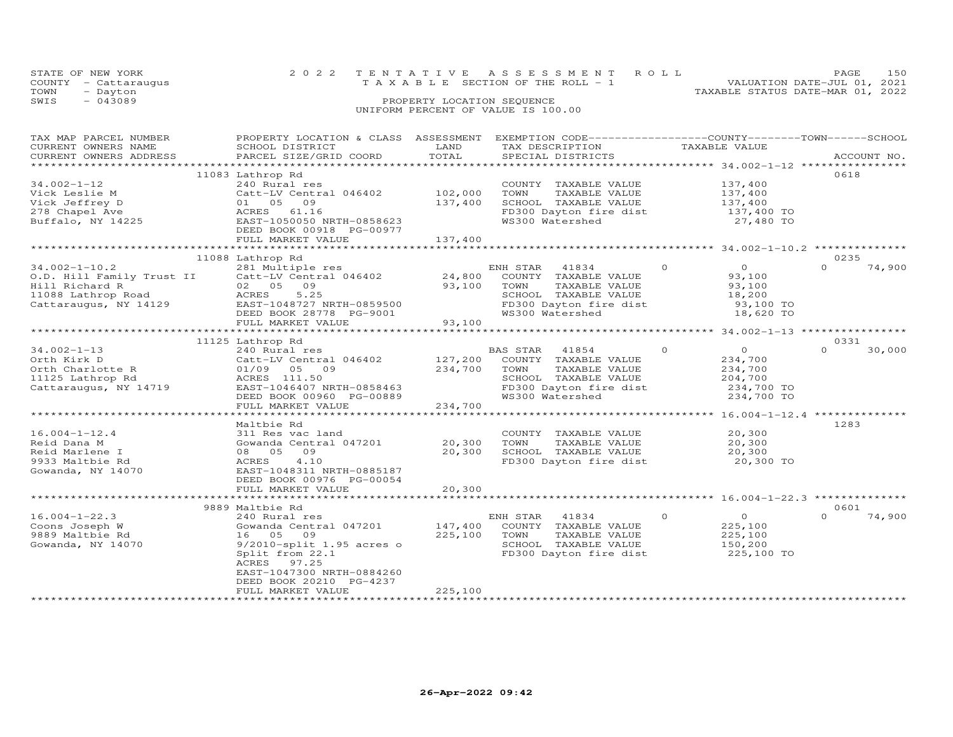|      | STATE OF NEW YORK    | 2022 TENTATIVE ASSESSMENT ROLL                                       | PAGE. | 150 |
|------|----------------------|----------------------------------------------------------------------|-------|-----|
|      | COUNTY - Cattaraugus | VALUATION DATE-JUL 01, 2021<br>T A X A B L E SECTION OF THE ROLL - 1 |       |     |
| TOWN | - Dayton             | TAXABLE STATUS DATE-MAR 01, 2022                                     |       |     |
| SWIS | $-043089$            | PROPERTY LOCATION SEQUENCE                                           |       |     |
|      |                      | UNIFORM PERCENT OF VALUE IS 100.00                                   |       |     |
|      |                      |                                                                      |       |     |

| TAX MAP PARCEL NUMBER<br>CURRENT OWNERS NAME<br>CURRENT OWNERS ADDRESS                                                              | PROPERTY LOCATION & CLASS ASSESSMENT<br>SCHOOL DISTRICT<br>PARCEL SIZE/GRID COORD                                                                                                                   | LAND<br>TOTAL                 | EXEMPTION CODE-----------------COUNTY-------TOWN-----SCHOOL<br>TAX DESCRIPTION<br>SPECIAL DISTRICTS                                     | TAXABLE VALUE                                                                           | ACCOUNT NO.                |
|-------------------------------------------------------------------------------------------------------------------------------------|-----------------------------------------------------------------------------------------------------------------------------------------------------------------------------------------------------|-------------------------------|-----------------------------------------------------------------------------------------------------------------------------------------|-----------------------------------------------------------------------------------------|----------------------------|
| ***********************                                                                                                             |                                                                                                                                                                                                     |                               |                                                                                                                                         |                                                                                         |                            |
| $34.002 - 1 - 12$<br>Vick Leslie M<br>Vick Jeffrey D<br>278 Chapel Ave<br>Buffalo, NY 14225                                         | 11083 Lathrop Rd<br>240 Rural res<br>Catt-LV Central 046402<br>01 05 09<br>ACRES 61.16<br>EAST-1050050 NRTH-0858623<br>DEED BOOK 00918 PG-00977<br>FULL MARKET VALUE                                | 102,000<br>137,400<br>137,400 | COUNTY TAXABLE VALUE<br>TOWN<br>TAXABLE VALUE<br>SCHOOL TAXABLE VALUE<br>FD300 Dayton fire dist<br>WS300 Watershed                      | 137,400<br>137,400<br>137,400<br>137,400 TO<br>27,480 TO                                | 0618                       |
|                                                                                                                                     |                                                                                                                                                                                                     |                               |                                                                                                                                         |                                                                                         |                            |
|                                                                                                                                     | 11088 Lathrop Rd                                                                                                                                                                                    |                               |                                                                                                                                         |                                                                                         | 0235                       |
| $34.002 - 1 - 10.2$<br>O.D. Hill Family Trust II<br>Hill Richard R<br>Hill Richard R<br>11088 Lathrop Road<br>Cattaraugus, NY 14129 | 281 Multiple res<br>Catt-LV Central 046402<br>02 05 09<br>ACRES<br>5.25<br>EAST-1048727 NRTH-0859500<br>DEED BOOK 28778 PG-9001<br>FULL MARKET VALUE                                                | 24,800<br>93,100<br>93,100    | ENH STAR<br>41834<br>COUNTY TAXABLE VALUE<br>TOWN<br>TAXABLE VALUE<br>SCHOOL TAXABLE VALUE<br>FD300 Dayton fire dist<br>WS300 Watershed | $\Omega$<br>$\overline{O}$<br>93,100<br>93,100<br>18,200<br>93,100 TO<br>18,620 TO      | $\Omega$<br>74,900         |
|                                                                                                                                     |                                                                                                                                                                                                     |                               |                                                                                                                                         |                                                                                         |                            |
|                                                                                                                                     | 11125 Lathrop Rd                                                                                                                                                                                    |                               |                                                                                                                                         |                                                                                         | 0331                       |
| $34.002 - 1 - 13$<br>Orth Kirk D<br>Orth Charlotte R<br>11125 Lathrop Rd<br>Cattaraugus, NY 14719                                   | 240 Rural res<br>Catt-LV Central 046402<br>01/09 05 09<br>ACRES 111.50<br>EAST-1046407 NRTH-0858463<br>DEED BOOK 00960 PG-00889                                                                     | 127,200<br>234,700            | BAS STAR<br>41854<br>COUNTY TAXABLE VALUE<br>TAXABLE VALUE<br>TOWN<br>SCHOOL TAXABLE VALUE<br>FD300 Dayton fire dist<br>WS300 Watershed | $\Omega$<br>$\overline{0}$<br>234,700<br>234,700<br>204,700<br>234,700 TO<br>234,700 TO | $\Omega$<br>30,000         |
|                                                                                                                                     | FULL MARKET VALUE                                                                                                                                                                                   | 234,700                       |                                                                                                                                         |                                                                                         |                            |
| $16.004 - 1 - 12.4$<br>Reid Dana M<br>Reid Marlene I<br>9933 Maltbie Rd<br>Gowanda, NY 14070                                        | Maltbie Rd<br>311 Res vac land<br>Gowanda Central 047201<br>08 05<br>09<br>4.10<br>ACRES<br>EAST-1048311 NRTH-0885187<br>DEED BOOK 00976 PG-00054                                                   | 20,300<br>20,300              | COUNTY TAXABLE VALUE<br>TOWN<br>TAXABLE VALUE<br>SCHOOL TAXABLE VALUE<br>FD300 Dayton fire dist                                         | 20,300<br>20,300<br>20,300<br>20,300 TO                                                 | 1283                       |
|                                                                                                                                     | FULL MARKET VALUE                                                                                                                                                                                   | 20,300                        |                                                                                                                                         |                                                                                         |                            |
|                                                                                                                                     |                                                                                                                                                                                                     |                               |                                                                                                                                         |                                                                                         |                            |
| $16.004 - 1 - 22.3$<br>Coons Joseph W<br>9889 Maltbie Rd<br>Gowanda, NY 14070                                                       | 9889 Maltbie Rd<br>240 Rural res<br>Gowanda Central 047201<br>16 05<br>09<br>9/2010-split 1.95 acres o<br>Split from 22.1<br>ACRES<br>97.25<br>EAST-1047300 NRTH-0884260<br>DEED BOOK 20210 PG-4237 | 147,400<br>225,100            | ENH STAR<br>41834<br>COUNTY TAXABLE VALUE<br>TOWN<br>TAXABLE VALUE<br>SCHOOL TAXABLE VALUE<br>FD300 Dayton fire dist                    | $\Omega$<br>$\overline{O}$<br>225,100<br>225,100<br>150,200<br>225,100 TO               | 0601<br>$\Omega$<br>74,900 |
|                                                                                                                                     | FULL MARKET VALUE                                                                                                                                                                                   | 225,100                       |                                                                                                                                         |                                                                                         |                            |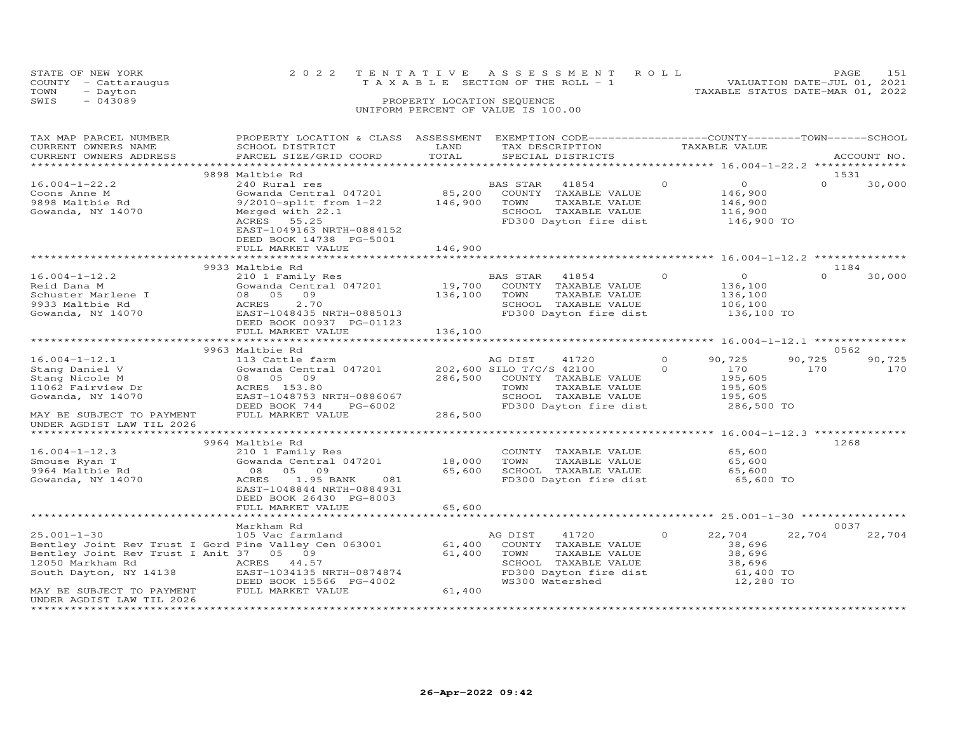| STATE OF NEW YORK<br>- Cattaraugus<br>COUNTY<br>TOWN<br>- Dayton |                                              |                            | 2022 TENTATIVE ASSESSMENT ROLL<br>T A X A B L E SECTION OF THE ROLL - 1 |                                                                        | PAGE<br>VALUATION DATE-JUL 01, 2021<br>TAXABLE STATUS DATE-MAR 01, 2022 | 151        |
|------------------------------------------------------------------|----------------------------------------------|----------------------------|-------------------------------------------------------------------------|------------------------------------------------------------------------|-------------------------------------------------------------------------|------------|
| SWIS<br>$-043089$                                                |                                              | PROPERTY LOCATION SEQUENCE | UNIFORM PERCENT OF VALUE IS 100.00                                      |                                                                        |                                                                         |            |
|                                                                  |                                              |                            |                                                                         |                                                                        |                                                                         |            |
|                                                                  |                                              |                            |                                                                         |                                                                        |                                                                         | $-$ SCHOOL |
| TAX MAP PARCEL NUMBER<br>CURRENT OWNERS NAME                     | PROPERTY LOCATION & CLASS<br>SCHOOL DISTRICT | ASSESSMENT<br>LAND         | TAX DESCRIPTION                                                         | EXEMPTION CODE-----------------COUNTY-------TOWN-----<br>TAXABLE VALUE |                                                                         |            |

| CURRENT OWNERS ADDRESS                                | PARCEL SIZE/GRID COORD    | TOTAL              |                          | SPECIAL DISTRICTS                                    |          |                                          |          | ACCOUNT NO. |
|-------------------------------------------------------|---------------------------|--------------------|--------------------------|------------------------------------------------------|----------|------------------------------------------|----------|-------------|
|                                                       |                           |                    |                          |                                                      |          | ********** 16.004-1-22.2 *************** |          |             |
|                                                       | 9898 Maltbie Rd           |                    |                          |                                                      |          |                                          | 1531     |             |
| $16.004 - 1 - 22.2$                                   | 240 Rural res             |                    | <b>BAS STAR</b>          | 41854                                                | $\Omega$ | $\circ$                                  | $\Omega$ | 30,000      |
| Coons Anne M                                          | Gowanda Central 047201    | 85,200             |                          | COUNTY TAXABLE VALUE                                 |          | 146,900                                  |          |             |
| 9898 Maltbie Rd                                       | 9/2010-split from 1-22    | 146,900            | TOWN                     | TAXABLE VALUE                                        |          | 146,900                                  |          |             |
| Gowanda, NY 14070                                     | Merged with 22.1          |                    |                          | SCHOOL TAXABLE VALUE                                 |          | 116,900                                  |          |             |
|                                                       | ACRES 55.25               |                    |                          | FD300 Dayton fire dist                               |          | 146,900 TO                               |          |             |
|                                                       | EAST-1049163 NRTH-0884152 |                    |                          |                                                      |          |                                          |          |             |
|                                                       | DEED BOOK 14738 PG-5001   |                    |                          |                                                      |          |                                          |          |             |
|                                                       | FULL MARKET VALUE         | 146,900            |                          |                                                      |          |                                          |          |             |
|                                                       |                           |                    |                          |                                                      |          |                                          |          |             |
|                                                       | 9933 Maltbie Rd           |                    |                          |                                                      |          |                                          | 1184     |             |
| $16.004 - 1 - 12.2$                                   | 210 1 Family Res          |                    | BAS STAR                 | 41854                                                | $\Omega$ | $\circ$                                  | $\Omega$ | 30,000      |
| Reid Dana M                                           | Gowanda Central 047201    | 19,700             |                          | COUNTY TAXABLE VALUE                                 |          | 136,100                                  |          |             |
| Schuster Marlene I                                    | 08 05 09                  | 136,100            | TOWN                     | TAXABLE VALUE                                        |          | 136,100                                  |          |             |
| 9933 Maltbie Rd                                       | 2.70<br>ACRES             |                    |                          | SCHOOL TAXABLE VALUE                                 |          | 106,100                                  |          |             |
| Gowanda, NY 14070                                     | EAST-1048435 NRTH-0885013 |                    |                          | FD300 Dayton fire dist                               |          | 136,100 TO                               |          |             |
|                                                       | DEED BOOK 00937 PG-01123  |                    |                          |                                                      |          |                                          |          |             |
|                                                       | FULL MARKET VALUE         | 136,100            |                          |                                                      |          |                                          |          |             |
|                                                       |                           |                    |                          |                                                      |          |                                          |          |             |
|                                                       | 9963 Maltbie Rd           |                    |                          |                                                      |          |                                          | 0562     |             |
| $16.004 - 1 - 12.1$                                   | 113 Cattle farm           |                    | AG DIST                  | 41720                                                | $\Omega$ | 90,725                                   | 90,725   | 90,725      |
| Stang Daniel V                                        | Gowanda Central 047201    |                    | 202,600 SILO T/C/S 42100 |                                                      | $\Omega$ | 170                                      | 170      | 170         |
| Stang Nicole M                                        | 08 05 09                  | 286,500            |                          | COUNTY TAXABLE VALUE                                 |          | 195,605                                  |          |             |
| 11062 Fairview Dr                                     | ACRES 153.80              |                    | TOWN                     | TAXABLE VALUE                                        |          | 195,605                                  |          |             |
| Gowanda, NY 14070                                     | EAST-1048753 NRTH-0886067 |                    |                          | SCHOOL TAXABLE VALUE                                 |          | 195,605                                  |          |             |
|                                                       | DEED BOOK 744<br>PG-6002  |                    |                          | FD300 Dayton fire dist                               |          | 286,500 TO                               |          |             |
| MAY BE SUBJECT TO PAYMENT                             | FULL MARKET VALUE         | 286,500            |                          |                                                      |          |                                          |          |             |
| UNDER AGDIST LAW TIL 2026                             |                           |                    |                          |                                                      |          |                                          |          |             |
|                                                       |                           | ****************** |                          |                                                      |          | $16.004 - 1 - 12.3$ **                   |          |             |
|                                                       | 9964 Maltbie Rd           |                    |                          |                                                      |          |                                          | 1268     |             |
| $16.004 - 1 - 12.3$                                   | 210 1 Family Res          |                    |                          | COUNTY TAXABLE VALUE                                 |          | 65,600                                   |          |             |
| Smouse Ryan T                                         | Gowanda Central 047201    | 18,000             | TOWN                     | TAXABLE VALUE                                        |          | 65,600                                   |          |             |
| 9964 Maltbie Rd                                       | 08<br>05<br>09            | 65,600             |                          | SCHOOL TAXABLE VALUE                                 |          | 65,600                                   |          |             |
| Gowanda, NY 14070                                     | 1.95 BANK<br>ACRES<br>081 |                    |                          | FD300 Dayton fire dist                               |          | 65,600 TO                                |          |             |
|                                                       | EAST-1048844 NRTH-0884931 |                    |                          |                                                      |          |                                          |          |             |
|                                                       | DEED BOOK 26430 PG-8003   |                    |                          |                                                      |          |                                          |          |             |
|                                                       | FULL MARKET VALUE         | 65,600             |                          |                                                      |          |                                          |          |             |
|                                                       | ****************          | *********          |                          | ********************** 25.001-1-30 ***************** |          |                                          |          |             |
|                                                       | Markham Rd                |                    |                          |                                                      |          |                                          | 0037     |             |
| $25.001 - 1 - 30$                                     | 105 Vac farmland          |                    | AG DIST                  | 41720                                                | $\circ$  | 22,704                                   | 22,704   | 22,704      |
| Bentley Joint Rev Trust I Gord Pine Valley Cen 063001 |                           | 61,400             |                          | COUNTY TAXABLE VALUE                                 |          | 38,696                                   |          |             |
| Bentley Joint Rev Trust I Anit 37 05 09               |                           | 61,400             | TOWN                     | TAXABLE VALUE                                        |          | 38,696                                   |          |             |
| 12050 Markham Rd                                      | ACRES<br>44.57            |                    |                          | SCHOOL TAXABLE VALUE                                 |          | 38,696                                   |          |             |
| South Dayton, NY 14138                                | EAST-1034135 NRTH-0874874 |                    |                          | FD300 Dayton fire dist                               |          | 61,400 TO                                |          |             |
|                                                       | DEED BOOK 15566 PG-4002   |                    |                          | WS300 Watershed                                      |          | 12,280 TO                                |          |             |
| MAY BE SUBJECT TO PAYMENT                             | FULL MARKET VALUE         | 61,400             |                          |                                                      |          |                                          |          |             |
| UNDER AGDIST LAW TIL 2026                             |                           |                    |                          |                                                      |          |                                          |          |             |
|                                                       |                           |                    |                          |                                                      |          |                                          |          |             |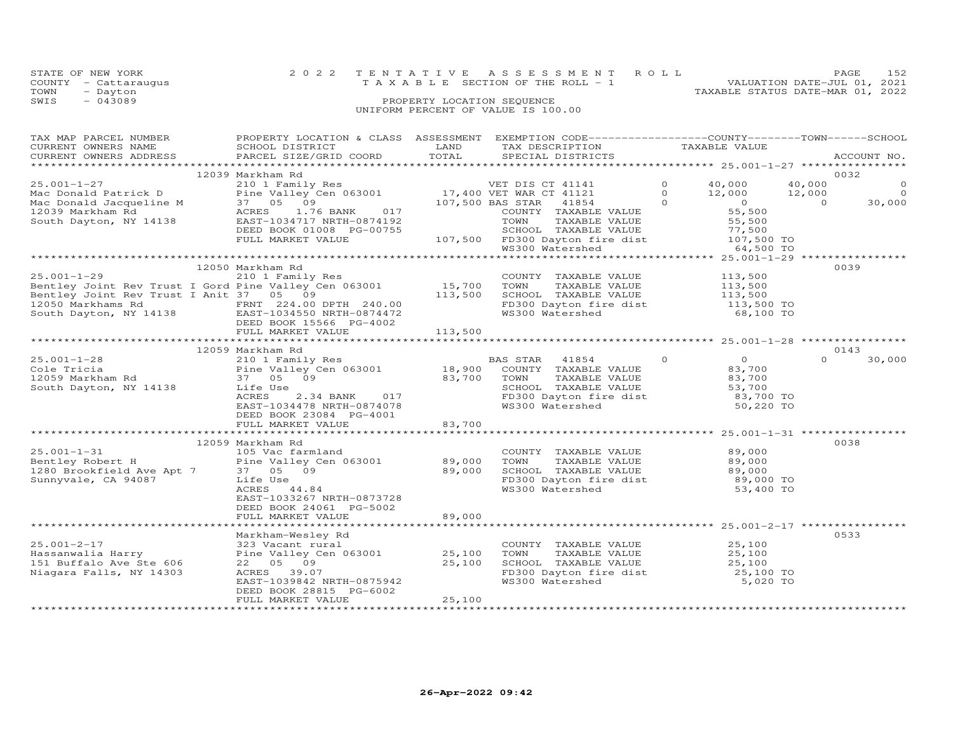| STATE OF NEW YORK<br>COUNTY<br>- Cattaraugus<br>- Dayton<br>TOWN<br>$-043089$<br>SWIS                                                                                                                                                                                                                                                       | 2022 TENTATIVE ASSESSMENT ROLL                                                                    | PROPERTY LOCATION SEQUENCE<br>UNIFORM PERCENT OF VALUE IS 100.00 |             | T A X A B L E SECTION OF THE ROLL - 1 |                | VALUATION DATE-JUL 01, 2021<br>TAXABLE STATUS DATE-MAR 01, 2022 |          | 152<br>PAGE            |
|---------------------------------------------------------------------------------------------------------------------------------------------------------------------------------------------------------------------------------------------------------------------------------------------------------------------------------------------|---------------------------------------------------------------------------------------------------|------------------------------------------------------------------|-------------|---------------------------------------|----------------|-----------------------------------------------------------------|----------|------------------------|
| TAX MAP PARCEL NUMBER                                                                                                                                                                                                                                                                                                                       | PROPERTY LOCATION & CLASS ASSESSMENT EXEMPTION CODE-----------------COUNTY-------TOWN------SCHOOL |                                                                  |             |                                       |                |                                                                 |          |                        |
| CURRENT OWNERS NAME                                                                                                                                                                                                                                                                                                                         | SCHOOL DISTRICT                                                                                   |                                                                  |             | LAND TAX DESCRIPTION                  |                | TAXABLE VALUE                                                   |          |                        |
| .CURRENT OWNERS ADDRESS PARCEL SIZE/GRID COORD TOTAL SPECIAL DISTRICTS (DISTRICTS ACCOUNT NO ACCOUNT NO ARREST                                                                                                                                                                                                                              |                                                                                                   |                                                                  |             |                                       |                |                                                                 |          | ACCOUNT NO.            |
|                                                                                                                                                                                                                                                                                                                                             |                                                                                                   |                                                                  |             |                                       |                |                                                                 |          |                        |
| $25.001 - 1 - 27$                                                                                                                                                                                                                                                                                                                           | 12039 Markham Rd                                                                                  |                                                                  |             | VET DIS CT 41141                      | $\overline{0}$ |                                                                 |          | 0032<br>$\overline{0}$ |
| Mac Donald Patrick D                                                                                                                                                                                                                                                                                                                        | 210 1 Family Res<br>Pine Valley Cen 063001 17,400 VET WAR CT 41121                                |                                                                  |             |                                       | $\Omega$       | 40,000 40,000                                                   |          |                        |
| Mac Donald Jacqueline M 37 05 09                                                                                                                                                                                                                                                                                                            |                                                                                                   | 107,500 BAS STAR 41854                                           |             |                                       |                | $12,000$ $12,000$ 0<br>0 0 30.000<br>$\overline{0}$             |          |                        |
| 12039 Markham Rd                                                                                                                                                                                                                                                                                                                            | ACRES 1.76 BANK<br>017                                                                            |                                                                  |             | COUNTY TAXABLE VALUE                  |                | 55,500                                                          |          |                        |
| South Dayton, NY 14138                                                                                                                                                                                                                                                                                                                      | EAST-1034717 NRTH-0874192                                                                         |                                                                  | <b>TOWN</b> | TAXABLE VALUE 55,500                  |                |                                                                 |          |                        |
|                                                                                                                                                                                                                                                                                                                                             | DEED BOOK 01008 PG-00755                                                                          |                                                                  |             |                                       |                |                                                                 |          |                        |
|                                                                                                                                                                                                                                                                                                                                             | FULL MARKET VALUE                                                                                 |                                                                  |             |                                       |                |                                                                 |          |                        |
|                                                                                                                                                                                                                                                                                                                                             |                                                                                                   |                                                                  |             | WS300 Watershed                       |                | 64,500 TO                                                       |          |                        |
|                                                                                                                                                                                                                                                                                                                                             |                                                                                                   |                                                                  |             |                                       |                |                                                                 |          |                        |
|                                                                                                                                                                                                                                                                                                                                             | 12050 Markham Rd                                                                                  |                                                                  |             |                                       |                |                                                                 |          | 0039                   |
| 25.001-1-29 210 1 Family Res COUNT<br>Bentley Joint Rev Trust I Gord Pine Valley Cen 063001 15,700 TOWN                                                                                                                                                                                                                                     |                                                                                                   |                                                                  |             | COUNTY TAXABLE VALUE                  |                | 113,500                                                         |          |                        |
|                                                                                                                                                                                                                                                                                                                                             |                                                                                                   |                                                                  |             | TAXABLE VALUE                         |                | 113,500                                                         |          |                        |
| Bentley Joint Rev Trust I Anit 37 05 09 113,500                                                                                                                                                                                                                                                                                             |                                                                                                   |                                                                  |             | SCHOOL TAXABLE VALUE 113,500          |                |                                                                 |          |                        |
| 12050 Markhams Rd                                                                                                                                                                                                                                                                                                                           | FRNT 224.00 DPTH 240.00                                                                           |                                                                  |             | FD300 Dayton fire dist $113,500$ TO   |                |                                                                 |          |                        |
| South Dayton, NY 14138                                                                                                                                                                                                                                                                                                                      | EAST-1034550 NRTH-0874472                                                                         |                                                                  |             | WS300 Watershed                       |                | 68,100 TO                                                       |          |                        |
|                                                                                                                                                                                                                                                                                                                                             | DEED BOOK 15566 PG-4002                                                                           |                                                                  |             |                                       |                |                                                                 |          |                        |
|                                                                                                                                                                                                                                                                                                                                             | FULL MARKET VALUE                                                                                 | 113,500                                                          |             |                                       |                |                                                                 |          |                        |
|                                                                                                                                                                                                                                                                                                                                             |                                                                                                   |                                                                  |             |                                       |                |                                                                 |          |                        |
| $25.001 - 1 - 28$                                                                                                                                                                                                                                                                                                                           | 12059 Markham Rd<br>210 1 Family Res                                                              |                                                                  | BAS STAR    | 41854                                 | $\circ$        | $\circ$                                                         | $\Omega$ | 0143<br>30,000         |
| $\mathcal{C}$ and $\mathcal{C}$ and $\mathcal{C}$ and $\mathcal{C}$ and $\mathcal{C}$ and $\mathcal{C}$ and $\mathcal{C}$ $\mathcal{C}$ $\mathcal{C}$ $\mathcal{C}$ $\mathcal{C}$ $\mathcal{C}$ $\mathcal{C}$ $\mathcal{C}$ $\mathcal{C}$ $\mathcal{C}$ $\mathcal{C}$ $\mathcal{C}$ $\mathcal{C}$ $\mathcal{C}$ $\mathcal{C}$ $\mathcal{C}$ |                                                                                                   |                                                                  |             |                                       |                | 02.700                                                          |          |                        |

|                           | 12059 Markham Rd          |        |          |                        |         |                   | 0143             |        |
|---------------------------|---------------------------|--------|----------|------------------------|---------|-------------------|------------------|--------|
| $25.001 - 1 - 28$         | 210 1 Family Res          |        | BAS STAR | 41854                  | $\circ$ | $\circ$           | $\circ$          | 30,000 |
| Cole Tricia               | Pine Valley Cen 063001    | 18,900 | COUNTY   | TAXABLE VALUE          |         | 83,700            |                  |        |
| 12059 Markham Rd          | 37 05 09                  | 83,700 | TOWN     | TAXABLE VALUE          |         | 83,700            |                  |        |
| South Dayton, NY 14138    | Life Use                  |        | SCHOOL   | TAXABLE VALUE          |         | 53,700            |                  |        |
|                           | ACRES<br>2.34 BANK<br>017 |        |          | FD300 Dayton fire dist |         | 83,700 TO         |                  |        |
|                           | EAST-1034478 NRTH-0874078 |        |          | WS300 Watershed        |         | 50,220 TO         |                  |        |
|                           | DEED BOOK 23084 PG-4001   |        |          |                        |         |                   |                  |        |
|                           | FULL MARKET VALUE         | 83,700 |          |                        |         |                   |                  |        |
|                           |                           |        |          |                        |         | $25.001 - 1 - 31$ |                  |        |
|                           | 12059 Markham Rd          |        |          |                        |         |                   | 0038             |        |
| $25.001 - 1 - 31$         | 105 Vac farmland          |        | COUNTY   | TAXABLE VALUE          |         | 89,000            |                  |        |
| Bentley Robert H          | Pine Valley Cen 063001    | 89,000 | TOWN     | TAXABLE VALUE          |         | 89,000            |                  |        |
| 1280 Brookfield Ave Apt 7 | 37 05 09                  | 89,000 | SCHOOL   | TAXABLE VALUE          |         | 89,000            |                  |        |
| Sunnyvale, CA 94087       | Life Use                  |        |          | FD300 Dayton fire dist |         | 89,000 TO         |                  |        |
|                           | ACRES 44.84               |        |          | WS300 Watershed        |         | 53,400 TO         |                  |        |
|                           | EAST-1033267 NRTH-0873728 |        |          |                        |         |                   |                  |        |
|                           | DEED BOOK 24061 PG-5002   |        |          |                        |         |                   |                  |        |
|                           | FULL MARKET VALUE         | 89,000 |          |                        |         |                   |                  |        |
|                           |                           |        |          |                        |         | $25.001 - 2 - 17$ | **************** |        |
|                           | Markham-Wesley Rd         |        |          |                        |         |                   | 0533             |        |
| $25.001 - 2 - 17$         | 323 Vacant rural          |        | COUNTY   | TAXABLE VALUE          |         | 25,100            |                  |        |
| Hassanwalia Harry         | Pine Valley Cen 063001    | 25,100 | TOWN     | TAXABLE VALUE          |         | 25,100            |                  |        |
| 151 Buffalo Ave Ste 606   | 22 05 09                  | 25,100 | SCHOOL   | TAXABLE VALUE          |         | 25,100            |                  |        |
| Niagara Falls, NY 14303   | ACRES<br>39.07            |        |          | FD300 Dayton fire dist |         | 25,100 TO         |                  |        |
|                           | EAST-1039842 NRTH-0875942 |        |          | WS300 Watershed        |         | 5,020 TO          |                  |        |
|                           | DEED BOOK 28815 PG-6002   |        |          |                        |         |                   |                  |        |
|                           | FULL MARKET VALUE         | 25,100 |          |                        |         |                   |                  |        |
|                           |                           |        |          |                        |         |                   |                  |        |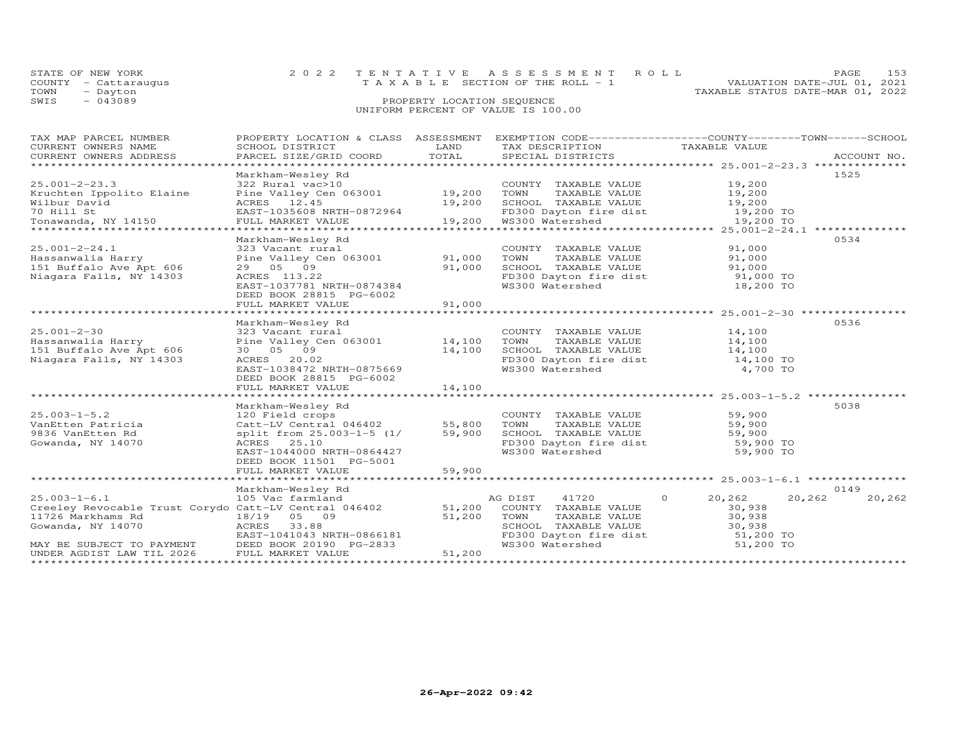| STATE OF NEW YORK    | 2022 TENTATIVE ASSESSMENT ROLL        | <b>PAGE</b>                      | 153 |
|----------------------|---------------------------------------|----------------------------------|-----|
| COUNTY - Cattarauqus | T A X A B L E SECTION OF THE ROLL - 1 | VALUATION DATE-JUL 01, 2021      |     |
| TOWN<br>- Dayton     |                                       | TAXABLE STATUS DATE-MAR 01, 2022 |     |
| SWIS<br>- 043089     | PROPERTY LOCATION SEQUENCE            |                                  |     |
|                      |                                       |                                  |     |

## UNIFORM PERCENT OF VALUE IS 100.00

| TAX MAP PARCEL NUMBER                                 | PROPERTY LOCATION & CLASS ASSESSMENT EXEMPTION CODE----------------COUNTY-------TOWN------SCHOOL |                  |                                                          |                    |                  |
|-------------------------------------------------------|--------------------------------------------------------------------------------------------------|------------------|----------------------------------------------------------|--------------------|------------------|
| CURRENT OWNERS NAME                                   | SCHOOL DISTRICT                                                                                  | LAND             | TAX DESCRIPTION                                          | TAXABLE VALUE      |                  |
| CURRENT OWNERS ADDRESS<br>***********************     | PARCEL SIZE/GRID COORD<br>******************                                                     | TOTAL            |                                                          |                    |                  |
|                                                       |                                                                                                  |                  |                                                          |                    |                  |
|                                                       | Markham-Wesley Rd                                                                                |                  |                                                          |                    | 1525             |
| $25.001 - 2 - 23.3$                                   | 322 Rural vac>10                                                                                 |                  | COUNTY TAXABLE VALUE                                     | 19,200             |                  |
| Kruchten Ippolito Elaine                              | Pine Valley Cen 063001<br>ACRES 12.45                                                            | 19,200<br>19,200 | TOWN<br>TAXABLE VALUE                                    | 19,200             |                  |
| Wilbur David<br>70 Hill St                            |                                                                                                  |                  | SCHOOL TAXABLE VALUE<br>FD300 Dayton fire dist 19,200 TO | 19,200             |                  |
| Tonawanda, NY 14150                                   | EAST-1035608 NRTH-0872964<br>FULL MARKET VALUE                                                   | 19,200           | WS300 Watershed                                          | 19,200 TO          |                  |
|                                                       |                                                                                                  |                  |                                                          |                    |                  |
|                                                       | Markham-Wesley Rd                                                                                |                  |                                                          |                    | 0534             |
| $25.001 - 2 - 24.1$                                   | 323 Vacant rural                                                                                 |                  | COUNTY TAXABLE VALUE                                     | 91,000             |                  |
| Hassanwalia Harry                                     | Pine Valley Cen 063001 91,000                                                                    |                  | TOWN<br>TAXABLE VALUE                                    | 91,000             |                  |
| 151 Buffalo Ave Apt 606                               | 29 05 09                                                                                         | 91,000           | SCHOOL TAXABLE VALUE                                     | 91,000             |                  |
| Niagara Falls, NY 14303                               | ACRES 113.22                                                                                     |                  | SCHOOL TAXABLE VALUE<br>FD300 Dayton fire dist           | 91,000 TO          |                  |
|                                                       | EAST-1037781 NRTH-0874384                                                                        |                  | WS300 Watershed                                          | 18,200 TO          |                  |
|                                                       | DEED BOOK 28815 PG-6002                                                                          |                  |                                                          |                    |                  |
|                                                       | FULL MARKET VALUE                                                                                | 91,000           |                                                          |                    |                  |
|                                                       |                                                                                                  |                  |                                                          |                    |                  |
|                                                       | Markham-Wesley Rd                                                                                |                  |                                                          |                    | 0536             |
| $25.001 - 2 - 30$                                     | 323 Vacant rural                                                                                 |                  | COUNTY TAXABLE VALUE                                     | 14,100             |                  |
| Hassanwalia Harry                                     | Pine Valley Cen 063001 14,100                                                                    |                  | TOWN<br>TAXABLE VALUE                                    | 14,100             |                  |
| 151 Buffalo Ave Apt 606                               | 30 05 09                                                                                         | 14,100           | SCHOOL TAXABLE VALUE                                     | 14,100             |                  |
| Niagara Falls, NY 14303                               | ACRES 20.02                                                                                      |                  | FD300 Dayton fire dist                                   | 14,100 TO          |                  |
|                                                       | EAST-1038472 NRTH-0875669                                                                        |                  | WS300 Watershed                                          | 4,700 TO           |                  |
|                                                       | DEED BOOK 28815 PG-6002                                                                          |                  |                                                          |                    |                  |
|                                                       | FULL MARKET VALUE                                                                                | 14,100           |                                                          |                    |                  |
|                                                       |                                                                                                  |                  |                                                          |                    |                  |
|                                                       | Markham-Wesley Rd                                                                                |                  |                                                          |                    | 5038             |
| $25.003 - 1 - 5.2$                                    | 120 Field crops                                                                                  |                  | COUNTY TAXABLE VALUE                                     | 59,900             |                  |
| VanEtten Patricia                                     | Catt-LV Central 046402 55,800                                                                    |                  | TOWN<br>TAXABLE VALUE                                    | 59,900             |                  |
| 9836 VanEtten Rd                                      | split from 25.003-1-5 (1/                                                                        | 59,900           | SCHOOL TAXABLE VALUE                                     | 59,900             |                  |
| Gowanda, NY 14070                                     | ACRES 25.10                                                                                      |                  | FD300 Dayton fire dist                                   | 59,900 TO          |                  |
|                                                       | EAST-1044000 NRTH-0864427                                                                        |                  | WS300 Watershed                                          | 59,900 TO          |                  |
|                                                       | DEED BOOK 11501 PG-5001                                                                          |                  |                                                          |                    |                  |
|                                                       | FULL MARKET VALUE                                                                                | 59,900           |                                                          |                    |                  |
|                                                       |                                                                                                  |                  |                                                          |                    |                  |
|                                                       | Markham-Wesley Rd                                                                                |                  |                                                          |                    | 0149             |
| $25.003 - 1 - 6.1$                                    | 105 Vac farmland                                                                                 |                  | AG DIST<br>41720                                         | $\Omega$<br>20,262 | 20,262<br>20,262 |
| Creeley Revocable Trust Corydo Catt-LV Central 046402 |                                                                                                  | 51,200           | COUNTY TAXABLE VALUE                                     | 30,938             |                  |
| 11726 Markhams Rd                                     | 18/19 05 09                                                                                      | 51,200           | TOWN<br>TAXABLE VALUE                                    | 30,938             |                  |
| Gowanda, NY 14070                                     | ACRES<br>33.88                                                                                   |                  | SCHOOL TAXABLE VALUE                                     | 30,938             |                  |
|                                                       | EAST-1041043 NRTH-0866181                                                                        |                  | FD300 Dayton fire dist<br>WS300 Watershod                | 51,200 TO          |                  |
| MAY BE SUBJECT TO PAYMENT                             | DEED BOOK 20190 PG-2833                                                                          |                  | WS300 Watershed                                          | 51,200 TO          |                  |
| UNDER AGDIST LAW TIL 2026                             | FULL MARKET VALUE                                                                                | 51,200           |                                                          |                    |                  |
|                                                       |                                                                                                  |                  |                                                          |                    |                  |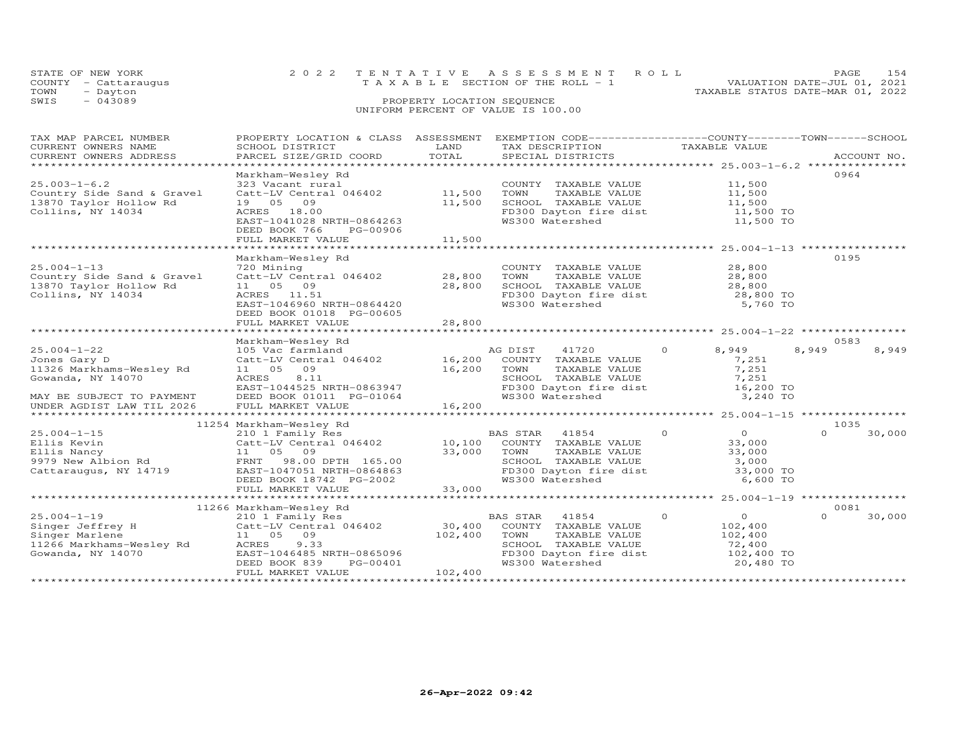| STATE OF NEW YORK    | 2022 TENTATIVE ASSESSMENT ROLL     |  |                                  | PAGE 154                    |  |
|----------------------|------------------------------------|--|----------------------------------|-----------------------------|--|
| COUNTY - Cattaraugus | TAXABLE SECTION OF THE ROLL - 1    |  |                                  | VALUATION DATE-JUL 01, 2021 |  |
| TOWN<br>- Dayton     |                                    |  | TAXABLE STATUS DATE-MAR 01, 2022 |                             |  |
| $-043089$<br>SWIS    | PROPERTY LOCATION SEQUENCE         |  |                                  |                             |  |
|                      | UNIFORM PERCENT OF VALUE IS 100.00 |  |                                  |                             |  |

| TAX MAP PARCEL NUMBER      | PROPERTY LOCATION & CLASS ASSESSMENT EXEMPTION CODE-----------------COUNTY-------TOWN------SCHOOL                                                                                                                                                                                                                             |         |                                                                                                                             |                            |                    |
|----------------------------|-------------------------------------------------------------------------------------------------------------------------------------------------------------------------------------------------------------------------------------------------------------------------------------------------------------------------------|---------|-----------------------------------------------------------------------------------------------------------------------------|----------------------------|--------------------|
| CURRENT OWNERS NAME        | SCHOOL DISTRICT                                                                                                                                                                                                                                                                                                               | LAND    | TAX DESCRIPTION                                                                                                             | TAXABLE VALUE              |                    |
| CURRENT OWNERS ADDRESS     | PARCEL SIZE/GRID COORD TOTAL                                                                                                                                                                                                                                                                                                  |         | SPECIAL DISTRICTS                                                                                                           |                            | ACCOUNT NO.        |
|                            |                                                                                                                                                                                                                                                                                                                               |         |                                                                                                                             |                            |                    |
|                            | Markham-Wesley Rd                                                                                                                                                                                                                                                                                                             |         |                                                                                                                             |                            | 0964               |
| $25.003 - 1 - 6.2$         |                                                                                                                                                                                                                                                                                                                               |         |                                                                                                                             |                            |                    |
|                            |                                                                                                                                                                                                                                                                                                                               |         | COUNTY TAXABLE VALUE 11,500<br>TOWN TAXABLE VALUE 11,500                                                                    |                            |                    |
| Country Side Sand & Gravel | 323 Vacant rural<br>Catt-Ly Central 046402 11,500                                                                                                                                                                                                                                                                             |         |                                                                                                                             |                            |                    |
| 13870 Taylor Hollow Rd     | 11,500<br>19 05 09                                                                                                                                                                                                                                                                                                            |         |                                                                                                                             | 11,500<br>11,500 TO        |                    |
| Collins, NY 14034          |                                                                                                                                                                                                                                                                                                                               |         |                                                                                                                             |                            |                    |
|                            | ACRES 18.00<br>EAST-1041028 NRTH-0864263                                                                                                                                                                                                                                                                                      |         | SCHOOL TAXABLE VALUE<br>FD300 Dayton fire dist<br>WS300 Watershed                                                           | 11,500 TO                  |                    |
|                            | DEED BOOK 766<br>PG-00906                                                                                                                                                                                                                                                                                                     |         |                                                                                                                             |                            |                    |
|                            |                                                                                                                                                                                                                                                                                                                               |         |                                                                                                                             |                            |                    |
|                            |                                                                                                                                                                                                                                                                                                                               |         |                                                                                                                             |                            |                    |
|                            |                                                                                                                                                                                                                                                                                                                               |         |                                                                                                                             |                            |                    |
|                            | Markham-Wesley Rd                                                                                                                                                                                                                                                                                                             |         |                                                                                                                             |                            | 0195               |
| $25.004 - 1 - 13$          | 720 Mining                                                                                                                                                                                                                                                                                                                    |         | COUNTY TAXABLE VALUE                                                                                                        | 28,800                     |                    |
| Country Side Sand & Gravel | $720$ $\frac{11111119}{28}$ $\frac{11111119}{28}$ $\frac{11111119}{28}$                                                                                                                                                                                                                                                       |         | TOWN                                                                                                                        | TAXABLE VALUE 28,800       |                    |
| 13870 Taylor Hollow Rd     | 11 05 09                                                                                                                                                                                                                                                                                                                      | 28,800  |                                                                                                                             |                            |                    |
| Collins, NY 14034          | ACRES 11.51                                                                                                                                                                                                                                                                                                                   |         | SCHOOL TAXABLE VALUE $28,800$<br>FD300 Dayton fire dist $28,800$ TO<br>WS300 Watershed 5,760 TO                             |                            |                    |
|                            | EAST-1046960 NRTH-0864420                                                                                                                                                                                                                                                                                                     |         |                                                                                                                             |                            |                    |
|                            |                                                                                                                                                                                                                                                                                                                               |         |                                                                                                                             |                            |                    |
|                            | DEED BOOK 01018 PG-00605                                                                                                                                                                                                                                                                                                      |         |                                                                                                                             |                            |                    |
|                            | FULL MARKET VALUE                                                                                                                                                                                                                                                                                                             | 28,800  |                                                                                                                             |                            |                    |
|                            |                                                                                                                                                                                                                                                                                                                               |         |                                                                                                                             |                            |                    |
|                            | Markham-Wesley Rd                                                                                                                                                                                                                                                                                                             |         |                                                                                                                             |                            | 0583               |
| $25.004 - 1 - 22$          |                                                                                                                                                                                                                                                                                                                               |         |                                                                                                                             | 8,949                      | 8,949<br>8,949     |
| Jones Gary D               | 105 Vac farmland MG DIST 41720 0<br>Catt-LV Central 046402 16,200 COUNTY TAXABLE VALUE<br>www.wesley Ro<br>105 Vac farmland<br>Catt-IV C                                                                                                                                                                                      |         |                                                                                                                             | 7,251                      |                    |
| 11326 Markhams-Wesley Rd   | $\begin{tabular}{llllll} 11 & 05 & 09 & & & 16,200 & 70001 \\ ACRES & 8.11 & & & & & \\ EAST-1044525 NRTH-0863947 & & & & & \\ DEST-1044525 NRTH-0863947 & & & & & & \\ DEED BOCK & 0101 & PG-01064 & & & & & \\ DEED BOOK & 0101 & PG-01064 & & & & \\ & & & & & & & \\ & & & & & & & & \\ & & & & & & & & \\ \end{tabular}$ |         |                                                                                                                             |                            |                    |
|                            |                                                                                                                                                                                                                                                                                                                               |         |                                                                                                                             |                            |                    |
| Gowanda, NY 14070          |                                                                                                                                                                                                                                                                                                                               |         |                                                                                                                             |                            |                    |
|                            |                                                                                                                                                                                                                                                                                                                               |         |                                                                                                                             |                            |                    |
| MAY BE SUBJECT TO PAYMENT  |                                                                                                                                                                                                                                                                                                                               |         | TOWN TAXABLE VALUE 7,251<br>SCHOOL TAXABLE VALUE 7,251<br>FD300 Dayton fire dist 16,200 TO<br>WS300 Watershed 3,240 TO      |                            |                    |
| UNDER AGDIST LAW TIL 2026  |                                                                                                                                                                                                                                                                                                                               |         |                                                                                                                             |                            |                    |
|                            |                                                                                                                                                                                                                                                                                                                               |         |                                                                                                                             |                            |                    |
|                            | 11254 Markham-Wesley Rd                                                                                                                                                                                                                                                                                                       |         |                                                                                                                             |                            | 1035               |
|                            |                                                                                                                                                                                                                                                                                                                               |         |                                                                                                                             | $\overline{O}$             | $\cap$<br>30,000   |
|                            |                                                                                                                                                                                                                                                                                                                               |         |                                                                                                                             | 33,000                     |                    |
|                            |                                                                                                                                                                                                                                                                                                                               |         |                                                                                                                             |                            |                    |
|                            |                                                                                                                                                                                                                                                                                                                               |         |                                                                                                                             |                            |                    |
|                            | 25.004-1-15<br>Ellis Kevin<br>Ellis Nancy<br>210 1 Family Res<br>210 1 Family Res<br>210 1 Family Res<br>210 1 Family Res<br>210 1 Central 046402<br>210 10,100 COUNTY TAXABLE VALUE<br>210 10,100 COUNTY TAXABLE VALUE<br>23,000 TOWN TAXABLE VAL                                                                            |         | TOWN TAXABLE VALUE 33,000<br>SCHOOL TAXABLE VALUE 33,000<br>FD300 Dayton fire dist 33,000 TO<br>WS300 Watershed 6,600 TO    |                            |                    |
|                            |                                                                                                                                                                                                                                                                                                                               |         |                                                                                                                             |                            |                    |
|                            |                                                                                                                                                                                                                                                                                                                               |         |                                                                                                                             |                            |                    |
|                            |                                                                                                                                                                                                                                                                                                                               |         |                                                                                                                             |                            |                    |
|                            |                                                                                                                                                                                                                                                                                                                               |         |                                                                                                                             |                            |                    |
|                            | 11266 Markham-Wesley Rd                                                                                                                                                                                                                                                                                                       |         |                                                                                                                             |                            | 0081               |
|                            |                                                                                                                                                                                                                                                                                                                               |         |                                                                                                                             |                            |                    |
|                            | 25.004-1-19<br>Singer Jeffrey H<br>Singer Marlene 11 05 09<br>11266 Markhams-Wesley Rd<br>Gowanda, NY 14070<br>210 1 Family Res<br>210 1 Family Res<br>Catt-LV Central 046402<br>102,400<br>210 102,400<br>210 102,400<br>22,400<br>22,400<br>22,400<br>22                                                                    |         | BAS STAR 41854                                                                                                              | $\overline{0}$<br>$\Omega$ | $\Omega$<br>30,000 |
|                            |                                                                                                                                                                                                                                                                                                                               |         | COUNTY TAXABLE VALUE                                                                                                        | 102,400                    |                    |
|                            |                                                                                                                                                                                                                                                                                                                               |         | TOWN TAXABLE VALUE 102,400<br>SCHOOL TAXABLE VALUE 72,400<br>FD300 Dayton fire dist 102,400 TO<br>WS300 Watershed 20,480 TO |                            |                    |
|                            |                                                                                                                                                                                                                                                                                                                               |         |                                                                                                                             |                            |                    |
|                            |                                                                                                                                                                                                                                                                                                                               |         |                                                                                                                             |                            |                    |
|                            |                                                                                                                                                                                                                                                                                                                               |         |                                                                                                                             |                            |                    |
|                            | EAST-1046485 NRTH-0865096<br>DEED BOOK 839 PG-00401<br>FUI.I. MARKET WATHER<br>FULL MARKET VALUE                                                                                                                                                                                                                              | 102,400 |                                                                                                                             |                            |                    |
|                            |                                                                                                                                                                                                                                                                                                                               |         |                                                                                                                             |                            |                    |
|                            |                                                                                                                                                                                                                                                                                                                               |         |                                                                                                                             |                            |                    |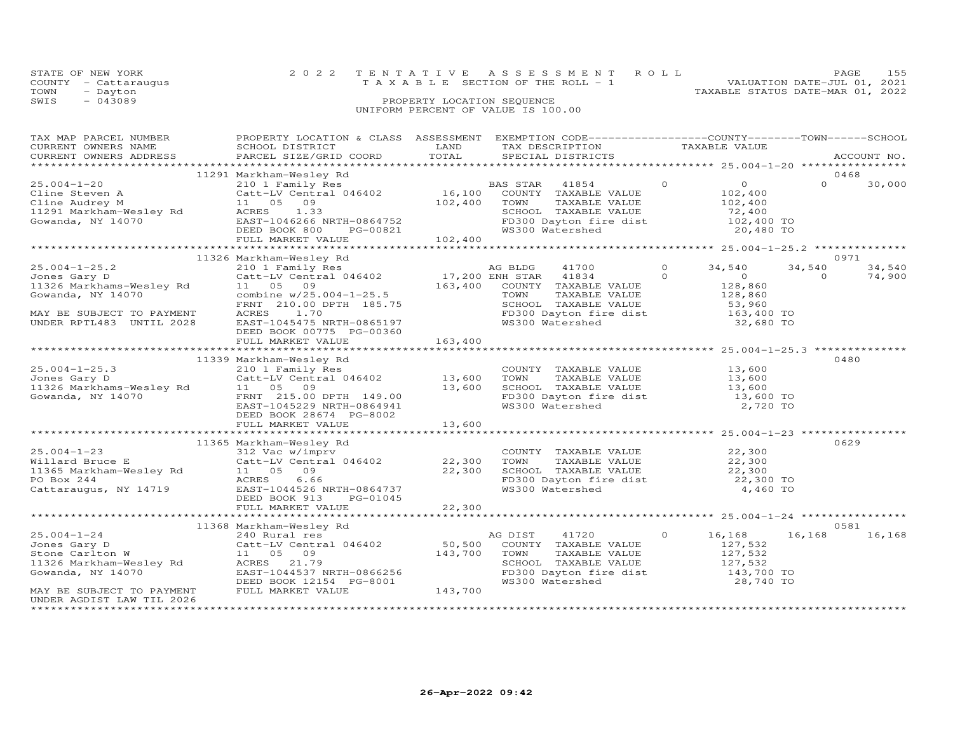| STATE OF NEW YORK    |                                    | 2022 TENTATIVE ASSESSMENT ROLL        |                                  | PAGE. | 155 |
|----------------------|------------------------------------|---------------------------------------|----------------------------------|-------|-----|
| COUNTY - Cattaraugus |                                    | T A X A B L E SECTION OF THE ROLL - 1 | VALUATION DATE-JUL 01, 2021      |       |     |
| TOWN<br>- Dayton     |                                    |                                       | TAXABLE STATUS DATE-MAR 01, 2022 |       |     |
| SWIS<br>$-043089$    | PROPERTY LOCATION SEQUENCE         |                                       |                                  |       |     |
|                      | UNIFORM PERCENT OF VALUE IS 100.00 |                                       |                                  |       |     |

| TAX MAP PARCEL NUMBER<br>CURRENT OWNERS NAME<br>CURRENT OWNERS ADDRESS                                                                                                                                                                                           | PROPERTY LOCATION & CLASS ASSESSMENT EXEMPTION CODE----------------COUNTY-------TOWN-----SCHOOL<br>SCHOOL DISTRICT<br>PARCEL SIZE/GRID COORD                                                                                                                                                                                     | LAND<br>TOTAL                                              |                 | TAX DESCRIPTION<br>SPECIAL DISTRICTS                                                                                                                    |                | TAXABLE VALUE                                                                      |                    | ACCOUNT NO.              |
|------------------------------------------------------------------------------------------------------------------------------------------------------------------------------------------------------------------------------------------------------------------|----------------------------------------------------------------------------------------------------------------------------------------------------------------------------------------------------------------------------------------------------------------------------------------------------------------------------------|------------------------------------------------------------|-----------------|---------------------------------------------------------------------------------------------------------------------------------------------------------|----------------|------------------------------------------------------------------------------------|--------------------|--------------------------|
|                                                                                                                                                                                                                                                                  |                                                                                                                                                                                                                                                                                                                                  |                                                            |                 |                                                                                                                                                         |                |                                                                                    |                    |                          |
|                                                                                                                                                                                                                                                                  | 11291 Markham-Wesley Rd                                                                                                                                                                                                                                                                                                          |                                                            |                 |                                                                                                                                                         |                |                                                                                    |                    | 0468                     |
| $25.004 - 1 - 20$<br>Cline Steven A Catt-LV Centra<br>Cline Audrey M 11 05 09<br>11291 Markham-Wesley Rd ACRES 1.33<br>Gowanda, NY 14070                                                                                                                         | Markham-Wesley Rd<br>210 1 Family Res<br>Catt-LV Central 046402<br>16,100 COUNTY TAXABLE VALUE<br>105 09 102,400 TOWN TAXABLE VALUE<br>ACRES 1.33 SCHOOL TAXABLE VALUE<br>EAST-1046266 NRTH-0864752 FD300 Dayton fire dist<br>DEED BOOK 800                                                                                      |                                                            |                 | TAXABLE VALUE                                                                                                                                           | $\overline{0}$ | $\begin{array}{c}0\\102,400\end{array}$<br>$\frac{102}{72}$ , 400                  | $\Omega$           | 30,000                   |
|                                                                                                                                                                                                                                                                  |                                                                                                                                                                                                                                                                                                                                  |                                                            |                 |                                                                                                                                                         |                |                                                                                    |                    |                          |
|                                                                                                                                                                                                                                                                  |                                                                                                                                                                                                                                                                                                                                  |                                                            |                 |                                                                                                                                                         |                |                                                                                    |                    |                          |
| $25.004 - 1 - 25.2$<br>Jones Gary D<br>11326 Markhams-Wesley Rd<br>Gowanda, NY 14070<br>MAY BE SUBJECT TO PAYMENT<br>UNDER RPTL483 UNTIL 2028                                                                                                                    | 11326 Markham-Wesley Rd<br>Markham-wesley Kd<br>210 1 Family Res<br>Catt-LV Central 046402<br>17,200 ENH STAR 41834 0<br>163,400 COUNTY TAXABLE VALUE<br>163,400 COUNTY TAXABLE VALUE<br>FRNT 210.00 DPTH 185.75 SCHOOL TAXABLE VALUE<br>ACRES 1.70 FD300 Dayton fire d<br>EAST-1045475 NRTH-0865197<br>DEED BOOK 00775 PG-00360 |                                                            | WS300 Watershed | SCHOOL TAXABLE VALUE 53,960<br>FD300 Dayton fire dist 163,400 TO                                                                                        |                | 34,540<br>$\overline{0}$<br>128,860<br>128,860<br>32,680 TO                        | 34,540<br>$\Omega$ | 0971<br>34,540<br>74,900 |
|                                                                                                                                                                                                                                                                  | FULL MARKET VALUE                                                                                                                                                                                                                                                                                                                | 163,400                                                    |                 |                                                                                                                                                         |                |                                                                                    |                    |                          |
|                                                                                                                                                                                                                                                                  |                                                                                                                                                                                                                                                                                                                                  |                                                            |                 | ************************************* 25.004-1-25.3 ***                                                                                                 |                |                                                                                    |                    |                          |
|                                                                                                                                                                                                                                                                  | 11339 Markham-Wesley Rd                                                                                                                                                                                                                                                                                                          |                                                            |                 |                                                                                                                                                         |                |                                                                                    |                    | 0480                     |
| 25.004-1-25.3<br>Jones Gary D<br>11326 Markhams-Wesley Rd<br>60 FRNT 215.00<br>Gowanda, NY 14070<br>FRNT 215.00<br>FRNT 215.00<br>FRNT 215.00                                                                                                                    | 210 1 Family Res<br>Catt-LV Central 046402 13,600<br>FRNT 215.00 DPTH 149.00<br>EAST-1045229 NRTH-0864941<br>DEED BOOK 28674 PG-8002                                                                                                                                                                                             | 13,600                                                     | TOWN            | COUNTY TAXABLE VALUE 13,600<br>TOWN TAXABLE VALUE 13,600<br>SCHOOL TAXABLE VALUE 13,600<br>FD300 Dayton fire dist 13,600 TO<br>WS300 Watershed 2,720 TO |                |                                                                                    |                    |                          |
|                                                                                                                                                                                                                                                                  | FULL MARKET VALUE                                                                                                                                                                                                                                                                                                                | 13,600                                                     |                 |                                                                                                                                                         |                |                                                                                    |                    |                          |
|                                                                                                                                                                                                                                                                  |                                                                                                                                                                                                                                                                                                                                  |                                                            |                 |                                                                                                                                                         |                |                                                                                    |                    |                          |
| 25.004-1-23<br>Willard Bruce E<br>11365 Markham-Wesley Rd<br>11365 Markham-Wesley Rd<br>22,300<br>PO Box 244<br>Cattaraugus, NY 14719<br>22,300<br>Cattaraugus, NY 14719<br>22,300<br>22,300<br>22,300<br>22,300<br>22,300<br>22,300<br>22,300<br>22,300<br>22,3 | 11365 Markham-Wesley Rd<br>DEED BOOK 913<br>PG-01045                                                                                                                                                                                                                                                                             |                                                            |                 | COUNTY TAXABLE VALUE $22,300$<br>TOWN TAXABLE VALUE $22,300$<br>SCHOOL TAXABLE VALUE 22,300<br>FD300 Dayton fire dist 22,300 TO<br>WS300 Watershed      |                | 4,460 TO                                                                           |                    | 0629                     |
|                                                                                                                                                                                                                                                                  |                                                                                                                                                                                                                                                                                                                                  |                                                            |                 |                                                                                                                                                         |                |                                                                                    |                    |                          |
|                                                                                                                                                                                                                                                                  |                                                                                                                                                                                                                                                                                                                                  |                                                            |                 |                                                                                                                                                         |                |                                                                                    |                    |                          |
|                                                                                                                                                                                                                                                                  | 11368 Markham-Wesley Rd<br>240 Rural res                                                                                                                                                                                                                                                                                         |                                                            |                 |                                                                                                                                                         |                |                                                                                    |                    | 0581                     |
| $25.004 - 1 - 24$<br>Jones Gary D<br>Stone Carlton W<br>MAY BE SUBJECT TO PAYMENT                                                                                                                                                                                | 240 Rural res<br>Catt-LV Central 046402 50,500<br>11  05  09<br>EAST-1044537 NRTH-0866256<br>DEED BOOK 12154 PG-8001<br>FULL MARKET VALUE                                                                                                                                                                                        | 143,700 TOWN<br>0866256<br>G-8001                  143,700 | AG DIST 41720   | COUNTY TAXABLE VALUE<br>TOWN TAXABLE VALUE<br>SCHOOL TAXABLE VALUE<br>FD300 Dayton fire dist<br>WS300 Watershed                                         | $\circ$        | 16,168<br>127,532<br>127,532<br>-- , , 532<br>127, 532<br>143, 700 TO<br>28,740 TO | 16,168             | 16,168                   |
| UNDER AGDIST LAW TIL 2026                                                                                                                                                                                                                                        |                                                                                                                                                                                                                                                                                                                                  |                                                            |                 |                                                                                                                                                         |                |                                                                                    |                    |                          |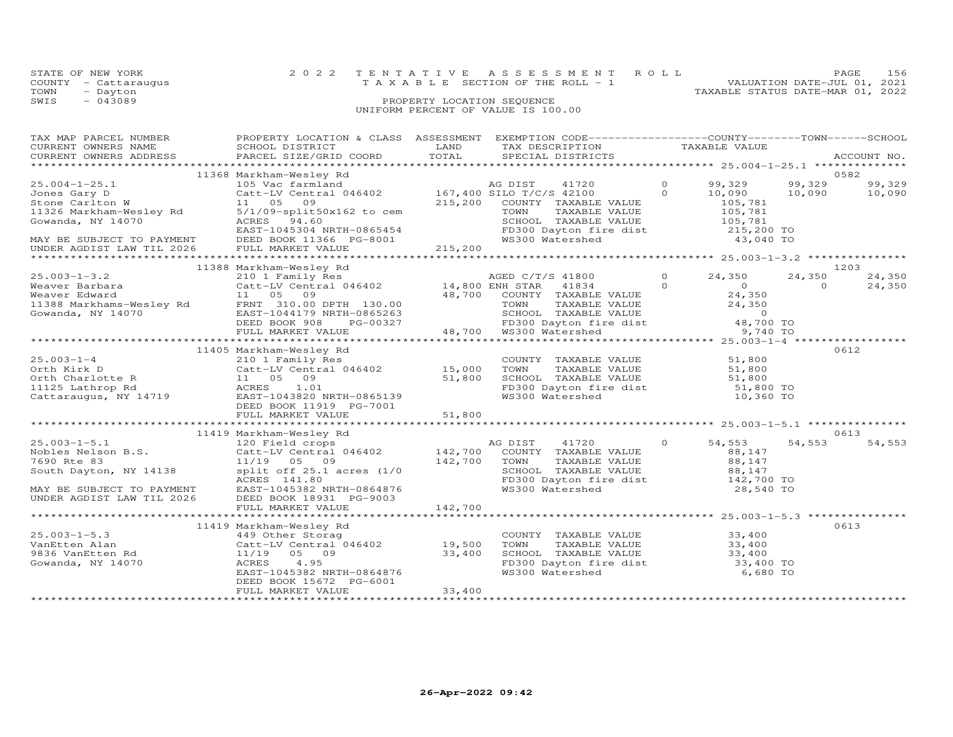|      | STATE OF NEW YORK    | 2022 TENTATIVE ASSESSMENT ROLL                                       | PAGE | 156 |
|------|----------------------|----------------------------------------------------------------------|------|-----|
|      | COUNTY - Cattaraugus | VALUATION DATE-JUL 01, 2021<br>T A X A B L E SECTION OF THE ROLL - 1 |      |     |
| TOWN | - Dayton             | TAXABLE STATUS DATE-MAR 01, 2022                                     |      |     |
| SWIS | $-043089$            | PROPERTY LOCATION SEQUENCE                                           |      |     |
|      |                      | UNIFORM PERCENT OF VALUE IS 100.00                                   |      |     |

| TAX MAP PARCEL NUMBER<br>CURRENT OWNERS NAME                                                                                                                                                                                                  | PROPERTY LOCATION & CLASS ASSESSMENT EXEMPTION CODE----------------COUNTY-------TOWN------SCHOOL<br>SCHOOL DISTRICT | LAND    | TAX DESCRIPTION TAXABLE VALUE SPECIAL DISTRICTS                                                                                                              |                                           |          |        |
|-----------------------------------------------------------------------------------------------------------------------------------------------------------------------------------------------------------------------------------------------|---------------------------------------------------------------------------------------------------------------------|---------|--------------------------------------------------------------------------------------------------------------------------------------------------------------|-------------------------------------------|----------|--------|
|                                                                                                                                                                                                                                               |                                                                                                                     |         |                                                                                                                                                              |                                           |          |        |
|                                                                                                                                                                                                                                               | 11368 Markham-Wesley Rd                                                                                             |         |                                                                                                                                                              |                                           |          | 0582   |
| $25.004 - 1 - 25.1$                                                                                                                                                                                                                           |                                                                                                                     |         | 41720 0 99,329 99,329<br>42100 0 10,090 10,090                                                                                                               |                                           |          | 99,329 |
| 30.004-1-20.1<br>2016 Gart - LV Central 046402<br>Stone Carlton W 105 090<br>Stone Carlton W 105 090<br>215,200 COUNTY TAXABLE VALUE<br>215,200 COUNTY TAXABLE VALUE<br>215,200 COUNTY TAXABLE VALUE<br>215,200 COUNTY TAXABLE VALUE<br>215,2 |                                                                                                                     |         |                                                                                                                                                              |                                           |          |        |
|                                                                                                                                                                                                                                               |                                                                                                                     |         |                                                                                                                                                              |                                           |          |        |
|                                                                                                                                                                                                                                               |                                                                                                                     |         |                                                                                                                                                              |                                           |          |        |
|                                                                                                                                                                                                                                               |                                                                                                                     |         |                                                                                                                                                              |                                           |          |        |
|                                                                                                                                                                                                                                               |                                                                                                                     |         |                                                                                                                                                              |                                           |          |        |
|                                                                                                                                                                                                                                               |                                                                                                                     |         |                                                                                                                                                              |                                           |          |        |
|                                                                                                                                                                                                                                               |                                                                                                                     |         |                                                                                                                                                              |                                           |          |        |
|                                                                                                                                                                                                                                               |                                                                                                                     |         |                                                                                                                                                              |                                           |          | 1203   |
|                                                                                                                                                                                                                                               |                                                                                                                     |         |                                                                                                                                                              | 0 $24,350$ 2.,<br>0 0<br>24,350<br>24,350 | 24,350   | 24,350 |
|                                                                                                                                                                                                                                               |                                                                                                                     |         |                                                                                                                                                              |                                           | $\Omega$ | 24,350 |
|                                                                                                                                                                                                                                               |                                                                                                                     |         |                                                                                                                                                              |                                           |          |        |
|                                                                                                                                                                                                                                               |                                                                                                                     |         |                                                                                                                                                              |                                           |          |        |
|                                                                                                                                                                                                                                               |                                                                                                                     |         |                                                                                                                                                              |                                           |          |        |
|                                                                                                                                                                                                                                               |                                                                                                                     |         |                                                                                                                                                              |                                           |          |        |
|                                                                                                                                                                                                                                               |                                                                                                                     |         |                                                                                                                                                              |                                           |          |        |
|                                                                                                                                                                                                                                               |                                                                                                                     |         |                                                                                                                                                              |                                           |          |        |
|                                                                                                                                                                                                                                               | 11405 Markham-Wesley Rd                                                                                             |         |                                                                                                                                                              |                                           |          | 0612   |
|                                                                                                                                                                                                                                               |                                                                                                                     |         |                                                                                                                                                              |                                           |          |        |
|                                                                                                                                                                                                                                               |                                                                                                                     |         |                                                                                                                                                              |                                           |          |        |
|                                                                                                                                                                                                                                               |                                                                                                                     |         |                                                                                                                                                              |                                           |          |        |
|                                                                                                                                                                                                                                               |                                                                                                                     |         |                                                                                                                                                              |                                           |          |        |
|                                                                                                                                                                                                                                               |                                                                                                                     |         |                                                                                                                                                              |                                           |          |        |
|                                                                                                                                                                                                                                               |                                                                                                                     |         |                                                                                                                                                              |                                           |          |        |
|                                                                                                                                                                                                                                               |                                                                                                                     |         |                                                                                                                                                              |                                           |          |        |
|                                                                                                                                                                                                                                               | 11419 Markham-Wesley Rd                                                                                             |         |                                                                                                                                                              |                                           |          | 0613   |
| 25.003-1-5.1<br>Nobles Nelson B.S. Cattributers and the Cattributers of the Magnetic Magnetic Magnetic Magnetic Magnetic Magnetic Magnetic Magnetic Magnetic Magnetic Magnetic Magnetic Magnetic Magnetic Magnetic Magnetic Magn              |                                                                                                                     |         |                                                                                                                                                              | 54,553                                    | 54,553   | 54,553 |
|                                                                                                                                                                                                                                               |                                                                                                                     |         |                                                                                                                                                              |                                           |          |        |
|                                                                                                                                                                                                                                               |                                                                                                                     |         |                                                                                                                                                              | $88,147$<br>$88,147$                      |          |        |
|                                                                                                                                                                                                                                               |                                                                                                                     |         |                                                                                                                                                              |                                           |          |        |
|                                                                                                                                                                                                                                               |                                                                                                                     |         | SCHOOL TAXABLE VALUE $88,147$<br>FD300 Dayton fire dist 142,700 TO<br>WS300 Watershed 28,540 TO                                                              |                                           |          |        |
|                                                                                                                                                                                                                                               |                                                                                                                     |         |                                                                                                                                                              |                                           |          |        |
|                                                                                                                                                                                                                                               |                                                                                                                     |         |                                                                                                                                                              |                                           |          |        |
|                                                                                                                                                                                                                                               | FULL MARKET VALUE                                                                                                   | 142,700 |                                                                                                                                                              |                                           |          |        |
|                                                                                                                                                                                                                                               |                                                                                                                     |         |                                                                                                                                                              |                                           |          |        |
|                                                                                                                                                                                                                                               | 11419 Markham-Wesley Rd                                                                                             |         |                                                                                                                                                              |                                           |          | 0613   |
|                                                                                                                                                                                                                                               |                                                                                                                     |         |                                                                                                                                                              |                                           |          |        |
|                                                                                                                                                                                                                                               |                                                                                                                     |         |                                                                                                                                                              |                                           |          |        |
|                                                                                                                                                                                                                                               |                                                                                                                     |         | COUNTY TAXABLE VALUE $33,400$<br>TOWN TAXABLE VALUE $33,400$<br>SCHOOL TAXABLE VALUE $33,400$<br>FD300 Dayton fire dist $33,400$<br>WS300 Watershed 6,680 TO |                                           |          |        |
|                                                                                                                                                                                                                                               | EAST-1045382 NRTH-0864876                                                                                           |         |                                                                                                                                                              |                                           |          |        |
|                                                                                                                                                                                                                                               | DEED BOOK 15672 PG-6001                                                                                             |         |                                                                                                                                                              |                                           |          |        |
|                                                                                                                                                                                                                                               | FULL MARKET VALUE                                                                                                   | 33,400  |                                                                                                                                                              |                                           |          |        |
|                                                                                                                                                                                                                                               |                                                                                                                     |         |                                                                                                                                                              |                                           |          |        |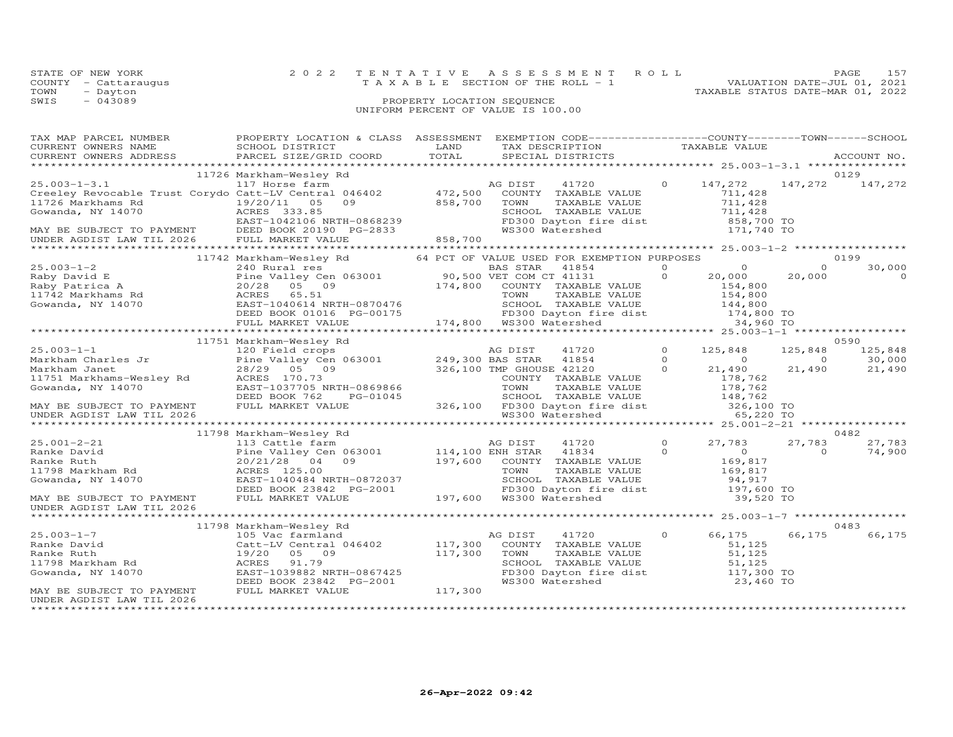|      | STATE OF NEW YORK                  | 2022 TENTATIVE ASSESSMENT ROLL |                                         |  |                                  | PAGE. | 157 |
|------|------------------------------------|--------------------------------|-----------------------------------------|--|----------------------------------|-------|-----|
|      | COUNTY - Cattaraugus               |                                | $T A X A B L E$ SECTION OF THE ROLL - 1 |  | VALUATION DATE-JUL 01, 2021      |       |     |
| TOWN | - Dayton                           |                                |                                         |  | TAXABLE STATUS DATE-MAR 01, 2022 |       |     |
| SWIS | $-043089$                          |                                | PROPERTY LOCATION SEQUENCE              |  |                                  |       |     |
|      | UNIFORM PERCENT OF VALUE IS 100.00 |                                |                                         |  |                                  |       |     |

| TAX MAP PARCEL NUMBER                                                                                                                                                                                                                                                                                                                                                                                                             | PROPERTY LOCATION & CLASS ASSESSMENT EXEMPTION CODE----------------COUNTY-------TOWN------SCHOOL |         |                                                                                                                                                                                                                                              |          |                                                                                                                                                                                                                                                                                                                                                                                                                                                                                 |          |                 |
|-----------------------------------------------------------------------------------------------------------------------------------------------------------------------------------------------------------------------------------------------------------------------------------------------------------------------------------------------------------------------------------------------------------------------------------|--------------------------------------------------------------------------------------------------|---------|----------------------------------------------------------------------------------------------------------------------------------------------------------------------------------------------------------------------------------------------|----------|---------------------------------------------------------------------------------------------------------------------------------------------------------------------------------------------------------------------------------------------------------------------------------------------------------------------------------------------------------------------------------------------------------------------------------------------------------------------------------|----------|-----------------|
| CURRENT OWNERS NAME                                                                                                                                                                                                                                                                                                                                                                                                               | SCHOOL DISTRICT                                                                                  | LAND    |                                                                                                                                                                                                                                              |          |                                                                                                                                                                                                                                                                                                                                                                                                                                                                                 |          |                 |
| CURRENT OWNERS ADDRESS                                                                                                                                                                                                                                                                                                                                                                                                            | PARCEL SIZE/GRID COORD                                                                           | TOTAL   | TAX DESCRIPTION TAXABLE VALUE SPECIAL DISTRICTS                                                                                                                                                                                              |          |                                                                                                                                                                                                                                                                                                                                                                                                                                                                                 |          | ACCOUNT NO.     |
|                                                                                                                                                                                                                                                                                                                                                                                                                                   |                                                                                                  |         |                                                                                                                                                                                                                                              |          |                                                                                                                                                                                                                                                                                                                                                                                                                                                                                 |          |                 |
|                                                                                                                                                                                                                                                                                                                                                                                                                                   | 11726 Markham-Wesley Rd                                                                          |         |                                                                                                                                                                                                                                              |          |                                                                                                                                                                                                                                                                                                                                                                                                                                                                                 |          | 0129            |
| $25.003 - 1 - 3.1$                                                                                                                                                                                                                                                                                                                                                                                                                |                                                                                                  |         | AG DIST<br>41720                                                                                                                                                                                                                             |          | 0 $147,272$                                                                                                                                                                                                                                                                                                                                                                                                                                                                     |          | 147,272 147,272 |
|                                                                                                                                                                                                                                                                                                                                                                                                                                   |                                                                                                  |         | COUNTY TAXABLE VALUE                                                                                                                                                                                                                         |          | 711,428<br>711,428                                                                                                                                                                                                                                                                                                                                                                                                                                                              |          |                 |
|                                                                                                                                                                                                                                                                                                                                                                                                                                   |                                                                                                  |         | TOWN<br>TAXABLE VALUE                                                                                                                                                                                                                        |          |                                                                                                                                                                                                                                                                                                                                                                                                                                                                                 |          |                 |
|                                                                                                                                                                                                                                                                                                                                                                                                                                   |                                                                                                  |         |                                                                                                                                                                                                                                              |          |                                                                                                                                                                                                                                                                                                                                                                                                                                                                                 |          |                 |
|                                                                                                                                                                                                                                                                                                                                                                                                                                   |                                                                                                  |         |                                                                                                                                                                                                                                              |          |                                                                                                                                                                                                                                                                                                                                                                                                                                                                                 |          |                 |
|                                                                                                                                                                                                                                                                                                                                                                                                                                   | ACRES 333.85<br>EAST-1042106 NRTH-0868239<br>DEED BOOK 20190 PG-2833                             |         | SCHOOL TAXABLE VALUE<br>FD300 Dayton fire dist 711,428<br>WS300 Watershed 171,740 TO                                                                                                                                                         |          |                                                                                                                                                                                                                                                                                                                                                                                                                                                                                 |          |                 |
|                                                                                                                                                                                                                                                                                                                                                                                                                                   |                                                                                                  |         |                                                                                                                                                                                                                                              |          |                                                                                                                                                                                                                                                                                                                                                                                                                                                                                 |          |                 |
| $\begin{tabular}{lllllllllllll} \multicolumn{4}{c}{\texttt{C}117} & $\color{red}117$ & $\color{red}117$ & $\color{red}117$ & $\color{red}117$ & $\color{red}117$ & $\color{red}117$ & $\color{red}117$ & $\color{red}16402$ & $\color{red}172,500$ \\ \multicolumn{4}{c}{\texttt{Creeley Revocable Trust Corydo Catt-LV Central 046402} & $\color{red}11726$ & $\color{red}472,500$ & $\color{red}858,700$ & $\color{red}858,700$ |                                                                                                  |         |                                                                                                                                                                                                                                              |          |                                                                                                                                                                                                                                                                                                                                                                                                                                                                                 |          |                 |
|                                                                                                                                                                                                                                                                                                                                                                                                                                   | 11742 Markham-Wesley Rd 64 PCT OF VALUE USED FOR EXEMPTION PURPOSES                              |         |                                                                                                                                                                                                                                              |          |                                                                                                                                                                                                                                                                                                                                                                                                                                                                                 |          | 0199            |
| $(340 \text{ Raby} \text{ David } E$ Find the value of FCI of WARE STAR 41854<br>Raby David E<br>Raby Patrica A<br>20/28 05 09<br>STAR 41131 0 20,000 20<br>20,000 20<br>20,000 20<br>20/28 05 09<br>174,800 COUNTY TAXABLE VALUE<br>Cowanda, NY 14070 EAST-10406                                                                                                                                                                 |                                                                                                  |         |                                                                                                                                                                                                                                              |          | $\overline{\phantom{a}}$ $\overline{\phantom{a}}$ $\overline{\phantom{a}}$ $\overline{\phantom{a}}$ $\overline{\phantom{a}}$ $\overline{\phantom{a}}$ $\overline{\phantom{a}}$ $\overline{\phantom{a}}$ $\overline{\phantom{a}}$ $\overline{\phantom{a}}$ $\overline{\phantom{a}}$ $\overline{\phantom{a}}$ $\overline{\phantom{a}}$ $\overline{\phantom{a}}$ $\overline{\phantom{a}}$ $\overline{\phantom{a}}$ $\overline{\phantom{a}}$ $\overline{\phantom{a}}$ $\overline{\$ | $\Omega$ | 30,000          |
|                                                                                                                                                                                                                                                                                                                                                                                                                                   |                                                                                                  |         |                                                                                                                                                                                                                                              |          |                                                                                                                                                                                                                                                                                                                                                                                                                                                                                 | 20,000   | $\Omega$        |
|                                                                                                                                                                                                                                                                                                                                                                                                                                   |                                                                                                  |         |                                                                                                                                                                                                                                              |          |                                                                                                                                                                                                                                                                                                                                                                                                                                                                                 |          |                 |
|                                                                                                                                                                                                                                                                                                                                                                                                                                   |                                                                                                  |         |                                                                                                                                                                                                                                              |          |                                                                                                                                                                                                                                                                                                                                                                                                                                                                                 |          |                 |
|                                                                                                                                                                                                                                                                                                                                                                                                                                   |                                                                                                  |         |                                                                                                                                                                                                                                              |          |                                                                                                                                                                                                                                                                                                                                                                                                                                                                                 |          |                 |
|                                                                                                                                                                                                                                                                                                                                                                                                                                   |                                                                                                  |         |                                                                                                                                                                                                                                              |          |                                                                                                                                                                                                                                                                                                                                                                                                                                                                                 |          |                 |
|                                                                                                                                                                                                                                                                                                                                                                                                                                   |                                                                                                  |         |                                                                                                                                                                                                                                              |          |                                                                                                                                                                                                                                                                                                                                                                                                                                                                                 |          |                 |
|                                                                                                                                                                                                                                                                                                                                                                                                                                   |                                                                                                  |         |                                                                                                                                                                                                                                              |          |                                                                                                                                                                                                                                                                                                                                                                                                                                                                                 |          |                 |
|                                                                                                                                                                                                                                                                                                                                                                                                                                   | 11751 Markham-Wesley Rd                                                                          |         |                                                                                                                                                                                                                                              |          |                                                                                                                                                                                                                                                                                                                                                                                                                                                                                 |          | 0590            |
|                                                                                                                                                                                                                                                                                                                                                                                                                                   |                                                                                                  |         | 41720                                                                                                                                                                                                                                        | $\Omega$ | 125,848                                                                                                                                                                                                                                                                                                                                                                                                                                                                         | 125,848  | 125,848         |
|                                                                                                                                                                                                                                                                                                                                                                                                                                   |                                                                                                  |         | $\sim$ 0                                                                                                                                                                                                                                     |          | $\overline{0}$                                                                                                                                                                                                                                                                                                                                                                                                                                                                  | $\sim$ 0 | 30,000          |
|                                                                                                                                                                                                                                                                                                                                                                                                                                   |                                                                                                  |         | $\overline{0}$                                                                                                                                                                                                                               |          | 21,490                                                                                                                                                                                                                                                                                                                                                                                                                                                                          | 21,490   | 21,490          |
|                                                                                                                                                                                                                                                                                                                                                                                                                                   |                                                                                                  |         | 0869866 COUNTY TAXABLE VALUE 178,762<br>0869866 TOWN TAXABLE VALUE 178,762<br>5-01045 SCHOOL TAXABLE VALUE 178,762<br>326,100 FD300 Dayton fire dist 326,100 TO<br>148,762<br>148,762<br>148,762<br>148,762<br>148,762<br>148,762<br>148,762 |          |                                                                                                                                                                                                                                                                                                                                                                                                                                                                                 |          |                 |
|                                                                                                                                                                                                                                                                                                                                                                                                                                   |                                                                                                  |         |                                                                                                                                                                                                                                              |          |                                                                                                                                                                                                                                                                                                                                                                                                                                                                                 |          |                 |
|                                                                                                                                                                                                                                                                                                                                                                                                                                   |                                                                                                  |         |                                                                                                                                                                                                                                              |          |                                                                                                                                                                                                                                                                                                                                                                                                                                                                                 |          |                 |
|                                                                                                                                                                                                                                                                                                                                                                                                                                   |                                                                                                  |         |                                                                                                                                                                                                                                              |          |                                                                                                                                                                                                                                                                                                                                                                                                                                                                                 |          |                 |
| UNDER AGDIST LAW TIL 2026                                                                                                                                                                                                                                                                                                                                                                                                         |                                                                                                  |         |                                                                                                                                                                                                                                              |          |                                                                                                                                                                                                                                                                                                                                                                                                                                                                                 |          |                 |
|                                                                                                                                                                                                                                                                                                                                                                                                                                   |                                                                                                  |         |                                                                                                                                                                                                                                              |          |                                                                                                                                                                                                                                                                                                                                                                                                                                                                                 |          |                 |
| $\begin{tabular}{lcccccc} 25.001-2-21 & 11798 Markham-Wesley Rd & 27,783 & 27\nRanke David & 20/21/28 & 04 & 3001 & 114,100 ENH STAR & 41834 & 0 & 0 & 27,783 & 27\nRanke Ruth & 20/21/28 & 04 & 09 & 197,600 & 00NIT Y TXABLE VALUE & 169,817\n11798 Markham Rd & 20/21/28 & 04 & 0 & 197,600 & 00NIT Y TXABLE VALUE & 169,817$                                                                                                  | 11798 Markham-Wesley Rd                                                                          |         |                                                                                                                                                                                                                                              |          |                                                                                                                                                                                                                                                                                                                                                                                                                                                                                 |          | 0482            |
|                                                                                                                                                                                                                                                                                                                                                                                                                                   |                                                                                                  |         |                                                                                                                                                                                                                                              |          |                                                                                                                                                                                                                                                                                                                                                                                                                                                                                 |          | 27,783 27,783   |
|                                                                                                                                                                                                                                                                                                                                                                                                                                   |                                                                                                  |         |                                                                                                                                                                                                                                              |          |                                                                                                                                                                                                                                                                                                                                                                                                                                                                                 | $\Omega$ | 74,900          |
|                                                                                                                                                                                                                                                                                                                                                                                                                                   |                                                                                                  |         |                                                                                                                                                                                                                                              |          |                                                                                                                                                                                                                                                                                                                                                                                                                                                                                 |          |                 |
|                                                                                                                                                                                                                                                                                                                                                                                                                                   |                                                                                                  |         |                                                                                                                                                                                                                                              |          |                                                                                                                                                                                                                                                                                                                                                                                                                                                                                 |          |                 |
|                                                                                                                                                                                                                                                                                                                                                                                                                                   |                                                                                                  |         |                                                                                                                                                                                                                                              |          |                                                                                                                                                                                                                                                                                                                                                                                                                                                                                 |          |                 |
|                                                                                                                                                                                                                                                                                                                                                                                                                                   |                                                                                                  |         |                                                                                                                                                                                                                                              |          |                                                                                                                                                                                                                                                                                                                                                                                                                                                                                 |          |                 |
|                                                                                                                                                                                                                                                                                                                                                                                                                                   |                                                                                                  |         |                                                                                                                                                                                                                                              |          |                                                                                                                                                                                                                                                                                                                                                                                                                                                                                 |          |                 |
| UNDER AGDIST LAW TIL 2026                                                                                                                                                                                                                                                                                                                                                                                                         |                                                                                                  |         |                                                                                                                                                                                                                                              |          |                                                                                                                                                                                                                                                                                                                                                                                                                                                                                 |          |                 |
|                                                                                                                                                                                                                                                                                                                                                                                                                                   |                                                                                                  |         |                                                                                                                                                                                                                                              |          |                                                                                                                                                                                                                                                                                                                                                                                                                                                                                 |          |                 |
|                                                                                                                                                                                                                                                                                                                                                                                                                                   | 11798 Markham-Wesley Rd                                                                          |         |                                                                                                                                                                                                                                              |          |                                                                                                                                                                                                                                                                                                                                                                                                                                                                                 |          | 0483            |
|                                                                                                                                                                                                                                                                                                                                                                                                                                   | 105 Vac farmland                                                                                 |         | 41720<br>AG DIST                                                                                                                                                                                                                             |          | 0 66, 175                                                                                                                                                                                                                                                                                                                                                                                                                                                                       | 66,175   | 66,175          |
|                                                                                                                                                                                                                                                                                                                                                                                                                                   | Catt-LV Central 046402 117,300                                                                   |         | COUNTY TAXABLE VALUE                                                                                                                                                                                                                         |          | 51, 125                                                                                                                                                                                                                                                                                                                                                                                                                                                                         |          |                 |
|                                                                                                                                                                                                                                                                                                                                                                                                                                   | 19/20 05 09                                                                                      | 117,300 | TOWN TAXABLE VALUE 51,125<br>SCHOOL TAXABLE VALUE 51,125<br>FD300 Dayton fire dist 117,300 TO<br>WS300 Watershed 23,460 TO                                                                                                                   |          |                                                                                                                                                                                                                                                                                                                                                                                                                                                                                 |          |                 |
|                                                                                                                                                                                                                                                                                                                                                                                                                                   | 91.79                                                                                            |         |                                                                                                                                                                                                                                              |          |                                                                                                                                                                                                                                                                                                                                                                                                                                                                                 |          |                 |
|                                                                                                                                                                                                                                                                                                                                                                                                                                   | EAST-1039882 NRTH-0867425                                                                        |         |                                                                                                                                                                                                                                              |          |                                                                                                                                                                                                                                                                                                                                                                                                                                                                                 |          |                 |
|                                                                                                                                                                                                                                                                                                                                                                                                                                   | DEED BOOK 23842 PG-2001                                                                          |         |                                                                                                                                                                                                                                              |          |                                                                                                                                                                                                                                                                                                                                                                                                                                                                                 |          |                 |
| MAY BE SUBJECT TO PAYMENT                                                                                                                                                                                                                                                                                                                                                                                                         | FULL MARKET VALUE                                                                                |         |                                                                                                                                                                                                                                              |          |                                                                                                                                                                                                                                                                                                                                                                                                                                                                                 |          |                 |
| UNDER AGDIST LAW TIL 2026                                                                                                                                                                                                                                                                                                                                                                                                         |                                                                                                  |         |                                                                                                                                                                                                                                              |          |                                                                                                                                                                                                                                                                                                                                                                                                                                                                                 |          |                 |
| *********************                                                                                                                                                                                                                                                                                                                                                                                                             |                                                                                                  |         |                                                                                                                                                                                                                                              |          |                                                                                                                                                                                                                                                                                                                                                                                                                                                                                 |          |                 |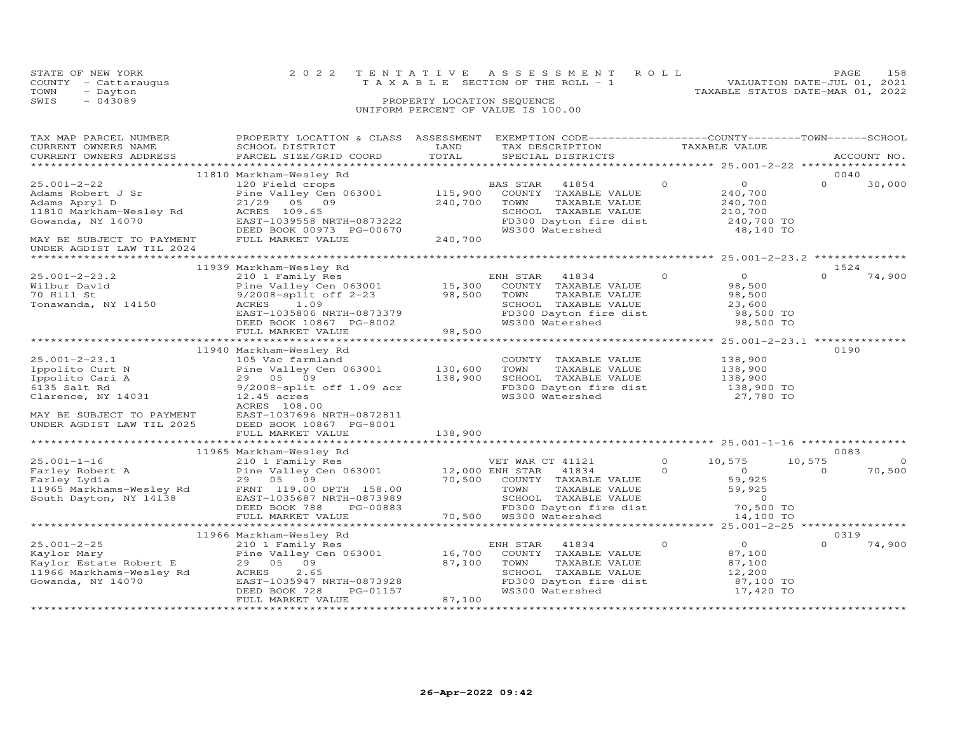| STATE OF NEW YORK    | 2022 TENTATIVE ASSESSMENT ROLL        |                                  | PAGE.                       | 158 |
|----------------------|---------------------------------------|----------------------------------|-----------------------------|-----|
| COUNTY - Cattaraugus | T A X A B L E SECTION OF THE ROLL - 1 |                                  | VALUATION DATE-JUL 01, 2021 |     |
| TOWN<br>- Dayton     |                                       | TAXABLE STATUS DATE-MAR 01, 2022 |                             |     |
| SWIS<br>$-043089$    | PROPERTY LOCATION SEQUENCE            |                                  |                             |     |
|                      | UNIFORM PERCENT OF VALUE IS 100.00    |                                  |                             |     |

| TAX MAP PARCEL NUMBER<br>CURRENT OWNERS NAME<br>CURRENT OWNERS ADDRESS                                                                                    | PROPERTY LOCATION & CLASS ASSESSMENT<br>SCHOOL DISTRICT<br>PARCEL SIZE/GRID COORD                                                                                                                          | LAND<br>TOTAL                 | EXEMPTION CODE-----------------COUNTY-------TOWN------SCHOOL<br>TAX DESCRIPTION<br>SPECIAL DISTRICTS                                                   | TAXABLE VALUE        |                                                                             |                            | ACCOUNT NO.        |
|-----------------------------------------------------------------------------------------------------------------------------------------------------------|------------------------------------------------------------------------------------------------------------------------------------------------------------------------------------------------------------|-------------------------------|--------------------------------------------------------------------------------------------------------------------------------------------------------|----------------------|-----------------------------------------------------------------------------|----------------------------|--------------------|
|                                                                                                                                                           |                                                                                                                                                                                                            |                               |                                                                                                                                                        |                      |                                                                             |                            |                    |
| $25.001 - 2 - 22$<br>Adams Robert J Sr<br>Adams Apryl D<br>11810 Markham-Wesley Rd<br>Gowanda, NY 14070<br>MAY BE SUBJECT TO PAYMENT                      | 11810 Markham-Wesley Rd<br>120 Field crops<br>Pine Valley Cen 063001<br>21/29 05 09<br>ACRES 109.65<br>EAST-1039558 NRTH-0873222<br>DEED BOOK 00973 PG-00670<br>FULL MARKET VALUE                          | 115,900<br>240,700<br>240,700 | BAS STAR<br>41854<br>COUNTY<br>TAXABLE VALUE<br>TAXABLE VALUE<br>TOWN<br>SCHOOL TAXABLE VALUE<br>FD300 Dayton fire dist<br>WS300 Watershed             | $\Omega$             | $\overline{0}$<br>240,700<br>240,700<br>210,700<br>240,700 TO<br>48,140 TO  | 0040<br>$\Omega$           | 30,000             |
| UNDER AGDIST LAW TIL 2024                                                                                                                                 |                                                                                                                                                                                                            |                               |                                                                                                                                                        |                      |                                                                             |                            |                    |
|                                                                                                                                                           | 11939 Markham-Wesley Rd                                                                                                                                                                                    |                               |                                                                                                                                                        |                      |                                                                             | 1524                       |                    |
| $25.001 - 2 - 23.2$<br>Wilbur David<br>70 Hill St<br>Tonawanda, NY 14150                                                                                  | 210 1 Family Res<br>Pine Valley Cen 063001<br>9/2008-split off 2-23<br>ACRES 1.09<br>EAST-1035806 NRTH-0873379<br>DEED BOOK 10867 PG-8002<br>FULL MARKET VALUE                                             | 15,300<br>98,500<br>98,500    | 41834<br>ENH STAR<br>COUNTY TAXABLE VALUE<br>TOWN<br>TAXABLE VALUE<br>SCHOOL TAXABLE VALUE<br>FD300 Dayton fire dist<br>WS300 Watershed                | $\Omega$             | $\Omega$<br>98,500<br>98,500<br>23,600<br>98,500 TO<br>98,500 TO            | $\Omega$                   | 74,900             |
|                                                                                                                                                           |                                                                                                                                                                                                            |                               |                                                                                                                                                        |                      |                                                                             |                            |                    |
| $25.001 - 2 - 23.1$<br>Ippolito Curt N<br>Ippolito Cari A<br>6135 Salt Rd<br>Clarence, NY 14031<br>MAY BE SUBJECT TO PAYMENT<br>UNDER AGDIST LAW TIL 2025 | 11940 Markham-Wesley Rd<br>105 Vac farmland<br>Pine Valley Cen 063001<br>29 05 09<br>$9/2008$ -split off 1.09 acr<br>$12.45$ acres<br>ACRES 108.00<br>EAST-1037696 NRTH-0872811<br>DEED BOOK 10867 PG-8001 | 130,600<br>138,900            | COUNTY TAXABLE VALUE<br>TOWN<br>TAXABLE VALUE<br>SCHOOL TAXABLE VALUE<br>FD300 Dayton fire dist<br>WS300 Watershed                                     |                      | 138,900<br>138,900<br>138,900<br>138,900 TO<br>27,780 TO                    | 0190                       |                    |
|                                                                                                                                                           | FULL MARKET VALUE                                                                                                                                                                                          | 138,900                       |                                                                                                                                                        |                      |                                                                             |                            |                    |
|                                                                                                                                                           |                                                                                                                                                                                                            |                               |                                                                                                                                                        |                      |                                                                             |                            |                    |
| $25.001 - 1 - 16$<br>Farley Robert A<br>Farley Lydia<br>11965 Markhams-Wesley Rd<br>South Dayton, NY 14138                                                | 11965 Markham-Wesley Rd<br>210 1 Family Res<br>Pine Valley Cen 063001<br>29 05 09<br>FRNT 119.00 DPTH 158.00<br>EAST-1035687 NRTH-0873989<br>DEED BOOK 788<br>PG-00883<br>FULL MARKET VALUE                | 12,000 ENH STAR<br>70,500     | VET WAR CT 41121<br>41834<br>COUNTY TAXABLE VALUE<br>TOWN<br>TAXABLE VALUE<br>SCHOOL TAXABLE VALUE<br>FD300 Dayton fire dist<br>70,500 WS300 Watershed | $\Omega$<br>$\Omega$ | 10,575<br>$\circ$<br>59,925<br>59,925<br>$\Omega$<br>70,500 TO<br>14,100 TO | 0083<br>10,575<br>$\Omega$ | $\Omega$<br>70,500 |
|                                                                                                                                                           |                                                                                                                                                                                                            |                               |                                                                                                                                                        |                      |                                                                             |                            |                    |
| $25.001 - 2 - 25$<br>Kaylor Mary<br>Kaylor Estate Robert E<br>11966 Markhams-Wesley Rd<br>Gowanda, NY 14070                                               | 11966 Markham-Wesley Rd<br>210 1 Family Res<br>Pine Valley Cen 063001<br>29 05 09<br>2.65<br>ACRES<br>EAST-1035947 NRTH-0873928<br>DEED BOOK 728<br>PG-01157<br>FULL MARKET VALUE                          | 16,700<br>87,100<br>87,100    | 41834<br>ENH STAR<br>COUNTY TAXABLE VALUE<br>TAXABLE VALUE<br>TOWN<br>SCHOOL TAXABLE VALUE<br>FD300 Dayton fire dist<br>WS300 Watershed                | $\Omega$             | $\overline{O}$<br>87,100<br>87,100<br>12,200<br>87,100 TO<br>17,420 TO      | 0319<br>$\Omega$           | 74,900             |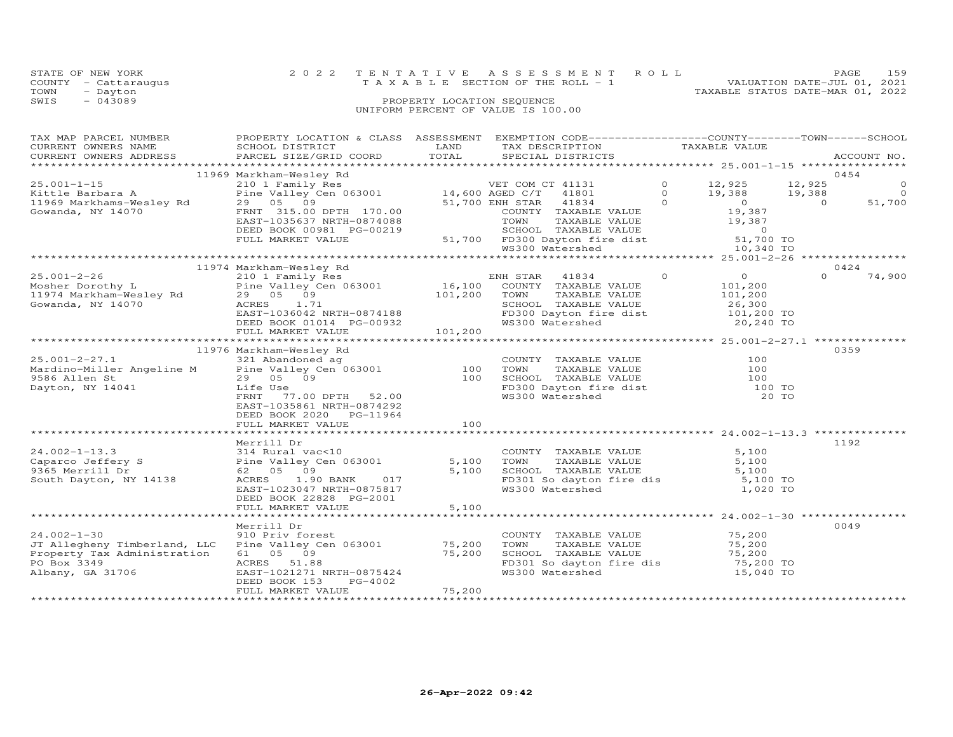| COUNTY<br>- Cattaraugus<br>TOWN<br>- Dayton  |                                                                                  |        | T A X A B L E SECTION OF THE ROLL - 1                                          |  | TAXABLE STATUS DATE-MAR 01, 2022 | VALUATION DATE-JUL 01, 2021 |             |
|----------------------------------------------|----------------------------------------------------------------------------------|--------|--------------------------------------------------------------------------------|--|----------------------------------|-----------------------------|-------------|
| SWIS<br>$-043089$                            |                                                                                  |        |                                                                                |  |                                  |                             |             |
| TAX MAP PARCEL NUMBER<br>CURRENT OWNERS NAME | PROPERTY LOCATION & CLASS ASSESSMENT<br>SCHOOL DISTRICT                          | LAND   | EXEMPTION CODE-----------------COUNTY-------TOWN-----SCHOOL<br>TAX DESCRIPTION |  | TAXABLE VALUE                    |                             |             |
|                                              | CURRENT OWNERS ADDRESS 6 PARCEL SIZE/GRID COORD 6 TOTAL 6PECIAL DISTRICTS        |        |                                                                                |  |                                  |                             | ACCOUNT NO. |
|                                              | 11969 Markham-Wesley Rd                                                          |        |                                                                                |  |                                  |                             | 0454        |
| $25.001 - 1 - 15$                            | 210 1 Family Res                                                                 |        | VET COM CT 41131                                                               |  | 12,925                           | 12,925                      | $\circ$     |
| Kittle Barbara A                             | Pine Valley Cen 063001 14,600 AGED C/T 41801                                     |        |                                                                                |  | 19,388                           | 19,388                      | $\circ$     |
| 11969 Markhams-Wesley Rd                     | 29 05 09                                                                         |        | 51,700 ENH STAR 41834                                                          |  |                                  | $\overline{a}$              | 51,700      |
| Gowanda, NY 14070                            | FRNT 315.00 DPTH 170.00<br>EAST-1035637 NRTH-0874088<br>DEED BOOK 00981 PG-00219 |        | COUNTY<br>TAXABLE VALUE<br>TAXABLE VALUE<br>TOWN<br>TAXABLE VALUE<br>SCHOOL    |  | 19,387<br>19,387<br>$\Omega$     |                             |             |
|                                              | FULL MARKET VALUE                                                                | 51,700 | FD300 Dayton fire dist<br>WS300 Watershed and the WS300 Watershed              |  | 51,700 TO<br>10,340 TO           |                             |             |
|                                              |                                                                                  |        |                                                                                |  |                                  |                             |             |
|                                              | 11974 Markham-Wooley Pd                                                          |        |                                                                                |  |                                  | 0121                        |             |

STATE OF NEW YORK 2 0 2 2 T E N T A T I V E A S S E S S M E N T R O L L PAGE 159

|                                                                                                                                            |                                                                                                                                                                                      |                    |                                                                                                                                                 |                                                                         | $10,010$ $10$                |
|--------------------------------------------------------------------------------------------------------------------------------------------|--------------------------------------------------------------------------------------------------------------------------------------------------------------------------------------|--------------------|-------------------------------------------------------------------------------------------------------------------------------------------------|-------------------------------------------------------------------------|------------------------------|
|                                                                                                                                            | 11974 Markham-Wesley Rd                                                                                                                                                              |                    |                                                                                                                                                 |                                                                         | 0424                         |
| $25.001 - 2 - 26$<br>Mosher Dorothy L<br>11974 Markham-Wesley Rd 29 05 09<br>Gowanda, NY 14070                                             | 210 1 Family Res<br>Pine Valley Cen 063001 16,100<br>ACRES<br>1.71<br>EAST-1036042 NRTH-0874188<br>DEED BOOK 01014 PG-00932<br>FULL MARKET VALUE                                     | 101,200<br>101,200 | ENH STAR 41834<br>COUNTY TAXABLE VALUE<br>TOWN<br>TAXABLE VALUE<br>SCHOOL TAXABLE VALUE<br>FD300 Dayton fire dist 101,200 TO<br>WS300 Watershed | $\Omega$<br>$\overline{0}$<br>101,200<br>101,200<br>26,300<br>20,240 TO | $\circ$<br>74,900            |
|                                                                                                                                            | 11976 Markham-Wesley Rd                                                                                                                                                              |                    |                                                                                                                                                 |                                                                         | 0359                         |
| $25.001 - 2 - 27.1$<br>9586 Allen St<br>Dayton, NY 14041                                                                                   | 321 Abandoned ag<br>Mardino-Miller Angeline M Pine Valley Cen 063001 100<br>29 05 09<br>Life Use<br>FRNT<br>77.00 DPTH 52.00<br>EAST-1035861 NRTH-0874292<br>DEED BOOK 2020 PG-11964 | 100                | COUNTY TAXABLE VALUE<br>TOWN<br>TAXABLE VALUE<br>SCHOOL TAXABLE VALUE<br>FD300 Dayton fire dist 100 TO<br>WS300 Watershed                       |                                                                         | 100<br>100<br>100<br>20 TO   |
|                                                                                                                                            | FULL MARKET VALUE                                                                                                                                                                    | 100                |                                                                                                                                                 |                                                                         |                              |
|                                                                                                                                            |                                                                                                                                                                                      |                    |                                                                                                                                                 |                                                                         |                              |
| $24.002 - 1 - 13.3$<br>Caparco Jeffery S<br>9365 Merrill Dr<br>South Dayton, NY 14138                                                      | Merrill Dr<br>314 Rural vac<10<br>Pine Valley Cen 063001<br>62 05 09<br>ACRES 1.90 BANK<br>017<br>EAST-1023047 NRTH-0875817<br>DEED BOOK 22828 PG-2001                               | 5,100<br>5,100     | COUNTY TAXABLE VALUE<br>TOWN<br>TAXABLE VALUE<br>SCHOOL TAXABLE VALUE<br>FD301 So dayton fire dis<br>WS300 Watershed                            | 5,100<br>5,100<br>5,100                                                 | 1192<br>5,100 TO<br>1,020 TO |
|                                                                                                                                            | FULL MARKET VALUE                                                                                                                                                                    | 5,100              |                                                                                                                                                 |                                                                         |                              |
| $24.002 - 1 - 30$<br>JT Allegheny Timberland, LLC Pine Valley Cen 063001<br>Property Tax Administration<br>PO Box 3349<br>Albany, GA 31706 | Merrill Dr<br>910 Priv forest<br>61 05 09<br>ACRES 51.88<br>EAST-1021271 NRTH-0875424<br>DEED BOOK 153<br>PG-4002                                                                    | 75,200<br>75,200   | COUNTY TAXABLE VALUE<br>TOWN<br>TAXABLE VALUE<br>SCHOOL TAXABLE VALUE<br>FD301 So dayton fire dis 75,200 TO<br>WS300 Watershed                  | 75,200<br>75,200<br>75,200                                              | 0049<br>15,040 TO            |
|                                                                                                                                            | FULL MARKET VALUE                                                                                                                                                                    | 75,200             |                                                                                                                                                 |                                                                         |                              |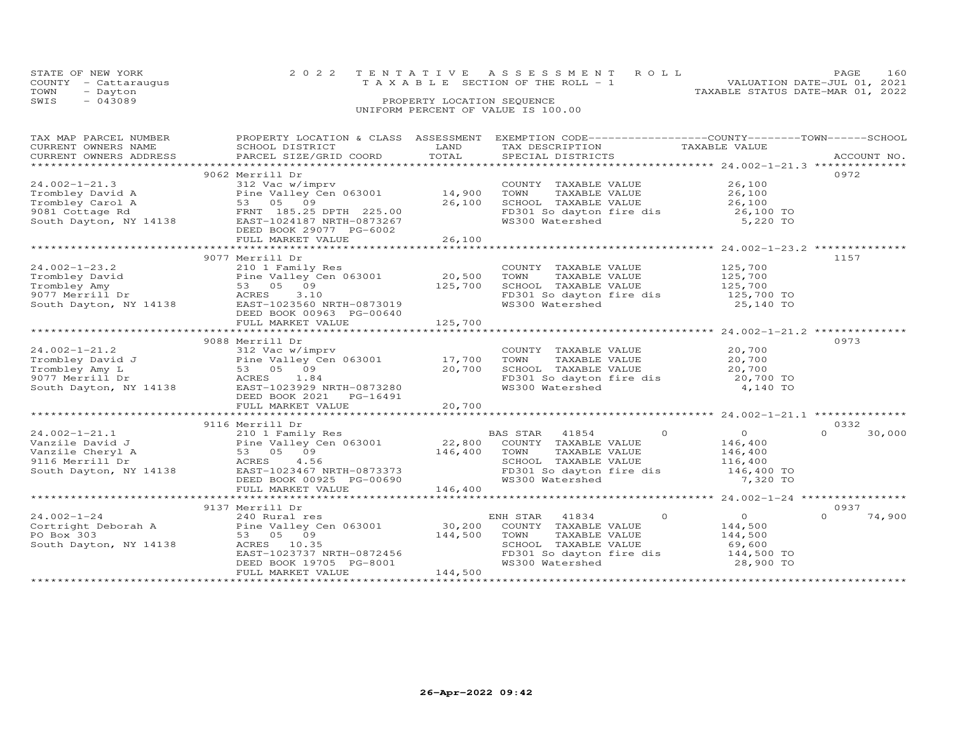|      | STATE OF NEW YORK    | 2022 TENTATIVE ASSESSMENT ROLL                                       | PAGE | 160 |
|------|----------------------|----------------------------------------------------------------------|------|-----|
|      | COUNTY - Cattaraugus | VALUATION DATE-JUL 01, 2021<br>T A X A B L E SECTION OF THE ROLL - 1 |      |     |
| TOWN | - Dayton             | TAXABLE STATUS DATE-MAR 01, 2022                                     |      |     |
| SWIS | $-043089$            | PROPERTY LOCATION SEQUENCE                                           |      |     |
|      |                      | UNIFORM PERCENT OF VALUE IS 100.00                                   |      |     |
|      |                      |                                                                      |      |     |

| TAX MAP PARCEL NUMBER<br>TA PIA TANDER NOTICE TO A TAND AND TRIAL TRIAL TRIAL TRIAL TRIAL TRIAL TRIAL TRIAL TRIAL TRIAL TRIAL TRIAL TRIAL TRIAL TRIAL TRIAL TRIAL TRIAL TRIAL TRIAL TRIAL TRIAL TRIAL TRIAL TRIAL TRIAL TRIAL TRIAL TRIAL TRIAL TRIAL T | PROPERTY LOCATION & CLASS ASSESSMENT |                    | EXEMPTION CODE-----------------COUNTY-------TOWN------SCHOOL                           |                                                             |                    |
|---------------------------------------------------------------------------------------------------------------------------------------------------------------------------------------------------------------------------------------------------------|--------------------------------------|--------------------|----------------------------------------------------------------------------------------|-------------------------------------------------------------|--------------------|
|                                                                                                                                                                                                                                                         |                                      |                    |                                                                                        |                                                             |                    |
|                                                                                                                                                                                                                                                         | 9062 Merrill Dr                      |                    |                                                                                        |                                                             | 0972               |
| $24.002 - 1 - 21.3$                                                                                                                                                                                                                                     | 312 Vac w/imprv                      |                    | COUNTY TAXABLE VALUE 26,100                                                            |                                                             |                    |
|                                                                                                                                                                                                                                                         | Pine Valley Cen 063001 14,900        |                    | TOWN                                                                                   | TAXABLE VALUE $26,100$<br>TAXABLE VALUE $26,100$            |                    |
|                                                                                                                                                                                                                                                         |                                      | 26,100             |                                                                                        |                                                             |                    |
|                                                                                                                                                                                                                                                         |                                      |                    |                                                                                        |                                                             |                    |
| Frombley David A<br>Trombley Carol A<br>9081 Cottage Rd 8001<br>Say 185.25 DPTH 225.00<br>South Dayton, NY 14138<br>EAST-1024187 NRTH-0873267<br>DEED BOOK 29077 PG-6002                                                                                |                                      |                    | SCHOOL TAXABLE VALUE<br>FD301 So dayton fire dis 36,100 TO<br>WS300 Watershed 5,220 TO |                                                             |                    |
|                                                                                                                                                                                                                                                         | FULL MARKET VALUE                    | 26,100             |                                                                                        |                                                             |                    |
|                                                                                                                                                                                                                                                         |                                      |                    |                                                                                        | ***************************** 24.002-1-23.2 *************** |                    |
|                                                                                                                                                                                                                                                         | 9077 Merrill Dr                      |                    |                                                                                        |                                                             | 1157               |
| $24.002 - 1 - 23.2$                                                                                                                                                                                                                                     | 210 1 Family Res                     |                    | COUNTY TAXABLE VALUE 125,700                                                           |                                                             |                    |
|                                                                                                                                                                                                                                                         | Pine Valley Cen 063001               |                    |                                                                                        |                                                             |                    |
|                                                                                                                                                                                                                                                         | 53 05 09                             | 20,500<br>125,700  | TOWN TAXABLE VALUE 125,700<br>SCHOOL TAXABLE VALUE 125,700                             |                                                             |                    |
|                                                                                                                                                                                                                                                         | 3.10                                 |                    | FD301 So dayton fire dis 125,700 TO<br>WS300 Watershed 25,140 TO                       |                                                             |                    |
|                                                                                                                                                                                                                                                         | EAST-1023560 NRTH-0873019            |                    |                                                                                        |                                                             |                    |
|                                                                                                                                                                                                                                                         | DEED BOOK 00963 PG-00640             |                    |                                                                                        |                                                             |                    |
|                                                                                                                                                                                                                                                         | FULL MARKET VALUE                    | 125,700            |                                                                                        |                                                             |                    |
|                                                                                                                                                                                                                                                         |                                      | ****************** |                                                                                        | ******************************24.002-1-21.2 **********      |                    |
|                                                                                                                                                                                                                                                         | 9088 Merrill Dr                      |                    |                                                                                        |                                                             | 0973               |
|                                                                                                                                                                                                                                                         |                                      |                    | COUNTY TAXABLE VALUE 20,700<br>TOWN TAXABLE VALUE 20,700                               |                                                             |                    |
|                                                                                                                                                                                                                                                         |                                      |                    |                                                                                        |                                                             |                    |
|                                                                                                                                                                                                                                                         |                                      |                    | TOWN TAXABLE VALUE<br>SCHOOL TAXABLE VALUE 20,700 TO<br>CHOOL TAXABLE VALUE 20,700 TO  |                                                             |                    |
|                                                                                                                                                                                                                                                         |                                      |                    | FD301 So dayton fire dis<br>WS300 Watershed                                            | 4,140 TO                                                    |                    |
|                                                                                                                                                                                                                                                         | DEED BOOK 2021    PG-16491           |                    |                                                                                        |                                                             |                    |
|                                                                                                                                                                                                                                                         |                                      |                    |                                                                                        |                                                             |                    |
|                                                                                                                                                                                                                                                         |                                      |                    |                                                                                        |                                                             |                    |
|                                                                                                                                                                                                                                                         | 9116 Merrill Dr                      |                    |                                                                                        |                                                             | 0332               |
|                                                                                                                                                                                                                                                         |                                      |                    | BAS STAR 41854                                                                         | $\overline{0}$<br>$\Omega$                                  | $\Omega$<br>30,000 |
|                                                                                                                                                                                                                                                         |                                      |                    | COUNTY TAXABLE VALUE                                                                   | 146,400                                                     |                    |
|                                                                                                                                                                                                                                                         |                                      |                    | TOWN<br>TOWN       TAXABLE  VALUE<br>SCHOOL    TAXABLE  VALUE                          | 146,400<br>116,400                                          |                    |
| 24.002-1-21.1 210 1 Family Res BA<br>Vanzile David J Pine Valley Cen 063001 22,800<br>Vanzile Cheryl A 53 05 09 146,400<br>9116 Merrill Dr ACRES 4.56<br>South Dayton, NY 14138 EAST-1023467 NRTH-0873373                                               |                                      |                    |                                                                                        |                                                             |                    |
|                                                                                                                                                                                                                                                         |                                      |                    | FD301 So dayton fire dis 146,400 TO<br>WS300 Watershed 7.320 TO                        | 7,320 TO                                                    |                    |
|                                                                                                                                                                                                                                                         |                                      |                    |                                                                                        |                                                             |                    |
|                                                                                                                                                                                                                                                         |                                      |                    |                                                                                        |                                                             |                    |
|                                                                                                                                                                                                                                                         | 9137 Merrill Dr                      |                    |                                                                                        |                                                             | 0937               |
|                                                                                                                                                                                                                                                         |                                      |                    | ENH STAR 41834                                                                         | $\Omega$<br>$\overline{O}$                                  | 74,900<br>$\Omega$ |
|                                                                                                                                                                                                                                                         |                                      |                    | COUNTY TAXABLE VALUE                                                                   | 144,500                                                     |                    |
| 24.002-1-24<br>Cortright Deborah A 240 Rural res<br>Pine Valley Cen 063001 30,200<br>53 05 09 144,500                                                                                                                                                   |                                      | 144,500            | TOWN<br>TAXABLE VALUE                                                                  | 144,500                                                     |                    |
| South Dayton, NY 14138                                                                                                                                                                                                                                  | ACRES 10.35                          |                    | SCHOOL TAXABLE VALUE                                                                   | 69,600                                                      |                    |
|                                                                                                                                                                                                                                                         | EAST-1023737 NRTH-0872456            |                    | FD301 So dayton fire dis 144,500 TO<br>WS300 Watershed 28,900 TO                       |                                                             |                    |
|                                                                                                                                                                                                                                                         | DEED BOOK 19705 PG-8001              | 144,500            |                                                                                        |                                                             |                    |
|                                                                                                                                                                                                                                                         | FULL MARKET VALUE                    |                    |                                                                                        |                                                             |                    |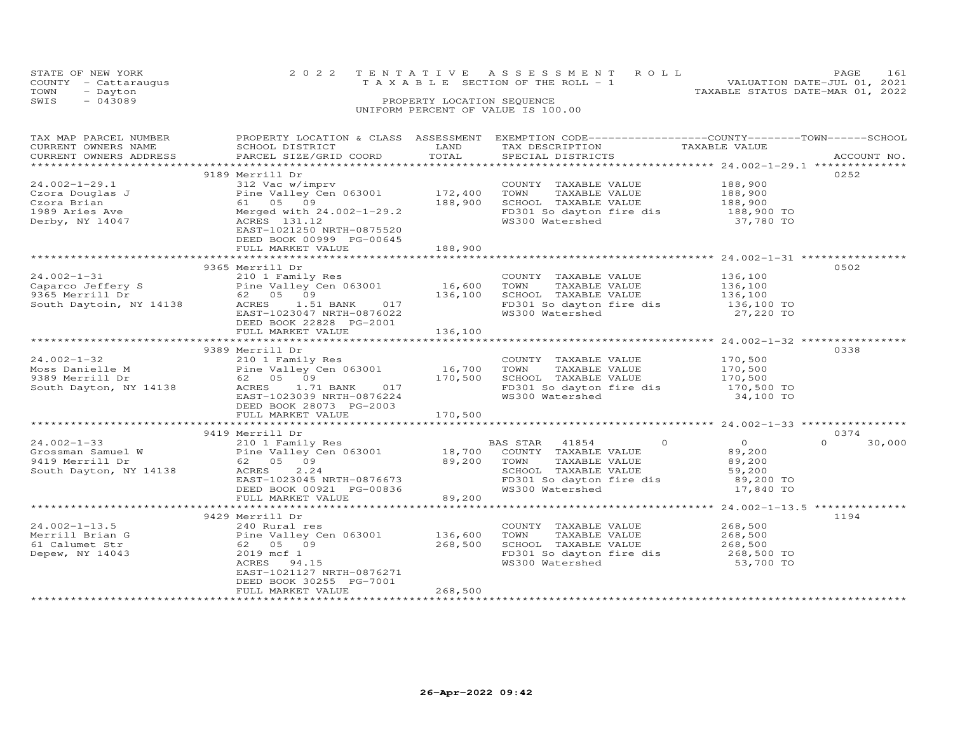| STATE OF NEW YORK    | 2022 TENTATIVE ASSESSMENT ROLL        | PAGE.                            | 161 |
|----------------------|---------------------------------------|----------------------------------|-----|
| COUNTY - Cattaraugus | T A X A B L E SECTION OF THE ROLL - 1 | VALUATION DATE-JUL 01, 2021      |     |
| TOWN<br>- Dayton     |                                       | TAXABLE STATUS DATE-MAR 01, 2022 |     |
| $-043089$<br>SWIS    | PROPERTY LOCATION SEQUENCE            |                                  |     |
|                      | UNIFORM PERCENT OF VALUE IS 100.00    |                                  |     |

| TAX MAP PARCEL NUMBER  |                                                                                                                                                                                                                                        |                  | PROPERTY LOCATION & CLASS ASSESSMENT EXEMPTION CODE----------------COUNTY-------TOWN------SCHOOL |                                        |                    |
|------------------------|----------------------------------------------------------------------------------------------------------------------------------------------------------------------------------------------------------------------------------------|------------------|--------------------------------------------------------------------------------------------------|----------------------------------------|--------------------|
| CURRENT OWNERS NAME    | SCHOOL DISTRICT                                                                                                                                                                                                                        | LAND             | TAX DESCRIPTION                                                                                  | TAXABLE VALUE                          |                    |
| CURRENT OWNERS ADDRESS | PARCEL SIZE/GRID COORD                                                                                                                                                                                                                 | TOTAL            | SPECIAL DISTRICTS                                                                                |                                        | ACCOUNT NO.        |
|                        |                                                                                                                                                                                                                                        |                  |                                                                                                  |                                        |                    |
|                        | 9189 Merrill Dr                                                                                                                                                                                                                        |                  |                                                                                                  |                                        | 0252               |
| $24.002 - 1 - 29.1$    | 312 Vac w/imprv                                                                                                                                                                                                                        |                  | COUNTY TAXABLE VALUE 188,900<br>TOWN TAXABLE VALUE 188,900<br>SCHOOL TAXABLE VALUE 188,900       |                                        |                    |
|                        |                                                                                                                                                                                                                                        |                  |                                                                                                  |                                        |                    |
|                        | 24.002-1-29.1<br>Czora Douglas J (2007) Pine Valley Cen 063001 172,400<br>Czora Brian 61 05 09 188,900<br>1989 Aries Ave Merged with 24.002-1-29.2<br>Derby, NY 14047 (ACRES 131.12                                                    |                  |                                                                                                  |                                        |                    |
|                        |                                                                                                                                                                                                                                        |                  | SCHOOL TAXABLE VALUE 188,900<br>FD301 So dayton fire dis 188,900 TO<br>WS300 Watershed 37,780 TO |                                        |                    |
|                        |                                                                                                                                                                                                                                        |                  |                                                                                                  |                                        |                    |
|                        | EAST-1021250 NRTH-0875520                                                                                                                                                                                                              |                  |                                                                                                  |                                        |                    |
|                        | DEED BOOK 00999 PG-00645                                                                                                                                                                                                               |                  |                                                                                                  |                                        |                    |
|                        | FULL MARKET VALUE                                                                                                                                                                                                                      | 188,900          |                                                                                                  |                                        |                    |
|                        |                                                                                                                                                                                                                                        |                  |                                                                                                  |                                        |                    |
|                        | 9365 Merrill Dr                                                                                                                                                                                                                        |                  |                                                                                                  |                                        | 0502               |
|                        | 3363 Mericial Dr. (1980)<br>21002-1-31<br>2101 Taxable Value (2000 Pine Valley Cen 063001 (2000 Pine Value Caparco Jeffery S<br>210 FD305 Merrill Dr. (2005 09 136,100 SCHOOL TAXABLE VALUE 136,100<br>2136,100 South Daytoin, NY 1413 |                  |                                                                                                  |                                        |                    |
|                        |                                                                                                                                                                                                                                        |                  |                                                                                                  |                                        |                    |
|                        |                                                                                                                                                                                                                                        |                  |                                                                                                  |                                        |                    |
|                        |                                                                                                                                                                                                                                        |                  |                                                                                                  |                                        |                    |
|                        |                                                                                                                                                                                                                                        |                  |                                                                                                  |                                        |                    |
|                        |                                                                                                                                                                                                                                        |                  |                                                                                                  |                                        |                    |
|                        | DEED BOOK 22828 PG-2001                                                                                                                                                                                                                |                  |                                                                                                  |                                        |                    |
|                        | FULL MARKET VALUE                                                                                                                                                                                                                      | 136,100          |                                                                                                  |                                        |                    |
|                        |                                                                                                                                                                                                                                        |                  |                                                                                                  |                                        |                    |
|                        | 9389 Merrill Dr                                                                                                                                                                                                                        |                  |                                                                                                  |                                        | 0338               |
|                        |                                                                                                                                                                                                                                        |                  |                                                                                                  |                                        |                    |
|                        |                                                                                                                                                                                                                                        |                  |                                                                                                  |                                        |                    |
|                        |                                                                                                                                                                                                                                        |                  | SCHOOL TAXABLE VALUE                                                                             |                                        |                    |
|                        |                                                                                                                                                                                                                                        |                  | FD301 So dayton fire dis 170,500 TO                                                              |                                        |                    |
|                        | 24.002-1-32<br>Moss Danielle M<br>9389 Merrill Dr<br>South Dayton, NY 14138<br>Example 2 05 09<br>South Dayton, NY 14138<br>EXAGES 1.71 BANK<br>EXAGES 1.71 BANK<br>EXAGES 1.71 BANK<br>EXAGES 1.71 BANK<br>POLICY 2017<br>PC-2003     |                  | WS300 Watershed                                                                                  | 34,100 TO                              |                    |
|                        |                                                                                                                                                                                                                                        |                  |                                                                                                  |                                        |                    |
|                        | DEED BOOK 28073 PG-2003                                                                                                                                                                                                                | $G-2003$ 170,500 |                                                                                                  |                                        |                    |
|                        | FULL MARKET VALUE                                                                                                                                                                                                                      |                  |                                                                                                  |                                        |                    |
|                        |                                                                                                                                                                                                                                        |                  |                                                                                                  |                                        | 0374               |
|                        | 9419 Merrill Dr                                                                                                                                                                                                                        |                  |                                                                                                  |                                        |                    |
|                        |                                                                                                                                                                                                                                        |                  | BAS STAR 41854 0                                                                                 | $\begin{array}{c}0\\89,200\end{array}$ | $\Omega$<br>30,000 |
|                        |                                                                                                                                                                                                                                        |                  |                                                                                                  |                                        |                    |
|                        |                                                                                                                                                                                                                                        |                  | TOWN       TAXABLE  VALUE<br>SCHOOL    TAXABLE  VALUE                                            | 89,200<br>59,200                       |                    |
|                        |                                                                                                                                                                                                                                        |                  |                                                                                                  |                                        |                    |
|                        |                                                                                                                                                                                                                                        |                  |                                                                                                  | 89,200 TO<br>17,840 TO                 |                    |
|                        | 1121119 2.24<br>EAST-1023045 NRTH-0876673<br>DEED BOOK 00921 PG-00836<br>FULL MARKET VALUE                                                                                                                                             |                  | FD301 So dayton fire dis<br>WS300 Watershed                                                      |                                        |                    |
|                        | FULL MARKET VALUE                                                                                                                                                                                                                      | 89,200           |                                                                                                  |                                        |                    |
|                        |                                                                                                                                                                                                                                        |                  |                                                                                                  |                                        |                    |
|                        | 9429 Merrill Dr                                                                                                                                                                                                                        |                  |                                                                                                  |                                        | 1194               |
| $24.002 - 1 - 13.5$    | 240 Rural res                                                                                                                                                                                                                          |                  | COUNTY TAXABLE VALUE 268,500                                                                     |                                        |                    |
| Merrill Brian G        |                                                                                                                                                                                                                                        |                  |                                                                                                  |                                        |                    |
| 61 Calumet Str         | 240 Kurdi res<br>Pine Valley Cen 063001 136,600<br>62 05 09 268,500                                                                                                                                                                    |                  | TOWN TAXABLE VALUE 268,500<br>SCHOOL TAXABLE VALUE 268,500                                       |                                        |                    |
| Depew, NY 14043        | 2019 mcf 1                                                                                                                                                                                                                             |                  |                                                                                                  |                                        |                    |
|                        | ACRES 94.15                                                                                                                                                                                                                            |                  | FD301 So dayton fire dis<br>WS300 Watershed 53,700 TO                                            |                                        |                    |
|                        |                                                                                                                                                                                                                                        |                  |                                                                                                  |                                        |                    |
|                        | EAST-1021127 NRTH-0876271                                                                                                                                                                                                              |                  |                                                                                                  |                                        |                    |
|                        | DEED BOOK 30255 PG-7001                                                                                                                                                                                                                |                  |                                                                                                  |                                        |                    |
|                        | FULL MARKET VALUE                                                                                                                                                                                                                      | 268,500          |                                                                                                  |                                        |                    |
|                        |                                                                                                                                                                                                                                        |                  |                                                                                                  |                                        |                    |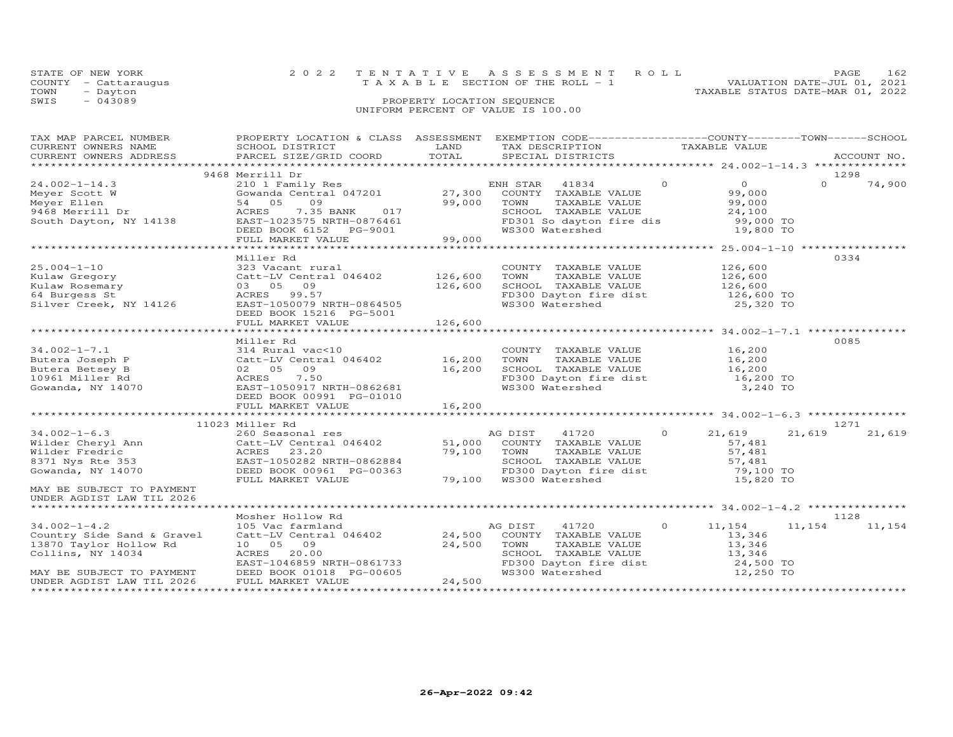|      | STATE OF NEW YORK    | 2022 TENTATIVE ASSESSMENT ROLL                                       | 162<br>PAGE. |  |
|------|----------------------|----------------------------------------------------------------------|--------------|--|
|      | COUNTY - Cattaraugus | VALUATION DATE-JUL 01, 2021<br>T A X A B L E SECTION OF THE ROLL - 1 |              |  |
| TOWN | - Dayton             | TAXABLE STATUS DATE-MAR 01, 2022                                     |              |  |
| SWIS | $-043089$            | PROPERTY LOCATION SEQUENCE                                           |              |  |
|      |                      | UNIFORM PERCENT OF VALUE IS 100.00                                   |              |  |

| TAX MAP PARCEL NUMBER                                                                                                                                                                                                                | PROPERTY LOCATION & CLASS ASSESSMENT EXEMPTION CODE----------------COUNTY-------TOWN------SCHOOL |         |                                                                                    |               |                     |          |                 |
|--------------------------------------------------------------------------------------------------------------------------------------------------------------------------------------------------------------------------------------|--------------------------------------------------------------------------------------------------|---------|------------------------------------------------------------------------------------|---------------|---------------------|----------|-----------------|
| CURRENT OWNERS NAME                                                                                                                                                                                                                  | SCHOOL DISTRICT                                                                                  | LAND    | TAX DESCRIPTION                                                                    | TAXABLE VALUE |                     |          |                 |
| CURRENT OWNERS ADDRESS                                                                                                                                                                                                               | PARCEL SIZE/GRID COORD                                                                           | TOTAL   | SPECIAL DISTRICTS                                                                  |               |                     |          | ACCOUNT NO.     |
|                                                                                                                                                                                                                                      |                                                                                                  |         |                                                                                    |               |                     |          |                 |
|                                                                                                                                                                                                                                      | 9468 Merrill Dr                                                                                  |         |                                                                                    |               |                     | 1298     |                 |
| $24.002 - 1 - 14.3$                                                                                                                                                                                                                  | 210 1 Family Res<br>Gowanda Central 047201 27,300                                                |         | ENH STAR 41834                                                                     | $\Omega$      | $\Omega$            | $\Omega$ | 74,900          |
| Meyer Scott W                                                                                                                                                                                                                        |                                                                                                  |         | COUNTY TAXABLE VALUE                                                               |               | 99,000              |          |                 |
|                                                                                                                                                                                                                                      | 54 05 09                                                                                         | 99,000  | TOWN<br>TAXABLE VALUE                                                              |               | 99,000              |          |                 |
| Meyer Ellen<br>9468 Merrill Dr                                                                                                                                                                                                       |                                                                                                  |         | SCHOOL TAXABLE VALUE                                                               |               | 24,100              |          |                 |
| South Dayton, NY 14138                                                                                                                                                                                                               |                                                                                                  |         |                                                                                    |               |                     |          |                 |
|                                                                                                                                                                                                                                      | ACRES 7.35 BANK 017<br>EAST-1023575 NRTH-0876461<br>DEED BOOK 6152 PG-9001                       |         | FD301 So dayton fire dis 99,000 TO<br>WS300 Watershed 19,800 TO                    |               |                     |          |                 |
|                                                                                                                                                                                                                                      |                                                                                                  | 99,000  |                                                                                    |               |                     |          |                 |
|                                                                                                                                                                                                                                      | FULL MARKET VALUE                                                                                |         |                                                                                    |               |                     |          |                 |
|                                                                                                                                                                                                                                      |                                                                                                  |         |                                                                                    |               |                     |          |                 |
|                                                                                                                                                                                                                                      | Miller Rd                                                                                        |         |                                                                                    |               |                     | 0334     |                 |
|                                                                                                                                                                                                                                      |                                                                                                  |         | COUNTY TAXABLE VALUE                                                               |               | 126,600             |          |                 |
|                                                                                                                                                                                                                                      |                                                                                                  |         | TOWN      TAXABLE VALUE<br>SCHOOL   TAXABLE VALUE                                  |               | 126,600<br>126,600  |          |                 |
|                                                                                                                                                                                                                                      |                                                                                                  |         |                                                                                    |               |                     |          |                 |
|                                                                                                                                                                                                                                      |                                                                                                  |         | FD300 Dayton fire dist 126,600 TO<br>WS300 Watershed 25,320 TO                     |               |                     |          |                 |
|                                                                                                                                                                                                                                      |                                                                                                  |         |                                                                                    |               |                     |          |                 |
|                                                                                                                                                                                                                                      | DEED BOOK 15216 PG-5001                                                                          |         |                                                                                    |               |                     |          |                 |
|                                                                                                                                                                                                                                      | FULL MARKET VALUE                                                                                | 126,600 |                                                                                    |               |                     |          |                 |
|                                                                                                                                                                                                                                      |                                                                                                  |         |                                                                                    |               |                     |          |                 |
|                                                                                                                                                                                                                                      | Miller Rd                                                                                        |         |                                                                                    |               |                     | 0085     |                 |
| $34.002 - 1 - 7.1$                                                                                                                                                                                                                   | 314 Rural vac<10                                                                                 |         | COUNTY TAXABLE VALUE                                                               |               |                     |          |                 |
|                                                                                                                                                                                                                                      |                                                                                                  |         | TAXABLE VALUE<br>TOWN                                                              |               | 16,200<br>16,200    |          |                 |
| 34.002-1-7.1 314 Rural vac<10<br>Butera Joseph P Catt-LV Central 046402 16,200<br>Butera Betsey B 02 05 09<br>10961 Miller Rd ACRES 7.50<br>Gowanda, NY 14070 EAST-1050917 NRTH-0862681<br>DEED BOOK 00991 PG-01010                  |                                                                                                  |         |                                                                                    |               |                     |          |                 |
|                                                                                                                                                                                                                                      |                                                                                                  |         | SCHOOL TAXABLE VALUE<br>FD300 Dayton fire dist<br>WS300 Watershed                  |               | 16,200<br>16,200 TO |          |                 |
|                                                                                                                                                                                                                                      |                                                                                                  |         |                                                                                    |               |                     |          |                 |
|                                                                                                                                                                                                                                      |                                                                                                  |         |                                                                                    |               | 3,240 TO            |          |                 |
|                                                                                                                                                                                                                                      | DEED BOOK 00991 PG-01010                                                                         |         |                                                                                    |               |                     |          |                 |
|                                                                                                                                                                                                                                      | FULL MARKET VALUE                                                                                | 16,200  |                                                                                    |               |                     |          |                 |
|                                                                                                                                                                                                                                      |                                                                                                  |         |                                                                                    |               |                     |          |                 |
|                                                                                                                                                                                                                                      | 11023 Miller Rd                                                                                  |         |                                                                                    |               |                     | 1271     |                 |
| $34.002 - 1 - 6.3$                                                                                                                                                                                                                   | 260 Seasonal res                                                                                 |         | AG DIST 41720 0 21,619                                                             |               |                     | 21,619   | 21,619          |
|                                                                                                                                                                                                                                      |                                                                                                  |         |                                                                                    |               | 57,481              |          |                 |
|                                                                                                                                                                                                                                      |                                                                                                  |         |                                                                                    |               | 57,481              |          |                 |
|                                                                                                                                                                                                                                      |                                                                                                  |         |                                                                                    |               |                     |          |                 |
| Wilder Cheryl Ann Catt-LV Central 046402 51,000 COUNTY TAXABLE VALUE<br>Wilder Fredric MCRES 23.20 79,100 COUNTY TAXABLE VALUE<br>8371 Nys Rte 353 EAST-1050282 NRTH-0862884 5CHOOL TAXABLE VALUE<br>Gowanda, NY 14070 DEED BOOK 009 |                                                                                                  |         | SCHOOL TAXABLE VALUE<br>FD300 Dayton fire dist<br>79,100 WS300 Watershed           |               | 57,481<br>79,100 TO |          |                 |
|                                                                                                                                                                                                                                      | FULL MARKET VALUE                                                                                |         |                                                                                    |               | 15,820 TO           |          |                 |
| MAY BE SUBJECT TO PAYMENT                                                                                                                                                                                                            |                                                                                                  |         |                                                                                    |               |                     |          |                 |
| UNDER AGDIST LAW TIL 2026                                                                                                                                                                                                            |                                                                                                  |         |                                                                                    |               |                     |          |                 |
|                                                                                                                                                                                                                                      |                                                                                                  |         |                                                                                    |               |                     |          |                 |
|                                                                                                                                                                                                                                      | Mosher Hollow Rd                                                                                 |         |                                                                                    |               |                     | 1128     |                 |
|                                                                                                                                                                                                                                      |                                                                                                  |         |                                                                                    |               |                     |          |                 |
| $34.002 - 1 - 4.2$                                                                                                                                                                                                                   | 105 Vac farmland                                                                                 |         | AG DIST<br>41720                                                                   | $\circ$       | 11,154              |          | 11, 154 11, 154 |
| Country Side Sand & Gravel                                                                                                                                                                                                           | Catt-LV Central 046402 24,500 COUNTY TAXABLE VALUE                                               |         |                                                                                    |               | 13,346              |          |                 |
| 13870 Taylor Hollow Rd                                                                                                                                                                                                               | 10 05 09                                                                                         | 24,500  | TOWN<br>TAXABLE VALUE                                                              |               | 13,346              |          |                 |
| Collins, NY 14034                                                                                                                                                                                                                    | ACRES 20.00<br>EAST-1046859 NRTH-0861733                                                         |         |                                                                                    |               |                     |          |                 |
|                                                                                                                                                                                                                                      |                                                                                                  |         |                                                                                    |               |                     |          |                 |
| MAY BE SUBJECT TO PAYMENT                                                                                                                                                                                                            | DEED BOOK 01018 PG-00605                                                                         |         | SCHOOL TAXABLE VALUE<br>FD300 Dayton fire dist 13,346<br>WS300 Watershed 12,250 TO |               |                     |          |                 |
| UNDER AGDIST LAW TIL 2026                                                                                                                                                                                                            | FULL MARKET VALUE                                                                                | 24,500  |                                                                                    |               |                     |          |                 |
|                                                                                                                                                                                                                                      |                                                                                                  |         |                                                                                    |               |                     |          |                 |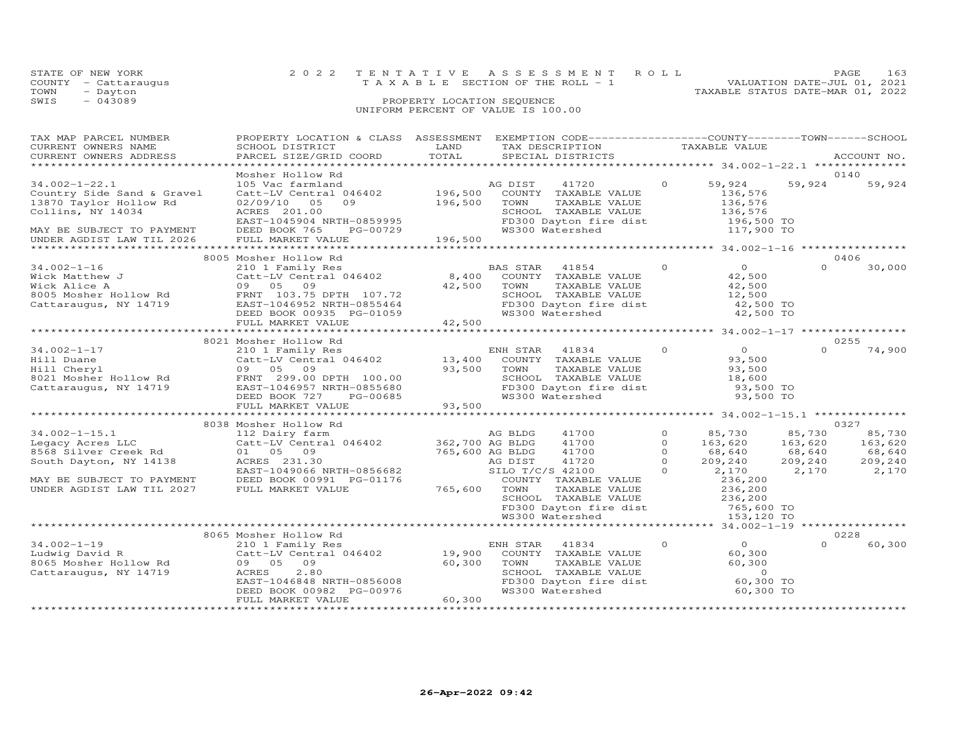| STATE OF NEW YORK    | 2022 TENTATIVE ASSESSMENT ROLL                                 | PAGE. | 163 |
|----------------------|----------------------------------------------------------------|-------|-----|
| COUNTY - Cattaraugus | VALUATION DATE-JUL 01, 2021<br>TAXABLE SECTION OF THE ROLL - 1 |       |     |
| TOWN<br>- Dayton     | TAXABLE STATUS DATE-MAR 01, 2022                               |       |     |
| SWIS<br>$-043089$    | PROPERTY LOCATION SEQUENCE                                     |       |     |
|                      | UNIFORM PERCENT OF VALUE IS 100.00                             |       |     |

| TAX MAP PARCEL NUMBER<br>CURRENT OWNERS NAME<br>CURRENT OWNERS ADDRESS                                                                                     | PROPERTY LOCATION & CLASS ASSESSMENT<br>SCHOOL DISTRICT<br>PARCEL SIZE/GRID COORD                                                                                                        | LAND<br>TOTAL                                  | EXEMPTION CODE-----------------COUNTY-------TOWN------SCHOOL<br>TAX DESCRIPTION<br>SPECIAL DISTRICTS                                                         |                                                         | TAXABLE VALUE                                                            |                                                 | ACCOUNT NO.                                             |
|------------------------------------------------------------------------------------------------------------------------------------------------------------|------------------------------------------------------------------------------------------------------------------------------------------------------------------------------------------|------------------------------------------------|--------------------------------------------------------------------------------------------------------------------------------------------------------------|---------------------------------------------------------|--------------------------------------------------------------------------|-------------------------------------------------|---------------------------------------------------------|
| *************************                                                                                                                                  |                                                                                                                                                                                          |                                                |                                                                                                                                                              |                                                         |                                                                          |                                                 |                                                         |
| $34.002 - 1 - 22.1$<br>Country Side Sand & Gravel<br>13870 Taylor Hollow Rd<br>Collins, NY 14034<br>MAY BE SUBJECT TO PAYMENT<br>UNDER AGDIST LAW TIL 2026 | Mosher Hollow Rd<br>105 Vac farmland<br>Catt-LV Central 046402<br>02/09/10<br>05<br>09<br>ACRES 201.00<br>EAST-1045904 NRTH-0859995<br>DEED BOOK 765<br>PG-00729<br>FULL MARKET VALUE    | $196,500$ <sup>111</sup><br>196,500<br>196,500 | AG DIST<br>41720<br>COUNTY TAXABLE VALUE<br>TOWN<br>TAXABLE VALUE<br>SCHOOL TAXABLE VALUE<br>FD300 Dayton fire dist 196,500 TO<br>WS300 Watershed 117,900 TO | $\Omega$                                                | 59,924<br>136,576<br>136,576<br>136,576                                  | 59,924                                          | 0140<br>59,924                                          |
|                                                                                                                                                            |                                                                                                                                                                                          |                                                |                                                                                                                                                              |                                                         |                                                                          |                                                 |                                                         |
| $34.002 - 1 - 16$<br>34.002-1 10<br>Wick Matthew J<br>8005 Mosher Hollow Rd<br>Cattaraugus, NY 14719                                                       | 8005 Mosher Hollow Rd<br>210 1 Family Res<br>Catt-LV Central 046402<br>09 05 09<br>FRNT 103.75 DPTH 107.72<br>EAST-1046952 NRTH-0855464<br>DEED BOOK 00935 PG-01059<br>FULL MARKET VALUE | 8,400<br>42,500<br>42,500                      | BAS STAR<br>41854<br>COUNTY TAXABLE VALUE<br>TOWN<br>TAXABLE VALUE<br>SCHOOL TAXABLE VALUE<br>SCHOOL Innoces<br>FD300 Dayton fire dist<br>FCCO Witchebed     | $\Omega$                                                | $\overline{O}$<br>42,500<br>42,500<br>12,500<br>42,500 TO<br>42,500 TO   | $\Omega$                                        | 0406<br>30,000                                          |
|                                                                                                                                                            | *******************************                                                                                                                                                          |                                                |                                                                                                                                                              |                                                         |                                                                          |                                                 |                                                         |
| $34.002 - 1 - 17$<br>Hill Duane<br>Hill Cheryl<br>8021 Mosher Hollow Rd<br>Cattaraugus, NY 14719                                                           | 8021 Mosher Hollow Rd<br>210 1 Family Res<br>Catt-LV Central 046402<br>09 05 09<br>FRNT 299.00 DPTH 100.00<br>EAST-1046957 NRTH-0855680<br>DEED BOOK 727<br>PG-00685                     | 13,400<br>93,500                               | ENH STAR<br>41834<br>COUNTY TAXABLE VALUE<br>TOWN<br>TAXABLE VALUE<br>SCHOOL TAXABLE VALUE<br>FD300 Dayton fire dist<br>The Contractor<br>WS300 Watershed    | $\circ$                                                 | $\overline{0}$<br>93,500<br>93,500<br>18,600<br>93,500 TO<br>93,500 TO   | $\Omega$                                        | 0255<br>74,900                                          |
|                                                                                                                                                            | FULL MARKET VALUE<br>**********************                                                                                                                                              |                                                |                                                                                                                                                              |                                                         |                                                                          |                                                 |                                                         |
| $34.002 - 1 - 15.1$<br>Legacy Acres LLC<br>8568 Silver Creek Rd<br>South Dayton, NY 14138                                                                  | 8038 Mosher Hollow Rd<br>112 Dairy farm<br>Catt-LV Central 046402<br>01 05 09<br>ACRES 231.30<br>EAST-1049066 NRTH-0856682                                                               | 362,700 AG BLDG<br>765,600 AG BLDG             | 41700<br>AG BLDG<br>41700<br>41700<br>AG DIST<br>41720<br>SILO T/C/S 42100                                                                                   | $\circ$<br>$\Omega$<br>$\Omega$<br>$\Omega$<br>$\Omega$ | 85,730<br>163,620<br>68,640<br>209,240<br>2,170                          | 85,730<br>163,620<br>68,640<br>209,240<br>2,170 | 0327<br>85,730<br>163,620<br>68,640<br>209,240<br>2,170 |
| MAY BE SUBJECT TO PAYMENT<br>UNDER AGDIST LAW TIL 2027                                                                                                     | DEED BOOK 00991 PG-01176<br>FULL MARKET VALUE                                                                                                                                            | 765,600                                        | COUNTY TAXABLE VALUE<br>TOWN<br>TAXABLE VALUE<br>SCHOOL TAXABLE VALUE<br>FD300 Dayton fire dist<br>WS300 Watershed                                           |                                                         | 236,200<br>236,200<br>236,200<br>765,600 TO<br>153,120 TO                |                                                 |                                                         |
|                                                                                                                                                            | 8065 Mosher Hollow Rd                                                                                                                                                                    |                                                |                                                                                                                                                              |                                                         | ******** 34.002-1-19 ****************                                    |                                                 | 0228                                                    |
| $34.002 - 1 - 19$<br>Ludwig David R<br>8065 Mosher Hollow Rd<br>Cattaraugus, NY 14719                                                                      | 210 1 Family Res<br>Catt-LV Central 046402 19,900<br>09 05 09<br>2.80<br>ACRES<br>EAST-1046848 NRTH-0856008<br>DEED BOOK 00982 PG-00976<br>FULL MARKET VALUE                             | 60,300<br>60,300                               | ENH STAR<br>41834<br>COUNTY TAXABLE VALUE<br>TOWN<br>TAXABLE VALUE<br>SCHOOL TAXABLE VALUE<br>FD300 Dayton fire dist<br>WS300 Watershed                      | $\Omega$                                                | $\Omega$<br>60,300<br>60,300<br>$\overline{0}$<br>60,300 TO<br>60,300 TO | $\Omega$                                        | 60,300                                                  |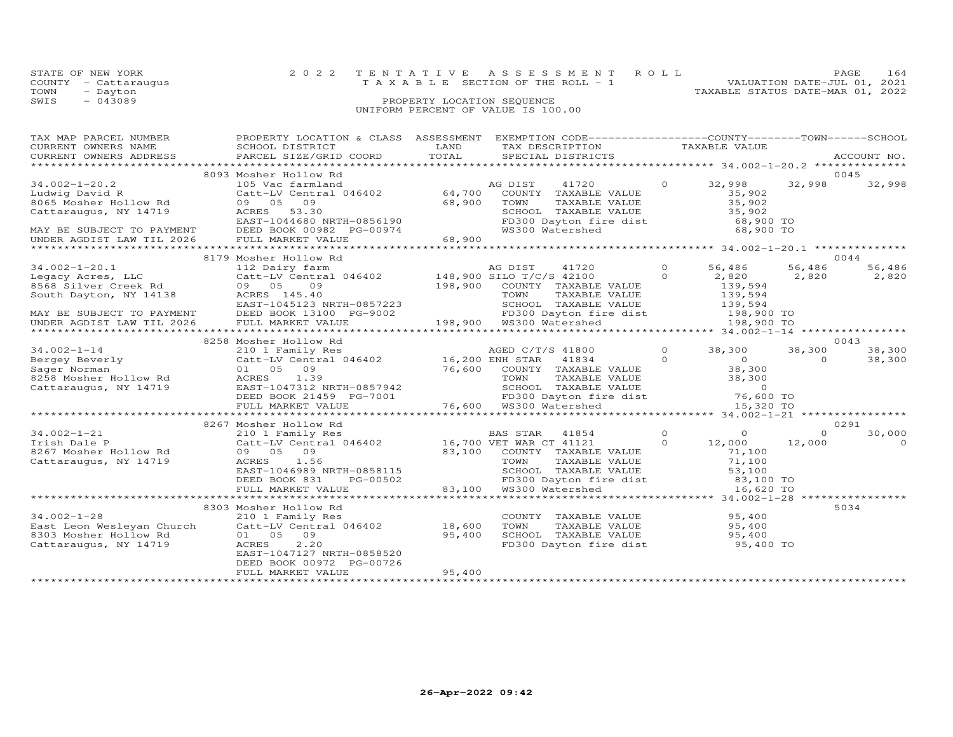| STATE OF NEW YORK    | 2022 TENTATIVE ASSESSMENT ROLL     | <b>PAGE</b>                      | 164 |
|----------------------|------------------------------------|----------------------------------|-----|
| COUNTY - Cattaraugus | TAXABLE SECTION OF THE ROLL - 1    | VALUATION DATE-JUL 01, 2021      |     |
| TOWN<br>- Dayton     |                                    | TAXABLE STATUS DATE-MAR 01, 2022 |     |
| SWIS<br>$-043089$    | PROPERTY LOCATION SEQUENCE         |                                  |     |
|                      | UNIFORM PERCENT OF VALUE IS 100.00 |                                  |     |

| TAX MAP PARCEL NUMBER                       | PROPERTY LOCATION & CLASS ASSESSMENT EXEMPTION CODE----------------COUNTY-------TOWN-----SCHOOL                                                                                                                                              |        |                                                                                                                                                               |                |                |          |             |
|---------------------------------------------|----------------------------------------------------------------------------------------------------------------------------------------------------------------------------------------------------------------------------------------------|--------|---------------------------------------------------------------------------------------------------------------------------------------------------------------|----------------|----------------|----------|-------------|
| CURRENT OWNERS NAME                         | SCHOOL DISTRICT                                                                                                                                                                                                                              | LAND   | TAX DESCRIPTION                                                                                                                                               |                | TAXABLE VALUE  |          |             |
| CURRENT OWNERS ADDRESS                      | PARCEL SIZE/GRID COORD                                                                                                                                                                                                                       | TOTAL  | SPECIAL DISTRICTS                                                                                                                                             |                |                |          | ACCOUNT NO. |
|                                             |                                                                                                                                                                                                                                              |        |                                                                                                                                                               |                |                |          |             |
|                                             | 8093 Mosher Hollow Rd                                                                                                                                                                                                                        |        |                                                                                                                                                               |                |                |          | 0045        |
| $34.002 - 1 - 20.2$                         | 105 Vac farmland                                                                                                                                                                                                                             |        | AG DIST<br>41720                                                                                                                                              | $\overline{O}$ | 32,998         | 32,998   | 32,998      |
| Ludwig David R                              | xub vac rarmiand<br>Catt-LV Central 046402 64,700                                                                                                                                                                                            |        | COUNTY TAXABLE VALUE<br>TOWN TAXABLE VALUE<br>SCHOOL TAXABLE VALUE<br>FD300 Dayton fire dist<br>FD300 Dayton fire dist 68,900 TO<br>WS300 Watershed 68,900 TO |                |                |          |             |
| 8065 Mosher Hollow Rd                       | 09 05 09                                                                                                                                                                                                                                     | 68,900 |                                                                                                                                                               |                |                |          |             |
|                                             |                                                                                                                                                                                                                                              |        |                                                                                                                                                               |                |                |          |             |
|                                             |                                                                                                                                                                                                                                              |        |                                                                                                                                                               |                |                |          |             |
|                                             |                                                                                                                                                                                                                                              |        |                                                                                                                                                               |                |                |          |             |
|                                             | Cactaraugus, NY 14719<br>EAST-1044680 NRTH-0856190<br>MAY BE SUBJECT TO PAYMENT DEED BOOK 00982 PG-00974                                                                                                                                     |        |                                                                                                                                                               |                |                |          |             |
| UNDER AGDIST LAW TIL 2026 FULL MARKET VALUE |                                                                                                                                                                                                                                              | 68,900 |                                                                                                                                                               |                |                |          |             |
|                                             |                                                                                                                                                                                                                                              |        |                                                                                                                                                               |                |                |          |             |
|                                             | 8179 Mosher Hollow Rd                                                                                                                                                                                                                        |        |                                                                                                                                                               |                |                |          | 0044        |
| $34.002 - 1 - 20.1$                         | 112 Dairy farm                                                                                                                                                                                                                               |        | AG DIST<br>41720                                                                                                                                              | $\Omega$       | 56,486         | 56,486   | 56,486      |
| Legacy Acres, LLC                           | $112 \text{ hours}$ $41720$ 0<br>Catt-LV Central 046402 148,900 SILO T/C/S 42100 0                                                                                                                                                           |        |                                                                                                                                                               |                | 2,820          | 2,820    | 2,820       |
|                                             |                                                                                                                                                                                                                                              |        |                                                                                                                                                               |                |                |          |             |
|                                             |                                                                                                                                                                                                                                              |        |                                                                                                                                                               |                |                |          |             |
|                                             |                                                                                                                                                                                                                                              |        |                                                                                                                                                               |                |                |          |             |
|                                             |                                                                                                                                                                                                                                              |        |                                                                                                                                                               |                |                |          |             |
|                                             | EXAMBLE VALUE<br>SURVENT MARKET VALUE<br>MAY BE SUBJECT TO PAYMENT DEED BOOK 13100 PG-9002<br>UNDER AGDIST LAW TIL 2026 FULL MARKET VALUE<br>TOWN TAXABLE VALUE<br>MAY BE SUBJECT TO PAYMENT DEED BOOK 13100 PG-9002<br>UNDER AGDIST LAW T   |        |                                                                                                                                                               |                |                |          |             |
|                                             |                                                                                                                                                                                                                                              |        |                                                                                                                                                               |                |                |          |             |
|                                             | 8258 Mosher Hollow Rd                                                                                                                                                                                                                        |        |                                                                                                                                                               |                |                |          | 0043        |
|                                             |                                                                                                                                                                                                                                              |        |                                                                                                                                                               |                |                |          |             |
| $34.002 - 1 - 14$                           | 210 1 Family Res<br>Catt-LV Central 046402 16,200 ENH STAR 41834 0                                                                                                                                                                           |        |                                                                                                                                                               | $\Omega$       | 38,300         | 38,300   | 38,300      |
| Bergey Beverly<br>Sager Norman              |                                                                                                                                                                                                                                              |        |                                                                                                                                                               |                | $\overline{0}$ | $\Omega$ | 38,300      |
|                                             |                                                                                                                                                                                                                                              |        |                                                                                                                                                               |                |                |          |             |
|                                             |                                                                                                                                                                                                                                              |        |                                                                                                                                                               |                |                |          |             |
|                                             |                                                                                                                                                                                                                                              |        |                                                                                                                                                               |                |                |          |             |
|                                             | Example of the catternal of the catternal of the catternal of the catternal of the catternal of the catternal of the catternal of the catternal of the catternal of the catternal of the catternal of the catternal of the cat               |        |                                                                                                                                                               |                |                |          |             |
|                                             |                                                                                                                                                                                                                                              |        | 76,600 WS300 Watershed                                                                                                                                        |                |                |          |             |
|                                             |                                                                                                                                                                                                                                              |        |                                                                                                                                                               |                |                |          |             |
|                                             | 8267 Mosher Hollow Rd                                                                                                                                                                                                                        |        |                                                                                                                                                               |                |                |          | 0291        |
| $34.002 - 1 - 21$                           | 210 1 Family Res                                                                                                                                                                                                                             |        | BAS STAR 41854                                                                                                                                                | $\Omega$       | $\Omega$       | $\Omega$ | 30,000      |
| Irish Dale P                                | Catt-LV Central 046402 16,700 VET WAR CT 41121                                                                                                                                                                                               |        |                                                                                                                                                               | $\Omega$       | 12,000         | 12,000   | $\Omega$    |
| 8267 Mosher Hollow Rd                       | 09 05 09                                                                                                                                                                                                                                     |        | 10,700 VLI WAR TAXABLE VALUE<br>83,100 COUNTY TAXABLE VALUE<br>TOWN TAXABLE VALUE                                                                             |                | 71,100         |          |             |
| Cattaraugus, NY 14719                       |                                                                                                                                                                                                                                              |        |                                                                                                                                                               |                |                |          |             |
|                                             | 09 05 09<br>ACRES 1.56 53,100<br>EAST-1046989 NRTH-0858115 53,100 53,100<br>DEED BOOK 831 ----PG-00502 83.100 WS300 Watershed<br>83,100 TO 8300 Watershed<br>83,100 TO 8300 Watershed<br>83,100 TO 8300 Watershed<br>83,100 TO 8300 Watershe |        |                                                                                                                                                               |                |                |          |             |
|                                             |                                                                                                                                                                                                                                              |        |                                                                                                                                                               |                |                |          |             |
|                                             |                                                                                                                                                                                                                                              |        |                                                                                                                                                               |                |                |          |             |
|                                             |                                                                                                                                                                                                                                              |        |                                                                                                                                                               |                |                |          |             |
|                                             |                                                                                                                                                                                                                                              |        |                                                                                                                                                               |                |                |          |             |
|                                             | 8303 Mosher Hollow Rd                                                                                                                                                                                                                        |        |                                                                                                                                                               |                |                |          | 5034        |
| $34.002 - 1 - 28$                           | 210 1 Family Res                                                                                                                                                                                                                             |        | COUNTY TAXABLE VALUE 95,400                                                                                                                                   |                |                |          |             |
|                                             | East Leon Wesleyan Church Catt-LV Central 046402 18,600                                                                                                                                                                                      |        | TAXABLE VALUE 95,400<br>TOWN                                                                                                                                  |                |                |          |             |
| 8303 Mosher Hollow Rd                       | 01 05 09                                                                                                                                                                                                                                     | 95,400 | SCHOOL TAXABLE VALUE 95,400<br>FD300 Dayton fire dist 95,400 TO                                                                                               |                |                |          |             |
| Cattaraugus, NY 14719                       | ACRES<br>2,20                                                                                                                                                                                                                                |        |                                                                                                                                                               |                |                |          |             |
|                                             | EAST-1047127 NRTH-0858520                                                                                                                                                                                                                    |        |                                                                                                                                                               |                |                |          |             |
|                                             | DEED BOOK 00972 PG-00726                                                                                                                                                                                                                     |        |                                                                                                                                                               |                |                |          |             |
|                                             | FULL MARKET VALUE                                                                                                                                                                                                                            | 95,400 |                                                                                                                                                               |                |                |          |             |
|                                             |                                                                                                                                                                                                                                              |        |                                                                                                                                                               |                |                |          |             |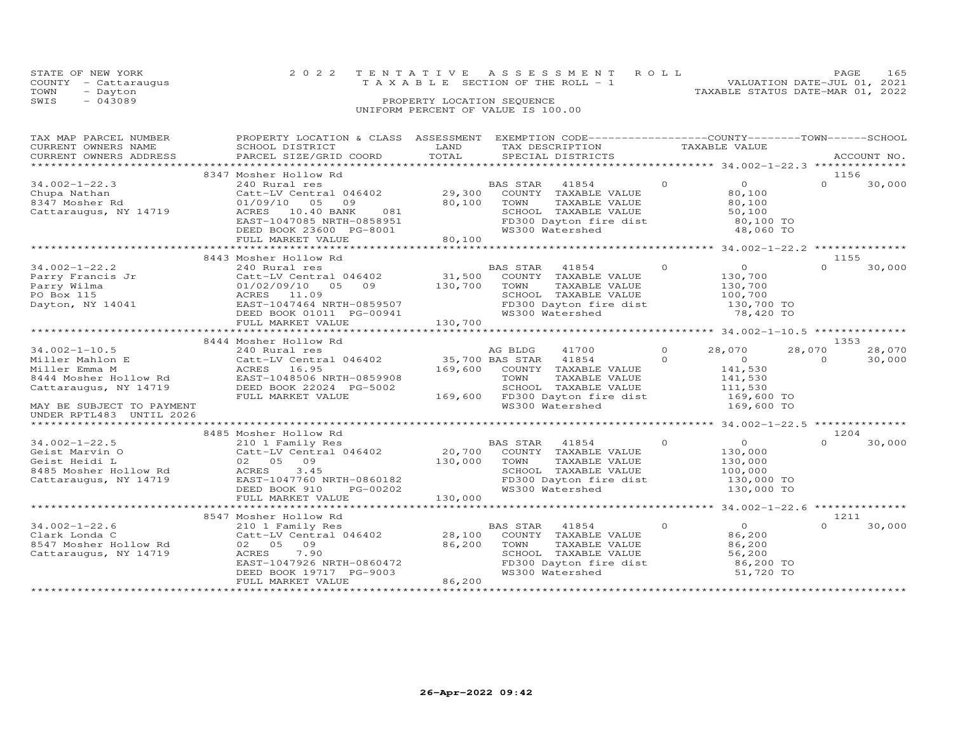| STATE OF NEW YORK    | 2022 TENTATIVE ASSESSMENT ROLL        | PAGE.                       | 165 |
|----------------------|---------------------------------------|-----------------------------|-----|
| COUNTY - Cattaraugus | T A X A B L E SECTION OF THE ROLL - 1 | VALUATION DATE-JUL 01, 2021 |     |
| TOWN<br>- Dayton     | TAXABLE STATUS DATE-MAR 01, 2022      |                             |     |
| SWIS<br>$-043089$    | PROPERTY LOCATION SEQUENCE            |                             |     |
|                      | UNIFORM PERCENT OF VALUE IS 100.00    |                             |     |

| TAX MAP PARCEL NUMBER<br>CURRENT OWNERS NAME<br>CURRENT OWNERS ADDRESS | PROPERTY LOCATION & CLASS ASSESSMENT<br>SCHOOL DISTRICT<br>PARCEL SIZE/GRID COORD | LAND<br>TOTAL          | EXEMPTION CODE------------------COUNTY-------TOWN------SCHOOL<br>TAX DESCRIPTION<br>SPECIAL DISTRICTS | TAXABLE VALUE |                                         |                | ACCOUNT NO. |
|------------------------------------------------------------------------|-----------------------------------------------------------------------------------|------------------------|-------------------------------------------------------------------------------------------------------|---------------|-----------------------------------------|----------------|-------------|
|                                                                        |                                                                                   |                        |                                                                                                       |               |                                         |                |             |
|                                                                        | 8347 Mosher Hollow Rd                                                             |                        |                                                                                                       |               |                                         | 1156           |             |
| $34.002 - 1 - 22.3$                                                    | 240 Rural res                                                                     |                        | BAS STAR<br>41854                                                                                     | $\circ$       | $\overline{O}$                          | $\Omega$       | 30,000      |
| Chupa Nathan                                                           | Catt-LV Central 046402                                                            | 29,300                 | COUNTY TAXABLE VALUE                                                                                  |               | 80,100                                  |                |             |
| 8347 Mosher Rd                                                         | 01/09/10<br>09<br>05                                                              | 80,100                 | TOWN<br>TAXABLE VALUE                                                                                 |               | 80,100                                  |                |             |
| Cattaraugus, NY 14719                                                  | ACRES<br>10.40 BANK<br>081                                                        |                        | SCHOOL TAXABLE VALUE                                                                                  |               | 50,100                                  |                |             |
|                                                                        | EAST-1047085 NRTH-0858951                                                         |                        | FD300 Dayton fire dist                                                                                |               | 80,100 TO                               |                |             |
|                                                                        | DEED BOOK 23600 PG-8001                                                           |                        | WS300 Watershed                                                                                       |               | 48,060 TO                               |                |             |
|                                                                        | FULL MARKET VALUE                                                                 | 80,100                 |                                                                                                       |               |                                         |                |             |
|                                                                        | 8443 Mosher Hollow Rd                                                             |                        |                                                                                                       |               |                                         | 1155           |             |
| $34.002 - 1 - 22.2$                                                    | 240 Rural res                                                                     |                        | 41854<br>BAS STAR                                                                                     | $\Omega$      | $\Omega$                                | $\Omega$       | 30,000      |
|                                                                        | Catt-LV Central 046402                                                            | 31,500                 | COUNTY TAXABLE VALUE                                                                                  |               | 130,700                                 |                |             |
| Parry Francis Jr<br>Parry Wilma                                        | 09<br>01/02/09/10<br>05                                                           | 130,700                | TOWN<br>TAXABLE VALUE                                                                                 |               | 130,700                                 |                |             |
| PO Box 115                                                             | 11.09<br>ACRES                                                                    |                        | SCHOOL TAXABLE VALUE                                                                                  |               | 100,700                                 |                |             |
| Dayton, NY 14041                                                       | EAST-1047464 NRTH-0859507                                                         |                        | FD300 Dayton fire dist                                                                                |               | 130,700 TO                              |                |             |
|                                                                        | DEED BOOK 01011 PG-00941                                                          |                        | WS300 Watershed                                                                                       |               | 78,420 TO                               |                |             |
|                                                                        | FULL MARKET VALUE                                                                 | 130,700                |                                                                                                       |               |                                         |                |             |
|                                                                        |                                                                                   |                        |                                                                                                       |               |                                         |                |             |
|                                                                        | 8444 Mosher Hollow Rd                                                             |                        |                                                                                                       |               |                                         | 1353           |             |
| $34.002 - 1 - 10.5$                                                    | 240 Rural res                                                                     |                        | AG BLDG<br>41700                                                                                      | $\Omega$      | 28,070                                  | 28,070         | 28,070      |
| Miller Mahlon E                                                        | Catt-LV Central 046402                                                            |                        | 35,700 BAS STAR<br>41854                                                                              | $\Omega$      | $\circ$                                 | $\Omega$       | 30,000      |
| Miller Emma M                                                          | ACRES<br>16.95                                                                    | 169,600                | COUNTY<br>TAXABLE VALUE                                                                               |               | 141,530                                 |                |             |
| 8444 Mosher Hollow Rd                                                  | EAST-1048506 NRTH-0859908                                                         |                        | TOWN<br>TAXABLE VALUE                                                                                 |               | 141,530                                 |                |             |
| Cattaraugus, NY 14719                                                  | DEED BOOK 22024 PG-5002                                                           |                        | SCHOOL TAXABLE VALUE                                                                                  |               | 111,530                                 |                |             |
|                                                                        | FULL MARKET VALUE                                                                 | 169,600                | FD300 Dayton fire dist                                                                                |               | 169,600 TO                              |                |             |
| MAY BE SUBJECT TO PAYMENT                                              |                                                                                   |                        | WS300 Watershed                                                                                       |               | 169,600 TO                              |                |             |
| UNDER RPTL483 UNTIL 2026                                               |                                                                                   |                        |                                                                                                       |               |                                         |                |             |
|                                                                        |                                                                                   |                        |                                                                                                       |               |                                         | ************** |             |
|                                                                        | 8485 Mosher Hollow Rd                                                             |                        |                                                                                                       |               |                                         | 1204           |             |
| $34.002 - 1 - 22.5$                                                    | 210 1 Family Res                                                                  | $20,700$ <sup>BZ</sup> | BAS STAR<br>41854                                                                                     | $\Omega$      | $\overline{0}$                          | $\Omega$       | 30,000      |
| Geist Marvin O                                                         | Catt-LV Central 046402                                                            |                        | COUNTY TAXABLE VALUE                                                                                  |               | 130,000                                 |                |             |
| Geist Heidi L                                                          | 09<br>02 05                                                                       | 130,000                | TAXABLE VALUE<br>TOWN                                                                                 |               | 130,000                                 |                |             |
| 8485 Mosher Hollow Rd                                                  | ACRES<br>3.45                                                                     |                        | SCHOOL TAXABLE VALUE                                                                                  |               | 100,000                                 |                |             |
| Cattaraugus, NY 14719                                                  | EAST-1047760 NRTH-0860182                                                         |                        | FD300 Dayton fire dist                                                                                |               | 130,000 TO                              |                |             |
|                                                                        | PG-00202<br>DEED BOOK 910                                                         |                        | WS300 Watershed                                                                                       |               | 130,000 TO                              |                |             |
|                                                                        | FULL MARKET VALUE                                                                 | 130,000                |                                                                                                       |               |                                         |                |             |
|                                                                        |                                                                                   |                        |                                                                                                       |               | ********** 34.002-1-22.6 ************** |                |             |
|                                                                        | 8547 Mosher Hollow Rd                                                             |                        |                                                                                                       |               |                                         | 1211           |             |
| $34.002 - 1 - 22.6$                                                    | 210 1 Family Res                                                                  |                        | BAS STAR<br>41854                                                                                     | $\Omega$      | $\overline{O}$                          | $\Omega$       | 30,000      |
| Clark Londa C                                                          | Catt-LV Central 046402                                                            | 28,100                 | COUNTY TAXABLE VALUE                                                                                  |               | 86,200                                  |                |             |
| 8547 Mosher Hollow Rd                                                  | 02 05<br>09                                                                       | 86,200                 | TOWN<br>TAXABLE VALUE                                                                                 |               | 86,200                                  |                |             |
| Cattaraugus, NY 14719                                                  | 7.90<br>ACRES                                                                     |                        | SCHOOL TAXABLE VALUE                                                                                  |               | 56,200                                  |                |             |
|                                                                        | EAST-1047926 NRTH-0860472                                                         |                        | FD300 Dayton fire dist<br>WS300 Watershed                                                             |               | 86,200 TO                               |                |             |
|                                                                        | DEED BOOK 19717 PG-9003<br>FULL MARKET VALUE                                      | 86,200                 |                                                                                                       |               | 51,720 TO                               |                |             |
|                                                                        |                                                                                   |                        |                                                                                                       |               | ****************************            |                |             |
|                                                                        |                                                                                   |                        |                                                                                                       |               |                                         |                |             |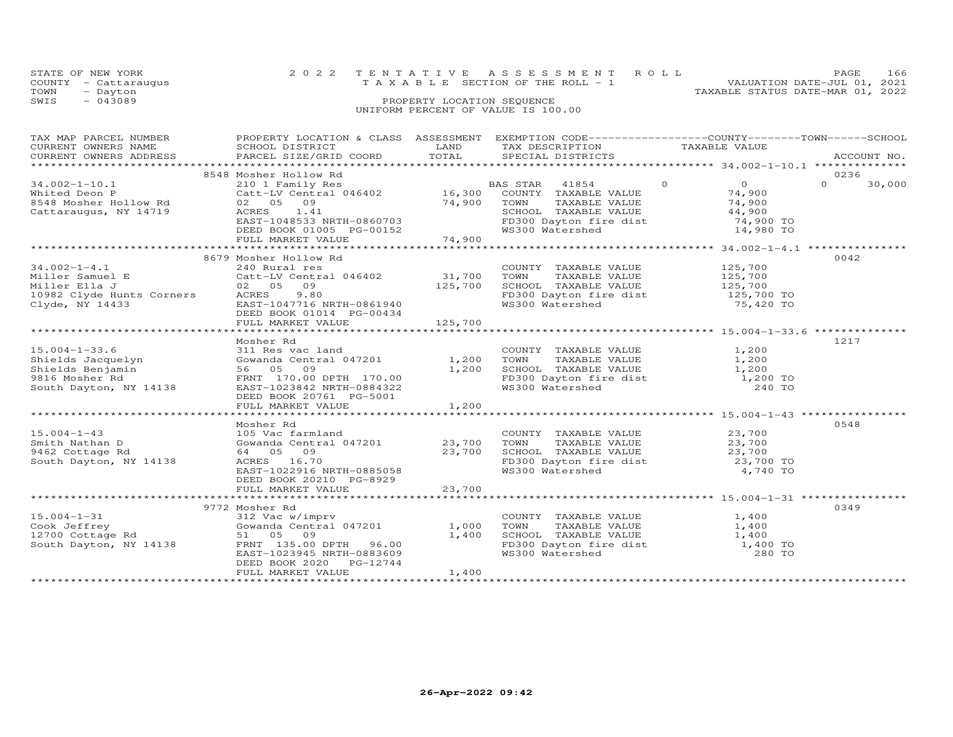| STATE OF NEW YORK<br>COUNTY<br>- Cattaraugus<br>TOWN<br>- Dayton<br>SWIS<br>$-043089$ | 2022                                                                                            | PROPERTY LOCATION SEQUENCE  | TENTATIVE ASSESSMENT ROLL<br>T A X A B L E SECTION OF THE ROLL - 1<br>UNIFORM PERCENT OF VALUE IS 100.00 | 166<br>PAGE<br>VALUATION DATE-JUL 01, 2021<br>TAXABLE STATUS DATE-MAR 01, 2022                       |
|---------------------------------------------------------------------------------------|-------------------------------------------------------------------------------------------------|-----------------------------|----------------------------------------------------------------------------------------------------------|------------------------------------------------------------------------------------------------------|
| TAX MAP PARCEL NUMBER<br>CURRENT OWNERS NAME<br>CURRENT OWNERS ADDRESS                | PROPERTY LOCATION & CLASS<br>SCHOOL DISTRICT<br>PARCEL SIZE/GRID COORD<br>8548 Mosher Hollow Rd | ASSESSMENT<br>LAND<br>TOTAL | TAX DESCRIPTION<br>SPECIAL DISTRICTS                                                                     | EXEMPTION CODE-----------------COUNTY-------TOWN------SCHOOL<br>TAXABLE VALUE<br>ACCOUNT NO.<br>0236 |

|                           | 8548 Mosher Hollow Rd                              |            |                                                   |                            | 0236               |
|---------------------------|----------------------------------------------------|------------|---------------------------------------------------|----------------------------|--------------------|
| $34.002 - 1 - 10.1$       | 210 1 Family Res                                   |            | BAS STAR 41854                                    | $\overline{O}$<br>$\Omega$ | $\Omega$<br>30,000 |
| Whited Deon P             | Catt-LV Central 046402 16,300 COUNTY TAXABLE VALUE |            |                                                   | 74,900                     |                    |
| 8548 Mosher Hollow Rd     | 02 05 09                                           | 74,900     | TAXABLE VALUE<br>TOWN                             | 74,900                     |                    |
| Cattaraugus, NY 14719     | ACRES 1.41                                         |            | SCHOOL TAXABLE VALUE                              | 44,900                     |                    |
|                           | EAST-1048533 NRTH-0860703                          |            | FD300 Dayton fire dist                            | 74,900 TO                  |                    |
|                           | DEED BOOK 01005 PG-00152                           |            | WS300 Watershed                                   | 14,980 TO                  |                    |
|                           | FULL MARKET VALUE                                  | 74,900     |                                                   |                            |                    |
|                           |                                                    |            |                                                   |                            |                    |
|                           | 8679 Mosher Hollow Rd                              |            |                                                   |                            | 0042               |
| $34.002 - 1 - 4.1$        | 240 Rural res                                      |            | COUNTY TAXABLE VALUE                              | 125,700                    |                    |
| Miller Samuel E           | Catt-LV Central 046402                             | 31,700     | TOWN<br>TAXABLE VALUE                             | 125,700                    |                    |
| Miller Ella J             | 02 05 09                                           | 125,700    | SCHOOL TAXABLE VALUE                              | 125,700                    |                    |
| 10982 Clyde Hunts Corners | ACRES<br>9.80                                      |            | FD300 Dayton fire dist 125,700 TO                 |                            |                    |
| Clyde, NY 14433           | EAST-1047716 NRTH-0861940                          |            | WS300 Watershed                                   | 75,420 TO                  |                    |
|                           | DEED BOOK 01014 PG-00434                           |            |                                                   |                            |                    |
|                           | FULL MARKET VALUE                                  | 125,700    |                                                   |                            |                    |
|                           |                                                    |            |                                                   |                            |                    |
|                           | Mosher Rd                                          |            |                                                   |                            | 1217               |
| $15.004 - 1 - 33.6$       | 311 Res vac land                                   |            | COUNTY TAXABLE VALUE                              | 1,200                      |                    |
| Shields Jacquelyn         | Gowanda Central 047201                             | 1,200 TOWN |                                                   | 1,200                      |                    |
| Shields Benjamin          | 56 05 09                                           | 1,200      | TOWN      TAXABLE VALUE<br>SCHOOL   TAXABLE VALUE | 1,200                      |                    |
| 9816 Mosher Rd            | FRNT 170.00 DPTH 170.00                            |            | FD300 Dayton fire dist 1,200 TO                   |                            |                    |
| South Dayton, NY 14138    | EAST-1023842 NRTH-0884322                          |            | WS300 Watershed                                   | 240 TO                     |                    |
|                           | DEED BOOK 20761 PG-5001                            |            |                                                   |                            |                    |
|                           | FULL MARKET VALUE                                  | 1,200      |                                                   |                            |                    |
|                           |                                                    |            |                                                   |                            |                    |
|                           | Mosher Rd                                          |            |                                                   |                            | 0548               |
| $15.004 - 1 - 43$         | 105 Vac farmland                                   |            | COUNTY TAXABLE VALUE                              | 23,700                     |                    |
| Smith Nathan D            | Gowanda Central 047201                             | 23,700     | TAXABLE VALUE<br>TOWN                             | $23,700$<br>$23,700$       |                    |
| 9462 Cottage Rd           | 64 05 09                                           | 23,700     | SCHOOL TAXABLE VALUE                              |                            |                    |
| South Dayton, NY 14138    | ACRES 16.70                                        |            | FD300 Dayton fire dist 23,700 TO                  |                            |                    |
|                           | EAST-1022916 NRTH-0885058                          |            | WS300 Watershed                                   | 4,740 TO                   |                    |
|                           | DEED BOOK 20210 PG-8929                            |            |                                                   |                            |                    |
|                           | FULL MARKET VALUE                                  | 23,700     |                                                   |                            |                    |
|                           |                                                    |            |                                                   |                            |                    |
|                           | 9772 Mosher Rd                                     |            |                                                   |                            | 0349               |
| $15.004 - 1 - 31$         | 312 Vac w/imprv                                    |            | COUNTY TAXABLE VALUE                              | 1,400                      |                    |
|                           |                                                    |            |                                                   |                            |                    |
| Cook Jeffrey              | Gowanda Central 047201                             | 1,000      | TOWN<br>TAXABLE VALUE                             | 1,400                      |                    |
| 12700 Cottage Rd          | 51 05 09                                           | 1,400      | SCHOOL TAXABLE VALUE                              | 1,400                      |                    |
| South Dayton, NY 14138    | FRNT 135.00 DPTH 96.00                             |            | FD300 Dayton fire dist 1,400 TO                   |                            |                    |
|                           | EAST-1023945 NRTH-0883609                          |            | WS300 Watershed                                   | 280 TO                     |                    |
|                           | DEED BOOK 2020 PG-12744                            |            |                                                   |                            |                    |
|                           | FULL MARKET VALUE                                  | 1,400      |                                                   |                            |                    |
|                           |                                                    |            |                                                   |                            |                    |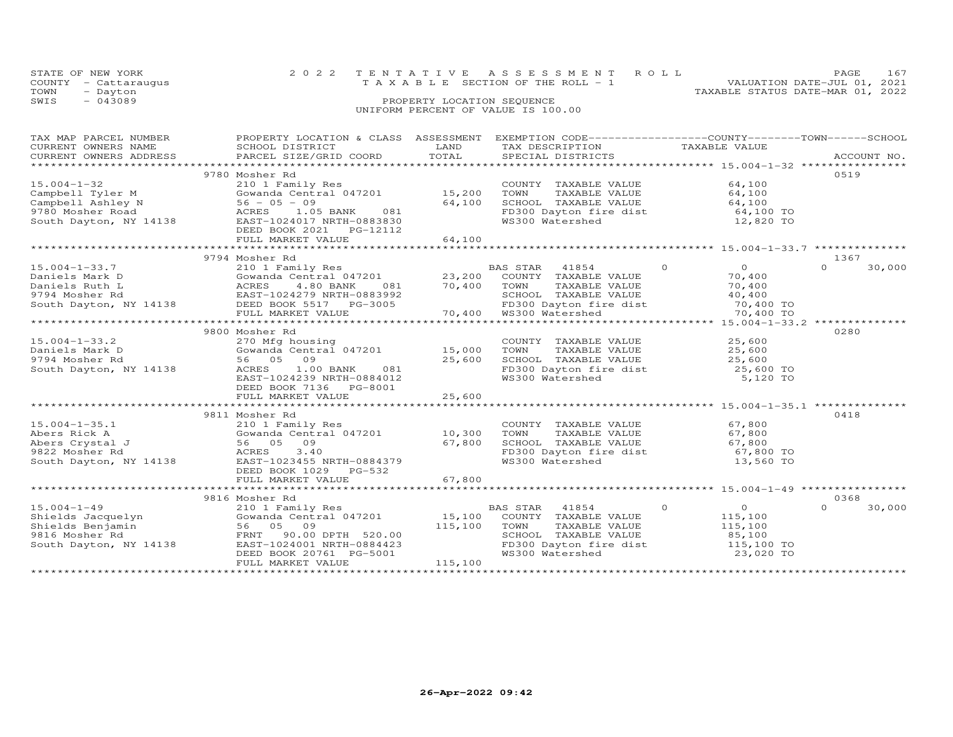| STATE OF NEW YORK<br>- Cattaraugus<br>COUNTY |                           |                            | 2022 TENTATIVE ASSESSMENT ROLL<br>T A X A B L E SECTION OF THE ROLL - 1 | VALUATION DATE-JUL 01, 2021      | PAGE | 167 |
|----------------------------------------------|---------------------------|----------------------------|-------------------------------------------------------------------------|----------------------------------|------|-----|
| TOWN<br>- Dayton                             |                           |                            |                                                                         | TAXABLE STATUS DATE-MAR 01, 2022 |      |     |
| $-043089$<br>SWIS                            |                           | PROPERTY LOCATION SEQUENCE | UNIFORM PERCENT OF VALUE IS 100.00                                      |                                  |      |     |
| TAX MAP PARCEL NUMBER                        | PROPERTY LOCATION & CLASS | ASSESSMENT                 | EXEMPTION CODE-----------------COUNTY-------TOWN------SCHOOL            |                                  |      |     |

| CURRENT OWNERS NAME                                                                                  | SCHOOL DISTRICT                                                                                                                                                                                                  | LAND           | TAX DESCRIPTION                                                   | TAXABLE VALUE                           |                    |  |
|------------------------------------------------------------------------------------------------------|------------------------------------------------------------------------------------------------------------------------------------------------------------------------------------------------------------------|----------------|-------------------------------------------------------------------|-----------------------------------------|--------------------|--|
| CURRENT OWNERS ADDRESS                                                                               | PARCEL SIZE/GRID COORD                                                                                                                                                                                           | TOTAL          | SPECIAL DISTRICTS                                                 |                                         | ACCOUNT NO.        |  |
|                                                                                                      |                                                                                                                                                                                                                  |                |                                                                   |                                         |                    |  |
|                                                                                                      | 9780 Mosher Rd                                                                                                                                                                                                   |                |                                                                   |                                         | 0519               |  |
| $15.004 - 1 - 32$                                                                                    | 210 1 Family Res                                                                                                                                                                                                 |                | COUNTY TAXABLE VALUE                                              | 64,100                                  |                    |  |
| Campbell Tyler M                                                                                     | Gowanda Central 047201 15,200                                                                                                                                                                                    |                | TOWN<br>TAXABLE VALUE                                             | 64,100                                  |                    |  |
|                                                                                                      |                                                                                                                                                                                                                  | 64,100         |                                                                   |                                         |                    |  |
|                                                                                                      | 081<br>ACRES 1.05 BANK                                                                                                                                                                                           |                |                                                                   |                                         |                    |  |
| Campbell Ashley N 56 - 05 - 09<br>9780 Mosher Road ACRES 1.05<br>South Dayton, NY 14138 EAST-1024017 | EAST-1024017 NRTH-0883830                                                                                                                                                                                        |                | SCHOOL TAXABLE VALUE<br>FD300 Dayton fire dist<br>WS300 Watershed | $64,100$ TO<br>$64,100$ TO<br>12,820 TO |                    |  |
|                                                                                                      | DEED BOOK 2021    PG-12112                                                                                                                                                                                       |                |                                                                   |                                         |                    |  |
|                                                                                                      | FULL MARKET VALUE                                                                                                                                                                                                | 64,100         |                                                                   |                                         |                    |  |
|                                                                                                      |                                                                                                                                                                                                                  |                |                                                                   |                                         |                    |  |
|                                                                                                      | 9794 Mosher Rd                                                                                                                                                                                                   |                |                                                                   |                                         | 1367               |  |
| $15.004 - 1 - 33.7$                                                                                  |                                                                                                                                                                                                                  |                | $\overline{a}$<br>BAS STAR<br>41854                               | $\overline{0}$                          | $\Omega$<br>30,000 |  |
|                                                                                                      | 210 1 Family Res<br>Gowanda Central 047201 23,200<br>ACRES 4.80 BANK 081 70,400<br>EAST-1024279 NRTH-0992000                                                                                                     |                | COUNTY TAXABLE VALUE                                              | 70,400                                  |                    |  |
|                                                                                                      |                                                                                                                                                                                                                  |                | TOWN<br>TAXABLE VALUE                                             | 70,400                                  |                    |  |
|                                                                                                      | Paniels Mark D<br>Daniels Ruth L<br>23, 200<br>9794 Mosher Rd<br>Sowanda Central 047201<br>23, 200<br>23, 200<br>9794 Mosher Rd<br>EAST-1024279 NRTH-0883992<br>South Dayton, NY 14138<br>DEED BOOK 5517 PG-3005 |                |                                                                   |                                         |                    |  |
|                                                                                                      |                                                                                                                                                                                                                  |                | SCHOOL TAXABLE VALUE<br>FD300 Dayton fire dist<br>WS300 Watershed | 40,400<br>40,400<br>70,400 TO           |                    |  |
|                                                                                                      |                                                                                                                                                                                                                  |                |                                                                   |                                         |                    |  |
|                                                                                                      |                                                                                                                                                                                                                  |                |                                                                   |                                         |                    |  |
|                                                                                                      |                                                                                                                                                                                                                  |                |                                                                   |                                         |                    |  |
|                                                                                                      | 9800 Mosher Rd                                                                                                                                                                                                   |                |                                                                   |                                         | 0280               |  |
| $15.004 - 1 - 33.2$                                                                                  | 270 Mfg housing<br>270 Mfg housing<br>Gowanda Central 047201              15,000                                                                                                                                 |                | COUNTY TAXABLE VALUE $25,600$<br>TOWN TAXABLE VALUE $25,600$      |                                         |                    |  |
| Daniels Mark D                                                                                       |                                                                                                                                                                                                                  |                |                                                                   |                                         |                    |  |
| 9794 Mosher Rd                                                                                       | 56 05 09                                                                                                                                                                                                         | 25,600         | SCHOOL TAXABLE VALUE 25,600<br>FD300 Dayton fire dist 25,600 TO   |                                         |                    |  |
| South Dayton, NY 14138                                                                               | ACRES<br>1.00 BANK<br>081                                                                                                                                                                                        |                | FD300 Dayton fire dist<br>WS300 Watershed                         |                                         |                    |  |
|                                                                                                      | EAST-1024239 NRTH-0884012                                                                                                                                                                                        |                |                                                                   | 5,120 TO                                |                    |  |
|                                                                                                      | DEED BOOK 7136 PG-8001                                                                                                                                                                                           |                |                                                                   |                                         |                    |  |
|                                                                                                      | FULL MARKET VALUE                                                                                                                                                                                                | 25,600         |                                                                   |                                         |                    |  |
|                                                                                                      |                                                                                                                                                                                                                  | ************** |                                                                   |                                         |                    |  |
|                                                                                                      | 9811 Mosher Rd                                                                                                                                                                                                   |                |                                                                   |                                         | 0418               |  |
| $15.004 - 1 - 35.1$                                                                                  | 210 1 Family Res                                                                                                                                                                                                 |                | COUNTY TAXABLE VALUE 67,800                                       |                                         |                    |  |
|                                                                                                      | 210 1 Family Res<br>Gowanda Central 047201 10,300<br>56 05 09 09 67,800<br>3 40 67,800                                                                                                                           |                |                                                                   |                                         |                    |  |
|                                                                                                      |                                                                                                                                                                                                                  |                | TOWN TAXABLE VALUE 67,800<br>SCHOOL TAXABLE VALUE 67,800          |                                         |                    |  |
|                                                                                                      |                                                                                                                                                                                                                  |                | FD300 Dayton fire dist 67,800 TO                                  |                                         |                    |  |
|                                                                                                      | Abers Rick A Gowanda Central 047201<br>Abers Crystal J 56 05 09<br>9822 Mosher Rd ACRES 3.40<br>South Dayton, NY 14138 EAST-1023455 NRTH-0884379                                                                 |                | WS300 Watershed                                                   | 13,560 TO                               |                    |  |
|                                                                                                      | DEED BOOK 1029 PG-532                                                                                                                                                                                            |                |                                                                   |                                         |                    |  |
|                                                                                                      | FULL MARKET VALUE                                                                                                                                                                                                | 67,800         |                                                                   |                                         |                    |  |
|                                                                                                      |                                                                                                                                                                                                                  |                |                                                                   |                                         |                    |  |
|                                                                                                      | 9816 Mosher Rd                                                                                                                                                                                                   |                |                                                                   |                                         | 0368               |  |
| $15.004 - 1 - 49$                                                                                    | 210 1 Family Res                                                                                                                                                                                                 |                | $\overline{0}$<br>BAS STAR 41854                                  | $\overline{0}$                          | $\Omega$<br>30,000 |  |
|                                                                                                      | Gowanda Central 047201 15,100                                                                                                                                                                                    |                | COUNTY TAXABLE VALUE                                              | 115,100                                 |                    |  |
|                                                                                                      |                                                                                                                                                                                                                  | 115,100        | TOWN<br>TAXABLE VALUE                                             | 115,100                                 |                    |  |
| Shields Jacquelyn<br>Shields Benjamin 56 05 09<br>9816 Mosher Rd FRNT 90.00                          | FRNT 90.00 DPTH 520.00                                                                                                                                                                                           |                | SCHOOL TAXABLE VALUE                                              | 85,100                                  |                    |  |
| South Dayton, NY 14138                                                                               | EAST-1024001 NRTH-0884423                                                                                                                                                                                        |                |                                                                   |                                         |                    |  |
|                                                                                                      |                                                                                                                                                                                                                  |                | FD300 Dayton fire dist<br>WS300 Watershed                         | 115,100 TO<br>23,020 TO                 |                    |  |
|                                                                                                      | DEED BOOK 20761 PG-5001                                                                                                                                                                                          |                |                                                                   |                                         |                    |  |
|                                                                                                      | FULL MARKET VALUE                                                                                                                                                                                                | 115,100        |                                                                   |                                         |                    |  |
|                                                                                                      |                                                                                                                                                                                                                  |                |                                                                   |                                         |                    |  |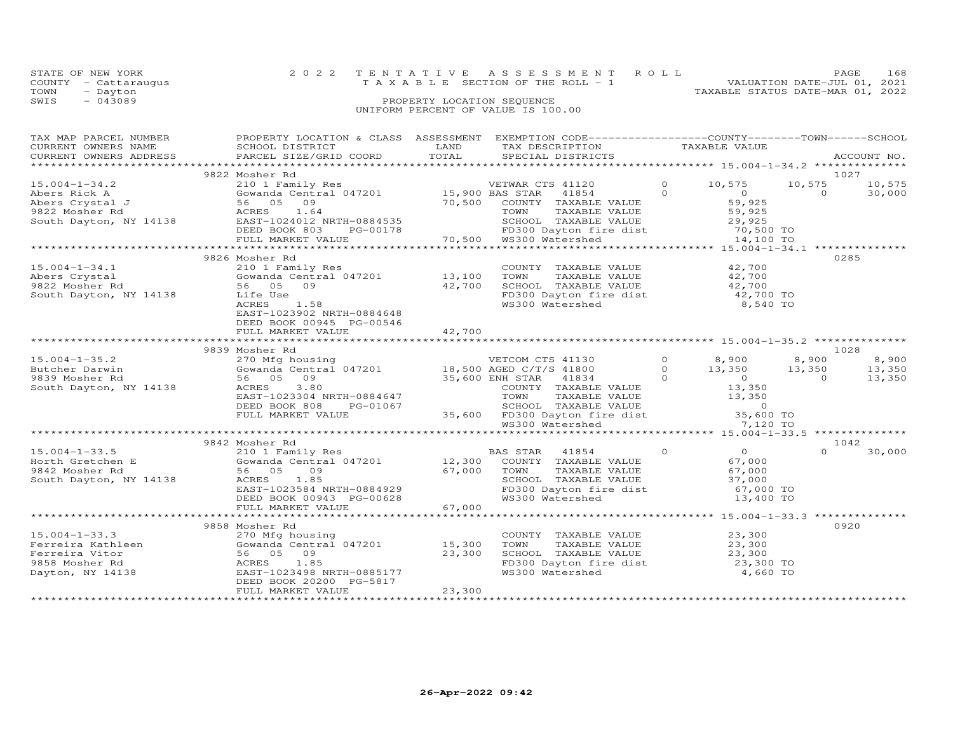|      | STATE OF NEW YORK    |                                    | 2022 TENTATIVE ASSESSMENT ROLL        |                                  | PAGE                        | 168 |
|------|----------------------|------------------------------------|---------------------------------------|----------------------------------|-----------------------------|-----|
|      | COUNTY - Cattaraugus |                                    | T A X A B L E SECTION OF THE ROLL - 1 |                                  | VALUATION DATE-JUL 01, 2021 |     |
| TOWN | - Dayton             |                                    |                                       | TAXABLE STATUS DATE-MAR 01, 2022 |                             |     |
| SWIS | $-043089$            | PROPERTY LOCATION SEQUENCE         |                                       |                                  |                             |     |
|      |                      | UNIFORM PERCENT OF VALUE IS 100.00 |                                       |                                  |                             |     |
|      |                      |                                    |                                       |                                  |                             |     |

| TAX MAP PARCEL NUMBER<br>TAX MAP PARCEL NUMBER TROPINIT BUCATION & CHASS ASSESSMENT EACH TRANSFORM TRABLE VALUE<br>CURRENT OWNERS NAME SCHOOL DISTRICTS TRANSFORM TRANSFORM TRANSFORM TRANSFORM TRANSFORM TRANSFORM TRANSFORM TRANSFORM TRANSFORM TRANSFOR                    | PROPERTY LOCATION & CLASS ASSESSMENT EXEMPTION CODE----------------COUNTY-------TOWN------SCHOOL                                                                                                                                                                                   |        |                                                                                                                                                                                                                                                  |                                                            |                          |
|-------------------------------------------------------------------------------------------------------------------------------------------------------------------------------------------------------------------------------------------------------------------------------|------------------------------------------------------------------------------------------------------------------------------------------------------------------------------------------------------------------------------------------------------------------------------------|--------|--------------------------------------------------------------------------------------------------------------------------------------------------------------------------------------------------------------------------------------------------|------------------------------------------------------------|--------------------------|
|                                                                                                                                                                                                                                                                               |                                                                                                                                                                                                                                                                                    |        |                                                                                                                                                                                                                                                  |                                                            |                          |
| $\begin{array}{cccccccc} 15.004-1-34.2 & 9822 &\text{Mosher Rd} & 10,575 & 10,575 & 10,575 & 10,575 & 10,575 & 10,575 & 10,575 & 10,575 & 10,575 & 10,575 & 10,575 & 10,575 & 10,575 & 10,575 & 10,575 & 10,575 & 10,575 & 10,575 & 10,575 & 10,575 & 10,575 & 10,575 & 10,5$ | 9822 Mosher Rd                                                                                                                                                                                                                                                                     |        |                                                                                                                                                                                                                                                  |                                                            | 1027<br>10,575<br>30,000 |
|                                                                                                                                                                                                                                                                               |                                                                                                                                                                                                                                                                                    |        |                                                                                                                                                                                                                                                  |                                                            |                          |
|                                                                                                                                                                                                                                                                               |                                                                                                                                                                                                                                                                                    |        |                                                                                                                                                                                                                                                  |                                                            |                          |
|                                                                                                                                                                                                                                                                               | 9826 Mosher Rd                                                                                                                                                                                                                                                                     |        |                                                                                                                                                                                                                                                  |                                                            | 0285                     |
| $15.004 - 1 - 34.1$<br>South Dayton, NY 14138 Life Use                                                                                                                                                                                                                        | 210 1 Family Res<br>1.58<br>ACRES<br>EAST-1023902 NRTH-0884648<br>DEED BOOK 00945 PG-00546                                                                                                                                                                                         | 42,700 | COUNTY TAXABLE VALUE 42,700<br>TOWN TAXABLE VALUE<br>TOWN TAXABLE VALUE<br>SCHOOL TAXABLE VALUE<br>FD300 Dayton fire dist<br>WS300 Watershed<br>8,540 TO                                                                                         |                                                            |                          |
|                                                                                                                                                                                                                                                                               | FULL MARKET VALUE                                                                                                                                                                                                                                                                  | 42,700 |                                                                                                                                                                                                                                                  |                                                            |                          |
|                                                                                                                                                                                                                                                                               |                                                                                                                                                                                                                                                                                    |        |                                                                                                                                                                                                                                                  |                                                            |                          |
|                                                                                                                                                                                                                                                                               | 9839 Mosher Rd                                                                                                                                                                                                                                                                     |        |                                                                                                                                                                                                                                                  |                                                            | 1028                     |
| $15.004 - 1 - 35.2$                                                                                                                                                                                                                                                           |                                                                                                                                                                                                                                                                                    |        |                                                                                                                                                                                                                                                  |                                                            | 8,900                    |
| Butcher Darwin<br>9839 Mosher Rd<br>South Dayton, NY 14138 (ACRES 3.80                                                                                                                                                                                                        | Mosher Rd<br>270 Mfg housing<br>Gowanda Central 047201 18,500 AGED C/T/S 41800 0<br>56 05 09 35,600 ENH STAR 41834 0<br>ACRES 3.80 COUNTY TAXABLE VALUE<br>EAST-1023304 NRTH-0884647 TOWN TAXABLE VALUE<br>COUNTY TAXABLE VALUE<br>COUNTY TA<br>DEED BOOK 808<br>FULL MARKET VALUE |        | 8,900 8,900<br>3,350 13,350<br>WRTH-0884647 TOWN TAXABLE VALUE<br>PG-01067 35,600 FD300 Dayton fire dist<br>TOWN TAXABLE VALUE<br>LUE 35,600 FD300 Dayton fire dist<br>TAXABLE VALUE<br>TOWN TAXABLE VALUE<br>TOWN TAXABLE VALUE<br>TAXABLE VALU |                                                            | 13,350<br>13,350         |
|                                                                                                                                                                                                                                                                               |                                                                                                                                                                                                                                                                                    |        |                                                                                                                                                                                                                                                  |                                                            |                          |
|                                                                                                                                                                                                                                                                               | 9842 Mosher Rd                                                                                                                                                                                                                                                                     |        |                                                                                                                                                                                                                                                  |                                                            | 1042                     |
|                                                                                                                                                                                                                                                                               | 1.05<br>EAST-1023584 NRTH-0884929<br>DEED BOOK 00943 PG-00628<br>FULL MARKET VALUE                                                                                                                                                                                                 |        | TOWN       TAXABLE  VALUE<br>SCHOOL    TAXABLE  VALUE<br>FD300 Dayton fire dist 67,000 TO<br>WS300 Watershed 13,400 TO                                                                                                                           | $\begin{array}{c} 0 \\ 67 \end{array}$<br>67,000<br>37,000 | 30,000                   |
|                                                                                                                                                                                                                                                                               |                                                                                                                                                                                                                                                                                    |        | ************************************ 15.004-1-33.3 ************                                                                                                                                                                                  |                                                            |                          |
|                                                                                                                                                                                                                                                                               | 9858 Mosher Rd                                                                                                                                                                                                                                                                     |        |                                                                                                                                                                                                                                                  |                                                            | 0920                     |
| $15.004 - 1 - 33.3$                                                                                                                                                                                                                                                           | nosher Ku<br>270 Mfg housing<br>Gowanda Central 047201 15,300<br>ACRES 1.85<br>EAST-1023498 NRTH-0885177<br>DEED BOOK 20200 PG-5817                                                                                                                                                | 23,300 | COUNTY TAXABLE VALUE 23,300<br>COUNTY TAXABLE VALUE<br>TOWN TAXABLE VALUE 23,300<br>SCHOOL TAXABLE VALUE 23,300 TO<br>Internative dist 23,300 TO<br>FD300 Dayton fire dist<br>WS300 Watershed                                                    | 4,660 TO                                                   |                          |
|                                                                                                                                                                                                                                                                               | FULL MARKET VALUE                                                                                                                                                                                                                                                                  | 23,300 |                                                                                                                                                                                                                                                  |                                                            |                          |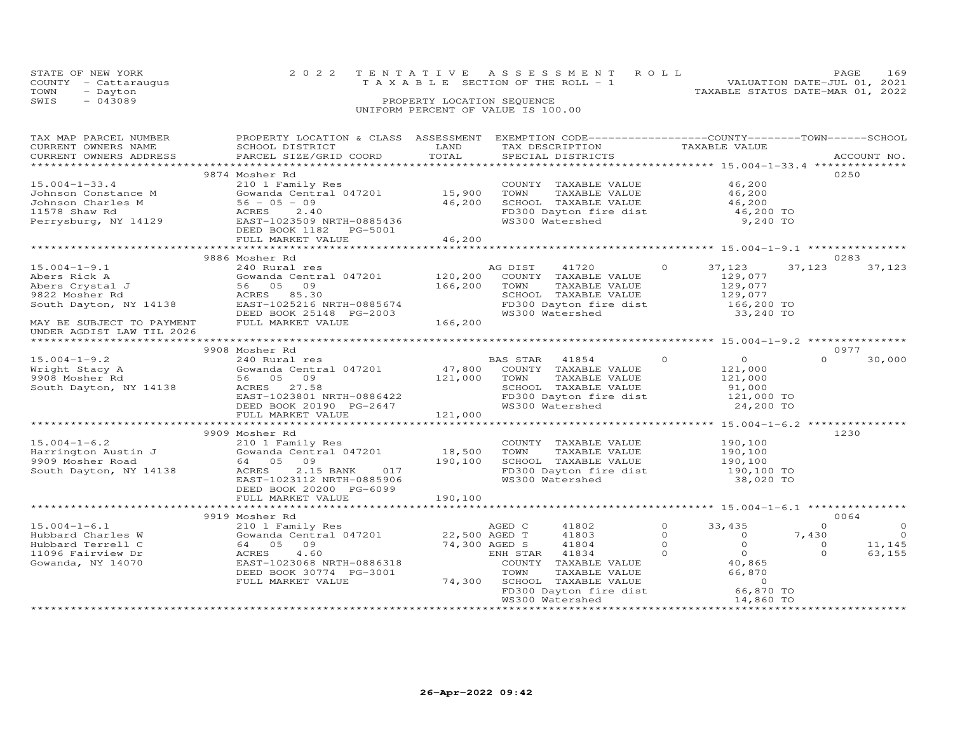|      | STATE OF NEW YORK    | 2022 TENTATIVE ASSESSMENT ROLL        |  |                                  | <b>PAGE</b>                 | 169 |
|------|----------------------|---------------------------------------|--|----------------------------------|-----------------------------|-----|
|      | COUNTY - Cattaraugus | T A X A B L E SECTION OF THE ROLL - 1 |  |                                  | VALUATION DATE-JUL 01, 2021 |     |
| TOWN | - Dayton             |                                       |  | TAXABLE STATUS DATE-MAR 01, 2022 |                             |     |
| SWIS | $-043089$            | PROPERTY LOCATION SEQUENCE            |  |                                  |                             |     |
|      |                      | UNIFORM PERCENT OF VALUE IS 100.00    |  |                                  |                             |     |

| TAX MAP PARCEL NUMBER                                                             | PROPERTY LOCATION & CLASS ASSESSMENT EXEMPTION CODE-----------------COUNTY-------TOWN------SCHOOL       |                 |                                                                                                                        |                                                              |                          |
|-----------------------------------------------------------------------------------|---------------------------------------------------------------------------------------------------------|-----------------|------------------------------------------------------------------------------------------------------------------------|--------------------------------------------------------------|--------------------------|
| CURRENT OWNERS NAME                                                               | SCHOOL DISTRICT                                                                                         | LAND            | TAX DESCRIPTION                                                                                                        | TAXABLE VALUE                                                |                          |
| CURRENT OWNERS ADDRESS                                                            | PARCEL SIZE/GRID COORD                                                                                  | TOTAL           | SPECIAL DISTRICTS                                                                                                      |                                                              | ACCOUNT NO.              |
|                                                                                   |                                                                                                         |                 |                                                                                                                        |                                                              |                          |
|                                                                                   | 9874 Mosher Rd                                                                                          |                 |                                                                                                                        |                                                              | 0250                     |
| $15.004 - 1 - 33.4$                                                               | 210 1 Family Res                                                                                        |                 | COUNTY TAXABLE VALUE                                                                                                   | 46,200                                                       |                          |
|                                                                                   |                                                                                                         |                 | TOWN      TAXABLE VALUE<br>SCHOOL   TAXABLE VALUE                                                                      | 46,200<br>46,200                                             |                          |
|                                                                                   | 210 1 Family Res<br>Gowanda Central 047201 15,900<br>56 - 05 - 09 16,200                                |                 |                                                                                                                        |                                                              |                          |
|                                                                                   |                                                                                                         |                 | FD300 Dayton fire dist 46,200 TO<br>WS300 Watershed 9,240 TO                                                           |                                                              |                          |
|                                                                                   |                                                                                                         |                 |                                                                                                                        |                                                              |                          |
|                                                                                   | DEED BOOK 1182    PG-5001                                                                               |                 |                                                                                                                        |                                                              |                          |
|                                                                                   | FULL MARKET VALUE                                                                                       | 46,200          |                                                                                                                        |                                                              |                          |
|                                                                                   |                                                                                                         |                 |                                                                                                                        |                                                              |                          |
|                                                                                   | 9886 Mosher Rd                                                                                          |                 |                                                                                                                        |                                                              | 0283                     |
| $15.004 - 1 - 9.1$                                                                | 240 Rural res                                                                                           |                 | AG DIST 41720 0 37,123                                                                                                 |                                                              | 37,123<br>37,123         |
|                                                                                   | Gowanda Central 047201 120,200                                                                          |                 | COUNTY TAXABLE VALUE                                                                                                   |                                                              |                          |
|                                                                                   |                                                                                                         | 166,200         | TOWN<br>TAXABLE VALUE                                                                                                  | 129,077<br>129,077                                           |                          |
|                                                                                   |                                                                                                         |                 |                                                                                                                        |                                                              |                          |
|                                                                                   |                                                                                                         |                 | SCHOOL TAXABLE VALUE<br>FD300 Dayton fire dist                                                                         | 129,077<br>166,200 TO                                        |                          |
|                                                                                   | DEED BOOK 25148 PG-2003                                                                                 |                 | WS300 Watershed                                                                                                        | 33,240 TO                                                    |                          |
| MAY BE SUBJECT TO PAYMENT                                                         | FULL MARKET VALUE                                                                                       | $-2003$ 166,200 |                                                                                                                        |                                                              |                          |
| UNDER AGDIST LAW TIL 2026                                                         |                                                                                                         |                 |                                                                                                                        |                                                              |                          |
|                                                                                   |                                                                                                         |                 |                                                                                                                        |                                                              |                          |
|                                                                                   | 9908 Mosher Rd                                                                                          |                 |                                                                                                                        |                                                              | 0977                     |
| $15.004 - 1 - 9.2$                                                                | 240 Rural res                                                                                           |                 | BAS STAR 41854                                                                                                         | $\circ$                                                      | $\Omega$<br>30,000       |
| Wright Stacy A                                                                    | Gowanda Central 047201                                                                                  | 47,800          | COUNTY TAXABLE VALUE                                                                                                   | $\begin{array}{c} 0 \\ 121,000 \end{array}$                  |                          |
| 9908 Mosher Rd                                                                    | 56 05 09                                                                                                | 121,000 TOWN    | TAXABLE VALUE                                                                                                          |                                                              |                          |
| South Dayton, NY 14138                                                            |                                                                                                         |                 | SCHOOL TAXABLE VALUE                                                                                                   | 121,000<br>91,000                                            |                          |
|                                                                                   | RURES 27.58<br>EAST-1023801 NRTH-0886422<br>DEED BOOK 20190 PG-2647<br>FUII MARET WITH                  |                 |                                                                                                                        | $121,000$ TO                                                 |                          |
|                                                                                   |                                                                                                         |                 | FD300 Dayton fire dist<br>WS300 Watershed                                                                              | 24,200 TO                                                    |                          |
|                                                                                   | FULL MARKET VALUE                                                                                       | 121,000         |                                                                                                                        |                                                              |                          |
|                                                                                   |                                                                                                         |                 |                                                                                                                        |                                                              |                          |
|                                                                                   | 9909 Mosher Rd                                                                                          |                 |                                                                                                                        |                                                              | 1230                     |
| $15.004 - 1 - 6.2$                                                                |                                                                                                         |                 | COUNTY TAXABLE VALUE                                                                                                   |                                                              |                          |
| 15.004-1-6.2<br>Harrington Austin J<br>9909 Mosher Road<br>South Dayton, NY 14138 | 210 1 Family Res<br>Gowanda Central 047201 18,500                                                       |                 | TOWN<br>TAXABLE VALUE                                                                                                  | 190,100<br>190,100                                           |                          |
|                                                                                   | 64 05 09                                                                                                |                 |                                                                                                                        |                                                              |                          |
|                                                                                   | ACRES                                                                                                   |                 | SCHOOL TAXABLE VALUE<br>FD300 Dayton fire dist                                                                         | 190,100<br>190,100 TO                                        |                          |
|                                                                                   | Central 04/201<br>09 190,100<br>2.15 BANK 017 190,100<br>3112 NRTH-0885906<br>EAST-1023112 NRTH-0885906 |                 | WS300 Watershed                                                                                                        | 38,020 TO                                                    |                          |
|                                                                                   | DEED BOOK 20200 PG-6099                                                                                 |                 |                                                                                                                        |                                                              |                          |
|                                                                                   | FULL MARKET VALUE                                                                                       | 190,100         |                                                                                                                        |                                                              |                          |
|                                                                                   |                                                                                                         |                 |                                                                                                                        |                                                              |                          |
|                                                                                   | 9919 Mosher Rd                                                                                          |                 |                                                                                                                        |                                                              | 0064                     |
| $15.004 - 1 - 6.1$                                                                | 210 1 Family Res                                                                                        |                 | 41802                                                                                                                  | $\Omega$<br>33,435                                           | $\circ$<br>$\Omega$      |
| Hubbard Charles W                                                                 | 210 1 Family Res<br>Gowanda Central 047201 22,500 AGED T                                                |                 | 41803                                                                                                                  | $\circ$<br>$\overline{0}$                                    | $\overline{0}$<br>7,430  |
| Hubbard Terrell C                                                                 | 64 05 09                                                                                                | 74,300 AGED S   | 41804                                                                                                                  | $\circ$                                                      | 11,145<br>$\overline{0}$ |
| 11096 Fairview Dr                                                                 | 4.60<br>ACRES                                                                                           |                 | 41834<br>ENH STAR                                                                                                      | $\Omega$                                                     | $\Omega$<br>63,155       |
| Gowanda, NY 14070                                                                 | EAST-1023068 NRTH-0886318                                                                               |                 |                                                                                                                        |                                                              |                          |
|                                                                                   | DEED BOOK 30774 PG-3001                                                                                 |                 |                                                                                                                        | $\begin{array}{c} 0 \\ 0 \\ 40,865 \\ 66,870 \\ \end{array}$ |                          |
|                                                                                   | FULL MARKET VALUE                                                                                       |                 | 74,300 SCHOOL TAXABLE VALUE                                                                                            |                                                              |                          |
|                                                                                   |                                                                                                         |                 | COUNTY TAXABLE VALUE 40,865<br>TOWN TAXABLE VALUE 66,870<br>SCHOOL TAXABLE VALUE 0<br>FD300 Dayton fire dist 66,870 TO |                                                              |                          |
|                                                                                   |                                                                                                         |                 | WS300 Watershed                                                                                                        | 14,860 TO                                                    |                          |
|                                                                                   |                                                                                                         |                 |                                                                                                                        |                                                              |                          |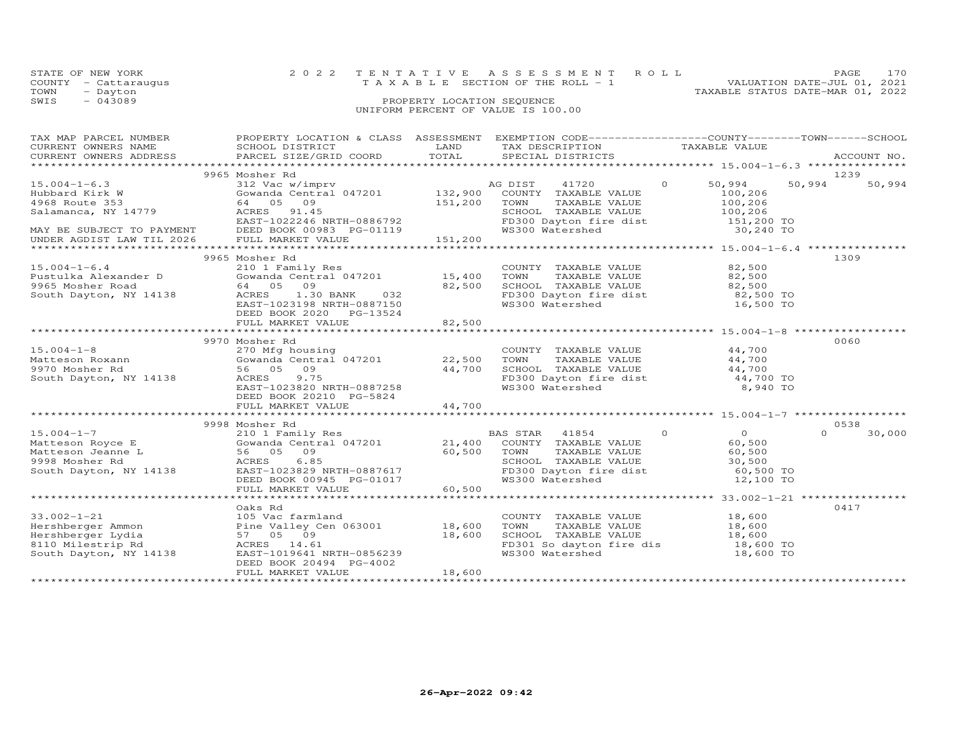|      | STATE OF NEW YORK    | 2022 TENTATIVE ASSESSMENT ROLL        |  |                                  | PAGE | 170 |
|------|----------------------|---------------------------------------|--|----------------------------------|------|-----|
|      | COUNTY - Cattaraugus | T A X A B L E SECTION OF THE ROLL - 1 |  | VALUATION DATE-JUL 01, 2021      |      |     |
| TOWN | - Dayton             |                                       |  | TAXABLE STATUS DATE-MAR 01, 2022 |      |     |
| SWIS | $-043089$            | PROPERTY LOCATION SEQUENCE            |  |                                  |      |     |
|      |                      | UNIFORM PERCENT OF VALUE IS 100.00    |  |                                  |      |     |
|      |                      |                                       |  |                                  |      |     |
|      |                      |                                       |  |                                  |      |     |

| TAX MAP PARCEL NUMBER<br>CURRENT OWNERS NAME<br>CURRENT OWNERS ADDRESS                                     | PROPERTY LOCATION & CLASS ASSESSMENT EXEMPTION CODE----------------COUNTY-------TOWN------SCHOOL<br>SCHOOL DISTRICT<br>PARCEL SIZE/GRID COORD                        | LAND<br>TOTAL    | TAX DESCRIPTION<br>SPECIAL DISTRICTS                                                                                                                     | TAXABLE VALUE                                                           |          | ACCOUNT NO.    |
|------------------------------------------------------------------------------------------------------------|----------------------------------------------------------------------------------------------------------------------------------------------------------------------|------------------|----------------------------------------------------------------------------------------------------------------------------------------------------------|-------------------------------------------------------------------------|----------|----------------|
|                                                                                                            |                                                                                                                                                                      |                  |                                                                                                                                                          |                                                                         |          |                |
|                                                                                                            | 9965 Mosher Rd                                                                                                                                                       |                  |                                                                                                                                                          |                                                                         |          | 1239           |
| $15.004 - 1 - 6.3$<br>Hubbard Kirk W<br>4968 Route 353<br>Salamanca, NY 14779                              | 312 Vac w/imprv<br>Gowanda Central 047201 132,900<br>64 05 09<br>91.45<br>ACRES<br>EAST-1022246 NRTH-0886792                                                         | 151,200          | AG DIST 41720<br>COUNTY TAXABLE VALUE<br>TOWN<br>TAXABLE VALUE<br>SCHOOL TAXABLE VALUE<br>FD300 Dayton fire dist<br>WS300 Watershed                      | $\overline{O}$<br>50,994<br>100,206<br>100,206<br>100,206<br>151,200 TO | 50,994   | 50,994         |
| MAY BE SUBJECT TO PAYMENT<br>UNDER AGDIST LAW TIL 2026                                                     | DEED BOOK 00983 PG-01119<br>FULL MARKET VALUE                                                                                                                        | 151,200          |                                                                                                                                                          | 30,240 TO                                                               |          |                |
|                                                                                                            | 9965 Mosher Rd                                                                                                                                                       |                  |                                                                                                                                                          |                                                                         |          | 1309           |
| $15.004 - 1 - 6.4$<br>Pustulka Alexander D<br>9965 Mosher Road<br>South Dayton, NY 14138                   | 210 1 Family Res<br>Gowanda Central 047201 15,400<br>64 05<br>09<br>ACRES<br>1.30 BANK<br>032<br>EAST-1023198 NRTH-0887150<br>DEED BOOK 2020 PG-13524                | 82,500           | COUNTY TAXABLE VALUE 82,500<br>TOWN TAXABLE VALUE 82,500<br>SCHOOL TAXABLE VALUE 82,500<br>FD300 Dayton fire dist 82,500 TO<br>WS300 Watershed 16,500 TO |                                                                         |          |                |
|                                                                                                            | FULL MARKET VALUE                                                                                                                                                    | 82,500           |                                                                                                                                                          |                                                                         |          |                |
|                                                                                                            |                                                                                                                                                                      |                  |                                                                                                                                                          |                                                                         |          |                |
|                                                                                                            | 9970 Mosher Rd                                                                                                                                                       |                  |                                                                                                                                                          |                                                                         |          | 0060           |
| $15.004 - 1 - 8$                                                                                           | 270 Mfg housing<br>Gowanda Central 047201 22,500                                                                                                                     |                  | COUNTY TAXABLE VALUE 44,700                                                                                                                              |                                                                         |          |                |
| Matteson Roxann<br>9970 Mosher Rd                                                                          | 56 05<br>09                                                                                                                                                          | 44,700           | TOWN      TAXABLE VALUE<br>SCHOOL   TAXABLE VALUE                                                                                                        | 44,700<br>44,700                                                        |          |                |
| South Dayton, NY 14138                                                                                     | 9.75<br>ACRES                                                                                                                                                        |                  |                                                                                                                                                          | 44,700 TO                                                               |          |                |
|                                                                                                            | EAST-1023820 NRTH-0887258<br>DEED BOOK 20210 PG-5824                                                                                                                 |                  | FD300 Dayton fire dist<br>WS300 Watershed                                                                                                                | 8,940 TO                                                                |          |                |
|                                                                                                            | FULL MARKET VALUE                                                                                                                                                    | 44,700           |                                                                                                                                                          |                                                                         |          |                |
|                                                                                                            |                                                                                                                                                                      |                  |                                                                                                                                                          |                                                                         |          |                |
|                                                                                                            | 9998 Mosher Rd                                                                                                                                                       |                  | BAS STAR<br>41854                                                                                                                                        | $\circ$<br>$\overline{O}$                                               | $\Omega$ | 0538<br>30,000 |
| Matteson Royce E<br>Matteson Jeanne L<br>9998 Mosher Rd<br>South Davton Ny 14100<br>South Dayton, NY 14138 | 56 05 09<br>ACRES<br>6.85<br>EAST-1023829 NRTH-0887617<br>DEED BOOK 00945 PG-01017                                                                                   | 60,500           | COUNTY TAXABLE VALUE<br>TOWN<br>TAXABLE VALUE<br>SCHOOL TAXABLE VALUE 30,500<br>FD300 Dayton fire dist 60,500 TO<br>WS300 Watershed                      | 60,500<br>60,500<br>12,100 TO                                           |          |                |
|                                                                                                            | FULL MARKET VALUE                                                                                                                                                    | 60,500           |                                                                                                                                                          |                                                                         |          |                |
|                                                                                                            |                                                                                                                                                                      |                  |                                                                                                                                                          |                                                                         |          |                |
| $33.002 - 1 - 21$<br>Hershberger Ammon<br>Hershberger Lydia<br>8110 Milestrip Rd<br>South Dayton, NY 14138 | Oaks Rd<br>105 Vac farmland<br>Pine Valley Cen 063001 18,600<br>57 05 09<br>ACRES 14.61<br>EAST-1019641 NRTH-0856239<br>DEED BOOK 20494 PG-4002<br>FULL MARKET VALUE | 18,600<br>18,600 | COUNTY TAXABLE VALUE<br>TOWN<br>TAXABLE VALUE<br>SCHOOL TAXABLE VALUE<br>FD301 So dayton fire dis<br>WS300 Watershed                                     | 18,600<br>18,600<br>18,600<br>18,600 TO<br>18,600 TO                    |          | 0417           |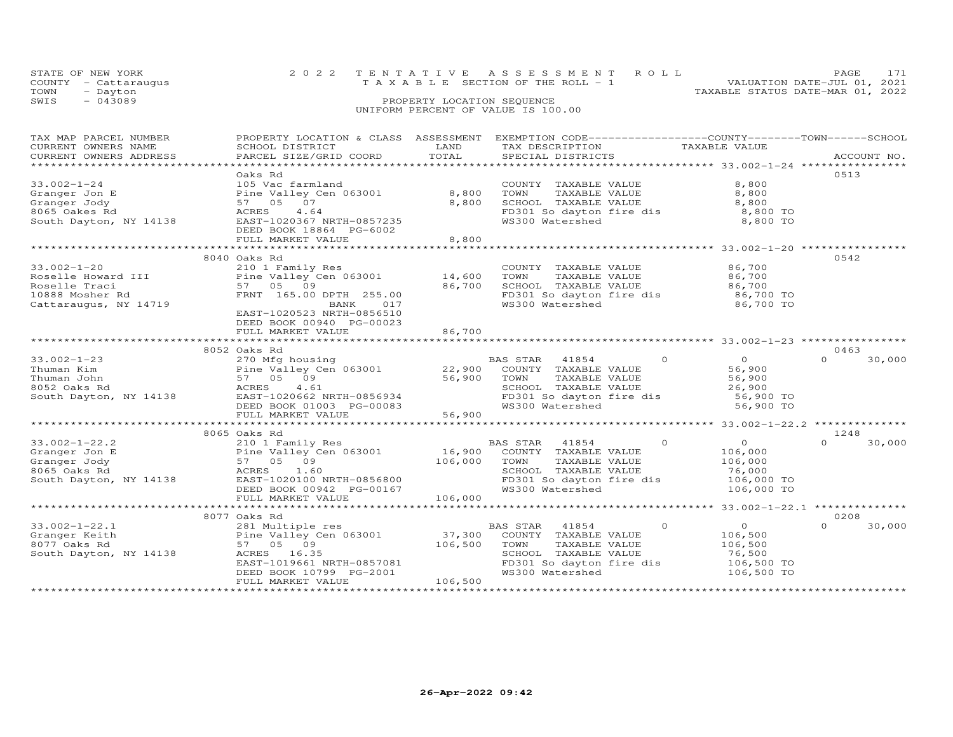|      | STATE OF NEW YORK    | 2022 TENTATIVE ASSESSMENT ROLL        | PAGE                             |
|------|----------------------|---------------------------------------|----------------------------------|
|      | COUNTY - Cattaraugus | T A X A B L E SECTION OF THE ROLL - 1 | VALUATION DATE-JUL 01, 2021      |
| TOWN | - Dayton             |                                       | TAXABLE STATUS DATE-MAR 01, 2022 |
| SWIS | $-043089$            | PROPERTY LOCATION SEQUENCE            |                                  |
|      |                      | UNIFORM PERCENT OF VALUE IS 100.00    |                                  |

| TAX MAP PARCEL NUMBER                                                                                       |                                                                                                                                                                                                                                                     |         | PROPERTY LOCATION & CLASS ASSESSMENT EXEMPTION CODE----------------COUNTY-------TOWN------SCHOOL |                       |                    |
|-------------------------------------------------------------------------------------------------------------|-----------------------------------------------------------------------------------------------------------------------------------------------------------------------------------------------------------------------------------------------------|---------|--------------------------------------------------------------------------------------------------|-----------------------|--------------------|
| CURRENT OWNERS NAME                                                                                         | SCHOOL DISTRICT                                                                                                                                                                                                                                     | LAND    | TAX DESCRIPTION                                                                                  | TAXABLE VALUE         |                    |
| CURRENT OWNERS ADDRESS                                                                                      | PARCEL SIZE/GRID COORD                                                                                                                                                                                                                              | TOTAL   | SPECIAL DISTRICTS                                                                                |                       | ACCOUNT NO.        |
|                                                                                                             |                                                                                                                                                                                                                                                     |         |                                                                                                  |                       |                    |
|                                                                                                             | Oaks Rd                                                                                                                                                                                                                                             |         |                                                                                                  |                       | 0513               |
| $33.002 - 1 - 24$                                                                                           | 105 Vac farmland                                                                                                                                                                                                                                    |         | COUNTY TAXABLE VALUE                                                                             | 8,800                 |                    |
| 5.002-1-24<br>Granger Joh E<br>Granger Joh E<br>8065 Oakes Rd<br>South Dayton, NY 14138<br>RAST-1<br>RAST-1 | Pine Valley Cen 063001 8,800                                                                                                                                                                                                                        |         | TAXABLE VALUE<br>TOWN                                                                            | 8,800                 |                    |
|                                                                                                             | 57 05 07                                                                                                                                                                                                                                            | 8,800   |                                                                                                  |                       |                    |
|                                                                                                             | 4.64                                                                                                                                                                                                                                                |         | SCHOOL TAXABLE VALUE 8,800<br>FD301 So dayton fire dis 8,800 TO                                  |                       |                    |
|                                                                                                             | EAST-1020367 NRTH-0857235<br>DEED BOOK 18864 BC-6002                                                                                                                                                                                                |         | WS300 Watershed                                                                                  | 8,800 TO              |                    |
|                                                                                                             | DEED BOOK 18864 PG-6002                                                                                                                                                                                                                             |         |                                                                                                  |                       |                    |
|                                                                                                             | FULL MARKET VALUE                                                                                                                                                                                                                                   | 8,800   |                                                                                                  |                       |                    |
|                                                                                                             |                                                                                                                                                                                                                                                     |         |                                                                                                  |                       |                    |
|                                                                                                             | 8040 Oaks Rd                                                                                                                                                                                                                                        |         |                                                                                                  |                       | 0542               |
| $33.002 - 1 - 20$                                                                                           | 210 1 Family Res                                                                                                                                                                                                                                    |         | COUNTY TAXABLE VALUE                                                                             | 86,700                |                    |
|                                                                                                             |                                                                                                                                                                                                                                                     |         |                                                                                                  |                       |                    |
|                                                                                                             |                                                                                                                                                                                                                                                     |         | TOWN      TAXABLE VALUE<br>SCHOOL   TAXABLE VALUE                                                | 86,700<br>86,700      |                    |
|                                                                                                             | Roselle Howard III Fine Valley Cen 063001 14,600<br>Roselle Traci 57 05 09 86,700<br>10888 Mosher Rd FRNT 165.00 DPTH 255.00                                                                                                                        |         |                                                                                                  |                       |                    |
| 10888 Mosher Rd<br>Cattaraugus, NY 14719                                                                    | BANK<br>017                                                                                                                                                                                                                                         |         | FD301 So dayton fire dis 86,700 TO<br>WS300 Watershed 86,700 TO                                  |                       |                    |
|                                                                                                             | EAST-1020523 NRTH-0856510                                                                                                                                                                                                                           |         |                                                                                                  |                       |                    |
|                                                                                                             | DEED BOOK 00940 PG-00023                                                                                                                                                                                                                            |         |                                                                                                  |                       |                    |
|                                                                                                             |                                                                                                                                                                                                                                                     |         |                                                                                                  |                       |                    |
|                                                                                                             | FULL MARKET VALUE                                                                                                                                                                                                                                   | 86,700  |                                                                                                  |                       |                    |
|                                                                                                             |                                                                                                                                                                                                                                                     |         |                                                                                                  |                       |                    |
| $33.002 - 1 - 23$                                                                                           | 8052 Oaks Rd<br>270 Mfg housing                                                                                                                                                                                                                     |         | BAS STAR 41854 0                                                                                 |                       | 0463<br>$\cap$     |
|                                                                                                             |                                                                                                                                                                                                                                                     |         |                                                                                                  | 0<br>56,900<br>56,900 | 30,000             |
|                                                                                                             |                                                                                                                                                                                                                                                     |         |                                                                                                  |                       |                    |
|                                                                                                             |                                                                                                                                                                                                                                                     |         |                                                                                                  |                       |                    |
|                                                                                                             |                                                                                                                                                                                                                                                     |         |                                                                                                  |                       |                    |
|                                                                                                             |                                                                                                                                                                                                                                                     |         |                                                                                                  |                       |                    |
|                                                                                                             |                                                                                                                                                                                                                                                     |         | WS300 Watershed                                                                                  | 56,900 TO             |                    |
|                                                                                                             | 33.002-1-23<br>Thuman Kim<br>Thuman John Fine Valley Cen 063001<br>Fine Valley Cen 063001<br>$56,900$<br>South Dayton, NY 14138<br>South Dayton, NY 14138<br>South Dayton, NY 14138<br>FULL MARKET VALUE<br>FULL MARKET VALUE<br>FULL MARKET VALU   |         |                                                                                                  |                       |                    |
|                                                                                                             |                                                                                                                                                                                                                                                     |         |                                                                                                  |                       |                    |
|                                                                                                             | 8065 Oaks Rd                                                                                                                                                                                                                                        |         |                                                                                                  |                       | 1248               |
|                                                                                                             |                                                                                                                                                                                                                                                     |         |                                                                                                  | $\overline{O}$        | 30,000<br>$\Omega$ |
|                                                                                                             |                                                                                                                                                                                                                                                     |         |                                                                                                  | 106,000               |                    |
|                                                                                                             |                                                                                                                                                                                                                                                     |         | TOWN      TAXABLE VALUE<br>SCHOOL   TAXABLE VALUE                                                | 106,000<br>76,000     |                    |
|                                                                                                             | 106,000 TOWN<br>ACRES 1.60 106,000 TOWN<br>ACRES 1.60 SCHOC<br>EAST-1020100 NRTH-0856800 FD301<br>DEED BOOK 00942 PG-00167 WS300                                                                                                                    |         |                                                                                                  |                       |                    |
|                                                                                                             |                                                                                                                                                                                                                                                     |         | FD301 So dayton fire dis 106,000 TO<br>WS300 Watershed 106,000 TO                                |                       |                    |
|                                                                                                             |                                                                                                                                                                                                                                                     |         |                                                                                                  |                       |                    |
|                                                                                                             | FULL MARKET VALUE                                                                                                                                                                                                                                   | 106,000 |                                                                                                  |                       |                    |
|                                                                                                             |                                                                                                                                                                                                                                                     |         |                                                                                                  |                       |                    |
|                                                                                                             | 8077 Oaks Rd                                                                                                                                                                                                                                        |         |                                                                                                  |                       | 0208               |
| $33.002 - 1 - 22.1$                                                                                         |                                                                                                                                                                                                                                                     |         | $\Omega$<br>BAS STAR 41854                                                                       | $\overline{0}$        | 30,000<br>$\Omega$ |
| Granger Keith                                                                                               | 281 Multiple res<br>Pine Valley Cen 063001<br>57 05 09<br>Pine Valley Cen 063001<br>Pine Valley Cen 063001<br>57 05 09<br>ACRES 16.35<br>EAST-1019661 NRTH-0857081<br>DEED BOOK 10799 PG-2001<br>PEED BOOK 10799 PG-2001<br>BEED BOOK 10799 PG-2001 |         |                                                                                                  | 106,500               |                    |
| 8077 Oaks Rd                                                                                                |                                                                                                                                                                                                                                                     |         | TAXABLE VALUE                                                                                    | 106,500               |                    |
| South Dayton, NY 14138                                                                                      |                                                                                                                                                                                                                                                     |         |                                                                                                  | 76,500                |                    |
|                                                                                                             |                                                                                                                                                                                                                                                     |         | FD301 So dayton fire dis                                                                         | 106,500 TO            |                    |
|                                                                                                             |                                                                                                                                                                                                                                                     |         | WS300 Watershed                                                                                  | 106,500 TO            |                    |
|                                                                                                             | FULL MARKET VALUE                                                                                                                                                                                                                                   | 106,500 |                                                                                                  |                       |                    |
|                                                                                                             |                                                                                                                                                                                                                                                     |         |                                                                                                  |                       |                    |
|                                                                                                             |                                                                                                                                                                                                                                                     |         |                                                                                                  |                       |                    |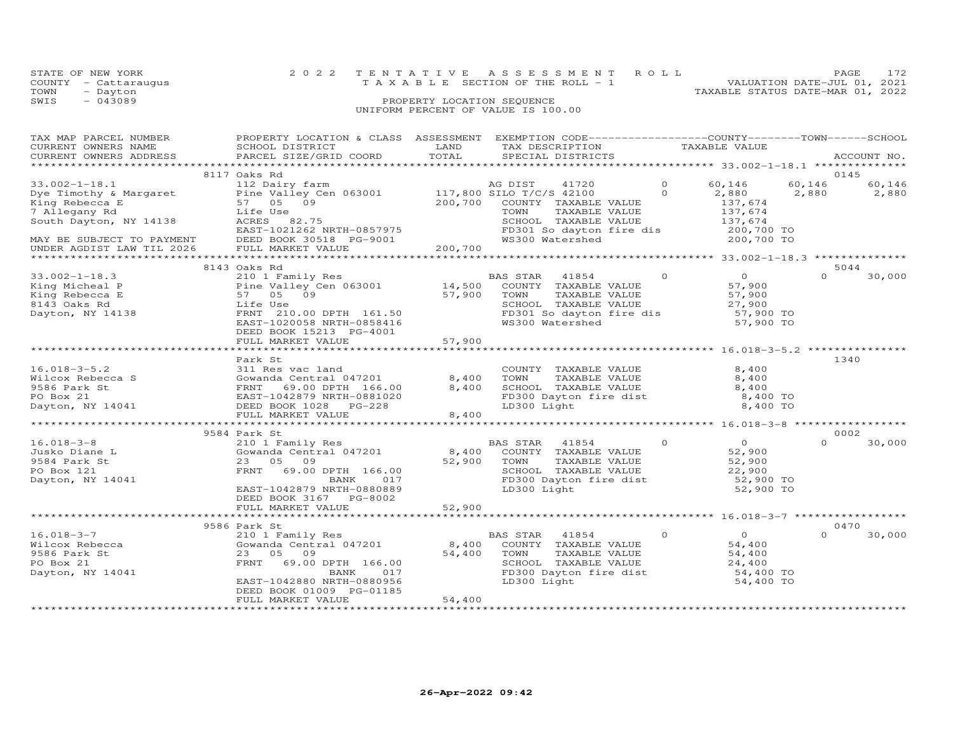|      | STATE OF NEW YORK    | 2022 TENTATIVE ASSESSMENT ROLL        | PAGE                        | 172 |
|------|----------------------|---------------------------------------|-----------------------------|-----|
|      | COUNTY - Cattaraugus | T A X A B L E SECTION OF THE ROLL - 1 | VALUATION DATE-JUL 01, 2021 |     |
| TOWN | - Dayton             | TAXABLE STATUS DATE-MAR 01, 2022      |                             |     |
| SWIS | $-043089$            | PROPERTY LOCATION SEQUENCE            |                             |     |
|      |                      | UNIFORM PERCENT OF VALUE IS 100.00    |                             |     |

| TAX MAP PARCEL NUMBER                                  | PROPERTY LOCATION & CLASS ASSESSMENT EXEMPTION CODE----------------COUNTY-------TOWN------SCHOOL                           |          |                                                   |                |                                                 |          |             |
|--------------------------------------------------------|----------------------------------------------------------------------------------------------------------------------------|----------|---------------------------------------------------|----------------|-------------------------------------------------|----------|-------------|
| CURRENT OWNERS NAME                                    | SCHOOL DISTRICT                                                                                                            | LAND     | TAX DESCRIPTION                                   |                | TAXABLE VALUE                                   |          |             |
| CURRENT OWNERS ADDRESS                                 | PARCEL SIZE/GRID COORD                                                                                                     | TOTAL    | SPECIAL DISTRICTS                                 |                |                                                 |          | ACCOUNT NO. |
|                                                        |                                                                                                                            |          |                                                   |                |                                                 |          |             |
|                                                        | 8117 Oaks Rd                                                                                                               |          |                                                   |                |                                                 |          | 0145        |
| $33.002 - 1 - 18.1$                                    | 112 Dairy farm                                                                                                             |          | AG DIST<br>41720                                  | $\Omega$       | 60,146                                          | 60,146   | 60,146      |
|                                                        |                                                                                                                            |          |                                                   | $\Omega$       | 2,880                                           | 2,880    | 2,880       |
|                                                        | Dye Timothy & Margaret Pine Valley Cen 063001 117,800 SILO T/C/S 42100<br>King Rebecca E 57 05 09 200,700 COUNTY TAXABLE V |          | COUNTY TAXABLE VALUE                              |                | 137,674                                         |          |             |
| 7 Allegany Rd                                          | Life Use                                                                                                                   |          | TOWN<br>TAXABLE VALUE                             |                | 137,674                                         |          |             |
| South Dayton, NY 14138                                 | ACRES 82.75                                                                                                                |          | SCHOOL TAXABLE VALUE                              |                | 137,674                                         |          |             |
|                                                        | EAST-1021262 NRTH-0857975                                                                                                  |          | FD301 So dayton fire dis                          |                | 200,700 TO                                      |          |             |
|                                                        | DEED BOOK 30518 PG-9001                                                                                                    |          | WS300 Watershed                                   |                | 200,700 TO                                      |          |             |
| MAY BE SUBJECT TO PAYMENT<br>UNDER AGDIST LAW TIL 2026 | FULL MARKET VALUE                                                                                                          | 200, 700 |                                                   |                |                                                 |          |             |
|                                                        |                                                                                                                            |          |                                                   |                |                                                 |          |             |
|                                                        | 8143 Oaks Rd                                                                                                               |          |                                                   |                |                                                 |          | 5044        |
| $33.002 - 1 - 18.3$                                    | 210 1 Family Res                                                                                                           |          | BAS STAR 41854                                    | $\circ$        | $\overline{O}$                                  | $\Omega$ | 30,000      |
| King Micheal P                                         |                                                                                                                            |          | COUNTY TAXABLE VALUE                              |                | 57,900                                          |          |             |
| King Rebecca E                                         | 57 05 09                                                                                                                   | 57,900   | TOWN<br>TAXABLE VALUE                             |                |                                                 |          |             |
| 8143 Oaks Rd                                           |                                                                                                                            |          | SCHOOL TAXABLE VALUE                              |                | 57,900<br>27,900                                |          |             |
|                                                        | Life Use                                                                                                                   |          | FD301 So dayton fire dis                          |                |                                                 |          |             |
| Dayton, NY 14138                                       | FRNT 210.00 DPTH 161.50                                                                                                    |          |                                                   |                | 57,900 TO                                       |          |             |
|                                                        | EAST-1020058 NRTH-0858416                                                                                                  |          |                                                   |                | 57,900 TO                                       |          |             |
|                                                        | DEED BOOK 15213 PG-4001                                                                                                    |          |                                                   |                |                                                 |          |             |
|                                                        | FULL MARKET VALUE                                                                                                          | 57,900   |                                                   |                |                                                 |          |             |
|                                                        |                                                                                                                            |          |                                                   |                | *********************** 16.018-3-5.2 ********** |          |             |
|                                                        | Park St                                                                                                                    |          |                                                   |                |                                                 |          | 1340        |
| $16.018 - 3 - 5.2$                                     | 311 Res vac land                                                                                                           |          | COUNTY TAXABLE VALUE                              |                | 8,400                                           |          |             |
|                                                        | Gowanda Central 047201<br>Wilcox Rebecca S<br>9586 Park St<br>PO Box 21<br>Dayton, NY 14041<br>DEED BOOK 1028<br>PC-228    | 8,400    | TOWN      TAXABLE VALUE<br>SCHOOL   TAXABLE VALUE |                | 8,400                                           |          |             |
|                                                        |                                                                                                                            | 8,400    |                                                   |                | 8,400                                           |          |             |
|                                                        |                                                                                                                            |          | FD300 Dayton fire dist                            |                | 8,400 TO                                        |          |             |
|                                                        |                                                                                                                            |          | LD300 Light                                       |                | 8,400 TO                                        |          |             |
|                                                        | FULL MARKET VALUE                                                                                                          | 8,400    |                                                   |                |                                                 |          |             |
|                                                        |                                                                                                                            |          |                                                   |                |                                                 |          |             |
|                                                        | 9584 Park St                                                                                                               |          |                                                   |                |                                                 |          | 0002        |
| $16.018 - 3 - 8$                                       |                                                                                                                            |          | BAS STAR<br>41854                                 | $\sim$ 0       | $\overline{O}$                                  | $\Omega$ | 30,000      |
| Jusko Diane L                                          | 210 1 Family Res<br>Gowanda Central 047201                                                                                 | 8,400    | COUNTY TAXABLE VALUE                              |                | 52,900                                          |          |             |
| 9584 Park St                                           | 23 05 09                                                                                                                   | 52,900   | TAXABLE VALUE<br>TOWN                             |                | 52,900                                          |          |             |
| PO Box 121                                             | FRNT 69.00 DPTH 166.00                                                                                                     |          |                                                   |                | 22,900                                          |          |             |
| Dayton, NY 14041                                       | BANK<br>017                                                                                                                |          | SCHOOL TAXABLE VALUE<br>FD300 Dayton fire dist    |                | 52,900 TO                                       |          |             |
|                                                        | EAST-1042879 NRTH-0880889                                                                                                  |          | LD300 Light                                       |                | 52,900 TO                                       |          |             |
|                                                        | DEED BOOK 3167 PG-8002                                                                                                     |          |                                                   |                |                                                 |          |             |
|                                                        | FULL MARKET VALUE                                                                                                          | 52,900   |                                                   |                |                                                 |          |             |
|                                                        |                                                                                                                            |          |                                                   |                |                                                 |          |             |
|                                                        | 9586 Park St                                                                                                               |          |                                                   |                |                                                 |          | 0470        |
| $16.018 - 3 - 7$                                       | 210 1 Family Res                                                                                                           |          | BAS STAR 41854                                    | $\overline{0}$ | $\overline{0}$                                  | $\Omega$ | 30,000      |
| Wilcox Rebecca                                         | Gowanda Central 047201                                                                                                     | 8,400    | COUNTY TAXABLE VALUE                              |                | 54,400                                          |          |             |
| 9586 Park St                                           | 23 05<br>09                                                                                                                | 54,400   | TOWN<br>TAXABLE VALUE                             |                | 54,400                                          |          |             |
| PO Box 21                                              | FRNT<br>69.00 DPTH 166.00                                                                                                  |          |                                                   |                |                                                 |          |             |
| Dayton, NY 14041                                       | 017<br>BANK                                                                                                                |          | SCHOOL TAXABLE VALUE<br>FD300 Dayton fire dist    |                | $24,400$<br>54,400 TO                           |          |             |
|                                                        | EAST-1042880 NRTH-0880956                                                                                                  |          | LD300 Light                                       |                | 54,400 TO                                       |          |             |
|                                                        | DEED BOOK 01009 PG-01185                                                                                                   |          |                                                   |                |                                                 |          |             |
|                                                        | FULL MARKET VALUE                                                                                                          | 54,400   |                                                   |                |                                                 |          |             |
|                                                        |                                                                                                                            |          |                                                   |                |                                                 |          |             |
|                                                        |                                                                                                                            |          |                                                   |                |                                                 |          |             |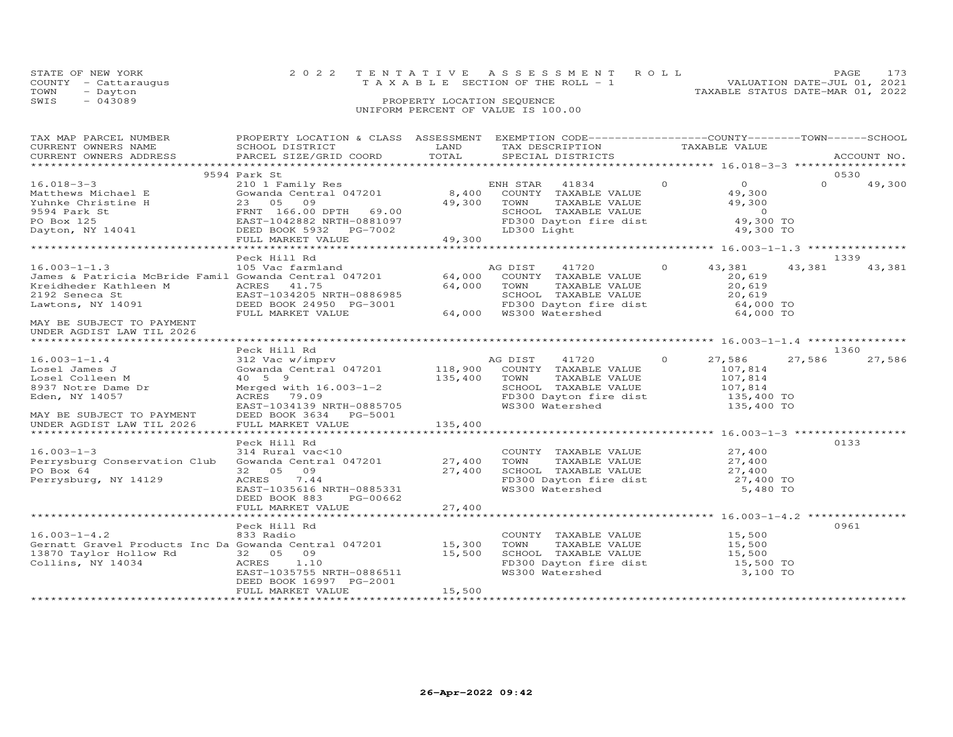| STATE OF NEW YORK    | 2022 TENTATIVE ASSESSMENT ROLL                                       | PAGE. | 173 |
|----------------------|----------------------------------------------------------------------|-------|-----|
| COUNTY - Cattaraugus | VALUATION DATE-JUL 01, 2021<br>T A X A B L E SECTION OF THE ROLL - 1 |       |     |
| TOWN<br>- Dayton     | TAXABLE STATUS DATE-MAR 01, 2022                                     |       |     |
| SWIS<br>$-043089$    | PROPERTY LOCATION SEQUENCE                                           |       |     |
|                      | UNIFORM PERCENT OF VALUE IS 100.00                                   |       |     |
|                      |                                                                      |       |     |

| TAX MAP PARCEL NUMBER<br>CURRENT OWNERS NAME<br>CURRENT OWNERS ADDRESS                                                                                                                                                                                                               | PROPERTY LOCATION & CLASS ASSESSMENT<br>SCHOOL DISTRICT<br>PARCEL SIZE/GRID COORD                                                                                                                                                    | LAND<br>TOTAL           | EXEMPTION CODE------------------COUNTY-------TOWN------SCHOOL<br>TAX DESCRIPTION<br>SPECIAL DISTRICTS                                                                                      | TAXABLE VALUE                                                    | ACCOUNT NO.                |
|--------------------------------------------------------------------------------------------------------------------------------------------------------------------------------------------------------------------------------------------------------------------------------------|--------------------------------------------------------------------------------------------------------------------------------------------------------------------------------------------------------------------------------------|-------------------------|--------------------------------------------------------------------------------------------------------------------------------------------------------------------------------------------|------------------------------------------------------------------|----------------------------|
|                                                                                                                                                                                                                                                                                      |                                                                                                                                                                                                                                      |                         |                                                                                                                                                                                            |                                                                  |                            |
| $16.018 - 3 - 3$<br>Vanthews Michael E<br>Matthews Michael E<br>23 05 09<br>23 05 09<br>23 05 09<br>23 05 09<br>23 05 09<br>23 05 09<br>23 05 09<br>23 05 09<br>23 05 09<br>23 05 09<br>23 05 09<br>249,300<br>2594 Park St<br>PO Box 125<br>Dayton, NY 14041<br>DEED BOOK 5932 PG-7 | 9594 Park St<br>210 1 Family Res<br>Cowanda Central 047201 (1972) 8,400 COUNTY TAXABLE VALUE<br>23 05 09 (1972) 99 (1984) 49,300 TOWN TAXABLE VALUE                                                                                  | 49,300 TOWN             | TAXABLE VALUE<br>CHOOL TAXABLE VALUE 0<br>FD300 Dayton fire dist 49,300 TO<br>LD300 Light                                                                                                  | $\Omega$<br>$\overline{O}$<br>49,300<br>49,300<br>49,300 TO      | 0530<br>$\Omega$<br>49,300 |
|                                                                                                                                                                                                                                                                                      |                                                                                                                                                                                                                                      |                         |                                                                                                                                                                                            |                                                                  |                            |
| $16.003 - 1 - 1.3$<br>James & Patricia McBride Famil Gowanda Central 047201<br>Kreidheder Kathleen M<br>2192 Seneca St<br>Lawtons, NY 14091<br>MAY BE SUBJECT TO PAYMENT<br>UNDER AGDIST LAW TIL 2026                                                                                | Peck Hill Rd<br>105 Vac farmland<br>ACRES 41.75<br>EAST-1034205 NRTH-0886985<br>DEED BOOK 24950 PG-3001<br>FULL MARKET VALUE                                                                                                         | 64,000<br>64,000        | AG DIST 41720<br>COUNTY TAXABLE VALUE<br>TOWN<br>TAXABLE VALUE<br>SCHOOL TAXABLE VALUE $20,619$<br>FD300 Dayton fire dist 64,000 TO<br>WS300 Watershed 64,000 TO<br>64,000 WS300 Watershed | $\circ$<br>43,381<br>20,619<br>20,619                            | 1339<br>43,381<br>43,381   |
|                                                                                                                                                                                                                                                                                      |                                                                                                                                                                                                                                      |                         |                                                                                                                                                                                            |                                                                  |                            |
| $16.003 - 1 - 1.4$<br>Losel James J<br>Losel Colleen M<br>8937 Notre Dame Dr<br>Eden, NY 14057<br>MAY BE SUBJECT TO PAYMENT<br>UNDER AGDIST LAW TIL 2026                                                                                                                             | Peck Hill Rd<br>312 Vac w/imprv<br>Gowanda Central 047201 118,900 COUNTY TAXABLE VALUE<br>40 5 9<br>Merged with 16.003-1-2<br>ACRES 79.09<br>ACRES 79.09<br>EAST-1034139 NRTH-0885705<br>DEED BOOK 3634 PG-5001<br>FULL MARKET VALUE | 135,400 TOWN<br>135,400 | TAXABLE VALUE<br>SCHOOL TAXABLE VALUE<br>FD300 Dayton fire dist 135,400 TO<br>WS300 Watershed                                                                                              | $\circ$<br>27,586<br>107,814<br>107,814<br>107,814<br>135,400 TO | 1360<br>27,586<br>27,586   |
|                                                                                                                                                                                                                                                                                      |                                                                                                                                                                                                                                      |                         |                                                                                                                                                                                            |                                                                  |                            |
| $16.003 - 1 - 3$<br>Perrysburg Conservation Club<br>PO Box 64<br>Perrysburg, NY 14129                                                                                                                                                                                                | Peck Hill Rd<br>314 Rural vac<10<br>Gowanda Central 047201 27,400<br>32 05 09<br>7.44<br>ACRES<br>EAST-1035616 NRTH-0885331<br>DEED BOOK 883<br>PG-00662                                                                             | 27,400                  | COUNTY TAXABLE VALUE<br>IAXABLE VALUE<br>TAXABLE VALUE<br>TOWN<br>SCHOOL TAXABLE VALUE<br>FD300 Dayton fire dist<br>WS300 Watershed                                                        | 27,400<br>27,400<br>27,400<br>$27,400$ TO<br>5,480 TO            | 0133                       |
|                                                                                                                                                                                                                                                                                      | FULL MARKET VALUE                                                                                                                                                                                                                    | 27,400                  |                                                                                                                                                                                            |                                                                  |                            |
| $16.003 - 1 - 4.2$<br>Gernatt Gravel Products Inc Da Gowanda Central 047201 15,300<br>13870 Taylor Hollow Rd<br>Collins, NY 14034                                                                                                                                                    | Peck Hill Rd<br>833 Radio<br>32 05<br>09<br>ACRES 1.10<br>EAST-1035755 NRTH-0886511<br>DEED BOOK 16997 PG-2001<br>FULL MARKET VALUE                                                                                                  | 15,500<br>15,500        | COUNTY TAXABLE VALUE 15,500<br>TOWN<br>TAXABLE VALUE<br>SCHOOL TAXABLE VALUE<br>FD300 Dayton fire dist<br>FD300 Dayton fire dist<br>WS300 Watershed                                        | 15,500<br>15,500<br>15,500 TO<br>3,100 TO                        | 0961                       |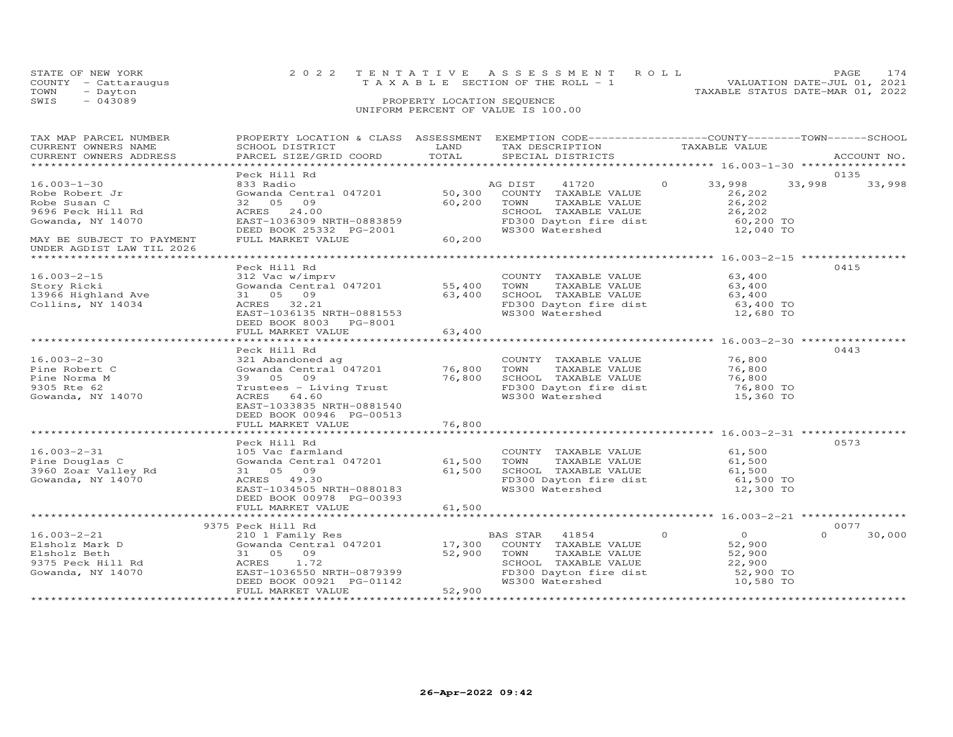| STATE OF NEW YORK    | 2022 TENTATIVE ASSESSMENT ROLL        | PAGE.                            | 174 |
|----------------------|---------------------------------------|----------------------------------|-----|
| COUNTY - Cattaraugus | T A X A B L E SECTION OF THE ROLL - 1 | VALUATION DATE-JUL 01, 2021      |     |
| TOWN<br>- Dayton     |                                       | TAXABLE STATUS DATE-MAR 01, 2022 |     |
| $-043089$<br>SWIS    | PROPERTY LOCATION SEQUENCE            |                                  |     |
|                      | UNIFORM PERCENT OF VALUE IS 100.00    |                                  |     |
|                      |                                       |                                  |     |
|                      |                                       |                                  |     |

| TAX MAP PARCEL NUMBER<br>CURRENT OWNERS NAME<br>CURRENT OWNERS ADDRESS                                                     | PROPERTY LOCATION & CLASS ASSESSMENT<br>SCHOOL DISTRICT<br>PARCEL SIZE/GRID COORD                                                                                                              | LAND<br>TOTAL              | EXEMPTION CODE-----------------COUNTY-------TOWN-----SCHOOL<br>TAX DESCRIPTION<br>SPECIAL DISTRICTS                | TAXABLE VALUE                                                                     | ACCOUNT NO.              |
|----------------------------------------------------------------------------------------------------------------------------|------------------------------------------------------------------------------------------------------------------------------------------------------------------------------------------------|----------------------------|--------------------------------------------------------------------------------------------------------------------|-----------------------------------------------------------------------------------|--------------------------|
| *************************                                                                                                  |                                                                                                                                                                                                |                            |                                                                                                                    |                                                                                   |                          |
| $16.003 - 1 - 30$<br>Robe Robert Jr<br>Robe Susan C<br>9696 Peck Hill Rd<br>Gowanda, NY 14070<br>MAY BE SUBJECT TO PAYMENT | Peck Hill Rd<br>833 Radio<br>Gowanda Central 047201 50,300 COUNTY TAXABLE VALUE<br>32 05<br>09<br>ACRES 24.00<br>EAST-1036309 NRTH-0883859<br>DEED BOOK 25332 PG-2001<br>FULL MARKET VALUE     | 60,200<br>$3-2001$ 60,200  | 41720<br>AG DIST<br>TOWN<br>TAXABLE VALUE<br>SCHOOL TAXABLE VALUE<br>FD300 Dayton fire dist<br>WS300 Watershed     | $\Omega$<br>33,998<br>26,202<br>26,202<br>26,202<br>60,200 TO<br>12,040 TO        | 0135<br>33,998<br>33,998 |
| UNDER AGDIST LAW TIL 2026                                                                                                  |                                                                                                                                                                                                |                            |                                                                                                                    |                                                                                   |                          |
| $16.003 - 2 - 15$<br>Story Ricki<br>13966 Highland Ave<br>Collins, NY 14034                                                | Peck Hill Rd<br>312 Vac w/imprv<br>Gowanda Central 047201 55,400 TOWN<br>31 05 09<br>ACRES 32.21<br>EAST-1036135 NRTH-0881553<br>DEED BOOK 8003 PG-8001                                        | 63,400                     | COUNTY TAXABLE VALUE<br>TAXABLE VALUE<br>SCHOOL TAXABLE VALUE<br>FD300 Dayton fire dist<br>WS300 Watershed         | 63,400<br>63,400<br>63,400<br>63,400 TO<br>12,680 TO                              | 0415                     |
|                                                                                                                            | FULL MARKET VALUE<br>**************************                                                                                                                                                | 63,400<br>************     |                                                                                                                    | ******************* 16.003-2-30 ***************                                   |                          |
| $16.003 - 2 - 30$<br>Pine Robert C<br>Pine Norma M<br>9305 Rte 62<br>Gowanda, NY 14070                                     | Peck Hill Rd<br>321 Abandoned ag<br>Gowanda Central 047201<br>39 05 09<br>Trustees - Living Trust<br>ACRES 64.60<br>EAST-1033835 NRTH-0881540<br>DEED BOOK 00946 PG-00513<br>FULL MARKET VALUE | 76,800<br>76,800<br>76,800 | COUNTY TAXABLE VALUE<br>TOWN<br>TAXABLE VALUE<br>SCHOOL TAXABLE VALUE<br>FD300 Dayton fire dist<br>WS300 Watershed | 76,800<br>76,800<br>76,800<br>76,800 TO<br>15,360 TO                              | 0443                     |
|                                                                                                                            |                                                                                                                                                                                                |                            |                                                                                                                    |                                                                                   |                          |
| $16.003 - 2 - 31$<br>Pine Douglas C<br>3960 Zoar Valley Rd<br>Gowanda, NY 14070                                            | Peck Hill Rd<br>105 Vac farmland<br>Gowanda Central 047201 61,500<br>31 05 09<br>ACRES 49.30<br>EAST-1034505 NRTH-0880183<br>DEED BOOK 00978 PG-00393                                          | 61,500                     | COUNTY TAXABLE VALUE<br>TAXABLE VALUE<br>TOWN<br>SCHOOL TAXABLE VALUE<br>FD300 Dayton fire dist<br>WS300 Watershed | 61,500<br>61,500<br>61,500<br>61,500 TO<br>12,300 TO                              | 0573                     |
|                                                                                                                            | FULL MARKET VALUE                                                                                                                                                                              | 61,500                     |                                                                                                                    |                                                                                   |                          |
|                                                                                                                            | 9375 Peck Hill Rd                                                                                                                                                                              |                            |                                                                                                                    |                                                                                   | 0077                     |
| $16.003 - 2 - 21$<br>Elsholz Mark D<br>Elsholz Beth<br>9375 Peck Hill Rd<br>Gowanda, NY 14070                              | 210 1 Family Res<br>Gowanda Central 047201 17,300 COUNTY TAXABLE VALUE<br>31 05 09<br>ACRES<br>1.72<br>EAST-1036550 NRTH-0879399<br>DEED BOOK 00921 PG-01142<br>FULL MARKET VALUE              | 52,900<br>52,900           | TAXABLE VALUE<br>TOWN<br>SCHOOL TAXABLE VALUE<br>FD300 Dayton fire dist<br>WS300 Watershed                         | $\circ$<br>$\overline{O}$<br>52,900<br>52,900<br>22,900<br>52,900 TO<br>10,580 TO | $\Omega$<br>30,000       |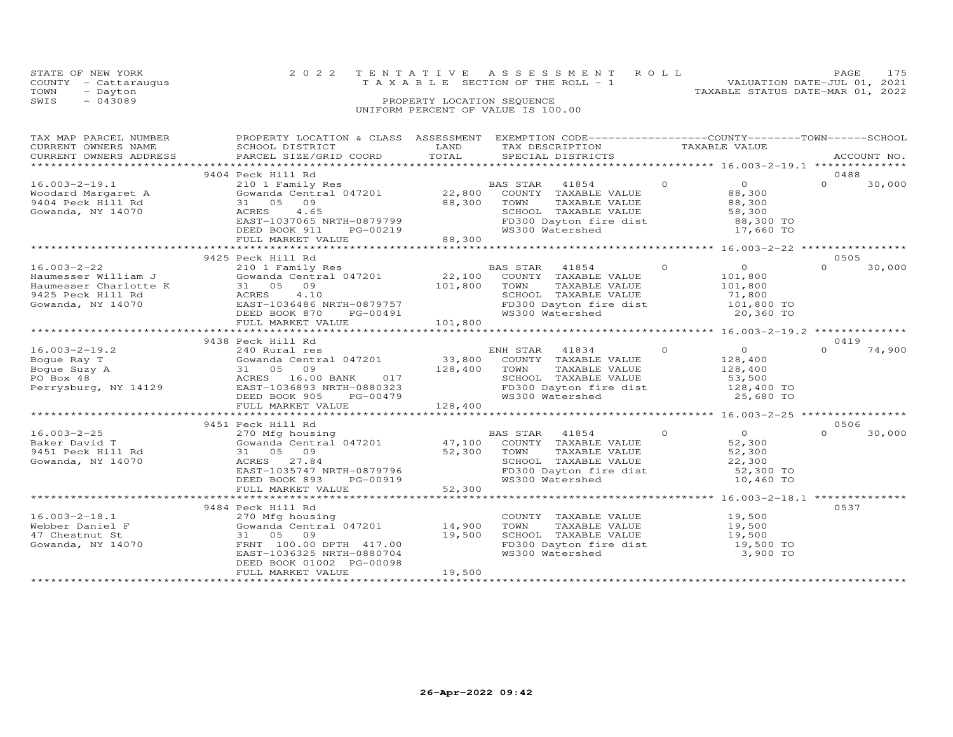| STATE OF NEW YORK    | 2022 TENTATIVE ASSESSMENT ROLL     | PAGE.                            | 175 |
|----------------------|------------------------------------|----------------------------------|-----|
| COUNTY - Cattaraugus | TAXABLE SECTION OF THE ROLL - 1    | VALUATION DATE-JUL 01, 2021      |     |
| TOWN<br>- Dayton     |                                    | TAXABLE STATUS DATE-MAR 01, 2022 |     |
| $-043089$<br>SWIS    | PROPERTY LOCATION SEQUENCE         |                                  |     |
|                      | UNIFORM PERCENT OF VALUE IS 100.00 |                                  |     |
|                      |                                    |                                  |     |

| TAX MAP PARCEL NUMBER                                                                   | PROPERTY LOCATION & CLASS ASSESSMENT<br>TAX MAP PARCEL NUMBER TROPERTI BUCKLITURE ASSESSMENT BALL AND TRABLE VALUE<br>CURRENT OWNERS NAME SCHOOL DISTRICT TRADUCT TRAIN TRABLE VALUE<br>CURRENT OWNERS ADDRESS PARCEL SIZE/GRID COORD TOTAL SPECIAL DISTRICTS ACCOUNT NO.<br>**               |                                   | EXEMPTION CODE-----------------COUNTY-------TOWN-----SCHOOL                                                                          |                                                                              |                            |
|-----------------------------------------------------------------------------------------|-----------------------------------------------------------------------------------------------------------------------------------------------------------------------------------------------------------------------------------------------------------------------------------------------|-----------------------------------|--------------------------------------------------------------------------------------------------------------------------------------|------------------------------------------------------------------------------|----------------------------|
|                                                                                         |                                                                                                                                                                                                                                                                                               |                                   |                                                                                                                                      |                                                                              |                            |
| $16.003 - 2 - 19.1$<br>Woodard Margaret A<br>9404 Peck Hill Rd<br>Gowanda, NY 14070     | 9404 Peck Hill Rd<br>210 1 Family Res<br>Gowanda Central 047201 22,800<br>31 05 09<br>4.65<br>ACRES<br>EAST-1037065 NRTH-0879799<br>DEED BOOK 911<br>FULL MARKET VALUE                                                                                                                        | 88,300 TOWN<br>PG-00219<br>88,300 | BAS STAR 41854<br>COUNTY TAXABLE VALUE<br>TAXABLE VALUE<br>SCHOOL TAXABLE VALUE<br>FD300 Dayton fire dist<br>WS300 Watershed         | $\Omega$<br>$\Omega$<br>88,300<br>88,300<br>58,300<br>88,300 TO<br>17,660 TO | 0488<br>$\Omega$<br>30,000 |
|                                                                                         |                                                                                                                                                                                                                                                                                               |                                   |                                                                                                                                      |                                                                              |                            |
| $16.003 - 2 - 22$                                                                       | 9425 Peck Hill Rd<br>Peck Hill Ka<br>210 1 Family Res<br>Gowanda Central 047201 22,100 COUNTY TAXABLE VALUE<br>31 05 09<br>Haumesser William J<br>Haumesser Charlotte K<br>9425 Peck Hill Rd<br>Gowanda, NY 14070<br>EAST-1036486 NRTH-0879757<br>DEED BOOK 870 PG-00491<br>FULL MARKET VALUE | 101,800                           | TAXABLE VALUE<br>- THE SCHOOL TAXABLE VALUE 71,800<br>FD300 Dayton fire dist 101,800 TO<br>FD300 Dayton fire dist<br>WS300 Watershed | $\circ$<br>$\overline{0}$<br>101,800<br>101,800<br>20,360 TO                 | 0505<br>$\Omega$<br>30,000 |
|                                                                                         |                                                                                                                                                                                                                                                                                               |                                   |                                                                                                                                      |                                                                              |                            |
| $16.003 - 2 - 19.2$<br>Boque Ray T<br>Boque Suzy A<br>PO Box 48<br>Perrysburg, NY 14129 | 9438 Peck Hill Rd<br>240 Rural res<br>Gowanda Central 047201 33,800 COUNTY TAXABLE VALUE<br>31 05 09<br>ACRES 16.00 BANK 017 128,400 TOWN<br>EAST 1000000 BANK 017 5CHOO<br>EAST-1036893 NRTH-0880323<br>DEED BOOK 905<br>PG-00479                                                            |                                   | TAXABLE VALUE<br>SCHOOL TAXABLE VALUE<br>FD300 Dayton fire dist<br>WS300 Watershed                                                   | $\overline{0}$<br>128,400<br>128,400<br>53,500<br>128,400 TO<br>25,680 TO    | 0419<br>$\cap$<br>74,900   |
|                                                                                         | FULL MARKET VALUE                                                                                                                                                                                                                                                                             | 128,400                           |                                                                                                                                      |                                                                              |                            |
|                                                                                         | 9451 Peck Hill Rd                                                                                                                                                                                                                                                                             |                                   |                                                                                                                                      |                                                                              | 0506                       |
| $16.003 - 2 - 25$<br>Baker David T<br>9451 Peck Hill Rd<br>Gowanda, NY 14070            | 270 Mfg housing<br>Gowanda Central 047201 47,100 COUNTY TAXABLE VALUE<br>31 05 09<br>ACRES 27.84<br>EAST-1035747 NRTH-0879796<br>DEED BOOK 893<br>PG-00919                                                                                                                                    | 52,300                            | 41854<br>TOWN<br>TAXABLE VALUE<br>SCHOOL TAXABLE VALUE<br>FD300 Dayton fire dist 52,300 TO<br>WS300 Watershed                        | $\circ$<br>$\overline{O}$<br>52,300<br>52,300<br>22,300<br>10,460 TO         | 30,000<br>$\cap$           |
|                                                                                         | FULL MARKET VALUE                                                                                                                                                                                                                                                                             | 52,300                            |                                                                                                                                      |                                                                              |                            |
| $16.003 - 2 - 18.1$<br>Webber Daniel F<br>47 Chestnut St<br>Gowanda, NY 14070           | 9484 Peck Hill Rd<br>270 Mfg housing<br>Gowanda Central 047201 14,900<br>31 05<br>09<br>FRNT 100.00 DPTH 417.00<br>EAST-1036325 NRTH-0880704<br>DEED BOOK 01002 PG-00098<br>FULL MARKET VALUE                                                                                                 | 19,500<br>19,500                  | COUNTY TAXABLE VALUE<br>TAXABLE VALUE<br>TOWN<br>SCHOOL TAXABLE VALUE<br>FD300 Dayton fire dist<br>WS300 Watershed                   | 19,500<br>19,500<br>19,500<br>$19,500$ TO<br>3,900 TO                        | 0537                       |
|                                                                                         |                                                                                                                                                                                                                                                                                               |                                   |                                                                                                                                      |                                                                              |                            |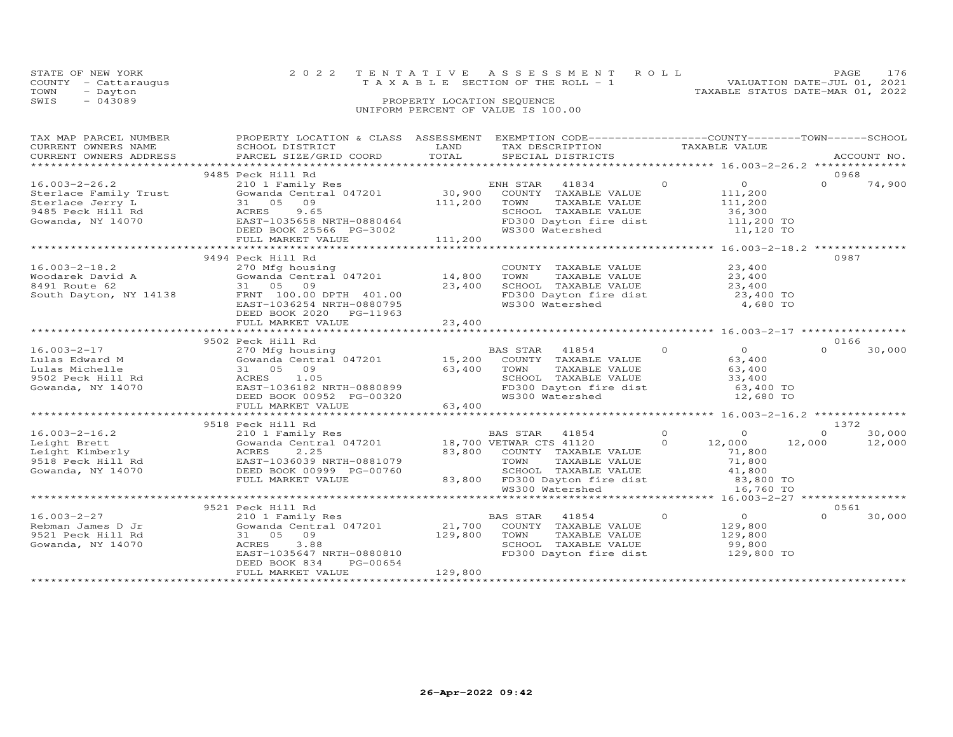| STATE OF NEW YORK    | 2022 TENTATIVE ASSESSMENT ROLL        | <b>PAGE</b>                      | 176 |
|----------------------|---------------------------------------|----------------------------------|-----|
| COUNTY - Cattaraugus | T A X A B L E SECTION OF THE ROLL - 1 | VALUATION DATE-JUL 01, 2021      |     |
| TOWN<br>- Dayton     |                                       | TAXABLE STATUS DATE-MAR 01, 2022 |     |
| $-043089$<br>SWIS    | PROPERTY LOCATION SEQUENCE            |                                  |     |
|                      | UNIFORM PERCENT OF VALUE IS 100.00    |                                  |     |

| TAX MAP PARCEL NUMBER                  | PROPERTY LOCATION & CLASS ASSESSMENT EXEMPTION CODE----------------COUNTY-------TOWN-----SCHOOL                                                                                                                                                   |              |                                                                                                                                                                                                                       |                |                                   |          |             |
|----------------------------------------|---------------------------------------------------------------------------------------------------------------------------------------------------------------------------------------------------------------------------------------------------|--------------|-----------------------------------------------------------------------------------------------------------------------------------------------------------------------------------------------------------------------|----------------|-----------------------------------|----------|-------------|
| CURRENT OWNERS NAME                    | SCHOOL DISTRICT                                                                                                                                                                                                                                   | LAND         | TAX DESCRIPTION                                                                                                                                                                                                       | TAXABLE VALUE  |                                   |          |             |
|                                        | CURRENT OWNERS ADDRESS PARCEL SIZE/GRID COORD                                                                                                                                                                                                     | TOTAL        | SPECIAL DISTRICTS                                                                                                                                                                                                     |                |                                   |          | ACCOUNT NO. |
|                                        |                                                                                                                                                                                                                                                   |              |                                                                                                                                                                                                                       |                |                                   |          |             |
|                                        | 9485 Peck Hill Rd                                                                                                                                                                                                                                 |              |                                                                                                                                                                                                                       |                |                                   | 0968     |             |
|                                        | 0.0003-2-26.2<br>Sterlace Family Trust<br>Sterlace Jerry L<br>Sterlace Jerry L<br>Sterlace Jerry L<br>Sterlace Jerry L<br>Sterlace Jerry L<br>30,900 COUNTY TAXABLE VALUE<br>Sterlace Jerry L<br>30,900 COUNTY TAXABLE VALUE<br>20,900 COUNTY TAX |              |                                                                                                                                                                                                                       | $\overline{0}$ | $\overline{O}$ and $\overline{O}$ | $\Omega$ |             |
|                                        |                                                                                                                                                                                                                                                   |              |                                                                                                                                                                                                                       |                |                                   |          | 74,900      |
|                                        |                                                                                                                                                                                                                                                   |              |                                                                                                                                                                                                                       |                | 111,200                           |          |             |
|                                        |                                                                                                                                                                                                                                                   |              |                                                                                                                                                                                                                       |                |                                   |          |             |
|                                        |                                                                                                                                                                                                                                                   |              |                                                                                                                                                                                                                       |                |                                   |          |             |
|                                        |                                                                                                                                                                                                                                                   |              | SCHOOL TAXABLE VALUE 36,300<br>FD300 Dayton fire dist 111,200 TO                                                                                                                                                      |                |                                   |          |             |
|                                        | ACRES 9.65<br>EAST-1035658 NRTH-0880464<br>DEED BOOK 25566 PG-3002                                                                                                                                                                                |              |                                                                                                                                                                                                                       |                | 11,120 TO                         |          |             |
|                                        | FULL MARKET VALUE                                                                                                                                                                                                                                 | 111,200      |                                                                                                                                                                                                                       |                |                                   |          |             |
|                                        |                                                                                                                                                                                                                                                   |              |                                                                                                                                                                                                                       |                |                                   |          |             |
|                                        |                                                                                                                                                                                                                                                   |              |                                                                                                                                                                                                                       |                |                                   | 0987     |             |
|                                        | 9494 Peck Hill Rd                                                                                                                                                                                                                                 |              |                                                                                                                                                                                                                       |                |                                   |          |             |
|                                        |                                                                                                                                                                                                                                                   |              | COUNTY TAXABLE VALUE 23,400<br>TOWN TAXABLE VALUE 23,400                                                                                                                                                              |                |                                   |          |             |
|                                        |                                                                                                                                                                                                                                                   |              |                                                                                                                                                                                                                       |                |                                   |          |             |
|                                        |                                                                                                                                                                                                                                                   |              |                                                                                                                                                                                                                       |                |                                   |          |             |
|                                        | 16.003-2-18.2<br>Woodarek David A (270 Mfg housing<br>8491 Route 62 31 05 09 23,400<br>South Dayton, NY 14138 FRNT 100.00 DPTH 401.00<br>EAST-1036254 NRTH-0880795                                                                                |              | SCHOOL TAXABLE VALUE<br>FD300 Dayton fire dist<br>WS300 Watershed                                                                                                                                                     |                | 23,400<br>23,400 TO               |          |             |
|                                        |                                                                                                                                                                                                                                                   |              |                                                                                                                                                                                                                       |                | 4,680 TO                          |          |             |
|                                        | DEED BOOK 2020 PG-11963                                                                                                                                                                                                                           |              |                                                                                                                                                                                                                       |                |                                   |          |             |
|                                        |                                                                                                                                                                                                                                                   |              |                                                                                                                                                                                                                       |                |                                   |          |             |
|                                        |                                                                                                                                                                                                                                                   |              |                                                                                                                                                                                                                       |                |                                   |          |             |
|                                        |                                                                                                                                                                                                                                                   |              |                                                                                                                                                                                                                       |                |                                   |          |             |
|                                        | 9502 Peck Hill Rd                                                                                                                                                                                                                                 |              |                                                                                                                                                                                                                       |                |                                   | 0166     |             |
|                                        |                                                                                                                                                                                                                                                   |              |                                                                                                                                                                                                                       |                | $\overline{O}$                    | $\Omega$ | 30,000      |
|                                        |                                                                                                                                                                                                                                                   |              |                                                                                                                                                                                                                       |                | 63,400                            |          |             |
|                                        |                                                                                                                                                                                                                                                   |              |                                                                                                                                                                                                                       |                | 63,400<br>33,400                  |          |             |
|                                        |                                                                                                                                                                                                                                                   |              |                                                                                                                                                                                                                       |                |                                   |          |             |
| Gowanda, NY 14070                      |                                                                                                                                                                                                                                                   |              | FD300 Dayton fire dist<br>WS300 Watershed 12,680 TO                                                                                                                                                                   |                |                                   |          |             |
|                                        |                                                                                                                                                                                                                                                   |              |                                                                                                                                                                                                                       |                |                                   |          |             |
|                                        | ACRES 1.05<br>EAST-1036182 NRTH-0880899<br>DEED BOOK 00952 PG-00320<br>FULL MARKER ::-::                                                                                                                                                          |              |                                                                                                                                                                                                                       |                |                                   |          |             |
|                                        | FULL MARKET VALUE                                                                                                                                                                                                                                 | 63,400       |                                                                                                                                                                                                                       |                |                                   |          |             |
|                                        |                                                                                                                                                                                                                                                   |              |                                                                                                                                                                                                                       |                |                                   |          |             |
|                                        | 9518 Peck Hill Rd                                                                                                                                                                                                                                 |              |                                                                                                                                                                                                                       |                |                                   | 1372     |             |
| $16.003 - 2 - 16.2$                    | 210 1 Family Res                                                                                                                                                                                                                                  |              | BAS STAR 41854                                                                                                                                                                                                        | $\overline{0}$ | $\overline{a}$                    | $\Omega$ | 30,000      |
|                                        |                                                                                                                                                                                                                                                   |              |                                                                                                                                                                                                                       |                | 12,000 12,000                     |          | 12,000      |
|                                        |                                                                                                                                                                                                                                                   |              |                                                                                                                                                                                                                       |                | 71,800                            |          |             |
|                                        |                                                                                                                                                                                                                                                   |              | 83,800 COUNTY TAXABLE VALUE<br>TOWN TAXABLE VALUE                                                                                                                                                                     |                | 71,800                            |          |             |
|                                        |                                                                                                                                                                                                                                                   |              | SCHOOL TAXABLE VALUE $\begin{array}{ccc} & 41,800 \\ 41,800 \end{array}$ TD300 Dayton fire dist $\begin{array}{ccc} & 41,800 \\ & 83,800 \end{array}$ TO WS300 Watershed $\begin{array}{ccc} 16,760 & 10 \end{array}$ |                |                                   |          |             |
|                                        | FULL MARKET VALUE                                                                                                                                                                                                                                 |              |                                                                                                                                                                                                                       |                |                                   |          |             |
|                                        |                                                                                                                                                                                                                                                   |              |                                                                                                                                                                                                                       |                |                                   |          |             |
|                                        |                                                                                                                                                                                                                                                   |              |                                                                                                                                                                                                                       |                |                                   |          |             |
|                                        |                                                                                                                                                                                                                                                   |              |                                                                                                                                                                                                                       |                |                                   |          |             |
|                                        | 9521 Peck Hill Rd                                                                                                                                                                                                                                 |              |                                                                                                                                                                                                                       |                |                                   | 0561     |             |
| $16.003 - 2 - 27$                      | 210 1 Family Res                                                                                                                                                                                                                                  |              | BAS STAR 41854                                                                                                                                                                                                        | $\circ$        | $\overline{0}$                    | $\Omega$ | 30,000      |
| Rebman James D Jr<br>9521 Peck Hill Rd | Gowanda Central 047201 21,700 COUNTY TAXABLE VALUE                                                                                                                                                                                                |              |                                                                                                                                                                                                                       | 129,800        |                                   |          |             |
|                                        | 31 05 09                                                                                                                                                                                                                                          | 129,800 TOWN | TAXABLE VALUE                                                                                                                                                                                                         |                | 129,800                           |          |             |
| Gowanda, NY 14070                      | 3.88<br>ACRES                                                                                                                                                                                                                                     |              | SCHOOL TAXABLE VALUE                                                                                                                                                                                                  |                | 99,800                            |          |             |
|                                        | EAST-1035647 NRTH-0880810                                                                                                                                                                                                                         |              | FD300 Dayton fire dist                                                                                                                                                                                                |                | 129,800 TO                        |          |             |
|                                        |                                                                                                                                                                                                                                                   |              |                                                                                                                                                                                                                       |                |                                   |          |             |
|                                        | DEED BOOK 834<br>PG-00654                                                                                                                                                                                                                         |              |                                                                                                                                                                                                                       |                |                                   |          |             |
|                                        | FULL MARKET VALUE                                                                                                                                                                                                                                 | 129,800      |                                                                                                                                                                                                                       |                |                                   |          |             |
|                                        |                                                                                                                                                                                                                                                   |              |                                                                                                                                                                                                                       |                |                                   |          |             |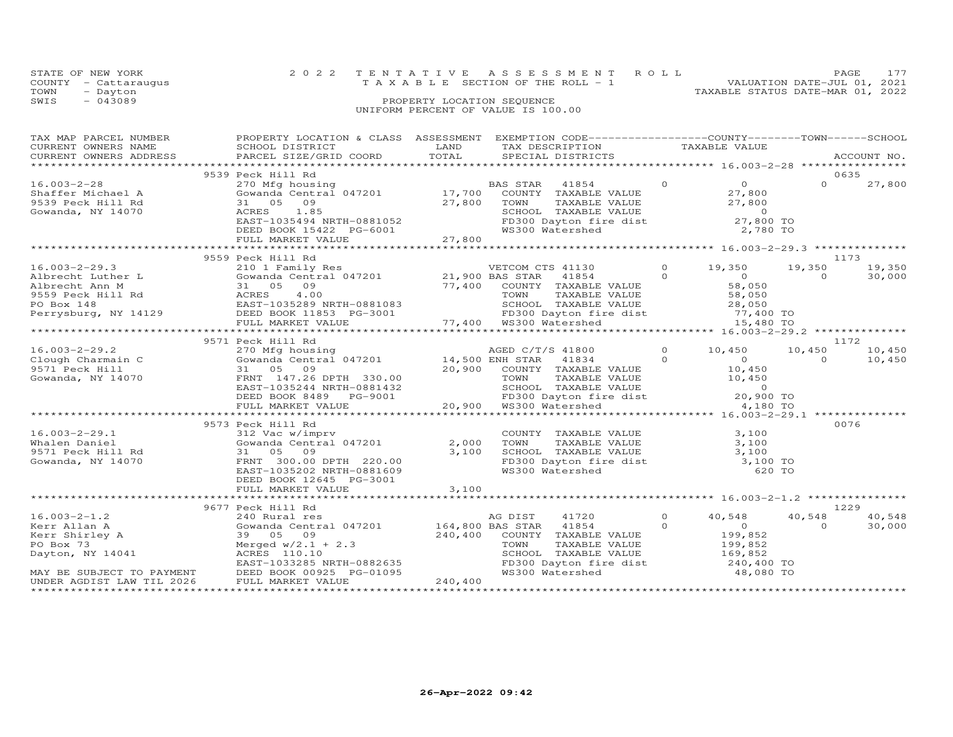| STATE OF NEW YORK    | 2022 TENTATIVE ASSESSMENT ROLL     |                            |  |                                  | PAGE 177                    |  |
|----------------------|------------------------------------|----------------------------|--|----------------------------------|-----------------------------|--|
| COUNTY - Cattaraugus | TAXABLE SECTION OF THE ROLL - 1    |                            |  |                                  | VALUATION DATE-JUL 01, 2021 |  |
| TOWN<br>- Dayton     |                                    |                            |  | TAXABLE STATUS DATE-MAR 01, 2022 |                             |  |
| $-043089$<br>SWIS    |                                    | PROPERTY LOCATION SEQUENCE |  |                                  |                             |  |
|                      | UNIFORM PERCENT OF VALUE IS 100.00 |                            |  |                                  |                             |  |
|                      |                                    |                            |  |                                  |                             |  |

| TAX MAP PARCEL NUMBER<br>CURRENT OWNERS NAME<br>CURRENT OWNERS ADDRESS                                                                          | PROPERTY LOCATION & CLASS ASSESSMENT<br>SCHOOL DISTRICT<br>PARCEL SIZE/GRID COORD                                                                                                                                                                                                                                                                                                                | LAND<br>TOTAL           | EXEMPTION CODE-----------------COUNTY-------TOWN------SCHOOL<br>TAX DESCRIPTION<br>SPECIAL DISTRICTS                                                                                                                                         |                     | TAXABLE VALUE                                               |                    | ACCOUNT NO.              |
|-------------------------------------------------------------------------------------------------------------------------------------------------|--------------------------------------------------------------------------------------------------------------------------------------------------------------------------------------------------------------------------------------------------------------------------------------------------------------------------------------------------------------------------------------------------|-------------------------|----------------------------------------------------------------------------------------------------------------------------------------------------------------------------------------------------------------------------------------------|---------------------|-------------------------------------------------------------|--------------------|--------------------------|
|                                                                                                                                                 |                                                                                                                                                                                                                                                                                                                                                                                                  |                         |                                                                                                                                                                                                                                              |                     |                                                             |                    |                          |
| $16.003 - 2 - 28$<br>Shaffer Michael A<br>9539 Peck Hill Rd<br>Gowanda, NY 14070                                                                | 9539 Peck Hill Rd<br>Peck Hill Austral 047201<br>27,800<br>27,800<br>27,800<br>27,800<br>27,800<br>27,800<br>27,800<br>27,800<br>27,800<br>27,800<br>27,800<br>27,800<br>27,800<br>27,800<br>27,800<br>27,800<br>27,800<br>27,800<br>27,800<br>27,800<br>27,800<br>27,800<br>27,800<br>27,800<br>27,8<br>ACRES 1.85<br>EAST-1035494 NRTH-0881052<br>DEED BOOK 15422 PG-6001<br>FULL MARKET VALUE | 27,800                  | WS300 Watershed                                                                                                                                                                                                                              |                     | 2,780 TO                                                    | $\Omega$           | 0635<br>27,800           |
|                                                                                                                                                 |                                                                                                                                                                                                                                                                                                                                                                                                  |                         |                                                                                                                                                                                                                                              |                     |                                                             |                    |                          |
|                                                                                                                                                 | 9559 Peck Hill Rd                                                                                                                                                                                                                                                                                                                                                                                |                         |                                                                                                                                                                                                                                              |                     |                                                             |                    | 1173                     |
|                                                                                                                                                 |                                                                                                                                                                                                                                                                                                                                                                                                  |                         |                                                                                                                                                                                                                                              |                     |                                                             |                    |                          |
| 9571 Peck Hill<br>Gowanda, NY 14070                                                                                                             | 31 05 09<br>FRNT 147.26 DPTH 330.00<br>EAST-1035244 NRTH-0881432<br>DEED BOOK 8489 PG-9001<br>FULL MARKET VALUE                                                                                                                                                                                                                                                                                  |                         | AGED C/T/S 41800 0 10,450 10,<br>14,500 ENH STAR 41834 0 0<br>20,900 COUNTY TAXABLE VALUE 10,450<br>SCHOOL TAXABLE VALUE 5 10,450<br>SCHOOL TAXABLE VALUE 9<br>FD300 Dayton fire dist 20,900 TO<br>20,900 WS300 Watershed<br>1.1.1.1.1.1.1.1 |                     |                                                             |                    |                          |
|                                                                                                                                                 | 9573 Peck Hill Rd                                                                                                                                                                                                                                                                                                                                                                                |                         |                                                                                                                                                                                                                                              |                     |                                                             |                    | 0076                     |
| $16.003 - 2 - 29.1$<br>Whalen Daniel<br>9571 Peck Hill Rd<br>Gowanda, NY 14070                                                                  | 312 Vac w/imprv<br>Gowanda Central 047201<br>31 05 09<br>FRNT 300.00 DPTH 220.00<br>EAST-1035202 NRTH-0881609<br>DEED BOOK 12645 PG-3001<br>FULL MARKET VALUE                                                                                                                                                                                                                                    | 2,000<br>3,100<br>3,100 | COUNTY TAXABLE VALUE 3,100<br>TOWN TAXABLE VALUE 3,100<br>SCHOOL TAXABLE VALUE 3,100<br>FD300 Dayton fire dist 3,100 TO<br>WS300 Watershed 620 TO<br>WS300 Watershed                                                                         |                     | 620 TO                                                      |                    |                          |
|                                                                                                                                                 | ***************************                                                                                                                                                                                                                                                                                                                                                                      |                         |                                                                                                                                                                                                                                              |                     |                                                             |                    |                          |
| $16.003 - 2 - 1.2$<br>Kerr Allan A<br>Kerr Shirley A<br>PO Box 73<br>Dayton, NY 14041<br>MAY BE SUBJECT TO PAYMENT<br>UNDER AGDIST LAW TIL 2026 | 9677 Peck Hill Rd<br>240 Rural res<br>Gowanda Central 047201 164,800 BAS STAR<br>39 05 09<br>Merged $w/2.1 + 2.3$<br>ACRES 110.10<br>EAST-1033285 NRTH-0882635<br>DEED BOOK 00925 PG-01095<br>FULL MARKET VALUE                                                                                                                                                                                  | 240,400                 | AG DIST<br>41720<br>41854<br>240,400 COUNTY TAXABLE VALUE<br>TAXABLE VALUE<br>TOWN<br>SCHOOL TAXABLE VALUE<br>WS300 Watershed                                                                                                                | $\circ$<br>$\Omega$ | 40,548<br>$\overline{0}$<br>199,852<br>199,852<br>48,080 TO | 40,548<br>$\Omega$ | 1229<br>40,548<br>30,000 |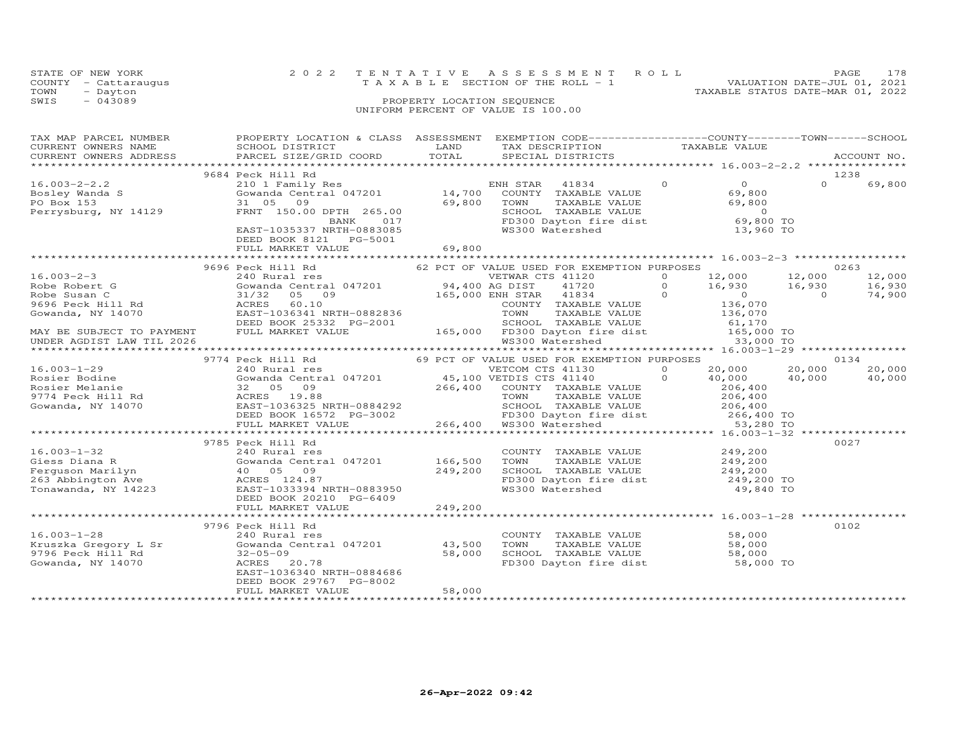|      | STATE OF NEW YORK    | 2022 TENTATIVE ASSESSMENT ROLL                                 | PAGE. | 178 |
|------|----------------------|----------------------------------------------------------------|-------|-----|
|      | COUNTY - Cattaraugus | VALUATION DATE-JUL 01, 2021<br>TAXABLE SECTION OF THE ROLL - 1 |       |     |
| TOWN | - Dayton             | TAXABLE STATUS DATE-MAR 01, 2022                               |       |     |
| SWIS | $-043089$            | PROPERTY LOCATION SEQUENCE                                     |       |     |
|      |                      | UNIFORM PERCENT OF VALUE IS 100.00                             |       |     |

| TAX MAP PARCEL NUMBER<br>TAX MAP PARCEL NUMBER TROPINIT BOUNTLY & CHASS ASSESSMENT BALLY TRANSFORM TRANSPORT TRANSPORT CONSULT TRANSFORM TRANSFORM TRANSFORM TRANSFORM TRANSFORM TRANSFORM TRANSFORM TRANSFORM TRANSFORM TRANSFORM TRANSFORM TRANSFORM | PROPERTY LOCATION & CLASS ASSESSMENT EXEMPTION CODE----------------COUNTY-------TOWN------SCHOOL                                                                                                                                         |        |                                                                                                                                                                        |  |          |        |
|--------------------------------------------------------------------------------------------------------------------------------------------------------------------------------------------------------------------------------------------------------|------------------------------------------------------------------------------------------------------------------------------------------------------------------------------------------------------------------------------------------|--------|------------------------------------------------------------------------------------------------------------------------------------------------------------------------|--|----------|--------|
|                                                                                                                                                                                                                                                        |                                                                                                                                                                                                                                          |        |                                                                                                                                                                        |  |          |        |
|                                                                                                                                                                                                                                                        | 9684 Peck Hill Rd                                                                                                                                                                                                                        |        |                                                                                                                                                                        |  |          | 1238   |
| $16.003 - 2 - 2.2$<br>rovier Wanda S<br>PO Box 153<br>Perrysburg, NY 14129                                                                                                                                                                             | 9 Peck Hill Rd<br>210 1 Family Res<br>Gowanda Central 047201 14,700 COUNTY TAXABLE VALUE 69,800<br>31 05 09 69,800 TOWN TAXABLE VALUE 69,800<br>FRNT 150.00 DPTH 265.00 69,800 TOWN TAXABLE VALUE 69,800<br>BANK 017 FD300 Dayton fire d |        |                                                                                                                                                                        |  | $\Omega$ | 69,800 |
|                                                                                                                                                                                                                                                        |                                                                                                                                                                                                                                          |        |                                                                                                                                                                        |  |          |        |
|                                                                                                                                                                                                                                                        |                                                                                                                                                                                                                                          |        |                                                                                                                                                                        |  |          |        |
|                                                                                                                                                                                                                                                        |                                                                                                                                                                                                                                          |        |                                                                                                                                                                        |  |          | 0263   |
|                                                                                                                                                                                                                                                        |                                                                                                                                                                                                                                          |        |                                                                                                                                                                        |  |          | 12,000 |
|                                                                                                                                                                                                                                                        |                                                                                                                                                                                                                                          |        |                                                                                                                                                                        |  |          | 16,930 |
|                                                                                                                                                                                                                                                        |                                                                                                                                                                                                                                          |        |                                                                                                                                                                        |  |          | 74,900 |
|                                                                                                                                                                                                                                                        |                                                                                                                                                                                                                                          |        |                                                                                                                                                                        |  |          |        |
|                                                                                                                                                                                                                                                        |                                                                                                                                                                                                                                          |        |                                                                                                                                                                        |  |          |        |
|                                                                                                                                                                                                                                                        |                                                                                                                                                                                                                                          |        |                                                                                                                                                                        |  |          |        |
|                                                                                                                                                                                                                                                        |                                                                                                                                                                                                                                          |        |                                                                                                                                                                        |  |          |        |
|                                                                                                                                                                                                                                                        |                                                                                                                                                                                                                                          |        |                                                                                                                                                                        |  |          |        |
|                                                                                                                                                                                                                                                        |                                                                                                                                                                                                                                          |        |                                                                                                                                                                        |  |          | 20,000 |
|                                                                                                                                                                                                                                                        |                                                                                                                                                                                                                                          |        |                                                                                                                                                                        |  |          | 40,000 |
|                                                                                                                                                                                                                                                        |                                                                                                                                                                                                                                          |        |                                                                                                                                                                        |  |          |        |
|                                                                                                                                                                                                                                                        |                                                                                                                                                                                                                                          |        |                                                                                                                                                                        |  |          |        |
|                                                                                                                                                                                                                                                        |                                                                                                                                                                                                                                          |        |                                                                                                                                                                        |  |          |        |
|                                                                                                                                                                                                                                                        |                                                                                                                                                                                                                                          |        |                                                                                                                                                                        |  |          |        |
|                                                                                                                                                                                                                                                        |                                                                                                                                                                                                                                          |        |                                                                                                                                                                        |  |          |        |
|                                                                                                                                                                                                                                                        |                                                                                                                                                                                                                                          |        |                                                                                                                                                                        |  |          |        |
|                                                                                                                                                                                                                                                        | 9785 Peck Hill Rd                                                                                                                                                                                                                        |        |                                                                                                                                                                        |  |          | 0027   |
|                                                                                                                                                                                                                                                        |                                                                                                                                                                                                                                          |        |                                                                                                                                                                        |  |          |        |
|                                                                                                                                                                                                                                                        |                                                                                                                                                                                                                                          |        |                                                                                                                                                                        |  |          |        |
|                                                                                                                                                                                                                                                        |                                                                                                                                                                                                                                          |        |                                                                                                                                                                        |  |          |        |
|                                                                                                                                                                                                                                                        |                                                                                                                                                                                                                                          |        |                                                                                                                                                                        |  |          |        |
| 16.003-1-32<br>Giess Diana R<br>Ferguson Marilyn (166,500 Marilyn (166,500 Marilyn (166,500 Marilyn (166,500 Marilyn (166,500 Marilyn (166,500 Marilyn (166,500 Marilyn (166,500 Marilyn (166,500 Marilyn (166,500 Marilyn (166,5                      |                                                                                                                                                                                                                                          |        | COUNTY TAXABLE VALUE $249,200$<br>TOWN TAXABLE VALUE $249,200$<br>SCHOOL TAXABLE VALUE $249,200$<br>FD300 Dayton fire dist $249,200$ TO<br>WS300 Watershed $49,840$ TO |  |          |        |
|                                                                                                                                                                                                                                                        |                                                                                                                                                                                                                                          |        |                                                                                                                                                                        |  |          |        |
|                                                                                                                                                                                                                                                        |                                                                                                                                                                                                                                          |        |                                                                                                                                                                        |  |          | 0102   |
|                                                                                                                                                                                                                                                        | 9796 Peck Hill Rd                                                                                                                                                                                                                        |        |                                                                                                                                                                        |  |          |        |
|                                                                                                                                                                                                                                                        | Peck Hill Ku<br>240 Rural res<br>Gowanda Central 047201                 43,500                                                                                                                                                           |        | COUNTY TAXABLE VALUE 58,000<br>TOWN TAXABLE VALUE 58,000<br>SCHOOL TAXABLE VALUE 58,000<br>FD300 Dayton fire dist 58,000 TO                                            |  |          |        |
|                                                                                                                                                                                                                                                        |                                                                                                                                                                                                                                          | 58,000 |                                                                                                                                                                        |  |          |        |
|                                                                                                                                                                                                                                                        | ACRES 20.78                                                                                                                                                                                                                              |        |                                                                                                                                                                        |  |          |        |
|                                                                                                                                                                                                                                                        | EAST-1036340 NRTH-0884686                                                                                                                                                                                                                |        |                                                                                                                                                                        |  |          |        |
|                                                                                                                                                                                                                                                        | DEED BOOK 29767 PG-8002                                                                                                                                                                                                                  |        |                                                                                                                                                                        |  |          |        |
|                                                                                                                                                                                                                                                        | FULL MARKET VALUE                                                                                                                                                                                                                        | 58,000 |                                                                                                                                                                        |  |          |        |
|                                                                                                                                                                                                                                                        |                                                                                                                                                                                                                                          |        |                                                                                                                                                                        |  |          |        |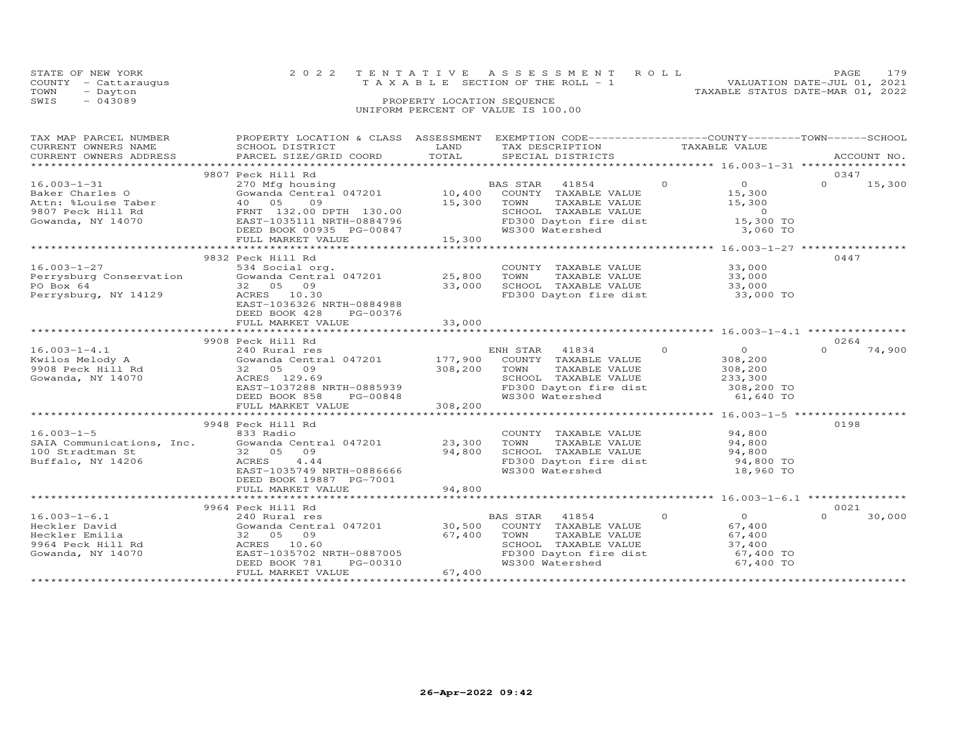| STATE OF NEW YORK    | 2022 TENTATIVE ASSESSMENT ROLL                                       | PAGE. | 179 |
|----------------------|----------------------------------------------------------------------|-------|-----|
| COUNTY - Cattaraugus | VALUATION DATE-JUL 01, 2021<br>T A X A B L E SECTION OF THE ROLL - 1 |       |     |
| TOWN<br>- Dayton     | TAXABLE STATUS DATE-MAR 01, 2022                                     |       |     |
| $-043089$<br>SWIS    | PROPERTY LOCATION SEQUENCE                                           |       |     |
|                      | UNIFORM PERCENT OF VALUE IS 100.00                                   |       |     |

| TAX MAP PARCEL NUMBER                                                                                 | PROPERTY LOCATION & CLASS ASSESSMENT                                                                                                                                              |                    | EXEMPTION CODE------------------COUNTY-------TOWN-----SCHOOL                                                                            |                                                                                           |                            |
|-------------------------------------------------------------------------------------------------------|-----------------------------------------------------------------------------------------------------------------------------------------------------------------------------------|--------------------|-----------------------------------------------------------------------------------------------------------------------------------------|-------------------------------------------------------------------------------------------|----------------------------|
|                                                                                                       | 9807 Peck Hill Rd                                                                                                                                                                 |                    |                                                                                                                                         |                                                                                           | 0347                       |
| $16.003 - 1 - 31$<br>Baker Charles O<br>Attn: %Louise Taber<br>9807 Peck Hill Rd<br>Gowanda, NY 14070 | 270 Mfg housing<br>Gowanda Central 047201 10,400<br>40 05<br>09<br>FRNT 132.00 DPTH 130.00<br>EAST-1035111 NRTH-0884796<br>DEED BOOK 00935 PG-00847                               | 15,300 TOWN        | BAS STAR 41854<br>COUNTY TAXABLE VALUE<br>TAXABLE VALUE<br>SCHOOL TAXABLE VALUE<br>FD300 Dayton fire dist<br>WS300 Watershed            | $\Omega$<br>$\overline{O}$<br>15,300<br>15,300<br>$\overline{0}$<br>15,300 TO<br>3,060 TO | $\Omega$<br>15,300         |
|                                                                                                       | FULL MARKET VALUE                                                                                                                                                                 | 15,300             |                                                                                                                                         |                                                                                           |                            |
| $16.003 - 1 - 27$<br>Perrysburg Conservation<br>PO Box 64<br>Perrysburg, NY 14129                     | 9832 Peck Hill Rd<br>534 Social org.<br>Gowanda Central 047201<br>32 05 09<br>ACRES 10.30<br>EAST-1036326 NRTH-0884988                                                            | 25,800<br>33,000   | COUNTY TAXABLE VALUE<br>TOWN<br>TAXABLE VALUE<br>SCHOOL TAXABLE VALUE<br>FD300 Dayton fire dist 33,000 TO                               | 33,000<br>33,000<br>33,000                                                                | 0447                       |
|                                                                                                       | DEED BOOK 428<br>PG-00376<br>FULL MARKET VALUE                                                                                                                                    | 33,000             |                                                                                                                                         |                                                                                           |                            |
|                                                                                                       | 9908 Peck Hill Rd                                                                                                                                                                 |                    |                                                                                                                                         |                                                                                           | 0264                       |
| $16.003 - 1 - 4.1$<br>Kwilos Melody A<br>9908 Peck Hill Rd<br>Gowanda, NY 14070                       | 240 Rural res<br>Gowanda Central 047201 177,900 COUNTY TAXABLE VALUE<br>32 05 09<br>ACRES 129.69<br>EAST-1037288 NRTH-0885939<br>DEED BOOK 858<br>PG-00848<br>FULL MARKET VALUE   | 308,200<br>308,200 | ENH STAR<br>41834<br>TAXABLE VALUE<br>TOWN<br>SCHOOL TAXABLE VALUE<br>FD300 Dayton fire dist<br>WS300 Watershed                         | $\circ$<br>$\overline{O}$<br>308,200<br>308,200<br>233,300<br>308,200 TO<br>61,640 TO     | $\Omega$<br>74,900         |
|                                                                                                       |                                                                                                                                                                                   |                    |                                                                                                                                         |                                                                                           |                            |
| $16.003 - 1 - 5$<br>SAIA Communications, Inc.<br>100 Stradtman St<br>Buffalo, NY 14206                | 9948 Peck Hill Rd<br>833 Radio<br>Gowanda Central 047201<br>32 05<br>09<br>ACRES<br>4.44<br>EAST-1035749 NRTH-0886666<br>DEED BOOK 19887 PG-7001                                  | 23,300<br>94,800   | COUNTY TAXABLE VALUE<br>TAXABLE VALUE<br>TOWN<br>SCHOOL TAXABLE VALUE<br>FD300 Dayton fire dist<br>WS300 Watershed                      | 94,800<br>94,800<br>94,800<br>94,800 TO<br>18,960 TO                                      | 0198                       |
|                                                                                                       | FULL MARKET VALUE                                                                                                                                                                 | 94,800             |                                                                                                                                         |                                                                                           |                            |
|                                                                                                       |                                                                                                                                                                                   |                    |                                                                                                                                         |                                                                                           |                            |
| $16.003 - 1 - 6.1$<br>Heckler David<br>Heckler Emilia<br>9964 Peck Hill Rd<br>Gowanda, NY 14070       | 9964 Peck Hill Rd<br>$240$ Rural res<br>Gowanda Central 047201 $30,500$<br>32 05 09<br>ACRES 10.60<br>EAST-1035702 NRTH-0887005<br>PG-00310<br>DEED BOOK 781<br>FULL MARKET VALUE | 67,400<br>67,400   | 41854<br>BAS STAR<br>COUNTY TAXABLE VALUE<br>TAXABLE VALUE<br>TOWN<br>SCHOOL TAXABLE VALUE<br>FD300 Dayton fire dist<br>WS300 Watershed | $\circ$<br>$\overline{O}$<br>67,400<br>67,400<br>37,400<br>67,400 TO<br>67,400 TO         | 0021<br>$\Omega$<br>30,000 |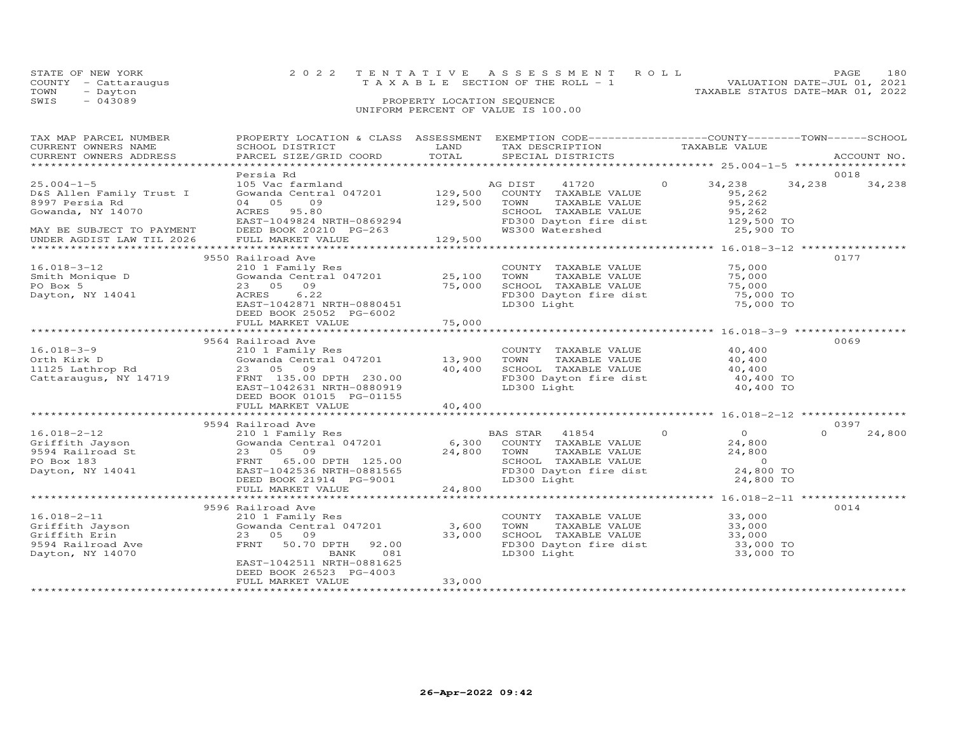| STATE OF NEW YORK    | 2022 TENTATIVE ASSESSMENT ROLL     | PAGE                             | 180 |
|----------------------|------------------------------------|----------------------------------|-----|
| COUNTY - Cattaraugus | TAXABLE SECTION OF THE ROLL - 1    | VALUATION DATE-JUL 01, 2021      |     |
| TOWN<br>- Dayton     |                                    | TAXABLE STATUS DATE-MAR 01, 2022 |     |
| SWIS<br>$-043089$    | PROPERTY LOCATION SEQUENCE         |                                  |     |
|                      | UNIFORM PERCENT OF VALUE IS 100.00 |                                  |     |

| TAX MAP PARCEL NUMBER<br>CURRENT OWNERS NAME<br>CURRENT OWNERS ADDRESS | PROPERTY LOCATION & CLASS ASSESSMENT<br>SCHOOL DISTRICT<br>PARCEL SIZE/GRID COORD | LAND<br>TOTAL | EXEMPTION CODE------------------COUNTY-------TOWN------SCHOOL<br>TAX DESCRIPTION<br>SPECIAL DISTRICTS | TAXABLE VALUE  |                                   |                | ACCOUNT NO. |
|------------------------------------------------------------------------|-----------------------------------------------------------------------------------|---------------|-------------------------------------------------------------------------------------------------------|----------------|-----------------------------------|----------------|-------------|
| ************************                                               |                                                                                   |               |                                                                                                       |                |                                   |                |             |
| $25.004 - 1 - 5$<br>D&S Allen Family Trust I<br>8997 Persia Rd         | Persia Rd<br>105 Vac farmland<br>Gowanda Central 047201 129,500<br>04 05<br>09    | 129,500       | AG DIST<br>41720<br>COUNTY TAXABLE VALUE<br>TOWN<br>TAXABLE VALUE                                     | $\circ$        | 34,238<br>95,262<br>95,262        | 0018<br>34,238 | 34,238      |
| Gowanda, NY 14070<br>MAY BE SUBJECT TO PAYMENT                         | ACRES 95.80<br>EAST-1049824 NRTH-0869294<br>DEED BOOK 20210 PG-263                |               | SCHOOL TAXABLE VALUE<br>FD300 Dayton fire dist<br>WS300 Watershed                                     |                | 95,262<br>129,500 TO<br>25,900 TO |                |             |
| UNDER AGDIST LAW TIL 2026                                              | FULL MARKET VALUE                                                                 | 129,500       |                                                                                                       |                |                                   |                |             |
|                                                                        |                                                                                   |               |                                                                                                       |                |                                   |                |             |
|                                                                        | 9550 Railroad Ave                                                                 |               |                                                                                                       |                |                                   | 0177           |             |
| $16.018 - 3 - 12$<br>Smith Monique D                                   | 210 1 Family Res<br>Gowanda Central 047201 25,100                                 |               | COUNTY TAXABLE VALUE<br>TAXABLE VALUE<br>TOWN                                                         |                | 75,000<br>75,000                  |                |             |
| PO Box 5                                                               | 23 05 09                                                                          | 75,000        | SCHOOL TAXABLE VALUE                                                                                  |                | 75,000                            |                |             |
| Dayton, NY 14041                                                       | 6.22<br>ACRES                                                                     |               | FD300 Dayton fire dist                                                                                |                | 75,000 TO                         |                |             |
|                                                                        | EAST-1042871 NRTH-0880451                                                         |               | LD300 Light                                                                                           |                | 75,000 TO                         |                |             |
|                                                                        | DEED BOOK 25052 PG-6002                                                           |               |                                                                                                       |                |                                   |                |             |
|                                                                        | FULL MARKET VALUE                                                                 | 75,000        |                                                                                                       |                |                                   |                |             |
|                                                                        |                                                                                   |               |                                                                                                       |                |                                   |                |             |
|                                                                        | 9564 Railroad Ave                                                                 |               |                                                                                                       |                |                                   | 0069           |             |
| $16.018 - 3 - 9$<br>Orth Kirk D                                        | 210 1 Family Res<br>Gowanda Central 047201                                        | 13,900        | COUNTY TAXABLE VALUE<br>TOWN<br>TAXABLE VALUE                                                         |                | 40,400<br>40,400                  |                |             |
| 11125 Lathrop Rd                                                       | 23 05 09                                                                          | 40,400        | SCHOOL TAXABLE VALUE                                                                                  |                | 40,400                            |                |             |
| Cattaraugus, NY 14719                                                  | FRNT 135.00 DPTH 230.00                                                           |               |                                                                                                       |                | 40,400 TO                         |                |             |
|                                                                        | EAST-1042631 NRTH-0880919                                                         |               | FD300 Dayton fire dist<br>LD300 Light<br>LD300 Light                                                  |                | 40,400 TO                         |                |             |
|                                                                        | DEED BOOK 01015 PG-01155                                                          |               |                                                                                                       |                |                                   |                |             |
|                                                                        | FULL MARKET VALUE                                                                 | 40,400        |                                                                                                       |                |                                   |                |             |
|                                                                        |                                                                                   |               |                                                                                                       |                |                                   |                |             |
|                                                                        | 9594 Railroad Ave                                                                 |               |                                                                                                       |                |                                   | 0397           |             |
| $16.018 - 2 - 12$                                                      | 210 1 Family Res                                                                  |               | BAS STAR 41854                                                                                        | $\overline{0}$ | $\overline{0}$                    | $\Omega$       | 24,800      |
| Griffith Jayson                                                        | Gowanda Central 047201                                                            | 6,300         | COUNTY TAXABLE VALUE<br>TOWN                                                                          |                | 24,800                            |                |             |
| 9594 Railroad St<br>PO Box 183                                         | 23 05 09<br>FRNT 65.00 DPTH 125.00                                                | 24,800        | TAXABLE VALUE<br>SCHOOL TAXABLE VALUE                                                                 |                | 24,800<br>$\overline{0}$          |                |             |
| Dayton, NY 14041                                                       | EAST-1042536 NRTH-0881565                                                         |               | FD300 Dayton fire dist                                                                                |                | 24,800 TO                         |                |             |
|                                                                        | DEED BOOK 21914 PG-9001                                                           |               | LD300 Light                                                                                           |                | 24,800 TO                         |                |             |
|                                                                        | FULL MARKET VALUE                                                                 | 24,800        |                                                                                                       |                |                                   |                |             |
|                                                                        |                                                                                   |               |                                                                                                       |                |                                   |                |             |
|                                                                        | 9596 Railroad Ave                                                                 |               |                                                                                                       |                |                                   | 0014           |             |
| $16.018 - 2 - 11$                                                      | 210 1 Family Res                                                                  |               | COUNTY TAXABLE VALUE                                                                                  |                | 33,000                            |                |             |
| Griffith Jayson                                                        | Gowanda Central 047201                                                            | 3,600         | TOWN<br>TAXABLE VALUE                                                                                 |                | 33,000                            |                |             |
| Griffith Erin                                                          | 23 05 09                                                                          | 33,000        | SCHOOL TAXABLE VALUE<br>SCHOOL TAXABLE VALUE 33,000<br>FD300 Dayton fire dist 33,000 TO               |                | 33,000                            |                |             |
| 9594 Railroad Ave                                                      | 50.70 DPTH<br>FRNT<br>92.00<br>081<br>BANK                                        |               | LD300 Light                                                                                           |                | 33,000 TO                         |                |             |
| Dayton, NY 14070                                                       | EAST-1042511 NRTH-0881625                                                         |               |                                                                                                       |                |                                   |                |             |
|                                                                        | DEED BOOK 26523 PG-4003                                                           |               |                                                                                                       |                |                                   |                |             |
|                                                                        | FULL MARKET VALUE                                                                 | 33,000        |                                                                                                       |                |                                   |                |             |
|                                                                        |                                                                                   |               |                                                                                                       |                |                                   |                |             |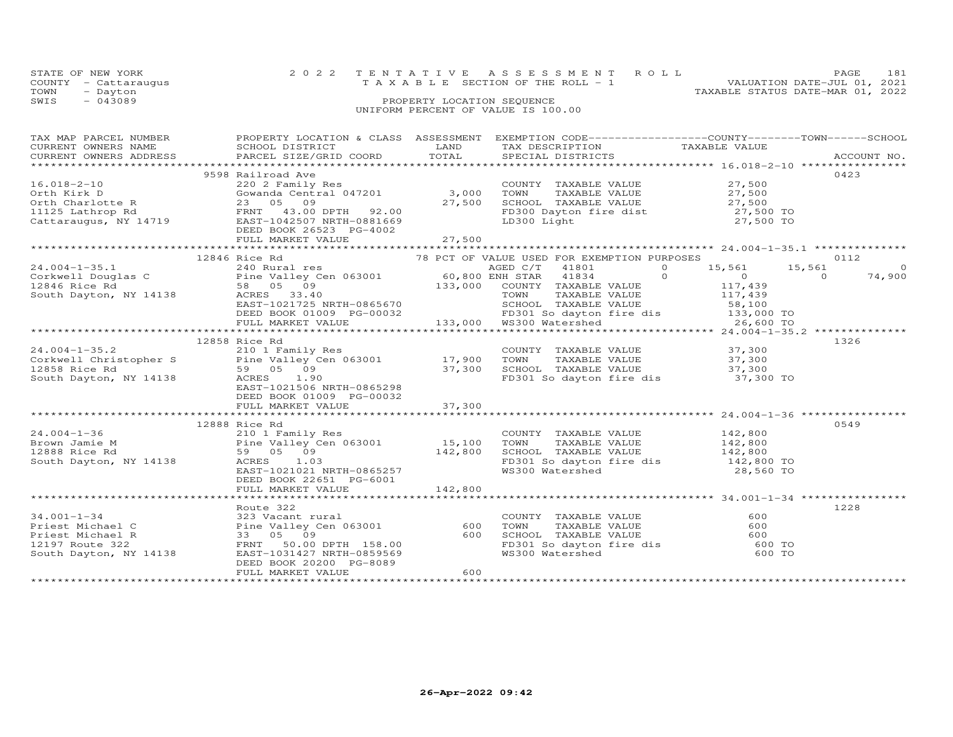|      | STATE OF NEW YORK    | 2022 TENTATIVE ASSESSMENT ROLL                                 | PAGE | 181 |
|------|----------------------|----------------------------------------------------------------|------|-----|
|      | COUNTY - Cattaraugus | VALUATION DATE-JUL 01, 2021<br>TAXABLE SECTION OF THE ROLL - 1 |      |     |
| TOWN | - Dayton             | TAXABLE STATUS DATE-MAR 01, 2022                               |      |     |
| SWIS | $-043089$            | PROPERTY LOCATION SEQUENCE                                     |      |     |
|      |                      | UNIFORM PERCENT OF VALUE IS 100.00                             |      |     |
|      |                      |                                                                |      |     |
|      |                      |                                                                |      |     |

| TAX MAP PARCEL NUMBER<br>CURRENT OWNERS NAME                                                                                                                                                                                                     | PROPERTY LOCATION & CLASS ASSESSMENT EXEMPTION CODE----------------COUNTY-------TOWN------SCHOOL |     |                                                                                                                                             |      |
|--------------------------------------------------------------------------------------------------------------------------------------------------------------------------------------------------------------------------------------------------|--------------------------------------------------------------------------------------------------|-----|---------------------------------------------------------------------------------------------------------------------------------------------|------|
|                                                                                                                                                                                                                                                  |                                                                                                  |     |                                                                                                                                             |      |
|                                                                                                                                                                                                                                                  | 9598 Railroad Ave                                                                                |     |                                                                                                                                             | 0423 |
| $16.018 - 2 - 10$                                                                                                                                                                                                                                |                                                                                                  |     | COUNTY TAXABLE VALUE 27,500                                                                                                                 |      |
|                                                                                                                                                                                                                                                  |                                                                                                  |     |                                                                                                                                             |      |
|                                                                                                                                                                                                                                                  |                                                                                                  |     |                                                                                                                                             |      |
|                                                                                                                                                                                                                                                  |                                                                                                  |     |                                                                                                                                             |      |
|                                                                                                                                                                                                                                                  |                                                                                                  |     |                                                                                                                                             |      |
|                                                                                                                                                                                                                                                  |                                                                                                  |     |                                                                                                                                             |      |
|                                                                                                                                                                                                                                                  |                                                                                                  |     |                                                                                                                                             |      |
|                                                                                                                                                                                                                                                  |                                                                                                  |     |                                                                                                                                             |      |
|                                                                                                                                                                                                                                                  |                                                                                                  |     |                                                                                                                                             |      |
|                                                                                                                                                                                                                                                  |                                                                                                  |     |                                                                                                                                             |      |
|                                                                                                                                                                                                                                                  |                                                                                                  |     |                                                                                                                                             |      |
|                                                                                                                                                                                                                                                  |                                                                                                  |     |                                                                                                                                             |      |
|                                                                                                                                                                                                                                                  |                                                                                                  |     |                                                                                                                                             |      |
|                                                                                                                                                                                                                                                  |                                                                                                  |     |                                                                                                                                             |      |
|                                                                                                                                                                                                                                                  |                                                                                                  |     |                                                                                                                                             |      |
|                                                                                                                                                                                                                                                  |                                                                                                  |     |                                                                                                                                             |      |
|                                                                                                                                                                                                                                                  |                                                                                                  |     |                                                                                                                                             |      |
|                                                                                                                                                                                                                                                  | 12858 Rice Rd                                                                                    |     |                                                                                                                                             | 1326 |
|                                                                                                                                                                                                                                                  |                                                                                                  |     |                                                                                                                                             |      |
|                                                                                                                                                                                                                                                  |                                                                                                  |     |                                                                                                                                             |      |
|                                                                                                                                                                                                                                                  |                                                                                                  |     |                                                                                                                                             |      |
| 21.004-1-35.2<br>210 11 Corkwell Christopher S<br>210 1 Family Res<br>210 12858 Rice Rd<br>210 12858 Rice Rd<br>210 12858 Rice Rd<br>210 21506 NRTH-0865298<br>21,300 SCHOOL TAXABLE VALUE<br>27,300 SCHOOL TAXABLE VALUE<br>37,300 SCHOOL TAXAB |                                                                                                  |     |                                                                                                                                             |      |
|                                                                                                                                                                                                                                                  |                                                                                                  |     |                                                                                                                                             |      |
|                                                                                                                                                                                                                                                  | DEED BOOK 01009 PG-00032                                                                         |     |                                                                                                                                             |      |
|                                                                                                                                                                                                                                                  |                                                                                                  |     |                                                                                                                                             |      |
|                                                                                                                                                                                                                                                  |                                                                                                  |     |                                                                                                                                             |      |
|                                                                                                                                                                                                                                                  | 12888 Rice Rd                                                                                    |     |                                                                                                                                             | 0549 |
|                                                                                                                                                                                                                                                  |                                                                                                  |     |                                                                                                                                             |      |
|                                                                                                                                                                                                                                                  |                                                                                                  |     |                                                                                                                                             |      |
|                                                                                                                                                                                                                                                  |                                                                                                  |     |                                                                                                                                             |      |
| 12006 ALCONOMIC MONOGRAPH 12006 ALCONOMIC MANAGEM 15,100 TOWNT TAXABLE VALUE 142,800<br>Brown Jamie M<br>12888 Rice Rd 59 05 09<br>South Dayton, NY 14138 ACRES 1.03<br>EXERENT 1021021 NRTH-0865257<br>EXERENT 1021021 NRTH-0865257<br>EX       |                                                                                                  |     |                                                                                                                                             |      |
|                                                                                                                                                                                                                                                  | DEED BOOK 22651 PG-6001                                                                          |     |                                                                                                                                             |      |
|                                                                                                                                                                                                                                                  |                                                                                                  |     |                                                                                                                                             |      |
|                                                                                                                                                                                                                                                  |                                                                                                  |     |                                                                                                                                             |      |
|                                                                                                                                                                                                                                                  | Route 322                                                                                        |     |                                                                                                                                             | 1228 |
|                                                                                                                                                                                                                                                  |                                                                                                  |     |                                                                                                                                             |      |
|                                                                                                                                                                                                                                                  |                                                                                                  |     |                                                                                                                                             |      |
|                                                                                                                                                                                                                                                  |                                                                                                  |     | COUNTY TAXABLE VALUE 600<br>TOWN TAXABLE VALUE 600<br>SCHOOL TAXABLE VALUE 600<br>FD301 So dayton fire dis 600 TO<br>WS300 Watershed 600 TO |      |
|                                                                                                                                                                                                                                                  |                                                                                                  |     |                                                                                                                                             |      |
|                                                                                                                                                                                                                                                  |                                                                                                  |     |                                                                                                                                             |      |
|                                                                                                                                                                                                                                                  | DEED BOOK 20200 PG-8089                                                                          |     |                                                                                                                                             |      |
|                                                                                                                                                                                                                                                  | FULL MARKET VALUE                                                                                | 600 |                                                                                                                                             |      |
|                                                                                                                                                                                                                                                  |                                                                                                  |     |                                                                                                                                             |      |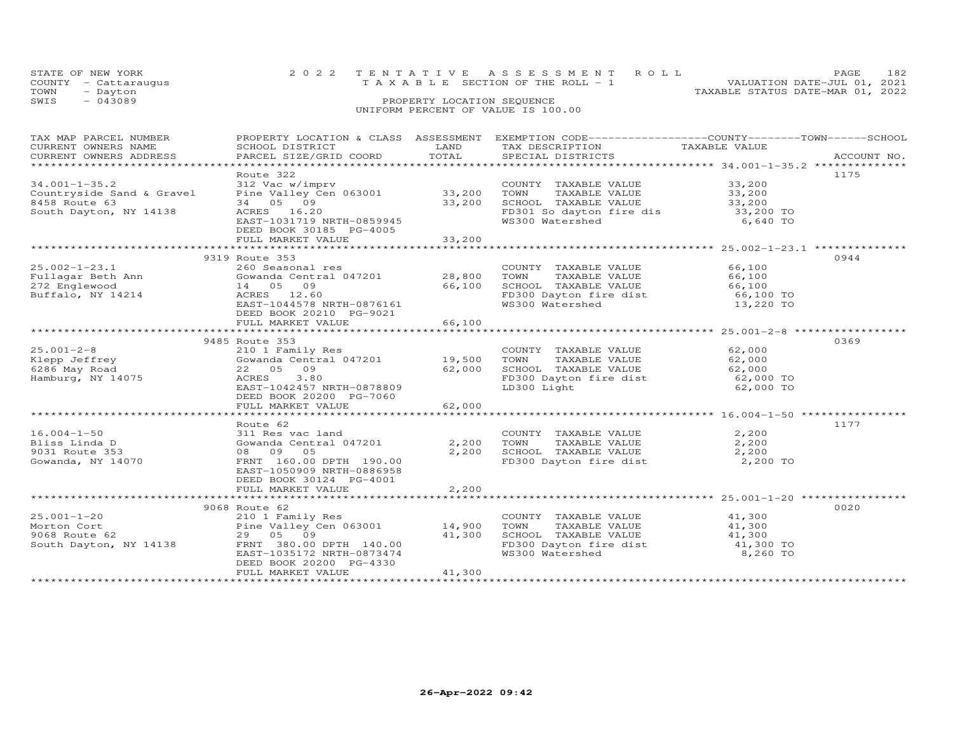|      | STATE OF NEW YORK    | 2022 TENTATIVE ASSESSMENT ROLL                                       | PAGE | 182 |
|------|----------------------|----------------------------------------------------------------------|------|-----|
|      | COUNTY - Cattaraugus | VALUATION DATE-JUL 01, 2021<br>T A X A B L E SECTION OF THE ROLL - 1 |      |     |
| TOWN | - Dayton             | TAXABLE STATUS DATE-MAR 01, 2022                                     |      |     |
| SWIS | $-043089$            | PROPERTY LOCATION SEQUENCE                                           |      |     |
|      |                      | UNIFORM PERCENT OF VALUE IS 100.00                                   |      |     |

| TAX MAP PARCEL NUMBER                                                                                                                                                                                                              |                                                               |        | PROPERTY LOCATION & CLASS ASSESSMENT EXEMPTION CODE----------------COUNTY-------TOWN-----SCHOOL                                  |                  |      |
|------------------------------------------------------------------------------------------------------------------------------------------------------------------------------------------------------------------------------------|---------------------------------------------------------------|--------|----------------------------------------------------------------------------------------------------------------------------------|------------------|------|
| CURRENT OWNERS NAME                                                                                                                                                                                                                | SCHOOL DISTRICT                                               | LAND   | TAX DESCRIPTION TAXABLE VALUE                                                                                                    |                  |      |
|                                                                                                                                                                                                                                    |                                                               |        |                                                                                                                                  |                  |      |
|                                                                                                                                                                                                                                    |                                                               |        |                                                                                                                                  |                  |      |
|                                                                                                                                                                                                                                    | Route 322                                                     |        |                                                                                                                                  |                  | 1175 |
| $34.001 - 1 - 35.2$                                                                                                                                                                                                                | 312 Vac w/imprv<br>Pine Valley Cen 063001 33,200              |        | COUNTY TAXABLE VALUE 33,200                                                                                                      |                  |      |
| Countryside Sand & Gravel                                                                                                                                                                                                          |                                                               |        |                                                                                                                                  |                  |      |
| 8458 Route 63                                                                                                                                                                                                                      | 34 05 09                                                      | 33,200 |                                                                                                                                  |                  |      |
| South Dayton, NY 14138                                                                                                                                                                                                             | ACRES 16.20                                                   |        | FD301 So dayton fire dis 33,200 TO<br>WS300 Watershed 6,640 TO                                                                   |                  |      |
|                                                                                                                                                                                                                                    | EAST-1031719 NRTH-0859945                                     |        |                                                                                                                                  |                  |      |
|                                                                                                                                                                                                                                    | DEED BOOK 30185 PG-4005                                       |        |                                                                                                                                  |                  |      |
|                                                                                                                                                                                                                                    | FULL MARKET VALUE                                             | 33,200 |                                                                                                                                  |                  |      |
|                                                                                                                                                                                                                                    |                                                               |        |                                                                                                                                  |                  |      |
|                                                                                                                                                                                                                                    | 9319 Route 353                                                |        |                                                                                                                                  |                  | 0944 |
| $25.002 - 1 - 23.1$<br>25.002-1-23.1 260 Seasonal res coUNTY TAXABLE VALUE<br>Fullagar Beth Ann Gowanda Central 047201 28,800 TOWN TAXABLE VALUE<br>272 Englewood 14 05 09 1<br>Buffalo, NY 14214 1CRES 12.60 5CHOOL TAXABLE VALUE | 260 Seasonal res                                              |        | COUNTY TAXABLE VALUE 66,100<br>TOWN TAXABLE VALUE 66,100                                                                         |                  |      |
|                                                                                                                                                                                                                                    |                                                               |        |                                                                                                                                  |                  |      |
|                                                                                                                                                                                                                                    |                                                               |        |                                                                                                                                  |                  |      |
|                                                                                                                                                                                                                                    |                                                               |        |                                                                                                                                  |                  |      |
|                                                                                                                                                                                                                                    | EAST-1044578 NRTH-0876161                                     |        | 28,800 TOWN IAAADLE VALUE<br>66,100 SCHOOL TAXABLE VALUE 66,100<br>FD300 Dayton fire dist 66,100 TO<br>WS300 Watershed 13,220 TO |                  |      |
|                                                                                                                                                                                                                                    | DEED BOOK 20210 PG-9021                                       |        |                                                                                                                                  |                  |      |
|                                                                                                                                                                                                                                    | FULL MARKET VALUE                                             | 66,100 |                                                                                                                                  |                  |      |
|                                                                                                                                                                                                                                    |                                                               |        |                                                                                                                                  |                  |      |
|                                                                                                                                                                                                                                    | 9485 Route 353                                                |        |                                                                                                                                  |                  | 0369 |
|                                                                                                                                                                                                                                    |                                                               |        |                                                                                                                                  | 62,000<br>62,000 |      |
|                                                                                                                                                                                                                                    |                                                               |        |                                                                                                                                  |                  |      |
| 25.001-2-8<br>Klepp Jeffrey<br>6286 May Road<br>Hamburg. NY 14075                                                                                                                                                                  | 22 05 09                                                      | 62,000 |                                                                                                                                  |                  |      |
| Hamburg, NY 14075                                                                                                                                                                                                                  | ACRES 3.80                                                    |        | FD300 Dayton fire dist<br>LD300 Light                                                                                            |                  |      |
|                                                                                                                                                                                                                                    | EAST-1042457 NRTH-0878809                                     |        |                                                                                                                                  | 62,000 TO        |      |
|                                                                                                                                                                                                                                    | DEED BOOK 20200 PG-7060                                       |        |                                                                                                                                  |                  |      |
|                                                                                                                                                                                                                                    | FULL MARKET VALUE                                             | 62,000 |                                                                                                                                  |                  |      |
|                                                                                                                                                                                                                                    |                                                               |        |                                                                                                                                  |                  |      |
|                                                                                                                                                                                                                                    | Route 62                                                      |        |                                                                                                                                  |                  | 1177 |
| $16.004 - 1 - 50$                                                                                                                                                                                                                  | 311 Res vac land                                              |        | COUNTY TAXABLE VALUE                                                                                                             | 2,200            |      |
| Bliss Linda D                                                                                                                                                                                                                      | Gowanda Central 047201                                        |        | TAXABLE VALUE 2,200<br>2,200 TOWN                                                                                                |                  |      |
|                                                                                                                                                                                                                                    | 08 09 05                                                      | 2,200  | SCHOOL TAXABLE VALUE 2,200<br>FD300 Dayton fire dist 2,200 TO                                                                    |                  |      |
| yus⊥ Route 353<br>Gowanda, NY 14070                                                                                                                                                                                                | FRNT 160.00 DPTH 190.00                                       |        |                                                                                                                                  |                  |      |
|                                                                                                                                                                                                                                    | EAST-1050909 NRTH-0886958                                     |        |                                                                                                                                  |                  |      |
|                                                                                                                                                                                                                                    | DEED BOOK 30124 PG-4001                                       |        |                                                                                                                                  |                  |      |
|                                                                                                                                                                                                                                    | FULL MARKET VALUE                                             | 2,200  |                                                                                                                                  |                  |      |
|                                                                                                                                                                                                                                    |                                                               |        |                                                                                                                                  |                  |      |
|                                                                                                                                                                                                                                    | 9068 Route 62                                                 |        |                                                                                                                                  |                  | 0020 |
| $25.001 - 1 - 20$                                                                                                                                                                                                                  |                                                               |        | COUNTY TAXABLE VALUE                                                                                                             | 41,300           |      |
| Morton Cort                                                                                                                                                                                                                        |                                                               |        | TAXABLE VALUE 41,300<br>TOWN                                                                                                     |                  |      |
| 9068 Route 62                                                                                                                                                                                                                      | 210 1 Family Res<br>Pine Valley Cen 063001 14,900<br>29 05 09 | 41,300 | SCHOOL TAXABLE VALUE 41,300<br>FD300 Dayton fire dist 41,300 TO                                                                  |                  |      |
| South Dayton, NY 14138                                                                                                                                                                                                             | FRNT 380.00 DPTH 140.00                                       |        |                                                                                                                                  |                  |      |
|                                                                                                                                                                                                                                    | EAST-1035172 NRTH-0873474                                     |        | WS300 Watershed                                                                                                                  | 8,260 TO         |      |
|                                                                                                                                                                                                                                    | DEED BOOK 20200 PG-4330                                       |        |                                                                                                                                  |                  |      |
|                                                                                                                                                                                                                                    | FULL MARKET VALUE                                             | 41,300 |                                                                                                                                  |                  |      |
|                                                                                                                                                                                                                                    |                                                               |        |                                                                                                                                  |                  |      |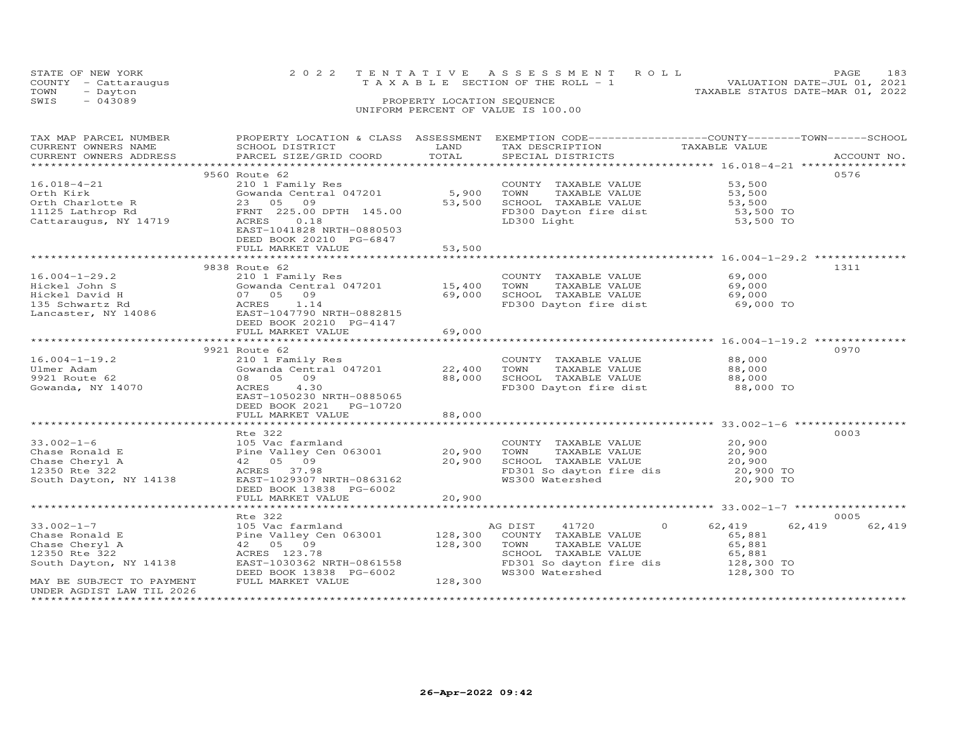|      | STATE OF NEW YORK    | 2022 TENTATIVE ASSESSMENT ROLL     |                            |  |                                  | PAGE.                       | 183 |
|------|----------------------|------------------------------------|----------------------------|--|----------------------------------|-----------------------------|-----|
|      | COUNTY - Cattaraugus | TAXABLE SECTION OF THE ROLL - 1    |                            |  |                                  | VALUATION DATE-JUL 01, 2021 |     |
| TOWN | - Dayton             |                                    |                            |  | TAXABLE STATUS DATE-MAR 01, 2022 |                             |     |
| SWIS | $-043089$            |                                    | PROPERTY LOCATION SEQUENCE |  |                                  |                             |     |
|      |                      | UNIFORM PERCENT OF VALUE IS 100.00 |                            |  |                                  |                             |     |

| TAX MAP PARCEL NUMBER         | PROPERTY LOCATION & CLASS ASSESSMENT EXEMPTION CODE----------------COUNTY-------TOWN------SCHOOL                                                                                                                                                                                                                                        |                        |                                                                                                                                                                   |                      |                  |
|-------------------------------|-----------------------------------------------------------------------------------------------------------------------------------------------------------------------------------------------------------------------------------------------------------------------------------------------------------------------------------------|------------------------|-------------------------------------------------------------------------------------------------------------------------------------------------------------------|----------------------|------------------|
| CURRENT OWNERS NAME           | SCHOOL DISTRICT                                                                                                                                                                                                                                                                                                                         | <b>Example 12</b> LAND | TAX DESCRIPTION                                                                                                                                                   | TAXABLE VALUE        |                  |
| CURRENT OWNERS ADDRESS        | PARCEL SIZE/GRID COORD                                                                                                                                                                                                                                                                                                                  | TOTAL                  | SPECIAL DISTRICTS                                                                                                                                                 |                      | ACCOUNT NO.      |
|                               |                                                                                                                                                                                                                                                                                                                                         |                        |                                                                                                                                                                   |                      |                  |
|                               |                                                                                                                                                                                                                                                                                                                                         |                        |                                                                                                                                                                   |                      |                  |
|                               | 9560 Route 62                                                                                                                                                                                                                                                                                                                           |                        |                                                                                                                                                                   |                      | 0576             |
| $16.018 - 4 - 21$             | 210 1 Family Res                                                                                                                                                                                                                                                                                                                        |                        | COUNTY TAXABLE VALUE                                                                                                                                              | 53,500               |                  |
|                               | Gowanda Central 047201                                                                                                                                                                                                                                                                                                                  | 5,900                  | TOWN                                                                                                                                                              |                      |                  |
| Orth Kirk<br>Orth Charlotte R |                                                                                                                                                                                                                                                                                                                                         | 53,500                 | TAXABLE VALUE 53,500<br>TAXABLE VALUE 53,500<br>SCHOOL TAXABLE VALUE                                                                                              | 53,500               |                  |
|                               | ----> Gowanda<br>23 05 09<br>ראמד 225.00                                                                                                                                                                                                                                                                                                |                        |                                                                                                                                                                   |                      |                  |
|                               |                                                                                                                                                                                                                                                                                                                                         |                        | FD300 Dayton fire dist<br>ED300 Dayton fire dist<br>53,500 TO                                                                                                     |                      |                  |
|                               |                                                                                                                                                                                                                                                                                                                                         |                        |                                                                                                                                                                   |                      |                  |
|                               | EAST-1041828 NRTH-0880503                                                                                                                                                                                                                                                                                                               |                        |                                                                                                                                                                   |                      |                  |
|                               | DEED BOOK 20210 PG-6847                                                                                                                                                                                                                                                                                                                 |                        |                                                                                                                                                                   |                      |                  |
|                               | FULL MARKET VALUE                                                                                                                                                                                                                                                                                                                       | 53,500                 |                                                                                                                                                                   |                      |                  |
|                               |                                                                                                                                                                                                                                                                                                                                         |                        |                                                                                                                                                                   |                      |                  |
|                               |                                                                                                                                                                                                                                                                                                                                         |                        |                                                                                                                                                                   |                      |                  |
|                               | 9838 Route 62<br>Route 62<br>210 1 Family Res<br>Gowanda Central 047201 15,400 TOWN TAXABLE VALUE 69,000<br>07 05 09 69,000 SCHOOL TAXABLE VALUE 69,000<br>ACRES 1.14 FD300 Dayton fire dist 69,000 TO                                                                                                                                  |                        |                                                                                                                                                                   |                      | 1311             |
| $16.004 - 1 - 29.2$           |                                                                                                                                                                                                                                                                                                                                         |                        |                                                                                                                                                                   |                      |                  |
|                               |                                                                                                                                                                                                                                                                                                                                         |                        |                                                                                                                                                                   |                      |                  |
|                               |                                                                                                                                                                                                                                                                                                                                         |                        |                                                                                                                                                                   |                      |                  |
|                               |                                                                                                                                                                                                                                                                                                                                         |                        |                                                                                                                                                                   |                      |                  |
|                               | Hickel John S<br>Hickel David H (1972) 609<br>135 Schwartz Rd (1978) ACRES<br>1.14<br>Lancaster, NY 14086<br>EAST-1047790 NRTH-0882815                                                                                                                                                                                                  |                        |                                                                                                                                                                   |                      |                  |
|                               |                                                                                                                                                                                                                                                                                                                                         |                        |                                                                                                                                                                   |                      |                  |
|                               | DEED BOOK 20210 PG-4147                                                                                                                                                                                                                                                                                                                 |                        |                                                                                                                                                                   |                      |                  |
|                               | FULL MARKET VALUE                                                                                                                                                                                                                                                                                                                       | 69,000                 |                                                                                                                                                                   |                      |                  |
|                               |                                                                                                                                                                                                                                                                                                                                         |                        |                                                                                                                                                                   |                      |                  |
|                               | 9921 Route 62                                                                                                                                                                                                                                                                                                                           |                        |                                                                                                                                                                   |                      | 0970             |
|                               |                                                                                                                                                                                                                                                                                                                                         |                        |                                                                                                                                                                   |                      |                  |
| $16.004 - 1 - 19.2$           | 210 1 Family Res<br>Gowanda Central 047201 22,400                                                                                                                                                                                                                                                                                       |                        | COUNTY TAXABLE VALUE                                                                                                                                              | 88,000               |                  |
| Ulmer Adam                    |                                                                                                                                                                                                                                                                                                                                         |                        | TAXABLE VALUE 88,000<br>TOWN                                                                                                                                      |                      |                  |
| 9921 Route 62                 | 08 05 09                                                                                                                                                                                                                                                                                                                                | 88,000                 |                                                                                                                                                                   |                      |                  |
| Gowanda, NY 14070             | 4.30<br>ACRES                                                                                                                                                                                                                                                                                                                           |                        |                                                                                                                                                                   |                      |                  |
|                               | EAST-1050230 NRTH-0885065                                                                                                                                                                                                                                                                                                               |                        |                                                                                                                                                                   |                      |                  |
|                               | DEED BOOK 2021    PG-10720                                                                                                                                                                                                                                                                                                              |                        |                                                                                                                                                                   |                      |                  |
|                               |                                                                                                                                                                                                                                                                                                                                         |                        |                                                                                                                                                                   |                      |                  |
|                               | FULL MARKET VALUE                                                                                                                                                                                                                                                                                                                       | 88,000                 |                                                                                                                                                                   |                      |                  |
|                               |                                                                                                                                                                                                                                                                                                                                         |                        |                                                                                                                                                                   |                      |                  |
|                               | Rte 322                                                                                                                                                                                                                                                                                                                                 |                        |                                                                                                                                                                   |                      | 0003             |
|                               |                                                                                                                                                                                                                                                                                                                                         |                        | COUNTY TAXABLE VALUE                                                                                                                                              | $20,900$<br>$20,900$ |                  |
|                               |                                                                                                                                                                                                                                                                                                                                         |                        |                                                                                                                                                                   |                      |                  |
|                               |                                                                                                                                                                                                                                                                                                                                         |                        |                                                                                                                                                                   |                      |                  |
|                               |                                                                                                                                                                                                                                                                                                                                         |                        |                                                                                                                                                                   |                      |                  |
|                               |                                                                                                                                                                                                                                                                                                                                         |                        | COUNTY IAAABLE VALUE 20,900<br>20,900 TOWN TAXABLE VALUE 20,900<br>20,900 SCHOOL TAXABLE VALUE 20,900 TO<br>p-n---<br>FD301 So dayton fire dis<br>WS300 Watershed |                      |                  |
|                               | 33.002-1-6<br>Chase Ronald E<br>Chase Cheryl A<br>Chase Cheryl A<br>20,900 TOWN<br>12350 Rte 322<br>South Dayton, NY 14138<br>$\begin{array}{cccc}\n & 105 & \text{Vac farmland} & & \text{COUNT} \\  & \text{Pine Valley Cen 063001} & 20,900 & \text{TOWN} \\  & 42 & 05 & 09 & 20,900 & \text{SCHOO} \\  & & \text{ACRES} & 37.98 &$ |                        |                                                                                                                                                                   | 20,900 TO            |                  |
|                               | DEED BOOK 13838 PG-6002                                                                                                                                                                                                                                                                                                                 |                        |                                                                                                                                                                   |                      |                  |
|                               | FULL MARKET VALUE                                                                                                                                                                                                                                                                                                                       | 20,900                 |                                                                                                                                                                   |                      |                  |
|                               |                                                                                                                                                                                                                                                                                                                                         |                        |                                                                                                                                                                   |                      |                  |
|                               |                                                                                                                                                                                                                                                                                                                                         |                        |                                                                                                                                                                   |                      |                  |
|                               | Rte 322                                                                                                                                                                                                                                                                                                                                 |                        |                                                                                                                                                                   |                      | 0005             |
| $33.002 - 1 - 7$              | 105 Vac farmland                                                                                                                                                                                                                                                                                                                        |                        | AG DIST 41720 0 62,419                                                                                                                                            |                      | 62,419<br>62,419 |
|                               | AG DIST (11720)<br>Chase Ronard E (2011) Pine Valley Cen 063001 (28,300 COUNTY TAXABLE VALUE<br>Chase Cheryl A (205 09 128,300 TOWN TAXABLE VALUE<br>128,300 TOWN TAXABLE VALUE<br>128,300 TOWN TAXABLE VALUE<br>South Dayton, NY 14138                                                                                                 |                        |                                                                                                                                                                   |                      |                  |
|                               |                                                                                                                                                                                                                                                                                                                                         |                        |                                                                                                                                                                   | 65,881<br>65,881     |                  |
|                               |                                                                                                                                                                                                                                                                                                                                         |                        |                                                                                                                                                                   |                      |                  |
|                               |                                                                                                                                                                                                                                                                                                                                         |                        |                                                                                                                                                                   |                      |                  |
|                               |                                                                                                                                                                                                                                                                                                                                         |                        |                                                                                                                                                                   |                      |                  |
|                               | DEED BOOK 13838 PG-6002                                                                                                                                                                                                                                                                                                                 |                        | TOWN IAAABLE VALUL<br>SCHOOL TAXABLE VALUE 65,881<br>FD301 So dayton fire dis 128,300 TO<br>WS300 Watershed 128,300 TO                                            |                      |                  |
| MAY BE SUBJECT TO PAYMENT     | FULL MARKET VALUE                                                                                                                                                                                                                                                                                                                       | $-6002$<br>$128,300$   |                                                                                                                                                                   |                      |                  |
| UNDER AGDIST LAW TIL 2026     |                                                                                                                                                                                                                                                                                                                                         |                        |                                                                                                                                                                   |                      |                  |
|                               |                                                                                                                                                                                                                                                                                                                                         |                        |                                                                                                                                                                   |                      |                  |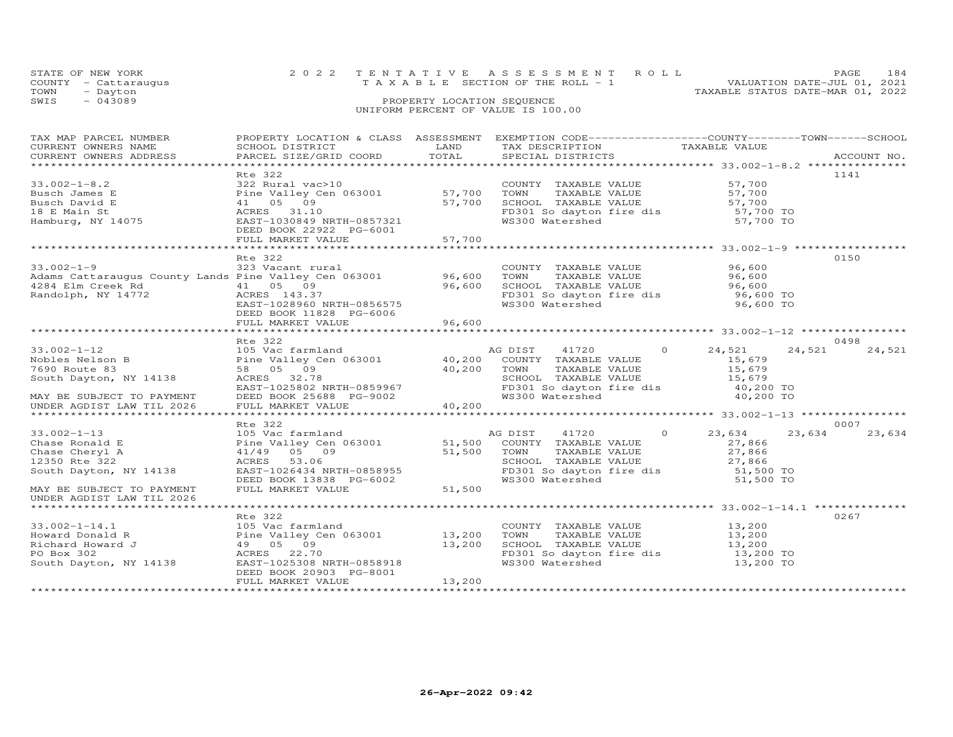| STATE OF NEW YORK    | 2022 TENTATIVE ASSESSMENT ROLL        | PAGE.                            | 184 |
|----------------------|---------------------------------------|----------------------------------|-----|
| COUNTY - Cattaraugus | T A X A B L E SECTION OF THE ROLL - 1 | VALUATION DATE-JUL 01, 2021      |     |
| TOWN<br>- Dayton     |                                       | TAXABLE STATUS DATE-MAR 01, 2022 |     |
| SWIS<br>- 043089     | PROPERTY LOCATION SEQUENCE            |                                  |     |
|                      | UNIFORM PERCENT OF VALUE IS 100.00    |                                  |     |

| TAX MAP PARCEL NUMBER                                 |                                                      |        | PROPERTY LOCATION & CLASS ASSESSMENT EXEMPTION CODE----------------COUNTY-------TOWN------SCHOOL |                     |                  |
|-------------------------------------------------------|------------------------------------------------------|--------|--------------------------------------------------------------------------------------------------|---------------------|------------------|
| CURRENT OWNERS NAME                                   | SCHOOL DISTRICT                                      | LAND   | TAX DESCRIPTION                                                                                  | TAXABLE VALUE       |                  |
| CURRENT OWNERS ADDRESS                                | PARCEL SIZE/GRID COORD                               | TOTAL  | SPECIAL DISTRICTS                                                                                |                     | ACCOUNT NO.      |
|                                                       |                                                      |        |                                                                                                  |                     |                  |
|                                                       | Rte 322                                              |        |                                                                                                  |                     | 1141             |
| $33.002 - 1 - 8.2$                                    | 322 Rural vac>10                                     |        |                                                                                                  | 57,700              |                  |
| Busch James E                                         | Pine Valley Cen 063001 57,700                        |        | COUNTY TAXABLE VALUE<br>TOWN      TAXABLE VALUE                                                  | 57,700              |                  |
| Busch David E                                         | 41 05 09                                             | 57,700 | SCHOOL TAXABLE VALUE                                                                             |                     |                  |
| 18 E Main St                                          | ACRES 31.10                                          |        | SCHOOL TAXABLE VALUE 57,700<br>FD301 So dayton fire dis 57,700 TO                                |                     |                  |
| Hamburg, NY 14075                                     | EAST-1030849 NRTH-0857321                            |        | WS300 Watershed                                                                                  | 57,700 TO           |                  |
|                                                       | DEED BOOK 22922 PG-6001                              |        |                                                                                                  |                     |                  |
|                                                       |                                                      |        |                                                                                                  |                     |                  |
|                                                       | FULL MARKET VALUE                                    | 57,700 |                                                                                                  |                     |                  |
|                                                       |                                                      |        |                                                                                                  |                     |                  |
|                                                       | Rte 322                                              |        |                                                                                                  |                     | 0150             |
| $33.002 - 1 - 9$                                      | 323 Vacant rural                                     |        | COUNTY TAXABLE VALUE                                                                             | 96,600              |                  |
| Adams Cattaraugus County Lands Pine Valley Cen 063001 |                                                      | 96,600 | TOWN<br>TAXABLE VALUE                                                                            | 96,600              |                  |
| 4284 Elm Creek Rd                                     | 41 05 09                                             | 96,600 | SCHOOL TAXABLE VALUE                                                                             | 96,600              |                  |
| Randolph, NY 14772                                    | ACRES 143.37                                         |        | FD301 So dayton fire dis 96,600 TO                                                               |                     |                  |
|                                                       | EAST-1028960 NRTH-0856575                            |        | WS300 Watershed                                                                                  | 96,600 TO           |                  |
|                                                       | DEED BOOK 11828 PG-6006                              |        |                                                                                                  |                     |                  |
|                                                       | FULL MARKET VALUE                                    | 96,600 |                                                                                                  |                     |                  |
|                                                       |                                                      |        |                                                                                                  |                     |                  |
|                                                       | Rte 322                                              |        |                                                                                                  |                     | 0498             |
| $33.002 - 1 - 12$                                     | 105 Vac farmland                                     |        | $\circ$<br>AG DIST<br>41720                                                                      | 24,521              | 24,521<br>24,521 |
| Nobles Nelson B                                       | Pine Valley Cen 063001                               | 40,200 | COUNTY TAXABLE VALUE                                                                             | 15,679              |                  |
| 7690 Route 83                                         | 58 05 09                                             | 40,200 | TOWN<br>TAXABLE VALUE                                                                            | 15,679              |                  |
| South Dayton, NY 14138                                | ACRES 32.78                                          |        | SCHOOL TAXABLE VALUE                                                                             | 15,679              |                  |
|                                                       |                                                      |        | FD301 So dayton fire dis 40,200 TO                                                               |                     |                  |
| MAY BE SUBJECT TO PAYMENT                             | EAST-1025802 NRTH-0859967<br>DEED BOOK 25688 PG-9002 |        | WS300 Watershed                                                                                  | 40,200 TO           |                  |
| UNDER AGDIST LAW TIL 2026                             | FULL MARKET VALUE                                    | 40,200 |                                                                                                  |                     |                  |
|                                                       |                                                      |        |                                                                                                  |                     |                  |
|                                                       | Rte 322                                              |        |                                                                                                  |                     | 0007             |
| $33.002 - 1 - 13$                                     | 105 Vac farmland                                     |        | 41720<br>$\circ$<br>AG DIST                                                                      | 23,634              | 23,634<br>23,634 |
|                                                       | Pine Valley Cen 063001 51,500                        |        | COUNTY TAXABLE VALUE                                                                             | 27,866              |                  |
| Chase Ronald E                                        |                                                      |        |                                                                                                  |                     |                  |
| Chase Cheryl A                                        | 41/49 05 09                                          | 51,500 | TOWN<br>TAXABLE VALUE                                                                            | 27,866              |                  |
| 12350 Rte 322                                         | ACRES 53.06                                          |        | SCHOOL TAXABLE VALUE                                                                             | 27,866<br>51,500 TO |                  |
| South Dayton, NY 14138                                | EAST-1026434 NRTH-0858955                            |        | FD301 So dayton fire dis                                                                         |                     |                  |
|                                                       | DEED BOOK 13838 PG-6002                              | 51,500 | WS300 Watershed                                                                                  | 51,500 TO           |                  |
| MAY BE SUBJECT TO PAYMENT                             | FULL MARKET VALUE                                    |        |                                                                                                  |                     |                  |
| UNDER AGDIST LAW TIL 2026                             |                                                      |        |                                                                                                  |                     |                  |
|                                                       |                                                      |        |                                                                                                  |                     |                  |
|                                                       | Rte 322                                              |        |                                                                                                  |                     | 0267             |
| $33.002 - 1 - 14.1$                                   | 105 Vac farmland                                     |        | COUNTY TAXABLE VALUE                                                                             | 13,200              |                  |
| Howard Donald R                                       | Pine Valley Cen 063001 13,200                        |        | TAXABLE VALUE<br>TOWN                                                                            | 13,200              |                  |
| Richard Howard J                                      | 49 05 09                                             | 13,200 | SCHOOL TAXABLE VALUE                                                                             | 13,200              |                  |
| PO Box 302                                            | ACRES 22.70                                          |        | FD301 So dayton fire dis 13,200 TO                                                               |                     |                  |
| South Dayton, NY 14138                                | EAST-1025308 NRTH-0858918                            |        | WS300 Watershed                                                                                  | 13,200 TO           |                  |
|                                                       | DEED BOOK 20903 PG-8001                              |        |                                                                                                  |                     |                  |
|                                                       | FULL MARKET VALUE                                    | 13,200 |                                                                                                  |                     |                  |
|                                                       |                                                      |        |                                                                                                  |                     |                  |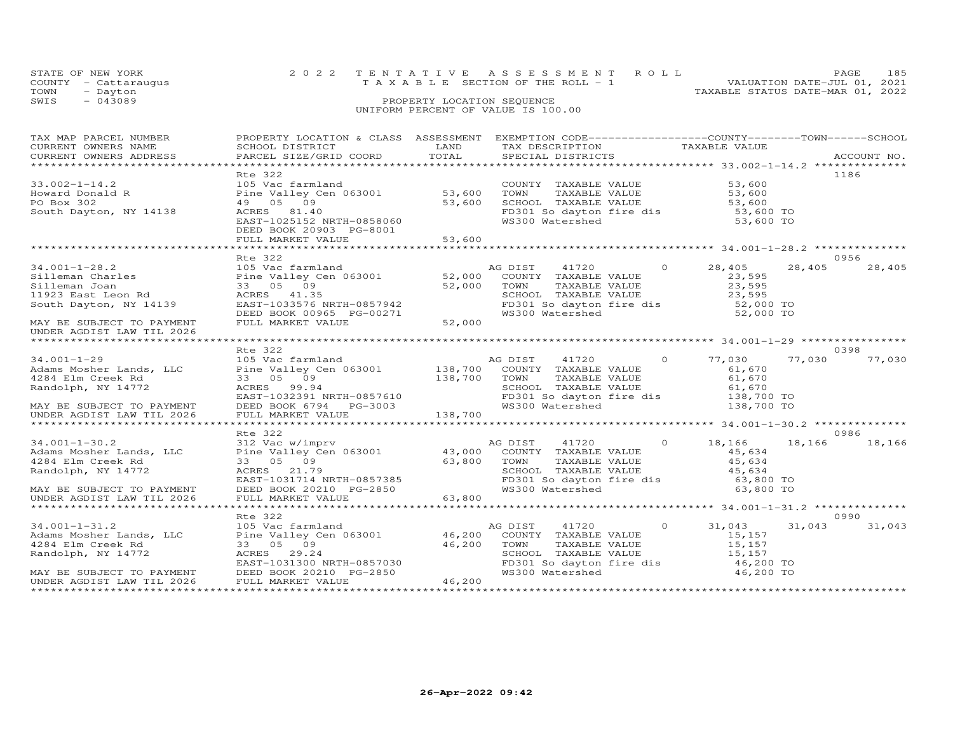|      | STATE OF NEW YORK    | 2022 TENTATIVE ASSESSMENT ROLL                                       | 185<br>PAGE. |
|------|----------------------|----------------------------------------------------------------------|--------------|
|      | COUNTY - Cattaraugus | VALUATION DATE-JUL 01, 2021<br>T A X A B L E SECTION OF THE ROLL - 1 |              |
| TOWN | - Dayton             | TAXABLE STATUS DATE-MAR 01, 2022                                     |              |
| SWIS | $-043089$            | PROPERTY LOCATION SEQUENCE                                           |              |
|      |                      | UNIFORM PERCENT OF VALUE IS 100.00                                   |              |

| TAX MAP PARCEL NUMBER                                                                                                                                               | PROPERTY LOCATION & CLASS ASSESSMENT EXEMPTION CODE----------------COUNTY-------TOWN------SCHOOL                                                                                                                                         |                                   |                                                                                                                                                       |                   |                  |
|---------------------------------------------------------------------------------------------------------------------------------------------------------------------|------------------------------------------------------------------------------------------------------------------------------------------------------------------------------------------------------------------------------------------|-----------------------------------|-------------------------------------------------------------------------------------------------------------------------------------------------------|-------------------|------------------|
| CURRENT OWNERS NAME                                                                                                                                                 | SCHOOL DISTRICT                                                                                                                                                                                                                          | <b>EXAMPLE THE STATE OF STATE</b> | TAX DESCRIPTION                                                                                                                                       | TAXABLE VALUE     |                  |
| CURRENT OWNERS ADDRESS                                                                                                                                              | PARCEL SIZE/GRID COORD TOTAL                                                                                                                                                                                                             |                                   | SPECIAL DISTRICTS                                                                                                                                     |                   | ACCOUNT NO.      |
|                                                                                                                                                                     |                                                                                                                                                                                                                                          |                                   |                                                                                                                                                       |                   |                  |
|                                                                                                                                                                     | Rte 322                                                                                                                                                                                                                                  |                                   |                                                                                                                                                       |                   | 1186             |
| $33.002 - 1 - 14.2$                                                                                                                                                 | 105 Vac farmland                                                                                                                                                                                                                         |                                   | COUNTY TAXABLE VALUE 53,600<br>TOWN TAXABLE VALUE 53,600<br>SCHOOL TAXABLE VALUE 53,600                                                               |                   |                  |
|                                                                                                                                                                     |                                                                                                                                                                                                                                          |                                   |                                                                                                                                                       |                   |                  |
|                                                                                                                                                                     |                                                                                                                                                                                                                                          |                                   |                                                                                                                                                       |                   |                  |
|                                                                                                                                                                     | 49 05 09 53,600<br>ACRES 81.40<br>EAST-1025152 NRTH-0858060                                                                                                                                                                              |                                   | SCHOOL TAXABLE VALUE 53,600<br>FD301 So dayton fire dis 53,600 TO<br>WS300 Watershed 53,600 TO                                                        |                   |                  |
| South Dayton, NY 14138                                                                                                                                              |                                                                                                                                                                                                                                          |                                   |                                                                                                                                                       |                   |                  |
|                                                                                                                                                                     |                                                                                                                                                                                                                                          |                                   |                                                                                                                                                       |                   |                  |
|                                                                                                                                                                     | DEED BOOK 20903 PG-8001                                                                                                                                                                                                                  |                                   |                                                                                                                                                       |                   |                  |
|                                                                                                                                                                     |                                                                                                                                                                                                                                          |                                   |                                                                                                                                                       |                   |                  |
|                                                                                                                                                                     |                                                                                                                                                                                                                                          |                                   |                                                                                                                                                       |                   |                  |
|                                                                                                                                                                     | Rte 322                                                                                                                                                                                                                                  |                                   |                                                                                                                                                       |                   | 0956             |
| $34.001 - 1 - 28.2$                                                                                                                                                 | 105 Vac farmland                                                                                                                                                                                                                         |                                   | AG DIST<br>41720                                                                                                                                      | $\circ$<br>28,405 | 28,405<br>28,405 |
| AG DIST<br>Silleman Charles (and the Pine Valley Cen 063001 (52,000 COUNT)<br>Silleman Joan (33 05 09 (52,000 TOWN)<br>Sacrett Leon Rd (ACRES 41 35 ) (52,000 TOWN) |                                                                                                                                                                                                                                          |                                   | COUNTY TAXABLE VALUE $23,595$<br>TOWN TAXABLE VALUE $23,595$                                                                                          | 23,595            |                  |
|                                                                                                                                                                     |                                                                                                                                                                                                                                          |                                   |                                                                                                                                                       |                   |                  |
|                                                                                                                                                                     |                                                                                                                                                                                                                                          |                                   |                                                                                                                                                       |                   |                  |
| South Dayton, NY 14139                                                                                                                                              |                                                                                                                                                                                                                                          |                                   | SCHOOL TAXABLE VALUE $23,595$<br>FD301 So dayton fire dis 52,000 TO<br>WS300 Watershed 52,000 TO                                                      |                   |                  |
|                                                                                                                                                                     |                                                                                                                                                                                                                                          |                                   |                                                                                                                                                       |                   |                  |
|                                                                                                                                                                     | Pine valley Cen 063001<br>33 05 09<br>ACRES 41.35<br>EAST-1033576 NRTH-0857942<br>DEED BOOK 00965 PG-00271<br>FULL MARKET VALUE 52,000                                                                                                   |                                   |                                                                                                                                                       |                   |                  |
| MAY BE SUBJECT TO PAYMENT                                                                                                                                           |                                                                                                                                                                                                                                          |                                   |                                                                                                                                                       |                   |                  |
| UNDER AGDIST LAW TIL 2026                                                                                                                                           |                                                                                                                                                                                                                                          |                                   |                                                                                                                                                       |                   |                  |
|                                                                                                                                                                     |                                                                                                                                                                                                                                          |                                   |                                                                                                                                                       |                   |                  |
|                                                                                                                                                                     | Rte 322                                                                                                                                                                                                                                  |                                   |                                                                                                                                                       |                   | 0398             |
| $34.001 - 1 - 29$                                                                                                                                                   |                                                                                                                                                                                                                                          |                                   | AG DIST 41720 0 77,030 77,030                                                                                                                         |                   | 77,030           |
| Adams Mosher Lands, LLC                                                                                                                                             |                                                                                                                                                                                                                                          |                                   |                                                                                                                                                       | 61,670            |                  |
| 4284 Elm Creek Rd                                                                                                                                                   |                                                                                                                                                                                                                                          |                                   |                                                                                                                                                       |                   |                  |
| Randolph, NY 14772                                                                                                                                                  |                                                                                                                                                                                                                                          |                                   |                                                                                                                                                       |                   |                  |
|                                                                                                                                                                     |                                                                                                                                                                                                                                          |                                   |                                                                                                                                                       |                   |                  |
|                                                                                                                                                                     |                                                                                                                                                                                                                                          |                                   | COUNTY TAXABLE VALUE<br>TOWN TAXABLE VALUE 61,670<br>SCHOOL TAXABLE VALUE 61,670<br>FD301 So dayton fire dis 138,700 TO<br>WS300 Watershed 138,700 TO |                   |                  |
| MAY BE SUBJECT TO PAYMENT<br>UNDER AGDIST LAW TIL 2026<br>UNDER AGDIST LAW TIL 2026                                                                                 | AG DIST 41720 0<br>105 Vac farmland and AG DIST 41720 0<br>Pine Valley Cen 063001 138,700 COUNTY TAXABLE VALUE<br>33 05 09 138,700 TOWN TAXABLE VALUE<br>ACRES 99.94 50.00 SOHOOL TAXABLE VALUE<br>EAST-1032391 NRTH-0857610 FD301 So da |                                   |                                                                                                                                                       |                   |                  |
|                                                                                                                                                                     |                                                                                                                                                                                                                                          |                                   |                                                                                                                                                       |                   |                  |
|                                                                                                                                                                     | Rte 322                                                                                                                                                                                                                                  |                                   |                                                                                                                                                       |                   | 0986             |
|                                                                                                                                                                     |                                                                                                                                                                                                                                          |                                   | AG DIST 41720 0 18,166                                                                                                                                |                   | 18,166<br>18,166 |
| 34.001-1-30.2          312 Vac w/imprv              AG DIST   41720      0<br>Adams Mosher Lands, LLC     Pine Valley Cen 063001      43,000  COUNTY TAXABLE VALUE  |                                                                                                                                                                                                                                          |                                   |                                                                                                                                                       | 45,634            |                  |
|                                                                                                                                                                     |                                                                                                                                                                                                                                          |                                   |                                                                                                                                                       |                   |                  |
| 4284 Elm Creek Rd                                                                                                                                                   |                                                                                                                                                                                                                                          |                                   |                                                                                                                                                       |                   |                  |
| Randolph, NY 14772                                                                                                                                                  |                                                                                                                                                                                                                                          |                                   |                                                                                                                                                       |                   |                  |
|                                                                                                                                                                     |                                                                                                                                                                                                                                          |                                   |                                                                                                                                                       |                   |                  |
| MAY BE SUBJECT TO PAYMENT                                                                                                                                           |                                                                                                                                                                                                                                          |                                   | TOWN TAXABLE VALUE<br>TOWN TAXABLE VALUE<br>SCHOOL TAXABLE VALUE<br>FD301 So dayton fire dis<br>WS300 Watershed<br>63,800 TO                          |                   |                  |
| UNDER AGDIST LAW TIL 2026                                                                                                                                           | 33 05 09<br>ACRES 21.79<br>EAST-1031714 NRTH-0857385<br>DEED BOOK 20210 PG-2850 63,800<br>FULL MARKET VALUE 63,800<br>FULL MARKET VALUE 63,800                                                                                           |                                   |                                                                                                                                                       |                   |                  |
|                                                                                                                                                                     |                                                                                                                                                                                                                                          |                                   |                                                                                                                                                       |                   |                  |
|                                                                                                                                                                     | Rte 322                                                                                                                                                                                                                                  |                                   |                                                                                                                                                       |                   | 0990             |
| $34.001 - 1 - 31.2$                                                                                                                                                 | 105 Vac farmland                                                                                                                                                                                                                         |                                   | 41720 0<br>AG DIST                                                                                                                                    | 31,043            | 31,043<br>31,043 |
| Adams Mosher Lands, LLC                                                                                                                                             |                                                                                                                                                                                                                                          |                                   |                                                                                                                                                       |                   |                  |
| 4284 Elm Creek Rd                                                                                                                                                   |                                                                                                                                                                                                                                          |                                   |                                                                                                                                                       | 15,157<br>15,157  |                  |
| Randolph, NY 14772                                                                                                                                                  |                                                                                                                                                                                                                                          |                                   |                                                                                                                                                       |                   |                  |
|                                                                                                                                                                     |                                                                                                                                                                                                                                          |                                   |                                                                                                                                                       |                   |                  |
|                                                                                                                                                                     |                                                                                                                                                                                                                                          |                                   | SCHOOL TAXABLE VALUE<br>FD301 So dayton fire dis<br>WS300 Watershed 46,200 TO<br>46,200 TO                                                            |                   |                  |
| MAY BE SUBJECT TO PAYMENT<br>UNDER AGDIST LAW TIL 2026                                                                                                              | 33 05 09<br>ACRES 29.24<br>EAST-1031300 NRTH-0857030<br>DEED BOOK 20210 PG-2850<br>FULL MARKET VALUE 46,200                                                                                                                              |                                   |                                                                                                                                                       |                   |                  |
|                                                                                                                                                                     |                                                                                                                                                                                                                                          |                                   |                                                                                                                                                       |                   |                  |
|                                                                                                                                                                     |                                                                                                                                                                                                                                          |                                   |                                                                                                                                                       |                   |                  |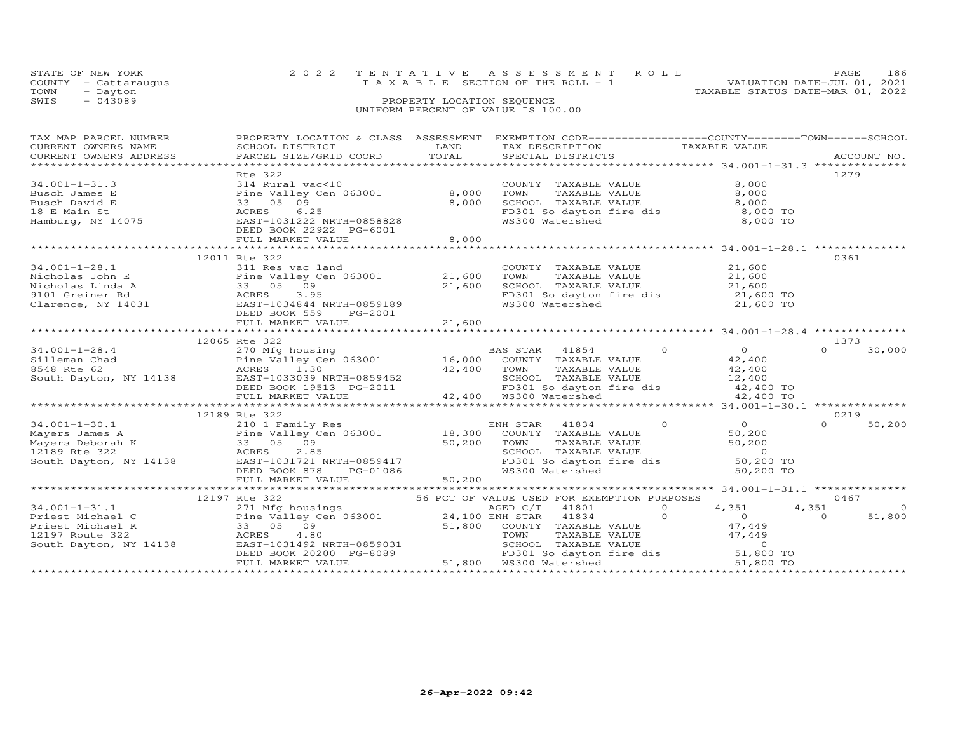|      | STATE OF NEW YORK    | 2022 TENTATIVE ASSESSMENT ROLL        |  |                                  | PAGE                        | 186 |
|------|----------------------|---------------------------------------|--|----------------------------------|-----------------------------|-----|
|      | COUNTY - Cattaraugus | T A X A B L E SECTION OF THE ROLL - 1 |  |                                  | VALUATION DATE-JUL 01, 2021 |     |
| TOWN | - Dayton             |                                       |  | TAXABLE STATUS DATE-MAR 01, 2022 |                             |     |
| SWIS | $-043089$            | PROPERTY LOCATION SEQUENCE            |  |                                  |                             |     |
|      |                      | UNIFORM PERCENT OF VALUE IS 100.00    |  |                                  |                             |     |

| TAX MAP PARCEL NUMBER<br>CURRENT OWNERS NAME<br>CURRENT OWNERS ADDRESS                                                                                                                                                                                                                                                                                                                                                                    |                                              |       | PROPERTY LOCATION & CLASS ASSESSMENT EXEMPTION CODE----------------COUNTY--------TOWN-----SCHOOL                                                                                                                                         |                                                      |                                         |
|-------------------------------------------------------------------------------------------------------------------------------------------------------------------------------------------------------------------------------------------------------------------------------------------------------------------------------------------------------------------------------------------------------------------------------------------|----------------------------------------------|-------|------------------------------------------------------------------------------------------------------------------------------------------------------------------------------------------------------------------------------------------|------------------------------------------------------|-----------------------------------------|
| 34.001-1-31.3<br>Busch James E<br>Busch James E<br>Busch David E<br>18 E Main St<br>Hamburg, NY 14075<br>Hamburg, NY 14075<br>CRES  C.25<br>EAST-1031222 NRTH-0858828<br>CRES  C.25<br>CRES  C.25<br>CRES  C.25<br>CRES  C.25<br>CRES  C.25<br>CRES  C.25<br>                                                                                                                                                                             | Rte 322<br>DEED BOOK 22922 PG-6001           | 8,000 | COUNTY TAXABLE VALUE<br>TOWN<br>TAXABLE VALUE<br>SCHOOL TAXABLE VALUE<br>FD301 So dayton fire dis 8,000 TO<br>WS300 Watershed 8,000 TO                                                                                                   | 8,000<br>8,000<br>8,000                              | 1279                                    |
|                                                                                                                                                                                                                                                                                                                                                                                                                                           | 12011 Rte 322                                |       |                                                                                                                                                                                                                                          |                                                      | 0361                                    |
| $34.001 - 1 - 28.1$                                                                                                                                                                                                                                                                                                                                                                                                                       | 311 Res vac land<br>DEED BOOK 559<br>PG-2001 |       | COUNTY TAXABLE VALUE $21,600$<br>TOWN TAXABLE VALUE $21,600$<br>SCHOOL TAXABLE VALUE $21,600$<br>FD301 So dayton fire dis $21,600$ TO<br>WS300 Watershed $21,600$ TO<br>21,600 TO                                                        |                                                      |                                         |
|                                                                                                                                                                                                                                                                                                                                                                                                                                           |                                              |       |                                                                                                                                                                                                                                          |                                                      |                                         |
| $\begin{array}{cccccccc} 34.001-1-28.4 & 12065 \text{ Rte } 322 & 1373 & 1373 & 1374 & 1384 & 1385 & 1385 & 1385 & 1385 & 1385 & 1385 & 1385 & 1385 & 1385 & 1385 & 1385 & 1385 & 1385 & 1385 & 1385 & 1385 & 1385 & 1385 & 1385 & 1385 & 1385 & 1385 & 1385 & 1385 & 1385 & 1385 &$                                                                                                                                                      | 12065 Rte 322                                |       |                                                                                                                                                                                                                                          |                                                      | 1373                                    |
|                                                                                                                                                                                                                                                                                                                                                                                                                                           |                                              |       |                                                                                                                                                                                                                                          |                                                      | 0219                                    |
|                                                                                                                                                                                                                                                                                                                                                                                                                                           |                                              |       | $\Omega$<br>41834<br>ENH STAR<br>COUNTY TAXABLE VALUE<br>COONTI TAXABLE VALUE<br>TOWN TAXABLE VALUE<br>SCHOOL TAXABLE VALUE<br>FD301 So dayton fire dis<br>WS300 Watershed<br>50,200 TO<br>50,200 TO                                     | $\begin{array}{c} 0 \\ 50,200 \\ 50,200 \end{array}$ | $\Omega$<br>50,200                      |
|                                                                                                                                                                                                                                                                                                                                                                                                                                           |                                              |       |                                                                                                                                                                                                                                          |                                                      | 0467                                    |
| $\begin{tabular}{lllllllllll} \hline \textbf{34.001--1-31.1} & 12197 \text{ Rte 322} & 56 \text{ PCT OF VALUE USED FOR EXEMENTION PURPOSES} \\ \hline 271 \text{ Mfg housing} & 56 \text{ PCT OF VALUE USED FOR EXEMENTION PURPOSES} \\ \hline \textbf{Priest Michael C} & \textbf{24.100 ENH STAR} & 41834 \\ \textbf{Priest Michael R} & 33 & 05 & 09 \\ \textbf{12197 Rte 322} & 4.80 & 51,800 & \text{COMH STAR} & 41834 \\ \textbf{$ |                                              |       | Michael C Pine Valley Cen 063001 24, 100 ENH STAR 41834 0 4, 33 05 09<br>21, 800 COUNTY TAXABLE VALUE 47, 449<br>21, 800 COUNTY TAXABLE VALUE 47, 449<br>21, 800 COUNTY TAXABLE VALUE 47, 449<br>21, 800 TOWN TAXABLE VALUE 47, 449<br>2 | 4,351                                                | 4,351<br>$\Omega$<br>51,800<br>$\Omega$ |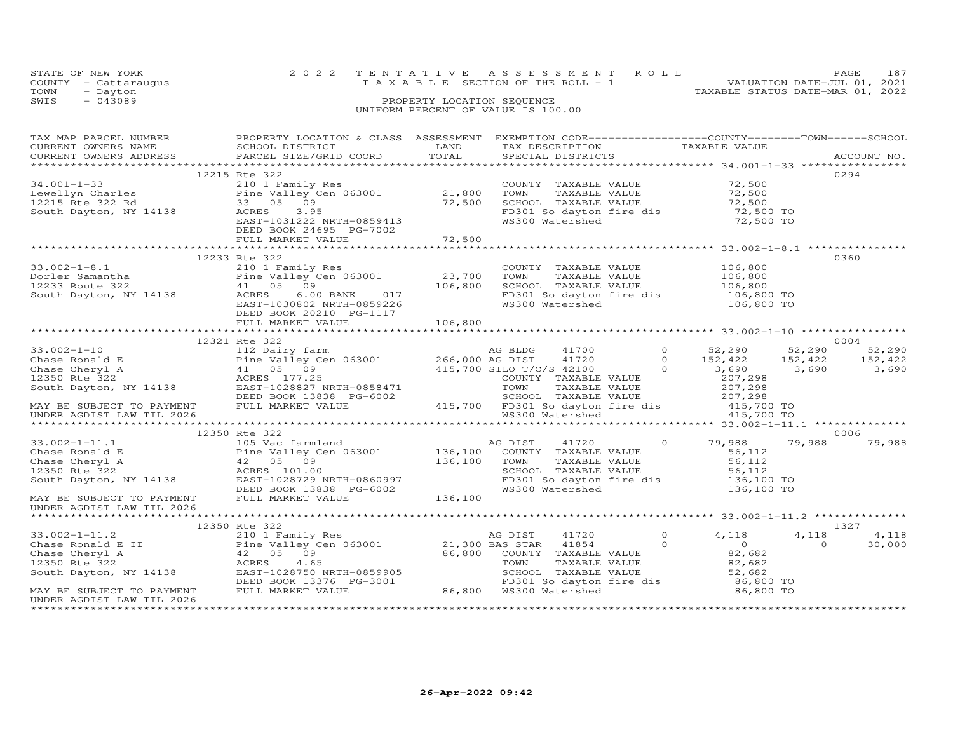|      | STATE OF NEW YORK    |  | 2022 TENTATIVE ASSESSMENT ROLL        |  |  |                                  | PAGE.                       | 187 |
|------|----------------------|--|---------------------------------------|--|--|----------------------------------|-----------------------------|-----|
|      | COUNTY - Cattaraugus |  | T A X A B L E SECTION OF THE ROLL - 1 |  |  |                                  | VALUATION DATE-JUL 01, 2021 |     |
| TOWN | - Dayton             |  |                                       |  |  | TAXABLE STATUS DATE-MAR 01, 2022 |                             |     |
| SWIS | $-043089$            |  | PROPERTY LOCATION SEQUENCE            |  |  |                                  |                             |     |
|      |                      |  | UNIFORM PERCENT OF VALUE IS 100.00    |  |  |                                  |                             |     |

|                           | TAX MAP PARCEL NUMBER THE PROPERTY LOCATION & CLASS ASSESSMENT EXEMPTION CODE---------------COUNTY-------TOWN------SCHOOL                                                                                                                                                                 |        |                                                                                                                                                                           |                                                                          |                |
|---------------------------|-------------------------------------------------------------------------------------------------------------------------------------------------------------------------------------------------------------------------------------------------------------------------------------------|--------|---------------------------------------------------------------------------------------------------------------------------------------------------------------------------|--------------------------------------------------------------------------|----------------|
| CURRENT OWNERS NAME       | SCHOOL DISTRICT<br><b>EXAMPLE SERVICE SERVICE SERVICE SERVICE SERVICE SERVICE SERVICE SERVICE SERVICE SERVICE SERVICE SERVICE SERVICE</b>                                                                                                                                                 |        | TAX DESCRIPTION TAXABLE VALUE SPECIAL DISTRICTS                                                                                                                           |                                                                          |                |
|                           | CURRENT OWNERS ADDRESS PARCEL SIZE/GRID COORD TOTAL                                                                                                                                                                                                                                       |        |                                                                                                                                                                           |                                                                          | ACCOUNT NO.    |
|                           |                                                                                                                                                                                                                                                                                           |        |                                                                                                                                                                           |                                                                          |                |
|                           | 12215 Rte 322<br>34.001-1-33<br>Lewellyn Charles<br>12215 Rte 322 Rd<br>12215 Rte 322 Rd<br>53 05 09<br>5001 12215 Rte 322 Rd<br>53 05 09<br>52.500<br>52.500<br>52.500<br>52.500<br>52.500<br>52.500<br>52.500<br>52.500<br>52.500<br>52.500<br>52.500<br>52.500<br>52.500<br>52.500<br> |        |                                                                                                                                                                           |                                                                          | 0294           |
|                           |                                                                                                                                                                                                                                                                                           |        | COUNTY TAXABLE VALUE 72,500<br>TOWN TAXABLE VALUE 72,500<br>SCHOOL TAXABLE VALUE 72,500<br>FD301 So dayton fire dis 72,500 TO<br>WS300 Watershed 72,500 TO                |                                                                          |                |
|                           |                                                                                                                                                                                                                                                                                           |        |                                                                                                                                                                           |                                                                          |                |
|                           |                                                                                                                                                                                                                                                                                           |        |                                                                                                                                                                           |                                                                          |                |
|                           |                                                                                                                                                                                                                                                                                           |        |                                                                                                                                                                           |                                                                          |                |
|                           |                                                                                                                                                                                                                                                                                           |        |                                                                                                                                                                           |                                                                          |                |
|                           | DEED BOOK 24695 PG-7002                                                                                                                                                                                                                                                                   |        |                                                                                                                                                                           |                                                                          |                |
|                           | FULL MARKET VALUE                                                                                                                                                                                                                                                                         | 72,500 |                                                                                                                                                                           |                                                                          |                |
|                           |                                                                                                                                                                                                                                                                                           |        |                                                                                                                                                                           | ***************************33.002-1-8.1 ***************                  |                |
|                           | 12233 Rte 322                                                                                                                                                                                                                                                                             |        |                                                                                                                                                                           |                                                                          | 0360           |
|                           |                                                                                                                                                                                                                                                                                           |        |                                                                                                                                                                           |                                                                          |                |
|                           |                                                                                                                                                                                                                                                                                           |        |                                                                                                                                                                           |                                                                          |                |
|                           |                                                                                                                                                                                                                                                                                           |        |                                                                                                                                                                           |                                                                          |                |
|                           | 33.002-1-8.1<br>Dorler Samantha 210 1 Family Res<br>Pine Valley Cen 063001 23,700<br>12233 Route 322 41 05 09 106,800<br>South Dayton, NY 14138 ACRES 6.00 BANK 017<br>EAST-1030802 NRTH-0859226                                                                                          |        | COUNTY TAXABLE VALUE $106,800$<br>TOWN TAXABLE VALUE $106,800$<br>SCHOOL TAXABLE VALUE $106,800$<br>FD301 So dayton fire dis $106,800$ TO<br>WS300 Watershed $106,800$ TO |                                                                          |                |
|                           |                                                                                                                                                                                                                                                                                           |        |                                                                                                                                                                           |                                                                          |                |
|                           | DEED BOOK 20210 PG-1117                                                                                                                                                                                                                                                                   |        |                                                                                                                                                                           |                                                                          |                |
|                           |                                                                                                                                                                                                                                                                                           |        |                                                                                                                                                                           |                                                                          |                |
|                           |                                                                                                                                                                                                                                                                                           |        |                                                                                                                                                                           |                                                                          |                |
|                           | 12321 Rte 322                                                                                                                                                                                                                                                                             |        |                                                                                                                                                                           |                                                                          | 0004           |
|                           |                                                                                                                                                                                                                                                                                           |        |                                                                                                                                                                           |                                                                          |                |
|                           |                                                                                                                                                                                                                                                                                           |        |                                                                                                                                                                           |                                                                          |                |
|                           |                                                                                                                                                                                                                                                                                           |        |                                                                                                                                                                           |                                                                          |                |
|                           |                                                                                                                                                                                                                                                                                           |        |                                                                                                                                                                           |                                                                          |                |
|                           |                                                                                                                                                                                                                                                                                           |        |                                                                                                                                                                           |                                                                          |                |
|                           |                                                                                                                                                                                                                                                                                           |        |                                                                                                                                                                           |                                                                          |                |
|                           |                                                                                                                                                                                                                                                                                           |        |                                                                                                                                                                           |                                                                          |                |
|                           |                                                                                                                                                                                                                                                                                           |        |                                                                                                                                                                           |                                                                          |                |
|                           | 12350 Rte 322                                                                                                                                                                                                                                                                             |        |                                                                                                                                                                           |                                                                          | 0006           |
|                           |                                                                                                                                                                                                                                                                                           |        |                                                                                                                                                                           |                                                                          | 79,988         |
|                           |                                                                                                                                                                                                                                                                                           |        |                                                                                                                                                                           |                                                                          |                |
|                           |                                                                                                                                                                                                                                                                                           |        |                                                                                                                                                                           |                                                                          |                |
|                           |                                                                                                                                                                                                                                                                                           |        |                                                                                                                                                                           |                                                                          |                |
|                           |                                                                                                                                                                                                                                                                                           |        |                                                                                                                                                                           |                                                                          |                |
|                           |                                                                                                                                                                                                                                                                                           |        |                                                                                                                                                                           |                                                                          |                |
|                           |                                                                                                                                                                                                                                                                                           |        |                                                                                                                                                                           |                                                                          |                |
| UNDER AGDIST LAW TIL 2026 |                                                                                                                                                                                                                                                                                           |        |                                                                                                                                                                           |                                                                          |                |
|                           |                                                                                                                                                                                                                                                                                           |        |                                                                                                                                                                           |                                                                          |                |
|                           | 12350 Rte 322                                                                                                                                                                                                                                                                             |        |                                                                                                                                                                           |                                                                          | 1327           |
|                           |                                                                                                                                                                                                                                                                                           |        |                                                                                                                                                                           |                                                                          | 4,118<br>4,118 |
|                           |                                                                                                                                                                                                                                                                                           |        |                                                                                                                                                                           |                                                                          | 30,000         |
|                           |                                                                                                                                                                                                                                                                                           |        |                                                                                                                                                                           | $\begin{array}{ccc}\n & 0 & 37110 \\  & 0 & 0 \\  & 82,682\n\end{array}$ |                |
|                           |                                                                                                                                                                                                                                                                                           |        |                                                                                                                                                                           |                                                                          |                |
|                           |                                                                                                                                                                                                                                                                                           |        |                                                                                                                                                                           |                                                                          |                |
|                           |                                                                                                                                                                                                                                                                                           |        |                                                                                                                                                                           |                                                                          |                |
|                           |                                                                                                                                                                                                                                                                                           |        |                                                                                                                                                                           |                                                                          |                |
| UNDER AGDIST LAW TIL 2026 |                                                                                                                                                                                                                                                                                           |        |                                                                                                                                                                           |                                                                          |                |
|                           |                                                                                                                                                                                                                                                                                           |        |                                                                                                                                                                           |                                                                          |                |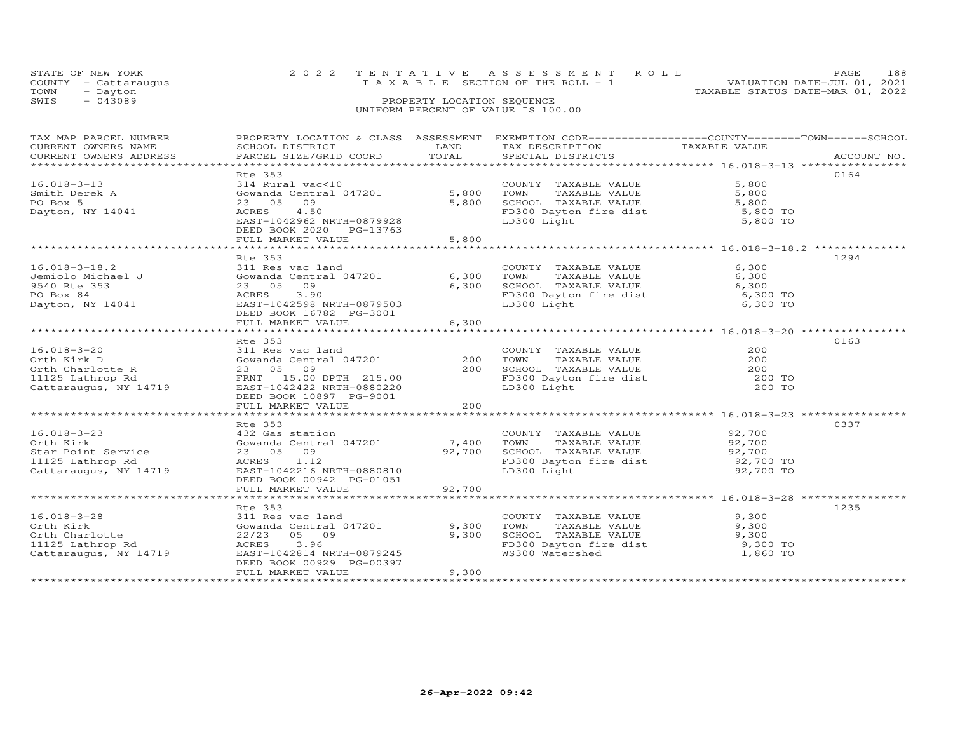|      | STATE OF NEW YORK    | 2022 TENTATIVE ASSESSMENT ROLL                                       | PAGE. | 188 |
|------|----------------------|----------------------------------------------------------------------|-------|-----|
|      | COUNTY - Cattaraugus | VALUATION DATE-JUL 01, 2021<br>T A X A B L E SECTION OF THE ROLL - 1 |       |     |
| TOWN | - Dayton             | TAXABLE STATUS DATE-MAR 01, 2022                                     |       |     |
| SWIS | $-043089$            | PROPERTY LOCATION SEQUENCE                                           |       |     |
|      |                      | UNIFORM PERCENT OF VALUE IS 100.00                                   |       |     |

| TAX MAP PARCEL NUMBER                                                                                                                                                                                                                                                                                                                                                                                                                           | PROPERTY LOCATION & CLASS ASSESSMENT EXEMPTION CODE----------------COUNTY-------TOWN------SCHOOL |        |                                                                                                                                                 |               |             |
|-------------------------------------------------------------------------------------------------------------------------------------------------------------------------------------------------------------------------------------------------------------------------------------------------------------------------------------------------------------------------------------------------------------------------------------------------|--------------------------------------------------------------------------------------------------|--------|-------------------------------------------------------------------------------------------------------------------------------------------------|---------------|-------------|
| CURRENT OWNERS NAME                                                                                                                                                                                                                                                                                                                                                                                                                             | SCHOOL DISTRICT                                                                                  | LAND   | TAX DESCRIPTION                                                                                                                                 | TAXABLE VALUE |             |
| CURRENT OWNERS ADDRESS                                                                                                                                                                                                                                                                                                                                                                                                                          | PARCEL SIZE/GRID COORD TOTAL                                                                     |        | SPECIAL DISTRICTS                                                                                                                               |               | ACCOUNT NO. |
|                                                                                                                                                                                                                                                                                                                                                                                                                                                 |                                                                                                  |        |                                                                                                                                                 |               |             |
|                                                                                                                                                                                                                                                                                                                                                                                                                                                 | Rte 353                                                                                          |        |                                                                                                                                                 |               | 0164        |
| $16.018 - 3 - 13$                                                                                                                                                                                                                                                                                                                                                                                                                               |                                                                                                  |        |                                                                                                                                                 |               |             |
|                                                                                                                                                                                                                                                                                                                                                                                                                                                 | 314 Rural vac<10 COUNT<br>Gowanda Central 047201 5,800 TOWN                                      |        | COUNTY TAXABLE VALUE 5,800<br>TOWN TAXABLE VALUE 5,800<br>SCHOOL TAXABLE VALUE 5,800<br>FD300 Dayton fire dist 5,800 TO<br>LD300 Light 5,800 TO |               |             |
| Smith Derek A                                                                                                                                                                                                                                                                                                                                                                                                                                   |                                                                                                  |        |                                                                                                                                                 |               |             |
| PO Box 5                                                                                                                                                                                                                                                                                                                                                                                                                                        | 23 05 09                                                                                         | 5,800  |                                                                                                                                                 |               |             |
| Dayton, NY 14041                                                                                                                                                                                                                                                                                                                                                                                                                                | ACRES 4.50                                                                                       |        |                                                                                                                                                 |               |             |
|                                                                                                                                                                                                                                                                                                                                                                                                                                                 | EAST-1042962 NRTH-0879928                                                                        |        |                                                                                                                                                 |               |             |
|                                                                                                                                                                                                                                                                                                                                                                                                                                                 | DEED BOOK 2020 PG-13763                                                                          |        |                                                                                                                                                 |               |             |
|                                                                                                                                                                                                                                                                                                                                                                                                                                                 | FULL MARKET VALUE                                                                                | 5,800  |                                                                                                                                                 |               |             |
|                                                                                                                                                                                                                                                                                                                                                                                                                                                 |                                                                                                  |        |                                                                                                                                                 |               |             |
|                                                                                                                                                                                                                                                                                                                                                                                                                                                 |                                                                                                  |        |                                                                                                                                                 |               |             |
|                                                                                                                                                                                                                                                                                                                                                                                                                                                 | Rte 353                                                                                          |        |                                                                                                                                                 |               | 1294        |
| $16.018 - 3 - 18.2$<br>Jemiolo Michael J<br>9540 Rte 353<br>PO Boy 94                                                                                                                                                                                                                                                                                                                                                                           | 311 Res vac land                                                                                 |        | COUNTY TAXABLE VALUE<br>TOWN TAXABLE VALUE                                                                                                      | 6,300         |             |
|                                                                                                                                                                                                                                                                                                                                                                                                                                                 | Gowanda Central 047201 6,300 TOWN                                                                |        |                                                                                                                                                 | 6,300         |             |
|                                                                                                                                                                                                                                                                                                                                                                                                                                                 | 23 05 09                                                                                         | 6,300  |                                                                                                                                                 |               |             |
| PO Box 84                                                                                                                                                                                                                                                                                                                                                                                                                                       | ACRES 3.90                                                                                       |        | SCHOOL TAXABLE VALUE<br>FD300 Dayton fire dist 6,300 TO<br>LD300 Light 6,300 TO                                                                 |               |             |
| Dayton, NY 14041                                                                                                                                                                                                                                                                                                                                                                                                                                | EAST-1042598 NRTH-0879503                                                                        |        |                                                                                                                                                 |               |             |
|                                                                                                                                                                                                                                                                                                                                                                                                                                                 |                                                                                                  |        |                                                                                                                                                 |               |             |
|                                                                                                                                                                                                                                                                                                                                                                                                                                                 | DEED BOOK 16782 PG-3001                                                                          |        |                                                                                                                                                 |               |             |
|                                                                                                                                                                                                                                                                                                                                                                                                                                                 | FULL MARKET VALUE                                                                                | 6,300  |                                                                                                                                                 |               |             |
|                                                                                                                                                                                                                                                                                                                                                                                                                                                 |                                                                                                  |        |                                                                                                                                                 |               |             |
|                                                                                                                                                                                                                                                                                                                                                                                                                                                 | Rte 353                                                                                          |        |                                                                                                                                                 |               | 0163        |
| 16.018-3-20                                                                                                                                                                                                                                                                                                                                                                                                                                     | 311 Res vac land                                                                                 |        | COUNTY TAXABLE VALUE                                                                                                                            | 200           |             |
| 16.018-3-20 $\begin{array}{ccccccc}\n 16.018-3-20 & & & 311 \text{ Res vac land} & & & 200 \text{ TOWIN} & \text{TAXABLE VALUE} & & & 200 \text{ TOWIN} & \text{TAXABLE VALUE} & & & 200 \text{ TOWIN} & \text{TAXABLE VALUE} & & & 200 \text{ TOWIN} & \text{TAXABLE VALUE} & & & 200 \text{ TOWIN} & \text{TAXABLE VALUE} & & & 200 \text{ TOWIN} & \text{TAXABLE VALUE} & & & 200 \text{ TOWIN} & \text{TAXABLE VALUE} & & & 200 \text{ TOW$ |                                                                                                  |        |                                                                                                                                                 |               |             |
|                                                                                                                                                                                                                                                                                                                                                                                                                                                 |                                                                                                  |        |                                                                                                                                                 |               |             |
|                                                                                                                                                                                                                                                                                                                                                                                                                                                 |                                                                                                  |        |                                                                                                                                                 |               |             |
|                                                                                                                                                                                                                                                                                                                                                                                                                                                 |                                                                                                  |        |                                                                                                                                                 |               |             |
| Cattaraugus, NY 14719                                                                                                                                                                                                                                                                                                                                                                                                                           | EAST-1042422 NRTH-0880220                                                                        |        | LD300 Light                                                                                                                                     | 200 TO        |             |
|                                                                                                                                                                                                                                                                                                                                                                                                                                                 | DEED BOOK 10897 PG-9001                                                                          |        |                                                                                                                                                 |               |             |
|                                                                                                                                                                                                                                                                                                                                                                                                                                                 | FULL MARKET VALUE                                                                                | 200    |                                                                                                                                                 |               |             |
|                                                                                                                                                                                                                                                                                                                                                                                                                                                 |                                                                                                  |        |                                                                                                                                                 |               |             |
|                                                                                                                                                                                                                                                                                                                                                                                                                                                 | Rte 353                                                                                          |        |                                                                                                                                                 |               | 0337        |
| $16.018 - 3 - 23$                                                                                                                                                                                                                                                                                                                                                                                                                               |                                                                                                  |        | COUNTY TAXABLE VALUE 92,700                                                                                                                     |               |             |
| Orth Kirk                                                                                                                                                                                                                                                                                                                                                                                                                                       | 432 Gas station<br>Gowanda Central 047201 1,400                                                  |        |                                                                                                                                                 |               |             |
|                                                                                                                                                                                                                                                                                                                                                                                                                                                 |                                                                                                  |        |                                                                                                                                                 |               |             |
| Star Point Service                                                                                                                                                                                                                                                                                                                                                                                                                              | 23 05 09                                                                                         |        | 047201 7,400 TOWN TAXABLE VALUE 92,700<br>92,700 SCHOOL TAXABLE VALUE 92,700<br>FD300 Dayton fire dist 92,700 TO                                |               |             |
| 11125 Lathrop Rd                                                                                                                                                                                                                                                                                                                                                                                                                                | ACRES 1.12                                                                                       |        |                                                                                                                                                 |               |             |
| Cattaraugus, NY 14719                                                                                                                                                                                                                                                                                                                                                                                                                           | EAST-1042216 NRTH-0880810                                                                        |        | LD300 Light                                                                                                                                     | 92,700 TO     |             |
|                                                                                                                                                                                                                                                                                                                                                                                                                                                 | DEED BOOK 00942 PG-01051                                                                         |        |                                                                                                                                                 |               |             |
|                                                                                                                                                                                                                                                                                                                                                                                                                                                 | FULL MARKET VALUE                                                                                | 92,700 |                                                                                                                                                 |               |             |
|                                                                                                                                                                                                                                                                                                                                                                                                                                                 |                                                                                                  |        |                                                                                                                                                 |               |             |
|                                                                                                                                                                                                                                                                                                                                                                                                                                                 | Rte 353                                                                                          |        |                                                                                                                                                 |               | 1235        |
|                                                                                                                                                                                                                                                                                                                                                                                                                                                 |                                                                                                  |        |                                                                                                                                                 | 9,300         |             |
| 16.018-3-28                                                                                                                                                                                                                                                                                                                                                                                                                                     | 311 Res vac land                                                                                 |        | COUNTY TAXABLE VALUE                                                                                                                            |               |             |
| Orth Kirk                                                                                                                                                                                                                                                                                                                                                                                                                                       | Gowanda Central 047201 9,300                                                                     |        | TAXABLE VALUE<br>TOWN                                                                                                                           | 9,300         |             |
| Orth Charlotte                                                                                                                                                                                                                                                                                                                                                                                                                                  | 22/23 05 09                                                                                      | 9,300  | SCHOOL TAXABLE VALUE 9,300<br>FD300 Dayton fire dist 9,300 TO                                                                                   |               |             |
| 11125 Lathrop Rd                                                                                                                                                                                                                                                                                                                                                                                                                                | ACRES<br>3.96                                                                                    |        |                                                                                                                                                 |               |             |
| Cattaraugus, NY 14719                                                                                                                                                                                                                                                                                                                                                                                                                           | EAST-1042814 NRTH-0879245                                                                        |        | WS300 Watershed                                                                                                                                 | 1,860 TO      |             |
|                                                                                                                                                                                                                                                                                                                                                                                                                                                 | DEED BOOK 00929 PG-00397                                                                         |        |                                                                                                                                                 |               |             |
|                                                                                                                                                                                                                                                                                                                                                                                                                                                 | FULL MARKET VALUE                                                                                | 9,300  |                                                                                                                                                 |               |             |
|                                                                                                                                                                                                                                                                                                                                                                                                                                                 |                                                                                                  |        |                                                                                                                                                 |               |             |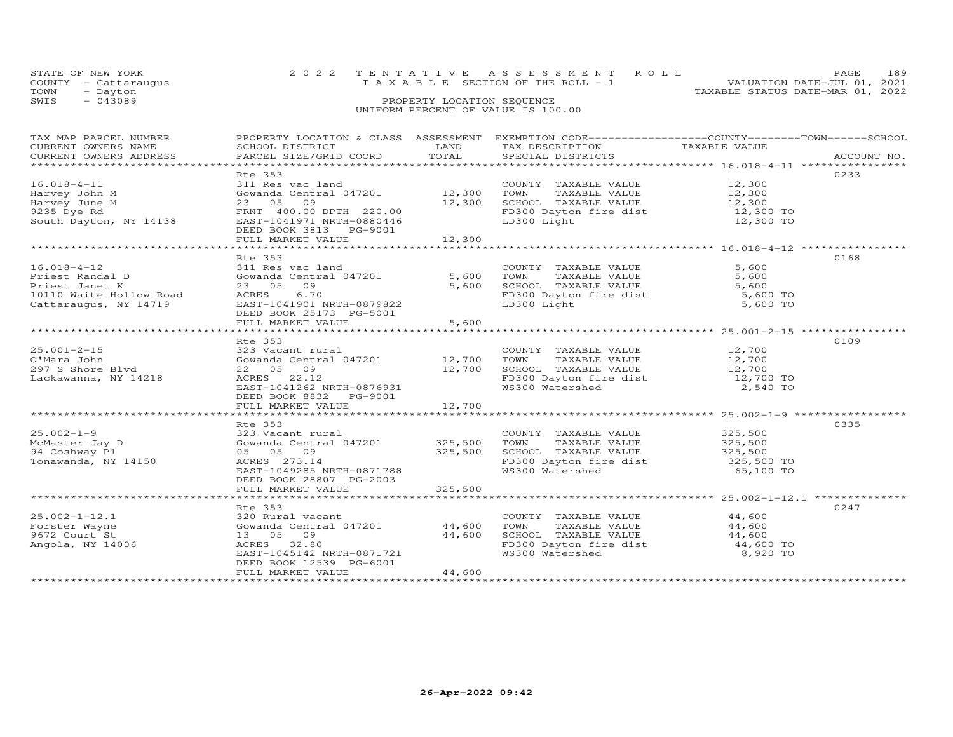|      | STATE OF NEW YORK    |  | 2022 TENTATIVE ASSESSMENT ROLL           |  |                                  | PAGE.                       | 189 |
|------|----------------------|--|------------------------------------------|--|----------------------------------|-----------------------------|-----|
|      | COUNTY - Cattaraugus |  | $T A X A B L E$ SECTION OF THE ROLL $-1$ |  |                                  | VALUATION DATE-JUL 01, 2021 |     |
| TOWN | - Dayton             |  |                                          |  | TAXABLE STATUS DATE-MAR 01, 2022 |                             |     |
| SWIS | - 043089             |  | PROPERTY LOCATION SEQUENCE               |  |                                  |                             |     |
|      |                      |  | UNIFORM PERCENT OF VALUE IS 100.00       |  |                                  |                             |     |

| TAX MAP PARCEL NUMBER                                                                                                                                                                                                                              | PROPERTY LOCATION & CLASS ASSESSMENT EXEMPTION CODE----------------COUNTY-------TOWN------SCHOOL                                                                                                                     |                         |                                                                                                                                                                       |                                     |      |
|----------------------------------------------------------------------------------------------------------------------------------------------------------------------------------------------------------------------------------------------------|----------------------------------------------------------------------------------------------------------------------------------------------------------------------------------------------------------------------|-------------------------|-----------------------------------------------------------------------------------------------------------------------------------------------------------------------|-------------------------------------|------|
| $16.018 - 4 - 11$<br>Harvey John M<br>Harvey June M<br>9235 Dye Rd<br>South Dayton, NY 14138                                                                                                                                                       | Rte 353<br>New Sex Communications and<br>Gowanda Central 047201 (12,300)<br>311 Nes vac Ianu<br>Gowanda Central 047201<br>23 05 09<br>FRNT 400.00 DPTH 220.00<br>EAST-1041971 NRTH-0880446<br>DEED BOOK 3813 PG-9001 | $\frac{12,300}{12,300}$ | COUNTY TAXABLE VALUE $12,300$<br>TOWN TAXABLE VALUE $12,300$<br>SCHOOL TAXABLE VALUE $12,300$<br>FD300 Dayton fire dist $12,300$ TO<br>LD300 Light $12,300$ TO        |                                     | 0233 |
| 16.018-4-12<br>Priest Randal D<br>Priest Janet K<br>10110 Waite Hollow Road<br>Cattaraugus, NY 14719<br>Cattaraugus, NY 14719<br>DEED BOOR<br>DEED BOOR<br>DEED BOOR<br>DEED BOOR<br>DEED BOOR<br>DEED BOOR<br>DEED BOOR<br>DEED BOOR<br>DEED BOOR | Rte 353<br>311 Res vac land<br>Gowanda Central 047201 5,600<br>23 05 09<br>6.70<br>EAST-1041901 NRTH-0879822<br>DEED BOOK 25173 PG-5001<br>FULL MARKET VALUE                                                         | 5,600<br>5,600          | COUNTY TAXABLE VALUE<br>TOWN       TAXABLE  VALUE<br>SCHOOL    TAXABLE  VALUE<br>FD300 Dayton fire dist 5,600 TO<br>LD300 Light                                       | 5,600<br>5,600<br>5,600<br>5,600 TO | 0168 |
| $25.001 - 2 - 15$<br>O'Mara John<br>297 S Shore Blvd<br>Lackawanna, NY 14218                                                                                                                                                                       | xxxxxxx<br>Rte 353<br>323 Vacant rural<br>Gowanda Central 047201 12,700<br>20 12,700<br>20 12,700<br>EAST-1041262 NRTH-0876931<br>DEED BOOK 8832 PG-9001                                                             |                         | COUNTY TAXABLE VALUE 12,700<br>TOWN TAXABLE VALUE 12,700<br>SCHOOL TAXABLE VALUE 12,700<br>FD300 Dayton fire dist 12,700 TO<br>WS300 Watershed 2,540 TO               |                                     | 0109 |
|                                                                                                                                                                                                                                                    | FULL MARKET VALUE                                                                                                                                                                                                    | 12,700                  |                                                                                                                                                                       |                                     |      |
| $25.002 - 1 - 9$<br>McMaster Jay D<br>94 Coshway Pl<br>Tonawanda, NY 14150                                                                                                                                                                         | Rte 353<br>323 Vacant rural<br>Gowanda Central 047201     325,500<br>05   05   09          325.500<br>ACRES 273.14<br>EAST-1049285 NRTH-0871788<br>DEED BOOK 28807 PG-2003                                           | 325,500                 | COUNTY TAXABLE VALUE 325,500<br>TOWN TAXABLE VALUE 325,500<br>TAXABLE VALUE<br>SCHOOL TAXABLE VALUE<br>FD300 Dayton fire dist 325,500 TO<br>WS300 Watershed 65,100 TO |                                     | 0335 |
|                                                                                                                                                                                                                                                    | FULL MARKET VALUE                                                                                                                                                                                                    | 325,500                 |                                                                                                                                                                       |                                     |      |
| $25.002 - 1 - 12.1$<br>Forster Wayne<br>9672 Court St<br>Angola, NY 14006                                                                                                                                                                          | Rte 353<br>320 Rural vacant<br>Gowanda Central 047201      44,600<br>13 05 09<br>44,600<br>ACRES 32.80<br>EAST-1045142 NRTH-0871721<br>DEED BOOK 12539 PG-6001<br>FULL MARKET VALUE                                  | 44,600                  | COUNTY TAXABLE VALUE 44,600<br>TOWN<br>SCHOOL TAXABLE VALUE 44,600<br>FD300 Dayton fire dist 44,600 TO<br>WS300 Watershed 8,920 TO                                    | TAXABLE VALUE 44,600                | 0247 |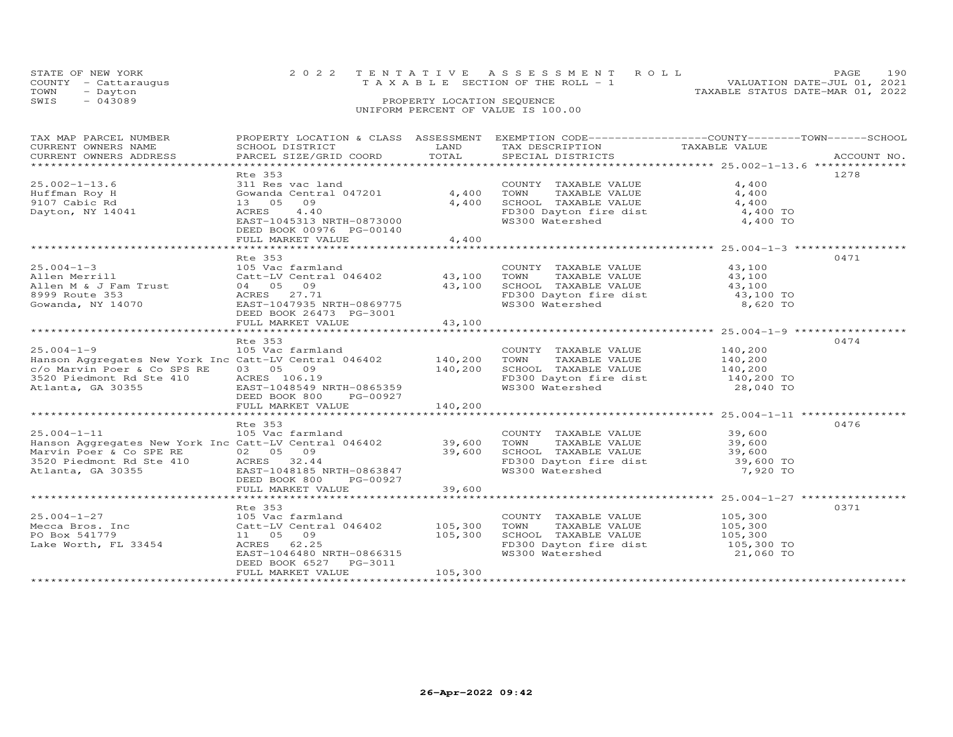| STATE OF NEW YORK    | 2022 TENTATIVE ASSESSMENT ROLL                                       | PAGE. | 190 |
|----------------------|----------------------------------------------------------------------|-------|-----|
| COUNTY - Cattaraugus | VALUATION DATE-JUL 01, 2021<br>T A X A B L E SECTION OF THE ROLL - 1 |       |     |
| TOWN<br>- Dayton     | TAXABLE STATUS DATE-MAR 01, 2022                                     |       |     |
| SWIS<br>$-043089$    | PROPERTY LOCATION SEQUENCE                                           |       |     |
|                      | UNIFORM PERCENT OF VALUE IS 100.00                                   |       |     |
|                      |                                                                      |       |     |

| TAX MAP PARCEL NUMBER                                                                                                                                                                                                                                                                                                                                                                                 |                                                                                     |         |                                                                                                                                                                                            | PROPERTY LOCATION & CLASS ASSESSMENT EXEMPTION CODE----------------COUNTY-------TOWN------SCHOOL |
|-------------------------------------------------------------------------------------------------------------------------------------------------------------------------------------------------------------------------------------------------------------------------------------------------------------------------------------------------------------------------------------------------------|-------------------------------------------------------------------------------------|---------|--------------------------------------------------------------------------------------------------------------------------------------------------------------------------------------------|--------------------------------------------------------------------------------------------------|
|                                                                                                                                                                                                                                                                                                                                                                                                       | Rte 353<br>EAST-1045313 NRTH-0873000<br>DEED BOOK 00976 PG-00140                    |         | COUNTY TAXABLE VALUE 4,400<br>A 400<br>TOWN TAXABLE VALUE<br>SCHOOL TAXABLE VALUE<br>FO300 Dayton fire dist<br>WS300 Watershed<br>A 400 TO<br>4,400 TO<br>4,400 TO<br>4,400 TO<br>4,400 TO | 1278                                                                                             |
|                                                                                                                                                                                                                                                                                                                                                                                                       |                                                                                     |         |                                                                                                                                                                                            | 0471                                                                                             |
|                                                                                                                                                                                                                                                                                                                                                                                                       |                                                                                     |         |                                                                                                                                                                                            | 0474                                                                                             |
|                                                                                                                                                                                                                                                                                                                                                                                                       |                                                                                     |         |                                                                                                                                                                                            |                                                                                                  |
| 105 Vac farmland<br>Hanson Aggregates New York Inc Catt-LV Central 046402<br>Marvin Poer & Co SPE RE 02 05 09<br>39,600 SCHOOL TAXABLE VALUE 39,600<br>39,600 SCHOOL TAXABLE VALUE 39,600<br>39,600 SCHOOL TAXABLE VALUE 39,600<br>39,600<br>Marvin Poer & Co SPE RE 02 05 09 39,600<br>3520 Piedmont Rd Ste 410 ACRES 32.44<br>Atlanta, GA 30355 EAST-1048185 NRTH-0863847<br>DEED BOOK 800 PG-00927 | Rte 353<br>DEED BOOK 800 PG-00927                                                   |         |                                                                                                                                                                                            | 0476                                                                                             |
|                                                                                                                                                                                                                                                                                                                                                                                                       |                                                                                     |         |                                                                                                                                                                                            |                                                                                                  |
|                                                                                                                                                                                                                                                                                                                                                                                                       | Rte 353<br>EAST-1046480 NRTH-0866315<br>DEED BOOK 6527 PG-3011<br>FULL MARKET VALUE | 105,300 | COUNTY TAXABLE VALUE 105,300<br>FOWN TAXABLE VALUE<br>TOWN TAXABLE VALUE<br>SCHOOL TAXABLE VALUE<br>FD300 Dayton fire dist<br>WS300 Watershed<br>21,060 TO                                 | 0371                                                                                             |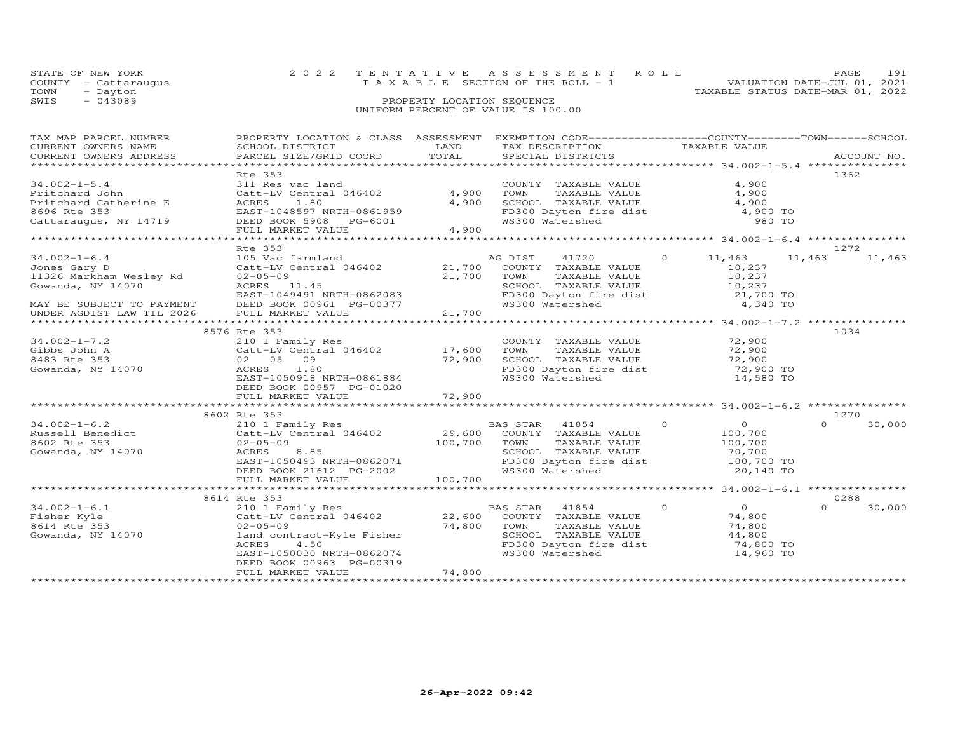|      | STATE OF NEW YORK    | 2022 TENTATIVE ASSESSMENT ROLL        | PAGE.                            | 191 |
|------|----------------------|---------------------------------------|----------------------------------|-----|
|      | COUNTY - Cattaraugus | T A X A B L E SECTION OF THE ROLL - 1 | VALUATION DATE-JUL 01, 2021      |     |
| TOWN | - Dayton             |                                       | TAXABLE STATUS DATE-MAR 01, 2022 |     |
| SWIS | $-043089$            | PROPERTY LOCATION SEQUENCE            |                                  |     |
|      |                      | UNIFORM PERCENT OF VALUE IS 100.00    |                                  |     |

| TAX MAP PARCEL NUMBER     | PROPERTY LOCATION & CLASS ASSESSMENT EXEMPTION CODE-----------------COUNTY-------TOWN------SCHOOL |           |                             |                                                    |                    |
|---------------------------|---------------------------------------------------------------------------------------------------|-----------|-----------------------------|----------------------------------------------------|--------------------|
| CURRENT OWNERS NAME       | SCHOOL DISTRICT                                                                                   | LAND      | TAX DESCRIPTION             | TAXABLE VALUE                                      |                    |
| CURRENT OWNERS ADDRESS    | PARCEL SIZE/GRID COORD                                                                            | TOTAL     | SPECIAL DISTRICTS           |                                                    | ACCOUNT NO.        |
|                           |                                                                                                   |           |                             |                                                    |                    |
|                           | Rte 353                                                                                           |           |                             |                                                    | 1362               |
| $34.002 - 1 - 5.4$        |                                                                                                   |           |                             | 4,900                                              |                    |
|                           | 311 Res vac land                                                                                  |           | COUNTY TAXABLE VALUE        |                                                    |                    |
| Pritchard John            | Catt-LV Central 046402                                                                            | 4,900     | TAXABLE VALUE<br>TOWN       | 4,900                                              |                    |
| Pritchard Catherine E     | ACRES<br>1.80                                                                                     | 4,900     | SCHOOL TAXABLE VALUE        | 4,900                                              |                    |
| 8696 Rte 353              | EAST-1048597 NRTH-0861959                                                                         |           | FD300 Dayton fire dist      | 4,900 TO                                           |                    |
| Cattaraugus, NY 14719     | DEED BOOK 5908 PG-6001                                                                            |           | WS300 Watershed             | 980 TO                                             |                    |
|                           | FULL MARKET VALUE                                                                                 | 4,900     |                             |                                                    |                    |
|                           | ***************************                                                                       | ********* |                             | ******************** 34.002-1-6.4 **************** |                    |
|                           | Rte 353                                                                                           |           |                             |                                                    | 1272               |
|                           |                                                                                                   |           |                             |                                                    |                    |
| $34.002 - 1 - 6.4$        | 105 Vac farmland                                                                                  |           | AG DIST<br>41720            | $\Omega$<br>11,463                                 | 11,463<br>11,463   |
| Jones Gary D              | Catt-LV Central 046402                                                                            |           | 21,700 COUNTY TAXABLE VALUE | 10,237                                             |                    |
| 11326 Markham Wesley Rd   | $02 - 05 - 09$                                                                                    | 21,700    | TOWN<br>TAXABLE VALUE       | 10,237                                             |                    |
| Gowanda, NY 14070         | ACRES 11.45                                                                                       |           | SCHOOL TAXABLE VALUE        | 10,237                                             |                    |
|                           | EAST-1049491 NRTH-0862083                                                                         |           | FD300 Dayton fire dist      | 21,700 TO                                          |                    |
| MAY BE SUBJECT TO PAYMENT | DEED BOOK 00961 PG-00377                                                                          |           | WS300 Watershed             | 4,340 TO                                           |                    |
|                           |                                                                                                   |           |                             |                                                    |                    |
| UNDER AGDIST LAW TIL 2026 | FULL MARKET VALUE                                                                                 | 21,700    |                             |                                                    |                    |
|                           |                                                                                                   |           |                             |                                                    |                    |
|                           | 8576 Rte 353                                                                                      |           |                             |                                                    | 1034               |
| $34.002 - 1 - 7.2$        | 210 1 Family Res                                                                                  |           | COUNTY TAXABLE VALUE        | 72,900                                             |                    |
| Gibbs John A              | Catt-LV Central 046402                                                                            | 17,600    | TOWN<br>TAXABLE VALUE       | 72,900                                             |                    |
| 8483 Rte 353              | 02 05 09                                                                                          | 72,900    | SCHOOL TAXABLE VALUE        | 72,900                                             |                    |
| Gowanda, NY 14070         | ACRES<br>1.80                                                                                     |           | FD300 Dayton fire dist      | 72,900 TO                                          |                    |
|                           |                                                                                                   |           |                             |                                                    |                    |
|                           | EAST-1050918 NRTH-0861884                                                                         |           | WS300 Watershed             | 14,580 TO                                          |                    |
|                           | DEED BOOK 00957 PG-01020                                                                          |           |                             |                                                    |                    |
|                           | FULL MARKET VALUE                                                                                 | 72,900    |                             |                                                    |                    |
|                           |                                                                                                   |           |                             |                                                    |                    |
|                           | 8602 Rte 353                                                                                      |           |                             |                                                    | 1270               |
| $34.002 - 1 - 6.2$        | 210 1 Family Res                                                                                  |           | BAS STAR 41854              | $\Omega$<br>$\Omega$                               | $\Omega$<br>30,000 |
| Russell Benedict          |                                                                                                   |           |                             | 100,700                                            |                    |
|                           | Catt-LV Central 046402                                                                            |           | 29,600 COUNTY TAXABLE VALUE |                                                    |                    |
| 8602 Rte 353              | $02 - 05 - 09$                                                                                    | 100,700   | TOWN<br>TAXABLE VALUE       | 100,700                                            |                    |
| Gowanda, NY 14070         | ACRES<br>8.85                                                                                     |           | SCHOOL TAXABLE VALUE        | 70,700                                             |                    |
|                           | EAST-1050493 NRTH-0862071                                                                         |           | FD300 Dayton fire dist      | 100,700 TO                                         |                    |
|                           | DEED BOOK 21612 PG-2002                                                                           |           | WS300 Watershed             | 20,140 TO                                          |                    |
|                           | FULL MARKET VALUE                                                                                 | 100,700   |                             |                                                    |                    |
|                           |                                                                                                   |           |                             |                                                    |                    |
|                           |                                                                                                   |           |                             |                                                    |                    |
|                           | 8614 Rte 353                                                                                      |           |                             |                                                    | 0288               |
| $34.002 - 1 - 6.1$        | 210 1 Family Res                                                                                  |           | BAS STAR 41854              | $\Omega$<br>$\overline{O}$                         | $\Omega$<br>30,000 |
| Fisher Kyle               | Catt-LV Central 046402                                                                            | 22,600    | COUNTY TAXABLE VALUE        | 74,800                                             |                    |
| 8614 Rte 353              | $02 - 05 - 09$                                                                                    | 74,800    | TAXABLE VALUE<br>TOWN       | 74,800                                             |                    |
| Gowanda, NY 14070         | land contract-Kyle Fisher                                                                         |           | SCHOOL TAXABLE VALUE        | 44,800                                             |                    |
|                           | ACRES<br>4.50                                                                                     |           | FD300 Dayton fire dist      | 74,800 TO                                          |                    |
|                           | EAST-1050030 NRTH-0862074                                                                         |           | WS300 Watershed             | 14,960 TO                                          |                    |
|                           |                                                                                                   |           |                             |                                                    |                    |
|                           | DEED BOOK 00963 PG-00319                                                                          |           |                             |                                                    |                    |
|                           | FULL MARKET VALUE                                                                                 | 74,800    |                             |                                                    |                    |
|                           |                                                                                                   |           |                             |                                                    |                    |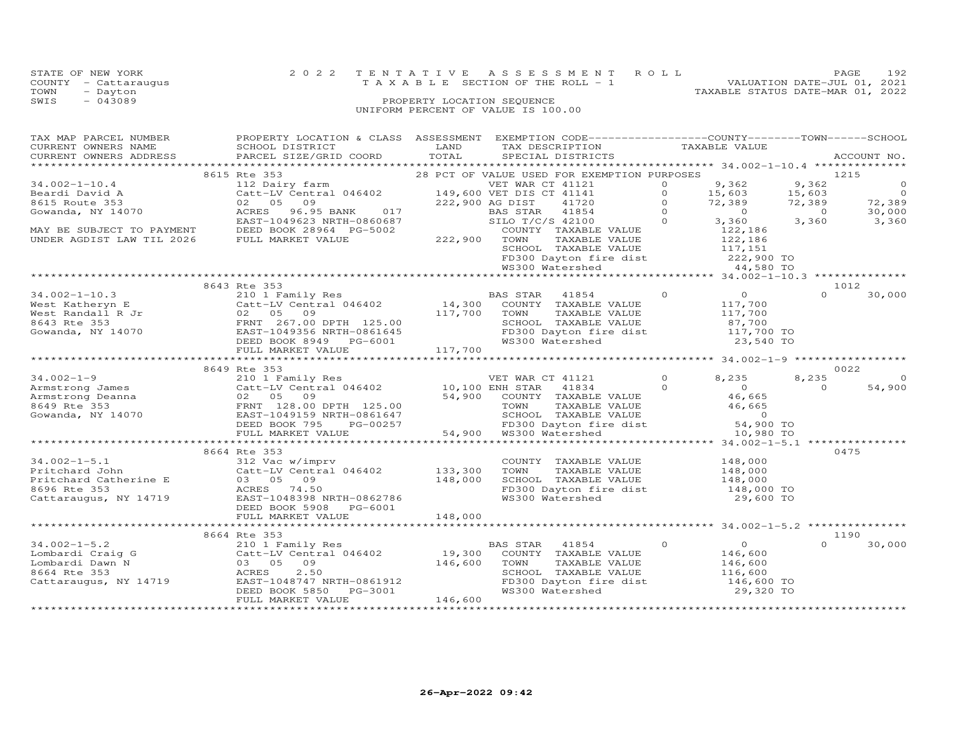|      | STATE OF NEW YORK    | 2022 TENTATIVE ASSESSMENT ROLL                                       | PAGE. | 192 |
|------|----------------------|----------------------------------------------------------------------|-------|-----|
|      | COUNTY - Cattaraugus | VALUATION DATE-JUL 01, 2021<br>T A X A B L E SECTION OF THE ROLL - 1 |       |     |
| TOWN | - Dayton             | TAXABLE STATUS DATE-MAR 01, 2022                                     |       |     |
| SWIS | $-043089$            | PROPERTY LOCATION SEQUENCE                                           |       |     |
|      |                      | UNIFORM PERCENT OF VALUE IS 100.00                                   |       |     |

| TAX MAP PARCEL NUMBER                                                                                                                                                                                                                                                                                                           | PROPERTY LOCATION & CLASS ASSESSMENT EXEMPTION CODE----------------COUNTY-------TOWN------SCHOOL                                                                                                                      |                        |                                                                                                                                                                                      |          |             |
|---------------------------------------------------------------------------------------------------------------------------------------------------------------------------------------------------------------------------------------------------------------------------------------------------------------------------------|-----------------------------------------------------------------------------------------------------------------------------------------------------------------------------------------------------------------------|------------------------|--------------------------------------------------------------------------------------------------------------------------------------------------------------------------------------|----------|-------------|
| CURRENT OWNERS NAME                                                                                                                                                                                                                                                                                                             | SCHOOL DISTRICT                                                                                                                                                                                                       | <b>Example 12</b> LAND | TAX DESCRIPTION TAXABLE VALUE<br>SPECIAL DISTRICTS                                                                                                                                   |          |             |
| CURRENT OWNERS ADDRESS PARCEL SIZE/GRID COORD TOTAL                                                                                                                                                                                                                                                                             |                                                                                                                                                                                                                       |                        |                                                                                                                                                                                      |          | ACCOUNT NO. |
|                                                                                                                                                                                                                                                                                                                                 | Examples 28 PCT OF VALUE USED FOR EXEMPTION PURPOSES<br>112. Dairy farm and the same of the contract of the contract of the contract of the contract of the contract o<br>28 PCT OF VALUE USED FOR EXEMPTION PURPOSES |                        |                                                                                                                                                                                      |          |             |
|                                                                                                                                                                                                                                                                                                                                 | 8615 Rte 353                                                                                                                                                                                                          |                        |                                                                                                                                                                                      | 1215     |             |
|                                                                                                                                                                                                                                                                                                                                 |                                                                                                                                                                                                                       |                        |                                                                                                                                                                                      |          |             |
|                                                                                                                                                                                                                                                                                                                                 |                                                                                                                                                                                                                       |                        |                                                                                                                                                                                      |          |             |
|                                                                                                                                                                                                                                                                                                                                 |                                                                                                                                                                                                                       |                        |                                                                                                                                                                                      |          |             |
|                                                                                                                                                                                                                                                                                                                                 |                                                                                                                                                                                                                       |                        |                                                                                                                                                                                      |          |             |
|                                                                                                                                                                                                                                                                                                                                 |                                                                                                                                                                                                                       |                        |                                                                                                                                                                                      |          |             |
|                                                                                                                                                                                                                                                                                                                                 |                                                                                                                                                                                                                       |                        |                                                                                                                                                                                      |          |             |
|                                                                                                                                                                                                                                                                                                                                 |                                                                                                                                                                                                                       |                        |                                                                                                                                                                                      |          |             |
|                                                                                                                                                                                                                                                                                                                                 |                                                                                                                                                                                                                       |                        |                                                                                                                                                                                      |          |             |
|                                                                                                                                                                                                                                                                                                                                 |                                                                                                                                                                                                                       |                        |                                                                                                                                                                                      |          |             |
|                                                                                                                                                                                                                                                                                                                                 |                                                                                                                                                                                                                       |                        | COUNTY TAXABLE VALUE<br>TOWN TAXABLE VALUE 122,186<br>SCHOOL TAXABLE VALUE 122,186<br>SCHOOL TAXABLE VALUE 117,151<br>FD300 Dayton fire dist 222,900 TO<br>MS300 Watershed 24,580 TO |          |             |
|                                                                                                                                                                                                                                                                                                                                 |                                                                                                                                                                                                                       |                        |                                                                                                                                                                                      |          |             |
|                                                                                                                                                                                                                                                                                                                                 | 8643 Rte 353                                                                                                                                                                                                          |                        |                                                                                                                                                                                      |          | 1012        |
|                                                                                                                                                                                                                                                                                                                                 |                                                                                                                                                                                                                       |                        |                                                                                                                                                                                      |          |             |
|                                                                                                                                                                                                                                                                                                                                 |                                                                                                                                                                                                                       |                        |                                                                                                                                                                                      |          |             |
|                                                                                                                                                                                                                                                                                                                                 |                                                                                                                                                                                                                       |                        |                                                                                                                                                                                      |          |             |
|                                                                                                                                                                                                                                                                                                                                 |                                                                                                                                                                                                                       |                        |                                                                                                                                                                                      |          |             |
|                                                                                                                                                                                                                                                                                                                                 |                                                                                                                                                                                                                       |                        |                                                                                                                                                                                      |          |             |
|                                                                                                                                                                                                                                                                                                                                 |                                                                                                                                                                                                                       |                        |                                                                                                                                                                                      |          |             |
|                                                                                                                                                                                                                                                                                                                                 |                                                                                                                                                                                                                       |                        |                                                                                                                                                                                      |          |             |
| $\begin{array}{cccccccc} 34.002-1-10.3 & 8643 \text{ Rte } 353 & 848.8 \text{ Rte } 353 & 84.002-1-10.3 & 1012 & 1012 & 1012 & 1012 & 1012 & 1012 & 1012 & 1012 & 1012 & 1012 & 1012 & 1012 & 1012 & 1012 & 1012 & 1012 & 1012 & 1012 & 1012 & 1012 & 1012 & 1012 & 1012 & 1012 & 1012$                                         |                                                                                                                                                                                                                       |                        |                                                                                                                                                                                      |          |             |
|                                                                                                                                                                                                                                                                                                                                 | 8649 Rte 353                                                                                                                                                                                                          |                        |                                                                                                                                                                                      |          | 0022        |
| $\begin{array}{cccccccc} 34.002-1-9 & 8649 \text{ Rte } 353 & 0022 \\ -1 & 2011 \text{ Tame} & 2101 \text{ Fame} & 0 & 8,235 & 8,235 & 0 \\ 2101 \text{ Fame} & 2101 \text{ Tame} & 0 & 8,235 & 8,235 & 0 \\ 2101 \text{ Fame} & 0 & 2 & 0 & 54,900 \\ 2 & 0 & 2 & 0 & 54,900 & 54,900 \\ 2 & 0 & 2 & 0 & 54,900 & 54,900 \\ 2$ |                                                                                                                                                                                                                       |                        |                                                                                                                                                                                      |          |             |
|                                                                                                                                                                                                                                                                                                                                 |                                                                                                                                                                                                                       |                        |                                                                                                                                                                                      |          |             |
|                                                                                                                                                                                                                                                                                                                                 |                                                                                                                                                                                                                       |                        |                                                                                                                                                                                      |          |             |
|                                                                                                                                                                                                                                                                                                                                 |                                                                                                                                                                                                                       |                        |                                                                                                                                                                                      |          |             |
|                                                                                                                                                                                                                                                                                                                                 |                                                                                                                                                                                                                       |                        |                                                                                                                                                                                      |          |             |
|                                                                                                                                                                                                                                                                                                                                 |                                                                                                                                                                                                                       |                        |                                                                                                                                                                                      |          |             |
|                                                                                                                                                                                                                                                                                                                                 |                                                                                                                                                                                                                       |                        |                                                                                                                                                                                      |          |             |
|                                                                                                                                                                                                                                                                                                                                 |                                                                                                                                                                                                                       |                        |                                                                                                                                                                                      |          |             |
|                                                                                                                                                                                                                                                                                                                                 | 8664 Rte 353                                                                                                                                                                                                          |                        |                                                                                                                                                                                      |          | 0475        |
|                                                                                                                                                                                                                                                                                                                                 |                                                                                                                                                                                                                       |                        |                                                                                                                                                                                      |          |             |
|                                                                                                                                                                                                                                                                                                                                 |                                                                                                                                                                                                                       |                        |                                                                                                                                                                                      |          |             |
|                                                                                                                                                                                                                                                                                                                                 |                                                                                                                                                                                                                       |                        |                                                                                                                                                                                      |          |             |
| 34.002-1-5.1<br>Pritchard John 212 Vac w/imprv<br>Pritchard John 212 Vac w/imprv<br>Pritchard Catherine E 03 05 09 148,000 SCHOO<br>8696 Rte 353 ACRES 74.50 FD300<br>Cattaraugus, NY 14719 EAST-10463286 NRTH-0862786 NS300 NS300<br>Cat                                                                                       |                                                                                                                                                                                                                       |                        | COUNTY TAXABLE VALUE $148,000$<br>TOWN TAXABLE VALUE $148,000$<br>SCHOOL TAXABLE VALUE $148,000$<br>FD300 Dayton fire dist $148,000$ TO<br>WS300 Watershed $29,600$ TO               |          |             |
|                                                                                                                                                                                                                                                                                                                                 |                                                                                                                                                                                                                       |                        |                                                                                                                                                                                      |          |             |
|                                                                                                                                                                                                                                                                                                                                 | DEED BOOK 5908 PG-6001                                                                                                                                                                                                |                        |                                                                                                                                                                                      |          |             |
|                                                                                                                                                                                                                                                                                                                                 |                                                                                                                                                                                                                       |                        |                                                                                                                                                                                      |          |             |
|                                                                                                                                                                                                                                                                                                                                 |                                                                                                                                                                                                                       |                        |                                                                                                                                                                                      |          |             |
|                                                                                                                                                                                                                                                                                                                                 | 8664 Rte 353                                                                                                                                                                                                          |                        |                                                                                                                                                                                      |          | 1190        |
|                                                                                                                                                                                                                                                                                                                                 |                                                                                                                                                                                                                       |                        |                                                                                                                                                                                      | $\Omega$ | 30,000      |
| 34.002-1-5.2<br>Lombardi Craig G<br>Lombardi Dawn N (310 1 Family Res (310 1 Family Res (310 1 Family Res (310 1 Family Res 19,300 COUNTY TAXABLE VALUE<br>Contracti Dawn N (3300 50 9)<br>8664 Rte 353 (ACRES 2.50 SCHOOL TAXABLE VA                                                                                           |                                                                                                                                                                                                                       |                        |                                                                                                                                                                                      |          |             |
|                                                                                                                                                                                                                                                                                                                                 |                                                                                                                                                                                                                       |                        |                                                                                                                                                                                      |          |             |
|                                                                                                                                                                                                                                                                                                                                 |                                                                                                                                                                                                                       |                        |                                                                                                                                                                                      |          |             |
|                                                                                                                                                                                                                                                                                                                                 |                                                                                                                                                                                                                       |                        | SCHOOL TAXABLE VALUE 116,600<br>FD300 Dayton fire dist 116,600 TO<br>WS300 Watershed 29,320 TO                                                                                       |          |             |
|                                                                                                                                                                                                                                                                                                                                 |                                                                                                                                                                                                                       |                        |                                                                                                                                                                                      |          |             |
|                                                                                                                                                                                                                                                                                                                                 | FULL MARKET VALUE                                                                                                                                                                                                     | 146,600                |                                                                                                                                                                                      |          |             |
|                                                                                                                                                                                                                                                                                                                                 |                                                                                                                                                                                                                       |                        |                                                                                                                                                                                      |          |             |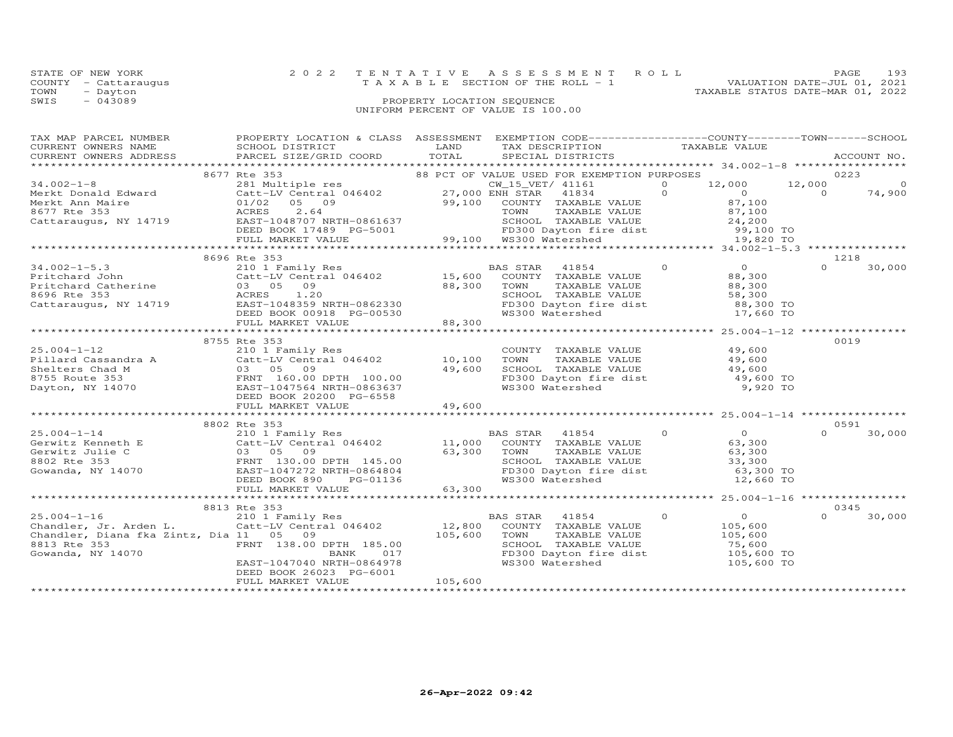|      | STATE OF NEW YORK    | 2022 TENTATIVE ASSESSMENT ROLL        |  |  | PAGE                             | 193 |
|------|----------------------|---------------------------------------|--|--|----------------------------------|-----|
|      | COUNTY - Cattaraugus | T A X A B L E SECTION OF THE ROLL - 1 |  |  | VALUATION DATE-JUL 01, 2021      |     |
| TOWN | - Dayton             |                                       |  |  | TAXABLE STATUS DATE-MAR 01, 2022 |     |
| SWIS | $-043089$            | PROPERTY LOCATION SEQUENCE            |  |  |                                  |     |
|      |                      | UNIFORM PERCENT OF VALUE IS 100.00    |  |  |                                  |     |

| TAX MAP PARCEL NUMBER  | PROPERTY LOCATION & CLASS ASSESSMENT EXEMPTION CODE---------------COUNTY-------TOWN-----SCHOOL                                                                                                                                                                                                                                                                       |         |                                                                                                                    |                                     |                    |
|------------------------|----------------------------------------------------------------------------------------------------------------------------------------------------------------------------------------------------------------------------------------------------------------------------------------------------------------------------------------------------------------------|---------|--------------------------------------------------------------------------------------------------------------------|-------------------------------------|--------------------|
| CURRENT OWNERS NAME    | SCHOOL DISTRICT                                                                                                                                                                                                                                                                                                                                                      | LAND    | TAX DESCRIPTION TAXABLE VALUE SPECIAL DISTRICTS                                                                    |                                     |                    |
| CURRENT OWNERS ADDRESS | PARCEL SIZE/GRID COORD TOTAL                                                                                                                                                                                                                                                                                                                                         |         |                                                                                                                    |                                     | ACCOUNT NO.        |
|                        |                                                                                                                                                                                                                                                                                                                                                                      |         |                                                                                                                    |                                     |                    |
|                        |                                                                                                                                                                                                                                                                                                                                                                      |         |                                                                                                                    |                                     |                    |
|                        |                                                                                                                                                                                                                                                                                                                                                                      |         |                                                                                                                    |                                     |                    |
|                        |                                                                                                                                                                                                                                                                                                                                                                      |         |                                                                                                                    |                                     |                    |
|                        |                                                                                                                                                                                                                                                                                                                                                                      |         |                                                                                                                    |                                     |                    |
|                        |                                                                                                                                                                                                                                                                                                                                                                      |         |                                                                                                                    |                                     |                    |
|                        |                                                                                                                                                                                                                                                                                                                                                                      |         |                                                                                                                    |                                     |                    |
|                        |                                                                                                                                                                                                                                                                                                                                                                      |         |                                                                                                                    |                                     |                    |
|                        |                                                                                                                                                                                                                                                                                                                                                                      |         |                                                                                                                    |                                     |                    |
|                        |                                                                                                                                                                                                                                                                                                                                                                      |         |                                                                                                                    |                                     |                    |
|                        | 8696 Rte 353                                                                                                                                                                                                                                                                                                                                                         |         |                                                                                                                    |                                     | 1218               |
|                        | 34.002-1-5.3<br>Pritchard John 210 1 Family Res<br>Pritchard John 210 1 Family Res<br>Pritchard Catherine 03 05 09<br>8696 Rte 353<br>Cattaraugus, NY 14719 EAST-1048359 NRTH-0862330<br>Cattaraugus, NY 14719 EAST-1048359 NRTH-0862330<br>                                                                                                                         |         |                                                                                                                    | 41854 0 0<br>TAXABLE VALUE 0 88,300 | $\Omega$<br>30,000 |
|                        |                                                                                                                                                                                                                                                                                                                                                                      |         |                                                                                                                    |                                     |                    |
|                        |                                                                                                                                                                                                                                                                                                                                                                      |         | TAXABLE VALUE<br>TAXABLE VALUE<br>TAXABLE VALUE                                                                    | 88,300                              |                    |
|                        |                                                                                                                                                                                                                                                                                                                                                                      |         |                                                                                                                    |                                     |                    |
|                        |                                                                                                                                                                                                                                                                                                                                                                      |         |                                                                                                                    |                                     |                    |
|                        |                                                                                                                                                                                                                                                                                                                                                                      |         |                                                                                                                    |                                     |                    |
|                        | $\sim$ $\sim$ $\sim$ $\sim$<br>FULL MARKET VALUE                                                                                                                                                                                                                                                                                                                     | 88,300  | TOWN TAXADDE VIET<br>SCHOOL TAXABLE VALUE<br>FD300 Dayton fire dist 88,300 TO<br>WS300 Watershed 17,660 TO         |                                     |                    |
|                        |                                                                                                                                                                                                                                                                                                                                                                      |         |                                                                                                                    |                                     |                    |
|                        | 8755 Rte 353                                                                                                                                                                                                                                                                                                                                                         |         |                                                                                                                    |                                     | 0019               |
| $25.004 - 1 - 12$      | 210 1 Family Res                                                                                                                                                                                                                                                                                                                                                     |         | COUNTY TAXABLE VALUE 49,600                                                                                        |                                     |                    |
|                        |                                                                                                                                                                                                                                                                                                                                                                      |         |                                                                                                                    |                                     |                    |
|                        | 25.004-1-12<br>Pillard Cassandra A Catt-LV Central 046402 10,100<br>Shelters Chad M 03 05 09<br>8755 Route 353 FRNT 160.00 DPTH 100.00<br>Dayton, NY 14070 EAST-1047564 NRTH-0863637<br>DEED BOOK 20200 PG-6558                                                                                                                                                      |         | COWN TAXABLE VALUE<br>TOWN TAXABLE VALUE 49,600<br>SCHOOL TAXABLE VALUE 49,600<br>FD300 Dayton fire dist 49,600 TO |                                     |                    |
|                        |                                                                                                                                                                                                                                                                                                                                                                      |         |                                                                                                                    |                                     |                    |
|                        |                                                                                                                                                                                                                                                                                                                                                                      |         | WS300 Watershed                                                                                                    | 9,920 TO                            |                    |
|                        |                                                                                                                                                                                                                                                                                                                                                                      |         |                                                                                                                    |                                     |                    |
|                        | FULL MARKET VALUE                                                                                                                                                                                                                                                                                                                                                    | 49,600  |                                                                                                                    |                                     |                    |
|                        |                                                                                                                                                                                                                                                                                                                                                                      |         |                                                                                                                    |                                     |                    |
|                        | 8802 Rte 353                                                                                                                                                                                                                                                                                                                                                         |         |                                                                                                                    |                                     | 0591               |
|                        |                                                                                                                                                                                                                                                                                                                                                                      |         |                                                                                                                    |                                     | $\Omega$<br>30,000 |
|                        |                                                                                                                                                                                                                                                                                                                                                                      |         |                                                                                                                    |                                     |                    |
|                        |                                                                                                                                                                                                                                                                                                                                                                      |         |                                                                                                                    |                                     |                    |
|                        |                                                                                                                                                                                                                                                                                                                                                                      |         |                                                                                                                    |                                     |                    |
|                        |                                                                                                                                                                                                                                                                                                                                                                      |         |                                                                                                                    |                                     |                    |
|                        |                                                                                                                                                                                                                                                                                                                                                                      |         |                                                                                                                    |                                     |                    |
|                        | $\begin{array}{cccccccc} 25.004-1-14 & 8802 \text{ Rte } 353 & 210 \text{ I} & \text{Family Res} & \text{BAS STAR} & 41854 & 0 & 0 \\ 210 \text{ I} & \text{Family Res} & 210 \text{ I} & 0 & 0 & 0 \\ 210 \text{ I} & 0 & 0 & 0 & 0 \\ 210 \text{ I} & 0 & 0 & 0 & 0 \\ 210 \text{ I} & 0 & 0 & 0 & 0 \\ 210 \text{ I} & 0 & 0 & 0 & 0 \\ 210 \text{ I} & 0 & 0 & $ |         |                                                                                                                    |                                     |                    |
|                        |                                                                                                                                                                                                                                                                                                                                                                      |         |                                                                                                                    |                                     |                    |
|                        |                                                                                                                                                                                                                                                                                                                                                                      |         |                                                                                                                    |                                     | 0345               |
|                        |                                                                                                                                                                                                                                                                                                                                                                      |         |                                                                                                                    |                                     | $\Omega$<br>30,000 |
|                        |                                                                                                                                                                                                                                                                                                                                                                      |         |                                                                                                                    |                                     |                    |
|                        |                                                                                                                                                                                                                                                                                                                                                                      |         |                                                                                                                    |                                     |                    |
|                        |                                                                                                                                                                                                                                                                                                                                                                      |         |                                                                                                                    |                                     |                    |
|                        | 3813 Rte 353<br>25.004-1-16<br>210 1 Family Res<br>Chandler, Jr. Arden L. Catt-LV Central 046402<br>210 1 Family Res<br>210 1 Family Res<br>210 1 Family Res<br>210 1 Catt-LV Central 046402<br>21,800 COUNTY TAXABLE VALUE<br>2105,600<br>2105,60                                                                                                                   |         |                                                                                                                    |                                     |                    |
|                        |                                                                                                                                                                                                                                                                                                                                                                      |         |                                                                                                                    |                                     |                    |
|                        | DEED BOOK 26023 PG-6001                                                                                                                                                                                                                                                                                                                                              |         |                                                                                                                    |                                     |                    |
|                        | FULL MARKET VALUE                                                                                                                                                                                                                                                                                                                                                    | 105,600 |                                                                                                                    |                                     |                    |
|                        |                                                                                                                                                                                                                                                                                                                                                                      |         |                                                                                                                    |                                     |                    |
|                        |                                                                                                                                                                                                                                                                                                                                                                      |         |                                                                                                                    |                                     |                    |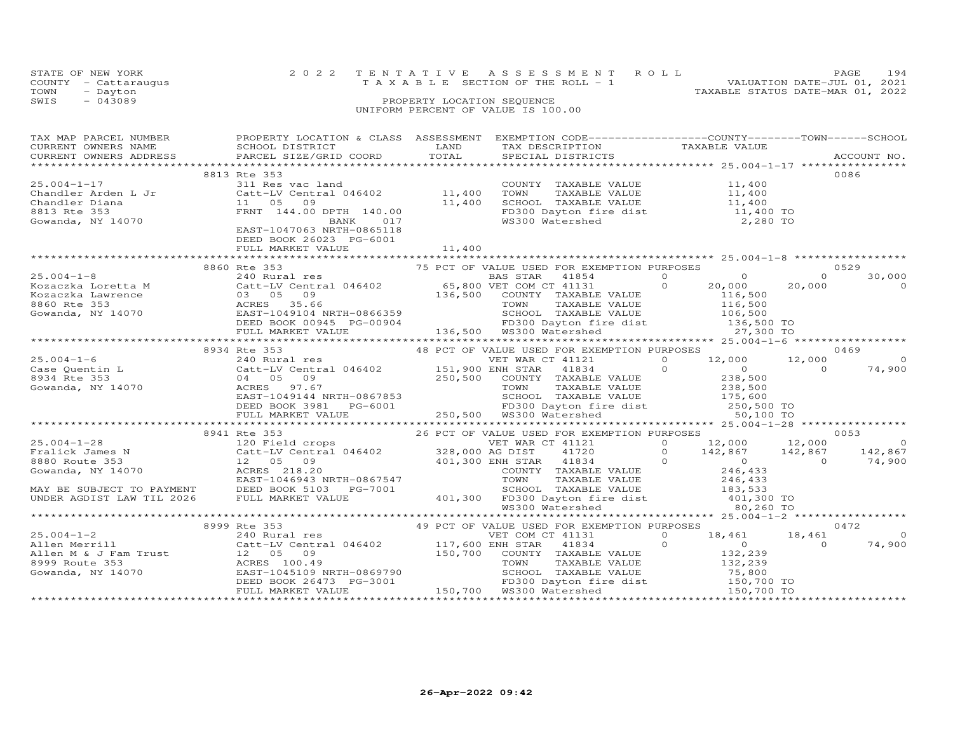| STATE OF NEW YORK |                      | 2022 TENTATIVE ASSESSMENT ROLL                                       | PAGE. | 194 |
|-------------------|----------------------|----------------------------------------------------------------------|-------|-----|
|                   | COUNTY - Cattaraugus | VALUATION DATE-JUL 01, 2021<br>T A X A B L E SECTION OF THE ROLL - 1 |       |     |
| TOWN              | - Dayton             | TAXABLE STATUS DATE-MAR 01, 2022                                     |       |     |
| SWIS              | $-043089$            | PROPERTY LOCATION SEQUENCE                                           |       |     |
|                   |                      | UNIFORM PERCENT OF VALUE IS 100.00                                   |       |     |

|                                                                                                                                                                                                                                                                                                                                                                                                                                                               |  | 0086 |
|---------------------------------------------------------------------------------------------------------------------------------------------------------------------------------------------------------------------------------------------------------------------------------------------------------------------------------------------------------------------------------------------------------------------------------------------------------------|--|------|
|                                                                                                                                                                                                                                                                                                                                                                                                                                                               |  |      |
|                                                                                                                                                                                                                                                                                                                                                                                                                                                               |  |      |
|                                                                                                                                                                                                                                                                                                                                                                                                                                                               |  |      |
|                                                                                                                                                                                                                                                                                                                                                                                                                                                               |  |      |
|                                                                                                                                                                                                                                                                                                                                                                                                                                                               |  |      |
|                                                                                                                                                                                                                                                                                                                                                                                                                                                               |  |      |
|                                                                                                                                                                                                                                                                                                                                                                                                                                                               |  |      |
|                                                                                                                                                                                                                                                                                                                                                                                                                                                               |  |      |
|                                                                                                                                                                                                                                                                                                                                                                                                                                                               |  |      |
|                                                                                                                                                                                                                                                                                                                                                                                                                                                               |  |      |
|                                                                                                                                                                                                                                                                                                                                                                                                                                                               |  |      |
|                                                                                                                                                                                                                                                                                                                                                                                                                                                               |  |      |
|                                                                                                                                                                                                                                                                                                                                                                                                                                                               |  |      |
|                                                                                                                                                                                                                                                                                                                                                                                                                                                               |  |      |
|                                                                                                                                                                                                                                                                                                                                                                                                                                                               |  |      |
|                                                                                                                                                                                                                                                                                                                                                                                                                                                               |  |      |
|                                                                                                                                                                                                                                                                                                                                                                                                                                                               |  |      |
|                                                                                                                                                                                                                                                                                                                                                                                                                                                               |  |      |
|                                                                                                                                                                                                                                                                                                                                                                                                                                                               |  |      |
|                                                                                                                                                                                                                                                                                                                                                                                                                                                               |  |      |
|                                                                                                                                                                                                                                                                                                                                                                                                                                                               |  |      |
|                                                                                                                                                                                                                                                                                                                                                                                                                                                               |  |      |
|                                                                                                                                                                                                                                                                                                                                                                                                                                                               |  |      |
|                                                                                                                                                                                                                                                                                                                                                                                                                                                               |  |      |
|                                                                                                                                                                                                                                                                                                                                                                                                                                                               |  |      |
|                                                                                                                                                                                                                                                                                                                                                                                                                                                               |  |      |
|                                                                                                                                                                                                                                                                                                                                                                                                                                                               |  |      |
|                                                                                                                                                                                                                                                                                                                                                                                                                                                               |  |      |
|                                                                                                                                                                                                                                                                                                                                                                                                                                                               |  |      |
|                                                                                                                                                                                                                                                                                                                                                                                                                                                               |  |      |
|                                                                                                                                                                                                                                                                                                                                                                                                                                                               |  |      |
|                                                                                                                                                                                                                                                                                                                                                                                                                                                               |  |      |
|                                                                                                                                                                                                                                                                                                                                                                                                                                                               |  |      |
|                                                                                                                                                                                                                                                                                                                                                                                                                                                               |  |      |
|                                                                                                                                                                                                                                                                                                                                                                                                                                                               |  |      |
|                                                                                                                                                                                                                                                                                                                                                                                                                                                               |  |      |
| XARE VIDEO BORRIST TO PAYMENT TO PRESENT TO PAYMENT TO ARREST VIDEO TO THE MARKET VALUE AND TO THE MARKET VALUE TO THE MARKET OF THE MARKET OF THE MARKET OF THE MARKET OF THE MARKET OF THE MARKET OF THE MARKET OF THE MARKE                                                                                                                                                                                                                                |  |      |
|                                                                                                                                                                                                                                                                                                                                                                                                                                                               |  |      |
|                                                                                                                                                                                                                                                                                                                                                                                                                                                               |  |      |
| $\begin{tabular}{l cccc} \texttt{\small 147} & \texttt{\small 148} & \texttt{\small 149} & \texttt{\small 149} & \texttt{\small 149} & \texttt{\small 149} & \texttt{\small 149} & \texttt{\small 149} & \texttt{\small 149} & \texttt{\small 149} & \texttt{\small 149} & \texttt{\small 149} & \texttt{\small 149} & \texttt{\small 149} & \texttt{\small 149} & \texttt{\small 149} & \texttt{\small 149} & \texttt{\small 149} & \texttt{\small 149} & \$ |  |      |
|                                                                                                                                                                                                                                                                                                                                                                                                                                                               |  |      |
|                                                                                                                                                                                                                                                                                                                                                                                                                                                               |  |      |
|                                                                                                                                                                                                                                                                                                                                                                                                                                                               |  |      |
|                                                                                                                                                                                                                                                                                                                                                                                                                                                               |  |      |
|                                                                                                                                                                                                                                                                                                                                                                                                                                                               |  |      |
|                                                                                                                                                                                                                                                                                                                                                                                                                                                               |  |      |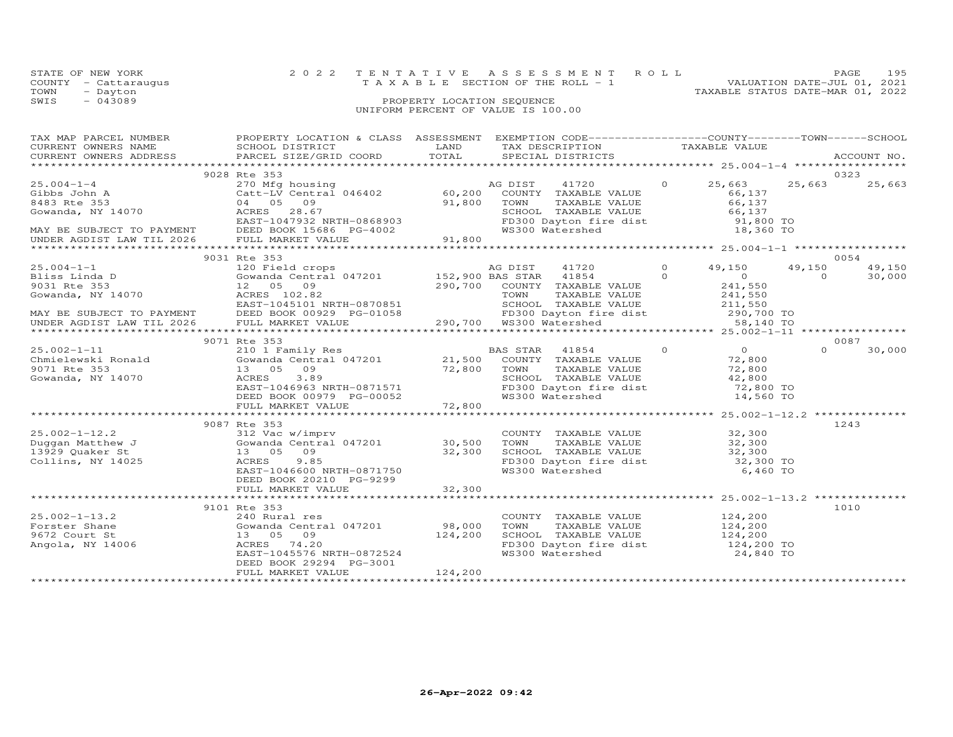| STATE OF NEW YORK    | 2022 TENTATIVE ASSESSMENT ROLL |                                    |  |                                  | <b>PAGE</b> | 195 |
|----------------------|--------------------------------|------------------------------------|--|----------------------------------|-------------|-----|
| COUNTY - Cattaraugus |                                | TAXABLE SECTION OF THE ROLL - 1    |  | VALUATION DATE-JUL 01, 2021      |             |     |
| TOWN<br>- Dayton     |                                |                                    |  | TAXABLE STATUS DATE-MAR 01, 2022 |             |     |
| $-043089$<br>SWIS    |                                | PROPERTY LOCATION SEQUENCE         |  |                                  |             |     |
|                      |                                | UNIFORM PERCENT OF VALUE IS 100.00 |  |                                  |             |     |

| TAX MAP PARCEL NUMBER | PROPERTY LOCATION & CLASS ASSESSMENT EXEMPTION CODE---------------COUNTY-------TOWN-----SCHOOL                                                                                                                                                                                                                                                                                           |                                                                                                                       |                                                                                                                           |               |          |             |
|-----------------------|------------------------------------------------------------------------------------------------------------------------------------------------------------------------------------------------------------------------------------------------------------------------------------------------------------------------------------------------------------------------------------------|-----------------------------------------------------------------------------------------------------------------------|---------------------------------------------------------------------------------------------------------------------------|---------------|----------|-------------|
| CURRENT OWNERS NAME   | SCHOOL DISTRICT                                                                                                                                                                                                                                                                                                                                                                          | <b>EXAMPLE DESCRIPTION OF STREET AND STREET AND STREET AND STREET AND STREET AND STREET AND STREET AND STREET AND</b> | TAX DESCRIPTION<br>TAXABLE VALUE                                                                                          |               |          |             |
|                       | CURRENT OWNERS NATILE SOLIDOL DISTRICT OORD TOTAL                                                                                                                                                                                                                                                                                                                                        |                                                                                                                       | SPECIAL DISTRICTS                                                                                                         |               |          | ACCOUNT NO. |
|                       |                                                                                                                                                                                                                                                                                                                                                                                          |                                                                                                                       |                                                                                                                           |               |          |             |
|                       | 9028 Rte 353                                                                                                                                                                                                                                                                                                                                                                             |                                                                                                                       |                                                                                                                           |               |          | 0323        |
|                       | $\begin{tabular}{lllllllllllllllllllllll} \hline 25.004-1-4 & 270&\mbox{Mg housing} & \mbox{AG DIST} & 41720 & 0 & 25,663 \\ \hline \text{Gibbs John A} & \text{Catt-LV Central 046402} & 60,200& \text{COUNTY TAXABLE VALUE} & 66,137 \\ 8483 \text{ Rte 353} & 04 & 05 & 09 & 91,800 & \text{TOWN} & \text{TAXABLE VALUE} & 66,137 \\ \text{Gowanda, NY 14070} & \text{ACRES} & 28.67$ |                                                                                                                       |                                                                                                                           | $0 \t 25,663$ | 25,663   | 25,663      |
|                       |                                                                                                                                                                                                                                                                                                                                                                                          |                                                                                                                       |                                                                                                                           |               |          |             |
|                       |                                                                                                                                                                                                                                                                                                                                                                                          |                                                                                                                       |                                                                                                                           |               |          |             |
|                       |                                                                                                                                                                                                                                                                                                                                                                                          |                                                                                                                       |                                                                                                                           |               |          |             |
|                       |                                                                                                                                                                                                                                                                                                                                                                                          |                                                                                                                       | SCHOOL TAXABLE VALUE 66,137<br>FD300 Dayton fire dist 91,800 TO                                                           |               |          |             |
|                       |                                                                                                                                                                                                                                                                                                                                                                                          |                                                                                                                       |                                                                                                                           |               |          |             |
|                       |                                                                                                                                                                                                                                                                                                                                                                                          |                                                                                                                       |                                                                                                                           | 18,360 TO     |          |             |
|                       |                                                                                                                                                                                                                                                                                                                                                                                          |                                                                                                                       |                                                                                                                           |               |          |             |
|                       |                                                                                                                                                                                                                                                                                                                                                                                          |                                                                                                                       |                                                                                                                           |               |          |             |
|                       | 9031 Rte 353                                                                                                                                                                                                                                                                                                                                                                             |                                                                                                                       |                                                                                                                           |               |          | 0054        |
|                       |                                                                                                                                                                                                                                                                                                                                                                                          |                                                                                                                       |                                                                                                                           |               |          |             |
|                       |                                                                                                                                                                                                                                                                                                                                                                                          |                                                                                                                       |                                                                                                                           |               |          |             |
|                       |                                                                                                                                                                                                                                                                                                                                                                                          |                                                                                                                       |                                                                                                                           |               |          |             |
|                       |                                                                                                                                                                                                                                                                                                                                                                                          |                                                                                                                       |                                                                                                                           |               |          |             |
|                       |                                                                                                                                                                                                                                                                                                                                                                                          |                                                                                                                       |                                                                                                                           |               |          |             |
|                       |                                                                                                                                                                                                                                                                                                                                                                                          |                                                                                                                       |                                                                                                                           |               |          |             |
|                       |                                                                                                                                                                                                                                                                                                                                                                                          |                                                                                                                       |                                                                                                                           |               |          |             |
|                       |                                                                                                                                                                                                                                                                                                                                                                                          |                                                                                                                       |                                                                                                                           |               |          |             |
|                       |                                                                                                                                                                                                                                                                                                                                                                                          |                                                                                                                       |                                                                                                                           |               |          |             |
|                       |                                                                                                                                                                                                                                                                                                                                                                                          |                                                                                                                       |                                                                                                                           |               |          | 0087        |
|                       |                                                                                                                                                                                                                                                                                                                                                                                          |                                                                                                                       |                                                                                                                           |               | $\Omega$ | 30,000      |
|                       |                                                                                                                                                                                                                                                                                                                                                                                          |                                                                                                                       |                                                                                                                           |               |          |             |
|                       |                                                                                                                                                                                                                                                                                                                                                                                          |                                                                                                                       |                                                                                                                           |               |          |             |
|                       | 25.002-1-11<br>210 1 Family Res<br>Chmielewski Ronald Gowanda Central 047201 21,500 COUNTY TAXABLE VALUE 72,800<br>21,500 COUNTY TAXABLE VALUE 72,800<br>3071 Rte 353 13 05 09<br>3.89<br>22,800 COUNTY TAXABLE VALUE 72,800<br>22,800 COUNT<br>13 05 09 72,800 TOWN<br>ACRES 3.89 SCHOOI<br>EAST-1046963 NRTH-0871571 FD300<br>DEED BOOK 00979 PG-00052 WS300                           |                                                                                                                       | TOWN TAXABLE VALUE 72,800<br>SCHOOL TAXABLE VALUE 42,800<br>FD300 Dayton fire dist 72,800 TO<br>WS300 Watershed 14,560 TO |               |          |             |
|                       |                                                                                                                                                                                                                                                                                                                                                                                          |                                                                                                                       |                                                                                                                           |               |          |             |
|                       |                                                                                                                                                                                                                                                                                                                                                                                          |                                                                                                                       |                                                                                                                           |               |          |             |
|                       |                                                                                                                                                                                                                                                                                                                                                                                          |                                                                                                                       |                                                                                                                           |               |          |             |
|                       |                                                                                                                                                                                                                                                                                                                                                                                          |                                                                                                                       |                                                                                                                           |               |          |             |
|                       | 9087 Rte 353                                                                                                                                                                                                                                                                                                                                                                             |                                                                                                                       |                                                                                                                           |               |          | 1243        |
|                       |                                                                                                                                                                                                                                                                                                                                                                                          |                                                                                                                       |                                                                                                                           |               |          |             |
|                       |                                                                                                                                                                                                                                                                                                                                                                                          |                                                                                                                       | COUNTY TAXABLE VALUE 32,300<br>TOWN TAXABLE VALUE 32,300                                                                  |               |          |             |
|                       |                                                                                                                                                                                                                                                                                                                                                                                          |                                                                                                                       |                                                                                                                           |               |          |             |
|                       |                                                                                                                                                                                                                                                                                                                                                                                          |                                                                                                                       | SCHOOL TAXABLE VALUE 32,300<br>FD300 Dayton fire dist 32,300 TO                                                           |               |          |             |
|                       | 13 05 09 32,300<br>ACRES 9.85<br>EAST-1046600 NRTH-0871750                                                                                                                                                                                                                                                                                                                               |                                                                                                                       |                                                                                                                           | 6,460 TO      |          |             |
|                       |                                                                                                                                                                                                                                                                                                                                                                                          |                                                                                                                       | WS300 Watershed                                                                                                           |               |          |             |
|                       | DEED BOOK 20210 PG-9299                                                                                                                                                                                                                                                                                                                                                                  |                                                                                                                       |                                                                                                                           |               |          |             |
|                       |                                                                                                                                                                                                                                                                                                                                                                                          |                                                                                                                       |                                                                                                                           |               |          |             |
|                       |                                                                                                                                                                                                                                                                                                                                                                                          |                                                                                                                       |                                                                                                                           |               |          |             |
|                       | 9101 Rte 353                                                                                                                                                                                                                                                                                                                                                                             |                                                                                                                       |                                                                                                                           |               |          | 1010        |
|                       |                                                                                                                                                                                                                                                                                                                                                                                          |                                                                                                                       | COUNTY TAXABLE VALUE 124,200                                                                                              |               |          |             |
|                       |                                                                                                                                                                                                                                                                                                                                                                                          |                                                                                                                       |                                                                                                                           |               |          |             |
|                       |                                                                                                                                                                                                                                                                                                                                                                                          |                                                                                                                       | TOWN TAXABLE VALUE 124,200<br>SCHOOL TAXABLE VALUE 124,200<br>FD300 Dayton fire dist 124,200 TO                           |               |          |             |
|                       |                                                                                                                                                                                                                                                                                                                                                                                          |                                                                                                                       |                                                                                                                           |               |          |             |
|                       |                                                                                                                                                                                                                                                                                                                                                                                          |                                                                                                                       | WS300 Watershed                                                                                                           | 24,840 TO     |          |             |
|                       | DEED BOOK 29294 PG-3001                                                                                                                                                                                                                                                                                                                                                                  |                                                                                                                       |                                                                                                                           |               |          |             |
|                       | FULL MARKET VALUE                                                                                                                                                                                                                                                                                                                                                                        | 124,200                                                                                                               |                                                                                                                           |               |          |             |
|                       |                                                                                                                                                                                                                                                                                                                                                                                          |                                                                                                                       |                                                                                                                           |               |          |             |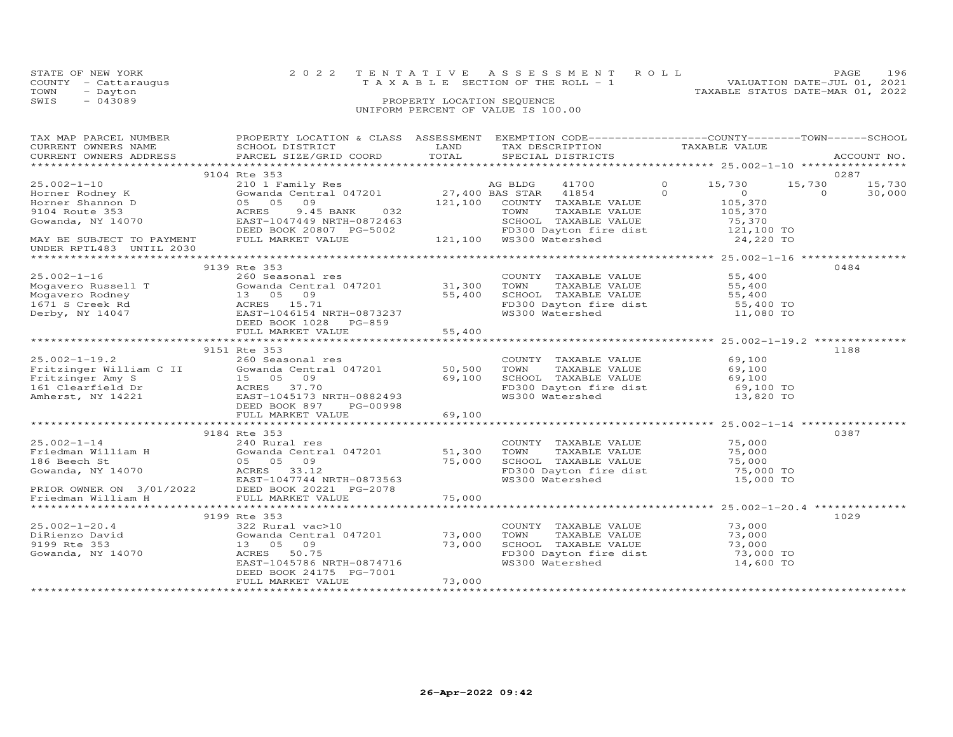|      | STATE OF NEW YORK    | 2022 TENTATIVE ASSESSMENT ROLL                                 | <b>PAGE</b> | 196 |
|------|----------------------|----------------------------------------------------------------|-------------|-----|
|      | COUNTY - Cattaraugus | VALUATION DATE-JUL 01, 2021<br>TAXABLE SECTION OF THE ROLL - 1 |             |     |
| TOWN | - Dayton             | TAXABLE STATUS DATE-MAR 01, 2022                               |             |     |
| SWIS | $-043089$            | PROPERTY LOCATION SEQUENCE                                     |             |     |
|      |                      | UNIFORM PERCENT OF VALUE IS 100.00                             |             |     |

| TAX MAP PARCEL NUMBER | PROPERTY LOCATION & CLASS ASSESSMENT EXEMPTION CODE----------------COUNTY-------TOWN------SCHOOL<br>CURRENT OWNERS NAME CONFIDENT SCHOOL DISTRICT LAND CONDUCTED TAXABLE VALUE<br>CURRENT OWNERS ADDRESS BARCEL SIZE/GRID COORD TOTAL SPECIAL DISTRICTS ACCOUNT NO.<br>TAXABLE VALUE SERVICE SANCEL SIZE/GRID COORD TOTAL SPECIAL DISTRI                |                               |                                                                                                                                                          |                                                                            |                                                        |
|-----------------------|---------------------------------------------------------------------------------------------------------------------------------------------------------------------------------------------------------------------------------------------------------------------------------------------------------------------------------------------------------|-------------------------------|----------------------------------------------------------------------------------------------------------------------------------------------------------|----------------------------------------------------------------------------|--------------------------------------------------------|
|                       |                                                                                                                                                                                                                                                                                                                                                         |                               |                                                                                                                                                          |                                                                            |                                                        |
| $25.002 - 1 - 16$     | 9104 Rte 353<br>9139 Rte 353<br>260 Seasonal res                                                                                                                                                                                                                                                                                                        |                               | COUNTY TAXABLE VALUE                                                                                                                                     | 55,400                                                                     | 0287<br>15,730<br>15,730<br>$\Omega$<br>30,000<br>0484 |
|                       | 25.002-1-16 260 Seasonal res<br>Mogavero Russell T (260 Seasonal res<br>Mogavero Rodney 13 05 09 55,400<br>1671 S Creek Rd (268 15.71<br>Derby, NY 14047 EAST-1046154 NRTH-0873237<br>DEED BOOK 1028 PG-859<br>FULL MARKET VALUE 55.400                                                                                                                 |                               | CONTRAINE VALUE<br>TOWN TAXABLE VALUE<br>SCHOOL TAXABLE VALUE<br>FD300 Dayton fire dist<br>WS300 Watershed<br>11,080 TO<br>TOWN                          |                                                                            |                                                        |
|                       |                                                                                                                                                                                                                                                                                                                                                         |                               |                                                                                                                                                          |                                                                            |                                                        |
|                       | 2.002-1-19.2<br>Fritzinger William C II (Sowanda Central 047201 50,500<br>Fritzinger Amy S 15 05 09 69,100<br>161 Clearfield Dr ACRES 37.70<br>Amherst, NY 14221 EAST-1045173 NRTH-0882493<br>FULL MARKET VALUE (SOURANCE)                                                                                                                              |                               | COUNTY TAXABLE VALUE 69,100<br>TOWN TAXABLE VALUE 69,100<br>SCHOOL TAXABLE VALUE 69,100<br>FD300 Dayton fire dist 69,100 TO<br>WS300 Watershed 13,820 TO |                                                                            | 1188                                                   |
|                       |                                                                                                                                                                                                                                                                                                                                                         |                               |                                                                                                                                                          |                                                                            |                                                        |
|                       | 9184 Rte 353<br>$\begin{array}{lcccc} 25.002-1-14 & 9184 \; \text{Rt} & 353 & 2000 \; \text{J} & 9184 \; \text{Rt} & 353 & 2000 \; \text{J} & 9184 \; \text{J} & 240 \; \text{Rural res} & 25.000 \; \text{J} & 240 \; \text{Rural res} & 25.000 \; \text{J} & 25.000 \; \text{J} & 25.000 \; \text{J} & 25.000 \; \text{J} & 25.000 \; \text{J} & 25.$ |                               |                                                                                                                                                          |                                                                            | 0387                                                   |
|                       |                                                                                                                                                                                                                                                                                                                                                         |                               |                                                                                                                                                          |                                                                            |                                                        |
|                       | 9199 Rte 353<br>EAST-1045786 NRTH-0874716<br>DEED BOOK 24175 PG-7001<br>FULL MARKET VALUE                                                                                                                                                                                                                                                               | $73,000$ TH-0874716<br>73,000 | COUNTY TAXABLE VALUE 73,000<br>TOWN<br>SCHOOL TAXABLE VALUE 73,000<br>FD300 Dayton fire dist 73,000 TO<br>WS300 Watershed                                | TAXABLE VALUE<br>TAXABLE VALUE 73,000<br>TAXABLE VALUE 73,000<br>14,600 TO | 1029                                                   |
|                       |                                                                                                                                                                                                                                                                                                                                                         |                               |                                                                                                                                                          |                                                                            |                                                        |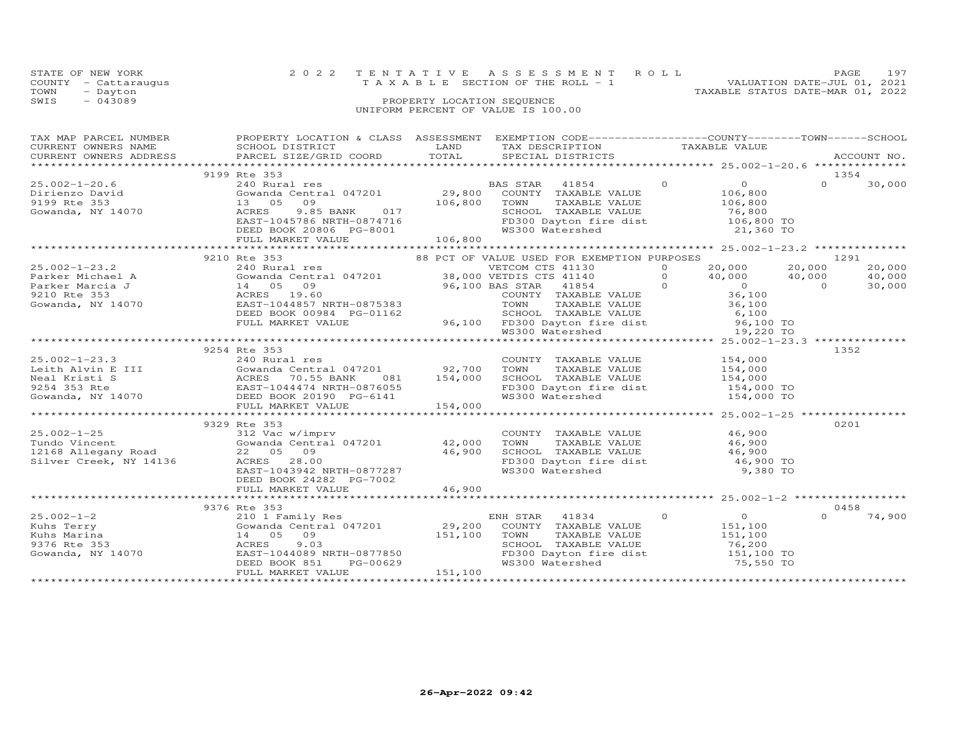|      | STATE OF NEW YORK    | 2022 TENTATIVE ASSESSMENT ROLL     |                            |  |                                  | PAGE.                       | 197 |
|------|----------------------|------------------------------------|----------------------------|--|----------------------------------|-----------------------------|-----|
|      | COUNTY - Cattaraugus | TAXABLE SECTION OF THE ROLL - 1    |                            |  |                                  | VALUATION DATE-JUL 01, 2021 |     |
| TOWN | - Dayton             |                                    |                            |  | TAXABLE STATUS DATE-MAR 01, 2022 |                             |     |
| SWIS | $-043089$            |                                    | PROPERTY LOCATION SEQUENCE |  |                                  |                             |     |
|      |                      | UNIFORM PERCENT OF VALUE IS 100.00 |                            |  |                                  |                             |     |

| TAX MAP PARCEL NUMBER THE PROPERTY LOCATION & CLASS ASSESSMENT EXEMPTION CODE---------------COUNTY-------TOWN------SCHOOL                                                                                                                              |                                                                                                                                                  |  |          |        |
|--------------------------------------------------------------------------------------------------------------------------------------------------------------------------------------------------------------------------------------------------------|--------------------------------------------------------------------------------------------------------------------------------------------------|--|----------|--------|
|                                                                                                                                                                                                                                                        |                                                                                                                                                  |  |          |        |
|                                                                                                                                                                                                                                                        |                                                                                                                                                  |  |          |        |
|                                                                                                                                                                                                                                                        |                                                                                                                                                  |  |          |        |
| 9199 Rte 353                                                                                                                                                                                                                                           |                                                                                                                                                  |  | 1354     |        |
|                                                                                                                                                                                                                                                        |                                                                                                                                                  |  |          |        |
|                                                                                                                                                                                                                                                        |                                                                                                                                                  |  |          |        |
|                                                                                                                                                                                                                                                        |                                                                                                                                                  |  |          |        |
|                                                                                                                                                                                                                                                        |                                                                                                                                                  |  |          |        |
|                                                                                                                                                                                                                                                        |                                                                                                                                                  |  |          |        |
|                                                                                                                                                                                                                                                        |                                                                                                                                                  |  |          |        |
|                                                                                                                                                                                                                                                        |                                                                                                                                                  |  |          |        |
|                                                                                                                                                                                                                                                        |                                                                                                                                                  |  |          |        |
| 33.002-1-23.2<br>3210 Rte 353<br>33.002-1-23.2<br>33.002-1-23.2<br>240 Rural res<br>33.002-1-23.2<br>240 Rural res<br>33.000 VETCOM CTS 41130<br>Parker Michael A<br>Parker Marcia J<br>34.000 VETCOM CTS 41130<br>2010 Rte 353<br>36,000 VETCOM CTS 4 |                                                                                                                                                  |  |          |        |
|                                                                                                                                                                                                                                                        |                                                                                                                                                  |  |          | 20,000 |
|                                                                                                                                                                                                                                                        |                                                                                                                                                  |  |          |        |
|                                                                                                                                                                                                                                                        |                                                                                                                                                  |  |          |        |
|                                                                                                                                                                                                                                                        |                                                                                                                                                  |  |          |        |
|                                                                                                                                                                                                                                                        |                                                                                                                                                  |  |          |        |
|                                                                                                                                                                                                                                                        |                                                                                                                                                  |  |          |        |
|                                                                                                                                                                                                                                                        |                                                                                                                                                  |  |          |        |
|                                                                                                                                                                                                                                                        |                                                                                                                                                  |  |          |        |
|                                                                                                                                                                                                                                                        |                                                                                                                                                  |  |          |        |
|                                                                                                                                                                                                                                                        |                                                                                                                                                  |  |          |        |
| 9254 Rte 353                                                                                                                                                                                                                                           |                                                                                                                                                  |  | 1352     |        |
|                                                                                                                                                                                                                                                        |                                                                                                                                                  |  |          |        |
|                                                                                                                                                                                                                                                        |                                                                                                                                                  |  |          |        |
|                                                                                                                                                                                                                                                        |                                                                                                                                                  |  |          |        |
|                                                                                                                                                                                                                                                        |                                                                                                                                                  |  |          |        |
|                                                                                                                                                                                                                                                        |                                                                                                                                                  |  |          |        |
|                                                                                                                                                                                                                                                        |                                                                                                                                                  |  |          |        |
|                                                                                                                                                                                                                                                        |                                                                                                                                                  |  |          |        |
| 9329 Rte 353                                                                                                                                                                                                                                           |                                                                                                                                                  |  | 0201     |        |
| 25.002-1-25<br>Tundo Vincent<br>12168 Allegany Road<br>512 Vac w/imprv<br>6000 Central 047201<br>22 05 09<br>22 05 09<br>22 05 09<br>22 05 09<br>22 05 09<br>22 05 09                                                                                  |                                                                                                                                                  |  |          |        |
|                                                                                                                                                                                                                                                        |                                                                                                                                                  |  |          |        |
|                                                                                                                                                                                                                                                        |                                                                                                                                                  |  |          |        |
|                                                                                                                                                                                                                                                        |                                                                                                                                                  |  |          |        |
| 22 05 09 46,900<br>ACRES 28.00 46,900<br>EAST-1043942 NRTH-0877287<br>ERST-104342 PC 7002                                                                                                                                                              | COUNTY TAXABLE VALUE<br>TOWN TAXABLE VALUE 46,900<br>SCHOOL TAXABLE VALUE 46,900<br>FD300 Dayton fire dist 46,900 TO<br>WS300 Watershed 9,380 TO |  |          |        |
| DEED BOOK 24282 PG-7002                                                                                                                                                                                                                                |                                                                                                                                                  |  |          |        |
|                                                                                                                                                                                                                                                        |                                                                                                                                                  |  |          |        |
|                                                                                                                                                                                                                                                        |                                                                                                                                                  |  |          |        |
|                                                                                                                                                                                                                                                        |                                                                                                                                                  |  | 0458     |        |
| 9376 Rte 353                                                                                                                                                                                                                                           |                                                                                                                                                  |  | $\Omega$ |        |
|                                                                                                                                                                                                                                                        |                                                                                                                                                  |  |          | 74,900 |
|                                                                                                                                                                                                                                                        |                                                                                                                                                  |  |          |        |
|                                                                                                                                                                                                                                                        |                                                                                                                                                  |  |          |        |
|                                                                                                                                                                                                                                                        |                                                                                                                                                  |  |          |        |
|                                                                                                                                                                                                                                                        |                                                                                                                                                  |  |          |        |
|                                                                                                                                                                                                                                                        |                                                                                                                                                  |  |          |        |
|                                                                                                                                                                                                                                                        |                                                                                                                                                  |  |          |        |
|                                                                                                                                                                                                                                                        |                                                                                                                                                  |  |          |        |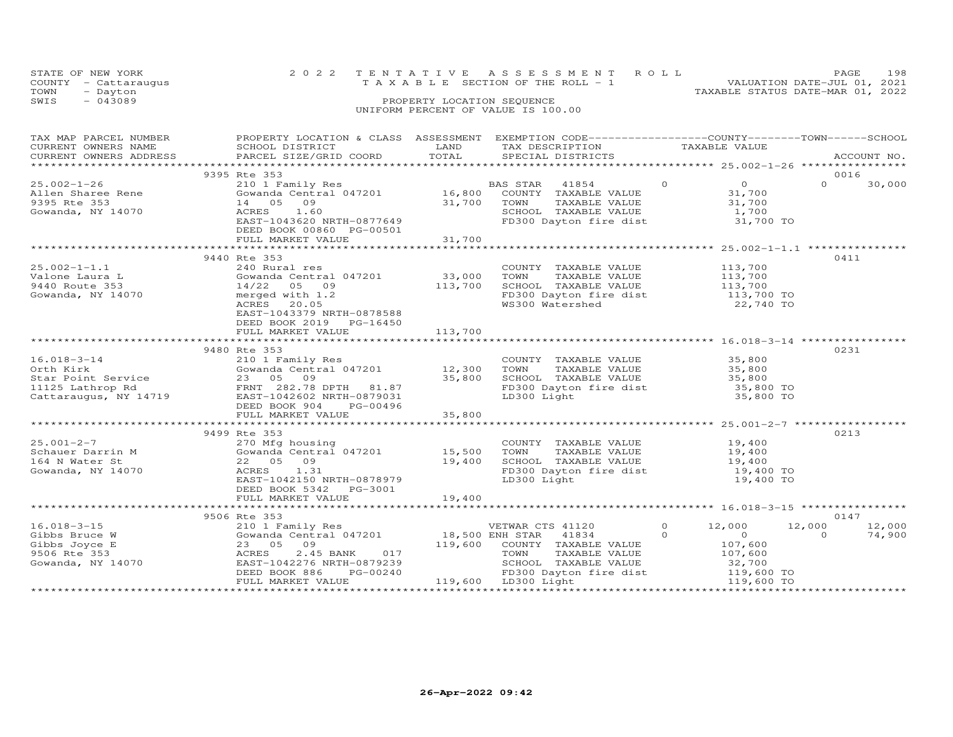|      | STATE OF NEW YORK    | 2022 TENTATIVE ASSESSMENT ROLL        |                            |  |                                  | PAGE.                       | 198 |
|------|----------------------|---------------------------------------|----------------------------|--|----------------------------------|-----------------------------|-----|
|      | COUNTY - Cattaraugus | T A X A B L E SECTION OF THE ROLL - 1 |                            |  |                                  | VALUATION DATE-JUL 01, 2021 |     |
| TOWN | - Dayton             |                                       |                            |  | TAXABLE STATUS DATE-MAR 01, 2022 |                             |     |
| SWIS | $-043089$            |                                       | PROPERTY LOCATION SEQUENCE |  |                                  |                             |     |
|      |                      | UNIFORM PERCENT OF VALUE IS 100.00    |                            |  |                                  |                             |     |

| TAX MAP PARCEL NUMBER<br>CORRENT OWNERS NAME SCHOOL DISTRICT SCHOOL DISTRICT SCHOOL DISTRICT SCHOOL DISTRICT SCHOOL DISTRICT SCHOOL DISTRICT SCHOOL DISTRICT SCHOOL DISTRICT SCHOOL DISTRICT SCHOOL DISTRICT SCHOOL DISTRICT SCHOOL DISTRICTS SPECIAL D | PROPERTY LOCATION & CLASS ASSESSMENT EXEMPTION CODE----------------COUNTY-------TOWN-----SCHOOL                                                                                                                |                             |                                                                                                                                                                                                                                         |                     |                                                          |                    |                  |
|---------------------------------------------------------------------------------------------------------------------------------------------------------------------------------------------------------------------------------------------------------|----------------------------------------------------------------------------------------------------------------------------------------------------------------------------------------------------------------|-----------------------------|-----------------------------------------------------------------------------------------------------------------------------------------------------------------------------------------------------------------------------------------|---------------------|----------------------------------------------------------|--------------------|------------------|
|                                                                                                                                                                                                                                                         |                                                                                                                                                                                                                |                             |                                                                                                                                                                                                                                         |                     |                                                          |                    |                  |
| $25.002 - 1 - 26$<br>Allen Sharee Rene<br>9395 Rte 353<br>Gowanda, NY 14070                                                                                                                                                                             | 9395 Rte 353<br>210 1 Family Res<br>Gowanda Central $047201$ 16,800<br>14 05 09 31,700<br>ACRES 1.60 31,700<br>EAST-1043620 NRTH-0877649<br>DEED BOOK 00860 PG-00501                                           | 31,700                      | BAS STAR 41854 0<br>COUNTY TAXABLE VALUE 31,700<br>TOUNI TAXABLE VALUE 31,700<br>SCHOOL TAXABLE VALUE 1,700<br>FD300 Dayton fire dist 31,700 TO                                                                                         |                     |                                                          | 0016<br>$\Omega$   | 30,000           |
|                                                                                                                                                                                                                                                         | FULL MARKET VALUE                                                                                                                                                                                              |                             |                                                                                                                                                                                                                                         |                     |                                                          |                    |                  |
| $25.002 - 1 - 1.1$<br>z5.002-1-1.1<br>Valone Laura L<br>9440 Route 353<br>Gowanda, NY 14070                                                                                                                                                             | 9440 Rte 353<br>240 Rural res<br>Gowanda Central 047201 33,000<br>14/22 05 09<br>merged with 1.2<br>ACRES 20.05<br>EAST-1043379 NRTH-0878588<br>DEED BOOK 2019 PG-16450<br>FULL MARKET VALUE                   | 113,700<br>113,700          | COUNTY TAXABLE VALUE<br>TOWN      TAXABLE VALUE<br>SCHOOL TAXABLE VALUE 113,700<br>FD300 Dayton fire dist 113,700 TO<br>WS300 Watershed 22,740 TO                                                                                       |                     | 113,700<br>113,700                                       | 0411               |                  |
|                                                                                                                                                                                                                                                         |                                                                                                                                                                                                                |                             |                                                                                                                                                                                                                                         |                     |                                                          |                    |                  |
| 16.018-3-14<br>Orth Kirk Gowanda Central 047201<br>Star Point Service 23 05 09<br>11125 Lathrop Rd FRNT 282.78 DPTH 81.87<br>Cattaraugus, NY 14719 BAST-1042602 NRTH-0879031<br>DEED BOOK 904<br>FRNT 282.78 DPTH 81.87<br>DEED BOOK 904<br>DE          | 9480 Rte 353<br>$210$ $\pm$ $r = 1$ $r = 0$<br>Gowanda Central 047201 12,300                                                                                                                                   | 35,800                      | COUNTY TAXABLE VALUE<br>TAXABLE VALUE<br>TAXABLE VALUE 35,800<br>-- WALUE 35,800<br>TOWN<br>SCHOOL TAXABLE VALUE 35,800<br>FD300 Dayton fire dist 35,800 TO<br>LD300 Light                                                              |                     | 35,800 TO                                                | 0231               |                  |
|                                                                                                                                                                                                                                                         | 9499 Rte 353                                                                                                                                                                                                   |                             |                                                                                                                                                                                                                                         |                     |                                                          | 0213               |                  |
| $25.001 - 2 - 7$<br>Schauer<br>164 N Water St<br>Gowanda, NY 14070<br>Gowanda, NY 14070                                                                                                                                                                 | 270 Mfg housing<br>Gowanda Central 047201 15,500<br>22 05 09<br>ACRES 1.31<br>EAST-1042150 NRTH-0878979<br>DEED BOOK 5342 PG-3001                                                                              | 19,400                      | COUNTY TAXABLE VALUE 19,400<br>TOWN TAXABLE VALUE 19,400<br>COOKT TAXABLE VALUE<br>SCHOOL TAXABLE VALUE 19,400<br>19,400 TO 11st 19,400 TO<br>FD300 Dayton fire dist<br>LD300 Light                                                     |                     | 19,400 TO                                                |                    |                  |
|                                                                                                                                                                                                                                                         | FULL MARKET VALUE                                                                                                                                                                                              | 19,400                      |                                                                                                                                                                                                                                         |                     |                                                          |                    |                  |
|                                                                                                                                                                                                                                                         | 9506 Rte 353                                                                                                                                                                                                   |                             |                                                                                                                                                                                                                                         |                     |                                                          | 0147               |                  |
| $16.018 - 3 - 15$<br>10.010-3-15<br>Gibbs Bruce W<br>Gibbs Joyce E<br>9506 Rte 353<br>Gowanda, NY 14070                                                                                                                                                 | 210 1 Family Res<br>Gowanda Central 047201 18,500 ENH STAR 41834<br>23 05 08 09 110 223 05 09<br>23 05 09<br>2.45 BANK<br>ACRES<br>EAST-1042276 NRTH-0879239<br>PG-00240<br>DEED BOOK 886<br>FULL MARKET VALUE | $119,600$<br>017<br>0879239 | VETWAR CTS 41120<br>COUNTY TAXABLE VALUE<br>TOWN<br>TAXABLE VALUE<br>TOWN IAAADDD<br>SCHOOL TAXABLE VALUE 32, /00<br>FD300 Dayton fire dist 119,600 TO<br>119,600 TO<br>119,600 TO<br>119,600 TO<br>119,600 TO<br>$119,600$ LD300 Light | $\circ$<br>$\Omega$ | 12,000<br>$\overline{O}$<br>107,600<br>107,600<br>32,700 | 12,000<br>$\Omega$ | 12,000<br>74,900 |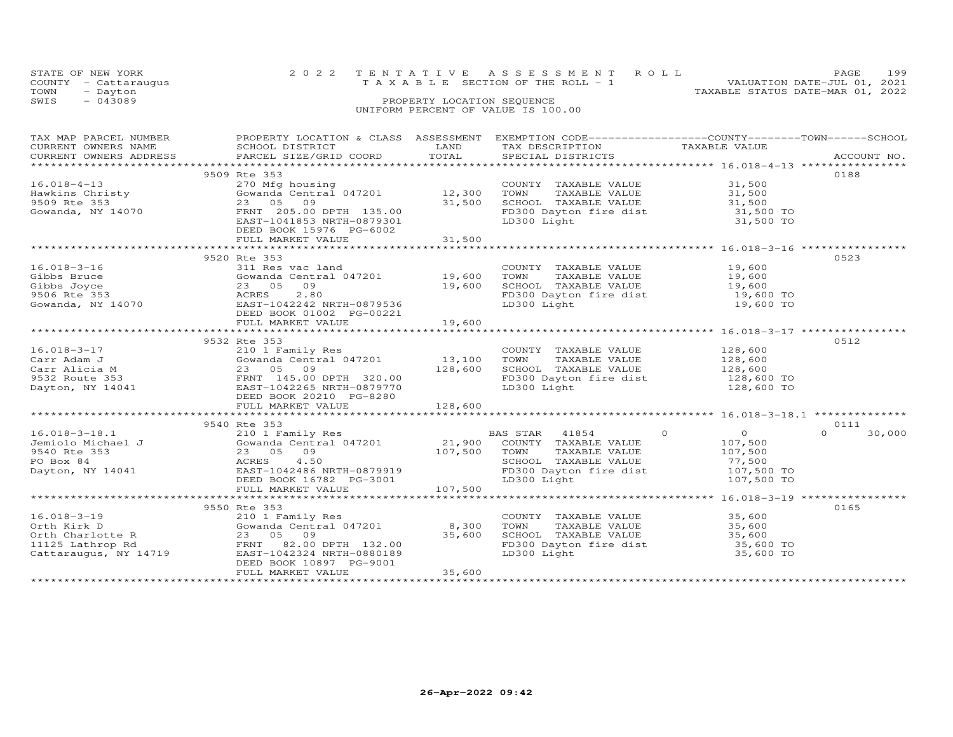|      | STATE OF NEW YORK    | 2022 TENTATIVE ASSESSMENT ROLL     | <b>PAGE</b>                 | 199 |
|------|----------------------|------------------------------------|-----------------------------|-----|
|      | COUNTY - Cattaraugus | TAXABLE SECTION OF THE ROLL - 1    | VALUATION DATE-JUL 01, 2021 |     |
| TOWN | - Dayton             | TAXABLE STATUS DATE-MAR 01, 2022   |                             |     |
| SWIS | $-043089$            | PROPERTY LOCATION SEQUENCE         |                             |     |
|      |                      | UNIFORM PERCENT OF VALUE IS 100.00 |                             |     |

| TAX MAP PARCEL NUMBER | PROPERTY LOCATION & CLASS ASSESSMENT EXEMPTION CODE----------------COUNTY-------TOWN------SCHOOL                                                                                                                                                                 |      |                                                                                                |               |        |
|-----------------------|------------------------------------------------------------------------------------------------------------------------------------------------------------------------------------------------------------------------------------------------------------------|------|------------------------------------------------------------------------------------------------|---------------|--------|
| CURRENT OWNERS NAME   | SCHOOL DISTRICT                                                                                                                                                                                                                                                  | LAND | TAX DESCRIPTION                                                                                | TAXABLE VALUE |        |
|                       |                                                                                                                                                                                                                                                                  |      |                                                                                                |               |        |
|                       |                                                                                                                                                                                                                                                                  |      |                                                                                                |               |        |
|                       | 9509 Rte 353                                                                                                                                                                                                                                                     |      |                                                                                                |               | 0188   |
|                       |                                                                                                                                                                                                                                                                  |      |                                                                                                |               |        |
|                       |                                                                                                                                                                                                                                                                  |      |                                                                                                |               |        |
|                       |                                                                                                                                                                                                                                                                  |      |                                                                                                |               |        |
|                       | 16.018-4-13<br>Hawkins Christy (270 Mfg housing COUNTY TAXABLE VALUE 31,500<br>9509 Rte 353 23 05 09<br>9509 Rte 353 23 05 09<br>9509 Rte 353 23 05 09<br>9509 Rte 353 23 05 09<br>960 BEAST-1041853 NRTH-0879301<br>PERNT 205.00 DPTH 135.0                     |      |                                                                                                |               |        |
|                       |                                                                                                                                                                                                                                                                  |      |                                                                                                |               |        |
|                       |                                                                                                                                                                                                                                                                  |      |                                                                                                |               |        |
|                       | DEED BOOK 15976 PG-6002                                                                                                                                                                                                                                          |      |                                                                                                |               |        |
|                       |                                                                                                                                                                                                                                                                  |      |                                                                                                |               |        |
|                       |                                                                                                                                                                                                                                                                  |      |                                                                                                |               |        |
|                       | 9520 Rte 353                                                                                                                                                                                                                                                     |      |                                                                                                |               | 0523   |
| 16.018-3-16           | 311 Res vac land                                                                                                                                                                                                                                                 |      | COUNTY TAXABLE VALUE 19,600<br>TOWN TAXABLE VALUE 19,600                                       |               |        |
|                       |                                                                                                                                                                                                                                                                  |      |                                                                                                |               |        |
|                       | 16.018-3-16<br>Gibbs Bruce<br>Gibbs Joyce Cowanda Central 047201<br>Gibbs Joyce Call Cowanda Central 047201<br>Gowanda, NY 14070<br>Gowanda, NY 14070<br>Cowanda, NY 14070<br>Cowanda, NY 14070<br>Cowanda, NY 14070<br>Cowanda, NY 14070<br>Compu               |      | SCHOOL TAXABLE VALUE $19,600$<br>FD300 Dayton fire dist $19,600$ TO<br>LD300 Light $19,600$ TO |               |        |
|                       |                                                                                                                                                                                                                                                                  |      |                                                                                                |               |        |
|                       |                                                                                                                                                                                                                                                                  |      |                                                                                                |               |        |
|                       |                                                                                                                                                                                                                                                                  |      |                                                                                                |               |        |
|                       |                                                                                                                                                                                                                                                                  |      |                                                                                                |               |        |
|                       |                                                                                                                                                                                                                                                                  |      |                                                                                                |               |        |
|                       | 9532 Rte 353                                                                                                                                                                                                                                                     |      |                                                                                                |               | 0512   |
|                       |                                                                                                                                                                                                                                                                  |      |                                                                                                |               |        |
|                       |                                                                                                                                                                                                                                                                  |      |                                                                                                |               |        |
|                       | 16.018-3-17<br>Carr Adam J<br>Carr Adam J<br>Carr Alicia M<br>Carr Alicia M<br>23 05 09<br>PERNT 145.00 DPTH 320.00<br>Dayton, NY 14041<br>CARRE VALUE<br>23 05 09<br>23 05 09<br>23 05 09<br>23 05 09<br>23 05 09<br>23 05 09<br>23 05 09<br>23 05 09<br>23 05  |      |                                                                                                |               |        |
|                       |                                                                                                                                                                                                                                                                  |      |                                                                                                |               |        |
|                       |                                                                                                                                                                                                                                                                  |      |                                                                                                |               |        |
|                       |                                                                                                                                                                                                                                                                  |      |                                                                                                |               |        |
|                       |                                                                                                                                                                                                                                                                  |      |                                                                                                |               |        |
|                       |                                                                                                                                                                                                                                                                  |      |                                                                                                |               |        |
|                       |                                                                                                                                                                                                                                                                  |      |                                                                                                |               |        |
|                       | 9540 Rte 353                                                                                                                                                                                                                                                     |      |                                                                                                |               | 0111   |
|                       |                                                                                                                                                                                                                                                                  |      |                                                                                                |               | 30,000 |
|                       |                                                                                                                                                                                                                                                                  |      |                                                                                                |               |        |
|                       |                                                                                                                                                                                                                                                                  |      |                                                                                                |               |        |
|                       |                                                                                                                                                                                                                                                                  |      |                                                                                                |               |        |
|                       |                                                                                                                                                                                                                                                                  |      |                                                                                                |               |        |
|                       |                                                                                                                                                                                                                                                                  |      |                                                                                                |               |        |
|                       |                                                                                                                                                                                                                                                                  |      |                                                                                                |               |        |
|                       |                                                                                                                                                                                                                                                                  |      |                                                                                                |               |        |
|                       | 9550 Rte 353                                                                                                                                                                                                                                                     |      |                                                                                                |               | 0165   |
|                       |                                                                                                                                                                                                                                                                  |      | COUNTY TAXABLE VALUE 35,600                                                                    |               |        |
|                       |                                                                                                                                                                                                                                                                  |      |                                                                                                |               |        |
|                       |                                                                                                                                                                                                                                                                  |      |                                                                                                |               |        |
|                       | 16.018-3-19<br>0rth Kirk D<br>0rth Charlotte R<br>11125 Lathrop Rd<br>Cattaraugus, NY 14719<br>23 05 09<br>23 05 09<br>FRNT 82.00 DPTH 132.00<br>23 05 09<br>23 05 09<br>23 05 09<br>23 05 09<br>23 05 09<br>23 05 09<br>23 05 09<br>23 05 09<br>25,600<br>25,60 |      | TOWN TAXABLE VALUE 35,600<br>SCHOOL TAXABLE VALUE 35,600<br>FD300 Dayton fire dist 35,600 TO   |               |        |
|                       |                                                                                                                                                                                                                                                                  |      |                                                                                                |               |        |
|                       |                                                                                                                                                                                                                                                                  |      | LD300 Light                                                                                    | 35,600 TO     |        |
|                       |                                                                                                                                                                                                                                                                  |      |                                                                                                |               |        |
|                       |                                                                                                                                                                                                                                                                  |      |                                                                                                |               |        |
|                       |                                                                                                                                                                                                                                                                  |      |                                                                                                |               |        |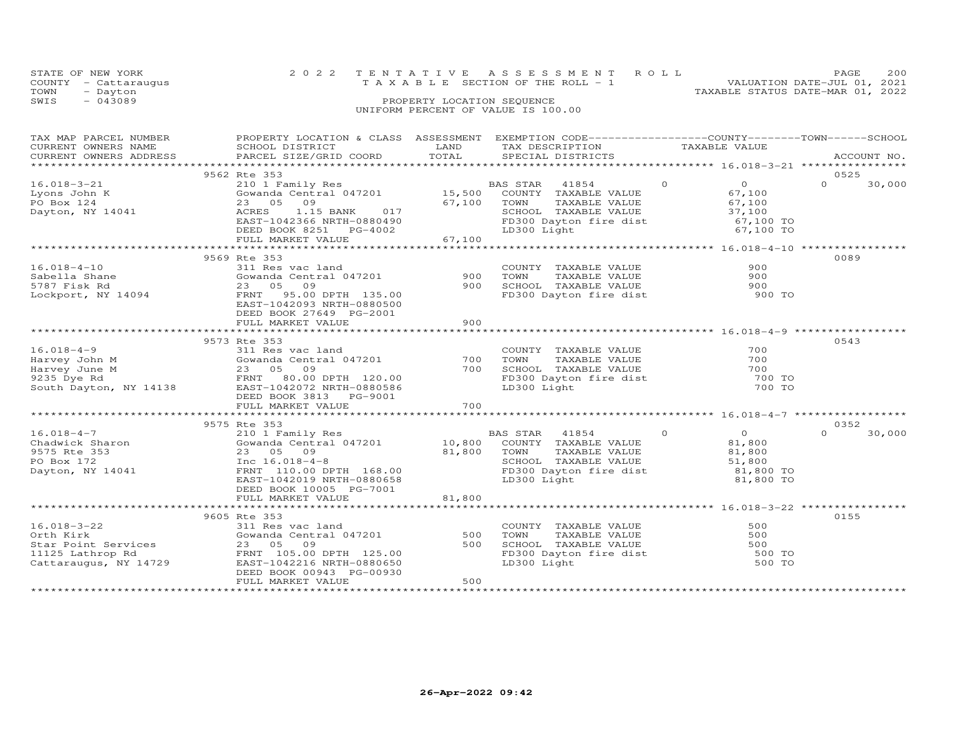|      | STATE OF NEW YORK    | 2022 TENTATIVE ASSESSMENT ROLL        | <b>PAGE</b>                 | 200 |
|------|----------------------|---------------------------------------|-----------------------------|-----|
|      | COUNTY - Cattaraugus | T A X A B L E SECTION OF THE ROLL - 1 | VALUATION DATE-JUL 01, 2021 |     |
| TOWN | - Dayton             | TAXABLE STATUS DATE-MAR 01, 2022      |                             |     |
| SWIS | $-043089$            | PROPERTY LOCATION SEQUENCE            |                             |     |
|      |                      | UNIFORM PERCENT OF VALUE IS 100.00    |                             |     |

| TAX MAP PARCEL NUMBER<br>CURRENT OWNERS NAME<br>CURRENT OWNERS ADDRESS                                                                                                                                                                                          | PROPERTY LOCATION & CLASS ASSESSMENT<br>SCHOOL DISTRICT<br>PARCEL SIZE/GRID COORD                                                                                                                                   | LAND<br>TOTAL                                                        | EXEMPTION CODE------------------COUNTY-------TOWN-----SCHOOL<br>TAX DESCRIPTION TAXABLE VALUE SPECIAL DISTRICTS                                                                 |                                                 | ACCOUNT NO.                |
|-----------------------------------------------------------------------------------------------------------------------------------------------------------------------------------------------------------------------------------------------------------------|---------------------------------------------------------------------------------------------------------------------------------------------------------------------------------------------------------------------|----------------------------------------------------------------------|---------------------------------------------------------------------------------------------------------------------------------------------------------------------------------|-------------------------------------------------|----------------------------|
| $16.018 - 3 - 21$<br>041<br>Lyons John K<br>PO Box 124<br>Dayton, NY 14041                                                                                                                                                                                      | 9562 Rte 353<br>ALE JUST HERE STAR 41854<br>Cowanda Central 047201 15,500 COUNTY TAXABLE VALUE<br>23 05 09<br>017<br>ACRES<br>1.15 BANK<br>EAST-1042366 NRTH-0880490<br>DEED BOOK 8251 PG-4002<br>FULL MARKET VALUE | 67,100 TOWN<br>SCHOO<br>FD300<br>67,100<br>* * * * * * * * * * * * * | BAS STAR 41854 0<br>TOWN TAXABLE VALUE<br>SCHOOL TAXABLE VALUE 37,100<br>SCHOOL TAXABLE VALUE 51 100 TO<br>FD300 Dayton fire dist<br>LD300 Light<br>LD300 Light                 | $\overline{0}$<br>67,100<br>67,100 TO           | 0525<br>$\Omega$<br>30,000 |
| $16.018 - 4 - 10$<br>10.010-4-10<br>Sabella Shane<br>5787 Fisk Rd<br>Lockport, NY 14094                                                                                                                                                                         | 9569 Rte 353<br>311 Res vac land<br>311 Kes vac Iand<br>Gowanda Central 047201<br>23 05<br>09<br>FRNT 95.00 DPTH 135.00<br>EAST-1042093 NRTH-0880500<br>DEED BOOK 27649 PG-2001<br>FULL MARKET VALUE                | 900<br>900<br>900                                                    | COUNTY TAXABLE VALUE<br>TOWN<br>TAXABLE VALUE<br>SCHOOL TAXABLE VALUE<br>FD300 Dayton fire dist                                                                                 | 900<br>900<br>900<br>900 TO                     | 0089                       |
| $16.018 - 4 - 9$<br>16.018-4-9<br>Harvey John M<br>Harvey John M<br>9235 Dye Rd<br>9235 Dye Rd<br>80.00 DPTH 120.00<br>50.00 DPTH 120.00<br>80.00 DPTH 120.00<br>80.00 DPTH 120.00<br>80.00 DPTH 120.00                                                         | 9573 Rte 353<br>311 Res vac land<br>DEED BOOK 3813 PG-9001<br>FULL MARKET VALUE                                                                                                                                     | 700<br>700<br>700                                                    | COUNTY TAXABLE VALUE<br>COUNIT INANDER VALUE<br>TOWN TAXABLE VALUE<br>SCHOOL TAXABLE VALUE<br>FD300 Dayton fire dist<br>LD300 Light                                             | 700<br>700<br>700<br>700 TO<br>700 TO<br>700 TO | 0543                       |
| $16.018 - 4 - 7$<br>Chadwick Sharon<br>9575 Rte 353<br>PO Box 172<br>Dayton, NY 14041                                                                                                                                                                           | 9575 Rte 353<br>210 1 Family Res<br>Cowanda Central 047201 10,800 COUNTY TAXABLE VALUE<br>Inc 16.018-4-8<br>FRNT 110.00 DPTH 168.00<br>EAST-1042019 NRTH-0880658<br>DEED BOOK 10005 PG-7001<br>FULL MARKET VALUE    | 81,800                                                               | $\overline{0}$<br>BAS STAR 41854<br>TOWN TAXABLE VALUE<br>SCHOOL TAXABLE VALUE 51,800<br>SCHOOL TAXABLE VALUE 51,800 TO<br>FD300 Dayton fire dist<br>LD300 Light<br>LD300 Light | $\overline{O}$<br>81,800<br>81,800 TO           | 0352<br>$\Omega$<br>30,000 |
| 16.018-3-22<br>Orth Kirk Gowanda Central 047201<br>Star Point Services 23 05 09<br>1125.00<br>23 05 09<br>23 05 09<br>23 05 09<br>23 05 09<br>23 05 09<br>23 05 09<br>23 05 09<br>23 05 09<br>23 05 09<br>23 05 09<br>23 05 09<br>23 05 09<br>23 05 09<br>23 05 | Gowanda Central 047201<br>FULL MARKET VALUE                                                                                                                                                                         | 500<br>500<br>500                                                    | COUNTY TAXABLE VALUE<br>TOWN<br>TAXABLE VALUE<br>SCHOOL TAXABLE VALUE<br>FD300 Dayton fire dist<br>LD300 Light                                                                  | 500<br>500<br>500<br>500 TO<br>500 TO           | 0155                       |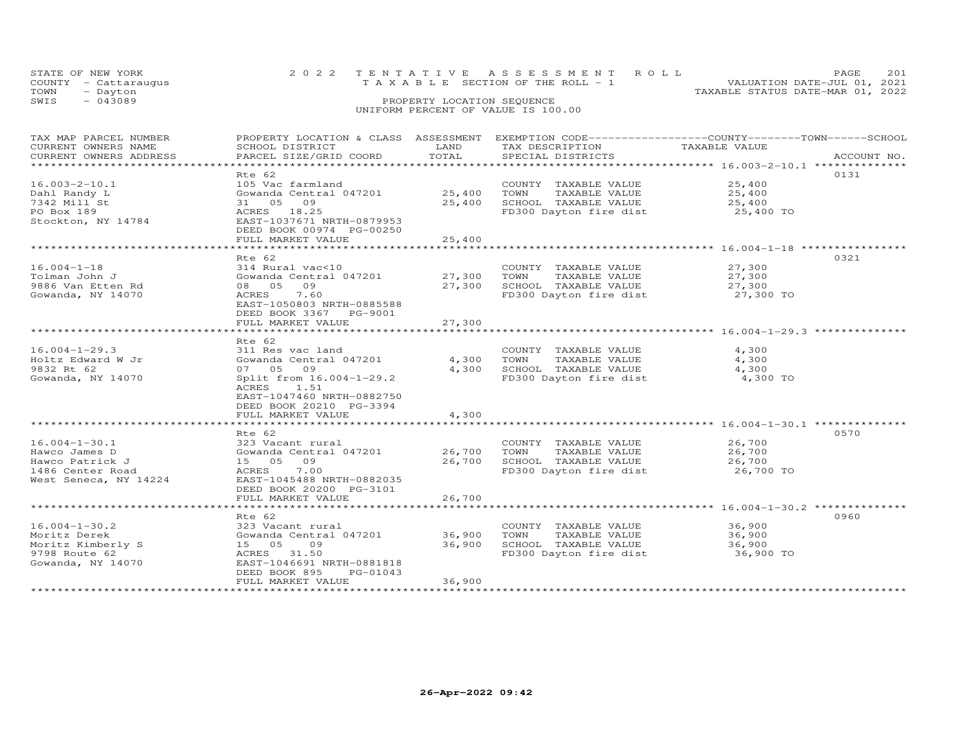|      | STATE OF NEW YORK    | 2022 TENTATIVE ASSESSMENT ROLL<br>PAGE                               | 201 |
|------|----------------------|----------------------------------------------------------------------|-----|
|      | COUNTY - Cattaraugus | VALUATION DATE-JUL 01, 2021<br>T A X A B L E SECTION OF THE ROLL - 1 |     |
| TOWN | - Dayton             | TAXABLE STATUS DATE-MAR 01, 2022                                     |     |
| SWIS | $-043089$            | PROPERTY LOCATION SEQUENCE                                           |     |
|      |                      | UNIFORM PERCENT OF VALUE IS 100.00                                   |     |

| TAX MAP PARCEL NUMBER<br>CURRENT OWNERS NAME<br>CURRENT OWNERS ADDRESS | PROPERTY LOCATION & CLASS ASSESSMENT<br>SCHOOL DISTRICT<br>PARCEL SIZE/GRID COORD | LAND<br>TOTAL         | EXEMPTION CODE-----------------COUNTY-------TOWN------SCHOOL<br>TAX DESCRIPTION<br>SPECIAL DISTRICTS | TAXABLE VALUE                                        | ACCOUNT NO. |
|------------------------------------------------------------------------|-----------------------------------------------------------------------------------|-----------------------|------------------------------------------------------------------------------------------------------|------------------------------------------------------|-------------|
| *************************                                              |                                                                                   |                       |                                                                                                      |                                                      |             |
|                                                                        | Rte 62                                                                            |                       |                                                                                                      |                                                      | 0131        |
| $16.003 - 2 - 10.1$                                                    | 105 Vac farmland                                                                  |                       | COUNTY TAXABLE VALUE                                                                                 | 25,400                                               |             |
| Dahl Randy L                                                           | Gowanda Central 047201                                                            | 25,400                | TOWN<br>TAXABLE VALUE                                                                                | 25,400                                               |             |
| 7342 Mill St                                                           | 31 05<br>09                                                                       | 25,400                | SCHOOL TAXABLE VALUE                                                                                 | 25,400                                               |             |
| PO Box 189<br>Stockton, NY 14784                                       | ACRES 18.25<br>EAST-1037671 NRTH-0879953                                          |                       | FD300 Dayton fire dist                                                                               | 25,400 TO                                            |             |
|                                                                        | DEED BOOK 00974 PG-00250                                                          |                       |                                                                                                      |                                                      |             |
|                                                                        | FULL MARKET VALUE<br>***********************                                      | 25,400<br>*********** |                                                                                                      |                                                      |             |
|                                                                        |                                                                                   |                       |                                                                                                      |                                                      |             |
|                                                                        | Rte 62                                                                            |                       |                                                                                                      |                                                      | 0321        |
| $16.004 - 1 - 18$                                                      | 314 Rural vac<10                                                                  |                       | COUNTY TAXABLE VALUE                                                                                 | 27,300                                               |             |
| Tolman John J                                                          | Gowanda Central 047201<br>08 05 09                                                | 27,300                | TAXABLE VALUE<br>TOWN                                                                                | 27,300                                               |             |
| 9886 Van Etten Rd                                                      |                                                                                   | 27,300                | SCHOOL TAXABLE VALUE                                                                                 | 27,300                                               |             |
| Gowanda, NY 14070                                                      | ACRES<br>7.60<br>EAST-1050803 NRTH-0885588<br>DEED BOOK 3367 PG-9001              |                       | FD300 Dayton fire dist                                                                               | 27,300 TO                                            |             |
|                                                                        | FULL MARKET VALUE                                                                 | 27,300                |                                                                                                      |                                                      |             |
|                                                                        |                                                                                   |                       | ************************************** 16.004-1-29.3 ***************                                 |                                                      |             |
|                                                                        | Rte 62                                                                            |                       |                                                                                                      |                                                      |             |
| $16.004 - 1 - 29.3$                                                    | 311 Res vac land                                                                  |                       | COUNTY TAXABLE VALUE                                                                                 | 4,300                                                |             |
| Holtz Edward W Jr                                                      | Gowanda Central 047201                                                            | 4,300                 | TAXABLE VALUE<br>TOWN                                                                                | 4,300                                                |             |
| 9832 Rt 62                                                             | 07 05 09                                                                          | 4,300                 | SCHOOL TAXABLE VALUE                                                                                 | 4,300                                                |             |
| Gowanda, NY 14070                                                      | Split from 16.004-1-29.2                                                          |                       | FD300 Dayton fire dist                                                                               | 4,300 TO                                             |             |
|                                                                        | 1.51<br>ACRES                                                                     |                       |                                                                                                      |                                                      |             |
|                                                                        | EAST-1047460 NRTH-0882750                                                         |                       |                                                                                                      |                                                      |             |
|                                                                        | DEED BOOK 20210 PG-3394                                                           |                       |                                                                                                      |                                                      |             |
|                                                                        | FULL MARKET VALUE                                                                 | 4,300                 |                                                                                                      |                                                      |             |
|                                                                        |                                                                                   |                       |                                                                                                      | ************************ 16.004-1-30.1 ************* |             |
|                                                                        | Rte 62                                                                            |                       |                                                                                                      |                                                      | 0570        |
| $16.004 - 1 - 30.1$                                                    | 323 Vacant rural                                                                  |                       | COUNTY TAXABLE VALUE                                                                                 | 26,700                                               |             |
| Hawco James D                                                          | Gowanda Central 047201                                                            | 26,700                | TOWN<br>TAXABLE VALUE                                                                                | 26,700                                               |             |
| Hawco Patrick J                                                        | 15 05 09                                                                          | 26,700                | SCHOOL TAXABLE VALUE                                                                                 | 26,700                                               |             |
| 1486 Center Road                                                       | 7.00<br>ACRES                                                                     |                       | FD300 Dayton fire dist                                                                               | 26,700 TO                                            |             |
| West Seneca, NY 14224                                                  | EAST-1045488 NRTH-0882035                                                         |                       |                                                                                                      |                                                      |             |
|                                                                        | DEED BOOK 20200 PG-3101                                                           |                       |                                                                                                      |                                                      |             |
|                                                                        | FULL MARKET VALUE                                                                 | 26,700                |                                                                                                      |                                                      |             |
|                                                                        | *********************                                                             | ***************       |                                                                                                      |                                                      |             |
|                                                                        | Rte 62                                                                            |                       |                                                                                                      |                                                      | 0960        |
| $16.004 - 1 - 30.2$                                                    | 323 Vacant rural                                                                  |                       | COUNTY TAXABLE VALUE                                                                                 | 36,900                                               |             |
| Moritz Derek                                                           | Gowanda Central 047201                                                            | 36,900                | TOWN<br>TAXABLE VALUE                                                                                | 36,900                                               |             |
| Moritz Kimberly S                                                      | 15 05<br>09                                                                       | 36,900                | SCHOOL TAXABLE VALUE                                                                                 | 36,900                                               |             |
| 9798 Route 62                                                          | ACRES 31.50                                                                       |                       | FD300 Dayton fire dist                                                                               | 36,900 TO                                            |             |
| Gowanda, NY 14070                                                      | EAST-1046691 NRTH-0881818                                                         |                       |                                                                                                      |                                                      |             |
|                                                                        | DEED BOOK 895<br>PG-01043                                                         |                       |                                                                                                      |                                                      |             |
|                                                                        | FULL MARKET VALUE                                                                 | 36,900                |                                                                                                      |                                                      |             |
|                                                                        |                                                                                   |                       |                                                                                                      |                                                      |             |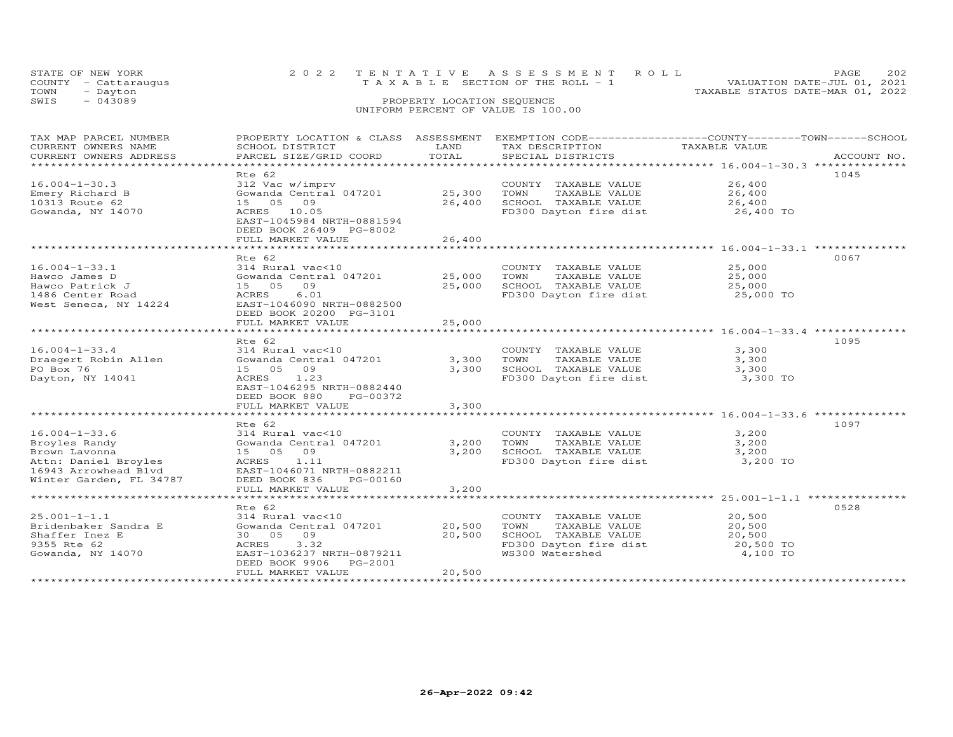|      | STATE OF NEW YORK    | 2022 TENTATIVE ASSESSMENT ROLL                                 | PAGE | 202 |
|------|----------------------|----------------------------------------------------------------|------|-----|
|      | COUNTY - Cattaraugus | VALUATION DATE-JUL 01, 2021<br>TAXABLE SECTION OF THE ROLL - 1 |      |     |
| TOWN | - Dayton             | TAXABLE STATUS DATE-MAR 01, 2022                               |      |     |
| SWIS | $-043089$            | PROPERTY LOCATION SEQUENCE                                     |      |     |
|      |                      | UNIFORM PERCENT OF VALUE IS 100.00                             |      |     |
|      |                      |                                                                |      |     |

| TAX MAP PARCEL NUMBER<br>CURRENT OWNERS NAME<br>CURRENT OWNERS ADDRESS | PROPERTY LOCATION & CLASS ASSESSMENT<br>SCHOOL DISTRICT<br>PARCEL SIZE/GRID COORD | LAND<br>TOTAL    | EXEMPTION CODE-----------------COUNTY-------TOWN------SCHOOL<br>TAX DESCRIPTION<br>SPECIAL DISTRICTS | TAXABLE VALUE                                                 | ACCOUNT NO. |
|------------------------------------------------------------------------|-----------------------------------------------------------------------------------|------------------|------------------------------------------------------------------------------------------------------|---------------------------------------------------------------|-------------|
|                                                                        |                                                                                   |                  |                                                                                                      |                                                               |             |
|                                                                        | Rte 62                                                                            |                  |                                                                                                      |                                                               | 1045        |
| $16.004 - 1 - 30.3$<br>Emery Richard B<br>10313 Route 62               | 312 Vac w/imprv<br>Gowanda Central 047201<br>15 05 09                             | 25,300<br>26,400 | COUNTY TAXABLE VALUE<br>TAXABLE VALUE<br>TOWN<br>SCHOOL TAXABLE VALUE                                | 26,400<br>26,400<br>26,400                                    |             |
| Gowanda, NY 14070                                                      | ACRES 10.05<br>EAST-1045984 NRTH-0881594<br>DEED BOOK 26409 PG-8002               |                  | FD300 Dayton fire dist                                                                               | 26,400 TO                                                     |             |
|                                                                        | FULL MARKET VALUE<br>****************************                                 | 26,400           |                                                                                                      | ****************************** 16.004-1-33.1 **************** |             |
|                                                                        | Rte 62                                                                            |                  |                                                                                                      |                                                               | 0067        |
| $16.004 - 1 - 33.1$                                                    | 314 Rural vac<10                                                                  |                  | COUNTY TAXABLE VALUE                                                                                 | 25,000                                                        |             |
| Hawco James D                                                          | Gowanda Central 047201                                                            | 25,000           | TOWN<br>TAXABLE VALUE                                                                                | 25,000                                                        |             |
| Hawco Patrick J                                                        | 15 05<br>09                                                                       | 25,000           | SCHOOL TAXABLE VALUE                                                                                 | 25,000                                                        |             |
| 1486 Center Road                                                       | ACRES<br>6.01                                                                     |                  | FD300 Dayton fire dist                                                                               | 25,000 TO                                                     |             |
| West Seneca, NY 14224                                                  | EAST-1046090 NRTH-0882500<br>DEED BOOK 20200 PG-3101                              |                  |                                                                                                      |                                                               |             |
|                                                                        | FULL MARKET VALUE                                                                 | 25,000           |                                                                                                      |                                                               |             |
|                                                                        | *******************                                                               | ***********      |                                                                                                      |                                                               |             |
|                                                                        | Rte 62                                                                            |                  |                                                                                                      |                                                               | 1095        |
| $16.004 - 1 - 33.4$                                                    | 314 Rural vac<10                                                                  |                  | COUNTY TAXABLE VALUE                                                                                 | 3,300                                                         |             |
| Draegert Robin Allen<br>PO Box 76                                      | Gowanda Central 047201<br>15 05<br>09                                             | 3,300<br>3,300   | TOWN<br>TAXABLE VALUE<br>SCHOOL TAXABLE VALUE                                                        | 3,300<br>3,300                                                |             |
| Dayton, NY 14041                                                       | 1.23<br>ACRES                                                                     |                  | FD300 Dayton fire dist                                                                               | 3,300 TO                                                      |             |
|                                                                        | EAST-1046295 NRTH-0882440                                                         |                  |                                                                                                      |                                                               |             |
|                                                                        | DEED BOOK 880<br>PG-00372                                                         |                  |                                                                                                      |                                                               |             |
|                                                                        | FULL MARKET VALUE                                                                 | 3,300            |                                                                                                      |                                                               |             |
|                                                                        |                                                                                   |                  |                                                                                                      |                                                               |             |
|                                                                        | Rte 62                                                                            |                  |                                                                                                      |                                                               | 1097        |
| $16.004 - 1 - 33.6$                                                    | 314 Rural vac<10                                                                  |                  | COUNTY TAXABLE VALUE                                                                                 | 3,200                                                         |             |
| Broyles Randy                                                          | Gowanda Central 047201                                                            | 3,200            | TOWN<br>TAXABLE VALUE                                                                                | 3,200                                                         |             |
| Brown Lavonna                                                          | 15 05 09                                                                          | 3,200            | SCHOOL TAXABLE VALUE                                                                                 | 3,200                                                         |             |
| Attn: Daniel Broyles                                                   | ACRES<br>1.11                                                                     |                  | FD300 Dayton fire dist                                                                               | 3,200 TO                                                      |             |
| 16943 Arrowhead Blvd                                                   | EAST-1046071 NRTH-0882211                                                         |                  |                                                                                                      |                                                               |             |
| Winter Garden, FL 34787                                                | DEED BOOK 836<br>PG-00160                                                         |                  |                                                                                                      |                                                               |             |
|                                                                        | FULL MARKET VALUE                                                                 | 3,200            |                                                                                                      |                                                               |             |
|                                                                        | Rte 62                                                                            |                  |                                                                                                      |                                                               | 0528        |
| $25.001 - 1 - 1.1$                                                     | 314 Rural vac<10                                                                  |                  | COUNTY TAXABLE VALUE                                                                                 | 20,500                                                        |             |
| Bridenbaker Sandra E                                                   | Gowanda Central 047201                                                            | 20,500           | TAXABLE VALUE<br>TOWN                                                                                | 20,500                                                        |             |
| Shaffer Inez E                                                         | 30 05 09                                                                          | 20,500           | SCHOOL TAXABLE VALUE                                                                                 | 20,500                                                        |             |
| 9355 Rte 62                                                            | 3.32<br>ACRES                                                                     |                  | FD300 Dayton fire dist                                                                               | 20,500 TO                                                     |             |
| Gowanda, NY 14070                                                      | EAST-1036237 NRTH-0879211                                                         |                  | WS300 Watershed                                                                                      | 4,100 TO                                                      |             |
|                                                                        | DEED BOOK 9906<br>PG-2001                                                         |                  |                                                                                                      |                                                               |             |
|                                                                        | FULL MARKET VALUE                                                                 | 20,500           |                                                                                                      |                                                               |             |
|                                                                        |                                                                                   |                  |                                                                                                      |                                                               |             |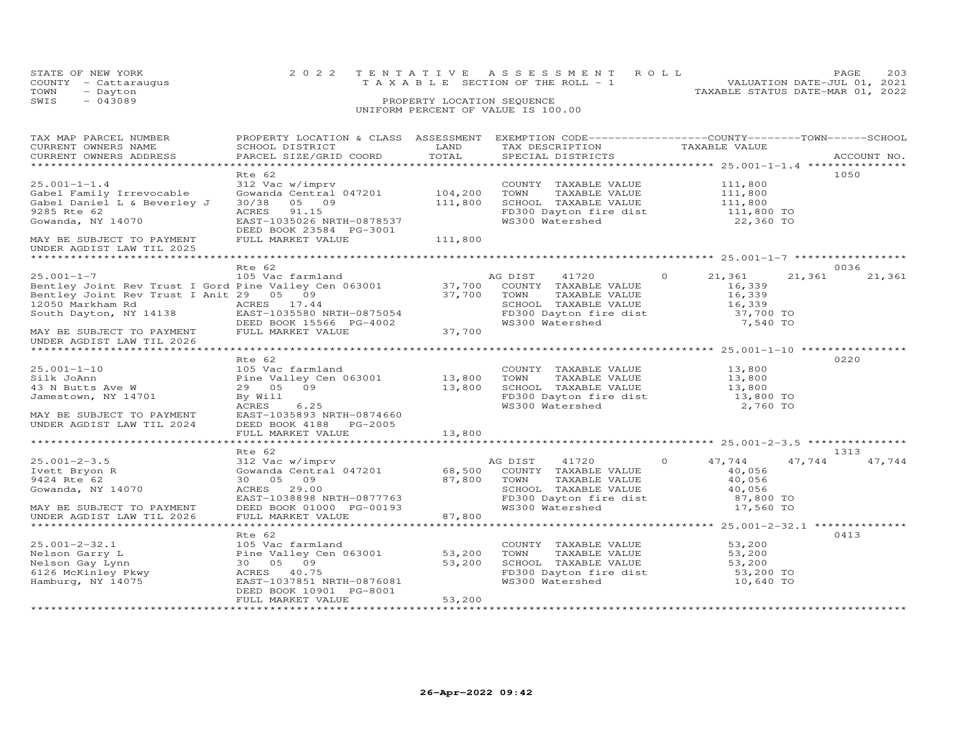| STATE OF NEW YORK    | 2022 TENTATIVE ASSESSMENT ROLL                                 | PAGE | 203 |
|----------------------|----------------------------------------------------------------|------|-----|
| COUNTY - Cattaraugus | VALUATION DATE-JUL 01, 2021<br>TAXABLE SECTION OF THE ROLL - 1 |      |     |
| TOWN<br>- Dayton     | TAXABLE STATUS DATE-MAR 01, 2022                               |      |     |
| SWIS<br>$-043089$    | PROPERTY LOCATION SEQUENCE                                     |      |     |
|                      | UNIFORM PERCENT OF VALUE IS 100.00                             |      |     |

| TAX MAP PARCEL NUMBER<br>CURRENT OWNERS NAME<br>CURRENT OWNERS ADDRESS                                                                                                                                      | PROPERTY LOCATION & CLASS ASSESSMENT<br>SCHOOL DISTRICT<br>PARCEL SIZE/GRID COORD                                                                  | LAND<br>TOTAL              |                 | EXEMPTION CODE-----------------COUNTY-------TOWN------SCHOOL<br>TAX DESCRIPTION TAXABLE VALUE<br>SPECIAL DISTRICTS<br>SPECIAL DISTRICTS                                                   |          |                                                               |        | ACCOUNT NO. |
|-------------------------------------------------------------------------------------------------------------------------------------------------------------------------------------------------------------|----------------------------------------------------------------------------------------------------------------------------------------------------|----------------------------|-----------------|-------------------------------------------------------------------------------------------------------------------------------------------------------------------------------------------|----------|---------------------------------------------------------------|--------|-------------|
|                                                                                                                                                                                                             | Rte 62                                                                                                                                             |                            |                 |                                                                                                                                                                                           |          |                                                               |        | 1050        |
| $25.001 - 1 - 1.4$<br>Gabel Family Irrevocable<br>Gabel Daniel L & Beverley J<br>9285 Rte 62<br>Gowanda, NY 14070                                                                                           | 312 Vac w/imprv<br>Gowanda Central 047201<br>30/38 05 09<br>ACRES 91.15<br>EAST-1035026 NRTH-0878537                                               | 104,200<br>111,800         |                 | COUNTY TAXABLE VALUE 111,800<br>TOWN TAXABLE VALUE<br>SCHOOL TAXABLE VALUE 111,800 TO<br>All,800 TO 111,800 TO 111,800 TO<br>FD300 Dayton fire dist<br>WS300 Watershed<br>WS300 Watershed |          | 22,360 TO                                                     |        |             |
| MAY BE SUBJECT TO PAYMENT<br>UNDER AGDIST LAW TIL 2025                                                                                                                                                      | DEED BOOK 23584 PG-3001<br>FULL MARKET VALUE                                                                                                       | 111,800                    |                 |                                                                                                                                                                                           |          |                                                               |        |             |
|                                                                                                                                                                                                             | Rte 62                                                                                                                                             |                            |                 |                                                                                                                                                                                           |          |                                                               |        | 0036        |
| $25.001 - 1 - 7$<br>EXECUTION ACRES 17.44<br>South Dayton, NY 14138 EAST-1035580 NRTH-0875054<br>DEED BOOK 15566 PG-4002<br>MAY BE SURJECT TO PAYMENT FULL MARKET VALUE 37,700<br>UNDER AGDIST LAW TIL 2026 | 105 Vac farmland                                                                                                                                   |                            | AG DIST 41720   | SCHOOL TAXABLE VALUE<br>FD300 Dayton fire dist<br>WS300 Watershed                                                                                                                         | $\Omega$ | 21,361<br>16,339<br>16,339<br>16,339<br>37,700 TO<br>7,540 TO | 21,361 | 21,361      |
|                                                                                                                                                                                                             |                                                                                                                                                    |                            |                 |                                                                                                                                                                                           |          |                                                               |        |             |
| $25.001 - 1 - 10$<br>Silk JoAnn<br>43 N Butts Ave W<br>Jamestown, NY 14701<br>MAY BE SUBJECT TO PAYMENT EAST-1035893 NRTH-0874660<br>UNDER AGDIST LAW TIL 2024 DEED BOOK 4188 PG-2005                       | Rte 62<br>105 Vac farmland<br>Pine Valley Cen 063001 13,800<br>$\frac{13}{13}$ , 800<br>29 05 09<br>By Will<br>6.25<br>ACRES                       |                            |                 | COUNTY TAXABLE VALUE<br>TOWN      TAXABLE VALUE<br>SCHOOL TAXABLE VALUE 13,800<br>FD300 Dayton fire dist 13,800 TO<br>WS300 Watershed                                                     |          | 13,800<br>13,800<br>2,760 TO                                  |        | 0220        |
|                                                                                                                                                                                                             | FULL MARKET VALUE                                                                                                                                  | 13,800                     |                 |                                                                                                                                                                                           |          |                                                               |        |             |
|                                                                                                                                                                                                             | Rte 62                                                                                                                                             |                            |                 |                                                                                                                                                                                           |          |                                                               |        | 1313        |
| $25.001 - 2 - 3.5$<br>Ivett Bryon R<br>9424 Rte 62<br>Gowanda, NY 14070<br>MAY BE SUBJECT TO PAYMENT<br>UNDER AGDIST LAW TIL 2026                                                                           | 312 Vac w/imprv<br>Gowanda Central 047201<br>30 05 09<br>ACRES 29.00<br>EAST-1038898 NRTH-0877763<br>DEED BOOK 01000 PG-00193<br>FULL MARKET VALUE | 68,500<br>87,800<br>87,800 | AG DIST<br>TOWN | 41720<br>COUNTY TAXABLE VALUE<br>TAXABLE VALUE<br>SCHOOL TAXABLE VALUE 40,056<br>FD300 Dayton fire dist 87,800 TO<br>WS300 Watershed 17,560 TO                                            | $\Omega$ | 47,744<br>40,056<br>40,056                                    | 47,744 | 47,744      |
|                                                                                                                                                                                                             | Rte 62                                                                                                                                             |                            |                 |                                                                                                                                                                                           |          |                                                               |        | 0413        |
| $25.001 - 2 - 32.1$<br>Nelson Garry L<br>Nelson Gay Lynn<br>6126 McKinley Pkwy<br>Hamburg, NY 14075<br>Hamburg, NY 14075<br>Famburg, NY 14075<br>Pass T-1037851 N                                           | 105 Vac farmland<br>Pine Valley Cen 063001 53,200<br>EAST-1037851 NRTH-0876081<br>DEED BOOK 10901 PG-8001<br>FULL MARKET VALUE                     | 53,200<br>53,200           | TOWN            | COUNTY TAXABLE VALUE 53,200<br>TAXABLE VALUE<br>SCHOOL TAXABLE VALUE 53,200<br>FD300 Dayton fire dist 53,200 TO<br>WS300 Watershed                                                        |          | 53,200<br>10,640 TO                                           |        |             |
|                                                                                                                                                                                                             |                                                                                                                                                    |                            |                 |                                                                                                                                                                                           |          |                                                               |        |             |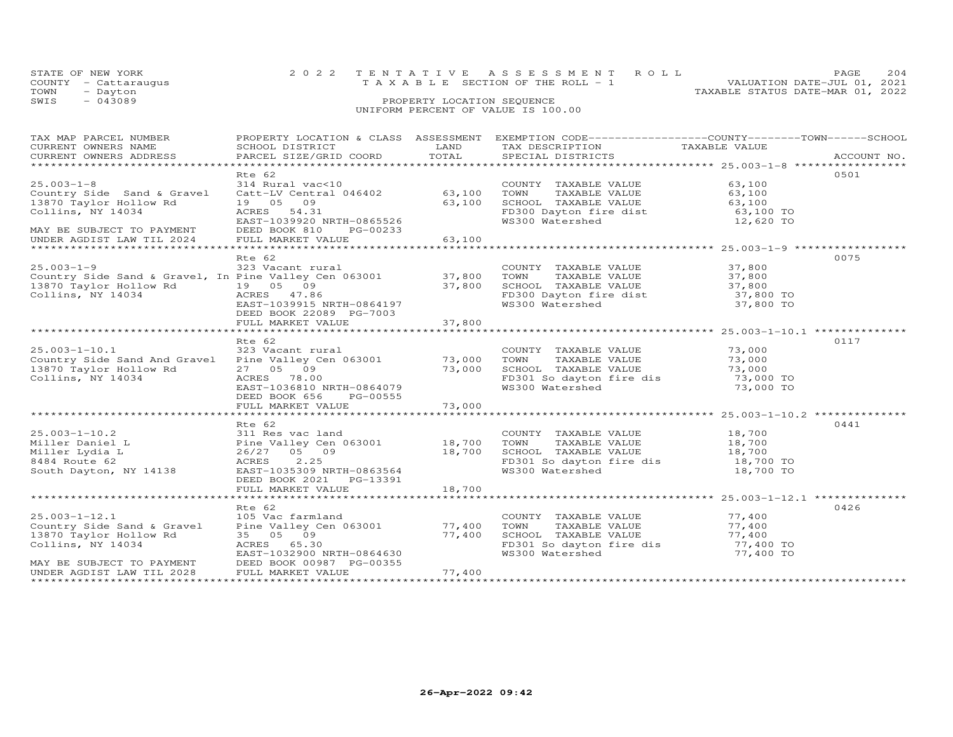| STATE OF NEW YORK    | 2022 TENTATIVE ASSESSMENT ROLL        |  |                                  | PAGE.                       | 204 |
|----------------------|---------------------------------------|--|----------------------------------|-----------------------------|-----|
| COUNTY - Cattaraugus | T A X A B L E SECTION OF THE ROLL - 1 |  |                                  | VALUATION DATE-JUL 01, 2021 |     |
| TOWN<br>- Dayton     |                                       |  | TAXABLE STATUS DATE-MAR 01, 2022 |                             |     |
| SWIS<br>$-043089$    | PROPERTY LOCATION SEQUENCE            |  |                                  |                             |     |
|                      | UNIFORM PERCENT OF VALUE IS 100.00    |  |                                  |                             |     |

| TAX MAP PARCEL NUMBER                                                                                                                                                                                                                                               | PROPERTY LOCATION & CLASS ASSESSMENT EXEMPTION CODE----------------COUNTY-------TOWN-----SCHOOL                                                                                                          |        |                                                                                                                                                                          |           |      |
|---------------------------------------------------------------------------------------------------------------------------------------------------------------------------------------------------------------------------------------------------------------------|----------------------------------------------------------------------------------------------------------------------------------------------------------------------------------------------------------|--------|--------------------------------------------------------------------------------------------------------------------------------------------------------------------------|-----------|------|
| $25.003 - 1 - 8$<br>Country Side Sand & Gravel<br>13870 Taylor Hollow Rd<br>Collins, NY 14034<br>MAY BE SUBJECT TO PAYMENT                                                                                                                                          | Rte 62<br>314 Rural vac<10 COUNTY<br>Catt-LV Central 046402 63,100 TOWN<br>19 05 09<br>ACRES 54.31<br>EAST-1039920 NRTH-0865526<br>DEED BOOK 810 PG-00233                                                | 63,100 | COUNTY TAXABLE VALUE 63,100<br>TOWN TAXABLE VALUE<br>SCHOOL TAXABLE VALUE<br>SCHOOL TAXABLE VALUE<br>FD300 Dayton fire dist<br>WS300 Watershed<br>12,620 TO<br>12,620 TO |           | 0501 |
| Rive 62<br>25.003-1-9<br>23 Vacant rural<br>Country Side Sand & Gravel, In Pine Valley Cen 063001<br>23 Vacant rural<br>23 Vacant rural<br>27,800<br>37,800<br>27,800<br>27,800<br>27,800<br>27,800<br>27,800<br>27,800<br>27,800<br>27,800<br>27,800<br>27,800<br> | DEED BOOK 22089 PG-7003                                                                                                                                                                                  |        |                                                                                                                                                                          |           | 0075 |
| 25.003-1-10.1<br>Country Side Sand And Gravel Bine Valley Cen 063001 73,000 TOWN TAXABLE VALUE 73,000<br>13870 Taylor Hollow Rd 27 05 09 73,000 7000 SCHOOL TAXABLE VALUE 73,000<br>Collins, NY 14034 ACRES 78.00<br>EAST-1036810 NRTH                              | Rte 62<br>DEED BOOK 656 PG-00555<br>FULL MARKET VALUE                                                                                                                                                    | 73,000 | COUNTY TAXABLE VALUE 73,000<br>TOWN TAXABLE VALUE 73,000                                                                                                                 |           | 0117 |
|                                                                                                                                                                                                                                                                     |                                                                                                                                                                                                          |        |                                                                                                                                                                          |           |      |
| South Dayton, NY 14138                                                                                                                                                                                                                                              | Rte 62<br>EAST-1035309 NRTH-0863564<br>DEED BOOK 2021    PG-13391                                                                                                                                        |        | COUNTY TAXABLE VALUE 18,700<br>18,700 TOWN TAXABLE VALUE 18,700<br>18,700 SCHOOL TAXABLE VALUE 18,700<br>TD301 So dayton fire dis 18,700 TO<br>WS300 Watershed 18,700 TO |           | 0441 |
|                                                                                                                                                                                                                                                                     |                                                                                                                                                                                                          |        |                                                                                                                                                                          |           |      |
| $25.003 - 1 - 12.1$<br>Country Side Sand & Gravel<br>13870 Taylor Hollow Rd<br>Collins, NY 14034<br>MAY BE SUBJECT TO PAYMENT<br>UNDER AGDIST LAW TIL 2028                                                                                                          | Rte 62<br>105 Vac farmland<br>Pine Valley Cen 063001 77,400<br>35 05 09 77,400<br>ACRES 65.30<br>EAST-1032900 NRTH-0864630<br>EAST-1032900 NRTH-0864630<br>DEED BOOK 00987 PG-00355<br>FULL MARKET VALUE | 77,400 | COUNTY TAXABLE VALUE 77,400<br>TOWN TAXABLE VALUE<br>SCHOOL TAXABLE VALUE 77,400<br>FD301 So dayton fire dis 77,400 TO<br>SCHOOL TAXABLE VALUE<br>WS300 Watershed        | 77,400 TO | 0426 |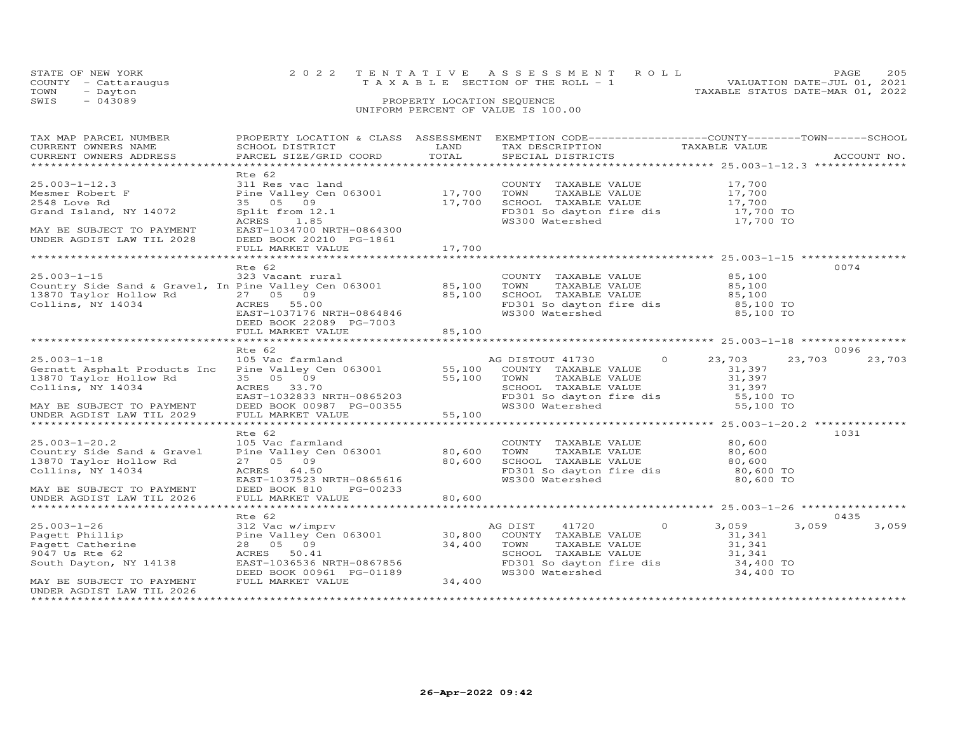| STATE OF NEW YORK    | 2022 TENTATIVE ASSESSMENT ROLL     | 205<br>PAGE.                     |
|----------------------|------------------------------------|----------------------------------|
| COUNTY - Cattaraugus | TAXABLE SECTION OF THE ROLL - 1    | VALUATION DATE-JUL 01, 2021      |
| TOWN<br>- Dayton     |                                    | TAXABLE STATUS DATE-MAR 01, 2022 |
| SWIS<br>$-043089$    | PROPERTY LOCATION SEQUENCE         |                                  |
|                      | UNIFORM PERCENT OF VALUE IS 100.00 |                                  |

| TAX MAP PARCEL NUMBER<br>CURRENT OWNERS NAME<br>CURRENT OWNERS ADDRESS                                                                                                                                 | SCHOOL DISTRICT<br>PARCEL SIZE/GRID COORD                                                                                                       | LAND<br>TOTAL              | PROPERTY LOCATION & CLASS ASSESSMENT EXEMPTION CODE----------------COUNTY-------TOWN-----SCHOOL<br>TAX DESCRIPTION TAXABLE VALUE<br>SPECIAL DISTRICTS TAXABLE VALUE                                             |                                      | ACCOUNT NO. |
|--------------------------------------------------------------------------------------------------------------------------------------------------------------------------------------------------------|-------------------------------------------------------------------------------------------------------------------------------------------------|----------------------------|-----------------------------------------------------------------------------------------------------------------------------------------------------------------------------------------------------------------|--------------------------------------|-------------|
|                                                                                                                                                                                                        |                                                                                                                                                 |                            |                                                                                                                                                                                                                 |                                      |             |
| $25.003 - 1 - 12.3$<br>Mesmer Robert F<br>2548 Love Rd<br>Grand Island, NY 14072<br>MAY BE SUBJECT TO PAYMENT                                                                                          | Rte 62<br>311 Res vac land<br>Pine Valley Cen 063001 17,700<br>35 05 09 17,700<br>Split from 12.1<br>1.85<br>ACRES<br>EAST-1034700 NRTH-0864300 |                            | COUNTY TAXABLE VALUE 17,700<br>TOWN      TAXABLE VALUE<br>SCHOOL   TAXABLE VALUE<br>TOWN TAXABLE VALUE 17,700<br>SCHOOL TAXABLE VALUE 17,700<br>FD301 So dayton fire dis 17,700 TO<br>WS300 Watershed 17,700 TO |                                      |             |
| UNDER AGDIST LAW TIL 2028                                                                                                                                                                              | DEED BOOK 20210 PG-1861<br>FULL MARKET VALUE                                                                                                    | 17,700                     |                                                                                                                                                                                                                 |                                      |             |
|                                                                                                                                                                                                        |                                                                                                                                                 |                            |                                                                                                                                                                                                                 |                                      |             |
| $25.003 - 1 - 15$<br>Country Side Sand & Gravel, In Pine Valley Cen 063001 85,100<br>13870 Taylor Hollow Rd<br>Collins, NY 14034<br>Collins, NY 14034                                                  | Rte 62<br>323 Vacant rural<br>27 05 09<br>ACRES 55.00<br>EAST-1037176 NRTH-0864846<br>DEED BOOK 22089 PG-7003                                   | 85,100                     | COUNTY TAXABLE VALUE<br>TOWN     TAXABLE VALUE<br>CHOOL TAXABLE VALUE<br>FD301 So dayton fire dis<br>WS300 Watershed 85,100 TO<br>WS300 Watershed 85,100 TO                                                     | 85,100<br>85,100                     | 0074        |
|                                                                                                                                                                                                        | FULL MARKET VALUE                                                                                                                               | 85,100                     |                                                                                                                                                                                                                 |                                      |             |
|                                                                                                                                                                                                        | Rte 62                                                                                                                                          |                            |                                                                                                                                                                                                                 |                                      | 0096        |
| 25.003-1-18 105 Vac farmland AC<br>Gernatt Asphalt Products Inc Pine Valley Cen 063001 55,100<br>13870 Taylor Hollow Rd<br>Collins, NY 14034<br>MAY BE SUBJECT TO PAYMENT<br>UNDER AGDIST LAW TIL 2029 | 35 05 09<br>ACRES 33.70<br>EAST-1032833 NRTH-0865203<br>DEED BOOK 00987 PG-00355<br>FULL MARKET VALUE 55,100                                    | 55,100                     | AG DISTOUT 41730 0<br>COUNTY TAXABLE VALUE<br>TOWN TAXABLE VALUE                                                                                                                                                | 23,703<br>23,703<br>31,397<br>31,397 | 23,703      |
|                                                                                                                                                                                                        | Rte 62                                                                                                                                          |                            |                                                                                                                                                                                                                 |                                      | 1031        |
| $25.003 - 1 - 20.2$<br>Country Side Sand & Gravel<br>13870 Taylor Hollow Rd<br>Collins, NY 14034                                                                                                       | 105 Vac farmland<br>Pine Valley Cen 063001 80,600<br>27 05 09<br>ACRES 64.50<br>EAST-1037523 NRTH-0865616                                       | 80,600                     | COUNTY TAXABLE VALUE<br>TOWN TAXABLE VALUE<br>SCHOOL TAXABLE VALUE<br>PD301 So dayton fire dis<br>WS300 Watershed 80,600 TO                                                                                     | 80,600<br>80,600<br>80,600           |             |
| MAY BE SUBJECT TO PAYMENT<br>UNDER AGDIST LAW TIL 2026                                                                                                                                                 | DEED BOOK 810<br>PG-00233<br>FULL MARKET VALUE                                                                                                  | 80,600                     |                                                                                                                                                                                                                 |                                      |             |
|                                                                                                                                                                                                        | Rte 62                                                                                                                                          |                            |                                                                                                                                                                                                                 |                                      | 0435        |
| $25.003 - 1 - 26$<br>23.000-1-20<br>Pagett Phillip<br>Pagett Catherine<br>9047 Us Rte 62<br>South Dayton, NY 14138                                                                                     | 312 Vac w/imprv<br>Pine Valley Cen 063001 30,800<br>28  05  09<br>ACRES 50.41<br>EAST-1036536 NRTH-0867856<br>DEED BOOK 00961 PG-01189          | 34,400<br>$01189$ $34,400$ | AG DIST 41720<br>$\sim$ 0 $\sim$ 0 $\sim$<br>COUNTY TAXABLE VALUE<br>TOWN<br>TOWN TAXABLE VALUE<br>SCHOOL TAXABLE VALUE 31,341<br>FD301 So dayton fire dis 34,400 TO<br>WS300 Watershed 34,400 TO               | 3,059<br>3,059<br>31,341             | 3,059       |
| MAY BE SUBJECT TO PAYMENT<br>UNDER AGDIST LAW TIL 2026                                                                                                                                                 | FULL MARKET VALUE                                                                                                                               |                            |                                                                                                                                                                                                                 |                                      |             |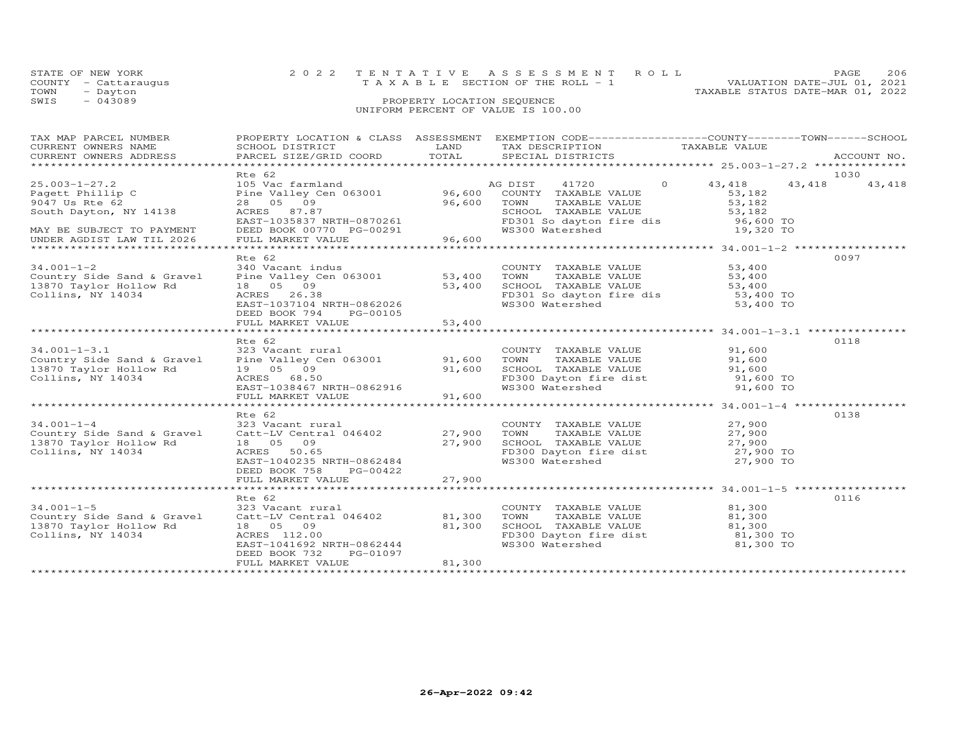| STATE OF NEW YORK    |          | 2022 TENTATIVE ASSESSMENT ROLL     |                                       |  |                                  | PAGE. | - 206 |
|----------------------|----------|------------------------------------|---------------------------------------|--|----------------------------------|-------|-------|
|                      |          |                                    |                                       |  |                                  |       |       |
| COUNTY - Cattarauqus |          |                                    | T A X A B L E SECTION OF THE ROLL - 1 |  | VALUATION DATE-JUL 01, 2021      |       |       |
| TOWN                 | - Dayton |                                    |                                       |  | TAXABLE STATUS DATE-MAR 01, 2022 |       |       |
| SWIS                 | - 043089 | PROPERTY LOCATION SEQUENCE         |                                       |  |                                  |       |       |
|                      |          | UNIFORM PERCENT OF VALUE IS 100.00 |                                       |  |                                  |       |       |

| TAX MAP PARCEL NUMBER                                                                              | PROPERTY LOCATION & CLASS ASSESSMENT EXEMPTION CODE----------------COUNTY-------TOWN------SCHOOL                                                                                                                                                   |        |                 |                                                       |                                                                                                     |         |             |
|----------------------------------------------------------------------------------------------------|----------------------------------------------------------------------------------------------------------------------------------------------------------------------------------------------------------------------------------------------------|--------|-----------------|-------------------------------------------------------|-----------------------------------------------------------------------------------------------------|---------|-------------|
| CURRENT OWNERS NAME                                                                                | SCHOOL DISTRICT                                                                                                                                                                                                                                    | LAND   |                 |                                                       | TAX DESCRIPTION TAXABLE VALUE                                                                       |         |             |
| CURRENT OWNERS ADDRESS                                                                             | PARCEL SIZE/GRID COORD TOTAL                                                                                                                                                                                                                       |        |                 | SPECIAL DISTRICTS                                     |                                                                                                     |         | ACCOUNT NO. |
|                                                                                                    |                                                                                                                                                                                                                                                    |        |                 |                                                       |                                                                                                     |         |             |
|                                                                                                    | Rte 62                                                                                                                                                                                                                                             |        |                 |                                                       |                                                                                                     |         | 1030        |
| 25.003-1-27.2                                                                                      | 105 Vac farmland                                                                                                                                                                                                                                   |        | AG DIST 41720   |                                                       | $0 \t 43,418$                                                                                       | 43, 418 | 43,418      |
| Pagett Phillip C<br>9047 Us Rte 62                                                                 | Pine Valley Cen 063001<br>Pine Valley Cen 063001<br>28 05 09<br>ACRES 87.87<br>EAST-1035837 NRTH-0870261<br>DEED BOOK 00770 PG-00291<br>PULL MARKET VALUE<br>FULL MARKET VALUE<br>PED BOOK 00770 PG-00291<br>PED BOOK 00770 PG-00291<br>PED BOOK 0 |        |                 |                                                       |                                                                                                     |         |             |
| 9047 Us Rte 62                                                                                     |                                                                                                                                                                                                                                                    |        |                 |                                                       |                                                                                                     |         |             |
| South Dayton, NY 14138                                                                             |                                                                                                                                                                                                                                                    |        |                 |                                                       |                                                                                                     |         |             |
|                                                                                                    |                                                                                                                                                                                                                                                    |        |                 |                                                       |                                                                                                     |         |             |
| MAY BE SUBJECT TO PAYMENT                                                                          |                                                                                                                                                                                                                                                    |        |                 |                                                       |                                                                                                     |         |             |
| UNDER AGDIST LAW TIL 2026                                                                          |                                                                                                                                                                                                                                                    |        |                 |                                                       |                                                                                                     |         |             |
|                                                                                                    |                                                                                                                                                                                                                                                    |        |                 |                                                       |                                                                                                     |         |             |
|                                                                                                    | Rte 62                                                                                                                                                                                                                                             |        |                 |                                                       |                                                                                                     |         | 0097        |
| $34.001 - 1 - 2$                                                                                   | 340 Vacant indus                                                                                                                                                                                                                                   |        |                 | COUNTY TAXABLE VALUE                                  | 53,400                                                                                              |         |             |
| Country Side Sand & Gravel                                                                         | Pine Valley Cen 063001 53,400                                                                                                                                                                                                                      |        | TOWN            |                                                       | TOWN TAXABLE VALUE 53,400<br>SCHOOL TAXABLE VALUE 53,400                                            |         |             |
| 13870 Taylor Hollow Rd                                                                             | 18  05  09                                                                                                                                                                                                                                         | 53,400 |                 |                                                       |                                                                                                     |         |             |
| Collins, NY 14034                                                                                  | ACRES 26.38                                                                                                                                                                                                                                        |        |                 |                                                       | FD301 So dayton fire dis 53,400 TO                                                                  |         |             |
|                                                                                                    | EAST-1037104 NRTH-0862026                                                                                                                                                                                                                          |        | WS300 Watershed |                                                       | 53,400 TO                                                                                           |         |             |
|                                                                                                    | DEED BOOK 794 PG-00105                                                                                                                                                                                                                             |        |                 |                                                       |                                                                                                     |         |             |
|                                                                                                    |                                                                                                                                                                                                                                                    |        |                 |                                                       |                                                                                                     |         |             |
|                                                                                                    |                                                                                                                                                                                                                                                    |        |                 |                                                       |                                                                                                     |         |             |
|                                                                                                    | Rte 62                                                                                                                                                                                                                                             |        |                 |                                                       |                                                                                                     |         | 0118        |
| $34.001 - 1 - 3.1$                                                                                 | 323 Vacant rural                                                                                                                                                                                                                                   |        |                 | COUNTY TAXABLE VALUE                                  | 91,600                                                                                              |         |             |
| Country Side Sand & Gravel Pine Valley Cen 063001 91,600<br>13870 Taylor Hollow Rd 19 05 09 91.600 |                                                                                                                                                                                                                                                    |        | TOWN            | TOWN       TAXABLE  VALUE<br>SCHOOL    TAXABLE  VALUE | 91,600<br>91,600                                                                                    |         |             |
| 13870 Taylor Hollow Rd                                                                             |                                                                                                                                                                                                                                                    | 91,600 |                 |                                                       |                                                                                                     |         |             |
| Collins, NY 14034                                                                                  | ACRES 68.50                                                                                                                                                                                                                                        |        |                 |                                                       | FD300 Dayton fire dist<br>WS300 Watershed 91,600 TO                                                 |         |             |
|                                                                                                    |                                                                                                                                                                                                                                                    |        |                 |                                                       |                                                                                                     |         |             |
|                                                                                                    | ACRES 68.50<br>EAST-1038467 NRTH-0862916<br>FULL MARKET VALUE 91,600                                                                                                                                                                               |        |                 |                                                       |                                                                                                     |         |             |
|                                                                                                    |                                                                                                                                                                                                                                                    |        |                 |                                                       |                                                                                                     |         |             |
|                                                                                                    | Rte 62                                                                                                                                                                                                                                             |        |                 |                                                       |                                                                                                     |         | 0138        |
| $34.001 - 1 - 4$                                                                                   | 323 Vacant rural                                                                                                                                                                                                                                   |        |                 |                                                       |                                                                                                     |         |             |
|                                                                                                    |                                                                                                                                                                                                                                                    |        |                 |                                                       | COUNTY TAXABLE VALUE $27,900$<br>TOWN TAXABLE VALUE 27,900                                          |         |             |
| 13870 Taylor Hollow Rd                                                                             | 18  05  09                                                                                                                                                                                                                                         |        |                 |                                                       |                                                                                                     |         |             |
| Collins, NY 14034                                                                                  | ACRES 50.65                                                                                                                                                                                                                                        |        |                 |                                                       | 27,900 SCHOOL TAXABLE VALUE 27,900<br>FD300 Dayton fire dist 27,900 TO<br>WS300 Watershed 27,900 TO |         |             |
|                                                                                                    | EAST-1040235 NRTH-0862484                                                                                                                                                                                                                          |        |                 |                                                       |                                                                                                     |         |             |
|                                                                                                    | DEED BOOK 758 PG-00422                                                                                                                                                                                                                             |        |                 |                                                       |                                                                                                     |         |             |
|                                                                                                    | FULL MARKET VALUE                                                                                                                                                                                                                                  | 27,900 |                 |                                                       |                                                                                                     |         |             |
|                                                                                                    |                                                                                                                                                                                                                                                    |        |                 |                                                       |                                                                                                     |         |             |
|                                                                                                    | Rte 62                                                                                                                                                                                                                                             |        |                 |                                                       |                                                                                                     |         | 0116        |
|                                                                                                    |                                                                                                                                                                                                                                                    |        |                 |                                                       | 81,300                                                                                              |         |             |
| $34.001-1-5$ 323 Vacant rural<br>Country Side Sand & Gravel Catt-LV Central 046402 81,300          |                                                                                                                                                                                                                                                    |        | TOWN            |                                                       | COUNTY TAXABLE VALUE 81,300<br>TOWN TAXABLE VALUE 81,300                                            |         |             |
| 13870 Taylor Hollow Rd                                                                             | 18  05  09                                                                                                                                                                                                                                         | 81,300 |                 |                                                       |                                                                                                     |         |             |
| Collins, NY 14034                                                                                  | ACRES 112.00                                                                                                                                                                                                                                       |        |                 |                                                       |                                                                                                     |         |             |
|                                                                                                    | EAST-1041692 NRTH-0862444                                                                                                                                                                                                                          |        |                 | WS300 Watershed                                       | 81,300 TO                                                                                           |         |             |
|                                                                                                    | PG-01097<br>DEED BOOK 732                                                                                                                                                                                                                          |        |                 |                                                       |                                                                                                     |         |             |
|                                                                                                    | FULL MARKET VALUE                                                                                                                                                                                                                                  | 81,300 |                 |                                                       |                                                                                                     |         |             |
|                                                                                                    |                                                                                                                                                                                                                                                    |        |                 |                                                       |                                                                                                     |         |             |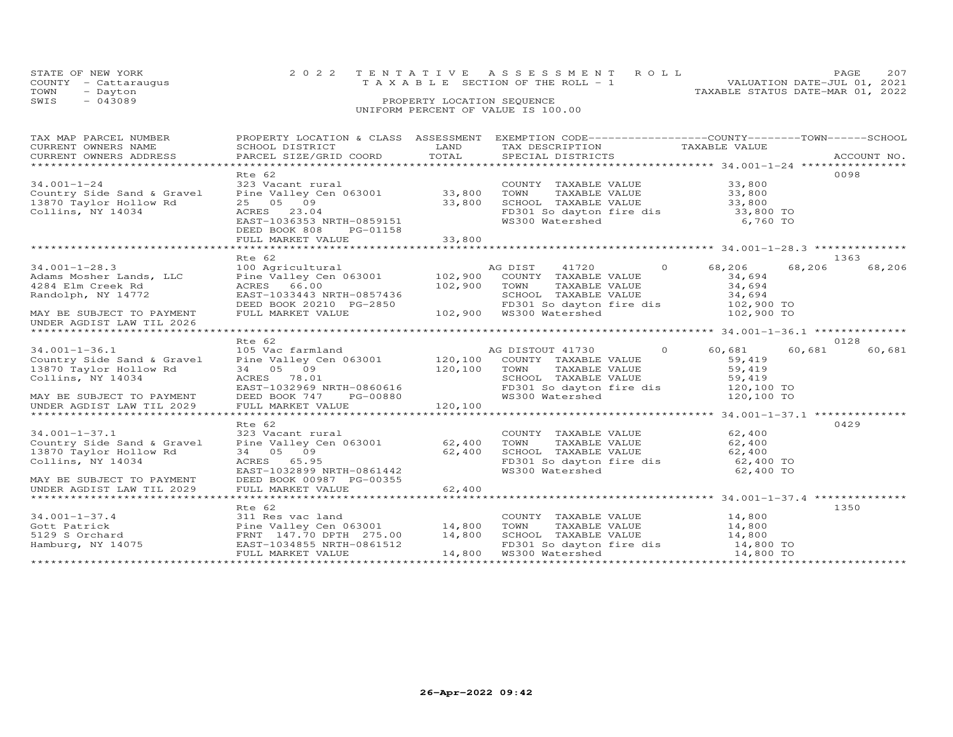| STATE OF NEW YORK<br>- Cattaraugus<br>COUNTY<br>TOWN<br>- Dayton |                           |                                                                  | 2022 TENTATIVE ASSESSMENT ROLL<br>T A X A B L E SECTION OF THE ROLL - 1 | VALUATION DATE-JUL 01, 2021<br>TAXABLE STATUS DATE-MAR 01, 2022 | PAGE | 207 |
|------------------------------------------------------------------|---------------------------|------------------------------------------------------------------|-------------------------------------------------------------------------|-----------------------------------------------------------------|------|-----|
| $-043089$<br>SWIS                                                |                           | PROPERTY LOCATION SEQUENCE<br>UNIFORM PERCENT OF VALUE IS 100.00 |                                                                         |                                                                 |      |     |
| TAX MAP PARCEL NUMBER                                            | PROPERTY LOCATION & CLASS |                                                                  | ASSESSMENT EXEMPTION CODE-----------------COUNTY-------TOWN------SCHOOL |                                                                 |      |     |

| CURRENT OWNERS NAME<br>CURRENT OWNERS ADDRESS               | SCHOOL DISTRICT<br>PARCEL SIZE/GRID COORD                       | LAND<br>TOTAL | TAX DESCRIPTION<br>SPECIAL DISTRICTS                              | TAXABLE VALUE    | ACCOUNT NO. |
|-------------------------------------------------------------|-----------------------------------------------------------------|---------------|-------------------------------------------------------------------|------------------|-------------|
|                                                             | Rte 62                                                          |               |                                                                   |                  | 0098        |
| $34.001 - 1 - 24$                                           | 323 Vacant rural                                                |               | COUNTY TAXABLE VALUE                                              | 33,800           |             |
| Country Side Sand & Gravel Pine Valley Cen 063001 33,800    |                                                                 |               | TAXABLE VALUE<br>TOWN                                             | 33,800           |             |
| 13870 Taylor Hollow Rd                                      | 25 05 09                                                        | 33,800        | SCHOOL TAXABLE VALUE                                              | 33,800           |             |
| Collins, NY 14034                                           | ACRES 23.04                                                     |               | FD301 So dayton fire dis<br>WS300 Watershed                       | 33,800 TO        |             |
|                                                             | AURES 23.04<br>EAST-1036353 NRTH-0859151                        |               |                                                                   | 6,760 TO         |             |
|                                                             | DEED BOOK 808<br>PG-01158                                       |               |                                                                   |                  |             |
|                                                             |                                                                 |               |                                                                   |                  |             |
|                                                             | Rte 62                                                          |               |                                                                   |                  | 1363        |
| $34.001 - 1 - 28.3$                                         | 100 Agricultural                                                |               | $\overline{O}$<br>AG DIST<br>41720                                | 68,206<br>68,206 | 68,206      |
| Adams Mosher Lands, LLC                                     | Pine Valley Cen 063001 102,900                                  |               | COUNTY TAXABLE VALUE                                              | 34,694           |             |
| 4284 Elm Creek Rd                                           | ACRES 66.00                                                     | 102,900       | TOWN<br>TOWN TAXABLE VALUE<br>SCHOOL TAXABLE VALUE                | 34,694           |             |
| Randolph, NY 14772                                          | EAST-1033443 NRTH-0857436                                       |               |                                                                   | 34,694           |             |
|                                                             | DEED BOOK 20210 PG-2850                                         |               | FD301 So dayton fire dis 102,900 TO                               |                  |             |
| MAY BE SUBJECT TO PAYMENT                                   | FULL MARKET VALUE                                               |               | 102,900  WS300 Watershed                                          | 102,900 TO       |             |
| UNDER AGDIST LAW TIL 2026<br>****************************** |                                                                 |               |                                                                   |                  |             |
|                                                             | Rte 62                                                          |               |                                                                   |                  | 0128        |
| $34.001 - 1 - 36.1$                                         | 105 Vac farmland                                                |               | AG DISTOUT 41730 0                                                | 60,681<br>60,681 | 60,681      |
| Country Side Sand & Gravel                                  | Pine Valley Cen 063001 120,100                                  |               | COUNTY TAXABLE VALUE                                              | 59,419           |             |
| 13870 Taylor Hollow Rd                                      | 34 05 09                                                        | 120,100       | TOWN                                                              | 59,419           |             |
| Collins, NY 14034                                           | ACRES 78.01                                                     |               | TOWN      TAXABLE VALUE<br>SCHOOL   TAXABLE VALUE                 | 59,419           |             |
|                                                             | EAST-1032969 NRTH-0860616                                       |               | FD301 So dayton fire dis 120,100 TO                               |                  |             |
| MAY BE SUBJECT TO PAYMENT                                   | DEED BOOK 747<br>PG-00880                                       |               | WS300 Watershed                                                   | 120,100 TO       |             |
| UNDER AGDIST LAW TIL 2029                                   | 120, 100<br>FULL MARKET VALUE                                   |               |                                                                   |                  |             |
|                                                             |                                                                 |               |                                                                   |                  |             |
| $34.001 - 1 - 37.1$                                         | Rte 62<br>323 Vacant rural                                      |               | COUNTY TAXABLE VALUE                                              | 62,400           | 0429        |
| Country Side Sand & Gravel                                  | Pine Valley Cen 063001 62,400                                   |               | TOWN<br>TAXABLE VALUE                                             | 62,400           |             |
| 13870 Taylor Hollow Rd                                      | 34 05 09                                                        | 62,400        | SCHOOL TAXABLE VALUE                                              | 62,400           |             |
| Collins, NY 14034                                           | ACRES 65.95                                                     |               | SCHOOL TAXABLE VALUE 62,400<br>FD301 So dayton fire dis 62,400 TO |                  |             |
|                                                             | EAST-1032899 NRTH-0861442                                       |               | WS300 Watershed                                                   | 62,400 TO        |             |
| MAY BE SUBJECT TO PAYMENT                                   | DEED BOOK 00987 PG-00355                                        |               |                                                                   |                  |             |
| UNDER AGDIST LAW TIL 2029                                   | FULL MARKET VALUE                                               | 62,400        |                                                                   |                  |             |
|                                                             |                                                                 |               |                                                                   |                  |             |
|                                                             | Rte 62                                                          |               |                                                                   |                  | 1350        |
| $34.001 - 1 - 37.4$                                         | 311 Res vac land                                                |               | COUNTY TAXABLE VALUE 14,800                                       |                  |             |
| Gott Patrick<br>5129 S Orchard                              | Pine Valley Cen 063001 14,800<br>FRNT 147.70 DPTH 275.00 14,800 |               | TOWN<br>TAXABLE VALUE<br>SCHOOL TAXABLE VALUE                     | 14,800<br>14,800 |             |
| Hamburg, NY 14075                                           | EAST-1034855 NRTH-0861512                                       |               | FD301 So dayton fire dis 14,800 TO                                |                  |             |
|                                                             | FULL MARKET VALUE                                               | 14,800        | WS300 Watershed                                                   | 14,800 TO        |             |
|                                                             |                                                                 |               |                                                                   |                  |             |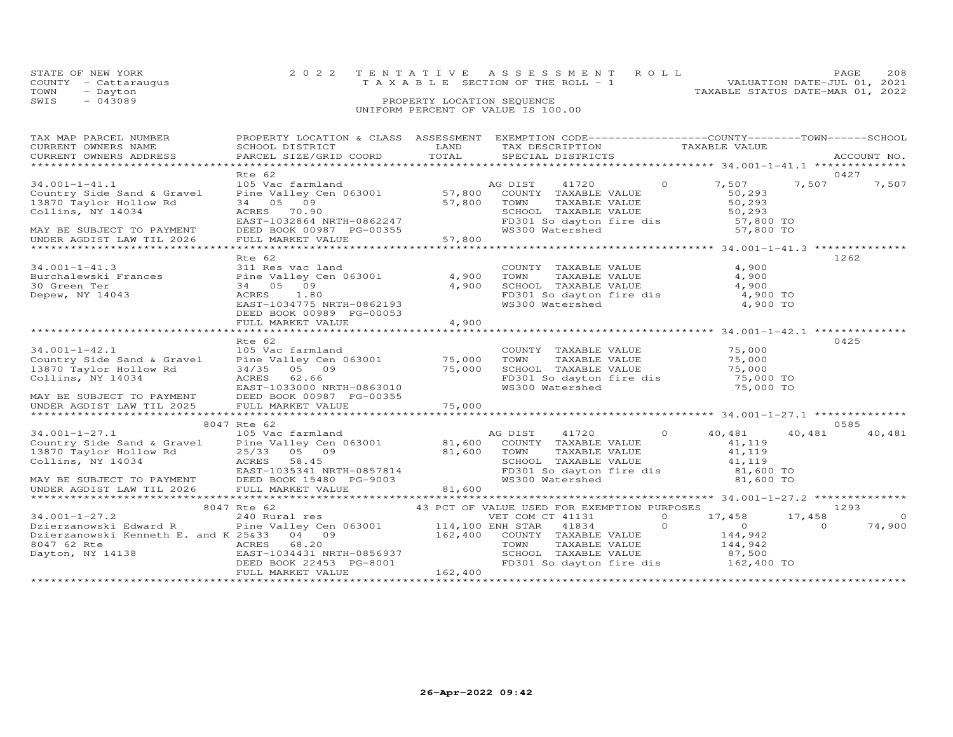|      | STATE OF NEW YORK    | 2022 TENTATIVE ASSESSMENT ROLL        |  |                                  | PAGE                        | 208 |
|------|----------------------|---------------------------------------|--|----------------------------------|-----------------------------|-----|
|      | COUNTY - Cattaraugus | T A X A B L E SECTION OF THE ROLL - 1 |  |                                  | VALUATION DATE-JUL 01, 2021 |     |
| TOWN | - Dayton             |                                       |  | TAXABLE STATUS DATE-MAR 01, 2022 |                             |     |
| SWIS | $-043089$            | PROPERTY LOCATION SEQUENCE            |  |                                  |                             |     |
|      |                      | UNIFORM PERCENT OF VALUE IS 100.00    |  |                                  |                             |     |
|      |                      |                                       |  |                                  |                             |     |

| TAX MAP PARCEL NUMBER<br>CURRENT OWNERS NAME<br>CURRENT OWNERS ADDRESS                                                                                                                                                                                                                                  | <b>EXAMPLE THE STATE OF STATE OF STATE</b><br>SCHOOL DISTRICT<br>PARCEL SIZE/GRID COORD                                                                                 | TOTAL            | PROPERTY LOCATION & CLASS ASSESSMENT EXEMPTION CODE----------------COUNTY-------TOWN------SCHOOL<br>------- ----- ------<br>TAX DESCRIPTION               TAXABLE VALUE SPECIAL DISTRICTS                                                                                                                                |                                                                                                   | ACCOUNT NO.              |
|---------------------------------------------------------------------------------------------------------------------------------------------------------------------------------------------------------------------------------------------------------------------------------------------------------|-------------------------------------------------------------------------------------------------------------------------------------------------------------------------|------------------|--------------------------------------------------------------------------------------------------------------------------------------------------------------------------------------------------------------------------------------------------------------------------------------------------------------------------|---------------------------------------------------------------------------------------------------|--------------------------|
| $34.001 - 1 - 41.1$<br>Country Side Sand & Gravel<br>13870 Taylor Hollow Rd<br>Collins, NY 14034<br>MAY BE SUBJECT TO PAYMENT<br>UNDER AGDIST LAW TIL 2026                                                                                                                                              | Rte 62<br>$57,800$ TOWN<br>34 05 09<br>ACRES 70.90<br>دىمىر<br>DEED BOOK 00987 PG-00355<br>FULI MARKET WAIT<br>FULL MARKET VALUE                                        | 57,800           | $\sim$ 0<br>TOWN      TAXABLE  VALUE<br>SCHOOL    TAXABLE  VALUE<br>FD301 So dayton fire dis<br>WS300 Watershed                                                                                                                                                                                                          | 0427<br>7,507<br>7,507<br>50,293<br>50,293<br>50,293<br>57,800 TO<br>57.800 TO                    | 7,507                    |
| $34.001 - 1 - 41.3$<br>Burchalewski Frances<br>30 Green Ter<br>Depew, NY 14043                                                                                                                                                                                                                          | Rte 62<br>311 Res vac land<br>Pine Valley Cen 063001 4,900<br>34 05 09<br>ACRES<br>1.80<br>EAST-1034775 NRTH-0862193<br>DEED BOOK 00989 PG-00053<br>FULL MARKET VALUE   | 4,900<br>4,900   | COUNTY TAXABLE VALUE<br>TOWN       TAXABLE  VALUE<br>SCHOOL    TAXABLE  VALUE<br>FD301 So dayton fire dis<br>WS300 Watershed 4,900 TO                                                                                                                                                                                    | 1262<br>4,900<br>4,900<br>4,900                                                                   |                          |
| $34.001 - 1 - 42.1$<br>Country Side Sand & Gravel<br>13870 Taylor Hollow Rd<br>Collins, NY 14034<br>MAY BE SUBJECT TO PAYMENT<br>UNDER AGDIST LAW TIL 2025                                                                                                                                              | Rte 62<br>105 Vac farmland<br>Pine Valley Cen 063001 75,000<br>34/35 05 09<br>ACRES 62.66<br>EAST-1033000 NRTH-0863010<br>DEED BOOK 00987 PG-00355<br>FULL MARKET VALUE | 75,000<br>75,000 | COUNTY TAXABLE VALUE 75,000<br>TOWN       TAXABLE  VALUE<br>SCHOOL    TAXABLE  VALUE<br>FD301 So dayton fire dis 75,000 TO<br>WS300 Watershed 75,000 TO                                                                                                                                                                  | 0425<br>75,000<br>75,000<br>75,000 TO                                                             |                          |
| 105 Vac farmland 105 Mac John Mac DIST 41720 0 14.001-1-27.1 105 Vac farmland 105 Mac 2016 10 105 Mac 2016 10<br>Country Side Sand & Gravel Pine Valley Cen 063001 81,600 COUNTY TAXABLE VALUE<br>13870 Taylor Hollow Rd<br>Collins, NY 14034<br>MAY BE SUBJECT TO PAYMENT<br>UNDER AGDIST LAW TIL 2026 | 8047 Rte 62<br>25/33 05 09 81,600<br>ACRES 58.45<br>EAST-1035341 NRTH-0857814<br>DEED BOOK 15480 PG-9003<br>FULL MARKET VALUE                                           | 81,600           | AG DIST 41720 0<br>TAXABLE VALUE<br>TOWN<br>SCHOOL TAXABLE VALUE                   41,119<br>FD301 So dayton fire dis             81,600 TO<br>WS300 Watershed                                                                                                                                                           | 0585<br>40,481<br>40,481<br>41,119<br>41,119<br>81,600 TO                                         | 40,481                   |
| $34.001 - 1 - 27.2$<br>Dzierzanowski Edward R                                                                                                                                                                                                                                                           | FULL MARKET VALUE                                                                                                                                                       | 162,400          | 43 PCT OF VALUE USED FOR EXEMPTION PURPOSES<br>8047 Rte 62 (43 PCT OF VALUE USED FOR EXEMPTION PURP 240 Rural res (43 PCT OF VALUE USED FOR EXEMPTION PURP 20<br>240 Rural res (50001 (114,100 ENR 2004) 216,100 Pine Valley Cen 063001 (14,100 COUNTY TAVABLE VALUE<br>SCHOOL TAXABLE VALUE<br>FD301 So dayton fire dis | 1293<br>17,458 17,458<br>$\overline{O}$<br>$\Omega$<br>144,942<br>144,942<br>87,500<br>162,400 TO | $\overline{0}$<br>74,900 |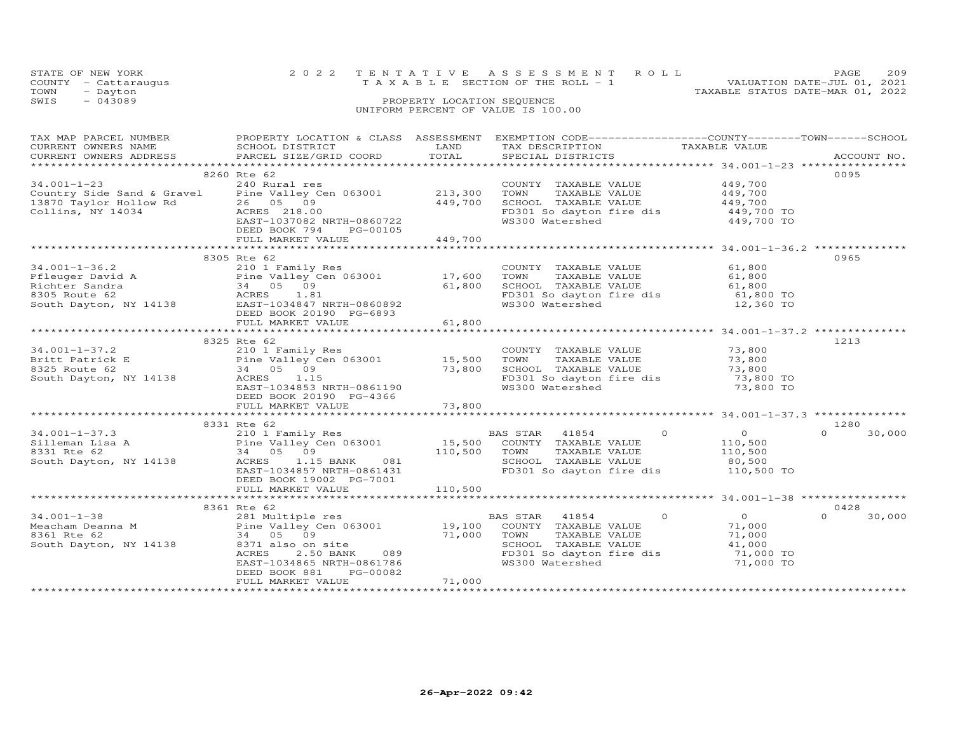|      | STATE OF NEW YORK    | 2022 TENTATIVE ASSESSMENT ROLL          |                                  | PAGE 209                    |  |
|------|----------------------|-----------------------------------------|----------------------------------|-----------------------------|--|
|      | COUNTY - Cattaraugus | $T A X A B L E$ SECTION OF THE ROLL - 1 |                                  | VALUATION DATE-JUL 01, 2021 |  |
| TOWN | - Dayton             |                                         | TAXABLE STATUS DATE-MAR 01, 2022 |                             |  |
| SWIS | $-043089$            | PROPERTY LOCATION SEQUENCE              |                                  |                             |  |
|      |                      | UNIFORM PERCENT OF VALUE IS 100.00      |                                  |                             |  |

| TAX MAP PARCEL NUMBER                         | PROPERTY LOCATION & CLASS  ASSESSMENT  EXEMPTION CODE-----------------COUNTY-------TOWN------SCHOOL                                                                                                                                                 |         |                                                                                                               |                                                        |                    |
|-----------------------------------------------|-----------------------------------------------------------------------------------------------------------------------------------------------------------------------------------------------------------------------------------------------------|---------|---------------------------------------------------------------------------------------------------------------|--------------------------------------------------------|--------------------|
| CURRENT OWNERS NAME                           | SCHOOL DISTRICT                                                                                                                                                                                                                                     | LAND    | TAX DESCRIPTION                                                                                               | TAXABLE VALUE                                          |                    |
| CURRENT OWNERS ADDRESS PARCEL SIZE/GRID COORD |                                                                                                                                                                                                                                                     | TOTAL   | SPECIAL DISTRICTS                                                                                             |                                                        | ACCOUNT NO.        |
|                                               |                                                                                                                                                                                                                                                     |         |                                                                                                               |                                                        |                    |
|                                               | 8260 Rte 62                                                                                                                                                                                                                                         |         |                                                                                                               |                                                        | 0095               |
| $34.001 - 1 - 23$                             | 240 Rural res                                                                                                                                                                                                                                       |         | COUNTY TAXABLE VALUE                                                                                          | 449,700                                                |                    |
|                                               | Country Side Sand & Gravel Pine Valley Cen 063001 213,300                                                                                                                                                                                           |         | TAXABLE VALUE<br>TAXABLE VALUE 449,700<br>TAXABLE VALUE 449,700<br>TOWN                                       |                                                        |                    |
|                                               |                                                                                                                                                                                                                                                     |         |                                                                                                               |                                                        |                    |
| 13870 Taylor Hollow Rd                        | 26 05 09<br>Acres 218.00                                                                                                                                                                                                                            | 449,700 | SCHOOL TAXABLE VALUE                                                                                          |                                                        |                    |
| Collins, NY 14034                             | ACRES 218.00<br>ACRES 218.00<br>EAST-1037082 NRTH-0860722                                                                                                                                                                                           |         | FD301 So dayton fire dis 449,700 TO                                                                           |                                                        |                    |
|                                               |                                                                                                                                                                                                                                                     |         | WS300 Watershed                                                                                               | 449,700 TO                                             |                    |
|                                               | DEED BOOK 794<br>PG-00105                                                                                                                                                                                                                           |         |                                                                                                               |                                                        |                    |
|                                               |                                                                                                                                                                                                                                                     |         |                                                                                                               |                                                        |                    |
|                                               |                                                                                                                                                                                                                                                     |         |                                                                                                               |                                                        |                    |
|                                               | 8305 Rte 62                                                                                                                                                                                                                                         |         |                                                                                                               |                                                        | 0965               |
| $34.001 - 1 - 36.2$                           | 210 1 Family Res                                                                                                                                                                                                                                    |         | COUNTY TAXABLE VALUE                                                                                          |                                                        |                    |
|                                               |                                                                                                                                                                                                                                                     |         | TAXABLE VALUE<br>TOWN                                                                                         | 61,800<br>61,800                                       |                    |
|                                               |                                                                                                                                                                                                                                                     |         |                                                                                                               |                                                        |                    |
|                                               |                                                                                                                                                                                                                                                     |         | TOWN IAAADDE VADUE<br>SCHOOL TAXABLE VALUE 61,800<br>FD301 So davton fire dis 61,800 TO                       |                                                        |                    |
|                                               |                                                                                                                                                                                                                                                     |         | FD301 So dayton fire dis<br>WS300 Watershed                                                                   |                                                        |                    |
|                                               |                                                                                                                                                                                                                                                     |         |                                                                                                               | $12,360$ TO                                            |                    |
|                                               | 34.001-1-36.2<br>Pfleuger David A<br>Pfleuger David A<br>Richter Sandra State of State of State of State Square and State Square Square Square Square Square Square Square Square Square Square Square Square Square Square Provide                 |         |                                                                                                               |                                                        |                    |
|                                               | FULL MARKET VALUE                                                                                                                                                                                                                                   | 61,800  |                                                                                                               |                                                        |                    |
|                                               |                                                                                                                                                                                                                                                     |         |                                                                                                               |                                                        |                    |
|                                               | 8325 Rte 62                                                                                                                                                                                                                                         |         |                                                                                                               |                                                        | 1213               |
| $34.001 - 1 - 37.2$                           | 210 1 Family Res                                                                                                                                                                                                                                    |         | COUNTY TAXABLE VALUE 73,800                                                                                   |                                                        |                    |
|                                               |                                                                                                                                                                                                                                                     |         | TOWN                                                                                                          |                                                        |                    |
|                                               |                                                                                                                                                                                                                                                     |         | SCHOOL TAXABLE VALUE                                                                                          |                                                        |                    |
|                                               | 91.011-37.2<br>Pine Valley Cen 063001 15,500<br>8325 Route 62 34 05 09 73,800<br>South Dayton, NY 14138 ACRES 1.15                                                                                                                                  | 73,800  |                                                                                                               |                                                        |                    |
|                                               | EAST-1034853 NRTH-0861190                                                                                                                                                                                                                           |         |                                                                                                               |                                                        |                    |
|                                               |                                                                                                                                                                                                                                                     |         |                                                                                                               |                                                        |                    |
|                                               | DEED BOOK 20190 PG-4366                                                                                                                                                                                                                             |         |                                                                                                               |                                                        |                    |
|                                               | FULL MARKET VALUE                                                                                                                                                                                                                                   | 73,800  |                                                                                                               |                                                        |                    |
|                                               |                                                                                                                                                                                                                                                     |         |                                                                                                               | ************************ 34.001-1-37.3 *************** |                    |
|                                               | 8331 Rte 62                                                                                                                                                                                                                                         |         | BAS STAR 41854 0<br>COUNTY TAXABLE VALUE 110,500<br>TOWN TAXABLE VALUE 110,500<br>SCHOOL TAXABLE VALUE 80,500 |                                                        | 1280               |
|                                               |                                                                                                                                                                                                                                                     |         |                                                                                                               |                                                        | 30,000<br>$\Omega$ |
|                                               | 34.001-1-37.3<br>Silleman Lisa A<br>210 1 Family Res<br>Pine Valley Cen 063001<br>24 05 09<br>South Dayton, NY 14138<br>210 1 Family Res<br>24 05 09<br>24 05 09<br>20110,500 TOWN TAXABLE VALUE<br>26 110,500 TOWN TAXABLE VALUE<br>20110,500 TOWN |         |                                                                                                               |                                                        |                    |
|                                               |                                                                                                                                                                                                                                                     |         |                                                                                                               |                                                        |                    |
|                                               |                                                                                                                                                                                                                                                     |         |                                                                                                               |                                                        |                    |
|                                               | EAST-1034857 NRTH-0861431                                                                                                                                                                                                                           |         | FD301 So dayton fire dis 110,500 TO                                                                           |                                                        |                    |
|                                               | DEED BOOK 19002 PG-7001                                                                                                                                                                                                                             |         |                                                                                                               |                                                        |                    |
|                                               |                                                                                                                                                                                                                                                     |         |                                                                                                               |                                                        |                    |
|                                               |                                                                                                                                                                                                                                                     |         |                                                                                                               |                                                        |                    |
|                                               |                                                                                                                                                                                                                                                     |         |                                                                                                               |                                                        |                    |
|                                               | 8361 Rte 62                                                                                                                                                                                                                                         |         |                                                                                                               |                                                        | 0428               |
|                                               |                                                                                                                                                                                                                                                     |         | $\overline{0}$                                                                                                | $\overline{0}$                                         | 30,000<br>$\Omega$ |
|                                               |                                                                                                                                                                                                                                                     |         |                                                                                                               | 71,000                                                 |                    |
|                                               |                                                                                                                                                                                                                                                     |         | TAXABLE VALUE                                                                                                 | 71,000                                                 |                    |
|                                               |                                                                                                                                                                                                                                                     |         | SCHOOL TAXABLE VALUE                                                                                          | 41,000<br>71,000 TO                                    |                    |
|                                               |                                                                                                                                                                                                                                                     |         | FD301 So dayton fire dis<br>WS300 Watershed                                                                   |                                                        |                    |
|                                               |                                                                                                                                                                                                                                                     |         | WS300 Watershed                                                                                               | 71,000 TO                                              |                    |
|                                               | DEED BOOK 881<br>PG-00082                                                                                                                                                                                                                           |         |                                                                                                               |                                                        |                    |
|                                               | FULL MARKET VALUE                                                                                                                                                                                                                                   | 71,000  |                                                                                                               |                                                        |                    |
|                                               |                                                                                                                                                                                                                                                     |         |                                                                                                               |                                                        |                    |
|                                               |                                                                                                                                                                                                                                                     |         |                                                                                                               |                                                        |                    |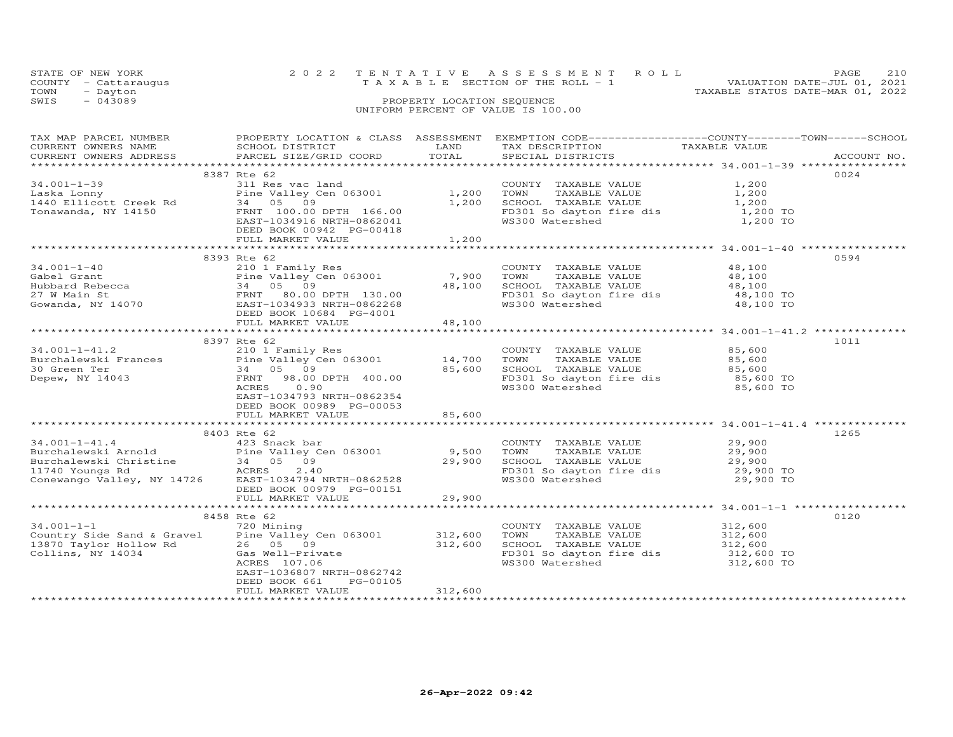|      | STATE OF NEW YORK    | 2022 TENTATIVE ASSESSMENT ROLL                                       | PAGE | 210 |
|------|----------------------|----------------------------------------------------------------------|------|-----|
|      | COUNTY - Cattaraugus | VALUATION DATE-JUL 01, 2021<br>T A X A B L E SECTION OF THE ROLL - 1 |      |     |
| TOWN | - Dayton             | TAXABLE STATUS DATE-MAR 01, 2022                                     |      |     |
| SWIS | $-043089$            | PROPERTY LOCATION SEQUENCE                                           |      |     |
|      |                      | UNIFORM PERCENT OF VALUE IS 100.00                                   |      |     |
|      |                      |                                                                      |      |     |

| TAX MAP PARCEL NUMBER<br>CURRENT OWNERS NAME<br>CURRENT OWNERS ADDRESS                                                                                                                                                                                                  | SCHOOL DISTRICT<br>PARCEL SIZE/GRID COORD                                                                                                                        | LAND<br>TOTAL      | PROPERTY LOCATION & CLASS ASSESSMENT EXEMPTION CODE----------------COUNTY-------TOWN------SCHOOL<br>TAX DESCRIPTION<br>SPECIAL DISTRICTS              |                                                      | ACCOUNT NO. |
|-------------------------------------------------------------------------------------------------------------------------------------------------------------------------------------------------------------------------------------------------------------------------|------------------------------------------------------------------------------------------------------------------------------------------------------------------|--------------------|-------------------------------------------------------------------------------------------------------------------------------------------------------|------------------------------------------------------|-------------|
|                                                                                                                                                                                                                                                                         |                                                                                                                                                                  |                    |                                                                                                                                                       |                                                      |             |
| $34.001 - 1 - 39$<br>Laska Lonny<br>1440 Ellicott Creek Rd 3440 - 300 8<br>Tonawanda, NY 14150                                                                                                                                                                          | 8387 Rte 62<br>عبد محمد vac land<br>Pine Valley Cen 063001 1,200<br>34 05 09<br>FRNT 100.00 DPTH 166.00<br>EAST-1034916 NRTH-0862041<br>DEED BOOK 00942 PG-00418 |                    | COUNTY TAXABLE VALUE<br>TOWN<br>TAXABLE VALUE<br>SCHOOL TAXABLE VALUE 1,200<br>FD301 So dayton fire dis<br>WS300 Watershed                            | 1,200<br>1,200<br>1,200 TO<br>1,200 TO               | 0024        |
|                                                                                                                                                                                                                                                                         | FULL MARKET VALUE                                                                                                                                                | 1,200              |                                                                                                                                                       |                                                      |             |
|                                                                                                                                                                                                                                                                         |                                                                                                                                                                  |                    |                                                                                                                                                       |                                                      |             |
| $34.001 - 1 - 40$<br>Cabel Grant<br>Gabel Grant<br>Hubbard Rebecca (1990)<br>27 W Main St (1990)<br>27 W Main St (1990)<br>27 W Main St (1990)<br>27 W Main St (19933 NRTH-0862268)<br>27 W Main St (1993)<br>27 W Main St (1993)<br>27 W Main St (1993)<br>28 NRTH-086 | 8393 Rte 62<br>210 1 Family Res<br>DEED BOOK 10684 PG-4001                                                                                                       | 7,900<br>48,100    | COUNTY TAXABLE VALUE<br>TOWN      TAXABLE VALUE<br>SCHOOL   TAXABLE VALUE<br>SCHOOD Inductor<br>FD301 So dayton fire dis<br>W0300 Watershed           | 48,100<br>48,100<br>48,100<br>48,100 TO<br>48,100 TO | 0594        |
|                                                                                                                                                                                                                                                                         | FULL MARKET VALUE                                                                                                                                                | 48,100             |                                                                                                                                                       |                                                      |             |
|                                                                                                                                                                                                                                                                         |                                                                                                                                                                  |                    |                                                                                                                                                       |                                                      |             |
| $34.001 - 1 - 41.2$<br>Depew, NY 14043                                                                                                                                                                                                                                  | 8397 Rte 62<br>210 1 Family Res<br>FRNT<br>98.00 DPTH 400.00<br>0.90<br>ACRES<br>EAST-1034793 NRTH-0862354<br>DEED BOOK 00989 PG-00053<br>FULL MARKET VALUE      | 85,600             | COUNTY TAXABLE VALUE 85,600<br>TOWN        TAXABLE  VALUE<br>SCHOOL    TAXABLE  VALUE<br>FD301 So dayton fire dis<br>WS300 Watershed 85,600 TO        | 85,600<br>85,600                                     | 1011        |
|                                                                                                                                                                                                                                                                         |                                                                                                                                                                  |                    |                                                                                                                                                       |                                                      |             |
| 34.001-1-41.4<br>Burchalewski Arnold Pine Valley Cen 063001 9,500<br>Burchalewski Christine 34 05 09 29,900<br>11740 Youngs Rd ACRES 2.40<br>Conewango Valley, NY 14726 EAST-1034794 NRTH-0862528                                                                       | 8403 Rte 62<br>DEED BOOK 00979 PG-00151                                                                                                                          |                    | COUNTY TAXABLE VALUE 29,900<br>TOWN TAXABLE VALUE 29,900<br>TOWN TAXABLE VALUE<br>SCHOOL TAXABLE VALUE<br>FD301 So dayton fire dis<br>WS300 Watershed | 29,900<br>$29,900$ TO<br>29,900 TO<br>29,900 TO      | 1265        |
|                                                                                                                                                                                                                                                                         | FULL MARKET VALUE                                                                                                                                                | 29,900             |                                                                                                                                                       |                                                      |             |
|                                                                                                                                                                                                                                                                         |                                                                                                                                                                  |                    |                                                                                                                                                       |                                                      |             |
| $34.001 - 1 - 1$<br>Country Side Sand & Gravel Pine Valley Cen 063001 312,600<br>13870 Taylor Hollow Rd 26 05 09<br>Collins, NY 14034                                                                                                                                   | 8458 Rte 62<br>720 Mining<br>Gas Well-Private<br>ACRES 107.06<br>EAST-1036807 NRTH-0862742<br>PG-00105<br>DEED BOOK 661<br>FULL MARKET VALUE                     | 312,600<br>312,600 | COUNTY TAXABLE VALUE 312,600<br>TOWN<br>TAXABLE VALUE<br>SCHOOL TAXABLE VALUE 312,600<br>FD301 So dayton fire dis<br>WS300 Watershed                  | 312,600<br>312,600 TO<br>312,600 TO                  | 0120        |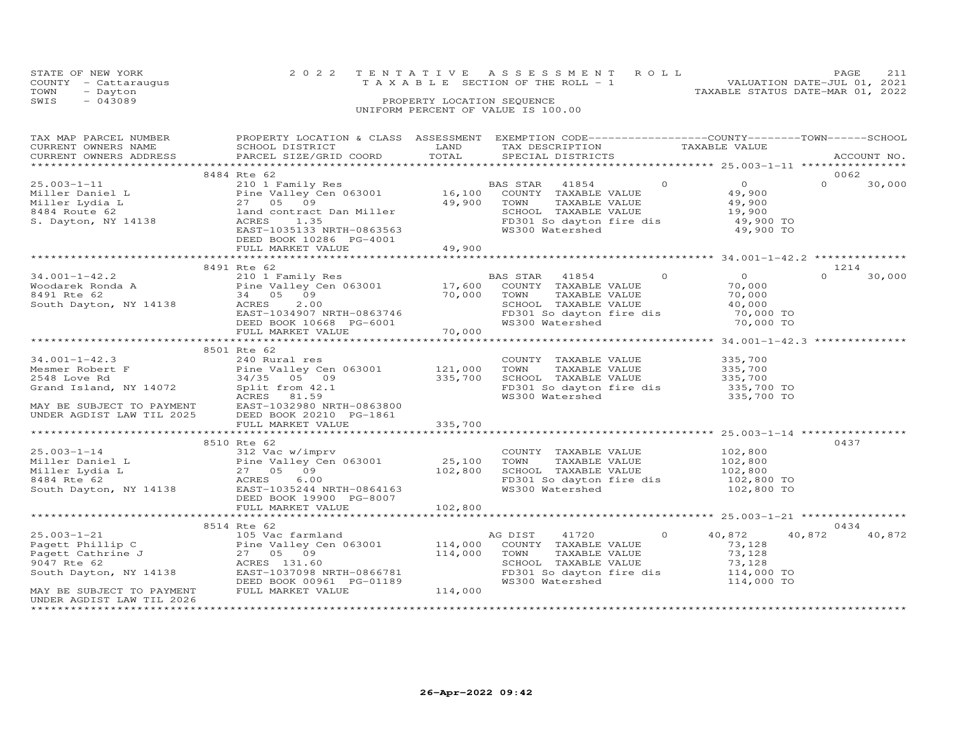|      | STATE OF NEW YORK                  |                            | 2022 TENTATIVE ASSESSMENT ROLL                                 | PAGE | 211 |  |  |  |
|------|------------------------------------|----------------------------|----------------------------------------------------------------|------|-----|--|--|--|
|      | COUNTY - Cattaraugus               |                            | VALUATION DATE-JUL 01, 2021<br>TAXABLE SECTION OF THE ROLL - 1 |      |     |  |  |  |
| TOWN | - Dayton                           |                            | TAXABLE STATUS DATE-MAR 01, 2022                               |      |     |  |  |  |
| SWIS | $-043089$                          | PROPERTY LOCATION SEQUENCE |                                                                |      |     |  |  |  |
|      | UNIFORM PERCENT OF VALUE IS 100.00 |                            |                                                                |      |     |  |  |  |

| TAX MAP PARCEL NUMBER<br>CURRENT OWNERS NAME<br>CURRENT OWNERS ADDRESS                                                                          | PROPERTY LOCATION & CLASS ASSESSMENT EXEMPTION CODE----------------COUNTY-------TOWN-----SCHOOL<br>SCHOOL DISTRICT<br>PARCEL SIZE/GRID COORD                                                                                                  | LAND<br>TOTAL      | TAX DESCRIPTION TAXABLE VALUE<br>SPECIAL DISTRICTS                                                                                       |                |                                                                                                                            |          | ACCOUNT NO. |
|-------------------------------------------------------------------------------------------------------------------------------------------------|-----------------------------------------------------------------------------------------------------------------------------------------------------------------------------------------------------------------------------------------------|--------------------|------------------------------------------------------------------------------------------------------------------------------------------|----------------|----------------------------------------------------------------------------------------------------------------------------|----------|-------------|
|                                                                                                                                                 |                                                                                                                                                                                                                                               |                    |                                                                                                                                          |                |                                                                                                                            |          |             |
|                                                                                                                                                 | 8484 Rte 62                                                                                                                                                                                                                                   |                    |                                                                                                                                          |                |                                                                                                                            |          | 0062        |
| $25.003 - 1 - 11$<br>Miller Daniel L<br>Miller Lydia L<br>8484 Route 62<br>S. Dayton, NY 14138                                                  | 210 1 Family Res<br>210 1 Family Res<br>Pine Valley Cen 063001 16,100 COUNTY TAXABLE VALUE<br>27 05 09<br>land contract Dan Miller<br>ACRES<br>1.35<br>EAST-1035133 NRTH-0863563<br>DEED BOOK 10286 PG-4001                                   | 49,900             | TAXABLE VALUE<br>TOWN<br>SCHOOL TAXABLE VALUE<br>WS300 Watershed                                                                         | $\Omega$       | $\overline{0}$<br>49,900<br>49,900<br>19,900<br>FD301 So dayton fire dis 49,900 TO<br>49,900 TO                            | $\Omega$ | 30,000      |
|                                                                                                                                                 | FULL MARKET VALUE                                                                                                                                                                                                                             | 49,900             |                                                                                                                                          |                |                                                                                                                            |          |             |
|                                                                                                                                                 |                                                                                                                                                                                                                                               |                    |                                                                                                                                          |                |                                                                                                                            |          |             |
|                                                                                                                                                 | 8491 Rte 62                                                                                                                                                                                                                                   |                    |                                                                                                                                          |                |                                                                                                                            |          | 1214        |
| $34.001 - 1 - 42.2$                                                                                                                             | 210 1 Family Res<br>Vietnament Ronda A<br>Pine Valley Cen 063001 17,600<br>8491 Rte 62 34 05 09 70,000<br>South Dayton, NY 14138 ACRES 2.00<br>ACRES 2.00<br>EAST-1034907 NRTH-0863746<br>DEED BOOK 10668 PG-6001<br>FULL MARKET VALUE 70,000 |                    | BAS STAR 41854<br>COUNTY TAXABLE VALUE<br>TOWN<br>TAXABLE VALUE<br>SCHOOL TAXABLE VALUE<br>FD301 So dayton fire dis<br>WS300 Watershed   | $\overline{0}$ | $\overline{0}$<br>70,000<br>70,000<br>40,000<br>70,000 TO<br>70,000 TO                                                     | $\Omega$ | 30,000      |
|                                                                                                                                                 |                                                                                                                                                                                                                                               |                    |                                                                                                                                          |                |                                                                                                                            |          |             |
|                                                                                                                                                 | 8501 Rte 62                                                                                                                                                                                                                                   |                    |                                                                                                                                          |                |                                                                                                                            |          |             |
| Grand Island, NY 14072                                                                                                                          | Split from 42.1<br>ACRES<br>81.59<br>ACRES 81.59<br>MAY BE SUBJECT TO PAYMENT EAST-1032980 NRTH-0863800<br>DEED BOOK 20210 PG-1861<br>FULL MARKET VALUE<br>EAST-1032980 NRTH-0863800                                                          |                    | COUNTY TAXABLE VALUE<br>TOWN<br>TAXABLE VALUE<br>SCHOOL TAXABLE VALUE                                                                    |                | 335,700<br>335,700<br>335,700<br>ECHOOL IAAADDE VADOL<br>FD301 So dayton fire dis 335,700 TO<br>WS300 Watershed 335,700 TO |          |             |
|                                                                                                                                                 | FULL MARKET VALUE                                                                                                                                                                                                                             | 335,700            |                                                                                                                                          |                |                                                                                                                            |          |             |
|                                                                                                                                                 |                                                                                                                                                                                                                                               | ***********        |                                                                                                                                          |                |                                                                                                                            |          |             |
| $25.003 - 1 - 14$                                                                                                                               | 8510 Rte 62<br>312 Vac w/imprv<br>DEED BOOK 19900 PG-8007                                                                                                                                                                                     |                    | COUNTY TAXABLE VALUE<br>TOWN     TAXABLE VALUE<br>WS300 Watershed                                                                        |                | 102,800<br>102,800<br>SCHOOL TAXABLE VALUE 102,800<br>FD301 So dayton fire dis 102,800 TO<br>102,800 TO                    |          | 0437        |
|                                                                                                                                                 | FULL MARKET VALUE                                                                                                                                                                                                                             | 102,800            |                                                                                                                                          |                |                                                                                                                            |          |             |
|                                                                                                                                                 |                                                                                                                                                                                                                                               |                    |                                                                                                                                          |                |                                                                                                                            |          |             |
|                                                                                                                                                 | 8514 Rte 62                                                                                                                                                                                                                                   |                    |                                                                                                                                          |                |                                                                                                                            |          | 0434        |
| $25.003 - 1 - 21$<br>Pagett Phillip C<br>Pagett Cathrine J<br>9047 Bte 62<br>9047 Rte 62<br>South Dayton, NY 14138<br>MAY BE SUBJECT TO PAYMENT | 105 Vac farmland<br>Pine Valley Cen 063001 114,000<br>27 05 09<br>ACRES 131.60<br>EAST-1037098 NRTH-0866781<br>DEED BOOK 00961 PG-01189<br>FULL MARKET VALUE                                                                                  | 114,000<br>114,000 | AG DIST<br>41720<br>COUNTY TAXABLE VALUE<br>TAXABLE VALUE<br>TOWN<br>SCHOOL TAXABLE VALUE<br>FD301 So dayton fire dis<br>WS300 Watershed | $\Omega$       | 40,872<br>73,128<br>73,128<br>73,128<br>114,000 TO<br>114,000 TO                                                           | 40,872   | 40,872      |
| UNDER AGDIST LAW TIL 2026<br>********************                                                                                               |                                                                                                                                                                                                                                               |                    |                                                                                                                                          |                |                                                                                                                            |          |             |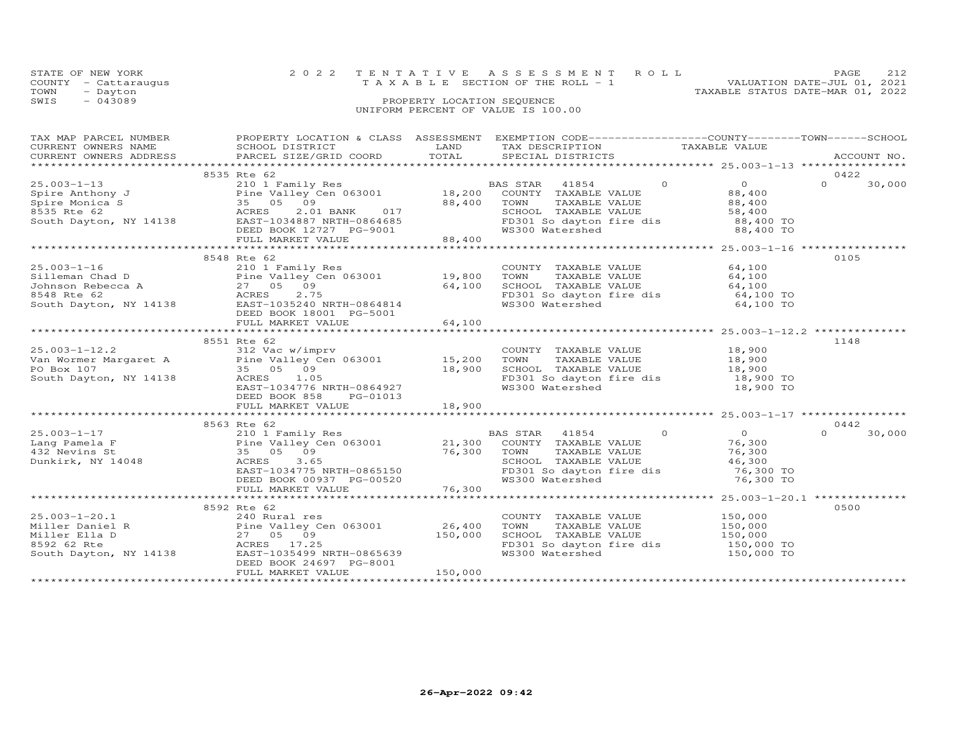|      | STATE OF NEW YORK                  |                            |  | 2022 TENTATIVE ASSESSMENT ROLL        |  |                                  | PAGE |  |
|------|------------------------------------|----------------------------|--|---------------------------------------|--|----------------------------------|------|--|
|      | COUNTY - Cattaraugus               |                            |  | T A X A B L E SECTION OF THE ROLL - 1 |  | VALUATION DATE-JUL 01, 2021      |      |  |
| TOWN | - Dayton                           |                            |  |                                       |  | TAXABLE STATUS DATE-MAR 01, 2022 |      |  |
| SWIS | $-043089$                          | PROPERTY LOCATION SEQUENCE |  |                                       |  |                                  |      |  |
|      | UNIFORM PERCENT OF VALUE IS 100.00 |                            |  |                                       |  |                                  |      |  |

| $\begin{tabular}{lllllllllll} \textsc{rank} & & & & & & & & & \\ \textsc{rank} & & & & & & & & \\ \textsc{CURRENT} & & & & & & & & \\ \textsc{CURRENT} & & & & & & & \\ \textsc{CURRENT} & & & & & & & \\ \textsc{CURRENT} & & & & & & & \\ \textsc{CURRENT} & & & & & & & \\ \textsc{CURRENT} & & & & & & & \\ \textsc{CURRENT} & & & & & & & \\ \textsc{RMEST} & & & & & & & \\ \textsc{RMEST} & & & & & & & \\ \textsc{RATEST} & & & & & & & \\ \textsc{PANCES}$<br>CURRENT OWNERS ADDRESS |                        |         |                                                                                                                                                            |                                               |                    |
|-----------------------------------------------------------------------------------------------------------------------------------------------------------------------------------------------------------------------------------------------------------------------------------------------------------------------------------------------------------------------------------------------------------------------------------------------------------------------------------------------|------------------------|---------|------------------------------------------------------------------------------------------------------------------------------------------------------------|-----------------------------------------------|--------------------|
|                                                                                                                                                                                                                                                                                                                                                                                                                                                                                               |                        |         |                                                                                                                                                            |                                               |                    |
|                                                                                                                                                                                                                                                                                                                                                                                                                                                                                               | 8535 Rte 62            |         |                                                                                                                                                            |                                               | 0422               |
|                                                                                                                                                                                                                                                                                                                                                                                                                                                                                               |                        |         |                                                                                                                                                            |                                               | 30,000             |
|                                                                                                                                                                                                                                                                                                                                                                                                                                                                                               |                        |         |                                                                                                                                                            |                                               |                    |
|                                                                                                                                                                                                                                                                                                                                                                                                                                                                                               |                        |         |                                                                                                                                                            |                                               |                    |
|                                                                                                                                                                                                                                                                                                                                                                                                                                                                                               |                        |         |                                                                                                                                                            |                                               |                    |
|                                                                                                                                                                                                                                                                                                                                                                                                                                                                                               |                        |         |                                                                                                                                                            |                                               |                    |
|                                                                                                                                                                                                                                                                                                                                                                                                                                                                                               |                        |         |                                                                                                                                                            |                                               |                    |
|                                                                                                                                                                                                                                                                                                                                                                                                                                                                                               |                        |         |                                                                                                                                                            |                                               |                    |
|                                                                                                                                                                                                                                                                                                                                                                                                                                                                                               | 8548 Rte 62            |         |                                                                                                                                                            |                                               | 0105               |
|                                                                                                                                                                                                                                                                                                                                                                                                                                                                                               |                        |         | COUNTY TAXABLE VALUE 64,100                                                                                                                                |                                               |                    |
|                                                                                                                                                                                                                                                                                                                                                                                                                                                                                               |                        |         |                                                                                                                                                            |                                               |                    |
|                                                                                                                                                                                                                                                                                                                                                                                                                                                                                               |                        |         | TOWN TAXABLE VALUE 64,100<br>SCHOOL TAXABLE VALUE 64,100<br>FD301 So dayton fire dis 64,100 TO<br>WS300 Watershed 64,100 TO                                |                                               |                    |
|                                                                                                                                                                                                                                                                                                                                                                                                                                                                                               |                        |         |                                                                                                                                                            |                                               |                    |
|                                                                                                                                                                                                                                                                                                                                                                                                                                                                                               |                        |         |                                                                                                                                                            |                                               |                    |
|                                                                                                                                                                                                                                                                                                                                                                                                                                                                                               |                        |         |                                                                                                                                                            |                                               |                    |
|                                                                                                                                                                                                                                                                                                                                                                                                                                                                                               |                        |         |                                                                                                                                                            |                                               |                    |
|                                                                                                                                                                                                                                                                                                                                                                                                                                                                                               |                        |         |                                                                                                                                                            | ********************** 25.003-1-12.2 ******** |                    |
|                                                                                                                                                                                                                                                                                                                                                                                                                                                                                               | 8551 Rte 62            |         |                                                                                                                                                            |                                               | 1148               |
|                                                                                                                                                                                                                                                                                                                                                                                                                                                                                               |                        |         |                                                                                                                                                            |                                               |                    |
|                                                                                                                                                                                                                                                                                                                                                                                                                                                                                               |                        |         |                                                                                                                                                            |                                               |                    |
| 25.003-1-12.2<br>Van Wormer Margaret A<br>Pine Valley Cen 063001<br>PO Box 107<br>South Dayton, NY 14138<br>South Dayton, NY 14138<br>EAST-1034776 NRTH-0864927<br>EAST-1034776 NRTH-0864927<br>EAST-1034776 NRTH-0864927<br>PO Box 107<br>EAST-10                                                                                                                                                                                                                                            |                        |         | COUNTY TAXABLE VALUE 18,900<br>TOWN TAXABLE VALUE 18,900<br>SCHOOL TAXABLE VALUE 18,900<br>FD301 So dayton fire dis 18,900 TO<br>WS300 Watershed 18,900 TO |                                               |                    |
|                                                                                                                                                                                                                                                                                                                                                                                                                                                                                               |                        |         |                                                                                                                                                            |                                               |                    |
|                                                                                                                                                                                                                                                                                                                                                                                                                                                                                               |                        |         |                                                                                                                                                            |                                               |                    |
|                                                                                                                                                                                                                                                                                                                                                                                                                                                                                               |                        |         |                                                                                                                                                            |                                               |                    |
|                                                                                                                                                                                                                                                                                                                                                                                                                                                                                               | DEED BOOK 858 PG-01013 |         |                                                                                                                                                            |                                               |                    |
|                                                                                                                                                                                                                                                                                                                                                                                                                                                                                               |                        |         |                                                                                                                                                            |                                               |                    |
|                                                                                                                                                                                                                                                                                                                                                                                                                                                                                               | 8563 Rte 62            |         |                                                                                                                                                            |                                               | 0442               |
|                                                                                                                                                                                                                                                                                                                                                                                                                                                                                               |                        |         | BAS STAR 41854 0                                                                                                                                           |                                               | $\Omega$<br>30,000 |
|                                                                                                                                                                                                                                                                                                                                                                                                                                                                                               |                        |         |                                                                                                                                                            | $\begin{array}{c} 0 \\ 76,300 \end{array}$    |                    |
|                                                                                                                                                                                                                                                                                                                                                                                                                                                                                               |                        |         |                                                                                                                                                            |                                               |                    |
|                                                                                                                                                                                                                                                                                                                                                                                                                                                                                               |                        |         | TOWN TAXABLE VALUE 76,300<br>SCHOOL TAXABLE VALUE 46,300                                                                                                   |                                               |                    |
|                                                                                                                                                                                                                                                                                                                                                                                                                                                                                               |                        |         |                                                                                                                                                            |                                               |                    |
|                                                                                                                                                                                                                                                                                                                                                                                                                                                                                               |                        |         | FD301 So dayton fire dis<br>WS300 Watershed 76,300 TO                                                                                                      |                                               |                    |
|                                                                                                                                                                                                                                                                                                                                                                                                                                                                                               |                        |         |                                                                                                                                                            |                                               |                    |
|                                                                                                                                                                                                                                                                                                                                                                                                                                                                                               |                        |         |                                                                                                                                                            |                                               |                    |
|                                                                                                                                                                                                                                                                                                                                                                                                                                                                                               | 8592 Rte 62            |         |                                                                                                                                                            |                                               | 0500               |
|                                                                                                                                                                                                                                                                                                                                                                                                                                                                                               |                        |         | COUNTY TAXABLE VALUE 150,000                                                                                                                               |                                               |                    |
|                                                                                                                                                                                                                                                                                                                                                                                                                                                                                               |                        |         |                                                                                                                                                            |                                               |                    |
|                                                                                                                                                                                                                                                                                                                                                                                                                                                                                               |                        |         |                                                                                                                                                            |                                               |                    |
|                                                                                                                                                                                                                                                                                                                                                                                                                                                                                               |                        |         | CONNI TAXABLE VALUE<br>SCHOOL TAXABLE VALUE 150,000<br>SCHOOL TAXABLE VALUE 150,000<br>FD301 So dayton fire dis 150,000 TO                                 |                                               |                    |
|                                                                                                                                                                                                                                                                                                                                                                                                                                                                                               |                        |         | WS300 Watershed                                                                                                                                            | 150,000 TO                                    |                    |
| 25.003-1-20.1<br>Miller Daniel R<br>Miller Ella D<br>8592 62 Rte ACRES 17.25<br>South Dayton, NY 14138<br>26,400<br>8592 62 Rte ACRES 17.25<br>South Dayton, NY 14138<br>26,400<br>8592 62 Rte ACRES 17.25<br>26,000<br>26,400<br>27 05 09<br>26,000<br>27                                                                                                                                                                                                                                    |                        |         |                                                                                                                                                            |                                               |                    |
|                                                                                                                                                                                                                                                                                                                                                                                                                                                                                               | FULL MARKET VALUE      | 150,000 |                                                                                                                                                            |                                               |                    |
|                                                                                                                                                                                                                                                                                                                                                                                                                                                                                               |                        |         |                                                                                                                                                            |                                               |                    |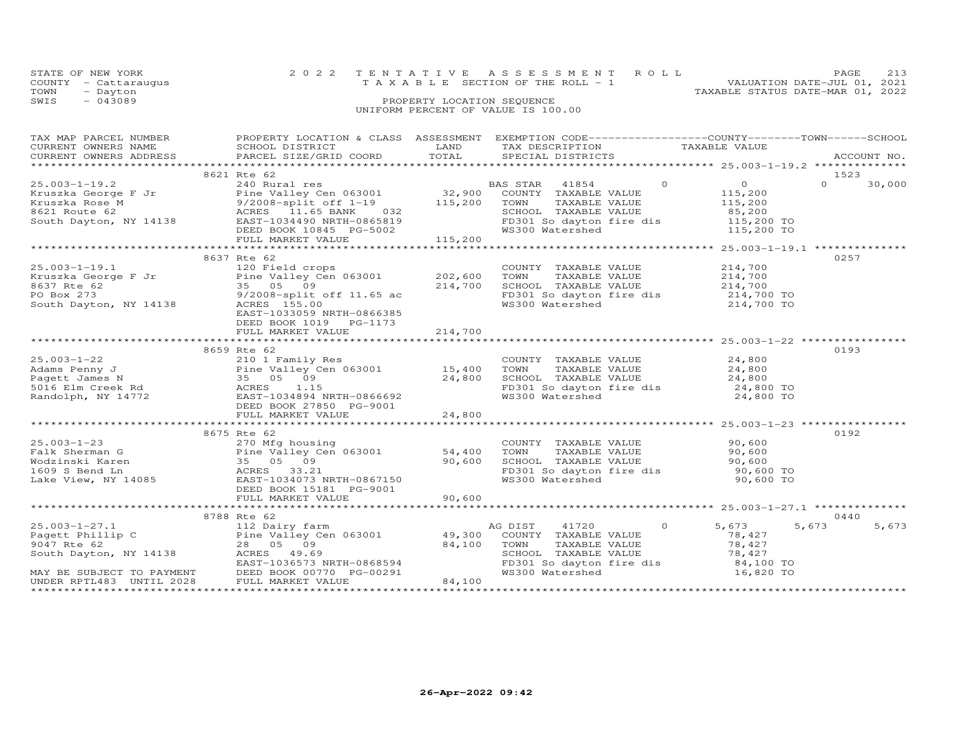|      | STATE OF NEW YORK    | 2022 TENTATIVE ASSESSMENT ROLL        | PAGE                        | 213 |
|------|----------------------|---------------------------------------|-----------------------------|-----|
|      | COUNTY - Cattaraugus | T A X A B L E SECTION OF THE ROLL - 1 | VALUATION DATE-JUL 01, 2021 |     |
| TOWN | - Dayton             | TAXABLE STATUS DATE-MAR 01, 2022      |                             |     |
| SWIS | $-043089$            | PROPERTY LOCATION SEQUENCE            |                             |     |
|      |                      | UNIFORM PERCENT OF VALUE IS 100.00    |                             |     |

| TAX MAP PARCEL NUMBER<br>CURRENT OWNERS NAME<br>CURRENT OWNERS ADDRESS                                                                                                                                                  | PROPERTY LOCATION & CLASS ASSESSMENT EXEMPTION CODE-----------------COUNTY-------TOWN------SCHOOL<br>SCHOOL DISTRICT LAND<br>PARCEL SIZE/GRID COORD TOTAL |         | TAX DESCRIPTION TAXABLE VALUE SPECIAL DISTRICTS                                                                                                                                                    |                                                                                              |                                                   | ACCOUNT NO.                |
|-------------------------------------------------------------------------------------------------------------------------------------------------------------------------------------------------------------------------|-----------------------------------------------------------------------------------------------------------------------------------------------------------|---------|----------------------------------------------------------------------------------------------------------------------------------------------------------------------------------------------------|----------------------------------------------------------------------------------------------|---------------------------------------------------|----------------------------|
|                                                                                                                                                                                                                         |                                                                                                                                                           |         |                                                                                                                                                                                                    |                                                                                              |                                                   |                            |
| $25.003 - 1 - 19.2$<br>Extracted George F Jr and Pine Valley Cen 063001<br>Kruszka Rose M 9/2008-split off 1-19<br>8621 Route 62 ACRES 11.65 BANK 032<br>South Dayton, NY 14138 EAST-1034490 NRTH-0865819               | 8621 Rte 62<br>240 Rural res                                                                                                                              |         | BAS STAR 41854 0<br>en 063001 32,900 COUNTY TAXABLE VALUE<br>off 1-19 115,200 TOWN TAXABLE VALUE                                                                                                   |                                                                                              | $\overline{0}$<br>115,200<br>115,200              | 1523<br>$\Omega$<br>30,000 |
|                                                                                                                                                                                                                         | DEED BOOK 10845 PG-5002<br>FULL MARKET VALUE                                                                                                              | 115,200 |                                                                                                                                                                                                    |                                                                                              | ******************* 25.003-1-19.1 *************** |                            |
| $25.003 - 1 - 19.1$                                                                                                                                                                                                     | 8637 Rte 62<br>120 Field crops<br>EAST-1033059 NRTH-0866385<br>DEED BOOK 1019 PG-1173<br>FULL MARKET VALUE                                                | 214,700 | COUNTY TAXABLE VALUE<br>TAXABLE VALUE<br>TOWN<br>SCHOOL TAXABLE VALUE 214,700<br>FD301 So dayton fire dis 214,700 TO<br>WS300 Watershed                                                            |                                                                                              | 214,700<br>214,700<br>214,700 TO                  | 0257                       |
|                                                                                                                                                                                                                         |                                                                                                                                                           |         |                                                                                                                                                                                                    |                                                                                              |                                                   |                            |
| 25.003-1-22<br>Adams Penny J<br>Pagett James N<br>5016 Elm Creek Rd<br>Randolph, NY 14772<br>Randolph, NY 14772<br>Pennet Bast 1034894<br>DEED BOOK 27850<br>PG-9001<br>PEED BOOK 27850<br>PG-9001<br>PULL MARKET VALUE | 8659 Rte 62<br>Pine Valley Cen 063001 15,400                                                                                                              | 24,800  | COUNTY TAXABLE VALUE<br>TOWN<br>SCHOOL TAXABLE VALUE : 24,800<br>FD301 So dayton fire dis 24,800 TO<br>WS300 Watershed 24,800 TO                                                                   | TAXABLE VALUE<br>TAXABLE VALUE<br>$\begin{array}{ccc}\n & 24,800 \\ - & 24,800\n\end{array}$ | 24,800                                            | 0193                       |
|                                                                                                                                                                                                                         |                                                                                                                                                           | 24,800  |                                                                                                                                                                                                    |                                                                                              |                                                   |                            |
|                                                                                                                                                                                                                         | 8675 Rte 62<br>DEED BOOK 15181 PG-9001                                                                                                                    |         | COUNTY TAXABLE VALUE 90,600<br>TOWN TAXABLE VALUE 90,600<br>TOWN TAXABLE VALUE<br>SCHOOL TAXABLE VALUE 90,600<br>TRACL Coldavton fire dis 90,600 TO<br>FD301 So dayton fire dis<br>WS300 Watershed |                                                                                              | 90,600 TO                                         | 0192                       |
|                                                                                                                                                                                                                         | FULL MARKET VALUE                                                                                                                                         | 90,600  |                                                                                                                                                                                                    |                                                                                              |                                                   |                            |
|                                                                                                                                                                                                                         | 8788 Rte 62                                                                                                                                               |         |                                                                                                                                                                                                    |                                                                                              |                                                   | 0440                       |
| $25.003 - 1 - 27.1$<br>Pagett Phillip C<br>9047 Rte 62<br>9047 KLE 02<br>South Dayton, NY 14138 ACRES 49.69<br>MAY BE SUBJECT TO PAYMENT<br>UNDER RPTL483 UNTIL 2028 FULL MARKET VALUE                                  | 112 Dairy farm (112 Dairy farm (112 Dairy farm (112 Dairy Cen 063001)<br>28 05 09 12,100                                                                  | 84,100  | AG DIST<br>41720<br>COUNTY TAXABLE VALUE<br>TOWN<br>TAXABLE VALUE<br>SCHOOL TAXABLE VALUE<br>FD301 So dayton fire dis 84,100 TO<br>WS300 Watershed 16,820 TO                                       | $\circ$                                                                                      | 5,673<br>78,427<br>78,427<br>78,427<br>84,100 TO  | 5,673<br>5,673             |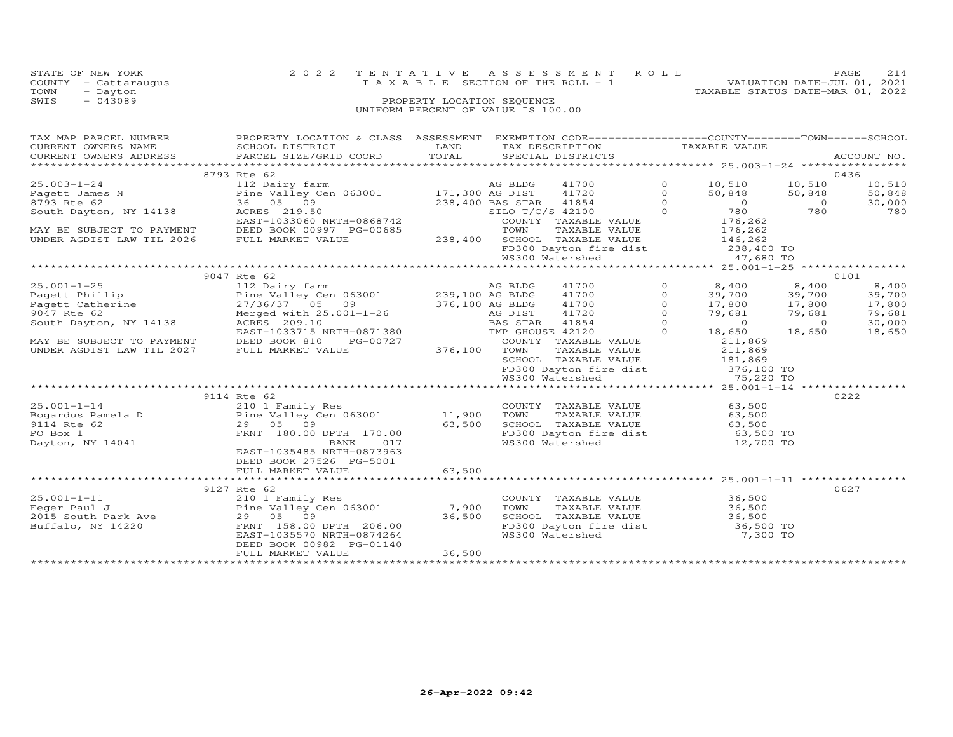| STATE OF NEW YORK<br>COUNTY<br>- Cattaraugus<br>TOWN<br>- Dayton<br>SWIS<br>$-043089$ | 2 0 2 2                                      | TENTATIVE<br>T A X A B L E SECTION OF THE ROLL - 1<br>PROPERTY LOCATION SEQUENCE<br>UNIFORM PERCENT OF VALUE IS 100.00 |                  | ASSESSMENT                                                                      | R O L L  | TAXABLE STATUS DATE-MAR 01, 2022 | VALUATION DATE-JUL 01, 2021 | PAGE<br>214 |
|---------------------------------------------------------------------------------------|----------------------------------------------|------------------------------------------------------------------------------------------------------------------------|------------------|---------------------------------------------------------------------------------|----------|----------------------------------|-----------------------------|-------------|
| TAX MAP PARCEL NUMBER<br>CURRENT OWNERS NAME                                          | PROPERTY LOCATION & CLASS<br>SCHOOL DISTRICT | ASSESSMENT<br>LAND                                                                                                     |                  | EXEMPTION CODE-----------------COUNTY-------TOWN------SCHOOL<br>TAX DESCRIPTION |          | TAXABLE VALUE                    |                             |             |
| CURRENT OWNERS ADDRESS                                                                | PARCEL SIZE/GRID COORD                       | TOTAL                                                                                                                  |                  | SPECIAL DISTRICTS                                                               |          |                                  |                             | ACCOUNT NO. |
|                                                                                       | 8793 Rte 62                                  |                                                                                                                        |                  |                                                                                 |          |                                  |                             | 0436        |
| $25.003 - 1 - 24$                                                                     | 112 Dairy farm                               |                                                                                                                        | AG BLDG          | 41700                                                                           |          | 10,510                           | 10,510                      | 10,510      |
| Pagett James N                                                                        | Pine Valley Cen 063001 171,300 AG DIST       |                                                                                                                        |                  | 41720                                                                           |          | 50,848                           | 50,848                      | 50,848      |
| 8793 Rte 62                                                                           | 36 05 09                                     |                                                                                                                        | 238,400 BAS STAR | 41854                                                                           |          | $\Omega$                         | $\circ$                     | 30,000      |
| South Dayton, NY 14138                                                                | ACRES 219.50                                 |                                                                                                                        | SILO T/C/S 42100 |                                                                                 |          | 780                              | 780                         | 780         |
|                                                                                       | EAST-1033060 NRTH-0868742                    |                                                                                                                        | COUNTY           | TAXABLE VALUE                                                                   |          | 176,262                          |                             |             |
| MAY BE SUBJECT TO PAYMENT                                                             | DEED BOOK 00997 PG-00685                     |                                                                                                                        | TOWN             | TAXABLE VALUE                                                                   |          | 176,262                          |                             |             |
| UNDER AGDIST LAW TIL 2026                                                             | FULL MARKET VALUE                            | 238,400                                                                                                                | SCHOOL           | TAXABLE VALUE                                                                   |          | 146,262                          |                             |             |
|                                                                                       |                                              |                                                                                                                        |                  | FD300 Dayton fire dist                                                          |          | 238,400 TO                       |                             |             |
|                                                                                       |                                              |                                                                                                                        |                  | WS300 Watershed                                                                 |          | 47,680 TO                        |                             |             |
|                                                                                       |                                              |                                                                                                                        |                  |                                                                                 |          |                                  |                             |             |
|                                                                                       | 9047 Rte 62                                  |                                                                                                                        |                  |                                                                                 |          |                                  |                             | 0101        |
| $25.001 - 1 - 25$                                                                     | 112 Dairy farm                               |                                                                                                                        | AG BLDG          | 41700                                                                           | $\Omega$ | 8,400                            | 8,400                       | 8,400       |
| Pagett Phillip                                                                        | Pine Valley Cen 063001                       |                                                                                                                        | 239,100 AG BLDG  | 41700                                                                           |          | 39,700                           | 39,700                      | 39,700      |
| Pagett Catherine                                                                      | 27/36/37 05<br>09                            |                                                                                                                        | 376,100 AG BLDG  | 41700                                                                           |          | 17,800                           | 17,800                      | 17,800      |
| 9047 Rte 62                                                                           | Merged with $25.001 - 1 - 26$                |                                                                                                                        | AG DIST          | 41720                                                                           |          | 79,681                           | 79,681                      | 79,681      |
| South Dayton, NY 14138                                                                | ACRES 209.10                                 |                                                                                                                        | BAS STAR         | 41854                                                                           |          | $\Omega$                         | $\Omega$                    | 30,000      |
|                                                                                       | EAST-1033715 NRTH-0871380                    |                                                                                                                        | TMP GHOUSE 42120 |                                                                                 | $\Omega$ | 18,650                           | 18,650                      | 18,650      |
| MAY BE SUBJECT TO PAYMENT                                                             | DEED BOOK 810<br>PG-00727                    |                                                                                                                        | COUNTY           | TAXABLE VALUE                                                                   |          | 211,869                          |                             |             |

|                           | PHIL DOOR UIT             |         | ------<br>thind vilod   | -------    |                  |
|---------------------------|---------------------------|---------|-------------------------|------------|------------------|
| UNDER AGDIST LAW TIL 2027 | FULL MARKET VALUE         | 376,100 | TOWN<br>TAXABLE VALUE   | 211,869    |                  |
|                           |                           |         | SCHOOL TAXABLE VALUE    | 181,869    |                  |
|                           |                           |         | FD300 Dayton fire dist  | 376,100 TO |                  |
|                           |                           |         | WS300 Watershed         | 75,220 TO  |                  |
|                           |                           |         |                         |            |                  |
|                           |                           |         |                         |            |                  |
|                           | 9114 Rte 62               |         |                         |            | 0222             |
| $25.001 - 1 - 14$         | 210 1 Family Res          |         | TAXABLE VALUE<br>COUNTY | 63,500     |                  |
| Bogardus Pamela D         | Pine Valley Cen 063001    | 11,900  | TOWN<br>TAXABLE VALUE   | 63,500     |                  |
| 9114 Rte 62               | 29 05 09                  | 63,500  | SCHOOL TAXABLE VALUE    | 63,500     |                  |
| PO Box 1                  | FRNT 180.00 DPTH 170.00   |         | FD300 Dayton fire dist  | 63,500 TO  |                  |
| Dayton, NY 14041          | 017<br>BANK               |         | WS300 Watershed         | 12,700 TO  |                  |
|                           | EAST-1035485 NRTH-0873963 |         |                         |            |                  |
|                           | DEED BOOK 27526 PG-5001   |         |                         |            |                  |
|                           |                           |         |                         |            |                  |
|                           | FULL MARKET VALUE         | 63,500  |                         |            |                  |
|                           |                           |         |                         |            | **************** |
|                           | 9127 Rte 62               |         |                         |            | 0627             |
| 25.001-1-11               | 210 1 Family Res          |         | COUNTY<br>TAXABLE VALUE | 36,500     |                  |
| Feger Paul J              | Pine Valley Cen 063001    | 7,900   | TOWN<br>TAXABLE VALUE   | 36,500     |                  |
| 2015 South Park Ave       | 29 05 09                  | 36,500  | SCHOOL<br>TAXABLE VALUE | 36,500     |                  |
| Buffalo, NY 14220         | FRNT 158.00 DPTH 206.00   |         | FD300 Dayton fire dist  | 36,500 TO  |                  |
|                           | EAST-1035570 NRTH-0874264 |         | WS300 Watershed         | 7,300 TO   |                  |
|                           | DEED BOOK 00982 PG-01140  |         |                         |            |                  |
|                           |                           |         |                         |            |                  |
|                           | FULL MARKET VALUE         | 36,500  |                         |            |                  |
|                           |                           |         |                         |            |                  |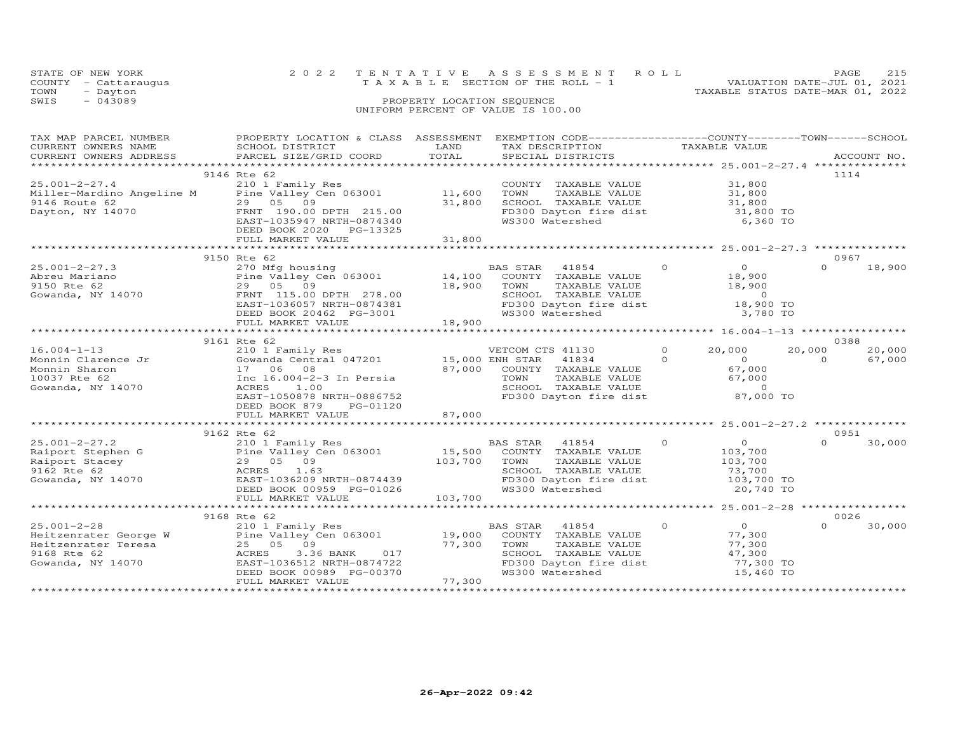|      | STATE OF NEW YORK                  |                            | 2022 TENTATIVE ASSESSMENT ROLL                                       | PAGE. |  |  |  |  |
|------|------------------------------------|----------------------------|----------------------------------------------------------------------|-------|--|--|--|--|
|      | COUNTY - Cattaraugus               |                            | VALUATION DATE-JUL 01, 2021<br>T A X A B L E SECTION OF THE ROLL - 1 |       |  |  |  |  |
| TOWN | - Dayton                           |                            | TAXABLE STATUS DATE-MAR 01, 2022                                     |       |  |  |  |  |
| SWIS | $-043089$                          | PROPERTY LOCATION SEQUENCE |                                                                      |       |  |  |  |  |
|      | UNIFORM PERCENT OF VALUE IS 100.00 |                            |                                                                      |       |  |  |  |  |

| TAX MAP PARCEL NUMBER  | PROPERTY LOCATION & CLASS ASSESSMENT EXEMPTION CODE----------------COUNTY-------TOWN-----SCHOOL |         |                                                |                            |                    |
|------------------------|-------------------------------------------------------------------------------------------------|---------|------------------------------------------------|----------------------------|--------------------|
| CURRENT OWNERS NAME    | SCHOOL DISTRICT                                                                                 | LAND    | TAX DESCRIPTION                                | TAXABLE VALUE              |                    |
| CURRENT OWNERS ADDRESS | PARCEL SIZE/GRID COORD                                                                          | TOTAL   | SPECIAL DISTRICTS                              |                            | ACCOUNT NO.        |
|                        |                                                                                                 |         |                                                |                            |                    |
|                        | 9146 Rte 62                                                                                     |         |                                                |                            | 1114               |
| $25.001 - 2 - 27.4$    | 210 1 Family Res                                                                                |         | COUNTY TAXABLE VALUE                           | 31,800                     |                    |
|                        | Miller-Mardino Angeline M Pine Valley Cen 063001 11,600<br>9146 Route 62 29 05 09 31.800        |         | TOWN<br>TAXABLE VALUE                          | 31,800                     |                    |
| 9146 Route 62          | 29 05 09                                                                                        | 31,800  | SCHOOL TAXABLE VALUE                           | 31,800                     |                    |
| Dayton, NY 14070       | FRNT 190.00 DPTH 215.00                                                                         |         | FD300 Dayton fire dist                         | 31,800 TO                  |                    |
|                        | EAST-1035947 NRTH-0874340                                                                       |         | WS300 Watershed                                | 6,360 TO                   |                    |
|                        | DEED BOOK 2020 PG-13325                                                                         |         |                                                |                            |                    |
|                        | FULL MARKET VALUE                                                                               | 31,800  |                                                |                            |                    |
|                        |                                                                                                 |         |                                                |                            |                    |
|                        | 9150 Rte 62                                                                                     |         |                                                |                            | 0967               |
| $25.001 - 2 - 27.3$    | 270 Mfg housing                                                                                 |         | 41854<br>BAS STAR                              | $\Omega$<br>$\overline{O}$ | $\Omega$<br>18,900 |
| Abreu Mariano          | Pine Valley Cen 063001                                                                          | 14,100  | COUNTY TAXABLE VALUE                           | 18,900                     |                    |
| 9150 Rte 62            | 29 05 09                                                                                        | 18,900  | TOWN<br>TAXABLE VALUE                          | 18,900                     |                    |
| Gowanda, NY 14070      | FRNT 115.00 DPTH 278.00                                                                         |         |                                                | $\overline{0}$             |                    |
|                        | EAST-1036057 NRTH-0874381                                                                       |         | SCHOOL TAXABLE VALUE<br>FD300 Dayton fire dist | 18,900 TO                  |                    |
|                        | DEED BOOK 20462 PG-3001                                                                         |         | WS300 Watershed                                | 3,780 TO                   |                    |
|                        | FULL MARKET VALUE                                                                               | 18,900  |                                                |                            |                    |
|                        |                                                                                                 |         |                                                |                            |                    |
|                        | 9161 Rte 62                                                                                     |         |                                                |                            | 0388               |
| $16.004 - 1 - 13$      | 210 1 Family Res                                                                                |         | VETCOM CTS 41130                               | $\circ$<br>20,000          | 20,000<br>20,000   |
| Monnin Clarence Jr     | Gowanda Central 047201 15,000 ENH STAR                                                          |         | 41834                                          | $\overline{a}$<br>$\Omega$ | $\Omega$<br>67,000 |
| Monnin Sharon          | 17 06 08                                                                                        | 87,000  | COUNTY TAXABLE VALUE                           | 67,000                     |                    |
| 10037 Rte 62           | Inc 16.004-2-3 In Persia                                                                        |         | TAXABLE VALUE<br>TOWN                          | 67,000                     |                    |
| Gowanda, NY 14070      | ACRES<br>1.00                                                                                   |         | SCHOOL TAXABLE VALUE                           | $\overline{0}$             |                    |
|                        | EAST-1050878 NRTH-0886752                                                                       |         | FD300 Dayton fire dist                         | 87,000 TO                  |                    |
|                        | DEED BOOK 879<br>PG-01120                                                                       |         |                                                |                            |                    |
|                        | FULL MARKET VALUE                                                                               | 87,000  |                                                |                            |                    |
|                        |                                                                                                 |         |                                                |                            |                    |
|                        | 9162 Rte 62                                                                                     |         |                                                |                            | 0951               |
| $25.001 - 2 - 27.2$    | 210 1 Family Res                                                                                |         | BAS STAR<br>41854                              | $\Omega$<br>$\overline{O}$ | $\Omega$           |
|                        | Pine Valley Cen 063001                                                                          | 15,500  | COUNTY TAXABLE VALUE                           |                            | 30,000             |
| Raiport Stephen G      | 29 05 09                                                                                        |         |                                                | 103,700                    |                    |
| Raiport Stacey         |                                                                                                 | 103,700 | TOWN<br>TAXABLE VALUE                          | 103,700                    |                    |
| 9162 Rte 62            | ACRES<br>1.63                                                                                   |         | SCHOOL TAXABLE VALUE                           | 73,700                     |                    |
| Gowanda, NY 14070      | EAST-1036209 NRTH-0874439                                                                       |         | FD300 Dayton fire dist                         | 103,700 TO                 |                    |
|                        | DEED BOOK 00959 PG-01026                                                                        |         | WS300 Watershed                                | 20,740 TO                  |                    |
|                        | FULL MARKET VALUE                                                                               | 103,700 |                                                |                            |                    |
|                        |                                                                                                 |         |                                                |                            |                    |
|                        | 9168 Rte 62                                                                                     |         |                                                |                            | 0026               |
| $25.001 - 2 - 28$      | 210 1 Family Res                                                                                |         | BAS STAR<br>41854                              | $\Omega$<br>$\overline{O}$ | $\Omega$<br>30,000 |
|                        |                                                                                                 | 19,000  | COUNTY TAXABLE VALUE                           | 77,300                     |                    |
|                        | Heitzenrater George W Pine Valley Cen 063001<br>Heitzenrater Teresa 25 05 09 09 117             | 77,300  | TOWN<br>TAXABLE VALUE                          | 77,300                     |                    |
| 9168 Rte 62            | ACRES<br>3.36 BANK 017                                                                          |         | SCHOOL TAXABLE VALUE                           | 47,300                     |                    |
| Gowanda, NY 14070      | EAST-1036512 NRTH-0874722                                                                       |         | FD300 Dayton fire dist                         | 77,300 TO                  |                    |
|                        | DEED BOOK 00989 PG-00370                                                                        |         | WS300 Watershed                                | 15,460 TO                  |                    |
|                        | FULL MARKET VALUE                                                                               | 77,300  |                                                |                            |                    |
|                        |                                                                                                 |         |                                                |                            |                    |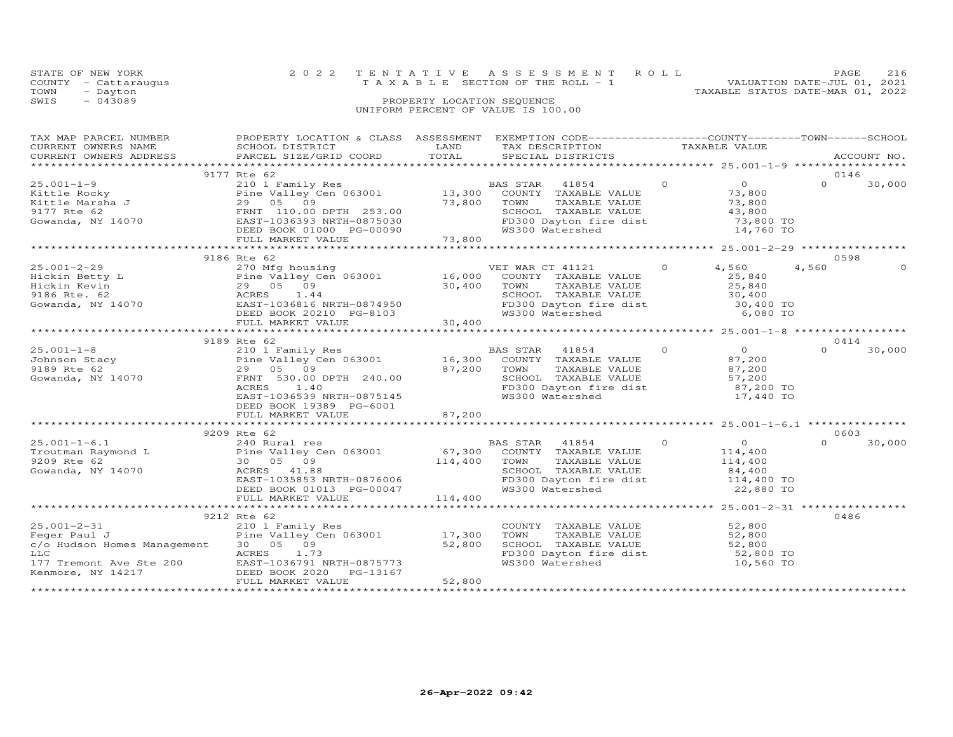|      | STATE OF NEW YORK    |                            | 2022 TENTATIVE ASSESSMENT ROLL        |  |  |  |                                  | PAGE                        | 216 |
|------|----------------------|----------------------------|---------------------------------------|--|--|--|----------------------------------|-----------------------------|-----|
|      | COUNTY - Cattaraugus |                            | T A X A B L E SECTION OF THE ROLL - 1 |  |  |  |                                  | VALUATION DATE-JUL 01, 2021 |     |
| TOWN | - Dayton             |                            |                                       |  |  |  | TAXABLE STATUS DATE-MAR 01, 2022 |                             |     |
| SWIS | $-043089$            | PROPERTY LOCATION SEQUENCE |                                       |  |  |  |                                  |                             |     |
|      |                      |                            | UNIFORM PERCENT OF VALUE IS 100.00    |  |  |  |                                  |                             |     |

| TAX MAP PARCEL NUMBER<br>CURRENT OWNERS NAME<br>CURRENT OWNERS ADDRESS                                                                                                                                                                                                                                                                                                                                                  | PROPERTY LOCATION & CLASS ASSESSMENT EXEMPTION CODE----------------COUNTY-------TOWN-----SCHOOL<br>SCHOOL DISTRICT LAND<br>PARCEL SIZE/GRID COORD                     | TOTAL            | TAX DESCRIPTION TAXABLE VALUE<br>SPECIAL DISTRICTS TAXABLE VALUE                                                                                                                                                                                |          |                                                                         |          | ACCOUNT NO.    |
|-------------------------------------------------------------------------------------------------------------------------------------------------------------------------------------------------------------------------------------------------------------------------------------------------------------------------------------------------------------------------------------------------------------------------|-----------------------------------------------------------------------------------------------------------------------------------------------------------------------|------------------|-------------------------------------------------------------------------------------------------------------------------------------------------------------------------------------------------------------------------------------------------|----------|-------------------------------------------------------------------------|----------|----------------|
|                                                                                                                                                                                                                                                                                                                                                                                                                         |                                                                                                                                                                       |                  |                                                                                                                                                                                                                                                 |          |                                                                         |          |                |
| $25.001 - 1 - 9$                                                                                                                                                                                                                                                                                                                                                                                                        | 9177 Rte 62<br>210 1 Family Res                                                                                                                                       |                  | BAS STAR 41854<br>TAXABLE VALUE 73,800<br>TAXABLE VALUE 73,800<br>SCHOOL TAXABLE VALUE $\begin{array}{ccc} 43,800 \ \text{FD300\;} \text{Dayton} \text{ fire dist} & 73,800 \ \text{WS300\;} \text{Watershed} & 14,760 \ \text{TO} \end{array}$ | $\Omega$ | $\overline{0}$                                                          | $\Omega$ | 0146<br>30,000 |
|                                                                                                                                                                                                                                                                                                                                                                                                                         |                                                                                                                                                                       |                  |                                                                                                                                                                                                                                                 |          |                                                                         |          |                |
| $25.001 - 2 - 29$<br>$\begin{tabular}{lllllllllllll} 25.001-2-29 & 270\ \text{Mfg housing} & \text{VET WAR CT 41121} & 0 & 4,560 & 4,560 & 0 \\ \text{Hickin Betty L} & \text{Pine Valley Cen 063001} & 16,000\ \text{COUNTY TAXABLE VALUE} & 25,840 & 25,840 \\ \text{Hickin Kevin Kevin Kevin Kevin T.} & 29 05 & 09 & 30,400 & \text{TONIN XXABLE VALUE} & 25,840 & 25,840 \\ \text{Bick in Kevin Kevin Kevin T.} &$ | 9186 Rte 62                                                                                                                                                           |                  | VET WAR CT 41121                                                                                                                                                                                                                                | $\Omega$ | 4,560                                                                   | 4,560    | 0598           |
|                                                                                                                                                                                                                                                                                                                                                                                                                         | 9189 Rte 62                                                                                                                                                           |                  |                                                                                                                                                                                                                                                 |          |                                                                         |          | 0414           |
| 15.001-1-8 210 1 Family Res BAS STAR 41854<br>16,300 COUNTY TAXABLE VALUE<br>9189 Rte 62 29 05 09 87,200 TOWN TAXABLE VALUE<br>9189 Rte 62 29 05 09 87,200 TOWN TAXABLE VALUE<br>530.00 DPTH 240.00 SCHOOL TAXABLE VALUE                                                                                                                                                                                                | Pine Valley Cen 063001<br>29 05 09 87,200 TOWN<br>FRNT 530.00 DPTH 240.00 87,200 SCHOO1<br>2000 1000 1000 PTD<br>EAST-1036539 NRTH-0875145<br>DEED BOOK 19389 PG-6001 |                  | BAS STAR 41854<br>TAXABLE VALUE<br>SCHOOL TAXABLE VALUE 57,200<br>FD300 Dayton fire dist 87,200 TO<br>WS300 Watershed                                                                                                                           | $\Omega$ | $\begin{array}{c}0\\87.200\end{array}$<br>87,200<br>87,200<br>17,440 TO | $\Omega$ | 30,000         |
|                                                                                                                                                                                                                                                                                                                                                                                                                         | FULL MARKET VALUE                                                                                                                                                     | 87,200           |                                                                                                                                                                                                                                                 |          |                                                                         |          |                |
|                                                                                                                                                                                                                                                                                                                                                                                                                         | 9209 Rte 62                                                                                                                                                           |                  |                                                                                                                                                                                                                                                 |          |                                                                         |          | 0603           |
| $\begin{array}{ccccccccc} 25.001-1-6.1 & 240 & \text{Rural res} & \text{BAS STAR} & 41854 & 0 \\ \text{Troutman Raymond L} & \text{Pine Valley Cen 063001} & 67,300 & \text{COUNTY TAXABLE VALUE} \\ 30 & 05 & 09 & 114,400 & \text{TAXABLE VALUE} \\ \text{Gowanda. NY 14070} & \text{ACRES} & 41.88 & \text{SCROOL TAXABLE VALUE} \end{array}$<br>Gowanda, NY 14070                                                   | ACRES 41.88<br>EAST-1035853 NRTH-0876006<br>DEED BOOK 01013 PG-00047                                                                                                  |                  | TAXABLE VALUE<br>TAXABLE VALUE 114,400<br>TAXABLE VALUE 14,400<br>SCHOOL TAXABLE VALUE 84,400<br>SCHOOL TAXABLE VALUE 84,400 TO<br>FD300 Dayton fire dist 114,400 TO<br>WS300 Watershed                                                         |          | $0$<br>114,400<br>22,880 TO                                             | $\Omega$ | 30,000         |
|                                                                                                                                                                                                                                                                                                                                                                                                                         |                                                                                                                                                                       |                  |                                                                                                                                                                                                                                                 |          |                                                                         |          |                |
| $25.001 - 2 - 31$<br>Feger Paul J<br>c/o Hudson Homes Management 30 05 09<br>Kenmore, NY 14217                                                                                                                                                                                                                                                                                                                          | 9212 Rte 62<br>210 1 Family Res<br>Pine Valley Cen 063001 17,300<br><b>ACRES</b><br>DEED BOOK 2020<br>PG-13167<br>FULL MARKET VALUE                                   | 52,800<br>52,800 | COUNTY TAXABLE VALUE 52,800<br>TAXABLE VALUE 52,800<br>TAXABLE VALUE 52,800<br>TOWN<br>SCHOOL TAXABLE VALUE 52,800<br>FD300 Dayton fire dist 52,800 TO<br>WS300 Watershed                                                                       |          | 10,560 TO                                                               |          | 0486           |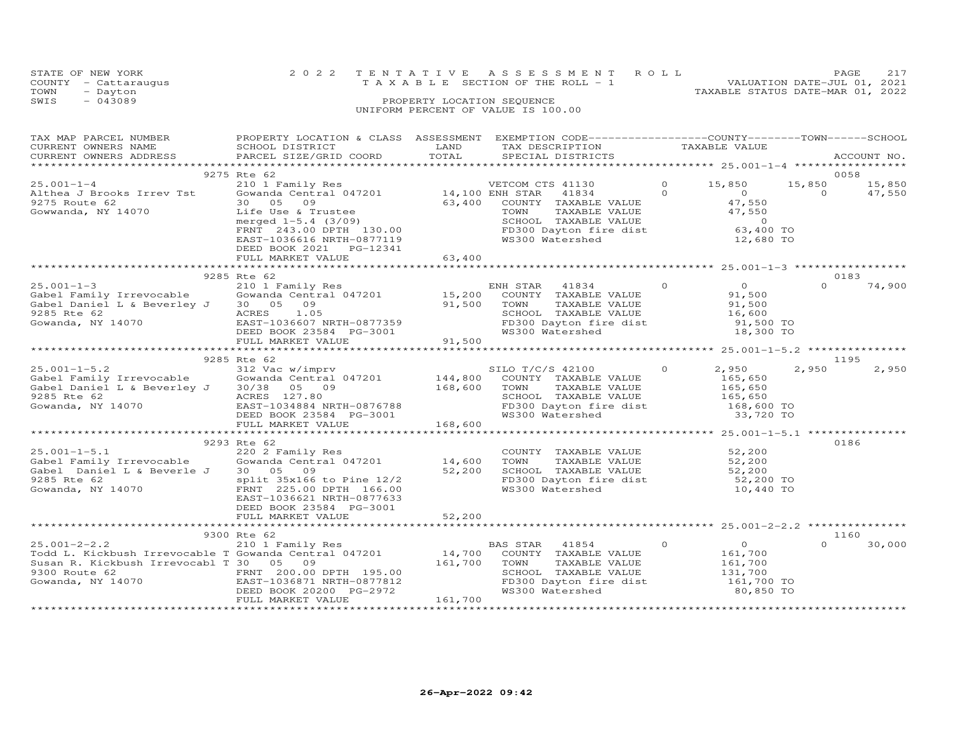| TOWN<br>- Dayton<br>$-043089$<br>SWIS                                                                                            | PROPERTY LOCATION SEQUENCE<br>UNIFORM PERCENT OF VALUE IS 100.00                                                                                                                                                                                                     | TAXABLE STATUS DATE-MAR 01, 2022 |                                                                                                                                                                         |                      |                                                                           |                    |                  |
|----------------------------------------------------------------------------------------------------------------------------------|----------------------------------------------------------------------------------------------------------------------------------------------------------------------------------------------------------------------------------------------------------------------|----------------------------------|-------------------------------------------------------------------------------------------------------------------------------------------------------------------------|----------------------|---------------------------------------------------------------------------|--------------------|------------------|
| TAX MAP PARCEL NUMBER<br>CURRENT OWNERS NAME<br>CURRENT OWNERS ADDRESS                                                           | PROPERTY LOCATION & CLASS ASSESSMENT EXEMPTION CODE----------------COUNTY-------TOWN------SCHOOL<br>SCHOOL DISTRICT<br>PARCEL SIZE/GRID COORD                                                                                                                        | LAND<br>TOTAL                    | TAX DESCRIPTION<br>SPECIAL DISTRICTS                                                                                                                                    |                      | TAXABLE VALUE                                                             |                    | ACCOUNT NO.      |
|                                                                                                                                  | 9275 Rte 62                                                                                                                                                                                                                                                          |                                  |                                                                                                                                                                         |                      |                                                                           |                    | 0058             |
| $25.001 - 1 - 4$<br>Althea J Brooks Irrev Tst<br>9275 Route 62<br>Gowwanda, NY 14070                                             | 210 1 Family Res<br>Gowanda Central 047201 14,100 ENH STAR<br>30 05 09<br>Life Use & Trustee<br>merged 1-5.4 (3/09)<br>merged 1-5.4 (3/09)<br>FRNT 243.00 DPTH 130.00<br>FD300 Dayton fire dist 63,400 TO<br>EAST-1036616 NRTH-0877119<br>DEED BOOK 2021    PG-12341 |                                  | VETCOM CTS 41130<br>41834<br>63,400 COUNTY TAXABLE VALUE<br>TAXABLE VALUE 47,550<br>TAXABLE VALUE 47,550<br>TOWN<br>WS300 Watershed                                     | $\Omega$<br>$\Omega$ | 15,850<br>$\begin{array}{c}\n0 \\ 47\n\end{array}$<br>47,550<br>12,680 TO | 15,850<br>$\Omega$ | 15,850<br>47,550 |
|                                                                                                                                  | FULL MARKET VALUE                                                                                                                                                                                                                                                    | 63,400                           |                                                                                                                                                                         |                      |                                                                           |                    |                  |
|                                                                                                                                  | 9285 Rte 62                                                                                                                                                                                                                                                          |                                  |                                                                                                                                                                         |                      |                                                                           |                    | 0183             |
| $25.001 - 1 - 3$<br>zɔ.uul-l-3<br>Gabel Family Irrevocable<br>Gabel Daniel L & Beverley J<br>9285 Rte 62<br>Gowanda, NY 14070    | 210 1 Family Res<br>Gowanda Central 047201 15,200 COUNTY TAXABLE VALUE<br>30 05 09<br>ACRES 1.05<br>EAST-1036607 NRTH-0877359<br>DEED BOOK 23584 PG-3001<br>FULL MARKET VALUE                                                                                        | 91,500 TOWN<br>91500<br>91,500   | TOWN TAXABLE VALUE 51,500<br>SCHOOL TAXABLE VALUE 16,600<br>FD300 Dayton fire dist 91,500 TO<br>WS300 Watershed                                                         | $\overline{O}$       | $\overline{0}$<br>91,500<br>18,300 TO                                     | $\Omega$           | 74,900           |
|                                                                                                                                  |                                                                                                                                                                                                                                                                      |                                  |                                                                                                                                                                         |                      |                                                                           |                    |                  |
| $25.001 - 1 - 5.2$<br>Gabel Family Irrevocable<br>Gabel Daniel L & Beverley J<br>9285 Rte 62<br>Gowanda, NY 14070                | 9285 Rte 62<br>312 Vac w/imprv<br>Gowanda Central 047201 144,800 COUNTY TAXABLE VALUE<br>30/38 05 09<br>ACRES 127.80<br>EAST-1034884 NRTH-0876788<br>DEED BOOK 23584 PG-3001<br>FULL MARKET VALUE                                                                    | $168,600$ TOWN<br>168,600        | SILO T/C/S 42100<br>TAXABLE VALUE<br>SCHOOL TAXABLE VALUE<br>DONOOD TILE<br>FD300 Dayton fire dist<br>WS300 Watershed                                                   | $\overline{0}$       | 2,950<br>165,650<br>165,650<br>165,650<br>$168,600$ TO<br>33,720 TO       | 2,950              | 1195<br>2,950    |
|                                                                                                                                  |                                                                                                                                                                                                                                                                      |                                  |                                                                                                                                                                         |                      |                                                                           |                    |                  |
| $25.001 - 1 - 5.1$<br>∠ɔ.∪∪ı−ı−ɔ.l<br>Gabel Family Irrevocable<br>Gabel Daniel L & Beverle J<br>9285 Rte 62<br>Gowanda, NY 14070 | 9293 Rte 62<br>220 2 Family Res<br>Gowanda Central 047201 14,600<br>30 05 09<br>split 35x166 to Pine 12/2<br>FRNT 225.00 DPTH 166.00<br>EAST-1036621 NRTH-0877633<br>DEED BOOK 23584 PG-3001<br>FULL MARKET VALUE                                                    | 52,200<br>52,200                 | COUNTY TAXABLE VALUE 52,200<br>TOWN TAXABLE VALUE 52,200<br>TOWN TAXABLE VALUE<br>SCHOOL TAXABLE VALUE 52,200<br>52,200 TO<br>FD300 Dayton fire dist<br>WS300 Watershed |                      | 10,440 TO                                                                 |                    | 0186             |

STATE OF NEW YORK 2 0 2 2 T E N T A T I V E A S S E S S M E N T R O L L PAGE 217 COUNTY - Cattaraugus T A X A B L E SECTION OF THE ROLL - 1 VALUATION DATE-JUL 01, 2021

\*\*\*\*\*\*\*\*\*\*\*\*\*\*\*\*\*\*\*\*\*\*\*\*\*\*\*\*\*\*\*\*\*\*\*\*\*\*\*\*\*\*\*\*\*\*\*\*\*\*\*\*\*\*\*\*\*\*\*\*\*\*\*\*\*\*\*\*\*\*\*\*\*\*\*\*\*\*\*\*\*\*\*\*\*\*\*\*\*\*\*\*\*\*\*\*\*\*\*\*\*\*\* 25.001-2-2.2 \*\*\*\*\*\*\*\*\*\*\*\*\*\*\* 9300 Rte 62 1160 25.001-2-2.2 210 1 Family Res BAS STAR 41854 0 0 0 30,000 Todd L. Kickbush Irrevocable T Gowanda Central 047201 14,700 COUNTY TAXABLE VALUE 161,700 Susan R. Kickbush Irrevocabl T 30 05 09 161,700 TOWN TAXABLE VALUE 161,700 9300 Route 62 FRNT 200.00 DPTH 195.00 SCHOOL TAXABLE VALUE 131,700 Gowanda, NY 14070 EAST-1036871 NRTH-0877812 FD300 Dayton fire dist 161,700 TO DEED BOOK 20200 PG-2972 WS300 Watershed 80,850 TO FULL MARKET VALUE 161,700 \*\*\*\*\*\*\*\*\*\*\*\*\*\*\*\*\*\*\*\*\*\*\*\*\*\*\*\*\*\*\*\*\*\*\*\*\*\*\*\*\*\*\*\*\*\*\*\*\*\*\*\*\*\*\*\*\*\*\*\*\*\*\*\*\*\*\*\*\*\*\*\*\*\*\*\*\*\*\*\*\*\*\*\*\*\*\*\*\*\*\*\*\*\*\*\*\*\*\*\*\*\*\*\*\*\*\*\*\*\*\*\*\*\*\*\*\*\*\*\*\*\*\*\*\*\*\*\*\*\*\*\*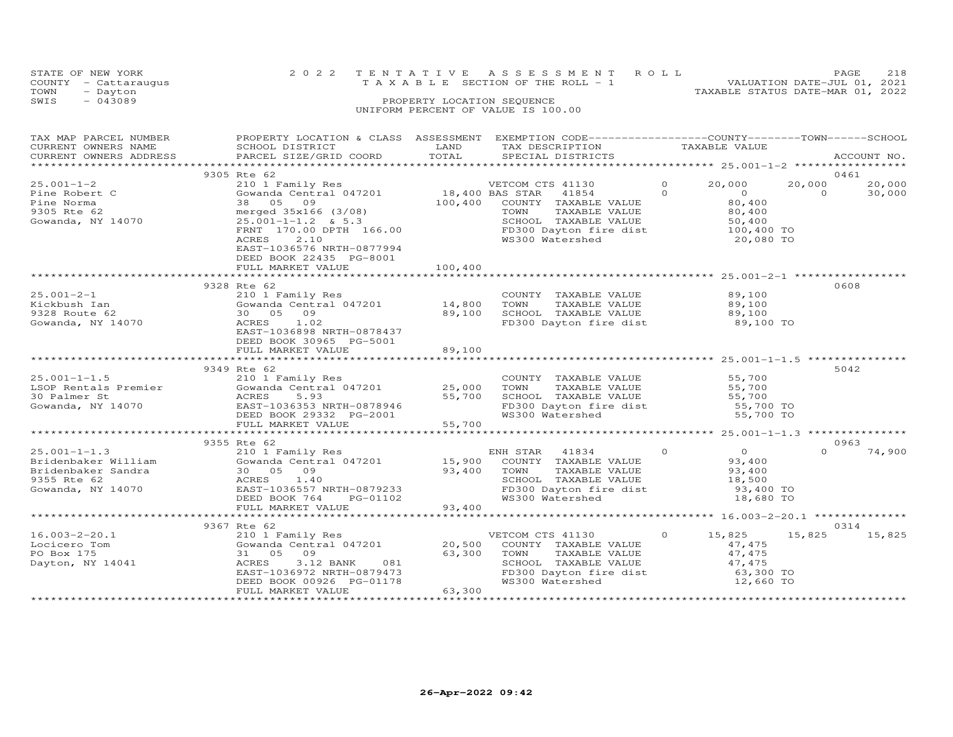| STATE OF NEW YORK    | 2022 TENTATIVE ASSESSMENT ROLL        | 2.18<br><b>PAGE</b>              |
|----------------------|---------------------------------------|----------------------------------|
| COUNTY - Cattaraugus | T A X A B L E SECTION OF THE ROLL - 1 | VALUATION DATE-JUL 01, 2021      |
| TOWN<br>- Dayton     |                                       | TAXABLE STATUS DATE-MAR 01, 2022 |
| SWIS<br>$-043089$    | PROPERTY LOCATION SEQUENCE            |                                  |
|                      | UNIFORM PERCENT OF VALUE IS 100.00    |                                  |
|                      |                                       |                                  |

| TAX MAP PARCEL NUMBER<br>CURRENT OWNERS NAME<br>CURRENT OWNERS ADDRESS              | PROPERTY LOCATION & CLASS ASSESSMENT<br>SCHOOL DISTRICT<br>PARCEL SIZE/GRID COORD                                                                                                                                                        | LAND<br>TOTAL                           | EXEMPTION CODE-----------------COUNTY-------TOWN------SCHOOL<br>TAX DESCRIPTION<br>SPECIAL DISTRICTS                                            |                      | TAXABLE VALUE                                                               |                    | ACCOUNT NO.      |
|-------------------------------------------------------------------------------------|------------------------------------------------------------------------------------------------------------------------------------------------------------------------------------------------------------------------------------------|-----------------------------------------|-------------------------------------------------------------------------------------------------------------------------------------------------|----------------------|-----------------------------------------------------------------------------|--------------------|------------------|
|                                                                                     |                                                                                                                                                                                                                                          |                                         |                                                                                                                                                 |                      |                                                                             |                    |                  |
|                                                                                     | 9305 Rte 62                                                                                                                                                                                                                              |                                         |                                                                                                                                                 |                      |                                                                             |                    | 0461             |
| $25.001 - 1 - 2$<br>Pine Robert C<br>Pine Norma<br>9305 Rte 62<br>Gowanda, NY 14070 | 210 1 Family Res<br>Gowanda Central 047201<br>38 05<br>09<br>merged $35x166$ (3/08)<br>$25.001 - 1 - 1.2$ & 5.3<br>FRNT 170.00 DPTH 166.00<br>ACRES<br>2.10<br>EAST-1036576 NRTH-0877994<br>DEED BOOK 22435 PG-8001<br>FULL MARKET VALUE | $18,400$ BAS STAR<br>100,400<br>100,400 | VETCOM CTS 41130<br>41854<br>COUNTY TAXABLE VALUE<br>TOWN<br>TAXABLE VALUE<br>SCHOOL TAXABLE VALUE<br>FD300 Dayton fire dist<br>WS300 Watershed | $\Omega$<br>$\Omega$ | 20,000<br>$\Omega$<br>80,400<br>80,400<br>50,400<br>100,400 TO<br>20,080 TO | 20,000<br>$\Omega$ | 20,000<br>30,000 |
|                                                                                     | **************************                                                                                                                                                                                                               | *************                           |                                                                                                                                                 |                      |                                                                             |                    |                  |
|                                                                                     | 9328 Rte 62                                                                                                                                                                                                                              |                                         |                                                                                                                                                 |                      |                                                                             |                    | 0608             |
| $25.001 - 2 - 1$<br>Kickbush Ian<br>9328 Route 62<br>Gowanda, NY 14070              | 210 1 Family Res<br>$310$ T $1 \text{cm}$ <sub>1</sub> $100$ $14,800$<br>30 05 09<br>ACRES<br>1.02<br>EAST-1036898 NRTH-0878437<br>DEED BOOK 30965 PG-5001                                                                               | 89,100                                  | COUNTY TAXABLE VALUE<br>TOWN<br>TAXABLE VALUE<br>SCHOOL TAXABLE VALUE<br>FD300 Dayton fire dist                                                 |                      | 89,100<br>89,100<br>89,100<br>89,100 TO                                     |                    |                  |
|                                                                                     | FULL MARKET VALUE                                                                                                                                                                                                                        | 89,100                                  |                                                                                                                                                 |                      |                                                                             |                    |                  |
|                                                                                     | 9349 Rte 62                                                                                                                                                                                                                              |                                         |                                                                                                                                                 |                      |                                                                             |                    | 5042             |
| $25.001 - 1 - 1.5$<br>LSOP Rentals Premier<br>30 Palmer St<br>Gowanda, NY 14070     | 210 1 Family Res<br>Gowanda Central 047201<br>ACRES<br>5.93<br>EAST-1036353 NRTH-0878946<br>DEED BOOK 29332 PG-2001<br>FULL MARKET VALUE                                                                                                 | 25,000<br>55,700<br>55,700              | COUNTY TAXABLE VALUE<br>TOWN<br>TAXABLE VALUE<br>SCHOOL TAXABLE VALUE<br>FD300 Dayton fire dist<br>WS300 Watershed                              |                      | 55,700<br>55,700<br>55,700<br>55,700 TO<br>55,700 TO                        |                    |                  |
|                                                                                     | *************************                                                                                                                                                                                                                |                                         |                                                                                                                                                 |                      |                                                                             |                    |                  |
| $25.001 - 1 - 1.3$<br>Bridenbaker William<br>Bridenbaker Sandra                     | 9355 Rte 62<br>210 1 Family Res<br>Gowanda Central 047201<br>30 05 09                                                                                                                                                                    | 15,900<br>93,400                        | ENH STAR 41834<br>COUNTY TAXABLE VALUE<br>TOWN<br>TAXABLE VALUE                                                                                 | $\circ$              | $\circ$<br>93,400<br>93,400                                                 | $\Omega$           | 0963<br>74,900   |
| 9355 Rte 62<br>Gowanda, NY 14070                                                    | 1.40<br>ACRES<br>EAST-1036557 NRTH-0879233<br>DEED BOOK 764<br>PG-01102<br>FULL MARKET VALUE                                                                                                                                             | 93,400                                  | SCHOOL TAXABLE VALUE<br>FD300 Dayton fire dist<br>WS300 Watershed                                                                               |                      | 18,500<br>93,400 TO<br>18,680 TO                                            |                    |                  |
|                                                                                     | ****************************                                                                                                                                                                                                             |                                         |                                                                                                                                                 |                      |                                                                             |                    |                  |
|                                                                                     | 9367 Rte 62                                                                                                                                                                                                                              |                                         |                                                                                                                                                 |                      |                                                                             |                    | 0314             |
| $16.003 - 2 - 20.1$<br>Locicero Tom<br>PO Box 175<br>Dayton, NY 14041               | 210 1 Family Res<br>Gowanda Central 047201<br>31 05<br>09<br><b>ACRES</b><br>3.12 BANK<br>081<br>EAST-1036972 NRTH-0879473<br>DEED BOOK 00926 PG-01178                                                                                   | 20,500<br>63,300                        | VETCOM CTS 41130<br>COUNTY TAXABLE VALUE<br>TAXABLE VALUE<br>TOWN<br>SCHOOL TAXABLE VALUE<br>FD300 Dayton fire dist<br>WS300 Watershed          | $\circ$              | 15,825<br>47,475<br>47,475<br>47,475<br>63,300 TO<br>12,660 TO              | 15,825             | 15,825           |
|                                                                                     | FULL MARKET VALUE                                                                                                                                                                                                                        | 63,300<br>********************          |                                                                                                                                                 |                      |                                                                             |                    |                  |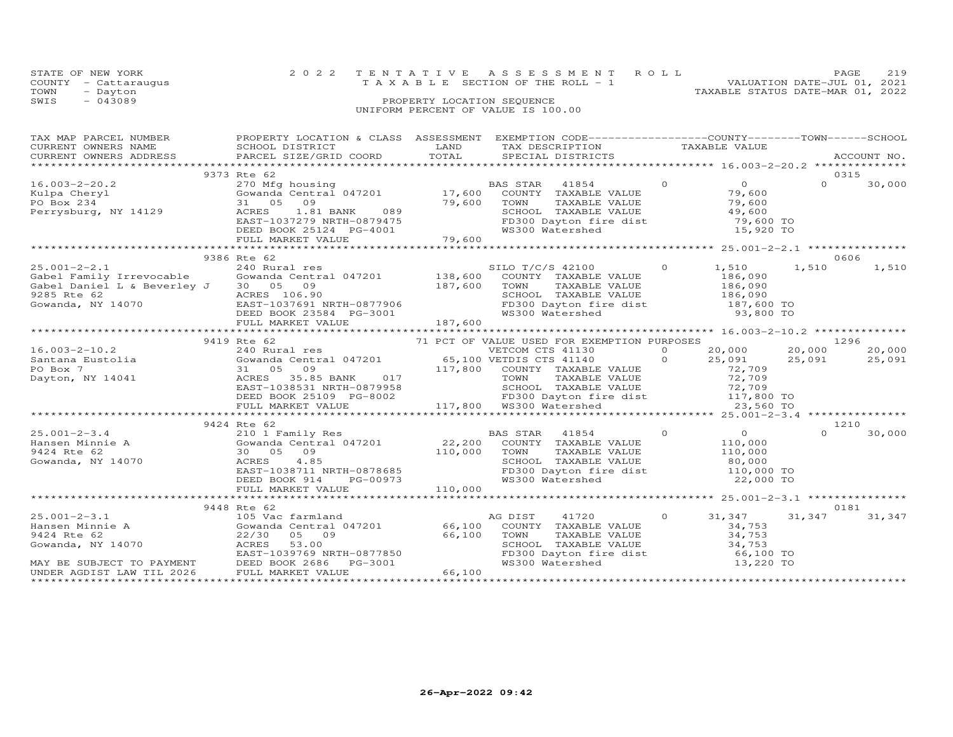|      | STATE OF NEW YORK                  |                            | 2022 TENTATIVE ASSESSMENT ROLL                                       | PAGE | 219 |  |  |  |
|------|------------------------------------|----------------------------|----------------------------------------------------------------------|------|-----|--|--|--|
|      | COUNTY - Cattaraugus               |                            | VALUATION DATE-JUL 01, 2021<br>T A X A B L E SECTION OF THE ROLL - 1 |      |     |  |  |  |
| TOWN | - Dayton                           |                            | TAXABLE STATUS DATE-MAR 01, 2022                                     |      |     |  |  |  |
| SWIS | $-043089$                          | PROPERTY LOCATION SEQUENCE |                                                                      |      |     |  |  |  |
|      | UNIFORM PERCENT OF VALUE IS 100.00 |                            |                                                                      |      |     |  |  |  |

| TAX MAP PARCEL NUMBER                                             | PROPERTY LOCATION & CLASS ASSESSMENT EXEMPTION CODE----------------COUNTY-------TOWN------SCHOOL<br>TAX MAP PARCES NUMBER TROPING TO PROPERT ON A CONSIDERT OF THE CONSULTER THE MANUS CONSULTER ACCOUNT NO.<br>CURRENT OWNERS NAME BOOT DISTRICTS ACCOUNT NO AND TAXABLE VALUE<br>TEXT ON TAXABLE VALUE PARCEL STATE STATE OORD TOTAL<br>CURRENT OWNERS ADDRESS PARCEL SIZE/GRID COORD TOTAL |                                                                                                                           |               |                    |
|-------------------------------------------------------------------|-----------------------------------------------------------------------------------------------------------------------------------------------------------------------------------------------------------------------------------------------------------------------------------------------------------------------------------------------------------------------------------------------|---------------------------------------------------------------------------------------------------------------------------|---------------|--------------------|
|                                                                   | 9373 Rte 62                                                                                                                                                                                                                                                                                                                                                                                   |                                                                                                                           |               | 0315               |
|                                                                   | 16.003-2-20.2<br>Example 19970 Milpa Cheryl<br>270 Milpa Cheryl<br>270 Milpa Cheryl<br>270 Milpa Cheryl<br>270 Milpa Cheryl<br>279,600<br>29 Milpa Cherysburg, NY 14129<br>29,600<br>29,600<br>29,600<br>29,600<br>29,600<br>29,600<br>29,600<br>29,600<br>29,                                                                                                                                | TOWN TAXABLE VALUE 79,600<br>SCHOOL TAXABLE VALUE 79,600<br>FD300 Dayton fire dist 79,600 TO<br>WS300 Watershed 15,920 TO |               | $\Omega$<br>30,000 |
|                                                                   |                                                                                                                                                                                                                                                                                                                                                                                               |                                                                                                                           |               |                    |
|                                                                   | 9386 Rte 62                                                                                                                                                                                                                                                                                                                                                                                   |                                                                                                                           |               | 0606               |
|                                                                   | $\begin{tabular}{lllllllllllllllllllll} \begin{array}{c} & 9386 \mbox{ Rte} & 62 & 2400 & 1,510 & 1,510 & 1,510 & 1,510 & 1,510 & 1,510 & 1,510 & 1,510 & 1,510 & 1,510 & 1,510 & 1,510 & 1,510 & 1,510 & 1,510 & 1,510 & 1,510 & 1,510 & 1,510 & 1,510 & 1,510 & 1,510 & 1,510 & 1,510 & 1,$                                                                                                 | SILO T/C/S 42100 0 1,510 1,510                                                                                            |               | 1,510              |
|                                                                   |                                                                                                                                                                                                                                                                                                                                                                                               |                                                                                                                           |               |                    |
|                                                                   | 9419 Rte 62                                                                                                                                                                                                                                                                                                                                                                                   |                                                                                                                           |               |                    |
|                                                                   |                                                                                                                                                                                                                                                                                                                                                                                               |                                                                                                                           |               | 20,000             |
| 16.003-2-10.2<br>Santana Eustolia<br>PO Box 7<br>Dayton, NY 14041 | Fig. 62 31 05 20,000 71 PCT OF VALUE USED FOR EXEMPTION PURPOSES<br>240 Rural central 047201 65,100 VETCOM CTS 41130 0 20,000 20,000<br>31 05 09 117,800 COUNTY TAXABLE VALUE 72,709<br>ACRES 35.85 BANK 017 117,800 TOWN TAXABLE VA                                                                                                                                                          |                                                                                                                           |               | 25,091             |
|                                                                   |                                                                                                                                                                                                                                                                                                                                                                                               |                                                                                                                           |               |                    |
|                                                                   |                                                                                                                                                                                                                                                                                                                                                                                               |                                                                                                                           |               |                    |
|                                                                   | 9424 Rte 62                                                                                                                                                                                                                                                                                                                                                                                   |                                                                                                                           |               | 1210               |
|                                                                   |                                                                                                                                                                                                                                                                                                                                                                                               |                                                                                                                           |               |                    |
|                                                                   |                                                                                                                                                                                                                                                                                                                                                                                               |                                                                                                                           |               |                    |
|                                                                   |                                                                                                                                                                                                                                                                                                                                                                                               |                                                                                                                           |               |                    |
|                                                                   | 9448 Rte 62                                                                                                                                                                                                                                                                                                                                                                                   |                                                                                                                           |               | 0181               |
|                                                                   |                                                                                                                                                                                                                                                                                                                                                                                               | TOWN TAXABLE VALUE<br>SCHOOL TAXABLE VALUE<br>FD300 Dayton fire dist<br>WS300 Watershed<br>WS300 Watershed<br>13,220 TO   | $0 \t 31,347$ | 31,347<br>31,347   |
|                                                                   |                                                                                                                                                                                                                                                                                                                                                                                               |                                                                                                                           |               |                    |
|                                                                   |                                                                                                                                                                                                                                                                                                                                                                                               |                                                                                                                           |               |                    |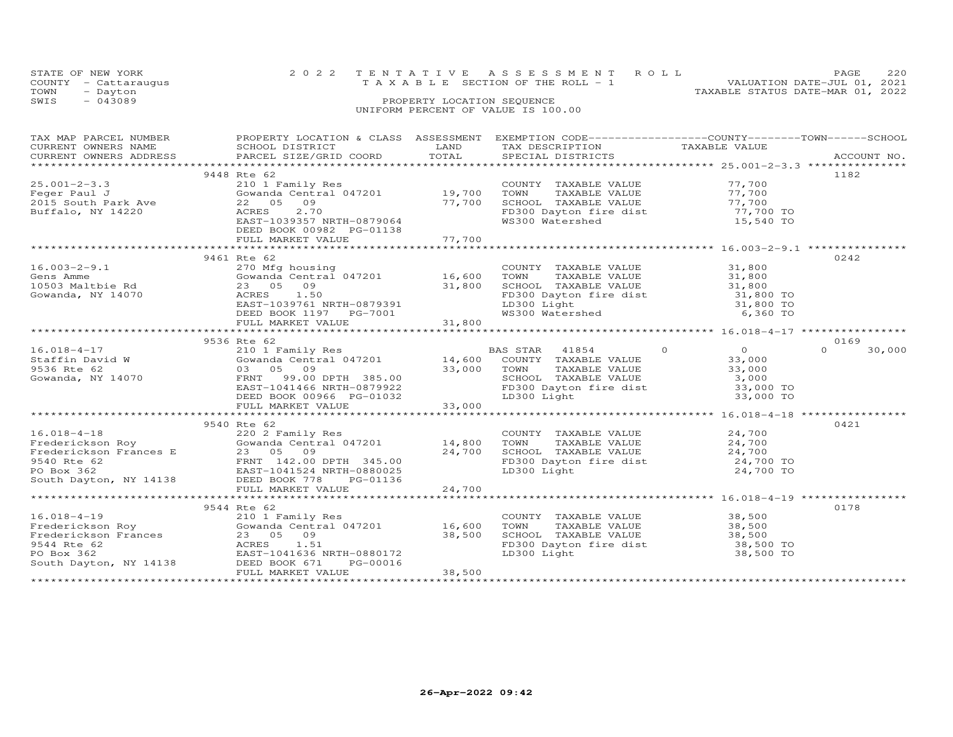| STATE OF NEW YORK                  |                            | 2022 TENTATIVE ASSESSMENT ROLL        |  | <b>PAGE</b>                      | 220 |  |  |
|------------------------------------|----------------------------|---------------------------------------|--|----------------------------------|-----|--|--|
| COUNTY - Cattaraugus               |                            | T A X A B L E SECTION OF THE ROLL - 1 |  | VALUATION DATE-JUL 01, 2021      |     |  |  |
| TOWN<br>- Dayton                   |                            |                                       |  | TAXABLE STATUS DATE-MAR 01, 2022 |     |  |  |
| SWIS<br>$-043089$                  | PROPERTY LOCATION SEQUENCE |                                       |  |                                  |     |  |  |
| UNIFORM PERCENT OF VALUE IS 100.00 |                            |                                       |  |                                  |     |  |  |
|                                    |                            |                                       |  |                                  |     |  |  |

| TAX MAP PARCEL NUMBER                                                          | PROPERTY LOCATION & CLASS ASSESSMENT<br>TAX MAP PARCEL NUMBER TROPINIT PROPERTY IS ASSESSMENT DESCRIPTION TAXABLE VALUE<br>CURRENT OWNERS NAME SCHOOL DISTRICT TOTAL TEXT DESCRIPTION TAXABLE VALUE<br>CURRENT OWNERS ADDRESS PARCEL SIZE/GRID COORD TOTAL SPECIAL DISTRICTS                                                                         |        | EXEMPTION CODE-----------------COUNTY-------TOWN-----SCHOOL                                                                                                                |                                    |                    |
|--------------------------------------------------------------------------------|------------------------------------------------------------------------------------------------------------------------------------------------------------------------------------------------------------------------------------------------------------------------------------------------------------------------------------------------------|--------|----------------------------------------------------------------------------------------------------------------------------------------------------------------------------|------------------------------------|--------------------|
| $25.001 - 2 - 3.3$<br>Feger Paul J<br>2015 South Park Ave<br>Buffalo, NY 14220 | 9448 Rte 62<br>210 1 Family Res<br>Gowanda Central 047201 19,700<br>22 05 09<br>2.70<br>ACRES<br>EAST-1039357 NRTH-0879064<br>DEED BOOK 00982 PG-01138                                                                                                                                                                                               | 77,700 | COUNTY TAXABLE VALUE 77,700<br>TOWN TAXABLE VALUE 77,700<br>SCHOOL TAXABLE VALUE 77,700<br>FD300 Dayton fire dist 77,700 TO<br>WS300 Watershed                             | 15,540 TO                          | 1182               |
| $16.003 - 2 - 9.1$<br>Gens Amme<br>10503 Maltbie Rd<br>Gowanda, NY 14070       | 9461 Rte 62<br>270 Mfg housing<br>270 Mfg housing<br>Gowanda Central 047201 16,600<br>23 05 09 31,800<br>ACRES 1.50 5<br>EAST-1039761 NRTH-0879391<br>EAST-1039761 NRTH-0879391<br>$\begin{array}{r} \text{LIGU DBCED BOK 1197} \\ \text{DEED BOK 1197} \\ \text{FULL MARKET VALUE} \end{array}$<br>DEED BOOK 1197 PG-7001 31,800 Watershed 6,360 TO |        | COUNTY TAXABLE VALUE 31,800<br>FD300 Dayton fire dist $\begin{array}{ccc} 31,800 & \text{TO} \\ -2000 & \text{P1} \end{array}$<br>LD300 Light<br>WS300 Watershed           | 31,800 TO                          | 0242               |
|                                                                                | 9536 Rte 62                                                                                                                                                                                                                                                                                                                                          |        |                                                                                                                                                                            |                                    | 0169               |
| $16.018 - 4 - 17$<br>Staffin David W<br>9536 Rte 62<br>Gowanda, NY 14070       | Xte o<br>210 1 Family Res<br>2010 14,600 COUNTY TAXABLE VALUE<br>31,000 TOWN TAXABLE VALUE<br>73,000 TOWN TAXABLE VALUE<br>83,000 TOWN TAXABLE VALUE<br>82,000 ERST-1041466 NRTH-0879922<br>75300 Digiton fire dist<br>DEED BOOK 00966 PG-01032                                                                                                      |        | 41854 0<br>TAXABLE VALUE<br>SCHOOL TAXABLE VALUE 3,000<br>FD300 Dayton fire dist 33,000 TO<br>LD300 Light 33,000 TO                                                        | $\overline{0}$<br>33,000<br>33,000 | $\Omega$<br>30,000 |
|                                                                                | FULL MARKET VALUE                                                                                                                                                                                                                                                                                                                                    | 33,000 |                                                                                                                                                                            |                                    |                    |
|                                                                                | 9540 Rte 62<br>16.018-4-18<br>Frederickson Roy<br>Frederickson Frances E 23 05 09<br>9540 Rte 62<br>PO Box 362<br>South Dayton, NY 14138<br>PO Box 362<br>PO Box 362<br>PO Box 362<br>PO Box 362<br>PO Box 362<br>PO Box 362<br>PO Box 362<br>PO Box 362<br>PO Box 362<br>P                                                                          |        | COUNTY TAXABLE VALUE $24,700$<br>TOWN TAXABLE VALUE $24,700$<br>SCHOOL TAXABLE VALUE $24,700$<br>FD300 Dayton fire dist $24,700$<br>LD300 Light $24,700$ TO<br>$24,700$ TO |                                    | 0421               |
|                                                                                |                                                                                                                                                                                                                                                                                                                                                      |        |                                                                                                                                                                            |                                    |                    |
|                                                                                | 9544 Rte 62<br>16.018-4-19<br>Prederickson Roy<br>Frederickson Roy Gowanda Central 047201 16,600<br>9544 Rte 62<br>PO Box 362<br>RAST-1041636 NRTH-0880172<br>South Dayton, NY 14138<br>PO Box 362<br>PO Box 362<br>PO Box 362<br>PO Box 362<br>PO Box 362<br>FULL MARKET VALUE                                                                      | 38,500 | COUNTY TAXABLE VALUE<br>TOWN<br>SCHOOL TAXABLE VALUE 38,500<br>FD300 Dayton fire dist 38,500 TO<br>LD300 Light 38,500 TO                                                   | 38,500<br>TAXABLE VALUE 38,500     | 0178               |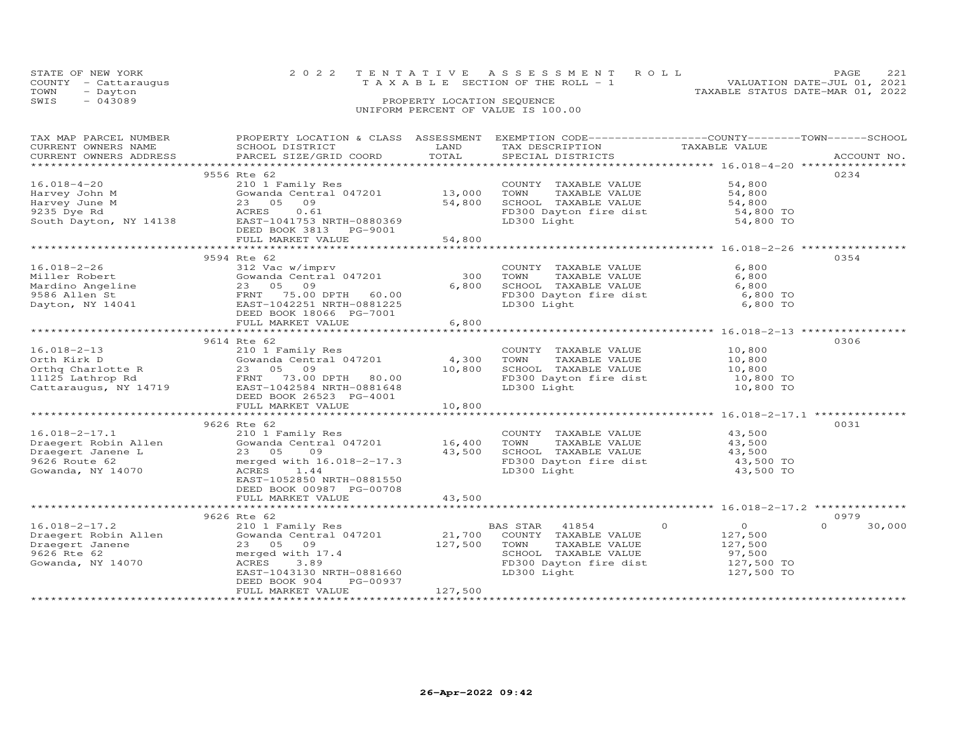|                                    | STATE OF NEW YORK    | 2022 TENTATIVE ASSESSMENT ROLL        |                            |  | PAGE                             | 221 |  |  |
|------------------------------------|----------------------|---------------------------------------|----------------------------|--|----------------------------------|-----|--|--|
|                                    | COUNTY - Cattaraugus | T A X A B L E SECTION OF THE ROLL - 1 |                            |  | VALUATION DATE-JUL 01, 2021      |     |  |  |
| TOWN                               | - Dayton             |                                       |                            |  | TAXABLE STATUS DATE-MAR 01, 2022 |     |  |  |
| SWIS                               | $-043089$            |                                       | PROPERTY LOCATION SEQUENCE |  |                                  |     |  |  |
| UNIFORM PERCENT OF VALUE IS 100.00 |                      |                                       |                            |  |                                  |     |  |  |

| TAX MAP PARCEL NUMBER<br>CURRENT OWNERS NAME<br>CURRENT OWNERS ADDRESS                                                                                                                                                                                | PROPERTY LOCATION & CLASS ASSESSMENT<br>SCHOOL DISTRICT<br>PARCEL SIZE/GRID COORD                                                                                          | LAND<br>TOTAL                      | EXEMPTION CODE-----------------COUNTY-------TOWN------SCHOOL<br>TAX DESCRIPTION<br>SPECIAL DISTRICTS                             | TAXABLE VALUE                                                                                  | ACCOUNT NO.        |
|-------------------------------------------------------------------------------------------------------------------------------------------------------------------------------------------------------------------------------------------------------|----------------------------------------------------------------------------------------------------------------------------------------------------------------------------|------------------------------------|----------------------------------------------------------------------------------------------------------------------------------|------------------------------------------------------------------------------------------------|--------------------|
|                                                                                                                                                                                                                                                       |                                                                                                                                                                            |                                    |                                                                                                                                  |                                                                                                |                    |
| $16.018 - 4 - 20$<br>Harvey John M<br>Harvey June M<br>9235 Dye Rd<br>South Dayton, NY 14138                                                                                                                                                          | 9556 Rte 62<br>210 1 Family Res<br>Gowanda Central 047201<br>23 05<br>09<br>ACRES<br>0.61<br>EAST-1041753 NRTH-0880369<br>DEED BOOK 3813 PG-9001<br>FULL MARKET VALUE      | 13,000<br>54,800<br>54,800         | COUNTY TAXABLE VALUE<br>TOWN<br>TAXABLE VALUE<br>SCHOOL TAXABLE VALUE<br>FD300 Dayton fire dist<br>LD300 Light                   | 54,800<br>54,800<br>54,800<br>54,800 TO<br>54,800 TO                                           | 0234               |
|                                                                                                                                                                                                                                                       |                                                                                                                                                                            |                                    |                                                                                                                                  |                                                                                                |                    |
| $16.018 - 2 - 26$<br>Miller Robert<br>Miller Robert<br>Mardino Angeline<br>9586 Allen St<br>Dayton, NY 14041                                                                                                                                          | 9594 Rte 62<br>312 Vac w/imprv<br>Gowanda Central 047201<br>23 05 09<br>FRNT 75.00 DPTH 60.00<br>EAST-1042251 NRTH-0881225<br>DEED BOOK 18066 PG-7001<br>FULL MARKET VALUE | 300<br>6,800<br>6,800              | COUNTY TAXABLE VALUE<br>TOWN<br>TAXABLE VALUE<br>SCHOOL TAXABLE VALUE<br>FD300 Dayton fire dist<br>LD300 Light                   | 6,800<br>6,800<br>6,800<br>6,800 TO<br>6,800 TO                                                | 0354               |
|                                                                                                                                                                                                                                                       |                                                                                                                                                                            |                                    |                                                                                                                                  |                                                                                                |                    |
| $16.018 - 2 - 13$<br>CONTRIBUTE CONTRACT CONTRACT CONTRACT CONTRACT CONTRACT CONTRACT CONTRACT OF A CONTRACT CONTRACT CONTRACT CONTR<br>CONTRACT CONTRACT CONTRACT CONTRACT CONTRACT CONTRACT CONTRACT CONTRACT CONTRACT CONTRACT CONTRACT CONTRACT C | 9614 Rte 62<br>210 1 Family Res<br>Gowanda Central $047201$ 4,300<br>DEED BOOK 26523 PG-4001<br>FULL MARKET VALUE<br>****************************                          | 10,800<br>10,800<br>************** | COUNTY TAXABLE VALUE<br>TAXABLE VALUE<br>TOWN<br>SCHOOL TAXABLE VALUE<br>FD300 Dayton fire dist 10,800 TO<br>LD300 Light         | 10,800<br>10,800<br>10,800<br>10,800 TO                                                        | 0306               |
|                                                                                                                                                                                                                                                       | 9626 Rte 62                                                                                                                                                                |                                    |                                                                                                                                  |                                                                                                | 0031               |
| $16.018 - 2 - 17.1$<br>Draegert Robin Allen<br>Draegert Janene L<br>Draegert Janene L<br>9626 Route 62<br>Gowanda, NY 14070                                                                                                                           | 210 1 Family Res<br>Gowanda Central $047201$ 16,400<br>23 05<br>09<br>merged with 16.018-2-17.3<br>ACRES 1.44<br>EAST-1052850 NRTH-0881550                                 | 43,500                             | COUNTY TAXABLE VALUE<br>TOWN<br>TAXABLE VALUE<br>SCHOOL TAXABLE VALUE 43,500<br>FD300 Dayton fire dist 43,500 TO<br>LD300 Light  | 43,500<br>43,500<br>43,500 TO                                                                  |                    |
|                                                                                                                                                                                                                                                       | DEED BOOK 00987 PG-00708<br>FULL MARKET VALUE                                                                                                                              | 43,500                             |                                                                                                                                  |                                                                                                |                    |
|                                                                                                                                                                                                                                                       | 9626 Rte 62                                                                                                                                                                |                                    |                                                                                                                                  |                                                                                                | 0979               |
| $16.018 - 2 - 17.2$<br>Draegert Robin Allen<br>Draegert Janene<br>9626 Rte 62<br>Gowanda, NY 14070<br>***********************                                                                                                                         | 210 1 Family Res<br>Gowanda Central 047201<br>23 05 09<br>merged with 17.4<br>ACRES<br>3.89<br>EAST-1043130 NRTH-0881660<br>PG-00937<br>DEED BOOK 904<br>FULL MARKET VALUE | 21,700<br>127,500<br>127,500       | BAS STAR 41854<br>COUNTY TAXABLE VALUE<br>TOWN<br>TAXABLE VALUE<br>SCHOOL TAXABLE VALUE<br>FD300 Dayton fire dist<br>LD300 Light | $\overline{0}$<br>$\overline{O}$<br>127,500<br>127,500<br>97,500<br>$127,500$ TO<br>127,500 TO | $\Omega$<br>30,000 |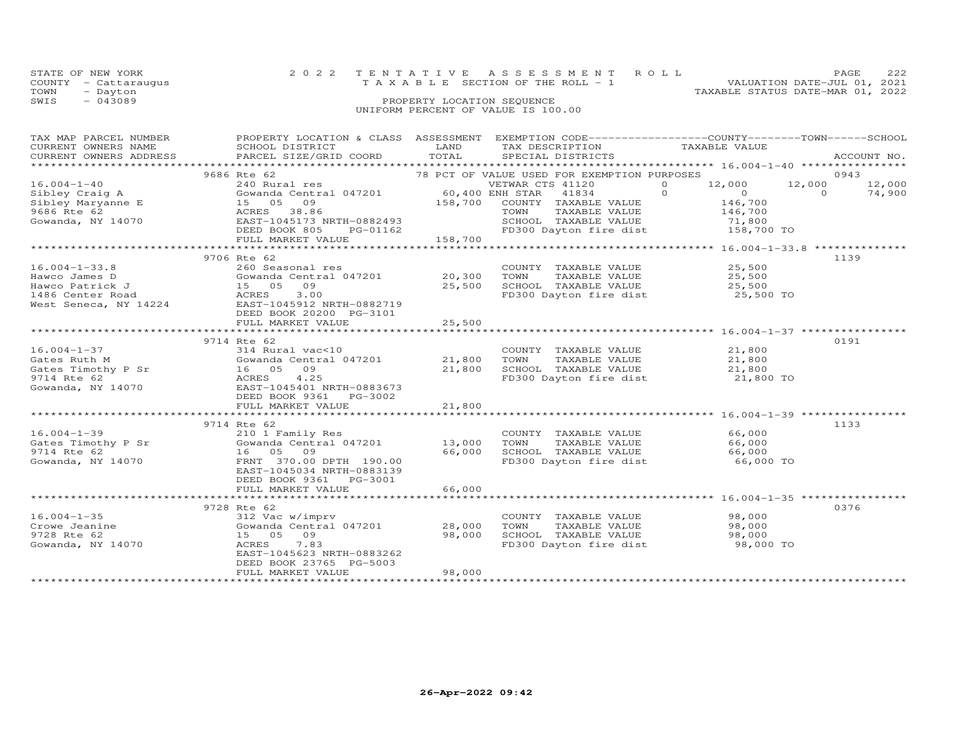| STATE OF NEW YORK                  |                            | 2022 TENTATIVE ASSESSMENT ROLL        | 222<br>PAGE                      |  |  |  |  |
|------------------------------------|----------------------------|---------------------------------------|----------------------------------|--|--|--|--|
| COUNTY - Cattaraugus               |                            | T A X A B L E SECTION OF THE ROLL - 1 | VALUATION DATE-JUL 01, 2021      |  |  |  |  |
| TOWN<br>- Dayton                   |                            |                                       | TAXABLE STATUS DATE-MAR 01, 2022 |  |  |  |  |
| SWIS<br>$-043089$                  | PROPERTY LOCATION SEQUENCE |                                       |                                  |  |  |  |  |
| UNIFORM PERCENT OF VALUE IS 100.00 |                            |                                       |                                  |  |  |  |  |

| PROPERTY LOCATION & CLASS ASSESSMENT EXEMPTION CODE----------------COUNTY-------TOWN------SCHOOL<br>ACCOUNT NO. |
|-----------------------------------------------------------------------------------------------------------------|
| 0943<br>12,000<br>12,000<br>$\Omega$<br>74,900                                                                  |
| 1139                                                                                                            |
|                                                                                                                 |
| 0191                                                                                                            |
|                                                                                                                 |
| 1133                                                                                                            |
|                                                                                                                 |
| 0376                                                                                                            |
|                                                                                                                 |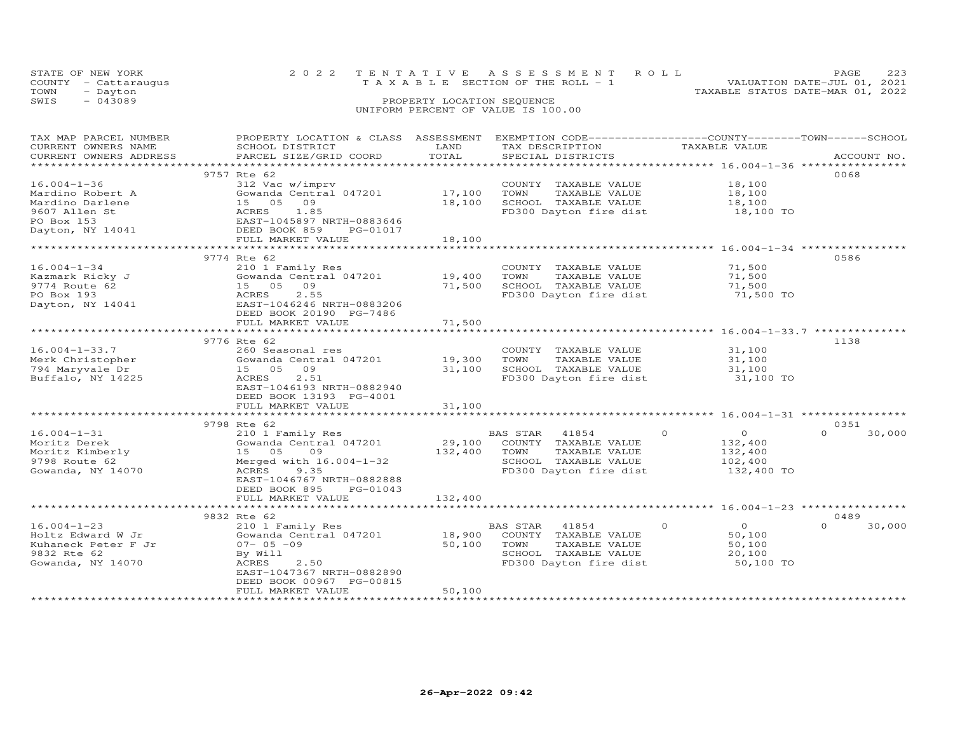|      | STATE OF NEW YORK    | 2022 TENTATIVE ASSESSMENT ROLL        |  |  |  |                                  | PAGE                        | 223 |
|------|----------------------|---------------------------------------|--|--|--|----------------------------------|-----------------------------|-----|
|      | COUNTY - Cattaraugus | T A X A B L E SECTION OF THE ROLL - 1 |  |  |  |                                  | VALUATION DATE-JUL 01, 2021 |     |
| TOWN | - Dayton             |                                       |  |  |  | TAXABLE STATUS DATE-MAR 01, 2022 |                             |     |
| SWIS | $-043089$            | PROPERTY LOCATION SEQUENCE            |  |  |  |                                  |                             |     |
|      |                      | UNIFORM PERCENT OF VALUE IS 100.00    |  |  |  |                                  |                             |     |

| TAX MAP PARCEL NUMBER<br>CURRENT OWNERS NAME<br>CURRENT OWNERS ADDRESS                                      | PROPERTY LOCATION & CLASS ASSESSMENT<br>SCHOOL DISTRICT<br>PARCEL SIZE/GRID COORD                                                                                                                                 | LAND<br>TOTAL                               | EXEMPTION CODE-----------------COUNTY-------TOWN-----SCHOOL<br>TAX DESCRIPTION<br>SPECIAL DISTRICTS                     | TAXABLE VALUE                                                      | ACCOUNT NO.        |
|-------------------------------------------------------------------------------------------------------------|-------------------------------------------------------------------------------------------------------------------------------------------------------------------------------------------------------------------|---------------------------------------------|-------------------------------------------------------------------------------------------------------------------------|--------------------------------------------------------------------|--------------------|
| $16.004 - 1 - 36$<br>Mardino Robert A<br>Mardino Darlene<br>9607 Allen St<br>PO Box 153<br>Dayton, NY 14041 | 9757 Rte 62<br>312 Vac w/imprv<br>Gowanda Central 047201<br>09<br>15 05<br>ACRES<br>1.85<br>EAST-1045897 NRTH-0883646<br>DEED BOOK 859<br>PG-01017                                                                | 17,100<br>18,100                            | COUNTY TAXABLE VALUE<br>TOWN<br>TAXABLE VALUE<br>SCHOOL TAXABLE VALUE<br>FD300 Dayton fire dist                         | 18,100<br>18,100<br>18,100<br>18,100 TO                            | 0068               |
|                                                                                                             | FULL MARKET VALUE                                                                                                                                                                                                 | 18,100                                      |                                                                                                                         |                                                                    |                    |
|                                                                                                             | ***********************                                                                                                                                                                                           |                                             |                                                                                                                         | ************************ 16.004-1-34 **********                    |                    |
| $16.004 - 1 - 34$<br>Kazmark Ricky J<br>9774 Route 62<br>PO Box 193<br>Dayton, NY 14041                     | 9774 Rte 62<br>210 1 Family Res<br>Gowanda Central 047201<br>15 05<br>09<br>2.55<br>ACRES<br>EAST-1046246 NRTH-0883206                                                                                            | 19,400<br>71,500                            | COUNTY TAXABLE VALUE<br>TOWN<br>TAXABLE VALUE<br>SCHOOL TAXABLE VALUE<br>FD300 Dayton fire dist                         | 71,500<br>71,500<br>71,500<br>71,500 TO                            | 0586               |
|                                                                                                             | DEED BOOK 20190 PG-7486<br>FULL MARKET VALUE                                                                                                                                                                      | 71,500                                      |                                                                                                                         |                                                                    |                    |
|                                                                                                             |                                                                                                                                                                                                                   |                                             |                                                                                                                         |                                                                    |                    |
| $16.004 - 1 - 33.7$<br>Merk Christopher<br>794 Maryvale Dr<br>Buffalo, NY 14225                             | 9776 Rte 62<br>260 Seasonal res<br>Gowanda Central 047201<br>15 05<br>09<br>2.51<br>ACRES<br>EAST-1046193 NRTH-0882940<br>DEED BOOK 13193 PG-4001<br>FULL MARKET VALUE<br>************************<br>9798 Rte 62 | 19,300<br>31,100<br>31,100<br>************* | COUNTY TAXABLE VALUE<br>TOWN<br>TAXABLE VALUE<br>SCHOOL TAXABLE VALUE<br>FD300 Dayton fire dist                         | 31,100<br>31,100<br>31,100<br>31,100 TO                            | 1138<br>0351       |
| $16.004 - 1 - 31$<br>Moritz Derek<br>Moritz Kimberly<br>9798 Route 62<br>Gowanda, NY 14070                  | 210 1 Family Res<br>Gowanda Central 047201<br>15 05<br>09<br>Merged with 16.004-1-32<br>ACRES<br>9.35<br>EAST-1046767 NRTH-0882888<br>DEED BOOK 895<br>PG-01043                                                   | 29,100<br>132,400<br>132,400                | BAS STAR<br>41854<br>COUNTY<br>TAXABLE VALUE<br>TOWN<br>TAXABLE VALUE<br>SCHOOL TAXABLE VALUE<br>FD300 Dayton fire dist | $\Omega$<br>$\circ$<br>132,400<br>132,400<br>102,400<br>132,400 TO | $\Omega$<br>30,000 |
|                                                                                                             | FULL MARKET VALUE                                                                                                                                                                                                 |                                             |                                                                                                                         |                                                                    |                    |
|                                                                                                             | 9832 Rte 62                                                                                                                                                                                                       |                                             |                                                                                                                         |                                                                    | 0489               |
| $16.004 - 1 - 23$<br>Holtz Edward W Jr<br>Kuhaneck Peter F Jr<br>9832 Rte 62<br>Gowanda, NY 14070           | 210 1 Family Res<br>Gowanda Central 047201<br>$07 - 05 - 09$<br>By Will<br>ACRES<br>2.50<br>EAST-1047367 NRTH-0882890<br>DEED BOOK 00967 PG-00815<br>FULL MARKET VALUE                                            | 18,900<br>50,100<br>50,100                  | 41854<br>BAS STAR<br>COUNTY TAXABLE VALUE<br>TOWN<br>TAXABLE VALUE<br>SCHOOL TAXABLE VALUE<br>FD300 Dayton fire dist    | $\Omega$<br>$\circ$<br>50,100<br>50,100<br>20,100<br>50,100 TO     | $\Omega$<br>30,000 |
|                                                                                                             | *******************                                                                                                                                                                                               |                                             |                                                                                                                         |                                                                    |                    |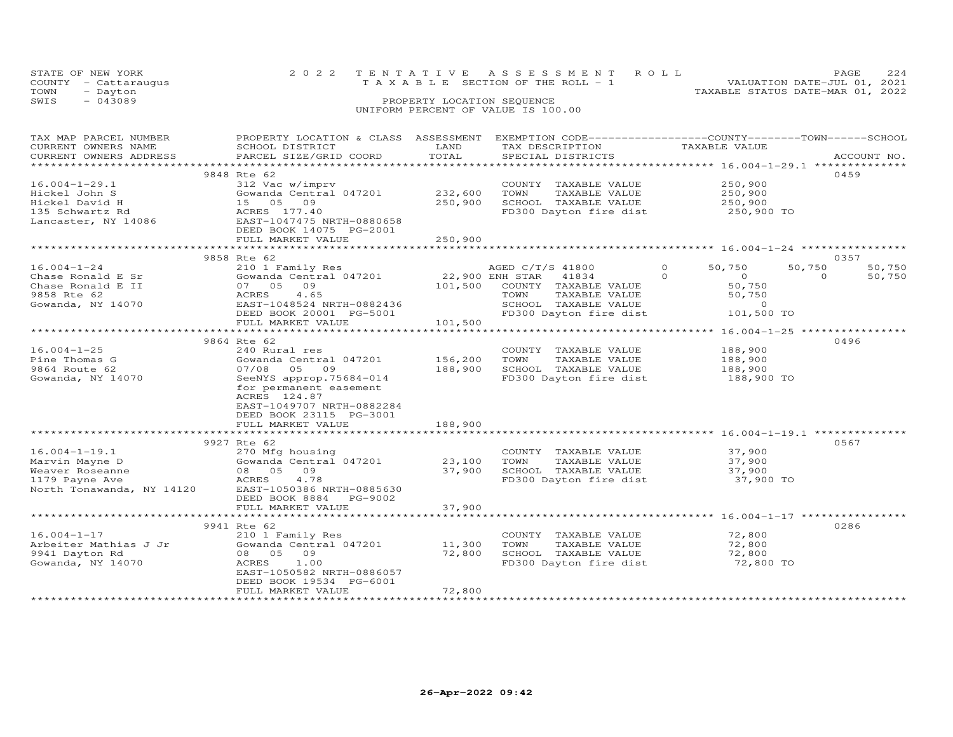| STATE OF NEW YORK    |                            | 2022 TENTATIVE ASSESSMENT ROLL |                                       |  |  | PAGE.                            | 224 |
|----------------------|----------------------------|--------------------------------|---------------------------------------|--|--|----------------------------------|-----|
| COUNTY - Cattaraugus |                            |                                | T A X A B L E SECTION OF THE ROLL - 1 |  |  | VALUATION DATE-JUL 01, 2021      |     |
| TOWN<br>- Dayton     |                            |                                |                                       |  |  | TAXABLE STATUS DATE-MAR 01, 2022 |     |
| SWIS<br>$-043089$    | PROPERTY LOCATION SEQUENCE |                                |                                       |  |  |                                  |     |
|                      |                            |                                | UNIFORM PERCENT OF VALUE IS 100.00    |  |  |                                  |     |

| TAX MAP PARCEL NUMBER<br>CURRENT OWNERS NAME<br>CURRENT OWNERS ADDRESS | PROPERTY LOCATION & CLASS ASSESSMENT<br>SCHOOL DISTRICT<br>PARCEL SIZE/GRID COORD | LAND<br>TOTAL  | EXEMPTION CODE-----------------COUNTY-------TOWN------SCHOOL<br>TAX DESCRIPTION<br>SPECIAL DISTRICTS | TAXABLE VALUE       | ACCOUNT NO.        |
|------------------------------------------------------------------------|-----------------------------------------------------------------------------------|----------------|------------------------------------------------------------------------------------------------------|---------------------|--------------------|
| ***********************                                                |                                                                                   |                |                                                                                                      |                     |                    |
|                                                                        | 9848 Rte 62                                                                       |                |                                                                                                      |                     | 0459               |
| $16.004 - 1 - 29.1$                                                    | 312 Vac w/imprv                                                                   |                | COUNTY TAXABLE VALUE                                                                                 | 250,900             |                    |
| Hickel John S                                                          | Gowanda Central 047201                                                            | 232,600        | TOWN<br>TAXABLE VALUE                                                                                | 250,900             |                    |
| Hickel David H                                                         | 15 05 09                                                                          | 250,900        | SCHOOL TAXABLE VALUE                                                                                 | 250,900             |                    |
| 135 Schwartz Rd                                                        | ACRES 177.40                                                                      |                | FD300 Dayton fire dist                                                                               | 250,900 TO          |                    |
| Lancaster, NY 14086                                                    | EAST-1047475 NRTH-0880658                                                         |                |                                                                                                      |                     |                    |
|                                                                        | DEED BOOK 14075 PG-2001                                                           |                |                                                                                                      |                     |                    |
|                                                                        | FULL MARKET VALUE                                                                 | 250,900        |                                                                                                      |                     |                    |
|                                                                        | 9858 Rte 62                                                                       |                |                                                                                                      |                     | 0357               |
| $16.004 - 1 - 24$                                                      | 210 1 Family Res                                                                  |                | AGED C/T/S 41800                                                                                     | $\Omega$<br>50,750  | 50,750<br>50,750   |
| Chase Ronald E Sr                                                      | Gowanda Central 047201                                                            |                | 22,900 ENH STAR 41834                                                                                | $\Omega$<br>$\circ$ | $\Omega$<br>50,750 |
| Chase Ronald E II                                                      | 07 05<br>09                                                                       | 101,500        | COUNTY TAXABLE VALUE                                                                                 | 50,750              |                    |
| 9858 Rte 62                                                            | ACRES<br>4.65                                                                     |                | TOWN<br>TAXABLE VALUE                                                                                | 50,750              |                    |
| Gowanda, NY 14070                                                      | EAST-1048524 NRTH-0882436                                                         |                | SCHOOL TAXABLE VALUE                                                                                 | $\Omega$            |                    |
|                                                                        | DEED BOOK 20001 PG-5001                                                           |                | FD300 Dayton fire dist                                                                               | 101,500 TO          |                    |
|                                                                        | FULL MARKET VALUE                                                                 | 101,500        |                                                                                                      |                     |                    |
|                                                                        |                                                                                   |                |                                                                                                      |                     |                    |
|                                                                        | 9864 Rte 62                                                                       |                |                                                                                                      |                     | 0496               |
| $16.004 - 1 - 25$                                                      | 240 Rural res                                                                     |                | COUNTY TAXABLE VALUE                                                                                 | 188,900             |                    |
| Pine Thomas G                                                          | Gowanda Central 047201                                                            | 156,200        | TOWN<br>TAXABLE VALUE                                                                                | 188,900             |                    |
| 9864 Route 62                                                          | 07/08 05 09                                                                       | 188,900        | SCHOOL TAXABLE VALUE                                                                                 | 188,900             |                    |
| Gowanda, NY 14070                                                      | SeeNYS approp.75684-014                                                           |                | FD300 Dayton fire dist                                                                               | 188,900 TO          |                    |
|                                                                        | for permanent easement                                                            |                |                                                                                                      |                     |                    |
|                                                                        | ACRES 124.87                                                                      |                |                                                                                                      |                     |                    |
|                                                                        | EAST-1049707 NRTH-0882284                                                         |                |                                                                                                      |                     |                    |
|                                                                        | DEED BOOK 23115 PG-3001                                                           |                |                                                                                                      |                     |                    |
|                                                                        | FULL MARKET VALUE                                                                 | 188,900        |                                                                                                      |                     |                    |
|                                                                        |                                                                                   |                |                                                                                                      |                     |                    |
|                                                                        | 9927 Rte 62                                                                       |                |                                                                                                      |                     | 0567               |
| $16.004 - 1 - 19.1$                                                    | 270 Mfg housing                                                                   |                | COUNTY TAXABLE VALUE                                                                                 | 37,900              |                    |
| Marvin Mayne D                                                         | Gowanda Central 047201                                                            | 23,100         | TOWN<br>TAXABLE VALUE                                                                                | 37,900              |                    |
| Weaver Roseanne                                                        | 08 05 09                                                                          | 37,900         | SCHOOL TAXABLE VALUE                                                                                 | 37,900              |                    |
| 1179 Payne Ave                                                         | ACRES<br>4.78                                                                     |                | FD300 Dayton fire dist                                                                               | 37,900 TO           |                    |
| North Tonawanda, NY 14120                                              | EAST-1050386 NRTH-0885630                                                         |                |                                                                                                      |                     |                    |
|                                                                        | DEED BOOK 8884 PG-9002                                                            |                |                                                                                                      |                     |                    |
|                                                                        | FULL MARKET VALUE                                                                 | 37,900         |                                                                                                      |                     |                    |
|                                                                        |                                                                                   | ************** |                                                                                                      |                     |                    |
|                                                                        | 9941 Rte 62                                                                       |                |                                                                                                      |                     | 0286               |
| $16.004 - 1 - 17$                                                      | 210 1 Family Res                                                                  |                | COUNTY TAXABLE VALUE                                                                                 | 72,800              |                    |
| Arbeiter Mathias J Jr                                                  | Gowanda Central 047201                                                            | 11,300         | TOWN<br>TAXABLE VALUE                                                                                | 72,800              |                    |
| 9941 Dayton Rd                                                         | 08 05 09                                                                          | 72,800         | SCHOOL TAXABLE VALUE                                                                                 | 72,800              |                    |
| Gowanda, NY 14070                                                      | ACRES<br>1.00                                                                     |                | FD300 Dayton fire dist                                                                               | 72,800 TO           |                    |
|                                                                        | EAST-1050582 NRTH-0886057                                                         |                |                                                                                                      |                     |                    |
|                                                                        | DEED BOOK 19534 PG-6001                                                           |                |                                                                                                      |                     |                    |
|                                                                        | FULL MARKET VALUE                                                                 | 72,800         |                                                                                                      |                     |                    |
|                                                                        | **********************                                                            |                |                                                                                                      |                     |                    |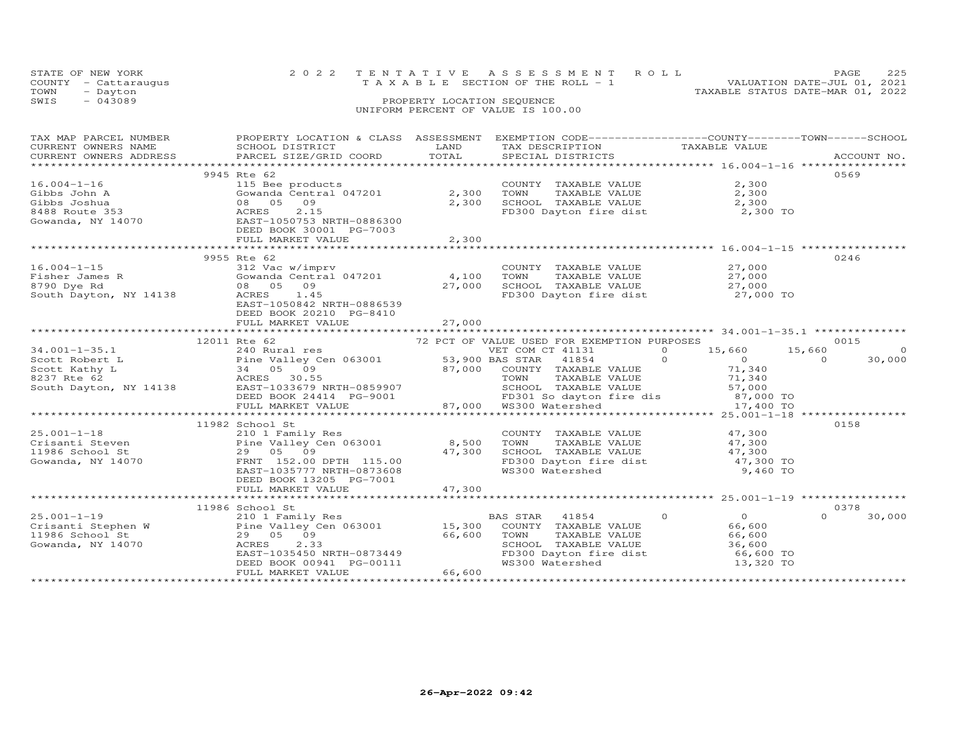|                                    | STATE OF NEW YORK    |                            | 2022 TENTATIVE ASSESSMENT ROLL                                       | PAGE | 225 |  |  |  |
|------------------------------------|----------------------|----------------------------|----------------------------------------------------------------------|------|-----|--|--|--|
|                                    | COUNTY - Cattaraugus |                            | VALUATION DATE-JUL 01, 2021<br>T A X A B L E SECTION OF THE ROLL - 1 |      |     |  |  |  |
| TOWN                               | - Dayton             |                            | TAXABLE STATUS DATE-MAR 01, 2022                                     |      |     |  |  |  |
| SWIS                               | $-043089$            | PROPERTY LOCATION SEQUENCE |                                                                      |      |     |  |  |  |
| UNIFORM PERCENT OF VALUE IS 100.00 |                      |                            |                                                                      |      |     |  |  |  |

| $\begin{tabular}{lllllllll} \textsc{rank} & & & & & & & & & \\ \textsc{rank} & & & & & & & & \\ \textsc{CURRENT} & & & & & & & & \\ \textsc{CURRENT} & & & & & & & \\ \textsc{CURRENT} & & & & & & & \\ \textsc{CURRENT} & & & & & & & \\ \textsc{CURRENT} & & & & & & & \\ \textsc{CURRENT} & & & & & & & \\ \textsc{CURRENT} & & & & & & & \\ \textsc{RME} & & & & & & & \\ \textsc{RME} & & & & & & & \\ \textsc{RACEL} & & & & & & & \\ \textsc{CURRENT} & &$<br>CURRENT OWNERS ADDRESS |                                                                                                                   |       |                                                                                                                           |                              |                    |
|---------------------------------------------------------------------------------------------------------------------------------------------------------------------------------------------------------------------------------------------------------------------------------------------------------------------------------------------------------------------------------------------------------------------------------------------------------------------------------------------|-------------------------------------------------------------------------------------------------------------------|-------|---------------------------------------------------------------------------------------------------------------------------|------------------------------|--------------------|
|                                                                                                                                                                                                                                                                                                                                                                                                                                                                                             |                                                                                                                   |       |                                                                                                                           |                              |                    |
|                                                                                                                                                                                                                                                                                                                                                                                                                                                                                             | 9945 Rte 62                                                                                                       |       | COUNTY TAXABLE VALUE<br>TOWN                                                                                              | 2,300<br>TAXABLE VALUE 2,300 | 0569               |
| 16.004-1-16<br>Gibbs John A<br>Gibbs Joshua<br>8488 Route 353<br>Gowanda, NY 14070<br>Communication Control Control Control Control Control Control Control Control Control Control Control Control Control Control Control Control Cont                                                                                                                                                                                                                                                    |                                                                                                                   |       | SCHOOL TAXABLE VALUE 2,300<br>FD300 Dayton fire dist 2,300 TO                                                             |                              |                    |
|                                                                                                                                                                                                                                                                                                                                                                                                                                                                                             | FULL MARKET VALUE                                                                                                 | 2,300 |                                                                                                                           |                              |                    |
|                                                                                                                                                                                                                                                                                                                                                                                                                                                                                             |                                                                                                                   |       |                                                                                                                           |                              |                    |
|                                                                                                                                                                                                                                                                                                                                                                                                                                                                                             | 9955 Rte 62                                                                                                       |       |                                                                                                                           |                              | 0246               |
| $16.004 - 1 - 15$                                                                                                                                                                                                                                                                                                                                                                                                                                                                           | 312 Vac w/imprv                                                                                                   |       | COUNTY TAXABLE VALUE 27,000                                                                                               |                              |                    |
|                                                                                                                                                                                                                                                                                                                                                                                                                                                                                             |                                                                                                                   |       |                                                                                                                           |                              |                    |
|                                                                                                                                                                                                                                                                                                                                                                                                                                                                                             |                                                                                                                   |       |                                                                                                                           |                              |                    |
| 1.4.100<br>Fisher James R (Gowanda Central 047201)<br>8790 Dye Rd (68 CRESS 1.45)<br>8790 Dye Rd (88 CRESS 1.45)<br>8000 Dayton fire dist 27,000 TO 27,000 CRESS 1.45<br>8000 Dayton fire dist 27,000 TO                                                                                                                                                                                                                                                                                    | EAST-1050842 NRTH-0886539<br>DEED BOOK 20210 PG-8410                                                              |       |                                                                                                                           |                              |                    |
|                                                                                                                                                                                                                                                                                                                                                                                                                                                                                             |                                                                                                                   |       |                                                                                                                           |                              |                    |
|                                                                                                                                                                                                                                                                                                                                                                                                                                                                                             |                                                                                                                   |       |                                                                                                                           |                              |                    |
|                                                                                                                                                                                                                                                                                                                                                                                                                                                                                             |                                                                                                                   |       |                                                                                                                           |                              |                    |
|                                                                                                                                                                                                                                                                                                                                                                                                                                                                                             |                                                                                                                   |       |                                                                                                                           |                              | 30,000             |
|                                                                                                                                                                                                                                                                                                                                                                                                                                                                                             |                                                                                                                   |       |                                                                                                                           |                              |                    |
|                                                                                                                                                                                                                                                                                                                                                                                                                                                                                             |                                                                                                                   |       |                                                                                                                           |                              |                    |
|                                                                                                                                                                                                                                                                                                                                                                                                                                                                                             |                                                                                                                   |       |                                                                                                                           |                              |                    |
|                                                                                                                                                                                                                                                                                                                                                                                                                                                                                             |                                                                                                                   |       |                                                                                                                           |                              |                    |
|                                                                                                                                                                                                                                                                                                                                                                                                                                                                                             |                                                                                                                   |       |                                                                                                                           |                              |                    |
|                                                                                                                                                                                                                                                                                                                                                                                                                                                                                             |                                                                                                                   |       |                                                                                                                           |                              |                    |
|                                                                                                                                                                                                                                                                                                                                                                                                                                                                                             | 11982 School St                                                                                                   |       |                                                                                                                           |                              | 0158               |
|                                                                                                                                                                                                                                                                                                                                                                                                                                                                                             |                                                                                                                   |       |                                                                                                                           |                              |                    |
|                                                                                                                                                                                                                                                                                                                                                                                                                                                                                             |                                                                                                                   |       |                                                                                                                           |                              |                    |
|                                                                                                                                                                                                                                                                                                                                                                                                                                                                                             |                                                                                                                   |       |                                                                                                                           |                              |                    |
| 25.001-1-18<br>Crisanti Steven<br>210 1 Family Res<br>29 05 09<br>Gowanda, NY 14070<br>EAST-1035777 NRTH-0873608<br>29 05 09<br>EAST-1035777 NRTH-0873608<br>29 05 07 115.00<br>29 05 09<br>29 05 09<br>29 05 09<br>29 05 09<br>29 05 09<br>29 05 09<br>29 0                                                                                                                                                                                                                                | DEED BOOK 13205 PG-7001                                                                                           |       |                                                                                                                           |                              |                    |
|                                                                                                                                                                                                                                                                                                                                                                                                                                                                                             |                                                                                                                   |       |                                                                                                                           |                              |                    |
|                                                                                                                                                                                                                                                                                                                                                                                                                                                                                             |                                                                                                                   |       |                                                                                                                           |                              |                    |
|                                                                                                                                                                                                                                                                                                                                                                                                                                                                                             | 11986 School St                                                                                                   |       |                                                                                                                           |                              | 0378               |
|                                                                                                                                                                                                                                                                                                                                                                                                                                                                                             |                                                                                                                   |       |                                                                                                                           |                              | $\Omega$<br>30,000 |
|                                                                                                                                                                                                                                                                                                                                                                                                                                                                                             |                                                                                                                   |       |                                                                                                                           |                              |                    |
| 25.001-1-19<br>Crisanti Stephen W 210 1 Family Res<br>Pine Valley Cen 063001 15,300 COUNTY TAXABLE VALUE 66,600<br>1986 School St 29 05 09 66,600 TOWN TAXABLE VALUE 66,600<br>Gowanda, NY 14070 ACRES 2.33<br>2.33<br>2.33<br>2.33<br>2.33<br>2                                                                                                                                                                                                                                            |                                                                                                                   |       | TOWN TAXABLE VALUE 66,600<br>SCHOOL TAXABLE VALUE 36,600<br>FD300 Dayton fire dist 66,600 TO<br>WS300 Watershed 13,320 TO |                              |                    |
|                                                                                                                                                                                                                                                                                                                                                                                                                                                                                             |                                                                                                                   |       |                                                                                                                           |                              |                    |
|                                                                                                                                                                                                                                                                                                                                                                                                                                                                                             |                                                                                                                   |       |                                                                                                                           |                              |                    |
|                                                                                                                                                                                                                                                                                                                                                                                                                                                                                             | 29 05 09<br>ACRES 2.33<br>EAST-1035450 NRTH-0873449<br>DEED BOOK 00941 PG-00111 WS300<br>FULL MARKET VALUE 66,600 |       |                                                                                                                           |                              |                    |
|                                                                                                                                                                                                                                                                                                                                                                                                                                                                                             |                                                                                                                   |       |                                                                                                                           |                              |                    |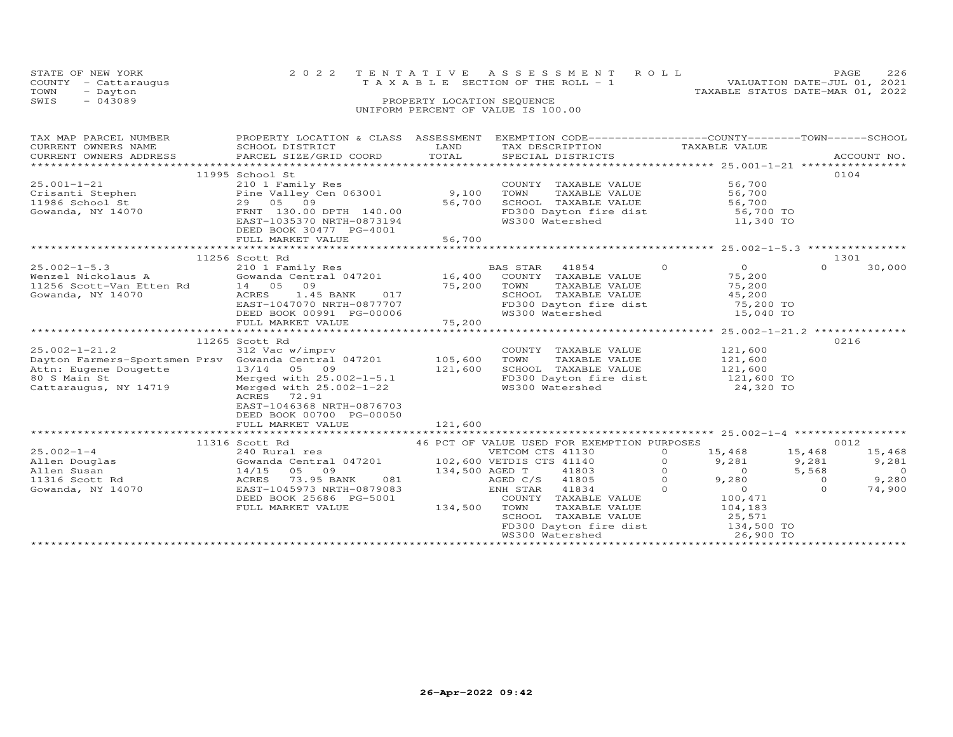| STATE OF NEW YORK<br>COUNTY<br>- Cattaraugus<br>TOWN<br>- Dayton<br>$-043089$<br>SWIS | 2 0 2 2                      | TENTATIVE<br>PROPERTY LOCATION SEQUENCE                                                                                  | ASSESSMENT ROLL<br>T A X A B L E SECTION OF THE ROLL - 1<br>UNIFORM PERCENT OF VALUE IS 100.00 | PAGE<br>226<br>VALUATION DATE-JUL 01, 2021<br>TAXABLE STATUS DATE-MAR 01, 2022 |
|---------------------------------------------------------------------------------------|------------------------------|--------------------------------------------------------------------------------------------------------------------------|------------------------------------------------------------------------------------------------|--------------------------------------------------------------------------------|
| TAX MAP PARCEL NUMBER                                                                 | PROPERTY LOCATION & CLASS    | ASSESSMENT                                                                                                               |                                                                                                | EXEMPTION CODE-----------------COUNTY-------TOWN-----SCHOOL                    |
| CURRENT OWNERS NAME                                                                   | SCHOOL DISTRICT              | <b>EXAMPLE EXAMPLE EXAMPLE EXAMPLE EXAMPLE EXAMPLE EXAMPLE EXAMPLE EXAMPLE EXAMPLE EXAMPLE EXAMPLE EXAMPLE EXAMPLE E</b> | TAX DESCRIPTION TAXABLE VALUE                                                                  |                                                                                |
| CURRENT OWNERS ADDRESS                                                                | PARCEL SIZE/GRID COORD TOTAL |                                                                                                                          | SPECIAL DISTRICTS                                                                              | ACCOUNT NO.                                                                    |
| ****************************                                                          |                              |                                                                                                                          |                                                                                                |                                                                                |
|                                                                                       | 11995 School St              |                                                                                                                          |                                                                                                | 0104                                                                           |
| 25.001-1-21                                                                           | 210 1 Family Res             |                                                                                                                          | COUNTY<br>TAXABLE VALUE                                                                        | 56,700                                                                         |
| Crisanti Stephen<br>11986 School St                                                   | Pine Valley Cen 063001 9,100 |                                                                                                                          | TOWN<br>TAXABLE VALUE                                                                          | 56,700                                                                         |
|                                                                                       | 29 05 09                     | 56,700                                                                                                                   | SCHOOL TAXABLE VALUE                                                                           | 56,700                                                                         |
| Gowanda, NY 14070                                                                     | FRNT 130.00 DPTH 140.00      |                                                                                                                          | FD300 Dayton fire dist                                                                         | 56,700 TO                                                                      |
|                                                                                       | EAST-1035370 NRTH-0873194    |                                                                                                                          | WS300 Watershed                                                                                | 11,340 TO                                                                      |
|                                                                                       | DEED BOOK 30477 PG-4001      |                                                                                                                          |                                                                                                |                                                                                |
|                                                                                       | FULL MARKET VALUE            | 56,700                                                                                                                   |                                                                                                |                                                                                |
|                                                                                       |                              |                                                                                                                          |                                                                                                |                                                                                |

|                                                                                                                                               | FULL MARKET VALUE                                                                                                                                                                                          | 56,700                        |                                                                                                                     |                                                                                                                                                     |          |                                                                                                             |                                                  |                                                        |
|-----------------------------------------------------------------------------------------------------------------------------------------------|------------------------------------------------------------------------------------------------------------------------------------------------------------------------------------------------------------|-------------------------------|---------------------------------------------------------------------------------------------------------------------|-----------------------------------------------------------------------------------------------------------------------------------------------------|----------|-------------------------------------------------------------------------------------------------------------|--------------------------------------------------|--------------------------------------------------------|
|                                                                                                                                               |                                                                                                                                                                                                            |                               |                                                                                                                     |                                                                                                                                                     |          |                                                                                                             |                                                  | $25.002 - 1 - 5.3$ ***************                     |
| $25.002 - 1 - 5.3$<br>Wenzel Nickolaus A<br>11256 Scott-Van Etten Rd<br>Gowanda, NY 14070                                                     | 11256 Scott Rd<br>210 1 Family Res<br>Gowanda Central 047201<br>14 05<br>09<br>1.45 BANK<br>ACRES<br>017<br>EAST-1047070 NRTH-0877707<br>DEED BOOK 00991 PG-00006<br>FULL MARKET VALUE                     | 16,400<br>75,200<br>75,200    | <b>BAS STAR</b><br>COUNTY<br>TOWN<br>SCHOOL<br>WS300 Watershed                                                      | 41854<br>TAXABLE VALUE<br>TAXABLE VALUE<br>TAXABLE VALUE<br>FD300 Dayton fire dist                                                                  | $\Omega$ | $\circ$<br>75,200<br>75,200<br>45,200<br>75,200 TO<br>15,040 TO                                             | $\Omega$                                         | 1301<br>30,000                                         |
|                                                                                                                                               | *************************                                                                                                                                                                                  |                               |                                                                                                                     | ************************ 25.002-1-21.2 **************                                                                                               |          |                                                                                                             |                                                  |                                                        |
| $25.002 - 1 - 21.2$<br>Dayton Farmers-Sportsmen Prsv Gowanda Central 047201<br>Attn: Eugene Dougette<br>80 S Main St<br>Cattaraugus, NY 14719 | 11265 Scott Rd<br>312 Vac w/imprv<br>13/14 05 09<br>Merged with 25.002-1-5.1<br>Merged with $25.002 - 1 - 22$<br>ACRES 72.91<br>EAST-1046368 NRTH-0876703<br>DEED BOOK 00700 PG-00050<br>FULL MARKET VALUE | 105,600<br>121,600<br>121,600 | COUNTY<br>TOWN<br>WS300 Watershed                                                                                   | TAXABLE VALUE<br>TAXABLE VALUE<br>SCHOOL TAXABLE VALUE<br>FD300 Dayton fire dist                                                                    |          | 121,600<br>121,600<br>121,600<br>121,600 TO<br>24,320 TO                                                    |                                                  | 0216                                                   |
|                                                                                                                                               | * * * * * * * * * * * * *                                                                                                                                                                                  |                               |                                                                                                                     |                                                                                                                                                     |          | ******************** 25.002-1-4 ******************                                                          |                                                  |                                                        |
| $25.002 - 1 - 4$<br>Allen Douglas<br>Allen Susan<br>11316 Scott Rd<br>Gowanda, NY 14070                                                       | 11316 Scott Rd<br>240 Rural res<br>Gowanda Central 047201<br>14/15<br>05<br>09<br>ACRES<br>73.95 BANK<br>081<br>EAST-1045973 NRTH-0879083<br>DEED BOOK 25686 PG-5001<br>FULL MARKET VALUE                  | 134,500 AGED T<br>134,500     | VETCOM CTS 41130<br>102,600 VETDIS CTS 41140<br>AGED C/S<br>ENH STAR<br>COUNTY<br>TOWN<br>SCHOOL<br>WS300 Watershed | 46 PCT OF VALUE USED FOR EXEMPTION PURPOSES<br>41803<br>41805<br>41834<br>TAXABLE VALUE<br>TAXABLE VALUE<br>TAXABLE VALUE<br>FD300 Dayton fire dist | ∩        | 15,468<br>9,281<br>$\Omega$<br>9,280<br>$\Omega$<br>100,471<br>104,183<br>25,571<br>134,500 TO<br>26,900 TO | 15,468<br>9,281<br>5,568<br>$\Omega$<br>$\Omega$ | 0012<br>15,468<br>9,281<br>$\Omega$<br>9,280<br>74,900 |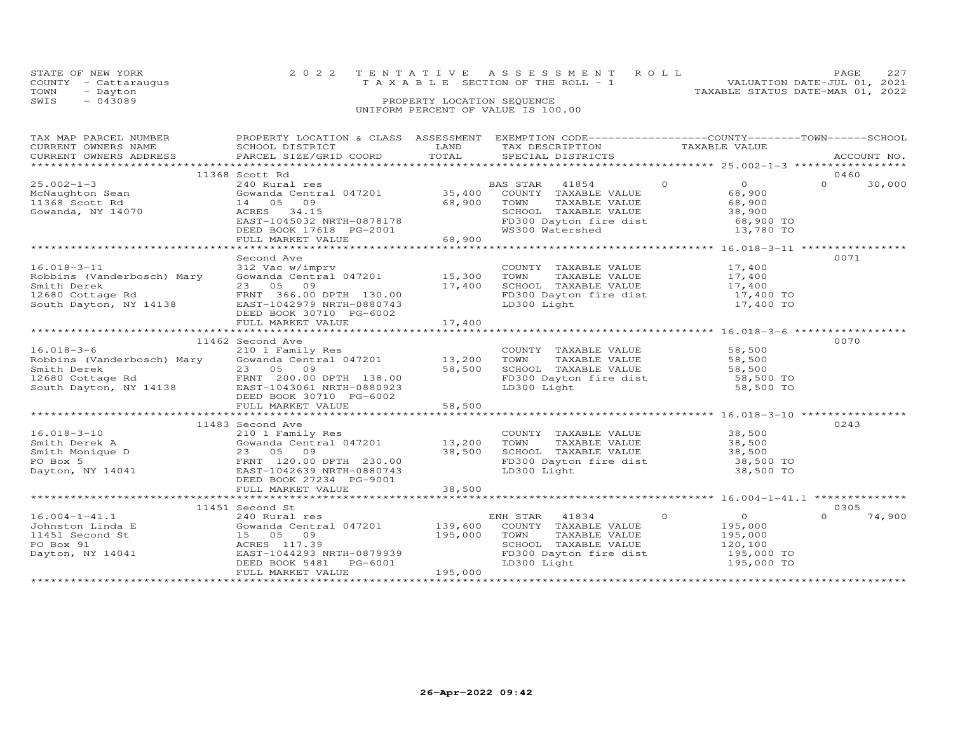| STATE OF NEW YORK<br>COUNTY - Cattaraugus<br>- Dayton<br>TOWN |                           | 2022 TENTATIVE ASSESSMENT ROLL<br>T A X A B L E SECTION OF THE ROLL - 1 |                                                                         | TAXABLE STATUS DATE-MAR 01, 2022 | PAGE.<br>VALUATION DATE-JUL 01, 2021 | 227 |
|---------------------------------------------------------------|---------------------------|-------------------------------------------------------------------------|-------------------------------------------------------------------------|----------------------------------|--------------------------------------|-----|
| $-043089$<br>SWIS                                             |                           | PROPERTY LOCATION SEQUENCE<br>UNIFORM PERCENT OF VALUE IS 100.00        |                                                                         |                                  |                                      |     |
| TAX MAP PARCEL NUMBER                                         | PROPERTY LOCATION & CLASS |                                                                         | ASSESSMENT EXEMPTION CODE-----------------COUNTY-------TOWN------SCHOOL |                                  |                                      |     |

| CURRENT OWNERS NAME                                                                 | SCHOOL DISTRICT               | LAND    | TAX DESCRIPTION                                                |         | TAXABLE VALUE              |                    |  |
|-------------------------------------------------------------------------------------|-------------------------------|---------|----------------------------------------------------------------|---------|----------------------------|--------------------|--|
| CURRENT OWNERS ADDRESS                                                              | PARCEL SIZE/GRID COORD        | TOTAL   | SPECIAL DISTRICTS                                              |         |                            | ACCOUNT NO.        |  |
|                                                                                     |                               |         |                                                                |         |                            |                    |  |
|                                                                                     | 11368 Scott Rd                |         |                                                                |         |                            | 0460               |  |
| $25.002 - 1 - 3$                                                                    | 240 Rural res                 |         | BAS STAR 41854                                                 | $\circ$ | $\overline{0}$             | $\Omega$<br>30,000 |  |
| McNaughton Sean                                                                     | Gowanda Central 047201 35,400 |         | COUNTY TAXABLE VALUE                                           |         | 68,900                     |                    |  |
| 11368 Scott Rd                                                                      | 14 05<br>09                   | 68,900  | TOWN<br>TAXABLE VALUE                                          |         | 68,900                     |                    |  |
| Gowanda, NY 14070                                                                   | ACRES<br>34.15                |         | SCHOOL TAXABLE VALUE                                           |         | 38,900                     |                    |  |
|                                                                                     | EAST-1045032 NRTH-0878178     |         | FD300 Dayton fire dist                                         |         | 68,900 TO<br>13,780 TO     |                    |  |
|                                                                                     | DEED BOOK 17618 PG-2001       |         | WS300 Watershed                                                |         |                            |                    |  |
|                                                                                     | FULL MARKET VALUE             | 68,900  |                                                                |         |                            |                    |  |
|                                                                                     |                               |         |                                                                |         |                            |                    |  |
|                                                                                     | Second Ave                    |         |                                                                |         |                            | 0071               |  |
| $16.018 - 3 - 11$                                                                   | 312 Vac w/imprv               |         | COUNTY TAXABLE VALUE                                           |         | 17,400                     |                    |  |
| Robbins (Vanderbosch) Mary                                                          | Gowanda Central 047201 15,300 |         | TAXABLE VALUE<br>TOWN                                          | 17,400  |                            |                    |  |
| Smith Derek                                                                         | 23 05 09                      | 17,400  |                                                                |         |                            |                    |  |
| 12680 Cottage Rd                                                                    | FRNT 366.00 DPTH 130.00       |         | TOWN IAANDEL<br>SCHOOL TAXABLE VALUE<br>FD300 Dayton fire dist |         | $17,400$ TO<br>$17,400$ TO |                    |  |
| South Dayton, NY 14138                                                              | EAST-1042979 NRTH-0880743     |         |                                                                |         | 17,400 TO                  |                    |  |
|                                                                                     | DEED BOOK 30710 PG-6002       |         |                                                                |         |                            |                    |  |
|                                                                                     |                               |         |                                                                |         |                            |                    |  |
|                                                                                     |                               |         |                                                                |         |                            |                    |  |
|                                                                                     | 11462 Second Ave              |         |                                                                |         |                            | 0070               |  |
| $16.018 - 3 - 6$                                                                    | 210 1 Family Res              |         | COUNTY TAXABLE VALUE                                           |         | 58,500                     |                    |  |
| Robbins (Vanderbosch) Mary                                                          | Gowanda Central 047201        | 13,200  | TAXABLE VALUE<br>TOWN                                          |         | 58,500                     |                    |  |
|                                                                                     |                               | 58,500  | SCHOOL TAXABLE VALUE                                           |         | 58,500                     |                    |  |
|                                                                                     |                               |         |                                                                |         | 58,500 TO                  |                    |  |
| Smith Derek<br>12680 Cottage Rd<br>South Dayton, NY 14138 EAST-1043061 NRTH-0880922 |                               |         | FD300 Dayton fire dist<br>LD300 Light<br>LD300 Light           |         | 58,500 TO                  |                    |  |
|                                                                                     | DEED BOOK 30710 PG-6002       |         |                                                                |         |                            |                    |  |
|                                                                                     |                               |         |                                                                |         |                            |                    |  |
|                                                                                     |                               |         |                                                                |         |                            |                    |  |
|                                                                                     | 11483 Second Ave              |         |                                                                |         |                            | 0243               |  |
| $16.018 - 3 - 10$                                                                   | 210 1 Family Res              |         | COUNTY TAXABLE VALUE                                           |         | 38,500                     |                    |  |
|                                                                                     | Gowanda Central 047201        | 13,200  | TAXABLE VALUE<br>TOWN                                          |         | 38,500                     |                    |  |
|                                                                                     | 23 05 09                      | 38,500  | SCHOOL TAXABLE VALUE                                           |         | 38,500                     |                    |  |
|                                                                                     | FRNT 120.00 DPTH 230.00       |         | FD300 Dayton fire dist 38,500 TO                               |         |                            |                    |  |
| Smith Derek A<br>Smith Monique D<br>PO Box 5<br>Dayton, NY 14041                    | EAST-1042639 NRTH-0880743     |         | LD300 Light                                                    |         | 38,500 TO                  |                    |  |
|                                                                                     | DEED BOOK 27234 PG-9001       |         |                                                                |         |                            |                    |  |
|                                                                                     | FULL MARKET VALUE             | 38,500  |                                                                |         |                            |                    |  |
|                                                                                     |                               |         |                                                                |         |                            |                    |  |
|                                                                                     | 11451 Second St               |         |                                                                |         |                            | 0305               |  |
| $16.004 - 1 - 41.1$                                                                 | 240 Rural res                 |         | ENH STAR<br>41834                                              | $\circ$ | $\overline{O}$             | $\Omega$<br>74,900 |  |
| Johnston Linda E                                                                    | Gowanda Central 047201        | 139,600 | COUNTY TAXABLE VALUE                                           |         | 195,000                    |                    |  |
|                                                                                     |                               | 195,000 | TOWN<br>TAXABLE VALUE                                          |         | 195,000                    |                    |  |
| 11451 Second St                                                                     | 15 05<br>09                   |         |                                                                |         |                            |                    |  |
| PO Box 91                                                                           | ACRES 117.39                  |         | SCHOOL TAXABLE VALUE                                           |         | 120,100                    |                    |  |
| Dayton, NY 14041                                                                    | EAST-1044293 NRTH-0879939     |         | FD300 Dayton fire dist<br>LD300 Light                          |         | 195,000 TO                 |                    |  |
|                                                                                     | PG-6001<br>DEED BOOK 5481     |         |                                                                |         | 195,000 TO                 |                    |  |
|                                                                                     | FULL MARKET VALUE             | 195,000 |                                                                |         |                            |                    |  |
|                                                                                     |                               |         |                                                                |         |                            |                    |  |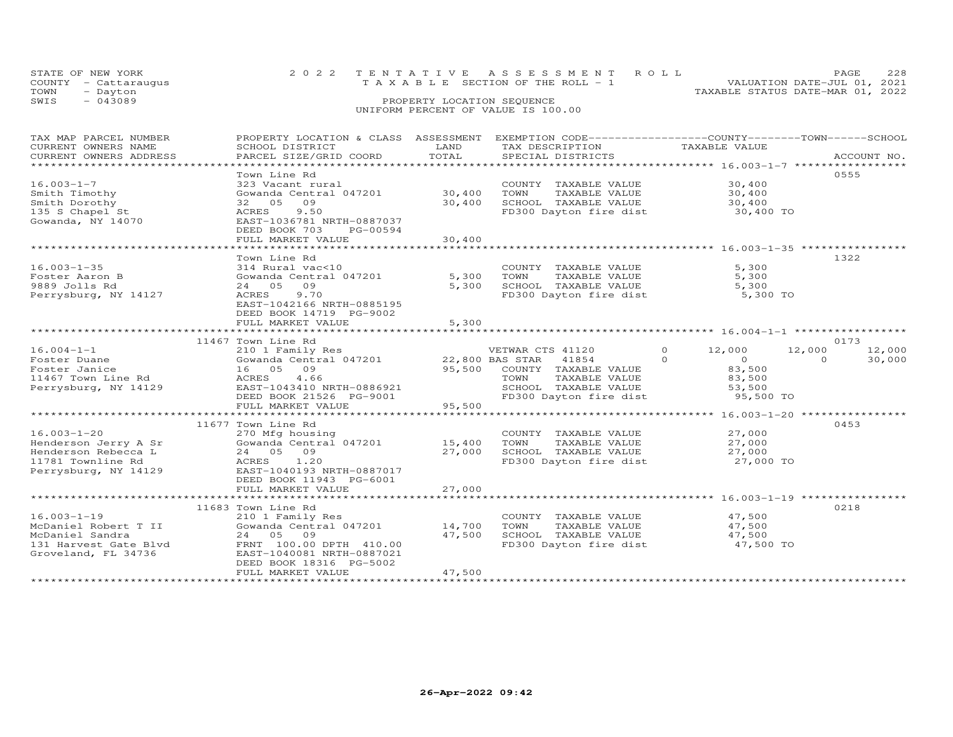|      | STATE OF NEW YORK    | 2022 TENTATIVE ASSESSMENT ROLL                                       | PAGE | 228 |
|------|----------------------|----------------------------------------------------------------------|------|-----|
|      | COUNTY - Cattaraugus | VALUATION DATE-JUL 01, 2021<br>T A X A B L E SECTION OF THE ROLL - 1 |      |     |
| TOWN | - Dayton             | TAXABLE STATUS DATE-MAR 01, 2022                                     |      |     |
| SWIS | $-043089$            | PROPERTY LOCATION SEQUENCE                                           |      |     |
|      |                      | UNIFORM PERCENT OF VALUE IS 100.00                                   |      |     |

| TAX MAP PARCEL NUMBER                                                                          | PROPERTY LOCATION & CLASS ASSESSMENT EXEMPTION CODE---------------COUNTY-------TOWN------SCHOOL |        |                                                |                            |                    |
|------------------------------------------------------------------------------------------------|-------------------------------------------------------------------------------------------------|--------|------------------------------------------------|----------------------------|--------------------|
| CURRENT OWNERS NAME                                                                            | SCHOOL DISTRICT                                                                                 | LAND   | TAX DESCRIPTION                                | TAXABLE VALUE              |                    |
| CURRENT OWNERS ADDRESS                                                                         | PARCEL SIZE/GRID COORD                                                                          | TOTAL  | SPECIAL DISTRICTS                              |                            | ACCOUNT NO.        |
|                                                                                                |                                                                                                 |        |                                                |                            |                    |
|                                                                                                | Town Line Rd                                                                                    |        |                                                |                            | 0555               |
| $16.003 - 1 - 7$                                                                               | 323 Vacant rural<br>323 Vacant rural<br>Gowanda Central 047201                 30,400           |        | COUNTY TAXABLE VALUE                           | 30,400                     |                    |
| Smith Timothy                                                                                  |                                                                                                 |        | TOWN<br>TAXABLE VALUE                          | 30,400                     |                    |
| Smith Dorothy                                                                                  | 32 05 09                                                                                        | 30,400 | SCHOOL TAXABLE VALUE                           | 30,400                     |                    |
| 135 S Chapel St                                                                                | ACRES 9.50                                                                                      |        | FD300 Dayton fire dist                         | 30,400 TO                  |                    |
| Gowanda, NY 14070                                                                              | EAST-1036781 NRTH-0887037                                                                       |        |                                                |                            |                    |
|                                                                                                | DEED BOOK 703<br>PG-00594                                                                       |        |                                                |                            |                    |
|                                                                                                | FULL MARKET VALUE                                                                               | 30,400 |                                                |                            |                    |
|                                                                                                |                                                                                                 |        |                                                |                            |                    |
|                                                                                                | Town Line Rd                                                                                    |        |                                                |                            | 1322               |
| $16.003 - 1 - 35$                                                                              | 314 Rural vac<10                                                                                |        | COUNTY TAXABLE VALUE                           | 5,300                      |                    |
| Foster Aaron B                                                                                 | Gowanda Central 047201                                                                          | 5,300  | TAXABLE VALUE<br>TOWN                          | 5,300                      |                    |
| 9889 Jolls Rd                                                                                  | 24 05 09                                                                                        | 5,300  |                                                | 5,300                      |                    |
| Perrysburg, NY 14127                                                                           | 9.70<br>ACRES                                                                                   |        | SCHOOL TAXABLE VALUE<br>FD300 Dayton fire dist | 5,300 TO                   |                    |
|                                                                                                | EAST-1042166 NRTH-0885195                                                                       |        |                                                |                            |                    |
|                                                                                                | DEED BOOK 14719 PG-9002                                                                         |        |                                                |                            |                    |
|                                                                                                | FULL MARKET VALUE                                                                               | 5,300  |                                                |                            |                    |
|                                                                                                |                                                                                                 |        |                                                |                            |                    |
|                                                                                                | 11467 Town Line Rd                                                                              |        |                                                |                            | 0173               |
| $16.004 - 1 - 1$                                                                               | 210 1 Family Res                                                                                |        | VETWAR CTS 41120                               | $\Omega$<br>12,000         | 12,000<br>12,000   |
| Foster Duane                                                                                   |                                                                                                 |        |                                                | $\Omega$<br>$\overline{0}$ | $\Omega$<br>30,000 |
| Foster Janice                                                                                  | 16 05 09                                                                                        |        | 95,500 COUNTY TAXABLE VALUE                    | 83,500                     |                    |
| roscer banree<br>11467 Town Line Rd                                                            | ACRES 4.66                                                                                      |        | TAXABLE VALUE<br>TOWN                          | 83,500                     |                    |
| Perrysburg, NY 14129                                                                           | EAST-1043410 NRTH-0886921                                                                       |        | SCHOOL TAXABLE VALUE<br>FD300 Dayton fire dist | 53,500                     |                    |
|                                                                                                | DEED BOOK 21526 $PG-9001$                                                                       |        |                                                | 95,500 TO                  |                    |
|                                                                                                | FULL MARKET VALUE                                                                               | 95,500 |                                                |                            |                    |
|                                                                                                |                                                                                                 |        |                                                |                            |                    |
|                                                                                                | 11677 Town Line Rd                                                                              |        |                                                |                            | 0453               |
| $16.003 - 1 - 20$                                                                              | 270 Mfg housing                                                                                 |        | COUNTY TAXABLE VALUE                           | 27,000                     |                    |
| Henderson Jerry A Sr                                                                           | Gowanda Central 047201 15,400                                                                   |        | TOWN                                           | TAXABLE VALUE 27,000       |                    |
| Henderson Rebecca L                                                                            | 24 05 09                                                                                        | 27,000 | SCHOOL TAXABLE VALUE                           | 27,000                     |                    |
| 11781 Townline Rd                                                                              | ACRES 1.20                                                                                      |        | FD300 Dayton fire dist 27,000 TO               |                            |                    |
| Perrysburg, NY 14129                                                                           | EAST-1040193 NRTH-0887017                                                                       |        |                                                |                            |                    |
|                                                                                                | DEED BOOK 11943 PG-6001                                                                         |        |                                                |                            |                    |
|                                                                                                | FULL MARKET VALUE                                                                               | 27,000 |                                                |                            |                    |
|                                                                                                |                                                                                                 |        |                                                |                            |                    |
|                                                                                                | 11683 Town Line Rd                                                                              |        |                                                |                            | 0218               |
| $16.003 - 1 - 19$                                                                              | 210 1 Family Res                                                                                |        | COUNTY TAXABLE VALUE                           | 47,500                     |                    |
| McDaniel Robert T II                                                                           | Gowanda Central 047201 14,700                                                                   |        | TOWN<br>TAXABLE VALUE                          |                            |                    |
| McDaniel Sandra                                                                                | 24 05 09                                                                                        | 47,500 | SCHOOL TAXABLE VALUE                           | $\frac{47}{17}$ , 500      |                    |
|                                                                                                |                                                                                                 |        | FD300 Dayton fire dist 47,500 TO               |                            |                    |
| 131 Harvest Gate Blvd FRNT 100.00 DPTH 410.00<br>Groveland, FL 34736 EAST-1040081 NRTH-0887021 |                                                                                                 |        |                                                |                            |                    |
|                                                                                                | DEED BOOK 18316 PG-5002                                                                         |        |                                                |                            |                    |
|                                                                                                | FULL MARKET VALUE                                                                               | 47,500 |                                                |                            |                    |
|                                                                                                |                                                                                                 |        |                                                |                            |                    |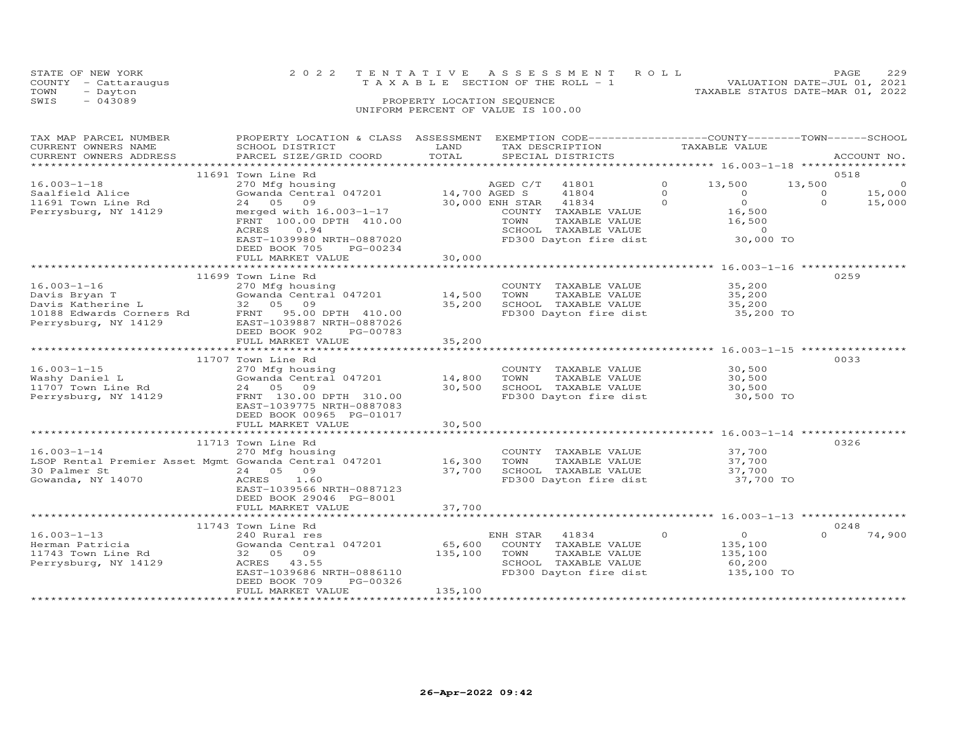|      | STATE OF NEW YORK    |                                       | 2022 TENTATIVE ASSESSMENT ROLL |                                  | PAGE.                       | 229 |
|------|----------------------|---------------------------------------|--------------------------------|----------------------------------|-----------------------------|-----|
|      | COUNTY - Cattaraugus | T A X A B L E SECTION OF THE ROLL - 1 |                                |                                  | VALUATION DATE-JUL 01, 2021 |     |
| TOWN | - Dayton             |                                       |                                | TAXABLE STATUS DATE-MAR 01, 2022 |                             |     |
| SWIS | $-043089$            | PROPERTY LOCATION SEQUENCE            |                                |                                  |                             |     |
|      |                      | UNIFORM PERCENT OF VALUE IS 100.00    |                                |                                  |                             |     |
|      |                      |                                       |                                |                                  |                             |     |

| ***********************<br>0518<br>11691 Town Line Rd<br>$16.003 - 1 - 18$<br>$\Omega$<br>13,500<br>13,500<br>41801<br>$\circ$<br>41804<br>$\Omega$<br>$\Omega$<br>15,000<br>Saalfield Alice<br>$\Omega$<br>$\Omega$<br>$\Omega$<br>24 05<br>30,000 ENH STAR<br>41834<br>$\Omega$<br>15,000<br>11691 Town Line Rd<br>09<br>16,500<br>Perrysburg, NY 14129<br>merged with 16.003-1-17<br>COUNTY TAXABLE VALUE<br>FRNT 100.00 DPTH 410.00<br>TOWN<br>TAXABLE VALUE<br>16,500<br>0.94<br>SCHOOL TAXABLE VALUE<br>$\Omega$<br>ACRES<br>FD300 Dayton fire dist<br>EAST-1039980 NRTH-0887020<br>30,000 TO<br>DEED BOOK 705<br>PG-00234<br>30,000<br>FULL MARKET VALUE<br>*********************************<br>0259<br>11699 Town Line Rd<br>$16.003 - 1 - 16$<br>270 Mfg housing<br>COUNTY TAXABLE VALUE<br>35,200<br>Gowanda Central 047201<br>14,500<br>Davis Bryan T<br>TOWN<br>TAXABLE VALUE<br>35,200<br>Davis Katherine L<br>32 05 09<br>35,200<br>SCHOOL TAXABLE VALUE<br>35,200<br>10188 Edwards Corners Rd<br>FD300 Dayton fire dist<br>FRNT 95.00 DPTH 410.00<br>35,200 TO<br>Perrysburg, NY 14129<br>EAST-1039887 NRTH-0887026<br>DEED BOOK 902<br>PG-00783<br>FULL MARKET VALUE<br>35,200<br>********************************** 16.003-1-15 ***********<br>*************<br>*************************<br>11707 Town Line Rd<br>0033<br>$16.003 - 1 - 15$<br>30,500<br>270 Mfg housing<br>COUNTY TAXABLE VALUE<br>Gowanda Central 047201<br>14,800<br>Washy Daniel L<br>TOWN<br>TAXABLE VALUE<br>30,500<br>30,500<br>24 05 09<br>SCHOOL TAXABLE VALUE<br>11707 Town Line Rd<br>30,500<br>FD300 Dayton fire dist<br>Perrysburg, NY 14129<br>FRNT 130.00 DPTH 310.00<br>30,500 TO |
|--------------------------------------------------------------------------------------------------------------------------------------------------------------------------------------------------------------------------------------------------------------------------------------------------------------------------------------------------------------------------------------------------------------------------------------------------------------------------------------------------------------------------------------------------------------------------------------------------------------------------------------------------------------------------------------------------------------------------------------------------------------------------------------------------------------------------------------------------------------------------------------------------------------------------------------------------------------------------------------------------------------------------------------------------------------------------------------------------------------------------------------------------------------------------------------------------------------------------------------------------------------------------------------------------------------------------------------------------------------------------------------------------------------------------------------------------------------------------------------------------------------------------------------------------------------------------------------------------------------------------------------------------------------------------------------|
|                                                                                                                                                                                                                                                                                                                                                                                                                                                                                                                                                                                                                                                                                                                                                                                                                                                                                                                                                                                                                                                                                                                                                                                                                                                                                                                                                                                                                                                                                                                                                                                                                                                                                      |
|                                                                                                                                                                                                                                                                                                                                                                                                                                                                                                                                                                                                                                                                                                                                                                                                                                                                                                                                                                                                                                                                                                                                                                                                                                                                                                                                                                                                                                                                                                                                                                                                                                                                                      |
|                                                                                                                                                                                                                                                                                                                                                                                                                                                                                                                                                                                                                                                                                                                                                                                                                                                                                                                                                                                                                                                                                                                                                                                                                                                                                                                                                                                                                                                                                                                                                                                                                                                                                      |
|                                                                                                                                                                                                                                                                                                                                                                                                                                                                                                                                                                                                                                                                                                                                                                                                                                                                                                                                                                                                                                                                                                                                                                                                                                                                                                                                                                                                                                                                                                                                                                                                                                                                                      |
|                                                                                                                                                                                                                                                                                                                                                                                                                                                                                                                                                                                                                                                                                                                                                                                                                                                                                                                                                                                                                                                                                                                                                                                                                                                                                                                                                                                                                                                                                                                                                                                                                                                                                      |
|                                                                                                                                                                                                                                                                                                                                                                                                                                                                                                                                                                                                                                                                                                                                                                                                                                                                                                                                                                                                                                                                                                                                                                                                                                                                                                                                                                                                                                                                                                                                                                                                                                                                                      |
|                                                                                                                                                                                                                                                                                                                                                                                                                                                                                                                                                                                                                                                                                                                                                                                                                                                                                                                                                                                                                                                                                                                                                                                                                                                                                                                                                                                                                                                                                                                                                                                                                                                                                      |
|                                                                                                                                                                                                                                                                                                                                                                                                                                                                                                                                                                                                                                                                                                                                                                                                                                                                                                                                                                                                                                                                                                                                                                                                                                                                                                                                                                                                                                                                                                                                                                                                                                                                                      |
|                                                                                                                                                                                                                                                                                                                                                                                                                                                                                                                                                                                                                                                                                                                                                                                                                                                                                                                                                                                                                                                                                                                                                                                                                                                                                                                                                                                                                                                                                                                                                                                                                                                                                      |
|                                                                                                                                                                                                                                                                                                                                                                                                                                                                                                                                                                                                                                                                                                                                                                                                                                                                                                                                                                                                                                                                                                                                                                                                                                                                                                                                                                                                                                                                                                                                                                                                                                                                                      |
|                                                                                                                                                                                                                                                                                                                                                                                                                                                                                                                                                                                                                                                                                                                                                                                                                                                                                                                                                                                                                                                                                                                                                                                                                                                                                                                                                                                                                                                                                                                                                                                                                                                                                      |
|                                                                                                                                                                                                                                                                                                                                                                                                                                                                                                                                                                                                                                                                                                                                                                                                                                                                                                                                                                                                                                                                                                                                                                                                                                                                                                                                                                                                                                                                                                                                                                                                                                                                                      |
|                                                                                                                                                                                                                                                                                                                                                                                                                                                                                                                                                                                                                                                                                                                                                                                                                                                                                                                                                                                                                                                                                                                                                                                                                                                                                                                                                                                                                                                                                                                                                                                                                                                                                      |
|                                                                                                                                                                                                                                                                                                                                                                                                                                                                                                                                                                                                                                                                                                                                                                                                                                                                                                                                                                                                                                                                                                                                                                                                                                                                                                                                                                                                                                                                                                                                                                                                                                                                                      |
|                                                                                                                                                                                                                                                                                                                                                                                                                                                                                                                                                                                                                                                                                                                                                                                                                                                                                                                                                                                                                                                                                                                                                                                                                                                                                                                                                                                                                                                                                                                                                                                                                                                                                      |
|                                                                                                                                                                                                                                                                                                                                                                                                                                                                                                                                                                                                                                                                                                                                                                                                                                                                                                                                                                                                                                                                                                                                                                                                                                                                                                                                                                                                                                                                                                                                                                                                                                                                                      |
|                                                                                                                                                                                                                                                                                                                                                                                                                                                                                                                                                                                                                                                                                                                                                                                                                                                                                                                                                                                                                                                                                                                                                                                                                                                                                                                                                                                                                                                                                                                                                                                                                                                                                      |
|                                                                                                                                                                                                                                                                                                                                                                                                                                                                                                                                                                                                                                                                                                                                                                                                                                                                                                                                                                                                                                                                                                                                                                                                                                                                                                                                                                                                                                                                                                                                                                                                                                                                                      |
|                                                                                                                                                                                                                                                                                                                                                                                                                                                                                                                                                                                                                                                                                                                                                                                                                                                                                                                                                                                                                                                                                                                                                                                                                                                                                                                                                                                                                                                                                                                                                                                                                                                                                      |
|                                                                                                                                                                                                                                                                                                                                                                                                                                                                                                                                                                                                                                                                                                                                                                                                                                                                                                                                                                                                                                                                                                                                                                                                                                                                                                                                                                                                                                                                                                                                                                                                                                                                                      |
|                                                                                                                                                                                                                                                                                                                                                                                                                                                                                                                                                                                                                                                                                                                                                                                                                                                                                                                                                                                                                                                                                                                                                                                                                                                                                                                                                                                                                                                                                                                                                                                                                                                                                      |
|                                                                                                                                                                                                                                                                                                                                                                                                                                                                                                                                                                                                                                                                                                                                                                                                                                                                                                                                                                                                                                                                                                                                                                                                                                                                                                                                                                                                                                                                                                                                                                                                                                                                                      |
|                                                                                                                                                                                                                                                                                                                                                                                                                                                                                                                                                                                                                                                                                                                                                                                                                                                                                                                                                                                                                                                                                                                                                                                                                                                                                                                                                                                                                                                                                                                                                                                                                                                                                      |
|                                                                                                                                                                                                                                                                                                                                                                                                                                                                                                                                                                                                                                                                                                                                                                                                                                                                                                                                                                                                                                                                                                                                                                                                                                                                                                                                                                                                                                                                                                                                                                                                                                                                                      |
|                                                                                                                                                                                                                                                                                                                                                                                                                                                                                                                                                                                                                                                                                                                                                                                                                                                                                                                                                                                                                                                                                                                                                                                                                                                                                                                                                                                                                                                                                                                                                                                                                                                                                      |
| EAST-1039775 NRTH-0887083                                                                                                                                                                                                                                                                                                                                                                                                                                                                                                                                                                                                                                                                                                                                                                                                                                                                                                                                                                                                                                                                                                                                                                                                                                                                                                                                                                                                                                                                                                                                                                                                                                                            |
| DEED BOOK 00965 PG-01017<br>30,500<br>FULL MARKET VALUE                                                                                                                                                                                                                                                                                                                                                                                                                                                                                                                                                                                                                                                                                                                                                                                                                                                                                                                                                                                                                                                                                                                                                                                                                                                                                                                                                                                                                                                                                                                                                                                                                              |
|                                                                                                                                                                                                                                                                                                                                                                                                                                                                                                                                                                                                                                                                                                                                                                                                                                                                                                                                                                                                                                                                                                                                                                                                                                                                                                                                                                                                                                                                                                                                                                                                                                                                                      |
| 0326<br>11713 Town Line Rd                                                                                                                                                                                                                                                                                                                                                                                                                                                                                                                                                                                                                                                                                                                                                                                                                                                                                                                                                                                                                                                                                                                                                                                                                                                                                                                                                                                                                                                                                                                                                                                                                                                           |
| $16.003 - 1 - 14$<br>270 Mfg housing<br>37,700<br>COUNTY TAXABLE VALUE                                                                                                                                                                                                                                                                                                                                                                                                                                                                                                                                                                                                                                                                                                                                                                                                                                                                                                                                                                                                                                                                                                                                                                                                                                                                                                                                                                                                                                                                                                                                                                                                               |
| LSOP Rental Premier Asset Mgmt Gowanda Central 047201<br>16,300<br>TAXABLE VALUE<br>37,700<br>TOWN                                                                                                                                                                                                                                                                                                                                                                                                                                                                                                                                                                                                                                                                                                                                                                                                                                                                                                                                                                                                                                                                                                                                                                                                                                                                                                                                                                                                                                                                                                                                                                                   |
| 30 Palmer St<br>24 05<br>09<br>37,700<br>SCHOOL TAXABLE VALUE<br>37,700                                                                                                                                                                                                                                                                                                                                                                                                                                                                                                                                                                                                                                                                                                                                                                                                                                                                                                                                                                                                                                                                                                                                                                                                                                                                                                                                                                                                                                                                                                                                                                                                              |
| FD300 Dayton fire dist 37,700 TO<br>Gowanda, NY 14070<br>1.60<br>ACRES                                                                                                                                                                                                                                                                                                                                                                                                                                                                                                                                                                                                                                                                                                                                                                                                                                                                                                                                                                                                                                                                                                                                                                                                                                                                                                                                                                                                                                                                                                                                                                                                               |
| EAST-1039566 NRTH-0887123                                                                                                                                                                                                                                                                                                                                                                                                                                                                                                                                                                                                                                                                                                                                                                                                                                                                                                                                                                                                                                                                                                                                                                                                                                                                                                                                                                                                                                                                                                                                                                                                                                                            |
| DEED BOOK 29046 PG-8001                                                                                                                                                                                                                                                                                                                                                                                                                                                                                                                                                                                                                                                                                                                                                                                                                                                                                                                                                                                                                                                                                                                                                                                                                                                                                                                                                                                                                                                                                                                                                                                                                                                              |
| 37,700<br>FULL MARKET VALUE                                                                                                                                                                                                                                                                                                                                                                                                                                                                                                                                                                                                                                                                                                                                                                                                                                                                                                                                                                                                                                                                                                                                                                                                                                                                                                                                                                                                                                                                                                                                                                                                                                                          |
| *****************                                                                                                                                                                                                                                                                                                                                                                                                                                                                                                                                                                                                                                                                                                                                                                                                                                                                                                                                                                                                                                                                                                                                                                                                                                                                                                                                                                                                                                                                                                                                                                                                                                                                    |
| 0248<br>11743 Town Line Rd                                                                                                                                                                                                                                                                                                                                                                                                                                                                                                                                                                                                                                                                                                                                                                                                                                                                                                                                                                                                                                                                                                                                                                                                                                                                                                                                                                                                                                                                                                                                                                                                                                                           |
| $16.003 - 1 - 13$<br>$\circ$<br>$\circ$<br>74,900<br>240 Rural res<br>ENH STAR<br>41834<br>$\Omega$                                                                                                                                                                                                                                                                                                                                                                                                                                                                                                                                                                                                                                                                                                                                                                                                                                                                                                                                                                                                                                                                                                                                                                                                                                                                                                                                                                                                                                                                                                                                                                                  |
| 65,600<br>Gowanda Central 047201<br>COUNTY TAXABLE VALUE<br>Herman Patricia<br>135,100                                                                                                                                                                                                                                                                                                                                                                                                                                                                                                                                                                                                                                                                                                                                                                                                                                                                                                                                                                                                                                                                                                                                                                                                                                                                                                                                                                                                                                                                                                                                                                                               |
| 11743 Town Line Rd<br>135,100<br>TOWN<br>TAXABLE VALUE<br>32 05 09<br>135,100                                                                                                                                                                                                                                                                                                                                                                                                                                                                                                                                                                                                                                                                                                                                                                                                                                                                                                                                                                                                                                                                                                                                                                                                                                                                                                                                                                                                                                                                                                                                                                                                        |
| Perrysburg, NY 14129<br>SCHOOL TAXABLE VALUE<br>60,200<br>ACRES 43.55                                                                                                                                                                                                                                                                                                                                                                                                                                                                                                                                                                                                                                                                                                                                                                                                                                                                                                                                                                                                                                                                                                                                                                                                                                                                                                                                                                                                                                                                                                                                                                                                                |
| FD300 Dayton fire dist<br>EAST-1039686 NRTH-0886110<br>135,100 TO                                                                                                                                                                                                                                                                                                                                                                                                                                                                                                                                                                                                                                                                                                                                                                                                                                                                                                                                                                                                                                                                                                                                                                                                                                                                                                                                                                                                                                                                                                                                                                                                                    |
| DEED BOOK 709<br>PG-00326<br>135,100<br>FULL MARKET VALUE                                                                                                                                                                                                                                                                                                                                                                                                                                                                                                                                                                                                                                                                                                                                                                                                                                                                                                                                                                                                                                                                                                                                                                                                                                                                                                                                                                                                                                                                                                                                                                                                                            |
| * * * * * * * * * * * * * * * * * * * *                                                                                                                                                                                                                                                                                                                                                                                                                                                                                                                                                                                                                                                                                                                                                                                                                                                                                                                                                                                                                                                                                                                                                                                                                                                                                                                                                                                                                                                                                                                                                                                                                                              |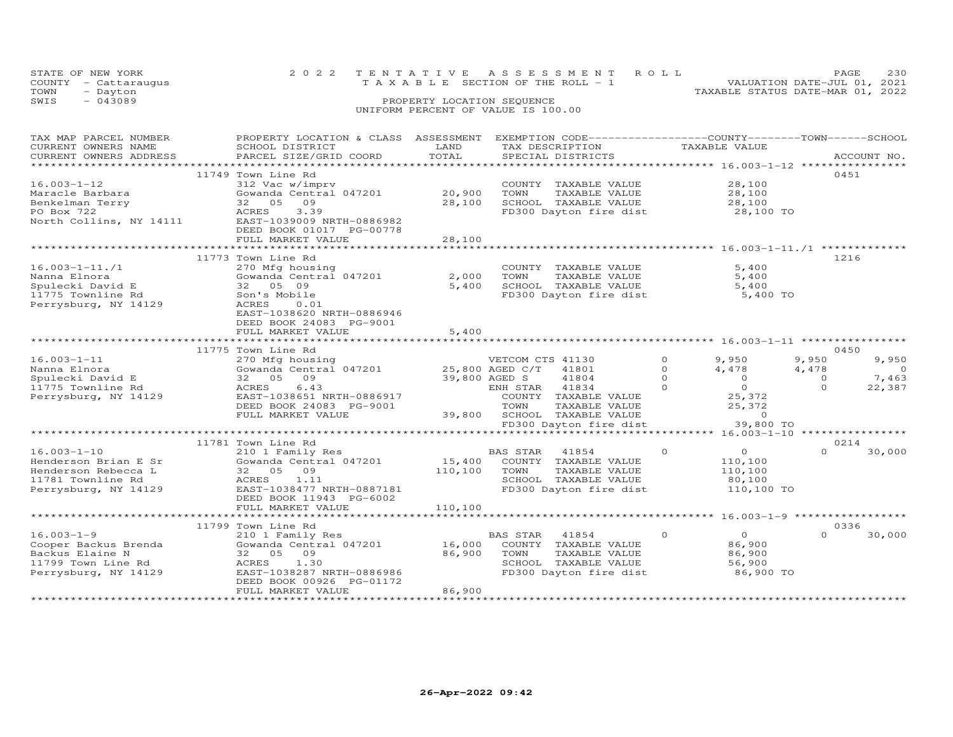|      | STATE OF NEW YORK<br>COUNTY - Cattaraugus | 2022 TENTATIVE ASSESSMENT ROLL<br>VALUATION DATE-JUL 01, 2021<br>TAXABLE SECTION OF THE ROLL - 1 | PAGE. | 230 |
|------|-------------------------------------------|--------------------------------------------------------------------------------------------------|-------|-----|
| TOWN | - Dayton                                  | TAXABLE STATUS DATE-MAR 01, 2022                                                                 |       |     |
| SWIS | $-043089$                                 | PROPERTY LOCATION SEQUENCE<br>UNIFORM PERCENT OF VALUE IS 100.00                                 |       |     |

| TAX MAP PARCEL NUMBER<br>CURRENT OWNERS NAME<br>CURRENT OWNERS ADDRESS                                                                 | PROPERTY LOCATION & CLASS ASSESSMENT<br>SCHOOL DISTRICT<br>PARCEL SIZE/GRID COORD                                                                                             | LAND<br>TOTAL                 | EXEMPTION CODE-----------------COUNTY-------TOWN------SCHOOL<br>TAX DESCRIPTION<br>SPECIAL DISTRICTS                       | TAXABLE VALUE                                                           | ACCOUNT NO.                                                     |
|----------------------------------------------------------------------------------------------------------------------------------------|-------------------------------------------------------------------------------------------------------------------------------------------------------------------------------|-------------------------------|----------------------------------------------------------------------------------------------------------------------------|-------------------------------------------------------------------------|-----------------------------------------------------------------|
| **********************************<br>$16.003 - 1 - 12$<br>Maracle Barbara<br>Benkelman Terry<br>PO Box 722<br>North Collins, NY 14111 | 11749 Town Line Rd<br>312 Vac w/imprv<br>Gowanda Central 047201<br>32 05<br>09<br>ACRES<br>3.39<br>EAST-1039009 NRTH-0886982<br>DEED BOOK 01017 PG-00778<br>FULL MARKET VALUE | 20,900<br>28,100<br>28,100    | COUNTY TAXABLE VALUE<br>TOWN<br>TAXABLE VALUE<br>SCHOOL TAXABLE VALUE<br>FD300 Dayton fire dist                            | 28,100<br>28,100<br>28,100<br>28,100 TO                                 | 0451                                                            |
| $16.003 - 1 - 11.71$<br>Nanna Elnora<br>Spulecki David E<br>11775 Townline Rd<br>Perrysburg, NY 14129                                  | 11773 Town Line Rd<br>270 Mfg housing<br>Gowanda Central 047201<br>32 05 09<br>Son's Mobile<br>ACRES<br>0.01<br>EAST-1038620 NRTH-0886946<br>DEED BOOK 24083 PG-9001          | 2,000<br>5,400                | COUNTY TAXABLE VALUE<br>TOWN<br>TAXABLE VALUE<br>SCHOOL TAXABLE VALUE<br>FD300 Dayton fire dist                            | 5,400<br>5,400<br>5,400<br>5,400 TO                                     | 1216                                                            |
|                                                                                                                                        | FULL MARKET VALUE                                                                                                                                                             | 5,400                         |                                                                                                                            | ************************ 16.003-1-11 *****************                  |                                                                 |
| $16.003 - 1 - 11$<br>Nanna Elnora<br>Spulecki David E                                                                                  | 11775 Town Line Rd<br>270 Mfg housing<br>Gowanda Central 047201<br>32 05<br>09                                                                                                |                               | VETCOM CTS 41130<br>25,800 AGED C/T<br>41801<br>41804<br>39,800 AGED S                                                     | $\circ$<br>9,950<br>$\Omega$<br>4,478<br>$\Omega$<br>$\Omega$           | 0450<br>9,950<br>9,950<br>4,478<br>$\circ$<br>7,463<br>$\Omega$ |
| 11775 Townline Rd<br>Perrysburg, NY 14129                                                                                              | ACRES<br>6.43<br>EAST-1038651 NRTH-0886917<br>DEED BOOK 24083 PG-9001<br>FULL MARKET VALUE                                                                                    | 39,800                        | 41834<br>ENH STAR<br>COUNTY<br>TAXABLE VALUE<br>TOWN<br>TAXABLE VALUE<br>SCHOOL<br>TAXABLE VALUE<br>FD300 Dayton fire dist | $\Omega$<br>$\Omega$<br>25,372<br>25,372<br>$\circ$<br>39,800 TO        | $\Omega$<br>22,387                                              |
|                                                                                                                                        | *******************************                                                                                                                                               |                               |                                                                                                                            | *** 16.003-1-10 ***                                                     |                                                                 |
|                                                                                                                                        | 11781 Town Line Rd                                                                                                                                                            |                               |                                                                                                                            |                                                                         | 0214                                                            |
| $16.003 - 1 - 10$<br>Henderson Brian E Sr<br>Henderson Rebecca L<br>11781 Townline Rd<br>Perrysburg, NY 14129                          | 210 1 Family Res<br>Gowanda Central 047201<br>32 05<br>09<br>ACRES<br>1.11<br>EAST-1038477 NRTH-0887181<br>DEED BOOK 11943 PG-6002<br>FULL MARKET VALUE                       | 15,400<br>110,100<br>110,100  | 41854<br>BAS STAR<br>COUNTY TAXABLE VALUE<br>TOWN<br>TAXABLE VALUE<br>SCHOOL TAXABLE VALUE<br>FD300 Dayton fire dist       | $\circ$<br>$\overline{0}$<br>110,100<br>110,100<br>80,100<br>110,100 TO | $\Omega$<br>30,000                                              |
|                                                                                                                                        | .                                                                                                                                                                             |                               |                                                                                                                            |                                                                         |                                                                 |
|                                                                                                                                        | 11799 Town Line Rd                                                                                                                                                            |                               |                                                                                                                            |                                                                         | 0336                                                            |
| $16.003 - 1 - 9$<br>Cooper Backus Brenda<br>Backus Elaine N<br>11799 Town Line Rd<br>Perrysburg, NY 14129                              | 210 1 Family Res<br>Gowanda Central 047201<br>32 05<br>09<br>ACRES<br>1.30<br>EAST-1038287 NRTH-0886986<br>DEED BOOK 00926 PG-01172                                           | 16,000<br>86,900              | BAS STAR<br>41854<br>COUNTY TAXABLE VALUE<br>TOWN<br>TAXABLE VALUE<br>SCHOOL TAXABLE VALUE<br>FD300 Dayton fire dist       | $\Omega$<br>$\Omega$<br>86,900<br>86,900<br>56,900<br>86,900 TO         | $\Omega$<br>30,000                                              |
|                                                                                                                                        | FULL MARKET VALUE<br>****************************                                                                                                                             | 86,900<br>******************* |                                                                                                                            |                                                                         |                                                                 |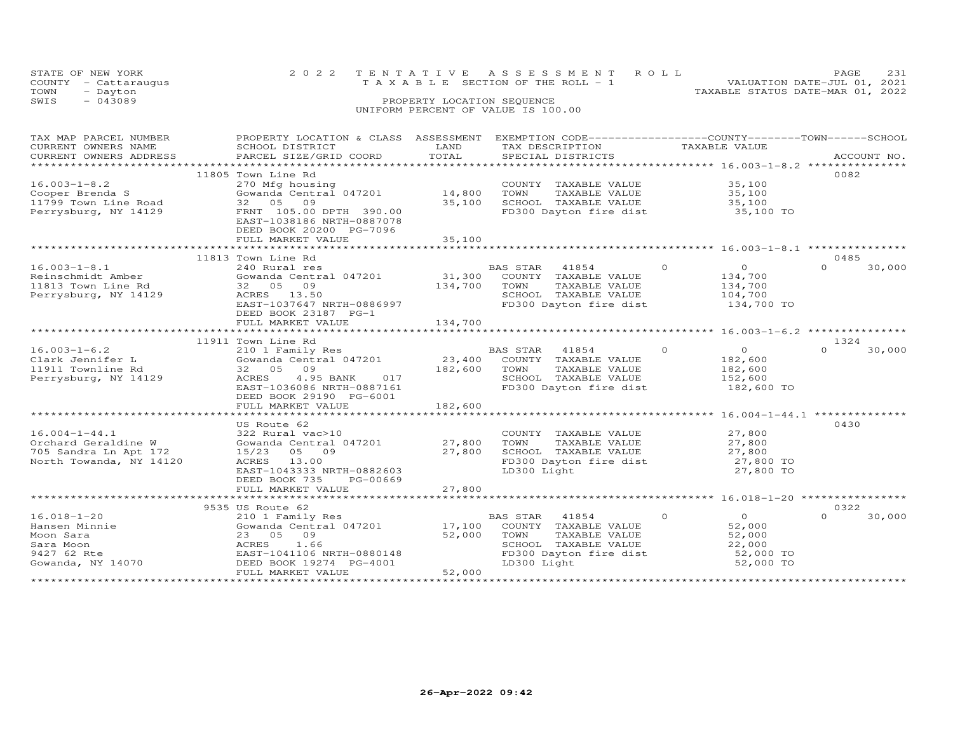| STATE OF NEW YORK       |                           |                            | 2022 TENTATIVE ASSESSMENT ROLL                              |               | PAGE                             | 231 |
|-------------------------|---------------------------|----------------------------|-------------------------------------------------------------|---------------|----------------------------------|-----|
| - Cattaraugus<br>COUNTY |                           |                            | T A X A B L E SECTION OF THE ROLL - 1                       |               | VALUATION DATE-JUL 01, 2021      |     |
| TOWN<br>- Dayton        |                           |                            |                                                             |               | TAXABLE STATUS DATE-MAR 01, 2022 |     |
| $-043089$<br>SWIS       |                           | PROPERTY LOCATION SEQUENCE |                                                             |               |                                  |     |
|                         |                           |                            | UNIFORM PERCENT OF VALUE IS 100.00                          |               |                                  |     |
|                         |                           |                            |                                                             |               |                                  |     |
|                         |                           |                            |                                                             |               |                                  |     |
| TAX MAP PARCEL NUMBER   | PROPERTY LOCATION & CLASS | ASSESSMENT                 | EXEMPTION CODE-----------------COUNTY-------TOWN-----SCHOOL |               |                                  |     |
| CURRENT OWNERS NAME     | SCHOOL DISTRICT           | LAND                       | TAX DESCRIPTION                                             | TAXABLE VALUE |                                  |     |
| CURRENT OWNERS ADDRESS  | PARCEL SIZE/GRID COORD    | TOTAL                      | SPECIAL DISTRICTS                                           |               | ACCOUNT NO.                      |     |
|                         |                           |                            |                                                             |               |                                  |     |
|                         | 11805 Town Line Rd        |                            |                                                             |               | 0082                             |     |
|                         |                           |                            |                                                             |               |                                  |     |

| $16.003 - 1 - 8.2$      | 270 Mfg housing              | COUNTY TAXABLE VALUE<br>35,100                  |                    |
|-------------------------|------------------------------|-------------------------------------------------|--------------------|
| Cooper Brenda S         | Gowanda Central 047201       | 14,800<br>TOWN<br>TAXABLE VALUE<br>35,100       |                    |
| 11799 Town Line Road    | 09<br>32 05                  | 35,100<br>SCHOOL TAXABLE VALUE<br>35,100        |                    |
| Perrysburg, NY 14129    | FRNT 105.00 DPTH 390.00      | FD300 Dayton fire dist<br>35,100 TO             |                    |
|                         | EAST-1038186 NRTH-0887078    |                                                 |                    |
|                         | DEED BOOK 20200 PG-7096      |                                                 |                    |
|                         | FULL MARKET VALUE            | 35,100                                          |                    |
|                         |                              |                                                 |                    |
|                         | 11813 Town Line Rd           |                                                 | 0485               |
| $16.003 - 1 - 8.1$      | 240 Rural res                | $\circ$<br>$\Omega$<br><b>BAS STAR</b><br>41854 | $\Omega$<br>30,000 |
| Reinschmidt Amber       | Gowanda Central 047201       | 31,300<br>COUNTY TAXABLE VALUE<br>134,700       |                    |
| 11813 Town Line Rd      | 09<br>32 05                  | 134,700<br>TAXABLE VALUE<br>TOWN<br>134,700     |                    |
| Perrysburg, NY 14129    | ACRES 13.50                  | SCHOOL TAXABLE VALUE<br>104,700                 |                    |
|                         | EAST-1037647 NRTH-0886997    | FD300 Dayton fire dist<br>134,700 TO            |                    |
|                         | DEED BOOK 23187 PG-1         |                                                 |                    |
|                         | FULL MARKET VALUE            | 134,700                                         |                    |
|                         | **************************** |                                                 | ***************    |
|                         | 11911 Town Line Rd           |                                                 | 1324               |
| $16.003 - 1 - 6.2$      | 210 1 Family Res             | $\circ$<br><b>BAS STAR</b><br>41854<br>$\Omega$ | $\Omega$<br>30,000 |
| Clark Jennifer L        | Gowanda Central 047201       | 23,400<br>COUNTY TAXABLE VALUE<br>182,600       |                    |
| 11911 Townline Rd       | 32 05<br>09                  | 182,600<br>182,600<br>TOWN<br>TAXABLE VALUE     |                    |
| Perrysburg, NY 14129    | 4.95 BANK<br>ACRES<br>017    | SCHOOL TAXABLE VALUE<br>152,600                 |                    |
|                         | EAST-1036086 NRTH-0887161    | FD300 Dayton fire dist<br>182,600 TO            |                    |
|                         | DEED BOOK 29190 PG-6001      |                                                 |                    |
|                         | FULL MARKET VALUE            | 182,600                                         |                    |
|                         | *******************          | ************* 16.004-1-44.1 **************      |                    |
|                         | US Route 62                  |                                                 | 0430               |
| $16.004 - 1 - 44.1$     | 322 Rural vac>10             | COUNTY TAXABLE VALUE<br>27,800                  |                    |
| Orchard Geraldine W     | Gowanda Central 047201       | 27,800<br>TAXABLE VALUE<br>27,800<br>TOWN       |                    |
| 705 Sandra Ln Apt 172   | 15/23<br>05 09               | 27,800<br>27,800<br>SCHOOL TAXABLE VALUE        |                    |
| North Towanda, NY 14120 | ACRES 13.00                  | FD300 Dayton fire dist<br>27,800 TO             |                    |
|                         | EAST-1043333 NRTH-0882603    | LD300 Light<br>27,800 TO                        |                    |
|                         | DEED BOOK 735<br>PG-00669    |                                                 |                    |
|                         | FULL MARKET VALUE            | 27,800                                          |                    |
|                         | *************************    |                                                 |                    |
|                         | 9535 US Route 62             |                                                 | 0322               |
| $16.018 - 1 - 20$       | 210 1 Family Res             | $\circ$<br><b>BAS STAR</b><br>41854<br>$\circ$  | $\Omega$<br>30,000 |
| Hansen Minnie           | Gowanda Central 047201       | 17,100<br>52,000<br>COUNTY TAXABLE VALUE        |                    |
| Moon Sara               | 09<br>23 05                  | 52,000<br>TOWN<br>TAXABLE VALUE<br>52,000       |                    |
| Sara Moon               | 1.66<br>ACRES                | SCHOOL TAXABLE VALUE<br>22,000                  |                    |
| 9427 62 Rte             | EAST-1041106 NRTH-0880148    | FD300 Dayton fire dist<br>52,000 TO             |                    |
| Gowanda, NY 14070       | DEED BOOK 19274 PG-4001      | LD300 Light<br>52,000 TO                        |                    |
|                         | FULL MARKET VALUE            | 52,000                                          |                    |
|                         | *************************    |                                                 |                    |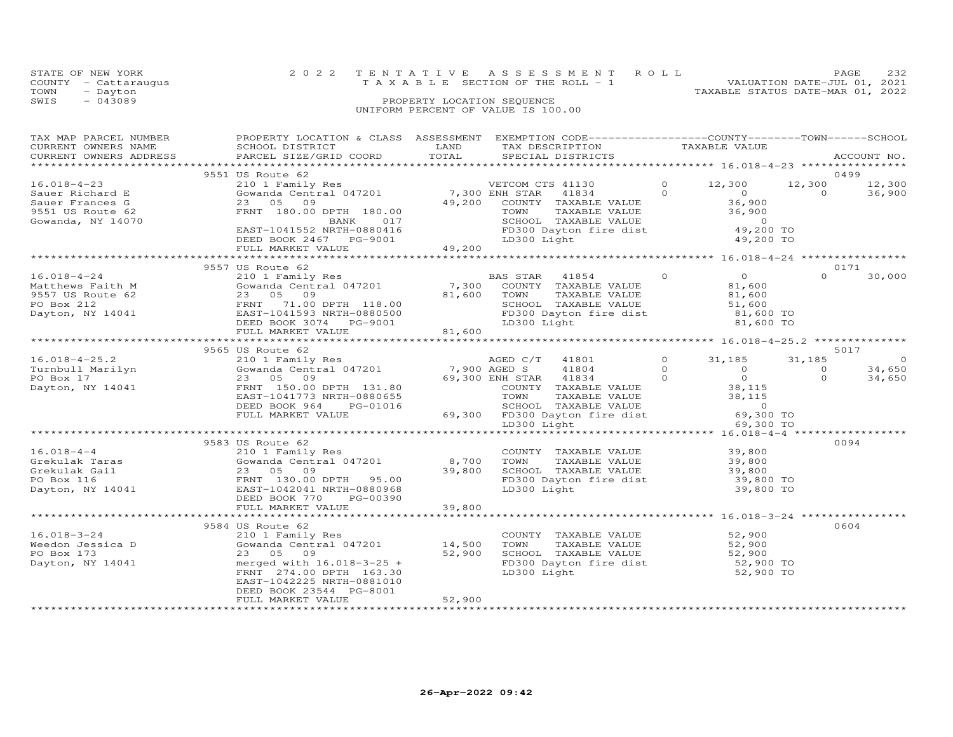|      | STATE OF NEW YORK    |                                    | 2022 TENTATIVE ASSESSMENT ROLL        |                                  | PAGE.                       | 2.32 |
|------|----------------------|------------------------------------|---------------------------------------|----------------------------------|-----------------------------|------|
|      | COUNTY - Cattaraugus |                                    | T A X A B L E SECTION OF THE ROLL - 1 |                                  | VALUATION DATE-JUL 01, 2021 |      |
| TOWN | - Dayton             |                                    |                                       | TAXABLE STATUS DATE-MAR 01, 2022 |                             |      |
| SWIS | $-043089$            | PROPERTY LOCATION SEOUENCE         |                                       |                                  |                             |      |
|      |                      | UNIFORM PERCENT OF VALUE IS 100.00 |                                       |                                  |                             |      |

| TAX MAP PARCEL NUMBER                                  | PROPERTY LOCATION & CLASS  ASSESSMENT  EXEMPTION CODE-----------------COUNTY-------TOWN------SCHOOL                                                                                                                                                                                                 |             |                                                                                                                                                                    |                      |          |             |
|--------------------------------------------------------|-----------------------------------------------------------------------------------------------------------------------------------------------------------------------------------------------------------------------------------------------------------------------------------------------------|-------------|--------------------------------------------------------------------------------------------------------------------------------------------------------------------|----------------------|----------|-------------|
| CURRENT OWNERS NAME                                    | SCHOOL DISTRICT                                                                                                                                                                                                                                                                                     | <b>LAND</b> |                                                                                                                                                                    |                      |          |             |
| CURRENT OWNERS ADDRESS                                 | PARCEL SIZE/GRID COORD TOTAL                                                                                                                                                                                                                                                                        |             |                                                                                                                                                                    |                      |          | ACCOUNT NO. |
|                                                        |                                                                                                                                                                                                                                                                                                     |             |                                                                                                                                                                    |                      |          |             |
|                                                        | 9551 US Route 62                                                                                                                                                                                                                                                                                    |             |                                                                                                                                                                    |                      | 0499     |             |
| $16.018 - 4 - 23$                                      |                                                                                                                                                                                                                                                                                                     |             |                                                                                                                                                                    | 12,300 12,300 12,300 |          |             |
|                                                        |                                                                                                                                                                                                                                                                                                     |             |                                                                                                                                                                    |                      |          | 36,900      |
|                                                        |                                                                                                                                                                                                                                                                                                     |             |                                                                                                                                                                    |                      |          |             |
| Sauer Richard E<br>Sauer Frances G<br>9551 US Route 62 |                                                                                                                                                                                                                                                                                                     |             |                                                                                                                                                                    |                      |          |             |
| Gowanda, NY 14070                                      |                                                                                                                                                                                                                                                                                                     |             |                                                                                                                                                                    |                      |          |             |
|                                                        | 210 1 Family Res<br>Gowanda Central 047201 7,300 ENH STAR 41834 0<br>23 05 09 49,200 COUNTY TAXABLE VALUE<br>FRNT 180.00 DPTH 180.00 70000 70000 FAXABLE VALUE<br>BANK 017 5CHOOL TAXABLE VALUE<br>FD300 Dayton fire dist<br>EAST-1041552 NRTH-0880416                                              |             | ENH STAR 41834<br>COUNTY TAXABLE VALUE<br>TOWN TAXABLE VALUE<br>SCHOOL TAXABLE VALUE<br>SCHOOL TAXABLE VALUE<br>FD300 Dayton fire dist<br>LD300 Light<br>19,200 TO |                      |          |             |
|                                                        |                                                                                                                                                                                                                                                                                                     |             |                                                                                                                                                                    |                      |          |             |
|                                                        | DEED BOOK 2467 PG-9001<br>FULL MARKET VALUE 49,200                                                                                                                                                                                                                                                  |             |                                                                                                                                                                    |                      |          |             |
|                                                        |                                                                                                                                                                                                                                                                                                     |             |                                                                                                                                                                    |                      |          |             |
|                                                        | 9557 US Route 62                                                                                                                                                                                                                                                                                    |             |                                                                                                                                                                    |                      | 0171     |             |
|                                                        |                                                                                                                                                                                                                                                                                                     |             |                                                                                                                                                                    |                      |          |             |
|                                                        |                                                                                                                                                                                                                                                                                                     |             |                                                                                                                                                                    |                      |          |             |
|                                                        |                                                                                                                                                                                                                                                                                                     |             |                                                                                                                                                                    |                      |          |             |
|                                                        |                                                                                                                                                                                                                                                                                                     |             |                                                                                                                                                                    |                      |          |             |
|                                                        |                                                                                                                                                                                                                                                                                                     |             |                                                                                                                                                                    |                      |          |             |
|                                                        |                                                                                                                                                                                                                                                                                                     |             |                                                                                                                                                                    |                      |          |             |
|                                                        |                                                                                                                                                                                                                                                                                                     |             |                                                                                                                                                                    |                      |          |             |
|                                                        |                                                                                                                                                                                                                                                                                                     |             |                                                                                                                                                                    |                      |          |             |
|                                                        | 9565 US Route 62                                                                                                                                                                                                                                                                                    |             |                                                                                                                                                                    |                      |          | 5017        |
|                                                        |                                                                                                                                                                                                                                                                                                     |             |                                                                                                                                                                    |                      | 31,185   | $\sim$ 0    |
|                                                        | $[16.018-4-25.2] \put(0,0) {\it 2101} {\it 22101} {\it 23101} {\it 24201} {\it 25101} {\it 25101} {\it 26101} {\it 27101} {\it 28101} {\it 29101} {\it 20110} {\it 20110} {\it 20110} {\it 21011} {\it 221011} {\it 221011} {\it 221011} {\it 221011} {\it 221011} {\it 221011} {\it 221011} {\it $ |             |                                                                                                                                                                    |                      | $\circ$  | 34,650      |
|                                                        |                                                                                                                                                                                                                                                                                                     |             |                                                                                                                                                                    |                      | $\Omega$ | 34,650      |
|                                                        |                                                                                                                                                                                                                                                                                                     |             |                                                                                                                                                                    |                      |          |             |
|                                                        |                                                                                                                                                                                                                                                                                                     |             |                                                                                                                                                                    |                      |          |             |
|                                                        |                                                                                                                                                                                                                                                                                                     |             |                                                                                                                                                                    |                      |          |             |
|                                                        |                                                                                                                                                                                                                                                                                                     |             |                                                                                                                                                                    |                      |          |             |
|                                                        |                                                                                                                                                                                                                                                                                                     |             |                                                                                                                                                                    |                      |          |             |
|                                                        |                                                                                                                                                                                                                                                                                                     |             |                                                                                                                                                                    |                      |          |             |
|                                                        | 9583 US Route 62                                                                                                                                                                                                                                                                                    |             | COUNTY TAXABLE VALUE 39,800<br>TOWN TAXABLE VALUE 39,800<br>SCHOOL TAXABLE VALUE 39,800<br>FD300 Dayton fire dist 39,800 TO<br>TD300 Light. 39,800 TO              |                      | 0094     |             |
| $16.018 - 4 - 4$                                       | 210 1 Family Res                                                                                                                                                                                                                                                                                    |             |                                                                                                                                                                    |                      |          |             |
|                                                        |                                                                                                                                                                                                                                                                                                     |             |                                                                                                                                                                    |                      |          |             |
|                                                        |                                                                                                                                                                                                                                                                                                     |             |                                                                                                                                                                    |                      |          |             |
|                                                        |                                                                                                                                                                                                                                                                                                     |             |                                                                                                                                                                    |                      |          |             |
|                                                        |                                                                                                                                                                                                                                                                                                     |             |                                                                                                                                                                    |                      |          |             |
|                                                        | DEED BOOK 770<br>PG-00390                                                                                                                                                                                                                                                                           |             |                                                                                                                                                                    |                      |          |             |
|                                                        | FULL MARKET VALUE                                                                                                                                                                                                                                                                                   | 39,800      |                                                                                                                                                                    |                      |          |             |
|                                                        |                                                                                                                                                                                                                                                                                                     |             |                                                                                                                                                                    |                      |          |             |
|                                                        | 9584 US Route 62                                                                                                                                                                                                                                                                                    |             |                                                                                                                                                                    |                      | 0604     |             |
| $16.018 - 3 - 24$                                      | 210 1 Family Res                                                                                                                                                                                                                                                                                    |             | COUNTY TAXABLE VALUE 52,900                                                                                                                                        |                      |          |             |
|                                                        |                                                                                                                                                                                                                                                                                                     |             | TAXABLE VALUE<br>TAXABLE VALUE 52,900<br>TAXABLE VALUE 52,900<br>TOWN                                                                                              |                      |          |             |
| PO Box 173                                             | 23 05 09                                                                                                                                                                                                                                                                                            | 52,900      | SCHOOL TAXABLE VALUE 52,900<br>FD300 Dayton fire dist 52,900 TO                                                                                                    |                      |          |             |
| Dayton, NY 14041                                       | merged with $16.018 - 3 - 25 +$                                                                                                                                                                                                                                                                     |             |                                                                                                                                                                    |                      |          |             |
|                                                        | FRNT 274.00 DPTH 163.30                                                                                                                                                                                                                                                                             |             | LD300 Light                                                                                                                                                        | 52,900 TO            |          |             |
|                                                        | EAST-1042225 NRTH-0881010                                                                                                                                                                                                                                                                           |             |                                                                                                                                                                    |                      |          |             |
|                                                        | DEED BOOK 23544 PG-8001                                                                                                                                                                                                                                                                             |             |                                                                                                                                                                    |                      |          |             |
|                                                        | FULL MARKET VALUE                                                                                                                                                                                                                                                                                   | 52,900      |                                                                                                                                                                    |                      |          |             |
|                                                        |                                                                                                                                                                                                                                                                                                     |             |                                                                                                                                                                    |                      |          |             |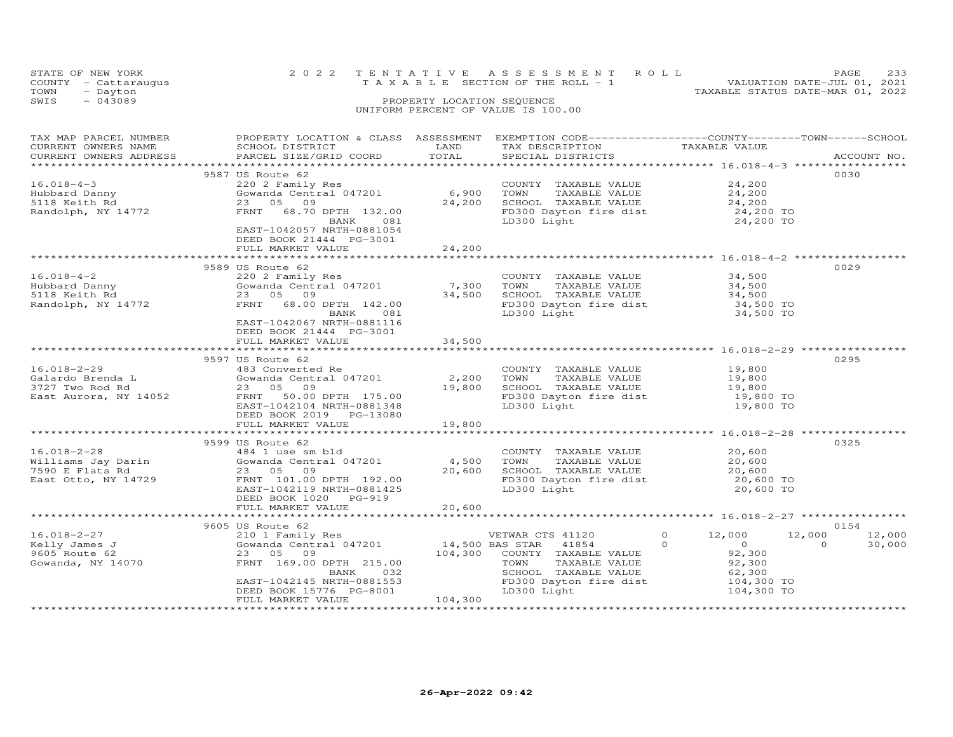|      | STATE OF NEW YORK<br>COUNTY - Cattaraugus | 2022 TENTATIVE ASSESSMENT ROLL<br>VALUATION DATE-JUL 01, 2021<br>TAXABLE SECTION OF THE ROLL - 1 | PAGE | 233 |
|------|-------------------------------------------|--------------------------------------------------------------------------------------------------|------|-----|
| TOWN | - Dayton                                  | TAXABLE STATUS DATE-MAR 01, 2022                                                                 |      |     |
| SWIS | $-043089$                                 | PROPERTY LOCATION SEQUENCE<br>UNIFORM PERCENT OF VALUE IS 100.00                                 |      |     |

| TAX MAP PARCEL NUMBER<br>CURRENT OWNERS NAME<br>CURRENT OWNERS ADDRESS | PROPERTY LOCATION & CLASS ASSESSMENT EXEMPTION CODE----------------COUNTY-------TOWN-----SCHOOL<br>SCHOOL DISTRICT<br>PARCEL SIZE/GRID COORD | LAND<br>TOTAL            | TAX DESCRIPTION TAXABLE VALUE<br>SPECIAL DISTRICTS<br>SPECIAL DISTRICTS |                                     | ACCOUNT NO.        |
|------------------------------------------------------------------------|----------------------------------------------------------------------------------------------------------------------------------------------|--------------------------|-------------------------------------------------------------------------|-------------------------------------|--------------------|
|                                                                        |                                                                                                                                              |                          |                                                                         |                                     |                    |
|                                                                        | 9587 US Route 62                                                                                                                             |                          |                                                                         |                                     | 0030               |
| $16.018 - 4 - 3$                                                       | 220 2 Family Res                                                                                                                             |                          | COUNTY TAXABLE VALUE                                                    | 24,200                              |                    |
| Hubbard Danny                                                          | Gowanda Central 047201                                                                                                                       | 6,900                    | TOWN<br>TAXABLE VALUE                                                   | 24,200                              |                    |
| 5118 Keith Rd                                                          | 23 05 09                                                                                                                                     | 24,200                   | SCHOOL TAXABLE VALUE                                                    |                                     |                    |
| Randolph, NY 14772                                                     | FRNT 68.70 DPTH 132.00                                                                                                                       |                          | FD300 Dayton fire dist<br>ID300 Light                                   |                                     |                    |
|                                                                        | BANK<br>081                                                                                                                                  |                          | LD300 Light                                                             | 24,200 TO<br>24,200 TO<br>24.200 TO |                    |
|                                                                        | EAST-1042057 NRTH-0881054                                                                                                                    |                          |                                                                         |                                     |                    |
|                                                                        | DEED BOOK 21444 PG-3001                                                                                                                      |                          |                                                                         |                                     |                    |
|                                                                        | FULL MARKET VALUE                                                                                                                            | 24,200                   |                                                                         |                                     |                    |
|                                                                        |                                                                                                                                              |                          |                                                                         |                                     |                    |
|                                                                        | 9589 US Route 62                                                                                                                             |                          |                                                                         |                                     | 0029               |
| $16.018 - 4 - 2$                                                       | 220 2 Family Res                                                                                                                             |                          | COUNTY TAXABLE VALUE                                                    | 34,500                              |                    |
|                                                                        | Gowanda Central 047201 7,300                                                                                                                 |                          | TOWN<br>TAXABLE VALUE                                                   | 34,500                              |                    |
| Hubbard Danny<br>5118 Keith Rd<br>Randolph, NY 14772                   | 23 05 09                                                                                                                                     | 34,500                   | SCHOOL TAXABLE VALUE                                                    | 34,500                              |                    |
|                                                                        | FRNT<br>68.00 DPTH 142.00                                                                                                                    |                          | FD300 Dayton fire dist 34,500 TO                                        |                                     |                    |
|                                                                        | 081<br>BANK                                                                                                                                  |                          | LD300 Light                                                             | 34,500 TO                           |                    |
|                                                                        | EAST-1042067 NRTH-0881116                                                                                                                    |                          |                                                                         |                                     |                    |
|                                                                        | DEED BOOK 21444 PG-3001                                                                                                                      |                          |                                                                         |                                     |                    |
|                                                                        | FULL MARKET VALUE                                                                                                                            | 34,500                   |                                                                         |                                     |                    |
|                                                                        |                                                                                                                                              |                          |                                                                         |                                     |                    |
|                                                                        | 9597 US Route 62                                                                                                                             |                          |                                                                         |                                     | 0295               |
| $16.018 - 2 - 29$                                                      | 483 Converted Re                                                                                                                             |                          | COUNTY TAXABLE VALUE                                                    |                                     |                    |
|                                                                        | Gowanda Central 047201                                                                                                                       | 2,200                    | TOWN<br>TAXABLE VALUE                                                   | 19,800                              |                    |
| Galardo Brenda L<br>3727 Two Rod Rd<br>East Aurora, NY 14052           | 23 05 09                                                                                                                                     | 19,800                   | SCHOOL TAXABLE VALUE<br>FD300 Dayton fire dist                          | 19,800<br>19,800 TO                 |                    |
|                                                                        | FRNT 50.00 DPTH 175.00                                                                                                                       |                          |                                                                         |                                     |                    |
|                                                                        | EAST-1042104 NRTH-0881348                                                                                                                    |                          | LD300 Light                                                             | 19,800 TO                           |                    |
|                                                                        | DEED BOOK 2019 PG-13080                                                                                                                      |                          |                                                                         |                                     |                    |
|                                                                        | FULL MARKET VALUE                                                                                                                            | 19,800<br>************** |                                                                         |                                     |                    |
|                                                                        |                                                                                                                                              |                          |                                                                         |                                     |                    |
|                                                                        | 9599 US Route 62                                                                                                                             |                          |                                                                         |                                     | 0325               |
| $16.018 - 2 - 28$                                                      | 484 1 use sm bld<br>$484$ 1 use sm bld<br>Gowanda Central 047201 $4,500$                                                                     |                          | COUNTY TAXABLE VALUE $20,600$<br>TOWN TAXABLE VALUE $20,600$            |                                     |                    |
| Williams Jay Darin<br>7590 E Flats Rd                                  | 23 05 09                                                                                                                                     | 20,600                   | TOWN<br>TAXABLE VALUE                                                   | 20,600                              |                    |
| East Otto, NY 14729                                                    | FRNT 101.00 DPTH 192.00                                                                                                                      |                          | SCHOOL TAXABLE VALUE 20,600<br>FD300 Dayton fire dist 20,600 TO         |                                     |                    |
|                                                                        | EAST-1042119 NRTH-0881425                                                                                                                    |                          | LD300 Light                                                             | 20,600 TO                           |                    |
|                                                                        | DEED BOOK 1020 PG-919                                                                                                                        |                          |                                                                         |                                     |                    |
|                                                                        | FULL MARKET VALUE                                                                                                                            | 20,600                   |                                                                         |                                     |                    |
|                                                                        |                                                                                                                                              |                          |                                                                         |                                     |                    |
|                                                                        | 9605 US Route 62                                                                                                                             |                          |                                                                         |                                     | 0154               |
| $16.018 - 2 - 27$                                                      | 210 1 Family Res                                                                                                                             |                          | VETWAR CTS 41120                                                        | $\circ$<br>12,000                   | 12,000<br>12,000   |
| 10.010-2-27<br>Kelly James J<br>9605 Route 62<br>Gowanda, NY 14070     | Gowanda Central 047201                                                                                                                       | 14,500 BAS STAR          | 41854                                                                   | $\Omega$<br>$\sim$ 0                | $\Omega$<br>30,000 |
|                                                                        | 23 05 09                                                                                                                                     |                          | 104,300 COUNTY TAXABLE VALUE                                            | 92,300                              |                    |
|                                                                        | FRNT 169.00 DPTH 215.00                                                                                                                      |                          | TOWN<br>TAXABLE VALUE                                                   | 92,300                              |                    |
|                                                                        | 032<br>BANK                                                                                                                                  |                          | SCHOOL TAXABLE VALUE                                                    | 62,300                              |                    |
|                                                                        | EAST-1042145 NRTH-0881553                                                                                                                    |                          | FD300 Dayton fire dist                                                  | 104,300 TO                          |                    |
|                                                                        | DEED BOOK 15776 PG-8001                                                                                                                      |                          | LD300 Light                                                             | 104,300 TO                          |                    |
|                                                                        | FULL MARKET VALUE                                                                                                                            | 104,300                  |                                                                         |                                     |                    |
|                                                                        |                                                                                                                                              |                          |                                                                         |                                     |                    |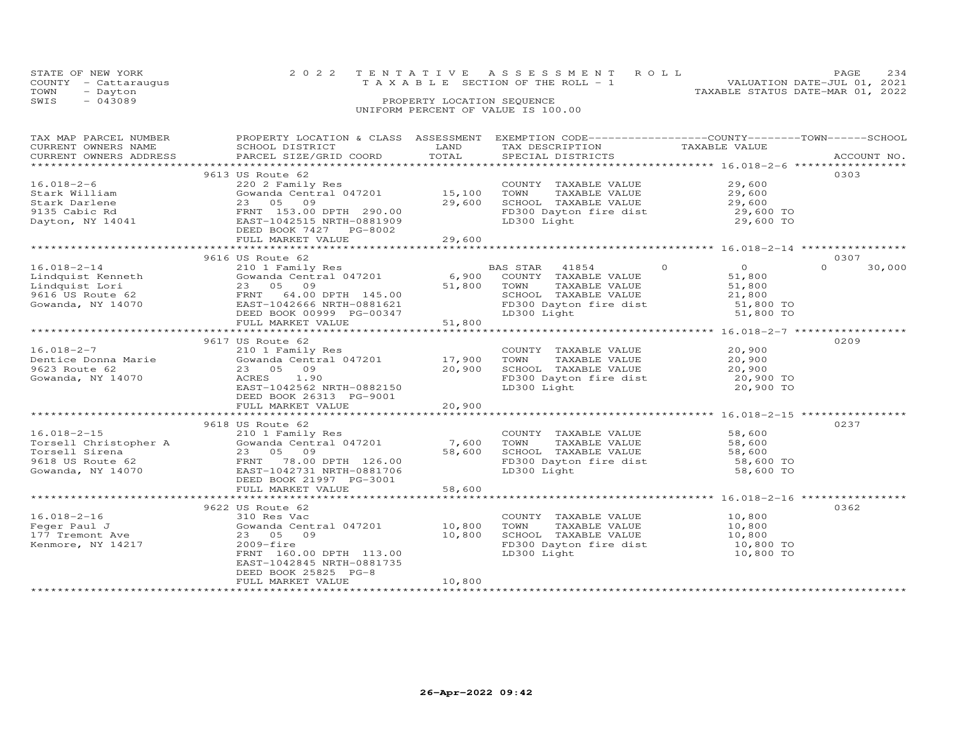|      | STATE OF NEW YORK    | 2022 TENTATIVE ASSESSMENT ROLL                                       | PAGE | 234 |
|------|----------------------|----------------------------------------------------------------------|------|-----|
|      | COUNTY - Cattaraugus | VALUATION DATE-JUL 01, 2021<br>T A X A B L E SECTION OF THE ROLL - 1 |      |     |
| TOWN | - Dayton             | TAXABLE STATUS DATE-MAR 01, 2022                                     |      |     |
| SWIS | $-043089$            | PROPERTY LOCATION SEQUENCE                                           |      |     |
|      |                      | UNIFORM PERCENT OF VALUE IS 100.00                                   |      |     |
|      |                      |                                                                      |      |     |
|      |                      |                                                                      |      |     |

| TAX MAP PARCEL NUMBER<br>CURRENT OWNERS NAME<br>CURRENT OWNERS ADDRESS                                                                                                                                                                                                      | PROPERTY LOCATION & CLASS ASSESSMENT<br>SCHOOL DISTRICT<br>PARCEL SIZE/GRID COORD                                                                         | LAND<br>TOTAL    | EXEMPTION CODE-----------------COUNTY-------TOWN------SCHOOL<br>TAX DESCRIPTION<br>SPECIAL DISTRICTS                                        | TAXABLE VALUE                                                                           | ACCOUNT NO.        |
|-----------------------------------------------------------------------------------------------------------------------------------------------------------------------------------------------------------------------------------------------------------------------------|-----------------------------------------------------------------------------------------------------------------------------------------------------------|------------------|---------------------------------------------------------------------------------------------------------------------------------------------|-----------------------------------------------------------------------------------------|--------------------|
|                                                                                                                                                                                                                                                                             |                                                                                                                                                           |                  |                                                                                                                                             |                                                                                         |                    |
| $16.018 - 2 - 6$<br>Stark William                                                                                                                                                                                                                                           | 9613 US Route 62<br>220 2 Family Res<br>Gowanda Central 047201 15,100                                                                                     | 29,600           | COUNTY TAXABLE VALUE 29,600<br>TAXABLE VALUE<br>TOWN<br>SCHOOL TAXABLE VALUE                                                                | 29,600                                                                                  | 0303               |
| Union of the Capital Stark Minima Central 04/201<br>Stark Darlene (23 05 09)<br>9135 Cabic Rd (23 05 09)<br>Dayton, NY 14041 (2815-1042515 NRTH-0881909)                                                                                                                    |                                                                                                                                                           |                  | FD300 Dayton fire dist<br>LD300 Light                                                                                                       | 29,600<br>29,600 TO<br>29,600 TO                                                        |                    |
|                                                                                                                                                                                                                                                                             |                                                                                                                                                           |                  |                                                                                                                                             |                                                                                         |                    |
|                                                                                                                                                                                                                                                                             | 9616 US Route 62                                                                                                                                          |                  |                                                                                                                                             |                                                                                         | 0307               |
| $16.018 - 2 - 14$<br>Eindquist Kenneth<br>Lindquist Lori 51,800<br>9616 US Route 62<br>9616 US Route 62<br>9616 US Route 62<br>9616 US Route 62<br>9616 US Route 62<br>9616 US Route 62<br>9616 US Route 62<br>9616 US Route 62<br>9616 US Route 62<br>9616 US Route 62<br> | 210 1 Family Res<br>DEED BOOK 00999 PG-00347                                                                                                              |                  | BAS STAR 41854<br>COUNTY TAXABLE VALUE<br>TOWN<br>TAXABLE VALUE<br>SCHOOL TAXABLE VALUE<br>FD300 Dayton fire dist<br>LD300 Light            | $\Omega$<br>$\overline{0}$<br>51,800<br>51,800<br>$21,000$ TO<br>51,800 TO<br>51,800 TO | $\Omega$<br>30,000 |
|                                                                                                                                                                                                                                                                             | FULL MARKET VALUE                                                                                                                                         | 51,800           |                                                                                                                                             |                                                                                         |                    |
|                                                                                                                                                                                                                                                                             |                                                                                                                                                           |                  |                                                                                                                                             |                                                                                         |                    |
|                                                                                                                                                                                                                                                                             | 9617 US Route 62                                                                                                                                          |                  |                                                                                                                                             |                                                                                         | 0209               |
| $16.018 - 2 - 7$<br>Dentice Donna Marie<br>9623 Route 62<br>Gowanda, NY 14070                                                                                                                                                                                               | 210 1 Family Res<br>Gowanda Central 047201 17,900<br>23 05 09<br>1.90<br>ACRES<br>EAST-1042562 NRTH-0882150<br>DEED BOOK 26313 PG-9001                    | 20,900           | COUNTY TAXABLE VALUE<br>TOWN<br>TAXABLE VALUE<br>SCHOOL TAXABLE VALUE<br>FD300 Dayton fire dist<br>LD300 Light                              | 20,900<br>20,900<br>20,900<br>20,900 TO<br>20,900 TO                                    |                    |
|                                                                                                                                                                                                                                                                             | FULL MARKET VALUE                                                                                                                                         | 20,900           |                                                                                                                                             |                                                                                         |                    |
|                                                                                                                                                                                                                                                                             |                                                                                                                                                           |                  |                                                                                                                                             |                                                                                         |                    |
| $16.018 - 2 - 15$<br>Torsell Christopher A Gowanda Central 047201<br>Torsell Sirena 23 05 09<br>9618 US Route 62 FRNT 78.00 DPTH 126.00<br>Gowanda, NY 14070 EAST-1042731 NRTH-0881706                                                                                      | 9618 US Route 62<br>210 1 Family Res<br>Gowanda Central 047201 7,600                                                                                      | 58,600           | COUNTY TAXABLE VALUE 58,600<br>TOWN TAXABLE VALUE<br>SCHOOL TAXABLE VALUE 58,600<br>Till 58,600 TO<br>FD300 Dayton fire dist<br>LD300 Light | 58,600 TO                                                                               | 0237               |
|                                                                                                                                                                                                                                                                             | DEED BOOK 21997 PG-3001                                                                                                                                   |                  |                                                                                                                                             |                                                                                         |                    |
|                                                                                                                                                                                                                                                                             | FULL MARKET VALUE                                                                                                                                         | 58,600           |                                                                                                                                             |                                                                                         |                    |
|                                                                                                                                                                                                                                                                             | 9622 US Route 62                                                                                                                                          |                  |                                                                                                                                             |                                                                                         | 0362               |
| $16.018 - 2 - 16$<br>Feger Paul J<br>177 Tremont Ave<br>Kenmore, NY 14217                                                                                                                                                                                                   | 310 Res Vac<br>Gowanda Central 047201<br>23 05 09<br>$2009 - \text{fire}$<br>FRNT 160.00 DPTH 113.00<br>EAST-1042845 NRTH-0881735<br>DEED BOOK 25825 PG-8 | 10,800<br>10,800 | COUNTY TAXABLE VALUE<br>TOWN<br>TAXABLE VALUE<br>SCHOOL TAXABLE VALUE<br>FD300 Dayton fire dist $10,800$ TO<br>LD300 Light                  | 10,800<br>10,800<br>10,800<br>10,800 TO                                                 |                    |
|                                                                                                                                                                                                                                                                             | FULL MARKET VALUE                                                                                                                                         | 10,800           |                                                                                                                                             |                                                                                         |                    |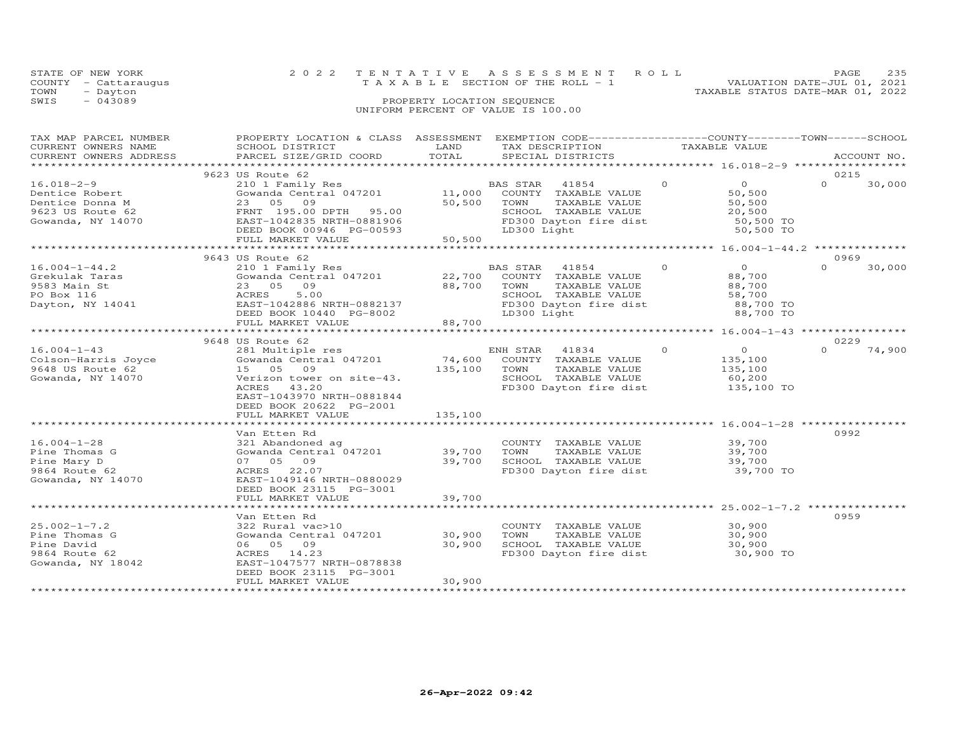| STATE OF NEW YORK     |                                      |                            | 2022 TENTATIVE ASSESSMENT ROLL                               |                                  | PAGE.                       | 235 |
|-----------------------|--------------------------------------|----------------------------|--------------------------------------------------------------|----------------------------------|-----------------------------|-----|
| COUNTY - Cattaraugus  |                                      |                            | T A X A B L E SECTION OF THE ROLL - 1                        |                                  | VALUATION DATE-JUL 01, 2021 |     |
| TOWN<br>- Dayton      |                                      |                            |                                                              | TAXABLE STATUS DATE-MAR 01, 2022 |                             |     |
| $-043089$<br>SWIS     |                                      | PROPERTY LOCATION SEQUENCE |                                                              |                                  |                             |     |
|                       |                                      |                            | UNIFORM PERCENT OF VALUE IS 100.00                           |                                  |                             |     |
|                       |                                      |                            |                                                              |                                  |                             |     |
|                       |                                      |                            |                                                              |                                  |                             |     |
| TAX MAP PARCEL NUMBER | PROPERTY LOCATION & CLASS ASSESSMENT |                            | EXEMPTION CODE-----------------COUNTY-------TOWN------SCHOOL |                                  |                             |     |
| C                     | COUOST DICTOICT                      | <b>TRATIO</b>              | <b>TAV BECCRIPTOM</b>                                        | $\pi$                            |                             |     |

| CURRENT OWNERS NAME    | SCHOOL DISTRICT           | LAND    | TAX DESCRIPTION        |          | TAXABLE VALUE  |                    |
|------------------------|---------------------------|---------|------------------------|----------|----------------|--------------------|
| CURRENT OWNERS ADDRESS | PARCEL SIZE/GRID COORD    | TOTAL   | SPECIAL DISTRICTS      |          |                | ACCOUNT NO.        |
| *********************  |                           |         |                        |          |                |                    |
|                        | 9623 US Route 62          |         |                        |          |                | 0215               |
| $16.018 - 2 - 9$       | 210 1 Family Res          |         | BAS STAR<br>41854      | $\Omega$ | $\circ$        | $\Omega$<br>30,000 |
| Dentice Robert         | Gowanda Central 047201    | 11,000  | COUNTY TAXABLE VALUE   |          | 50,500         |                    |
| Dentice Donna M        | 23 05<br>09               | 50,500  | TOWN<br>TAXABLE VALUE  |          | 50,500         |                    |
|                        |                           |         |                        |          |                |                    |
| 9623 US Route 62       | FRNT 195.00 DPTH 95.00    |         | SCHOOL TAXABLE VALUE   |          | 20,500         |                    |
| Gowanda, NY 14070      | EAST-1042835 NRTH-0881906 |         | FD300 Dayton fire dist |          | 50,500 TO      |                    |
|                        | DEED BOOK 00946 PG-00593  |         | LD300 Light            |          | 50,500 TO      |                    |
|                        | FULL MARKET VALUE         | 50,500  |                        |          |                |                    |
|                        |                           |         |                        |          |                |                    |
|                        | 9643 US Route 62          |         |                        |          |                | 0969               |
| $16.004 - 1 - 44.2$    | 210 1 Family Res          |         | BAS STAR<br>41854      | $\circ$  | $\overline{O}$ | $\Omega$<br>30,000 |
| Grekulak Taras         | Gowanda Central 047201    | 22,700  | COUNTY TAXABLE VALUE   |          | 88,700         |                    |
| 9583 Main St           | 23 05<br>09               | 88,700  | TOWN<br>TAXABLE VALUE  |          | 88,700         |                    |
| PO Box 116             | ACRES<br>5.00             |         | SCHOOL TAXABLE VALUE   |          | 58,700         |                    |
| Dayton, NY 14041       | EAST-1042886 NRTH-0882137 |         | FD300 Dayton fire dist |          | 88,700 TO      |                    |
|                        | DEED BOOK 10440 PG-8002   |         | LD300 Light            |          | 88,700 TO      |                    |
|                        |                           |         |                        |          |                |                    |
|                        | FULL MARKET VALUE         | 88,700  |                        |          |                |                    |
|                        |                           |         |                        |          |                |                    |
|                        | 9648 US Route 62          |         |                        |          |                | 0229               |
| $16.004 - 1 - 43$      | 281 Multiple res          |         | ENH STAR<br>41834      | $\circ$  | $\circ$        | $\Omega$<br>74,900 |
| Colson-Harris Joyce    | Gowanda Central 047201    | 74,600  | COUNTY TAXABLE VALUE   |          | 135,100        |                    |
| 9648 US Route 62       | 15 05 09                  | 135,100 | TAXABLE VALUE<br>TOWN  |          | 135,100        |                    |
| Gowanda, NY 14070      | Verizon tower on site-43. |         | SCHOOL TAXABLE VALUE   |          | 60,200         |                    |
|                        | ACRES<br>43.20            |         | FD300 Dayton fire dist |          | 135,100 TO     |                    |
|                        | EAST-1043970 NRTH-0881844 |         |                        |          |                |                    |
|                        | DEED BOOK 20622 PG-2001   |         |                        |          |                |                    |
|                        | FULL MARKET VALUE         | 135,100 |                        |          |                |                    |
|                        |                           |         |                        |          |                |                    |
|                        |                           |         |                        |          |                |                    |
|                        | Van Etten Rd              |         |                        |          |                | 0992               |
| $16.004 - 1 - 28$      | 321 Abandoned ag          |         | COUNTY TAXABLE VALUE   |          | 39,700         |                    |
| Pine Thomas G          | Gowanda Central 047201    | 39,700  | TOWN<br>TAXABLE VALUE  |          | 39,700         |                    |
| Pine Mary D            | 07 05 09                  | 39,700  | SCHOOL TAXABLE VALUE   |          | 39,700         |                    |
| 9864 Route 62          | ACRES 22.07               |         | FD300 Dayton fire dist |          | 39,700 TO      |                    |
| Gowanda, NY 14070      | EAST-1049146 NRTH-0880029 |         |                        |          |                |                    |
|                        | DEED BOOK 23115 PG-3001   |         |                        |          |                |                    |
|                        | FULL MARKET VALUE         | 39,700  |                        |          |                |                    |
|                        | ************************  |         |                        |          |                |                    |
|                        | Van Etten Rd              |         |                        |          |                | 0959               |
| $25.002 - 1 - 7.2$     | 322 Rural vac>10          |         | COUNTY TAXABLE VALUE   |          | 30,900         |                    |
|                        |                           |         | TOWN                   |          |                |                    |
| Pine Thomas G          | Gowanda Central 047201    | 30,900  | TAXABLE VALUE          |          | 30,900         |                    |
| Pine David             | 06 05 09                  | 30,900  | SCHOOL TAXABLE VALUE   |          | 30,900         |                    |
| 9864 Route 62          | ACRES 14.23               |         | FD300 Dayton fire dist |          | 30,900 TO      |                    |
| Gowanda, NY 18042      | EAST-1047577 NRTH-0878838 |         |                        |          |                |                    |
|                        | DEED BOOK 23115 PG-3001   |         |                        |          |                |                    |
|                        | FULL MARKET VALUE         | 30,900  |                        |          |                |                    |
|                        |                           |         |                        |          |                |                    |
|                        |                           |         |                        |          |                |                    |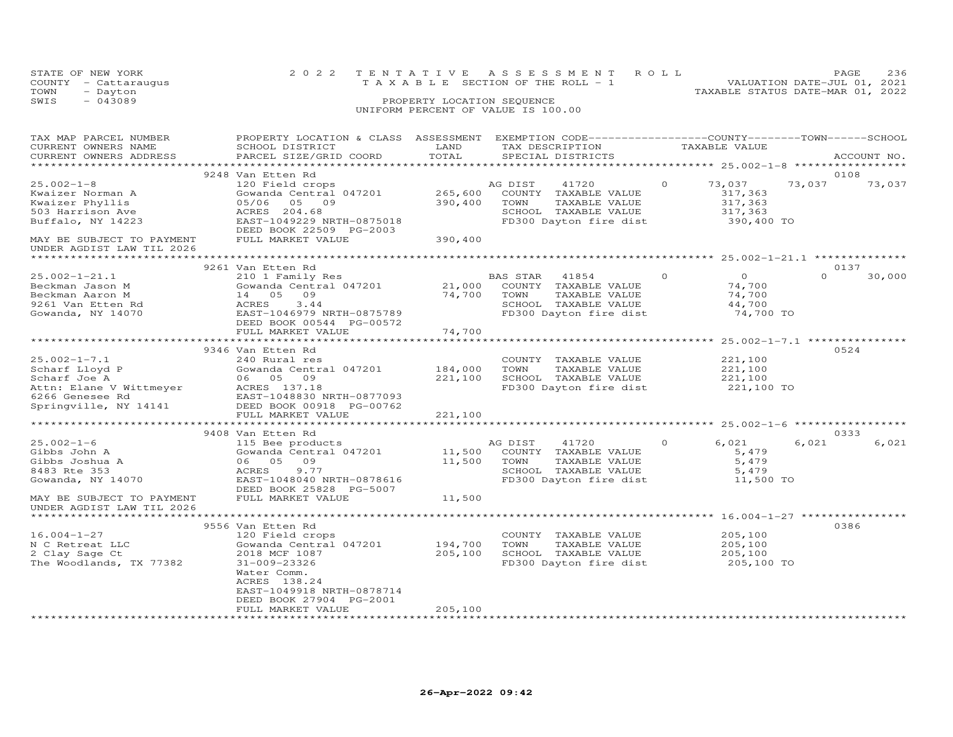|      | STATE OF NEW YORK    |                                    | 2022 TENTATIVE ASSESSMENT ROLL        |                                  | PAGE | 236 |
|------|----------------------|------------------------------------|---------------------------------------|----------------------------------|------|-----|
|      | COUNTY - Cattaraugus |                                    | T A X A B L E SECTION OF THE ROLL - 1 | VALUATION DATE-JUL 01, 2021      |      |     |
| TOWN | - Dayton             |                                    |                                       | TAXABLE STATUS DATE-MAR 01, 2022 |      |     |
| SWIS | $-043089$            | PROPERTY LOCATION SEQUENCE         |                                       |                                  |      |     |
|      |                      | UNIFORM PERCENT OF VALUE IS 100.00 |                                       |                                  |      |     |
|      |                      |                                    |                                       |                                  |      |     |

| TAX MAP PARCEL NUMBER<br>CURRENT OWNERS NAME<br>CURRENT OWNERS ADDRESS                                                                                     | PROPERTY LOCATION & CLASS ASSESSMENT<br>SCHOOL DISTRICT<br>PARCEL SIZE/GRID COORD                                                                                          | LAND<br>TOTAL                 | EXEMPTION CODE-----------------COUNTY-------TOWN-----SCHOOL<br>TAX DESCRIPTION<br>SPECIAL DISTRICTS                                             |         | TAXABLE VALUE                                             |                  | ACCOUNT NO. |
|------------------------------------------------------------------------------------------------------------------------------------------------------------|----------------------------------------------------------------------------------------------------------------------------------------------------------------------------|-------------------------------|-------------------------------------------------------------------------------------------------------------------------------------------------|---------|-----------------------------------------------------------|------------------|-------------|
| ***********************                                                                                                                                    |                                                                                                                                                                            |                               |                                                                                                                                                 |         |                                                           |                  |             |
| $25.002 - 1 - 8$<br>Kwaizer Norman A<br>Kwaizer Phyllis<br>503 Harrison Ave<br>Buffalo, NY 14223<br>MAY BE SUBJECT TO PAYMENT<br>UNDER AGDIST LAW TIL 2026 | 9248 Van Etten Rd<br>120 Field crops<br>Gowanda Central 047201<br>05/06 05 09<br>ACRES 204.68<br>EAST-1049229 NRTH-0875018<br>DEED BOOK 22509 PG-2003<br>FULL MARKET VALUE | 265,600<br>390,400<br>390,400 | AG DIST<br>41720<br>COUNTY TAXABLE VALUE<br>TOWN<br>TAXABLE VALUE<br>SCHOOL TAXABLE VALUE<br>FD300 Dayton fire dist                             | $\circ$ | 73,037<br>317,363<br>317,363<br>317,363<br>390,400 TO     | 0108<br>73,037   | 73,037      |
|                                                                                                                                                            |                                                                                                                                                                            |                               |                                                                                                                                                 |         |                                                           |                  |             |
| $25.002 - 1 - 21.1$<br>Beckman Jason M<br>Beckman Aaron M<br>9261 Van Etten Rd<br>Gowanda, NY 14070                                                        | 9261 Van Etten Rd<br>210 1 Family Res<br>14 05 09<br>3.44<br>ACRES<br>EAST-1046979 NRTH-0875789<br>DEED BOOK 00544 PG-00572                                                | 74,700                        | BAS STAR<br>41854<br>COUNTY TAXABLE VALUE<br>TOWN<br>TAXABLE VALUE<br>SCHOOL TAXABLE VALUE<br>FD300 Dayton fire dist                            | $\circ$ | $\overline{0}$<br>74,700<br>74,700<br>44,700<br>74,700 TO | 0137<br>$\Omega$ | 30,000      |
|                                                                                                                                                            | FULL MARKET VALUE                                                                                                                                                          | 74,700                        |                                                                                                                                                 |         |                                                           |                  |             |
| $25.002 - 1 - 7.1$<br>Scharf Lloyd P<br>Scharf Joe A                                                                                                       | 9346 Van Etten Rd<br>240 Rural res<br>Gowanda Central 047201 184,000<br>06 05 09<br>FULL MARKET VALUE                                                                      | 221,100<br>221,100            | COUNTY TAXABLE VALUE<br>TOWN<br>TAXABLE VALUE<br>SCHOOL TAXABLE VALUE<br>FD300 Dayton fire dist                                                 |         | 221,100<br>221,100<br>221,100<br>221,100 TO               | 0524             |             |
|                                                                                                                                                            |                                                                                                                                                                            |                               |                                                                                                                                                 |         |                                                           |                  |             |
| $25.002 - 1 - 6$<br>Gibbs John A<br>Gibbs Joshua A<br>8483 Rte 353<br>Gowanda, NY 14070                                                                    | 9408 Van Etten Rd<br>115 Bee products<br>Gowanda Central 047201<br>06 05 09<br>ACRES<br>9.77<br>EAST-1048040 NRTH-0878616                                                  |                               | AG DIST<br>41720<br>11,500 COUNTY TAXABLE VALUE<br>11,500 TOWN TAXABLE VALUE<br>TAXABLE VALUE<br>SCHOOL TAXABLE VALUE<br>FD300 Dayton fire dist | $\circ$ | 6,021<br>5,479<br>5,479<br>5,479<br>11,500 TO             | 0333<br>6,021    | 6,021       |
| MAY BE SUBJECT TO PAYMENT<br>UNDER AGDIST LAW TIL 2026                                                                                                     | DEED BOOK 25828 PG-5007<br>FULL MARKET VALUE                                                                                                                               | 11,500                        |                                                                                                                                                 |         |                                                           |                  |             |
|                                                                                                                                                            | 9556 Van Etten Rd                                                                                                                                                          |                               |                                                                                                                                                 |         |                                                           | 0386             |             |
| $16.004 - 1 - 27$<br>N C Retreat LLC<br>2 Clay Sage Ct<br>The Woodlands, TX 77382                                                                          | 120 Field crops<br>Gowanda Central 047201<br>2018 MCF 1087<br>31-009-23326<br>Water Comm.<br>ACRES 138.24<br>EAST-1049918 NRTH-0878714<br>DEED BOOK 27904 PG-2001          | 194,700<br>205,100            | COUNTY TAXABLE VALUE<br>TOWN<br>TAXABLE VALUE<br>SCHOOL TAXABLE VALUE<br>FD300 Dayton fire dist                                                 |         | 205,100<br>205,100<br>205,100<br>205,100 TO               |                  |             |
|                                                                                                                                                            | FULL MARKET VALUE                                                                                                                                                          | 205,100                       |                                                                                                                                                 |         |                                                           |                  |             |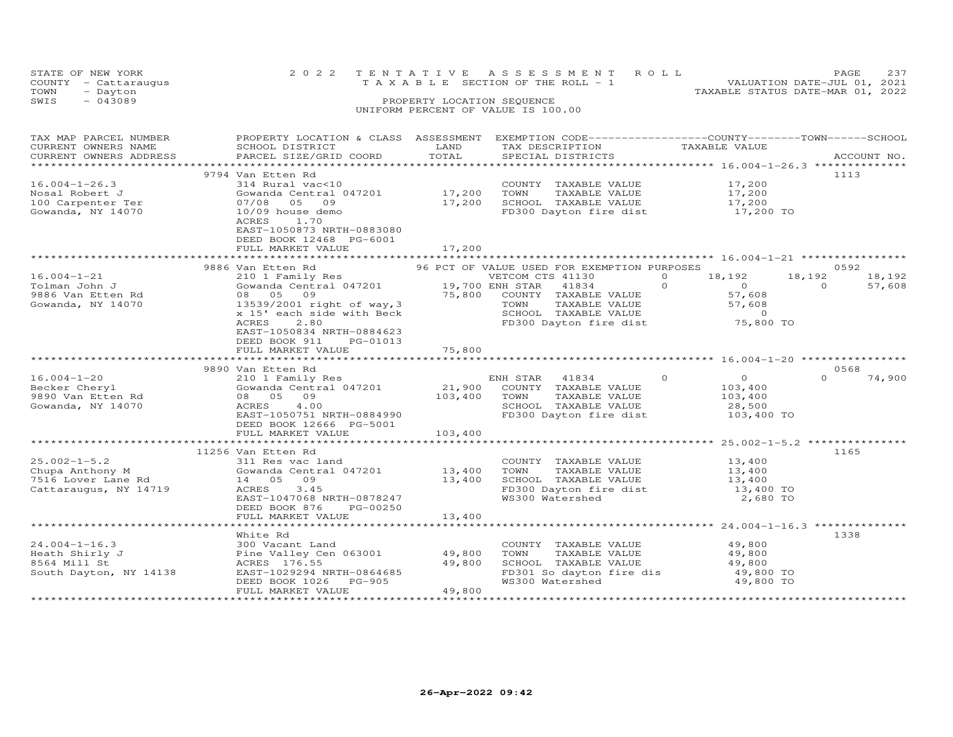| STATE OF NEW YORK<br>COUNTY<br>- Cattaraugus<br>TOWN<br>- Dayton | 2 0 2 2                                   |                                                                                                                                                                                                                                                                                                                                                                                                                                                                                 | TENTATIVE ASSESSMENT ROLL<br>T A X A B L E SECTION OF THE ROLL - 1 | 237<br>PAGE<br>VALUATION DATE-JUL 01, 2021<br>TAXABLE STATUS DATE-MAR 01, 2022 |
|------------------------------------------------------------------|-------------------------------------------|---------------------------------------------------------------------------------------------------------------------------------------------------------------------------------------------------------------------------------------------------------------------------------------------------------------------------------------------------------------------------------------------------------------------------------------------------------------------------------|--------------------------------------------------------------------|--------------------------------------------------------------------------------|
| SWIS<br>$-043089$                                                |                                           | PROPERTY LOCATION SEQUENCE                                                                                                                                                                                                                                                                                                                                                                                                                                                      |                                                                    |                                                                                |
|                                                                  |                                           |                                                                                                                                                                                                                                                                                                                                                                                                                                                                                 | UNIFORM PERCENT OF VALUE IS 100.00                                 |                                                                                |
|                                                                  |                                           |                                                                                                                                                                                                                                                                                                                                                                                                                                                                                 |                                                                    |                                                                                |
|                                                                  |                                           |                                                                                                                                                                                                                                                                                                                                                                                                                                                                                 |                                                                    |                                                                                |
| TAX MAP PARCEL NUMBER                                            | PROPERTY LOCATION & CLASS                 | ASSESSMENT                                                                                                                                                                                                                                                                                                                                                                                                                                                                      |                                                                    | EXEMPTION CODE-----------------COUNTY-------TOWN------SCHOOL                   |
| CURRENT OWNERS NAME                                              | SCHOOL DISTRICT                           | LAND                                                                                                                                                                                                                                                                                                                                                                                                                                                                            | TAX DESCRIPTION                                                    | TAXABLE VALUE                                                                  |
| CURRENT OWNERS ADDRESS                                           | PARCEL SIZE/GRID COORD                    | TOTAL                                                                                                                                                                                                                                                                                                                                                                                                                                                                           | SPECIAL DISTRICTS                                                  | ACCOUNT NO.                                                                    |
| ****************************                                     |                                           |                                                                                                                                                                                                                                                                                                                                                                                                                                                                                 |                                                                    |                                                                                |
|                                                                  | 9794 Van Etten Rd                         |                                                                                                                                                                                                                                                                                                                                                                                                                                                                                 |                                                                    | 1113                                                                           |
| $16.004 - 1 - 26.3$                                              | 314 Rural vac<10                          |                                                                                                                                                                                                                                                                                                                                                                                                                                                                                 | COUNTY<br>TAXABLE VALUE                                            | 17,200                                                                         |
| Nosal Robert J                                                   | Gowanda Central 047201                    | 17,200                                                                                                                                                                                                                                                                                                                                                                                                                                                                          | TOWN<br>TAXABLE VALUE                                              | 17,200                                                                         |
|                                                                  | $\sim$ $\sim$ $\sim$ $\sim$ $\sim$ $\sim$ | $\overline{\phantom{a}}$ $\overline{\phantom{a}}$ $\overline{\phantom{a}}$ $\overline{\phantom{a}}$ $\overline{\phantom{a}}$ $\overline{\phantom{a}}$ $\overline{\phantom{a}}$ $\overline{\phantom{a}}$ $\overline{\phantom{a}}$ $\overline{\phantom{a}}$ $\overline{\phantom{a}}$ $\overline{\phantom{a}}$ $\overline{\phantom{a}}$ $\overline{\phantom{a}}$ $\overline{\phantom{a}}$ $\overline{\phantom{a}}$ $\overline{\phantom{a}}$ $\overline{\phantom{a}}$ $\overline{\$ | $\sim$ $\sim$ $\sim$ $\sim$ $\sim$<br>$m + m + m + m + m + m$      | $\sim$ $\sim$ $\sim$ $\sim$                                                    |

| 10/09 house demo<br>1.70<br><b>ACRES</b><br>EAST-1050873 NRTH-0883080<br>DEED BOOK 12468 PG-6001<br>FULL MARKET VALUE            | 17,200                                                                                                                     | FD300 Dayton fire dist                                                                   | 17,200 TO                                                                                                                                                         |                                                                                                                                                                                                                           |                                                                                                                                             |
|----------------------------------------------------------------------------------------------------------------------------------|----------------------------------------------------------------------------------------------------------------------------|------------------------------------------------------------------------------------------|-------------------------------------------------------------------------------------------------------------------------------------------------------------------|---------------------------------------------------------------------------------------------------------------------------------------------------------------------------------------------------------------------------|---------------------------------------------------------------------------------------------------------------------------------------------|
|                                                                                                                                  |                                                                                                                            |                                                                                          |                                                                                                                                                                   |                                                                                                                                                                                                                           |                                                                                                                                             |
|                                                                                                                                  |                                                                                                                            |                                                                                          |                                                                                                                                                                   |                                                                                                                                                                                                                           |                                                                                                                                             |
| 08 05<br>09<br>x 15' each side with Beck<br>2.80<br>ACRES<br>EAST-1050834 NRTH-0884623                                           |                                                                                                                            | 41834<br>TOWN                                                                            | $\Omega$<br>$\overline{0}$<br>57,608<br>57,608<br>$\Omega$                                                                                                        | $\Omega$                                                                                                                                                                                                                  | 18,192<br>57,608                                                                                                                            |
| DEED BOOK 911<br>PG-01013                                                                                                        |                                                                                                                            |                                                                                          |                                                                                                                                                                   |                                                                                                                                                                                                                           |                                                                                                                                             |
|                                                                                                                                  |                                                                                                                            |                                                                                          |                                                                                                                                                                   |                                                                                                                                                                                                                           |                                                                                                                                             |
|                                                                                                                                  |                                                                                                                            |                                                                                          |                                                                                                                                                                   |                                                                                                                                                                                                                           |                                                                                                                                             |
| 210 1 Family Res<br>08 05 09<br>4.00<br>ACRES<br>EAST-1050751 NRTH-0884990<br>DEED BOOK 12666 PG-5001<br>FULL MARKET VALUE       | 103,400<br>103,400                                                                                                         | TOWN<br>TAXABLE VALUE<br>SCHOOL TAXABLE VALUE                                            | $\Omega$<br>$\Omega$<br>103,400<br>103,400<br>28,500                                                                                                              | $\Omega$                                                                                                                                                                                                                  | 74,900                                                                                                                                      |
|                                                                                                                                  |                                                                                                                            |                                                                                          |                                                                                                                                                                   |                                                                                                                                                                                                                           |                                                                                                                                             |
| 311 Res vac land<br>14 05<br>09<br><b>ACRES</b><br>3.45<br>EAST-1047068 NRTH-0878247<br>DEED BOOK 876<br>PG-00250                | 13,400                                                                                                                     | COUNTY TAXABLE VALUE<br>TAXABLE VALUE<br>TOWN<br>SCHOOL TAXABLE VALUE<br>WS300 Watershed | 13,400<br>13,400<br>13,400                                                                                                                                        |                                                                                                                                                                                                                           |                                                                                                                                             |
|                                                                                                                                  |                                                                                                                            |                                                                                          |                                                                                                                                                                   |                                                                                                                                                                                                                           |                                                                                                                                             |
| White Rd<br>300 Vacant Land<br>Pine Valley Cen 063001<br>ACRES 176.55<br>EAST-1029294 NRTH-0864685<br>DEED BOOK 1026<br>$PG-905$ | 49,800<br>49,800                                                                                                           | COUNTY TAXABLE VALUE<br>TOWN<br>TAXABLE VALUE<br>SCHOOL TAXABLE VALUE<br>WS300 Watershed | 49,800<br>49,800<br>49,800                                                                                                                                        |                                                                                                                                                                                                                           |                                                                                                                                             |
|                                                                                                                                  | 9886 Van Etten Rd<br>210 1 Family Res<br>FULL MARKET VALUE<br>9890 Van Etten Rd<br>11256 Van Etten Rd<br>FULL MARKET VALUE | 13539/2001 right of way, 3<br>75,800<br>Gowanda Central 047201 13,400<br>13,400          | VETCOM CTS 41130<br>Gowanda Central 047201 19,700 ENH STAR<br>75,800 COUNTY TAXABLE VALUE<br>ENH STAR 41834<br>Gowanda Central 047201 21,900 COUNTY TAXABLE VALUE | 96 PCT OF VALUE USED FOR EXEMPTION PURPOSES<br>$\Omega$<br>18,192<br>TAXABLE VALUE<br>SCHOOL TAXABLE VALUE<br>FD300 Dayton fire dist<br>FD300 Dayton fire dist<br>FD301 So dayton fire dis<br>49,800<br>FULL MARKET VALUE | 0592<br>18,192<br>FD300 Dayton fire dist 75,800 TO<br>0568<br>103,400 TO<br>1165<br>13,400 TO<br>2,680 TO<br>1338<br>49,800 TO<br>49,800 TO |

\*\*\*\*\*\*\*\*\*\*\*\*\*\*\*\*\*\*\*\*\*\*\*\*\*\*\*\*\*\*\*\*\*\*\*\*\*\*\*\*\*\*\*\*\*\*\*\*\*\*\*\*\*\*\*\*\*\*\*\*\*\*\*\*\*\*\*\*\*\*\*\*\*\*\*\*\*\*\*\*\*\*\*\*\*\*\*\*\*\*\*\*\*\*\*\*\*\*\*\*\*\*\*\*\*\*\*\*\*\*\*\*\*\*\*\*\*\*\*\*\*\*\*\*\*\*\*\*\*\*\*\*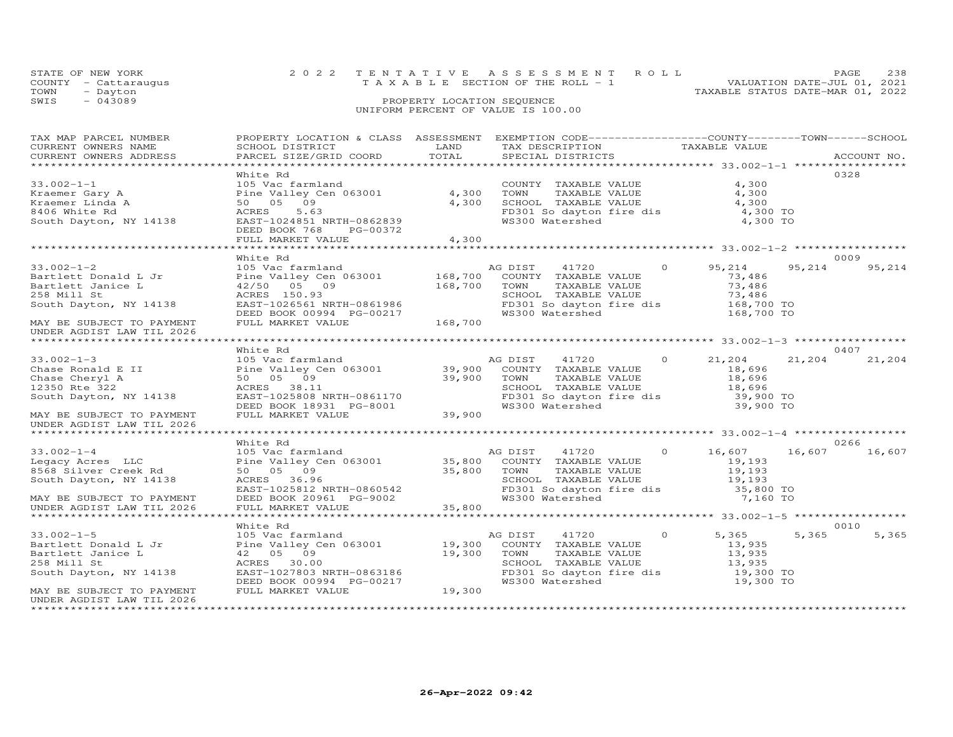| STATE OF NEW YORK    | 2022 TENTATIVE ASSESSMENT ROLL     |                                  | PAGE.                       | 238 |
|----------------------|------------------------------------|----------------------------------|-----------------------------|-----|
| COUNTY - Cattarauqus | TAXABLE SECTION OF THE ROLL - 1    |                                  | VALUATION DATE-JUL 01, 2021 |     |
| TOWN<br>- Dayton     |                                    | TAXABLE STATUS DATE-MAR 01, 2022 |                             |     |
| SWIS<br>- 043089     | PROPERTY LOCATION SEQUENCE         |                                  |                             |     |
|                      | UNIFORM PERCENT OF VALUE IS 100.00 |                                  |                             |     |

| TAX MAP PARCEL NUMBER<br>CURRENT OWNERS NAME<br>CURRENT OWNERS ADDRESS                                              | PROPERTY LOCATION & CLASS ASSESSMENT EXEMPTION CODE-----------------COUNTY-------TOWN------SCHOOL<br><b>EXAMPLE DESCRIPTION OF STREET AND LAND</b><br>SCHOOL DISTRICT<br>PARCEL SIZE/GRID COORD      | TOTAL          | TAX DESCRIPTION TAXABLE VALUE<br>SPECIAL DISTRICTS                                                                                                                                |          |                                                                  |        | ACCOUNT NO. |
|---------------------------------------------------------------------------------------------------------------------|------------------------------------------------------------------------------------------------------------------------------------------------------------------------------------------------------|----------------|-----------------------------------------------------------------------------------------------------------------------------------------------------------------------------------|----------|------------------------------------------------------------------|--------|-------------|
| $33.002 - 1 - 1$                                                                                                    | White Rd<br>105 Vac farmland                                                                                                                                                                         |                | COUNTY TAXABLE VALUE                                                                                                                                                              |          | 4,300                                                            |        | 0328        |
| Kraemer Gary A<br>Kraemer Linda A<br>8406 White Rd                                                                  | Pine Valley Cen 063001<br>50 05 09<br>5.63<br>ACRES                                                                                                                                                  | 4,300<br>4,300 | TAXABLE VALUE<br>TOWN<br>SCHOOL TAXABLE VALUE<br>FD301 So dayton fire dis                                                                                                         |          | 4,300<br>4,300<br>4,300 TO                                       |        |             |
| South Dayton, NY 14138                                                                                              | EAST-1024851 NRTH-0862839<br>DEED BOOK 768 PG-00372                                                                                                                                                  |                | WS300 Watershed                                                                                                                                                                   |          | 4,300 TO                                                         |        |             |
|                                                                                                                     | FULL MARKET VALUE                                                                                                                                                                                    | 4,300          |                                                                                                                                                                                   |          |                                                                  |        |             |
|                                                                                                                     | White Rd                                                                                                                                                                                             |                |                                                                                                                                                                                   |          |                                                                  |        | 0009        |
| $33.002 - 1 - 2$<br>Bartlett Donald L Jr<br>Bartlett Janice L<br>258 Mill St<br>South Dayton, NY 14138              | 105 Vac farmland<br>Pine Valley Cen 063001 168,700<br>42/50 05 09 168,700<br>ACRES 150.93<br>EAST-1026561 NRTH-0861986                                                                               |                | AG DIST<br>41720<br>COUNTY TAXABLE VALUE<br>TOWN<br>TAXABLE VALUE<br>SCHOOL TAXABLE VALUE<br>FD301 So dayton fire dis                                                             | $\Omega$ | 95,214<br>73,486<br>73,486<br>73,486<br>168,700 TO<br>168,700 TO | 95,214 | 95,214      |
| MAY BE SUBJECT TO PAYMENT<br>UNDER AGDIST LAW TIL 2026                                                              | DEED BOOK 00994 PG-00217<br>FULL MARKET VALUE                                                                                                                                                        | 168,700        | WS300 Watershed                                                                                                                                                                   |          |                                                                  |        |             |
|                                                                                                                     |                                                                                                                                                                                                      |                |                                                                                                                                                                                   |          |                                                                  |        |             |
|                                                                                                                     | White Rd                                                                                                                                                                                             |                |                                                                                                                                                                                   |          |                                                                  |        | 0407        |
| $33.002 - 1 - 3$<br>Chase Ronald E II<br>Chase Cheryl A<br>12350 Rte 322<br>South Dayton, NY 14138                  | 105 Vac farmland<br>Pine Valley Cen 063001 39,900 COUNTY TAXABLE VALUE<br>50 05 09<br>ACRES 38.11<br>ACRES 38.11<br>EAST-1025808 NRTH-0861170<br>DEED BOOK 18931 PG-8001<br>FULL MARKET VALUE 39,900 |                | AG DIST<br>41720<br>39,900 TOWN<br>TAXABLE VALUE<br>SCHOOL TAXABLE VALUE<br>FD301 So dayton fire dis<br>WS300 Watershed                                                           | $\circ$  | 21,204<br>18,696<br>18,696<br>18,696<br>39,900 TO<br>39,900 TO   | 21,204 | 21,204      |
| MAY BE SUBJECT TO PAYMENT<br>UNDER AGDIST LAW TIL 2026                                                              |                                                                                                                                                                                                      |                |                                                                                                                                                                                   |          |                                                                  |        |             |
| *****************************                                                                                       |                                                                                                                                                                                                      |                |                                                                                                                                                                                   |          |                                                                  |        | 0266        |
| $33.002 - 1 - 4$<br>Legacy Acres LLC<br>8568 Silver Creek Rd<br>South Dayton, NY 14138<br>MAY BE SUBJECT TO PAYMENT | White Rd<br>105 Vac farmland<br>Pine Valley Cen 063001<br>$50$ 05 09 35,800<br>ACRES 36.96<br>EAST-1025812 NRTH-0860542<br>DEED BOOK 20961 PG-9002                                                   |                | AG DIST 41720 (<br>35,800 COUNTY TAXABLE VALUE<br>41720 0<br>35,800 TOWN<br>IAAABLE VALUE<br>SCHOOL TAXABLE VALUE<br>FD301 So deed<br>FD301 So dayton fire dis<br>WS300 Watershed |          | 16,607<br>19,193<br>19,193<br>19,193<br>35,800 TO<br>7,160 TO    | 16,607 | 16,607      |
| UNDER AGDIST LAW TIL 2026                                                                                           | FULL MARKET VALUE                                                                                                                                                                                    | 35,800         |                                                                                                                                                                                   |          |                                                                  |        |             |
|                                                                                                                     | White Rd                                                                                                                                                                                             |                |                                                                                                                                                                                   |          |                                                                  |        | 0010        |
| $33.002 - 1 - 5$<br>Bartlett Donald L Jr<br>Bartlett Janice L<br>258 Mill St<br>South Dayton, NY 14138              | 105 Vac farmland<br>Pine Valley Cen 063001<br>ACRES 30.00<br>EAST-1027803 NRTH-0863186<br>DEED BOOK 00994 PG-00217                                                                                   |                | 41720<br>AG DIST<br>19,300 COUNTY TAXABLE VALUE<br>19,300 TOWN<br>TAXABLE VALUE<br>SCHOOL TAXABLE VALUE<br>FD301 So dayton fire dis<br>WS300 Watershed                            | $\circ$  | 5,365<br>13,935<br>13,935<br>13,935<br>19,300 TO<br>19,300 TO    | 5,365  | 5,365       |
| MAY BE SUBJECT TO PAYMENT<br>UNDER AGDIST LAW TIL 2026                                                              | FULL MARKET VALUE                                                                                                                                                                                    | 19,300         |                                                                                                                                                                                   |          |                                                                  |        |             |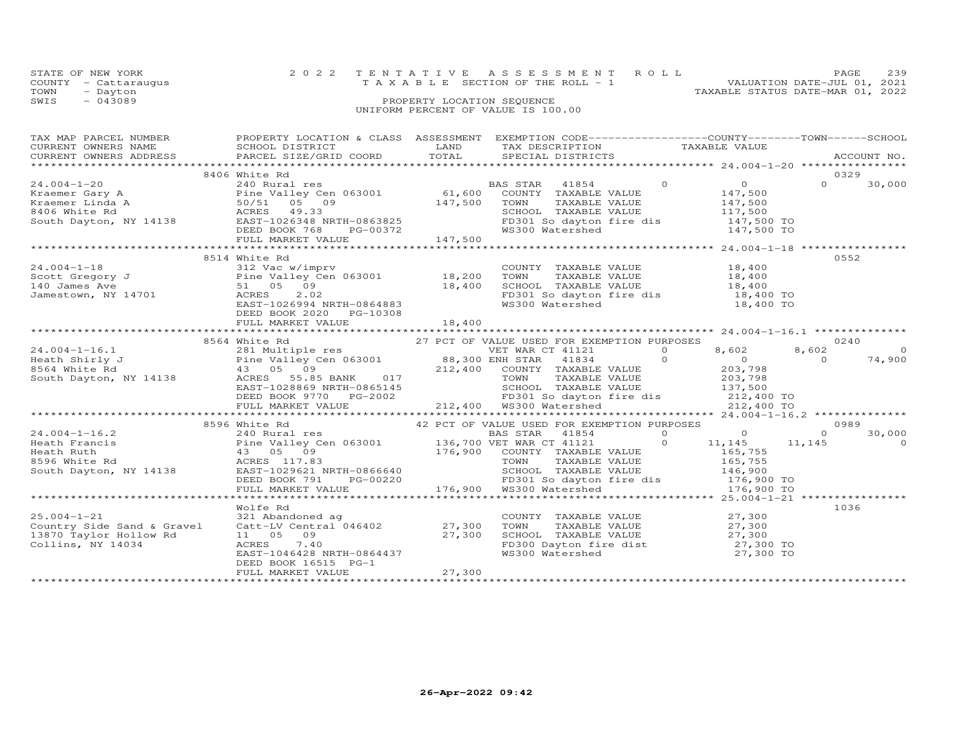| STATE OF NEW YORK    | 2022 TENTATIVE ASSESSMENT ROLL     | PAGE.                            | 239 |
|----------------------|------------------------------------|----------------------------------|-----|
| COUNTY - Cattaraugus | TAXABLE SECTION OF THE ROLL - 1    | VALUATION DATE-JUL 01, 2021      |     |
| TOWN<br>- Dayton     |                                    | TAXABLE STATUS DATE-MAR 01, 2022 |     |
| SWIS<br>- 043089     | PROPERTY LOCATION SEQUENCE         |                                  |     |
|                      | UNIFORM PERCENT OF VALUE IS 100.00 |                                  |     |

# TAX MAP PARCEL NUMBER PROPERTY LOCATION & CLASS ASSESSMENT EXEMPTION CODE------------------COUNTY--------TOWN------SCHOOL CURRENT OWNERS NAME SCHOOL DISTRICT LAND TAX DESCRIPTION TAXABLE VALUE CURRENT OWNERS ADDRESS PARCEL SIZE/GRID COORD TOTAL SPECIAL DISTRICTS ACCOUNT NO. \*\*\*\*\*\*\*\*\*\*\*\*\*\*\*\*\*\*\*\*\*\*\*\*\*\*\*\*\*\*\*\*\*\*\*\*\*\*\*\*\*\*\*\*\*\*\*\*\*\*\*\*\*\*\*\*\*\*\*\*\*\*\*\*\*\*\*\*\*\*\*\*\*\*\*\*\*\*\*\*\*\*\*\*\*\*\*\*\*\*\*\*\*\*\*\*\*\*\*\*\*\*\* 24.004-1-20 \*\*\*\*\*\*\*\*\*\*\*\*\*\*\*\* $\begin{array}{cccccccc} 24.004-1-20 & 8406 \; \text{White Rd} & \text{BAS STAR} & 41854 & 0 & 0329 \\ \text{Kraemer Gary A} & 240 \; \text{Ru valtey Cen 063001} & 61,600 \; \text{COUNTY} & \text{TXABLE VALUE} & 147,500 \\ \text{Kraemer Linda A} & 50/51 & 05 & 9 & 147,500 & \text{TOWRY} & \text{TXABLE VALUE} & 147,500 \\ \text{Straemer Linda A} & 50/51 & 05 & 09 & 147,500 & \text$  $0 \t 30,000$  8514 White Rd 055224.004-1-18 312 Vac w/imprv COUNTY TAXABLE VALUE 18,400 Scott Gregory J Pine Valley Cen 063001 18,200 TOWN TAXABLE VALUE 18,400 140 James Ave 51 05 09 18,400 SCHOOL TAXABLE VALUE 18,400 Jamestown, NY 14701 ACRES 2.02 FD301 So dayton fire dis 18,400 TO18,400 TO<br>18,400 TO للمسم المسلم العامل العامل العامل العامل العامل المسلم العامل العامل العامل العامل العامل العامل العامل العامل<br>Iamestown, NY 14701 MCRES 2.02<br>EAST-1026994 NRTH-0864883 WS300 Watershed WS300 Watershed DEED BOOK 2020 PG-10308 FULL MARKET VALUE 18,400 \*\*\*\*\*\*\*\*\*\*\*\*\*\*\*\*\*\*\*\*\*\*\*\*\*\*\*\*\*\*\*\*\*\*\*\*\*\*\*\*\*\*\*\*\*\*\*\*\*\*\*\*\*\*\*\*\*\*\*\*\*\*\*\*\*\*\*\*\*\*\*\*\*\*\*\*\*\*\*\*\*\*\*\*\*\*\*\*\*\*\*\*\*\*\*\*\*\*\*\*\*\*\* 24.004-1-16.1 \*\*\*\*\*\*\*\*\*\*\*\*\*\* 8564 White Rd 27 PCT OF VALUE USED FOR EXEMPTION PURPOSES 0240 24.004-1-16.1 281 Multiple res VET WAR CT 41121 0 8,602 8,602 0 Heath Shirly J Pine Valley Cen 063001 88,300 ENH STAR 41834 0 0 0 74,900 8564 White Rd 43 05 09 212,400 COUNTY TAXABLE VALUE 203,798 South Dayton, NY 14138 ACRES 55.85 BANK 017 TOWN TAXABLE VALUE 203,798 EAST-1028869 NRTH-0865145 SCHOOL TAXABLE VALUE 137,500 DEED BOOK 9770 PG-2002 FD301 So dayton fire dis 212,400 TO FULL MARKET VALUE 212,400 WS300 Watershed 212,400 TO \*\*\*\*\*\*\*\*\*\*\*\*\*\*\*\*\*\*\*\*\*\*\*\*\*\*\*\*\*\*\*\*\*\*\*\*\*\*\*\*\*\*\*\*\*\*\*\*\*\*\*\*\*\*\*\*\*\*\*\*\*\*\*\*\*\*\*\*\*\*\*\*\*\*\*\*\*\*\*\*\*\*\*\*\*\*\*\*\*\*\*\*\*\*\*\*\*\*\*\*\*\*\* 24.004-1-16.2 \*\*\*\*\*\*\*\*\*\*\*\*\*\* 8596 White Rd 42 PCT OF VALUE USED FOR EXEMPTION PURPOSES 0989 24.004-1-16.2 240 Rural res BAS STAR 41854 0 0 0 30,000 Heath Francis Pine Valley Cen 063001 136,700 VET WAR CT 41121 0 11,145 11,145 0 Heath Ruth 43 05 09 176,900 COUNTY TAXABLE VALUE 165,755 8596 White Rd ACRES 117.83 TOWN TAXABLE VALUE 165,755 South Dayton, NY 14138 EAST-1029621 NRTH-0866640 SCHOOL TAXABLE VALUE 146,900 DEED BOOK 791 PG-00220 FD301 So dayton fire dis 176,900 TO FULL MARKET VALUE 176,900 WS300 Watershed 176,900 TO \*\*\*\*\*\*\*\*\*\*\*\*\*\*\*\*\*\*\*\*\*\*\*\*\*\*\*\*\*\*\*\*\*\*\*\*\*\*\*\*\*\*\*\*\*\*\*\*\*\*\*\*\*\*\*\*\*\*\*\*\*\*\*\*\*\*\*\*\*\*\*\*\*\*\*\*\*\*\*\*\*\*\*\*\*\*\*\*\*\*\*\*\*\*\*\*\*\*\*\*\*\*\* 25.004-1-21 \*\*\*\*\*\*\*\*\*\*\*\*\*\*\*\*Wolfe Rd<br>Country Side Sand & Gravel and Catt-LV Central 046402 27,300 TOWN TAXABLE VALUE 27,300<br>13870 Taylor Hollow Rd 11 05 09 27,300 SCHOOL TAXABLE VALUE 27,300<br>Collins, NY 14034 2022 20:300 ACRES 7.40<br>Collins, NY 14034  $27,300$ <br> $27,300$ 0<br>00 T<br>00 T FULL MARKET VALUE 27,300 \*\*\*\*\*\*\*\*\*\*\*\*\*\*\*\*\*\*\*\*\*\*\*\*\*\*\*\*\*\*\*\*\*\*\*\*\*\*\*\*\*\*\*\*\*\*\*\*\*\*\*\*\*\*\*\*\*\*\*\*\*\*\*\*\*\*\*\*\*\*\*\*\*\*\*\*\*\*\*\*\*\*\*\*\*\*\*\*\*\*\*\*\*\*\*\*\*\*\*\*\*\*\*\*\*\*\*\*\*\*\*\*\*\*\*\*\*\*\*\*\*\*\*\*\*\*\*\*\*\*\*\*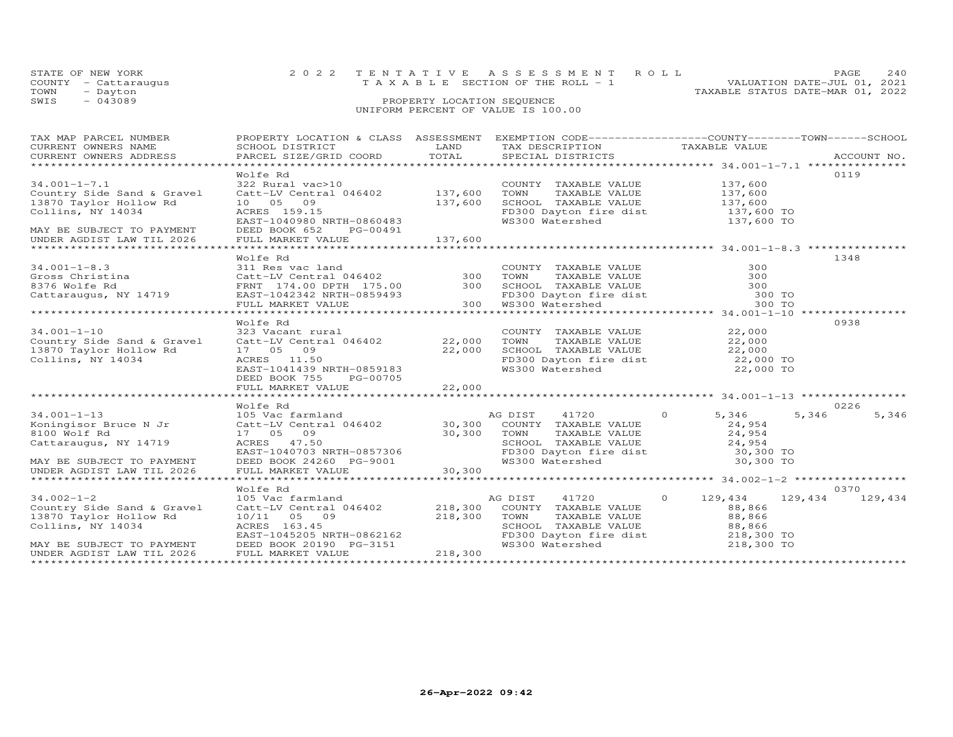| 2022 TENTATIVE ASSESSMENT ROLL<br>STATE OF NEW YORK           | PAGE                        | 240 |
|---------------------------------------------------------------|-----------------------------|-----|
| T A X A B L E SECTION OF THE ROLL - 1<br>COUNTY - Cattaraugus | VALUATION DATE-JUL 01, 2021 |     |
| TAXABLE STATUS DATE-MAR 01, 2022<br>TOWN<br>- Dayton          |                             |     |
| $-043089$<br>SWIS<br>PROPERTY LOCATION SEQUENCE               |                             |     |
| UNIFORM PERCENT OF VALUE IS 100.00                            |                             |     |

| TAX MAP PARCEL NUMBER                                                                                                                                                                                                                                                                                                                            | PROPERTY LOCATION & CLASS ASSESSMENT EXEMPTION CODE----------------COUNTY-------TOWN------SCHOOL                                                                                                                                                                                                                    |         |                                                                                                                                                               |                      |                   |
|--------------------------------------------------------------------------------------------------------------------------------------------------------------------------------------------------------------------------------------------------------------------------------------------------------------------------------------------------|---------------------------------------------------------------------------------------------------------------------------------------------------------------------------------------------------------------------------------------------------------------------------------------------------------------------|---------|---------------------------------------------------------------------------------------------------------------------------------------------------------------|----------------------|-------------------|
| $34.001 - 1 - 7.1$<br>Country Side Sand & Gravel<br>13870 Taylor Hollow Rd<br>Collins, NY 14034<br>MAY BE SUBJECT TO PAYMENT                                                                                                                                                                                                                     | Wolfe Rd<br>322 Rural vac>10<br>Catt-LV Central 046402 137,600<br>10 05 09 137,600<br>ACRES 159.15<br>EAST-1040980 NRTH-0860483<br>PG-00491<br>DEED BOOK 652                                                                                                                                                        |         | COUNTY TAXABLE VALUE 137,600<br>TOWN TAXABLE VALUE 137,600<br>SCHOOL TAXABLE VALUE 137,600<br>FD300 Dayton fire dist 137,600 TO<br>WS300 Watershed 137,600 TO |                      | 0119              |
| UNDER AGDIST LAW TIL 2026                                                                                                                                                                                                                                                                                                                        |                                                                                                                                                                                                                                                                                                                     |         |                                                                                                                                                               |                      |                   |
| 34.001-1-8.3 (11 Res vac land COUNTY TAXABLE VALUE 300<br>Gross Christina Catt-LV Central 046402 300 TOWN TAXABLE VALUE 300<br>8376 Wolfe Rd FRNT 174.00 DPTH 175.00 300 SCHOOL TAXABLE VALUE 300 TOWN Cattaraugus, NY 14719 EAST-                                                                                                               | Wolfe Rd                                                                                                                                                                                                                                                                                                            |         |                                                                                                                                                               |                      | 1348              |
|                                                                                                                                                                                                                                                                                                                                                  | Wolfe Rd                                                                                                                                                                                                                                                                                                            |         |                                                                                                                                                               |                      | 0938              |
| $34.001 - 1 - 10$<br>Country Side Sand & Gravel<br>13870 Taylor Hollow Rd<br>Collins, NY 14034                                                                                                                                                                                                                                                   | 17 05 09 22,000<br>ACRES 11.50 22,000<br>EAST-1041439 NRTH-0859183<br>DEED BOOK 755 PG-00705                                                                                                                                                                                                                        |         | COUNTY TAXABLE VALUE 22,000<br>TOWN                                                                                                                           | TAXABLE VALUE 22,000 |                   |
|                                                                                                                                                                                                                                                                                                                                                  | Wolfe Rd                                                                                                                                                                                                                                                                                                            |         |                                                                                                                                                               |                      | 0226              |
| $\begin{tabular}{lllllllllllllllllllll} \hline 34.001-1-13 & \hline & 015\text{ Vac farmland} & \hline \text{R} & 1720 & 0 & 5,346 & 5,346 & 5,346 & 5,346 & 5,346 & 5,346 & 5,346 & 5,346 & 5,346 & 5,346 & 5,346 & 5,346 & 5,346 & 5,346 & 5,346 & 5,346 & 5,346 & 5,346 & 5,346 & 5,346 & 5,346 & 5,$<br>34.001-1-13<br>Koningisor Bruce N Jr |                                                                                                                                                                                                                                                                                                                     |         |                                                                                                                                                               |                      |                   |
|                                                                                                                                                                                                                                                                                                                                                  | Wolfe Rd                                                                                                                                                                                                                                                                                                            |         |                                                                                                                                                               |                      | 0370              |
| $34.002 - 1 - 2$<br>Country Side Sand & Gravel<br>13870 Taylor Hollow Rd<br>Collins, NY 14034<br>MAY BE SUBJECT TO PAYMENT<br>UNDER AGDIST LAW TIL 2026                                                                                                                                                                                          | 105 Vac farmland<br>Valential 046402<br>Catt-LV Central 046402<br>10/11 05 09<br>218,300 TOWN TAXABLE VALUE<br>218,300 TOWN TAXABLE VALUE<br>SCHOOL TAXABLE VALUE<br>SCHOOL TAXABLE VALUE<br>218,800 TOWN TAXABLE VALUE<br>218,300 TOWN TAXABLE VALUE<br>218,300 TO<br>DEED BOOK 20190 PG-3151<br>FULL MARKET VALUE | 218,300 | AG DIST<br>41720                                                                                                                                              | $0 \t 129,434$       | 129, 434 129, 434 |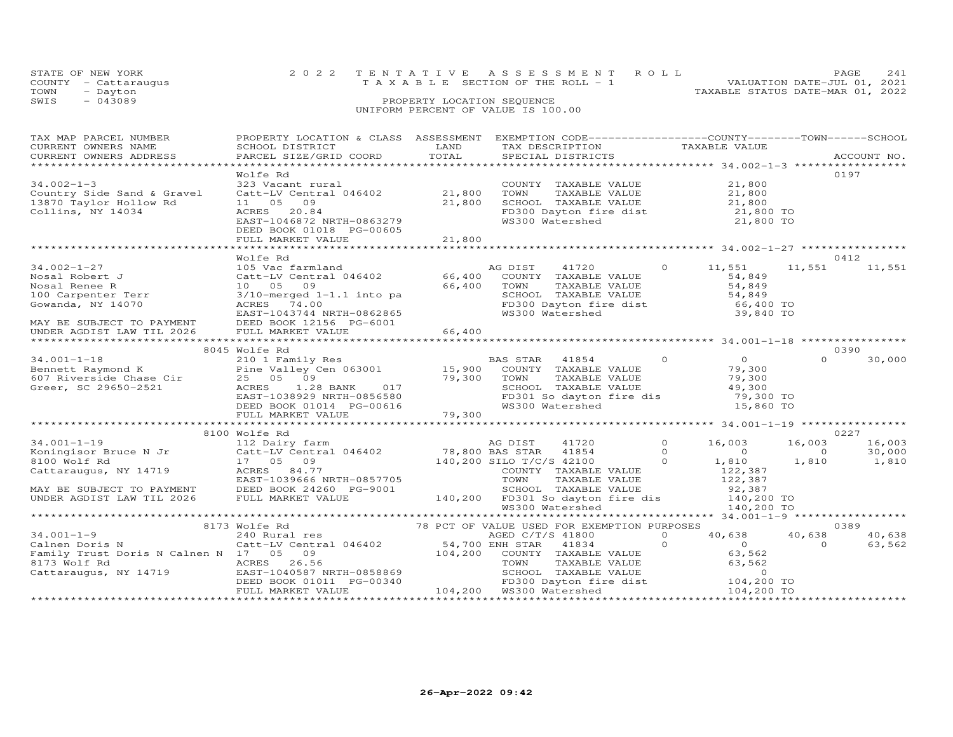| STATE OF NEW YORK<br>COUNTY - Cattaraugus<br>TOWN<br>- Dayton | 2022 TENTATIVE ASSESSMENT ROLL<br>T A X A B L E SECTION OF THE ROLL - 1 | 2.41<br>PAGE.<br>VALUATION DATE-JUL 01, 2021<br>TAXABLE STATUS DATE-MAR 01, 2022 |
|---------------------------------------------------------------|-------------------------------------------------------------------------|----------------------------------------------------------------------------------|
| $-043089$<br>SWIS                                             | PROPERTY LOCATION SEQUENCE<br>UNIFORM PERCENT OF VALUE IS 100.00        |                                                                                  |

| TAX MAP PARCEL NUMBER<br>CURRENT OWNERS NAME<br>.CURRENT OWNERS ADDRESS PARCEL SIZE/GRID COORD TOTAL SPECIAL DISTRICTS ACCOUNT NO ACCOUNT NO ACCOUNT NO ARE A LIST AND A LIST ASSESS AND A LIST AND A LIST A LIST AND A LIST AND A LIST A LIST AND A LIST AND A LIST AND A LIS | PROPERTY LOCATION & CLASS ASSESSMENT EXEMPTION CODE----------------COUNTY-------TOWN------SCHOOL<br>SCHOOL DISTRICT LAND                                                                                                                          | TAX DESCRIPTION<br>TAX DESCRIPTION<br>SPECIAL DISTRICTS |                       |
|--------------------------------------------------------------------------------------------------------------------------------------------------------------------------------------------------------------------------------------------------------------------------------|---------------------------------------------------------------------------------------------------------------------------------------------------------------------------------------------------------------------------------------------------|---------------------------------------------------------|-----------------------|
| $34.002 - 1 - 3$<br>Country Side Sand & Gravel<br>13870 Taylor Hollow Rd<br>Collins, NY 14034                                                                                                                                                                                  | Wolfe Rd<br>323 Vacant rural and COUNTY TAXABLE VALUE 21,800<br>Catt-LV Central 046402 21,800 TOWN TAXABLE VALUE 21,800<br>11 05 09 21,800 SCHOOL TAXABLE VALUE 21,800<br>ACRES 20.84 FD300 Dayton fire dist 21,800 TO<br>DEED BOOK 0118 PG-00605 |                                                         | 0197                  |
|                                                                                                                                                                                                                                                                                |                                                                                                                                                                                                                                                   |                                                         |                       |
| MAY BE SUBJECT TO PAYMENT DEED BOOK 12156 PG-6001<br>UNDER AGDIST LAW TIL 2026                                                                                                                                                                                                 | Wolfe Rd                                                                                                                                                                                                                                          |                                                         | 0412<br>11,551 11,551 |
|                                                                                                                                                                                                                                                                                | 8045 Wolfe Rd                                                                                                                                                                                                                                     |                                                         | 0390                  |
|                                                                                                                                                                                                                                                                                |                                                                                                                                                                                                                                                   |                                                         |                       |
|                                                                                                                                                                                                                                                                                |                                                                                                                                                                                                                                                   |                                                         |                       |
|                                                                                                                                                                                                                                                                                | 8100 Wolfe Rd                                                                                                                                                                                                                                     |                                                         | 0227                  |
|                                                                                                                                                                                                                                                                                |                                                                                                                                                                                                                                                   |                                                         |                       |
|                                                                                                                                                                                                                                                                                |                                                                                                                                                                                                                                                   |                                                         |                       |
|                                                                                                                                                                                                                                                                                |                                                                                                                                                                                                                                                   |                                                         | 40,638<br>63,562      |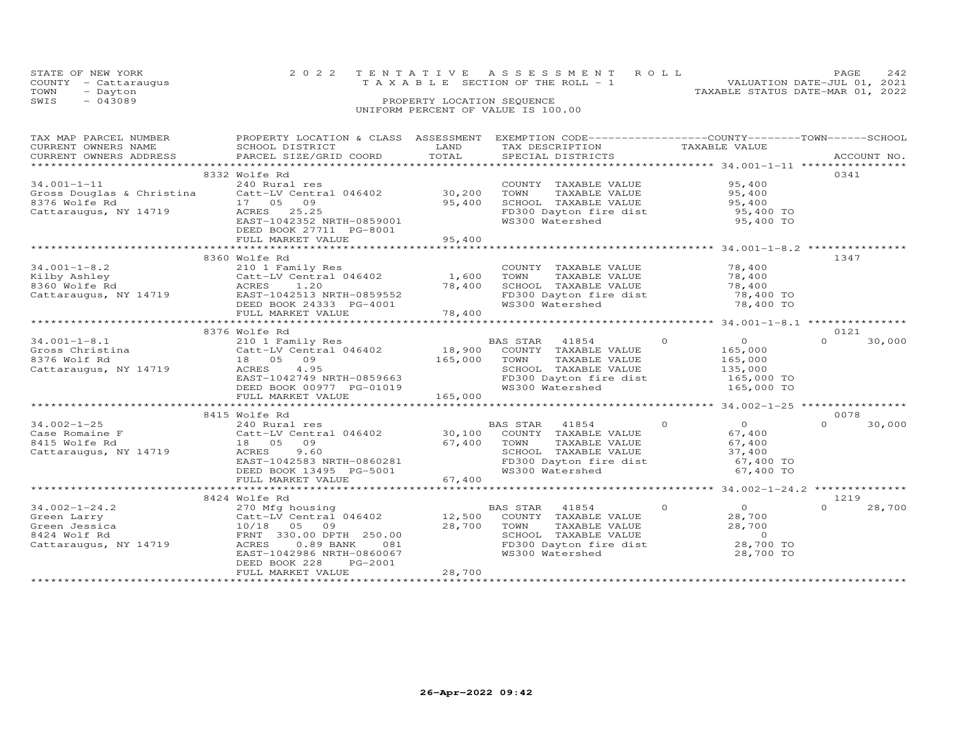|      | STATE OF NEW YORK    | 2022 TENTATIVE ASSESSMENT ROLL                                       | PAGE | 242 |
|------|----------------------|----------------------------------------------------------------------|------|-----|
|      | COUNTY - Cattaraugus | VALUATION DATE-JUL 01, 2021<br>T A X A B L E SECTION OF THE ROLL - 1 |      |     |
| TOWN | - Dayton             | TAXABLE STATUS DATE-MAR 01, 2022                                     |      |     |
| SWIS | $-043089$            | PROPERTY LOCATION SEQUENCE                                           |      |     |
|      |                      | UNIFORM PERCENT OF VALUE IS 100.00                                   |      |     |

| TAX MAP PARCEL NUMBER                                           | PROPERTY LOCATION & CLASS ASSESSMENT EXEMPTION CODE---------------COUNTY-------TOWN------SCHOOL                                                      |         |                                                                   |                            |                    |
|-----------------------------------------------------------------|------------------------------------------------------------------------------------------------------------------------------------------------------|---------|-------------------------------------------------------------------|----------------------------|--------------------|
| CURRENT OWNERS NAME                                             | SCHOOL DISTRICT                                                                                                                                      | LAND    | TAX DESCRIPTION                                                   | TAXABLE VALUE              |                    |
| CURRENT OWNERS ADDRESS                                          | PARCEL SIZE/GRID COORD                                                                                                                               | TOTAL   | SPECIAL DISTRICTS                                                 |                            | ACCOUNT NO.        |
|                                                                 |                                                                                                                                                      |         |                                                                   |                            |                    |
|                                                                 | 8332 Wolfe Rd                                                                                                                                        |         |                                                                   |                            | 0341               |
| $34.001 - 1 - 11$                                               | 240 Rural res                                                                                                                                        |         | COUNTY TAXABLE VALUE                                              | 95,400                     |                    |
|                                                                 |                                                                                                                                                      |         | TOWN<br>TAXABLE VALUE                                             | 95,400                     |                    |
| 8376 Wolfe Rd                                                   | 17 05 09                                                                                                                                             | 95,400  | SCHOOL TAXABLE VALUE                                              | 95,400                     |                    |
| Cattaraugus, NY 14719                                           | ACRES 25.25                                                                                                                                          |         | FD300 Dayton fire dist                                            | $95,400$ TO<br>$95,400$ TO |                    |
|                                                                 | EAST-1042352 NRTH-0859001                                                                                                                            |         | WS300 Watershed                                                   | 95,400 TO                  |                    |
|                                                                 | DEED BOOK 27711 PG-8001                                                                                                                              |         |                                                                   |                            |                    |
|                                                                 | FULL MARKET VALUE                                                                                                                                    | 95,400  |                                                                   |                            |                    |
|                                                                 |                                                                                                                                                      |         |                                                                   |                            |                    |
|                                                                 | 8360 Wolfe Rd                                                                                                                                        |         |                                                                   |                            | 1347               |
| $34.001 - 1 - 8.2$                                              | 210 1 Family Res                                                                                                                                     |         | COUNTY TAXABLE VALUE                                              | 78,400                     |                    |
|                                                                 | 34.001-1-8.2<br>Kilby Ashley Catt-LV Central 046402<br>Riby Ashley Cattaraugus, NY 14719 EAST-1042513 NRTH-0859552<br>Catt-LV Central $046402$ 1,600 |         | TAXABLE VALUE<br>TOWN                                             | 78,400                     |                    |
|                                                                 |                                                                                                                                                      | 78,400  |                                                                   | 78,400                     |                    |
|                                                                 |                                                                                                                                                      |         | SCHOOL TAXABLE VALUE<br>FD300 Dayton fire dist                    | 78,400 TO                  |                    |
|                                                                 |                                                                                                                                                      |         | WS300 Watershed                                                   | 78,400 TO                  |                    |
|                                                                 | DEED BOOK 24333 PG-4001                                                                                                                              | 78,400  |                                                                   |                            |                    |
|                                                                 | FULL MARKET VALUE                                                                                                                                    |         |                                                                   |                            |                    |
|                                                                 |                                                                                                                                                      |         |                                                                   |                            |                    |
|                                                                 | 8376 Wolfe Rd                                                                                                                                        |         |                                                                   |                            | 0121               |
| $34.001 - 1 - 8.1$<br>34.001 1 1.<br>Gross Christina<br>The Pal | 210 1 Family Res<br>Catt-LV Central 046402<br>10 05 05                                                                                               |         |                                                                   | $\overline{0}$<br>$\circ$  | 30,000             |
|                                                                 |                                                                                                                                                      |         |                                                                   | 165,000                    |                    |
|                                                                 | 18 05 09                                                                                                                                             | 165,000 | TOWN<br>TAXABLE VALUE                                             | 165,000<br>135,000         |                    |
| Cattaraugus, NY 14719                                           | ACRES 4.95                                                                                                                                           |         | SCHOOL TAXABLE VALUE 135,000<br>FD300 Dayton fire dist 165,000 TO |                            |                    |
|                                                                 | EAST-1042749 NRTH-0859663                                                                                                                            |         |                                                                   |                            |                    |
|                                                                 | DEED BOOK 00977 PG-01019                                                                                                                             |         | WS300 Watershed                                                   | 165,000 TO                 |                    |
|                                                                 | FULL MARKET VALUE                                                                                                                                    | 165,000 |                                                                   |                            |                    |
|                                                                 |                                                                                                                                                      |         |                                                                   |                            |                    |
|                                                                 | 8415 Wolfe Rd                                                                                                                                        |         |                                                                   |                            | 0078               |
| $34.002 - 1 - 25$                                               | 240 Rural res                                                                                                                                        |         | BAS STAR 41854                                                    | $\Omega$<br>$\overline{O}$ | $\Omega$<br>30,000 |
| Case Romaine F                                                  | 240 Rural res<br>Catt-LV Central 046402 30,100<br>2010 12:00 10:00 67                                                                                |         | COUNTY TAXABLE VALUE                                              | 67,400                     |                    |
| 8415 Wolfe Rd                                                   | 18 05 09                                                                                                                                             | 67,400  | TAXABLE VALUE<br>TOWN                                             | 67,400                     |                    |
| Cattaraugus, NY 14719                                           | 9.60<br>ACRES                                                                                                                                        |         | SCHOOL TAXABLE VALUE                                              | 37,400                     |                    |
|                                                                 |                                                                                                                                                      |         | FD300 Dayton fire dist                                            | 67,400 TO                  |                    |
|                                                                 | EAST-1042583 NRTH-0860281<br>DEED BOOK 13495 PG-5001                                                                                                 |         | WS300 Watershed                                                   | 67,400 TO                  |                    |
|                                                                 |                                                                                                                                                      | 67,400  |                                                                   |                            |                    |
|                                                                 | FULL MARKET VALUE                                                                                                                                    |         |                                                                   |                            |                    |
|                                                                 |                                                                                                                                                      |         |                                                                   |                            |                    |
|                                                                 | 8424 Wolfe Rd                                                                                                                                        |         |                                                                   |                            | 1219               |
| $34.002 - 1 - 24.2$                                             | 270 Mfg housing                                                                                                                                      |         | BAS STAR 41854                                                    | $\overline{0}$<br>$\Omega$ | $\Omega$<br>28,700 |
| Green Larry                                                     |                                                                                                                                                      |         | COUNTY TAXABLE VALUE                                              | 28,700                     |                    |
| Green Jessica                                                   | Catt-LV Central 046402 12,500<br>10/18 05 09 28,700<br>FRNT 330.00 DPTH 250.00                                                                       |         | TOWN      TAXABLE VALUE<br>SCHOOL   TAXABLE VALUE                 | 28,700                     |                    |
| 8424 Wolf Rd                                                    |                                                                                                                                                      |         |                                                                   | $\sim$ 0                   |                    |
| Cattaraugus, NY 14719                                           | ACRES<br>$0.89$ BANK<br>081                                                                                                                          |         | FD300 Dayton fire dist                                            | 28,700 TO                  |                    |
|                                                                 | EAST-1042986 NRTH-0860067                                                                                                                            |         | WS300 Watershed                                                   | 28,700 TO                  |                    |
|                                                                 | DEED BOOK 228<br>PG-2001                                                                                                                             |         |                                                                   |                            |                    |
|                                                                 | FULL MARKET VALUE                                                                                                                                    | 28,700  |                                                                   |                            |                    |
|                                                                 |                                                                                                                                                      |         |                                                                   |                            |                    |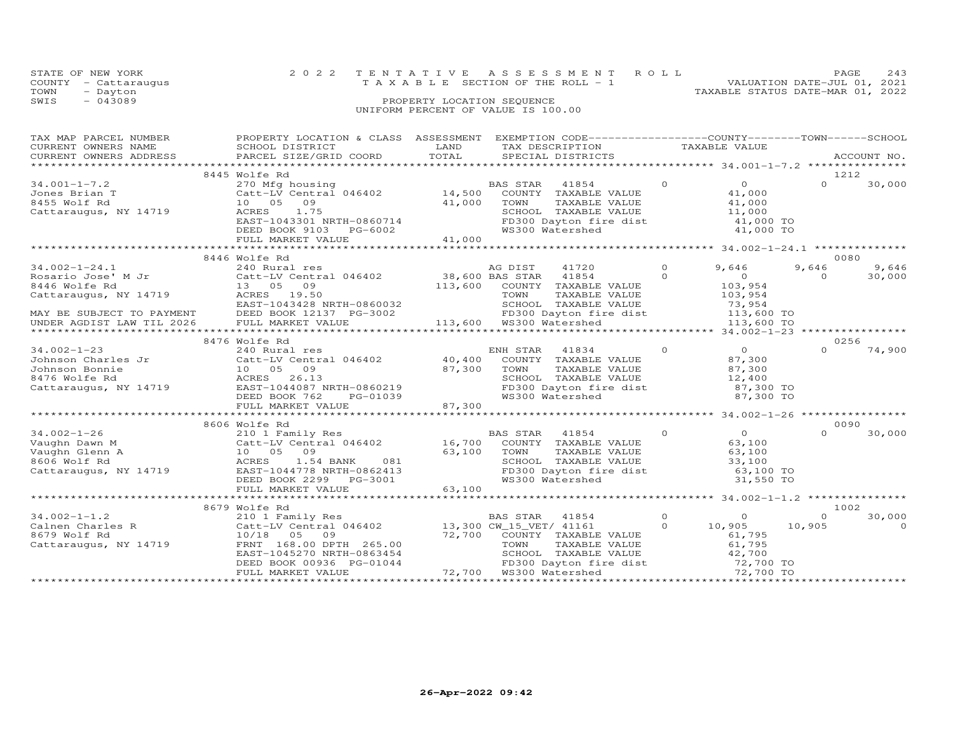|      | STATE OF NEW YORK    | 2022 TENTATIVE ASSESSMENT ROLL<br>PAGE.                              | 2.43 |
|------|----------------------|----------------------------------------------------------------------|------|
|      | COUNTY - Cattaraugus | VALUATION DATE-JUL 01, 2021<br>T A X A B L E SECTION OF THE ROLL - 1 |      |
| TOWN | - Dayton             | TAXABLE STATUS DATE-MAR 01, 2022                                     |      |
| SWIS | $-043089$            | PROPERTY LOCATION SEQUENCE                                           |      |
|      |                      | UNIFORM PERCENT OF VALUE IS 100.00                                   |      |

| TAX MAP PARCEL NUMBER<br>CURRENT OWNERS NAME<br>CURRENT OWNERS ADDRESS                                                                        | PROPERTY LOCATION & CLASS ASSESSMENT<br>SCHOOL DISTRICT<br>PARCEL SIZE/GRID COORD                                                                                         | LAND<br>TOTAL              | EXEMPTION CODE------------------COUNTY-------TOWN------SCHOOL<br>TAX DESCRIPTION TAXABLE VALUE SPECIAL DISTRICTS                                                |                      |                                                                                     |                    | ACCOUNT NO.             |
|-----------------------------------------------------------------------------------------------------------------------------------------------|---------------------------------------------------------------------------------------------------------------------------------------------------------------------------|----------------------------|-----------------------------------------------------------------------------------------------------------------------------------------------------------------|----------------------|-------------------------------------------------------------------------------------|--------------------|-------------------------|
| $34.001 - 1 - 7.2$<br>Jones Brian T<br>8455 Wolf Rd<br>Cattaraugus, NY 14719                                                                  | 8445 Wolfe Rd<br>270 Mfg housing<br>Catt-LV Central 046402<br>09<br>10 05<br>ACRES<br>1.75<br>EAST-1043301 NRTH-0860714<br>DEED BOOK 9103<br>PG-6002<br>FULL MARKET VALUE | 14,500<br>41,000<br>41,000 | BAS STAR<br>41854<br>COUNTY TAXABLE VALUE<br>TAXABLE VALUE<br>TOWN<br>SCHOOL TAXABLE VALUE<br>FD300 Dayton fire dist<br>WS300 Watershed                         | $\Omega$             | $\overline{O}$<br>41,000<br>41,000<br>11,000<br>41,000 TO<br>41,000 TO              | $\Omega$           | 1212<br>30,000          |
|                                                                                                                                               |                                                                                                                                                                           |                            |                                                                                                                                                                 |                      |                                                                                     |                    |                         |
| $34.002 - 1 - 24.1$<br>Rosario Jose' M Jr<br>8446 Wolfe Rd<br>Cattaraugus, NY 14719<br>MAY BE SUBJECT TO PAYMENT<br>UNDER AGDIST LAW TIL 2026 | 8446 Wolfe Rd<br>240 Rural res<br>Catt-LV Central 046402<br>13 05<br>09<br>ACRES 19.50<br>EAST-1043428 NRTH-0860032<br>DEED BOOK 12137 PG-3002<br>FULL MARKET VALUE       | 38,600 BAS STAR            | AG DIST<br>41720<br>41854<br>113,600 COUNTY TAXABLE VALUE<br>TAXABLE VALUE<br>TOWN<br>SCHOOL TAXABLE VALUE<br>FD300 Dayton fire dist<br>113,600 WS300 Watershed | $\Omega$<br>$\Omega$ | 9,646<br>$\overline{O}$<br>103,954<br>103,954<br>73,954<br>113,600 TO<br>113,600 TO | 9,646<br>$\Omega$  | 0080<br>9,646<br>30,000 |
|                                                                                                                                               |                                                                                                                                                                           |                            | ********************************                                                                                                                                |                      | ************** 34.002-1-23 *****************                                        |                    |                         |
|                                                                                                                                               | 8476 Wolfe Rd                                                                                                                                                             |                            |                                                                                                                                                                 |                      |                                                                                     |                    | 0256                    |
| $34.002 - 1 - 23$<br>Johnson Charles Jr<br>Johnson Bonnie<br>8476 Wolfe Rd<br>Cattaraugus, NY 14719                                           | 240 Rural res<br>Catt-LV Central 046402<br>10 05<br>09<br>ACRES<br>26.13<br>EAST-1044087 NRTH-0860219<br>DEED BOOK 762<br>PG-01039                                        | 40,400<br>87,300           | ENH STAR<br>41834<br>COUNTY TAXABLE VALUE<br>TOWN<br>TAXABLE VALUE<br>SCHOOL TAXABLE VALUE<br>FD300 Dayton fire dist<br>WS300 Watershed                         | $\Omega$             | $\overline{O}$<br>87,300<br>87,300<br>12,400<br>87,300 TO<br>87,300 TO              | $\Omega$           | 74,900                  |
|                                                                                                                                               | FULL MARKET VALUE                                                                                                                                                         | 87,300                     |                                                                                                                                                                 |                      |                                                                                     |                    |                         |
|                                                                                                                                               |                                                                                                                                                                           |                            |                                                                                                                                                                 |                      |                                                                                     |                    |                         |
| $34.002 - 1 - 26$<br>Vaughn Dawn M<br>Vaughn Glenn A<br>8606 Wolf Rd<br>Cattaraugus, NY 14719                                                 | 8606 Wolfe Rd<br>210 1 Family Res<br>Catt-LV Central 046402<br>10 05 09<br>ACRES<br>1.54 BANK<br>081<br>EAST-1044778 NRTH-0862413<br>DEED BOOK 2299 PG-3001               | 16,700<br>63,100           | 41854<br>BAS STAR<br>COUNTY TAXABLE VALUE<br>TOWN<br>TAXABLE VALUE<br>SCHOOL TAXABLE VALUE<br>FD300 Dayton fire dist<br>WS300 Watershed                         | $\circ$              | $\overline{O}$<br>63,100<br>63,100<br>33,100<br>63,100 TO<br>31,550 TO              | $\Omega$           | 0090<br>30,000          |
|                                                                                                                                               | FULL MARKET VALUE<br>*************************                                                                                                                            | 63,100                     |                                                                                                                                                                 |                      |                                                                                     |                    |                         |
|                                                                                                                                               | 8679 Wolfe Rd                                                                                                                                                             |                            |                                                                                                                                                                 |                      |                                                                                     |                    | 1002                    |
| $34.002 - 1 - 1.2$<br>Calnen Charles R<br>8679 Wolf Rd<br>Cattaraugus, NY 14719                                                               | 210 1 Family Res<br>Catt-LV Central 046402<br>10/18 05<br>09<br>FRNT 168.00 DPTH 265.00<br>EAST-1045270 NRTH-0863454<br>DEED BOOK 00936 PG-01044<br>FULL MARKET VALUE     | 72,700<br>72,700           | BAS STAR 41854<br>13,300 CW_15_VET/ 41161<br>COUNTY TAXABLE VALUE<br>TOWN<br>TAXABLE VALUE<br>SCHOOL TAXABLE VALUE<br>FD300 Dayton fire dist<br>WS300 Watershed | $\Omega$<br>$\Omega$ | $\circ$<br>10,905<br>61,795<br>61,795<br>42,700<br>72,700 TO<br>72,700 TO           | $\Omega$<br>10,905 | 30,000<br>$\Omega$      |
|                                                                                                                                               |                                                                                                                                                                           |                            |                                                                                                                                                                 |                      |                                                                                     |                    |                         |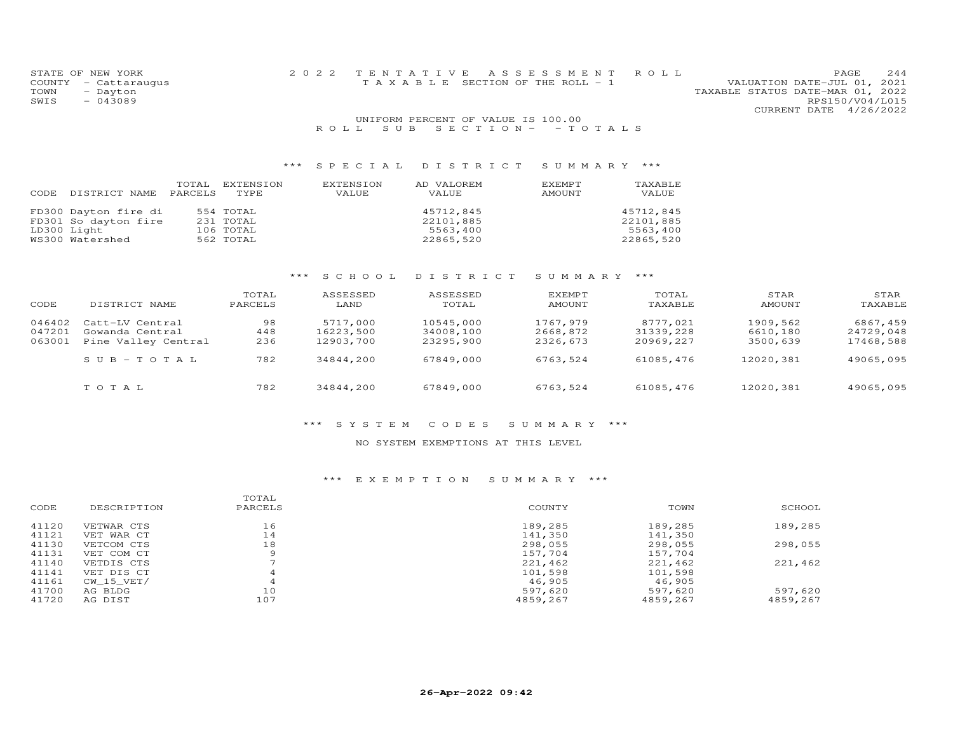| STATE OF NEW YORK    |  | 2022 TENTATIVE ASSESSMENT ROLL        |  |                                  |                        | PAGE. | 244 |
|----------------------|--|---------------------------------------|--|----------------------------------|------------------------|-------|-----|
| COUNTY - Cattaraugus |  | T A X A B L E SECTION OF THE ROLL - 1 |  | VALUATION DATE-JUL 01, 2021      |                        |       |     |
| TOWN<br>- Dayton     |  |                                       |  | TAXABLE STATUS DATE-MAR 01, 2022 |                        |       |     |
| $-043089$<br>SWIS    |  |                                       |  |                                  | RPS150/V04/L015        |       |     |
|                      |  |                                       |  |                                  | CURRENT DATE 4/26/2022 |       |     |
|                      |  | UNIFORM PERCENT OF VALUE IS 100.00    |  |                                  |                        |       |     |
|                      |  | ROLL SUB SECTION - - TOTALS           |  |                                  |                        |       |     |

# \*\*\* S P E C I A L D I S T R I C T S U M M A R Y \*\*\*

| DISTRICT NAME                                                                  | TOTAL   | EXTENSION                                        | EXTENSION | AD VALOREM                                      | EXEMPT | TAXABLE                                         |
|--------------------------------------------------------------------------------|---------|--------------------------------------------------|-----------|-------------------------------------------------|--------|-------------------------------------------------|
| CODE                                                                           | PARCELS | TYPE                                             | VALUE     | VALUE                                           | AMOUNT | VALUE                                           |
| FD300 Dayton fire di<br>FD301 So dayton fire<br>LD300 Light<br>WS300 Watershed |         | 554 TOTAL<br>231 TOTAL<br>106 TOTAL<br>562 TOTAL |           | 45712,845<br>22101,885<br>5563,400<br>22865,520 |        | 45712,845<br>22101,885<br>5563,400<br>22865,520 |

### \*\*\* S C H O O L D I S T R I C T S U M M A R Y \*\*\*

| CODE   | DISTRICT NAME       | TOTAL<br>PARCELS | ASSESSED<br>LAND | ASSESSED<br>TOTAL | <b>EXEMPT</b><br><b>AMOUNT</b> | TOTAL<br>TAXABLE | STAR<br><b>AMOUNT</b> | STAR<br>TAXABLE |
|--------|---------------------|------------------|------------------|-------------------|--------------------------------|------------------|-----------------------|-----------------|
| 046402 | Catt-LV Central     | 98               | 5717,000         | 10545,000         | 1767,979                       | 8777,021         | 1909,562              | 6867,459        |
| 047201 | Gowanda Central     | 448              | 16223,500        | 34008,100         | 2668,872                       | 31339,228        | 6610,180              | 24729,048       |
| 063001 | Pine Valley Central | 236              | 12903,700        | 23295,900         | 2326,673                       | 20969,227        | 3500,639              | 17468,588       |
|        | $SUB - TO T AL$     | 782              | 34844,200        | 67849,000         | 6763,524                       | 61085,476        | 12020,381             | 49065,095       |
|        | TOTAL               | 782              | 34844,200        | 67849,000         | 6763,524                       | 61085,476        | 12020,381             | 49065,095       |

#### \*\*\* S Y S T E M C O D E S S U M M A R Y \*\*\*

#### NO SYSTEM EXEMPTIONS AT THIS LEVEL

#### \*\*\* E X E M P T I O N S U M M A R Y \*\*\*

|       |                | TOTAL          |          |          |          |
|-------|----------------|----------------|----------|----------|----------|
| CODE  | DESCRIPTION    | PARCELS        | COUNTY   | TOWN     | SCHOOL   |
| 41120 | VETWAR CTS     | 16             | 189,285  | 189,285  | 189,285  |
| 41121 | VET WAR CT     | 14             | 141,350  | 141,350  |          |
| 41130 | VETCOM CTS     | 18             | 298,055  | 298,055  | 298,055  |
| 41131 | VET COM CT     | 9              | 157,704  | 157,704  |          |
| 41140 | VETDIS CTS     |                | 221,462  | 221,462  | 221,462  |
| 41141 | VET DIS CT     | $\overline{A}$ | 101,598  | 101,598  |          |
| 41161 | $CW$ 15 $VET/$ | 4              | 46,905   | 46,905   |          |
| 41700 | AG BLDG        | 10             | 597,620  | 597,620  | 597,620  |
| 41720 | AG DIST        | 107            | 4859.267 | 4859,267 | 4859,267 |
|       |                |                |          |          |          |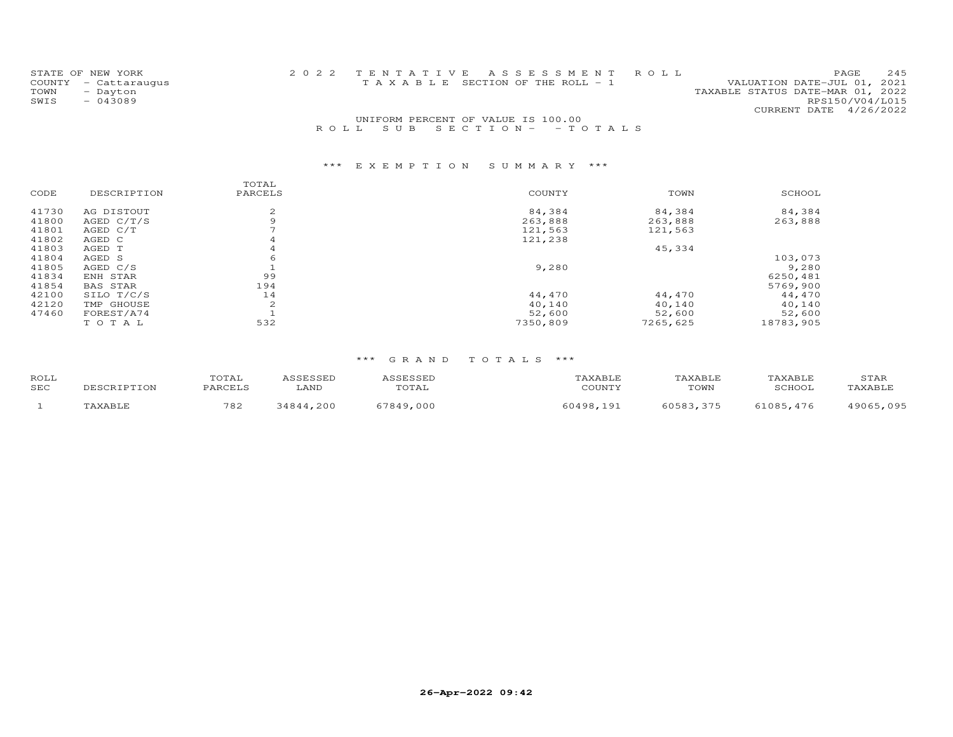|      | STATE OF NEW YORK    | 2022 TENTATIVE ASSESSMENT ROLL                                 | 2.45<br>PAGE    |
|------|----------------------|----------------------------------------------------------------|-----------------|
|      | COUNTY - Cattaraugus | VALUATION DATE-JUL 01, 2021<br>TAXABLE SECTION OF THE ROLL - 1 |                 |
| TOWN | - Dayton             | TAXABLE STATUS DATE-MAR 01, 2022                               |                 |
| SWIS | $-043089$            |                                                                | RPS150/V04/L015 |
|      |                      | CURRENT DATE 4/26/2022                                         |                 |
|      |                      | UNIFORM PERCENT OF VALUE IS 100.00                             |                 |

## R O L L S U B S E C T I O N - - T O T A L S

## \*\*\* E X E M P T I O N S U M M A R Y \*\*\*

|       |              | TOTAL   |          |          |           |
|-------|--------------|---------|----------|----------|-----------|
| CODE  | DESCRIPTION  | PARCELS | COUNTY   | TOWN     | SCHOOL    |
| 41730 | AG DISTOUT   | 2       | 84,384   | 84,384   | 84,384    |
| 41800 | AGED $C/T/S$ | 9       | 263,888  | 263,888  | 263,888   |
| 41801 | AGED C/T     |         | 121,563  | 121,563  |           |
| 41802 | AGED C       | 4       | 121,238  |          |           |
| 41803 | AGED T       | 4       |          | 45,334   |           |
| 41804 | AGED S       | 6       |          |          | 103,073   |
| 41805 | AGED C/S     |         | 9,280    |          | 9,280     |
| 41834 | ENH STAR     | 99      |          |          | 6250,481  |
| 41854 | BAS STAR     | 194     |          |          | 5769,900  |
| 42100 | SILO T/C/S   | 14      | 44,470   | 44,470   | 44,470    |
| 42120 | TMP GHOUSE   | 2       | 40,140   | 40,140   | 40,140    |
| 47460 | FOREST/A74   |         | 52,600   | 52,600   | 52,600    |
|       | TOTAL        | 532     | 7350,809 | 7265,625 | 18783,905 |

#### \*\*\* G R A N D T O T A L S \*\*\*

| ROLL<br><b>SEC</b> | TOTAL<br>٥٨ ٥ ٥ ٦ | LAND | TOTAL             | $C$ $C$ $T$ $N$ $T$ $V$ | <b>TAXABLE</b><br>TOWN | AXABLE<br>SCHOOL | STAR<br>TAXABLE |
|--------------------|-------------------|------|-------------------|-------------------------|------------------------|------------------|-----------------|
|                    | 782               | 200  | . 000<br>57 Q A Q | .0000<br>19.            | 60593<br>マフち           | 71085<br>476     | 095<br>4906F    |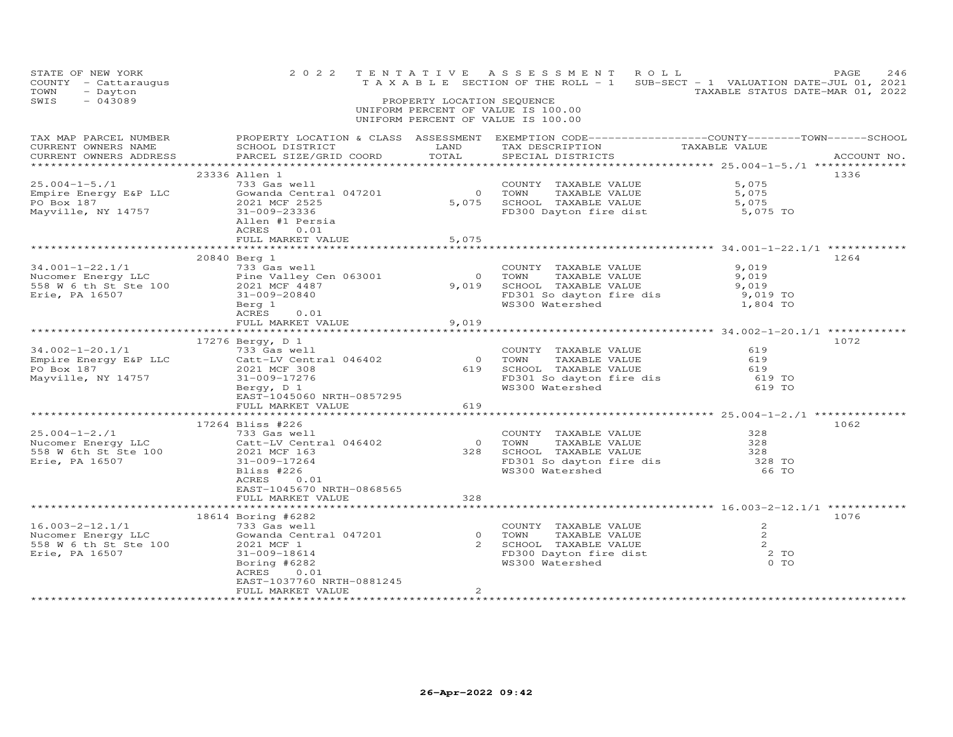| STATE OF NEW YORK<br>COUNTY - Cattaraugus<br>TOWN<br>- Dayton<br>SWIS<br>$-043089$                                                                                                                                                                                                                                                                              |                                                                                                                                                                                                                                                                                                                                                                                 | PROPERTY LOCATION SEQUENCE | 2022 TENTATIVE ASSESSMENT ROLL<br>TAXABLE SECTION OF THE ROLL - 1 SUB-SECT - 1 VALUATION DATE-JUL 01, 2021<br>UNIFORM PERCENT OF VALUE IS 100.00<br>UNIFORM PERCENT OF VALUE IS 100.00 | TAXABLE STATUS DATE-MAR 01, 2022 | PAGE<br>246 |
|-----------------------------------------------------------------------------------------------------------------------------------------------------------------------------------------------------------------------------------------------------------------------------------------------------------------------------------------------------------------|---------------------------------------------------------------------------------------------------------------------------------------------------------------------------------------------------------------------------------------------------------------------------------------------------------------------------------------------------------------------------------|----------------------------|----------------------------------------------------------------------------------------------------------------------------------------------------------------------------------------|----------------------------------|-------------|
|                                                                                                                                                                                                                                                                                                                                                                 |                                                                                                                                                                                                                                                                                                                                                                                 |                            |                                                                                                                                                                                        |                                  |             |
| $\begin{array}{lllllllllllllll} \text{25.004--1-5. /1} & \text{23330} & \text{241--1} & \text{25.004--1-5. /1} & \text{23330} & \text{201--1} & \text{2021--1} & \text{203--1} & \text{203--1} & \text{204--1} & \text{205--1} & \text{206--1} & \text{207--1} & \text{208--1} & \text{209--1} & \text{201--1} & \text{201--1} & \text{201--1} & \text{202--1}$ | 23336 Allen 1<br>ACRES<br>0.01<br>FULL MARKET VALUE                                                                                                                                                                                                                                                                                                                             | 5,075                      |                                                                                                                                                                                        |                                  | 1336        |
|                                                                                                                                                                                                                                                                                                                                                                 | 20840 Berg 1<br>34.001-1-22.1/1 20040 Bergy LC<br>TOWNT TAXABLE VALUE 9,019<br>Nucomer Energy LLC Pine Valley Cen 063001 0 TOWN TAXABLE VALUE 9,019<br>558 W 6 th St Ste 100 2021 MCF 4487<br>Erie, PA 16507 31-009-20840 Berg 1 2021<br>$\frac{34.001-1-22$<br>$ACRES$ 0.01<br>FULL MARKET VALUE                                                                               | 9,019                      |                                                                                                                                                                                        |                                  | 1264        |
|                                                                                                                                                                                                                                                                                                                                                                 | 17276 Bergy, D 1<br>$\begin{array}{cccccccc} 34.002-1-20.1/1 & 1/2/0 & 619 \\ & & 733 & 6a8 & 8011 \\ \text{Empire Energy E&P LLC} & & & 2021 & 0 & 0 & 0 & 0 & 0 \\ 1 & & 2021 & 1 & 0 & 0 & 0 & 0 \\ 1 & & 2021 & 1 & 0 & 0 & 0 & 0 \\ 1 & & 2021 & 1 & 0 & 0 & 0 & 0 \\ 1 & & 2021 & 1 & 0 & 0 & 0 & 0 \\ 1 & & 2021 & 1 & 0 & 0 & 0 \\ 1 & & $<br>EAST-1045060 NRTH-0857295 |                            |                                                                                                                                                                                        |                                  | 1072        |
|                                                                                                                                                                                                                                                                                                                                                                 | FULL MARKET VALUE<br>17264 Bliss #226<br>1/204 1-204 1/204 1/204 1/204 1/204 1/204 1/204 1/204 1/204 1/204 1/204 1/204 1/204 1/204 1/204 1/204 1/204 1<br>733 Gas well<br>733 Gas well<br>733 Gas well<br>2021 MCF 163<br>828 SCHOOL TAXABLE VALUE 228<br>828 SCHOOL TAXABLE VALUE<br>ACRES 0.01<br>EAST-1045670 NRTH-0868565<br>FULL MARKET VALUE                              | 619<br>328                 |                                                                                                                                                                                        |                                  | 1062        |
| 16.003-2-12.1/1 18614 Boring #6282<br>Nucomer Energy LLC 33 Gas well<br>558 W 6 th St Ste 100 2021 MCF 1<br>Erie, PA 16507 2 2021 MCF 1<br>Erie, PA 16507 2 2021 MCF 1<br>Erie, PA 16507 2 2 2021 MCF 1<br>Boring #6282<br>Boring 1047201<br>2                                                                                                                  | 18614 Boring #6282<br>ACRES<br>0.01<br>EAST-1037760 NRTH-0881245<br>FULL MARKET VALUE                                                                                                                                                                                                                                                                                           | $\overline{2}$             |                                                                                                                                                                                        |                                  | 1076        |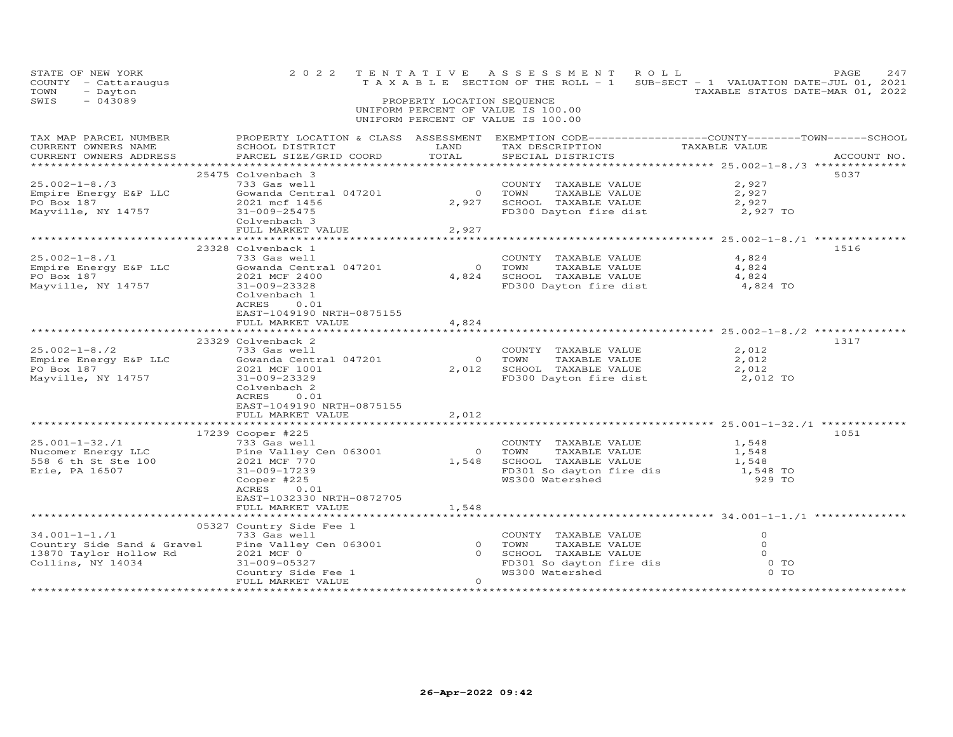| STATE OF NEW YORK<br>COUNTY - Cattaraugus<br>- Dayton<br>TOWN<br>SWIS<br>$-043089$                        | 2 0 2 2                                                                                                                                                                   | PROPERTY LOCATION SEQUENCE   | TENTATIVE ASSESSMENT ROLL<br>UNIFORM PERCENT OF VALUE IS 100.00<br>UNIFORM PERCENT OF VALUE IS 100.00                     | TAXABLE SECTION OF THE ROLL - 1 SUB-SECT - 1 VALUATION DATE-JUL 01, 2021<br>TAXABLE STATUS DATE-MAR 01, 2022 | PAGE<br>247 |
|-----------------------------------------------------------------------------------------------------------|---------------------------------------------------------------------------------------------------------------------------------------------------------------------------|------------------------------|---------------------------------------------------------------------------------------------------------------------------|--------------------------------------------------------------------------------------------------------------|-------------|
| CURRENT OWNERS ADDRESS                                                                                    | PARCEL SIZE/GRID COORD                                                                                                                                                    | TOTAL                        | SPECIAL DISTRICTS                                                                                                         |                                                                                                              | ACCOUNT NO. |
|                                                                                                           | 25475 Colvenbach 3                                                                                                                                                        |                              |                                                                                                                           |                                                                                                              | 5037        |
| $25.002 - 1 - 8.73$<br>Empire Energy E&P LLC<br>PO Box 187<br>Mayville, NY 14757                          | 733 Gas well<br>Gowanda Central 047201<br>2021 mcf 1456<br>31-009-25475<br>Colvenbach 3<br>FULL MARKET VALUE                                                              | $\bigcirc$<br>2,927<br>2,927 | COUNTY TAXABLE VALUE<br>TOWN       TAXABLE  VALUE<br>SCHOOL    TAXABLE  VALUE<br>FD300 Dayton fire dist                   | 2,927<br>2,927<br>2,927<br>2,927 TO                                                                          |             |
|                                                                                                           |                                                                                                                                                                           |                              |                                                                                                                           |                                                                                                              |             |
| $25.002 - 1 - 8.71$<br>Empire Energy E&P LLC<br>PO Box 187<br>Mayville, NY 14757                          | 23328 Colvenback 1<br>733 Gas well<br>Gowanda Central 047201<br>2021 MCF 2400<br>31-009-23328<br>Colvenbach 1<br>ACRES 0.01<br>EAST-1049190 NRTH-0875155                  | $\overline{0}$<br>4,824      | COUNTY TAXABLE VALUE<br>TOWN<br>TAXABLE VALUE<br>SCHOOL TAXABLE VALUE                                                     | 4,824<br>4,824<br>4,824<br>FD300 Dayton fire dist 4,824 TO                                                   | 1516        |
|                                                                                                           | FULL MARKET VALUE                                                                                                                                                         | 4,824                        |                                                                                                                           |                                                                                                              |             |
| $25.002 - 1 - 8.72$<br>Empire Energy E&P LLC<br>PO Box 187<br>Mayville, NY 14757                          | 23329 Colvenback 2<br>733 Gas well<br>Gowanda Central 047201<br>2021 MCF 1001<br>31-009-23329<br>Colvenbach 2<br>0.01<br>ACRES<br>EAST-1049190 NRTH-0875155               | $\overline{0}$               | COUNTY TAXABLE VALUE<br>TOWN<br>TAXABLE VALUE<br>2,012 SCHOOL TAXABLE VALUE                                               | 2,012<br>2,012<br>2,012<br>FD300 Dayton fire dist 2,012 TO                                                   | 1317        |
|                                                                                                           | FULL MARKET VALUE                                                                                                                                                         | 2,012                        |                                                                                                                           |                                                                                                              |             |
| $25.001 - 1 - 32.71$<br>Nucomer Energy LLC<br>Nucomer Energy LLC<br>558 6 th St Ste 100<br>Erie, PA 16507 | 17239 Cooper #225<br>733 Gas well<br>Pine Valley C<br>2021 MCF 770<br>Pine Valley Cen 063001<br>31-009-17239<br>Cooper #225<br>ACRES<br>0.01<br>EAST-1032330 NRTH-0872705 |                              | COUNTY TAXABLE VALUE<br>0 TOWN TAXABLE VALUE<br>1,548 SCHOOL TAXABLE VALUE<br>FD301 So dayton fire dis<br>WS300 Watershed | 1,548<br>1,548<br>1,548<br>1,548 TO<br>929 TO                                                                | 1051        |
|                                                                                                           | FULL MARKET VALUE                                                                                                                                                         | 1,548                        |                                                                                                                           |                                                                                                              |             |
|                                                                                                           | 05327 Country Side Fee 1                                                                                                                                                  |                              |                                                                                                                           |                                                                                                              |             |
| $34.001 - 1 - 1.71$<br>Country Side Sand & Gravel<br>13870 Taylor Hollow Rd<br>Collins, NY 14034          | 733 Gas well<br>Pine Valley Cen 063001<br>2021 MCF 0<br>31-009-05327<br>Country Side Fee 1<br>FULL MARKET VALUE                                                           | $\Omega$                     | COUNTY TAXABLE VALUE<br>0 TOWN<br>TAXABLE VALUE<br>0 SCHOOL TAXABLE VALUE<br>FD301 So dayton fire dis<br>WS300 Watershed  | $\circ$<br>$\circ$<br>$\circ$<br>$0$ TO<br>$0$ TO                                                            |             |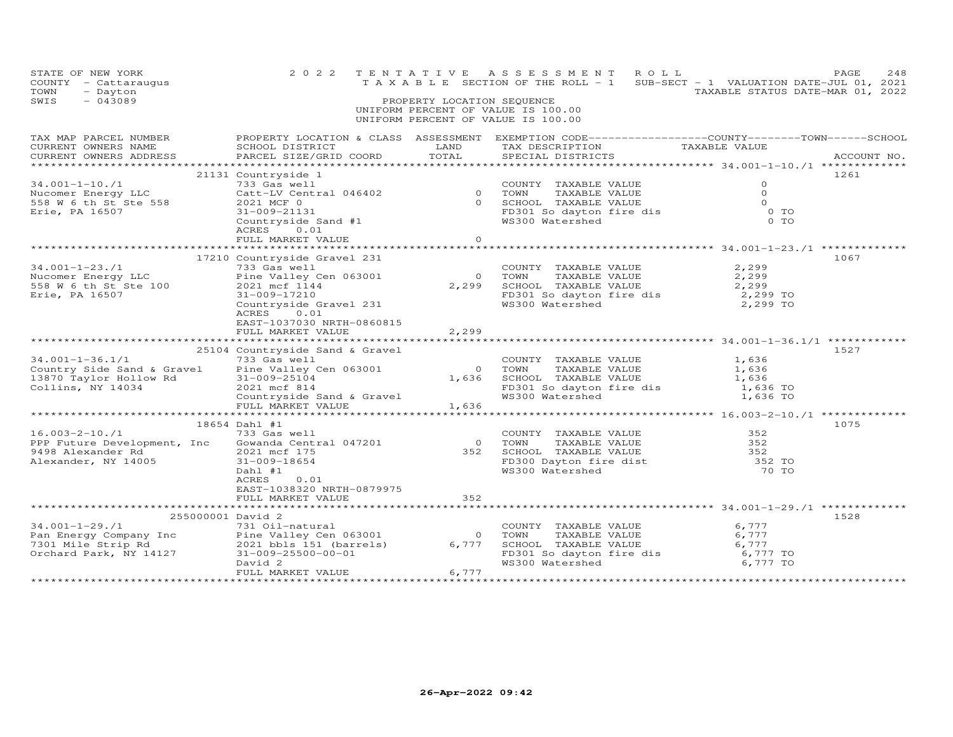| STATE OF NEW YORK<br>COUNTY - Cattaraugus<br>- Dayton<br>TOWN<br>$-043089$<br>SWIS                 | 2 0 2 2                                                                                                                                                                                           | PROPERTY LOCATION SEQUENCE       | TENTATIVE ASSESSMENT ROLL<br>UNIFORM PERCENT OF VALUE IS 100.00<br>UNIFORM PERCENT OF VALUE IS 100.00                                    | PAGE<br>248<br>T A X A B L E SECTION OF THE ROLL - 1 SUB-SECT - 1 VALUATION DATE-JUL 01, 2021<br>TAXABLE STATUS DATE-MAR 01, 2022 |
|----------------------------------------------------------------------------------------------------|---------------------------------------------------------------------------------------------------------------------------------------------------------------------------------------------------|----------------------------------|------------------------------------------------------------------------------------------------------------------------------------------|-----------------------------------------------------------------------------------------------------------------------------------|
| TAX MAP PARCEL NUMBER<br>CURRENT OWNERS NAME<br>CURRENT OWNERS ADDRESS                             | SCHOOL DISTRICT<br>PARCEL SIZE/GRID COORD                                                                                                                                                         | LAND<br>TOTAL                    | TAX DESCRIPTION TAXABLE VALUE<br>SPECIAL DISTRICTS                                                                                       | PROPERTY LOCATION & CLASS ASSESSMENT EXEMPTION CODE----------------COUNTY-------TOWN------SCHOOL<br>ACCOUNT NO.                   |
| $34.001 - 1 - 10./1$<br>Nucomer Energy LLC<br>558 W 6 th St Ste 558<br>Erie, PA 16507              | 21131 Countryside 1<br>733 Gas well<br>Catt-LV Central 046402<br>2021 MCF 0<br>31-009-21131<br>Countryside Sand #1<br>ACRES 0.01<br>FULL MARKET VALUE                                             | $\circ$                          | COUNTY TAXABLE VALUE<br>0 TOWN<br>TAXABLE VALUE<br>0 SCHOOL TAXABLE VALUE<br>FD301 So dayton fire dis<br>WS300 Watershed                 | 1261<br>$\circ$<br>$\Omega$<br>$\Omega$<br>0 TO<br>$0$ TO                                                                         |
| $34.001 - 1 - 23.71$<br>Nucomer Energy LLC<br>558 W 6 th St Ste 100<br>Erie, PA 16507              | 17210 Countryside Gravel 231<br>733 Gas well<br>Pine Valley Cen 063001<br>2021 mcf 1144<br>31-009-17210<br>Countryside Gravel 231<br>ACRES 0.01<br>EAST-1037030 NRTH-0860815<br>FULL MARKET VALUE | $\overline{0}$<br>2,299<br>2,299 | COUNTY TAXABLE VALUE<br>TAXABLE VALUE<br>TOWN<br>SCHOOL TAXABLE VALUE<br>FD301 So dayton fire dis = 2,299 TO<br>WS300 Watershed 2,299 TO | 1067<br>2,299<br>2,299<br>2,299                                                                                                   |
| $34.001 - 1 - 36.1/1$<br>Country Side Sand & Gravel<br>13870 Taylor Hollow Rd<br>Collins, NY 14034 | 25104 Countryside Sand & Gravel<br>733 Gas well<br>Pine Valley Cen 063001<br>31-009-25104<br>2021 mcf 814<br>Countryside Sand & Gravel<br>FULL MARKET VALUE                                       | 1,636                            | COUNTY TAXABLE VALUE<br>0 TOWN<br>TAXABLE VALUE<br>1,636 SCHOOL TAXABLE VALUE<br>FD301 So dayton fire dis<br>WS300 Watershed             | 1527<br>1,636<br>1,636<br>1,636<br>1,636 TO<br>1,636 TO                                                                           |
| $16.003 - 2 - 10./1$<br>PPP Future Development, Inc<br>9498 Alexander Rd<br>Alexander, NY 14005    | 18654 Dahl #1<br>733 Gas well<br>Gowanda Central 047201<br>2021 mcf 175<br>31-009-18654<br>Dahl #1<br>0.01<br>ACRES<br>EAST-1038320 NRTH-0879975<br>FULL MARKET VALUE                             | $\overline{0}$<br>352<br>352     | COUNTY TAXABLE VALUE<br>TOWN TAXABLE VALUE<br>TOWN TAXABLE VALUE 352<br>FD300 Dayton fire dist 352 TO<br>WS300 Watershed                 | 1075<br>352<br>70 TO                                                                                                              |
| 255000001 David 2                                                                                  | David 2<br>FULL MARKET VALUE                                                                                                                                                                      | 6,777                            | COUNTY TAXABLE VALUE<br>TOWN<br>TAXABLE VALUE<br>SCHOOL TAXABLE VALUE<br>FD301 So dayton fire dis<br>WS300 Watershed                     | 1528<br>6,777<br>6,777<br>6,777<br>6,777 TO<br>6,777 TO                                                                           |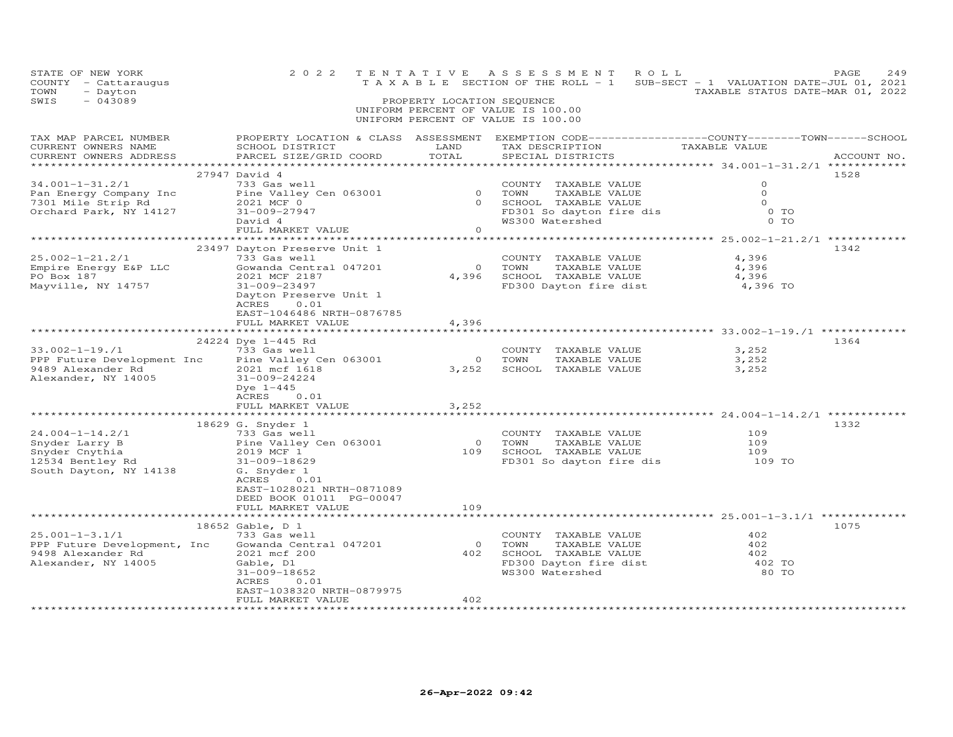| PROPERTY LOCATION & CLASS ASSESSMENT EXEMPTION CODE----------------COUNTY-------TOWN------SCHOOL<br>TAX MAP PARCEL NUMBER<br>TAX DESCRIPTION<br>CURRENT OWNERS NAME<br>SCHOOL DISTRICT<br>LAND<br>TAXABLE VALUE<br>TOTAL<br>SPECIAL DISTRICTS<br>CURRENT OWNERS ADDRESS<br>PARCEL SIZE/GRID COORD<br>27947 David 4<br>1528<br>$34.001 - 1 - 31.2/1$<br>733 Gas well<br>$\circ$<br>COUNTY TAXABLE VALUE<br>0 TOWN<br>Pine Valley Cen 063001<br>$\Omega$<br>TAXABLE VALUE<br>Pan Energy Company Inc<br>0 SCHOOL TAXABLE VALUE<br>$\Omega$<br>7301 Mile Strip Rd<br>2021 MCF 0<br>Orchard Park, NY 14127<br>FD301 So dayton fire dis<br>WS300 Watershed<br>$0$ TO<br>31-009-27947<br>0 TO<br>WS300 Watershed<br>David 4<br>$\circ$<br>FULL MARKET VALUE<br>23497 Dayton Preserve Unit 1<br>1342<br>$25.002 - 1 - 21.2/1$<br>733 Gas well<br>COUNTY TAXABLE VALUE<br>4,396<br>$\overline{0}$<br>4,396<br>Empire Energy E&P LLC<br>Gowanda Central 047201<br>TOWN<br>TAXABLE VALUE<br>PO Box 187<br>2021 MCF 2187<br>4,396<br>SCHOOL TAXABLE VALUE<br>4,396<br>FD300 Dayton fire dist 4,396 TO<br>Mayville, NY 14757<br>31-009-23497<br>Dayton Preserve Unit 1<br>ACRES<br>0.01<br>EAST-1046486 NRTH-0876785<br>FULL MARKET VALUE<br>4,396<br>24224 Dye 1-445 Rd<br>1364<br>$33.002 - 1 - 19.71$<br>733 Gas well<br>3.252<br>COUNTY TAXABLE VALUE<br>PPP Future Development Inc Pine Valley Cen 063001<br>0 TOWN<br>TAXABLE VALUE<br>3,252<br>3,252 SCHOOL TAXABLE VALUE<br>9489 Alexander Rd<br>2021 mcf 1618<br>3,252<br>Alexander, NY 14005<br>31-009-24224<br>Dye $1-445$<br>ACRES<br>0.01<br>3,252<br>FULL MARKET VALUE<br>18629 G. Snyder 1<br>1332<br>$24.004 - 1 - 14.2/1$<br>733 Gas well<br>COUNTY TAXABLE VALUE<br>109<br>Pine Valley Cen 063001<br>$\overline{0}$<br>109<br>Snyder Larry B<br>TOWN<br>TAXABLE VALUE<br>109<br>SCHOOL TAXABLE VALUE<br>Snyder Cnythia<br>2019 MCF 1<br>109<br>FD301 So dayton fire dis<br>12534 Bentley Rd<br>31-009-18629<br>109 TO<br>South Dayton, NY 14138<br>G. Snyder 1 | STATE OF NEW YORK<br>COUNTY - Cattaraugus<br>- Dayton<br>TOWN<br>$-043089$<br>SWIS | 2 0 2 2    | TENTATIVE<br>PROPERTY LOCATION SEQUENCE | ASSESSMENT<br>UNIFORM PERCENT OF VALUE IS 100.00<br>UNIFORM PERCENT OF VALUE IS 100.00 | ROLL<br>T A X A B L E SECTION OF THE ROLL - 1 SUB-SECT - 1 VALUATION DATE-JUL 01, 2021<br>TAXABLE STATUS DATE-MAR 01, 2022 | 249<br>PAGE |
|---------------------------------------------------------------------------------------------------------------------------------------------------------------------------------------------------------------------------------------------------------------------------------------------------------------------------------------------------------------------------------------------------------------------------------------------------------------------------------------------------------------------------------------------------------------------------------------------------------------------------------------------------------------------------------------------------------------------------------------------------------------------------------------------------------------------------------------------------------------------------------------------------------------------------------------------------------------------------------------------------------------------------------------------------------------------------------------------------------------------------------------------------------------------------------------------------------------------------------------------------------------------------------------------------------------------------------------------------------------------------------------------------------------------------------------------------------------------------------------------------------------------------------------------------------------------------------------------------------------------------------------------------------------------------------------------------------------------------------------------------------------------------------------------------------------------------------------------------------------------------------------------------------------------------------------------------------------------------------------------------------------------|------------------------------------------------------------------------------------|------------|-----------------------------------------|----------------------------------------------------------------------------------------|----------------------------------------------------------------------------------------------------------------------------|-------------|
|                                                                                                                                                                                                                                                                                                                                                                                                                                                                                                                                                                                                                                                                                                                                                                                                                                                                                                                                                                                                                                                                                                                                                                                                                                                                                                                                                                                                                                                                                                                                                                                                                                                                                                                                                                                                                                                                                                                                                                                                                     |                                                                                    |            |                                         |                                                                                        |                                                                                                                            | ACCOUNT NO. |
|                                                                                                                                                                                                                                                                                                                                                                                                                                                                                                                                                                                                                                                                                                                                                                                                                                                                                                                                                                                                                                                                                                                                                                                                                                                                                                                                                                                                                                                                                                                                                                                                                                                                                                                                                                                                                                                                                                                                                                                                                     |                                                                                    |            |                                         |                                                                                        |                                                                                                                            |             |
|                                                                                                                                                                                                                                                                                                                                                                                                                                                                                                                                                                                                                                                                                                                                                                                                                                                                                                                                                                                                                                                                                                                                                                                                                                                                                                                                                                                                                                                                                                                                                                                                                                                                                                                                                                                                                                                                                                                                                                                                                     |                                                                                    |            |                                         |                                                                                        |                                                                                                                            |             |
|                                                                                                                                                                                                                                                                                                                                                                                                                                                                                                                                                                                                                                                                                                                                                                                                                                                                                                                                                                                                                                                                                                                                                                                                                                                                                                                                                                                                                                                                                                                                                                                                                                                                                                                                                                                                                                                                                                                                                                                                                     |                                                                                    |            |                                         |                                                                                        |                                                                                                                            |             |
|                                                                                                                                                                                                                                                                                                                                                                                                                                                                                                                                                                                                                                                                                                                                                                                                                                                                                                                                                                                                                                                                                                                                                                                                                                                                                                                                                                                                                                                                                                                                                                                                                                                                                                                                                                                                                                                                                                                                                                                                                     |                                                                                    |            |                                         |                                                                                        |                                                                                                                            |             |
|                                                                                                                                                                                                                                                                                                                                                                                                                                                                                                                                                                                                                                                                                                                                                                                                                                                                                                                                                                                                                                                                                                                                                                                                                                                                                                                                                                                                                                                                                                                                                                                                                                                                                                                                                                                                                                                                                                                                                                                                                     |                                                                                    |            |                                         |                                                                                        |                                                                                                                            |             |
|                                                                                                                                                                                                                                                                                                                                                                                                                                                                                                                                                                                                                                                                                                                                                                                                                                                                                                                                                                                                                                                                                                                                                                                                                                                                                                                                                                                                                                                                                                                                                                                                                                                                                                                                                                                                                                                                                                                                                                                                                     |                                                                                    |            |                                         |                                                                                        |                                                                                                                            |             |
|                                                                                                                                                                                                                                                                                                                                                                                                                                                                                                                                                                                                                                                                                                                                                                                                                                                                                                                                                                                                                                                                                                                                                                                                                                                                                                                                                                                                                                                                                                                                                                                                                                                                                                                                                                                                                                                                                                                                                                                                                     |                                                                                    |            |                                         |                                                                                        |                                                                                                                            |             |
|                                                                                                                                                                                                                                                                                                                                                                                                                                                                                                                                                                                                                                                                                                                                                                                                                                                                                                                                                                                                                                                                                                                                                                                                                                                                                                                                                                                                                                                                                                                                                                                                                                                                                                                                                                                                                                                                                                                                                                                                                     |                                                                                    |            |                                         |                                                                                        |                                                                                                                            |             |
|                                                                                                                                                                                                                                                                                                                                                                                                                                                                                                                                                                                                                                                                                                                                                                                                                                                                                                                                                                                                                                                                                                                                                                                                                                                                                                                                                                                                                                                                                                                                                                                                                                                                                                                                                                                                                                                                                                                                                                                                                     |                                                                                    |            |                                         |                                                                                        |                                                                                                                            |             |
|                                                                                                                                                                                                                                                                                                                                                                                                                                                                                                                                                                                                                                                                                                                                                                                                                                                                                                                                                                                                                                                                                                                                                                                                                                                                                                                                                                                                                                                                                                                                                                                                                                                                                                                                                                                                                                                                                                                                                                                                                     |                                                                                    |            |                                         |                                                                                        |                                                                                                                            |             |
|                                                                                                                                                                                                                                                                                                                                                                                                                                                                                                                                                                                                                                                                                                                                                                                                                                                                                                                                                                                                                                                                                                                                                                                                                                                                                                                                                                                                                                                                                                                                                                                                                                                                                                                                                                                                                                                                                                                                                                                                                     |                                                                                    |            |                                         |                                                                                        |                                                                                                                            |             |
|                                                                                                                                                                                                                                                                                                                                                                                                                                                                                                                                                                                                                                                                                                                                                                                                                                                                                                                                                                                                                                                                                                                                                                                                                                                                                                                                                                                                                                                                                                                                                                                                                                                                                                                                                                                                                                                                                                                                                                                                                     |                                                                                    |            |                                         |                                                                                        |                                                                                                                            |             |
|                                                                                                                                                                                                                                                                                                                                                                                                                                                                                                                                                                                                                                                                                                                                                                                                                                                                                                                                                                                                                                                                                                                                                                                                                                                                                                                                                                                                                                                                                                                                                                                                                                                                                                                                                                                                                                                                                                                                                                                                                     |                                                                                    |            |                                         |                                                                                        |                                                                                                                            |             |
|                                                                                                                                                                                                                                                                                                                                                                                                                                                                                                                                                                                                                                                                                                                                                                                                                                                                                                                                                                                                                                                                                                                                                                                                                                                                                                                                                                                                                                                                                                                                                                                                                                                                                                                                                                                                                                                                                                                                                                                                                     |                                                                                    |            |                                         |                                                                                        |                                                                                                                            |             |
|                                                                                                                                                                                                                                                                                                                                                                                                                                                                                                                                                                                                                                                                                                                                                                                                                                                                                                                                                                                                                                                                                                                                                                                                                                                                                                                                                                                                                                                                                                                                                                                                                                                                                                                                                                                                                                                                                                                                                                                                                     |                                                                                    |            |                                         |                                                                                        |                                                                                                                            |             |
|                                                                                                                                                                                                                                                                                                                                                                                                                                                                                                                                                                                                                                                                                                                                                                                                                                                                                                                                                                                                                                                                                                                                                                                                                                                                                                                                                                                                                                                                                                                                                                                                                                                                                                                                                                                                                                                                                                                                                                                                                     |                                                                                    |            |                                         |                                                                                        |                                                                                                                            |             |
|                                                                                                                                                                                                                                                                                                                                                                                                                                                                                                                                                                                                                                                                                                                                                                                                                                                                                                                                                                                                                                                                                                                                                                                                                                                                                                                                                                                                                                                                                                                                                                                                                                                                                                                                                                                                                                                                                                                                                                                                                     |                                                                                    |            |                                         |                                                                                        |                                                                                                                            |             |
|                                                                                                                                                                                                                                                                                                                                                                                                                                                                                                                                                                                                                                                                                                                                                                                                                                                                                                                                                                                                                                                                                                                                                                                                                                                                                                                                                                                                                                                                                                                                                                                                                                                                                                                                                                                                                                                                                                                                                                                                                     |                                                                                    |            |                                         |                                                                                        |                                                                                                                            |             |
|                                                                                                                                                                                                                                                                                                                                                                                                                                                                                                                                                                                                                                                                                                                                                                                                                                                                                                                                                                                                                                                                                                                                                                                                                                                                                                                                                                                                                                                                                                                                                                                                                                                                                                                                                                                                                                                                                                                                                                                                                     |                                                                                    |            |                                         |                                                                                        |                                                                                                                            |             |
|                                                                                                                                                                                                                                                                                                                                                                                                                                                                                                                                                                                                                                                                                                                                                                                                                                                                                                                                                                                                                                                                                                                                                                                                                                                                                                                                                                                                                                                                                                                                                                                                                                                                                                                                                                                                                                                                                                                                                                                                                     |                                                                                    |            |                                         |                                                                                        |                                                                                                                            |             |
|                                                                                                                                                                                                                                                                                                                                                                                                                                                                                                                                                                                                                                                                                                                                                                                                                                                                                                                                                                                                                                                                                                                                                                                                                                                                                                                                                                                                                                                                                                                                                                                                                                                                                                                                                                                                                                                                                                                                                                                                                     |                                                                                    |            |                                         |                                                                                        |                                                                                                                            |             |
|                                                                                                                                                                                                                                                                                                                                                                                                                                                                                                                                                                                                                                                                                                                                                                                                                                                                                                                                                                                                                                                                                                                                                                                                                                                                                                                                                                                                                                                                                                                                                                                                                                                                                                                                                                                                                                                                                                                                                                                                                     |                                                                                    |            |                                         |                                                                                        |                                                                                                                            |             |
|                                                                                                                                                                                                                                                                                                                                                                                                                                                                                                                                                                                                                                                                                                                                                                                                                                                                                                                                                                                                                                                                                                                                                                                                                                                                                                                                                                                                                                                                                                                                                                                                                                                                                                                                                                                                                                                                                                                                                                                                                     |                                                                                    |            |                                         |                                                                                        |                                                                                                                            |             |
|                                                                                                                                                                                                                                                                                                                                                                                                                                                                                                                                                                                                                                                                                                                                                                                                                                                                                                                                                                                                                                                                                                                                                                                                                                                                                                                                                                                                                                                                                                                                                                                                                                                                                                                                                                                                                                                                                                                                                                                                                     |                                                                                    |            |                                         |                                                                                        |                                                                                                                            |             |
|                                                                                                                                                                                                                                                                                                                                                                                                                                                                                                                                                                                                                                                                                                                                                                                                                                                                                                                                                                                                                                                                                                                                                                                                                                                                                                                                                                                                                                                                                                                                                                                                                                                                                                                                                                                                                                                                                                                                                                                                                     |                                                                                    |            |                                         |                                                                                        |                                                                                                                            |             |
|                                                                                                                                                                                                                                                                                                                                                                                                                                                                                                                                                                                                                                                                                                                                                                                                                                                                                                                                                                                                                                                                                                                                                                                                                                                                                                                                                                                                                                                                                                                                                                                                                                                                                                                                                                                                                                                                                                                                                                                                                     |                                                                                    |            |                                         |                                                                                        |                                                                                                                            |             |
|                                                                                                                                                                                                                                                                                                                                                                                                                                                                                                                                                                                                                                                                                                                                                                                                                                                                                                                                                                                                                                                                                                                                                                                                                                                                                                                                                                                                                                                                                                                                                                                                                                                                                                                                                                                                                                                                                                                                                                                                                     |                                                                                    | ACRES 0.01 |                                         |                                                                                        |                                                                                                                            |             |
| EAST-1028021 NRTH-0871089                                                                                                                                                                                                                                                                                                                                                                                                                                                                                                                                                                                                                                                                                                                                                                                                                                                                                                                                                                                                                                                                                                                                                                                                                                                                                                                                                                                                                                                                                                                                                                                                                                                                                                                                                                                                                                                                                                                                                                                           |                                                                                    |            |                                         |                                                                                        |                                                                                                                            |             |
| DEED BOOK 01011 PG-00047                                                                                                                                                                                                                                                                                                                                                                                                                                                                                                                                                                                                                                                                                                                                                                                                                                                                                                                                                                                                                                                                                                                                                                                                                                                                                                                                                                                                                                                                                                                                                                                                                                                                                                                                                                                                                                                                                                                                                                                            |                                                                                    |            |                                         |                                                                                        |                                                                                                                            |             |
| 109<br>FULL MARKET VALUE                                                                                                                                                                                                                                                                                                                                                                                                                                                                                                                                                                                                                                                                                                                                                                                                                                                                                                                                                                                                                                                                                                                                                                                                                                                                                                                                                                                                                                                                                                                                                                                                                                                                                                                                                                                                                                                                                                                                                                                            |                                                                                    |            |                                         |                                                                                        |                                                                                                                            |             |
|                                                                                                                                                                                                                                                                                                                                                                                                                                                                                                                                                                                                                                                                                                                                                                                                                                                                                                                                                                                                                                                                                                                                                                                                                                                                                                                                                                                                                                                                                                                                                                                                                                                                                                                                                                                                                                                                                                                                                                                                                     |                                                                                    |            |                                         |                                                                                        |                                                                                                                            |             |
| 18652 Gable, D 1<br>1075                                                                                                                                                                                                                                                                                                                                                                                                                                                                                                                                                                                                                                                                                                                                                                                                                                                                                                                                                                                                                                                                                                                                                                                                                                                                                                                                                                                                                                                                                                                                                                                                                                                                                                                                                                                                                                                                                                                                                                                            |                                                                                    |            |                                         |                                                                                        |                                                                                                                            |             |
| $25.001 - 1 - 3.1/1$<br>733 Gas well<br>402<br>COUNTY TAXABLE VALUE<br>$\overline{0}$<br>402<br>Gowanda Central 047201<br>TOWN                                                                                                                                                                                                                                                                                                                                                                                                                                                                                                                                                                                                                                                                                                                                                                                                                                                                                                                                                                                                                                                                                                                                                                                                                                                                                                                                                                                                                                                                                                                                                                                                                                                                                                                                                                                                                                                                                      |                                                                                    |            |                                         |                                                                                        |                                                                                                                            |             |
| PPP Future Development, Inc<br>TAXABLE VALUE<br>SCHOOL TAXABLE VALUE<br>9498 Alexander Rd<br>2021 mcf 200<br>402<br>402                                                                                                                                                                                                                                                                                                                                                                                                                                                                                                                                                                                                                                                                                                                                                                                                                                                                                                                                                                                                                                                                                                                                                                                                                                                                                                                                                                                                                                                                                                                                                                                                                                                                                                                                                                                                                                                                                             |                                                                                    |            |                                         |                                                                                        |                                                                                                                            |             |
| Alexander, NY 14005<br>FD300 Dayton fire dist<br>402 TO<br>Gable, D1                                                                                                                                                                                                                                                                                                                                                                                                                                                                                                                                                                                                                                                                                                                                                                                                                                                                                                                                                                                                                                                                                                                                                                                                                                                                                                                                                                                                                                                                                                                                                                                                                                                                                                                                                                                                                                                                                                                                                |                                                                                    |            |                                         |                                                                                        |                                                                                                                            |             |
| WS300 Watershed<br>80 TO<br>31-009-18652                                                                                                                                                                                                                                                                                                                                                                                                                                                                                                                                                                                                                                                                                                                                                                                                                                                                                                                                                                                                                                                                                                                                                                                                                                                                                                                                                                                                                                                                                                                                                                                                                                                                                                                                                                                                                                                                                                                                                                            |                                                                                    |            |                                         |                                                                                        |                                                                                                                            |             |
| ACRES<br>0.01                                                                                                                                                                                                                                                                                                                                                                                                                                                                                                                                                                                                                                                                                                                                                                                                                                                                                                                                                                                                                                                                                                                                                                                                                                                                                                                                                                                                                                                                                                                                                                                                                                                                                                                                                                                                                                                                                                                                                                                                       |                                                                                    |            |                                         |                                                                                        |                                                                                                                            |             |
| EAST-1038320 NRTH-0879975                                                                                                                                                                                                                                                                                                                                                                                                                                                                                                                                                                                                                                                                                                                                                                                                                                                                                                                                                                                                                                                                                                                                                                                                                                                                                                                                                                                                                                                                                                                                                                                                                                                                                                                                                                                                                                                                                                                                                                                           |                                                                                    |            |                                         |                                                                                        |                                                                                                                            |             |
| 402<br>FULL MARKET VALUE                                                                                                                                                                                                                                                                                                                                                                                                                                                                                                                                                                                                                                                                                                                                                                                                                                                                                                                                                                                                                                                                                                                                                                                                                                                                                                                                                                                                                                                                                                                                                                                                                                                                                                                                                                                                                                                                                                                                                                                            |                                                                                    |            |                                         |                                                                                        |                                                                                                                            |             |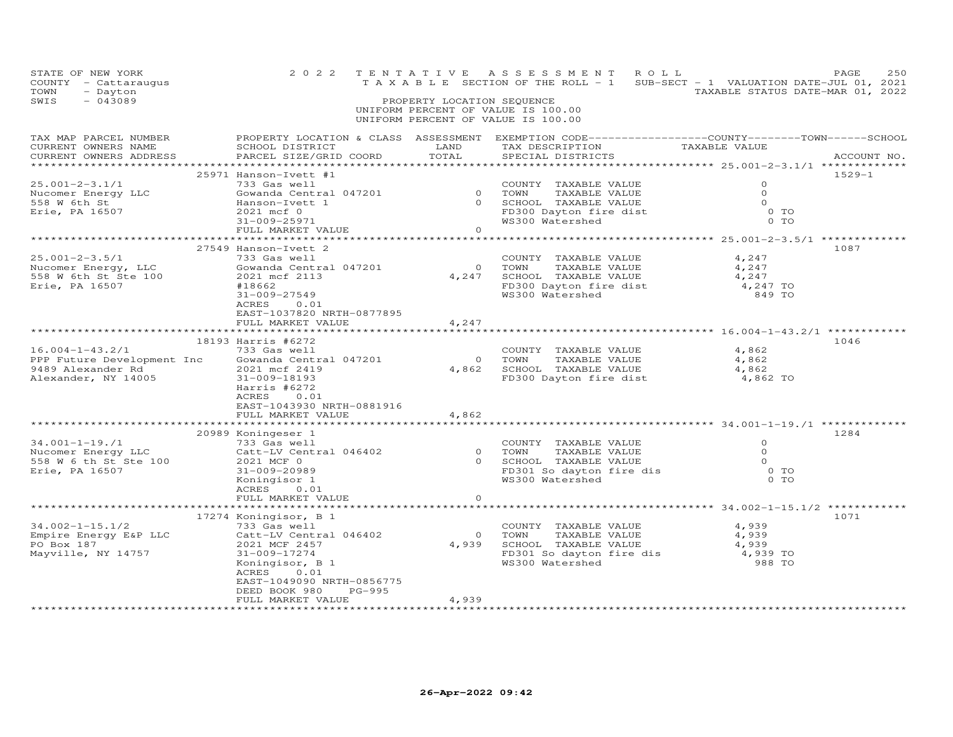| STATE OF NEW YORK<br>COUNTY - Cattaraugus<br>TOWN<br>- Dayton<br>SWIS<br>$-043089$              | 2 0 2 2<br>TENTATIVE                                                                                                                                                                                                                                         | PROPERTY LOCATION SEQUENCE                              | ASSESSMENT ROLL<br>UNIFORM PERCENT OF VALUE IS 100.00<br>UNIFORM PERCENT OF VALUE IS 100.00                          | T A X A B L E SECTION OF THE ROLL - 1 SUB-SECT - 1 VALUATION DATE-JUL 01, 2021<br>TAXABLE STATUS DATE-MAR 01, 2022 | 250<br>PAGE |
|-------------------------------------------------------------------------------------------------|--------------------------------------------------------------------------------------------------------------------------------------------------------------------------------------------------------------------------------------------------------------|---------------------------------------------------------|----------------------------------------------------------------------------------------------------------------------|--------------------------------------------------------------------------------------------------------------------|-------------|
| TAX MAP PARCEL NUMBER<br>CURRENT OWNERS NAME<br>CURRENT OWNERS ADDRESS                          | PROPERTY LOCATION & CLASS ASSESSMENT EXEMPTION CODE----------------COUNTY-------TOWN------SCHOOL<br>SCHOOL DISTRICT<br>PARCEL SIZE/GRID COORD                                                                                                                | LAND<br>TOTAL                                           | TAX DESCRIPTION TAXABLE VALUE<br>SPECIAL DISTRICTS<br>SPECIAL DISTRICTS                                              |                                                                                                                    | ACCOUNT NO. |
| $25.001 - 2 - 3.1/1$<br>Nucomer Energy LLC<br>558 W 6th St<br>Erie, PA 16507                    | 25971 Hanson-Ivett #1<br>733 Gas well<br>Gowanda Central 047201<br>Hanson-Ivett 1<br>2021 mcf 0<br>31-009-25971<br>FULL MARKET VALUE                                                                                                                         | $\Omega$<br>$\circ$                                     | COUNTY TAXABLE VALUE<br>0 TOWN<br>TAXABLE VALUE<br>SCHOOL TAXABLE VALUE<br>FD300 Dayton fire dist<br>WS300 Watershed | $\circ$<br>$\Omega$<br>$\Omega$<br>$0$ TO<br>0 TO                                                                  | $1529 - 1$  |
| $25.001 - 2 - 3.5/1$<br>Nucomer Energy, LLC<br>558 W 6th St Ste 100<br>Erie, PA 16507           | 27549 Hanson-Ivett 2<br>733 Gas well<br>Gowanda Central 047201<br>2021 mcf 2113<br>#18662<br>31-009-27549<br>ACRES<br>0.01<br>EAST-1037820 NRTH-0877895<br>FULL MARKET VALUE                                                                                 | $\bigcirc$<br>4,247<br>4,247                            | COUNTY TAXABLE VALUE<br>TOWN<br>TAXABLE VALUE<br>SCHOOL TAXABLE VALUE<br>FD300 Dayton fire dist<br>WS300 Watershed   | 4,247<br>4,247<br>4,247<br>4,247 TO<br>849 TO                                                                      | 1087        |
| $16.004 - 1 - 43.2/1$<br>PPP Future Development Inc<br>9489 Alexander Rd<br>Alexander, NY 14005 | 18193 Harris #6272<br>733 Gas well<br>Gowanda Central 047201<br>2021 mcf 2419<br>31-009-18193<br>Harris #6272<br>ACRES<br>0.01<br>EAST-1043930 NRTH-0881916<br>FULL MARKET VALUE                                                                             | $\overline{0}$<br>4,862<br>4,862                        | COUNTY TAXABLE VALUE<br>TOWN<br>TAXABLE VALUE<br>SCHOOL TAXABLE VALUE<br>FD300 Dayton fire dist                      | 4,862<br>4,862<br>4,862<br>4,862 TO                                                                                | 1046        |
| $34.001 - 1 - 19.71$<br>Nucomer Energy LLC<br>558 W 6 th St Ste 100<br>Erie, PA 16507           | ***************************<br>20989 Koningeser 1<br>733 Gas well<br>Catt-LV Central 046402<br>2021 MCF 0<br>31-009-20989<br>Koningisor 1<br>ACRES<br>0.01<br>FULL MARKET VALUE                                                                              | *************<br>$\overline{0}$<br>$\Omega$<br>$\Omega$ | COUNTY TAXABLE VALUE<br>TOWN<br>TAXABLE VALUE<br>SCHOOL TAXABLE VALUE<br>FD301 So dayton fire dis<br>WS300 Watershed | $\Omega$<br>$\circ$<br>$\Omega$<br>0 <sub>T</sub><br>$0$ TO                                                        | 1284        |
| $34.002 - 1 - 15.1/2$<br>Empire Energy E&P LLC<br>PO Box 187<br>Mayville, NY 14757              | 17274 Koningisor, B 1<br>733 Gas well<br>Catt-LV Central 046402<br>2021 MCF 2457<br>31-009-17274<br>Koningisor, B 1<br>ACRES<br>0.01<br>EAST-1049090 NRTH-0856775<br>PG-995<br>DEED BOOK 980<br>FULL MARKET VALUE<br>* * * * * * * * * * * * * * * * * * * * | $\overline{0}$<br>4,939<br>4,939<br>***********         | COUNTY TAXABLE VALUE<br>TOWN<br>TAXABLE VALUE<br>SCHOOL TAXABLE VALUE<br>WS300 Watershed                             | ************** 34.002-1-15.1/2 ********<br>4,939<br>4,939<br>4,939<br>FD301 So dayton fire dis 4,939 TO<br>988 TO  | 1071        |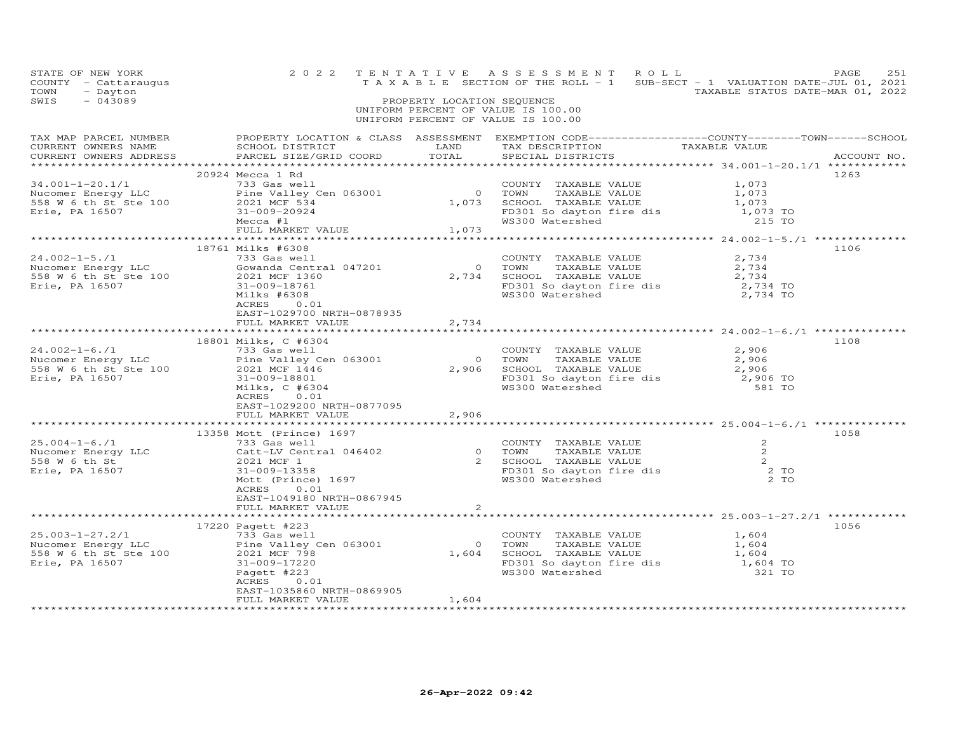| STATE OF NEW YORK<br>COUNTY - Cattaraugus<br>TOWN<br>- Dayton<br>$-043089$<br>SWIS                                                                                                                                                                                                                                                   |                                                                                          |                                   | PROPERTY LOCATION SEQUENCE<br>UNIFORM PERCENT OF VALUE IS 100.00<br>UNIFORM PERCENT OF VALUE IS 100.00 | 2022 TENTATIVE ASSESSMENT ROLL<br>TAXABLE SECTION OF THE ROLL - 1 SUB-SECT - 1 VALUATION DATE-JUL 01, 2021<br>TAXABLE STATUS DATE-MAR 01, 2022                | PAGE<br>251 |
|--------------------------------------------------------------------------------------------------------------------------------------------------------------------------------------------------------------------------------------------------------------------------------------------------------------------------------------|------------------------------------------------------------------------------------------|-----------------------------------|--------------------------------------------------------------------------------------------------------|---------------------------------------------------------------------------------------------------------------------------------------------------------------|-------------|
| CURRENT OWNERS ADDRESS                                                                                                                                                                                                                                                                                                               |                                                                                          |                                   |                                                                                                        |                                                                                                                                                               |             |
| 34.001-1-20.1/1<br>Nucomer Energy LLC<br>TON TAXABLE VALUE<br>TON TAXABLE VALUE<br>TON TAXABLE VALUE<br>TON TAXABLE VALUE<br>TON TAXABLE VALUE<br>2021 MCF 534<br>Erie, PA 16507<br>Mecca #1<br>MECCA TAXABLE VALUE<br>21,073<br>TON TAXABLE VALUE<br>2                                                                              | 20924 Mecca 1 Rd<br>FULL MARKET VALUE 1,073                                              |                                   |                                                                                                        |                                                                                                                                                               | 1263        |
| 24.002-1-5./1<br>Nucomer Energy LLC 558 W 6 th St Ste 100<br>Erie, PA 16507<br>Erie, PA 16507<br>COUNTY TAXABLE VALUE<br>SSE W 6 th St Ste 100<br>COUNTY TAXABLE VALUE<br>SSE W 6 th St Ste 100<br>S1-009-18761<br>Milks #6308<br>ACRES 0.01<br>RES                                                                                  | 18761 Milks #6308<br>EAST-1029700 NRTH-0878935<br>FULL MARKET VALUE                      | 2,734                             |                                                                                                        | COUNTY TAXABLE VALUE 2,734<br>0 TOWN TAXABLE VALUE 2,734<br>2,734 SCHOOL TAXABLE VALUE 2,734<br>FD301 So dayton fire dis 2,734 TO<br>WS300 Watershed 2,734 TO | 1106        |
| $\begin{array}{lllllllllllllll} 24.002-1-6./1 & 733 Gas well & 24.002-1-6./1 & 733 Gas well & 2,906Nucomer Energy LLC & 2021 MCF 1446 & 2,906 SCHOOL TAXABLE VALUE & 2,906558 W 6 th St Ste 100 & 2021 MCF 1446 & 2,906 SCHOOL TAXABLE VALUE & 2,906Eric, PA 16507 & 31-009-18801 & 2,1008Milks, C #6304 & 304Milks, C #6304 & 31-0$ | 18801 Milks, C #6304<br>ACRES<br>0.01<br>EAST-1029200 NRTH-0877095<br>FULL MARKET VALUE  | 2,906                             |                                                                                                        |                                                                                                                                                               | 1108        |
| 13358 Mott (FINCE) 1997<br>13358 Mott (Prince) 1997<br>Nucomer Energy LLC Cattral 046402 0 TOWN TAXABLE VALUE 2<br>558 W 6 th St 2 2021 MCF 1<br>Erie, PA 16507 31-009-13358 Mott (Prince) 1697 MS300 Watershed 2 TO<br>2 TO<br>Mott (Prin                                                                                           | 13358 Mott (Prince) 1697<br>ACRES 0.01<br>EAST-1049180 NRTH-0867945<br>FULL MARKET VALUE | ***************<br>$\overline{2}$ |                                                                                                        |                                                                                                                                                               | 1058        |
| 17220 Pagett #223<br>25.003-1-27.2/1<br>Nucomer Energy LLC<br>558 W 6 th St Ste 100<br>Frie, PA 16507<br>2021 Magett #223<br>2021 Magett #223<br>2021 Magett #223<br>2021 Magett #223                                                                                                                                                | EAST-1035860 NRTH-0869905<br>FULL MARKET VALUE                                           | 1,604                             |                                                                                                        | COUNTY TAXABLE VALUE 1,604<br>0 TOWN TAXABLE VALUE 1,604<br>1,604 SCHOOL TAXABLE VALUE 1,604<br>FD301 So dayton fire dis 1,604 TO<br>WS300 Watershed 321 TO   | 1056        |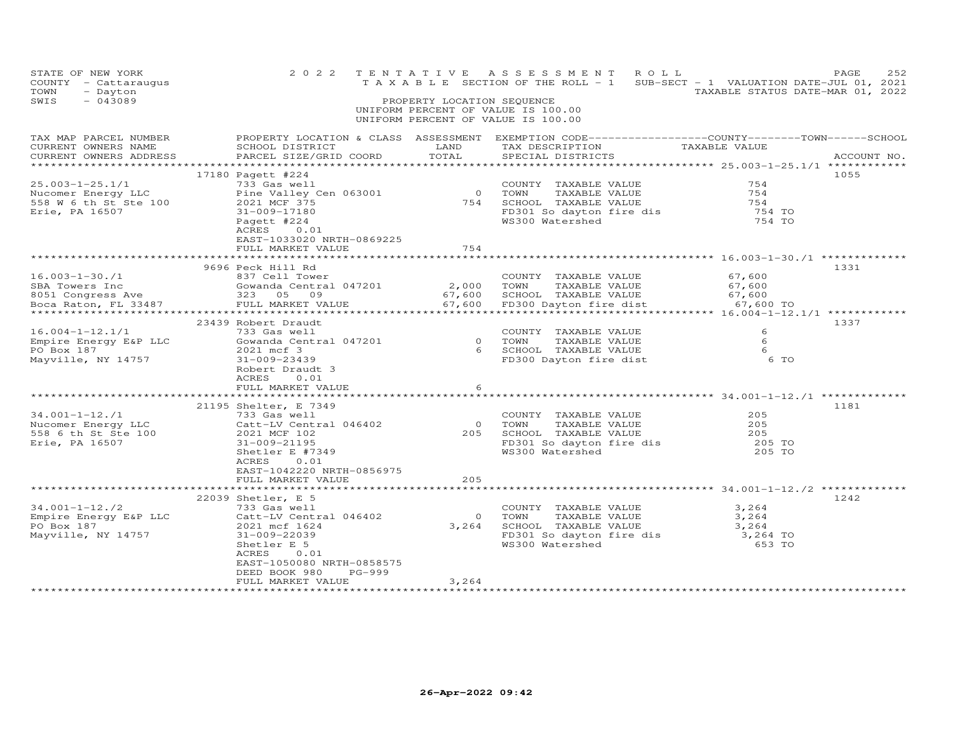| STATE OF NEW YORK<br>COUNTY - Cattaraugus<br>TOWN<br>- Dayton<br>SWIS<br>$-043089$ | 2 0 2 2                                                                                                                                                                                                                          | PROPERTY LOCATION SEQUENCE | TENTATIVE ASSESSMENT ROLL<br>T A X A B L E SECTION OF THE ROLL - 1 SUB-SECT - 1 VALUATION DATE-JUL 01, 2021<br>UNIFORM PERCENT OF VALUE IS 100.00<br>UNIFORM PERCENT OF VALUE IS 100.00 | TAXABLE STATUS DATE-MAR 01, 2022          | 252<br>PAGE |
|------------------------------------------------------------------------------------|----------------------------------------------------------------------------------------------------------------------------------------------------------------------------------------------------------------------------------|----------------------------|-----------------------------------------------------------------------------------------------------------------------------------------------------------------------------------------|-------------------------------------------|-------------|
| TAX MAP PARCEL NUMBER<br>CURRENT OWNERS NAME<br>CURRENT OWNERS ADDRESS             | PARCEL SIZE/GRID COORD                                                                                                                                                                                                           | TOTAL                      | PROPERTY LOCATION & CLASS ASSESSMENT EXEMPTION CODE-----------------COUNTY--------TOWN------SCHOOL<br>SCHOOL DISTRICT LAND TAX DESCRIPTION TAXABLE VALUE<br>SPECIAL DISTRICTS           |                                           | ACCOUNT NO. |
| $25.003 - 1 - 25.1/1$<br>Erie, PA 16507                                            | 17180 Pagett #224<br>733 Gas well<br>31-009-17180<br>Pagett #224<br>ACRES<br>0.01<br>EAST-1033020 NRTH-0869225                                                                                                                   | 754                        | COUNTY TAXABLE VALUE<br>0 COUNTI TAAABLE VALUE<br>0 TOWN TAXABLE VALUE<br>754 SCHOOL TAXABLE VALUE<br>FD301 So dayton fire dis<br>WS300 Watershed<br>WS300 Watershed                    | 754<br>754<br>754<br>754 TO<br>754 TO     | 1055        |
|                                                                                    | FULL MARKET VALUE                                                                                                                                                                                                                | **********                 |                                                                                                                                                                                         | ***************** 16.003-1-30./1 ******** |             |
|                                                                                    | 9696 Peck Hill Rd                                                                                                                                                                                                                |                            | COUNTY TAXABLE VALUE                                                                                                                                                                    | 67,600                                    | 1331        |
|                                                                                    |                                                                                                                                                                                                                                  |                            |                                                                                                                                                                                         |                                           |             |
| $16.004-1-12.1/1$<br>Empire Energy E&P LLC<br>PO Box 187<br>Mayville, NY 14757     | 23439 Robert Draudt<br>733 Gas well<br>Gowanda Central 047201 (COUNT TAXABLE VALUE 2021 mcf 3 (CHOOL TAXABLE VALUE 2021 mcf 3 (CHOOL TAXABLE VALUE 41-1<br>31-009-23439<br>Robert Draudt 3<br>ACRES<br>0.01<br>FULL MARKET VALUE | 6                          | COUNTY TAXABLE VALUE<br>FD300 Dayton fire dist                                                                                                                                          | 6<br>- 6<br>- 6<br>6 TO                   | 1337        |
|                                                                                    |                                                                                                                                                                                                                                  |                            |                                                                                                                                                                                         |                                           |             |
| $34.001 - 1 - 12.1$<br>Nucomer Energy LLC<br>558 6 th St Ste 100<br>Erie, PA 16507 | 21195 Shelter, E 7349<br>733 Gas well<br>Catt-LV Central 046402<br>2021 MCF 102<br>31-009-21195<br>Shetler E #7349<br>ACRES<br>0.01                                                                                              |                            | COUNTY TAXABLE VALUE<br>0 TOWN TAXABLE VALUE<br>205 SCHOOL TAXABLE VALUE<br>FD301 So dayton fire dis<br>WS300 Watershed                                                                 | 205<br>205<br>205<br>205 TO<br>205 TO     | 1181        |
|                                                                                    | EAST-1042220 NRTH-0856975<br>FULL MARKET VALUE                                                                                                                                                                                   | 205                        |                                                                                                                                                                                         |                                           |             |
|                                                                                    |                                                                                                                                                                                                                                  |                            |                                                                                                                                                                                         |                                           |             |
| $34.001 - 1 - 12.72$<br>Empire Energy E&P LLC<br>PO Box 187<br>Mayville, NY 14757  | 22039 Shetler, E 5<br>733 Gas well<br>Catt-LV Central 046402<br>2021 mcf 1624<br>$31 - 009 - 22039$<br>Shetler E 5<br>ACRES<br>0.01<br>EAST-1050080 NRTH-0858575<br>DEED BOOK 980<br>PG-999<br>FULL MARKET VALUE                 | $\overline{O}$<br>3,264    | COUNTY TAXABLE VALUE<br>TOWN<br>TAXABLE VALUE<br>3,264 SCHOOL TAXABLE VALUE<br>TAXABLE VALUE 3,264 FD301 So dayton fire dis 3,264 TO<br>WS300 Watershed 653 TO                          | 3,264<br>3,264                            | 1242        |
|                                                                                    |                                                                                                                                                                                                                                  |                            |                                                                                                                                                                                         |                                           |             |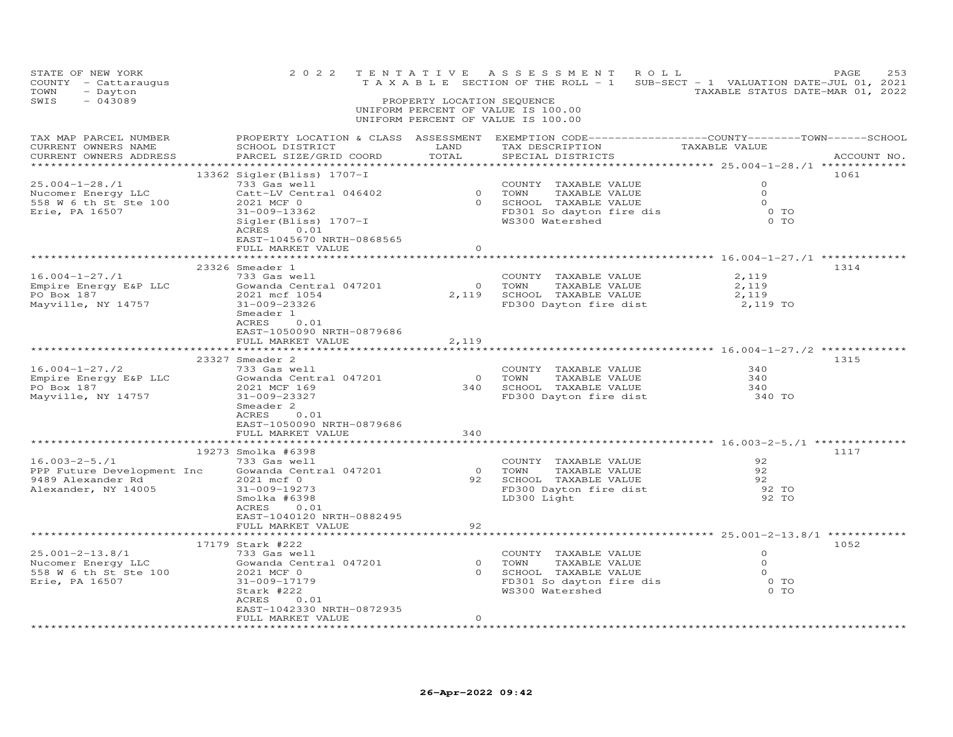| STATE OF NEW YORK<br>COUNTY - Cattaraugus<br>TOWN<br>- Dayton<br>$-043089$<br>SWIS                  | 2 0 2 2                                                                                                                                                                                                             | TENTATIVE<br>PROPERTY LOCATION SEQUENCE         | ASSESSMENT ROLL<br>T A X A B L E SECTION OF THE ROLL - 1 SUB-SECT - 1 VALUATION DATE-JUL 01, 2021                                                                                                                                                      | TAXABLE STATUS DATE-MAR 01, 2022                             | 253<br>PAGE |
|-----------------------------------------------------------------------------------------------------|---------------------------------------------------------------------------------------------------------------------------------------------------------------------------------------------------------------------|-------------------------------------------------|--------------------------------------------------------------------------------------------------------------------------------------------------------------------------------------------------------------------------------------------------------|--------------------------------------------------------------|-------------|
|                                                                                                     |                                                                                                                                                                                                                     |                                                 | UNIFORM PERCENT OF VALUE IS 100.00<br>UNIFORM PERCENT OF VALUE IS 100.00                                                                                                                                                                               |                                                              |             |
| TAX MAP PARCEL NUMBER<br>CURRENT OWNERS NAME<br>CURRENT OWNERS ADDRESS                              | SCHOOL DISTRICT<br>PARCEL SIZE/GRID COORD                                                                                                                                                                           | LAND<br>TOTAL                                   | PROPERTY LOCATION & CLASS ASSESSMENT EXEMPTION CODE-----------------COUNTY-------TOWN------SCHOOL<br>TAX DESCRIPTION TAXABLE VALUE<br>SPECIAL DISTRICTS TAXABLE VALUE                                                                                  |                                                              | ACCOUNT NO. |
| 25.004-1-28./1<br>Nucomer Energy LLC<br>558 W 6 th St Ste 100<br>Erie, PA 16507                     | 13362 Sigler(Bliss) 1707-I<br>733 Gas well<br>ACRES 0.01<br>EAST-1045670 NRTH-0868565<br>FULL MARKET VALUE                                                                                                          | $\Omega$                                        | 93 GOUNTY TAXABLE VALUE<br>733 Gas well<br>733 Gas well by COUNTY TAXABLE VALUE<br>2021 MCF 0<br>31-009-13362<br>Sigler(Bliss) 1707-I (WS300 Watershed (D) TO<br>2021 MCF 0<br>2021 MCF 0<br>2021 MCF 0<br>2021 MCF 0<br>2021 MCF 0<br>2021 MCF 0<br>2 |                                                              | 1061        |
|                                                                                                     | Smeader 1<br>ACRES<br>0.01<br>EAST-1050090 NRTH-0879686                                                                                                                                                             |                                                 | COUNTY TAXABLE VALUE<br>COWN TAXABLE VALUE<br>2,119 SCHOOL TAXABLE VALUE<br>FD300 Dayton fire dist                                                                                                                                                     | 2,119<br>$\frac{2,119}{2,119}$<br>2,119 TO                   | 1314        |
|                                                                                                     | FULL MARKET VALUE<br>ACRES<br>0.01<br>EAST-1050090 NRTH-0879686<br>FULL MARKET VALUE                                                                                                                                | 2,119<br>340                                    | COUNTY TAXABLE VALUE<br>0 TOWN TAXABLE VALUE<br>340 SCHOOL TAXABLE VALUE                                                                                                                                                                               | 340<br>$340$<br>$340$                                        | 1315        |
| $16.003 - 2 - 5.71$<br>PPP Future Development Inc<br>9489 Alexander Rd<br>Alexander, NY 14005       | *********************<br>19273 Smolka #6398<br>733 Gas well<br>733 Gds weii<br>Gowanda Central 047201<br>2021 mcf 0<br>31-009-19273<br>Smolka #6398<br>ACRES 0.01<br>EAST-1040120 NRTH-0882495<br>FULL MARKET VALUE | * * * * * * * * * *<br>92                       | COUNTY TAXABLE VALUE<br>0 TOWN TAXABLE VALUE<br>92 SCHOOL TAXABLE VALUE<br>FD300 Dayton fire dist<br>- 200 Light                                                                                                                                       | 92<br>92<br>92<br>92 TO<br>92 TO                             | 1117        |
| 25.001-2-13.8/1<br>25.001-2-13.8/1<br>Nucomer Energy LLC<br>558 W 6 th St Ste 100<br>Erie, PA 16507 | 17179 Stark #222<br>733 Gas well<br>Gowanda Central 047201<br>2021 MCF 0<br>31-009-17179<br>Stark #222<br>ACRES<br>0.01<br>EAST-1042330 NRTH-0872935<br>FULL MARKET VALUE                                           | $\begin{matrix} 0 \\ 0 \end{matrix}$<br>$\circ$ | COUNTY TAXABLE VALUE<br>0 TOWN TAXABLE VALUE<br>0 SCHOOL TAXABLE VALUE<br>FD301 So dayton fire dis<br>WS300 Watershed<br>WS300 Watershed                                                                                                               | $\Omega$<br>$\overline{0}$<br>$\overline{O}$<br>0 TO<br>0 TO | 1052        |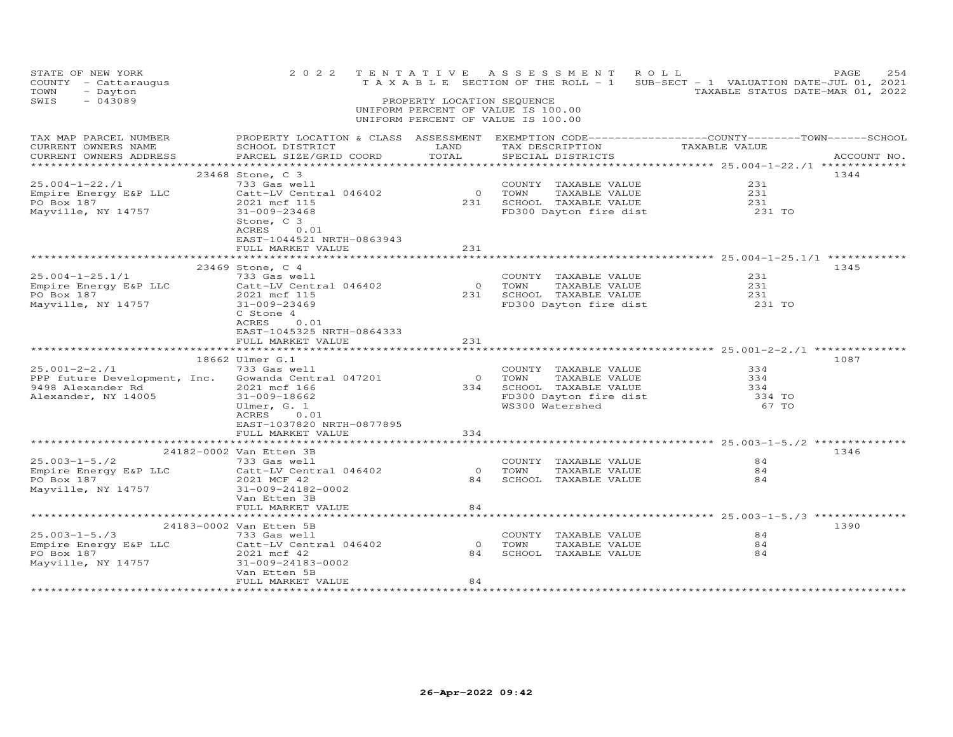| STATE OF NEW YORK<br>COUNTY - Cattaraugus<br>TOWN<br>- Dayton<br>SWIS<br>$-043089$                        | 2 0 2 2                                                                                                                                                                                                                                   | PROPERTY LOCATION SEQUENCE   | TENTATIVE ASSESSMENT ROLL<br>UNIFORM PERCENT OF VALUE IS 100.00<br>UNIFORM PERCENT OF VALUE IS 100.00                   | T A X A B L E SECTION OF THE ROLL - 1 SUB-SECT - 1 VALUATION DATE-JUL 01, 2021<br>TAXABLE STATUS DATE-MAR 01, 2022                                                                    | PAGE<br>254  |
|-----------------------------------------------------------------------------------------------------------|-------------------------------------------------------------------------------------------------------------------------------------------------------------------------------------------------------------------------------------------|------------------------------|-------------------------------------------------------------------------------------------------------------------------|---------------------------------------------------------------------------------------------------------------------------------------------------------------------------------------|--------------|
| TAX MAP PARCEL NUMBER<br>CURRENT OWNERS NAME<br>CURRENT OWNERS ADDRESS                                    | SCHOOL DISTRICT<br>PARCEL SIZE/GRID COORD                                                                                                                                                                                                 | LAND<br>TOTAL                | SPECIAL DISTRICTS                                                                                                       | PROPERTY LOCATION & CLASS ASSESSMENT EXEMPTION CODE----------------COUNTY-------TOWN------SCHOOL<br>TAX DESCRIPTION TAXABLE VALUE<br>****************** 25.004-1-22./1 ************** | ACCOUNT NO.  |
| $25.004 - 1 - 22.71$<br>Empire Energy E&P LLC<br>PO Box 187<br>Mayville, NY 14757                         | 23468 Stone, C 3<br>733 Gas well<br>Catt-LV Central 046402<br>2021 mcf 115<br>31-009-23468<br>Stone, C 3<br>ACRES<br>0.01<br>EAST-1044521 NRTH-0863943                                                                                    | $\overline{0}$               | COUNTY TAXABLE VALUE<br>TOWN<br>TAXABLE VALUE<br>231 SCHOOL TAXABLE VALUE<br>FD300 Dayton fire dist                     | 231<br>231<br>231<br>231 TO                                                                                                                                                           | 1344         |
|                                                                                                           | FULL MARKET VALUE                                                                                                                                                                                                                         | 231                          |                                                                                                                         |                                                                                                                                                                                       |              |
| $25.004 - 1 - 25.1/1$<br>Empire Energy E&P LLC<br>PO Box 187<br>Mayville, NY 14757<br>$25.001 - 2 - 2.71$ | 23469 Stone, C 4<br>733 Gas well<br>Catt-LV Central 046402<br>2021 mcf 115<br>31-009-23469<br>C Stone 4<br>ACRES<br>0.01<br>EAST-1045325 NRTH-0864333<br>FULL MARKET VALUE<br>************************<br>18662 Ulmer G.1<br>733 Gas well | $\overline{0}$<br>231<br>231 | COUNTY TAXABLE VALUE<br>TAXABLE VALUE<br>TOWN<br>SCHOOL TAXABLE VALUE<br>FD300 Dayton fire dist<br>COUNTY TAXABLE VALUE | 231<br>231<br>231<br>231 TO<br>334                                                                                                                                                    | 1345<br>1087 |
| PPP future Development, Inc. Gowanda Central 047201<br>9498 Alexander Rd<br>Alexander, NY 14005           | 2021 mcf 166<br>31-009-18662<br>Ulmer, G. 1<br>ACRES<br>0.01<br>EAST-1037820 NRTH-0877895<br>FULL MARKET VALUE                                                                                                                            | 0 TOWN<br>334                | TAXABLE VALUE<br>334 SCHOOL TAXABLE VALUE<br>FD300 Dayton fire dist<br>WS300 Watershed                                  | 334<br>334<br>334 TO<br>67 TO                                                                                                                                                         |              |
|                                                                                                           |                                                                                                                                                                                                                                           |                              |                                                                                                                         |                                                                                                                                                                                       |              |
| $25.003 - 1 - 5.72$<br>Empire Energy E&P LLC<br>PO Box 187<br>Mayville, NY 14757                          | 24182-0002 Van Etten 3B<br>733 Gas well<br>Catt-LV Central 046402<br>2021 MCF 42<br>31-009-24182-0002<br>Van Etten 3B                                                                                                                     | $\overline{O}$<br>84         | COUNTY TAXABLE VALUE<br>TOWN<br>TAXABLE VALUE<br>SCHOOL TAXABLE VALUE                                                   | 84<br>84<br>84                                                                                                                                                                        | 1346         |
|                                                                                                           | FULL MARKET VALUE                                                                                                                                                                                                                         | 84                           |                                                                                                                         |                                                                                                                                                                                       |              |
| $25.003 - 1 - 5.73$<br>Empire Energy E&P LLC<br>PO Box 187<br>Mayville, NY 14757                          | 24183-0002 Van Etten 5B<br>733 Gas well<br>Catt-LV Central 046402<br>2021 mcf 42<br>31-009-24183-0002<br>Van Etten 5B                                                                                                                     | $\overline{0}$<br>84         | COUNTY TAXABLE VALUE<br>TOWN<br>TAXABLE VALUE<br>SCHOOL TAXABLE VALUE                                                   | 84<br>84<br>84                                                                                                                                                                        | 1390         |
|                                                                                                           | FULL MARKET VALUE                                                                                                                                                                                                                         | 84                           |                                                                                                                         |                                                                                                                                                                                       |              |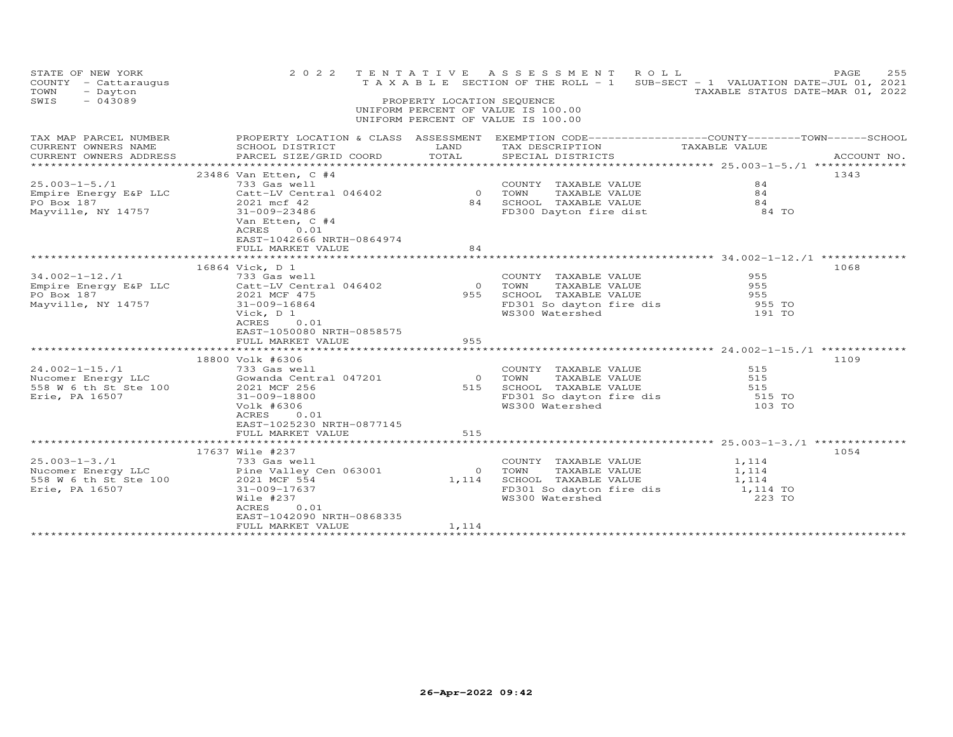| STATE OF NEW YORK<br>COUNTY - Cattaraugus<br>TOWN<br>- Dayton<br>SWIS<br>$-043089$ | 2 0 2 2                                                                                          | PROPERTY LOCATION SEQUENCE | TENTATIVE ASSESSMENT<br>ROLL<br>T A X A B L E SECTION OF THE ROLL - 1 SUB-SECT - 1 VALUATION DATE-JUL 01, 2021<br>UNIFORM PERCENT OF VALUE IS 100.00<br>UNIFORM PERCENT OF VALUE IS 100.00 | TAXABLE STATUS DATE-MAR 01, 2022 | 255<br>PAGE |
|------------------------------------------------------------------------------------|--------------------------------------------------------------------------------------------------|----------------------------|--------------------------------------------------------------------------------------------------------------------------------------------------------------------------------------------|----------------------------------|-------------|
| TAX MAP PARCEL NUMBER                                                              | PROPERTY LOCATION & CLASS ASSESSMENT EXEMPTION CODE----------------COUNTY-------TOWN------SCHOOL |                            |                                                                                                                                                                                            |                                  |             |
| CURRENT OWNERS NAME                                                                | SCHOOL DISTRICT                                                                                  | LAND                       | TAX DESCRIPTION TAXABLE VALUE                                                                                                                                                              |                                  |             |
| CURRENT OWNERS ADDRESS                                                             | PARCEL SIZE/GRID COORD                                                                           | TOTAL                      | SPECIAL DISTRICTS                                                                                                                                                                          |                                  | ACCOUNT NO. |
|                                                                                    | 23486 Van Etten, C #4                                                                            |                            |                                                                                                                                                                                            |                                  | 1343        |
| $25.003 - 1 - 5.71$                                                                | 733 Gas well                                                                                     |                            | COUNTY TAXABLE VALUE                                                                                                                                                                       | 84                               |             |
| Empire Energy E&P LLC                                                              | Catt-LV Central 046402                                                                           | 0 TOWN                     | TAXABLE VALUE                                                                                                                                                                              | 84                               |             |
| PO Box 187                                                                         | 2021 mcf 42                                                                                      | 84                         | SCHOOL TAXABLE VALUE                                                                                                                                                                       | 84                               |             |
| Mayville, NY 14757                                                                 | 31-009-23486                                                                                     |                            | FD300 Dayton fire dist 84 TO                                                                                                                                                               |                                  |             |
|                                                                                    | Van Etten, C #4                                                                                  |                            |                                                                                                                                                                                            |                                  |             |
|                                                                                    | 0.01<br>ACRES                                                                                    |                            |                                                                                                                                                                                            |                                  |             |
|                                                                                    | EAST-1042666 NRTH-0864974<br>FULL MARKET VALUE                                                   | 84                         |                                                                                                                                                                                            |                                  |             |
|                                                                                    |                                                                                                  |                            |                                                                                                                                                                                            |                                  |             |
|                                                                                    | 16864 Vick, D 1                                                                                  |                            |                                                                                                                                                                                            |                                  | 1068        |
| $34.002 - 1 - 12$ ./1                                                              | 733 Gas well                                                                                     |                            | COUNTY TAXABLE VALUE                                                                                                                                                                       | 955                              |             |
| Empire Energy E&P LLC                                                              | Catt-LV Central 046402                                                                           | $\circ$                    |                                                                                                                                                                                            | 955                              |             |
| PO Box 187                                                                         | 2021 MCF 475                                                                                     | 955                        | TAXABLE VALUE<br>SCHOOL TAXABLE VALUE<br>ED201 OL L                                                                                                                                        | 955                              |             |
| Mayville, NY 14757                                                                 | 31-009-16864                                                                                     |                            | FD301 So dayton fire dis                                                                                                                                                                   | 955 TO                           |             |
|                                                                                    | Vick, D 1                                                                                        |                            | WS300 Watershed                                                                                                                                                                            | 191 TO                           |             |
|                                                                                    | ACRES<br>0.01                                                                                    |                            |                                                                                                                                                                                            |                                  |             |
|                                                                                    | EAST-1050080 NRTH-0858575                                                                        |                            |                                                                                                                                                                                            |                                  |             |
|                                                                                    | FULL MARKET VALUE                                                                                | 955                        |                                                                                                                                                                                            |                                  |             |
|                                                                                    | 18800 Volk #6306                                                                                 |                            |                                                                                                                                                                                            |                                  | 1109        |
| $24.002 - 1 - 15.71$                                                               | 733 Gas well                                                                                     |                            | COUNTY TAXABLE VALUE                                                                                                                                                                       | 515                              |             |
| Nucomer Energy LLC                                                                 | Gowanda Central 047201                                                                           | $\overline{0}$             | TOWN<br>TAXABLE VALUE                                                                                                                                                                      | 515                              |             |
| 558 W 6 th St Ste 100                                                              | 2021 MCF 256                                                                                     |                            | 515 SCHOOL TAXABLE VALUE                                                                                                                                                                   | 515                              |             |
| Erie, PA 16507                                                                     | 31-009-18800                                                                                     |                            | IONN - INNEBLE VALUE<br>FD301 So dayton fire dis                                                                                                                                           | 515 TO                           |             |
|                                                                                    | Volk #6306                                                                                       |                            | WS300 Watershed                                                                                                                                                                            | 103 TO                           |             |
|                                                                                    | ACRES<br>0.01                                                                                    |                            |                                                                                                                                                                                            |                                  |             |
|                                                                                    | EAST-1025230 NRTH-0877145                                                                        |                            |                                                                                                                                                                                            |                                  |             |
|                                                                                    | FULL MARKET VALUE                                                                                | 515                        |                                                                                                                                                                                            |                                  |             |
|                                                                                    |                                                                                                  |                            |                                                                                                                                                                                            |                                  |             |
|                                                                                    | 17637 Wile #237                                                                                  |                            |                                                                                                                                                                                            |                                  | 1054        |
| $25.003 - 1 - 3.71$                                                                | 733 Gas well                                                                                     |                            | COUNTY TAXABLE VALUE                                                                                                                                                                       | 1,114<br>1, 114                  |             |
| Nucomer Energy LLC<br>558 W 6 th St Ste 100                                        | Pine Valley Cen 063001                                                                           | $\circ$<br>1,114           | TAXABLE VALUE<br>TOWN<br>SCHOOL TAXABLE VALUE                                                                                                                                              |                                  |             |
| Erie, PA 16507                                                                     | 2021 MCF 554<br>31-009-17637                                                                     |                            | FD301 So dayton fire dis $1,114$ TO                                                                                                                                                        | 1,114                            |             |
|                                                                                    | Wile #237                                                                                        |                            | WS300 Watershed                                                                                                                                                                            | 223 TO                           |             |
|                                                                                    | ACRES<br>0.01                                                                                    |                            |                                                                                                                                                                                            |                                  |             |
|                                                                                    | EAST-1042090 NRTH-0868335                                                                        |                            |                                                                                                                                                                                            |                                  |             |
|                                                                                    | FULL MARKET VALUE                                                                                | 1,114                      |                                                                                                                                                                                            |                                  |             |
|                                                                                    |                                                                                                  |                            |                                                                                                                                                                                            |                                  |             |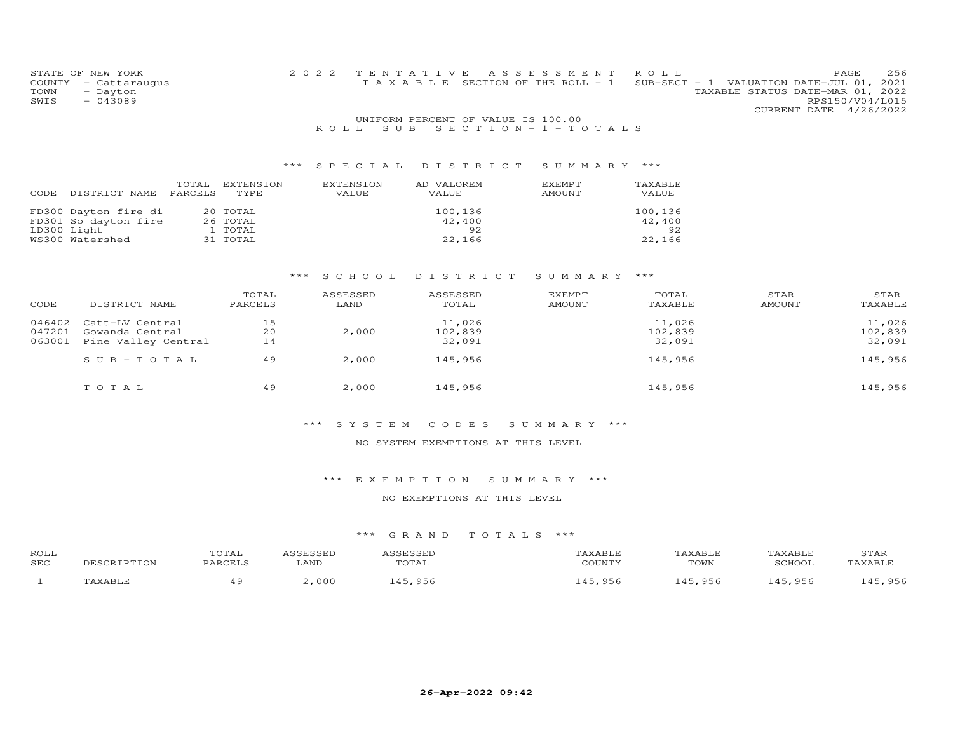| STATE OF NEW YORK    | 2022 TENTATIVE ASSESSMENT ROLL        | PAGE                                     | 256 |
|----------------------|---------------------------------------|------------------------------------------|-----|
| COUNTY - Cattaraugus | T A X A B L E SECTION OF THE ROLL - 1 | SUB-SECT - 1 VALUATION DATE-JUL 01, 2021 |     |
| TOWN<br>- Dayton     |                                       | TAXABLE STATUS DATE-MAR 01, 2022         |     |
| - 043089<br>SWIS     |                                       | RPS150/V04/L015                          |     |
|                      |                                       | CURRENT DATE 4/26/2022                   |     |
|                      |                                       |                                          |     |

#### UNIFORM PERCENT OF VALUE IS 100.00R O L L S U B S E C T I O N - 1 - T O T A L S

## \*\*\* S P E C I A L D I S T R I C T S U M M A R Y \*\*\*

| DISTRICT NAME                                                                  | TOTAL   | EXTENSION                                   | EXTENSION | AD VALOREM                        | <b>EXEMPT</b> | TAXABLE                           |
|--------------------------------------------------------------------------------|---------|---------------------------------------------|-----------|-----------------------------------|---------------|-----------------------------------|
| CODE                                                                           | PARCELS | TYPE                                        | VALUE     | VALUE                             | AMOUNT        | VALUE                             |
| FD300 Dayton fire di<br>FD301 So dayton fire<br>LD300 Light<br>WS300 Watershed |         | 20 TOTAL<br>26 TOTAL<br>1 TOTAL<br>31 TOTAL |           | 100,136<br>42,400<br>92<br>22,166 |               | 100,136<br>42,400<br>92<br>22,166 |

#### \*\*\* S C H O O L D I S T R I C T S U M M A R Y \*\*\*

| CODE   | DISTRICT NAME       | TOTAL<br>PARCELS | ASSESSED<br>LAND | ASSESSED<br>TOTAL | <b>EXEMPT</b><br>AMOUNT | TOTAL<br>TAXABLE | STAR<br><b>AMOUNT</b> | STAR<br>TAXABLE |
|--------|---------------------|------------------|------------------|-------------------|-------------------------|------------------|-----------------------|-----------------|
| 046402 | Catt-LV Central     | 15               |                  | 11,026            |                         | 11,026           |                       | 11,026          |
| 047201 | Gowanda Central     | 20               | 2,000            | 102,839           |                         | 102,839          |                       | 102,839         |
| 063001 | Pine Valley Central | 14               |                  | 32,091            |                         | 32,091           |                       | 32,091          |
|        | $SUB - TO TAL$      | 49               | 2,000            | 145,956           |                         | 145,956          |                       | 145,956         |
|        | TOTAL               | 49               | 2,000            | 145,956           |                         | 145,956          |                       | 145,956         |

#### \*\*\* S Y S T E M C O D E S S U M M A R Y \*\*\*

#### NO SYSTEM EXEMPTIONS AT THIS LEVEL

#### \*\*\* E X E M P T I O N S U M M A R Y \*\*\*

#### NO EXEMPTIONS AT THIS LEVEL

| ROLL<br>SEC | TON | TOTAL<br>DADORT C | <b>ANL</b> |       | <br>$\gamma$ otinity | AXABLE<br>TOWN | 20U <sub>0</sub> | $\sim$ m $\sim$ r<br>'TAF |
|-------------|-----|-------------------|------------|-------|----------------------|----------------|------------------|---------------------------|
|             |     |                   | 000        | - 956 | OF.                  | 956            | . 956            | QE                        |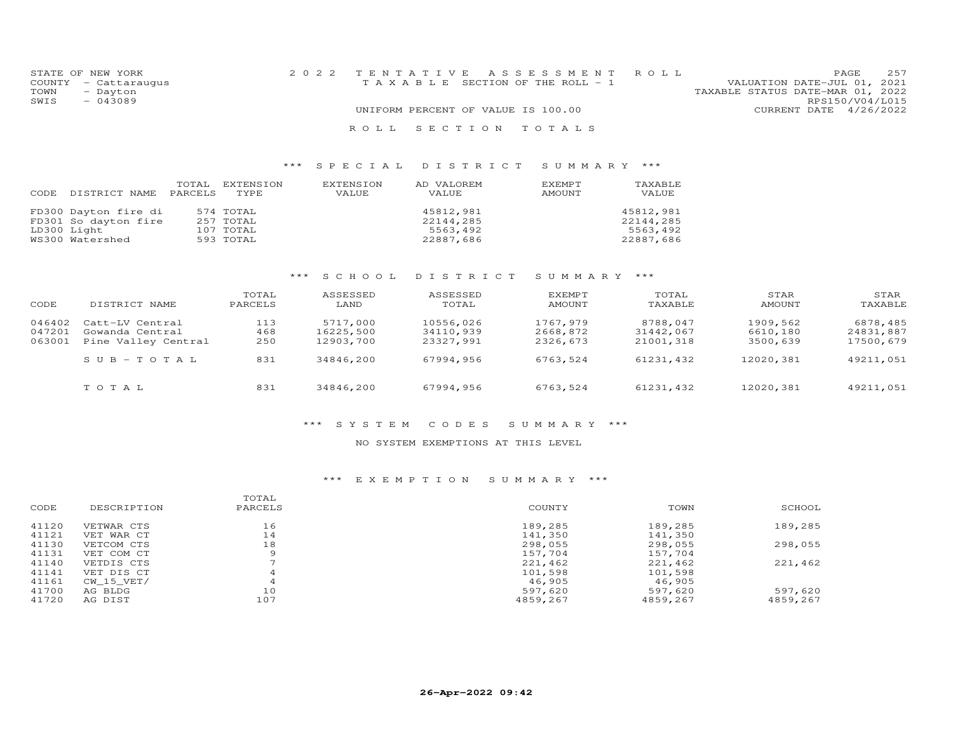| STATE OF NEW YORK    | 2022 TENTATIVE ASSESSMENT ROLL        |  |                                  | PAGE.           | 2.57 |
|----------------------|---------------------------------------|--|----------------------------------|-----------------|------|
| COUNTY - Cattaraugus | T A X A B L E SECTION OF THE ROLL - 1 |  | VALUATION DATE-JUL 01, 2021      |                 |      |
| TOWN<br>- Dayton     |                                       |  | TAXABLE STATUS DATE-MAR 01, 2022 |                 |      |
| $-043089$<br>SWIS    |                                       |  |                                  | RPS150/V04/L015 |      |
|                      | UNIFORM PERCENT OF VALUE IS 100.00    |  | CURRENT DATE 4/26/2022           |                 |      |
|                      | ROLL SECTION TOTALS                   |  |                                  |                 |      |

| CODE DISTRICT NAME PARCELS | TOTAL | EXTENSION<br>TYPE | EXTENSION<br>VALUE | AD VALOREM<br>VALUE | EXEMPT<br>AMOUNT | TAXABLE<br>VALUE |
|----------------------------|-------|-------------------|--------------------|---------------------|------------------|------------------|
| FD300 Dayton fire di       |       | 574 TOTAL         |                    | 45812,981           |                  | 45812,981        |
| FD301 So dayton fire       |       | 257 TOTAL         |                    | 22144,285           |                  | 22144,285        |
| LD300 Light                |       | 107 TOTAL         |                    | 5563,492            |                  | 5563,492         |
| WS300 Watershed            |       | 593 TOTAL         |                    | 22887,686           |                  | 22887,686        |

# \*\*\* S C H O O L D I S T R I C T S U M M A R Y \*\*\*

| CODE   | DISTRICT NAME       | TOTAL<br>PARCELS | ASSESSED<br>LAND | ASSESSED<br>TOTAL | <b>EXEMPT</b><br>AMOUNT | TOTAL<br>TAXABLE | STAR<br>AMOUNT | STAR<br>TAXABLE |
|--------|---------------------|------------------|------------------|-------------------|-------------------------|------------------|----------------|-----------------|
| 046402 | Catt-LV Central     | 113              | 5717,000         | 10556,026         | 1767,979                | 8788,047         | 1909,562       | 6878,485        |
| 047201 | Gowanda Central     | 468              | 16225,500        | 34110,939         | 2668,872                | 31442,067        | 6610,180       | 24831,887       |
| 063001 | Pine Valley Central | 250              | 12903,700        | 23327,991         | 2326,673                | 21001,318        | 3500,639       | 17500,679       |
|        | $SUB - TO T AL$     | 831              | 34846,200        | 67994,956         | 6763,524                | 61231,432        | 12020,381      | 49211,051       |
|        | TOTAL               | 831              | 34846,200        | 67994,956         | 6763,524                | 61231,432        | 12020,381      | 49211,051       |

#### \*\*\* S Y S T E M C O D E S S U M M A R Y \*\*\*

#### NO SYSTEM EXEMPTIONS AT THIS LEVEL

|       |             | TOTAL   |          |          |          |
|-------|-------------|---------|----------|----------|----------|
| CODE  | DESCRIPTION | PARCELS | COUNTY   | TOWN     | SCHOOL   |
| 41120 | VETWAR CTS  | 16      | 189,285  | 189,285  | 189,285  |
| 41121 | VET WAR CT  | 14      | 141,350  | 141,350  |          |
| 41130 | VETCOM CTS  | 18      | 298,055  | 298,055  | 298,055  |
| 41131 | VET COM CT  |         | 157,704  | 157,704  |          |
| 41140 | VETDIS CTS  |         | 221,462  | 221,462  | 221,462  |
| 41141 | VET DIS CT  | 4       | 101,598  | 101,598  |          |
| 41161 | CW 15 VET/  | 4       | 46,905   | 46,905   |          |
| 41700 | AG BLDG     | 10      | 597,620  | 597,620  | 597,620  |
| 41720 | AG DIST     | 107     | 4859,267 | 4859,267 | 4859,267 |
|       |             |         |          |          |          |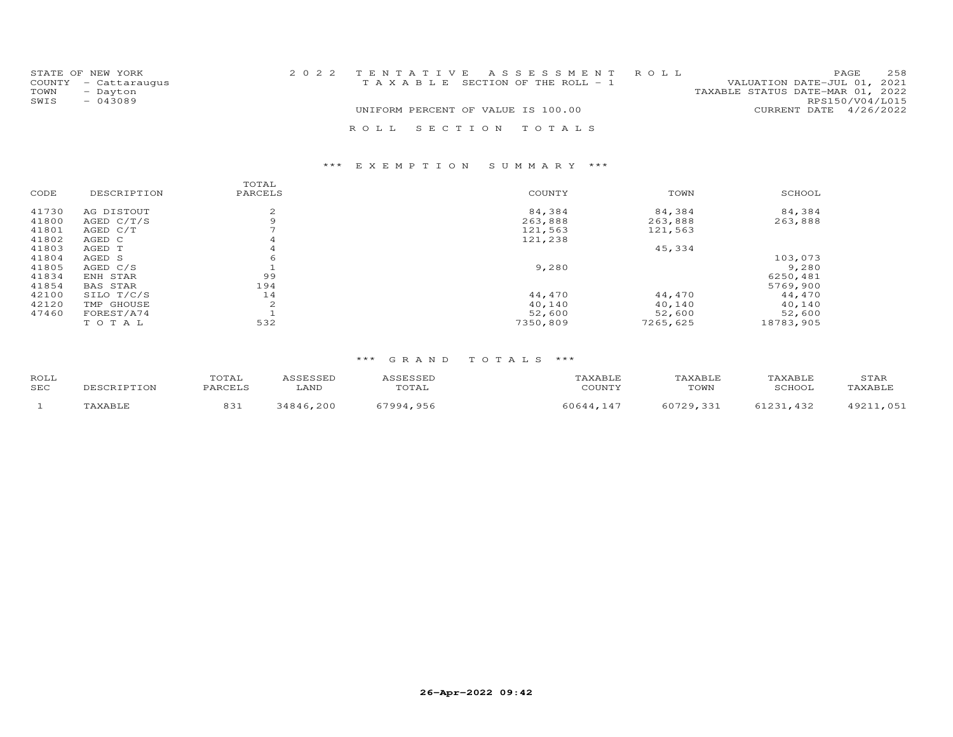|      | STATE OF NEW YORK    | 2022 TENTATIVE ASSESSMENT ROLL        |  |                                  |                        | PAGE | 258 |
|------|----------------------|---------------------------------------|--|----------------------------------|------------------------|------|-----|
|      | COUNTY - Cattaraugus | T A X A B L E SECTION OF THE ROLL - 1 |  | VALUATION DATE-JUL 01, 2021      |                        |      |     |
| TOWN | - Dayton             |                                       |  | TAXABLE STATUS DATE-MAR 01, 2022 |                        |      |     |
| SWIS | $-043089$            |                                       |  |                                  | RPS150/V04/L015        |      |     |
|      |                      | UNIFORM PERCENT OF VALUE IS 100.00    |  |                                  | CURRENT DATE 4/26/2022 |      |     |
|      |                      | ROLL SECTION TOTALS                   |  |                                  |                        |      |     |

|       |             | TOTAL          |          |          |           |
|-------|-------------|----------------|----------|----------|-----------|
| CODE  | DESCRIPTION | PARCELS        | COUNTY   | TOWN     | SCHOOL    |
| 41730 | AG DISTOUT  | 2              | 84,384   | 84,384   | 84,384    |
| 41800 | AGED C/T/S  |                | 263,888  | 263,888  | 263,888   |
| 41801 | AGED C/T    |                | 121,563  | 121,563  |           |
| 41802 | AGED C      | 4              | 121,238  |          |           |
| 41803 | AGED T      | $\overline{4}$ |          | 45,334   |           |
| 41804 | AGED S      | 6              |          |          | 103,073   |
| 41805 | AGED C/S    |                | 9,280    |          | 9,280     |
| 41834 | ENH STAR    | 99             |          |          | 6250,481  |
| 41854 | BAS STAR    | 194            |          |          | 5769,900  |
| 42100 | SILO T/C/S  | 14             | 44,470   | 44,470   | 44,470    |
| 42120 | TMP GHOUSE  | 2              | 40,140   | 40,140   | 40,140    |
| 47460 | FOREST/A74  |                | 52,600   | 52,600   | 52,600    |
|       | TOTAL       | 532            | 7350,809 | 7265,625 | 18783,905 |

| ROLL<br><b>SEC</b> | UIAL<br><b>DADCET</b>  | LAND | TOTAL       | COTINTV             | <b><i>FAXABLF</i></b><br>TOWN | TAXABLE<br><b>COUOO</b> | STAR<br><b>CAYART</b> |
|--------------------|------------------------|------|-------------|---------------------|-------------------------------|-------------------------|-----------------------|
|                    | $\circ$ $\circ$<br>091 | 200  | 7001<br>956 | ∩ ⊆ ⊿ ⊿<br>$\Delta$ | 60729<br>331                  | 1021<br>432             | 1 ດ ດ 1               |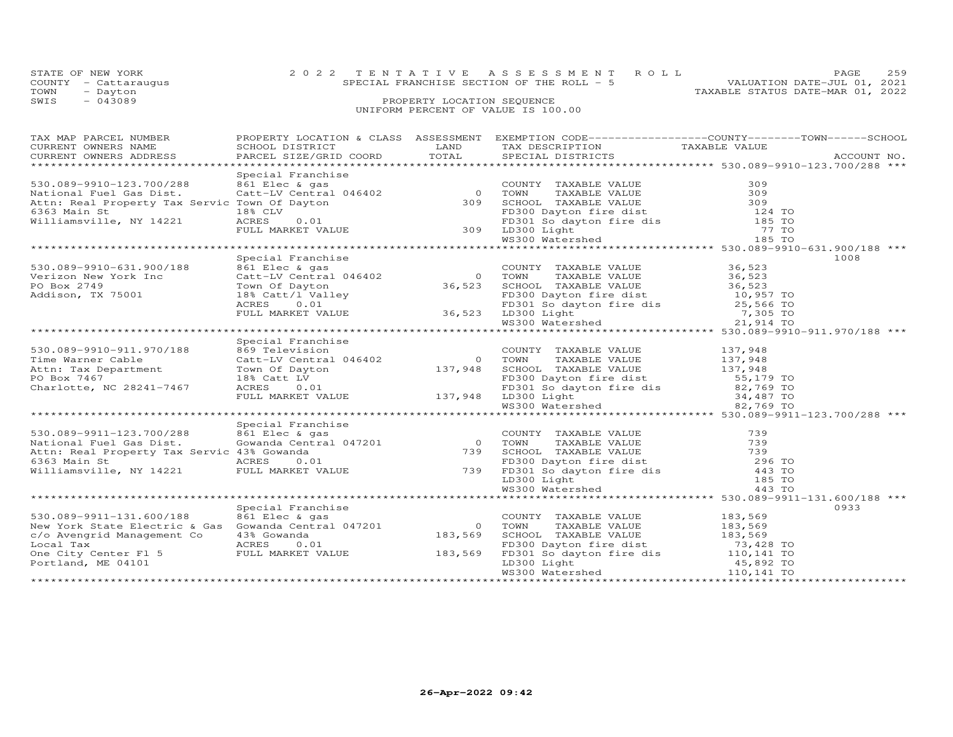|      | STATE OF NEW YORK    |  |  |                                    |  |                                            | 2022 TENTATIVE ASSESSMENT ROLL |                                  | PAGE. | 259 |
|------|----------------------|--|--|------------------------------------|--|--------------------------------------------|--------------------------------|----------------------------------|-------|-----|
|      | COUNTY - Cattaraugus |  |  |                                    |  | SPECIAL FRANCHISE SECTION OF THE ROLL $-5$ |                                | VALUATION DATE-JUL 01, 2021      |       |     |
| TOWN | - Dayton             |  |  |                                    |  |                                            |                                | TAXABLE STATUS DATE-MAR 01, 2022 |       |     |
| SWIS | $-043089$            |  |  | PROPERTY LOCATION SEQUENCE         |  |                                            |                                |                                  |       |     |
|      |                      |  |  | UNIFORM PERCENT OF VALUE IS 100.00 |  |                                            |                                |                                  |       |     |
|      |                      |  |  |                                    |  |                                            |                                |                                  |       |     |
|      |                      |  |  |                                    |  |                                            |                                |                                  |       |     |

| TAX MAP PARCEL NUMBER<br>TA PIACE INCREDIT TO A CONTRETT CORPORAGING TRACK THE CONTRESS CONTRESS CONTRESS CONTRESS CONTRESS CONTRESS PARCEL SIZE/GRID COORD TOTAL SPECIAL DISTRICTS ACCOUNT MO.<br>CURRENT OWNERS ADDRESS PARCEL SIZE/GRID COORD TOTAL SPE |                   | PROPERTY LOCATION & CLASS ASSESSMENT EXEMPTION CODE----------------COUNTY-------TOWN------SCHOOL |      |
|------------------------------------------------------------------------------------------------------------------------------------------------------------------------------------------------------------------------------------------------------------|-------------------|--------------------------------------------------------------------------------------------------|------|
|                                                                                                                                                                                                                                                            |                   |                                                                                                  |      |
|                                                                                                                                                                                                                                                            |                   |                                                                                                  |      |
|                                                                                                                                                                                                                                                            |                   |                                                                                                  |      |
|                                                                                                                                                                                                                                                            |                   |                                                                                                  |      |
|                                                                                                                                                                                                                                                            |                   |                                                                                                  |      |
|                                                                                                                                                                                                                                                            |                   |                                                                                                  |      |
|                                                                                                                                                                                                                                                            |                   |                                                                                                  |      |
|                                                                                                                                                                                                                                                            |                   |                                                                                                  |      |
|                                                                                                                                                                                                                                                            |                   |                                                                                                  |      |
|                                                                                                                                                                                                                                                            |                   |                                                                                                  |      |
|                                                                                                                                                                                                                                                            |                   |                                                                                                  |      |
|                                                                                                                                                                                                                                                            |                   |                                                                                                  |      |
|                                                                                                                                                                                                                                                            |                   |                                                                                                  |      |
|                                                                                                                                                                                                                                                            |                   |                                                                                                  |      |
|                                                                                                                                                                                                                                                            |                   |                                                                                                  |      |
|                                                                                                                                                                                                                                                            |                   |                                                                                                  |      |
|                                                                                                                                                                                                                                                            |                   |                                                                                                  |      |
|                                                                                                                                                                                                                                                            |                   |                                                                                                  |      |
|                                                                                                                                                                                                                                                            |                   |                                                                                                  |      |
|                                                                                                                                                                                                                                                            | Special Franchise |                                                                                                  |      |
|                                                                                                                                                                                                                                                            |                   |                                                                                                  |      |
|                                                                                                                                                                                                                                                            |                   |                                                                                                  |      |
|                                                                                                                                                                                                                                                            |                   |                                                                                                  |      |
|                                                                                                                                                                                                                                                            |                   |                                                                                                  |      |
|                                                                                                                                                                                                                                                            |                   |                                                                                                  |      |
|                                                                                                                                                                                                                                                            |                   |                                                                                                  |      |
| 530.089-9910-911.970/188<br>Time Warner Cable 689 Television CoUNTY TAXABLE VALUE 137,948<br>Time Warner Cable Catt-LV Central 046402 0 TOWN TAXABLE VALUE 137,948<br>Attn: Tax Department Town Of Dayton 137,948 SCHOOL TAXABLE VA                        |                   |                                                                                                  |      |
|                                                                                                                                                                                                                                                            |                   |                                                                                                  |      |
|                                                                                                                                                                                                                                                            | Special Franchise |                                                                                                  |      |
|                                                                                                                                                                                                                                                            |                   |                                                                                                  |      |
|                                                                                                                                                                                                                                                            |                   |                                                                                                  |      |
|                                                                                                                                                                                                                                                            |                   |                                                                                                  |      |
|                                                                                                                                                                                                                                                            |                   |                                                                                                  |      |
|                                                                                                                                                                                                                                                            |                   |                                                                                                  |      |
|                                                                                                                                                                                                                                                            |                   |                                                                                                  |      |
| 930.089-9911-123.700/288 Special Franchise Special Franchise COUNTY TAXABLE VALUE 739<br>National Fuel Gas Dist. Gowanda Central 047201 0 TOWN TAXABLE VALUE 739<br>Attn: Real Property Tax Servic 43% Gowanda<br>636 Main Step of T                       |                   |                                                                                                  |      |
|                                                                                                                                                                                                                                                            |                   |                                                                                                  |      |
|                                                                                                                                                                                                                                                            | Special Franchise |                                                                                                  | 0933 |
|                                                                                                                                                                                                                                                            |                   |                                                                                                  |      |
|                                                                                                                                                                                                                                                            |                   |                                                                                                  |      |
|                                                                                                                                                                                                                                                            |                   |                                                                                                  |      |
|                                                                                                                                                                                                                                                            |                   |                                                                                                  |      |
|                                                                                                                                                                                                                                                            |                   |                                                                                                  |      |
|                                                                                                                                                                                                                                                            |                   |                                                                                                  |      |
|                                                                                                                                                                                                                                                            |                   |                                                                                                  |      |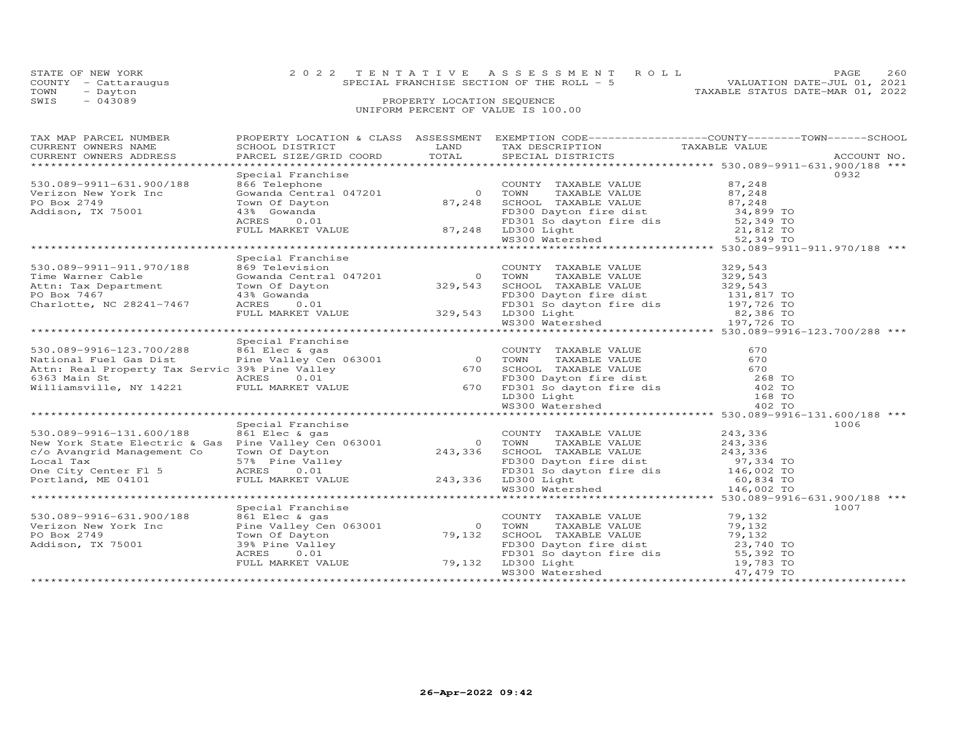| OIAID OI NUN IONN<br>COUNTY - Cattaraugus<br>TOWN<br>- Dayton<br>$-043089$<br>SWIS                                                                                                                                             |                   | TRANCHISE SECTION OF THE ROLL - 5<br>SPECIAL FRANCHISE SECTION OF THE ROLL - 5<br>TAXABLE STATUS DATE-MAR 01, 2022 |                                                                                                  |  |      |
|--------------------------------------------------------------------------------------------------------------------------------------------------------------------------------------------------------------------------------|-------------------|--------------------------------------------------------------------------------------------------------------------|--------------------------------------------------------------------------------------------------|--|------|
|                                                                                                                                                                                                                                |                   | PROPERTY LOCATION SEQUENCE                                                                                         | UNIFORM PERCENT OF VALUE IS 100.00                                                               |  |      |
| TAX MAP PARCEL NUMBER                                                                                                                                                                                                          |                   |                                                                                                                    | PROPERTY LOCATION & CLASS ASSESSMENT EXEMPTION CODE----------------COUNTY-------TOWN------SCHOOL |  |      |
|                                                                                                                                                                                                                                |                   |                                                                                                                    |                                                                                                  |  |      |
|                                                                                                                                                                                                                                |                   |                                                                                                                    |                                                                                                  |  |      |
|                                                                                                                                                                                                                                |                   |                                                                                                                    |                                                                                                  |  |      |
|                                                                                                                                                                                                                                |                   |                                                                                                                    |                                                                                                  |  |      |
|                                                                                                                                                                                                                                |                   |                                                                                                                    |                                                                                                  |  |      |
|                                                                                                                                                                                                                                |                   |                                                                                                                    |                                                                                                  |  |      |
|                                                                                                                                                                                                                                |                   |                                                                                                                    |                                                                                                  |  |      |
|                                                                                                                                                                                                                                |                   |                                                                                                                    |                                                                                                  |  |      |
|                                                                                                                                                                                                                                |                   |                                                                                                                    |                                                                                                  |  |      |
|                                                                                                                                                                                                                                |                   |                                                                                                                    |                                                                                                  |  |      |
|                                                                                                                                                                                                                                |                   |                                                                                                                    |                                                                                                  |  |      |
|                                                                                                                                                                                                                                | Special Franchise |                                                                                                                    |                                                                                                  |  |      |
|                                                                                                                                                                                                                                |                   |                                                                                                                    |                                                                                                  |  |      |
|                                                                                                                                                                                                                                |                   |                                                                                                                    |                                                                                                  |  |      |
|                                                                                                                                                                                                                                |                   |                                                                                                                    |                                                                                                  |  |      |
|                                                                                                                                                                                                                                |                   |                                                                                                                    |                                                                                                  |  |      |
|                                                                                                                                                                                                                                |                   |                                                                                                                    |                                                                                                  |  |      |
|                                                                                                                                                                                                                                |                   |                                                                                                                    |                                                                                                  |  |      |
| 330.089-9911-911.970/188<br>Time Warner Cable (Sowanda Central 047201 (Sowanda Central 047201 (Sowanda Central 047201 (Sowanda Central 047201 (Sowanda Central 047201 (Sowanda Central 047201 (Sowanda Central 047201 (Sowanda |                   |                                                                                                                    |                                                                                                  |  |      |
|                                                                                                                                                                                                                                |                   |                                                                                                                    |                                                                                                  |  |      |
|                                                                                                                                                                                                                                |                   |                                                                                                                    |                                                                                                  |  |      |
|                                                                                                                                                                                                                                |                   |                                                                                                                    |                                                                                                  |  |      |
|                                                                                                                                                                                                                                |                   |                                                                                                                    |                                                                                                  |  |      |
|                                                                                                                                                                                                                                |                   |                                                                                                                    |                                                                                                  |  |      |
|                                                                                                                                                                                                                                |                   |                                                                                                                    |                                                                                                  |  |      |
|                                                                                                                                                                                                                                |                   |                                                                                                                    |                                                                                                  |  |      |
|                                                                                                                                                                                                                                |                   |                                                                                                                    |                                                                                                  |  |      |
|                                                                                                                                                                                                                                |                   |                                                                                                                    |                                                                                                  |  | 1006 |
|                                                                                                                                                                                                                                |                   |                                                                                                                    |                                                                                                  |  |      |
|                                                                                                                                                                                                                                |                   |                                                                                                                    |                                                                                                  |  |      |
|                                                                                                                                                                                                                                |                   |                                                                                                                    |                                                                                                  |  |      |
|                                                                                                                                                                                                                                |                   |                                                                                                                    |                                                                                                  |  |      |
|                                                                                                                                                                                                                                |                   |                                                                                                                    |                                                                                                  |  |      |
|                                                                                                                                                                                                                                |                   |                                                                                                                    |                                                                                                  |  |      |
|                                                                                                                                                                                                                                |                   |                                                                                                                    |                                                                                                  |  |      |
|                                                                                                                                                                                                                                |                   |                                                                                                                    |                                                                                                  |  |      |
|                                                                                                                                                                                                                                |                   |                                                                                                                    |                                                                                                  |  | 1007 |
|                                                                                                                                                                                                                                |                   |                                                                                                                    |                                                                                                  |  |      |
|                                                                                                                                                                                                                                |                   |                                                                                                                    |                                                                                                  |  |      |
|                                                                                                                                                                                                                                |                   |                                                                                                                    |                                                                                                  |  |      |
|                                                                                                                                                                                                                                |                   |                                                                                                                    |                                                                                                  |  |      |
|                                                                                                                                                                                                                                |                   |                                                                                                                    |                                                                                                  |  |      |
|                                                                                                                                                                                                                                |                   |                                                                                                                    |                                                                                                  |  |      |
|                                                                                                                                                                                                                                |                   |                                                                                                                    |                                                                                                  |  |      |

STATE OF NEW YORK 2 0 2 2 T E N T A T I V E A S S E S S M E N T R O L L PAGE 260 COUNTY - Cattaraugus SPECIAL FRANCHISE SECTION OF THE ROLL - 5 VALUATION DATE-JUL 01, 2021TOWN - Dayton TAXABLE STATUS DATE-MAR 01, 2022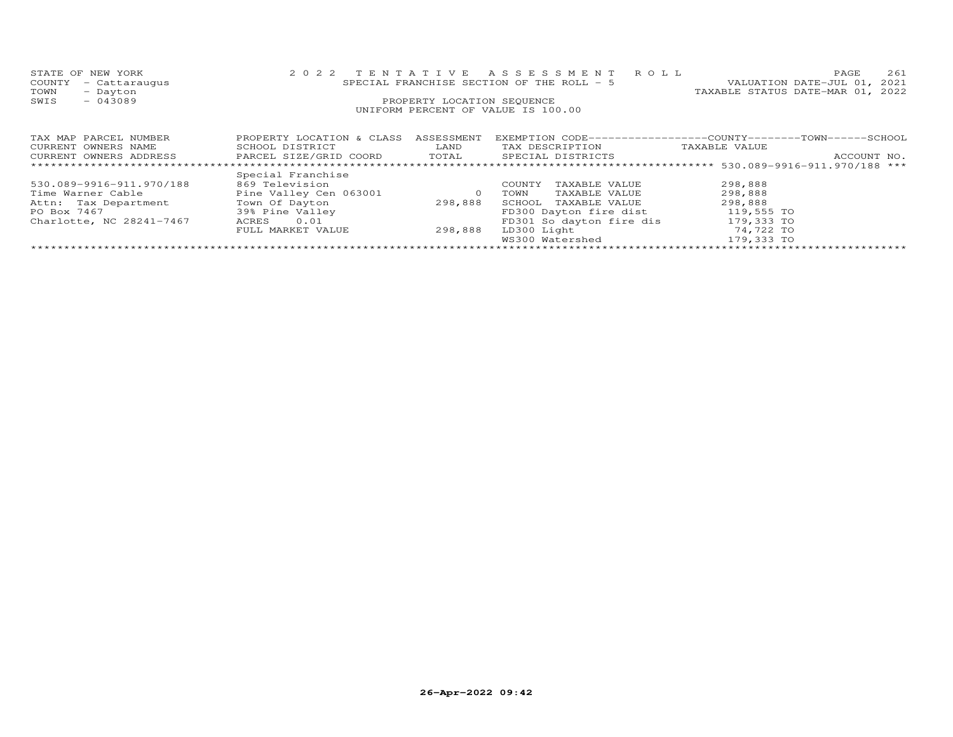| STATE OF NEW YORK                                                     |                           |                            | 2022 TENTATIVE ASSESSMENT ROLL             | 261<br>PAGE                                                 |
|-----------------------------------------------------------------------|---------------------------|----------------------------|--------------------------------------------|-------------------------------------------------------------|
| COUNTY<br>- Cattaraugus                                               |                           |                            | SPECIAL FRANCHISE SECTION OF THE ROLL $-5$ | VALUATION DATE-JUL 01, 2021                                 |
| TOWN<br>- Dayton                                                      |                           |                            |                                            | TAXABLE STATUS DATE-MAR 01, 2022                            |
| $-043089$<br>SWIS                                                     |                           | PROPERTY LOCATION SEQUENCE |                                            |                                                             |
|                                                                       |                           |                            | UNIFORM PERCENT OF VALUE IS 100.00         |                                                             |
|                                                                       |                           |                            |                                            |                                                             |
|                                                                       |                           |                            |                                            |                                                             |
| TAX MAP PARCEL NUMBER                                                 | PROPERTY LOCATION & CLASS | ASSESSMENT                 |                                            | EXEMPTION CODE-----------------COUNTY-------TOWN-----SCHOOL |
| CURRENT OWNERS NAME                                                   | SCHOOL DISTRICT           | LAND                       | TAX DESCRIPTION                            | TAXABLE VALUE                                               |
| CURRENT OWNERS ADDRESS FARCEL SIZE/GRID COORD TOTAL SPECIAL DISTRICTS |                           |                            |                                            | ACCOUNT NO.                                                 |
| ***********************                                               |                           |                            |                                            |                                                             |
|                                                                       | Special Franchise         |                            |                                            |                                                             |
| 530.089-9916-911.970/188                                              | 869 Television            |                            | TAXABLE VALUE<br>COUNTY                    | 298,888                                                     |
| Time Warner Cable                                                     | Pine Valley Cen 063001    | $\circ$                    | TAXABLE VALUE<br>TOWN                      | 298,888                                                     |
| Attn: Tax Department                                                  | Town Of Dayton            | 298,888                    | SCHOOL TAXABLE VALUE                       | 298,888                                                     |
| PO Box 7467                                                           | 39% Pine Valley           |                            | FD300 Dayton fire dist                     | 119,555 TO                                                  |
| Charlotte, NC 28241-7467                                              | ACRES<br>0.01             |                            | FD301 So dayton fire dis                   | 179,333 TO                                                  |
|                                                                       | FULL MARKET VALUE         | 298,888                    | LD300 Light                                | 74,722 TO                                                   |
|                                                                       |                           |                            | WS300 Watershed                            | 179,333 TO                                                  |

\*\*\*\*\*\*\*\*\*\*\*\*\*\*\*\*\*\*\*\*\*\*\*\*\*\*\*\*\*\*\*\*\*\*\*\*\*\*\*\*\*\*\*\*\*\*\*\*\*\*\*\*\*\*\*\*\*\*\*\*\*\*\*\*\*\*\*\*\*\*\*\*\*\*\*\*\*\*\*\*\*\*\*\*\*\*\*\*\*\*\*\*\*\*\*\*\*\*\*\*\*\*\*\*\*\*\*\*\*\*\*\*\*\*\*\*\*\*\*\*\*\*\*\*\*\*\*\*\*\*\*\*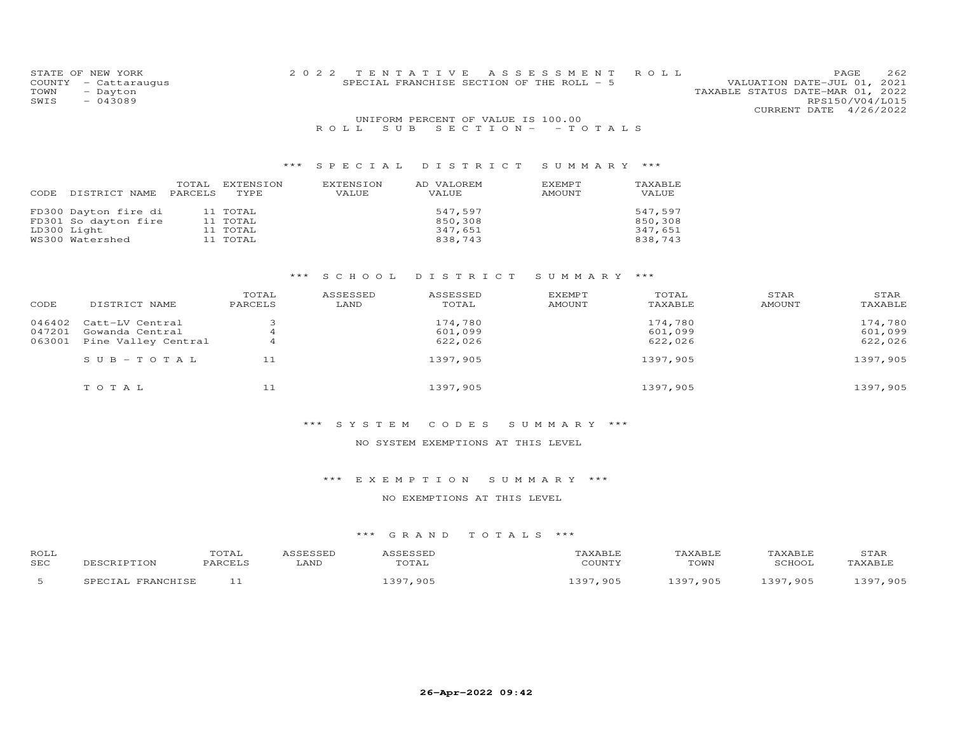| STATE OF NEW YORK    |  | 2022 TENTATIVE ASSESSMENT ROLL            |                                  | PAGE            | 262 |
|----------------------|--|-------------------------------------------|----------------------------------|-----------------|-----|
| COUNTY - Cattaraugus |  | SPECIAL FRANCHISE SECTION OF THE ROLL - 5 | VALUATION DATE-JUL 01, 2021      |                 |     |
| TOWN<br>- Dayton     |  |                                           | TAXABLE STATUS DATE-MAR 01, 2022 |                 |     |
| SWIS<br>$-043089$    |  |                                           |                                  | RPS150/V04/L015 |     |
|                      |  |                                           | CURRENT DATE 4/26/2022           |                 |     |
|                      |  | UNIFORM PERCENT OF VALUE IS 100.00        |                                  |                 |     |
|                      |  | ROLL SUB SECTION- - TOTALS                |                                  |                 |     |

| DISTRICT NAME                                                                  | TOTAL   | EXTENSION                                    | EXTENSION | AD VALOREM                               | EXEMPT | TAXABLE                                  |
|--------------------------------------------------------------------------------|---------|----------------------------------------------|-----------|------------------------------------------|--------|------------------------------------------|
| CODE                                                                           | PARCELS | TYPE                                         | VALUE     | VALUE                                    | AMOUNT | VALUE                                    |
| FD300 Dayton fire di<br>FD301 So dayton fire<br>LD300 Light<br>WS300 Watershed |         | 11 TOTAL<br>11 TOTAL<br>11 TOTAL<br>11 TOTAL |           | 547.597<br>850,308<br>347,651<br>838,743 |        | 547,597<br>850,308<br>347,651<br>838,743 |

## \*\*\* S C H O O L D I S T R I C T S U M M A R Y \*\*\*

| CODE   | DISTRICT NAME         | TOTAL<br>PARCELS | ASSESSED<br>LAND | ASSESSED<br>TOTAL | EXEMPT<br>AMOUNT | TOTAL<br>TAXABLE | STAR<br>AMOUNT | STAR<br>TAXABLE |
|--------|-----------------------|------------------|------------------|-------------------|------------------|------------------|----------------|-----------------|
| 046402 | Catt-LV Central       |                  |                  | 174,780           |                  | 174,780          |                | 174,780         |
| 047201 | Gowanda Central       |                  |                  | 601,099           |                  | 601,099          |                | 601,099         |
| 063001 | Pine Valley Central   |                  |                  | 622,026           |                  | 622,026          |                | 622,026         |
|        | $S \cup B - TO T A L$ | 11               |                  | 1397,905          |                  | 1397,905         |                | 1397,905        |
|        | TOTAL                 | 11               |                  | 1397,905          |                  | 1397,905         |                | 1397,905        |

#### \*\*\* S Y S T E M C O D E S S U M M A R Y \*\*\*

#### NO SYSTEM EXEMPTIONS AT THIS LEVEL

## \*\*\* E X E M P T I O N S U M M A R Y \*\*\*

## NO EXEMPTIONS AT THIS LEVEL

| ROLI<br>SEC | DESCRIPTION            | TOTAL<br>PARCELS | ASSESSED<br>∟AND | ASSESSED<br>TOTAL | TAXABLE<br>COUNTY | TAXABLE<br>TOWN | TAXABLE<br>SCHOOL | STAF<br>TAXABLE |
|-------------|------------------------|------------------|------------------|-------------------|-------------------|-----------------|-------------------|-----------------|
|             | , FRANCHISE<br>SPECTAL |                  |                  | 397,905           | 1397,905          | 1397,905        | 1397,905          | 1397,905        |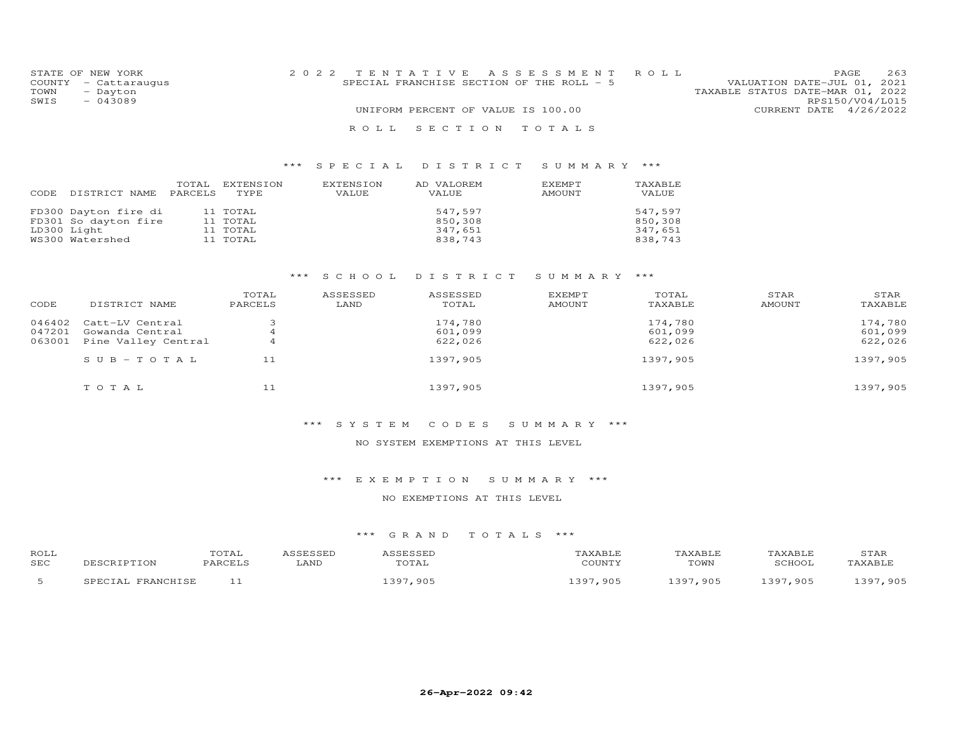|      | STATE OF NEW YORK    | 2022 TENTATIVE ASSESSMENT ROLL                                           | PAGE.                  | 263 |
|------|----------------------|--------------------------------------------------------------------------|------------------------|-----|
|      | COUNTY - Cattaraugus | VALUATION DATE-JUL 01, 2021<br>SPECIAL FRANCHISE SECTION OF THE ROLL - 5 |                        |     |
| TOWN | - Dayton             | TAXABLE STATUS DATE-MAR 01, 2022                                         |                        |     |
| SWIS | $-043089$            |                                                                          | RPS150/V04/L015        |     |
|      |                      | UNIFORM PERCENT OF VALUE IS 100.00                                       | CURRENT DATE 4/26/2022 |     |
|      |                      | ROLL SECTION TOTALS                                                      |                        |     |

| CODE | DISTRICT NAME                                | TOTAL<br>PARCELS | EXTENSION<br>TYPE    | EXTENSION<br>VALUE | AD VALOREM<br>VALUE | EXEMPT<br>AMOUNT | TAXABLE<br>VALUE   |
|------|----------------------------------------------|------------------|----------------------|--------------------|---------------------|------------------|--------------------|
|      | FD300 Dayton fire di<br>FD301 So dayton fire |                  | 11 TOTAL<br>11 TOTAL |                    | 547.597<br>850,308  |                  | 547.597<br>850,308 |
|      | LD300 Light                                  |                  | 11 TOTAL             |                    | 347,651             |                  | 347,651            |
|      | WS300 Watershed                              |                  | 11 TOTAL             |                    | 838,743             |                  | 838,743            |

## \*\*\* S C H O O L D I S T R I C T S U M M A R Y \*\*\*

| CODE   | DISTRICT NAME         | TOTAL<br>PARCELS | ASSESSED<br>LAND | ASSESSED<br>TOTAL | EXEMPT<br>AMOUNT | TOTAL<br>TAXABLE | STAR<br>AMOUNT | STAR<br>TAXABLE |
|--------|-----------------------|------------------|------------------|-------------------|------------------|------------------|----------------|-----------------|
| 046402 | Catt-LV Central       |                  |                  | 174,780           |                  | 174,780          |                | 174,780         |
| 047201 | Gowanda Central       |                  |                  | 601,099           |                  | 601,099          |                | 601,099         |
| 063001 | Pine Valley Central   |                  |                  | 622,026           |                  | 622,026          |                | 622,026         |
|        | $S \cup B - TO T A L$ | 11               |                  | 1397,905          |                  | 1397,905         |                | 1397,905        |
|        | TOTAL                 | 11               |                  | 1397,905          |                  | 1397,905         |                | 1397,905        |

#### \*\*\* S Y S T E M C O D E S S U M M A R Y \*\*\*

#### NO SYSTEM EXEMPTIONS AT THIS LEVEL

## \*\*\* E X E M P T I O N S U M M A R Y \*\*\*

## NO EXEMPTIONS AT THIS LEVEL

| ROLI<br>SEC | ים ממג | LAND | $\overline{a}$ | , , , , , , <del>,</del><br>$\sim$ T <sub>1</sub> T <sub>m</sub> | $\cdots$<br>TOWN | CCHON | $\sim$ $\sim$ $\sim$<br>. |
|-------------|--------|------|----------------|------------------------------------------------------------------|------------------|-------|---------------------------|
|             |        |      |                | 90F<br>$\supset \Omega$                                          | 905              | 905   |                           |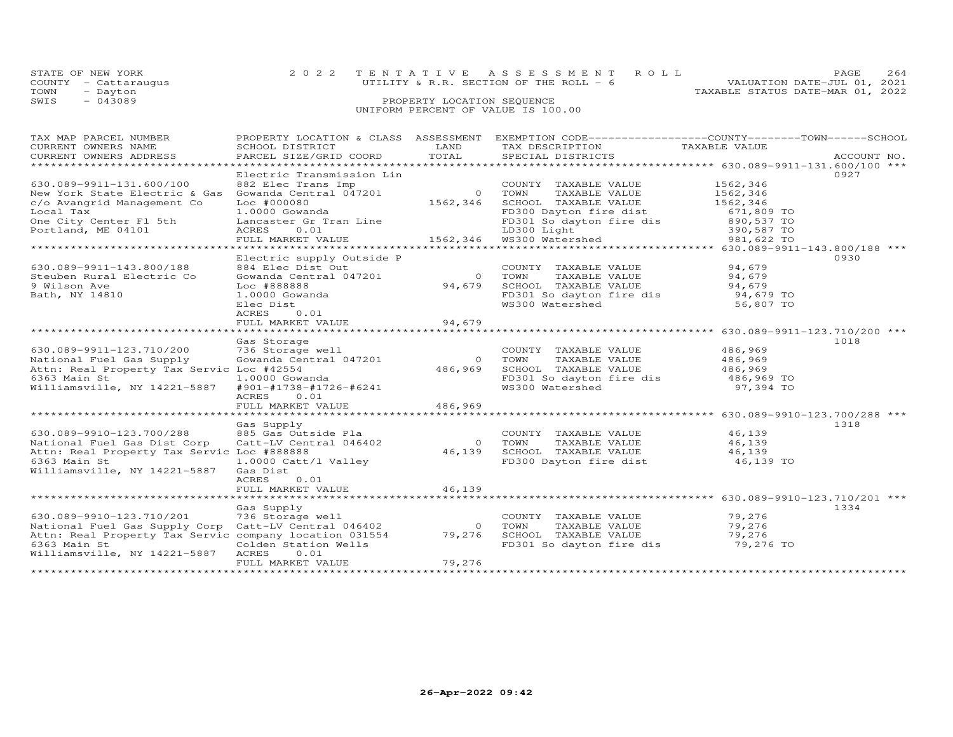|      | STATE OF NEW YORK    | 2022 TENTATIVE ASSESSMENT ROLL          | 264<br>PAGE.                     |
|------|----------------------|-----------------------------------------|----------------------------------|
|      | COUNTY - Cattaraugus | UTILITY & R.R. SECTION OF THE ROLL $-6$ | VALUATION DATE-JUL 01, 2021      |
| TOWN | - Dayton             |                                         | TAXABLE STATUS DATE-MAR 01, 2022 |
| SWIS | $-043089$            | PROPERTY LOCATION SEQUENCE              |                                  |
|      |                      | UNIFORM PERCENT OF VALUE IS 100.00      |                                  |

| TAX MAP PARCEL NUMBER                                                                                                                                                                                                              | PROPERTY LOCATION & CLASS ASSESSMENT |                | EXEMPTION CODE-----------------COUNTY-------TOWN------SCHOOL                                     |                                                       |      |
|------------------------------------------------------------------------------------------------------------------------------------------------------------------------------------------------------------------------------------|--------------------------------------|----------------|--------------------------------------------------------------------------------------------------|-------------------------------------------------------|------|
| CURRENT OWNERS NAME                                                                                                                                                                                                                | SCHOOL DISTRICT                      | LAND           | TAX DESCRIPTION                                                                                  | TAXABLE VALUE                                         |      |
| CURRENT OWNERS ADDRESS                                                                                                                                                                                                             | PARCEL SIZE/GRID COORD               |                |                                                                                                  |                                                       |      |
| **********************                                                                                                                                                                                                             |                                      |                |                                                                                                  |                                                       |      |
|                                                                                                                                                                                                                                    | Electric Transmission Lin            |                |                                                                                                  |                                                       | 0927 |
| 630.089-9911-131.600/100                                                                                                                                                                                                           | 882 Elec Trans Imp                   |                | COUNTY TAXABLE VALUE                                                                             | 1562,346                                              |      |
| New York State Electric & Gas                                                                                                                                                                                                      | Gowanda Central 047201               |                | 0 TOWN<br>TAXABLE VALUE                                                                          | 1562,346                                              |      |
| c/o Avangrid Management Co                                                                                                                                                                                                         | $Loc$ $#000080$                      | 1562,346       | SCHOOL TAXABLE VALUE                                                                             | 1562,346                                              |      |
| Local Tax                                                                                                                                                                                                                          | 1.0000 Gowanda                       |                | FD300 Dayton fire dist                                                                           |                                                       |      |
| One City Center Fl 5th                                                                                                                                                                                                             | Lancaster Gr Tran Line               |                |                                                                                                  | 671,809 TO<br>890,537 TO<br>390,587 TO<br>981,622 TO  |      |
| Portland, ME 04101                                                                                                                                                                                                                 | ACRES<br>0.01                        |                | Line FD301 So dayton fire dis<br>LD300 Light<br>1562,346 WS300 Watershed                         |                                                       |      |
|                                                                                                                                                                                                                                    | FULL MARKET VALUE                    |                |                                                                                                  | 981,622 TO                                            |      |
|                                                                                                                                                                                                                                    |                                      |                |                                                                                                  |                                                       |      |
|                                                                                                                                                                                                                                    | Electric supply Outside P            |                |                                                                                                  |                                                       | 0930 |
| 630.089-9911-143.800/188                                                                                                                                                                                                           | 884 Elec Dist Out                    |                | COUNTY TAXABLE VALUE                                                                             | 94,679                                                |      |
|                                                                                                                                                                                                                                    |                                      |                | 0 TOWN                                                                                           |                                                       |      |
| Steuben Rural Electric Co                                                                                                                                                                                                          | Gowanda Central 047201               |                | TAXABLE VALUE 54,679<br>TAXABLE VALUE 54.679                                                     |                                                       |      |
| 9 Wilson Ave                                                                                                                                                                                                                       | Loc #888888                          | 94,679         | SCHOOL TAXABLE VALUE                                                                             | 94,679                                                |      |
| Bath, NY 14810                                                                                                                                                                                                                     | 1.0000 Gowanda                       |                | FD301 So dayton fire dis $94,679$ TO                                                             |                                                       |      |
|                                                                                                                                                                                                                                    | Elec Dist                            |                | WS300 Watershed                                                                                  | 56,807 TO                                             |      |
|                                                                                                                                                                                                                                    | ACRES<br>0.01                        |                |                                                                                                  |                                                       |      |
|                                                                                                                                                                                                                                    | FULL MARKET VALUE                    | 94,679         |                                                                                                  |                                                       |      |
|                                                                                                                                                                                                                                    |                                      |                |                                                                                                  | ******************** 630.089-9911-123.710/200 ***     |      |
|                                                                                                                                                                                                                                    | Gas Storage                          |                |                                                                                                  |                                                       | 1018 |
| 630.089-9911-123.710/200                                                                                                                                                                                                           | 736 Storage well                     |                | COUNTY TAXABLE VALUE                                                                             | 486,969                                               |      |
| National Fuel Gas Supply                                                                                                                                                                                                           | Gowanda Central 047201               | $\overline{O}$ | TOWN<br>TAXABLE VALUE                                                                            | 486,969                                               |      |
| Attn: Real Property Tax Servic Loc #42554                                                                                                                                                                                          |                                      | 486,969        |                                                                                                  |                                                       |      |
| 6363 Main St                                                                                                                                                                                                                       | 1.0000 Gowanda                       |                |                                                                                                  |                                                       |      |
| Williamsville, NY 14221-5887                                                                                                                                                                                                       | #901-#1738-#1726-#6241               |                | SCHOOL TAXABLE VALUE 486,969<br>FD301 So dayton fire dis 486,969 TO<br>WS300 Watershed 97,394 TO |                                                       |      |
|                                                                                                                                                                                                                                    | 0.01<br>ACRES                        |                |                                                                                                  |                                                       |      |
|                                                                                                                                                                                                                                    | FULL MARKET VALUE                    | 486,969        |                                                                                                  |                                                       |      |
|                                                                                                                                                                                                                                    |                                      |                |                                                                                                  | ************************ 630.089-9910-123.700/288 *** |      |
|                                                                                                                                                                                                                                    |                                      |                |                                                                                                  |                                                       | 1318 |
|                                                                                                                                                                                                                                    |                                      |                |                                                                                                  | 46,139                                                |      |
|                                                                                                                                                                                                                                    |                                      |                |                                                                                                  | 46,139                                                |      |
|                                                                                                                                                                                                                                    |                                      |                |                                                                                                  | 46, 139                                               |      |
| 630.089-9910-123.700/288 885 Gas Outside Pla<br>National Fuel Gas Dist Corp Catt-LV Central 046402 0 TOWN TAXABLE VALUE<br>Ational Fuel Gas Dist Corp Catt-LV Central 046402 46,139 SCHOOL TAXABLE VALUE<br>FD300 Dayton fire dist |                                      |                |                                                                                                  | 46,139 TO                                             |      |
| Williamsville, NY 14221-5887                                                                                                                                                                                                       | Gas Dist                             |                |                                                                                                  |                                                       |      |
|                                                                                                                                                                                                                                    | ACRES<br>0.01                        |                |                                                                                                  |                                                       |      |
|                                                                                                                                                                                                                                    | FULL MARKET VALUE                    | 46,139         |                                                                                                  |                                                       |      |
|                                                                                                                                                                                                                                    |                                      |                |                                                                                                  |                                                       |      |
|                                                                                                                                                                                                                                    | Gas Supply                           |                |                                                                                                  |                                                       | 1334 |
| 630.089-9910-123.710/201                                                                                                                                                                                                           | 736 Storage well                     |                | COUNTY TAXABLE VALUE                                                                             |                                                       |      |
| National Fuel Gas Supply Corp Catt-LV Central 046402                                                                                                                                                                               |                                      |                | 0 TOWN<br>TAXABLE VALUE                                                                          | 79,276<br>79,276                                      |      |
| Attn: Real Property Tax Servic company location 031554                                                                                                                                                                             |                                      |                | 79,276 SCHOOL TAXABLE VALUE                                                                      | 79,276                                                |      |
| 6363 Main St                                                                                                                                                                                                                       | Colden Station Wells                 |                | FD301 So dayton fire dis                                                                         | 79,276 TO                                             |      |
| Williamsville, NY 14221-5887                                                                                                                                                                                                       | ACRES<br>0.01                        |                |                                                                                                  |                                                       |      |
|                                                                                                                                                                                                                                    | FULL MARKET VALUE                    | 79,276         |                                                                                                  |                                                       |      |
|                                                                                                                                                                                                                                    |                                      |                |                                                                                                  |                                                       |      |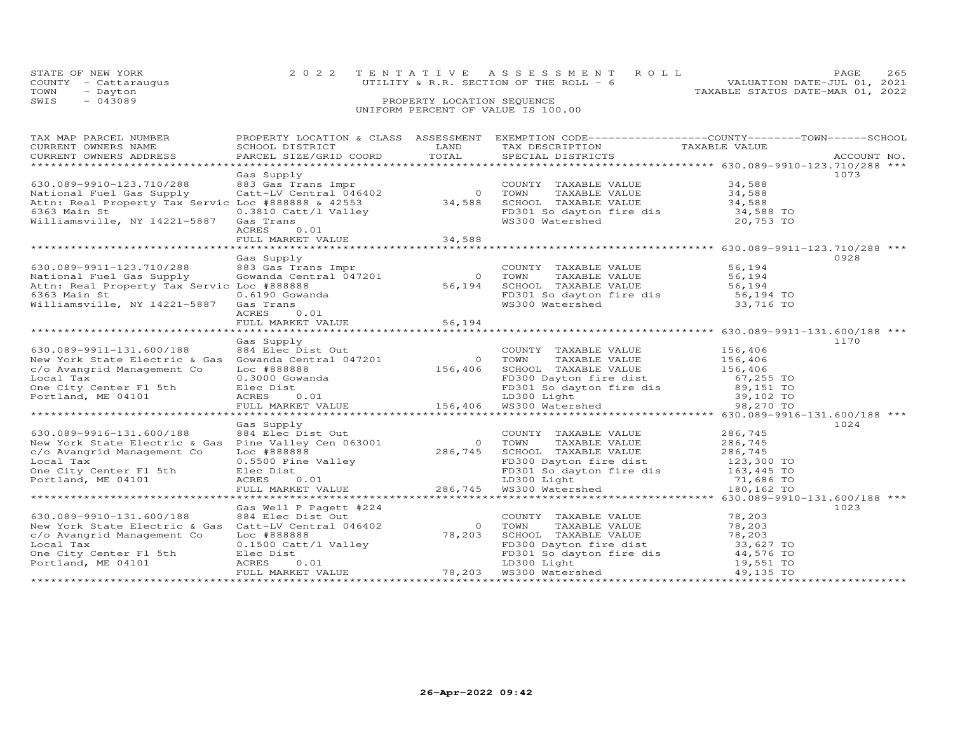|      | STATE OF NEW YORK    | 2022 TENTATIVE ASSESSMENT ROLL           |  |                                  | PAGE. | 265 |
|------|----------------------|------------------------------------------|--|----------------------------------|-------|-----|
|      | COUNTY - Cattaraugus | UTILITY & R.R. SECTION OF THE ROLL $-$ 6 |  | VALUATION DATE-JUL 01, 2021      |       |     |
| TOWN | - Dayton             |                                          |  | TAXABLE STATUS DATE-MAR 01, 2022 |       |     |
| SWIS | $-043089$            | PROPERTY LOCATION SEQUENCE               |  |                                  |       |     |

# UNIFORM PERCENT OF VALUE IS 100.00

| TAX MAP PARCEL NUMBER                      |                                   | PROPERTY LOCATION & CLASS ASSESSMENT EXEMPTION CODE----------------COUNTY-------TOWN------SCHOOL                                                                                                                                               |      |
|--------------------------------------------|-----------------------------------|------------------------------------------------------------------------------------------------------------------------------------------------------------------------------------------------------------------------------------------------|------|
|                                            |                                   |                                                                                                                                                                                                                                                |      |
|                                            |                                   |                                                                                                                                                                                                                                                |      |
|                                            |                                   |                                                                                                                                                                                                                                                |      |
|                                            | Gas Supply                        |                                                                                                                                                                                                                                                | 1073 |
|                                            |                                   |                                                                                                                                                                                                                                                |      |
|                                            |                                   |                                                                                                                                                                                                                                                |      |
|                                            |                                   |                                                                                                                                                                                                                                                |      |
| 6363 Main St                               | 0.3810 Catt/l Valley<br>Gas Trans |                                                                                                                                                                                                                                                |      |
| Williamsville, NY 14221-5887 Gas Trans     |                                   | FD301 So dayton fire dis 34,588 TO<br>WS300 Watershed 20,753 TO                                                                                                                                                                                |      |
|                                            | 0.01<br>ACRES                     |                                                                                                                                                                                                                                                |      |
|                                            |                                   |                                                                                                                                                                                                                                                |      |
|                                            |                                   |                                                                                                                                                                                                                                                |      |
|                                            | Gas Supply                        |                                                                                                                                                                                                                                                | 0928 |
| 630.089-9911-123.710/288                   |                                   |                                                                                                                                                                                                                                                |      |
| National Fuel Gas Supply                   |                                   | COUNTY TAXABLE VALUE 56,194<br>Sas Gas Trans Impr<br>Cowanda Central 047201 0 TOWN TAXABLE VALUE 56,194<br>Loc #888888 56,194<br>COUNTY TAXABLE VALUE 56,194<br>COUNTY TAXABLE VALUE 56,194<br>COUNTY TAXABLE VALUE 56,194<br>Cas Trans<br>CAS |      |
| Attn: Real Property Tax Servic Loc #888888 |                                   |                                                                                                                                                                                                                                                |      |
| 6363 Main St                               |                                   |                                                                                                                                                                                                                                                |      |
| Williamsville, NY 14221-5887 Gas Trans     |                                   |                                                                                                                                                                                                                                                |      |
|                                            | ACRES<br>0.01                     |                                                                                                                                                                                                                                                |      |
|                                            |                                   |                                                                                                                                                                                                                                                |      |
|                                            |                                   |                                                                                                                                                                                                                                                |      |
|                                            | Gas Supply                        |                                                                                                                                                                                                                                                | 1170 |
|                                            |                                   |                                                                                                                                                                                                                                                |      |
|                                            |                                   |                                                                                                                                                                                                                                                |      |
|                                            |                                   |                                                                                                                                                                                                                                                |      |
|                                            |                                   |                                                                                                                                                                                                                                                |      |
|                                            |                                   |                                                                                                                                                                                                                                                |      |
|                                            |                                   |                                                                                                                                                                                                                                                |      |
|                                            |                                   |                                                                                                                                                                                                                                                |      |
|                                            | Gas Supply                        |                                                                                                                                                                                                                                                | 1024 |
|                                            |                                   |                                                                                                                                                                                                                                                |      |
|                                            |                                   |                                                                                                                                                                                                                                                |      |
|                                            |                                   |                                                                                                                                                                                                                                                |      |
|                                            |                                   |                                                                                                                                                                                                                                                |      |
|                                            |                                   |                                                                                                                                                                                                                                                |      |
|                                            |                                   |                                                                                                                                                                                                                                                |      |
|                                            |                                   |                                                                                                                                                                                                                                                |      |
|                                            |                                   |                                                                                                                                                                                                                                                |      |
|                                            | Gas Well P Pagett #224            |                                                                                                                                                                                                                                                | 1023 |
|                                            |                                   |                                                                                                                                                                                                                                                |      |
|                                            |                                   |                                                                                                                                                                                                                                                |      |
|                                            |                                   |                                                                                                                                                                                                                                                |      |
|                                            |                                   |                                                                                                                                                                                                                                                |      |
|                                            |                                   |                                                                                                                                                                                                                                                |      |
|                                            |                                   |                                                                                                                                                                                                                                                |      |
|                                            |                                   |                                                                                                                                                                                                                                                |      |
|                                            |                                   |                                                                                                                                                                                                                                                |      |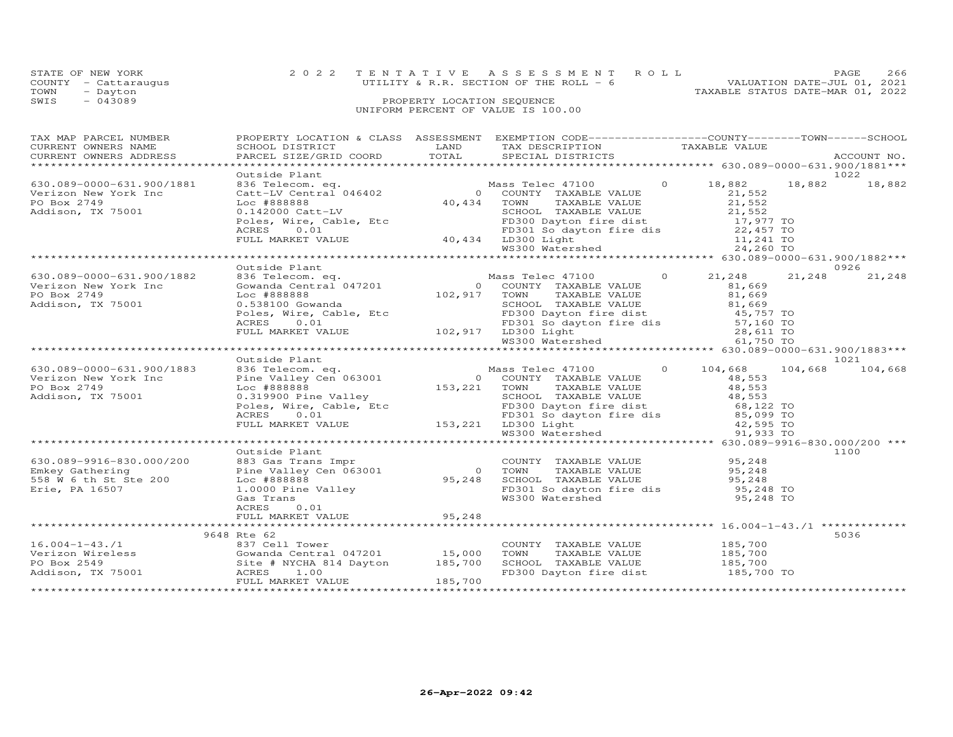| STATE OF NEW YORK    | 2022 TENTATIVE ASSESSMENT ROLL           | PAGE                             | 266 |
|----------------------|------------------------------------------|----------------------------------|-----|
| COUNTY - Cattaraugus | UTILITY & R.R. SECTION OF THE ROLL $-$ 6 | VALUATION DATE-JUL 01, 2021      |     |
| TOWN<br>- Dayton     |                                          | TAXABLE STATUS DATE-MAR 01, 2022 |     |
| SWIS<br>$-043089$    | PROPERTY LOCATION SEQUENCE               |                                  |     |
|                      | UNIFORM PERCENT OF VALUE IS 100.00       |                                  |     |

| TAX MAP PARCEL NUMBER<br>TAX PARCES NUMBER SCHOOL DISTRICT AND AUGUST TRANSPORTED TRANSPORT TRANSPORT OWNERS NUMBER SCHOOL DISTRICT TRANSPORT TRANSPORTED TRANSPORT TRANSPORT TRANSPORT TRANSPORT TRANSPORT TRANSPORT TRANSPORT TRANSPORT TRANSPORT TRA                                                                                                                   |               |         | PROPERTY LOCATION & CLASS ASSESSMENT EXEMPTION CODE----------------COUNTY-------TOWN------SCHOOL                                                                                                                                           |         |
|---------------------------------------------------------------------------------------------------------------------------------------------------------------------------------------------------------------------------------------------------------------------------------------------------------------------------------------------------------------------------|---------------|---------|--------------------------------------------------------------------------------------------------------------------------------------------------------------------------------------------------------------------------------------------|---------|
|                                                                                                                                                                                                                                                                                                                                                                           |               |         |                                                                                                                                                                                                                                            |         |
| 630.089-0000-631.900/1881<br>Verizon New York Inc<br>PO Box 2749<br>Addison, TX 75001                                                                                                                                                                                                                                                                                     | Outside Plant |         |                                                                                                                                                                                                                                            | 1022    |
|                                                                                                                                                                                                                                                                                                                                                                           |               |         |                                                                                                                                                                                                                                            |         |
|                                                                                                                                                                                                                                                                                                                                                                           | Outside Plant |         |                                                                                                                                                                                                                                            | 0926    |
| 630.089-0000-631.900/1882 836 Telecom.<br>Verizon New York Inc Gowanda Cent<br>PO Box 2749 Loc #888888<br>Addison, TX 75001 0.538100 Gow                                                                                                                                                                                                                                  |               |         | 00115100 Plant<br>836 Telec 47100 0 21,248 21,248<br>636 Telecom. eq. Mass Telec 47100 0 21,248 21,248<br>69 102,917 TOWN TAXABLE VALUE 81,669<br>81,669 SCHOOL TAXABLE VALUE 81,669<br>81,669 SCHOOL TAXABLE VALUE 81,669<br>FOLES 0.01 E | 21,248  |
|                                                                                                                                                                                                                                                                                                                                                                           |               |         |                                                                                                                                                                                                                                            |         |
|                                                                                                                                                                                                                                                                                                                                                                           | Outside Plant |         |                                                                                                                                                                                                                                            | 1021    |
| 630.089-0000-631.900/1883<br>Verizon New York Inc<br>PO Box 2749<br>PO Box 2749<br>Addison, TX 75001                                                                                                                                                                                                                                                                      |               |         |                                                                                                                                                                                                                                            | 104,668 |
|                                                                                                                                                                                                                                                                                                                                                                           |               |         |                                                                                                                                                                                                                                            |         |
| 630.089-9916-830.000/200 0utside Plant<br>Emkey Gathering Pine Valley Cens Trans Impresses on the Valley Cens of the Valley of the Valley of the Valley<br>Erie, PA 16507 16080888 Generalley 95,248 1.00000 Pine Valley 95,248 1.<br>b30.089-9916-830.000/200 883 Gas Trans Impr<br>Emkey Gathering Pine Valley Cen 063<br>558 W 6 th St 200 Loc #888888<br>Frie PR 1666 | Outside Plant |         |                                                                                                                                                                                                                                            | 1100    |
|                                                                                                                                                                                                                                                                                                                                                                           |               |         |                                                                                                                                                                                                                                            |         |
|                                                                                                                                                                                                                                                                                                                                                                           |               |         |                                                                                                                                                                                                                                            |         |
|                                                                                                                                                                                                                                                                                                                                                                           | 9648 Rte 62   |         |                                                                                                                                                                                                                                            | 5036    |
| 16.004-1-43./1<br>Verizon Wireless Gowanda Central 047201 15,000<br>PO Box 2549 Site # NYCHA 814 Dayton 185,700<br>Addison, TX 75001 ACRES 1.00<br>FIII. MARKET VALUE 185,700                                                                                                                                                                                             |               | 185,700 | COUNTY TAXABLE VALUE 185,700<br>TOWN TAXABLE VALUE 185,700<br>SCHOOL TAXABLE VALUE 185,700<br>FD300 Dayton fire dist 185,700 TO                                                                                                            |         |
|                                                                                                                                                                                                                                                                                                                                                                           |               |         |                                                                                                                                                                                                                                            |         |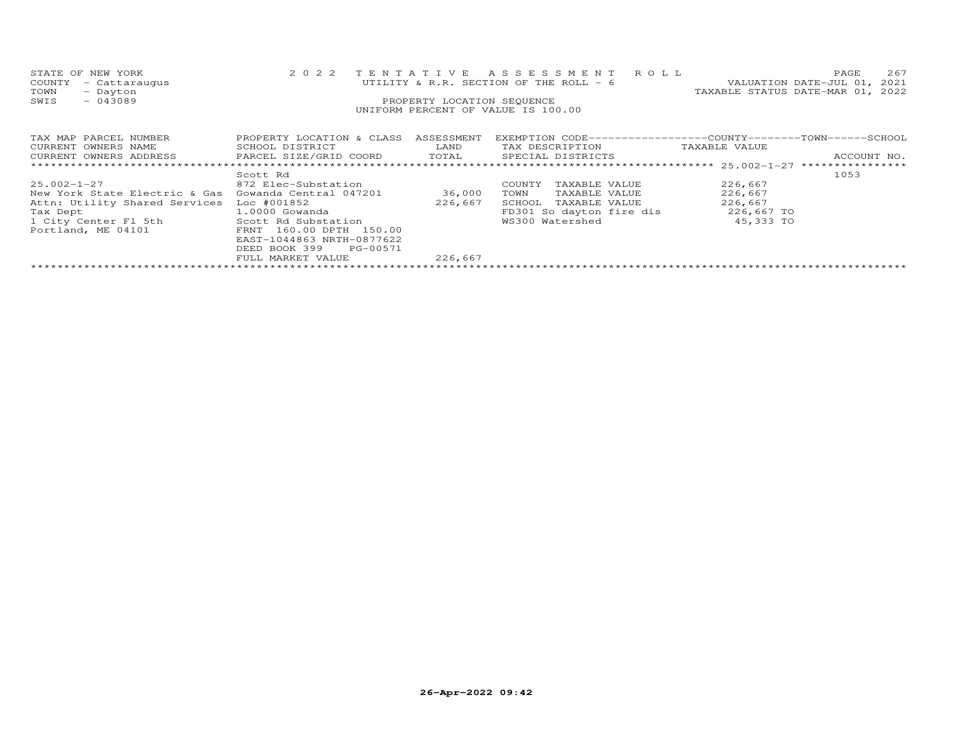| STATE OF NEW YORK<br>COUNTY<br>- Cattaraugus<br>TOWN<br>- Dayton<br>SWIS<br>$-043089$ | 2 0 2 2                      | TENTATIVE<br>PROPERTY LOCATION SEQUENCE | ASSESSMENT ROLL<br>UTILITY & R.R. SECTION OF THE ROLL - 6<br>UNIFORM PERCENT OF VALUE IS 100.00 | 267<br>PAGE<br>VALUATION DATE-JUL 01, 2021<br>TAXABLE STATUS DATE-MAR 01, 2022 |
|---------------------------------------------------------------------------------------|------------------------------|-----------------------------------------|-------------------------------------------------------------------------------------------------|--------------------------------------------------------------------------------|
| TAX MAP PARCEL NUMBER                                                                 | PROPERTY LOCATION & CLASS    | ASSESSMENT                              |                                                                                                 | EXEMPTION CODE------------------COUNTY-------TOWN------SCHOOL                  |
| CURRENT OWNERS NAME                                                                   | SCHOOL DISTRICT              | LAND                                    | TAX DESCRIPTION                                                                                 | TAXABLE VALUE                                                                  |
| CURRENT OWNERS ADDRESS                                                                | PARCEL SIZE/GRID COORD TOTAL |                                         | SPECIAL DISTRICTS                                                                               | ACCOUNT NO.                                                                    |
|                                                                                       |                              |                                         |                                                                                                 |                                                                                |
|                                                                                       | Scott Rd                     |                                         |                                                                                                 | 1053                                                                           |
| $25.002 - 1 - 27$                                                                     | 872 Elec-Substation          |                                         | TAXABLE VALUE<br>COUNTY                                                                         | 226,667                                                                        |
| New York State Electric & Gas                                                         | Gowanda Central 047201       | 36,000                                  | TOWN<br>TAXABLE VALUE                                                                           | 226,667                                                                        |
| Attn: Utility Shared Services                                                         | Loc #001852                  | 226,667                                 | SCHOOL<br>TAXABLE VALUE                                                                         | 226,667                                                                        |
| Tax Dept                                                                              | $1.0000$ Gowanda             |                                         | FD301 So dayton fire dis                                                                        | 226,667 TO                                                                     |
| 1 City Center Fl 5th                                                                  | Scott Rd Substation          |                                         | WS300 Watershed                                                                                 | 45,333 TO                                                                      |
| Portland, ME 04101                                                                    | FRNT 160.00 DPTH 150.00      |                                         |                                                                                                 |                                                                                |
|                                                                                       | EAST-1044863 NRTH-0877622    |                                         |                                                                                                 |                                                                                |
|                                                                                       | DEED BOOK 399<br>PG-00571    |                                         |                                                                                                 |                                                                                |
|                                                                                       | FULL MARKET VALUE            | 226,667                                 |                                                                                                 |                                                                                |
|                                                                                       |                              |                                         |                                                                                                 |                                                                                |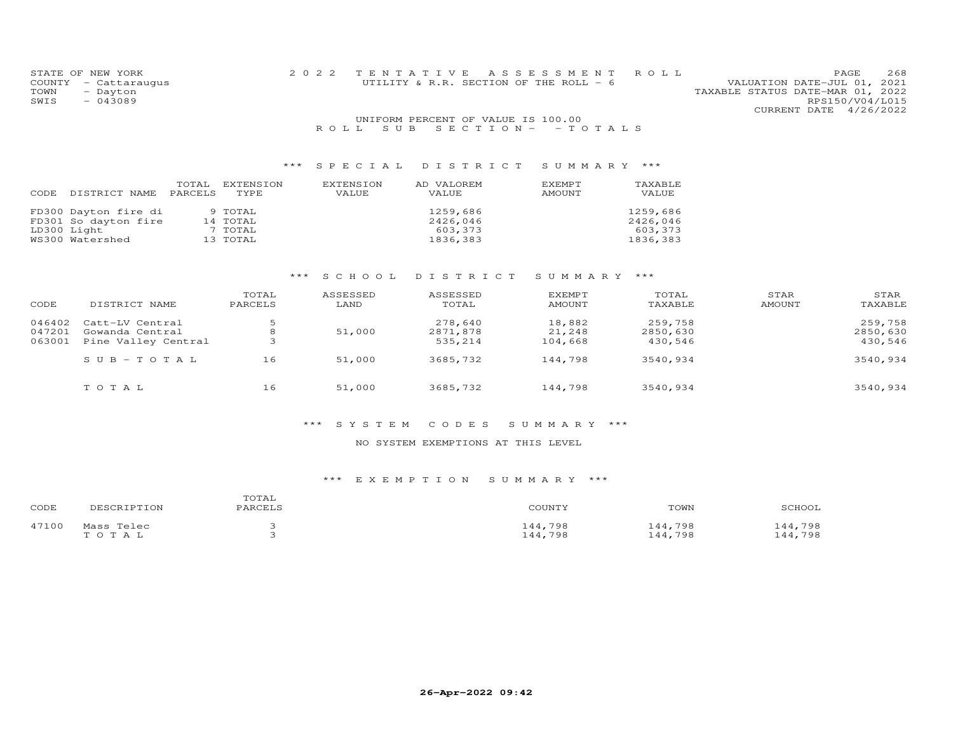| STATE OF NEW YORK    |                                    | 2022 TENTATIVE ASSESSMENT ROLL         |                                  | PAGE.           | 268 |
|----------------------|------------------------------------|----------------------------------------|----------------------------------|-----------------|-----|
| COUNTY - Cattarauqus |                                    | UTILITY & R.R. SECTION OF THE ROLL - 6 | VALUATION DATE-JUL 01, 2021      |                 |     |
| TOWN<br>- Dayton     |                                    |                                        | TAXABLE STATUS DATE-MAR 01, 2022 |                 |     |
| SWIS<br>$-043089$    |                                    |                                        |                                  | RPS150/V04/L015 |     |
|                      |                                    |                                        | CURRENT DATE 4/26/2022           |                 |     |
|                      | UNIFORM PERCENT OF VALUE IS 100.00 |                                        |                                  |                 |     |
|                      |                                    | $    -$                                |                                  |                 |     |

# R O L L S U B S E C T I O N - - T O T A L S

## \*\*\* S P E C I A L D I S T R I C T S U M M A R Y \*\*\*

| CODE | DISTRICT NAME        | TOTAL<br>PARCELS | EXTENSION<br>TYPE | EXTENSION<br>VALUE | AD VALOREM<br>VALUE | <b>EXEMPT</b><br>AMOUNT | TAXABLE<br>VALUE |
|------|----------------------|------------------|-------------------|--------------------|---------------------|-------------------------|------------------|
|      | FD300 Dayton fire di |                  | 9 TOTAL           |                    | 1259,686            |                         | 1259,686         |
|      | FD301 So dayton fire |                  | 14 TOTAL          |                    | 2426,046            |                         | 2426,046         |
|      | LD300 Light          |                  | 7 TOTAL           |                    | 603,373             |                         | 603,373          |
|      | WS300 Watershed      |                  | 13 TOTAL          |                    | 1836,383            |                         | 1836,383         |

# \*\*\* S C H O O L D I S T R I C T S U M M A R Y \*\*\*

| CODE   | DISTRICT NAME         | TOTAL<br>PARCELS | ASSESSED<br>LAND | ASSESSED<br>TOTAL | <b>EXEMPT</b><br>AMOUNT | TOTAL<br>TAXABLE | STAR<br>AMOUNT | STAR<br>TAXABLE |
|--------|-----------------------|------------------|------------------|-------------------|-------------------------|------------------|----------------|-----------------|
| 046402 | Catt-LV Central       |                  |                  | 278,640           | 18,882                  | 259,758          |                | 259,758         |
| 047201 | Gowanda Central       | 8                | 51,000           | 2871,878          | 21,248                  | 2850,630         |                | 2850,630        |
| 063001 | Pine Valley Central   | - 4              |                  | 535,214           | 104,668                 | 430,546          |                | 430,546         |
|        | $S \cup B - TO T A L$ | 16               | 51,000           | 3685,732          | 144,798                 | 3540,934         |                | 3540,934        |
|        | TOTAL                 | 16               | 51,000           | 3685,732          | 144,798                 | 3540,934         |                | 3540,934        |

#### \*\*\* S Y S T E M C O D E S S U M M A R Y \*\*\*

#### NO SYSTEM EXEMPTIONS AT THIS LEVEL

| CODE  | DESCRIPTION | TOTAL<br>PARCELS | COUNTY  | TOWN    | SCHOOL  |
|-------|-------------|------------------|---------|---------|---------|
| 47100 | Mass Telec  |                  | 144,798 | 144,798 | 144,798 |
|       | TOTAL       |                  | 144,798 | 144,798 | 44,798  |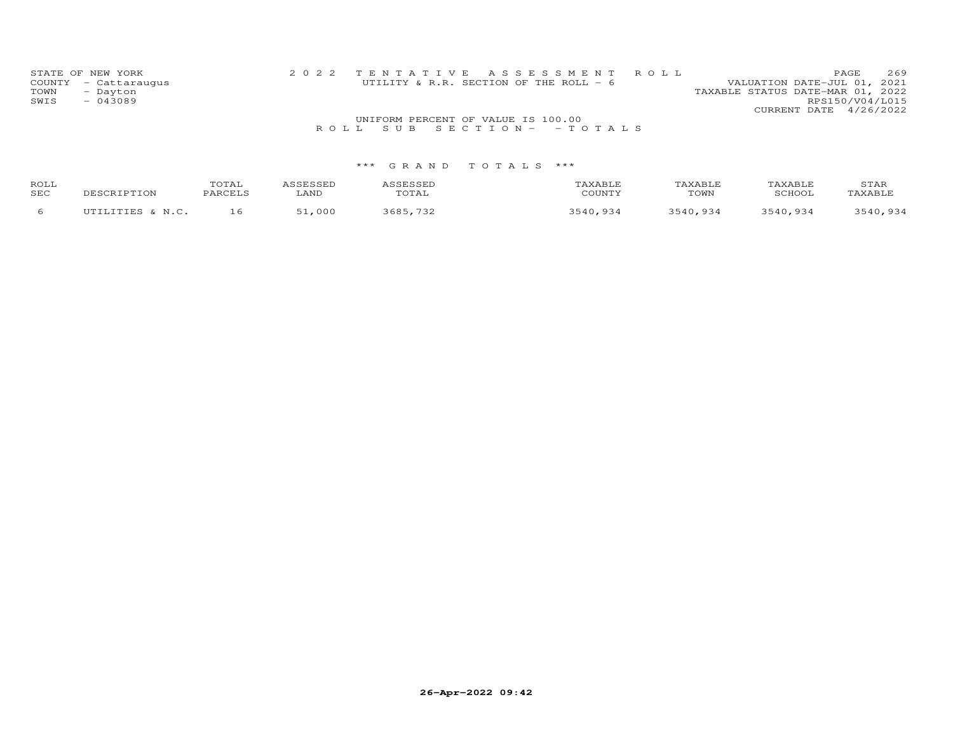| STATE OF NEW YORK<br>COUNTY - Cattaraugus<br>TOWN<br>- Dayton<br>$-043089$<br>SWIS |                                    |  | 2022 TENTATIVE ASSESSMENT ROLL<br>UTILITY & R.R. SECTION OF THE ROLL - 6 |  | PAGE<br>VALUATION DATE-JUL 01, 2021<br>TAXABLE STATUS DATE-MAR 01, 2022 | 269<br>RPS150/V04/L015 |  |  |  |  |  |
|------------------------------------------------------------------------------------|------------------------------------|--|--------------------------------------------------------------------------|--|-------------------------------------------------------------------------|------------------------|--|--|--|--|--|
|                                                                                    |                                    |  |                                                                          |  | CURRENT DATE 4/26/2022                                                  |                        |  |  |  |  |  |
|                                                                                    | UNIFORM PERCENT OF VALUE IS 100.00 |  |                                                                          |  |                                                                         |                        |  |  |  |  |  |
|                                                                                    |                                    |  | ROLL SUB SECTION- - TOTALS                                               |  |                                                                         |                        |  |  |  |  |  |

| ROLL<br>SEC | DESCRIPTION      | TOTAL<br>PARCELS | LAND | SESSEL<br>uial | AXABLF<br>COUNTY | "AXABLE<br>TOWN | TAXABI.F<br>SCHOOI | STAR<br>AXABLF |
|-------------|------------------|------------------|------|----------------|------------------|-----------------|--------------------|----------------|
|             | IITTLITTES & N C |                  | 000  | 3685           | 3541<br>QZ       | ,934            | . 934              | 3540,934       |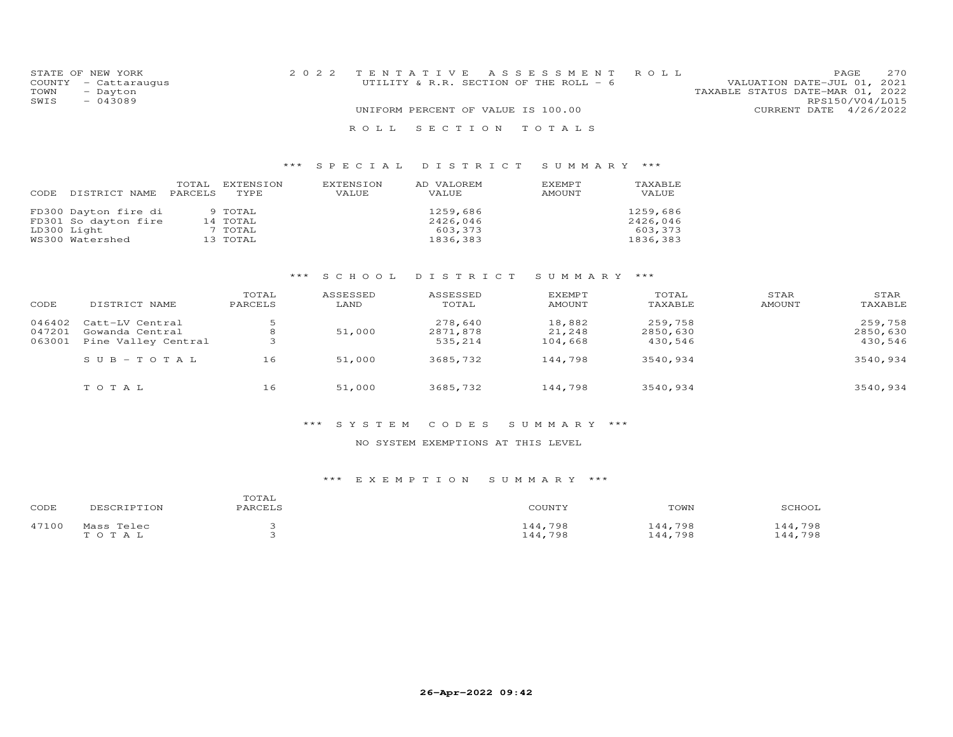| STATE OF NEW YORK    | 2022 TENTATIVE ASSESSMENT ROLL         |                                  | PAGE | 2.70 |
|----------------------|----------------------------------------|----------------------------------|------|------|
| COUNTY - Cattaraugus | UTILITY & R.R. SECTION OF THE ROLL - 6 | VALUATION DATE-JUL 01, 2021      |      |      |
| TOWN<br>- Dayton     |                                        | TAXABLE STATUS DATE-MAR 01, 2022 |      |      |
| SWIS<br>$-043089$    |                                        | RPS150/V04/L015                  |      |      |
|                      | UNIFORM PERCENT OF VALUE IS 100.00     | CURRENT DATE 4/26/2022           |      |      |
|                      | ROLL SECTION TOTALS                    |                                  |      |      |

| DISTRICT NAME                                                                  | TOTAL   | EXTENSION                                  | EXTENSION | AD VALOREM                                  | EXEMPT | TAXABLE                                     |
|--------------------------------------------------------------------------------|---------|--------------------------------------------|-----------|---------------------------------------------|--------|---------------------------------------------|
| CODE                                                                           | PARCELS | TYPE.                                      | VALUE     | VALUE                                       | AMOUNT | VALUE                                       |
| FD300 Dayton fire di<br>FD301 So dayton fire<br>LD300 Light<br>WS300 Watershed |         | 9 TOTAL<br>14 TOTAL<br>7 TOTAL<br>13 TOTAL |           | 1259,686<br>2426,046<br>603,373<br>1836,383 |        | 1259,686<br>2426,046<br>603,373<br>1836,383 |

# \*\*\* S C H O O L D I S T R I C T S U M M A R Y \*\*\*

| CODE   | DISTRICT NAME       | TOTAL<br>PARCELS | ASSESSED<br>LAND | ASSESSED<br>TOTAL | <b>EXEMPT</b><br>AMOUNT | TOTAL<br>TAXABLE | STAR<br>AMOUNT | STAR<br>TAXABLE |
|--------|---------------------|------------------|------------------|-------------------|-------------------------|------------------|----------------|-----------------|
| 046402 | Catt-LV Central     | ہ                |                  | 278,640           | 18,882                  | 259,758          |                | 259,758         |
| 047201 | Gowanda Central     | 8                | 51,000           | 2871,878          | 21,248                  | 2850,630         |                | 2850,630        |
| 063001 | Pine Valley Central | -2               |                  | 535,214           | 104,668                 | 430,546          |                | 430,546         |
|        | $SUB - TO TAL$      | 16               | 51,000           | 3685,732          | 144,798                 | 3540,934         |                | 3540,934        |
|        | TOTAL               | 16               | 51,000           | 3685,732          | 144,798                 | 3540,934         |                | 3540,934        |

## \*\*\* S Y S T E M C O D E S S U M M A R Y \*\*\*

#### NO SYSTEM EXEMPTIONS AT THIS LEVEL

| CODE  | DESCRIPTION | TOTAL<br>PARCELS | COUNTY  | TOWN    | SCHOOL  |
|-------|-------------|------------------|---------|---------|---------|
| 47100 | Mass Telec  |                  | 144,798 | 144,798 | 144,798 |
|       | TOTAL       |                  | 144,798 | 144,798 | 44,798  |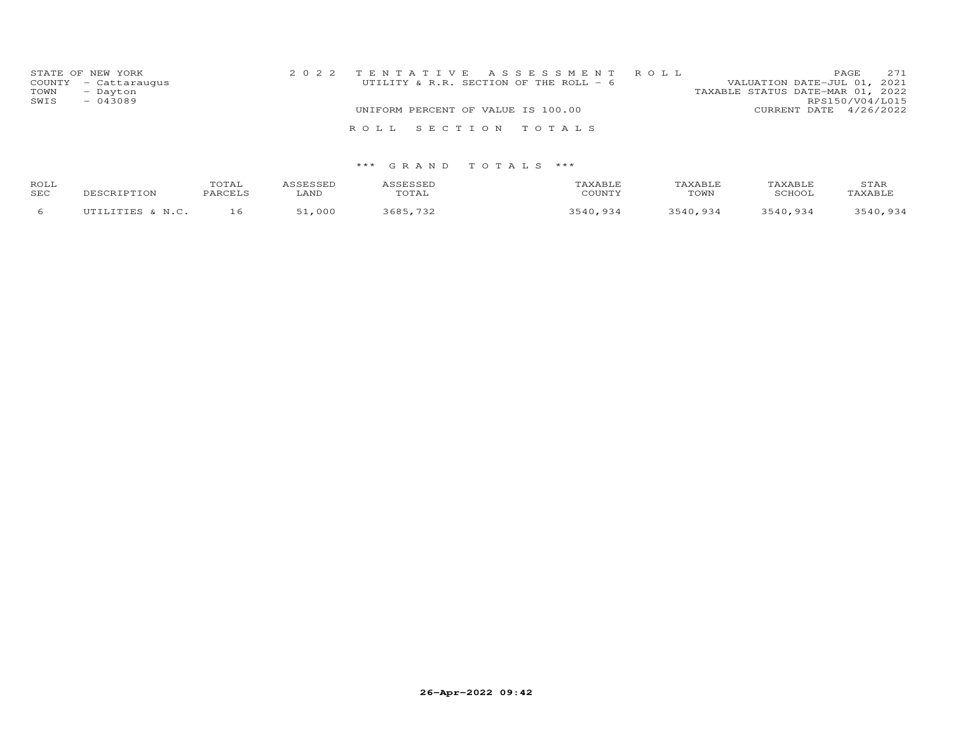| STATE OF NEW YORK<br>COUNTY - Cattaraugus<br>TOWN<br>- Dayton<br>SWIS<br>$-043089$ |  | 2022 TENTATIVE ASSESSMENT ROLL<br>UTILITY & R.R. SECTION OF THE ROLL - 6 | VALUATION DATE-JUL 01, 2021<br>TAXABLE STATUS DATE-MAR 01, 2022 | PAGE<br>RPS150/V04/L015 | 271 |
|------------------------------------------------------------------------------------|--|--------------------------------------------------------------------------|-----------------------------------------------------------------|-------------------------|-----|
|                                                                                    |  | UNIFORM PERCENT OF VALUE IS 100.00                                       | CURRENT DATE 4/26/2022                                          |                         |     |
|                                                                                    |  | ROLL SECTION TOTALS                                                      |                                                                 |                         |     |

| ROLL<br>SEC | DESCRIPTION                | TOTAL<br>PARCELS | LAND | TOTAL       | <b>TAXABLE</b><br>COUNTY | TAXABLE<br>TOWN | <b>TAXABLE</b><br>SCHOOL | STAR<br>TAXABLE |
|-------------|----------------------------|------------------|------|-------------|--------------------------|-----------------|--------------------------|-----------------|
|             | UTILITIES A<br>$\sim N.C.$ | 16.              | .000 | 3685<br>ワマツ | QZ                       | 3540,934        | 3540,934                 | 3540,934        |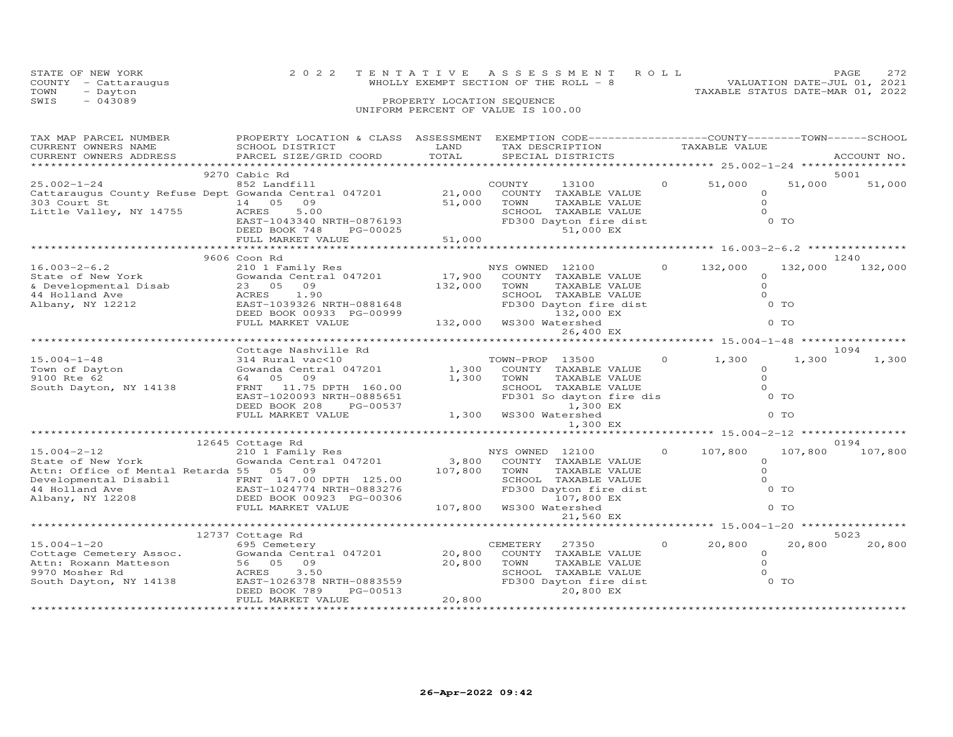|      | STATE OF NEW YORK                | 2022 TENTATIVE ASSESSMENT ROLL         |  |                                  | PAGE.                       | 2.72 |
|------|----------------------------------|----------------------------------------|--|----------------------------------|-----------------------------|------|
| TOWN | COUNTY - Cattaraugus<br>- Dayton | WHOLLY EXEMPT SECTION OF THE ROLL $-8$ |  | TAXABLE STATUS DATE-MAR 01, 2022 | VALUATION DATE-JUL 01, 2021 |      |
| SWIS | $-043089$                        | PROPERTY LOCATION SEQUENCE             |  |                                  |                             |      |
|      |                                  | UNIFORM PERCENT OF VALUE IS 100.00     |  |                                  |                             |      |

| TAX MAP PARCEL NUMBER                                        | PROPERTY LOCATION & CLASS ASSESSMENT EXEMPTION CODE----------------COUNTY-------TOWN-----SCHOOL                                        |                          |                 |                                                                                 |         |                                                    |         |             |
|--------------------------------------------------------------|----------------------------------------------------------------------------------------------------------------------------------------|--------------------------|-----------------|---------------------------------------------------------------------------------|---------|----------------------------------------------------|---------|-------------|
| CURRENT OWNERS NAME                                          | SCHOOL DISTRICT                                                                                                                        | LAND                     |                 | TAX DESCRIPTION                                                                 |         | TAXABLE VALUE                                      |         |             |
| CURRENT OWNERS ADDRESS                                       | PARCEL SIZE/GRID COORD                                                                                                                 | TOTAL                    |                 | SPECIAL DISTRICTS                                                               |         |                                                    |         | ACCOUNT NO. |
|                                                              |                                                                                                                                        |                          |                 |                                                                                 |         |                                                    |         |             |
|                                                              | 9270 Cabic Rd                                                                                                                          |                          |                 |                                                                                 |         |                                                    |         | 5001        |
| $25.002 - 1 - 24$                                            | 852 Landfill                                                                                                                           |                          | COUNTY          | 13100                                                                           |         | 51,000                                             | 51,000  | 51,000      |
|                                                              | Cattaraugus County Refuse Dept Gowanda Central 047201 21,000<br>303 Court St 14 05 09 51,000                                           |                          |                 | COUNTY TAXABLE VALUE                                                            |         | $\circ$                                            |         |             |
|                                                              |                                                                                                                                        |                          | TOWN            | TAXABLE VALUE                                                                   |         | $\Omega$                                           |         |             |
| Little Valley, NY 14755                                      | $14$ $14755$ $14$ $05$<br>ACRES<br>5.00                                                                                                |                          |                 | SCHOOL TAXABLE VALUE                                                            |         | $\Omega$                                           |         |             |
|                                                              | EAST-1043340 NRTH-0876193                                                                                                              |                          |                 | FD300 Dayton fire dist                                                          |         |                                                    | $0$ TO  |             |
|                                                              | DEED BOOK 748<br>PG-00025                                                                                                              |                          |                 | 51,000 EX                                                                       |         |                                                    |         |             |
|                                                              | FULL MARKET VALUE                                                                                                                      | 51,000                   |                 |                                                                                 |         |                                                    |         |             |
|                                                              |                                                                                                                                        |                          |                 |                                                                                 |         |                                                    |         |             |
|                                                              | 9606 Coon Rd                                                                                                                           |                          |                 |                                                                                 |         |                                                    |         | 1240        |
| $16.003 - 2 - 6.2$                                           | 210 1 Family Res NYS OWNED 12100                                                                                                       |                          |                 |                                                                                 |         | $0 \t 132,000$                                     | 132,000 | 132,000     |
|                                                              |                                                                                                                                        |                          |                 | COUNTY TAXABLE VALUE                                                            |         | $\circ$                                            |         |             |
| State of New York<br>& Developmental Disab<br>44 Holland Ave | Gowanda Central 047201 17,900<br>09                                                                                                    | 132,000                  | TOWN            |                                                                                 |         | $\Omega$                                           |         |             |
|                                                              | 23 05                                                                                                                                  |                          |                 | TAXABLE VALUE                                                                   |         | $\Omega$                                           |         |             |
|                                                              | ACRES<br>1.90                                                                                                                          |                          |                 |                                                                                 |         |                                                    |         |             |
| Albany, NY 12212                                             | EAST-1039326 NRTH-0881648                                                                                                              |                          |                 |                                                                                 |         |                                                    | $0$ TO  |             |
|                                                              | DEED BOOK 00933 PG-00999                                                                                                               |                          |                 | SCHOOL TAXABLE VALUE<br>FD300 Dayton fire dist<br>132,000 EX<br>WS300 Watershed |         |                                                    |         |             |
|                                                              | FULL MARKET VALUE                                                                                                                      | 132,000 WS300 Watershed  |                 |                                                                                 |         |                                                    | $0$ TO  |             |
|                                                              |                                                                                                                                        |                          |                 | 26,400 EX                                                                       |         |                                                    |         |             |
|                                                              |                                                                                                                                        |                          |                 |                                                                                 |         | ******************** 15.004-1-48 ***************** |         |             |
|                                                              | Cottage Nashville Rd                                                                                                                   |                          |                 |                                                                                 |         |                                                    |         | 1094        |
| $15.004 - 1 - 48$                                            | 314 Rural vac<10                                                                                                                       |                          | TOWN-PROP 13500 |                                                                                 | $\circ$ | 1,300                                              | 1,300   | 1,300       |
| Town of Dayton                                               | Gowanda Central 047201                                                                                                                 | 1,300                    |                 | COUNTY TAXABLE VALUE                                                            |         | $\circ$                                            |         |             |
| 9100 Rte 62                                                  | 64 05<br>09                                                                                                                            | 1,300                    | TOWN            | TAXABLE VALUE                                                                   |         | $\Omega$                                           |         |             |
| South Dayton, NY 14138                                       | FRNT 11.75 DPTH 160.00                                                                                                                 |                          |                 | SCHOOL TAXABLE VALUE                                                            |         | $\Omega$                                           |         |             |
|                                                              | EAST-1020093 NRTH-0885651                                                                                                              |                          |                 | SCHOOL TAXABLE VALUE<br>FD301 So dayton fire dis                                |         | O TO                                               |         |             |
|                                                              | DEED BOOK 208<br>PG-00537                                                                                                              |                          |                 | 1,300 EX                                                                        |         |                                                    |         |             |
|                                                              | FULL MARKET VALUE                                                                                                                      | 1,300 WS300 Watershed    |                 |                                                                                 |         |                                                    | $0$ TO  |             |
|                                                              |                                                                                                                                        |                          |                 | 1,300 EX                                                                        |         |                                                    |         |             |
|                                                              |                                                                                                                                        |                          |                 |                                                                                 |         |                                                    |         |             |
|                                                              | 12645 Cottage Rd                                                                                                                       |                          |                 |                                                                                 |         |                                                    |         | 0194        |
| $15.004 - 2 - 12$                                            |                                                                                                                                        |                          | NYS OWNED 12100 |                                                                                 | $\circ$ | 107,800                                            | 107,800 | 107,800     |
| State of New York                                            | 210 1 Family Res<br>Gowanda Central 047201 3,800                                                                                       |                          |                 | COUNTY TAXABLE VALUE                                                            |         | $\circ$                                            |         |             |
| Attn: Office of Mental Retarda 55 05 09                      |                                                                                                                                        | 107,800                  | TOWN            | TAXABLE VALUE                                                                   |         | $\circ$                                            |         |             |
|                                                              |                                                                                                                                        |                          |                 | SCHOOL TAXABLE VALUE                                                            |         | $\Omega$                                           |         |             |
|                                                              | Developmental Disabil FRNT 147.00 DPTH 125.00<br>44 Holland Ave EAST-1024774 NRTH-0883276<br>Albany, NY 12208 DEED BOOK 00923 PG-00306 |                          |                 | FD300 Dayton fire dist                                                          |         |                                                    | $0$ TO  |             |
|                                                              |                                                                                                                                        |                          |                 | 107,800 EX                                                                      |         |                                                    |         |             |
|                                                              | FULL MARKET VALUE                                                                                                                      | 107,800  WS300 Watershed |                 |                                                                                 |         |                                                    | $0$ TO  |             |
|                                                              |                                                                                                                                        |                          |                 | 21,560 EX                                                                       |         |                                                    |         |             |
|                                                              |                                                                                                                                        |                          |                 |                                                                                 |         |                                                    |         |             |
|                                                              | 12737 Cottage Rd                                                                                                                       |                          |                 |                                                                                 |         |                                                    |         | 5023        |
|                                                              |                                                                                                                                        |                          | CEMETERY        | 27350                                                                           |         | $0 \t 20,800$                                      | 20,800  | 20,800      |
|                                                              |                                                                                                                                        |                          |                 | COUNTY TAXABLE VALUE                                                            |         | $\circ$                                            |         |             |
|                                                              |                                                                                                                                        |                          | TOWN            | TAXABLE VALUE                                                                   |         | $\Omega$                                           |         |             |
|                                                              |                                                                                                                                        |                          |                 | SCHOOL TAXABLE VALUE                                                            |         | $\Omega$                                           |         |             |
|                                                              | South Dayton, NY 14138 EAST-1026378 NRTH-0883559                                                                                       |                          |                 | FD300 Dayton fire dist                                                          |         |                                                    | $0$ TO  |             |
|                                                              | PG-00513<br>DEED BOOK 789                                                                                                              |                          |                 | 20,800 EX                                                                       |         |                                                    |         |             |
|                                                              | FULL MARKET VALUE                                                                                                                      | 20,800                   |                 |                                                                                 |         |                                                    |         |             |
|                                                              |                                                                                                                                        |                          |                 |                                                                                 |         |                                                    |         |             |
|                                                              |                                                                                                                                        |                          |                 |                                                                                 |         |                                                    |         |             |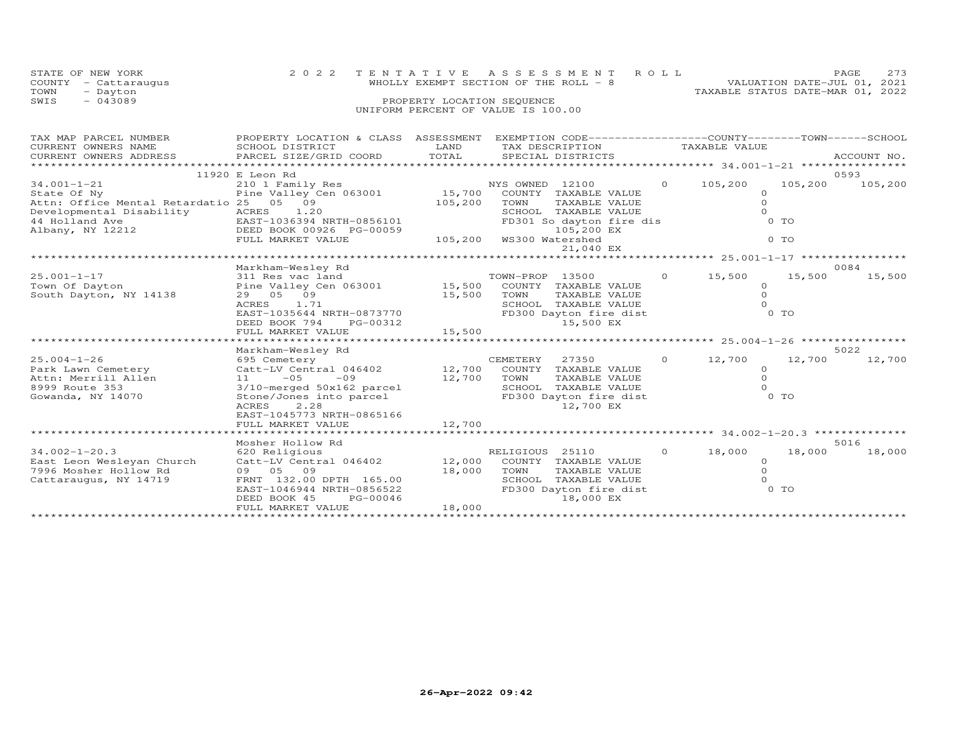| STATE OF NEW YORK    | 2022 TENTATIVE ASSESSMENT ROLL                                   | PAGE                             | 273 |
|----------------------|------------------------------------------------------------------|----------------------------------|-----|
| COUNTY - Cattaraugus | WHOLLY EXEMPT SECTION OF THE ROLL - 8                            | VALUATION DATE-JUL 01, 2021      |     |
| TOWN<br>- Dayton     |                                                                  | TAXABLE STATUS DATE-MAR 01, 2022 |     |
| SWTS<br>$-043089$    | PROPERTY LOCATION SEQUENCE<br>UNIFORM PERCENT OF VALUE IS 100.00 |                                  |     |

| TAX MAP PARCEL NUMBER<br>CURRENT OWNERS NAME<br>CURRENT OWNERS ADDRESS                                | PROPERTY LOCATION & CLASS ASSESSMENT EXEMPTION CODE----------------COUNTY-------TOWN------SCHOOL<br>SCHOOL DISTRICT<br>PARCEL SIZE/GRID COORD                                                   | LAND<br>TOTAL              | TAX DESCRIPTION TAXABLE VALUE<br>SPECIAL DISTRICTS                                                                                              |          |                                            |                                     | ACCOUNT NO.     |
|-------------------------------------------------------------------------------------------------------|-------------------------------------------------------------------------------------------------------------------------------------------------------------------------------------------------|----------------------------|-------------------------------------------------------------------------------------------------------------------------------------------------|----------|--------------------------------------------|-------------------------------------|-----------------|
| $34.001 - 1 - 21$<br>State Of Ny<br>Attn: Office Mental Retardatio 25 05 09                           | 11920 E Leon Rd<br>210 1 Family Res<br>Pine Valley Cen 063001 15,700<br>FULL MARKET VALUE                                                                                                       | 105,200                    | NYS OWNED 12100<br>COUNTY TAXABLE VALUE<br>TOWN<br>TAXABLE VALUE<br>SCHOOL TAXABLE VALUE<br>FD301 So dayton fire dis<br>105,200 EX<br>21,040 EX | $\Omega$ | 105,200<br>$\Omega$<br>$\circ$<br>$\Omega$ | 105,200<br>$0$ TO<br>0 <sub>T</sub> | 0593<br>105,200 |
|                                                                                                       |                                                                                                                                                                                                 |                            |                                                                                                                                                 |          |                                            |                                     |                 |
| $25.001 - 1 - 17$<br>Town Of Dayton<br>South Dayton, NY 14138                                         | Markham-Wesley Rd<br>311 Res vac land<br>Pine Valley Cen 063001 15,500 COUNTY TAXABLE VALUE<br>29 05 09<br>ACRES<br>1.71<br>EAST-1035644 NRTH-0873770<br>DEED BOOK 794<br>PG-00312              | 15,500                     | TOWN-PROP 13500<br>TOWN<br>TAXABLE VALUE<br>SCHOOL TAXABLE VALUE<br>FD300 Dayton fire dist<br>15,500 EX                                         | $\Omega$ | 15,500<br>$\circ$<br>$\circ$<br>$\Omega$   | 15,500<br>0 TO                      | 0084<br>15,500  |
|                                                                                                       | Markham-Wesley Rd                                                                                                                                                                               |                            |                                                                                                                                                 |          |                                            |                                     | 5022            |
| $25.004 - 1 - 26$<br>Park Lawn Cemetery<br>Attn: Merrill Allen<br>8999 Route 353<br>Gowanda, NY 14070 | 695 Cemetery<br>Catt-LV Central 046402<br>$11 - 05$<br>$-0.9$<br>3/10-merged 50x162 parcel<br>Stone/Jones into parcel<br><b>ACRES</b><br>2.28<br>EAST-1045773 NRTH-0865166<br>FULL MARKET VALUE | 12,700<br>12,700<br>12,700 | CEMETERY<br>27350<br>COUNTY TAXABLE VALUE<br>TOWN<br>TAXABLE VALUE<br>SCHOOL TAXABLE VALUE<br>FD300 Dayton fire dist<br>12,700 EX               | $\circ$  | 12,700<br>$\circ$<br>$\circ$<br>$\Omega$   | 12,700<br>$0$ TO                    | 12,700          |
|                                                                                                       | Mosher Hollow Rd                                                                                                                                                                                |                            |                                                                                                                                                 |          |                                            |                                     | 5016            |
| $34.002 - 1 - 20.3$<br>East Leon Wesleyan Church<br>7996 Mosher Hollow Rd<br>Cattaraugus, NY 14719    | 620 Religious<br>Catt-LV Central 046402<br>09 05 09<br>FRNT 132.00 DPTH 165.00<br>EAST-1046944 NRTH-0856522<br>DEED BOOK 45<br>PG-00046<br>FULL MARKET VALUE                                    | 12,000<br>18,000<br>18,000 | RELIGIOUS 25110<br>COUNTY TAXABLE VALUE<br>TOWN<br>TAXABLE VALUE<br>SCHOOL TAXABLE VALUE<br>FD300 Dayton fire dist<br>18,000 EX                 | $\Omega$ | 18,000<br>$\circ$<br>$\Omega$<br>$\Omega$  | 18,000<br>$0$ TO                    | 18,000          |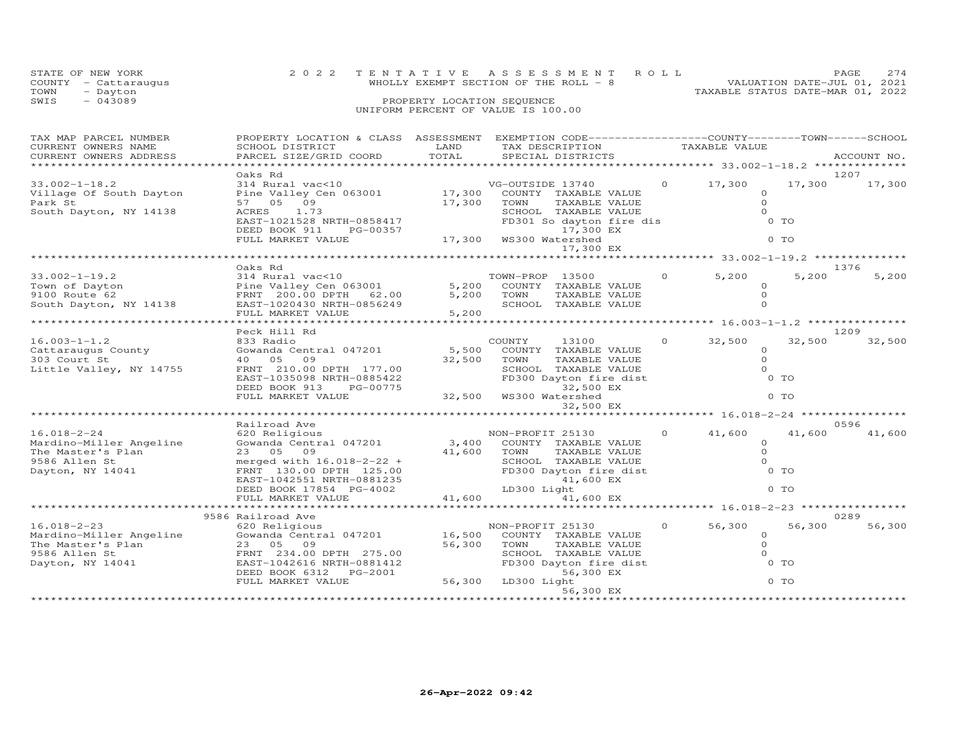|      | STATE OF NEW YORK    | 2022 TENTATIVE ASSESSMENT ROLL         | PAGE.                       | 2.74 |
|------|----------------------|----------------------------------------|-----------------------------|------|
|      | COUNTY - Cattaraugus | WHOLLY EXEMPT SECTION OF THE ROLL $-8$ | VALUATION DATE-JUL 01, 2021 |      |
| TOWN | - Dayton             | TAXABLE STATUS DATE-MAR 01, 2022       |                             |      |
| SWIS | $-043089$            | PROPERTY LOCATION SEQUENCE             |                             |      |
|      |                      | UNIFORM PERCENT OF VALUE IS 100.00     |                             |      |

| TAX MAP PARCEL NUMBER                                                                                         | PROPERTY LOCATION & CLASS ASSESSMENT                                                                                                |                          |                        | EXEMPTION CODE-----------------COUNTY-------TOWN------SCHOOL                     |          |               |          |             |
|---------------------------------------------------------------------------------------------------------------|-------------------------------------------------------------------------------------------------------------------------------------|--------------------------|------------------------|----------------------------------------------------------------------------------|----------|---------------|----------|-------------|
| CURRENT OWNERS NAME                                                                                           | SCHOOL DISTRICT                                                                                                                     | LAND                     | TAX DESCRIPTION        |                                                                                  |          | TAXABLE VALUE |          |             |
| CURRENT OWNERS ADDRESS                                                                                        | PARCEL SIZE/GRID COORD                                                                                                              | TOTAL                    |                        | SPECIAL DISTRICTS                                                                |          |               |          | ACCOUNT NO. |
|                                                                                                               |                                                                                                                                     |                          |                        |                                                                                  |          |               |          |             |
|                                                                                                               | Oaks Rd                                                                                                                             |                          |                        |                                                                                  |          |               |          | 1207        |
| $33.002 - 1 - 18.2$                                                                                           | 314 Rural vac<10                                                                                                                    |                          | VG-OUTSIDE 13740       |                                                                                  | $\Omega$ | 17,300        | 17,300   | 17,300      |
| Village Of South Dayton                                                                                       | Pine Valley Cen 063001 17,300                                                                                                       |                          |                        | COUNTY TAXABLE VALUE                                                             |          |               | $\circ$  |             |
| Park St                                                                                                       | 57 05 09                                                                                                                            | 17,300                   | TOWN                   | TAXABLE VALUE                                                                    |          |               | $\Omega$ |             |
| South Dayton, NY 14138                                                                                        | 1.73<br>ACRES                                                                                                                       |                          |                        | IOWN TAXABLE VALUE<br>SCHOOL TAXABLE VALUE<br>FD301 So dayton fire dis           |          |               | $\Omega$ |             |
|                                                                                                               | EAST-1021528 NRTH-0858417                                                                                                           |                          |                        |                                                                                  |          |               | $0$ TO   |             |
|                                                                                                               | DEED BOOK 911<br>PG-00357                                                                                                           |                          |                        | 17,300 EX                                                                        |          |               |          |             |
|                                                                                                               | FULL MARKET VALUE                                                                                                                   | 17,300 WS300 Watershed   |                        |                                                                                  |          |               | $0$ TO   |             |
|                                                                                                               |                                                                                                                                     |                          |                        | 17,300 EX                                                                        |          |               |          |             |
|                                                                                                               |                                                                                                                                     |                          |                        |                                                                                  |          |               |          |             |
|                                                                                                               | Oaks Rd                                                                                                                             |                          |                        |                                                                                  |          |               |          | 1376        |
| $33.002 - 1 - 19.2$                                                                                           | 314 Rural vac<10                                                                                                                    |                          | TOWN-PROP 13500        |                                                                                  |          | $0 \t 5,200$  | 5,200    | 5,200       |
| Town of Dayton                                                                                                | Fine Valley Cen 063001 5,200 COUNTY TAXABLE VALUE<br>FRATT 200.00 DPTH 62.00 5,200 TOWN TAXABLE VALUE<br>FRATT 1000400 NPTH 0956049 |                          |                        |                                                                                  |          |               | $\Omega$ |             |
| 9100 Route 62                                                                                                 |                                                                                                                                     |                          |                        |                                                                                  |          |               | $\Omega$ |             |
| South Dayton, NY 14138 EAST-1020430 NRTH-0856249                                                              |                                                                                                                                     |                          |                        | SCHOOL TAXABLE VALUE                                                             |          |               | $\Omega$ |             |
|                                                                                                               | FULL MARKET VALUE                                                                                                                   | 5,200                    |                        |                                                                                  |          |               |          |             |
|                                                                                                               |                                                                                                                                     |                          |                        |                                                                                  |          |               |          |             |
|                                                                                                               | Peck Hill Rd                                                                                                                        |                          |                        |                                                                                  |          |               |          | 1209        |
| $16.003 - 1 - 1.2$                                                                                            | 833 Radio                                                                                                                           |                          | COUNTY                 | 13100                                                                            | $\Omega$ | 32,500        | 32,500   | 32,500      |
| Cattaraugus County                                                                                            | Gowanda Central 047201                                                                                                              | 5,500                    |                        | COUNTY TAXABLE VALUE                                                             |          |               | $\Omega$ |             |
| 303 Court St                                                                                                  | 40 05<br>09                                                                                                                         | 32,500                   | TOWN                   |                                                                                  |          |               | $\Omega$ |             |
| Little Valley, NY 14755                                                                                       | FRNT 210.00 DPTH 177.00                                                                                                             |                          |                        |                                                                                  |          |               | $\Omega$ |             |
|                                                                                                               | EAST-1035098 NRTH-0885422                                                                                                           |                          |                        |                                                                                  |          |               | $0$ TO   |             |
|                                                                                                               | DEED BOOK 913<br>PG-00775                                                                                                           |                          |                        |                                                                                  |          |               |          |             |
|                                                                                                               | FULL MARKET VALUE                                                                                                                   |                          | 32,500 WS300 Watershed | ED300 Dayton fire dist<br>FD300 Dayton fire dist<br>32,500 EX<br>WS300 Watership |          |               | $0$ TO   |             |
|                                                                                                               |                                                                                                                                     |                          |                        | 32,500 EX                                                                        |          |               |          |             |
|                                                                                                               |                                                                                                                                     |                          |                        |                                                                                  |          |               |          |             |
|                                                                                                               | Railroad Ave                                                                                                                        |                          |                        |                                                                                  |          |               |          | 0596        |
| $16.018 - 2 - 24$                                                                                             | 620 Religious                                                                                                                       |                          | NON-PROFIT 25130       |                                                                                  | $\Omega$ | 41,600        | 41,600   | 41,600      |
| Mardino-Miller Angeline                                                                                       | Gowanda Central 047201 3,400 COUNTY TAXABLE VALUE                                                                                   |                          |                        |                                                                                  |          |               | $\circ$  |             |
| The Master's Plan                                                                                             | 23 05 09                                                                                                                            | 41,600                   | TOWN                   | TAXABLE VALUE                                                                    |          |               | $\Omega$ |             |
| 9586 Allen St                                                                                                 | merged with $16.018 - 2 - 22 +$                                                                                                     |                          |                        |                                                                                  |          |               | $\Omega$ |             |
| Dayton, NY 14041                                                                                              | FRNT 130.00 DPTH 125.00                                                                                                             |                          |                        | IOWN<br>SCHOOL TAXABLE VADUL<br>FD300 Dayton fire dist<br>41,600 EX              |          |               | 0 TO     |             |
|                                                                                                               | EAST-1042551 NRTH-0881235                                                                                                           |                          |                        |                                                                                  |          |               |          |             |
|                                                                                                               | DEED BOOK 17854 PG-4002                                                                                                             |                          | LD300 Light            |                                                                                  |          |               | $0$ TO   |             |
|                                                                                                               | FULL MARKET VALUE                                                                                                                   | 41,600                   |                        | 41,600 EX                                                                        |          |               |          |             |
|                                                                                                               |                                                                                                                                     |                          |                        |                                                                                  |          |               |          |             |
|                                                                                                               | 9586 Railroad Ave                                                                                                                   |                          |                        |                                                                                  |          |               |          | 0289        |
| $16.018 - 2 - 23$                                                                                             | 620 Religious                                                                                                                       |                          | NON-PROFIT 25130       |                                                                                  |          | $0 \t 56,300$ | 56,300   | 56,300      |
| Mardino-Miller Angeline                                                                                       | Gowanda Central 047201 16,500                                                                                                       |                          |                        | COUNTY TAXABLE VALUE                                                             |          |               | $\circ$  |             |
|                                                                                                               |                                                                                                                                     | 56,300                   | TOWN                   | TAXABLE VALUE                                                                    |          |               | $\Omega$ |             |
|                                                                                                               |                                                                                                                                     |                          |                        | SCHOOL TAXABLE VALUE                                                             |          |               | $\Omega$ |             |
| Mardino-Miller Angeler (23 05 Uy)<br>The Master's Plan (23 05 Uy)<br>0586 Allen St (1997–1042616 NRTH-0881412 |                                                                                                                                     |                          |                        | FD300 Dayton fire dist                                                           |          |               | 0 TO     |             |
|                                                                                                               | DEED BOOK 6312    PG-2001                                                                                                           |                          |                        | 56,300 EX                                                                        |          |               |          |             |
|                                                                                                               | FULL MARKET VALUE                                                                                                                   | رى<br>56,300 LD300 Light |                        |                                                                                  |          |               | $0$ TO   |             |
|                                                                                                               |                                                                                                                                     |                          |                        | 56,300 EX                                                                        |          |               |          |             |
|                                                                                                               |                                                                                                                                     |                          |                        |                                                                                  |          |               |          |             |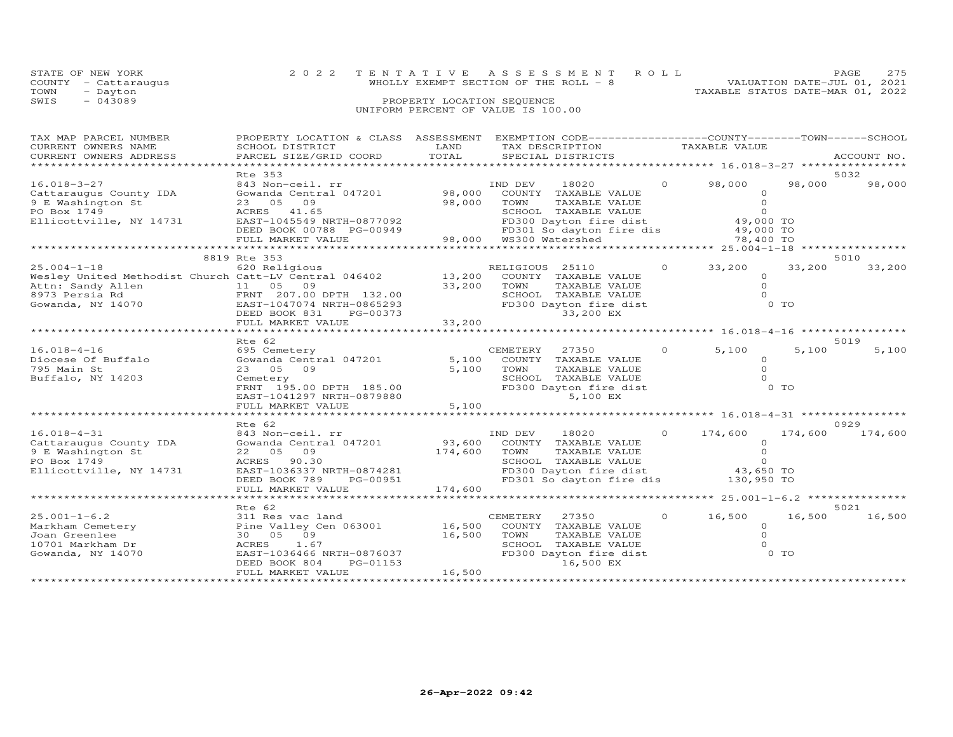|      | STATE OF NEW YORK    | 2022 TENTATIVE ASSESSMENT ROLL                                       | PAGE | 275 |
|------|----------------------|----------------------------------------------------------------------|------|-----|
|      | COUNTY - Cattaraugus | VALUATION DATE-JUL 01, 2021<br>WHOLLY EXEMPT SECTION OF THE ROLL - 8 |      |     |
| TOWN | - Dayton             | TAXABLE STATUS DATE-MAR 01, 2022                                     |      |     |
| SWIS | $-043089$            | PROPERTY LOCATION SEQUENCE                                           |      |     |
|      |                      | UNIFORM PERCENT OF VALUE IS 100.00                                   |      |     |

| TAX MAP PARCEL NUMBER<br>CURRENT OWNERS NAME<br>CURRENT OWNERS ADDRESS<br>*************************        | PROPERTY LOCATION & CLASS ASSESSMENT<br>SCHOOL DISTRICT<br>PARCEL SIZE/GRID COORD                                                                                                                                                                     | LAND<br>TOTAL                | EXEMPTION CODE-----------------COUNTY-------TOWN------SCHOOL<br>TAX DESCRIPTION TAXABLE VALUE<br>SPECIAL DISTRICTS                                                        |          |                                                                                               |                         | ACCOUNT NO.     |
|------------------------------------------------------------------------------------------------------------|-------------------------------------------------------------------------------------------------------------------------------------------------------------------------------------------------------------------------------------------------------|------------------------------|---------------------------------------------------------------------------------------------------------------------------------------------------------------------------|----------|-----------------------------------------------------------------------------------------------|-------------------------|-----------------|
| $16.018 - 3 - 27$<br>Cattaraugus County IDA<br>9 E Washington St<br>PO Box 1749<br>Ellicottville, NY 14731 | Rte 353<br>843 Non-ceil. rr<br>Gowanda Central 047201<br>23 05 09<br>ACRES 41.65<br>EAST-1045549 NRTH-0877092<br>DEED BOOK 00788 PG-00949<br>FULL MARKET VALUE                                                                                        | 98,000<br>98,000             | IND DEV<br>18020<br>COUNTY TAXABLE VALUE<br>TOWN<br>TAXABLE VALUE<br>SCHOOL TAXABLE VALUE<br>FD300 Dayton fire dist<br>FD301 So dayton fire dis<br>98,000 WS300 Watershed | $\circ$  | 98,000<br>$\Omega$<br>$\circ$<br>$\Omega$<br>49,000 TO<br>49,000 TO<br>78,400 TO              | 98,000                  | 5032<br>98,000  |
| $25.004 - 1 - 18$<br>Attn: Sandy Allen<br>8973 Persia Rd<br>Gowanda, NY 14070                              | 8819 Rte 353<br>620 Religious<br>Wesley United Methodist Church Catt-LV Central 046402<br>11 05 09<br>FRNT 207.00 DPTH 132.00<br>EAST-1047074 NRTH-0865293<br>DEED BOOK 831<br>PG-00373<br>FULL MARKET VALUE<br>************************************* | 13,200<br>33,200<br>33,200   | RELIGIOUS 25110<br>COUNTY TAXABLE VALUE<br>TOWN<br>TAXABLE VALUE<br>SCHOOL TAXABLE VALUE<br>FD300 Dayton fire dist<br>33,200 EX                                           | $\circ$  | 33,200<br>$\Omega$<br>$\circ$<br>$\Omega$                                                     | 33,200<br>$0$ TO        | 5010<br>33,200  |
| $16.018 - 4 - 16$<br>Diocese Of Buffalo<br>795 Main St<br>Buffalo, NY 14203                                | Rte 62<br>695 Cemetery<br>Gowanda Central 047201<br>23 05 09<br>Cemetery<br>FRNT 195.00 DPTH 185.00<br>EAST-1041297 NRTH-0879880<br>FULL MARKET VALUE                                                                                                 | 5,100<br>5,100<br>5,100      | 27350<br>CEMETERY<br>COUNTY TAXABLE VALUE<br>TOWN<br>TAXABLE VALUE<br>SCHOOL TAXABLE VALUE<br>FD300 Dayton fire dist<br>5,100 EX                                          | $\Omega$ | 5,100<br>$\circ$<br>$\Omega$<br>$\Omega$                                                      | 5,100<br>0 <sub>T</sub> | 5019<br>5,100   |
| $16.018 - 4 - 31$<br>Cattaraugus County IDA<br>9 E Washington St<br>PO Box 1749<br>Ellicottville, NY 14731 | Rte 62<br>843 Non-ceil. rr<br>Gowanda Central 047201<br>22 05 09<br>ACRES 90.30<br>EAST-1036337 NRTH-0874281<br>DEED BOOK 789<br>PG-00951<br>FULL MARKET VALUE                                                                                        | 93,600<br>174,600<br>174,600 | IND DEV<br>18020<br>COUNTY TAXABLE VALUE<br>TAXABLE VALUE<br>TOWN<br>SCHOOL TAXABLE VALUE<br>FD300 Dayton fire dist 43,650 TO<br>FD301 So dayton fire dis                 | $\circ$  | ******** 16.018-4-31 ***********<br>174,600<br>$\Omega$<br>$\Omega$<br>$\Omega$<br>130,950 TO | 174,600                 | 0929<br>174,600 |
| $25.001 - 1 - 6.2$<br>Markham Cemetery<br>Joan Greenlee<br>10701 Markham Dr<br>Gowanda, NY 14070           | Rte 62<br>311 Res vac land<br>Pine Valley Cen 063001<br>30  05  09<br>1.67<br>ACRES<br>EAST-1036466 NRTH-0876037<br>DEED BOOK 804<br>PG-01153<br>FULL MARKET VALUE                                                                                    | 16,500<br>16,500<br>16,500   | CEMETERY<br>27350<br>COUNTY TAXABLE VALUE<br>TOWN<br>TAXABLE VALUE<br>SCHOOL TAXABLE VALUE<br>FD300 Dayton fire dist<br>16,500 EX                                         | $\circ$  | 16,500<br>$\circ$<br>$\circ$<br>$\circ$                                                       | 16,500<br>$0$ TO        | 5021<br>16,500  |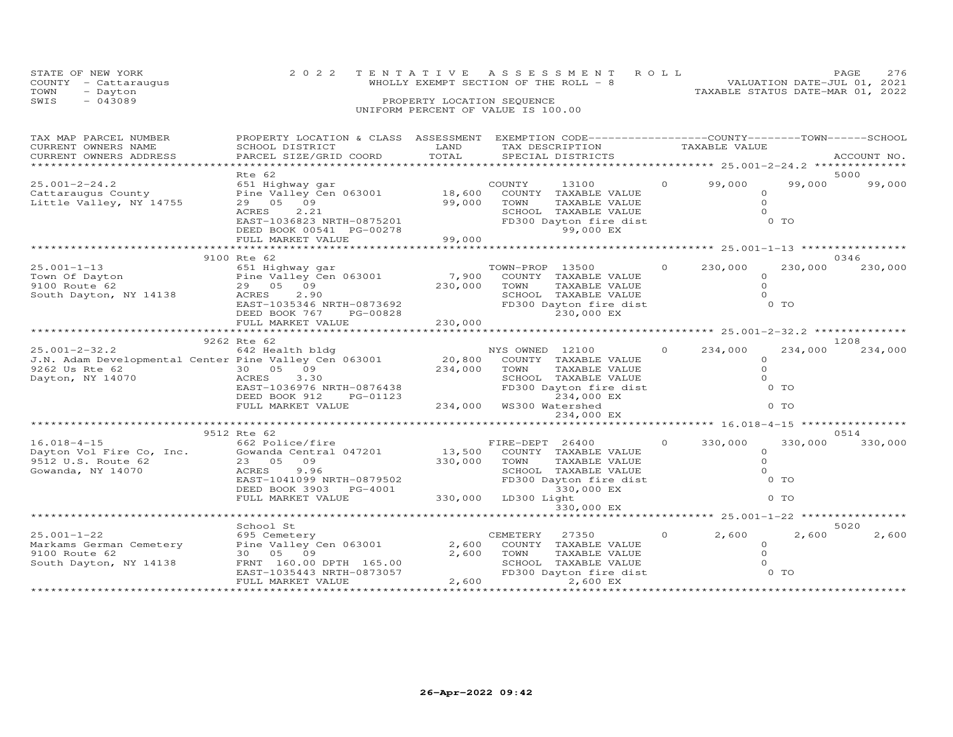|      | STATE OF NEW YORK    | 2022 TENTATIVE ASSESSMENT ROLL                                       | PAGE | 276 |
|------|----------------------|----------------------------------------------------------------------|------|-----|
|      | COUNTY - Cattaraugus | VALUATION DATE-JUL 01, 2021<br>WHOLLY EXEMPT SECTION OF THE ROLL - 8 |      |     |
| TOWN | - Dayton             | TAXABLE STATUS DATE-MAR 01, 2022                                     |      |     |
| SWIS | $-043089$            | PROPERTY LOCATION SEQUENCE                                           |      |     |
|      |                      | UNIFORM PERCENT OF VALUE IS 100.00                                   |      |     |

| TAX MAP PARCEL NUMBER                    | PROPERTY LOCATION & CLASS ASSESSMENT                                                                                                               |             | EXEMPTION CODE-----------------COUNTY-------TOWN------SCHOOL |          |                                            |          |             |
|------------------------------------------|----------------------------------------------------------------------------------------------------------------------------------------------------|-------------|--------------------------------------------------------------|----------|--------------------------------------------|----------|-------------|
| CURRENT OWNERS NAME                      | SCHOOL DISTRICT                                                                                                                                    | LAND        | TAX DESCRIPTION                                              |          | TAXABLE VALUE                              |          |             |
| CURRENT OWNERS ADDRESS                   | PARCEL SIZE/GRID COORD                                                                                                                             | TOTAL       | SPECIAL DISTRICTS                                            |          |                                            |          | ACCOUNT NO. |
|                                          |                                                                                                                                                    |             | *********************************                            |          | ***************** 25.001-2-24.2 ******     |          |             |
|                                          | Rte 62                                                                                                                                             |             |                                                              |          |                                            |          | 5000        |
| $25.001 - 2 - 24.2$                      | 651 Highway gar                                                                                                                                    |             | COUNTY<br>13100                                              | $\circ$  | 99,000                                     | 99,000   | 99,000      |
|                                          | Cattaraugus County Pine Valley Cen 063001 18,600                                                                                                   |             | COUNTY TAXABLE VALUE                                         |          |                                            | $\Omega$ |             |
| Little Valley, NY 14755                  | 29 05 09                                                                                                                                           | 99,000      | TOWN<br>TAXABLE VALUE                                        |          |                                            | $\Omega$ |             |
|                                          | ACRES<br>2.21                                                                                                                                      |             |                                                              |          |                                            | $\Omega$ |             |
|                                          |                                                                                                                                                    |             | --<br>FD300 Dayton fire dist<br>99,000 FX                    |          |                                            | $0$ TO   |             |
|                                          |                                                                                                                                                    |             |                                                              |          |                                            |          |             |
|                                          |                                                                                                                                                    |             |                                                              |          |                                            |          |             |
|                                          |                                                                                                                                                    |             |                                                              |          |                                            |          |             |
|                                          | 9100 Rte 62                                                                                                                                        |             |                                                              |          |                                            |          | 0346        |
| $25.001 - 1 - 13$                        | 651 Highway gar                                                                                                                                    |             | TOWN-PROP 13500                                              | $\Omega$ | 230,000                                    | 230,000  | 230,000     |
|                                          |                                                                                                                                                    | 7,900       | COUNTY TAXABLE VALUE                                         |          |                                            | $\circ$  |             |
|                                          |                                                                                                                                                    | 230,000     | TOWN<br>TAXABLE VALUE                                        |          |                                            | $\Omega$ |             |
| South Dayton, NY 14138                   | ACRES<br>2.90                                                                                                                                      |             | SCHOOL TAXABLE VALUE                                         |          |                                            | $\Omega$ |             |
|                                          | ACRES 2.90<br>EAST-1035346 NRTH-0873692<br>DEED BOOK 767 PG-00828                                                                                  |             | FD300 Dayton fire dist                                       |          |                                            | $0$ TO   |             |
|                                          | DEED BOOK 767<br>PG-00828                                                                                                                          |             | 230,000 EX                                                   |          |                                            |          |             |
|                                          | FULL MARKET VALUE                                                                                                                                  | 230,000     |                                                              |          |                                            |          |             |
|                                          |                                                                                                                                                    |             |                                                              |          |                                            |          |             |
|                                          | 9262 Rte 62                                                                                                                                        |             |                                                              |          |                                            |          | 1208        |
| $25.001 - 2 - 32.2$                      | 642 Health bldg                                                                                                                                    |             | NYS OWNED 12100                                              | $\Omega$ | 234,000                                    | 234,000  | 234,000     |
|                                          | J.N. Adam Developmental Center Pine Valley Cen 063001 20,800                                                                                       |             | COUNTY TAXABLE VALUE                                         |          |                                            | $\Omega$ |             |
| 9262 Us Rte 62                           |                                                                                                                                                    | 234,000     | TAXABLE VALUE<br>TOWN                                        |          |                                            | $\circ$  |             |
| Dayton, NY 14070                         | 30 05 09<br>ACRES 3.30<br>3.30                                                                                                                     |             | SCHOOL TAXABLE VALUE                                         |          |                                            | $\Omega$ |             |
|                                          | EAST-1036976 NRTH-0876438<br>EAST-1036976 NRTH-0876438                                                                                             |             | $FD300$ Dayton fire dist                                     |          |                                            | $0$ TO   |             |
|                                          | DEED BOOK 912<br>PG-01123                                                                                                                          |             | 234,000 EX                                                   |          |                                            |          |             |
|                                          | FULL MARKET VALUE                                                                                                                                  |             | 234,000 WS300 Watershed                                      |          |                                            | $0$ TO   |             |
|                                          |                                                                                                                                                    |             | 234,000 EX                                                   |          |                                            |          |             |
|                                          |                                                                                                                                                    |             |                                                              |          |                                            |          |             |
|                                          | 9512 Rte 62                                                                                                                                        |             |                                                              |          |                                            |          | 0514        |
|                                          |                                                                                                                                                    |             | FIRE-DEPT 26400                                              | $\Omega$ | 330,000                                    | 330,000  | 330,000     |
|                                          |                                                                                                                                                    | $13,500$ FI | COUNTY TAXABLE VALUE                                         |          |                                            | $\circ$  |             |
|                                          |                                                                                                                                                    |             | TOWN<br>TAXABLE VALUE                                        |          |                                            | $\circ$  |             |
|                                          | 16.018-4-15 662 Police/fire<br>Dayton Vol Fire Co, Inc. Gowanda Central 047201<br>9512 U.S. Route 62 23 05 09<br>Gowanda, NY 14070 2002 ACRES 9.96 | 330,000     | SCHOOL TAXABLE VALUE                                         |          | $\bigcirc$                                 |          |             |
|                                          | EAST-1041099 NRTH-0879502                                                                                                                          |             | FD300 Dayton fire dist 0 TO                                  |          |                                            |          |             |
|                                          | DEED BOOK 3903 PG-4001                                                                                                                             |             | 330,000 EX                                                   |          |                                            |          |             |
|                                          | FULL MARKET VALUE                                                                                                                                  |             | $330,000$ LD300 Light                                        |          |                                            | $0$ TO   |             |
|                                          |                                                                                                                                                    |             | 330,000 EX                                                   |          |                                            |          |             |
|                                          |                                                                                                                                                    |             | ************************ 25.001-1-22 ***********             |          |                                            |          |             |
|                                          | School St                                                                                                                                          |             |                                                              |          |                                            |          | 5020        |
| $25.001 - 1 - 22$                        | 695 Cemetery                                                                                                                                       |             | CEMETERY<br>27350                                            | $\circ$  | 2,600                                      | 2,600    | 2,600       |
|                                          |                                                                                                                                                    | 2,600       | COUNTY TAXABLE VALUE                                         |          |                                            | $\Omega$ |             |
| Markams German Cemetery<br>9100 Route 62 | Pine Valley Cen 063001<br>30 05 09<br>30  05  09                                                                                                   | 2,600       | TOWN<br>TAXABLE VALUE                                        |          |                                            | $\Omega$ |             |
|                                          |                                                                                                                                                    |             | SCHOOL TAXABLE VALUE                                         |          |                                            |          |             |
| South Dayton, NY 14138                   | FRNT 160.00 DPTH 165.00<br>EAST-1035443 NRTH-0873057                                                                                               |             | FD300 Dayton fire dist                                       |          | $\begin{matrix}0\\0&\text{TO}\end{matrix}$ |          |             |
|                                          |                                                                                                                                                    | 2,600       |                                                              |          |                                            |          |             |
|                                          | FULL MARKET VALUE                                                                                                                                  |             | 2,600 EX                                                     |          |                                            |          |             |
|                                          |                                                                                                                                                    |             |                                                              |          |                                            |          |             |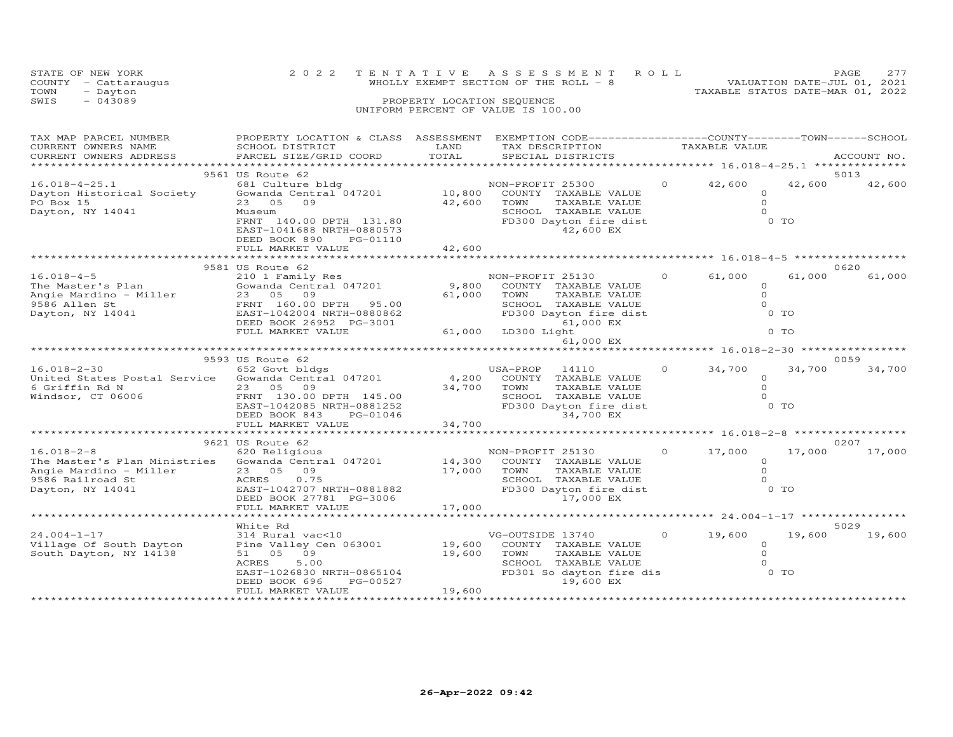| STATE OF NEW YORK    | 2022 TENTATIVE ASSESSMENT ROLL         |  |                                  | PAGE                        | 2.77 |
|----------------------|----------------------------------------|--|----------------------------------|-----------------------------|------|
| COUNTY - Cattaraugus | WHOLLY EXEMPT SECTION OF THE ROLL $-8$ |  |                                  | VALUATION DATE-JUL 01, 2021 |      |
| TOWN<br>- Dayton     |                                        |  | TAXABLE STATUS DATE-MAR 01, 2022 |                             |      |
| SWIS<br>$-043089$    | PROPERTY LOCATION SEQUENCE             |  |                                  |                             |      |
|                      | UNIFORM PERCENT OF VALUE IS 100.00     |  |                                  |                             |      |
|                      |                                        |  |                                  |                             |      |

| TAX MAP PARCEL NUMBER<br>CURRENT OWNERS NAME<br>CURRENT OWNERS ADDRESS                                             | PROPERTY LOCATION & CLASS ASSESSMENT<br>SCHOOL DISTRICT<br>PARCEL SIZE/GRID COORD                                                                                               | LAND<br>TOTAL              | EXEMPTION CODE-----------------COUNTY-------TOWN------SCHOOL<br>TAX DESCRIPTION<br>SPECIAL DISTRICTS                                                         |          | TAXABLE VALUE                             |                          | ACCOUNT NO.    |
|--------------------------------------------------------------------------------------------------------------------|---------------------------------------------------------------------------------------------------------------------------------------------------------------------------------|----------------------------|--------------------------------------------------------------------------------------------------------------------------------------------------------------|----------|-------------------------------------------|--------------------------|----------------|
| **********************                                                                                             |                                                                                                                                                                                 |                            |                                                                                                                                                              |          |                                           |                          |                |
| $16.018 - 4 - 25.1$<br>Dayton Historical Society<br>PO Box 15<br>Dayton, NY 14041                                  | 9561 US Route 62<br>681 Culture bldg<br>Gowanda Central 047201<br>05<br>09<br>23<br>Museum<br>FRNT 140.00 DPTH 131.80<br>EAST-1041688 NRTH-0880573<br>DEED BOOK 890<br>PG-01110 | 10,800<br>42,600           | NON-PROFIT 25300<br>COUNTY TAXABLE VALUE<br>TOWN<br>TAXABLE VALUE<br>SCHOOL TAXABLE VALUE<br>FD300 Dayton fire dist<br>42,600 EX                             | $\Omega$ | 42,600<br>$\circ$<br>$\Omega$<br>$\Omega$ | 42,600<br>$0$ TO         | 5013<br>42,600 |
|                                                                                                                    | FULL MARKET VALUE                                                                                                                                                               | 42,600<br>**************   | ************************************ 16.018-4-5                                                                                                              |          |                                           |                          |                |
|                                                                                                                    | 9581 US Route 62                                                                                                                                                                |                            |                                                                                                                                                              |          |                                           |                          | 0620           |
| $16.018 - 4 - 5$<br>The Master's Plan<br>Angie Mardino - Miller<br>9586 Allen St<br>Dayton, NY 14041               | 210 1 Family Res<br>Gowanda Central 047201<br>23 05 09<br>FRNT 160.00 DPTH<br>95.00<br>EAST-1042004 NRTH-0880862<br>DEED BOOK 26952 PG-3001<br>FULL MARKET VALUE                | 9,800<br>61,000<br>61,000  | NON-PROFIT 25130<br>COUNTY TAXABLE VALUE<br>TOWN<br>TAXABLE VALUE<br>SCHOOL TAXABLE VALUE<br>FD300 Dayton fire dist<br>61,000 EX<br>LD300 Light<br>61,000 EX | $\Omega$ | 61,000<br>$\circ$<br>$\circ$<br>$\Omega$  | 61,000<br>$0$ TO<br>0 TO | 61,000         |
|                                                                                                                    |                                                                                                                                                                                 |                            | ***************************** 16.018-2-30 **********                                                                                                         |          |                                           |                          |                |
|                                                                                                                    | 9593 US Route 62                                                                                                                                                                |                            |                                                                                                                                                              |          |                                           |                          | 0059           |
| $16.018 - 2 - 30$<br>United States Postal Service<br>6 Griffin Rd N<br>Windsor, CT 06006                           | 652 Govt bldgs<br>Gowanda Central 047201<br>23 05 09<br>FRNT 130.00 DPTH 145.00<br>EAST-1042085 NRTH-0881252<br>DEED BOOK 843<br>PG-01046                                       | 4,200<br>34,700            | USA-PROP<br>14110<br>COUNTY<br>TAXABLE VALUE<br>TOWN<br>TAXABLE VALUE<br>SCHOOL TAXABLE VALUE<br>FD300 Dayton fire dist<br>34,700 EX                         | $\Omega$ | 34,700<br>$\circ$<br>$\Omega$<br>$\Omega$ | 34,700<br>$0$ TO         | 34,700         |
|                                                                                                                    | FULL MARKET VALUE<br>*******************                                                                                                                                        | 34,700                     |                                                                                                                                                              |          |                                           |                          |                |
|                                                                                                                    | 9621 US Route 62                                                                                                                                                                |                            |                                                                                                                                                              |          |                                           |                          | 0207           |
| $16.018 - 2 - 8$<br>The Master's Plan Ministries<br>Angie Mardino - Miller<br>9586 Railroad St<br>Dayton, NY 14041 | 620 Religious<br>Gowanda Central 047201<br>23 05<br>09<br>ACRES<br>0.75<br>EAST-1042707 NRTH-0881882<br>DEED BOOK 27781 PG-3006<br>FULL MARKET VALUE                            | 14,300<br>17,000<br>17,000 | NON-PROFIT 25130<br>COUNTY TAXABLE VALUE<br>TOWN<br>TAXABLE VALUE<br>SCHOOL TAXABLE VALUE<br>FD300 Dayton fire dist<br>17,000 EX                             | $\Omega$ | 17,000<br>$\circ$<br>$\Omega$<br>$\Omega$ | 17,000<br>0 TO           | 17,000         |
|                                                                                                                    |                                                                                                                                                                                 | *********                  |                                                                                                                                                              |          | ******** 24.004-1-17 *****************    |                          |                |
|                                                                                                                    | White Rd                                                                                                                                                                        |                            |                                                                                                                                                              |          |                                           |                          | 5029           |
| $24.004 - 1 - 17$<br>Village Of South Dayton<br>South Dayton, NY 14138                                             | 314 Rural vac<10<br>Pine Valley Cen 063001<br>09<br>51 05<br><b>ACRES</b><br>5.00<br>EAST-1026830 NRTH-0865104<br>DEED BOOK 696<br>PG-00527<br>FULL MARKET VALUE                | 19,600<br>19,600<br>19,600 | VG-OUTSIDE 13740<br>COUNTY TAXABLE VALUE<br>TOWN<br>TAXABLE VALUE<br>SCHOOL TAXABLE VALUE<br>FD301 So dayton fire dis<br>19,600 EX                           | $\circ$  | 19,600<br>$\Omega$<br>$\circ$<br>$\Omega$ | 19,600<br>0 <sub>T</sub> | 19,600         |
|                                                                                                                    |                                                                                                                                                                                 |                            |                                                                                                                                                              |          |                                           |                          |                |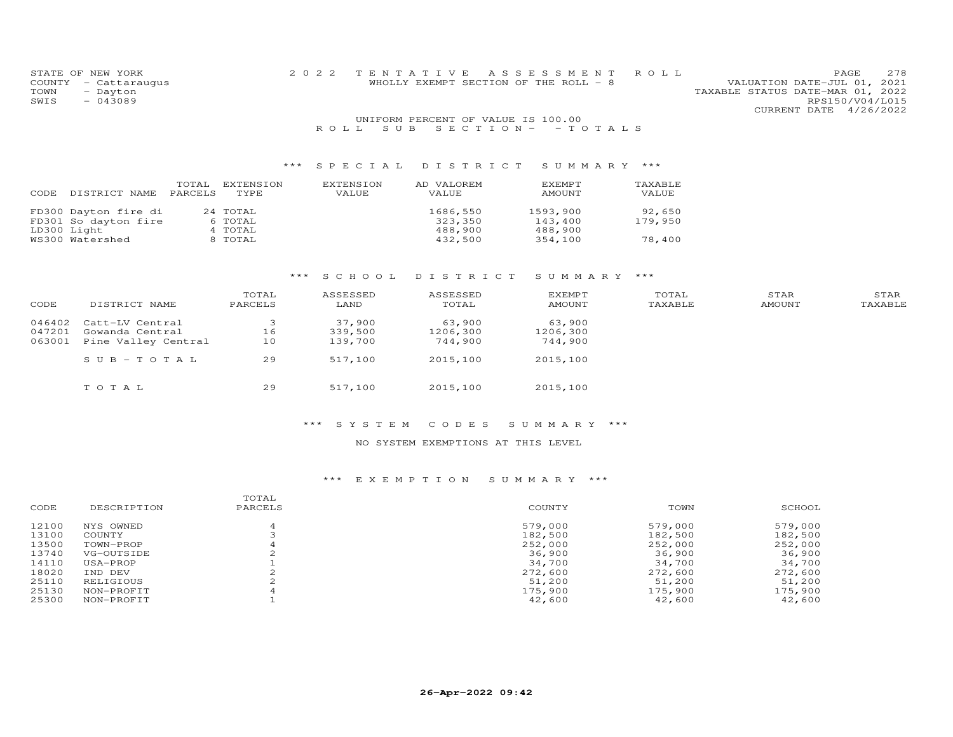| STATE OF NEW YORK    |  | 2022 TENTATIVE ASSESSMENT ROLL        |  |                                  |                        | PAGE | 278 |
|----------------------|--|---------------------------------------|--|----------------------------------|------------------------|------|-----|
| COUNTY - Cattaraugus |  | WHOLLY EXEMPT SECTION OF THE ROLL - 8 |  | VALUATION DATE-JUL 01, 2021      |                        |      |     |
| TOWN<br>- Dayton     |  |                                       |  | TAXABLE STATUS DATE-MAR 01, 2022 |                        |      |     |
| SWIS<br>$-043089$    |  |                                       |  |                                  | RPS150/V04/L015        |      |     |
|                      |  |                                       |  |                                  | CURRENT DATE 4/26/2022 |      |     |
|                      |  | UNIFORM PERCENT OF VALUE IS 100.00    |  |                                  |                        |      |     |
|                      |  | ROLL SUB SECTION - - TOTALS           |  |                                  |                        |      |     |

| CODE | DISTRICT NAME        | TOTAL<br><b>PARCELS</b> | EXTENSION<br>TYPE. | EXTENSION<br>VALUE | AD VALOREM<br>VALUE | EXEMPT<br>AMOUNT | TAXABLE<br>VALUE |
|------|----------------------|-------------------------|--------------------|--------------------|---------------------|------------------|------------------|
|      | FD300 Dayton fire di |                         | 24 TOTAL           |                    | 1686,550            | 1593,900         | 92,650           |
|      | FD301 So dayton fire |                         | 6 TOTAL            |                    | 323,350             | 143,400          | 179,950          |
|      | LD300 Light          |                         | 4 TOTAL            |                    | 488,900             | 488,900          |                  |
|      | WS300 Watershed      |                         | 8 TOTAL            |                    | 432,500             | 354,100          | 78,400           |

# \*\*\* S C H O O L D I S T R I C T S U M M A R Y \*\*\*

| CODE   | DISTRICT NAME       | TOTAL<br>PARCELS | ASSESSED<br>LAND | ASSESSED<br>TOTAL | <b>EXEMPT</b><br>AMOUNT | TOTAL<br>TAXABLE | STAR<br>AMOUNT | STAR<br>TAXABLE |
|--------|---------------------|------------------|------------------|-------------------|-------------------------|------------------|----------------|-----------------|
| 046402 | Catt-LV Central     |                  | 37,900           | 63,900            | 63,900                  |                  |                |                 |
| 047201 | Gowanda Central     | 16               | 339,500          | 1206,300          | 1206,300                |                  |                |                 |
| 063001 | Pine Valley Central | 10               | 139,700          | 744,900           | 744,900                 |                  |                |                 |
|        | $SUB - TO T AL$     | 29               | 517,100          | 2015,100          | 2015,100                |                  |                |                 |
|        | TOTAL               | 29               | 517,100          | 2015,100          | 2015,100                |                  |                |                 |

#### \*\*\* S Y S T E M C O D E S S U M M A R Y \*\*\*

#### NO SYSTEM EXEMPTIONS AT THIS LEVEL

| CODE  | DESCRIPTION | TOTAL<br>PARCELS | COUNTY  | TOWN    | SCHOOL  |
|-------|-------------|------------------|---------|---------|---------|
| 12100 | NYS OWNED   |                  | 579,000 | 579,000 | 579,000 |
| 13100 | COUNTY      |                  | 182,500 | 182,500 | 182,500 |
| 13500 | TOWN-PROP   |                  | 252,000 | 252,000 | 252,000 |
| 13740 | VG-OUTSIDE  |                  | 36,900  | 36,900  | 36,900  |
| 14110 | USA-PROP    |                  | 34,700  | 34,700  | 34,700  |
| 18020 | IND DEV     |                  | 272,600 | 272,600 | 272,600 |
| 25110 | RELIGIOUS   |                  | 51,200  | 51,200  | 51,200  |
| 25130 | NON-PROFIT  |                  | 175,900 | 175,900 | 175,900 |
| 25300 | NON-PROFIT  |                  | 42,600  | 42,600  | 42,600  |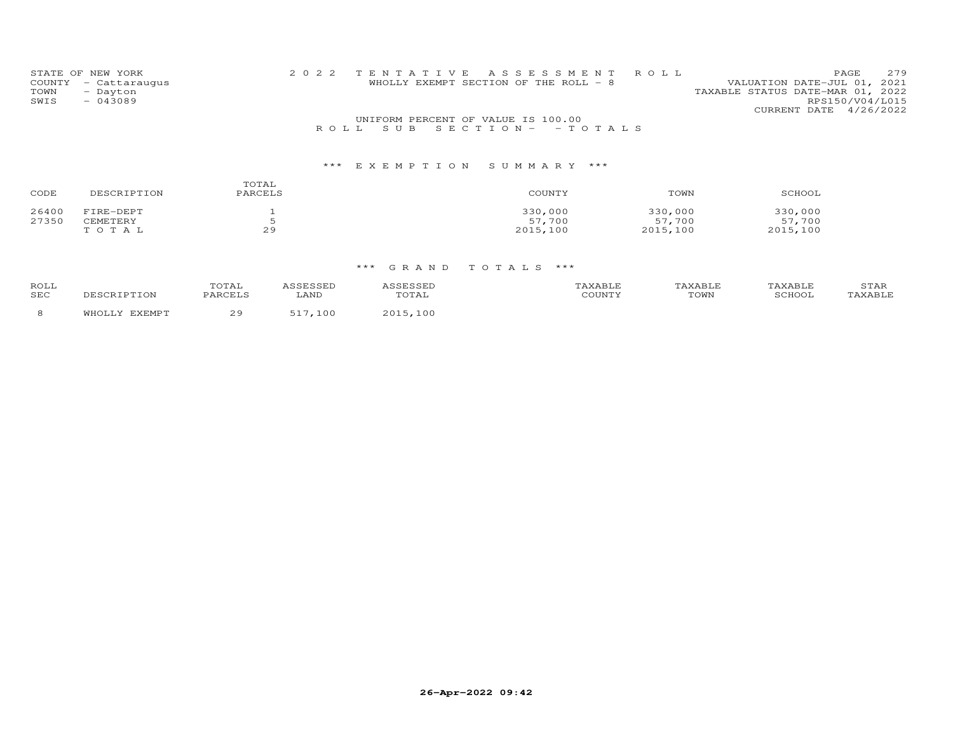| STATE OF NEW YORK |                                  | 2022 TENTATIVE ASSESSMENT ROLL        |  |                                                                 |                 | PAGE. | 279 |
|-------------------|----------------------------------|---------------------------------------|--|-----------------------------------------------------------------|-----------------|-------|-----|
| TOWN              | COUNTY - Cattaraugus<br>- Dayton | WHOLLY EXEMPT SECTION OF THE ROLL - 8 |  | VALUATION DATE-JUL 01, 2021<br>TAXABLE STATUS DATE-MAR 01, 2022 |                 |       |     |
| SWIS              | $-043089$                        |                                       |  |                                                                 | RPS150/V04/L015 |       |     |
|                   |                                  |                                       |  | CURRENT DATE 4/26/2022                                          |                 |       |     |
|                   |                                  | UNIFORM PERCENT OF VALUE IS 100.00    |  |                                                                 |                 |       |     |
|                   |                                  | ROLL SUBSECTION - - TOTALS            |  |                                                                 |                 |       |     |

| CODE  | DESCRIPTION | TOTAL<br>PARCELS | COUNTY   | TOWN     | SCHOOL   |
|-------|-------------|------------------|----------|----------|----------|
| 26400 | FIRE-DEPT   |                  | 330,000  | 330,000  | 330,000  |
| 27350 | CEMETERY    |                  | 57,700   | 57,700   | 57,700   |
|       | TOTAL       | 29               | 2015,100 | 2015,100 | 2015,100 |

| ROLL |               | TOTAL   | <i>ISSESSED</i> | <b>\SSESSED</b> | TAXABLE | TAXABLE | TAXABLE | STAR    |
|------|---------------|---------|-----------------|-----------------|---------|---------|---------|---------|
| SEC  | DESCRIPTION   | PARCELS | LAND            | TOTAL           | COUNTY  | TOWN    | SCHOOL  | TAXABLE |
|      | WHOLLY EXEMPT | 29      | ,100<br>517     | 2015,100        |         |         |         |         |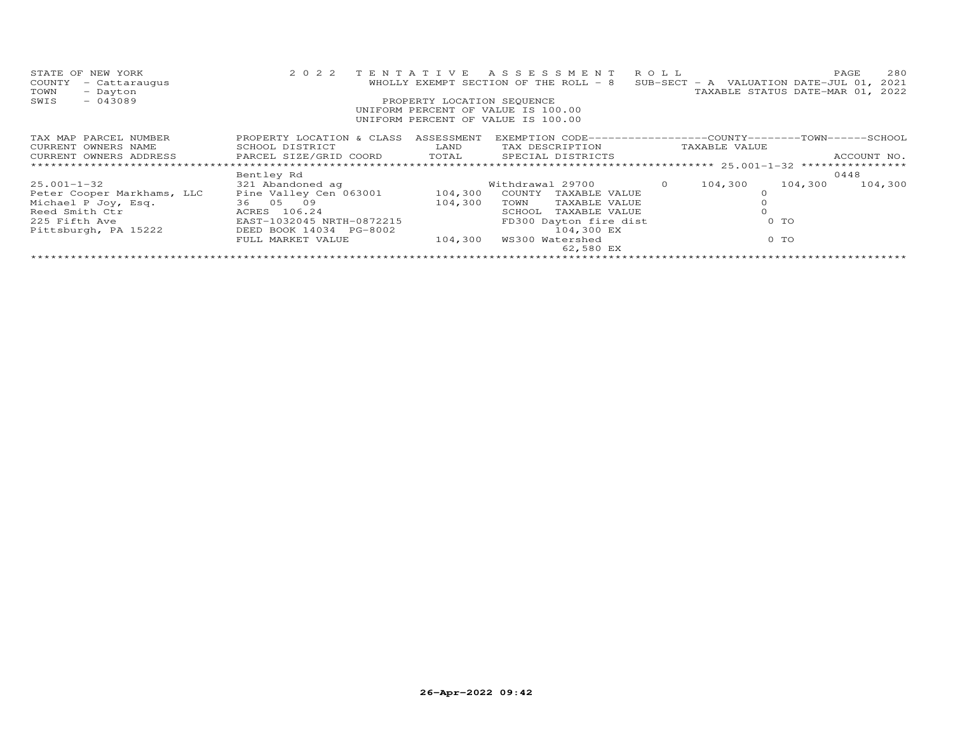| STATE OF NEW YORK<br>- Cattaraugus<br>COUNTY<br>- Dayton<br>TOWN<br>$-043089$<br>SWIS     | 2 0 2 2                              | PROPERTY LOCATION SEQUENCE | TENTATIVE ASSESSMENT ROLL<br>WHOLLY EXEMPT SECTION OF THE ROLL - 8<br>UNIFORM PERCENT OF VALUE IS 100.00<br>UNIFORM PERCENT OF VALUE IS 100.00 |          |                | 280<br>PAGE<br>SUB-SECT - A VALUATION DATE-JUL 01, 2021<br>TAXABLE STATUS DATE-MAR 01, 2022 |
|-------------------------------------------------------------------------------------------|--------------------------------------|----------------------------|------------------------------------------------------------------------------------------------------------------------------------------------|----------|----------------|---------------------------------------------------------------------------------------------|
|                                                                                           |                                      |                            |                                                                                                                                                |          |                |                                                                                             |
| TAX MAP PARCEL NUMBER                                                                     | PROPERTY LOCATION & CLASS ASSESSMENT |                            | EXEMPTION CODE-----------------COUNTY-------TOWN------SCHOOL                                                                                   |          |                |                                                                                             |
| CURRENT OWNERS NAME                                                                       | SCHOOL DISTRICT                      | <b>LAND</b>                | TAX DESCRIPTION TAXABLE VALUE                                                                                                                  |          |                |                                                                                             |
| CURRENT OWNERS ADDRESS         PARCEL SIZE/GRID COORD       TOTAL       SPECIAL DISTRICTS |                                      |                            |                                                                                                                                                |          |                | ACCOUNT NO.                                                                                 |
|                                                                                           |                                      |                            |                                                                                                                                                |          |                |                                                                                             |
|                                                                                           | Bentley Rd                           |                            |                                                                                                                                                |          |                | 0448                                                                                        |
| $25.001 - 1 - 32$                                                                         | 321 Abandoned ag                     |                            | Withdrawal 29700                                                                                                                               | $\Omega$ | 104,300        | 104,300<br>104,300                                                                          |
| Peter Cooper Markhams, LLC                                                                | Pine Valley Cen 063001 104,300       |                            | COUNTY TAXABLE VALUE                                                                                                                           |          |                |                                                                                             |
| Michael P Joy, Esq. 36 05 09                                                              |                                      | 104,300                    | TAXABLE VALUE<br>TOWN                                                                                                                          |          |                |                                                                                             |
| ACRES 106.24<br>Reed Smith Ctr                                                            |                                      |                            | SCHOOL<br>TAXABLE VALUE                                                                                                                        |          |                |                                                                                             |
| 225 Fifth Ave                                                                             | EAST-1032045 NRTH-0872215            |                            | FD300 Dayton fire dist                                                                                                                         |          | 0 <sub>T</sub> |                                                                                             |
| Pittsburgh, PA 15222                                                                      | DEED BOOK 14034 PG-8002              |                            | 104,300 EX                                                                                                                                     |          |                |                                                                                             |
|                                                                                           | FULL MARKET VALUE                    | 104,300                    | WS300 Watershed                                                                                                                                |          | 0 TO           |                                                                                             |
|                                                                                           |                                      |                            | 62,580 EX                                                                                                                                      |          |                |                                                                                             |
|                                                                                           |                                      |                            |                                                                                                                                                |          |                |                                                                                             |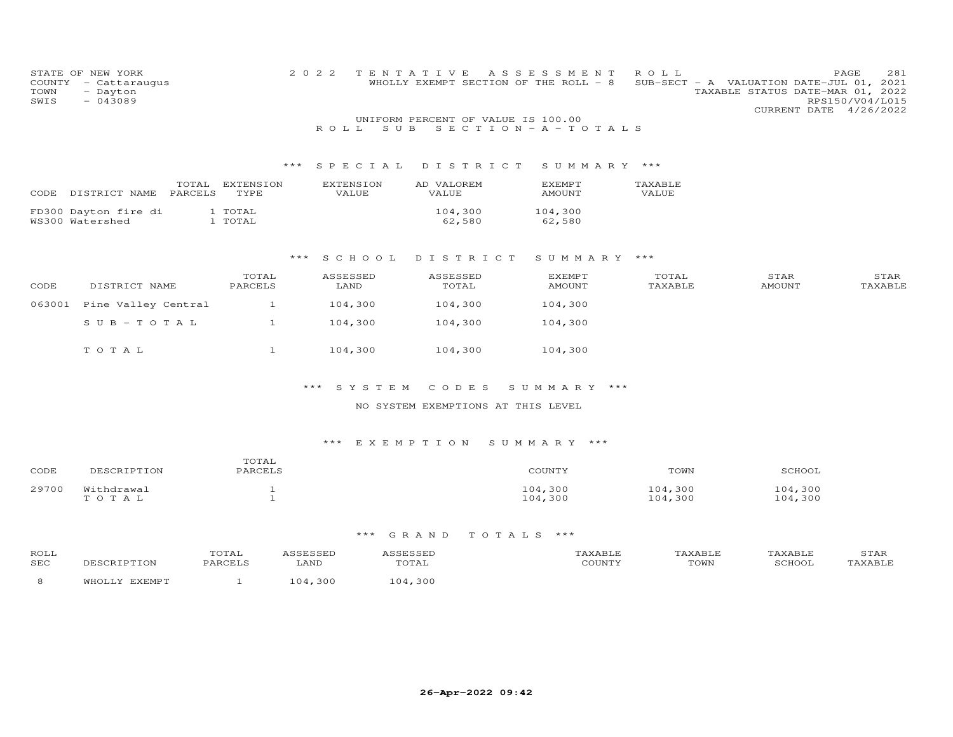| COUNTY<br>TOWN<br>SWIS | STATE OF NEW YORK<br>- Cattaraugus<br>- Dayton<br>$-043089$ |                              | 2 0 2 2<br>ROLL SUB       | TENTATIVE<br>WHOLLY EXEMPT SECTION OF THE ROLL - 8<br>UNIFORM PERCENT OF VALUE IS 100.00 | A S S E S S M E N T<br>$S E C T I O N - A - T O T A L S$ | ROLL               | PAGE<br>SUB-SECT - A VALUATION DATE-JUL 01, 2021<br>TAXABLE STATUS DATE-MAR 01, 2022<br>RPS150/V04/L015<br>CURRENT DATE 4/26/2022 | 281 |
|------------------------|-------------------------------------------------------------|------------------------------|---------------------------|------------------------------------------------------------------------------------------|----------------------------------------------------------|--------------------|-----------------------------------------------------------------------------------------------------------------------------------|-----|
|                        |                                                             | ***                          | SPECIAL                   | DISTRICT                                                                                 | SUMMARY ***                                              |                    |                                                                                                                                   |     |
| CODE                   | PARCELS<br>DISTRICT NAME                                    | TOTAL EXTENSION<br>TYPE      | <b>EXTENSION</b><br>VALUE | AD VALOREM<br><b>VALUE</b>                                                               | <b>EXEMPT</b><br><b>AMOUNT</b>                           | TAXABLE<br>VALUE   |                                                                                                                                   |     |
|                        | FD300 Dayton fire di<br>WS300 Watershed                     | 1 TOTAL<br>1 TOTAL           |                           | 104,300<br>62,580                                                                        | 104,300<br>62,580                                        |                    |                                                                                                                                   |     |
|                        |                                                             |                              | $***$<br>S C H O O L      | DISTRICT                                                                                 | SUMMARY ***                                              |                    |                                                                                                                                   |     |
| CODE                   | DISTRICT NAME                                               | TOTAL<br>PARCELS             | ASSESSED<br>LAND          | ASSESSED<br>TOTAL                                                                        | <b>EXEMPT</b><br>AMOUNT                                  | TOTAL<br>TAXABLE   | STAR<br>STAR<br><b>AMOUNT</b><br>TAXABLE                                                                                          |     |
| 063001                 | Pine Valley Central                                         | $\mathbf{1}$                 | 104,300                   | 104,300                                                                                  | 104,300                                                  |                    |                                                                                                                                   |     |
|                        | $S \cup B - T \cup T A L$                                   | $\mathbf{1}$                 | 104,300                   | 104,300                                                                                  | 104,300                                                  |                    |                                                                                                                                   |     |
|                        | TOTAL                                                       | $\mathbf{1}$                 | 104,300                   | 104,300                                                                                  | 104,300                                                  |                    |                                                                                                                                   |     |
|                        |                                                             |                              | SYSTEM<br>***             | CODES                                                                                    | SUMMARY ***                                              |                    |                                                                                                                                   |     |
|                        |                                                             |                              |                           | NO SYSTEM EXEMPTIONS AT THIS LEVEL                                                       |                                                          |                    |                                                                                                                                   |     |
|                        |                                                             |                              |                           | *** EXEMPTION SUMMARY ***                                                                |                                                          |                    |                                                                                                                                   |     |
| CODE                   | DESCRIPTION                                                 | TOTAL<br>PARCELS             |                           |                                                                                          | COUNTY                                                   | TOWN               | SCHOOL                                                                                                                            |     |
| 29700                  | Withdrawal<br>TOTAL                                         | $\mathbf{1}$<br>$\mathbf{1}$ |                           |                                                                                          | 104,300<br>104,300                                       | 104,300<br>104,300 | 104,300<br>104,300                                                                                                                |     |

| ROLI<br>SEC |  | , . <del>. .</del> .<br>$\sqrt{2}$        | $m \wedge r$<br>:OWL |  |
|-------------|--|-------------------------------------------|----------------------|--|
|             |  | $\sim$ $\sim$ $\sim$ $\sim$ $\sim$ $\sim$ |                      |  |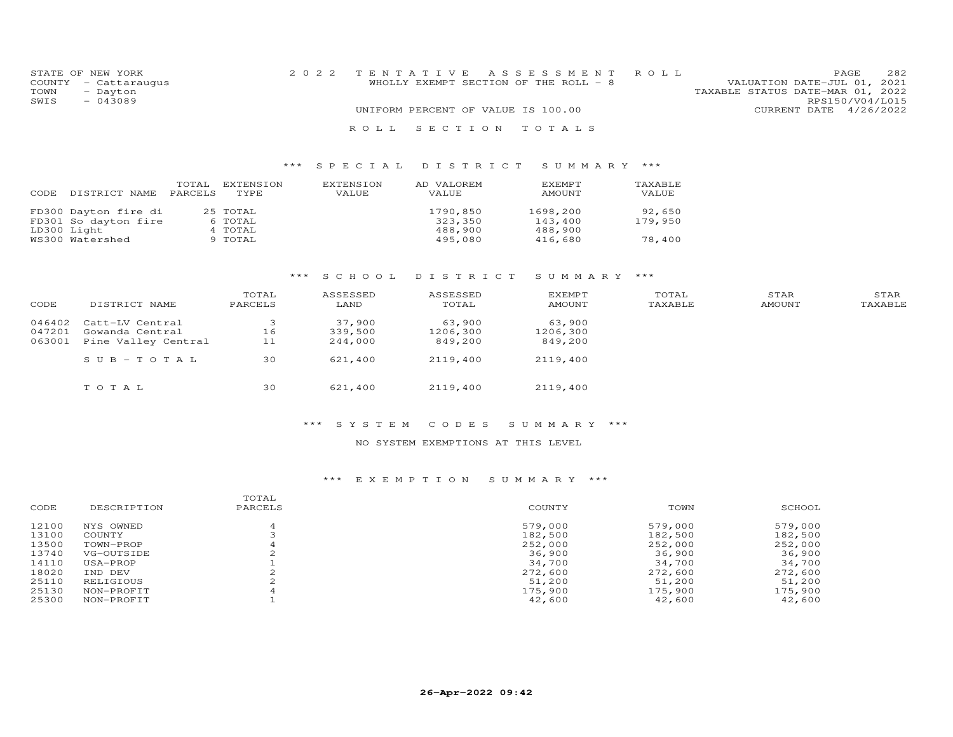| STATE OF NEW YORK    | 2022 TENTATIVE ASSESSMENT ROLL        |  |                                  | PAGE.                  | 2.82 |
|----------------------|---------------------------------------|--|----------------------------------|------------------------|------|
| COUNTY - Cattaraugus | WHOLLY EXEMPT SECTION OF THE ROLL - 8 |  | VALUATION DATE-JUL 01, 2021      |                        |      |
| TOWN<br>- Dayton     |                                       |  | TAXABLE STATUS DATE-MAR 01, 2022 |                        |      |
| $-043089$<br>SWIS    |                                       |  |                                  | RPS150/V04/L015        |      |
|                      | UNIFORM PERCENT OF VALUE IS 100.00    |  |                                  | CURRENT DATE 4/26/2022 |      |
|                      | ROLL SECTION TOTALS                   |  |                                  |                        |      |

| CODE | DISTRICT NAME        | TOTAL<br>PARCELS | EXTENSION<br>TYPE | EXTENSION<br><b>VALUE</b> | AD VALOREM<br><b>VALUE</b> | <b>F.XFMPT</b><br>AMOUNT | TAXABLE<br>VALUE |
|------|----------------------|------------------|-------------------|---------------------------|----------------------------|--------------------------|------------------|
|      | FD300 Dayton fire di |                  | 25 TOTAL          |                           | 1790,850                   | 1698,200                 | 92,650           |
|      | FD301 So dayton fire |                  | 6 TOTAL           |                           | 323,350                    | 143,400                  | 179,950          |
|      | LD300 Light          |                  | 4 TOTAL           |                           | 488,900                    | 488,900                  |                  |
|      | WS300 Watershed      |                  | 9 TOTAL           |                           | 495,080                    | 416,680                  | 78,400           |

# \*\*\* S C H O O L D I S T R I C T S U M M A R Y \*\*\*

| CODE   | DISTRICT NAME       | TOTAL<br>PARCELS | ASSESSED<br>LAND | ASSESSED<br>TOTAL | <b>EXEMPT</b><br>AMOUNT | TOTAL<br>TAXABLE | STAR<br>AMOUNT | STAR<br>TAXABLE |
|--------|---------------------|------------------|------------------|-------------------|-------------------------|------------------|----------------|-----------------|
| 046402 | Catt-LV Central     | 3                | 37,900           | 63,900            | 63,900                  |                  |                |                 |
| 047201 | Gowanda Central     | 16               | 339,500          | 1206,300          | 1206,300                |                  |                |                 |
| 063001 | Pine Valley Central | 11               | 244,000          | 849,200           | 849,200                 |                  |                |                 |
|        | $SUB - TO T AL$     | 30               | 621,400          | 2119,400          | 2119,400                |                  |                |                 |
|        | TOTAL               | 30               | 621,400          | 2119,400          | 2119,400                |                  |                |                 |

#### \*\*\* S Y S T E M C O D E S S U M M A R Y \*\*\*

#### NO SYSTEM EXEMPTIONS AT THIS LEVEL

| CODE  | DESCRIPTION | TOTAL<br>PARCELS | COUNTY  | TOWN    | SCHOOL  |
|-------|-------------|------------------|---------|---------|---------|
| 12100 | NYS OWNED   |                  | 579,000 | 579,000 | 579,000 |
| 13100 | COUNTY      |                  | 182,500 | 182,500 | 182,500 |
| 13500 | TOWN-PROP   |                  | 252,000 | 252,000 | 252,000 |
| 13740 | VG-OUTSIDE  |                  | 36,900  | 36,900  | 36,900  |
| 14110 | USA-PROP    |                  | 34,700  | 34,700  | 34,700  |
| 18020 | IND DEV     |                  | 272,600 | 272,600 | 272,600 |
| 25110 | RELIGIOUS   |                  | 51,200  | 51,200  | 51,200  |
| 25130 | NON-PROFIT  |                  | 175,900 | 175,900 | 175,900 |
| 25300 | NON-PROFIT  |                  | 42,600  | 42,600  | 42,600  |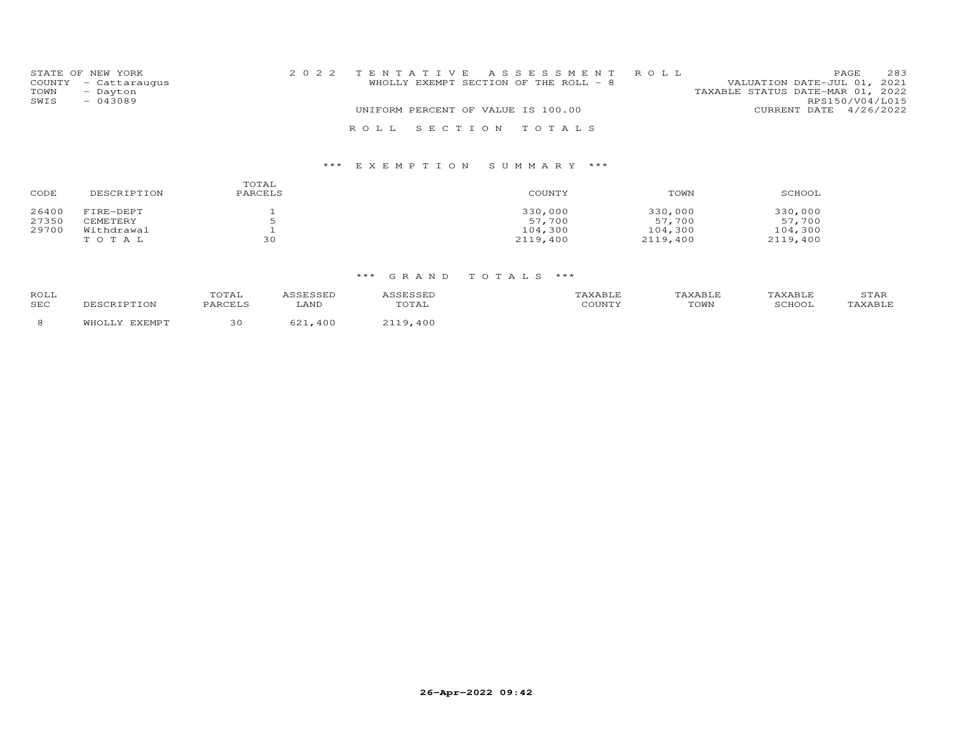|      | STATE OF NEW YORK    | 2022 TENTATIVE ASSESSMENT ROLL     |                                        |                                  |                 | PAGE. | 283 |
|------|----------------------|------------------------------------|----------------------------------------|----------------------------------|-----------------|-------|-----|
|      | COUNTY - Cattaraugus |                                    | WHOLLY EXEMPT SECTION OF THE ROLL $-8$ | VALUATION DATE-JUL 01, 2021      |                 |       |     |
| TOWN | - Dayton             |                                    |                                        | TAXABLE STATUS DATE-MAR 01, 2022 |                 |       |     |
| SWIS | $-043089$            |                                    |                                        |                                  | RPS150/V04/L015 |       |     |
|      |                      | UNIFORM PERCENT OF VALUE IS 100.00 |                                        | CURRENT DATE 4/26/2022           |                 |       |     |
|      |                      | ROLL SECTION TOTALS                |                                        |                                  |                 |       |     |

| CODE  | DESCRIPTION | TOTAL<br>PARCELS | COUNTY   | TOWN     | SCHOOL   |
|-------|-------------|------------------|----------|----------|----------|
| 26400 | FIRE-DEPT   |                  | 330,000  | 330,000  | 330,000  |
| 27350 | CEMETERY    |                  | 57,700   | 57,700   | 57,700   |
| 29700 | Withdrawal  |                  | 104,300  | 104,300  | 104,300  |
|       | TOTAL       | 30               | 2119,400 | 2119,400 | 2119,400 |

| ROLL<br>SEC | TOTAL<br>DADCET C | '.ANI | TOTAL | - --- - - -<br>COUNT' | <b>LAVART.</b><br>TOWN | <b>TAVARIE</b><br>SCHOOL | <b>STAR</b> |
|-------------|-------------------|-------|-------|-----------------------|------------------------|--------------------------|-------------|
|             |                   | 40 C  | 40 C  |                       |                        |                          |             |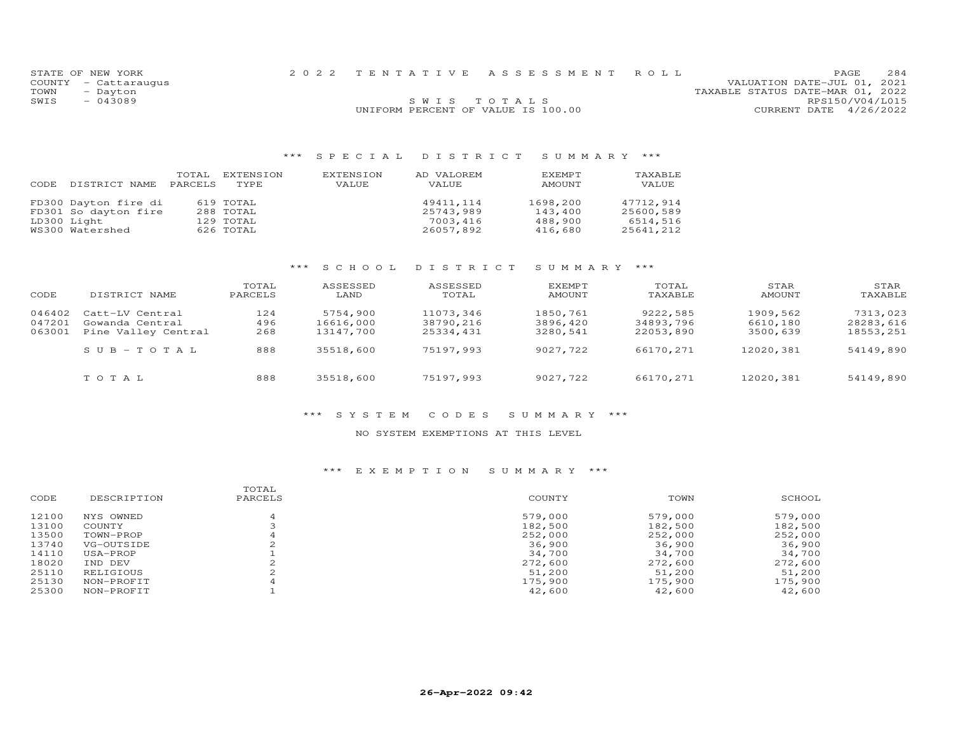| STATE OF NEW YORK    |                                    | 2022 TENTATIVE ASSESSMENT ROLL | PAGE                             | 284 |
|----------------------|------------------------------------|--------------------------------|----------------------------------|-----|
| COUNTY - Cattaraugus |                                    |                                | VALUATION DATE-JUL 01, 2021      |     |
| TOWN<br>- Dayton     |                                    |                                | TAXABLE STATUS DATE-MAR 01, 2022 |     |
| $-043089$<br>SWIS    | SWIS TOTALS                        |                                | RPS150/V04/L015                  |     |
|                      | UNIFORM PERCENT OF VALUE IS 100.00 |                                | CURRENT DATE 4/26/2022           |     |
|                      |                                    |                                |                                  |     |

| DISTRICT NAME                                                                  | TOTAL   | EXTENSION                                        | EXTENSION | AD VALOREM                                      | EXEMPT                                    | TAXABLE                                         |
|--------------------------------------------------------------------------------|---------|--------------------------------------------------|-----------|-------------------------------------------------|-------------------------------------------|-------------------------------------------------|
| CODE                                                                           | PARCELS | TYPE.                                            | VALUE     | VALUE.                                          | AMOUNT                                    | VALUE                                           |
| FD300 Dayton fire di<br>FD301 So dayton fire<br>LD300 Light<br>WS300 Watershed |         | 619 TOTAL<br>288 TOTAL<br>129 TOTAL<br>626 TOTAL |           | 49411.114<br>25743,989<br>7003,416<br>26057,892 | 1698,200<br>143,400<br>488,900<br>416,680 | 47712,914<br>25600,589<br>6514,516<br>25641,212 |

## \*\*\* S C H O O L D I S T R I C T S U M M A R Y \*\*\*

| CODE                       | DISTRICT NAME                                             | TOTAL<br>PARCELS  | ASSESSED<br>LAND                   | ASSESSED<br>TOTAL                   | EXEMPT<br>AMOUNT                 | TOTAL<br>TAXABLE                   | STAR<br>AMOUNT                   | STAR<br>TAXABLE                    |
|----------------------------|-----------------------------------------------------------|-------------------|------------------------------------|-------------------------------------|----------------------------------|------------------------------------|----------------------------------|------------------------------------|
| 046402<br>047201<br>063001 | Catt-LV Central<br>Gowanda Central<br>Pine Valley Central | 124<br>496<br>268 | 5754,900<br>16616,000<br>13147,700 | 11073,346<br>38790,216<br>25334,431 | 1850,761<br>3896,420<br>3280,541 | 9222,585<br>34893,796<br>22053,890 | 1909,562<br>6610,180<br>3500,639 | 7313,023<br>28283,616<br>18553,251 |
|                            | $SUB - TO TAL$                                            | 888               | 35518,600                          | 75197,993                           | 9027,722                         | 66170,271                          | 12020,381                        | 54149,890                          |
|                            | TOTAL                                                     | 888               | 35518,600                          | 75197,993                           | 9027,722                         | 66170,271                          | 12020,381                        | 54149,890                          |

#### \*\*\* S Y S T E M C O D E S S U M M A R Y \*\*\*

#### NO SYSTEM EXEMPTIONS AT THIS LEVEL

|             | TOTAL   |         |         |         |
|-------------|---------|---------|---------|---------|
| DESCRIPTION | PARCELS | COUNTY  | TOWN    | SCHOOL  |
| NYS OWNED   |         | 579,000 | 579,000 | 579,000 |
| COUNTY      |         | 182,500 | 182,500 | 182,500 |
| TOWN-PROP   |         | 252,000 | 252,000 | 252,000 |
| VG-OUTSIDE  |         | 36,900  | 36,900  | 36,900  |
| USA-PROP    |         | 34,700  | 34,700  | 34,700  |
| IND DEV     |         | 272,600 | 272,600 | 272,600 |
| RELIGIOUS   |         | 51,200  | 51,200  | 51,200  |
| NON-PROFIT  |         | 175,900 | 175,900 | 175,900 |
| NON-PROFIT  |         | 42,600  | 42,600  | 42,600  |
|             |         |         |         |         |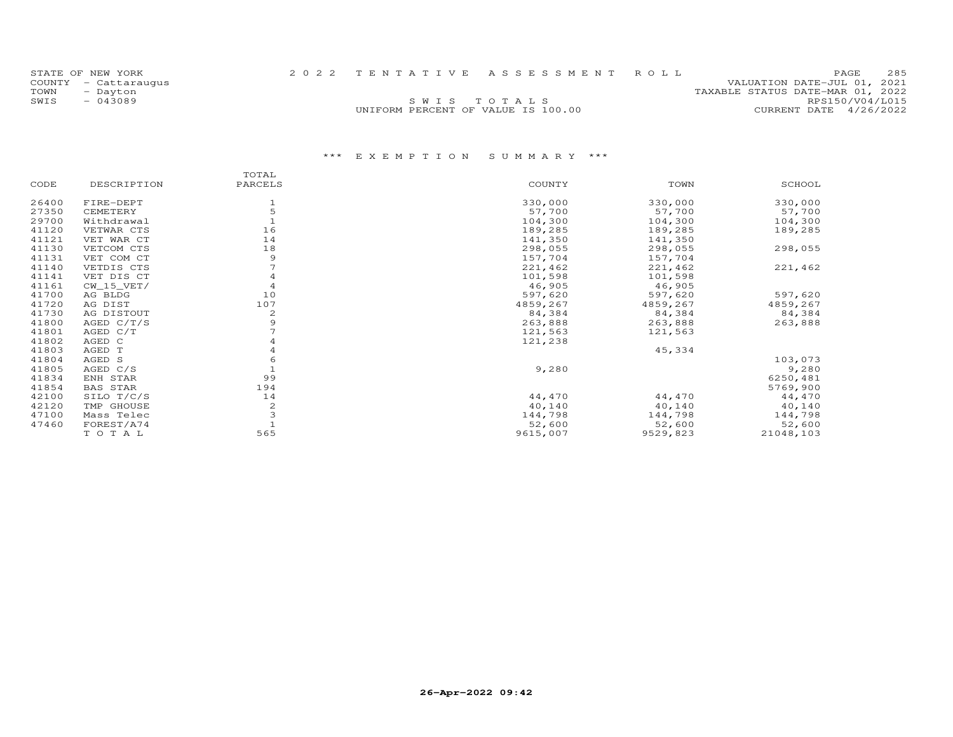| STATE OF NEW YORK    |                                    | 2022 TENTATIVE ASSESSMENT ROLL | PAGE.                            | 285 |
|----------------------|------------------------------------|--------------------------------|----------------------------------|-----|
| COUNTY - Cattarauqus |                                    |                                | VALUATION DATE-JUL 01, 2021      |     |
| TOWN<br>- Dayton     |                                    |                                | TAXABLE STATUS DATE-MAR 01, 2022 |     |
| SWTS<br>- 043089     |                                    | SWIS TOTALS                    | RPS150/V04/L015                  |     |
|                      | UNIFORM PERCENT OF VALUE IS 100.00 |                                | CURRENT DATE 4/26/2022           |     |
|                      |                                    |                                |                                  |     |

|       |                 | TOTAL        |          |          |           |
|-------|-----------------|--------------|----------|----------|-----------|
| CODE  | DESCRIPTION     | PARCELS      | COUNTY   | TOWN     | SCHOOL    |
| 26400 | FIRE-DEPT       |              | 330,000  | 330,000  | 330,000   |
| 27350 | CEMETERY        |              | 57,700   | 57,700   | 57,700    |
| 29700 | Withdrawal      |              | 104,300  | 104,300  | 104,300   |
| 41120 | VETWAR CTS      | 16           | 189,285  | 189,285  | 189,285   |
| 41121 | VET WAR CT      | 14           | 141,350  | 141,350  |           |
| 41130 | VETCOM CTS      | 18           | 298,055  | 298,055  | 298,055   |
| 41131 | VET COM CT      | 9            | 157,704  | 157,704  |           |
| 41140 | VETDIS CTS      |              | 221,462  | 221,462  | 221,462   |
| 41141 | VET DIS CT      |              | 101,598  | 101,598  |           |
| 41161 | $CW_15_VET/$    |              | 46,905   | 46,905   |           |
| 41700 | AG BLDG         | 10           | 597,620  | 597,620  | 597,620   |
| 41720 | AG DIST         | 107          | 4859,267 | 4859,267 | 4859,267  |
| 41730 | AG DISTOUT      | 2            | 84,384   | 84,384   | 84,384    |
| 41800 | AGED $C/T/S$    | 9            | 263,888  | 263,888  | 263,888   |
| 41801 | AGED C/T        |              | 121,563  | 121,563  |           |
| 41802 | AGED C          |              | 121,238  |          |           |
| 41803 | AGED T          |              |          | 45,334   |           |
| 41804 | AGED S          |              |          |          | 103,073   |
| 41805 | AGED C/S        |              | 9,280    |          | 9,280     |
| 41834 | ENH STAR        | 99           |          |          | 6250,481  |
| 41854 | <b>BAS STAR</b> | 194          |          |          | 5769,900  |
| 42100 | SILO T/C/S      | 14           | 44,470   | 44,470   | 44,470    |
| 42120 | TMP GHOUSE      | $\mathbf{2}$ | 40,140   | 40,140   | 40,140    |
| 47100 | Mass Telec      |              | 144,798  | 144,798  | 144,798   |
| 47460 | FOREST/A74      |              | 52,600   | 52,600   | 52,600    |
|       | TOTAL           | 565          | 9615,007 | 9529,823 | 21048,103 |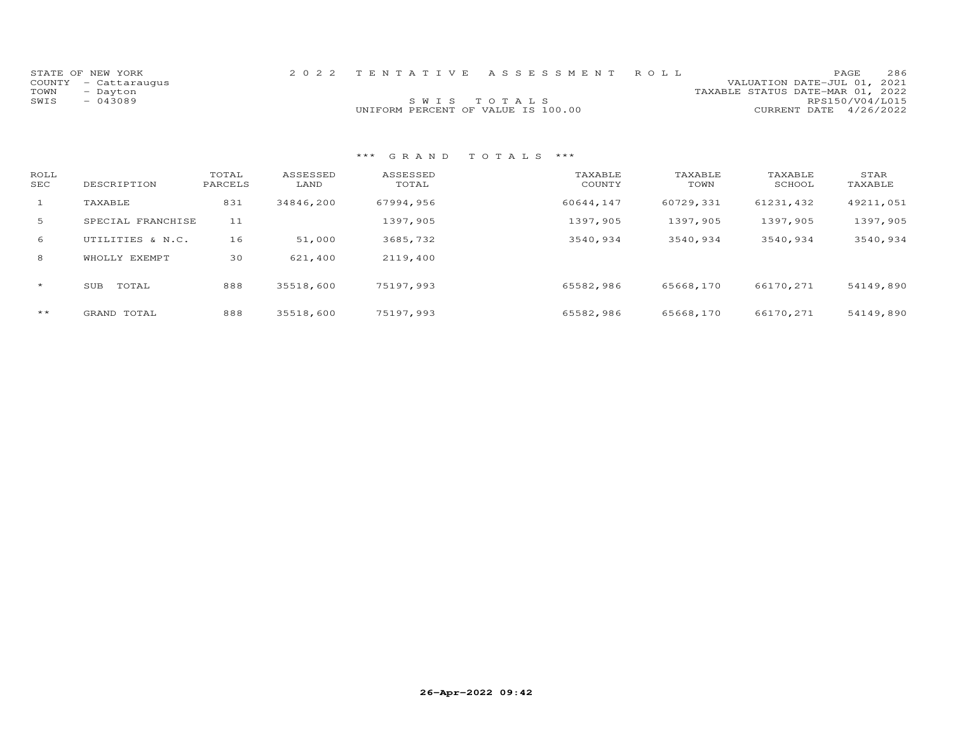|      | STATE OF NEW YORK    |                                    | 2022 TENTATIVE ASSESSMENT ROLL |                                  | PAGE.                  | 286 |
|------|----------------------|------------------------------------|--------------------------------|----------------------------------|------------------------|-----|
|      | COUNTY - Cattaraugus |                                    |                                | VALUATION DATE-JUL 01, 2021      |                        |     |
| TOWN | - Dayton             |                                    |                                | TAXABLE STATUS DATE-MAR 01, 2022 |                        |     |
| SWIS | - 043089             | SWIS TOTALS                        |                                |                                  | RPS150/V04/L015        |     |
|      |                      | UNIFORM PERCENT OF VALUE IS 100.00 |                                |                                  | CURRENT DATE 4/26/2022 |     |

| ROLL<br>SEC  | DESCRIPTION       | TOTAL<br>PARCELS | ASSESSED<br>LAND | ASSESSED<br>TOTAL | TAXABLE<br>COUNTY | TAXABLE<br>TOWN | TAXABLE<br>SCHOOL | STAR<br>TAXABLE |
|--------------|-------------------|------------------|------------------|-------------------|-------------------|-----------------|-------------------|-----------------|
| $\mathbf{1}$ | TAXABLE           | 831              | 34846,200        | 67994,956         | 60644,147         | 60729,331       | 61231,432         | 49211,051       |
| 5            | SPECIAL FRANCHISE | 11               |                  | 1397,905          | 1397,905          | 1397,905        | 1397,905          | 1397,905        |
| 6            | UTILITIES & N.C.  | 16               | 51,000           | 3685,732          | 3540,934          | 3540,934        | 3540,934          | 3540,934        |
| 8            | WHOLLY EXEMPT     | 30               | 621,400          | 2119,400          |                   |                 |                   |                 |
| $\star$      | TOTAL<br>SUB      | 888              | 35518,600        | 75197,993         | 65582,986         | 65668,170       | 66170,271         | 54149,890       |
| $***$        | GRAND TOTAL       | 888              | 35518,600        | 75197,993         | 65582,986         | 65668,170       | 66170,271         | 54149,890       |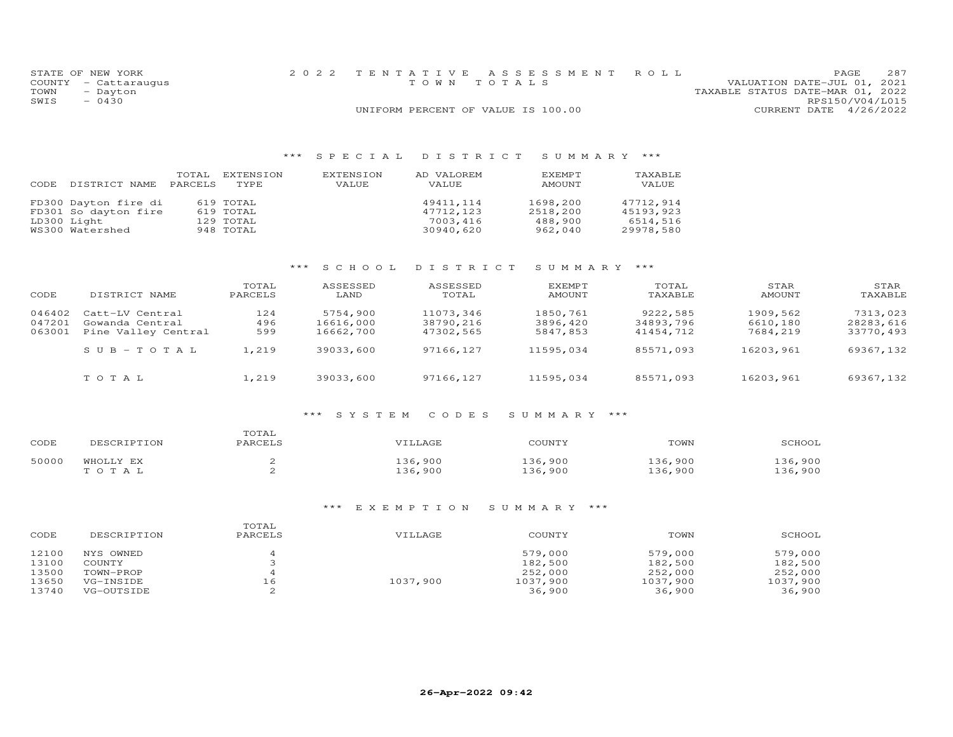|      | STATE OF NEW YORK    | 2022 TENTATIVE ASSESSMENT ROLL     |  |                                  | PAGE                   | 287 |
|------|----------------------|------------------------------------|--|----------------------------------|------------------------|-----|
|      | COUNTY - Cattaraugus | TOWN TOTALS                        |  | VALUATION DATE-JUL 01, 2021      |                        |     |
| TOWN | - Dayton             |                                    |  | TAXABLE STATUS DATE-MAR 01, 2022 |                        |     |
| SWIS | $-0430$              |                                    |  |                                  | RPS150/V04/L015        |     |
|      |                      | UNIFORM PERCENT OF VALUE IS 100.00 |  |                                  | CURRENT DATE 4/26/2022 |     |

| CODE | DISTRICT NAME        | TOTAL<br>PARCELS | EXTENSION<br>TYPE. | EXTENSION<br>VALUE. | AD VALOREM<br><b>VALUE</b> | EXEMPT<br>AMOUNT | TAXABLE<br>VALUE |
|------|----------------------|------------------|--------------------|---------------------|----------------------------|------------------|------------------|
|      | FD300 Dayton fire di |                  | 619 TOTAL          |                     | 49411,114                  | 1698,200         | 47712,914        |
|      | FD301 So dayton fire |                  | 619 TOTAL          |                     | 47712,123                  | 2518,200         | 45193,923        |
|      | LD300 Light          |                  | 129 TOTAL          |                     | 7003,416                   | 488,900          | 6514,516         |
|      | WS300 Watershed      |                  | 948 TOTAL          |                     | 30940,620                  | 962,040          | 29978,580        |

## \*\*\* S C H O O L D I S T R I C T S U M M A R Y \*\*\*

| CODE                       | DISTRICT NAME                                             | TOTAL<br>PARCELS  | ASSESSED<br>LAND                   | ASSESSED<br>TOTAL                   | EXEMPT<br>AMOUNT                 | TOTAL<br>TAXABLE                   | STAR<br>AMOUNT                   | STAR<br>TAXABLE                    |
|----------------------------|-----------------------------------------------------------|-------------------|------------------------------------|-------------------------------------|----------------------------------|------------------------------------|----------------------------------|------------------------------------|
| 046402<br>047201<br>063001 | Catt-LV Central<br>Gowanda Central<br>Pine Valley Central | 124<br>496<br>599 | 5754,900<br>16616,000<br>16662,700 | 11073,346<br>38790,216<br>47302,565 | 1850,761<br>3896,420<br>5847,853 | 9222,585<br>34893,796<br>41454,712 | 1909,562<br>6610,180<br>7684,219 | 7313,023<br>28283,616<br>33770,493 |
|                            | $SUB - TO T AL$                                           | 1,219             | 39033,600                          | 97166,127                           | 11595,034                        | 85571,093                          | 16203,961                        | 69367,132                          |
|                            | TOTAL                                                     | 1,219             | 39033,600                          | 97166,127                           | 11595,034                        | 85571,093                          | 16203,961                        | 69367,132                          |

#### \*\*\* S Y S T E M C O D E S S U M M A R Y \*\*\*

| CODE  | DESCRIPTION | TOTAL<br>PARCELS | VILLAGE | COUNTY  | TOWN    | SCHOOL |
|-------|-------------|------------------|---------|---------|---------|--------|
| 50000 | WHOLLY EX   |                  | L36,900 | 136,900 | .36,900 | 36,900 |
|       | TOTAL       |                  | L36,900 | 136,900 | .36,900 | 36,900 |

| CODE  | DESCRIPTION | TOTAL<br>PARCELS | VILLAGE  | COUNTY   | TOWN     | SCHOOL   |
|-------|-------------|------------------|----------|----------|----------|----------|
| 12100 | NYS OWNED   |                  |          | 579,000  | 579,000  | 579,000  |
| 13100 | COUNTY      |                  |          | 182,500  | 182,500  | 182,500  |
| 13500 | TOWN-PROP   |                  |          | 252,000  | 252,000  | 252,000  |
| 13650 | VG-INSIDE   | 16               | 1037,900 | 1037,900 | 1037,900 | 1037,900 |
| 13740 | VG-OUTSIDE  |                  |          | 36,900   | 36,900   | 36,900   |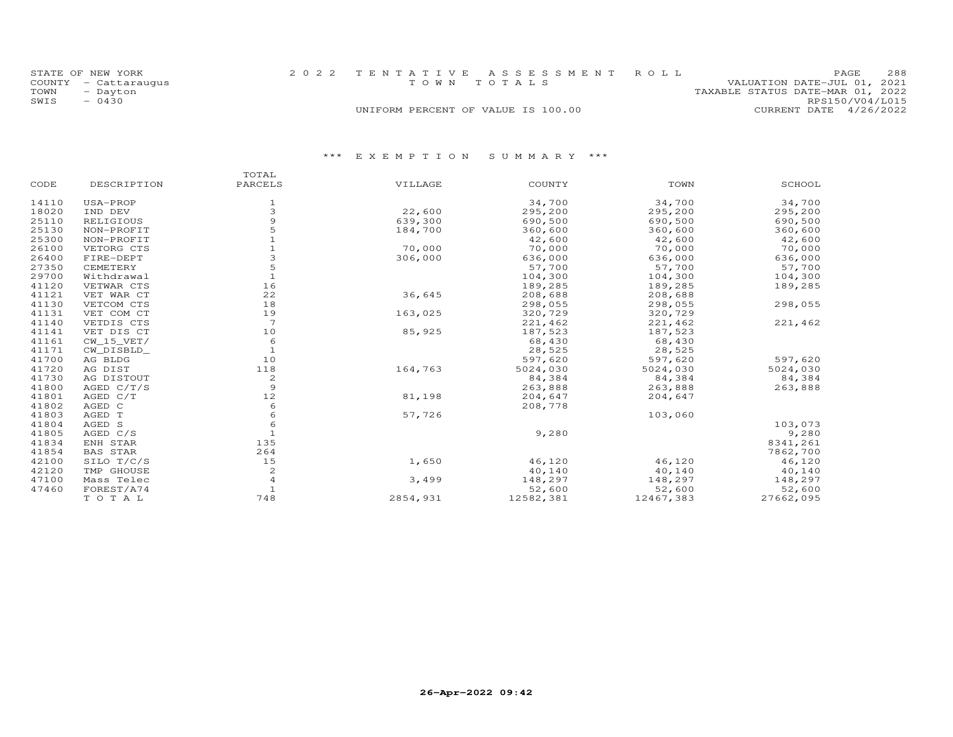| STATE OF NEW YORK    | 2022 TENTATIVE ASSESSMENT ROLL     | 288<br>PAGE.                     |
|----------------------|------------------------------------|----------------------------------|
| COUNTY - Cattaraugus | TOWN TOTALS                        | VALUATION DATE-JUL 01, 2021      |
| TOWN<br>- Dayton     |                                    | TAXABLE STATUS DATE-MAR 01, 2022 |
| SWIS<br>$-0430$      |                                    | RPS150/V04/L015                  |
|                      | UNIFORM PERCENT OF VALUE IS 100.00 | CURRENT DATE 4/26/2022           |

|       |                 | TOTAL        |          |           |           |           |
|-------|-----------------|--------------|----------|-----------|-----------|-----------|
| CODE  | DESCRIPTION     | PARCELS      | VILLAGE  | COUNTY    | TOWN      | SCHOOL    |
| 14110 | USA-PROP        | 1            |          | 34,700    | 34,700    | 34,700    |
| 18020 | IND DEV         | 3            | 22,600   | 295,200   | 295,200   | 295,200   |
| 25110 | RELIGIOUS       |              | 639,300  | 690,500   | 690,500   | 690,500   |
| 25130 | NON-PROFIT      |              | 184,700  | 360,600   | 360,600   | 360,600   |
| 25300 | NON-PROFIT      |              |          | 42,600    | 42,600    | 42,600    |
| 26100 | VETORG CTS      |              | 70,000   | 70,000    | 70,000    | 70,000    |
| 26400 | FIRE-DEPT       |              | 306,000  | 636,000   | 636,000   | 636,000   |
| 27350 | CEMETERY        | 5            |          | 57,700    | 57,700    | 57,700    |
| 29700 | Withdrawal      |              |          | 104,300   | 104,300   | 104,300   |
| 41120 | VETWAR CTS      | 16           |          | 189,285   | 189,285   | 189,285   |
| 41121 | VET WAR CT      | 22           | 36,645   | 208,688   | 208,688   |           |
| 41130 | VETCOM CTS      | 18           |          | 298,055   | 298,055   | 298,055   |
| 41131 | VET COM CT      | 19           | 163,025  | 320,729   | 320,729   |           |
| 41140 | VETDIS CTS      | 7            |          | 221,462   | 221,462   | 221,462   |
| 41141 | VET DIS CT      | 10           | 85,925   | 187,523   | 187,523   |           |
| 41161 | $CW_15_VET/$    | 6            |          | 68,430    | 68,430    |           |
| 41171 | CW DISBLD       | $\mathbf{1}$ |          | 28,525    | 28,525    |           |
| 41700 | AG BLDG         | 10           |          | 597,620   | 597,620   | 597,620   |
| 41720 | AG DIST         | 118          | 164,763  | 5024,030  | 5024,030  | 5024,030  |
| 41730 | AG DISTOUT      | 2            |          | 84,384    | 84,384    | 84,384    |
| 41800 | AGED $C/T/S$    | 9            |          | 263,888   | 263,888   | 263,888   |
| 41801 | AGED C/T        | 12           | 81,198   | 204,647   | 204,647   |           |
| 41802 | AGED C          | 6            |          | 208,778   |           |           |
| 41803 | AGED T          | 6            | 57,726   |           | 103,060   |           |
| 41804 | AGED S          | 6            |          |           |           | 103,073   |
| 41805 | AGED C/S        |              |          | 9,280     |           | 9,280     |
| 41834 | ENH STAR        | 135          |          |           |           | 8341,261  |
| 41854 | <b>BAS STAR</b> | 264          |          |           |           | 7862,700  |
| 42100 | SILO T/C/S      | 15           | 1,650    | 46,120    | 46,120    | 46,120    |
| 42120 | TMP GHOUSE      | 2            |          | 40,140    | 40,140    | 40,140    |
| 47100 | Mass Telec      | 4            | 3,499    | 148,297   | 148,297   | 148,297   |
| 47460 | FOREST/A74      |              |          | 52,600    | 52,600    | 52,600    |
|       | TO TAL          | 748          | 2854,931 | 12582,381 | 12467,383 | 27662,095 |